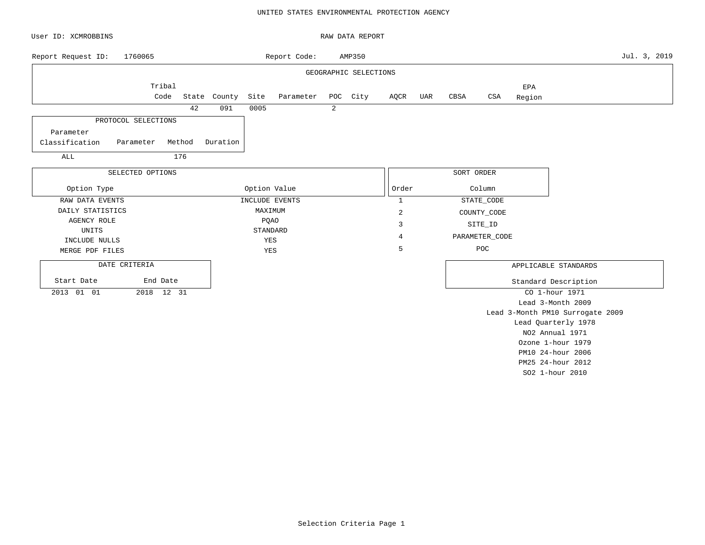### UNITED STATES ENVIRONMENTAL PROTECTION AGENCY

| User ID: XCMROBBINS |                     |        |              |              |                |                | RAW DATA REPORT       |                |     |            |                |                   |                                  |              |
|---------------------|---------------------|--------|--------------|--------------|----------------|----------------|-----------------------|----------------|-----|------------|----------------|-------------------|----------------------------------|--------------|
| Report Request ID:  | 1760065             |        |              |              | Report Code:   |                | AMP350                |                |     |            |                |                   |                                  | Jul. 3, 2019 |
|                     |                     |        |              |              |                |                | GEOGRAPHIC SELECTIONS |                |     |            |                |                   |                                  |              |
|                     | Tribal              |        |              |              |                |                |                       |                |     |            |                | EPA               |                                  |              |
|                     | Code                |        | State County | Site         | Parameter      |                | POC City              | AQCR           | UAR | CBSA       | $_{\tt CSA}$   | Region            |                                  |              |
|                     |                     | 42     | 091          | 0005         |                | $\overline{2}$ |                       |                |     |            |                |                   |                                  |              |
|                     | PROTOCOL SELECTIONS |        |              |              |                |                |                       |                |     |            |                |                   |                                  |              |
| Parameter           |                     |        |              |              |                |                |                       |                |     |            |                |                   |                                  |              |
| Classification      | Parameter           | Method | Duration     |              |                |                |                       |                |     |            |                |                   |                                  |              |
| ALL                 |                     | 176    |              |              |                |                |                       |                |     |            |                |                   |                                  |              |
|                     |                     |        |              |              |                |                |                       |                |     |            |                |                   |                                  |              |
|                     | SELECTED OPTIONS    |        |              |              |                |                |                       |                |     | SORT ORDER |                |                   |                                  |              |
| Option Type         |                     |        |              | Option Value |                |                |                       | Order          |     |            | Column         |                   |                                  |              |
| RAW DATA EVENTS     |                     |        |              |              | INCLUDE EVENTS |                |                       | $\mathbf{1}$   |     |            | STATE_CODE     |                   |                                  |              |
| DAILY STATISTICS    |                     |        |              | MAXIMUM      |                |                |                       | $\sqrt{2}$     |     |            | COUNTY_CODE    |                   |                                  |              |
| AGENCY ROLE         |                     |        |              | <b>PQAO</b>  |                |                |                       | 3              |     |            | SITE_ID        |                   |                                  |              |
| UNITS               |                     |        |              |              | STANDARD       |                |                       | $\overline{4}$ |     |            | PARAMETER_CODE |                   |                                  |              |
| INCLUDE NULLS       |                     |        |              | YES          |                |                |                       | 5              |     |            | POC            |                   |                                  |              |
| MERGE PDF FILES     |                     |        |              | YES          |                |                |                       |                |     |            |                |                   |                                  |              |
| DATE CRITERIA       |                     |        |              |              |                |                |                       |                |     |            |                |                   | APPLICABLE STANDARDS             |              |
| Start Date          | End Date            |        |              |              |                |                |                       |                |     |            |                |                   | Standard Description             |              |
| 2013 01 01          |                     |        |              |              |                |                |                       |                |     |            | CO 1-hour 1971 |                   |                                  |              |
|                     |                     |        |              |              |                |                |                       |                |     |            |                |                   | Lead 3-Month 2009                |              |
|                     |                     |        |              |              |                |                |                       |                |     |            |                |                   | Lead 3-Month PM10 Surrogate 2009 |              |
|                     |                     |        |              |              |                |                |                       |                |     |            |                |                   | Lead Quarterly 1978              |              |
|                     |                     |        |              |              |                |                |                       |                |     |            |                |                   | NO2 Annual 1971                  |              |
|                     |                     |        |              |              |                |                |                       |                |     |            |                |                   | Ozone 1-hour 1979                |              |
|                     |                     |        |              |              |                |                |                       |                |     |            |                | PM10 24-hour 2006 |                                  |              |

PM25 24-hour 2012 SO2 1-hour 2010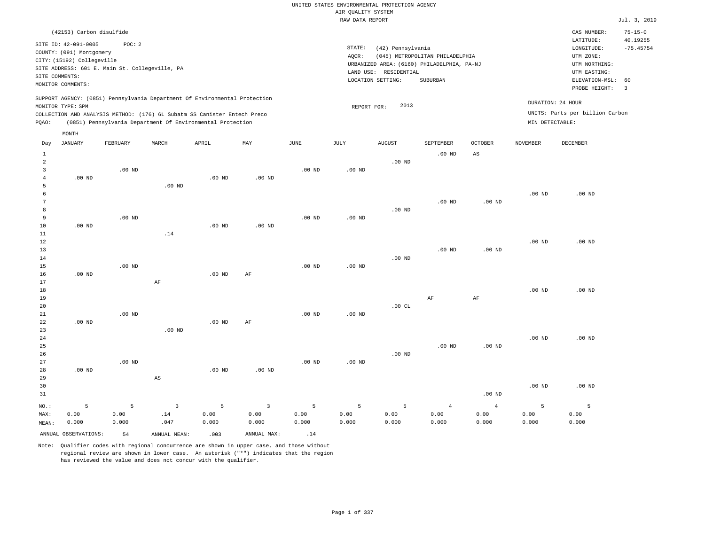# UNITED STATES ENVIRONMENTAL PROTECTION AGENCY AIR QUALITY SYSTEM

|                                       |                                                                                                                       |                                                                            |          |                   |                   |                   | RAW DATA REPORT   |                                                                 |                                                                                           |                   |                   |                                                                                         | Jul. 3, 2019                  |
|---------------------------------------|-----------------------------------------------------------------------------------------------------------------------|----------------------------------------------------------------------------|----------|-------------------|-------------------|-------------------|-------------------|-----------------------------------------------------------------|-------------------------------------------------------------------------------------------|-------------------|-------------------|-----------------------------------------------------------------------------------------|-------------------------------|
|                                       | (42153) Carbon disulfide                                                                                              |                                                                            |          |                   |                   |                   |                   |                                                                 |                                                                                           |                   |                   | CAS NUMBER:                                                                             | $75 - 15 - 0$                 |
|                                       | SITE ID: 42-091-0005<br>COUNTY: (091) Montgomery<br>CITY: (15192) Collegeville<br>SITE COMMENTS:<br>MONITOR COMMENTS: | POC: 2<br>SITE ADDRESS: 601 E. Main St. Collegeville, PA                   |          |                   |                   |                   | STATE:<br>AOCR:   | (42) Pennsylvania<br>LAND USE: RESIDENTIAL<br>LOCATION SETTING: | (045) METROPOLITAN PHILADELPHIA<br>URBANIZED AREA: (6160) PHILADELPHIA, PA-NJ<br>SUBURBAN |                   |                   | LATITUDE:<br>LONGITUDE:<br>UTM ZONE:<br>UTM NORTHING:<br>UTM EASTING:<br>ELEVATION-MSL: | 40.19255<br>$-75.45754$<br>60 |
|                                       |                                                                                                                       | SUPPORT AGENCY: (0851) Pennsylvania Department Of Environmental Protection |          |                   |                   |                   |                   | 2013                                                            |                                                                                           |                   |                   | PROBE HEIGHT:<br>DURATION: 24 HOUR                                                      | $\overline{\mathbf{3}}$       |
|                                       | MONITOR TYPE: SPM                                                                                                     | COLLECTION AND ANALYSIS METHOD: (176) 6L Subatm SS Canister Entech Preco   |          |                   |                   |                   | REPORT FOR:       |                                                                 |                                                                                           |                   |                   | UNITS: Parts per billion Carbon                                                         |                               |
| PQAO:                                 |                                                                                                                       | (0851) Pennsylvania Department Of Environmental Protection                 |          |                   |                   |                   |                   |                                                                 |                                                                                           |                   | MIN DETECTABLE:   |                                                                                         |                               |
|                                       |                                                                                                                       |                                                                            |          |                   |                   |                   |                   |                                                                 |                                                                                           |                   |                   |                                                                                         |                               |
| Day                                   | MONTH<br>JANUARY                                                                                                      | FEBRUARY                                                                   | MARCH    | APRIL             | MAY               | JUNE              | JULY              | <b>AUGUST</b>                                                   | SEPTEMBER                                                                                 | <b>OCTOBER</b>    | NOVEMBER          | DECEMBER                                                                                |                               |
| $\mathbf{1}$                          |                                                                                                                       |                                                                            |          |                   |                   |                   |                   |                                                                 | $.00$ ND                                                                                  | $_{\rm AS}$       |                   |                                                                                         |                               |
| $\overline{a}$<br>3<br>$\overline{4}$ | $.00$ ND                                                                                                              | $.00$ ND                                                                   |          | $.00$ ND          | .00 <sub>ND</sub> | $.00$ ND          | .00 <sub>ND</sub> | $.00$ ND                                                        |                                                                                           |                   |                   |                                                                                         |                               |
| 5<br>6<br>7                           |                                                                                                                       |                                                                            | $.00$ ND |                   |                   |                   |                   |                                                                 | .00 <sub>ND</sub>                                                                         | .00 <sub>ND</sub> | $.00$ ND          | $.00$ ND                                                                                |                               |
| 8<br>9<br>10                          | $.00$ ND                                                                                                              | $.00$ ND                                                                   |          | .00 <sub>ND</sub> | $.00$ ND          | $.00$ ND          | $.00$ ND          | $.00$ ND                                                        |                                                                                           |                   |                   |                                                                                         |                               |
| $11\,$<br>$1\,2$<br>13                |                                                                                                                       |                                                                            | .14      |                   |                   |                   |                   |                                                                 | $.00$ ND                                                                                  | .00 <sub>ND</sub> | .00 <sub>ND</sub> | $.00$ ND                                                                                |                               |
| 14<br>15<br>16<br>17                  | $.00$ ND                                                                                                              | $.00$ ND                                                                   | AF       | .00 <sub>ND</sub> | AF                | $.00$ ND          | $.00$ ND          | $.00$ ND                                                        |                                                                                           |                   |                   |                                                                                         |                               |
| 18<br>19<br>20                        |                                                                                                                       |                                                                            |          |                   |                   |                   |                   | .00 $CL$                                                        | AF                                                                                        | $\rm{AF}$         | .00 <sub>ND</sub> | $.00$ ND                                                                                |                               |
| 21<br>22<br>23                        | $.00$ ND                                                                                                              | $.00$ ND                                                                   | $.00$ ND | $.00$ ND          | $\rm{AF}$         | .00 <sub>ND</sub> | $.00$ ND          |                                                                 |                                                                                           |                   |                   |                                                                                         |                               |
| 24<br>25<br>26                        |                                                                                                                       |                                                                            |          |                   |                   |                   |                   | $.00$ ND                                                        | $.00$ ND                                                                                  | .00 <sub>ND</sub> | .00 <sub>ND</sub> | $.00$ ND                                                                                |                               |
| 27<br>28<br>29                        | $.00$ ND                                                                                                              | $.00$ ND                                                                   | AS       | $.00$ ND          | $.00$ ND          | $.00$ ND          | $.00$ ND          |                                                                 |                                                                                           |                   |                   |                                                                                         |                               |

30 31 NO.: MAX: MEAN: 5 0.00 0.000 .00 ND .00 ND .00 ND 5 0.00 0.000 3 .14 .047 5 0.00 0.000 3 0.00 0.000 5 0.00 0.000 5 0.00 0.000 5 0.00 0.000 4 0.00 0.000 4 0.00 0.000 5 0.00 0.000 5 0.00 0.000

ANNUAL OBSERVATIONS:  $54$  ANNUAL MEAN: .003 ANNUAL MAX: .14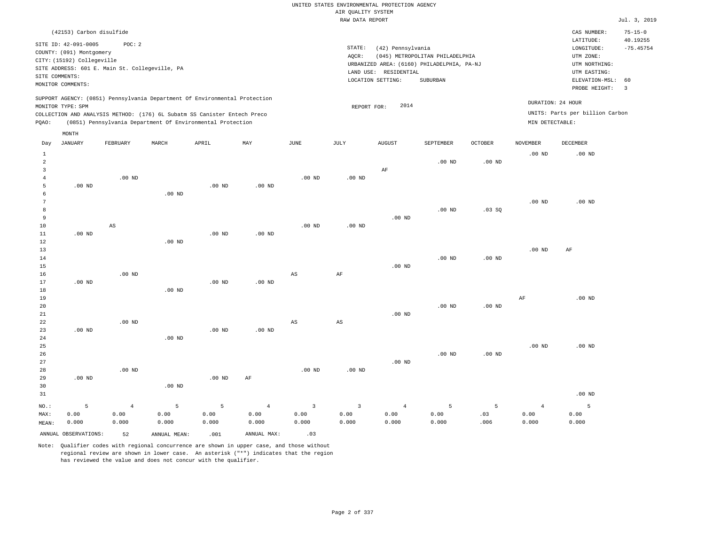| (42153) Carbon disulfide                                                                                                                                                                                                                                    |                                                                                                                                                                                 | CAS NUMBER:                                                                                                 | $75 - 15 - 0$                                      |
|-------------------------------------------------------------------------------------------------------------------------------------------------------------------------------------------------------------------------------------------------------------|---------------------------------------------------------------------------------------------------------------------------------------------------------------------------------|-------------------------------------------------------------------------------------------------------------|----------------------------------------------------|
| SITE ID: 42-091-0005<br>POC:2<br>COUNTY: (091) Montgomery<br>CITY: (15192) Collegeville<br>SITE ADDRESS: 601 E. Main St. Collegeville, PA<br>SITE COMMENTS:<br>MONITOR COMMENTS:                                                                            | STATE:<br>(42) Pennsylvania<br>(045) METROPOLITAN PHILADELPHIA<br>AOCR:<br>URBANIZED AREA: (6160) PHILADELPHIA, PA-NJ<br>LAND USE: RESIDENTIAL<br>SUBURBAN<br>LOCATION SETTING: | LATITUDE:<br>LONGITUDE:<br>UTM ZONE:<br>UTM NORTHING:<br>UTM EASTING:<br>ELEVATION-MSL: 60<br>PROBE HEIGHT: | 40.19255<br>$-75.45754$<br>$\overline{\mathbf{3}}$ |
| SUPPORT AGENCY: (0851) Pennsylvania Department Of Environmental Protection<br>MONITOR TYPE: SPM<br>COLLECTION AND ANALYSIS METHOD: (176) 6L Subatm SS Canister Entech Preco<br>(0851) Pennsylvania Department Of Environmental Protection<br>POAO:<br>MONTH | DURATION: 24 HOUR<br>2014<br>REPORT FOR:<br>MIN DETECTABLE:                                                                                                                     | UNITS: Parts per billion Carbon                                                                             |                                                    |

| Day                     | JANUARY              | FEBRUARY               | MARCH             | APRIL    | MAY            | JUNE        | JULY                   | AUGUST         | SEPTEMBER   | OCTOBER        | NOVEMBER          | DECEMBER |
|-------------------------|----------------------|------------------------|-------------------|----------|----------------|-------------|------------------------|----------------|-------------|----------------|-------------------|----------|
| $\mathbf{1}$            |                      |                        |                   |          |                |             |                        |                |             |                | .00 <sub>ND</sub> | $.00$ ND |
| $\overline{\mathbf{c}}$ |                      |                        |                   |          |                |             |                        |                | $.00$ ND    | $.00$ ND       |                   |          |
| 3                       |                      |                        |                   |          |                |             |                        | $\rm AF$       |             |                |                   |          |
| $\overline{4}$          |                      | $.00$ ND               |                   |          |                | $.00$ ND    | .00 <sub>ND</sub>      |                |             |                |                   |          |
| 5                       | $.00$ ND             |                        |                   | .00 $ND$ | $.00$ ND       |             |                        |                |             |                |                   |          |
| 6                       |                      |                        | $.00$ ND          |          |                |             |                        |                |             |                |                   |          |
| 7                       |                      |                        |                   |          |                |             |                        |                |             |                | $.00$ ND          | $.00$ ND |
| 8                       |                      |                        |                   |          |                |             |                        |                | $.00$ ND    | .03SQ          |                   |          |
| 9                       |                      |                        |                   |          |                |             |                        | $.00$ ND       |             |                |                   |          |
| 10                      |                      | $\mathbb{A}\mathbb{S}$ |                   |          |                | $.00$ ND    | .00 <sub>ND</sub>      |                |             |                |                   |          |
| 11                      | $.00$ ND             |                        |                   | $.00$ ND | $.00$ ND       |             |                        |                |             |                |                   |          |
| 12                      |                      |                        | $.00$ ND          |          |                |             |                        |                |             |                |                   |          |
| 13                      |                      |                        |                   |          |                |             |                        |                |             |                | $.00$ ND          | AF       |
| 14                      |                      |                        |                   |          |                |             |                        |                | $.00$ ND    | $.00$ ND       |                   |          |
| 15                      |                      |                        |                   |          |                |             |                        | $.00$ ND       |             |                |                   |          |
| 16                      |                      | $.00$ ND               |                   |          |                | $_{\rm AS}$ | $\rm{AF}$              |                |             |                |                   |          |
| 17                      | $.00$ ND             |                        |                   | $.00$ ND | $.00$ ND       |             |                        |                |             |                |                   |          |
| 18                      |                      |                        | $.00$ ND          |          |                |             |                        |                |             |                |                   | $.00$ ND |
| 19                      |                      |                        |                   |          |                |             |                        |                | $.00$ ND    | $.00$ ND       | $\rm{AF}$         |          |
| 20<br>${\bf 21}$        |                      |                        |                   |          |                |             |                        | $.00$ ND       |             |                |                   |          |
| 22                      |                      | $.00$ ND               |                   |          |                | AS          | $\mathbb{A}\mathbb{S}$ |                |             |                |                   |          |
| 23                      | $.00$ ND             |                        |                   | $.00$ ND | $.00$ ND       |             |                        |                |             |                |                   |          |
| 24                      |                      |                        | $.00$ ND          |          |                |             |                        |                |             |                |                   |          |
| 25                      |                      |                        |                   |          |                |             |                        |                |             |                | $.00$ ND          | $.00$ ND |
| 26                      |                      |                        |                   |          |                |             |                        |                | $.00$ ND    | $.00$ ND       |                   |          |
| 27                      |                      |                        |                   |          |                |             |                        | $.00$ ND       |             |                |                   |          |
| 28                      |                      | $.00$ ND               |                   |          |                | $.00$ ND    | $.00$ ND               |                |             |                |                   |          |
| 29                      | $.00$ ND             |                        |                   | $.00$ ND | $\rm AF$       |             |                        |                |             |                |                   |          |
| 30                      |                      |                        | .00 <sub>ND</sub> |          |                |             |                        |                |             |                |                   |          |
| 31                      |                      |                        |                   |          |                |             |                        |                |             |                |                   | $.00$ ND |
| $_{\rm NO.}$ :          | 5                    | $\,4$                  | $\overline{5}$    | 5        | $\overline{4}$ | $\mathsf 3$ | $\mathsf 3$            | $\overline{4}$ | $\mathsf S$ | $\overline{5}$ | $\overline{4}$    | 5        |
| MAX:                    | 0.00                 | 0.00                   | 0.00              | 0.00     | 0.00           | 0.00        | 0.00                   | 0.00           | 0.00        | .03            | 0.00              | 0.00     |
| MEAN:                   | 0.000                | 0.000                  | 0.000             | 0.000    | 0.000          | 0.000       | 0.000                  | 0.000          | 0.000       | .006           | 0.000             | 0.000    |
|                         |                      |                        |                   |          |                |             |                        |                |             |                |                   |          |
|                         | ANNUAL OBSERVATIONS: | 52                     | ANNUAL MEAN:      | .001     | ANNUAL MAX:    | .03         |                        |                |             |                |                   |          |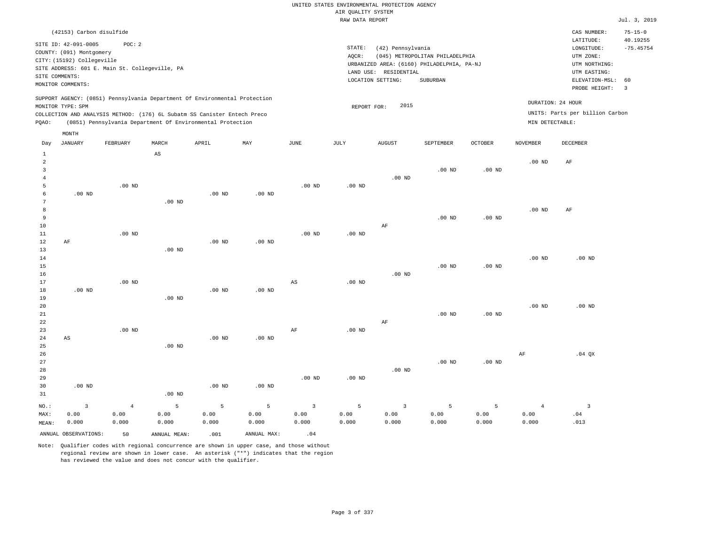| (42153) Carbon disulfide                                                                                                                                                                                                                              |                                                                                                                                                                                 | CAS NUMBER:                                                                                                 | $75 - 15 - 0$           |
|-------------------------------------------------------------------------------------------------------------------------------------------------------------------------------------------------------------------------------------------------------|---------------------------------------------------------------------------------------------------------------------------------------------------------------------------------|-------------------------------------------------------------------------------------------------------------|-------------------------|
| SITE ID: 42-091-0005<br>POC:2<br>COUNTY: (091) Montgomery<br>CITY: (15192) Collegeville<br>SITE ADDRESS: 601 E. Main St. Collegeville, PA<br>SITE COMMENTS:<br>MONITOR COMMENTS:                                                                      | STATE:<br>(42) Pennsylvania<br>(045) METROPOLITAN PHILADELPHIA<br>AOCR:<br>URBANIZED AREA: (6160) PHILADELPHIA, PA-NJ<br>LAND USE: RESIDENTIAL<br>LOCATION SETTING:<br>SUBURBAN | LATITUDE:<br>LONGITUDE:<br>UTM ZONE:<br>UTM NORTHING:<br>UTM EASTING:<br>ELEVATION-MSL: 60<br>PROBE HEIGHT: | 40.19255<br>$-75.45754$ |
| SUPPORT AGENCY: (0851) Pennsylvania Department Of Environmental Protection<br>MONITOR TYPE: SPM<br>COLLECTION AND ANALYSIS METHOD: (176) 6L Subatm SS Canister Entech Preco<br>Pennsylvania Department Of Environmental Protection<br>POAO:<br>(0851) | DURATION: 24 HOUR<br>2015<br>REPORT FOR:<br>MIN DETECTABLE:                                                                                                                     | UNITS: Parts per billion Carbon                                                                             |                         |

| Day                                                            | <b>JANUARY</b>       | FEBRUARY       | MARCH             | APRIL    | MAY            | $_{\rm JUNE}$           | JULY     | ${\tt AUGUST}$          | SEPTEMBER         | OCTOBER  | <b>NOVEMBER</b>   | DECEMBER                |
|----------------------------------------------------------------|----------------------|----------------|-------------------|----------|----------------|-------------------------|----------|-------------------------|-------------------|----------|-------------------|-------------------------|
| $\mathbf{1}$<br>$\overline{\mathbf{c}}$<br>3<br>$\overline{4}$ |                      |                | AS                |          |                |                         |          | $.00$ ND                | $.00$ ND          | $.00$ ND | .00 <sub>ND</sub> | AF                      |
| 5                                                              |                      | $.00$ ND       |                   |          |                | $.00$ ND                | $.00$ ND |                         |                   |          |                   |                         |
| 6                                                              | $.00$ ND             |                |                   | $.00$ ND | $.00$ ND       |                         |          |                         |                   |          |                   |                         |
| 7                                                              |                      |                | .00 <sub>ND</sub> |          |                |                         |          |                         |                   |          |                   |                         |
| 8                                                              |                      |                |                   |          |                |                         |          |                         |                   |          | $.00$ ND          | AF                      |
| 9                                                              |                      |                |                   |          |                |                         |          |                         | .00 <sub>ND</sub> | $.00$ ND |                   |                         |
| 10                                                             |                      |                |                   |          |                |                         |          | AF                      |                   |          |                   |                         |
| 11                                                             |                      | $.00$ ND       |                   |          |                | $.00$ ND                | .00 $ND$ |                         |                   |          |                   |                         |
| 12                                                             | AF                   |                |                   | $.00$ ND | $.00$ ND       |                         |          |                         |                   |          |                   |                         |
| 13                                                             |                      |                | .00 <sub>ND</sub> |          |                |                         |          |                         |                   |          |                   |                         |
| 14                                                             |                      |                |                   |          |                |                         |          |                         |                   |          | $.00$ ND          | $.00$ ND                |
| 15                                                             |                      |                |                   |          |                |                         |          |                         | .00 <sub>ND</sub> | $.00$ ND |                   |                         |
| $16$                                                           |                      |                |                   |          |                |                         |          | .00 $ND$                |                   |          |                   |                         |
| 17                                                             |                      | $.00$ ND       |                   |          |                | AS                      | .00 $ND$ |                         |                   |          |                   |                         |
| 18<br>19                                                       | .00 $ND$             |                |                   | $.00$ ND | $.00$ ND       |                         |          |                         |                   |          |                   |                         |
| 20                                                             |                      |                | .00 <sub>ND</sub> |          |                |                         |          |                         |                   |          | $.00$ ND          | $.00$ ND                |
| 21                                                             |                      |                |                   |          |                |                         |          |                         | $.00$ ND          | $.00$ ND |                   |                         |
| 22                                                             |                      |                |                   |          |                |                         |          | AF                      |                   |          |                   |                         |
| 23                                                             |                      | $.00$ ND       |                   |          |                | AF                      | .00 $ND$ |                         |                   |          |                   |                         |
| 24                                                             | AS                   |                |                   | $.00$ ND | $.00$ ND       |                         |          |                         |                   |          |                   |                         |
| 25                                                             |                      |                | $.00$ ND          |          |                |                         |          |                         |                   |          |                   |                         |
| 26                                                             |                      |                |                   |          |                |                         |          |                         |                   |          | AF                | $.04$ QX                |
| $2\,7$                                                         |                      |                |                   |          |                |                         |          |                         | $.00$ ND          | $.00$ ND |                   |                         |
| 28                                                             |                      |                |                   |          |                |                         |          | .00 $ND$                |                   |          |                   |                         |
| 29                                                             |                      |                |                   |          |                | .00 $ND$                | .00 $ND$ |                         |                   |          |                   |                         |
| 30                                                             | $.00$ ND             |                |                   | $.00$ ND | $.00$ ND       |                         |          |                         |                   |          |                   |                         |
| 31                                                             |                      |                | $.00$ ND          |          |                |                         |          |                         |                   |          |                   |                         |
| $NO.$ :                                                        | $\mathbf{3}$         | $\overline{4}$ | 5                 | 5        | $\overline{5}$ | $\overline{\mathbf{3}}$ | 5        | $\overline{\mathbf{3}}$ | 5                 | 5        | $\overline{4}$    | $\overline{\mathbf{3}}$ |
| MAX:                                                           | 0.00                 | 0.00           | 0.00              | 0.00     | 0.00           | 0.00                    | 0.00     | 0.00                    | 0.00              | 0.00     | 0.00              | .04                     |
| MEAN:                                                          | 0.000                | 0.000          | 0.000             | 0.000    | 0.000          | 0.000                   | 0.000    | 0.000                   | 0.000             | 0.000    | 0.000             | .013                    |
|                                                                | ANNUAL OBSERVATIONS: | 50             | ANNUAL MEAN:      | .001     | ANNUAL MAX:    | .04                     |          |                         |                   |          |                   |                         |

Note: Qualifier codes with regional concurrence are shown in upper case, and those without regional review are shown in lower case. An asterisk ("\*") indicates that the region has reviewed the value and does not concur with the qualifier.

MONTH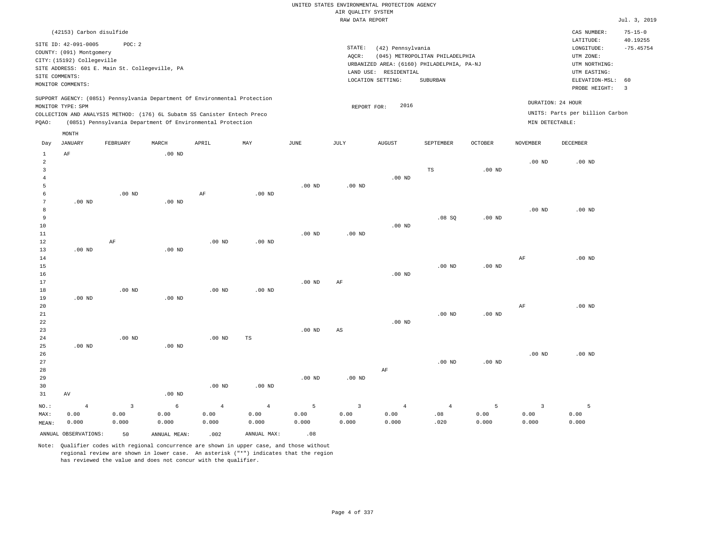| (42153) Carbon disulfide                                                                                                                                                                                                                                    |                                                                                                                                                                                 | CAS NUMBER:                                                                                                 | $75 - 15 - 0$           |
|-------------------------------------------------------------------------------------------------------------------------------------------------------------------------------------------------------------------------------------------------------------|---------------------------------------------------------------------------------------------------------------------------------------------------------------------------------|-------------------------------------------------------------------------------------------------------------|-------------------------|
| SITE ID: 42-091-0005<br>POC: 2<br>COUNTY: (091) Montgomery<br>CITY: (15192) Collegeville<br>SITE ADDRESS: 601 E. Main St. Collegeville, PA<br>SITE COMMENTS:<br>MONITOR COMMENTS:                                                                           | STATE:<br>(42) Pennsylvania<br>(045) METROPOLITAN PHILADELPHIA<br>AOCR:<br>URBANIZED AREA: (6160) PHILADELPHIA, PA-NJ<br>LAND USE: RESIDENTIAL<br>LOCATION SETTING:<br>SUBURBAN | LATITUDE:<br>LONGITUDE:<br>UTM ZONE:<br>UTM NORTHING:<br>UTM EASTING:<br>ELEVATION-MSL: 60<br>PROBE HEIGHT: | 40.19255<br>$-75.45754$ |
| SUPPORT AGENCY: (0851) Pennsylvania Department Of Environmental Protection<br>MONITOR TYPE: SPM<br>COLLECTION AND ANALYSIS METHOD: (176) 6L Subatm SS Canister Entech Preco<br>(0851) Pennsylvania Department Of Environmental Protection<br>POAO:<br>MONTH | 2016<br>REPORT FOR:                                                                                                                                                             | DURATION: 24 HOUR<br>UNITS: Parts per billion Carbon<br>MIN DETECTABLE:                                     |                         |

| Day            | <b>JANUARY</b>       | FEBRUARY                | $\tt MARCH$  | APRIL          | MAY            | $_{\rm JUNE}$ | JULY                    | AUGUST         | SEPTEMBER         | OCTOBER  | <b>NOVEMBER</b>         | DECEMBER |
|----------------|----------------------|-------------------------|--------------|----------------|----------------|---------------|-------------------------|----------------|-------------------|----------|-------------------------|----------|
| 1              | $\rm AF$             |                         | $.00$ ND     |                |                |               |                         |                |                   |          |                         |          |
| 2              |                      |                         |              |                |                |               |                         |                |                   |          | $.00$ ND                | $.00$ ND |
| 3              |                      |                         |              |                |                |               |                         |                | TS                | $.00$ ND |                         |          |
| $\overline{4}$ |                      |                         |              |                |                |               |                         | $.00$ ND       |                   |          |                         |          |
| 5              |                      |                         |              |                |                | $.00$ ND      | $.00$ ND                |                |                   |          |                         |          |
| 6<br>7         |                      | $.00$ ND                |              | $\rm{AF}$      | $.00$ ND       |               |                         |                |                   |          |                         |          |
| 8              | $.00$ ND             |                         | $.00$ ND     |                |                |               |                         |                |                   |          | $.00$ ND                | $.00$ ND |
| 9              |                      |                         |              |                |                |               |                         |                | .08SQ             | $.00$ ND |                         |          |
| 10             |                      |                         |              |                |                |               |                         | $.00$ ND       |                   |          |                         |          |
| 11             |                      |                         |              |                |                | $.00$ ND      | $.00$ ND                |                |                   |          |                         |          |
| 12             |                      | $\rm AF$                |              | $.00$ ND       | $.00$ ND       |               |                         |                |                   |          |                         |          |
| 13             | $.00$ ND             |                         | $.00$ ND     |                |                |               |                         |                |                   |          |                         |          |
| 14             |                      |                         |              |                |                |               |                         |                |                   |          | AF                      | $.00$ ND |
| 15             |                      |                         |              |                |                |               |                         |                | .00 <sub>ND</sub> | $.00$ ND |                         |          |
| 16             |                      |                         |              |                |                |               |                         | $.00$ ND       |                   |          |                         |          |
| 17             |                      |                         |              |                |                | $.00$ ND      | $\rm AF$                |                |                   |          |                         |          |
| 18             |                      | $.00$ ND                |              | $.00$ ND       | $.00$ ND       |               |                         |                |                   |          |                         |          |
| 19             | $.00~\mathrm{ND}$    |                         | $.00$ ND     |                |                |               |                         |                |                   |          |                         |          |
| 20             |                      |                         |              |                |                |               |                         |                |                   |          | $\rm AF$                | $.00$ ND |
| 21             |                      |                         |              |                |                |               |                         |                | $.00$ ND          | $.00$ ND |                         |          |
| 22             |                      |                         |              |                |                |               |                         | $.00$ ND       |                   |          |                         |          |
| 23             |                      |                         |              |                |                | $.00$ ND      | $_{\rm AS}$             |                |                   |          |                         |          |
| 24             |                      | $.00$ ND                |              | $.00$ ND       | TS             |               |                         |                |                   |          |                         |          |
| 25             | $.00$ ND             |                         | $.00$ ND     |                |                |               |                         |                |                   |          |                         |          |
| 26             |                      |                         |              |                |                |               |                         |                |                   |          | $.00$ ND                | $.00$ ND |
| 27             |                      |                         |              |                |                |               |                         |                | $.00$ ND          | $.00$ ND |                         |          |
| 28             |                      |                         |              |                |                |               |                         | $\rm{AF}$      |                   |          |                         |          |
| 29             |                      |                         |              |                |                | $.00$ ND      | $.00$ ND                |                |                   |          |                         |          |
| 30             |                      |                         |              | $.00$ ND       | $.00$ ND       |               |                         |                |                   |          |                         |          |
| 31             | AV                   |                         | $.00$ ND     |                |                |               |                         |                |                   |          |                         |          |
| NO.:           | $\overline{4}$       | $\overline{\mathbf{3}}$ | 6            | $\overline{4}$ | $\overline{4}$ | $\mathsf S$   | $\overline{\mathbf{3}}$ | $\overline{4}$ | $\overline{4}$    | 5        | $\overline{\mathbf{3}}$ | 5        |
| MAX:           | 0.00                 | 0.00                    | 0.00         | 0.00           | 0.00           | 0.00          | 0.00                    | 0.00           | .08               | 0.00     | 0.00                    | 0.00     |
| MEAN:          | 0.000                | 0.000                   | 0.000        | 0.000          | 0.000          | 0.000         | 0.000                   | 0.000          | .020              | 0.000    | 0.000                   | 0.000    |
|                | ANNUAL OBSERVATIONS: | 50                      | ANNUAL MEAN: | .002           | ANNUAL MAX:    | .08           |                         |                |                   |          |                         |          |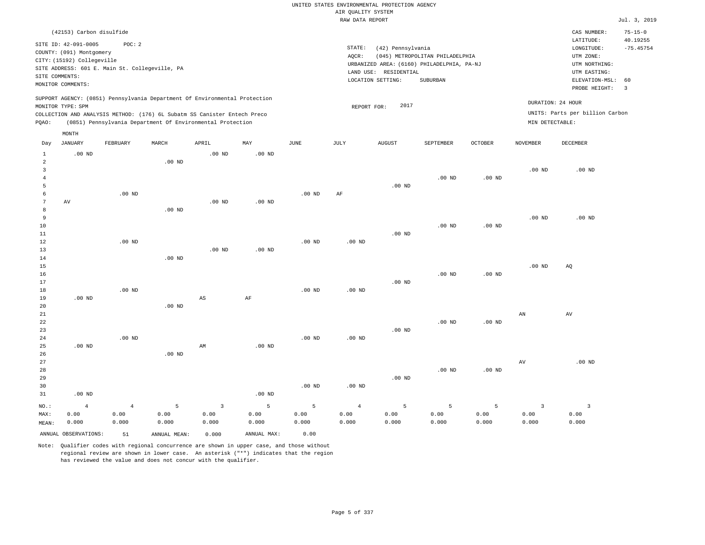|                                |                                                                              |                                                |                   |                                                                            |                   |                   |                                       | UNITED STATES ENVIRONMENTAL PROTECTION AGENCY |                                            |                |                         |                                        |                                          |
|--------------------------------|------------------------------------------------------------------------------|------------------------------------------------|-------------------|----------------------------------------------------------------------------|-------------------|-------------------|---------------------------------------|-----------------------------------------------|--------------------------------------------|----------------|-------------------------|----------------------------------------|------------------------------------------|
|                                |                                                                              |                                                |                   |                                                                            |                   |                   | AIR QUALITY SYSTEM<br>RAW DATA REPORT |                                               |                                            |                |                         |                                        | Jul. 3, 2019                             |
|                                |                                                                              |                                                |                   |                                                                            |                   |                   |                                       |                                               |                                            |                |                         |                                        |                                          |
|                                | (42153) Carbon disulfide<br>SITE ID: 42-091-0005<br>COUNTY: (091) Montgomery | POC: 2                                         |                   |                                                                            |                   |                   | STATE:                                | (42) Pennsylvania                             |                                            |                |                         | CAS NUMBER:<br>LATITUDE:<br>LONGITUDE: | $75 - 15 - 0$<br>40.19255<br>$-75.45754$ |
|                                | CITY: (15192) Collegeville                                                   |                                                |                   |                                                                            |                   |                   | AOCR:                                 |                                               | (045) METROPOLITAN PHILADELPHIA            |                |                         | UTM ZONE:                              |                                          |
|                                |                                                                              | SITE ADDRESS: 601 E. Main St. Collegeville, PA |                   |                                                                            |                   |                   |                                       |                                               | URBANIZED AREA: (6160) PHILADELPHIA, PA-NJ |                |                         | UTM NORTHING:                          |                                          |
|                                | SITE COMMENTS:                                                               |                                                |                   |                                                                            |                   |                   |                                       | LAND USE: RESIDENTIAL                         |                                            |                |                         | UTM EASTING:                           |                                          |
|                                | MONITOR COMMENTS:                                                            |                                                |                   |                                                                            |                   |                   |                                       | LOCATION SETTING:                             | SUBURBAN                                   |                |                         | ELEVATION-MSL:<br>PROBE HEIGHT:        | 60<br>$\overline{3}$                     |
|                                | MONITOR TYPE: SPM                                                            |                                                |                   | SUPPORT AGENCY: (0851) Pennsylvania Department Of Environmental Protection |                   |                   | REPORT FOR:                           | 2017                                          |                                            |                |                         | DURATION: 24 HOUR                      |                                          |
|                                |                                                                              |                                                |                   | COLLECTION AND ANALYSIS METHOD: (176) 6L Subatm SS Canister Entech Preco   |                   |                   |                                       |                                               |                                            |                |                         | UNITS: Parts per billion Carbon        |                                          |
| PQAO:                          |                                                                              |                                                |                   | (0851) Pennsylvania Department Of Environmental Protection                 |                   |                   |                                       |                                               |                                            |                | MIN DETECTABLE:         |                                        |                                          |
|                                | MONTH                                                                        |                                                |                   |                                                                            |                   |                   |                                       |                                               |                                            |                |                         |                                        |                                          |
| Day                            | <b>JANUARY</b>                                                               | FEBRUARY                                       | MARCH             | APRIL                                                                      | MAY               | $_{\rm JUNE}$     | <b>JULY</b>                           | <b>AUGUST</b>                                 | SEPTEMBER                                  | <b>OCTOBER</b> | <b>NOVEMBER</b>         | <b>DECEMBER</b>                        |                                          |
| $\mathbf{1}$<br>$\overline{a}$ | $.00$ ND                                                                     |                                                | $.00$ ND          | .00 <sub>ND</sub>                                                          | .00 <sub>ND</sub> |                   |                                       |                                               |                                            |                |                         |                                        |                                          |
| 3                              |                                                                              |                                                |                   |                                                                            |                   |                   |                                       |                                               |                                            |                | .00 <sub>ND</sub>       | $.00$ ND                               |                                          |
| $\overline{4}$                 |                                                                              |                                                |                   |                                                                            |                   |                   |                                       |                                               | .00 <sub>ND</sub>                          | $.00$ ND       |                         |                                        |                                          |
| 5                              |                                                                              |                                                |                   |                                                                            |                   |                   |                                       | .00 <sub>ND</sub>                             |                                            |                |                         |                                        |                                          |
| 6                              |                                                                              | $.00$ ND                                       |                   |                                                                            |                   | $.00$ ND          | AF                                    |                                               |                                            |                |                         |                                        |                                          |
| $\overline{7}$                 | $\operatorname{AV}$                                                          |                                                |                   | .00 <sub>ND</sub>                                                          | .00 <sub>ND</sub> |                   |                                       |                                               |                                            |                |                         |                                        |                                          |
| 8                              |                                                                              |                                                | $.00$ ND          |                                                                            |                   |                   |                                       |                                               |                                            |                |                         |                                        |                                          |
| 9                              |                                                                              |                                                |                   |                                                                            |                   |                   |                                       |                                               |                                            |                | .00 <sub>ND</sub>       | $.00$ ND                               |                                          |
| 10                             |                                                                              |                                                |                   |                                                                            |                   |                   |                                       |                                               | $.00$ ND                                   | $.00$ ND       |                         |                                        |                                          |
| 11<br>12                       |                                                                              | $.00$ ND                                       |                   |                                                                            |                   | .00 <sub>ND</sub> | .00 <sub>ND</sub>                     | $.00$ ND                                      |                                            |                |                         |                                        |                                          |
| 13                             |                                                                              |                                                |                   | $.00$ ND                                                                   | $.00$ ND          |                   |                                       |                                               |                                            |                |                         |                                        |                                          |
| $1\,4$                         |                                                                              |                                                | $.00$ ND          |                                                                            |                   |                   |                                       |                                               |                                            |                |                         |                                        |                                          |
| 15                             |                                                                              |                                                |                   |                                                                            |                   |                   |                                       |                                               |                                            |                | .00 <sub>ND</sub>       | AQ                                     |                                          |
| 16                             |                                                                              |                                                |                   |                                                                            |                   |                   |                                       |                                               | .00 <sub>ND</sub>                          | $.00$ ND       |                         |                                        |                                          |
| 17                             |                                                                              |                                                |                   |                                                                            |                   |                   |                                       | $.00$ ND                                      |                                            |                |                         |                                        |                                          |
| 18                             |                                                                              | $.00$ ND                                       |                   |                                                                            |                   | $.00$ ND          | $.00$ ND                              |                                               |                                            |                |                         |                                        |                                          |
| 19                             | $.00$ ND                                                                     |                                                |                   | $\mathbb{A}\mathbb{S}$                                                     | AF                |                   |                                       |                                               |                                            |                |                         |                                        |                                          |
| 20                             |                                                                              |                                                | .00 <sub>ND</sub> |                                                                            |                   |                   |                                       |                                               |                                            |                |                         |                                        |                                          |
| 21<br>22                       |                                                                              |                                                |                   |                                                                            |                   |                   |                                       |                                               | $.00$ ND                                   | $.00$ ND       | ${\tt AN}$              | AV                                     |                                          |
| 23                             |                                                                              |                                                |                   |                                                                            |                   |                   |                                       | .00 <sub>ND</sub>                             |                                            |                |                         |                                        |                                          |
| 24                             |                                                                              | $.00$ ND                                       |                   |                                                                            |                   | .00 <sub>ND</sub> | .00 <sub>ND</sub>                     |                                               |                                            |                |                         |                                        |                                          |
| 25                             | $.00$ ND                                                                     |                                                |                   | AM                                                                         | $.00$ ND          |                   |                                       |                                               |                                            |                |                         |                                        |                                          |
| 26                             |                                                                              |                                                | $.00$ ND          |                                                                            |                   |                   |                                       |                                               |                                            |                |                         |                                        |                                          |
| 27                             |                                                                              |                                                |                   |                                                                            |                   |                   |                                       |                                               |                                            |                | AV                      | $.00$ ND                               |                                          |
| 28                             |                                                                              |                                                |                   |                                                                            |                   |                   |                                       |                                               | .00 <sub>ND</sub>                          | $.00$ ND       |                         |                                        |                                          |
| 29                             |                                                                              |                                                |                   |                                                                            |                   |                   |                                       | $.00$ ND                                      |                                            |                |                         |                                        |                                          |
| 30                             |                                                                              |                                                |                   |                                                                            |                   | $.00$ ND          | $.00$ ND                              |                                               |                                            |                |                         |                                        |                                          |
| 31                             | $.00$ ND                                                                     |                                                |                   |                                                                            | .00 <sub>ND</sub> |                   |                                       |                                               |                                            |                |                         |                                        |                                          |
| NO.:                           | $\overline{4}$                                                               | $\overline{4}$                                 | $\overline{5}$    | $\overline{3}$                                                             | $\mathsf S$       | 5                 | $\overline{4}$                        | 5                                             | 5                                          | 5              | $\overline{\mathbf{3}}$ | $\overline{\mathbf{3}}$                |                                          |
| MAX:                           | 0.00                                                                         | 0.00                                           | 0.00              | 0.00                                                                       | 0.00              | 0.00              | 0.00                                  | 0.00                                          | 0.00                                       | 0.00           | 0.00                    | 0.00                                   |                                          |
| MEAN:                          | 0.000                                                                        | 0.000                                          | 0.000             | 0.000                                                                      | 0.000             | 0.000             | 0.000                                 | 0.000                                         | 0.000                                      | 0.000          | 0.000                   | 0.000                                  |                                          |
|                                | ANNUAL OBSERVATIONS:                                                         | 51                                             | ANNUAL, MEAN:     | 0.000                                                                      | ANNUAL MAX:       | 0.00              |                                       |                                               |                                            |                |                         |                                        |                                          |

Note: Qualifier codes with regional concurrence are shown in upper case, and those without regional review are shown in lower case. An asterisk ("\*") indicates that the region

has reviewed the value and does not concur with the qualifier.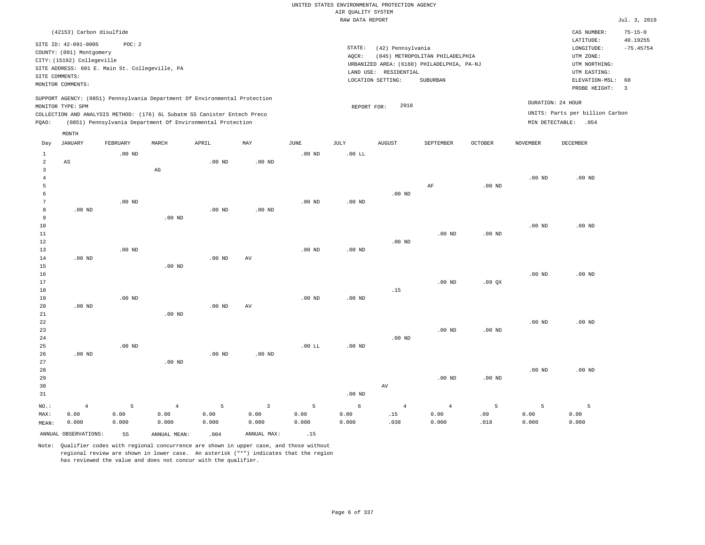|                |                                                |                   |                                                                            |          |                |          | UNITED STATES ENVIRONMENTAL PROTECTION AGENCY |                       |                                            |                   |                   |                                 |                           |
|----------------|------------------------------------------------|-------------------|----------------------------------------------------------------------------|----------|----------------|----------|-----------------------------------------------|-----------------------|--------------------------------------------|-------------------|-------------------|---------------------------------|---------------------------|
|                |                                                |                   |                                                                            |          |                |          | AIR OUALITY SYSTEM                            |                       |                                            |                   |                   |                                 |                           |
|                |                                                |                   |                                                                            |          |                |          | RAW DATA REPORT                               |                       |                                            |                   |                   |                                 | Jul. 3, 2019              |
|                | (42153) Carbon disulfide                       |                   |                                                                            |          |                |          |                                               |                       |                                            |                   |                   | CAS NUMBER:<br>LATITUDE:        | $75 - 15 - 0$<br>40.19255 |
|                | SITE ID: 42-091-0005                           | POC: 2            |                                                                            |          |                |          | STATE:                                        | (42) Pennsylvania     |                                            |                   |                   | LONGITUDE:                      | $-75.45754$               |
|                | COUNTY: (091) Montgomery                       |                   |                                                                            |          |                |          | AOCR:                                         |                       | (045) METROPOLITAN PHILADELPHIA            |                   |                   | UTM ZONE:                       |                           |
|                | CITY: (15192) Collegeville                     |                   |                                                                            |          |                |          |                                               |                       | URBANIZED AREA: (6160) PHILADELPHIA, PA-NJ |                   |                   | UTM NORTHING:                   |                           |
|                | SITE ADDRESS: 601 E. Main St. Collegeville, PA |                   |                                                                            |          |                |          |                                               | LAND USE: RESIDENTIAL |                                            |                   |                   | UTM EASTING:                    |                           |
| SITE COMMENTS: | MONITOR COMMENTS:                              |                   |                                                                            |          |                |          |                                               | LOCATION SETTING:     | SUBURBAN                                   |                   |                   | ELEVATION-MSL:                  | 60                        |
|                |                                                |                   |                                                                            |          |                |          |                                               |                       |                                            |                   |                   | PROBE HEIGHT:                   | $\overline{3}$            |
|                | MONITOR TYPE: SPM                              |                   | SUPPORT AGENCY: (0851) Pennsylvania Department Of Environmental Protection |          |                |          | REPORT FOR:                                   | 2018                  |                                            |                   |                   | DURATION: 24 HOUR               |                           |
|                |                                                |                   | COLLECTION AND ANALYSIS METHOD: (176) 6L Subatm SS Canister Entech Preco   |          |                |          |                                               |                       |                                            |                   |                   | UNITS: Parts per billion Carbon |                           |
| PQAO:          |                                                |                   | (0851) Pennsylvania Department Of Environmental Protection                 |          |                |          |                                               |                       |                                            |                   |                   | MIN DETECTABLE: . 054           |                           |
|                | MONTH                                          |                   |                                                                            |          |                |          |                                               |                       |                                            |                   |                   |                                 |                           |
| Day            | <b>JANUARY</b>                                 | FEBRUARY          | MARCH                                                                      | APRIL    | MAY            | JUNE     | <b>JULY</b>                                   | <b>AUGUST</b>         | SEPTEMBER                                  | <b>OCTOBER</b>    | <b>NOVEMBER</b>   | <b>DECEMBER</b>                 |                           |
| 1              |                                                | .00 <sub>ND</sub> |                                                                            |          |                | $.00$ ND | $.00$ LL                                      |                       |                                            |                   |                   |                                 |                           |
| 2              | $_{\rm AS}$                                    |                   |                                                                            | $.00$ ND | $.00$ ND       |          |                                               |                       |                                            |                   |                   |                                 |                           |
| $\overline{3}$ |                                                |                   | $\mathbb{A}\mathbb{G}$                                                     |          |                |          |                                               |                       |                                            |                   |                   |                                 |                           |
| $\overline{4}$ |                                                |                   |                                                                            |          |                |          |                                               |                       |                                            |                   | .00 <sub>ND</sub> | $.00$ ND                        |                           |
| 5<br>6         |                                                |                   |                                                                            |          |                |          |                                               |                       | $\rm AF$                                   | $.00$ ND          |                   |                                 |                           |
| $\overline{7}$ |                                                | $.00$ ND          |                                                                            |          |                | $.00$ ND | .00 <sub>ND</sub>                             | $.00$ ND              |                                            |                   |                   |                                 |                           |
| 8              | $.00$ ND                                       |                   |                                                                            | $.00$ ND | $.00$ ND       |          |                                               |                       |                                            |                   |                   |                                 |                           |
| 9              |                                                |                   | $.00$ ND                                                                   |          |                |          |                                               |                       |                                            |                   |                   |                                 |                           |
| 10             |                                                |                   |                                                                            |          |                |          |                                               |                       |                                            |                   | .00 <sub>ND</sub> | $.00$ ND                        |                           |
| 11             |                                                |                   |                                                                            |          |                |          |                                               |                       | .00 <sub>ND</sub>                          | .00 <sub>ND</sub> |                   |                                 |                           |
| $12$           |                                                |                   |                                                                            |          |                |          |                                               | $.00$ ND              |                                            |                   |                   |                                 |                           |
| 13             |                                                | $.00$ ND          |                                                                            |          |                | $.00$ ND | $.00$ ND                                      |                       |                                            |                   |                   |                                 |                           |
| 14             | $.00$ ND                                       |                   |                                                                            | $.00$ ND | AV             |          |                                               |                       |                                            |                   |                   |                                 |                           |
| 15             |                                                |                   | $.00$ ND                                                                   |          |                |          |                                               |                       |                                            |                   |                   |                                 |                           |
| 16             |                                                |                   |                                                                            |          |                |          |                                               |                       |                                            |                   | $.00$ ND          | $.00$ ND                        |                           |
| 17             |                                                |                   |                                                                            |          |                |          |                                               |                       | $.00$ ND                                   | .09 <sub>OX</sub> |                   |                                 |                           |
| 18             |                                                |                   |                                                                            |          |                |          |                                               | .15                   |                                            |                   |                   |                                 |                           |
| 19             | $.00$ ND                                       | $.00$ ND          |                                                                            |          |                | $.00$ ND | .00 <sub>ND</sub>                             |                       |                                            |                   |                   |                                 |                           |
| 20<br>21       |                                                |                   | $.00$ ND                                                                   | $.00$ ND | AV             |          |                                               |                       |                                            |                   |                   |                                 |                           |
| 22             |                                                |                   |                                                                            |          |                |          |                                               |                       |                                            |                   | .00 <sub>ND</sub> | $.00$ ND                        |                           |
| 23             |                                                |                   |                                                                            |          |                |          |                                               |                       | $.00$ ND                                   | $.00$ ND          |                   |                                 |                           |
| 24             |                                                |                   |                                                                            |          |                |          |                                               | $.00$ ND              |                                            |                   |                   |                                 |                           |
| 25             |                                                | .00 <sub>ND</sub> |                                                                            |          |                | .00 LL   | .00 <sub>ND</sub>                             |                       |                                            |                   |                   |                                 |                           |
| 26             | $.00$ ND                                       |                   |                                                                            | $.00$ ND | $.00$ ND       |          |                                               |                       |                                            |                   |                   |                                 |                           |
| 27             |                                                |                   | $.00$ ND                                                                   |          |                |          |                                               |                       |                                            |                   |                   |                                 |                           |
| 28             |                                                |                   |                                                                            |          |                |          |                                               |                       |                                            |                   | $.00$ ND          | $.00$ ND                        |                           |
| 29             |                                                |                   |                                                                            |          |                |          |                                               |                       | .00 <sub>ND</sub>                          | $.00$ ND          |                   |                                 |                           |
| 30             |                                                |                   |                                                                            |          |                |          |                                               | AV                    |                                            |                   |                   |                                 |                           |
| 31             |                                                |                   |                                                                            |          |                |          | $.00$ ND                                      |                       |                                            |                   |                   |                                 |                           |
| NO.:           | $\overline{4}$                                 | 5                 | $\overline{4}$                                                             | 5        | $\overline{3}$ | 5        | 6                                             | $\overline{4}$        | $\overline{4}$                             | 5                 | 5                 | $\overline{5}$                  |                           |
| MAX:           | 0.00                                           | 0.00              | 0.00                                                                       | 0.00     | 0.00           | 0.00     | 0.00                                          | .15                   | 0.00                                       | .09               | 0.00              | 0.00                            |                           |
| MEAN:          | 0.000                                          | 0.000             | 0.000                                                                      | 0.000    | 0.000          | 0.000    | 0.000                                         | .038                  | 0.000                                      | .018              | 0.000             | 0.000                           |                           |
|                | ANNUAL OBSERVATIONS:                           | 55                | ANNUAL, MEAN:                                                              | .004     | ANNUAL MAX:    | .15      |                                               |                       |                                            |                   |                   |                                 |                           |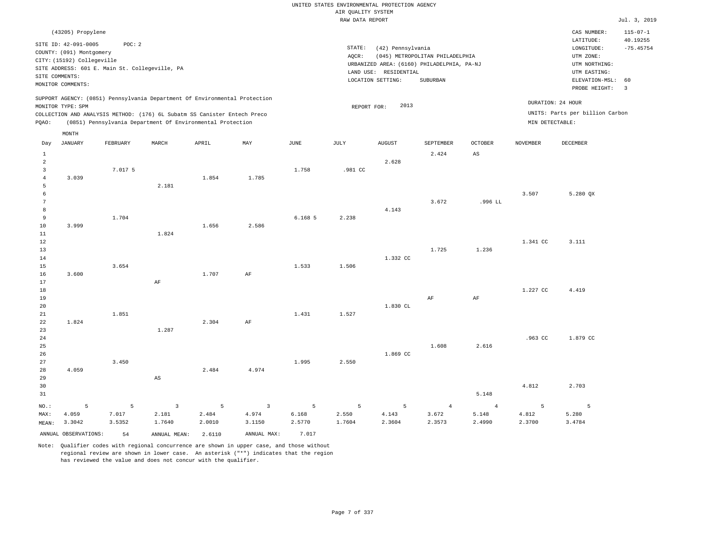|                                              |                                                                                                   |              |                                                                                                                                        |            |                         |                 | UNITED STATES ENVIRONMENTAL PROTECTION AGENCY |                                            |                                                                                                  |                         |                 |                                                              |                                           |
|----------------------------------------------|---------------------------------------------------------------------------------------------------|--------------|----------------------------------------------------------------------------------------------------------------------------------------|------------|-------------------------|-----------------|-----------------------------------------------|--------------------------------------------|--------------------------------------------------------------------------------------------------|-------------------------|-----------------|--------------------------------------------------------------|-------------------------------------------|
|                                              |                                                                                                   |              |                                                                                                                                        |            |                         |                 | AIR OUALITY SYSTEM                            |                                            |                                                                                                  |                         |                 |                                                              |                                           |
|                                              |                                                                                                   |              |                                                                                                                                        |            |                         |                 | RAW DATA REPORT                               |                                            |                                                                                                  |                         |                 |                                                              | Jul. 3, 2019                              |
|                                              | (43205) Propylene<br>SITE ID: 42-091-0005<br>COUNTY: (091) Montgomery                             | POC: 2       |                                                                                                                                        |            |                         |                 | STATE:                                        | (42) Pennsylvania                          |                                                                                                  |                         |                 | CAS NUMBER:<br>LATITUDE:<br>LONGITUDE:                       | $115 - 07 - 1$<br>40.19255<br>$-75.45754$ |
| SITE COMMENTS:                               | CITY: (15192) Collegeville<br>SITE ADDRESS: 601 E. Main St. Collegeville, PA<br>MONITOR COMMENTS: |              |                                                                                                                                        |            |                         |                 | AOCR:                                         | LAND USE: RESIDENTIAL<br>LOCATION SETTING: | (045) METROPOLITAN PHILADELPHIA<br>URBANIZED AREA: (6160) PHILADELPHIA, PA-NJ<br><b>SUBURBAN</b> |                         |                 | UTM ZONE:<br>UTM NORTHING:<br>UTM EASTING:<br>ELEVATION-MSL: | 60                                        |
|                                              |                                                                                                   |              | SUPPORT AGENCY: (0851) Pennsylvania Department Of Environmental Protection                                                             |            |                         |                 |                                               | 2013                                       |                                                                                                  |                         |                 | PROBE HEIGHT:<br>DURATION: 24 HOUR                           | $\overline{3}$                            |
| PQAO:                                        | MONITOR TYPE: SPM                                                                                 |              | COLLECTION AND ANALYSIS METHOD: (176) 6L Subatm SS Canister Entech Preco<br>(0851) Pennsylvania Department Of Environmental Protection |            |                         |                 | REPORT FOR:                                   |                                            |                                                                                                  |                         | MIN DETECTABLE: | UNITS: Parts per billion Carbon                              |                                           |
| Day                                          | MONTH<br><b>JANUARY</b>                                                                           | FEBRUARY     | MARCH                                                                                                                                  | APRIL      | MAY                     | JUNE            | <b>JULY</b>                                   | <b>AUGUST</b>                              | SEPTEMBER                                                                                        | <b>OCTOBER</b>          | <b>NOVEMBER</b> | <b>DECEMBER</b>                                              |                                           |
| 1<br>$\overline{a}$                          |                                                                                                   |              |                                                                                                                                        |            |                         |                 |                                               | 2.628                                      | 2.424                                                                                            | AS                      |                 |                                                              |                                           |
| $\overline{3}$<br>$\overline{4}$             | 3.039                                                                                             | 7.017 5      |                                                                                                                                        | 1.854      | 1.785                   | 1.758           | .981 CC                                       |                                            |                                                                                                  |                         |                 |                                                              |                                           |
| $\mathsf S$<br>$\epsilon$<br>$7\phantom{.0}$ |                                                                                                   |              | 2.181                                                                                                                                  |            |                         |                 |                                               |                                            | 3.672                                                                                            | .996 LL                 | 3.507           | 5.280 QX                                                     |                                           |
| 8<br>9<br>$10$                               | 3.999                                                                                             | 1.704        |                                                                                                                                        | 1.656      | 2.586                   | 6.1685          | 2.238                                         | 4.143                                      |                                                                                                  |                         |                 |                                                              |                                           |
| $1\,1$<br>$1\,2$                             |                                                                                                   |              | 1.824                                                                                                                                  |            |                         |                 |                                               |                                            |                                                                                                  |                         | 1.341 CC        | 3.111                                                        |                                           |
| 13<br>14<br>15                               |                                                                                                   | 3.654        |                                                                                                                                        |            |                         | 1.533           | 1.506                                         | 1.332 CC                                   | 1.725                                                                                            | 1.236                   |                 |                                                              |                                           |
| 16<br>17<br>$1\,8$                           | 3.600                                                                                             |              | AF                                                                                                                                     | 1.707      | AF                      |                 |                                               |                                            |                                                                                                  |                         | 1.227 CC        | 4.419                                                        |                                           |
| 19<br>20                                     |                                                                                                   |              |                                                                                                                                        |            |                         |                 |                                               | 1.830 CL                                   | AF                                                                                               | AF                      |                 |                                                              |                                           |
| 21<br>22<br>23                               | 1.824                                                                                             | 1.851        | 1.287                                                                                                                                  | 2.304      | AF                      | 1.431           | 1.527                                         |                                            |                                                                                                  |                         |                 |                                                              |                                           |
| 24<br>25<br>26                               |                                                                                                   |              |                                                                                                                                        |            |                         |                 |                                               | 1.869 CC                                   | 1.608                                                                                            | 2.616                   | .963 CC         | 1.879 CC                                                     |                                           |
| 27<br>28                                     | 4.059                                                                                             | 3.450        |                                                                                                                                        | 2.484      | 4.974                   | 1.995           | 2.550                                         |                                            |                                                                                                  |                         |                 |                                                              |                                           |
| 29<br>30<br>31                               |                                                                                                   |              | $\mathbb{A}\mathbb{S}$                                                                                                                 |            |                         |                 |                                               |                                            |                                                                                                  | 5.148                   | 4.812           | 2.703                                                        |                                           |
| NO.:<br>MAX:                                 | 5<br>4.059                                                                                        | 5<br>7.017   | $\overline{\mathbf{3}}$<br>2.181                                                                                                       | 5<br>2.484 | $\overline{3}$<br>4.974 | 5<br>6.168      | 5<br>2.550                                    | 5<br>4.143                                 | $\overline{4}$<br>3.672                                                                          | $\overline{4}$<br>5.148 | 5<br>4.812      | $\overline{5}$<br>5.280                                      |                                           |
| MEAN:                                        | 3.3042<br>ANNUAL OBSERVATIONS:                                                                    | 3.5352<br>54 | 1.7640<br>ANNUAL MEAN: 2.6110                                                                                                          | 2.0010     | 3.1150<br>ANNUAL MAX:   | 2.5770<br>7.017 | 1.7604                                        | 2.3604                                     | 2.3573                                                                                           | 2.4990                  | 2.3700          | 3.4784                                                       |                                           |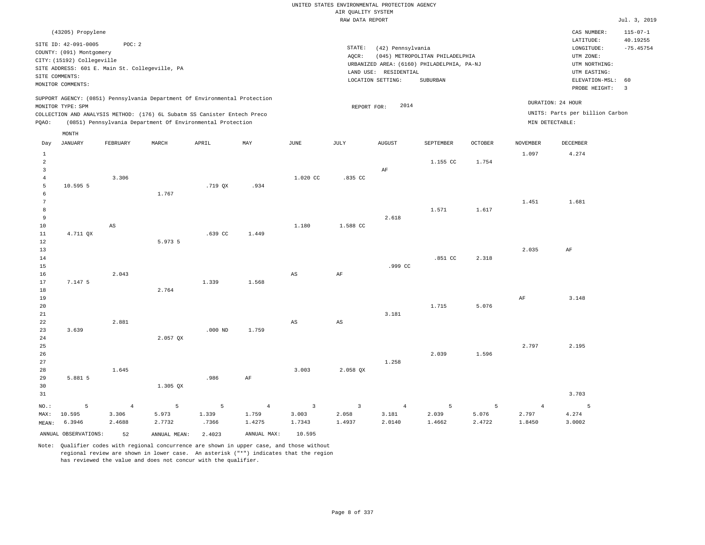|                                  | (43205) Propylene                              |                |                                                                            |           |                |                |                |                       |                                            |                |                 | CAS NUMBER:                     | $115 - 07 - 1$                |
|----------------------------------|------------------------------------------------|----------------|----------------------------------------------------------------------------|-----------|----------------|----------------|----------------|-----------------------|--------------------------------------------|----------------|-----------------|---------------------------------|-------------------------------|
|                                  | SITE ID: 42-091-0005                           | POC: 2         |                                                                            |           |                |                |                |                       |                                            |                |                 | LATITUDE:                       | 40.19255                      |
|                                  | COUNTY: (091) Montgomery                       |                |                                                                            |           |                |                | STATE:         | (42) Pennsylvania     |                                            |                |                 | LONGITUDE:                      | $-75.45754$                   |
|                                  | CITY: (15192) Collegeville                     |                |                                                                            |           |                |                | AQCR:          |                       | (045) METROPOLITAN PHILADELPHIA            |                |                 | UTM ZONE:                       |                               |
|                                  | SITE ADDRESS: 601 E. Main St. Collegeville, PA |                |                                                                            |           |                |                |                |                       | URBANIZED AREA: (6160) PHILADELPHIA, PA-NJ |                |                 | UTM NORTHING:                   |                               |
|                                  | SITE COMMENTS:                                 |                |                                                                            |           |                |                |                | LAND USE: RESIDENTIAL |                                            |                |                 | UTM EASTING:                    |                               |
|                                  | MONITOR COMMENTS:                              |                |                                                                            |           |                |                |                | LOCATION SETTING:     | <b>SUBURBAN</b>                            |                |                 | ELEVATION-MSL:<br>PROBE HEIGHT: | 60<br>$\overline{\mathbf{3}}$ |
|                                  |                                                |                |                                                                            |           |                |                |                |                       |                                            |                |                 |                                 |                               |
|                                  | MONITOR TYPE: SPM                              |                | SUPPORT AGENCY: (0851) Pennsylvania Department Of Environmental Protection |           |                |                | REPORT FOR:    | 2014                  |                                            |                |                 | DURATION: 24 HOUR               |                               |
|                                  |                                                |                | COLLECTION AND ANALYSIS METHOD: (176) 6L Subatm SS Canister Entech Preco   |           |                |                |                |                       |                                            |                |                 | UNITS: Parts per billion Carbon |                               |
| PQAO:                            |                                                |                | (0851) Pennsylvania Department Of Environmental Protection                 |           |                |                |                |                       |                                            |                | MIN DETECTABLE: |                                 |                               |
|                                  |                                                |                |                                                                            |           |                |                |                |                       |                                            |                |                 |                                 |                               |
| Day                              | MONTH<br><b>JANUARY</b>                        | FEBRUARY       | MARCH                                                                      | APRIL     | MAY            | JUNE           | JULY           | <b>AUGUST</b>         | SEPTEMBER                                  | <b>OCTOBER</b> | <b>NOVEMBER</b> | <b>DECEMBER</b>                 |                               |
|                                  |                                                |                |                                                                            |           |                |                |                |                       |                                            |                |                 |                                 |                               |
| $\mathbf{1}$                     |                                                |                |                                                                            |           |                |                |                |                       |                                            |                | 1.097           | 4.274                           |                               |
| $\overline{a}$                   |                                                |                |                                                                            |           |                |                |                |                       | 1.155 CC                                   | 1.754          |                 |                                 |                               |
| $\overline{3}$                   |                                                |                |                                                                            |           |                |                |                | $\rm{AF}$             |                                            |                |                 |                                 |                               |
| $\overline{4}$<br>$\overline{5}$ | 10.595 5                                       | 3.306          |                                                                            | .719 QX   | .934           | 1.020 CC       | .835 CC        |                       |                                            |                |                 |                                 |                               |
| $\epsilon$                       |                                                |                | 1.767                                                                      |           |                |                |                |                       |                                            |                |                 |                                 |                               |
| $7\phantom{.0}$                  |                                                |                |                                                                            |           |                |                |                |                       |                                            |                | 1.451           | 1.681                           |                               |
| 8                                |                                                |                |                                                                            |           |                |                |                |                       | 1.571                                      | 1.617          |                 |                                 |                               |
| 9                                |                                                |                |                                                                            |           |                |                |                | 2.618                 |                                            |                |                 |                                 |                               |
| 10                               |                                                | AS             |                                                                            |           |                | 1.180          | 1.588 CC       |                       |                                            |                |                 |                                 |                               |
| 11                               | 4.711 QX                                       |                |                                                                            | .639 CC   | 1.449          |                |                |                       |                                            |                |                 |                                 |                               |
| 12                               |                                                |                | 5.973 5                                                                    |           |                |                |                |                       |                                            |                |                 |                                 |                               |
| 13                               |                                                |                |                                                                            |           |                |                |                |                       |                                            |                | 2.035           | AF                              |                               |
| 14                               |                                                |                |                                                                            |           |                |                |                |                       | .851CC                                     | 2.318          |                 |                                 |                               |
| 15                               |                                                |                |                                                                            |           |                |                |                | .999 CC               |                                            |                |                 |                                 |                               |
| 16                               |                                                | 2.043          |                                                                            |           |                | $_{\rm AS}$    | $\rm{AF}$      |                       |                                            |                |                 |                                 |                               |
| 17                               | 7.147 5                                        |                |                                                                            | 1.339     | 1.568          |                |                |                       |                                            |                |                 |                                 |                               |
| 18                               |                                                |                | 2.764                                                                      |           |                |                |                |                       |                                            |                |                 |                                 |                               |
| 19                               |                                                |                |                                                                            |           |                |                |                |                       |                                            |                | AF              | 3.148                           |                               |
| 20                               |                                                |                |                                                                            |           |                |                |                |                       | 1.715                                      | 5.076          |                 |                                 |                               |
| 21<br>22                         |                                                | 2.881          |                                                                            |           |                | AS             |                | 3.181                 |                                            |                |                 |                                 |                               |
| 23                               | 3.639                                          |                |                                                                            | $.000$ ND | 1.759          |                | AS             |                       |                                            |                |                 |                                 |                               |
| 24                               |                                                |                | 2.057 QX                                                                   |           |                |                |                |                       |                                            |                |                 |                                 |                               |
| 25                               |                                                |                |                                                                            |           |                |                |                |                       |                                            |                | 2.797           | 2.195                           |                               |
| 26                               |                                                |                |                                                                            |           |                |                |                |                       | 2.039                                      | 1.596          |                 |                                 |                               |
| 27                               |                                                |                |                                                                            |           |                |                |                | 1.258                 |                                            |                |                 |                                 |                               |
| 28                               |                                                | 1.645          |                                                                            |           |                | 3.003          | $2.058$ QX     |                       |                                            |                |                 |                                 |                               |
| 29                               | 5.881 5                                        |                |                                                                            | .986      | $\rm{AF}$      |                |                |                       |                                            |                |                 |                                 |                               |
| 30                               |                                                |                | 1.305 QX                                                                   |           |                |                |                |                       |                                            |                |                 |                                 |                               |
| 31                               |                                                |                |                                                                            |           |                |                |                |                       |                                            |                |                 | 3.703                           |                               |
| NO.:                             | 5                                              | $\overline{4}$ | 5                                                                          | 5         | $\overline{4}$ | $\overline{3}$ | $\overline{3}$ | $\overline{4}$        | 5                                          | 5              | $\overline{4}$  | 5                               |                               |
| MAX:                             | 10.595                                         | 3.306          | 5.973                                                                      | 1.339     | 1.759          | 3.003          | 2.058          | 3.181                 | 2.039                                      | 5.076          | 2.797           | 4.274                           |                               |
| MEAN:                            | 6.3946                                         | 2.4688         | 2.7732                                                                     | .7366     | 1.4275         | 1.7343         | 1.4937         | 2.0140                | 1.4662                                     | 2.4722         | 1.8450          | 3.0002                          |                               |
|                                  | ANNUAL OBSERVATIONS:                           | 52             |                                                                            |           | ANNUAL MAX:    | 10.595         |                |                       |                                            |                |                 |                                 |                               |
|                                  |                                                |                | ANNUAL MEAN:                                                               | 2.4023    |                |                |                |                       |                                            |                |                 |                                 |                               |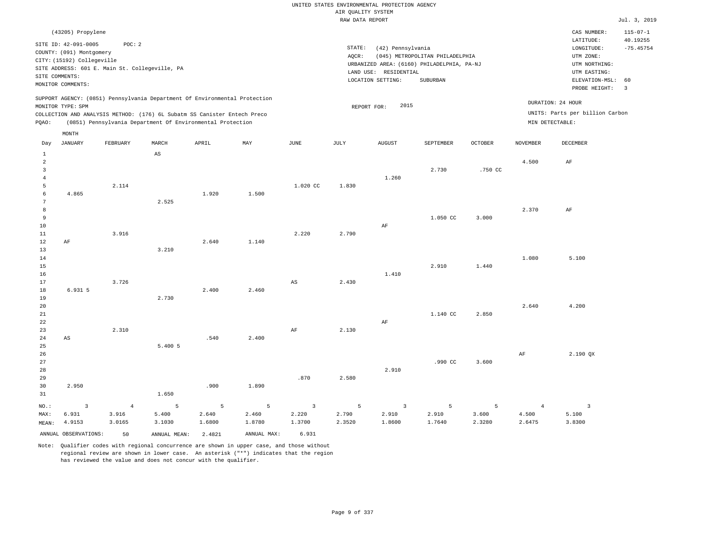|                                  |                            |                                                                            |             |        |        |                         | AIR OUALITY SYSTEM | UNITED STATES ENVIRONMENTAL PROTECTION AGENCY |                                            |                |                 |                                 |                |
|----------------------------------|----------------------------|----------------------------------------------------------------------------|-------------|--------|--------|-------------------------|--------------------|-----------------------------------------------|--------------------------------------------|----------------|-----------------|---------------------------------|----------------|
|                                  |                            |                                                                            |             |        |        |                         | RAW DATA REPORT    |                                               |                                            |                |                 |                                 | Jul. 3, 2019   |
|                                  | (43205) Propylene          |                                                                            |             |        |        |                         |                    |                                               |                                            |                |                 | CAS NUMBER:                     | $115 - 07 - 1$ |
|                                  | SITE ID: 42-091-0005       | POC: 2                                                                     |             |        |        |                         |                    |                                               |                                            |                |                 | LATITUDE:                       | 40.19255       |
|                                  | COUNTY: (091) Montgomery   |                                                                            |             |        |        |                         | STATE:             | (42) Pennsylvania                             |                                            |                |                 | $\texttt{LONGITUDE}$ :          | $-75.45754$    |
|                                  | CITY: (15192) Collegeville |                                                                            |             |        |        |                         | AOCR:              |                                               | (045) METROPOLITAN PHILADELPHIA            |                |                 | UTM ZONE:                       |                |
|                                  |                            | SITE ADDRESS: 601 E. Main St. Collegeville, PA                             |             |        |        |                         |                    | LAND USE: RESIDENTIAL                         | URBANIZED AREA: (6160) PHILADELPHIA, PA-NJ |                |                 | UTM NORTHING:<br>UTM EASTING:   |                |
| SITE COMMENTS:                   |                            |                                                                            |             |        |        |                         |                    | LOCATION SETTING:                             | SUBURBAN                                   |                |                 | ELEVATION-MSL:                  | 60             |
|                                  | MONITOR COMMENTS:          |                                                                            |             |        |        |                         |                    |                                               |                                            |                |                 | PROBE HEIGHT:                   | $\overline{3}$ |
|                                  | MONITOR TYPE: SPM          | SUPPORT AGENCY: (0851) Pennsylvania Department Of Environmental Protection |             |        |        |                         |                    | 2015                                          |                                            |                |                 | DURATION: 24 HOUR               |                |
|                                  |                            | COLLECTION AND ANALYSIS METHOD: (176) 6L Subatm SS Canister Entech Preco   |             |        |        |                         | REPORT FOR:        |                                               |                                            |                |                 | UNITS: Parts per billion Carbon |                |
| PQAO:                            |                            | (0851) Pennsylvania Department Of Environmental Protection                 |             |        |        |                         |                    |                                               |                                            |                | MIN DETECTABLE: |                                 |                |
|                                  | MONTH                      |                                                                            |             |        |        |                         |                    |                                               |                                            |                |                 |                                 |                |
| Day                              | <b>JANUARY</b>             | FEBRUARY                                                                   | MARCH       | APRIL  | MAY    | <b>JUNE</b>             | JULY               | <b>AUGUST</b>                                 | SEPTEMBER                                  | <b>OCTOBER</b> | <b>NOVEMBER</b> | DECEMBER                        |                |
| $\mathbf{1}$                     |                            |                                                                            | $_{\rm AS}$ |        |        |                         |                    |                                               |                                            |                |                 |                                 |                |
| $\overline{a}$<br>$\overline{3}$ |                            |                                                                            |             |        |        |                         |                    |                                               | 2.730                                      | .750 CC        | 4.500           | $\rm{AF}$                       |                |
| $\overline{4}$                   |                            |                                                                            |             |        |        |                         |                    | 1.260                                         |                                            |                |                 |                                 |                |
| 5                                |                            | 2.114                                                                      |             |        |        | 1.020 CC                | 1.830              |                                               |                                            |                |                 |                                 |                |
| 6                                | 4.865                      |                                                                            |             | 1.920  | 1.500  |                         |                    |                                               |                                            |                |                 |                                 |                |
| $\overline{7}$                   |                            |                                                                            | 2.525       |        |        |                         |                    |                                               |                                            |                |                 |                                 |                |
| 8                                |                            |                                                                            |             |        |        |                         |                    |                                               |                                            |                | 2.370           | AF                              |                |
| $\,9$                            |                            |                                                                            |             |        |        |                         |                    |                                               | 1.050 CC                                   | 3.000          |                 |                                 |                |
| 10                               |                            |                                                                            |             |        |        |                         |                    | AF                                            |                                            |                |                 |                                 |                |
| 11<br>12                         | $\rm AF$                   | 3.916                                                                      |             | 2.640  | 1.140  | 2.220                   | 2.790              |                                               |                                            |                |                 |                                 |                |
| 13                               |                            |                                                                            | 3.210       |        |        |                         |                    |                                               |                                            |                |                 |                                 |                |
| 14                               |                            |                                                                            |             |        |        |                         |                    |                                               |                                            |                | 1.080           | 5.100                           |                |
| 15                               |                            |                                                                            |             |        |        |                         |                    |                                               | 2.910                                      | 1.440          |                 |                                 |                |
| 16                               |                            |                                                                            |             |        |        |                         |                    | 1.410                                         |                                            |                |                 |                                 |                |
| 17                               |                            | 3.726                                                                      |             |        |        | $\mathbb{A}\mathbb{S}$  | 2.430              |                                               |                                            |                |                 |                                 |                |
| 18                               | 6.931 5                    |                                                                            |             | 2.400  | 2.460  |                         |                    |                                               |                                            |                |                 |                                 |                |
| 19                               |                            |                                                                            | 2.730       |        |        |                         |                    |                                               |                                            |                |                 |                                 |                |
| 20<br>21                         |                            |                                                                            |             |        |        |                         |                    |                                               | 1.140 CC                                   | 2.850          | 2.640           | 4.200                           |                |
| $2\sqrt{2}$                      |                            |                                                                            |             |        |        |                         |                    | $\rm AF$                                      |                                            |                |                 |                                 |                |
| 23                               |                            | 2.310                                                                      |             |        |        | AF                      | 2.130              |                                               |                                            |                |                 |                                 |                |
| 24                               | AS                         |                                                                            |             | .540   | 2.400  |                         |                    |                                               |                                            |                |                 |                                 |                |
| 25                               |                            |                                                                            | 5.400 5     |        |        |                         |                    |                                               |                                            |                |                 |                                 |                |
| 26                               |                            |                                                                            |             |        |        |                         |                    |                                               |                                            |                | AF              | 2.190 QX                        |                |
| 27                               |                            |                                                                            |             |        |        |                         |                    |                                               | .990 CC                                    | 3.600          |                 |                                 |                |
| 28                               |                            |                                                                            |             |        |        |                         |                    | 2.910                                         |                                            |                |                 |                                 |                |
| 29                               |                            |                                                                            |             |        |        | .870                    | 2.580              |                                               |                                            |                |                 |                                 |                |
| 30<br>31                         | 2.950                      |                                                                            | 1.650       | .900   | 1.890  |                         |                    |                                               |                                            |                |                 |                                 |                |
| NO.:                             | 3                          | $\overline{4}$                                                             | 5           | 5      | 5      | $\overline{\mathbf{3}}$ | 5                  | $\overline{3}$                                | 5                                          | 5              | $\overline{4}$  | $\overline{3}$                  |                |
| MAX:                             | 6.931                      | 3.916                                                                      | 5.400       | 2.640  | 2.460  | 2.220                   | 2.790              | 2.910                                         | 2.910                                      | 3.600          | 4.500           | 5.100                           |                |
| MEAN:                            | 4.9153                     | 3.0165                                                                     | 3.1030      | 1.6800 | 1.8780 | 1.3700                  | 2.3520             | 1.8600                                        | 1.7640                                     | 2.3280         | 2.6475          | 3.8300                          |                |

ANNUAL OBSERVATIONS: 50 ANNUAL MEAN: 2.4821 ANNUAL MAX: 6.931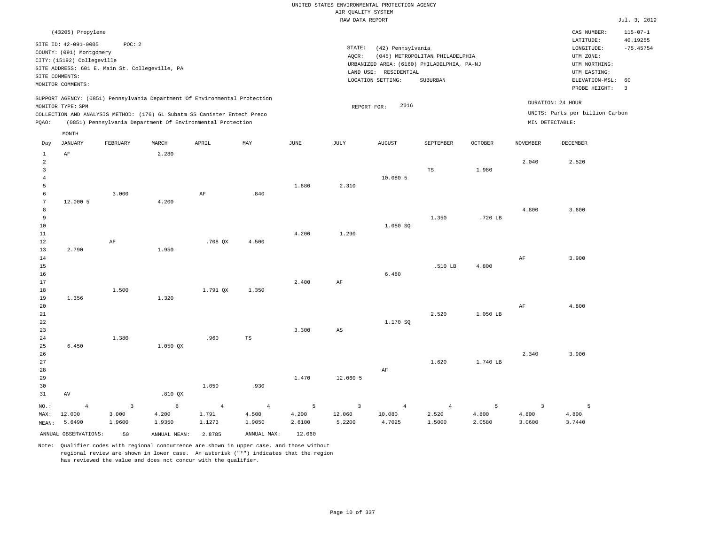|                                                                       |                                                                                                  |                                            |                                                                                                                                                                                                                      |                                   |                                   |                      | AIR QUALITY SYSTEM                          | UNITED STATES ENVIRONMENTAL PROTECTION AGENCY                                            |                                   |                      |                                            |                                                                       |                         |
|-----------------------------------------------------------------------|--------------------------------------------------------------------------------------------------|--------------------------------------------|----------------------------------------------------------------------------------------------------------------------------------------------------------------------------------------------------------------------|-----------------------------------|-----------------------------------|----------------------|---------------------------------------------|------------------------------------------------------------------------------------------|-----------------------------------|----------------------|--------------------------------------------|-----------------------------------------------------------------------|-------------------------|
|                                                                       |                                                                                                  |                                            |                                                                                                                                                                                                                      |                                   |                                   |                      | RAW DATA REPORT                             |                                                                                          |                                   |                      |                                            |                                                                       | Jul. 3, 2019            |
|                                                                       | (43205) Propylene                                                                                |                                            |                                                                                                                                                                                                                      |                                   |                                   |                      |                                             |                                                                                          |                                   |                      |                                            | CAS NUMBER:                                                           | $115 - 07 - 1$          |
|                                                                       | SITE ID: 42-091-0005<br>COUNTY: (091) Montgomery<br>CITY: (15192) Collegeville<br>SITE COMMENTS: | POC: 2                                     | SITE ADDRESS: 601 E. Main St. Collegeville, PA                                                                                                                                                                       |                                   |                                   |                      | STATE:<br>AQCR:                             | (42) Pennsylvania<br>URBANIZED AREA: (6160) PHILADELPHIA, PA-NJ<br>LAND USE: RESIDENTIAL | (045) METROPOLITAN PHILADELPHIA   |                      |                                            | LATITUDE:<br>LONGITUDE:<br>UTM ZONE:<br>UTM NORTHING:<br>UTM EASTING: | 40.19255<br>$-75.45754$ |
|                                                                       | MONITOR COMMENTS:                                                                                |                                            |                                                                                                                                                                                                                      |                                   |                                   |                      |                                             | LOCATION SETTING:                                                                        | SUBURBAN                          |                      |                                            | ELEVATION-MSL:<br>PROBE HEIGHT:                                       | 60<br>$\overline{3}$    |
| PQAO:                                                                 | MONITOR TYPE: SPM                                                                                |                                            | SUPPORT AGENCY: (0851) Pennsylvania Department Of Environmental Protection<br>COLLECTION AND ANALYSIS METHOD: (176) 6L Subatm SS Canister Entech Preco<br>(0851) Pennsylvania Department Of Environmental Protection |                                   |                                   |                      |                                             | 2016<br>REPORT FOR:                                                                      |                                   |                      | MIN DETECTABLE:                            | DURATION: 24 HOUR<br>UNITS: Parts per billion Carbon                  |                         |
| Day                                                                   | MONTH<br><b>JANUARY</b>                                                                          | FEBRUARY                                   | MARCH                                                                                                                                                                                                                | APRIL                             | MAY                               | $_{\rm JUNE}$        | <b>JULY</b>                                 | ${\tt AUGUST}$                                                                           | SEPTEMBER                         | <b>OCTOBER</b>       | <b>NOVEMBER</b>                            | <b>DECEMBER</b>                                                       |                         |
| 1<br>$\overline{a}$<br>$\overline{\mathbf{3}}$<br>$\overline{4}$<br>5 | AF                                                                                               |                                            | 2.280                                                                                                                                                                                                                |                                   |                                   | 1.680                | 2.310                                       | 10.080 5                                                                                 | $\mathbb{TS}$                     | 1.980                | 2.040                                      | 2.520                                                                 |                         |
| 6<br>$7\phantom{.0}$<br>8<br>9<br>10<br>11                            | 12.000 5                                                                                         | 3.000                                      | 4.200                                                                                                                                                                                                                | AF                                | .840                              | 4.200                | 1.290                                       | 1.080 SQ                                                                                 | 1.350                             | .720 LB              | 4.800                                      | 3.600                                                                 |                         |
| 12<br>13<br>14<br>15<br>16<br>17                                      | 2.790                                                                                            | AF                                         | 1.950                                                                                                                                                                                                                | .708 QX                           | 4.500                             | 2.400                | AF                                          | 6.480                                                                                    | .510 LB                           | 4.800                | AF                                         | 3.900                                                                 |                         |
| 18<br>19<br>20<br>21<br>22<br>23                                      | 1.356                                                                                            | 1.500                                      | 1.320                                                                                                                                                                                                                | 1.791 OX                          | 1.350                             | 3.300                | $\mathbb{A}\mathbb{S}$                      | 1.170 SQ                                                                                 | 2.520                             | 1.050 LB             | AF                                         | 4.800                                                                 |                         |
| 24<br>25<br>26<br>27<br>28<br>29                                      | 6.450                                                                                            | 1.380                                      | 1.050 OX                                                                                                                                                                                                             | .960                              | TS                                | 1.470                | 12.060 5                                    | AF                                                                                       | 1.620                             | 1.740 LB             | 2.340                                      | 3.900                                                                 |                         |
| 30<br>31                                                              | AV                                                                                               |                                            | .810 QX                                                                                                                                                                                                              | 1.050                             | .930                              |                      |                                             |                                                                                          |                                   |                      |                                            |                                                                       |                         |
| NO.:<br>MAX:<br>MEAN:                                                 | $\overline{4}$<br>12.000<br>5.6490                                                               | $\overline{\mathbf{3}}$<br>3.000<br>1.9600 | $\epsilon$<br>4.200<br>1.9350                                                                                                                                                                                        | $\overline{4}$<br>1.791<br>1.1273 | $\overline{4}$<br>4.500<br>1.9050 | 5<br>4.200<br>2.6100 | $\overline{\mathbf{3}}$<br>12.060<br>5.2200 | $\overline{4}$<br>10.080<br>4.7025                                                       | $\overline{4}$<br>2.520<br>1.5000 | 5<br>4.800<br>2.0580 | $\overline{\mathbf{3}}$<br>4.800<br>3.0600 | 5<br>4.800<br>3.7440                                                  |                         |
|                                                                       | ANNUAL OBSERVATIONS:                                                                             | 50                                         | ANNUAL MEAN: 2.8785                                                                                                                                                                                                  |                                   | ANNUAL MAX:                       | 12,060               |                                             |                                                                                          |                                   |                      |                                            |                                                                       |                         |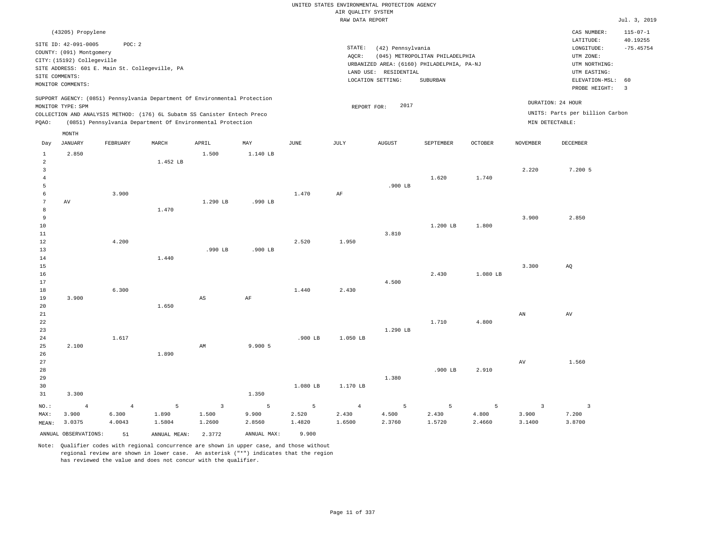|                         |                                                |                |                                                                            |                         |                |             |                    | UNITED STATES ENVIRONMENTAL PROTECTION AGENCY |                                            |                |                     |                                 |                         |
|-------------------------|------------------------------------------------|----------------|----------------------------------------------------------------------------|-------------------------|----------------|-------------|--------------------|-----------------------------------------------|--------------------------------------------|----------------|---------------------|---------------------------------|-------------------------|
|                         |                                                |                |                                                                            |                         |                |             | AIR QUALITY SYSTEM |                                               |                                            |                |                     |                                 |                         |
|                         |                                                |                |                                                                            |                         |                |             | RAW DATA REPORT    |                                               |                                            |                |                     |                                 | Jul. 3, 2019            |
|                         | (43205) Propylene                              |                |                                                                            |                         |                |             |                    |                                               |                                            |                |                     | CAS NUMBER:                     | $115 - 07 - 1$          |
|                         | SITE ID: 42-091-0005                           | POC: 2         |                                                                            |                         |                |             | STATE:             | (42) Pennsylvania                             |                                            |                |                     | LATITUDE:<br>LONGITUDE:         | 40.19255<br>$-75.45754$ |
|                         | COUNTY: (091) Montgomery                       |                |                                                                            |                         |                |             | AQCR:              |                                               | (045) METROPOLITAN PHILADELPHIA            |                |                     | UTM ZONE:                       |                         |
|                         | CITY: (15192) Collegeville                     |                |                                                                            |                         |                |             |                    |                                               | URBANIZED AREA: (6160) PHILADELPHIA, PA-NJ |                |                     | UTM NORTHING:                   |                         |
|                         | SITE ADDRESS: 601 E. Main St. Collegeville, PA |                |                                                                            |                         |                |             |                    | LAND USE: RESIDENTIAL                         |                                            |                |                     | UTM EASTING:                    |                         |
| SITE COMMENTS:          |                                                |                |                                                                            |                         |                |             |                    | LOCATION SETTING:                             | SUBURBAN                                   |                |                     | ELEVATION-MSL:                  | 60                      |
|                         | MONITOR COMMENTS:                              |                |                                                                            |                         |                |             |                    |                                               |                                            |                |                     | PROBE HEIGHT:                   | $\overline{\mathbf{3}}$ |
|                         | MONITOR TYPE: SPM                              |                | SUPPORT AGENCY: (0851) Pennsylvania Department Of Environmental Protection |                         |                |             | REPORT FOR:        | 2017                                          |                                            |                |                     | DURATION: 24 HOUR               |                         |
|                         |                                                |                | COLLECTION AND ANALYSIS METHOD: (176) 6L Subatm SS Canister Entech Preco   |                         |                |             |                    |                                               |                                            |                |                     | UNITS: Parts per billion Carbon |                         |
| PQAO:                   |                                                |                | (0851) Pennsylvania Department Of Environmental Protection                 |                         |                |             |                    |                                               |                                            |                |                     | MIN DETECTABLE:                 |                         |
| Day                     | MONTH<br><b>JANUARY</b>                        | FEBRUARY       | MARCH                                                                      | APRIL                   | MAY            | <b>JUNE</b> | <b>JULY</b>        | <b>AUGUST</b>                                 | SEPTEMBER                                  | <b>OCTOBER</b> | <b>NOVEMBER</b>     | <b>DECEMBER</b>                 |                         |
|                         |                                                |                |                                                                            |                         |                |             |                    |                                               |                                            |                |                     |                                 |                         |
| $\,$ 1<br>$\sqrt{2}$    | 2.850                                          |                | 1.452 LB                                                                   | 1.500                   | 1.140 LB       |             |                    |                                               |                                            |                |                     |                                 |                         |
| $\overline{\mathbf{3}}$ |                                                |                |                                                                            |                         |                |             |                    |                                               |                                            |                | 2.220               | 7.200 5                         |                         |
| $\overline{4}$          |                                                |                |                                                                            |                         |                |             |                    |                                               | 1.620                                      | 1.740          |                     |                                 |                         |
| 5                       |                                                |                |                                                                            |                         |                |             |                    | $.900$ LB                                     |                                            |                |                     |                                 |                         |
| 6                       |                                                | 3.900          |                                                                            |                         |                | 1.470       | AF                 |                                               |                                            |                |                     |                                 |                         |
| $\overline{7}$          | AV                                             |                |                                                                            | 1.290 LB                | .990 LB        |             |                    |                                               |                                            |                |                     |                                 |                         |
| 8                       |                                                |                | 1.470                                                                      |                         |                |             |                    |                                               |                                            |                |                     |                                 |                         |
| $\overline{9}$          |                                                |                |                                                                            |                         |                |             |                    |                                               |                                            |                | 3.900               | 2.850                           |                         |
| $10$                    |                                                |                |                                                                            |                         |                |             |                    |                                               | 1.200 LB                                   | 1.800          |                     |                                 |                         |
| 11                      |                                                |                |                                                                            |                         |                |             |                    | 3.810                                         |                                            |                |                     |                                 |                         |
| 12<br>13                |                                                | 4.200          |                                                                            | .990 LB                 | $.900$ LB      | 2.520       | 1.950              |                                               |                                            |                |                     |                                 |                         |
| 14                      |                                                |                | 1.440                                                                      |                         |                |             |                    |                                               |                                            |                |                     |                                 |                         |
| 15                      |                                                |                |                                                                            |                         |                |             |                    |                                               |                                            |                | 3.300               | AO                              |                         |
| 16                      |                                                |                |                                                                            |                         |                |             |                    |                                               | 2.430                                      | 1.080 LB       |                     |                                 |                         |
| 17                      |                                                |                |                                                                            |                         |                |             |                    | 4.500                                         |                                            |                |                     |                                 |                         |
| 18                      |                                                | 6.300          |                                                                            |                         |                | 1.440       | 2.430              |                                               |                                            |                |                     |                                 |                         |
| 19                      | 3.900                                          |                |                                                                            | $\mathbb{A}\mathbb{S}$  | $\rm AF$       |             |                    |                                               |                                            |                |                     |                                 |                         |
| 20                      |                                                |                | 1.650                                                                      |                         |                |             |                    |                                               |                                            |                |                     |                                 |                         |
| 21                      |                                                |                |                                                                            |                         |                |             |                    |                                               |                                            |                | AN                  | AV                              |                         |
| 22                      |                                                |                |                                                                            |                         |                |             |                    |                                               | 1.710                                      | 4.800          |                     |                                 |                         |
| 23<br>24                |                                                | 1.617          |                                                                            |                         |                | .900 LB     | 1.050 LB           | 1.290 LB                                      |                                            |                |                     |                                 |                         |
| 25                      | 2.100                                          |                |                                                                            | AM                      | 9.900 5        |             |                    |                                               |                                            |                |                     |                                 |                         |
| 26                      |                                                |                | 1.890                                                                      |                         |                |             |                    |                                               |                                            |                |                     |                                 |                         |
| 27                      |                                                |                |                                                                            |                         |                |             |                    |                                               |                                            |                | $\operatorname{AV}$ | 1.560                           |                         |
| 28                      |                                                |                |                                                                            |                         |                |             |                    |                                               | $.900$ LB                                  | 2.910          |                     |                                 |                         |
| 29                      |                                                |                |                                                                            |                         |                |             |                    | 1.380                                         |                                            |                |                     |                                 |                         |
| 30                      |                                                |                |                                                                            |                         |                | 1.080 LB    | 1.170 LB           |                                               |                                            |                |                     |                                 |                         |
| 31                      | 3.300                                          |                |                                                                            |                         | 1.350          |             |                    |                                               |                                            |                |                     |                                 |                         |
| NO.:                    | $\overline{4}$                                 | $\overline{4}$ | $\overline{5}$                                                             | $\overline{\mathbf{3}}$ | $\overline{5}$ | 5           | $\overline{4}$     | 5                                             | 5                                          | 5              | $\overline{3}$      | $\overline{\mathbf{3}}$         |                         |
| MAX:                    | 3.900                                          | 6.300          | 1.890                                                                      | 1.500                   | 9.900          | 2.520       | 2.430              | 4.500                                         | 2.430                                      | 4.800          | 3.900               | 7.200                           |                         |
| MEAN:                   | 3.0375                                         | 4.0043         | 1.5804                                                                     | 1.2600                  | 2.8560         | 1.4820      | 1.6500             | 2.3760                                        | 1.5720                                     | 2.4660         | 3.1400              | 3.8700                          |                         |
|                         | ANNUAL OBSERVATIONS:                           | 51             | ANNUAL MEAN: 2.3772                                                        |                         | ANNUAL MAX:    | 9,900       |                    |                                               |                                            |                |                     |                                 |                         |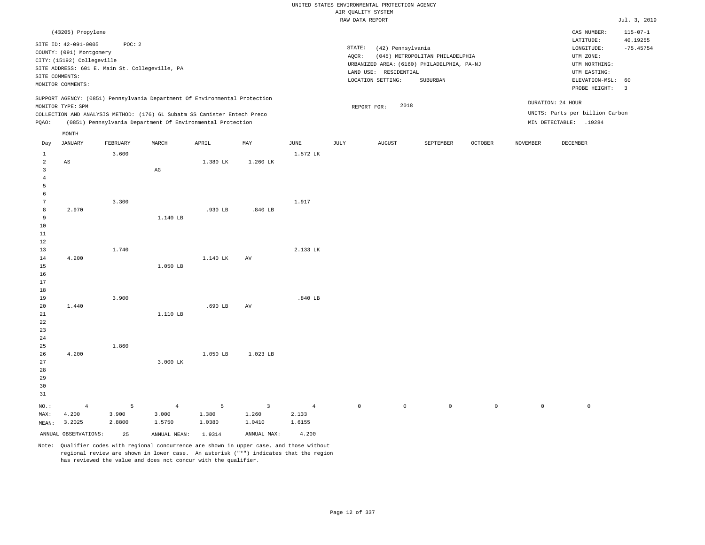|                                                         |                                                                                                                                                                                                                                                    |                                                          |          |           |           |                         | AIR QUALITY SYSTEM | UNITED STATES ENVIRONMENTAL PROTECTION AGENCY                                                                 |                                             |         |                 |                                                                                                 |                               |
|---------------------------------------------------------|----------------------------------------------------------------------------------------------------------------------------------------------------------------------------------------------------------------------------------------------------|----------------------------------------------------------|----------|-----------|-----------|-------------------------|--------------------|---------------------------------------------------------------------------------------------------------------|---------------------------------------------|---------|-----------------|-------------------------------------------------------------------------------------------------|-------------------------------|
|                                                         |                                                                                                                                                                                                                                                    |                                                          |          |           |           |                         | RAW DATA REPORT    |                                                                                                               |                                             |         |                 |                                                                                                 | Jul. 3, 2019                  |
|                                                         | (43205) Propylene                                                                                                                                                                                                                                  |                                                          |          |           |           |                         |                    |                                                                                                               |                                             |         |                 | CAS NUMBER:                                                                                     | $115 - 07 - 1$                |
|                                                         | SITE ID: 42-091-0005<br>COUNTY: (091) Montgomery<br>CITY: (15192) Collegeville<br>SITE COMMENTS:<br>MONITOR COMMENTS:                                                                                                                              | POC: 2<br>SITE ADDRESS: 601 E. Main St. Collegeville, PA |          |           |           |                         | STATE:<br>AQCR:    | (42) Pennsylvania<br>URBANIZED AREA: (6160) PHILADELPHIA, PA-NJ<br>LAND USE: RESIDENTIAL<br>LOCATION SETTING: | (045) METROPOLITAN PHILADELPHIA<br>SUBURBAN |         |                 | LATITUDE:<br>LONGITUDE:<br>UTM ZONE:<br>UTM NORTHING:<br>UTM EASTING:<br>ELEVATION-MSL:         | 40.19255<br>$-75.45754$<br>60 |
| PQAO:                                                   | SUPPORT AGENCY: (0851) Pennsylvania Department Of Environmental Protection<br>MONITOR TYPE: SPM<br>COLLECTION AND ANALYSIS METHOD: (176) 6L Subatm SS Canister Entech Preco<br>(0851) Pennsylvania Department Of Environmental Protection<br>MONTH |                                                          |          |           |           |                         |                    | 2018<br>REPORT FOR:                                                                                           |                                             |         |                 | PROBE HEIGHT:<br>DURATION: 24 HOUR<br>UNITS: Parts per billion Carbon<br>MIN DETECTABLE: .19284 | $\overline{3}$                |
|                                                         |                                                                                                                                                                                                                                                    |                                                          |          |           |           |                         |                    |                                                                                                               |                                             |         |                 |                                                                                                 |                               |
| Day<br>$\mathbf{1}$                                     | <b>JANUARY</b>                                                                                                                                                                                                                                     | FEBRUARY<br>3.600                                        | MARCH    | APRIL     | MAY       | <b>JUNE</b><br>1.572 LK | <b>JULY</b>        | <b>AUGUST</b>                                                                                                 | SEPTEMBER                                   | OCTOBER | <b>NOVEMBER</b> | DECEMBER                                                                                        |                               |
| $\overline{a}$<br>$\overline{3}$<br>$\overline{4}$<br>5 | $\mathbb{A}\mathbb{S}$                                                                                                                                                                                                                             |                                                          | AG       | 1.380 LK  | 1.260 LK  |                         |                    |                                                                                                               |                                             |         |                 |                                                                                                 |                               |
| 6<br>7<br>8<br>9<br>10                                  | 2.970                                                                                                                                                                                                                                              | 3.300                                                    | 1.140 LB | $.930$ LB | $.840$ LB | 1.917                   |                    |                                                                                                               |                                             |         |                 |                                                                                                 |                               |
| 11<br>12<br>13<br>14<br>15                              | 4.200                                                                                                                                                                                                                                              | 1.740                                                    | 1.050 LB | 1.140 LK  | AV        | 2.133 LK                |                    |                                                                                                               |                                             |         |                 |                                                                                                 |                               |
| 16<br>17<br>18<br>19<br>20<br>21                        | 1.440                                                                                                                                                                                                                                              | 3.900                                                    | 1.110 LB | $.690$ LB | AV        | .840 LB                 |                    |                                                                                                               |                                             |         |                 |                                                                                                 |                               |
| 22<br>23<br>24<br>25<br>26<br>27<br>28                  | 4.200                                                                                                                                                                                                                                              | 1.860                                                    | 3.000 LK | 1.050 LB  | 1.023 LB  |                         |                    |                                                                                                               |                                             |         |                 |                                                                                                 |                               |

31 NO.: MAX: MEAN: 4 4.200 3.2025 5 3.900 2.8800 4 3.000 1.5750 5 1.380 1.0380 3 1.260 1.0410 4 2.133 1.6155 0 0 0 0 0 0

ANNUAL OBSERVATIONS: 25 ANNUAL MEAN: 1.9314 ANNUAL MAX: 4.200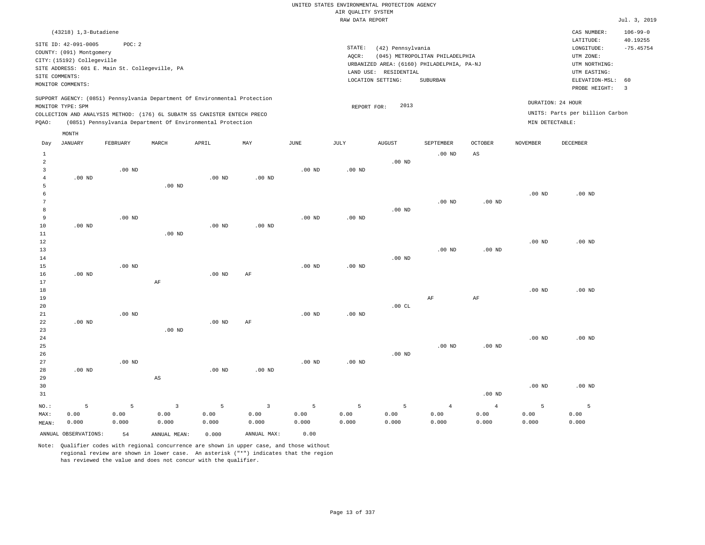# UNITED STATES ENVIRONMENTAL PROTECTION AGENCY AIR QUALITY SYSTEM

|                                                       |                                                                                                                       |                                                          |                        |                                                                                                                                                                                                                      |          |          | RAW DATA REPORT   |                                                                 |                                                                                                  |                   |                   |                                                                                                          | Jul. 3, 2019                                             |
|-------------------------------------------------------|-----------------------------------------------------------------------------------------------------------------------|----------------------------------------------------------|------------------------|----------------------------------------------------------------------------------------------------------------------------------------------------------------------------------------------------------------------|----------|----------|-------------------|-----------------------------------------------------------------|--------------------------------------------------------------------------------------------------|-------------------|-------------------|----------------------------------------------------------------------------------------------------------|----------------------------------------------------------|
|                                                       | (43218) 1,3-Butadiene                                                                                                 |                                                          |                        |                                                                                                                                                                                                                      |          |          |                   |                                                                 |                                                                                                  |                   |                   | CAS NUMBER:                                                                                              | $106 - 99 - 0$                                           |
|                                                       | SITE ID: 42-091-0005<br>COUNTY: (091) Montgomery<br>CITY: (15192) Collegeville<br>SITE COMMENTS:<br>MONITOR COMMENTS: | POC: 2<br>SITE ADDRESS: 601 E. Main St. Collegeville, PA |                        |                                                                                                                                                                                                                      |          |          | STATE:<br>AQCR:   | (42) Pennsylvania<br>LAND USE: RESIDENTIAL<br>LOCATION SETTING: | (045) METROPOLITAN PHILADELPHIA<br>URBANIZED AREA: (6160) PHILADELPHIA, PA-NJ<br><b>SUBURBAN</b> |                   |                   | LATITUDE:<br>LONGITUDE:<br>UTM ZONE:<br>UTM NORTHING:<br>UTM EASTING:<br>ELEVATION-MSL:<br>PROBE HEIGHT: | 40.19255<br>$-75.45754$<br>60<br>$\overline{\mathbf{3}}$ |
| POAO:                                                 | MONITOR TYPE: SPM                                                                                                     |                                                          |                        | SUPPORT AGENCY: (0851) Pennsylvania Department Of Environmental Protection<br>COLLECTION AND ANALYSIS METHOD: (176) 6L SUBATM SS CANISTER ENTECH PRECO<br>(0851) Pennsylvania Department Of Environmental Protection |          |          | REPORT FOR:       | 2013                                                            |                                                                                                  |                   | MIN DETECTABLE:   | DURATION: 24 HOUR<br>UNITS: Parts per billion Carbon                                                     |                                                          |
| Day                                                   | MONTH<br><b>JANUARY</b>                                                                                               | FEBRUARY                                                 | MARCH                  | APRIL                                                                                                                                                                                                                | MAY      | JUNE     | JULY              | <b>AUGUST</b>                                                   | SEPTEMBER                                                                                        | <b>OCTOBER</b>    | <b>NOVEMBER</b>   | DECEMBER                                                                                                 |                                                          |
| $\mathbf{1}$                                          |                                                                                                                       |                                                          |                        |                                                                                                                                                                                                                      |          |          |                   |                                                                 | .00 <sub>ND</sub>                                                                                | AS                |                   |                                                                                                          |                                                          |
| $\overline{a}$<br>$\mathbf{3}$<br>$\overline{4}$<br>5 | $.00$ ND                                                                                                              | $.00$ ND                                                 | $.00$ ND               | .00 <sub>ND</sub>                                                                                                                                                                                                    | $.00$ ND | $.00$ ND | $.00$ ND          | $.00$ ND                                                        |                                                                                                  |                   |                   |                                                                                                          |                                                          |
| 6<br>7<br>8                                           |                                                                                                                       |                                                          |                        |                                                                                                                                                                                                                      |          |          |                   | .00 <sub>ND</sub>                                               | $.00$ ND                                                                                         | .00 <sub>ND</sub> | .00 <sub>ND</sub> | $.00$ ND                                                                                                 |                                                          |
| 9<br>10<br>11<br>12                                   | $.00$ ND                                                                                                              | $.00$ ND                                                 | $.00$ ND               | $.00$ ND                                                                                                                                                                                                             | $.00$ ND | $.00$ ND | .00 <sub>ND</sub> |                                                                 |                                                                                                  |                   |                   |                                                                                                          |                                                          |
| 13<br>14<br>15                                        |                                                                                                                       | $.00$ ND                                                 |                        |                                                                                                                                                                                                                      |          | $.00$ ND | .00 <sub>ND</sub> | $.00$ ND                                                        | $.00$ ND                                                                                         | $.00$ ND          | .00 <sub>ND</sub> | $.00$ ND                                                                                                 |                                                          |
| 16<br>17<br>18                                        | $.00$ ND                                                                                                              |                                                          | AF                     | $.00$ ND                                                                                                                                                                                                             | AF       |          |                   |                                                                 |                                                                                                  |                   | .00 <sub>ND</sub> | $.00$ ND                                                                                                 |                                                          |
| 19<br>20<br>21<br>22                                  | $.00$ ND                                                                                                              | $.00$ ND                                                 |                        | $.00$ ND                                                                                                                                                                                                             | $\rm AF$ | $.00$ ND | $.00$ ND          | .00CL                                                           | AF                                                                                               | AF                |                   |                                                                                                          |                                                          |
| 23<br>24<br>25                                        |                                                                                                                       |                                                          | $.00$ ND               |                                                                                                                                                                                                                      |          |          |                   |                                                                 | $.00$ ND                                                                                         | .00 <sub>ND</sub> | .00 <sub>ND</sub> | $.00$ ND                                                                                                 |                                                          |
| 26<br>27<br>28<br>29                                  | $.00$ ND                                                                                                              | $.00$ ND                                                 | $\mathbb{A}\mathbb{S}$ | $.00$ ND                                                                                                                                                                                                             | $.00$ ND | $.00$ ND | .00 <sub>ND</sub> | $.00$ ND                                                        |                                                                                                  |                   |                   |                                                                                                          |                                                          |
| 30<br>21                                              |                                                                                                                       |                                                          |                        |                                                                                                                                                                                                                      |          |          |                   |                                                                 |                                                                                                  | $00 \text{ MP}$   | .00 <sub>ND</sub> | $.00$ ND                                                                                                 |                                                          |

| - 31  |                                                            |       |                                                                                                                                     |       |             |       |       |       |       | .UU ND |       |       |
|-------|------------------------------------------------------------|-------|-------------------------------------------------------------------------------------------------------------------------------------|-------|-------------|-------|-------|-------|-------|--------|-------|-------|
| NO.:  | $\sim$ 5 and $\sim$ 5 and $\sim$ 5 and $\sim$ 5 and $\sim$ |       | $5 \qquad \qquad 3 \qquad \qquad 5 \qquad \qquad 3 \qquad \qquad 5 \qquad \qquad 5 \qquad \qquad 5 \qquad \qquad 4 \qquad \qquad 4$ |       |             |       |       |       |       |        |       |       |
| MAX:  | 0.00                                                       | 0.00  | 0.00                                                                                                                                | 0.00  | 0.00        | 0.00  | 0.00  | 0.00  | 0.00  | 0.00   | 0.00  | 0.00  |
| MEAN: | 0.000                                                      | 0.000 | 0.000                                                                                                                               | 0.000 | 0.000       | 0.000 | 0.000 | 0.000 | 0.000 | 0.000  | 0.000 | 0.000 |
|       | ANNUAL OBSERVATIONS:                                       | 54    | ANNUAL MEAN:                                                                                                                        | 0.000 | ANNUAL MAX: | 0.00  |       |       |       |        |       |       |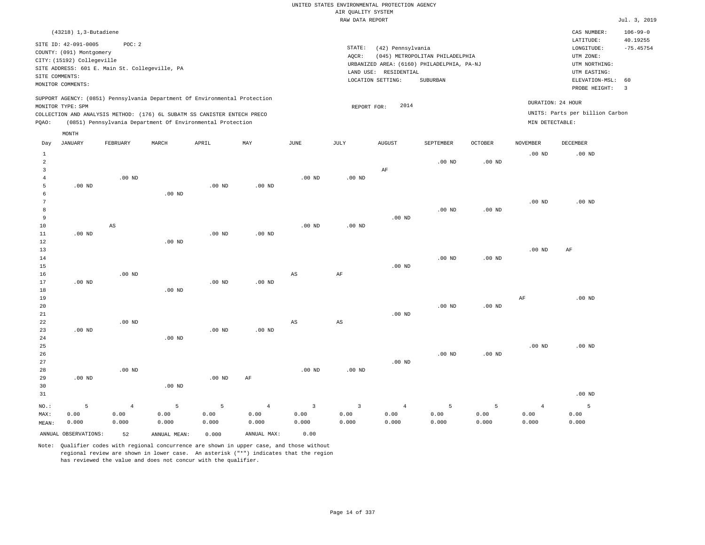| $(43218)$ 1, 3-Butadiene                                                                                                                                                                                                                                    |                                                                                                                                                                                 | CAS NUMBER:                                                                                                 | $106 - 99 - 0$                                     |
|-------------------------------------------------------------------------------------------------------------------------------------------------------------------------------------------------------------------------------------------------------------|---------------------------------------------------------------------------------------------------------------------------------------------------------------------------------|-------------------------------------------------------------------------------------------------------------|----------------------------------------------------|
| SITE ID: 42-091-0005<br>POC: 2<br>COUNTY: (091) Montgomery<br>CITY: (15192) Collegeville<br>SITE ADDRESS: 601 E. Main St. Collegeville, PA<br>SITE COMMENTS:<br>MONITOR COMMENTS:                                                                           | STATE:<br>(42) Pennsylvania<br>(045) METROPOLITAN PHILADELPHIA<br>AOCR:<br>URBANIZED AREA: (6160) PHILADELPHIA, PA-NJ<br>LAND USE: RESIDENTIAL<br>LOCATION SETTING:<br>SUBURBAN | LATITUDE:<br>LONGITUDE:<br>UTM ZONE:<br>UTM NORTHING:<br>UTM EASTING:<br>ELEVATION-MSL: 60<br>PROBE HEIGHT: | 40.19255<br>$-75.45754$<br>$\overline{\mathbf{3}}$ |
| SUPPORT AGENCY: (0851) Pennsylvania Department Of Environmental Protection<br>MONITOR TYPE: SPM<br>COLLECTION AND ANALYSIS METHOD: (176) 6L SUBATM SS CANISTER ENTECH PRECO<br>(0851) Pennsylvania Department Of Environmental Protection<br>POAO:<br>MONTH | 2014<br>REPORT FOR:<br>MIN DETECTABLE:                                                                                                                                          | DURATION: 24 HOUR<br>UNITS: Parts per billion Carbon                                                        |                                                    |

| Day                     | <b>JANUARY</b>       | FEBRUARY | $\tt MARCH$       | APRIL    | $\ensuremath{\text{MAX}}$ | $_{\rm JUNE}$ | $\mathtt{JULY}$   | AUGUST         | SEPTEMBER   | $\mathtt{OCTOBER}$ | NOVEMBER          | $\begin{minipage}{.4\linewidth} DECEMBER \end{minipage} \vspace{-0.5em}$ |
|-------------------------|----------------------|----------|-------------------|----------|---------------------------|---------------|-------------------|----------------|-------------|--------------------|-------------------|--------------------------------------------------------------------------|
| $\mathbf{1}$            |                      |          |                   |          |                           |               |                   |                |             |                    | .00 <sub>ND</sub> | $.00$ ND                                                                 |
| $\overline{\mathbf{c}}$ |                      |          |                   |          |                           |               |                   |                | $.00$ ND    | .00 <sub>ND</sub>  |                   |                                                                          |
| 3                       |                      |          |                   |          |                           |               |                   | AF             |             |                    |                   |                                                                          |
| 4                       |                      | $.00$ ND |                   |          |                           | $.00$ ND      | .00 <sub>ND</sub> |                |             |                    |                   |                                                                          |
| 5                       | $.00$ ND             |          |                   | $.00$ ND | $.00$ ND                  |               |                   |                |             |                    |                   |                                                                          |
| 6                       |                      |          | $.00$ ND          |          |                           |               |                   |                |             |                    |                   |                                                                          |
| 7                       |                      |          |                   |          |                           |               |                   |                |             |                    | $.00$ ND          | $.00$ ND                                                                 |
| 8                       |                      |          |                   |          |                           |               |                   |                | $.00$ ND    | $.00$ ND           |                   |                                                                          |
| 9                       |                      |          |                   |          |                           |               |                   | $.00$ ND       |             |                    |                   |                                                                          |
| $10$                    |                      | AS       |                   |          |                           | $.00$ ND      | $.00$ ND          |                |             |                    |                   |                                                                          |
| 11                      | $.00$ ND             |          |                   | $.00$ ND | $.00$ ND                  |               |                   |                |             |                    |                   |                                                                          |
| 12                      |                      |          | .00 <sub>ND</sub> |          |                           |               |                   |                |             |                    |                   |                                                                          |
| 13<br>14                |                      |          |                   |          |                           |               |                   |                | $.00$ ND    | $.00$ ND           | $.00~\mathrm{ND}$ | $\rm AF$                                                                 |
| 15                      |                      |          |                   |          |                           |               |                   | $.00$ ND       |             |                    |                   |                                                                          |
| 16                      |                      | $.00$ ND |                   |          |                           | AS            | $\rm{AF}$         |                |             |                    |                   |                                                                          |
| 17                      | $.00$ ND             |          |                   | $.00$ ND | $.00$ ND                  |               |                   |                |             |                    |                   |                                                                          |
| 18                      |                      |          | $.00$ ND          |          |                           |               |                   |                |             |                    |                   |                                                                          |
| 19                      |                      |          |                   |          |                           |               |                   |                |             |                    | AF                | $.00$ ND                                                                 |
| 20                      |                      |          |                   |          |                           |               |                   |                | $.00$ ND    | $.00$ ND           |                   |                                                                          |
| 21                      |                      |          |                   |          |                           |               |                   | $.00$ ND       |             |                    |                   |                                                                          |
| 22                      |                      | $.00$ ND |                   |          |                           | AS            | $_{\rm AS}$       |                |             |                    |                   |                                                                          |
| 23                      | $.00$ ND             |          |                   | $.00$ ND | $.00$ ND                  |               |                   |                |             |                    |                   |                                                                          |
| 24                      |                      |          | $.00$ ND          |          |                           |               |                   |                |             |                    |                   |                                                                          |
| 25                      |                      |          |                   |          |                           |               |                   |                |             |                    | $.00$ ND          | $.00$ ND                                                                 |
| 26                      |                      |          |                   |          |                           |               |                   |                | $.00$ ND    | $.00$ ND           |                   |                                                                          |
| 27                      |                      |          |                   |          |                           |               |                   | $.00$ ND       |             |                    |                   |                                                                          |
| 28                      |                      | $.00$ ND |                   |          |                           | $.00$ ND      | .00 <sub>ND</sub> |                |             |                    |                   |                                                                          |
| 29                      | $.00$ ND             |          |                   | .00 $ND$ | AF                        |               |                   |                |             |                    |                   |                                                                          |
| 30                      |                      |          | $.00$ ND          |          |                           |               |                   |                |             |                    |                   |                                                                          |
| 31                      |                      |          |                   |          |                           |               |                   |                |             |                    |                   | $.00$ ND                                                                 |
| $NO.$ :                 | 5                    | $\,4$    | 5                 | 5        | $\,4$                     | $\mathsf 3$   | $\mathsf 3$       | $\overline{4}$ | $\mathsf S$ | 5                  | $\overline{4}$    | 5                                                                        |
| MAX:                    | 0.00                 | 0.00     | 0.00              | 0.00     | 0.00                      | 0.00          | 0.00              | 0.00           | 0.00        | 0.00               | 0.00              | 0.00                                                                     |
| MEAN:                   | 0.000                | 0.000    | 0.000             | 0.000    | 0.000                     | 0.000         | 0.000             | 0.000          | 0.000       | 0.000              | 0.000             | 0.000                                                                    |
|                         | ANNUAL OBSERVATIONS: | 52       | ANNUAL MEAN:      | 0.000    | ANNUAL MAX:               | 0.00          |                   |                |             |                    |                   |                                                                          |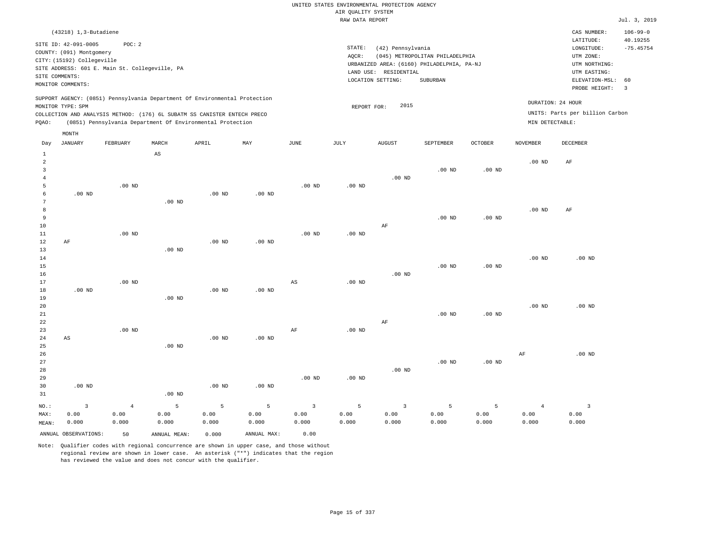|                                                                                                                                                                                 | CAS NUMBER:                                                           | $106 - 99 - 0$                                                        |
|---------------------------------------------------------------------------------------------------------------------------------------------------------------------------------|-----------------------------------------------------------------------|-----------------------------------------------------------------------|
| STATE:<br>(42) Pennsylvania<br>(045) METROPOLITAN PHILADELPHIA<br>AOCR:<br>URBANIZED AREA: (6160) PHILADELPHIA, PA-NJ<br>LAND USE: RESIDENTIAL<br>LOCATION SETTING:<br>SUBURBAN | LATITUDE:<br>LONGITUDE:<br>UTM ZONE:<br>UTM NORTHING:<br>UTM EASTING: | 40.19255<br>$-75.45754$                                               |
| 2015<br>REPORT FOR:                                                                                                                                                             | DURATION: 24 HOUR<br>MIN DETECTABLE:                                  |                                                                       |
|                                                                                                                                                                                 |                                                                       | ELEVATION-MSL: 60<br>PROBE HEIGHT:<br>UNITS: Parts per billion Carbon |

| Day            | JANUARY                | FEBRUARY   | MARCH                  | APRIL             | MAY         | JUNE                   | JULY              | AUGUST         | SEPTEMBER | OCTOBER  | NOVEMBER       | DECEMBER                |
|----------------|------------------------|------------|------------------------|-------------------|-------------|------------------------|-------------------|----------------|-----------|----------|----------------|-------------------------|
| $\mathbf{1}$   |                        |            | $\mathbb{A}\mathbb{S}$ |                   |             |                        |                   |                |           |          |                |                         |
| $\overline{a}$ |                        |            |                        |                   |             |                        |                   |                |           |          | $.00$ ND       | $\rm AF$                |
| 3              |                        |            |                        |                   |             |                        |                   |                | $.00$ ND  | $.00$ ND |                |                         |
| $\overline{4}$ |                        |            |                        |                   |             |                        |                   | $.00$ ND       |           |          |                |                         |
| 5              |                        | $.00$ ND   |                        |                   |             | $.00$ ND               | .00 <sub>ND</sub> |                |           |          |                |                         |
| 6              | $.00$ ND               |            |                        | .00 <sub>ND</sub> | $.00$ ND    |                        |                   |                |           |          |                |                         |
| 7              |                        |            | $.00$ ND               |                   |             |                        |                   |                |           |          |                |                         |
| $\,8\,$        |                        |            |                        |                   |             |                        |                   |                |           |          | $.00$ ND       | $\rm{AF}$               |
| 9              |                        |            |                        |                   |             |                        |                   |                | $.00$ ND  | $.00$ ND |                |                         |
| $10$           |                        |            |                        |                   |             |                        |                   | $\rm AF$       |           |          |                |                         |
| 11             |                        | $.00$ ND   |                        |                   |             | $.00$ ND               | .00 $ND$          |                |           |          |                |                         |
| 12             | $\rm AF$               |            |                        | .00 <sub>ND</sub> | $.00$ ND    |                        |                   |                |           |          |                |                         |
| 13             |                        |            | $.00$ ND               |                   |             |                        |                   |                |           |          |                |                         |
| 14             |                        |            |                        |                   |             |                        |                   |                |           |          | $.00$ ND       | $.00$ ND                |
| 15             |                        |            |                        |                   |             |                        |                   |                | $.00$ ND  | $.00$ ND |                |                         |
| 16             |                        |            |                        |                   |             |                        |                   | $.00$ ND       |           |          |                |                         |
| 17             |                        | $.00$ ND   |                        |                   |             | $\mathbb{A}\mathbb{S}$ | $.00$ ND          |                |           |          |                |                         |
| 18             | $.00$ ND               |            |                        | $.00$ ND          | $.00$ ND    |                        |                   |                |           |          |                |                         |
| 19             |                        |            | $.00$ ND               |                   |             |                        |                   |                |           |          |                |                         |
| $20\,$         |                        |            |                        |                   |             |                        |                   |                |           |          | $.00$ ND       | $.00$ ND                |
| $21\,$         |                        |            |                        |                   |             |                        |                   |                | $.00$ ND  | $.00$ ND |                |                         |
| 22             |                        |            |                        |                   |             |                        |                   | $\rm AF$       |           |          |                |                         |
| 23             |                        | $.00$ ND   |                        |                   |             | $\rm AF$               | $.00$ ND          |                |           |          |                |                         |
| 24             | $\mathbb{A}\mathbb{S}$ |            |                        | .00 <sub>ND</sub> | $.00$ ND    |                        |                   |                |           |          |                |                         |
| 25             |                        |            | .00 <sub>ND</sub>      |                   |             |                        |                   |                |           |          |                |                         |
| 26             |                        |            |                        |                   |             |                        |                   |                |           |          | $\rm{AF}$      | $.00$ ND                |
| 27             |                        |            |                        |                   |             |                        |                   |                | $.00$ ND  | $.00$ ND |                |                         |
| 28             |                        |            |                        |                   |             |                        |                   | $.00$ ND       |           |          |                |                         |
| 29             |                        |            |                        |                   |             | $.00$ ND               | $.00$ ND          |                |           |          |                |                         |
| 30             | $.00$ ND               |            |                        | .00 <sub>ND</sub> | $.00$ ND    |                        |                   |                |           |          |                |                         |
| 31             |                        |            | $.00$ ND               |                   |             |                        |                   |                |           |          |                |                         |
| $_{\rm NO.}$ : | $\mathsf 3$            | $\sqrt{4}$ | 5                      | $\mathsf S$       | 5           | $\overline{3}$         | 5                 | $\overline{3}$ | 5         | 5        | $\overline{4}$ | $\overline{\mathbf{3}}$ |
| MAX:           | 0.00                   | 0.00       | 0.00                   | 0.00              | 0.00        | 0.00                   | 0.00              | 0.00           | 0.00      | 0.00     | 0.00           | 0.00                    |
| MEAN:          | 0.000                  | 0.000      | 0.000                  | 0.000             | 0.000       | 0.000                  | 0.000             | 0.000          | 0.000     | 0.000    | 0.000          | 0.000                   |
|                | ANNUAL OBSERVATIONS:   | 50         | ANNUAL MEAN:           | 0.000             | ANNUAL MAX: | 0.00                   |                   |                |           |          |                |                         |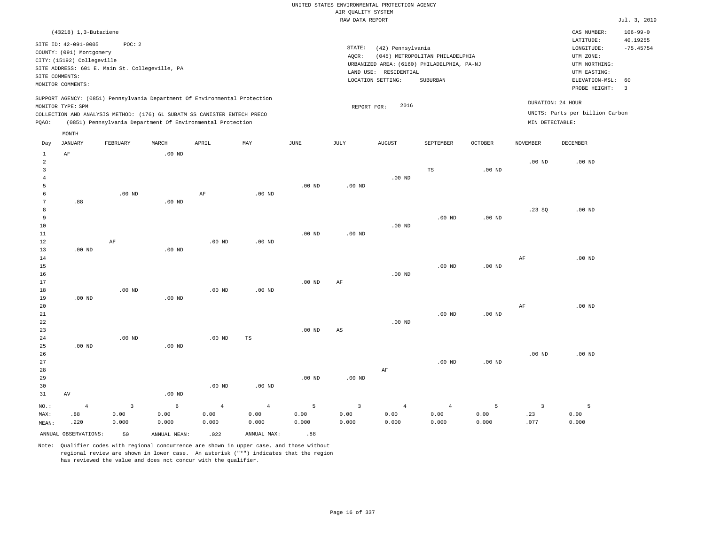| $(43218)$ 1, 3-Butadiene                                                                                                                                                                                                                                    |                                                                                                                                                                                 | CAS NUMBER:                                                                                                 | $106 - 99 - 0$          |
|-------------------------------------------------------------------------------------------------------------------------------------------------------------------------------------------------------------------------------------------------------------|---------------------------------------------------------------------------------------------------------------------------------------------------------------------------------|-------------------------------------------------------------------------------------------------------------|-------------------------|
| SITE ID: 42-091-0005<br>POC:2<br>COUNTY: (091) Montgomery<br>CITY: (15192) Collegeville<br>SITE ADDRESS: 601 E. Main St. Collegeville, PA<br>SITE COMMENTS:<br>MONITOR COMMENTS:                                                                            | STATE:<br>(42) Pennsylvania<br>AOCR:<br>(045) METROPOLITAN PHILADELPHIA<br>URBANIZED AREA: (6160) PHILADELPHIA, PA-NJ<br>LAND USE: RESIDENTIAL<br>LOCATION SETTING:<br>SUBURBAN | LATITUDE:<br>LONGITUDE:<br>UTM ZONE:<br>UTM NORTHING:<br>UTM EASTING:<br>ELEVATION-MSL: 60<br>PROBE HEIGHT: | 40.19255<br>$-75.45754$ |
| SUPPORT AGENCY: (0851) Pennsylvania Department Of Environmental Protection<br>MONITOR TYPE: SPM<br>COLLECTION AND ANALYSIS METHOD: (176) 6L SUBATM SS CANISTER ENTECH PRECO<br>(0851) Pennsylvania Department Of Environmental Protection<br>POAO:<br>MONTH | 2016<br>REPORT FOR:                                                                                                                                                             | DURATION: 24 HOUR<br>UNITS: Parts per billion Carbon<br>MIN DETECTABLE:                                     |                         |

| Day            | $_{\rm JANUARY}$     | FEBRUARY                | $\tt MARCH$  | APRIL          | $\ensuremath{\text{MAX}}$ | $_{\rm JUNE}$ | $\mathtt{JULY}$        | AUGUST         | SEPTEMBER         | OCTOBER           | NOVEMBER       | DECEMBER |
|----------------|----------------------|-------------------------|--------------|----------------|---------------------------|---------------|------------------------|----------------|-------------------|-------------------|----------------|----------|
| 1              | $\rm AF$             |                         | $.00$ ND     |                |                           |               |                        |                |                   |                   |                |          |
| $\overline{c}$ |                      |                         |              |                |                           |               |                        |                |                   |                   | $.00$ ND       | $.00$ ND |
| 3              |                      |                         |              |                |                           |               |                        |                | $\mathbb{TS}$     | .00 <sub>ND</sub> |                |          |
| $\overline{4}$ |                      |                         |              |                |                           |               |                        | $.00$ ND       |                   |                   |                |          |
| 5              |                      |                         |              |                |                           | $.00$ ND      | $.00$ ND               |                |                   |                   |                |          |
| 6              |                      | $.00$ ND                |              | $\rm AF$       | $.00$ ND                  |               |                        |                |                   |                   |                |          |
| 7              | .88                  |                         | $.00$ ND     |                |                           |               |                        |                |                   |                   |                |          |
| 8              |                      |                         |              |                |                           |               |                        |                |                   |                   | .23SQ          | $.00$ ND |
| 9              |                      |                         |              |                |                           |               |                        |                | $.00$ ND          | .00 <sub>ND</sub> |                |          |
| $10$           |                      |                         |              |                |                           |               |                        | $.00$ ND       |                   |                   |                |          |
| $11\,$         |                      |                         |              |                |                           | $.00$ ND      | $.00$ ND               |                |                   |                   |                |          |
| 12             |                      | $\rm AF$                |              | $.00$ ND       | $.00$ ND                  |               |                        |                |                   |                   |                |          |
| 13             | $.00$ ND             |                         | $.00$ ND     |                |                           |               |                        |                |                   |                   |                |          |
| 14             |                      |                         |              |                |                           |               |                        |                |                   |                   | $\rm AF$       | $.00$ ND |
| 15             |                      |                         |              |                |                           |               |                        |                | .00 <sub>ND</sub> | .00 <sub>ND</sub> |                |          |
| 16             |                      |                         |              |                |                           |               |                        | $.00$ ND       |                   |                   |                |          |
| $17\,$         |                      |                         |              |                |                           | $.00$ ND      | $\rm AF$               |                |                   |                   |                |          |
| 18             |                      | $.00$ ND                |              | $.00$ ND       | $.00$ ND                  |               |                        |                |                   |                   |                |          |
| 19             | $.00$ ND             |                         | $.00$ ND     |                |                           |               |                        |                |                   |                   |                |          |
| 20             |                      |                         |              |                |                           |               |                        |                |                   |                   | $\rm AF$       | $.00$ ND |
| $21\,$         |                      |                         |              |                |                           |               |                        |                | .00 <sub>ND</sub> | .00 <sub>ND</sub> |                |          |
| 22             |                      |                         |              |                |                           |               |                        | $.00$ ND       |                   |                   |                |          |
| 23             |                      |                         |              |                |                           | $.00$ ND      | $\mathbb{A}\mathbb{S}$ |                |                   |                   |                |          |
| 24             |                      | $.00$ ND                |              | $.00$ ND       | TS                        |               |                        |                |                   |                   |                |          |
| 25             | $.00$ ND             |                         | $.00$ ND     |                |                           |               |                        |                |                   |                   |                |          |
| 26             |                      |                         |              |                |                           |               |                        |                |                   |                   | $.00$ ND       | $.00$ ND |
| 27             |                      |                         |              |                |                           |               |                        |                | $.00$ ND          | $.00$ ND          |                |          |
| 28<br>29       |                      |                         |              |                |                           | $.00$ ND      | $.00$ ND               | $\rm AF$       |                   |                   |                |          |
| 30             |                      |                         |              | $.00$ ND       | $.00$ ND                  |               |                        |                |                   |                   |                |          |
| 31             | AV                   |                         | $.00$ ND     |                |                           |               |                        |                |                   |                   |                |          |
|                |                      |                         |              |                |                           |               |                        |                |                   |                   |                |          |
| $_{\rm NO.}$ : | $\overline{4}$       | $\overline{\mathbf{3}}$ | 6            | $\overline{4}$ | $\,4$                     | 5             | $\mathsf 3$            | $\overline{4}$ | $\overline{4}$    | 5                 | $\overline{3}$ | 5        |
| MAX:           | .88                  | 0.00                    | 0.00         | 0.00           | 0.00                      | 0.00          | 0.00                   | 0.00           | 0.00              | 0.00              | .23            | 0.00     |
| MEAN:          | .220                 | 0.000                   | 0.000        | 0.000          | 0.000                     | 0.000         | 0.000                  | 0.000          | 0.000             | 0.000             | .077           | 0.000    |
|                | ANNUAL OBSERVATIONS: | 50                      | ANNUAL MEAN: | .022           | ANNUAL MAX:               | .88           |                        |                |                   |                   |                |          |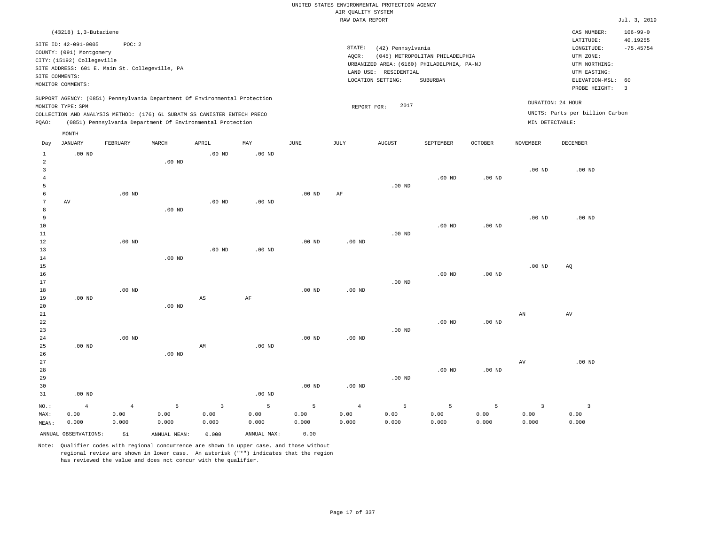|                                  |                            |                                                |                   |                                                                            |                   |                   |                    | UNITED STATES ENVIRONMENTAL PROTECTION AGENCY |                                            |                |                        |                                     |                         |
|----------------------------------|----------------------------|------------------------------------------------|-------------------|----------------------------------------------------------------------------|-------------------|-------------------|--------------------|-----------------------------------------------|--------------------------------------------|----------------|------------------------|-------------------------------------|-------------------------|
|                                  |                            |                                                |                   |                                                                            |                   |                   | AIR QUALITY SYSTEM |                                               |                                            |                |                        |                                     |                         |
|                                  |                            |                                                |                   |                                                                            |                   |                   | RAW DATA REPORT    |                                               |                                            |                |                        |                                     | Jul. 3, 2019            |
|                                  | (43218) 1,3-Butadiene      |                                                |                   |                                                                            |                   |                   |                    |                                               |                                            |                |                        | CAS NUMBER:                         | $106 - 99 - 0$          |
|                                  | SITE ID: 42-091-0005       | POC: 2                                         |                   |                                                                            |                   |                   | STATE:             |                                               |                                            |                |                        | LATITUDE:<br>$\texttt{LONGITUDE}$ : | 40.19255<br>$-75.45754$ |
|                                  | COUNTY: (091) Montgomery   |                                                |                   |                                                                            |                   |                   | AOCR:              | (42) Pennsylvania                             | (045) METROPOLITAN PHILADELPHIA            |                |                        | UTM ZONE:                           |                         |
|                                  | CITY: (15192) Collegeville |                                                |                   |                                                                            |                   |                   |                    |                                               | URBANIZED AREA: (6160) PHILADELPHIA, PA-NJ |                |                        | UTM NORTHING:                       |                         |
|                                  |                            | SITE ADDRESS: 601 E. Main St. Collegeville, PA |                   |                                                                            |                   |                   |                    | LAND USE: RESIDENTIAL                         |                                            |                |                        | UTM EASTING:                        |                         |
|                                  | SITE COMMENTS:             |                                                |                   |                                                                            |                   |                   |                    | LOCATION SETTING:                             | SUBURBAN                                   |                |                        | ELEVATION-MSL:                      | 60                      |
|                                  | MONITOR COMMENTS:          |                                                |                   |                                                                            |                   |                   |                    |                                               |                                            |                |                        | PROBE HEIGHT:                       | $\overline{3}$          |
|                                  | MONITOR TYPE: SPM          |                                                |                   | SUPPORT AGENCY: (0851) Pennsylvania Department Of Environmental Protection |                   |                   | REPORT FOR:        | 2017                                          |                                            |                |                        | DURATION: 24 HOUR                   |                         |
|                                  |                            |                                                |                   | COLLECTION AND ANALYSIS METHOD: (176) 6L SUBATM SS CANISTER ENTECH PRECO   |                   |                   |                    |                                               |                                            |                |                        | UNITS: Parts per billion Carbon     |                         |
| PQAO:                            |                            |                                                |                   | (0851) Pennsylvania Department Of Environmental Protection                 |                   |                   |                    |                                               |                                            |                | MIN DETECTABLE:        |                                     |                         |
|                                  | MONTH                      |                                                |                   |                                                                            |                   |                   |                    |                                               |                                            |                |                        |                                     |                         |
| Day                              | <b>JANUARY</b>             | FEBRUARY                                       | MARCH             | APRIL                                                                      | MAY               | <b>JUNE</b>       | JULY               | <b>AUGUST</b>                                 | SEPTEMBER                                  | <b>OCTOBER</b> | <b>NOVEMBER</b>        | <b>DECEMBER</b>                     |                         |
| $\mathbf{1}$                     | .00 <sub>ND</sub>          |                                                |                   | $.00$ ND                                                                   | $.00$ ND          |                   |                    |                                               |                                            |                |                        |                                     |                         |
| $\overline{a}$<br>$\overline{3}$ |                            |                                                | .00 <sub>ND</sub> |                                                                            |                   |                   |                    |                                               |                                            |                | .00 <sub>ND</sub>      | $.00$ ND                            |                         |
| $\overline{4}$                   |                            |                                                |                   |                                                                            |                   |                   |                    |                                               | $.00$ ND                                   | $.00$ ND       |                        |                                     |                         |
| 5                                |                            |                                                |                   |                                                                            |                   |                   |                    | .00 <sub>ND</sub>                             |                                            |                |                        |                                     |                         |
| 6                                |                            | .00 <sub>ND</sub>                              |                   |                                                                            |                   | .00 <sub>ND</sub> | AF                 |                                               |                                            |                |                        |                                     |                         |
| $\overline{7}$                   | AV                         |                                                |                   | .00 <sub>ND</sub>                                                          | .00 <sub>ND</sub> |                   |                    |                                               |                                            |                |                        |                                     |                         |
| 8                                |                            |                                                | $.00$ ND          |                                                                            |                   |                   |                    |                                               |                                            |                |                        |                                     |                         |
| 9                                |                            |                                                |                   |                                                                            |                   |                   |                    |                                               |                                            |                | .00 <sub>ND</sub>      | $.00$ ND                            |                         |
| $10$                             |                            |                                                |                   |                                                                            |                   |                   |                    |                                               | $.00$ ND                                   | $.00$ ND       |                        |                                     |                         |
| 11                               |                            |                                                |                   |                                                                            |                   |                   |                    | $.00$ ND                                      |                                            |                |                        |                                     |                         |
| 12                               |                            | $.00$ ND                                       |                   |                                                                            |                   | $.00$ ND          | $.00$ ND           |                                               |                                            |                |                        |                                     |                         |
| 13                               |                            |                                                |                   | $.00$ ND                                                                   | $.00$ ND          |                   |                    |                                               |                                            |                |                        |                                     |                         |
| 14                               |                            |                                                | $.00$ ND          |                                                                            |                   |                   |                    |                                               |                                            |                |                        |                                     |                         |
| 15                               |                            |                                                |                   |                                                                            |                   |                   |                    |                                               |                                            |                | .00 <sub>ND</sub>      | AQ                                  |                         |
| 16<br>17                         |                            |                                                |                   |                                                                            |                   |                   |                    | .00 <sub>ND</sub>                             | $.00$ ND                                   | $.00$ ND       |                        |                                     |                         |
| 18                               |                            | .00 <sub>ND</sub>                              |                   |                                                                            |                   | .00 <sub>ND</sub> | .00 <sub>ND</sub>  |                                               |                                            |                |                        |                                     |                         |
| 19                               | $.00$ ND                   |                                                |                   | $\mathbb{A}\mathbb{S}$                                                     | $\rm AF$          |                   |                    |                                               |                                            |                |                        |                                     |                         |
| 20                               |                            |                                                | $.00$ ND          |                                                                            |                   |                   |                    |                                               |                                            |                |                        |                                     |                         |
| $2\sqrt{1}$                      |                            |                                                |                   |                                                                            |                   |                   |                    |                                               |                                            |                | $\mathbb{A}\mathbb{N}$ | $\,\mathrm{AV}$                     |                         |
| 22                               |                            |                                                |                   |                                                                            |                   |                   |                    |                                               | $.00$ ND                                   | $.00$ ND       |                        |                                     |                         |
| 23                               |                            |                                                |                   |                                                                            |                   |                   |                    | .00 <sub>ND</sub>                             |                                            |                |                        |                                     |                         |
| 24                               |                            | $.00$ ND                                       |                   |                                                                            |                   | $.00$ ND          | $.00$ ND           |                                               |                                            |                |                        |                                     |                         |
| 25                               | $.00$ ND                   |                                                |                   | AM                                                                         | $.00$ ND          |                   |                    |                                               |                                            |                |                        |                                     |                         |
| 26                               |                            |                                                | $.00$ ND          |                                                                            |                   |                   |                    |                                               |                                            |                |                        |                                     |                         |
| 27                               |                            |                                                |                   |                                                                            |                   |                   |                    |                                               |                                            |                | AV                     | $.00$ ND                            |                         |
| 28                               |                            |                                                |                   |                                                                            |                   |                   |                    |                                               | $.00$ ND                                   | $.00$ ND       |                        |                                     |                         |
| 29                               |                            |                                                |                   |                                                                            |                   |                   |                    | .00 <sub>ND</sub>                             |                                            |                |                        |                                     |                         |
| 30                               |                            |                                                |                   |                                                                            |                   | .00 <sub>ND</sub> | .00 <sub>ND</sub>  |                                               |                                            |                |                        |                                     |                         |
| 31                               | $.00$ ND                   |                                                |                   |                                                                            | .00 <sub>ND</sub> |                   |                    |                                               |                                            |                |                        |                                     |                         |
| NO.:                             | $\overline{4}$             | $\overline{4}$                                 | $\overline{5}$    | $\overline{3}$                                                             | 5                 | 5                 | $\overline{4}$     | 5                                             | 5                                          | 5              | $\overline{3}$         | $\overline{3}$                      |                         |
| MAX:                             | 0.00                       | 0.00                                           | 0.00              | 0.00                                                                       | 0.00              | 0.00              | 0.00               | 0.00                                          | 0.00                                       | 0.00           | 0.00                   | 0.00                                |                         |
| MEAN:                            | 0.000                      | 0.000                                          | 0.000             | 0.000                                                                      | 0.000             | 0.000             | 0.000              | 0.000                                         | 0.000                                      | 0.000          | 0.000                  | 0.000                               |                         |
|                                  | ANNUAL OBSERVATIONS:       | 51                                             | ANNUAL, MEAN:     | 0.000                                                                      | ANNUAL MAX:       | 0.00              |                    |                                               |                                            |                |                        |                                     |                         |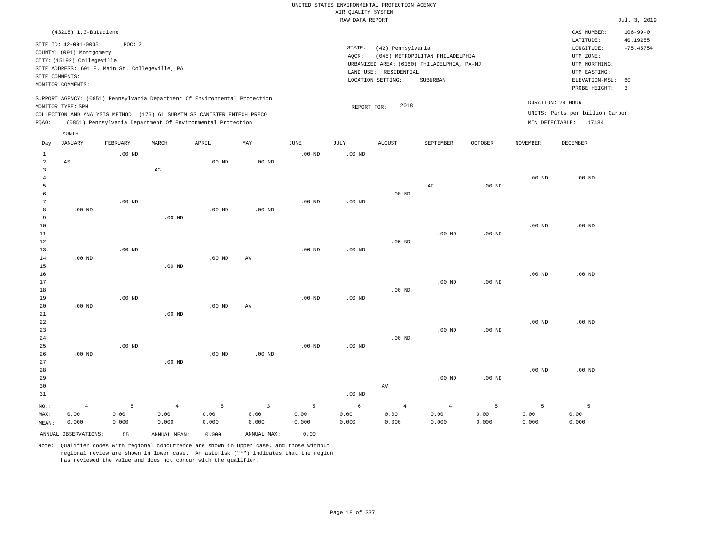|                           |                                                                                                                                                                                |                    |                                                                                                                                                                                                                      |                    |                                 |                    |                    | UNITED STATES ENVIRONMENTAL PROTECTION AGENCY                   |                                                                                           |                    |                    |                                                                                                                         |                                                                   |
|---------------------------|--------------------------------------------------------------------------------------------------------------------------------------------------------------------------------|--------------------|----------------------------------------------------------------------------------------------------------------------------------------------------------------------------------------------------------------------|--------------------|---------------------------------|--------------------|--------------------|-----------------------------------------------------------------|-------------------------------------------------------------------------------------------|--------------------|--------------------|-------------------------------------------------------------------------------------------------------------------------|-------------------------------------------------------------------|
|                           |                                                                                                                                                                                |                    |                                                                                                                                                                                                                      |                    |                                 |                    | AIR QUALITY SYSTEM |                                                                 |                                                                                           |                    |                    |                                                                                                                         |                                                                   |
|                           |                                                                                                                                                                                |                    |                                                                                                                                                                                                                      |                    |                                 |                    | RAW DATA REPORT    |                                                                 |                                                                                           |                    |                    |                                                                                                                         | Jul. 3, 2019                                                      |
| SITE COMMENTS:            | (43218) 1,3-Butadiene<br>SITE ID: 42-091-0005<br>COUNTY: (091) Montgomery<br>CITY: (15192) Collegeville<br>SITE ADDRESS: 601 E. Main St. Collegeville, PA<br>MONITOR COMMENTS: | POC: 2             |                                                                                                                                                                                                                      |                    |                                 |                    | STATE:<br>AQCR:    | (42) Pennsylvania<br>LAND USE: RESIDENTIAL<br>LOCATION SETTING: | (045) METROPOLITAN PHILADELPHIA<br>URBANIZED AREA: (6160) PHILADELPHIA, PA-NJ<br>SUBURBAN |                    |                    | CAS NUMBER:<br>LATITUDE:<br>LONGITUDE:<br>UTM ZONE:<br>UTM NORTHING:<br>UTM EASTING:<br>ELEVATION-MSL:<br>PROBE HEIGHT: | $106 - 99 - 0$<br>40.19255<br>$-75.45754$<br>60<br>$\overline{3}$ |
| PQAO:                     | MONITOR TYPE: SPM                                                                                                                                                              |                    | SUPPORT AGENCY: (0851) Pennsylvania Department Of Environmental Protection<br>COLLECTION AND ANALYSIS METHOD: (176) 6L SUBATM SS CANISTER ENTECH PRECO<br>(0851) Pennsylvania Department Of Environmental Protection |                    |                                 |                    | REPORT FOR:        | 2018                                                            |                                                                                           |                    |                    | DURATION: 24 HOUR<br>UNITS: Parts per billion Carbon<br>MIN DETECTABLE: .17484                                          |                                                                   |
|                           | MONTH                                                                                                                                                                          |                    |                                                                                                                                                                                                                      |                    |                                 |                    |                    |                                                                 |                                                                                           |                    |                    |                                                                                                                         |                                                                   |
| Day                       | <b>JANUARY</b>                                                                                                                                                                 | FEBRUARY           | MARCH                                                                                                                                                                                                                | APRIL              | MAY                             | $_{\rm JUNE}$      | <b>JULY</b>        | <b>AUGUST</b>                                                   | SEPTEMBER                                                                                 | <b>OCTOBER</b>     | <b>NOVEMBER</b>    | DECEMBER                                                                                                                |                                                                   |
| 1<br>$\overline{2}$<br>3  | AS                                                                                                                                                                             | $.00$ ND           | $\mathbb{A}\mathbb{G}$                                                                                                                                                                                               | $.00$ ND           | .00 <sub>ND</sub>               | .00 <sub>ND</sub>  | $.00$ ND           |                                                                 |                                                                                           |                    |                    |                                                                                                                         |                                                                   |
| $\overline{4}$<br>5<br>6  |                                                                                                                                                                                |                    |                                                                                                                                                                                                                      |                    |                                 |                    |                    | $.00$ ND                                                        | AF                                                                                        | $.00$ ND           | .00 <sub>ND</sub>  | $.00$ ND                                                                                                                |                                                                   |
| $7\phantom{.0}$<br>8<br>9 | .00 <sub>ND</sub>                                                                                                                                                              | .00 <sub>ND</sub>  | $.00$ ND                                                                                                                                                                                                             | .00 <sub>ND</sub>  | .00 <sub>ND</sub>               | $.00$ ND           | $.00$ ND           |                                                                 |                                                                                           |                    |                    |                                                                                                                         |                                                                   |
| $10$<br>$1\,1$<br>$1\,2$  |                                                                                                                                                                                |                    |                                                                                                                                                                                                                      |                    |                                 |                    |                    | $.00$ ND                                                        | $.00$ ND                                                                                  | $.00$ ND           | .00 <sub>ND</sub>  | $.00$ ND                                                                                                                |                                                                   |
| 13<br>14<br>15            | $.00$ ND                                                                                                                                                                       | $.00$ ND           | $.00$ ND                                                                                                                                                                                                             | $.00$ ND           | AV                              | $.00$ ND           | .00 <sub>ND</sub>  |                                                                 |                                                                                           |                    |                    |                                                                                                                         |                                                                   |
| 16<br>17<br>18            |                                                                                                                                                                                |                    |                                                                                                                                                                                                                      |                    |                                 |                    |                    | $.00$ ND                                                        | $.00$ ND                                                                                  | $.00$ ND           | .00 <sub>ND</sub>  | $.00$ ND                                                                                                                |                                                                   |
| 19<br>20<br>21<br>22      | $.00$ ND                                                                                                                                                                       | $.00$ ND           | $.00$ ND                                                                                                                                                                                                             | $.00$ ND           | AV                              | $.00$ ND           | $.00$ ND           |                                                                 |                                                                                           |                    | $.00$ ND           | $.00$ ND                                                                                                                |                                                                   |
| 23<br>24<br>25            |                                                                                                                                                                                | $.00$ ND           |                                                                                                                                                                                                                      |                    |                                 | $.00$ ND           | $.00$ ND           | $.00$ ND                                                        | $.00$ ND                                                                                  | $.00$ ND           |                    |                                                                                                                         |                                                                   |
| 26<br>27<br>28            | $.00$ ND                                                                                                                                                                       |                    | $.00$ ND                                                                                                                                                                                                             | .00 <sub>ND</sub>  | .00 <sub>ND</sub>               |                    |                    |                                                                 | $.00$ ND                                                                                  | $.00$ ND           | $.00$ ND           | $.00$ ND                                                                                                                |                                                                   |
| 29<br>30<br>31            |                                                                                                                                                                                |                    |                                                                                                                                                                                                                      |                    |                                 |                    | $.00$ ND           | AV                                                              |                                                                                           |                    |                    |                                                                                                                         |                                                                   |
| NO.:<br>MAX:<br>MEAN:     | $\overline{4}$<br>0.00<br>0.000                                                                                                                                                | 5<br>0.00<br>0.000 | $\overline{4}$<br>0.00<br>0.000                                                                                                                                                                                      | 5<br>0.00<br>0.000 | $\overline{3}$<br>0.00<br>0.000 | 5<br>0.00<br>0.000 | 6<br>0.00<br>0.000 | $\overline{4}$<br>0.00<br>0.000                                 | $\overline{4}$<br>0.00<br>0.000                                                           | 5<br>0.00<br>0.000 | 5<br>0.00<br>0.000 | 5<br>0.00<br>0.000                                                                                                      |                                                                   |
|                           | ANNUAL OBSERVATIONS:                                                                                                                                                           | 55                 | ANNUAL MEAN:                                                                                                                                                                                                         | 0.000              | ANNUAL MAX:                     | 0.00               |                    |                                                                 |                                                                                           |                    |                    |                                                                                                                         |                                                                   |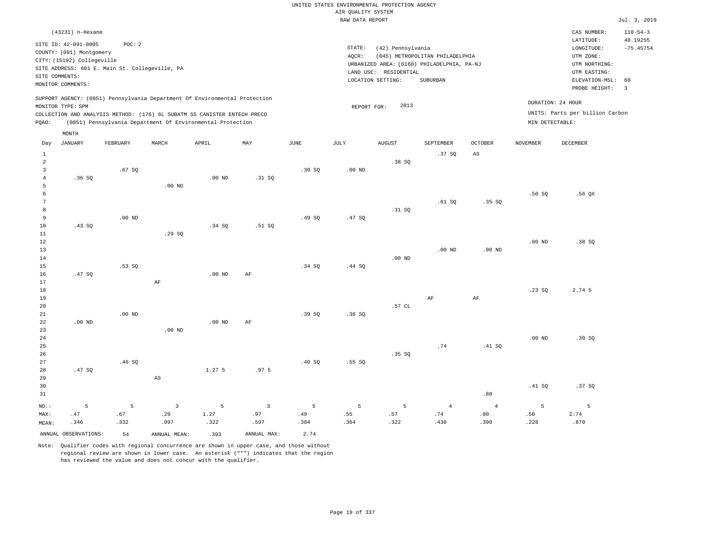| SUPPORT AGENCY: (0851) Pennsylvania Department Of Environmental Protection<br>DURATION: 24 HOUR<br>2013<br>MONITOR TYPE: SPM<br>REPORT FOR:<br>UNITS: Parts per billion Carbon<br>COLLECTION AND ANALYSIS METHOD: (176) 6L SUBATM SS CANISTER ENTECH PRECO<br>(0851) Pennsylvania Department Of Environmental Protection<br>MIN DETECTABLE:<br>PQAO:<br>MONTH<br>APRIL<br>$_{\rm JUNE}$<br>OCTOBER<br>DECEMBER<br><b>JANUARY</b><br>FEBRUARY<br>MARCH<br>MAY<br>JULY<br><b>AUGUST</b><br>SEPTEMBER<br><b>NOVEMBER</b><br>Day | $110 - 54 - 3$<br>40.19255<br>$-75.45754$<br>ELEVATION-MSL:<br>60<br>$\overline{3}$ |
|------------------------------------------------------------------------------------------------------------------------------------------------------------------------------------------------------------------------------------------------------------------------------------------------------------------------------------------------------------------------------------------------------------------------------------------------------------------------------------------------------------------------------|-------------------------------------------------------------------------------------|
|                                                                                                                                                                                                                                                                                                                                                                                                                                                                                                                              |                                                                                     |
|                                                                                                                                                                                                                                                                                                                                                                                                                                                                                                                              |                                                                                     |
|                                                                                                                                                                                                                                                                                                                                                                                                                                                                                                                              |                                                                                     |
|                                                                                                                                                                                                                                                                                                                                                                                                                                                                                                                              |                                                                                     |
| $\mathbf{1}$<br>.37S<br>AS                                                                                                                                                                                                                                                                                                                                                                                                                                                                                                   |                                                                                     |
| $\overline{a}$<br>.38SQ                                                                                                                                                                                                                                                                                                                                                                                                                                                                                                      |                                                                                     |
| $\overline{3}$<br>.67SQ<br>.30 SQ<br>.00 <sub>ND</sub><br>$\bf{4}$<br>.36SQ<br>$.00$ ND<br>.31 SQ                                                                                                                                                                                                                                                                                                                                                                                                                            |                                                                                     |
| 5<br>$.00$ ND                                                                                                                                                                                                                                                                                                                                                                                                                                                                                                                |                                                                                     |
| 6<br>.50S<br>.56QX                                                                                                                                                                                                                                                                                                                                                                                                                                                                                                           |                                                                                     |
| $\boldsymbol{7}$<br>.61 SQ<br>.35SQ                                                                                                                                                                                                                                                                                                                                                                                                                                                                                          |                                                                                     |
| 8<br>.31 SQ                                                                                                                                                                                                                                                                                                                                                                                                                                                                                                                  |                                                                                     |
| 9<br>$.00$ ND<br>.49SQ<br>.47SQ                                                                                                                                                                                                                                                                                                                                                                                                                                                                                              |                                                                                     |
| 10<br>.43SQ<br>.34S<br>.51 SQ                                                                                                                                                                                                                                                                                                                                                                                                                                                                                                |                                                                                     |
| 11<br>.29SQ                                                                                                                                                                                                                                                                                                                                                                                                                                                                                                                  |                                                                                     |
| 12<br>$.00$ ND<br>.38SQ                                                                                                                                                                                                                                                                                                                                                                                                                                                                                                      |                                                                                     |
| 13<br>$.00$ ND<br>.00 <sub>ND</sub>                                                                                                                                                                                                                                                                                                                                                                                                                                                                                          |                                                                                     |
| 14<br>$.00$ ND                                                                                                                                                                                                                                                                                                                                                                                                                                                                                                               |                                                                                     |
| 15<br>.53SQ<br>.34S<br>.44 SQ                                                                                                                                                                                                                                                                                                                                                                                                                                                                                                |                                                                                     |
| 16<br>.47SQ<br>$.00$ ND<br>AF                                                                                                                                                                                                                                                                                                                                                                                                                                                                                                |                                                                                     |
| 17<br>AF                                                                                                                                                                                                                                                                                                                                                                                                                                                                                                                     |                                                                                     |
| 18<br>2.74 5<br>.23S                                                                                                                                                                                                                                                                                                                                                                                                                                                                                                         |                                                                                     |
| 19<br>AF<br>AF                                                                                                                                                                                                                                                                                                                                                                                                                                                                                                               |                                                                                     |
| .57 CL<br>20                                                                                                                                                                                                                                                                                                                                                                                                                                                                                                                 |                                                                                     |
| 21<br>$.00$ ND<br>.39S<br>.36S<br>22<br>$.00$ ND                                                                                                                                                                                                                                                                                                                                                                                                                                                                             |                                                                                     |
| $.00$ ND<br>AF<br>23<br>$.00$ ND                                                                                                                                                                                                                                                                                                                                                                                                                                                                                             |                                                                                     |
| 24<br>.00 <sub>ND</sub><br>.30 SQ                                                                                                                                                                                                                                                                                                                                                                                                                                                                                            |                                                                                     |
| 25<br>.74<br>.41 SQ                                                                                                                                                                                                                                                                                                                                                                                                                                                                                                          |                                                                                     |
| 26<br>.35 SQ                                                                                                                                                                                                                                                                                                                                                                                                                                                                                                                 |                                                                                     |
| 27<br>.46SQ<br>.40SQ<br>.55SQ                                                                                                                                                                                                                                                                                                                                                                                                                                                                                                |                                                                                     |
| 28<br>.47SQ<br>1.275<br>.97 <sub>5</sub>                                                                                                                                                                                                                                                                                                                                                                                                                                                                                     |                                                                                     |
| 29<br>$\mathbb{A}\mathbb{S}$                                                                                                                                                                                                                                                                                                                                                                                                                                                                                                 |                                                                                     |
| 30<br>.41 SQ<br>.37SQ                                                                                                                                                                                                                                                                                                                                                                                                                                                                                                        |                                                                                     |
| .80<br>31                                                                                                                                                                                                                                                                                                                                                                                                                                                                                                                    |                                                                                     |
| 5<br>5<br>$\overline{3}$<br>$\overline{3}$<br>5<br>5<br>5<br>$\overline{4}$<br>5<br>NO.:<br>5<br>$\overline{4}$<br>5                                                                                                                                                                                                                                                                                                                                                                                                         |                                                                                     |
| .47<br>.67<br>.29<br>1.27<br>.97<br>.49<br>.55<br>.57<br>.74<br>.80<br>.50<br>2.74<br>MAX:                                                                                                                                                                                                                                                                                                                                                                                                                                   |                                                                                     |
| .346<br>.332<br>.097<br>.322<br>.597<br>.384<br>.364<br>.322<br>.430<br>.390<br>.228<br>.870<br>MEAN:                                                                                                                                                                                                                                                                                                                                                                                                                        |                                                                                     |

ANNUAL OBSERVATIONS: 54 ANNUAL MEAN: .393 ANNUAL MAX: 2.74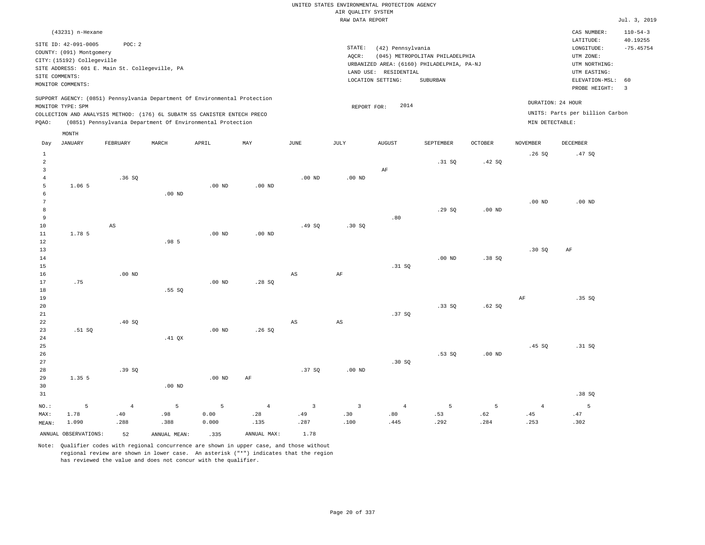|                |                                                  |                                                |                   |                                                                            |                   |                        | UNITED STATES ENVIRONMENTAL PROTECTION AGENCY |                       |                                            |                |                   |                                 |                |
|----------------|--------------------------------------------------|------------------------------------------------|-------------------|----------------------------------------------------------------------------|-------------------|------------------------|-----------------------------------------------|-----------------------|--------------------------------------------|----------------|-------------------|---------------------------------|----------------|
|                |                                                  |                                                |                   |                                                                            |                   |                        | AIR OUALITY SYSTEM                            |                       |                                            |                |                   |                                 |                |
|                |                                                  |                                                |                   |                                                                            |                   |                        | RAW DATA REPORT                               |                       |                                            |                |                   |                                 | Jul. 3, 2019   |
|                | (43231) n-Hexane                                 |                                                |                   |                                                                            |                   |                        |                                               |                       |                                            |                |                   | CAS NUMBER:                     | $110 - 54 - 3$ |
|                |                                                  |                                                |                   |                                                                            |                   |                        |                                               |                       |                                            |                |                   | LATITUDE:                       | 40.19255       |
|                | SITE ID: 42-091-0005<br>COUNTY: (091) Montgomery | POC: 2                                         |                   |                                                                            |                   |                        | STATE:                                        | (42) Pennsylvania     |                                            |                |                   | LONGITUDE:                      | $-75.45754$    |
|                | CITY: (15192) Collegeville                       |                                                |                   |                                                                            |                   |                        | AOCR:                                         |                       | (045) METROPOLITAN PHILADELPHIA            |                |                   | UTM ZONE:                       |                |
|                |                                                  | SITE ADDRESS: 601 E. Main St. Collegeville, PA |                   |                                                                            |                   |                        |                                               |                       | URBANIZED AREA: (6160) PHILADELPHIA, PA-NJ |                |                   | UTM NORTHING:                   |                |
|                | SITE COMMENTS:                                   |                                                |                   |                                                                            |                   |                        |                                               | LAND USE: RESIDENTIAL |                                            |                |                   | UTM EASTING:                    |                |
|                | MONITOR COMMENTS:                                |                                                |                   |                                                                            |                   |                        |                                               | LOCATION SETTING:     | SUBURBAN                                   |                |                   | ELEVATION-MSL:                  | 60             |
|                |                                                  |                                                |                   |                                                                            |                   |                        |                                               |                       |                                            |                |                   | PROBE HEIGHT:                   | $\overline{3}$ |
|                |                                                  |                                                |                   | SUPPORT AGENCY: (0851) Pennsylvania Department Of Environmental Protection |                   |                        |                                               |                       |                                            |                |                   |                                 |                |
|                | MONITOR TYPE: SPM                                |                                                |                   |                                                                            |                   |                        | REPORT FOR:                                   | 2014                  |                                            |                |                   | DURATION: 24 HOUR               |                |
|                |                                                  |                                                |                   | COLLECTION AND ANALYSIS METHOD: (176) 6L SUBATM SS CANISTER ENTECH PRECO   |                   |                        |                                               |                       |                                            |                |                   | UNITS: Parts per billion Carbon |                |
| PQAO:          |                                                  |                                                |                   | (0851) Pennsylvania Department Of Environmental Protection                 |                   |                        |                                               |                       |                                            |                | MIN DETECTABLE:   |                                 |                |
|                | MONTH                                            |                                                |                   |                                                                            |                   |                        |                                               |                       |                                            |                |                   |                                 |                |
| Day            | <b>JANUARY</b>                                   | FEBRUARY                                       | MARCH             | APRIL                                                                      | MAY               | JUNE                   | JULY                                          | <b>AUGUST</b>         | SEPTEMBER                                  | <b>OCTOBER</b> | <b>NOVEMBER</b>   | DECEMBER                        |                |
| $\mathbf{1}$   |                                                  |                                                |                   |                                                                            |                   |                        |                                               |                       |                                            |                | .26S              | .47SQ                           |                |
| $\overline{a}$ |                                                  |                                                |                   |                                                                            |                   |                        |                                               |                       | .31 SQ                                     | .42 SQ         |                   |                                 |                |
| 3              |                                                  |                                                |                   |                                                                            |                   |                        |                                               | AF                    |                                            |                |                   |                                 |                |
| 4              |                                                  | .36SQ                                          |                   |                                                                            |                   | $.00$ ND               | $.00$ ND                                      |                       |                                            |                |                   |                                 |                |
| 5              | 1.06 5                                           |                                                |                   | $.00$ ND                                                                   | .00 <sub>ND</sub> |                        |                                               |                       |                                            |                |                   |                                 |                |
| 6              |                                                  |                                                | $.00$ ND          |                                                                            |                   |                        |                                               |                       |                                            |                |                   |                                 |                |
| 7              |                                                  |                                                |                   |                                                                            |                   |                        |                                               |                       |                                            |                | .00 <sub>ND</sub> | $.00$ ND                        |                |
| 8              |                                                  |                                                |                   |                                                                            |                   |                        |                                               |                       | .29S                                       | $.00$ ND       |                   |                                 |                |
| 9              |                                                  |                                                |                   |                                                                            |                   |                        |                                               | .80                   |                                            |                |                   |                                 |                |
| 10             |                                                  | $_{\rm AS}$                                    |                   |                                                                            |                   | .49SQ                  | .30S                                          |                       |                                            |                |                   |                                 |                |
| 11             | 1.78 5                                           |                                                |                   | $.00$ ND                                                                   | $.00$ ND          |                        |                                               |                       |                                            |                |                   |                                 |                |
| 12             |                                                  |                                                | .985              |                                                                            |                   |                        |                                               |                       |                                            |                |                   |                                 |                |
| 13             |                                                  |                                                |                   |                                                                            |                   |                        |                                               |                       |                                            |                | .30S              | AF                              |                |
| 14             |                                                  |                                                |                   |                                                                            |                   |                        |                                               |                       | .00 <sub>ND</sub>                          | .38SQ          |                   |                                 |                |
| 15             |                                                  |                                                |                   |                                                                            |                   |                        |                                               | .31 SQ                |                                            |                |                   |                                 |                |
| 16             |                                                  | $.00$ ND                                       |                   |                                                                            |                   | $\mathbb{A}\mathbb{S}$ | AF                                            |                       |                                            |                |                   |                                 |                |
| 17             | .75                                              |                                                |                   | $.00$ ND                                                                   | .28SQ             |                        |                                               |                       |                                            |                |                   |                                 |                |
| 18             |                                                  |                                                | .55 SO            |                                                                            |                   |                        |                                               |                       |                                            |                |                   |                                 |                |
| 19             |                                                  |                                                |                   |                                                                            |                   |                        |                                               |                       |                                            |                | AF                | .35SQ                           |                |
| 20             |                                                  |                                                |                   |                                                                            |                   |                        |                                               |                       | .33 S0                                     | .62S           |                   |                                 |                |
| 21             |                                                  |                                                |                   |                                                                            |                   |                        |                                               | .37S                  |                                            |                |                   |                                 |                |
| 22             |                                                  | .40SQ                                          |                   |                                                                            |                   | $_{\rm AS}$            | $\mathbb{A}\mathbb{S}$                        |                       |                                            |                |                   |                                 |                |
| 23             | .51 S0                                           |                                                |                   | $.00$ ND                                                                   | .26S              |                        |                                               |                       |                                            |                |                   |                                 |                |
| 24             |                                                  |                                                | .41 <sub>OX</sub> |                                                                            |                   |                        |                                               |                       |                                            |                |                   |                                 |                |
| 25             |                                                  |                                                |                   |                                                                            |                   |                        |                                               |                       |                                            |                | .45 SO            | .31 S0                          |                |
| 26             |                                                  |                                                |                   |                                                                            |                   |                        |                                               |                       | $.53$ SO                                   | $.00$ ND       |                   |                                 |                |
| 27             |                                                  |                                                |                   |                                                                            |                   |                        |                                               | .30S                  |                                            |                |                   |                                 |                |
| 28             |                                                  | .39SQ                                          |                   |                                                                            |                   | .37SQ                  | $.00$ ND                                      |                       |                                            |                |                   |                                 |                |
| 29             | 1.35 5                                           |                                                |                   | $.00$ ND                                                                   | AF                |                        |                                               |                       |                                            |                |                   |                                 |                |

| 30<br>31 |                      |      | $.00$ ND     |       |             |      |      |      |      |      |      | .38SQ |
|----------|----------------------|------|--------------|-------|-------------|------|------|------|------|------|------|-------|
| NO.:     |                      |      |              |       |             |      |      |      |      |      |      |       |
| MAX:     | 1.78                 | .40  | .98          | 0.00  | .28         | .49  | .30  | .80  | .53  | .62  | .45  | .47   |
| MEAN:    | 1.090                | .288 | .388         | 0.000 | .135        | .287 | .100 | .445 | .292 | .284 | .253 | .302  |
|          | ANNUAL OBSERVATIONS: | 52   | ANNUAL MEAN: | .335  | ANNUAL MAX: | 1.78 |      |      |      |      |      |       |

Note: Qualifier codes with regional concurrence are shown in upper case, and those without

regional review are shown in lower case. An asterisk ("\*") indicates that the region

has reviewed the value and does not concur with the qualifier.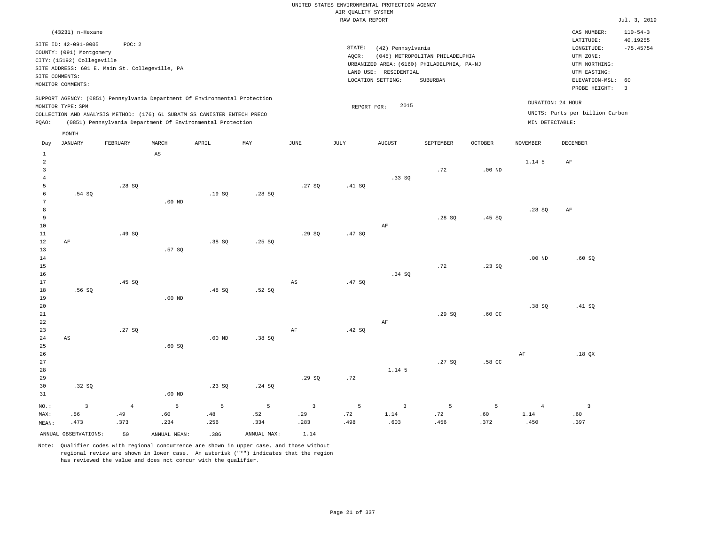|                                                                                                                                                                                 | CAS NUMBER:                                                                            | $110 - 54 - 3$                                       |
|---------------------------------------------------------------------------------------------------------------------------------------------------------------------------------|----------------------------------------------------------------------------------------|------------------------------------------------------|
| STATE:<br>(42) Pennsylvania<br>(045) METROPOLITAN PHILADELPHIA<br>AOCR:<br>URBANIZED AREA: (6160) PHILADELPHIA, PA-NJ<br>LAND USE: RESIDENTIAL<br>SUBURBAN<br>LOCATION SETTING: | LATITUDE:<br>LONGITUDE:<br>UTM ZONE:<br>UTM NORTHING:<br>UTM EASTING:<br>PROBE HEIGHT: | 40.19255<br>$-75.45754$<br>$\overline{\mathbf{3}}$   |
| 2015<br>REPORT FOR:                                                                                                                                                             | DURATION: 24 HOUR<br>MIN DETECTABLE:                                                   |                                                      |
|                                                                                                                                                                                 |                                                                                        | ELEVATION-MSL: 60<br>UNITS: Parts per billion Carbon |

| Day                     | JANUARY                | FEBRUARY       | MARCH                  | APRIL    | MAY         | JUNE                   | JULY   | AUGUST                  | SEPTEMBER | OCTOBER  | NOVEMBER       | DECEMBER                 |
|-------------------------|------------------------|----------------|------------------------|----------|-------------|------------------------|--------|-------------------------|-----------|----------|----------------|--------------------------|
| $\mathbf{1}$            |                        |                | $\mathbb{A}\mathbb{S}$ |          |             |                        |        |                         |           |          |                |                          |
| $\overline{a}$          |                        |                |                        |          |             |                        |        |                         |           |          | 1.14 5         | $\rm AF$                 |
| $\overline{\mathbf{3}}$ |                        |                |                        |          |             |                        |        |                         | .72       | $.00$ ND |                |                          |
| $\overline{4}$          |                        |                |                        |          |             |                        |        | .33SQ                   |           |          |                |                          |
| 5                       |                        | .28SQ          |                        |          |             | .27SQ                  | .41 SQ |                         |           |          |                |                          |
| 6                       | .54 SQ                 |                |                        | .19SQ    | .28SQ       |                        |        |                         |           |          |                |                          |
| $7\phantom{.0}$         |                        |                | $.00$ ND               |          |             |                        |        |                         |           |          |                |                          |
| $^{\rm 8}$              |                        |                |                        |          |             |                        |        |                         |           |          | .28SQ          | $\rm AF$                 |
| 9                       |                        |                |                        |          |             |                        |        |                         | .28SQ     | .45SQ    |                |                          |
| 10                      |                        |                |                        |          |             |                        |        | $\rm AF$                |           |          |                |                          |
| 11                      |                        | .49 SQ         |                        |          |             | .29SQ                  | .47SQ  |                         |           |          |                |                          |
| 12                      | $\rm AF$               |                |                        | .38SQ    | .25 SQ      |                        |        |                         |           |          |                |                          |
| 13                      |                        |                | .57 SQ                 |          |             |                        |        |                         |           |          |                |                          |
| 14                      |                        |                |                        |          |             |                        |        |                         |           |          | $.00$ ND       | .60SQ                    |
| 15                      |                        |                |                        |          |             |                        |        |                         | .72       | .23SQ    |                |                          |
| 16                      |                        |                |                        |          |             |                        |        | .34 SQ                  |           |          |                |                          |
| 17                      |                        | .45 SQ         |                        |          |             | $\mathbb{A}\mathbb{S}$ | .47SQ  |                         |           |          |                |                          |
| 18                      | .56SQ                  |                |                        | .48 SQ   | .52 SQ      |                        |        |                         |           |          |                |                          |
| 19                      |                        |                | $.00$ ND               |          |             |                        |        |                         |           |          |                |                          |
| 20                      |                        |                |                        |          |             |                        |        |                         |           |          | .38 SQ         | .41 SQ                   |
| $21\,$                  |                        |                |                        |          |             |                        |        |                         | .29SQ     | $.60$ CC |                |                          |
| 22                      |                        |                |                        |          |             |                        |        | $\rm AF$                |           |          |                |                          |
| 23                      |                        | .27SQ          |                        |          |             | AF                     | .42 SQ |                         |           |          |                |                          |
| $2\,4$                  | $\mathbb{A}\mathbb{S}$ |                |                        | $.00$ ND | .38 SQ      |                        |        |                         |           |          |                |                          |
| 25                      |                        |                | .60SQ                  |          |             |                        |        |                         |           |          |                |                          |
| 26                      |                        |                |                        |          |             |                        |        |                         |           |          | $\rm{AF}$      | .18 QX                   |
| 27                      |                        |                |                        |          |             |                        |        |                         | .27 SQ    | .58 CC   |                |                          |
| 28                      |                        |                |                        |          |             |                        |        | 1.14 5                  |           |          |                |                          |
| 29                      |                        |                |                        |          |             | .29SQ                  | .72    |                         |           |          |                |                          |
| 30                      | .32 SQ                 |                |                        | .23SQ    | .24 SQ      |                        |        |                         |           |          |                |                          |
| 31                      |                        |                | $.00$ ND               |          |             |                        |        |                         |           |          |                |                          |
| $NO.$ :                 | $\overline{3}$         | $\overline{4}$ | 5                      | 5        | 5           | $\overline{3}$         | 5      | $\overline{\mathbf{3}}$ | 5         | 5        | $\overline{4}$ | $\overline{\phantom{a}}$ |
| MAX:                    | .56                    | .49            | .60                    | .48      | .52         | .29                    | .72    | $1\,.14$                | .72       | .60      | 1.14           | $.60$                    |
| MEAN:                   | .473                   | .373           | .234                   | .256     | .334        | .283                   | .498   | .603                    | .456      | .372     | .450           | .397                     |
|                         | ANNUAL OBSERVATIONS:   | 50             | ANNUAL MEAN:           | .386     | ANNUAL MAX: | 1.14                   |        |                         |           |          |                |                          |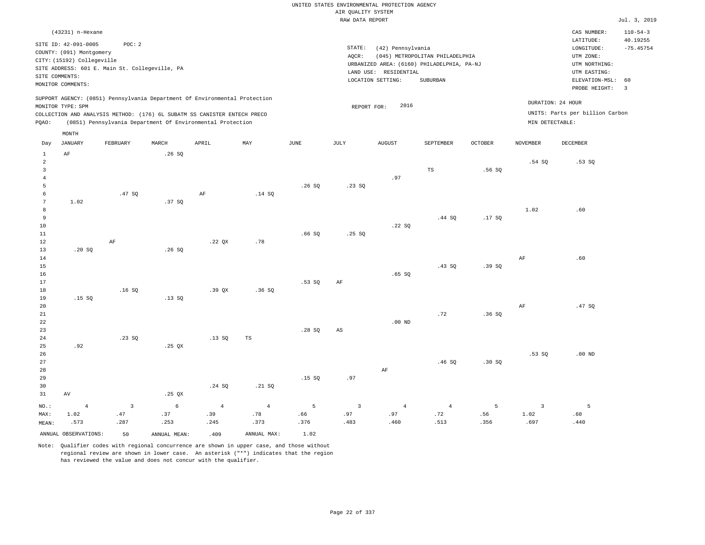|                                                                     | (43231) n-Hexane                                 |                                                                          |       |       |                                                                            |      |                 |                                                                     |                                 |         |                                    | CAS NUMBER:                          | $110 - 54 - 3$          |
|---------------------------------------------------------------------|--------------------------------------------------|--------------------------------------------------------------------------|-------|-------|----------------------------------------------------------------------------|------|-----------------|---------------------------------------------------------------------|---------------------------------|---------|------------------------------------|--------------------------------------|-------------------------|
|                                                                     | SITE ID: 42-091-0005<br>COUNTY: (091) Montgomery | POC: 2                                                                   |       |       |                                                                            |      | STATE:<br>AQCR: | (42) Pennsylvania                                                   | (045) METROPOLITAN PHILADELPHIA |         |                                    | LATITUDE:<br>LONGITUDE:<br>UTM ZONE: | 40.19255<br>$-75.45754$ |
|                                                                     | CITY: (15192) Collegeville<br>SITE COMMENTS:     | SITE ADDRESS: 601 E. Main St. Collegeville, PA                           |       |       |                                                                            |      |                 | URBANIZED AREA: (6160) PHILADELPHIA, PA-NJ<br>LAND USE: RESIDENTIAL |                                 |         |                                    | UTM NORTHING:<br>UTM EASTING:        |                         |
|                                                                     | MONITOR COMMENTS:                                |                                                                          |       |       |                                                                            |      |                 | LOCATION SETTING:                                                   | SUBURBAN                        |         | ELEVATION-MSL: 60<br>PROBE HEIGHT: | $\overline{\mathbf{3}}$              |                         |
|                                                                     | MONITOR TYPE: SPM                                |                                                                          |       |       | SUPPORT AGENCY: (0851) Pennsylvania Department Of Environmental Protection |      |                 | 2016<br>REPORT FOR:                                                 |                                 |         |                                    | DURATION: 24 HOUR                    |                         |
|                                                                     |                                                  | COLLECTION AND ANALYSIS METHOD: (176) 6L SUBATM SS CANISTER ENTECH PRECO |       |       |                                                                            |      |                 |                                                                     |                                 |         |                                    | UNITS: Parts per billion Carbon      |                         |
| (0851) Pennsylvania Department Of Environmental Protection<br>POAO: |                                                  |                                                                          |       |       |                                                                            |      |                 |                                                                     |                                 |         |                                    | MIN DETECTABLE:                      |                         |
|                                                                     | MONTH                                            |                                                                          |       |       |                                                                            |      |                 |                                                                     |                                 |         |                                    |                                      |                         |
| Day                                                                 | JANUARY                                          | FEBRUARY                                                                 | MARCH | APRIL | MAY                                                                        | JUNE | JULY            | <b>AUGUST</b>                                                       | SEPTEMBER                       | OCTOBER | NOVEMBER                           | DECEMBER                             |                         |
|                                                                     | AF                                               |                                                                          | .26S  |       |                                                                            |      |                 |                                                                     |                                 |         |                                    |                                      |                         |

| $NO.$ :                 | $\overline{4}$      | $\overline{3}$ | $\epsilon$               | $\overline{4}$ | $\overline{4}$ | 5      | $\overline{3}$         | $\overline{4}$ | $\overline{4}$ | 5     | $\overline{3}$ | 5        |
|-------------------------|---------------------|----------------|--------------------------|----------------|----------------|--------|------------------------|----------------|----------------|-------|----------------|----------|
| 31                      | $\operatorname{AV}$ |                | .25 $QX$                 |                |                |        |                        |                |                |       |                |          |
| 30                      |                     |                |                          | .24 SQ         | .21 SQ         |        |                        |                |                |       |                |          |
| 29                      |                     |                |                          |                |                | .15 SQ | .97                    |                |                |       |                |          |
| 28                      |                     |                |                          |                |                |        |                        | $\rm AF$       |                |       |                |          |
| 27                      |                     |                |                          |                |                |        |                        |                | .46SQ          | .30SQ |                |          |
| $26\,$                  |                     |                |                          |                |                |        |                        |                |                |       | .53SQ          | $.00$ ND |
| 25                      | .92                 |                | $.25$ QX                 |                |                |        |                        |                |                |       |                |          |
| $2\sqrt{4}$             |                     | .23 SQ         |                          | .13SQ          | $_{\rm TS}$    |        |                        |                |                |       |                |          |
| 23                      |                     |                |                          |                |                | .28 SQ | $\mathbb{A}\mathbb{S}$ |                |                |       |                |          |
| $2\sqrt{2}$             |                     |                |                          |                |                |        |                        | .00 $ND$       |                |       |                |          |
| $21\,$                  |                     |                |                          |                |                |        |                        |                | .72            | .36SQ |                |          |
| 20                      |                     |                |                          |                |                |        |                        |                |                |       | $\rm AF$       | .47 SQ   |
| 19                      | .15 SQ              |                | .13SQ                    |                |                |        |                        |                |                |       |                |          |
| 18                      |                     | .16SQ          |                          | .39QX          | .36SQ          |        |                        |                |                |       |                |          |
| 17                      |                     |                |                          |                |                | .53SQ  | $\rm{AF}$              |                |                |       |                |          |
| 16                      |                     |                |                          |                |                |        |                        | .65 SQ         |                |       |                |          |
| 15                      |                     |                |                          |                |                |        |                        |                | .43SQ          | .39SQ |                |          |
| 14                      |                     |                |                          |                |                |        |                        |                |                |       | $\rm{AF}$      | .60      |
| 12<br>13                | .20 SQ              | $\rm{AF}$      | .26SQ                    | .22 $QX$       | .78            |        |                        |                |                |       |                |          |
| $11\,$                  |                     |                |                          |                |                | .66SQ  | .25 SQ                 |                |                |       |                |          |
| $10$                    |                     |                |                          |                |                |        |                        | .22 SQ         |                |       |                |          |
| 9                       |                     |                |                          |                |                |        |                        |                | .44 SQ         | .17SQ |                |          |
| 8                       |                     |                |                          |                |                |        |                        |                |                |       | 1.02           | .60      |
| 7                       | 1.02                |                | .37 SQ                   |                |                |        |                        |                |                |       |                |          |
| 6                       |                     | .47 SQ         |                          | $\rm AF$       | .14 SQ         |        |                        |                |                |       |                |          |
| 5                       |                     |                |                          |                |                | .26SQ  | .23SQ                  |                |                |       |                |          |
| $\overline{4}$          |                     |                |                          |                |                |        |                        | .97            |                |       |                |          |
| $\overline{\mathbf{3}}$ |                     |                |                          |                |                |        |                        |                | TS             | .56SQ |                |          |
| $\overline{a}$          |                     |                | $\overline{\phantom{a}}$ |                |                |        |                        |                |                |       | .54 SQ         | .53SQ    |

 .66 .376

ANNUAL OBSERVATIONS: 50 ANNUAL MEAN: .409 ANNUAL MAX: 1.02

 .37 .253

MAX: MEAN:  1.02 .573  .47 .287

Note: Qualifier codes with regional concurrence are shown in upper case, and those without regional review are shown in lower case. An asterisk ("\*") indicates that the region has reviewed the value and does not concur with the qualifier.

 .39 .245  .78 .373

 .97 .483

 .97 .460  .72 .513  .56 .356  1.02 .697  .60 .440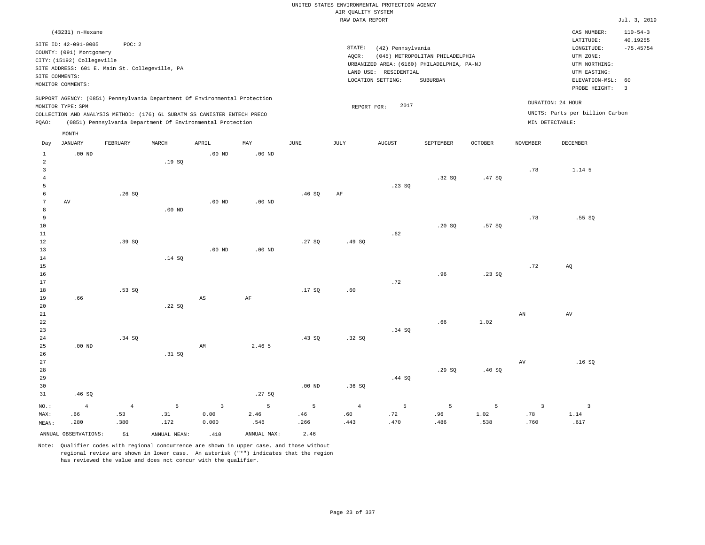|                     |                                                  |                                                |              |                                                                            |             |               |                    | UNITED STATES ENVIRONMENTAL PROTECTION AGENCY |                                            |         |                        |                                 |                            |
|---------------------|--------------------------------------------------|------------------------------------------------|--------------|----------------------------------------------------------------------------|-------------|---------------|--------------------|-----------------------------------------------|--------------------------------------------|---------|------------------------|---------------------------------|----------------------------|
|                     |                                                  |                                                |              |                                                                            |             |               | AIR QUALITY SYSTEM |                                               |                                            |         |                        |                                 |                            |
|                     |                                                  |                                                |              |                                                                            |             |               | RAW DATA REPORT    |                                               |                                            |         |                        |                                 | Jul. 3, 2019               |
|                     | (43231) n-Hexane                                 |                                                |              |                                                                            |             |               |                    |                                               |                                            |         |                        | CAS NUMBER:<br>LATITUDE:        | $110 - 54 - 3$<br>40.19255 |
|                     | SITE ID: 42-091-0005<br>COUNTY: (091) Montgomery | POC: 2                                         |              |                                                                            |             |               | STATE:             | (42) Pennsylvania                             |                                            |         |                        | LONGITUDE:                      | $-75.45754$                |
|                     | CITY: (15192) Collegeville                       |                                                |              |                                                                            |             |               | AQCR:              |                                               | (045) METROPOLITAN PHILADELPHIA            |         |                        | UTM ZONE:<br>UTM NORTHING:      |                            |
|                     |                                                  | SITE ADDRESS: 601 E. Main St. Collegeville, PA |              |                                                                            |             |               |                    | LAND USE: RESIDENTIAL                         | URBANIZED AREA: (6160) PHILADELPHIA, PA-NJ |         |                        | UTM EASTING:                    |                            |
|                     | SITE COMMENTS:                                   |                                                |              |                                                                            |             |               |                    | LOCATION SETTING:                             | <b>SUBURBAN</b>                            |         |                        | ELEVATION-MSL:                  | 60                         |
|                     | MONITOR COMMENTS:                                |                                                |              |                                                                            |             |               |                    |                                               |                                            |         |                        | PROBE HEIGHT:                   | $\overline{3}$             |
|                     | MONITOR TYPE: SPM                                |                                                |              | SUPPORT AGENCY: (0851) Pennsylvania Department Of Environmental Protection |             |               | REPORT FOR:        | 2017                                          |                                            |         |                        | DURATION: 24 HOUR               |                            |
|                     |                                                  |                                                |              | COLLECTION AND ANALYSIS METHOD: (176) 6L SUBATM SS CANISTER ENTECH PRECO   |             |               |                    |                                               |                                            |         |                        | UNITS: Parts per billion Carbon |                            |
| PQAO:               |                                                  |                                                |              | (0851) Pennsylvania Department Of Environmental Protection                 |             |               |                    |                                               |                                            |         |                        | MIN DETECTABLE:                 |                            |
|                     | MONTH                                            |                                                |              |                                                                            |             |               |                    |                                               |                                            |         |                        |                                 |                            |
| Day                 | JANUARY                                          | FEBRUARY                                       | MARCH        | APRIL                                                                      | MAY         | $_{\rm JUNE}$ | JULY               | <b>AUGUST</b>                                 | SEPTEMBER                                  | OCTOBER | <b>NOVEMBER</b>        | <b>DECEMBER</b>                 |                            |
| $\mathbf{1}$        | $.00$ ND                                         |                                                |              | $.00$ ND                                                                   | $.00$ ND    |               |                    |                                               |                                            |         |                        |                                 |                            |
| $\overline{a}$      |                                                  |                                                | .19SQ        |                                                                            |             |               |                    |                                               |                                            |         |                        |                                 |                            |
| $\overline{3}$      |                                                  |                                                |              |                                                                            |             |               |                    |                                               |                                            |         | .78                    | 1.14 5                          |                            |
| $\overline{4}$<br>5 |                                                  |                                                |              |                                                                            |             |               |                    | .23 S0                                        | .32S                                       | .47 SO  |                        |                                 |                            |
| 6                   |                                                  | .26SQ                                          |              |                                                                            |             | .46SQ         | $\rm{AF}$          |                                               |                                            |         |                        |                                 |                            |
| $\overline{7}$      | AV                                               |                                                |              | $.00$ ND                                                                   | $.00$ ND    |               |                    |                                               |                                            |         |                        |                                 |                            |
| 8                   |                                                  |                                                | $.00$ ND     |                                                                            |             |               |                    |                                               |                                            |         |                        |                                 |                            |
| 9                   |                                                  |                                                |              |                                                                            |             |               |                    |                                               |                                            |         | .78                    | .55 SO                          |                            |
| 10                  |                                                  |                                                |              |                                                                            |             |               |                    |                                               | .20SQ                                      | .57SQ   |                        |                                 |                            |
| 11                  |                                                  |                                                |              |                                                                            |             |               |                    | .62                                           |                                            |         |                        |                                 |                            |
| $1\,2$              |                                                  | .39 SQ                                         |              |                                                                            |             | .27SQ         | .49SQ              |                                               |                                            |         |                        |                                 |                            |
| 13                  |                                                  |                                                |              | $.00$ ND                                                                   | $.00$ ND    |               |                    |                                               |                                            |         |                        |                                 |                            |
| 14                  |                                                  |                                                | .14 SQ       |                                                                            |             |               |                    |                                               |                                            |         |                        |                                 |                            |
| 15                  |                                                  |                                                |              |                                                                            |             |               |                    |                                               |                                            |         | .72                    | AQ                              |                            |
| 16                  |                                                  |                                                |              |                                                                            |             |               |                    |                                               | .96                                        | .23SQ   |                        |                                 |                            |
| 17                  |                                                  |                                                |              |                                                                            |             |               |                    | .72                                           |                                            |         |                        |                                 |                            |
| 18                  |                                                  | .53 SO                                         |              |                                                                            |             | .17S          | .60                |                                               |                                            |         |                        |                                 |                            |
| 19                  | .66                                              |                                                |              | AS                                                                         | $\rm{AF}$   |               |                    |                                               |                                            |         |                        |                                 |                            |
| 20                  |                                                  |                                                | .22S         |                                                                            |             |               |                    |                                               |                                            |         |                        |                                 |                            |
| 21<br>22            |                                                  |                                                |              |                                                                            |             |               |                    |                                               | .66                                        | 1.02    | $\mathbb{A}\mathbb{N}$ | $\operatorname{AV}$             |                            |
| 23                  |                                                  |                                                |              |                                                                            |             |               |                    | .34 SQ                                        |                                            |         |                        |                                 |                            |
| 24                  |                                                  | .34 SO                                         |              |                                                                            |             | .43S          | .32S               |                                               |                                            |         |                        |                                 |                            |
| 25                  | $.00$ ND                                         |                                                |              | AM                                                                         | 2.46 5      |               |                    |                                               |                                            |         |                        |                                 |                            |
| 26                  |                                                  |                                                | .31 S0       |                                                                            |             |               |                    |                                               |                                            |         |                        |                                 |                            |
| 27                  |                                                  |                                                |              |                                                                            |             |               |                    |                                               |                                            |         | AV                     | .16S                            |                            |
| 28                  |                                                  |                                                |              |                                                                            |             |               |                    |                                               | .29SQ                                      | .40 SQ  |                        |                                 |                            |
| 29                  |                                                  |                                                |              |                                                                            |             |               |                    | .44 SQ                                        |                                            |         |                        |                                 |                            |
| 30                  |                                                  |                                                |              |                                                                            |             | $.00$ ND      | .36S               |                                               |                                            |         |                        |                                 |                            |
| 31                  | .46SQ                                            |                                                |              |                                                                            | .27SQ       |               |                    |                                               |                                            |         |                        |                                 |                            |
| NO.:                | $\overline{4}$                                   | $\overline{4}$                                 | 5            | $\overline{3}$                                                             | 5           | 5             | $\overline{4}$     | 5                                             | 5                                          | 5       | $\overline{3}$         | $\overline{\mathbf{3}}$         |                            |
| MAX:                | .66                                              | .53                                            | .31          | 0.00                                                                       | 2.46        | .46           | .60                | .72                                           | .96                                        | 1.02    | .78                    | 1.14                            |                            |
| MEAN:               | .280                                             | .380                                           | .172         | 0.000                                                                      | .546        | .266          | .443               | .470                                          | .486                                       | .538    | .760                   | .617                            |                            |
|                     | ANNUAL OBSERVATIONS:                             | 51                                             | ANNUAL MEAN: | .410                                                                       | ANNUAL MAX: | 2.46          |                    |                                               |                                            |         |                        |                                 |                            |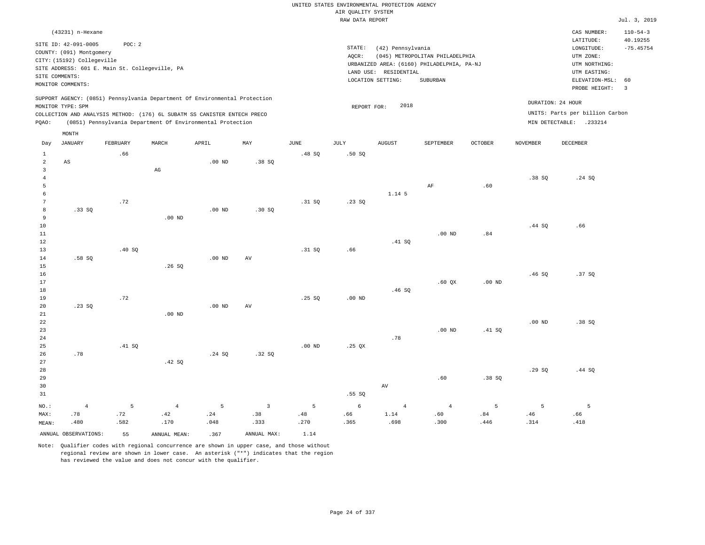|                                         |                                                                      |                                                |                        |                                                                                                                                        |                       |             | UNITED STATES ENVIRONMENTAL PROTECTION AGENCY |                                            |                                                                                           |                   |                   |                                                                               |                                           |
|-----------------------------------------|----------------------------------------------------------------------|------------------------------------------------|------------------------|----------------------------------------------------------------------------------------------------------------------------------------|-----------------------|-------------|-----------------------------------------------|--------------------------------------------|-------------------------------------------------------------------------------------------|-------------------|-------------------|-------------------------------------------------------------------------------|-------------------------------------------|
|                                         |                                                                      |                                                |                        |                                                                                                                                        |                       |             | AIR QUALITY SYSTEM                            |                                            |                                                                                           |                   |                   |                                                                               |                                           |
|                                         |                                                                      |                                                |                        |                                                                                                                                        |                       |             | RAW DATA REPORT                               |                                            |                                                                                           |                   |                   |                                                                               | Jul. 3, 2019                              |
|                                         | (43231) n-Hexane<br>SITE ID: 42-091-0005<br>COUNTY: (091) Montgomery | POC: 2                                         |                        |                                                                                                                                        |                       |             | STATE:                                        | (42) Pennsylvania                          |                                                                                           |                   |                   | CAS NUMBER:<br>LATITUDE:<br>LONGITUDE:                                        | $110 - 54 - 3$<br>40.19255<br>$-75.45754$ |
|                                         | CITY: (15192) Collegeville<br>SITE COMMENTS:<br>MONITOR COMMENTS:    | SITE ADDRESS: 601 E. Main St. Collegeville, PA |                        |                                                                                                                                        |                       |             | AQCR:                                         | LAND USE: RESIDENTIAL<br>LOCATION SETTING: | (045) METROPOLITAN PHILADELPHIA<br>URBANIZED AREA: (6160) PHILADELPHIA, PA-NJ<br>SUBURBAN |                   |                   | UTM ZONE:<br>UTM NORTHING:<br>UTM EASTING:<br>ELEVATION-MSL:<br>PROBE HEIGHT: | 60<br>$\overline{3}$                      |
|                                         | MONITOR TYPE: SPM                                                    |                                                |                        | SUPPORT AGENCY: (0851) Pennsylvania Department Of Environmental Protection                                                             |                       |             | REPORT FOR:                                   | 2018                                       |                                                                                           |                   |                   | DURATION: 24 HOUR<br>UNITS: Parts per billion Carbon                          |                                           |
| PQAO:                                   |                                                                      |                                                |                        | COLLECTION AND ANALYSIS METHOD: (176) 6L SUBATM SS CANISTER ENTECH PRECO<br>(0851) Pennsylvania Department Of Environmental Protection |                       |             |                                               |                                            |                                                                                           |                   |                   | MIN DETECTABLE: .233214                                                       |                                           |
| Day                                     | MONTH<br><b>JANUARY</b>                                              | FEBRUARY                                       | MARCH                  | APRIL                                                                                                                                  | MAY                   | <b>JUNE</b> | <b>JULY</b>                                   | <b>AUGUST</b>                              | SEPTEMBER                                                                                 | OCTOBER           | <b>NOVEMBER</b>   | <b>DECEMBER</b>                                                               |                                           |
| $\mathbf{1}$                            |                                                                      | .66                                            |                        |                                                                                                                                        |                       | .48 SO      | .50S                                          |                                            |                                                                                           |                   |                   |                                                                               |                                           |
| 2<br>$\overline{\mathbf{3}}$<br>$\,4\,$ | AS                                                                   |                                                | $\mathbb{A}\mathbb{G}$ | .00 <sub>ND</sub>                                                                                                                      | .38SQ                 |             |                                               |                                            |                                                                                           |                   | .38SQ             | .24 SQ                                                                        |                                           |
| 5<br>6                                  |                                                                      |                                                |                        |                                                                                                                                        |                       |             |                                               | 1.14 5                                     | AF                                                                                        | .60               |                   |                                                                               |                                           |
| $7\phantom{.0}$<br>8<br>9               | .33 S0                                                               | .72                                            | $.00$ ND               | .00 <sub>ND</sub>                                                                                                                      | .30S                  | .31 SQ      | .23SQ                                         |                                            |                                                                                           |                   |                   |                                                                               |                                           |
| 10<br>$11\,$<br>12                      |                                                                      |                                                |                        |                                                                                                                                        |                       |             |                                               | .41 S0                                     | $.00$ ND                                                                                  | .84               | .44 SQ            | .66                                                                           |                                           |
| 13<br>14<br>15                          | .58 SO                                                               | .40 SQ                                         | .26SQ                  | $.00$ ND                                                                                                                               | AV                    | .31 SQ      | .66                                           |                                            |                                                                                           |                   |                   |                                                                               |                                           |
| 16<br>17<br>$1\,8$                      |                                                                      |                                                |                        |                                                                                                                                        |                       |             |                                               | .46SQ                                      | $.60$ $OX$                                                                                | .00 <sub>ND</sub> | .46S              | .37 SO                                                                        |                                           |
| 19<br>20<br>21                          | .23SQ                                                                | .72                                            | $.00$ ND               | $.00$ ND                                                                                                                               | AV                    | .25S        | $.00$ ND                                      |                                            |                                                                                           |                   |                   |                                                                               |                                           |
| 22<br>23<br>24                          |                                                                      |                                                |                        |                                                                                                                                        |                       |             |                                               | .78                                        | .00 <sub>ND</sub>                                                                         | .41 SO            | .00 <sub>ND</sub> | .38SQ                                                                         |                                           |
| 25<br>26<br>27                          | .78                                                                  | .41 SQ                                         | .42 S0                 | .24 SQ                                                                                                                                 | .32SQ                 | $.00$ ND    | $.25$ QX                                      |                                            |                                                                                           |                   |                   |                                                                               |                                           |
| 28<br>29<br>30<br>31                    |                                                                      |                                                |                        |                                                                                                                                        |                       |             | .55S                                          | $\operatorname{AV}$                        | .60                                                                                       | .38S              | .29SQ             | .44 SQ                                                                        |                                           |
| NO.:<br>MAX:                            | $\overline{4}$<br>.78                                                | 5<br>.72                                       | $\overline{4}$<br>.42  | 5<br>.24                                                                                                                               | $\overline{3}$<br>.38 | 5<br>.48    | 6<br>.66                                      | $\overline{4}$<br>1.14                     | $\overline{4}$<br>.60                                                                     | 5<br>.84          | 5<br>.46          | 5<br>.66                                                                      |                                           |
| MEAN:                                   | .480                                                                 | .582                                           | .170                   | .048                                                                                                                                   | .333                  | .270        | .365                                          | .698                                       | .300                                                                                      | .446              | .314              | .418                                                                          |                                           |
|                                         | ANNUAL OBSERVATIONS:                                                 | 55                                             | ANNUAL MEAN:           | .367                                                                                                                                   | ANNUAL MAX:           | 1.14        |                                               |                                            |                                                                                           |                   |                   |                                                                               |                                           |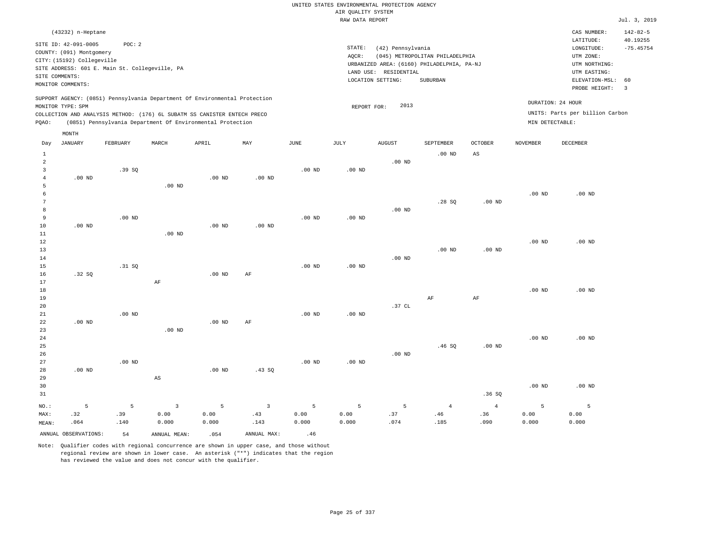|                         | (43232) n-Heptane          |                                                                            |                   |          |                |                   |             |                       |                                            |                |                 | CAS NUMBER:                     | $142 - 82 - 5$          |
|-------------------------|----------------------------|----------------------------------------------------------------------------|-------------------|----------|----------------|-------------------|-------------|-----------------------|--------------------------------------------|----------------|-----------------|---------------------------------|-------------------------|
|                         | SITE ID: 42-091-0005       | POC: 2                                                                     |                   |          |                |                   |             |                       |                                            |                |                 | LATITUDE:                       | 40.19255                |
|                         | COUNTY: (091) Montgomery   |                                                                            |                   |          |                |                   | STATE:      | (42) Pennsylvania     | (045) METROPOLITAN PHILADELPHIA            |                |                 | LONGITUDE:<br>UTM ZONE:         | $-75.45754$             |
|                         | CITY: (15192) Collegeville |                                                                            |                   |          |                |                   | AQCR:       |                       | URBANIZED AREA: (6160) PHILADELPHIA, PA-NJ |                |                 | UTM NORTHING:                   |                         |
|                         |                            | SITE ADDRESS: 601 E. Main St. Collegeville, PA                             |                   |          |                |                   |             | LAND USE: RESIDENTIAL |                                            |                |                 | UTM EASTING:                    |                         |
|                         | SITE COMMENTS:             |                                                                            |                   |          |                |                   |             | LOCATION SETTING:     | SUBURBAN                                   |                |                 | ELEVATION-MSL:                  | 60                      |
|                         | MONITOR COMMENTS:          |                                                                            |                   |          |                |                   |             |                       |                                            |                |                 | PROBE HEIGHT:                   | $\overline{\mathbf{3}}$ |
|                         |                            | SUPPORT AGENCY: (0851) Pennsylvania Department Of Environmental Protection |                   |          |                |                   |             |                       |                                            |                |                 |                                 |                         |
|                         | MONITOR TYPE: SPM          |                                                                            |                   |          |                |                   | REPORT FOR: | 2013                  |                                            |                |                 | DURATION: 24 HOUR               |                         |
|                         |                            | COLLECTION AND ANALYSIS METHOD: (176) 6L SUBATM SS CANISTER ENTECH PRECO   |                   |          |                |                   |             |                       |                                            |                |                 | UNITS: Parts per billion Carbon |                         |
| PQAO:                   |                            | (0851) Pennsylvania Department Of Environmental Protection                 |                   |          |                |                   |             |                       |                                            |                | MIN DETECTABLE: |                                 |                         |
|                         | MONTH                      |                                                                            |                   |          |                |                   |             |                       |                                            |                |                 |                                 |                         |
| Day                     | <b>JANUARY</b>             | FEBRUARY                                                                   | MARCH             | APRIL    | MAY            | JUNE              | <b>JULY</b> | <b>AUGUST</b>         | SEPTEMBER                                  | <b>OCTOBER</b> | <b>NOVEMBER</b> | DECEMBER                        |                         |
| $\mathbf{1}$            |                            |                                                                            |                   |          |                |                   |             |                       | $.00$ ND                                   | $_{\rm AS}$    |                 |                                 |                         |
| $\overline{2}$          |                            |                                                                            |                   |          |                |                   |             | $.00$ ND              |                                            |                |                 |                                 |                         |
| $\overline{\mathbf{3}}$ |                            | .39SQ                                                                      |                   |          |                | $.00$ ND          | $.00$ ND    |                       |                                            |                |                 |                                 |                         |
| $\overline{4}$          | .00 <sub>ND</sub>          |                                                                            |                   | $.00$ ND | $.00$ ND       |                   |             |                       |                                            |                |                 |                                 |                         |
| 5                       |                            |                                                                            | $.00$ ND          |          |                |                   |             |                       |                                            |                |                 |                                 |                         |
| 6                       |                            |                                                                            |                   |          |                |                   |             |                       |                                            |                | $.00$ ND        | .00 <sub>ND</sub>               |                         |
| $7\phantom{.0}$         |                            |                                                                            |                   |          |                |                   |             |                       | .28SQ                                      | $.00$ ND       |                 |                                 |                         |
| 8                       |                            |                                                                            |                   |          |                |                   |             | $.00$ ND              |                                            |                |                 |                                 |                         |
| 9                       |                            | $.00$ ND                                                                   |                   |          |                | .00 <sub>ND</sub> | $.00$ ND    |                       |                                            |                |                 |                                 |                         |
| 10<br>11                | $.00$ ND                   |                                                                            | .00 <sub>ND</sub> | $.00$ ND | $.00$ ND       |                   |             |                       |                                            |                |                 |                                 |                         |
| 12                      |                            |                                                                            |                   |          |                |                   |             |                       |                                            |                | $.00$ ND        | $.00$ ND                        |                         |
| 13                      |                            |                                                                            |                   |          |                |                   |             |                       | $.00$ ND                                   | $.00$ ND       |                 |                                 |                         |
| 14                      |                            |                                                                            |                   |          |                |                   |             | $.00$ ND              |                                            |                |                 |                                 |                         |
| 15                      |                            | .31 SQ                                                                     |                   |          |                | $.00$ ND          | $.00$ ND    |                       |                                            |                |                 |                                 |                         |
| 16                      | .32SQ                      |                                                                            |                   | $.00$ ND | AF             |                   |             |                       |                                            |                |                 |                                 |                         |
| 17                      |                            |                                                                            | $\rm AF$          |          |                |                   |             |                       |                                            |                |                 |                                 |                         |
| 18                      |                            |                                                                            |                   |          |                |                   |             |                       |                                            |                | $.00$ ND        | .00 <sub>ND</sub>               |                         |
| 19                      |                            |                                                                            |                   |          |                |                   |             |                       | AF                                         | $\rm{AF}$      |                 |                                 |                         |
| 20                      |                            |                                                                            |                   |          |                |                   |             | .37 CL                |                                            |                |                 |                                 |                         |
| 21<br>22                | $.00$ ND                   | $.00$ ND                                                                   |                   | $.00$ ND | AF             | $.00$ ND          | $.00$ ND    |                       |                                            |                |                 |                                 |                         |
| 23                      |                            |                                                                            | .00 <sub>ND</sub> |          |                |                   |             |                       |                                            |                |                 |                                 |                         |
| 24                      |                            |                                                                            |                   |          |                |                   |             |                       |                                            |                | $.00$ ND        | $.00$ ND                        |                         |
| 25                      |                            |                                                                            |                   |          |                |                   |             |                       | .46S                                       | $.00$ ND       |                 |                                 |                         |
| 26                      |                            |                                                                            |                   |          |                |                   |             | $.00$ ND              |                                            |                |                 |                                 |                         |
| 27                      |                            | $.00$ ND                                                                   |                   |          |                | $.00$ ND          | $.00$ ND    |                       |                                            |                |                 |                                 |                         |
| 28                      | $.00$ ND                   |                                                                            |                   | $.00$ ND | .43SQ          |                   |             |                       |                                            |                |                 |                                 |                         |
| 29                      |                            |                                                                            | AS                |          |                |                   |             |                       |                                            |                |                 |                                 |                         |
| 30                      |                            |                                                                            |                   |          |                |                   |             |                       |                                            |                | $.00$ ND        | $.00$ ND                        |                         |
| 31                      |                            |                                                                            |                   |          |                |                   |             |                       |                                            | .36S           |                 |                                 |                         |
| NO.:                    | 5                          | 5                                                                          | $\overline{3}$    | 5        | $\overline{3}$ | 5                 | 5           | 5                     | $\overline{4}$                             | $\overline{4}$ | 5               | 5                               |                         |
| MAX:                    | .32                        | .39                                                                        | 0.00              | 0.00     | .43            | 0.00              | 0.00        | .37                   | .46                                        | .36            | 0.00            | 0.00                            |                         |

Note: Qualifier codes with regional concurrence are shown in upper case, and those without regional review are shown in lower case. An asterisk ("\*") indicates that the region has reviewed the value and does not concur with the qualifier.

ANNUAL OBSERVATIONS:  $54$  ANNUAL MEAN: .054 ANNUAL MAX: .46

0.000

.143

0.000

0.000

MEAN:

.064

.140

0.000

.074

.185

.090

0.000

0.000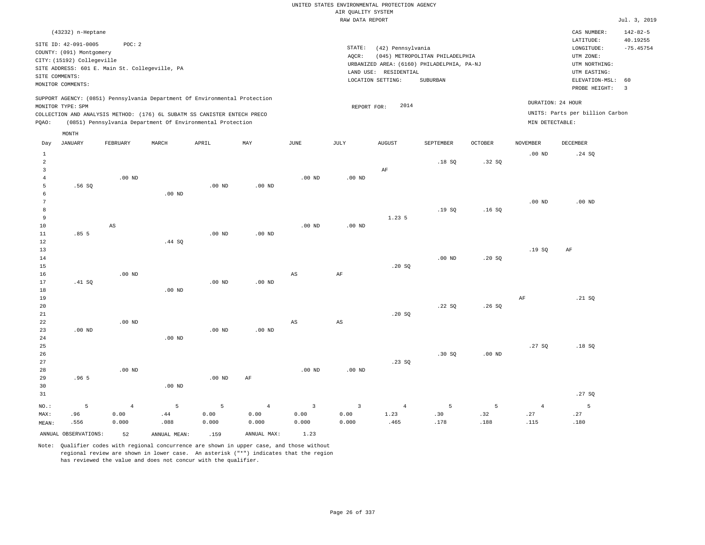| (43232) n-Heptane                                                                                                                                                                                                                                           |                                                                                                                                                                                    | CAS NUMBER:                                                                                                 | $142 - 82 - 5$                                     |
|-------------------------------------------------------------------------------------------------------------------------------------------------------------------------------------------------------------------------------------------------------------|------------------------------------------------------------------------------------------------------------------------------------------------------------------------------------|-------------------------------------------------------------------------------------------------------------|----------------------------------------------------|
| SITE ID: 42-091-0005<br>POC: 2<br>COUNTY: (091) Montgomery<br>CITY: (15192) Collegeville<br>SITE ADDRESS: 601 E. Main St. Collegeville, PA<br>SITE COMMENTS:<br>MONITOR COMMENTS:                                                                           | STATE:<br>(42) Pennsylvania<br>(045) METROPOLITAN PHILADELPHIA<br>AOCR:<br>URBANIZED AREA: (6160) PHILADELPHIA, PA-NJ<br>RESIDENTIAL<br>LAND USE:<br>LOCATION SETTING:<br>SUBURBAN | LATITUDE:<br>LONGITUDE:<br>UTM ZONE:<br>UTM NORTHING:<br>UTM EASTING:<br>ELEVATION-MSL: 60<br>PROBE HEIGHT: | 40.19255<br>$-75.45754$<br>$\overline{\mathbf{3}}$ |
| SUPPORT AGENCY: (0851) Pennsylvania Department Of Environmental Protection<br>MONITOR TYPE: SPM<br>COLLECTION AND ANALYSIS METHOD: (176) 6L SUBATM SS CANISTER ENTECH PRECO<br>(0851) Pennsylvania Department Of Environmental Protection<br>POAO:<br>MONTH | 2014<br>REPORT FOR:                                                                                                                                                                | DURATION: 24 HOUR<br>UNITS: Parts per billion Carbon<br>MIN DETECTABLE:                                     |                                                    |

| Day            | <b>JANUARY</b>       | FEBRUARY               | MARCH        | APRIL    | MAY            | JUNE                    | $\mathtt{JULY}$ | AUGUST         | SEPTEMBER | $\mathtt{OCTOBER}$ | NOVEMBER       | DECEMBER |
|----------------|----------------------|------------------------|--------------|----------|----------------|-------------------------|-----------------|----------------|-----------|--------------------|----------------|----------|
| $\mathbf{1}$   |                      |                        |              |          |                |                         |                 |                |           |                    | $.00$ ND       | .24 SQ   |
| $\overline{a}$ |                      |                        |              |          |                |                         |                 |                | .18SQ     | .32 SQ             |                |          |
| 3              |                      |                        |              |          |                |                         |                 | $\rm AF$       |           |                    |                |          |
| $\overline{4}$ |                      | .00 $ND$               |              |          |                | $.00$ ND                | $.00$ ND        |                |           |                    |                |          |
| 5              | .56 SQ               |                        |              | .00 $ND$ | $.00$ ND       |                         |                 |                |           |                    |                |          |
| 6              |                      |                        | $.00$ ND     |          |                |                         |                 |                |           |                    |                |          |
| 7              |                      |                        |              |          |                |                         |                 |                |           |                    | $.00$ ND       | $.00$ ND |
| 8              |                      |                        |              |          |                |                         |                 |                | .19SQ     | .16S               |                |          |
| 9              |                      |                        |              |          |                |                         |                 | 1.23 5         |           |                    |                |          |
| 10             |                      | $\mathbb{A}\mathbb{S}$ |              |          |                | $.00$ ND                | $.00$ ND        |                |           |                    |                |          |
| 11             | .855                 |                        |              | $.00$ ND | $.00$ ND       |                         |                 |                |           |                    |                |          |
| 12             |                      |                        | .44 SQ       |          |                |                         |                 |                |           |                    |                |          |
| 13             |                      |                        |              |          |                |                         |                 |                |           |                    | .19SQ          | $\rm AF$ |
| $14$           |                      |                        |              |          |                |                         |                 |                | $.00$ ND  | .20SQ              |                |          |
| 15             |                      |                        |              |          |                |                         |                 | .20SQ          |           |                    |                |          |
| 16             |                      | $.00$ ND               |              |          |                | $\mathbb{A}\mathbb{S}$  | $\rm AF$        |                |           |                    |                |          |
| 17             | .41 SQ               |                        |              | $.00$ ND | $.00$ ND       |                         |                 |                |           |                    |                |          |
| 18             |                      |                        | $.00$ ND     |          |                |                         |                 |                |           |                    |                |          |
| 19             |                      |                        |              |          |                |                         |                 |                |           |                    | $\rm{AF}$      | .21 SQ   |
| 20             |                      |                        |              |          |                |                         |                 |                | .22SQ     | .26SQ              |                |          |
| 21<br>22       |                      | $.00$ ND               |              |          |                |                         |                 | .20SQ          |           |                    |                |          |
| 23             | $.00$ ND             |                        |              | $.00$ ND | $.00$ ND       | AS                      | AS              |                |           |                    |                |          |
| 24             |                      |                        | $.00$ ND     |          |                |                         |                 |                |           |                    |                |          |
| $25\,$         |                      |                        |              |          |                |                         |                 |                |           |                    | .27SQ          | .18SQ    |
| $26\,$         |                      |                        |              |          |                |                         |                 |                | .30SQ     | $.00$ ND           |                |          |
| $27\,$         |                      |                        |              |          |                |                         |                 | .23SQ          |           |                    |                |          |
| 28             |                      | $.00$ ND               |              |          |                | $.00$ ND                | $.00$ ND        |                |           |                    |                |          |
| 29             | .965                 |                        |              | .00 $ND$ | $\rm AF$       |                         |                 |                |           |                    |                |          |
| 30             |                      |                        | $.00$ ND     |          |                |                         |                 |                |           |                    |                |          |
| 31             |                      |                        |              |          |                |                         |                 |                |           |                    |                | .27 SQ   |
| $_{\rm NO.}$ : | $\overline{5}$       | $\sqrt{4}$             | $\mathsf S$  | 5        | $\overline{4}$ | $\overline{\mathbf{3}}$ | $\mathsf 3$     | $\overline{4}$ | 5         | $\overline{5}$     | $\overline{4}$ | 5        |
| MAX:           | .96                  | 0.00                   | $.44\,$      | 0.00     | 0.00           | 0.00                    | 0.00            | 1.23           | .30       | .32                | .27            | .27      |
| MEAN:          | .556                 | 0.000                  | .088         | 0.000    | 0.000          | 0.000                   | 0.000           | .465           | .178      | .188               | .115           | .180     |
|                | ANNUAL OBSERVATIONS: | 52                     | ANNUAL MEAN: | .159     | ANNUAL MAX:    | 1.23                    |                 |                |           |                    |                |          |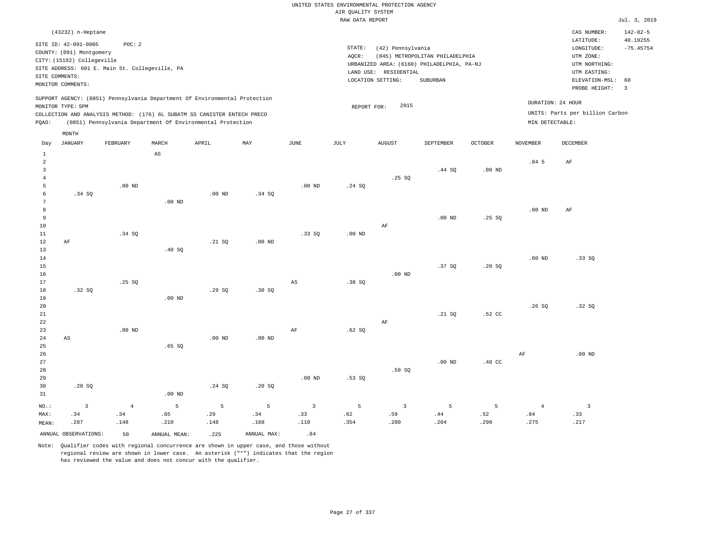|                     |                            |                                                                            |                        |          |                   |                         |                     | UNITED STATES ENVIRONMENTAL PROTECTION AGENCY |                                            |                   |                   |                                 |                      |
|---------------------|----------------------------|----------------------------------------------------------------------------|------------------------|----------|-------------------|-------------------------|---------------------|-----------------------------------------------|--------------------------------------------|-------------------|-------------------|---------------------------------|----------------------|
|                     |                            |                                                                            |                        |          |                   |                         | AIR QUALITY SYSTEM  |                                               |                                            |                   |                   |                                 |                      |
|                     |                            |                                                                            |                        |          |                   |                         | RAW DATA REPORT     |                                               |                                            |                   |                   |                                 | Jul. 3, 2019         |
|                     | (43232) n-Heptane          |                                                                            |                        |          |                   |                         |                     |                                               |                                            |                   |                   | CAS NUMBER:                     | $142 - 82 - 5$       |
|                     | SITE ID: 42-091-0005       | POC: 2                                                                     |                        |          |                   |                         |                     |                                               |                                            |                   |                   | LATITUDE:                       | 40.19255             |
|                     | COUNTY: (091) Montgomery   |                                                                            |                        |          |                   |                         | $\texttt{STATE}{}:$ | (42) Pennsylvania                             |                                            |                   |                   | LONGITUDE:                      | $-75.45754$          |
|                     | CITY: (15192) Collegeville |                                                                            |                        |          |                   |                         | AQCR:               |                                               | (045) METROPOLITAN PHILADELPHIA            |                   |                   | UTM ZONE:                       |                      |
|                     |                            | SITE ADDRESS: 601 E. Main St. Collegeville, PA                             |                        |          |                   |                         |                     |                                               | URBANIZED AREA: (6160) PHILADELPHIA, PA-NJ |                   |                   | UTM NORTHING:                   |                      |
|                     | SITE COMMENTS:             |                                                                            |                        |          |                   |                         |                     | LAND USE: RESIDENTIAL                         |                                            |                   |                   | UTM EASTING:                    |                      |
|                     | MONITOR COMMENTS:          |                                                                            |                        |          |                   |                         |                     | LOCATION SETTING:                             | SUBURBAN                                   |                   |                   | ELEVATION-MSL:<br>PROBE HEIGHT: | 60<br>$\overline{3}$ |
|                     |                            | SUPPORT AGENCY: (0851) Pennsylvania Department Of Environmental Protection |                        |          |                   |                         |                     |                                               |                                            |                   |                   |                                 |                      |
|                     | MONITOR TYPE: SPM          |                                                                            |                        |          |                   |                         | REPORT FOR:         | 2015                                          |                                            |                   |                   | DURATION: 24 HOUR               |                      |
|                     |                            | COLLECTION AND ANALYSIS METHOD: (176) 6L SUBATM SS CANISTER ENTECH PRECO   |                        |          |                   |                         |                     |                                               |                                            |                   |                   | UNITS: Parts per billion Carbon |                      |
| PQAO:               |                            | (0851) Pennsylvania Department Of Environmental Protection                 |                        |          |                   |                         |                     |                                               |                                            |                   | MIN DETECTABLE:   |                                 |                      |
|                     | MONTH                      |                                                                            |                        |          |                   |                         |                     |                                               |                                            |                   |                   |                                 |                      |
| Day                 | <b>JANUARY</b>             | FEBRUARY                                                                   | MARCH                  | APRIL    | MAY               | <b>JUNE</b>             | JULY                | <b>AUGUST</b>                                 | SEPTEMBER                                  | <b>OCTOBER</b>    | <b>NOVEMBER</b>   | DECEMBER                        |                      |
| $\mathbf{1}$        |                            |                                                                            | $\mathbb{A}\mathbb{S}$ |          |                   |                         |                     |                                               |                                            |                   |                   |                                 |                      |
| $\overline{a}$      |                            |                                                                            |                        |          |                   |                         |                     |                                               |                                            |                   | .845              | $\rm AF$                        |                      |
| 3<br>$\overline{4}$ |                            |                                                                            |                        |          |                   |                         |                     |                                               | .44 SQ                                     | .00 <sub>ND</sub> |                   |                                 |                      |
| 5                   |                            | $.00$ ND                                                                   |                        |          |                   | $.00$ ND                | .24 S0              | .25SQ                                         |                                            |                   |                   |                                 |                      |
| 6                   | .34 SQ                     |                                                                            |                        | $.00$ ND | .34 SQ            |                         |                     |                                               |                                            |                   |                   |                                 |                      |
| $7\phantom{.0}$     |                            |                                                                            | $.00$ ND               |          |                   |                         |                     |                                               |                                            |                   |                   |                                 |                      |
| 8                   |                            |                                                                            |                        |          |                   |                         |                     |                                               |                                            |                   | $.00$ ND          | AF                              |                      |
| $\overline{9}$      |                            |                                                                            |                        |          |                   |                         |                     |                                               | .00 <sub>ND</sub>                          | .25SQ             |                   |                                 |                      |
| $10$                |                            |                                                                            |                        |          |                   |                         |                     | AF                                            |                                            |                   |                   |                                 |                      |
| 11                  |                            | .34 SQ                                                                     |                        |          |                   | .33 SO                  | .00 <sub>ND</sub>   |                                               |                                            |                   |                   |                                 |                      |
| 12                  | $\rm AF$                   |                                                                            |                        | .21 SQ   | .00 <sub>ND</sub> |                         |                     |                                               |                                            |                   |                   |                                 |                      |
| 13                  |                            |                                                                            | .40 SQ                 |          |                   |                         |                     |                                               |                                            |                   |                   |                                 |                      |
| 14                  |                            |                                                                            |                        |          |                   |                         |                     |                                               |                                            |                   | .00 <sub>ND</sub> | .33SQ                           |                      |
| $15$                |                            |                                                                            |                        |          |                   |                         |                     |                                               | .37 SQ                                     | .20SQ             |                   |                                 |                      |
| 16                  |                            |                                                                            |                        |          |                   |                         |                     | $.00$ ND                                      |                                            |                   |                   |                                 |                      |
| 17                  |                            | .25SQ                                                                      |                        |          |                   | $\mathbb{A}\mathbb{S}$  | .38 SQ              |                                               |                                            |                   |                   |                                 |                      |
| 18                  | .32S                       |                                                                            |                        | .29S     | .30S              |                         |                     |                                               |                                            |                   |                   |                                 |                      |
| 19                  |                            |                                                                            | $.00$ ND               |          |                   |                         |                     |                                               |                                            |                   |                   |                                 |                      |
| 20                  |                            |                                                                            |                        |          |                   |                         |                     |                                               |                                            |                   | .26S              | .32S                            |                      |
| 21                  |                            |                                                                            |                        |          |                   |                         |                     |                                               | .21 SQ                                     | .52 CC            |                   |                                 |                      |
| 22                  |                            | $.00$ ND                                                                   |                        |          |                   |                         |                     | AF                                            |                                            |                   |                   |                                 |                      |
| 23                  |                            |                                                                            |                        | $.00$ ND | $.00$ ND          | AF                      | .62SQ               |                                               |                                            |                   |                   |                                 |                      |
| 24<br>25            | $_{\rm AS}$                |                                                                            | .65SQ                  |          |                   |                         |                     |                                               |                                            |                   |                   |                                 |                      |
| 26                  |                            |                                                                            |                        |          |                   |                         |                     |                                               |                                            |                   | AF                | $.00$ ND                        |                      |
| 27                  |                            |                                                                            |                        |          |                   |                         |                     |                                               | $.00$ ND                                   | .48 CC            |                   |                                 |                      |
| 28                  |                            |                                                                            |                        |          |                   |                         |                     | .59SQ                                         |                                            |                   |                   |                                 |                      |
| 29                  |                            |                                                                            |                        |          |                   | $.00$ ND                | $.53$ SO            |                                               |                                            |                   |                   |                                 |                      |
| 30                  | .20SQ                      |                                                                            |                        | .24S     | .20SQ             |                         |                     |                                               |                                            |                   |                   |                                 |                      |
| 31                  |                            |                                                                            | $.00$ ND               |          |                   |                         |                     |                                               |                                            |                   |                   |                                 |                      |
| NO.:                | $\overline{3}$             | $\overline{4}$                                                             | 5                      | 5        | $\overline{5}$    | $\overline{\mathbf{3}}$ | 5                   | $\overline{3}$                                | 5                                          | 5                 | $\overline{4}$    | $\overline{\mathbf{3}}$         |                      |
| MAX:                | .34                        | .34                                                                        | .65                    | .29      | .34               | .33                     | .62                 | .59                                           | .44                                        | .52               | .84               | .33                             |                      |
| MEAN:               | .287                       | .148                                                                       | .210                   | .148     | .168              | .110                    | .354                | .280                                          | .204                                       | .290              | .275              | .217                            |                      |

ANNUAL OBSERVATIONS:  $\begin{array}{ccc} 50 & \text{ANNUAL MEAN:} \\ 225 & \text{ANNUAL MAX:} \end{array}$  .84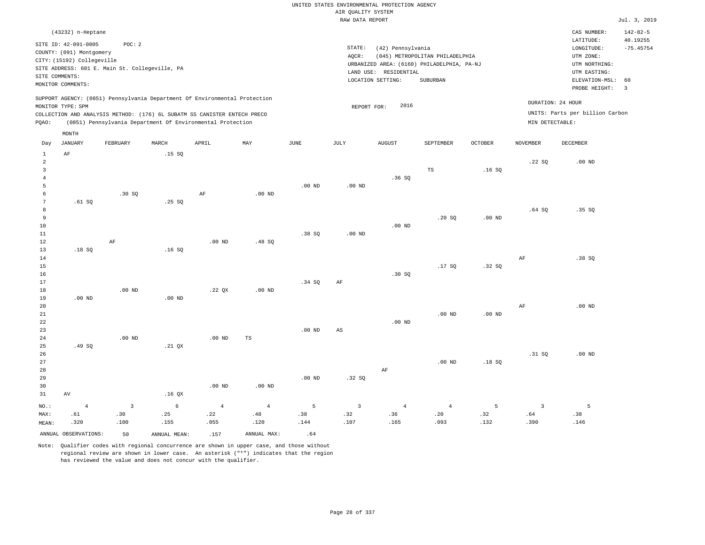|                |                            |                                                                            |       |          |          |          |                    | UNITED STATES ENVIRONMENTAL PROTECTION AGENCY |                                 |                |                   |                                 |                |
|----------------|----------------------------|----------------------------------------------------------------------------|-------|----------|----------|----------|--------------------|-----------------------------------------------|---------------------------------|----------------|-------------------|---------------------------------|----------------|
|                |                            |                                                                            |       |          |          |          | AIR QUALITY SYSTEM |                                               |                                 |                |                   |                                 |                |
|                |                            |                                                                            |       |          |          |          | RAW DATA REPORT    |                                               |                                 |                |                   |                                 | Jul. 3, 201    |
|                | (43232) n-Heptane          |                                                                            |       |          |          |          |                    |                                               |                                 |                |                   | CAS NUMBER:                     | $142 - 82 - 5$ |
|                | SITE ID: 42-091-0005       | POC: 2                                                                     |       |          |          |          |                    |                                               |                                 |                |                   | LATITUDE:                       | 40.19255       |
|                | COUNTY: (091) Montgomery   |                                                                            |       |          |          |          | STATE:             | (42) Pennsylvania                             |                                 |                |                   | LONGITUDE:                      | $-75.45754$    |
|                | CITY: (15192) Collegeville |                                                                            |       |          |          |          | AOCR:              |                                               | (045) METROPOLITAN PHILADELPHIA |                |                   | UTM ZONE:                       |                |
|                |                            | SITE ADDRESS: 601 E. Main St. Collegeville, PA                             |       |          |          |          |                    | URBANIZED AREA: (6160) PHILADELPHIA, PA-NJ    |                                 |                |                   | UTM NORTHING:                   |                |
|                | SITE COMMENTS:             |                                                                            |       |          |          |          |                    | LAND USE: RESIDENTIAL                         |                                 |                |                   | UTM EASTING:                    |                |
|                | MONITOR COMMENTS:          |                                                                            |       |          |          |          |                    | LOCATION SETTING:                             | SUBURBAN                        |                |                   | ELEVATION-MSL: 60               |                |
|                |                            |                                                                            |       |          |          |          |                    |                                               |                                 |                |                   | PROBE HEIGHT:                   | $\overline{3}$ |
|                |                            | SUPPORT AGENCY: (0851) Pennsylvania Department Of Environmental Protection |       |          |          |          |                    |                                               |                                 |                | DURATION: 24 HOUR |                                 |                |
|                | MONITOR TYPE: SPM          |                                                                            |       |          |          |          | REPORT FOR:        | 2016                                          |                                 |                |                   |                                 |                |
|                |                            | COLLECTION AND ANALYSIS METHOD: (176) 6L SUBATM SS CANISTER ENTECH PRECO   |       |          |          |          |                    |                                               |                                 |                |                   | UNITS: Parts per billion Carbon |                |
| POAO:          |                            | (0851) Pennsylvania Department Of Environmental Protection                 |       |          |          |          |                    |                                               |                                 |                | MIN DETECTABLE:   |                                 |                |
|                | MONTH                      |                                                                            |       |          |          |          |                    |                                               |                                 |                |                   |                                 |                |
| Day            | <b>JANUARY</b>             | FEBRUARY                                                                   | MARCH | APRIL    | MAY      | JUNE     | JULY               | <b>AUGUST</b>                                 | SEPTEMBER                       | <b>OCTOBER</b> | <b>NOVEMBER</b>   | DECEMBER                        |                |
| 1              | AF                         |                                                                            | .15S  |          |          |          |                    |                                               |                                 |                |                   |                                 |                |
| $\overline{2}$ |                            |                                                                            |       |          |          |          |                    |                                               |                                 |                | .22SQ             | $.00$ ND                        |                |
| 3              |                            |                                                                            |       |          |          |          |                    |                                               | TS                              | .16S           |                   |                                 |                |
| $\overline{4}$ |                            |                                                                            |       |          |          |          |                    | .36SQ                                         |                                 |                |                   |                                 |                |
| 5              |                            |                                                                            |       |          |          | $.00$ ND | $.00$ ND           |                                               |                                 |                |                   |                                 |                |
| 6              |                            | .30S                                                                       |       | AF       | $.00$ ND |          |                    |                                               |                                 |                |                   |                                 |                |
| 7              | .61SQ                      |                                                                            | .25SQ |          |          |          |                    |                                               |                                 |                |                   |                                 |                |
| 8              |                            |                                                                            |       |          |          |          |                    |                                               |                                 |                | .64S              | .35S                            |                |
| 9              |                            |                                                                            |       |          |          |          |                    |                                               | .20 SQ                          | $.00$ ND       |                   |                                 |                |
| 10             |                            |                                                                            |       |          |          |          |                    | $.00$ ND                                      |                                 |                |                   |                                 |                |
| 11             |                            |                                                                            |       |          |          | .38S     | $.00$ ND           |                                               |                                 |                |                   |                                 |                |
| 12             |                            | AF                                                                         |       | $.00$ ND | .48SQ    |          |                    |                                               |                                 |                |                   |                                 |                |
| 13             | .18S                       |                                                                            | .16S  |          |          |          |                    |                                               |                                 |                |                   |                                 |                |
| 14             |                            |                                                                            |       |          |          |          |                    |                                               |                                 |                | AF                | .38SQ                           |                |
| 15             |                            |                                                                            |       |          |          |          |                    |                                               | .17S                            | .32SQ          |                   |                                 |                |

Jul. 3, 2019

| MEAN:          | .320           | .100           | .155     | .055           | .120           | .144     | .107           | .165           | .093           | .132     | .390           | .146     |
|----------------|----------------|----------------|----------|----------------|----------------|----------|----------------|----------------|----------------|----------|----------------|----------|
| MAX:           | .61            | .30            | .25      | .22            | .48            | .38      | .32            | .36            | .20            | .32      | .64            | .38      |
| $_{\rm NO.}$ : | $\overline{4}$ | $\overline{3}$ | 6        | $\overline{4}$ | $\overline{4}$ | 5        | $\overline{3}$ | $\overline{4}$ | $\overline{4}$ | 5        | $\overline{3}$ | 5        |
| 31             | AV             |                | .16 $QX$ |                |                |          |                |                |                |          |                |          |
| 30             |                |                |          | $.00$ ND       | $.00$ ND       |          |                |                |                |          |                |          |
| 29             |                |                |          |                |                | .00 $ND$ | .32SQ          |                |                |          |                |          |
| 28             |                |                |          |                |                |          |                | AF             |                |          |                |          |
| 27             |                |                |          |                |                |          |                |                | $.00$ ND       | .18SQ    |                |          |
| 26             |                |                |          |                |                |          |                |                |                |          | .31 SQ         | $.00$ ND |
| 25             | .49SQ          |                | $.21$ QX |                |                |          |                |                |                |          |                |          |
| 24             |                | $.00$ ND       |          | $.00$ ND       | $_{\rm TS}$    |          |                |                |                |          |                |          |
| 23             |                |                |          |                |                | $.00$ ND | AS             |                |                |          |                |          |
| 22             |                |                |          |                |                |          |                | .00 $ND$       |                |          |                |          |
| 21             |                |                |          |                |                |          |                |                | $.00$ ND       | .00 $ND$ |                |          |
| 20             |                |                |          |                |                |          |                |                |                |          | AF             | $.00$ ND |
| 19             | $.00$ ND       |                | $.00$ ND |                |                |          |                |                |                |          |                |          |
| 18             |                | $.00$ ND       |          | .22 $QX$       | $.00$ ND       |          |                |                |                |          |                |          |
| 17             |                |                |          |                |                | .34 SQ   | AF             |                |                |          |                |          |
| 16             |                |                |          |                |                |          |                | .30 SQ         |                |          |                |          |
| 14<br>15       |                |                |          |                |                |          |                |                | .17 SQ         | .32SQ    | AF             | .38S     |
| 13             | .18S           |                | .16S     |                |                |          |                |                |                |          |                |          |
|                |                |                |          |                |                |          |                |                |                |          |                |          |

ANNUAL OBSERVATIONS:  $\begin{array}{ccc} 50 & \text{ANNUAL MEAN:} \\ 5 & 157 & \text{ANNUAL MAX:} \end{array}$  .64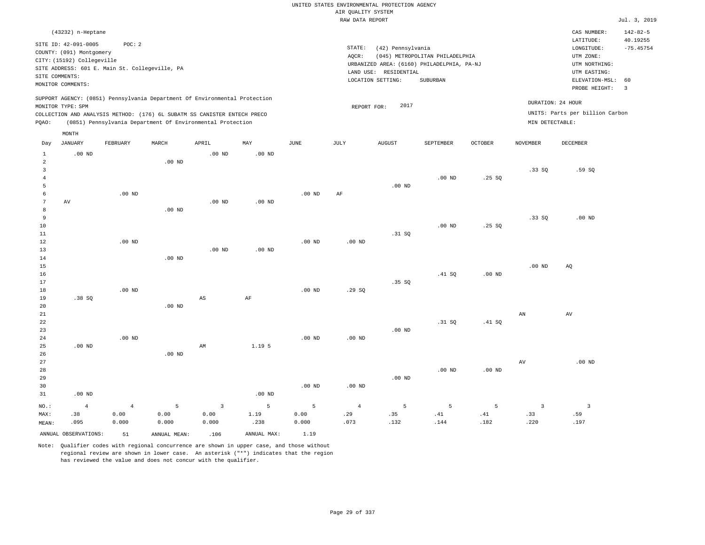|                 |                                                                                                                                            |                                                          |              |                                                                            |                   |                   |                                       | UNITED STATES ENVIRONMENTAL PROTECTION AGENCY                   |                                                                                                  |                |                         |                                                                                                                         |                                                                   |
|-----------------|--------------------------------------------------------------------------------------------------------------------------------------------|----------------------------------------------------------|--------------|----------------------------------------------------------------------------|-------------------|-------------------|---------------------------------------|-----------------------------------------------------------------|--------------------------------------------------------------------------------------------------|----------------|-------------------------|-------------------------------------------------------------------------------------------------------------------------|-------------------------------------------------------------------|
|                 |                                                                                                                                            |                                                          |              |                                                                            |                   |                   | AIR QUALITY SYSTEM<br>RAW DATA REPORT |                                                                 |                                                                                                  |                |                         |                                                                                                                         | Jul. 3, 2019                                                      |
|                 |                                                                                                                                            |                                                          |              |                                                                            |                   |                   |                                       |                                                                 |                                                                                                  |                |                         |                                                                                                                         |                                                                   |
|                 | (43232) n-Heptane<br>SITE ID: 42-091-0005<br>COUNTY: (091) Montgomery<br>CITY: (15192) Collegeville<br>SITE COMMENTS:<br>MONITOR COMMENTS: | POC: 2<br>SITE ADDRESS: 601 E. Main St. Collegeville, PA |              |                                                                            |                   |                   | STATE:<br>AQCR:                       | (42) Pennsylvania<br>LAND USE: RESIDENTIAL<br>LOCATION SETTING: | (045) METROPOLITAN PHILADELPHIA<br>URBANIZED AREA: (6160) PHILADELPHIA, PA-NJ<br><b>SUBURBAN</b> |                |                         | CAS NUMBER:<br>LATITUDE:<br>LONGITUDE:<br>UTM ZONE:<br>UTM NORTHING:<br>UTM EASTING:<br>ELEVATION-MSL:<br>PROBE HEIGHT: | $142 - 82 - 5$<br>40.19255<br>$-75.45754$<br>60<br>$\overline{3}$ |
|                 | MONITOR TYPE: SPM                                                                                                                          |                                                          |              | SUPPORT AGENCY: (0851) Pennsylvania Department Of Environmental Protection |                   |                   | REPORT FOR:                           | 2017                                                            |                                                                                                  |                | DURATION: 24 HOUR       |                                                                                                                         |                                                                   |
|                 |                                                                                                                                            |                                                          |              | COLLECTION AND ANALYSIS METHOD: (176) 6L SUBATM SS CANISTER ENTECH PRECO   |                   |                   |                                       |                                                                 |                                                                                                  |                |                         | UNITS: Parts per billion Carbon                                                                                         |                                                                   |
| PQAO:           |                                                                                                                                            |                                                          |              | (0851) Pennsylvania Department Of Environmental Protection                 |                   |                   |                                       |                                                                 |                                                                                                  |                | MIN DETECTABLE:         |                                                                                                                         |                                                                   |
|                 | MONTH                                                                                                                                      |                                                          |              |                                                                            |                   |                   |                                       |                                                                 |                                                                                                  |                |                         |                                                                                                                         |                                                                   |
| Day             | JANUARY                                                                                                                                    | FEBRUARY                                                 | MARCH        | APRIL                                                                      | MAY               | <b>JUNE</b>       | $_{\rm JULY}$                         | AUGUST                                                          | SEPTEMBER                                                                                        | <b>OCTOBER</b> | <b>NOVEMBER</b>         | DECEMBER                                                                                                                |                                                                   |
| $\mathbf{1}$    | $.00$ ND                                                                                                                                   |                                                          |              | .00 <sub>ND</sub>                                                          | $.00$ ND          |                   |                                       |                                                                 |                                                                                                  |                |                         |                                                                                                                         |                                                                   |
| $\sqrt{2}$      |                                                                                                                                            |                                                          | $.00$ ND     |                                                                            |                   |                   |                                       |                                                                 |                                                                                                  |                |                         |                                                                                                                         |                                                                   |
| $\overline{3}$  |                                                                                                                                            |                                                          |              |                                                                            |                   |                   |                                       |                                                                 |                                                                                                  |                | .33S                    | .59SQ                                                                                                                   |                                                                   |
| $\overline{4}$  |                                                                                                                                            |                                                          |              |                                                                            |                   |                   |                                       |                                                                 | $.00$ ND                                                                                         | .25SQ          |                         |                                                                                                                         |                                                                   |
| 5<br>$\epsilon$ |                                                                                                                                            | $.00$ ND                                                 |              |                                                                            |                   | $.00$ ND          | $\rm{AF}$                             | $.00$ ND                                                        |                                                                                                  |                |                         |                                                                                                                         |                                                                   |
| $7\phantom{.0}$ | AV                                                                                                                                         |                                                          |              | .00 <sub>ND</sub>                                                          | .00 <sub>ND</sub> |                   |                                       |                                                                 |                                                                                                  |                |                         |                                                                                                                         |                                                                   |
| 8               |                                                                                                                                            |                                                          | $.00$ ND     |                                                                            |                   |                   |                                       |                                                                 |                                                                                                  |                |                         |                                                                                                                         |                                                                   |
| 9               |                                                                                                                                            |                                                          |              |                                                                            |                   |                   |                                       |                                                                 |                                                                                                  |                | .33SQ                   | $.00$ ND                                                                                                                |                                                                   |
| $10$            |                                                                                                                                            |                                                          |              |                                                                            |                   |                   |                                       |                                                                 | .00 <sub>ND</sub>                                                                                | .25S           |                         |                                                                                                                         |                                                                   |
| 11              |                                                                                                                                            |                                                          |              |                                                                            |                   |                   |                                       | .31 SQ                                                          |                                                                                                  |                |                         |                                                                                                                         |                                                                   |
| 12              |                                                                                                                                            | $.00$ ND                                                 |              |                                                                            |                   | $.00$ ND          | $.00$ ND                              |                                                                 |                                                                                                  |                |                         |                                                                                                                         |                                                                   |
| 13<br>14        |                                                                                                                                            |                                                          | $.00$ ND     | .00 <sub>ND</sub>                                                          | $.00$ ND          |                   |                                       |                                                                 |                                                                                                  |                |                         |                                                                                                                         |                                                                   |
| 15              |                                                                                                                                            |                                                          |              |                                                                            |                   |                   |                                       |                                                                 |                                                                                                  |                | .00 <sub>ND</sub>       | AQ                                                                                                                      |                                                                   |
| 16              |                                                                                                                                            |                                                          |              |                                                                            |                   |                   |                                       |                                                                 | .41 SQ                                                                                           | $.00$ ND       |                         |                                                                                                                         |                                                                   |
| 17              |                                                                                                                                            |                                                          |              |                                                                            |                   |                   |                                       | .35 SQ                                                          |                                                                                                  |                |                         |                                                                                                                         |                                                                   |
| 18              |                                                                                                                                            | $.00$ ND                                                 |              |                                                                            |                   | $.00$ ND          | .29S                                  |                                                                 |                                                                                                  |                |                         |                                                                                                                         |                                                                   |
| 19              | .38SQ                                                                                                                                      |                                                          |              | $_{\rm AS}$                                                                | $\rm{AF}$         |                   |                                       |                                                                 |                                                                                                  |                |                         |                                                                                                                         |                                                                   |
| 20              |                                                                                                                                            |                                                          | $.00$ ND     |                                                                            |                   |                   |                                       |                                                                 |                                                                                                  |                |                         |                                                                                                                         |                                                                   |
| 21<br>22        |                                                                                                                                            |                                                          |              |                                                                            |                   |                   |                                       |                                                                 | .31 S0                                                                                           | .41 SQ         | AN                      | AV                                                                                                                      |                                                                   |
| 23              |                                                                                                                                            |                                                          |              |                                                                            |                   |                   |                                       | $.00$ ND                                                        |                                                                                                  |                |                         |                                                                                                                         |                                                                   |
| 24              |                                                                                                                                            | .00 <sub>ND</sub>                                        |              |                                                                            |                   | .00 <sub>ND</sub> | $.00$ ND                              |                                                                 |                                                                                                  |                |                         |                                                                                                                         |                                                                   |
| 25              | $.00$ ND                                                                                                                                   |                                                          |              | AM                                                                         | 1.19 5            |                   |                                       |                                                                 |                                                                                                  |                |                         |                                                                                                                         |                                                                   |
| 26              |                                                                                                                                            |                                                          | $.00$ ND     |                                                                            |                   |                   |                                       |                                                                 |                                                                                                  |                |                         |                                                                                                                         |                                                                   |
| 27              |                                                                                                                                            |                                                          |              |                                                                            |                   |                   |                                       |                                                                 |                                                                                                  |                | AV                      | .00 <sub>ND</sub>                                                                                                       |                                                                   |
| 28<br>29        |                                                                                                                                            |                                                          |              |                                                                            |                   |                   |                                       | $.00$ ND                                                        | $.00$ ND                                                                                         | $.00$ ND       |                         |                                                                                                                         |                                                                   |
| 30              |                                                                                                                                            |                                                          |              |                                                                            |                   | $.00$ ND          | $.00$ ND                              |                                                                 |                                                                                                  |                |                         |                                                                                                                         |                                                                   |
| 31              | $.00$ ND                                                                                                                                   |                                                          |              |                                                                            | $.00$ ND          |                   |                                       |                                                                 |                                                                                                  |                |                         |                                                                                                                         |                                                                   |
| NO.:            | $\overline{4}$                                                                                                                             | $\,4$                                                    | 5            | $\overline{\mathbf{3}}$                                                    | 5                 | 5                 | $\bf{4}$                              | 5                                                               | $\overline{5}$                                                                                   | 5              | $\overline{\mathbf{3}}$ | $\overline{\mathbf{3}}$                                                                                                 |                                                                   |
| MAX:            | .38                                                                                                                                        | 0.00                                                     | 0.00         | 0.00                                                                       | 1.19              | 0.00              | .29                                   | .35                                                             | .41                                                                                              | .41            | .33                     | .59                                                                                                                     |                                                                   |
| MEAN:           | .095                                                                                                                                       | 0.000                                                    | 0.000        | 0.000                                                                      | .238              | 0.000             | .073                                  | .132                                                            | .144                                                                                             | .182           | .220                    | .197                                                                                                                    |                                                                   |
|                 | ANNUAL OBSERVATIONS:                                                                                                                       | 51                                                       | ANNUAL MEAN: | .106                                                                       | ANNUAL MAX:       | 1.19              |                                       |                                                                 |                                                                                                  |                |                         |                                                                                                                         |                                                                   |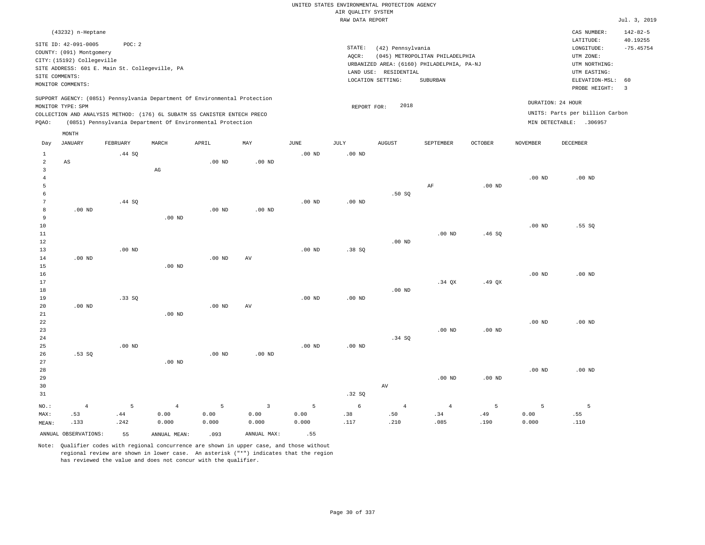|                     |                                                |          |                                                                            |                   |                |                   | UNITED STATES ENVIRONMENTAL PROTECTION AGENCY |                       |                                            |          |                   |                                 |                            |
|---------------------|------------------------------------------------|----------|----------------------------------------------------------------------------|-------------------|----------------|-------------------|-----------------------------------------------|-----------------------|--------------------------------------------|----------|-------------------|---------------------------------|----------------------------|
|                     |                                                |          |                                                                            |                   |                |                   | AIR QUALITY SYSTEM                            |                       |                                            |          |                   |                                 |                            |
|                     |                                                |          |                                                                            |                   |                |                   | RAW DATA REPORT                               |                       |                                            |          |                   |                                 | Jul. 3, 2019               |
|                     | (43232) n-Heptane<br>SITE ID: 42-091-0005      | POC: 2   |                                                                            |                   |                |                   |                                               |                       |                                            |          |                   | CAS NUMBER:<br>LATITUDE:        | $142 - 82 - 5$<br>40.19255 |
|                     | COUNTY: (091) Montgomery                       |          |                                                                            |                   |                |                   | STATE:                                        | (42) Pennsylvania     |                                            |          |                   | LONGITUDE:                      | $-75.45754$                |
|                     | CITY: (15192) Collegeville                     |          |                                                                            |                   |                |                   | AOCR:                                         |                       | (045) METROPOLITAN PHILADELPHIA            |          |                   | UTM ZONE:                       |                            |
|                     | SITE ADDRESS: 601 E. Main St. Collegeville, PA |          |                                                                            |                   |                |                   |                                               |                       | URBANIZED AREA: (6160) PHILADELPHIA, PA-NJ |          |                   | UTM NORTHING:                   |                            |
|                     | SITE COMMENTS:                                 |          |                                                                            |                   |                |                   |                                               | LAND USE: RESIDENTIAL |                                            |          |                   | UTM EASTING:                    |                            |
|                     | MONITOR COMMENTS:                              |          |                                                                            |                   |                |                   |                                               | LOCATION SETTING:     | <b>SUBURBAN</b>                            |          |                   | ELEVATION-MSL:<br>PROBE HEIGHT: | 60<br>$\overline{3}$       |
|                     | MONITOR TYPE: SPM                              |          | SUPPORT AGENCY: (0851) Pennsylvania Department Of Environmental Protection |                   |                |                   | REPORT FOR:                                   | 2018                  |                                            |          |                   | DURATION: 24 HOUR               |                            |
|                     |                                                |          | COLLECTION AND ANALYSIS METHOD: (176) 6L SUBATM SS CANISTER ENTECH PRECO   |                   |                |                   |                                               |                       |                                            |          |                   | UNITS: Parts per billion Carbon |                            |
| PQAO:               |                                                |          | (0851) Pennsylvania Department Of Environmental Protection                 |                   |                |                   |                                               |                       |                                            |          |                   | MIN DETECTABLE: .306957         |                            |
|                     | MONTH                                          |          |                                                                            |                   |                |                   |                                               |                       |                                            |          |                   |                                 |                            |
| Day                 | JANUARY                                        | FEBRUARY | MARCH                                                                      | APRIL             | MAY            | JUNE              | JULY                                          | <b>AUGUST</b>         | SEPTEMBER                                  | OCTOBER  | NOVEMBER          | DECEMBER                        |                            |
| $\mathbf{1}$        |                                                | .44 SQ   |                                                                            |                   |                | $.00$ ND          | $.00$ ND                                      |                       |                                            |          |                   |                                 |                            |
| $\overline{2}$      | AS                                             |          |                                                                            | .00 <sub>ND</sub> | $.00$ ND       |                   |                                               |                       |                                            |          |                   |                                 |                            |
| $\overline{3}$      |                                                |          | AG                                                                         |                   |                |                   |                                               |                       |                                            |          |                   |                                 |                            |
| $\overline{4}$<br>5 |                                                |          |                                                                            |                   |                |                   |                                               |                       | AF                                         | $.00$ ND | $.00$ ND          | $.00$ ND                        |                            |
| 6                   |                                                |          |                                                                            |                   |                |                   |                                               | .50S                  |                                            |          |                   |                                 |                            |
| 7                   |                                                | .44 SO   |                                                                            |                   |                | $.00$ ND          | $.00$ ND                                      |                       |                                            |          |                   |                                 |                            |
| 8                   | $.00$ ND                                       |          |                                                                            | $.00$ ND          | $.00$ ND       |                   |                                               |                       |                                            |          |                   |                                 |                            |
| 9                   |                                                |          | $.00$ ND                                                                   |                   |                |                   |                                               |                       |                                            |          |                   |                                 |                            |
| 10                  |                                                |          |                                                                            |                   |                |                   |                                               |                       |                                            |          | .00 <sub>ND</sub> | .55S                            |                            |
| $11\,$              |                                                |          |                                                                            |                   |                |                   |                                               |                       | $.00$ ND                                   | .46SQ    |                   |                                 |                            |
| 12                  |                                                |          |                                                                            |                   |                |                   |                                               | $.00$ ND              |                                            |          |                   |                                 |                            |
| 13                  |                                                | $.00$ ND |                                                                            |                   |                | $.00$ ND          | .38SQ                                         |                       |                                            |          |                   |                                 |                            |
| 14                  | $.00$ ND                                       |          |                                                                            | $.00$ ND          | AV             |                   |                                               |                       |                                            |          |                   |                                 |                            |
| 15                  |                                                |          | $.00$ ND                                                                   |                   |                |                   |                                               |                       |                                            |          |                   |                                 |                            |
| 16                  |                                                |          |                                                                            |                   |                |                   |                                               |                       |                                            |          | $.00$ ND          | $.00$ ND                        |                            |
| 17                  |                                                |          |                                                                            |                   |                |                   |                                               |                       | $.34$ QX                                   | $.49$ QX |                   |                                 |                            |
| 18                  |                                                |          |                                                                            |                   |                |                   |                                               | $.00$ ND              |                                            |          |                   |                                 |                            |
| 19                  |                                                | .33SQ    |                                                                            |                   |                | $.00$ ND          | $.00$ ND                                      |                       |                                            |          |                   |                                 |                            |
| 20                  | $.00$ ND                                       |          |                                                                            | .00 <sub>ND</sub> | AV             |                   |                                               |                       |                                            |          |                   |                                 |                            |
| 21                  |                                                |          | $.00$ ND                                                                   |                   |                |                   |                                               |                       |                                            |          |                   |                                 |                            |
| 22                  |                                                |          |                                                                            |                   |                |                   |                                               |                       |                                            |          | $.00$ ND          | $.00$ ND                        |                            |
| 23                  |                                                |          |                                                                            |                   |                |                   |                                               |                       | $.00$ ND                                   | $.00$ ND |                   |                                 |                            |
| 24<br>25            |                                                | $.00$ ND |                                                                            |                   |                | .00 <sub>ND</sub> | .00 <sub>ND</sub>                             | .34 SQ                |                                            |          |                   |                                 |                            |
| 26                  | .53SQ                                          |          |                                                                            | $.00$ ND          | $.00$ ND       |                   |                                               |                       |                                            |          |                   |                                 |                            |
| 27                  |                                                |          | $.00$ ND                                                                   |                   |                |                   |                                               |                       |                                            |          |                   |                                 |                            |
| 28                  |                                                |          |                                                                            |                   |                |                   |                                               |                       |                                            |          | .00 <sub>ND</sub> | $.00$ ND                        |                            |
| 29                  |                                                |          |                                                                            |                   |                |                   |                                               |                       | $.00$ ND                                   | $.00$ ND |                   |                                 |                            |
| 30                  |                                                |          |                                                                            |                   |                |                   |                                               | $\operatorname{AV}$   |                                            |          |                   |                                 |                            |
| 31                  |                                                |          |                                                                            |                   |                |                   | .32S                                          |                       |                                            |          |                   |                                 |                            |
| NO.:                | $\overline{4}$                                 | 5        | $\overline{4}$                                                             | 5                 | $\overline{3}$ | 5                 | 6                                             | $\overline{4}$        | $\overline{4}$                             | 5        | 5                 | 5                               |                            |
| MAX:                | .53                                            | .44      | 0.00                                                                       | 0.00              | 0.00           | 0.00              | .38                                           | .50                   | .34                                        | .49      | 0.00              | .55                             |                            |
| MEAN:               | .133                                           | .242     | 0.000                                                                      | 0.000             | 0.000          | 0.000             | .117                                          | .210                  | .085                                       | .190     | 0.000             | .110                            |                            |
|                     | ANNUAL OBSERVATIONS:                           | 55       | ANNUAL MEAN:                                                               | .093              | ANNUAL MAX:    | .55               |                                               |                       |                                            |          |                   |                                 |                            |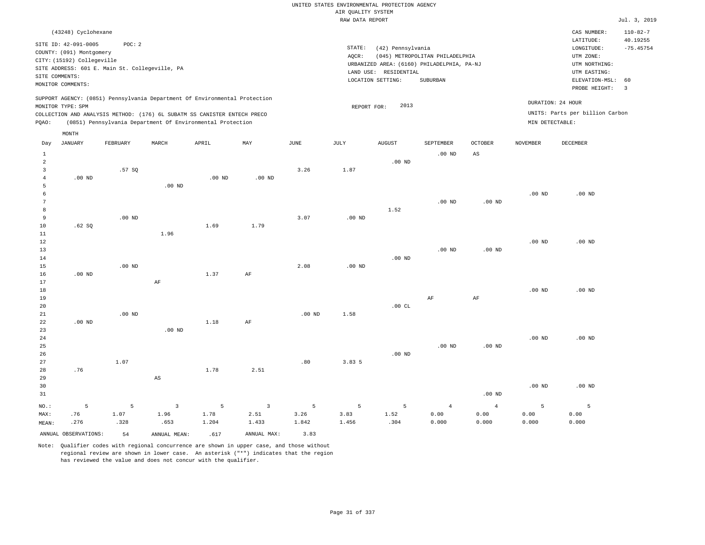|                     |                                             |                                                |                        |                                                                            |                |          |                    | UNITED STATES ENVIRONMENTAL PROTECTION AGENCY |                                                                               |                   |                   |                                 |                            |
|---------------------|---------------------------------------------|------------------------------------------------|------------------------|----------------------------------------------------------------------------|----------------|----------|--------------------|-----------------------------------------------|-------------------------------------------------------------------------------|-------------------|-------------------|---------------------------------|----------------------------|
|                     |                                             |                                                |                        |                                                                            |                |          | AIR QUALITY SYSTEM |                                               |                                                                               |                   |                   |                                 | Jul. 3, 2019               |
|                     |                                             |                                                |                        |                                                                            |                |          | RAW DATA REPORT    |                                               |                                                                               |                   |                   |                                 |                            |
|                     | (43248) Cyclohexane<br>SITE ID: 42-091-0005 | POC: 2                                         |                        |                                                                            |                |          |                    |                                               |                                                                               |                   |                   | CAS NUMBER:<br>LATITUDE:        | $110 - 82 - 7$<br>40.19255 |
|                     | COUNTY: (091) Montgomery                    |                                                |                        |                                                                            |                |          | $\texttt{STATE}$ : | (42) Pennsylvania                             |                                                                               |                   |                   | $\texttt{LONGITUDE}$ :          | $-75.45754$                |
|                     | CITY: (15192) Collegeville                  |                                                |                        |                                                                            |                |          | AQCR:              |                                               | (045) METROPOLITAN PHILADELPHIA<br>URBANIZED AREA: (6160) PHILADELPHIA, PA-NJ |                   |                   | UTM ZONE:<br>UTM NORTHING:      |                            |
|                     |                                             | SITE ADDRESS: 601 E. Main St. Collegeville, PA |                        |                                                                            |                |          |                    | LAND USE: RESIDENTIAL                         |                                                                               |                   |                   | UTM EASTING:                    |                            |
| SITE COMMENTS:      |                                             |                                                |                        |                                                                            |                |          |                    | LOCATION SETTING:                             | SUBURBAN                                                                      |                   |                   | ELEVATION-MSL:                  | 60                         |
|                     | MONITOR COMMENTS:                           |                                                |                        |                                                                            |                |          |                    |                                               |                                                                               |                   |                   | PROBE HEIGHT:                   | $\overline{3}$             |
|                     |                                             |                                                |                        | SUPPORT AGENCY: (0851) Pennsylvania Department Of Environmental Protection |                |          |                    |                                               |                                                                               |                   |                   | DURATION: 24 HOUR               |                            |
|                     | MONITOR TYPE: SPM                           |                                                |                        | COLLECTION AND ANALYSIS METHOD: (176) 6L SUBATM SS CANISTER ENTECH PRECO   |                |          | REPORT FOR:        | 2013                                          |                                                                               |                   |                   | UNITS: Parts per billion Carbon |                            |
| PQAO:               |                                             |                                                |                        | (0851) Pennsylvania Department Of Environmental Protection                 |                |          |                    |                                               |                                                                               |                   | MIN DETECTABLE:   |                                 |                            |
| Day                 | MONTH<br><b>JANUARY</b>                     | FEBRUARY                                       | MARCH                  | APRIL                                                                      | MAY            | JUNE     | JULY               | <b>AUGUST</b>                                 | SEPTEMBER                                                                     | <b>OCTOBER</b>    | <b>NOVEMBER</b>   | DECEMBER                        |                            |
|                     |                                             |                                                |                        |                                                                            |                |          |                    |                                               |                                                                               |                   |                   |                                 |                            |
| $\mathbf{1}$        |                                             |                                                |                        |                                                                            |                |          |                    |                                               | $.00$ ND                                                                      | $_{\rm AS}$       |                   |                                 |                            |
| $\overline{a}$      |                                             |                                                |                        |                                                                            |                |          |                    | $.00$ ND                                      |                                                                               |                   |                   |                                 |                            |
| 3<br>$\overline{4}$ | .00 <sub>ND</sub>                           | .57SQ                                          |                        | .00 <sub>ND</sub>                                                          | $.00$ ND       | 3.26     | 1.87               |                                               |                                                                               |                   |                   |                                 |                            |
| 5                   |                                             |                                                | $.00$ ND               |                                                                            |                |          |                    |                                               |                                                                               |                   |                   |                                 |                            |
| 6                   |                                             |                                                |                        |                                                                            |                |          |                    |                                               |                                                                               |                   | .00 <sub>ND</sub> | $.00$ ND                        |                            |
| $7\phantom{.0}$     |                                             |                                                |                        |                                                                            |                |          |                    |                                               | $.00$ ND                                                                      | .00 <sub>ND</sub> |                   |                                 |                            |
| 8                   |                                             |                                                |                        |                                                                            |                |          |                    | 1.52                                          |                                                                               |                   |                   |                                 |                            |
| 9                   |                                             | $.00$ ND                                       |                        |                                                                            |                | 3.07     | $.00$ ND           |                                               |                                                                               |                   |                   |                                 |                            |
| 10                  | .62SQ                                       |                                                |                        | 1.69                                                                       | 1.79           |          |                    |                                               |                                                                               |                   |                   |                                 |                            |
| 11                  |                                             |                                                | 1.96                   |                                                                            |                |          |                    |                                               |                                                                               |                   |                   |                                 |                            |
| 12                  |                                             |                                                |                        |                                                                            |                |          |                    |                                               |                                                                               |                   | .00 <sub>ND</sub> | $.00$ ND                        |                            |
| 13                  |                                             |                                                |                        |                                                                            |                |          |                    |                                               | $.00$ ND                                                                      | $.00$ ND          |                   |                                 |                            |
| 14                  |                                             |                                                |                        |                                                                            |                |          |                    | $.00$ ND                                      |                                                                               |                   |                   |                                 |                            |
| 15                  |                                             | $.00$ ND                                       |                        |                                                                            |                | 2.08     | .00 <sub>ND</sub>  |                                               |                                                                               |                   |                   |                                 |                            |
| 16                  | $.00$ ND                                    |                                                |                        | 1.37                                                                       | AF             |          |                    |                                               |                                                                               |                   |                   |                                 |                            |
| 17                  |                                             |                                                | $\rm{AF}$              |                                                                            |                |          |                    |                                               |                                                                               |                   |                   |                                 |                            |
| 18                  |                                             |                                                |                        |                                                                            |                |          |                    |                                               |                                                                               |                   | .00 <sub>ND</sub> | .00 <sub>ND</sub>               |                            |
| 19<br>20            |                                             |                                                |                        |                                                                            |                |          |                    | .00 $CL$                                      | AF                                                                            | AF                |                   |                                 |                            |
| 21                  |                                             | $.00$ ND                                       |                        |                                                                            |                | $.00$ ND | 1.58               |                                               |                                                                               |                   |                   |                                 |                            |
| 22                  | $.00$ ND                                    |                                                |                        | 1.18                                                                       | $\rm{AF}$      |          |                    |                                               |                                                                               |                   |                   |                                 |                            |
| 23                  |                                             |                                                | $.00$ ND               |                                                                            |                |          |                    |                                               |                                                                               |                   |                   |                                 |                            |
| $2\sqrt{4}$         |                                             |                                                |                        |                                                                            |                |          |                    |                                               |                                                                               |                   | .00 <sub>ND</sub> | $.00$ ND                        |                            |
| 25                  |                                             |                                                |                        |                                                                            |                |          |                    |                                               | $.00$ ND                                                                      | $.00$ ND          |                   |                                 |                            |
| 26                  |                                             |                                                |                        |                                                                            |                |          |                    | $.00$ ND                                      |                                                                               |                   |                   |                                 |                            |
| 27                  |                                             | 1.07                                           |                        |                                                                            |                | .80      | 3.83 5             |                                               |                                                                               |                   |                   |                                 |                            |
| 28                  | .76                                         |                                                |                        | 1.78                                                                       | 2.51           |          |                    |                                               |                                                                               |                   |                   |                                 |                            |
| 29                  |                                             |                                                | $\mathbb{A}\mathbb{S}$ |                                                                            |                |          |                    |                                               |                                                                               |                   |                   |                                 |                            |
| 30                  |                                             |                                                |                        |                                                                            |                |          |                    |                                               |                                                                               |                   | .00 <sub>ND</sub> | $.00$ ND                        |                            |
| 31                  |                                             |                                                |                        |                                                                            |                |          |                    |                                               |                                                                               | $.00$ ND          |                   |                                 |                            |
| NO.:                | 5                                           | 5                                              | $\overline{3}$         | 5                                                                          | $\overline{3}$ | 5        | 5                  | 5                                             | $\overline{4}$                                                                | $\overline{4}$    | 5                 | 5                               |                            |
| MAX:                | .76                                         | 1.07                                           | 1.96                   | 1.78                                                                       | 2.51           | 3.26     | 3.83               | 1.52                                          | 0.00                                                                          | 0.00              | 0.00              | 0.00                            |                            |
| MEAN:               | .276                                        | .328                                           | .653                   | 1.204                                                                      | 1.433          | 1.842    | 1.456              | .304                                          | 0.000                                                                         | 0.000             | 0.000             | 0.000                           |                            |

ANNUAL OBSERVATIONS: 54 ANNUAL MEAN: .617 ANNUAL MAX: 3.83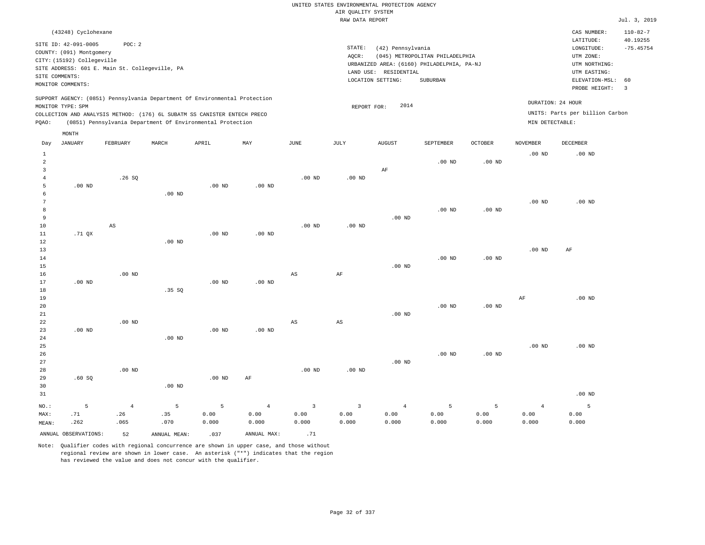| (43248) Cyclohexane                                                        |          |       |                                                            |     |      |      |                                            |                                 |                |                   | CAS NUMBER:                     | $110 - 82 - 7$ |
|----------------------------------------------------------------------------|----------|-------|------------------------------------------------------------|-----|------|------|--------------------------------------------|---------------------------------|----------------|-------------------|---------------------------------|----------------|
| SITE ID: 42-091-0005                                                       | POC: 2   |       |                                                            |     |      |      |                                            |                                 |                |                   | LATITUDE:                       | 40.19255       |
| COUNTY: (091) Montgomery                                                   |          |       |                                                            |     |      |      | STATE:<br>(42) Pennsylvania                |                                 |                |                   | LONGITUDE:                      | $-75.45754$    |
| CITY: (15192) Collegeville                                                 |          |       |                                                            |     |      |      | AOCR:                                      | (045) METROPOLITAN PHILADELPHIA |                |                   | UTM ZONE:                       |                |
| SITE ADDRESS: 601 E. Main St. Collegeville, PA                             |          |       |                                                            |     |      |      | URBANIZED AREA: (6160) PHILADELPHIA, PA-NJ |                                 |                |                   | UTM NORTHING:                   |                |
| SITE COMMENTS:                                                             |          |       |                                                            |     |      |      | RESIDENTIAL<br>LAND USE:                   |                                 |                |                   | UTM EASTING:                    |                |
| MONITOR COMMENTS:                                                          |          |       |                                                            |     |      |      | LOCATION SETTING:                          | SUBURBAN                        |                |                   | ELEVATION-MSL: 60               |                |
|                                                                            |          |       |                                                            |     |      |      |                                            |                                 |                |                   | PROBE HEIGHT:                   | -3             |
| SUPPORT AGENCY: (0851) Pennsylvania Department Of Environmental Protection |          |       |                                                            |     |      |      |                                            |                                 |                |                   |                                 |                |
| MONITOR TYPE: SPM                                                          |          |       |                                                            |     |      |      | 2014<br>REPORT FOR:                        |                                 |                | DURATION: 24 HOUR |                                 |                |
| COLLECTION AND ANALYSIS METHOD: (176) 6L SUBATM SS CANISTER ENTECH PRECO   |          |       |                                                            |     |      |      |                                            |                                 |                |                   | UNITS: Parts per billion Carbon |                |
| POAO:                                                                      |          |       | (0851) Pennsylvania Department Of Environmental Protection |     |      |      |                                            |                                 |                | MIN DETECTABLE:   |                                 |                |
| MONTH                                                                      |          |       |                                                            |     |      |      |                                            |                                 |                |                   |                                 |                |
|                                                                            |          |       |                                                            |     |      |      |                                            |                                 |                |                   |                                 |                |
| JANUARY<br>Day                                                             | FEBRUARY | MARCH | APRIL                                                      | MAY | JUNE | JULY | <b>AUGUST</b>                              | SEPTEMBER                       | <b>OCTOBER</b> | NOVEMBER          | DECEMBER                        |                |

|                                | ANNUAL OBSERVATIONS: | 52                            | ANNUAL MEAN:               | .037               | ANNUAL MAX:                     | .71                                      |                                 |                                 |                    |                    |                                 |                    |
|--------------------------------|----------------------|-------------------------------|----------------------------|--------------------|---------------------------------|------------------------------------------|---------------------------------|---------------------------------|--------------------|--------------------|---------------------------------|--------------------|
| $NO.$ :<br>MAX:<br>MEAN:       | 5<br>.71<br>.262     | $\overline{4}$<br>.26<br>.065 | $\mathsf S$<br>.35<br>.070 | 5<br>0.00<br>0.000 | $\overline{4}$<br>0.00<br>0.000 | $\overline{\mathbf{3}}$<br>0.00<br>0.000 | $\overline{3}$<br>0.00<br>0.000 | $\overline{4}$<br>0.00<br>0.000 | 5<br>0.00<br>0.000 | 5<br>0.00<br>0.000 | $\overline{4}$<br>0.00<br>0.000 | 5<br>0.00<br>0.000 |
| 29<br>30<br>31                 | .60SQ                |                               | $.00$ ND                   | $.00$ ND           | $\rm AF$                        |                                          |                                 |                                 |                    |                    |                                 | $.00$ ND           |
| $25\,$<br>$26\,$<br>27<br>28   |                      | $.00$ ND                      |                            |                    |                                 | $.00$ ND                                 | $.00$ ND                        | $.00$ ND                        | $.00$ ND           | $.00{\rm ~ND}$     | $.00$ ND                        | $.00$ ND           |
| 22<br>23<br>$2\,4$             | $.00$ ND             | .00 <sub>ND</sub>             | $.00$ ND                   | $.00$ ND           | $.00$ ND                        | $\mathbb{A}\mathbb{S}$                   | $\mathbb{A}\mathbb{S}$          |                                 |                    |                    |                                 |                    |
| 18<br>19<br>20<br>21           |                      |                               | .35 SQ                     |                    |                                 |                                          |                                 | $.00$ ND                        | $.00$ ND           | $.00$ ND           | $\rm{AF}$                       | $.00$ ND           |
| 14<br>15<br>16<br>17           | $.00$ ND             | $.00$ ND                      |                            | $.00$ ND           | $.00$ ND                        | AS                                       | $\rm{AF}$                       | $.00$ ND                        | $.00$ ND           | .00 $ND$           |                                 |                    |
| $10$<br>11<br>12<br>13         | $.71$ QX             | $\mathbb{A}\mathbb{S}$        | $.00$ ND                   | $.00$ ND           | $.00$ ND                        | $.00$ ND                                 | .00 $ND$                        |                                 |                    |                    | $.00$ ND                        | $\rm AF$           |
| 6<br>7<br>8<br>9               |                      |                               | $.00$ ND                   |                    |                                 |                                          |                                 | $.00$ ND                        | $.00$ ND           | .00 $ND$           | $.00$ ND                        | $.00$ ND           |
| 3<br>4<br>5                    | $.00$ ND             | .26SQ                         |                            | $.00$ ND           | $.00$ ND                        | $.00$ ND                                 | $.00$ ND                        | $\rm AF$                        |                    |                    |                                 |                    |
| $\mathbf{1}$<br>$\overline{a}$ |                      |                               |                            |                    |                                 |                                          |                                 |                                 | $.00$ ND           | $.00$ ND           | $.00$ ND                        | $.00$ ND           |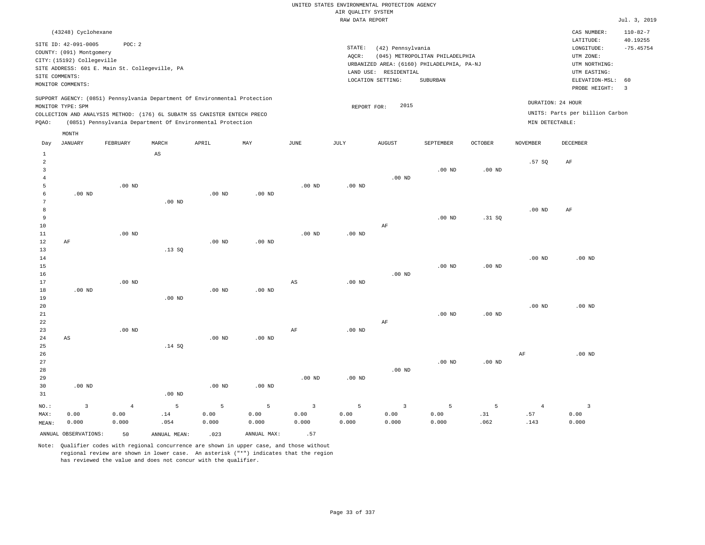| (43248) Cyclohexane                                                                                                                                                                                                                                |                                                                                                                                                                                 | CAS NUMBER:                                                                                                 | $110 - 82 - 7$          |
|----------------------------------------------------------------------------------------------------------------------------------------------------------------------------------------------------------------------------------------------------|---------------------------------------------------------------------------------------------------------------------------------------------------------------------------------|-------------------------------------------------------------------------------------------------------------|-------------------------|
| SITE ID: 42-091-0005<br>POC:2<br>COUNTY: (091) Montgomery<br>CITY: (15192) Collegeville<br>SITE ADDRESS: 601 E. Main St. Collegeville, PA<br>SITE COMMENTS:<br>MONITOR COMMENTS:                                                                   | STATE:<br>(42) Pennsylvania<br>(045) METROPOLITAN PHILADELPHIA<br>AOCR:<br>URBANIZED AREA: (6160) PHILADELPHIA, PA-NJ<br>LAND USE: RESIDENTIAL<br>LOCATION SETTING:<br>SUBURBAN | LATITUDE:<br>LONGITUDE:<br>UTM ZONE:<br>UTM NORTHING:<br>UTM EASTING:<br>ELEVATION-MSL: 60<br>PROBE HEIGHT: | 40.19255<br>$-75.45754$ |
| SUPPORT AGENCY: (0851) Pennsylvania Department Of Environmental Protection<br>MONITOR TYPE: SPM<br>COLLECTION AND ANALYSIS METHOD: (176) 6L SUBATM SS CANISTER ENTECH PRECO<br>(0851) Pennsylvania Department Of Environmental Protection<br>POAO: | 2015<br>REPORT FOR:                                                                                                                                                             | DURATION: 24 HOUR<br>UNITS: Parts per billion Carbon<br>MIN DETECTABLE:                                     |                         |

|                | MONTH                  |          |                        |                   |             |                |          |                         |           |          |                |                         |
|----------------|------------------------|----------|------------------------|-------------------|-------------|----------------|----------|-------------------------|-----------|----------|----------------|-------------------------|
| Day            | JANUARY                | FEBRUARY | MARCH                  | APRIL             | MAY         | JUNE           | JULY     | <b>AUGUST</b>           | SEPTEMBER | OCTOBER  | NOVEMBER       | DECEMBER                |
| $\mathbf{1}$   |                        |          | $\mathbb{A}\mathbb{S}$ |                   |             |                |          |                         |           |          |                |                         |
| $\overline{c}$ |                        |          |                        |                   |             |                |          |                         |           |          | .57SQ          | $\rm AF$                |
| 3              |                        |          |                        |                   |             |                |          |                         | $.00$ ND  | $.00$ ND |                |                         |
| $\overline{4}$ |                        |          |                        |                   |             |                |          | $.00$ ND                |           |          |                |                         |
| 5              |                        | $.00$ ND |                        |                   |             | $.00$ ND       | $.00$ ND |                         |           |          |                |                         |
| 6              | $.00$ ND               |          |                        | .00 <sub>ND</sub> | $.00$ ND    |                |          |                         |           |          |                |                         |
| 7              |                        |          | .00 <sub>ND</sub>      |                   |             |                |          |                         |           |          |                |                         |
| 8              |                        |          |                        |                   |             |                |          |                         |           |          | $.00$ ND       | AF                      |
| 9              |                        |          |                        |                   |             |                |          |                         | $.00$ ND  | .31 SQ   |                |                         |
| 10             |                        |          |                        |                   |             |                |          | $\rm AF$                |           |          |                |                         |
| 11             |                        | $.00$ ND |                        |                   |             | $.00$ ND       | $.00$ ND |                         |           |          |                |                         |
| 12             | AF                     |          |                        | $.00$ ND          | $.00$ ND    |                |          |                         |           |          |                |                         |
| 13             |                        |          | .13SQ                  |                   |             |                |          |                         |           |          |                |                         |
| 14             |                        |          |                        |                   |             |                |          |                         |           |          | $.00$ ND       | $.00$ ND                |
| 15             |                        |          |                        |                   |             |                |          |                         | $.00$ ND  | $.00$ ND |                |                         |
| 16<br>17       |                        | $.00$ ND |                        |                   |             | $_{\rm AS}$    | $.00$ ND | $.00$ ND                |           |          |                |                         |
| 18             | $.00$ ND               |          |                        | $.00$ ND          | $.00$ ND    |                |          |                         |           |          |                |                         |
| 19             |                        |          | $.00$ ND               |                   |             |                |          |                         |           |          |                |                         |
| 20             |                        |          |                        |                   |             |                |          |                         |           |          | $.00$ ND       | .00 <sub>ND</sub>       |
| 21             |                        |          |                        |                   |             |                |          |                         | $.00$ ND  | $.00$ ND |                |                         |
| 22             |                        |          |                        |                   |             |                |          | $\rm AF$                |           |          |                |                         |
| 23             |                        | $.00$ ND |                        |                   |             | $\rm{AF}$      | .00 $ND$ |                         |           |          |                |                         |
| 24             | $\mathbb{A}\mathbb{S}$ |          |                        | .00 <sub>ND</sub> | $.00$ ND    |                |          |                         |           |          |                |                         |
| 25             |                        |          | .14 SQ                 |                   |             |                |          |                         |           |          |                |                         |
| 26             |                        |          |                        |                   |             |                |          |                         |           |          | $\rm{AF}$      | $.00$ ND                |
| 27             |                        |          |                        |                   |             |                |          |                         | $.00$ ND  | $.00$ ND |                |                         |
| 28             |                        |          |                        |                   |             |                |          | $.00$ ND                |           |          |                |                         |
| 29             |                        |          |                        |                   |             | $.00$ ND       | $.00$ ND |                         |           |          |                |                         |
| 30             | $.00$ ND               |          |                        | .00 <sub>ND</sub> | $.00$ ND    |                |          |                         |           |          |                |                         |
| 31             |                        |          | $.00$ ND               |                   |             |                |          |                         |           |          |                |                         |
| NO.:           | $\overline{3}$         | $\bf{4}$ | $\overline{5}$         | 5                 | 5           | $\overline{3}$ | 5        | $\overline{\mathbf{3}}$ | 5         | 5        | $\overline{4}$ | $\overline{\mathbf{3}}$ |
| MAX:           | 0.00                   | 0.00     | $.14\,$                | 0.00              | 0.00        | 0.00           | 0.00     | 0.00                    | 0.00      | .31      | .57            | 0.00                    |
| MEAN:          | 0.000                  | 0.000    | .054                   | 0.000             | 0.000       | 0.000          | 0.000    | 0.000                   | 0.000     | .062     | .143           | 0.000                   |
|                | ANNUAL OBSERVATIONS:   | 50       | ANNUAL MEAN:           | .023              | ANNUAL MAX: | .57            |          |                         |           |          |                |                         |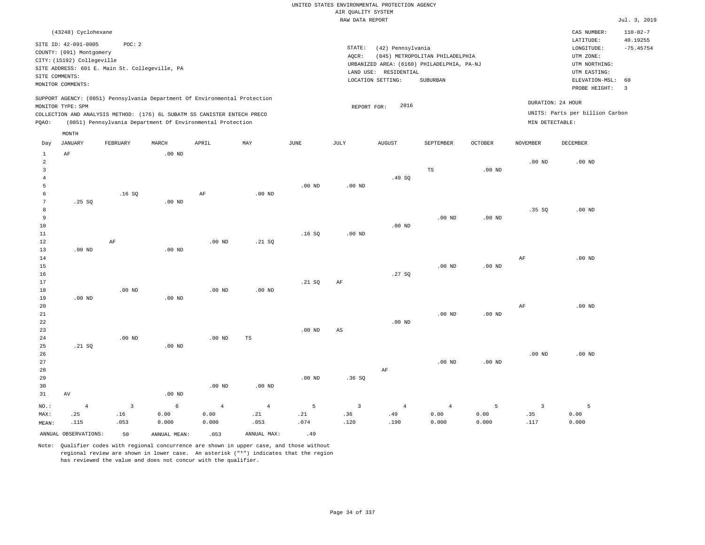|  | UNITED STATES ENVIRONMENTAL PROTECTION AGENCY |  |  |
|--|-----------------------------------------------|--|--|
|  | AIR OUALITY SYSTEM                            |  |  |
|  | RAW DATA REPORT                               |  |  |

Jul. 3, 2019

| (43248) Cyclohexane                                                                                                                                                                                                                                         |                                                                                                                                                                                 | CAS NUMBER:                                                                                                 | $110 - 82 - 7$          |
|-------------------------------------------------------------------------------------------------------------------------------------------------------------------------------------------------------------------------------------------------------------|---------------------------------------------------------------------------------------------------------------------------------------------------------------------------------|-------------------------------------------------------------------------------------------------------------|-------------------------|
| SITE ID: 42-091-0005<br>POC:2<br>COUNTY: (091) Montgomery<br>CITY: (15192) Collegeville<br>SITE ADDRESS: 601 E. Main St. Collegeville, PA<br>SITE COMMENTS:<br>MONITOR COMMENTS:                                                                            | STATE:<br>(42) Pennsylvania<br>(045) METROPOLITAN PHILADELPHIA<br>AOCR:<br>URBANIZED AREA: (6160) PHILADELPHIA, PA-NJ<br>LAND USE: RESIDENTIAL<br>SUBURBAN<br>LOCATION SETTING: | LATITUDE:<br>LONGITUDE:<br>UTM ZONE:<br>UTM NORTHING:<br>UTM EASTING:<br>ELEVATION-MSL: 60<br>PROBE HEIGHT: | 40.19255<br>$-75.45754$ |
| SUPPORT AGENCY: (0851) Pennsylvania Department Of Environmental Protection<br>MONITOR TYPE: SPM<br>COLLECTION AND ANALYSIS METHOD: (176) 6L SUBATM SS CANISTER ENTECH PRECO<br>(0851) Pennsylvania Department Of Environmental Protection<br>POAO:<br>MONTH | DURATION: 24 HOUR<br>2016<br>REPORT FOR:<br>MIN DETECTABLE:                                                                                                                     | UNITS: Parts per billion Carbon                                                                             |                         |

| Day             | JANUARY              | FEBRUARY                  | MARCH             | APRIL      | MAY               | $_{\rm JUNE}$ | JULY                   | AUGUST         | SEPTEMBER      | OCTOBER           | NOVEMBER       | DECEMBER |
|-----------------|----------------------|---------------------------|-------------------|------------|-------------------|---------------|------------------------|----------------|----------------|-------------------|----------------|----------|
| $1\,$           | AF                   |                           | $.00$ ND          |            |                   |               |                        |                |                |                   |                |          |
| $\,2$           |                      |                           |                   |            |                   |               |                        |                |                |                   | $.00$ ND       | $.00$ ND |
| 3               |                      |                           |                   |            |                   |               |                        |                | $_{\rm TS}$    | .00 $ND$          |                |          |
| $\overline{4}$  |                      |                           |                   |            |                   |               |                        | .49SQ          |                |                   |                |          |
| 5               |                      |                           |                   |            |                   | $.00$ ND      | .00 $ND$               |                |                |                   |                |          |
| 6               |                      | .16S                      |                   | $\rm AF$   | .00 <sub>ND</sub> |               |                        |                |                |                   |                |          |
| $7\phantom{.0}$ | .25SQ                |                           | $.00$ ND          |            |                   |               |                        |                |                |                   |                |          |
| 8               |                      |                           |                   |            |                   |               |                        |                |                |                   | .35S           | $.00$ ND |
| 9               |                      |                           |                   |            |                   |               |                        |                | $.00$ ND       | $.00$ ND          |                |          |
| $10$            |                      |                           |                   |            |                   |               |                        | $.00$ ND       |                |                   |                |          |
| $11\,$          |                      |                           |                   |            |                   | .16S          | $.00$ ND               |                |                |                   |                |          |
| 12              |                      | $\rm AF$                  |                   | $.00$ ND   | .21 SQ            |               |                        |                |                |                   |                |          |
| 13              | $.00$ ND             |                           | .00 <sub>ND</sub> |            |                   |               |                        |                |                |                   |                |          |
| 14              |                      |                           |                   |            |                   |               |                        |                |                |                   | $\rm{AF}$      | $.00$ ND |
| 15              |                      |                           |                   |            |                   |               |                        |                | $.00$ ND       | .00 $ND$          |                |          |
| 16              |                      |                           |                   |            |                   |               |                        | .27 SQ         |                |                   |                |          |
| 17              |                      |                           |                   |            |                   | .21 SQ        | AF                     |                |                |                   |                |          |
| 18              |                      | .00 <sub>ND</sub>         |                   | $.00$ ND   | $.00$ ND          |               |                        |                |                |                   |                |          |
| 19              | $.00$ ND             |                           | $.00$ ND          |            |                   |               |                        |                |                |                   |                |          |
| 20              |                      |                           |                   |            |                   |               |                        |                |                |                   | $\rm AF$       | $.00$ ND |
| 21              |                      |                           |                   |            |                   |               |                        |                | $.00$ ND       | .00 <sub>ND</sub> |                |          |
| ${\bf 22}$      |                      |                           |                   |            |                   |               |                        | $.00$ ND       |                |                   |                |          |
| 23              |                      |                           |                   |            |                   | .00 $ND$      | $\mathbb{A}\mathbb{S}$ |                |                |                   |                |          |
| $2\sqrt{4}$     |                      | .00 <sub>ND</sub>         |                   | $.00$ ND   | $\mathbb{TS}$     |               |                        |                |                |                   |                |          |
| $25\,$          | .21 SQ               |                           | $.00$ ND          |            |                   |               |                        |                |                |                   |                |          |
| 26              |                      |                           |                   |            |                   |               |                        |                |                |                   | $.00$ ND       | $.00$ ND |
| 27              |                      |                           |                   |            |                   |               |                        |                | $.00$ ND       | .00 <sub>ND</sub> |                |          |
| 28              |                      |                           |                   |            |                   |               |                        | $\rm AF$       |                |                   |                |          |
| 29              |                      |                           |                   |            |                   | $.00$ ND      | .36SQ                  |                |                |                   |                |          |
| 30              |                      |                           |                   | $.00$ ND   | .00 <sub>ND</sub> |               |                        |                |                |                   |                |          |
| 31              | AV                   |                           | $.00$ ND          |            |                   |               |                        |                |                |                   |                |          |
| $_{\rm NO.}$ :  | $\bf 4$              | $\ensuremath{\mathsf{3}}$ | $\epsilon$        | $\sqrt{4}$ | $\,4$             | $\mathsf S$   | $\overline{3}$         | $\overline{4}$ | $\overline{4}$ | 5                 | $\overline{3}$ | 5        |
| MAX:            | .25                  | .16                       | 0.00              | 0.00       | .21               | $\sqrt{21}$   | .36                    | .49            | 0.00           | 0.00              | .35            | 0.00     |
| MEAN:           | .115                 | .053                      | 0.000             | 0.000      | .053              | .074          | .120                   | .190           | 0.000          | 0.000             | .117           | 0.000    |
|                 | ANNUAL OBSERVATIONS: | 50                        | ANNUAL MEAN:      | .053       | ANNUAL MAX:       | .49           |                        |                |                |                   |                |          |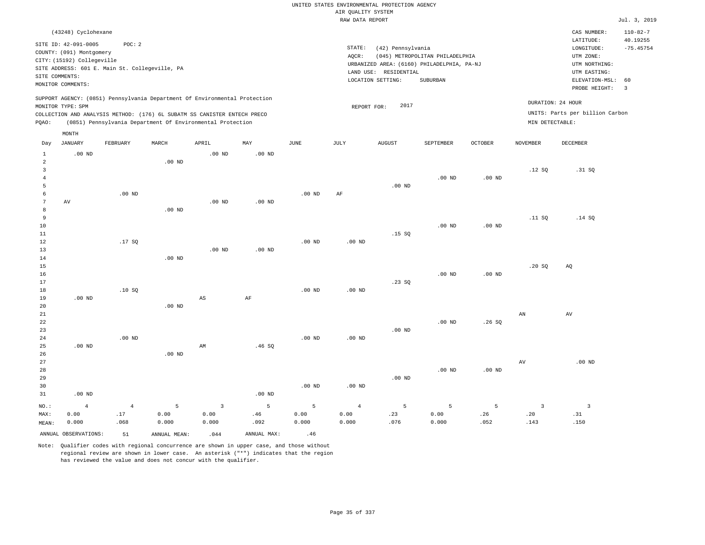|                                           |                                                                                                                                              |                                                          |                    |                                                                                                                                        |                   |                                                                                                                                                                                 |                                       | UNITED STATES ENVIRONMENTAL PROTECTION AGENCY |                    |                   |                                        |                                                                                                                         |                                                                   |
|-------------------------------------------|----------------------------------------------------------------------------------------------------------------------------------------------|----------------------------------------------------------|--------------------|----------------------------------------------------------------------------------------------------------------------------------------|-------------------|---------------------------------------------------------------------------------------------------------------------------------------------------------------------------------|---------------------------------------|-----------------------------------------------|--------------------|-------------------|----------------------------------------|-------------------------------------------------------------------------------------------------------------------------|-------------------------------------------------------------------|
|                                           |                                                                                                                                              |                                                          |                    |                                                                                                                                        |                   |                                                                                                                                                                                 | AIR QUALITY SYSTEM<br>RAW DATA REPORT |                                               |                    |                   |                                        |                                                                                                                         | Jul. 3, 2019                                                      |
|                                           |                                                                                                                                              |                                                          |                    |                                                                                                                                        |                   |                                                                                                                                                                                 |                                       |                                               |                    |                   |                                        |                                                                                                                         |                                                                   |
|                                           | (43248) Cyclohexane<br>SITE ID: 42-091-0005<br>COUNTY: (091) Montgomery<br>CITY: (15192) Collegeville<br>SITE COMMENTS:<br>MONITOR COMMENTS: | POC: 2<br>SITE ADDRESS: 601 E. Main St. Collegeville, PA |                    |                                                                                                                                        |                   | STATE:<br>(42) Pennsylvania<br>AQCR:<br>(045) METROPOLITAN PHILADELPHIA<br>URBANIZED AREA: (6160) PHILADELPHIA, PA-NJ<br>LAND USE: RESIDENTIAL<br>LOCATION SETTING:<br>SUBURBAN |                                       |                                               |                    |                   |                                        | CAS NUMBER:<br>LATITUDE:<br>LONGITUDE:<br>UTM ZONE:<br>UTM NORTHING:<br>UTM EASTING:<br>ELEVATION-MSL:<br>PROBE HEIGHT: | $110 - 82 - 7$<br>40.19255<br>$-75.45754$<br>60<br>$\overline{3}$ |
|                                           |                                                                                                                                              |                                                          |                    | SUPPORT AGENCY: (0851) Pennsylvania Department Of Environmental Protection                                                             |                   |                                                                                                                                                                                 |                                       |                                               |                    |                   |                                        |                                                                                                                         |                                                                   |
| PQAO:                                     | MONITOR TYPE: SPM                                                                                                                            |                                                          |                    | COLLECTION AND ANALYSIS METHOD: (176) 6L SUBATM SS CANISTER ENTECH PRECO<br>(0851) Pennsylvania Department Of Environmental Protection |                   |                                                                                                                                                                                 |                                       | 2017<br>REPORT FOR:                           |                    |                   | MIN DETECTABLE:                        | DURATION: 24 HOUR<br>UNITS: Parts per billion Carbon                                                                    |                                                                   |
| Day                                       | MONTH<br><b>JANUARY</b>                                                                                                                      | FEBRUARY                                                 | MARCH              | APRIL                                                                                                                                  | MAY               | <b>JUNE</b>                                                                                                                                                                     | JULY                                  | <b>AUGUST</b>                                 | SEPTEMBER          | <b>OCTOBER</b>    | <b>NOVEMBER</b>                        | DECEMBER                                                                                                                |                                                                   |
| $\mathbf{1}$                              | $.00$ ND                                                                                                                                     |                                                          |                    | $.00$ ND                                                                                                                               | $.00$ ND          |                                                                                                                                                                                 |                                       |                                               |                    |                   |                                        |                                                                                                                         |                                                                   |
| $\overline{a}$<br>$\overline{\mathbf{3}}$ |                                                                                                                                              |                                                          | $.00$ ND           |                                                                                                                                        |                   |                                                                                                                                                                                 |                                       |                                               |                    |                   | .12S                                   | .31 SQ                                                                                                                  |                                                                   |
| $\overline{4}$<br>5                       |                                                                                                                                              |                                                          |                    |                                                                                                                                        |                   |                                                                                                                                                                                 |                                       | $.00$ ND                                      | $.00$ ND           | .00 <sub>ND</sub> |                                        |                                                                                                                         |                                                                   |
| 6<br>$7\phantom{.0}$<br>$\mathbf{a}$      | AV                                                                                                                                           | $.00$ ND                                                 | $.00$ ND           | $.00$ ND                                                                                                                               | .00 <sub>ND</sub> | $.00$ ND                                                                                                                                                                        | AF                                    |                                               |                    |                   |                                        |                                                                                                                         |                                                                   |
| $\overline{9}$<br>10<br>$1\,1$            |                                                                                                                                              |                                                          |                    |                                                                                                                                        |                   |                                                                                                                                                                                 |                                       | .15S                                          | $.00$ ND           | $.00$ ND          | .11 SQ                                 | .14 SQ                                                                                                                  |                                                                   |
| 12<br>$13$<br>14                          |                                                                                                                                              | .17S                                                     | $.00$ ND           | .00 <sub>ND</sub>                                                                                                                      | $.00$ ND          | $.00$ ND                                                                                                                                                                        | $.00$ ND                              |                                               |                    |                   |                                        |                                                                                                                         |                                                                   |
| 15<br>16<br>17<br>$1\,8$                  |                                                                                                                                              | .10SQ                                                    |                    |                                                                                                                                        |                   | .00 <sub>ND</sub>                                                                                                                                                               | .00 <sub>ND</sub>                     | .23SQ                                         | $.00$ ND           | $.00$ ND          | .20S                                   | AQ                                                                                                                      |                                                                   |
| 19<br>20<br>21                            | $.00$ ND                                                                                                                                     |                                                          | $.00$ ND           | AS                                                                                                                                     | AF                |                                                                                                                                                                                 |                                       |                                               |                    |                   | AN                                     | AV                                                                                                                      |                                                                   |
| 22<br>23<br>24                            |                                                                                                                                              | $.00$ ND                                                 |                    |                                                                                                                                        |                   | $.00$ ND                                                                                                                                                                        | $.00$ ND                              | $.00$ ND                                      | $.00$ ND           | .26SQ             |                                        |                                                                                                                         |                                                                   |
| 25<br>26<br>27                            | $.00$ ND                                                                                                                                     |                                                          | .00 <sub>ND</sub>  | AM                                                                                                                                     | .46SQ             |                                                                                                                                                                                 |                                       |                                               |                    |                   | AV                                     | $.00$ ND                                                                                                                |                                                                   |
| 28<br>29<br>30<br>31                      | $.00$ ND                                                                                                                                     |                                                          |                    |                                                                                                                                        | $.00$ ND          | $.00$ ND                                                                                                                                                                        | $.00$ ND                              | $.00$ ND                                      | $.00$ ND           | $.00$ ND          |                                        |                                                                                                                         |                                                                   |
|                                           |                                                                                                                                              |                                                          |                    |                                                                                                                                        |                   |                                                                                                                                                                                 |                                       |                                               |                    |                   |                                        |                                                                                                                         |                                                                   |
| NO.:<br>MAX:<br>MEAN:                     | $\bf{4}$<br>0.00<br>0.000                                                                                                                    | $\overline{4}$<br>.17<br>.068                            | 5<br>0.00<br>0.000 | $\overline{3}$<br>0.00<br>0.000                                                                                                        | 5<br>.46<br>.092  | 5<br>0.00<br>0.000                                                                                                                                                              | $\overline{4}$<br>0.00<br>0.000       | 5<br>.23<br>.076                              | 5<br>0.00<br>0.000 | 5<br>.26<br>.052  | $\overline{\mathbf{3}}$<br>.20<br>.143 | $\overline{\mathbf{3}}$<br>.31<br>.150                                                                                  |                                                                   |
|                                           | ANNUAL OBSERVATIONS:                                                                                                                         | 51                                                       | ANNUAL, MEAN:      | .044                                                                                                                                   | ANNUAL MAX:       | .46                                                                                                                                                                             |                                       |                                               |                    |                   |                                        |                                                                                                                         |                                                                   |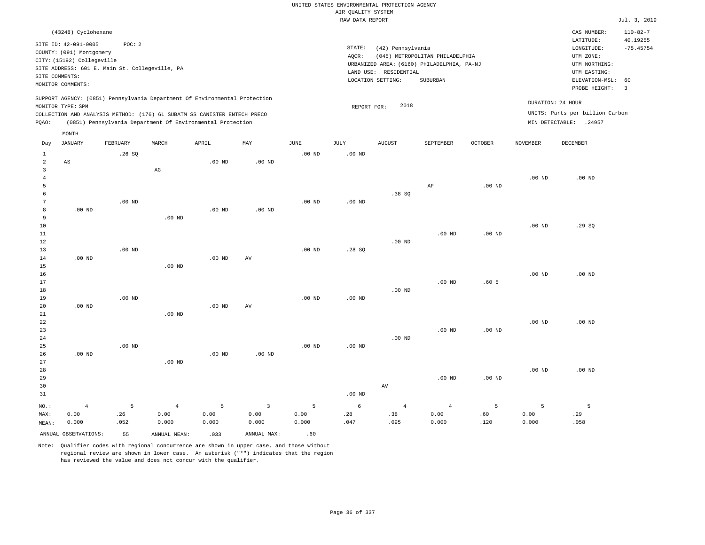|                                |                                                                              |                   |                                                                            |                   |                   |                   | UNITED STATES ENVIRONMENTAL PROTECTION AGENCY |                       |                                            |                  |                   |                                 |                            |
|--------------------------------|------------------------------------------------------------------------------|-------------------|----------------------------------------------------------------------------|-------------------|-------------------|-------------------|-----------------------------------------------|-----------------------|--------------------------------------------|------------------|-------------------|---------------------------------|----------------------------|
|                                |                                                                              |                   |                                                                            |                   |                   |                   | AIR QUALITY SYSTEM                            |                       |                                            |                  |                   |                                 |                            |
|                                |                                                                              |                   |                                                                            |                   |                   |                   | RAW DATA REPORT                               |                       |                                            |                  |                   |                                 | Jul. 3, 2019               |
|                                | (43248) Cyclohexane                                                          |                   |                                                                            |                   |                   |                   |                                               |                       |                                            |                  |                   | CAS NUMBER:<br>LATITUDE:        | $110 - 82 - 7$<br>40.19255 |
|                                | SITE ID: 42-091-0005                                                         | POC: 2            |                                                                            |                   |                   |                   | STATE:                                        | (42) Pennsylvania     |                                            |                  |                   | LONGITUDE:                      | $-75.45754$                |
|                                | COUNTY: (091) Montgomery                                                     |                   |                                                                            |                   |                   |                   | AOCR:                                         |                       | (045) METROPOLITAN PHILADELPHIA            |                  |                   | UTM ZONE:                       |                            |
|                                | CITY: (15192) Collegeville<br>SITE ADDRESS: 601 E. Main St. Collegeville, PA |                   |                                                                            |                   |                   |                   |                                               |                       | URBANIZED AREA: (6160) PHILADELPHIA, PA-NJ |                  |                   | UTM NORTHING:                   |                            |
|                                | SITE COMMENTS:                                                               |                   |                                                                            |                   |                   |                   |                                               | LAND USE: RESIDENTIAL |                                            |                  |                   | UTM EASTING:                    |                            |
|                                | MONITOR COMMENTS:                                                            |                   |                                                                            |                   |                   |                   |                                               | LOCATION SETTING:     | <b>SUBURBAN</b>                            |                  |                   | ELEVATION-MSL:                  | 60                         |
|                                |                                                                              |                   | SUPPORT AGENCY: (0851) Pennsylvania Department Of Environmental Protection |                   |                   |                   |                                               |                       |                                            |                  |                   | PROBE HEIGHT:                   | $\overline{3}$             |
|                                | MONITOR TYPE: SPM                                                            |                   |                                                                            |                   |                   |                   | REPORT FOR:                                   | 2018                  |                                            |                  |                   | DURATION: 24 HOUR               |                            |
|                                |                                                                              |                   | COLLECTION AND ANALYSIS METHOD: (176) 6L SUBATM SS CANISTER ENTECH PRECO   |                   |                   |                   |                                               |                       |                                            |                  |                   | UNITS: Parts per billion Carbon |                            |
| PQAO:                          |                                                                              |                   | (0851) Pennsylvania Department Of Environmental Protection                 |                   |                   |                   |                                               |                       |                                            |                  |                   | MIN DETECTABLE: .24957          |                            |
|                                | MONTH                                                                        |                   |                                                                            |                   |                   |                   |                                               |                       |                                            |                  |                   |                                 |                            |
| Day                            | JANUARY                                                                      | FEBRUARY          | MARCH                                                                      | APRIL             | MAY               | JUNE              | JULY                                          | <b>AUGUST</b>         | SEPTEMBER                                  | OCTOBER          | NOVEMBER          | DECEMBER                        |                            |
| $\mathbf{1}$<br>$\overline{2}$ | AS                                                                           | .26S              |                                                                            | .00 <sub>ND</sub> | .00 <sub>ND</sub> | $.00$ ND          | $.00$ ND                                      |                       |                                            |                  |                   |                                 |                            |
| $\overline{3}$                 |                                                                              |                   | AG                                                                         |                   |                   |                   |                                               |                       |                                            |                  |                   |                                 |                            |
| $\overline{4}$                 |                                                                              |                   |                                                                            |                   |                   |                   |                                               |                       |                                            |                  | $.00$ ND          | $.00$ ND                        |                            |
| 5                              |                                                                              |                   |                                                                            |                   |                   |                   |                                               |                       | AF                                         | $.00$ ND         |                   |                                 |                            |
| 6                              |                                                                              |                   |                                                                            |                   |                   |                   |                                               | .38SQ                 |                                            |                  |                   |                                 |                            |
| 7                              |                                                                              | $.00$ ND          |                                                                            |                   |                   | $.00$ ND          | $.00$ ND                                      |                       |                                            |                  |                   |                                 |                            |
| 8                              | $.00$ ND                                                                     |                   |                                                                            | $.00$ ND          | $.00$ ND          |                   |                                               |                       |                                            |                  |                   |                                 |                            |
| 9                              |                                                                              |                   | $.00$ ND                                                                   |                   |                   |                   |                                               |                       |                                            |                  |                   |                                 |                            |
| 10                             |                                                                              |                   |                                                                            |                   |                   |                   |                                               |                       |                                            |                  | .00 <sub>ND</sub> | .29SQ                           |                            |
| 11                             |                                                                              |                   |                                                                            |                   |                   |                   |                                               |                       | $.00$ ND                                   | $.00$ ND         |                   |                                 |                            |
| 12                             |                                                                              |                   |                                                                            |                   |                   |                   |                                               | $.00$ ND              |                                            |                  |                   |                                 |                            |
| 13                             |                                                                              | $.00$ ND          |                                                                            |                   |                   | $.00$ ND          | .28SQ                                         |                       |                                            |                  |                   |                                 |                            |
| 14                             | $.00$ ND                                                                     |                   |                                                                            | $.00$ ND          | AV                |                   |                                               |                       |                                            |                  |                   |                                 |                            |
| 15                             |                                                                              |                   | $.00$ ND                                                                   |                   |                   |                   |                                               |                       |                                            |                  |                   |                                 |                            |
| 16                             |                                                                              |                   |                                                                            |                   |                   |                   |                                               |                       |                                            |                  | $.00$ ND          | $.00$ ND                        |                            |
| 17                             |                                                                              |                   |                                                                            |                   |                   |                   |                                               |                       | .00 <sub>ND</sub>                          | .60 <sub>5</sub> |                   |                                 |                            |
| 18                             |                                                                              |                   |                                                                            |                   |                   |                   |                                               | $.00$ ND              |                                            |                  |                   |                                 |                            |
| 19                             |                                                                              | $.00$ ND          |                                                                            |                   |                   | $.00$ ND          | $.00$ ND                                      |                       |                                            |                  |                   |                                 |                            |
| 20                             | $.00$ ND                                                                     |                   |                                                                            | .00 <sub>ND</sub> | AV                |                   |                                               |                       |                                            |                  |                   |                                 |                            |
| 21                             |                                                                              |                   | $.00$ ND                                                                   |                   |                   |                   |                                               |                       |                                            |                  |                   |                                 |                            |
| 22                             |                                                                              |                   |                                                                            |                   |                   |                   |                                               |                       | .00 <sub>ND</sub>                          | $.00$ ND         | $.00$ ND          | $.00$ ND                        |                            |
| 23<br>24                       |                                                                              |                   |                                                                            |                   |                   |                   |                                               | $.00$ ND              |                                            |                  |                   |                                 |                            |
| 25                             |                                                                              | .00 <sub>ND</sub> |                                                                            |                   |                   | .00 <sub>ND</sub> | .00 <sub>ND</sub>                             |                       |                                            |                  |                   |                                 |                            |
| 26                             | $.00$ ND                                                                     |                   |                                                                            | $.00$ ND          | $.00$ ND          |                   |                                               |                       |                                            |                  |                   |                                 |                            |
| 27                             |                                                                              |                   | $.00$ ND                                                                   |                   |                   |                   |                                               |                       |                                            |                  |                   |                                 |                            |
| 28                             |                                                                              |                   |                                                                            |                   |                   |                   |                                               |                       |                                            |                  | .00 <sub>ND</sub> | $.00$ ND                        |                            |
| 29                             |                                                                              |                   |                                                                            |                   |                   |                   |                                               |                       | $.00$ ND                                   | $.00$ ND         |                   |                                 |                            |
| 30                             |                                                                              |                   |                                                                            |                   |                   |                   |                                               | $\operatorname{AV}$   |                                            |                  |                   |                                 |                            |
| 31                             |                                                                              |                   |                                                                            |                   |                   |                   | .00 <sub>ND</sub>                             |                       |                                            |                  |                   |                                 |                            |
| NO.:                           | $\overline{4}$                                                               | 5                 | $\overline{4}$                                                             | 5                 | $\overline{3}$    | 5                 | 6                                             | $\overline{4}$        | $\overline{4}$                             | 5                | 5                 | 5                               |                            |
| MAX:                           | 0.00                                                                         | .26               | 0.00                                                                       | 0.00              | 0.00              | 0.00              | .28                                           | .38                   | 0.00                                       | .60              | 0.00              | .29                             |                            |
| MEAN:                          | 0.000                                                                        | .052              | 0.000                                                                      | 0.000             | 0.000             | 0.000             | .047                                          | .095                  | 0.000                                      | .120             | 0.000             | .058                            |                            |
|                                | ANNUAL OBSERVATIONS:                                                         | 55                | ANNUAL MEAN:                                                               | .033              | ANNUAL MAX:       | .60               |                                               |                       |                                            |                  |                   |                                 |                            |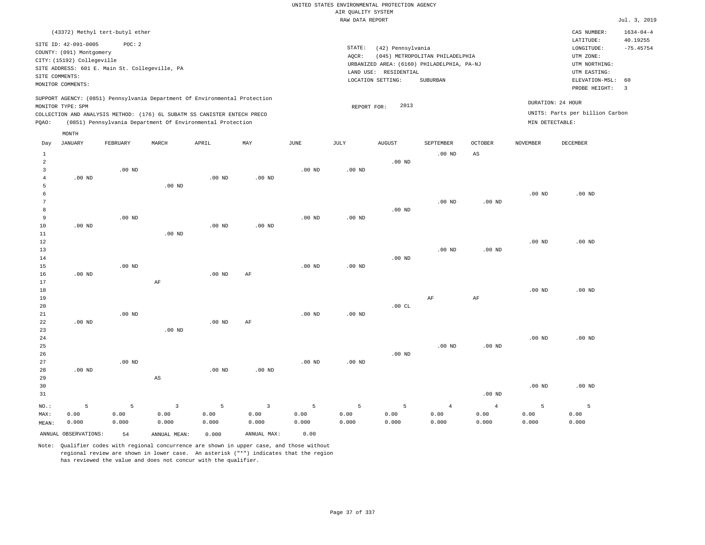|                | (43372) Methyl tert-butyl ether                |          |                                                                            |                   |              |                   |                   |                       |                                            |                        |                   | CAS NUMBER:                     | $1634 - 04 - 4$               |
|----------------|------------------------------------------------|----------|----------------------------------------------------------------------------|-------------------|--------------|-------------------|-------------------|-----------------------|--------------------------------------------|------------------------|-------------------|---------------------------------|-------------------------------|
|                | SITE ID: 42-091-0005                           | POC: 2   |                                                                            |                   |              |                   |                   |                       |                                            |                        |                   | LATITUDE:                       | 40.19255                      |
|                | COUNTY: (091) Montgomery                       |          |                                                                            |                   |              |                   | STATE:            | (42) Pennsylvania     |                                            |                        |                   | $\texttt{LONGITUDE}$ :          | $-75.45754$                   |
|                | CITY: (15192) Collegeville                     |          |                                                                            |                   |              |                   | AQCR:             |                       | (045) METROPOLITAN PHILADELPHIA            |                        |                   | UTM ZONE:                       |                               |
|                | SITE ADDRESS: 601 E. Main St. Collegeville, PA |          |                                                                            |                   |              |                   |                   |                       | URBANIZED AREA: (6160) PHILADELPHIA, PA-NJ |                        |                   | UTM NORTHING:                   |                               |
| SITE COMMENTS: |                                                |          |                                                                            |                   |              |                   |                   | LAND USE: RESIDENTIAL |                                            |                        |                   | UTM EASTING:                    |                               |
|                | MONITOR COMMENTS:                              |          |                                                                            |                   |              |                   |                   | LOCATION SETTING:     | SUBURBAN                                   |                        |                   | ELEVATION-MSL:<br>PROBE HEIGHT: | 60<br>$\overline{\mathbf{3}}$ |
|                |                                                |          |                                                                            |                   |              |                   |                   |                       |                                            |                        |                   |                                 |                               |
|                | MONITOR TYPE: SPM                              |          | SUPPORT AGENCY: (0851) Pennsylvania Department Of Environmental Protection |                   |              |                   | REPORT FOR:       | 2013                  |                                            |                        | DURATION: 24 HOUR |                                 |                               |
|                |                                                |          | COLLECTION AND ANALYSIS METHOD: (176) 6L SUBATM SS CANISTER ENTECH PRECO   |                   |              |                   |                   |                       |                                            |                        |                   | UNITS: Parts per billion Carbon |                               |
| PQAO:          |                                                |          | (0851) Pennsylvania Department Of Environmental Protection                 |                   |              |                   |                   |                       |                                            |                        | MIN DETECTABLE:   |                                 |                               |
|                | MONTH                                          |          |                                                                            |                   |              |                   |                   |                       |                                            |                        |                   |                                 |                               |
| Day            | <b>JANUARY</b>                                 | FEBRUARY | MARCH                                                                      | APRIL             | MAY          | $\mathtt{JUNE}$   | JULY              | ${\tt AUGUST}$        | SEPTEMBER                                  | <b>OCTOBER</b>         | <b>NOVEMBER</b>   | DECEMBER                        |                               |
| $\mathbf{1}$   |                                                |          |                                                                            |                   |              |                   |                   |                       | .00 <sub>ND</sub>                          | $\mathbb{A}\mathbb{S}$ |                   |                                 |                               |
| $\overline{a}$ |                                                |          |                                                                            |                   |              |                   |                   | $.00$ ND              |                                            |                        |                   |                                 |                               |
| $\overline{3}$ |                                                | $.00$ ND |                                                                            |                   |              | .00 <sub>ND</sub> | .00 <sub>ND</sub> |                       |                                            |                        |                   |                                 |                               |
| $\overline{4}$ | $.00$ ND                                       |          |                                                                            | .00 <sub>ND</sub> | $.00$ ND     |                   |                   |                       |                                            |                        |                   |                                 |                               |
| 5              |                                                |          | $.00$ ND                                                                   |                   |              |                   |                   |                       |                                            |                        |                   |                                 |                               |
| 6              |                                                |          |                                                                            |                   |              |                   |                   |                       |                                            |                        | $.00$ ND          | .00 <sub>ND</sub>               |                               |
| 7              |                                                |          |                                                                            |                   |              |                   |                   |                       | $.00$ ND                                   | .00 <sub>ND</sub>      |                   |                                 |                               |
| 8              |                                                |          |                                                                            |                   |              |                   |                   | $.00$ ND              |                                            |                        |                   |                                 |                               |
| 9              |                                                | $.00$ ND |                                                                            |                   |              | $.00$ ND          | .00 <sub>ND</sub> |                       |                                            |                        |                   |                                 |                               |
| $10$           | $.00$ ND                                       |          |                                                                            | .00 <sub>ND</sub> | $.00$ ND     |                   |                   |                       |                                            |                        |                   |                                 |                               |
| 11             |                                                |          | $.00$ ND                                                                   |                   |              |                   |                   |                       |                                            |                        |                   |                                 |                               |
| 12             |                                                |          |                                                                            |                   |              |                   |                   |                       |                                            |                        | $.00$ ND          | $.00$ ND                        |                               |
| 13             |                                                |          |                                                                            |                   |              |                   |                   |                       | $.00$ ND                                   | .00 <sub>ND</sub>      |                   |                                 |                               |
| 14             |                                                |          |                                                                            |                   |              |                   |                   | $.00$ ND              |                                            |                        |                   |                                 |                               |
| 15             |                                                | $.00$ ND |                                                                            |                   | AF           | $.00$ ND          | $.00$ ND          |                       |                                            |                        |                   |                                 |                               |
| 16<br>17       | $.00$ ND                                       |          | $\rm AF$                                                                   | .00 <sub>ND</sub> |              |                   |                   |                       |                                            |                        |                   |                                 |                               |
| 18             |                                                |          |                                                                            |                   |              |                   |                   |                       |                                            |                        | $.00$ ND          | $.00$ ND                        |                               |
| 19             |                                                |          |                                                                            |                   |              |                   |                   |                       | AF                                         | AF                     |                   |                                 |                               |
| 20             |                                                |          |                                                                            |                   |              |                   |                   | .00CL                 |                                            |                        |                   |                                 |                               |
| 21             |                                                | $.00$ ND |                                                                            |                   |              | $.00$ ND          | .00 <sub>ND</sub> |                       |                                            |                        |                   |                                 |                               |
| 22             | $.00$ ND                                       |          |                                                                            | $.00$ ND          | $\rm{AF}$    |                   |                   |                       |                                            |                        |                   |                                 |                               |
| 23             |                                                |          | $.00$ ND                                                                   |                   |              |                   |                   |                       |                                            |                        |                   |                                 |                               |
| 24             |                                                |          |                                                                            |                   |              |                   |                   |                       |                                            |                        | $.00$ ND          | $.00$ ND                        |                               |
| 25             |                                                |          |                                                                            |                   |              |                   |                   |                       | $.00$ ND                                   | .00 <sub>ND</sub>      |                   |                                 |                               |
| 26             |                                                |          |                                                                            |                   |              |                   |                   | $.00$ ND              |                                            |                        |                   |                                 |                               |
| 27             |                                                | $.00$ ND |                                                                            |                   |              | .00 <sub>ND</sub> | .00 <sub>ND</sub> |                       |                                            |                        |                   |                                 |                               |
| 28             | $.00$ ND                                       |          |                                                                            | $.00$ ND          | $.00$ ND     |                   |                   |                       |                                            |                        |                   |                                 |                               |
| 29             |                                                |          | AS                                                                         |                   |              |                   |                   |                       |                                            |                        |                   |                                 |                               |
| 30             |                                                |          |                                                                            |                   |              |                   |                   |                       |                                            |                        | $.00$ ND          | $.00$ ND                        |                               |
| 31             |                                                |          |                                                                            |                   |              |                   |                   |                       |                                            | .00 <sub>ND</sub>      |                   |                                 |                               |
| NO.:           | 5                                              | 5        | $\mathbf{3}$                                                               | 5                 | $\mathbf{3}$ | 5                 | 5                 | 5                     | $\overline{4}$                             | $\overline{4}$         | 5                 | 5                               |                               |
| MAX:           | 0.00                                           | 0.00     | 0.00                                                                       | 0.00              | 0.00         | 0.00              | 0.00              | 0.00                  | 0.00                                       | 0.00                   | 0.00              | 0.00                            |                               |
| MEAN:          | 0.000                                          | 0.000    | 0.000                                                                      | 0.000             | 0.000        | 0.000             | 0.000             | 0.000                 | 0.000                                      | 0.000                  | 0.000             | 0.000                           |                               |
|                | ANNUAL OBSERVATIONS:                           | 54       | ANNUAL MEAN:                                                               | 0.000             | ANNUAL MAX:  | 0.00              |                   |                       |                                            |                        |                   |                                 |                               |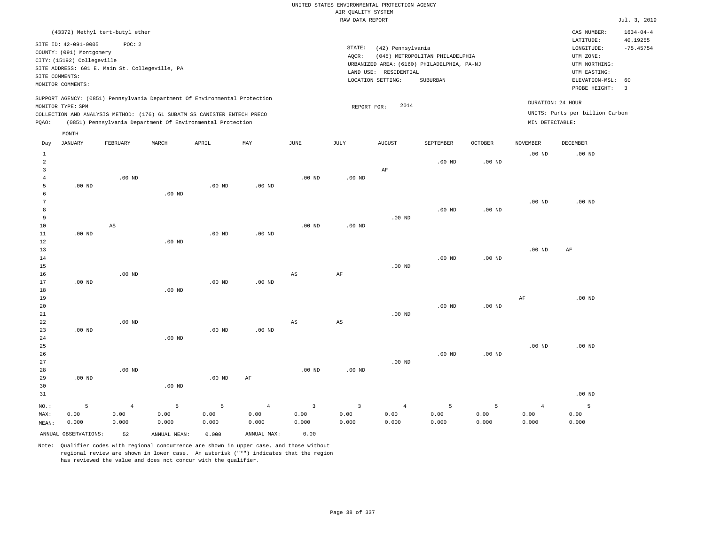|       | (43372) Methyl tert-butyl ether                                                                                                                                             |          |       |                                                            |     |      |                 |                                                                    |                                                                                           |                |                                                                                                                                              | CAS NUMBER:                                          | $1634 - 04 - 4$ |
|-------|-----------------------------------------------------------------------------------------------------------------------------------------------------------------------------|----------|-------|------------------------------------------------------------|-----|------|-----------------|--------------------------------------------------------------------|-------------------------------------------------------------------------------------------|----------------|----------------------------------------------------------------------------------------------------------------------------------------------|------------------------------------------------------|-----------------|
|       | SITE ID: 42-091-0005<br>COUNTY: (091) Montgomery<br>CITY: (15192) Collegeville<br>SITE ADDRESS: 601 E. Main St. Collegeville, PA<br>SITE COMMENTS:<br>MONITOR COMMENTS:     | POC: 2   |       |                                                            |     |      | STATE:<br>AOCR: | (42) Pennsylvania<br>RESIDENTIAL<br>LAND USE:<br>LOCATION SETTING: | (045) METROPOLITAN PHILADELPHIA<br>URBANIZED AREA: (6160) PHILADELPHIA, PA-NJ<br>SUBURBAN |                | 40.19255<br>LATITUDE:<br>$-75.45754$<br>LONGITUDE:<br>UTM ZONE:<br>UTM NORTHING:<br>UTM EASTING:<br>ELEVATION-MSL: 60<br>PROBE HEIGHT:<br>-3 |                                                      |                 |
| POAO: | SUPPORT AGENCY: (0851) Pennsylvania Department Of Environmental Protection<br>MONITOR TYPE: SPM<br>COLLECTION AND ANALYSIS METHOD: (176) 6L SUBATM SS CANISTER ENTECH PRECO |          |       | (0851) Pennsylvania Department Of Environmental Protection |     |      |                 | 2014<br>REPORT FOR:                                                |                                                                                           |                | MIN DETECTABLE:                                                                                                                              | DURATION: 24 HOUR<br>UNITS: Parts per billion Carbon |                 |
| Day   | MONTH<br>JANUARY                                                                                                                                                            | FEBRUARY | MARCH | APRIL                                                      | MAY | JUNE | JULY            | <b>AUGUST</b>                                                      | SEPTEMBER                                                                                 | <b>OCTOBER</b> | NOVEMBER                                                                                                                                     | DECEMBER                                             |                 |
|       |                                                                                                                                                                             |          |       |                                                            |     |      |                 |                                                                    | $.00$ ND                                                                                  | $.00$ ND       | $.00$ ND                                                                                                                                     | $.00$ ND                                             |                 |

| MAX:    | 0.00     | 0.00                   | 0.00        | 0.00           | 0.00           | 0.00        | 0.00                    | 0.00           | 0.00           | 0.00     | 0.00     | 0.00     |
|---------|----------|------------------------|-------------|----------------|----------------|-------------|-------------------------|----------------|----------------|----------|----------|----------|
| $NO.$ : | 5        | $\overline{4}$         | $\mathsf S$ | $\overline{5}$ | $\overline{4}$ | 3           | $\overline{\mathbf{3}}$ | $\overline{4}$ | $\overline{5}$ | 5        | 4        | 5        |
| 31      |          |                        |             |                |                |             |                         |                |                |          |          | $.00$ ND |
| 30      |          |                        | $.00$ ND    |                |                |             |                         |                |                |          |          |          |
| 29      | $.00$ ND |                        |             | $.00$ ND       | $\rm AF$       |             |                         |                |                |          |          |          |
| 28      |          | $.00$ ND               |             |                |                | $.00$ ND    | $.00$ ND                |                |                |          |          |          |
| 27      |          |                        |             |                |                |             |                         | $.00$ ND       |                |          |          |          |
| 26      |          |                        |             |                |                |             |                         |                | $.00$ ND       | $.00$ ND |          |          |
| 25      |          |                        |             |                |                |             |                         |                |                |          | $.00$ ND | .00 $ND$ |
| 24      |          |                        | $.00$ ND    |                |                |             |                         |                |                |          |          |          |
| 23      | $.00$ ND |                        |             | .00 $ND$       | $.00$ ND       |             |                         |                |                |          |          |          |
| 22      |          | $.00$ ND               |             |                |                | AS          | AS                      |                |                |          |          |          |
| 21      |          |                        |             |                |                |             |                         | $.00$ ND       |                |          |          |          |
| 20      |          |                        |             |                |                |             |                         |                | $.00$ ND       | $.00$ ND |          |          |
| 19      |          |                        |             |                |                |             |                         |                |                |          | AF       | .00 $ND$ |
| 18      |          |                        | $.00$ ND    |                |                |             |                         |                |                |          |          |          |
| 17      | $.00$ ND |                        |             | .00 $ND$       | $.00$ ND       |             |                         |                |                |          |          |          |
| 16      |          | $.00$ ND               |             |                |                | $_{\rm AS}$ | $\rm{AF}$               |                |                |          |          |          |
| 15      |          |                        |             |                |                |             |                         | $.00$ ND       |                |          |          |          |
| 14      |          |                        |             |                |                |             |                         |                | $.00$ ND       | $.00$ ND |          |          |
| 13      |          |                        |             |                |                |             |                         |                |                |          | .00 $ND$ | AF       |
| 12      |          |                        | $.00$ ND    |                |                |             |                         |                |                |          |          |          |
| 11      | $.00$ ND |                        |             | $.00$ ND       | $.00$ ND       |             |                         |                |                |          |          |          |
| 10      |          | $\mathbb{A}\mathbb{S}$ |             |                |                | $.00$ ND    | .00 $ND$                |                |                |          |          |          |
| 9       |          |                        |             |                |                |             |                         | $.00$ ND       |                |          |          |          |
| 8       |          |                        |             |                |                |             |                         |                | $.00$ ND       | $.00$ ND |          |          |
| 6<br>7  |          |                        | $.00$ ND    |                |                |             |                         |                |                |          | $.00$ ND | $.00$ ND |
| 5       | $.00$ ND |                        |             | $.00$ ND       | $.00$ ND       |             |                         |                |                |          |          |          |
| 4       |          | .00 $ND$               |             |                |                | $.00$ ND    | .00 $ND$                |                |                |          |          |          |
| 3       |          |                        |             |                |                |             |                         | $\rm AF$       |                |          |          |          |
|         |          |                        |             |                |                |             |                         |                |                |          |          |          |

0.000

ANNUAL OBSERVATIONS: 52 ANNUAL MEAN: 0.000 ANNUAL MAX: 0.00

0.000

0.000

0.000

MEAN:

0.000

0.000

Note: Qualifier codes with regional concurrence are shown in upper case, and those without regional review are shown in lower case. An asterisk ("\*") indicates that the region has reviewed the value and does not concur with the qualifier.

0.000

0.000

0.000

0.000

0.000

0.000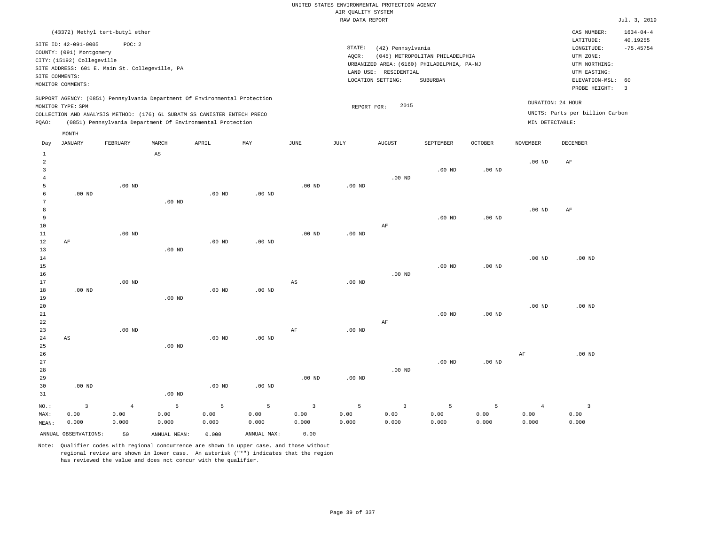|                                  |                            |                                                                            |                   |                   |                   |                   | AIR OUALITY SYSTEM | UNITED STATES ENVIRONMENTAL PROTECTION AGENCY |                                                                               |                |                   |                                 |                 |
|----------------------------------|----------------------------|----------------------------------------------------------------------------|-------------------|-------------------|-------------------|-------------------|--------------------|-----------------------------------------------|-------------------------------------------------------------------------------|----------------|-------------------|---------------------------------|-----------------|
|                                  |                            |                                                                            |                   |                   |                   |                   | RAW DATA REPORT    |                                               |                                                                               |                |                   |                                 | Jul. 3, 2019    |
|                                  |                            | (43372) Methyl tert-butyl ether                                            |                   |                   |                   |                   |                    |                                               |                                                                               |                |                   | CAS NUMBER:                     | $1634 - 04 - 4$ |
|                                  | SITE ID: 42-091-0005       | POC: 2                                                                     |                   |                   |                   |                   |                    |                                               |                                                                               |                |                   | LATITUDE:                       | 40.19255        |
|                                  | COUNTY: (091) Montgomery   |                                                                            |                   |                   |                   |                   | STATE:             | (42) Pennsylvania                             |                                                                               |                |                   | $\texttt{LONGITUDE}$ :          | $-75.45754$     |
|                                  | CITY: (15192) Collegeville |                                                                            |                   |                   |                   |                   | AOCR:              |                                               | (045) METROPOLITAN PHILADELPHIA<br>URBANIZED AREA: (6160) PHILADELPHIA, PA-NJ |                |                   | UTM ZONE:<br>UTM NORTHING:      |                 |
|                                  |                            | SITE ADDRESS: 601 E. Main St. Collegeville, PA                             |                   |                   |                   |                   |                    | LAND USE: RESIDENTIAL                         |                                                                               |                |                   | UTM EASTING:                    |                 |
| SITE COMMENTS:                   |                            |                                                                            |                   |                   |                   |                   |                    | LOCATION SETTING:                             | SUBURBAN                                                                      |                |                   | ELEVATION-MSL:                  | 60              |
|                                  | MONITOR COMMENTS:          |                                                                            |                   |                   |                   |                   |                    |                                               |                                                                               |                |                   | PROBE HEIGHT:                   | $\overline{3}$  |
|                                  | MONITOR TYPE: SPM          | SUPPORT AGENCY: (0851) Pennsylvania Department Of Environmental Protection |                   |                   |                   |                   | REPORT FOR:        | 2015                                          |                                                                               |                |                   | DURATION: 24 HOUR               |                 |
|                                  |                            | COLLECTION AND ANALYSIS METHOD: (176) 6L SUBATM SS CANISTER ENTECH PRECO   |                   |                   |                   |                   |                    |                                               |                                                                               |                |                   | UNITS: Parts per billion Carbon |                 |
| PQAO:                            |                            | (0851) Pennsylvania Department Of Environmental Protection                 |                   |                   |                   |                   |                    |                                               |                                                                               |                | MIN DETECTABLE:   |                                 |                 |
|                                  | MONTH                      |                                                                            |                   |                   |                   |                   |                    |                                               |                                                                               |                |                   |                                 |                 |
| Day                              | <b>JANUARY</b>             | FEBRUARY                                                                   | MARCH             | APRIL             | MAY               | <b>JUNE</b>       | <b>JULY</b>        | <b>AUGUST</b>                                 | SEPTEMBER                                                                     | <b>OCTOBER</b> | <b>NOVEMBER</b>   | DECEMBER                        |                 |
| $\mathbf{1}$                     |                            |                                                                            | AS                |                   |                   |                   |                    |                                               |                                                                               |                |                   |                                 |                 |
| $\overline{a}$<br>$\overline{3}$ |                            |                                                                            |                   |                   |                   |                   |                    |                                               | $.00$ ND                                                                      | $.00$ ND       | .00 <sub>ND</sub> | $\rm AF$                        |                 |
| $\overline{4}$                   |                            |                                                                            |                   |                   |                   |                   |                    | $.00$ ND                                      |                                                                               |                |                   |                                 |                 |
| 5                                |                            | $.00$ ND                                                                   |                   |                   |                   | .00 <sub>ND</sub> | .00 <sub>ND</sub>  |                                               |                                                                               |                |                   |                                 |                 |
| 6                                | $.00$ ND                   |                                                                            |                   | $.00$ ND          | $.00$ ND          |                   |                    |                                               |                                                                               |                |                   |                                 |                 |
| 7                                |                            |                                                                            | $.00$ ND          |                   |                   |                   |                    |                                               |                                                                               |                |                   |                                 |                 |
| 8                                |                            |                                                                            |                   |                   |                   |                   |                    |                                               |                                                                               |                | .00 <sub>ND</sub> | AF                              |                 |
| $\,9$                            |                            |                                                                            |                   |                   |                   |                   |                    |                                               | $.00$ ND                                                                      | $.00$ ND       |                   |                                 |                 |
| 10<br>11                         |                            | $.00$ ND                                                                   |                   |                   |                   | $.00$ ND          | $.00$ ND           | AF                                            |                                                                               |                |                   |                                 |                 |
| 12                               | $\rm AF$                   |                                                                            |                   | .00 <sub>ND</sub> | .00 <sub>ND</sub> |                   |                    |                                               |                                                                               |                |                   |                                 |                 |
| 13                               |                            |                                                                            | $.00$ ND          |                   |                   |                   |                    |                                               |                                                                               |                |                   |                                 |                 |
| 14                               |                            |                                                                            |                   |                   |                   |                   |                    |                                               |                                                                               |                | .00 <sub>ND</sub> | $.00$ ND                        |                 |
| 15                               |                            |                                                                            |                   |                   |                   |                   |                    |                                               | .00 <sub>ND</sub>                                                             | $.00$ ND       |                   |                                 |                 |
| 16                               |                            |                                                                            |                   |                   |                   |                   |                    | $.00$ ND                                      |                                                                               |                |                   |                                 |                 |
| 17<br>18                         | $.00$ ND                   | $.00$ ND                                                                   |                   | $.00$ ND          | .00 <sub>ND</sub> | $_{\rm AS}$       | $.00$ ND           |                                               |                                                                               |                |                   |                                 |                 |
| 19                               |                            |                                                                            | $.00$ ND          |                   |                   |                   |                    |                                               |                                                                               |                |                   |                                 |                 |
| 20                               |                            |                                                                            |                   |                   |                   |                   |                    |                                               |                                                                               |                | .00 <sub>ND</sub> | $.00$ ND                        |                 |
| 21                               |                            |                                                                            |                   |                   |                   |                   |                    |                                               | $.00$ ND                                                                      | $.00$ ND       |                   |                                 |                 |
| $2\sqrt{2}$                      |                            |                                                                            |                   |                   |                   |                   |                    | $\rm AF$                                      |                                                                               |                |                   |                                 |                 |
| 23                               |                            | $.00$ ND                                                                   |                   |                   |                   | AF                | .00 <sub>ND</sub>  |                                               |                                                                               |                |                   |                                 |                 |
| 24                               | AS                         |                                                                            |                   | $.00$ ND          | $.00$ ND          |                   |                    |                                               |                                                                               |                |                   |                                 |                 |
| 25<br>26                         |                            |                                                                            | .00 <sub>ND</sub> |                   |                   |                   |                    |                                               |                                                                               |                | AF                | $.00$ ND                        |                 |
| 27                               |                            |                                                                            |                   |                   |                   |                   |                    |                                               | $.00$ ND                                                                      | $.00$ ND       |                   |                                 |                 |
| 28                               |                            |                                                                            |                   |                   |                   |                   |                    | .00 <sub>ND</sub>                             |                                                                               |                |                   |                                 |                 |
| 29                               |                            |                                                                            |                   |                   |                   | .00 <sub>ND</sub> | .00 <sub>ND</sub>  |                                               |                                                                               |                |                   |                                 |                 |
| 30                               | $.00$ ND                   |                                                                            |                   | $.00$ ND          | $.00$ ND          |                   |                    |                                               |                                                                               |                |                   |                                 |                 |
| 31                               |                            |                                                                            | .00 <sub>ND</sub> |                   |                   |                   |                    |                                               |                                                                               |                |                   |                                 |                 |
| NO.:                             | 3                          | $\overline{4}$                                                             | 5                 | 5                 | 5                 | 3                 | 5                  | $\overline{3}$                                | 5                                                                             | 5              | $\overline{4}$    | $\overline{3}$                  |                 |
| MAX:                             | 0.00                       | 0.00                                                                       | 0.00              | 0.00              | 0.00              | 0.00              | 0.00               | 0.00                                          | 0.00                                                                          | 0.00           | 0.00              | 0.00                            |                 |
| MEAN:                            | 0.000                      | 0.000                                                                      | 0.000             | 0.000             | 0.000             | 0.000             | 0.000              | 0.000                                         | 0.000                                                                         | 0.000          | 0.000             | 0.000                           |                 |

ANNUAL OBSERVATIONS: 50 ANNUAL MEAN: 0.000 ANNUAL MAX: 0.00 Note: Qualifier codes with regional concurrence are shown in upper case, and those without

regional review are shown in lower case. An asterisk ("\*") indicates that the region

has reviewed the value and does not concur with the qualifier.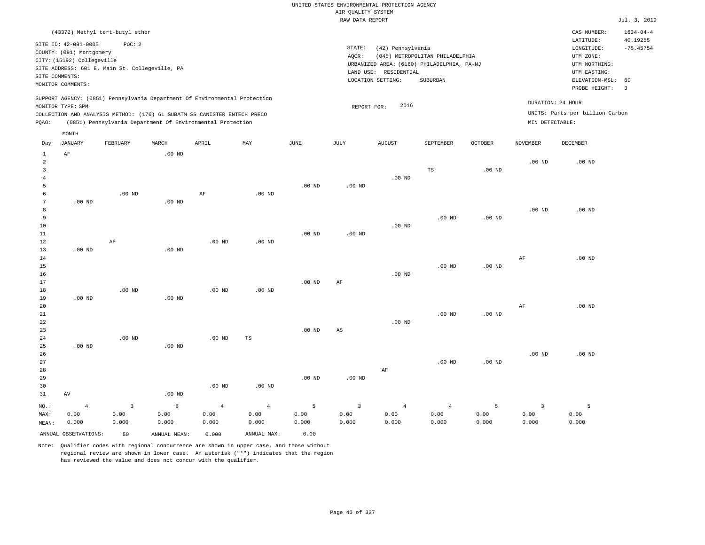|                                                                                                                                                                                                                                                    | (43372) Methyl tert-butyl ether                                                                                                                                         |          |          |       |     |      |                 |                                                                                                                  |                                             |                |                 | CAS NUMBER:                                                                                                                                  | $1634 - 04 - 4$ |  |
|----------------------------------------------------------------------------------------------------------------------------------------------------------------------------------------------------------------------------------------------------|-------------------------------------------------------------------------------------------------------------------------------------------------------------------------|----------|----------|-------|-----|------|-----------------|------------------------------------------------------------------------------------------------------------------|---------------------------------------------|----------------|-----------------|----------------------------------------------------------------------------------------------------------------------------------------------|-----------------|--|
|                                                                                                                                                                                                                                                    | SITE ID: 42-091-0005<br>COUNTY: (091) Montgomery<br>CITY: (15192) Collegeville<br>SITE ADDRESS: 601 E. Main St. Collegeville, PA<br>SITE COMMENTS:<br>MONITOR COMMENTS: | POC:2    |          |       |     |      | STATE:<br>AQCR: | (42) Pennsylvania<br>URBANIZED AREA: (6160) PHILADELPHIA, PA-NJ<br>RESIDENTIAL<br>LAND USE:<br>LOCATION SETTING: | (045) METROPOLITAN PHILADELPHIA<br>SUBURBAN |                |                 | 40.19255<br>LATITUDE:<br>$-75.45754$<br>LONGITUDE:<br>UTM ZONE:<br>UTM NORTHING:<br>UTM EASTING:<br>ELEVATION-MSL: 60<br>PROBE HEIGHT:<br>-3 |                 |  |
| SUPPORT AGENCY: (0851) Pennsylvania Department Of Environmental Protection<br>MONITOR TYPE: SPM<br>COLLECTION AND ANALYSIS METHOD: (176) 6L SUBATM SS CANISTER ENTECH PRECO<br>(0851) Pennsylvania Department Of Environmental Protection<br>POAO: |                                                                                                                                                                         |          |          |       |     |      |                 | 2016<br>REPORT FOR:                                                                                              |                                             |                | MIN DETECTABLE: | DURATION: 24 HOUR<br>UNITS: Parts per billion Carbon                                                                                         |                 |  |
| Day                                                                                                                                                                                                                                                | MONTH<br>JANUARY                                                                                                                                                        | FEBRUARY | MARCH    | APRIL | MAY | JUNE | JULY            | <b>AUGUST</b>                                                                                                    | SEPTEMBER                                   | <b>OCTOBER</b> | NOVEMBER        | DECEMBER                                                                                                                                     |                 |  |
| 2                                                                                                                                                                                                                                                  | AF                                                                                                                                                                      |          | $.00$ ND |       |     |      |                 |                                                                                                                  |                                             |                | $.00$ ND        | $.00$ ND                                                                                                                                     |                 |  |

| 3              |                |          |            |                |                |          |                        |                | TS                | $.00$ ND          |                |          |
|----------------|----------------|----------|------------|----------------|----------------|----------|------------------------|----------------|-------------------|-------------------|----------------|----------|
| 4              |                |          |            |                |                |          |                        | .00 $ND$       |                   |                   |                |          |
| 5              |                |          |            |                |                | $.00$ ND | $.00$ ND               |                |                   |                   |                |          |
| 6              |                | $.00$ ND |            | $\rm AF$       | $.00$ ND       |          |                        |                |                   |                   |                |          |
| 7              | $.00$ ND       |          | $.00$ ND   |                |                |          |                        |                |                   |                   |                |          |
| 8              |                |          |            |                |                |          |                        |                |                   |                   | $.00$ ND       | $.00$ ND |
| 9              |                |          |            |                |                |          |                        |                | .00 <sub>ND</sub> | $.00$ ND          |                |          |
| 10<br>11       |                |          |            |                |                | $.00$ ND | $.00$ ND               | $.00$ ND       |                   |                   |                |          |
| 12             |                | $\rm AF$ |            | $.00$ ND       | $.00$ ND       |          |                        |                |                   |                   |                |          |
| 13             | $.00$ ND       |          | $.00$ ND   |                |                |          |                        |                |                   |                   |                |          |
| 14             |                |          |            |                |                |          |                        |                |                   |                   | $\rm{AF}$      | $.00$ ND |
| 15             |                |          |            |                |                |          |                        |                | .00 <sub>ND</sub> | .00 $ND$          |                |          |
| 16             |                |          |            |                |                |          |                        | $.00$ ND       |                   |                   |                |          |
| 17             |                |          |            |                |                | $.00$ ND | $\rm AF$               |                |                   |                   |                |          |
| 18             |                | .00 $ND$ |            | $.00$ ND       | .00 $ND$       |          |                        |                |                   |                   |                |          |
| 19             | $.00$ ND       |          | $.00$ ND   |                |                |          |                        |                |                   |                   |                |          |
| 20             |                |          |            |                |                |          |                        |                |                   |                   | AF             | $.00$ ND |
| 21             |                |          |            |                |                |          |                        |                | .00 <sub>ND</sub> | .00 <sub>ND</sub> |                |          |
| 22             |                |          |            |                |                |          |                        | $.00$ ND       |                   |                   |                |          |
| 23             |                |          |            |                |                | $.00$ ND | $\mathbb{A}\mathbb{S}$ |                |                   |                   |                |          |
| 24             |                | $.00$ ND |            | $.00$ ND       | TS             |          |                        |                |                   |                   |                |          |
| 25             | $.00$ ND       |          | $.00$ ND   |                |                |          |                        |                |                   |                   |                |          |
| 26             |                |          |            |                |                |          |                        |                |                   |                   | .00 $ND$       | $.00$ ND |
| $2\,7$         |                |          |            |                |                |          |                        |                | .00 <sub>ND</sub> | $.00$ ND          |                |          |
| 28             |                |          |            |                |                |          |                        | $\rm AF$       |                   |                   |                |          |
| 29             |                |          |            |                |                | $.00$ ND | $.00$ ND               |                |                   |                   |                |          |
| 30             |                |          |            | $.00$ ND       | $.00$ ND       |          |                        |                |                   |                   |                |          |
| 31             | AV             |          | $.00$ ND   |                |                |          |                        |                |                   |                   |                |          |
| $_{\rm NO.}$ : | $\overline{4}$ | 3        | $\epsilon$ | $\overline{4}$ | $\overline{4}$ | 5        | $\overline{3}$         | $\overline{4}$ | $\overline{4}$    | 5                 | $\overline{3}$ | 5        |
| MAX:           | 0.00           | 0.00     | 0.00       | 0.00           | 0.00           | 0.00     | 0.00                   | 0.00           | 0.00              | 0.00              | 0.00           | 0.00     |
| MEAN:          | 0.000          | 0.000    | 0.000      | 0.000          | 0.000          | 0.000    | 0.000                  | 0.000          | 0.000             | 0.000             | 0.000          | 0.000    |

ANNUAL OBSERVATIONS: 50 ANNUAL MEAN: 0.000 ANNUAL MAX: 0.00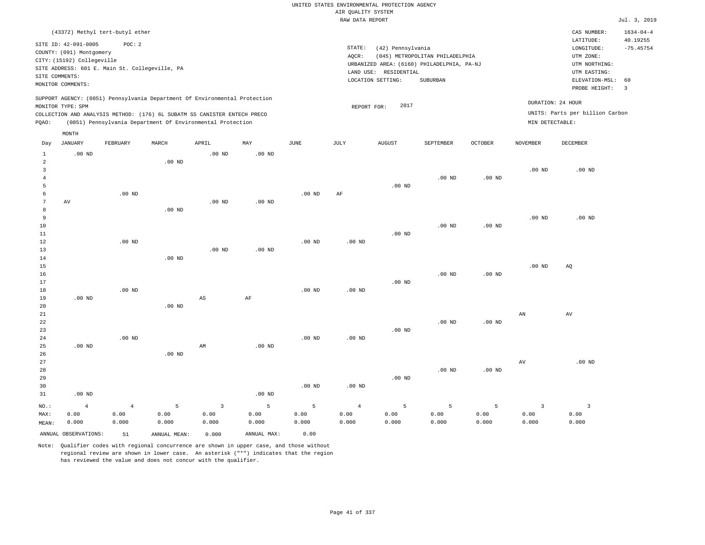|                          |                                                                                |                                                          |                    |                                                                                                                                                                                                                      |                    |                    | AIR QUALITY SYSTEM              | UNITED STATES ENVIRONMENTAL PROTECTION AGENCY |                                                                               |                    |                                          |                                                                      |                             |
|--------------------------|--------------------------------------------------------------------------------|----------------------------------------------------------|--------------------|----------------------------------------------------------------------------------------------------------------------------------------------------------------------------------------------------------------------|--------------------|--------------------|---------------------------------|-----------------------------------------------|-------------------------------------------------------------------------------|--------------------|------------------------------------------|----------------------------------------------------------------------|-----------------------------|
|                          |                                                                                |                                                          |                    |                                                                                                                                                                                                                      |                    |                    | RAW DATA REPORT                 |                                               |                                                                               |                    |                                          |                                                                      | Jul. 3, 2019                |
|                          |                                                                                | (43372) Methyl tert-butyl ether                          |                    |                                                                                                                                                                                                                      |                    |                    |                                 |                                               |                                                                               |                    |                                          | CAS NUMBER:<br>LATITUDE:                                             | $1634 - 04 - 4$<br>40.19255 |
|                          | SITE ID: 42-091-0005<br>COUNTY: (091) Montgomery<br>CITY: (15192) Collegeville | POC: 2<br>SITE ADDRESS: 601 E. Main St. Collegeville, PA |                    |                                                                                                                                                                                                                      |                    |                    | STATE:<br>AQCR:                 | (42) Pennsylvania<br>LAND USE: RESIDENTIAL    | (045) METROPOLITAN PHILADELPHIA<br>URBANIZED AREA: (6160) PHILADELPHIA, PA-NJ |                    |                                          | $\texttt{LONGITUDE}$ :<br>UTM ZONE:<br>UTM NORTHING:<br>UTM EASTING: | $-75.45754$                 |
|                          | SITE COMMENTS:<br>MONITOR COMMENTS:                                            |                                                          |                    |                                                                                                                                                                                                                      |                    |                    |                                 | LOCATION SETTING:                             | SUBURBAN                                                                      |                    |                                          | ELEVATION-MSL:<br>PROBE HEIGHT:                                      | 60<br>$\overline{3}$        |
| PQAO:                    | MONITOR TYPE: SPM                                                              |                                                          |                    | SUPPORT AGENCY: (0851) Pennsylvania Department Of Environmental Protection<br>COLLECTION AND ANALYSIS METHOD: (176) 6L SUBATM SS CANISTER ENTECH PRECO<br>(0851) Pennsylvania Department Of Environmental Protection |                    |                    | REPORT FOR:                     | 2017                                          |                                                                               |                    | MIN DETECTABLE:                          | DURATION: 24 HOUR<br>UNITS: Parts per billion Carbon                 |                             |
|                          | MONTH<br><b>JANUARY</b>                                                        | FEBRUARY                                                 | MARCH              | APRIL                                                                                                                                                                                                                | MAY                | <b>JUNE</b>        | JULY                            | <b>AUGUST</b>                                 | SEPTEMBER                                                                     | <b>OCTOBER</b>     | <b>NOVEMBER</b>                          | <b>DECEMBER</b>                                                      |                             |
| Day<br>$\mathbf{1}$      | $.00$ ND                                                                       |                                                          |                    | .00 <sub>ND</sub>                                                                                                                                                                                                    | .00 <sub>ND</sub>  |                    |                                 |                                               |                                                                               |                    |                                          |                                                                      |                             |
| 2<br>3<br>$\overline{4}$ |                                                                                |                                                          | $.00$ ND           |                                                                                                                                                                                                                      |                    |                    |                                 |                                               | .00 <sub>ND</sub>                                                             | $.00$ ND           | .00 <sub>ND</sub>                        | $.00$ ND                                                             |                             |
| 5<br>6<br>7<br>8         | AV                                                                             | .00 <sub>ND</sub>                                        | $.00$ ND           | .00 <sub>ND</sub>                                                                                                                                                                                                    | .00 <sub>ND</sub>  | .00 <sub>ND</sub>  | AF                              | $.00$ ND                                      |                                                                               |                    |                                          |                                                                      |                             |
| 9<br>10<br>11<br>12      |                                                                                | $.00$ ND                                                 |                    |                                                                                                                                                                                                                      |                    | $.00$ ND           | $.00$ ND                        | .00 <sub>ND</sub>                             | $.00$ ND                                                                      | $.00$ ND           | .00 <sub>ND</sub>                        | $.00$ ND                                                             |                             |
| 13<br>14<br>$15$<br>16   |                                                                                |                                                          | .00 <sub>ND</sub>  | $.00$ ND                                                                                                                                                                                                             | .00 <sub>ND</sub>  |                    |                                 |                                               | $.00$ ND                                                                      | $.00$ ND           | .00 <sub>ND</sub>                        | AQ                                                                   |                             |
| 17<br>18<br>19           | $.00$ ND                                                                       | $.00$ ND                                                 |                    | $\mathbb{A}\mathbb{S}$                                                                                                                                                                                               | $\rm AF$           | .00 <sub>ND</sub>  | $.00$ ND                        | $.00$ ND                                      |                                                                               |                    |                                          |                                                                      |                             |
| 20<br>21<br>22<br>23     |                                                                                |                                                          | $.00$ ND           |                                                                                                                                                                                                                      |                    |                    |                                 | $.00$ ND                                      | $.00$ ND                                                                      | $.00$ ND           | AN                                       | AV                                                                   |                             |
| 24<br>25<br>26<br>27     | .00 <sub>ND</sub>                                                              | $.00$ ND                                                 | $.00$ ND           | AM                                                                                                                                                                                                                   | .00 <sub>ND</sub>  | .00 <sub>ND</sub>  | .00 <sub>ND</sub>               |                                               |                                                                               |                    | $\hbox{AV}$                              | $.00$ ND                                                             |                             |
| 28<br>29<br>30<br>31     | $.00$ ND                                                                       |                                                          |                    |                                                                                                                                                                                                                      | .00 <sub>ND</sub>  | $.00$ ND           | $.00$ ND                        | $.00$ ND                                      | .00 <sub>ND</sub>                                                             | $.00$ ND           |                                          |                                                                      |                             |
| NO.:<br>MAX:<br>MEAN:    | $\overline{4}$<br>0.00<br>0.000                                                | $\overline{4}$<br>0.00<br>0.000                          | 5<br>0.00<br>0.000 | $\overline{3}$<br>0.00<br>0.000                                                                                                                                                                                      | 5<br>0.00<br>0.000 | 5<br>0.00<br>0.000 | $\overline{4}$<br>0.00<br>0.000 | 5<br>0.00<br>0.000                            | 5<br>0.00<br>0.000                                                            | 5<br>0.00<br>0.000 | $\overline{\mathbf{3}}$<br>0.00<br>0.000 | $\overline{\mathbf{3}}$<br>0.00<br>0.000                             |                             |
|                          | ANNUAL OBSERVATIONS:                                                           | 51                                                       | ANNUAL, MEAN:      | 0.000                                                                                                                                                                                                                | ANNUAL MAX:        | 0.00               |                                 |                                               |                                                                               |                    |                                          |                                                                      |                             |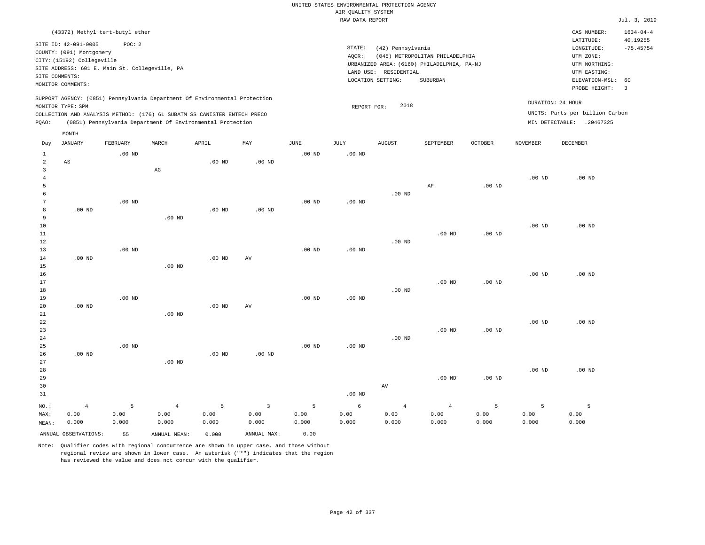|                |                                                                                                 |                   |                                                            |                   |                |                   | UNITED STATES ENVIRONMENTAL PROTECTION AGENCY |                       |                                            |          |                   |                                        |                                            |
|----------------|-------------------------------------------------------------------------------------------------|-------------------|------------------------------------------------------------|-------------------|----------------|-------------------|-----------------------------------------------|-----------------------|--------------------------------------------|----------|-------------------|----------------------------------------|--------------------------------------------|
|                |                                                                                                 |                   |                                                            |                   |                |                   | AIR QUALITY SYSTEM                            |                       |                                            |          |                   |                                        |                                            |
|                |                                                                                                 |                   |                                                            |                   |                |                   | RAW DATA REPORT                               |                       |                                            |          |                   |                                        | Jul. 3, 2019                               |
|                | (43372) Methyl tert-butyl ether<br>SITE ID: 42-091-0005                                         | POC: 2            |                                                            |                   |                |                   | STATE:                                        | (42) Pennsylvania     |                                            |          |                   | CAS NUMBER:<br>LATITUDE:<br>LONGITUDE: | $1634 - 04 - 4$<br>40.19255<br>$-75.45754$ |
|                | COUNTY: (091) Montgomery                                                                        |                   |                                                            |                   |                |                   | AOCR:                                         |                       | (045) METROPOLITAN PHILADELPHIA            |          |                   | UTM ZONE:                              |                                            |
|                | CITY: (15192) Collegeville                                                                      |                   |                                                            |                   |                |                   |                                               |                       | URBANIZED AREA: (6160) PHILADELPHIA, PA-NJ |          |                   | UTM NORTHING:                          |                                            |
|                | SITE ADDRESS: 601 E. Main St. Collegeville, PA                                                  |                   |                                                            |                   |                |                   |                                               | LAND USE: RESIDENTIAL |                                            |          |                   | UTM EASTING:                           |                                            |
| SITE COMMENTS: |                                                                                                 |                   |                                                            |                   |                |                   |                                               | LOCATION SETTING:     | <b>SUBURBAN</b>                            |          |                   | ELEVATION-MSL:                         | 60                                         |
|                | MONITOR COMMENTS:                                                                               |                   |                                                            |                   |                |                   |                                               |                       |                                            |          |                   | PROBE HEIGHT:                          | $\overline{3}$                             |
|                | SUPPORT AGENCY: (0851) Pennsylvania Department Of Environmental Protection<br>MONITOR TYPE: SPM |                   |                                                            |                   |                |                   | REPORT FOR:                                   | 2018                  |                                            |          |                   | DURATION: 24 HOUR                      |                                            |
|                | COLLECTION AND ANALYSIS METHOD: (176) 6L SUBATM SS CANISTER ENTECH PRECO                        |                   |                                                            |                   |                |                   |                                               |                       |                                            |          |                   | UNITS: Parts per billion Carbon        |                                            |
| PQAO:          |                                                                                                 |                   | (0851) Pennsylvania Department Of Environmental Protection |                   |                |                   |                                               |                       |                                            |          |                   | MIN DETECTABLE: .20467325              |                                            |
| Day            | MONTH<br>JANUARY                                                                                | FEBRUARY          | MARCH                                                      | APRIL             | MAY            | JUNE              | JULY                                          | <b>AUGUST</b>         | SEPTEMBER                                  | OCTOBER  | NOVEMBER          | DECEMBER                               |                                            |
| $\mathbf{1}$   |                                                                                                 | $.00$ ND          |                                                            |                   |                | $.00$ ND          | .00 <sub>ND</sub>                             |                       |                                            |          |                   |                                        |                                            |
| $\overline{2}$ | AS                                                                                              |                   |                                                            | .00 <sub>ND</sub> | $.00$ ND       |                   |                                               |                       |                                            |          |                   |                                        |                                            |
| $\overline{3}$ |                                                                                                 |                   | AG                                                         |                   |                |                   |                                               |                       |                                            |          |                   |                                        |                                            |
| $\overline{4}$ |                                                                                                 |                   |                                                            |                   |                |                   |                                               |                       |                                            |          | $.00$ ND          | $.00$ ND                               |                                            |
| 5              |                                                                                                 |                   |                                                            |                   |                |                   |                                               |                       | AF                                         | $.00$ ND |                   |                                        |                                            |
| 6              |                                                                                                 |                   |                                                            |                   |                |                   |                                               | $.00$ ND              |                                            |          |                   |                                        |                                            |
| 7              |                                                                                                 | $.00$ ND          |                                                            |                   |                | $.00$ ND          | .00 <sub>ND</sub>                             |                       |                                            |          |                   |                                        |                                            |
| 8              | $.00$ ND                                                                                        |                   |                                                            | $.00$ ND          | $.00$ ND       |                   |                                               |                       |                                            |          |                   |                                        |                                            |
| 9              |                                                                                                 |                   | $.00$ ND                                                   |                   |                |                   |                                               |                       |                                            |          |                   |                                        |                                            |
| 10             |                                                                                                 |                   |                                                            |                   |                |                   |                                               |                       |                                            |          | .00 <sub>ND</sub> | $.00$ ND                               |                                            |
| 11<br>12       |                                                                                                 |                   |                                                            |                   |                |                   |                                               | $.00$ ND              | $.00$ ND                                   | $.00$ ND |                   |                                        |                                            |
| 13             |                                                                                                 | $.00$ ND          |                                                            |                   |                | $.00$ ND          | .00 <sub>ND</sub>                             |                       |                                            |          |                   |                                        |                                            |
| 14             | $.00$ ND                                                                                        |                   |                                                            | $.00$ ND          | AV             |                   |                                               |                       |                                            |          |                   |                                        |                                            |
| 15             |                                                                                                 |                   | .00 <sub>ND</sub>                                          |                   |                |                   |                                               |                       |                                            |          |                   |                                        |                                            |
| 16             |                                                                                                 |                   |                                                            |                   |                |                   |                                               |                       |                                            |          | .00 <sub>ND</sub> | $.00$ ND                               |                                            |
| 17             |                                                                                                 |                   |                                                            |                   |                |                   |                                               |                       | $.00$ ND                                   | $.00$ ND |                   |                                        |                                            |
| 18             |                                                                                                 |                   |                                                            |                   |                |                   |                                               | $.00$ ND              |                                            |          |                   |                                        |                                            |
| 19             |                                                                                                 | $.00$ ND          |                                                            |                   |                | $.00$ ND          | $.00$ ND                                      |                       |                                            |          |                   |                                        |                                            |
| 20             | $.00$ ND                                                                                        |                   |                                                            | .00 <sub>ND</sub> | AV             |                   |                                               |                       |                                            |          |                   |                                        |                                            |
| 21             |                                                                                                 |                   | $.00$ ND                                                   |                   |                |                   |                                               |                       |                                            |          |                   |                                        |                                            |
| 22             |                                                                                                 |                   |                                                            |                   |                |                   |                                               |                       |                                            |          | $.00$ ND          | $.00$ ND                               |                                            |
| 23             |                                                                                                 |                   |                                                            |                   |                |                   |                                               |                       | $.00$ ND                                   | $.00$ ND |                   |                                        |                                            |
| 24             |                                                                                                 |                   |                                                            |                   |                |                   |                                               | $.00$ ND              |                                            |          |                   |                                        |                                            |
| 25             |                                                                                                 | .00 <sub>ND</sub> |                                                            |                   |                | .00 <sub>ND</sub> | .00 <sub>ND</sub>                             |                       |                                            |          |                   |                                        |                                            |
| 26             | $.00$ ND                                                                                        |                   |                                                            | $.00$ ND          | $.00$ ND       |                   |                                               |                       |                                            |          |                   |                                        |                                            |
| 27             |                                                                                                 |                   | $.00$ ND                                                   |                   |                |                   |                                               |                       |                                            |          |                   |                                        |                                            |
| 28<br>29       |                                                                                                 |                   |                                                            |                   |                |                   |                                               |                       | $.00$ ND                                   | $.00$ ND | .00 <sub>ND</sub> | $.00$ ND                               |                                            |
| 30             |                                                                                                 |                   |                                                            |                   |                |                   |                                               | $\operatorname{AV}$   |                                            |          |                   |                                        |                                            |
| 31             |                                                                                                 |                   |                                                            |                   |                |                   | .00 <sub>ND</sub>                             |                       |                                            |          |                   |                                        |                                            |
|                |                                                                                                 |                   |                                                            |                   |                |                   |                                               |                       |                                            |          |                   |                                        |                                            |
| NO.:           | $\overline{4}$                                                                                  | 5                 | $\overline{4}$                                             | 5                 | $\overline{3}$ | 5                 | 6                                             | $\overline{4}$        | $\overline{4}$                             | 5        | 5                 | 5                                      |                                            |
| MAX:           | 0.00                                                                                            | 0.00              | 0.00                                                       | 0.00              | 0.00           | 0.00              | 0.00                                          | 0.00                  | 0.00                                       | 0.00     | 0.00              | 0.00                                   |                                            |
| MEAN:          | 0.000                                                                                           | 0.000             | 0.000                                                      | 0.000             | 0.000          | 0.000             | 0.000                                         | 0.000                 | 0.000                                      | 0.000    | 0.000             | 0.000                                  |                                            |
|                | ANNUAL OBSERVATIONS:                                                                            | 55                | ANNUAL MEAN:                                               | 0.000             | ANNUAL MAX:    | 0.00              |                                               |                       |                                            |          |                   |                                        |                                            |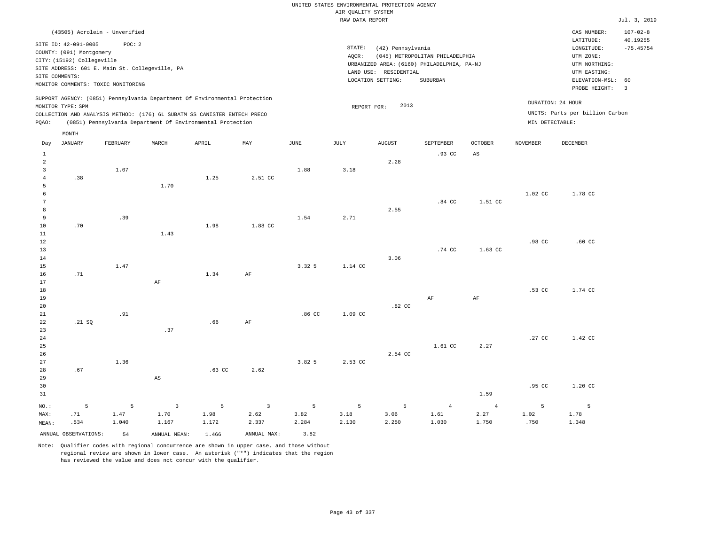| (43505) Acrolein - Unverified                                                                                                                                                                                                                      |                                                                                                                                                                                 | CAS NUMBER:                                                                                                 | $107 - 02 - 8$          |
|----------------------------------------------------------------------------------------------------------------------------------------------------------------------------------------------------------------------------------------------------|---------------------------------------------------------------------------------------------------------------------------------------------------------------------------------|-------------------------------------------------------------------------------------------------------------|-------------------------|
| SITE ID: 42-091-0005<br>POC:2<br>COUNTY: (091) Montgomery<br>CITY: (15192) Collegeville<br>SITE ADDRESS: 601 E. Main St. Collegeville, PA<br>SITE COMMENTS:<br>MONITOR COMMENTS: TOXIC MONITORING                                                  | STATE:<br>(42) Pennsylvania<br>(045) METROPOLITAN PHILADELPHIA<br>AOCR:<br>URBANIZED AREA: (6160) PHILADELPHIA, PA-NJ<br>LAND USE: RESIDENTIAL<br>LOCATION SETTING:<br>SUBURBAN | LATITUDE:<br>LONGITUDE:<br>UTM ZONE:<br>UTM NORTHING:<br>UTM EASTING:<br>ELEVATION-MSL: 60<br>PROBE HEIGHT: | 40.19255<br>$-75.45754$ |
| SUPPORT AGENCY: (0851) Pennsylvania Department Of Environmental Protection<br>MONITOR TYPE: SPM<br>COLLECTION AND ANALYSIS METHOD: (176) 6L SUBATM SS CANISTER ENTECH PRECO<br>POAO:<br>(0851) Pennsylvania Department Of Environmental Protection | DURATION: 24 HOUR<br>2013<br>REPORT FOR:<br>MIN DETECTABLE:                                                                                                                     | UNITS: Parts per billion Carbon                                                                             |                         |

|                 | MONTH                |          |                         |             |                |                  |                 |               |                |                |                 |             |
|-----------------|----------------------|----------|-------------------------|-------------|----------------|------------------|-----------------|---------------|----------------|----------------|-----------------|-------------|
| Day             | <b>JANUARY</b>       | FEBRUARY | MARCH                   | APRIL       | MAY            | $_{\rm JUNE}$    | $\mathtt{JULY}$ | <b>AUGUST</b> | SEPTEMBER      | OCTOBER        | <b>NOVEMBER</b> | DECEMBER    |
| $\mathbf{1}$    |                      |          |                         |             |                |                  |                 |               | .93 CC         | $_{\rm AS}$    |                 |             |
| $\overline{a}$  |                      |          |                         |             |                |                  |                 | 2.28          |                |                |                 |             |
| 3               |                      | 1.07     |                         |             |                | 1.88             | 3.18            |               |                |                |                 |             |
| $\overline{4}$  | .38                  |          |                         | 1.25        | 2.51 CC        |                  |                 |               |                |                |                 |             |
| 5               |                      |          | 1.70                    |             |                |                  |                 |               |                |                |                 |             |
| 6               |                      |          |                         |             |                |                  |                 |               |                |                | 1.02 CC         | 1.78 CC     |
| $7\phantom{.0}$ |                      |          |                         |             |                |                  |                 |               | .84 CC         | 1.51 CC        |                 |             |
| 8               |                      |          |                         |             |                |                  |                 | 2.55          |                |                |                 |             |
| 9               |                      | .39      |                         |             |                | 1.54             | 2.71            |               |                |                |                 |             |
| 10              | .70                  |          |                         | 1.98        | 1.88 CC        |                  |                 |               |                |                |                 |             |
| 11              |                      |          | 1.43                    |             |                |                  |                 |               |                |                |                 |             |
| 12              |                      |          |                         |             |                |                  |                 |               |                |                | .98 CC          | $.60$ CC    |
| 13              |                      |          |                         |             |                |                  |                 |               | .74 CC         | 1.63 CC        |                 |             |
| 14              |                      |          |                         |             |                |                  |                 | 3.06          |                |                |                 |             |
| 15              |                      | 1.47     |                         |             |                | 3.32 5           | 1.14 CC         |               |                |                |                 |             |
| 16              | .71                  |          |                         | 1.34        | AF             |                  |                 |               |                |                |                 |             |
| 17              |                      |          | AF                      |             |                |                  |                 |               |                |                |                 |             |
| 18              |                      |          |                         |             |                |                  |                 |               |                |                | .53 CC          | 1.74 CC     |
| 19              |                      |          |                         |             |                |                  |                 |               | $\rm{AF}$      | $\rm{AF}$      |                 |             |
| 20              |                      |          |                         |             |                |                  |                 | .82 CC        |                |                |                 |             |
| 21              |                      | .91      |                         |             |                | .86 <sub>C</sub> | 1.09 CC         |               |                |                |                 |             |
| 22<br>23        | .21 SQ               |          | .37                     | .66         | AF             |                  |                 |               |                |                |                 |             |
| 24              |                      |          |                         |             |                |                  |                 |               |                |                | .27 CC          | 1.42 CC     |
| 25              |                      |          |                         |             |                |                  |                 |               | 1.61 CC        | 2.27           |                 |             |
| 26              |                      |          |                         |             |                |                  |                 | 2.54 CC       |                |                |                 |             |
| 27              |                      | 1.36     |                         |             |                | 3.82 5           | 2.53 CC         |               |                |                |                 |             |
| 28              | .67                  |          |                         | .63 CC      | 2.62           |                  |                 |               |                |                |                 |             |
| 29              |                      |          | $\mathbb{A}\mathbb{S}$  |             |                |                  |                 |               |                |                |                 |             |
| 30              |                      |          |                         |             |                |                  |                 |               |                |                | .95 CC          | 1.20 CC     |
| 31              |                      |          |                         |             |                |                  |                 |               |                | 1.59           |                 |             |
| $NO.$ :         | 5                    | 5        | $\overline{\mathbf{3}}$ | $\mathsf S$ | $\overline{3}$ | 5                | 5               | 5             | $\overline{4}$ | $\overline{4}$ | $5^{\circ}$     | $5^{\circ}$ |
| MAX:            | .71                  | 1.47     | 1.70                    | 1.98        | 2.62           | 3.82             | 3.18            | 3.06          | 1.61           | 2.27           | 1.02            | 1.78        |
| MEAN:           | .534                 | 1.040    | 1.167                   | 1.172       | 2.337          | 2.284            | 2.130           | 2.250         | 1.030          | 1.750          | .750            | 1.348       |
|                 | ANNUAL OBSERVATIONS: | 54       | ANNUAL MEAN:            | 1.466       | ANNUAL MAX:    | 3.82             |                 |               |                |                |                 |             |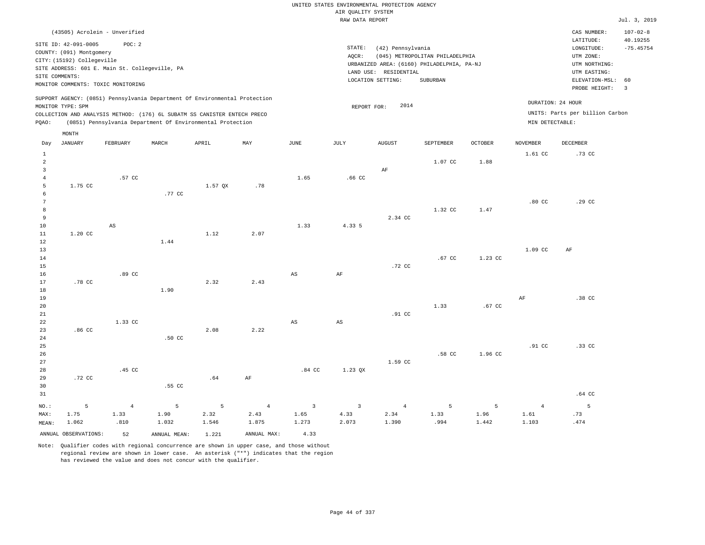| (43505) Acrolein - Unverified                                                                                                             |                                                                  | $107 - 02 - 8$<br>CAS NUMBER:                      |
|-------------------------------------------------------------------------------------------------------------------------------------------|------------------------------------------------------------------|----------------------------------------------------|
| SITE ID: 42-091-0005<br>POC: 2                                                                                                            | STATE:<br>(42) Pennsylvania                                      | 40.19255<br>LATITUDE:<br>$-75.45754$<br>LONGITUDE: |
| COUNTY: (091) Montgomery                                                                                                                  | (045) METROPOLITAN PHILADELPHIA<br>AOCR:                         | UTM ZONE:                                          |
| CITY: (15192) Collegeville<br>SITE ADDRESS: 601 E. Main St. Collegeville, PA                                                              | URBANIZED AREA: (6160) PHILADELPHIA, PA-NJ                       | UTM NORTHING:                                      |
| SITE COMMENTS:                                                                                                                            | LAND USE: RESIDENTIAL<br>LOCATION SETTING:<br>SUBURBAN           | UTM EASTING:<br>ELEVATION-MSL: 60                  |
| MONITOR COMMENTS: TOXIC MONITORING                                                                                                        |                                                                  | PROBE HEIGHT:<br>$\overline{\mathbf{3}}$           |
| SUPPORT AGENCY: (0851) Pennsylvania Department Of Environmental Protection                                                                | DURATION: 24 HOUR<br>2014                                        |                                                    |
| MONITOR TYPE: SPM<br>COLLECTION AND ANALYSIS METHOD: (176) 6L SUBATM SS CANISTER ENTECH PRECO                                             | REPORT FOR:                                                      | UNITS: Parts per billion Carbon                    |
| (0851) Pennsylvania Department Of Environmental Protection<br>POAO:                                                                       | MIN DETECTABLE:                                                  |                                                    |
| MONTH                                                                                                                                     |                                                                  |                                                    |
| $-$ -----<br>$- - - - - - -$<br><b>Property Controllering Controllering</b><br>-----------<br>$\mathbf{r}$<br>$\sim$ mm $\sim$ $\sim$<br> | $+ + + + + + + + +$<br>27.55.55<br>$\alpha$ monn<br>170777157777 |                                                    |

| Day                     | JANUARY              | FEBRUARY               | MARCH         | APRIL   | MAY            | JUNE                    | JULY                    | AUGUST         | SEPTEMBER    | OCTOBER       | NOVEMBER         | DECEMBER    |
|-------------------------|----------------------|------------------------|---------------|---------|----------------|-------------------------|-------------------------|----------------|--------------|---------------|------------------|-------------|
| $\mathbf{1}$            |                      |                        |               |         |                |                         |                         |                |              |               | 1.61 CC          | .73 CC      |
| $\overline{a}$          |                      |                        |               |         |                |                         |                         |                | 1.07 CC      | 1.88          |                  |             |
| $\overline{\mathbf{3}}$ |                      |                        |               |         |                |                         |                         | $\rm AF$       |              |               |                  |             |
| $\bf{4}$                |                      | .57 CC                 |               |         |                | 1.65                    | $.66$ CC                |                |              |               |                  |             |
| 5                       | 1.75 CC              |                        |               | 1.57 QX | .78            |                         |                         |                |              |               |                  |             |
| 6                       |                      |                        | .77 CC        |         |                |                         |                         |                |              |               |                  |             |
| $7\phantom{.0}$         |                      |                        |               |         |                |                         |                         |                |              |               | .80 <sub>C</sub> | .29 CC      |
| $^{\rm 8}$              |                      |                        |               |         |                |                         |                         |                | 1.32 CC      | 1.47          |                  |             |
| 9                       |                      |                        |               |         |                |                         |                         | 2.34 CC        |              |               |                  |             |
| 10                      |                      | $\mathbb{A}\mathbb{S}$ |               |         |                | 1.33                    | 4.33 5                  |                |              |               |                  |             |
| 11                      | $1.20$ CC            |                        |               | 1.12    | 2.07           |                         |                         |                |              |               |                  |             |
| 12                      |                      |                        | 1.44          |         |                |                         |                         |                |              |               |                  |             |
| 13                      |                      |                        |               |         |                |                         |                         |                |              |               | 1.09 CC          | AF          |
| 14                      |                      |                        |               |         |                |                         |                         |                | .67 CC       | 1.23 CC       |                  |             |
| 15                      |                      |                        |               |         |                |                         |                         | .72 CC         |              |               |                  |             |
| 16                      |                      | .89 CC                 |               |         |                | $_{\rm AS}$             | $\rm{AF}$               |                |              |               |                  |             |
| 17                      | .78 CC               |                        |               | 2.32    | 2.43           |                         |                         |                |              |               |                  |             |
| 18                      |                      |                        | 1.90          |         |                |                         |                         |                |              |               |                  |             |
| 19                      |                      |                        |               |         |                |                         |                         |                | 1.33         |               | $\rm{AF}$        | .38 CC      |
| 20                      |                      |                        |               |         |                |                         |                         |                |              | .67 CC        |                  |             |
| 21<br>22                |                      | 1.33 CC                |               |         |                |                         |                         | .91 CC         |              |               |                  |             |
| 23                      | .86 CC               |                        |               | 2.08    | 2.22           | $\mathbb{A}\mathbb{S}$  | $\mathbb{A}\mathbb{S}$  |                |              |               |                  |             |
| 24                      |                      |                        | $.50$ CC      |         |                |                         |                         |                |              |               |                  |             |
| 25                      |                      |                        |               |         |                |                         |                         |                |              |               | .91 CC           | .33 CC      |
| 26                      |                      |                        |               |         |                |                         |                         |                | .58 CC       | 1.96 CC       |                  |             |
| 27                      |                      |                        |               |         |                |                         |                         | 1.59 CC        |              |               |                  |             |
| 28                      |                      | .45 CC                 |               |         |                | $.84$ CC                | 1.23 QX                 |                |              |               |                  |             |
| 29                      | .72 CC               |                        |               | .64     | $\rm AF$       |                         |                         |                |              |               |                  |             |
| 30                      |                      |                        | .55 CC        |         |                |                         |                         |                |              |               |                  |             |
| 31                      |                      |                        |               |         |                |                         |                         |                |              |               |                  | .64 CC      |
|                         |                      |                        |               |         |                |                         |                         |                |              |               |                  |             |
| $_{\rm NO.}$ :          | 5<br>1.75            | $\overline{4}$         | 5             | 5       | $\overline{4}$ | $\overline{\mathbf{3}}$ | $\overline{\mathbf{3}}$ | $\overline{4}$ | 5            | 5             | $\overline{4}$   | $5^{\circ}$ |
| MAX:                    | 1.062                | 1.33<br>.810           | 1.90<br>1.032 | 2.32    | 2.43<br>1.875  | 1.65<br>1.273           | 4.33<br>2.073           | 2.34<br>1.390  | 1.33<br>.994 | 1.96<br>1.442 | 1.61<br>1.103    | .73<br>.474 |
| MEAN:                   |                      |                        |               | 1.546   |                |                         |                         |                |              |               |                  |             |
|                         | ANNUAL OBSERVATIONS: | 52                     | ANNUAL MEAN:  | 1.221   | ANNUAL MAX:    | 4.33                    |                         |                |              |               |                  |             |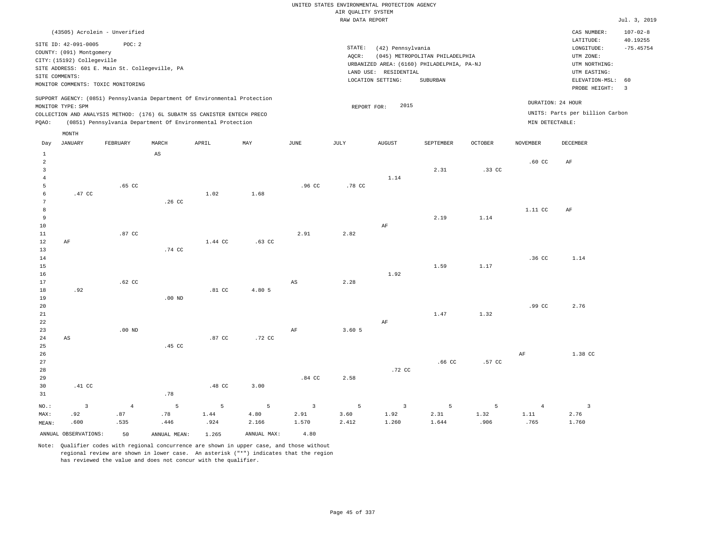| (43505) Acrolein - Unverified                                                                                                                                                                                                                      |                                                                                                                                                                                    | CAS NUMBER:                                                                                | $107 - 02 - 8$          |
|----------------------------------------------------------------------------------------------------------------------------------------------------------------------------------------------------------------------------------------------------|------------------------------------------------------------------------------------------------------------------------------------------------------------------------------------|--------------------------------------------------------------------------------------------|-------------------------|
| SITE ID: 42-091-0005<br>POC:2<br>COUNTY: (091) Montgomery<br>CITY: (15192) Collegeville<br>SITE ADDRESS: 601 E. Main St. Collegeville, PA<br>SITE COMMENTS:<br>MONITOR COMMENTS: TOXIC MONITORING                                                  | STATE:<br>(42) Pennsylvania<br>(045) METROPOLITAN PHILADELPHIA<br>AOCR:<br>URBANIZED AREA: (6160) PHILADELPHIA, PA-NJ<br>RESIDENTIAL<br>LAND USE:<br>LOCATION SETTING:<br>SUBURBAN | LATITUDE:<br>LONGITUDE:<br>UTM ZONE:<br>UTM NORTHING:<br>UTM EASTING:<br>ELEVATION-MSL: 60 | 40.19255<br>$-75.45754$ |
| SUPPORT AGENCY: (0851) Pennsylvania Department Of Environmental Protection<br>MONITOR TYPE: SPM<br>COLLECTION AND ANALYSIS METHOD: (176) 6L SUBATM SS CANISTER ENTECH PRECO<br>(0851) Pennsylvania Department Of Environmental Protection<br>POAO: | 2015<br>REPORT FOR:                                                                                                                                                                | PROBE HEIGHT:<br>DURATION: 24 HOUR<br>UNITS: Parts per billion Carbon<br>MIN DETECTABLE:   |                         |

|                | $\texttt{MONTH}$       |            |                        |                  |             |                |                 |                         |                   |         |                 |                |
|----------------|------------------------|------------|------------------------|------------------|-------------|----------------|-----------------|-------------------------|-------------------|---------|-----------------|----------------|
| Day            | <b>JANUARY</b>         | FEBRUARY   | MARCH                  | APRIL            | MAY         | $_{\rm JUNE}$  | JULY            | <b>AUGUST</b>           | SEPTEMBER         | OCTOBER | <b>NOVEMBER</b> | DECEMBER       |
| $\mathbf{1}$   |                        |            | $\mathbb{A}\mathbb{S}$ |                  |             |                |                 |                         |                   |         |                 |                |
| $\overline{a}$ |                        |            |                        |                  |             |                |                 |                         |                   |         | $.60$ CC        | AF             |
| 3              |                        |            |                        |                  |             |                |                 |                         | 2.31              | .33 CC  |                 |                |
| $\overline{4}$ |                        |            |                        |                  |             |                |                 | 1.14                    |                   |         |                 |                |
| 5              |                        | $.65$ CC   |                        |                  |             | .96 CC         | .78 CC          |                         |                   |         |                 |                |
| 6              | .47 CC                 |            |                        | 1.02             | 1.68        |                |                 |                         |                   |         |                 |                |
| 7              |                        |            | .26 <sub>c</sub>       |                  |             |                |                 |                         |                   |         |                 |                |
| 8              |                        |            |                        |                  |             |                |                 |                         |                   |         | 1.11 CC         | AF             |
| 9              |                        |            |                        |                  |             |                |                 |                         | 2.19              | 1.14    |                 |                |
| 10             |                        |            |                        |                  |             |                |                 | $\rm AF$                |                   |         |                 |                |
| 11             |                        | .87 CC     |                        |                  |             | 2.91           | 2.82            |                         |                   |         |                 |                |
| 12             | $\rm AF$               |            |                        | 1.44 CC          | $.63$ CC    |                |                 |                         |                   |         |                 |                |
| 13             |                        |            | .74 CC                 |                  |             |                |                 |                         |                   |         |                 |                |
| 14             |                        |            |                        |                  |             |                |                 |                         | 1.59              | 1.17    | .36 CC          | 1.14           |
| 15<br>16       |                        |            |                        |                  |             |                |                 | 1.92                    |                   |         |                 |                |
| 17             |                        | .62 CC     |                        |                  |             | $_{\rm AS}$    | 2.28            |                         |                   |         |                 |                |
| 18             | .92                    |            |                        | .81 <sub>c</sub> | 4.80 5      |                |                 |                         |                   |         |                 |                |
| 19             |                        |            | $.00$ ND               |                  |             |                |                 |                         |                   |         |                 |                |
| 20             |                        |            |                        |                  |             |                |                 |                         |                   |         | .99 CC          | 2.76           |
| 21             |                        |            |                        |                  |             |                |                 |                         | 1.47              | 1.32    |                 |                |
| 22             |                        |            |                        |                  |             |                |                 | AF                      |                   |         |                 |                |
| 23             |                        | $.00$ ND   |                        |                  |             | $\rm AF$       | 3.605           |                         |                   |         |                 |                |
| 24             | $\mathbb{A}\mathbb{S}$ |            |                        | .87 CC           | .72 CC      |                |                 |                         |                   |         |                 |                |
| 25             |                        |            | .45 CC                 |                  |             |                |                 |                         |                   |         |                 |                |
| 26             |                        |            |                        |                  |             |                |                 |                         |                   |         | AF              | 1.38 CC        |
| 27             |                        |            |                        |                  |             |                |                 |                         | .66 <sub>cc</sub> | .57 CC  |                 |                |
| 28             |                        |            |                        |                  |             |                |                 | .72 CC                  |                   |         |                 |                |
| 29             |                        |            |                        |                  |             | $.84$ CC       | 2.58            |                         |                   |         |                 |                |
| 30             | .41 CC                 |            |                        | .48 CC           | 3.00        |                |                 |                         |                   |         |                 |                |
| 31             |                        |            | .78                    |                  |             |                |                 |                         |                   |         |                 |                |
| $NO.$ :        | $\overline{3}$         | $\sqrt{4}$ | 5                      | 5                | 5           | $\overline{3}$ | $5\overline{5}$ | $\overline{\mathbf{3}}$ | 5                 | 5       | $\overline{4}$  | $\overline{3}$ |
| MAX:           | .92                    | .87        | .78                    | 1.44             | 4.80        | 2.91           | 3.60            | 1.92                    | 2.31              | 1.32    | 1.11            | 2.76           |
| MEAN:          | .600                   | .535       | .446                   | .924             | 2.166       | 1.570          | 2.412           | 1.260                   | 1.644             | .906    | .765            | 1.760          |
|                | ANNUAL OBSERVATIONS:   | 50         | ANNUAL MEAN:           | 1.265            | ANNUAL MAX: | 4.80           |                 |                         |                   |         |                 |                |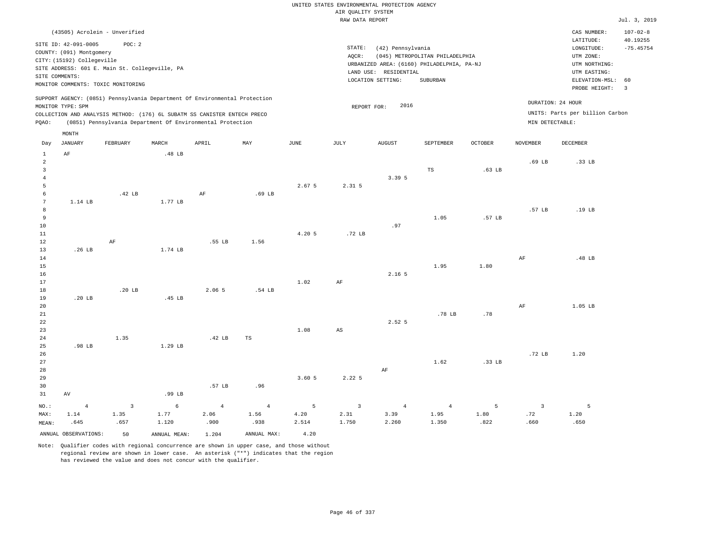| (43505) Acrolein - Unverified                                                                                                                                                                      |                                                                                                                                                                                 | $107 - 02 - 8$<br>CAS NUMBER:                                                                                                          |
|----------------------------------------------------------------------------------------------------------------------------------------------------------------------------------------------------|---------------------------------------------------------------------------------------------------------------------------------------------------------------------------------|----------------------------------------------------------------------------------------------------------------------------------------|
| SITE ID: 42-091-0005<br>POC: 2<br>COUNTY: (091) Montgomery<br>CITY: (15192) Collegeville<br>SITE ADDRESS: 601 E. Main St. Collegeville, PA<br>SITE COMMENTS:<br>MONITOR COMMENTS: TOXIC MONITORING | STATE:<br>(42) Pennsylvania<br>(045) METROPOLITAN PHILADELPHIA<br>AOCR:<br>URBANIZED AREA: (6160) PHILADELPHIA, PA-NJ<br>LAND USE: RESIDENTIAL<br>LOCATION SETTING:<br>SUBURBAN | 40.19255<br>LATITUDE:<br>$-75.45754$<br>LONGITUDE:<br>UTM ZONE:<br>UTM NORTHING:<br>UTM EASTING:<br>ELEVATION-MSL: 60<br>PROBE HEIGHT: |
| SUPPORT AGENCY: (0851) Pennsylvania Department Of Environmental Protection<br>MONITOR TYPE: SPM                                                                                                    | 2016<br>REPORT FOR:                                                                                                                                                             | DURATION: 24 HOUR                                                                                                                      |
| COLLECTION AND ANALYSIS METHOD: (176) 6L SUBATM SS CANISTER ENTECH PRECO                                                                                                                           |                                                                                                                                                                                 | UNITS: Parts per billion Carbon                                                                                                        |
| (0851) Pennsylvania Department Of Environmental Protection<br>POAO:                                                                                                                                |                                                                                                                                                                                 | MIN DETECTABLE:                                                                                                                        |

|                 | MONTH                |                   |                   |                |                |        |                        |                   |                |                   |                         |          |
|-----------------|----------------------|-------------------|-------------------|----------------|----------------|--------|------------------------|-------------------|----------------|-------------------|-------------------------|----------|
| Day             | JANUARY              | FEBRUARY          | MARCH             | APRIL          | MAY            | JUNE   | JULY                   | <b>AUGUST</b>     | SEPTEMBER      | <b>OCTOBER</b>    | NOVEMBER                | DECEMBER |
| $\mathbf{1}$    | $\rm{AF}$            |                   | .48 <sub>LB</sub> |                |                |        |                        |                   |                |                   |                         |          |
| $\overline{a}$  |                      |                   |                   |                |                |        |                        |                   |                |                   | .69 LB                  | .33 LB   |
| $\overline{3}$  |                      |                   |                   |                |                |        |                        |                   | TS             | .63 <sub>LB</sub> |                         |          |
| $\overline{4}$  |                      |                   |                   |                |                |        |                        | 3.39 5            |                |                   |                         |          |
| 5               |                      |                   |                   |                |                | 2.67 5 | $2.31$ 5               |                   |                |                   |                         |          |
| 6               |                      | .42 <sub>LB</sub> |                   | AF             | $.69$ LB       |        |                        |                   |                |                   |                         |          |
| $7\phantom{.0}$ | 1.14 LB              |                   | 1.77 LB           |                |                |        |                        |                   |                |                   |                         |          |
| 8               |                      |                   |                   |                |                |        |                        |                   |                |                   | .57 LB                  | .19 LB   |
| 9               |                      |                   |                   |                |                |        |                        |                   | 1.05           | .57 LB            |                         |          |
| 10              |                      |                   |                   |                |                |        |                        | .97               |                |                   |                         |          |
| $11\,$          |                      |                   |                   |                |                | 4.20 5 | .72 <sub>LB</sub>      |                   |                |                   |                         |          |
| 12              |                      | $\rm{AF}$         |                   | .55 LB         | 1.56           |        |                        |                   |                |                   |                         |          |
| 13              | .26 <sub>LB</sub>    |                   | 1.74 LB           |                |                |        |                        |                   |                |                   |                         |          |
| $14\,$          |                      |                   |                   |                |                |        |                        |                   |                |                   | $\rm AF$                | .48 LB   |
| 15              |                      |                   |                   |                |                |        |                        |                   | 1.95           | 1.80              |                         |          |
| $16\,$          |                      |                   |                   |                |                |        |                        | 2.16 <sub>5</sub> |                |                   |                         |          |
| 17              |                      |                   |                   |                |                | 1.02   | AF                     |                   |                |                   |                         |          |
| 18              |                      | .20 <sub>LB</sub> |                   | 2.06 5         | .54 LB         |        |                        |                   |                |                   |                         |          |
| 19              | .20 <sub>LB</sub>    |                   | .45 LB            |                |                |        |                        |                   |                |                   |                         |          |
| 20              |                      |                   |                   |                |                |        |                        |                   |                |                   | AF                      | 1.05 LB  |
| 21              |                      |                   |                   |                |                |        |                        |                   | .78 LB         | .78               |                         |          |
| 22              |                      |                   |                   |                |                |        |                        | 2.52 <sub>5</sub> |                |                   |                         |          |
| 23              |                      |                   |                   |                |                | 1.08   | $\mathbb{A}\mathbb{S}$ |                   |                |                   |                         |          |
| 24              |                      | 1.35              |                   | .42 LB         | $_{\rm TS}$    |        |                        |                   |                |                   |                         |          |
| 25              | .98 LB               |                   | 1.29 LB           |                |                |        |                        |                   |                |                   |                         |          |
| 26              |                      |                   |                   |                |                |        |                        |                   |                |                   | .72 LB                  | 1.20     |
| 27              |                      |                   |                   |                |                |        |                        |                   | 1.62           | .33 LB            |                         |          |
| 28              |                      |                   |                   |                |                |        |                        | AF                |                |                   |                         |          |
| 29              |                      |                   |                   |                |                | 3.605  | 2.225                  |                   |                |                   |                         |          |
| 30              |                      |                   |                   | .57 LB         | .96            |        |                        |                   |                |                   |                         |          |
| 31              | $\,\mathrm{AV}$      |                   | .99 LB            |                |                |        |                        |                   |                |                   |                         |          |
| NO.:            | $\overline{4}$       | $\overline{3}$    | $\epsilon$        | $\overline{4}$ | $\overline{4}$ | 5      | $\overline{3}$         | $\overline{4}$    | $\overline{4}$ | 5                 | $\overline{\mathbf{3}}$ | 5        |
| MAX:            | 1.14                 | 1.35              | 1.77              | 2.06           | 1.56           | 4.20   | 2.31                   | 3.39              | 1.95           | 1.80              | .72                     | 1.20     |
| MEAN:           | .645                 | .657              | 1.120             | .900           | .938           | 2.514  | 1.750                  | 2.260             | 1.350          | .822              | .660                    | .650     |
|                 | ANNUAL OBSERVATIONS: | 50                | ANNUAL MEAN:      | 1.204          | ANNUAL MAX:    | 4.20   |                        |                   |                |                   |                         |          |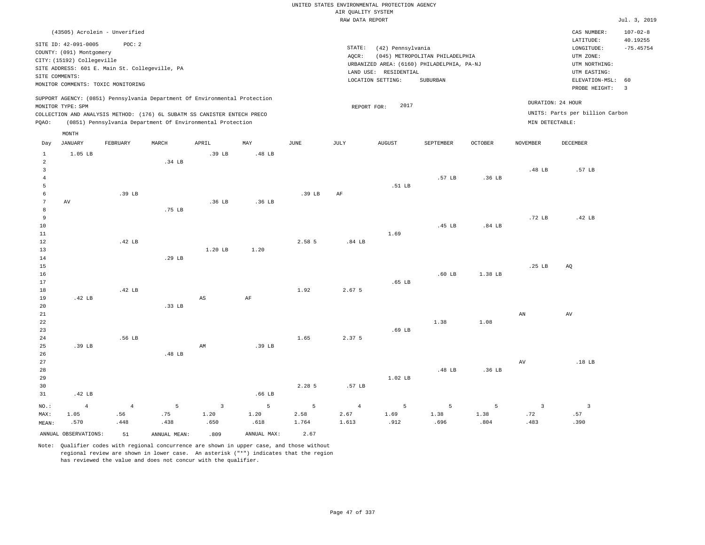|         |                                                                                                  |                                                                                               |        |                                                                                                                                        |                   |        |                 | UNITED STATES ENVIRONMENTAL PROTECTION AGENCY                                                                 |                                             |                   |                 |                                                                                                             |                               |
|---------|--------------------------------------------------------------------------------------------------|-----------------------------------------------------------------------------------------------|--------|----------------------------------------------------------------------------------------------------------------------------------------|-------------------|--------|-----------------|---------------------------------------------------------------------------------------------------------------|---------------------------------------------|-------------------|-----------------|-------------------------------------------------------------------------------------------------------------|-------------------------------|
|         |                                                                                                  |                                                                                               |        |                                                                                                                                        |                   |        |                 | AIR OUALITY SYSTEM                                                                                            |                                             |                   |                 |                                                                                                             |                               |
|         |                                                                                                  |                                                                                               |        |                                                                                                                                        |                   |        |                 | RAW DATA REPORT                                                                                               |                                             |                   |                 |                                                                                                             | Jul. 3, 201                   |
|         |                                                                                                  | (43505) Acrolein - Unverified                                                                 |        |                                                                                                                                        |                   |        |                 |                                                                                                               |                                             |                   |                 | CAS NUMBER:                                                                                                 | $107 - 02 - 8$                |
|         | SITE ID: 42-091-0005<br>COUNTY: (091) Montgomery<br>CITY: (15192) Collegeville<br>SITE COMMENTS: | POC:2<br>SITE ADDRESS: 601 E. Main St. Collegeville, PA<br>MONITOR COMMENTS: TOXIC MONITORING |        | SUPPORT AGENCY: (0851) Pennsylvania Department Of Environmental Protection                                                             |                   |        | STATE:<br>AOCR: | (42) Pennsylvania<br>URBANIZED AREA: (6160) PHILADELPHIA, PA-NJ<br>LAND USE: RESIDENTIAL<br>LOCATION SETTING: | (045) METROPOLITAN PHILADELPHIA<br>SUBURBAN |                   |                 | LATITUDE:<br>LONGITUDE:<br>UTM ZONE:<br>UTM NORTHING:<br>UTM EASTING:<br>ELEVATION-MSL: 60<br>PROBE HEIGHT: | 40.19255<br>$-75.45754$<br>-3 |
|         | MONITOR TYPE: SPM                                                                                |                                                                                               |        |                                                                                                                                        |                   |        |                 | 2017<br>REPORT FOR:                                                                                           |                                             |                   |                 | DURATION: 24 HOUR                                                                                           |                               |
| POAO:   |                                                                                                  |                                                                                               |        | COLLECTION AND ANALYSIS METHOD: (176) 6L SUBATM SS CANISTER ENTECH PRECO<br>(0851) Pennsylvania Department Of Environmental Protection |                   |        |                 |                                                                                                               |                                             |                   | MIN DETECTABLE: | UNITS: Parts per billion Carbon                                                                             |                               |
| Day     | MONTH<br>JANUARY                                                                                 | FEBRUARY                                                                                      | MARCH  | APRIL                                                                                                                                  | MAY               | JUNE   | JULY            | AUGUST                                                                                                        | <b>SEPTEMBER</b>                            | OCTOBER           | <b>NOVEMBER</b> | DECEMBER                                                                                                    |                               |
| 1<br>-2 | 1.05 LB                                                                                          |                                                                                               | .34 LB | .39 LB                                                                                                                                 | .48 LB            |        |                 |                                                                                                               |                                             |                   | .48 LB          | .57 LB                                                                                                      |                               |
|         |                                                                                                  |                                                                                               |        |                                                                                                                                        |                   |        |                 | .51 LB                                                                                                        | .57 LB                                      | .36 <sub>LB</sub> |                 |                                                                                                             |                               |
|         | AV                                                                                               | .39 LB                                                                                        |        | .36 <sub>LB</sub>                                                                                                                      | .36 <sub>LB</sub> | .39 LB | AF              |                                                                                                               |                                             |                   |                 |                                                                                                             |                               |

Jul. 3, 2019

| 8           |                   |                   | .75 <sub>LB</sub> |                        |          |        |                   |                   |                   |                    |                   |                  |
|-------------|-------------------|-------------------|-------------------|------------------------|----------|--------|-------------------|-------------------|-------------------|--------------------|-------------------|------------------|
|             |                   |                   |                   |                        |          |        |                   |                   |                   |                    |                   |                  |
| 9           |                   |                   |                   |                        |          |        |                   |                   |                   |                    | .72 <sub>LB</sub> | .42 LB           |
| $10\,$      |                   |                   |                   |                        |          |        |                   |                   | .45 LB            | .84 <sub>LB</sub>  |                   |                  |
| $11\,$      |                   |                   |                   |                        |          |        |                   | 1.69              |                   |                    |                   |                  |
| $1\,2$      |                   | .42 $LB$          |                   |                        |          | 2.58 5 | .84 <sub>LB</sub> |                   |                   |                    |                   |                  |
| $13$        |                   |                   |                   | $1.20$ LB              | 1.20     |        |                   |                   |                   |                    |                   |                  |
| $14\,$      |                   |                   | .29 <sub>LB</sub> |                        |          |        |                   |                   |                   |                    |                   |                  |
| $15\,$      |                   |                   |                   |                        |          |        |                   |                   |                   |                    | .25 <sub>LB</sub> | AQ               |
| $16\,$      |                   |                   |                   |                        |          |        |                   |                   | .60 <sub>LB</sub> | 1.38 LB            |                   |                  |
| $17\,$      |                   |                   |                   |                        |          |        |                   | .65 <sub>LB</sub> |                   |                    |                   |                  |
| $18\,$      |                   | .42 <sub>LB</sub> |                   |                        |          | 1.92   | 2.67 5            |                   |                   |                    |                   |                  |
| 19          | .42 <sub>LB</sub> |                   |                   | $\mathbb{A}\mathbb{S}$ | $\rm AF$ |        |                   |                   |                   |                    |                   |                  |
| $20\,$      |                   |                   | .33 <sub>LB</sub> |                        |          |        |                   |                   |                   |                    |                   |                  |
| $2\sqrt{1}$ |                   |                   |                   |                        |          |        |                   |                   |                   |                    | AN                | AV               |
| $^{\rm 22}$ |                   |                   |                   |                        |          |        |                   |                   | 1.38              | 1.08               |                   |                  |
| 23          |                   |                   |                   |                        |          |        |                   | $.69$ LB          |                   |                    |                   |                  |
| $2\,4$      |                   | .56 LB            |                   |                        |          | 1.65   | 2.37 5            |                   |                   |                    |                   |                  |
|             |                   |                   |                   |                        |          |        |                   |                   |                   |                    |                   |                  |
| 25          | .39 LB            |                   |                   | AM                     | .39 LB   |        |                   |                   |                   |                    |                   |                  |
| $26\,$      |                   |                   | .48 <sub>LB</sub> |                        |          |        |                   |                   |                   |                    |                   |                  |
| $_{\rm 27}$ |                   |                   |                   |                        |          |        |                   |                   |                   |                    | AV                | .18 <sub>B</sub> |
| 28          |                   |                   |                   |                        |          |        |                   |                   | .48 $LB$          | .36 <sub>L</sub> B |                   |                  |
| 29          |                   |                   |                   |                        |          |        |                   | 1.02 LB           |                   |                    |                   |                  |

| 29    |                      |      |              |      |             |        |                   | $1.02$ LB |      |      |      |      |
|-------|----------------------|------|--------------|------|-------------|--------|-------------------|-----------|------|------|------|------|
| 30    |                      |      |              |      |             | 2.28 5 | .57 <sub>LB</sub> |           |      |      |      |      |
| 31    | .42 LB               |      |              |      | .66 LB      |        |                   |           |      |      |      |      |
| NO.:  |                      |      |              |      |             |        |                   |           |      |      |      |      |
| MAX:  | 1.05                 | .56  | .75          | 1.20 | 1.20        | 2.58   | 2.67              | 1.69      | 1.38 | 1.38 | .72  | .57  |
| MEAN: | .570                 | .448 | .438         | .650 | .618        | 1.764  | 1.613             | .912      | .696 | .804 | .483 | .390 |
|       | ANNUAL OBSERVATIONS: | 51   | ANNUAL MEAN: | .809 | ANNUAL MAX: | 2.67   |                   |           |      |      |      |      |

Note: Qualifier codes with regional concurrence are shown in upper case, and those without regional review are shown in lower case. An asterisk ("\*") indicates that the region

has reviewed the value and does not concur with the qualifier.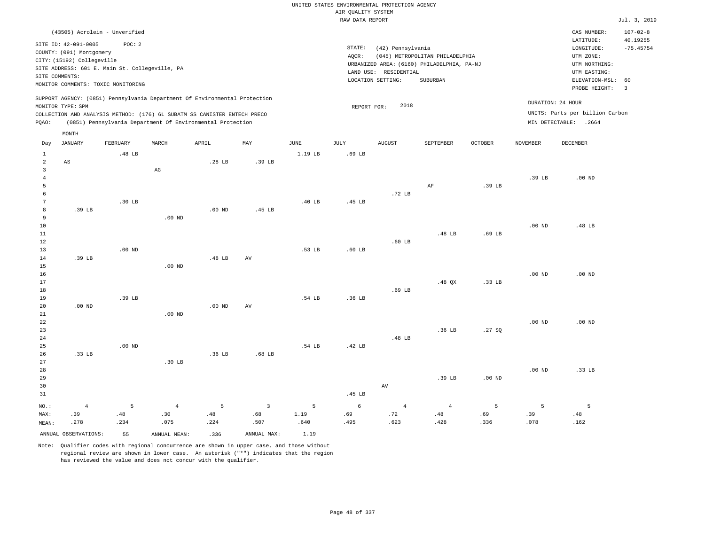|                     |                                                                                |                                                                                      |                |          |                         |                | AIR OUALITY SYSTEM | UNITED STATES ENVIRONMENTAL PROTECTION AGENCY |                                                                               |                   |                   |                                                       |                         |
|---------------------|--------------------------------------------------------------------------------|--------------------------------------------------------------------------------------|----------------|----------|-------------------------|----------------|--------------------|-----------------------------------------------|-------------------------------------------------------------------------------|-------------------|-------------------|-------------------------------------------------------|-------------------------|
|                     |                                                                                |                                                                                      |                |          |                         |                | RAW DATA REPORT    |                                               |                                                                               |                   |                   |                                                       | Jul. 3, 2019            |
|                     |                                                                                | (43505) Acrolein - Unverified                                                        |                |          |                         |                |                    |                                               |                                                                               |                   |                   | CAS NUMBER:                                           | $107 - 02 - 8$          |
|                     | SITE ID: 42-091-0005<br>COUNTY: (091) Montgomery<br>CITY: (15192) Collegeville | POC: 2                                                                               |                |          |                         |                | STATE:<br>AQCR:    | (42) Pennsylvania                             | (045) METROPOLITAN PHILADELPHIA<br>URBANIZED AREA: (6160) PHILADELPHIA, PA-NJ |                   |                   | LATITUDE:<br>LONGITUDE:<br>UTM ZONE:<br>UTM NORTHING: | 40.19255<br>$-75.45754$ |
|                     | SITE COMMENTS:                                                                 | SITE ADDRESS: 601 E. Main St. Collegeville, PA<br>MONITOR COMMENTS: TOXIC MONITORING |                |          |                         |                |                    | LAND USE: RESIDENTIAL<br>LOCATION SETTING:    | SUBURBAN                                                                      |                   |                   | UTM EASTING:<br>ELEVATION-MSL:<br>PROBE HEIGHT:       | 60<br>$\overline{3}$    |
|                     | MONITOR TYPE: SPM                                                              | SUPPORT AGENCY: (0851) Pennsylvania Department Of Environmental Protection           |                |          |                         |                | REPORT FOR:        | 2018                                          |                                                                               |                   | DURATION: 24 HOUR |                                                       |                         |
|                     |                                                                                | COLLECTION AND ANALYSIS METHOD: (176) 6L SUBATM SS CANISTER ENTECH PRECO             |                |          |                         |                |                    |                                               |                                                                               |                   |                   | UNITS: Parts per billion Carbon                       |                         |
| PQAO:               |                                                                                | (0851) Pennsylvania Department Of Environmental Protection                           |                |          |                         |                |                    |                                               |                                                                               |                   |                   | MIN DETECTABLE: .2664                                 |                         |
|                     | MONTH                                                                          |                                                                                      |                |          |                         |                |                    |                                               |                                                                               |                   |                   |                                                       |                         |
| Day                 | <b>JANUARY</b>                                                                 | FEBRUARY                                                                             | MARCH          | APRIL    | MAY                     | JUNE           | JULY               | <b>AUGUST</b>                                 | SEPTEMBER                                                                     | <b>OCTOBER</b>    | <b>NOVEMBER</b>   | DECEMBER                                              |                         |
| $\mathbf{1}$        |                                                                                | .48 LB                                                                               |                |          |                         | 1.19 LB        | .69 LB             |                                               |                                                                               |                   |                   |                                                       |                         |
| $\overline{a}$      | $\mathbb{A}\mathbb{S}$                                                         |                                                                                      |                | .28 LB   | .39 LB                  |                |                    |                                               |                                                                               |                   |                   |                                                       |                         |
| 3<br>$\overline{4}$ |                                                                                |                                                                                      | $_{\rm AG}$    |          |                         |                |                    |                                               |                                                                               |                   | .39 LB            | $.00$ ND                                              |                         |
| 5                   |                                                                                |                                                                                      |                |          |                         |                |                    |                                               | AF                                                                            | .39 LB            |                   |                                                       |                         |
| 6                   |                                                                                |                                                                                      |                |          |                         |                |                    | .72 LB                                        |                                                                               |                   |                   |                                                       |                         |
| 7                   |                                                                                | .30 <sub>LB</sub>                                                                    |                |          |                         | .40 LB         | .45 LB             |                                               |                                                                               |                   |                   |                                                       |                         |
| 8                   | .39 LB                                                                         |                                                                                      |                | $.00$ ND | .45 LB                  |                |                    |                                               |                                                                               |                   |                   |                                                       |                         |
| 9                   |                                                                                |                                                                                      | $.00$ ND       |          |                         |                |                    |                                               |                                                                               |                   |                   |                                                       |                         |
| 10                  |                                                                                |                                                                                      |                |          |                         |                |                    |                                               |                                                                               |                   | .00 <sub>ND</sub> | .48 LB                                                |                         |
| 11                  |                                                                                |                                                                                      |                |          |                         |                |                    |                                               | .48 LB                                                                        | $.69$ LB          |                   |                                                       |                         |
| 12                  |                                                                                |                                                                                      |                |          |                         |                |                    | $.60$ LB                                      |                                                                               |                   |                   |                                                       |                         |
| 13                  |                                                                                | $.00$ ND                                                                             |                |          |                         | .53 LB         | $.60$ LB           |                                               |                                                                               |                   |                   |                                                       |                         |
| 14                  | .39 LB                                                                         |                                                                                      |                | .48 LB   | $\hbox{AV}$             |                |                    |                                               |                                                                               |                   |                   |                                                       |                         |
| 15<br>16            |                                                                                |                                                                                      | $.00$ ND       |          |                         |                |                    |                                               |                                                                               |                   | .00 <sub>ND</sub> | $.00$ ND                                              |                         |
| 17                  |                                                                                |                                                                                      |                |          |                         |                |                    |                                               | $.48$ QX                                                                      | .33 <sub>LB</sub> |                   |                                                       |                         |
| 18                  |                                                                                |                                                                                      |                |          |                         |                |                    | .69 LB                                        |                                                                               |                   |                   |                                                       |                         |
| 19                  |                                                                                | .39 LB                                                                               |                |          |                         | .54 LB         | .36 LB             |                                               |                                                                               |                   |                   |                                                       |                         |
| 20                  | $.00$ ND                                                                       |                                                                                      |                | $.00$ ND | AV                      |                |                    |                                               |                                                                               |                   |                   |                                                       |                         |
| 21                  |                                                                                |                                                                                      | $.00$ ND       |          |                         |                |                    |                                               |                                                                               |                   |                   |                                                       |                         |
| $\bf{22}$           |                                                                                |                                                                                      |                |          |                         |                |                    |                                               |                                                                               |                   | .00 <sub>ND</sub> | $.00$ ND                                              |                         |
| 23                  |                                                                                |                                                                                      |                |          |                         |                |                    |                                               | .36 LB                                                                        | .27S              |                   |                                                       |                         |
| 24                  |                                                                                |                                                                                      |                |          |                         |                |                    | .48 LB                                        |                                                                               |                   |                   |                                                       |                         |
| 25                  |                                                                                | $.00$ ND                                                                             |                |          |                         | .54 LB         | .42 LB             |                                               |                                                                               |                   |                   |                                                       |                         |
| 26                  | .33 LB                                                                         |                                                                                      |                | .36 LB   | .68 <sub>LB</sub>       |                |                    |                                               |                                                                               |                   |                   |                                                       |                         |
| 27<br>28            |                                                                                |                                                                                      | $.30$ LB       |          |                         |                |                    |                                               |                                                                               |                   | .00 <sub>ND</sub> | .33 LB                                                |                         |
| 29                  |                                                                                |                                                                                      |                |          |                         |                |                    |                                               | .39 LB                                                                        | $.00$ ND          |                   |                                                       |                         |
| 30                  |                                                                                |                                                                                      |                |          |                         |                |                    | AV                                            |                                                                               |                   |                   |                                                       |                         |
| 31                  |                                                                                |                                                                                      |                |          |                         |                | .45 LB             |                                               |                                                                               |                   |                   |                                                       |                         |
| NO.:                | $\sqrt{4}$                                                                     | 5                                                                                    | $\overline{4}$ | 5        | $\overline{\mathbf{3}}$ | $\overline{5}$ | $\sqrt{6}$         | $\sqrt{4}$                                    | $\overline{4}$                                                                | 5                 | 5                 | 5                                                     |                         |
| MAX:                | .39                                                                            | .48                                                                                  | .30            | .48      | .68                     | 1.19           | .69                | .72                                           | .48                                                                           | .69               | .39               | .48                                                   |                         |
| MEAN:               | .278                                                                           | .234                                                                                 | .075           | .224     | .507                    | .640           | .495               | .623                                          | .428                                                                          | .336              | .078              | .162                                                  |                         |
|                     | ANNUAL OBSERVATIONS:                                                           | 55                                                                                   | ANNUAL MEAN:   | .336     | ANNUAL MAX:             | 1.19           |                    |                                               |                                                                               |                   |                   |                                                       |                         |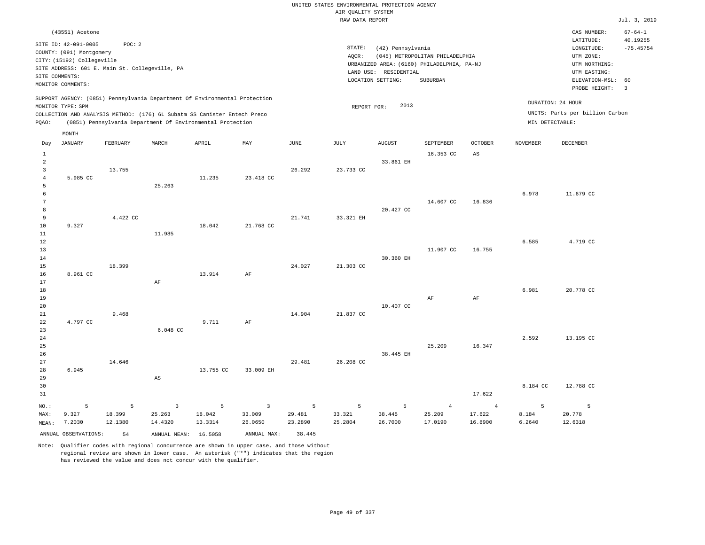|                                                |                                                                                                                                                                                            |                        |                                                                                                                                        |                                     |                                     |                        | UNITED STATES ENVIRONMENTAL PROTECTION AGENCY |                                                                 |                                                                                           |                                     |                      |                                                                                                                         |                                                                  |
|------------------------------------------------|--------------------------------------------------------------------------------------------------------------------------------------------------------------------------------------------|------------------------|----------------------------------------------------------------------------------------------------------------------------------------|-------------------------------------|-------------------------------------|------------------------|-----------------------------------------------|-----------------------------------------------------------------|-------------------------------------------------------------------------------------------|-------------------------------------|----------------------|-------------------------------------------------------------------------------------------------------------------------|------------------------------------------------------------------|
|                                                |                                                                                                                                                                                            |                        |                                                                                                                                        |                                     |                                     |                        | AIR OUALITY SYSTEM                            |                                                                 |                                                                                           |                                     |                      |                                                                                                                         |                                                                  |
|                                                |                                                                                                                                                                                            |                        |                                                                                                                                        |                                     |                                     |                        | RAW DATA REPORT                               |                                                                 |                                                                                           |                                     |                      |                                                                                                                         | Jul. 3, 2019                                                     |
|                                                | (43551) Acetone<br>SITE ID: 42-091-0005<br>COUNTY: (091) Montgomery<br>CITY: (15192) Collegeville<br>SITE ADDRESS: 601 E. Main St. Collegeville, PA<br>SITE COMMENTS:<br>MONITOR COMMENTS: | POC: 2                 |                                                                                                                                        |                                     |                                     |                        | STATE:<br>AOCR:                               | (42) Pennsylvania<br>LAND USE: RESIDENTIAL<br>LOCATION SETTING: | (045) METROPOLITAN PHILADELPHIA<br>URBANIZED AREA: (6160) PHILADELPHIA, PA-NJ<br>SUBURBAN |                                     |                      | CAS NUMBER:<br>LATITUDE:<br>LONGITUDE:<br>UTM ZONE:<br>UTM NORTHING:<br>UTM EASTING:<br>ELEVATION-MSL:<br>PROBE HEIGHT: | $67 - 64 - 1$<br>40.19255<br>$-75.45754$<br>60<br>$\overline{3}$ |
|                                                |                                                                                                                                                                                            |                        | SUPPORT AGENCY: (0851) Pennsylvania Department Of Environmental Protection                                                             |                                     |                                     |                        |                                               |                                                                 |                                                                                           |                                     |                      |                                                                                                                         |                                                                  |
|                                                | MONITOR TYPE: SPM                                                                                                                                                                          |                        |                                                                                                                                        |                                     |                                     |                        | REPORT FOR:                                   | 2013                                                            |                                                                                           |                                     | DURATION: 24 HOUR    |                                                                                                                         |                                                                  |
| PQAO:                                          |                                                                                                                                                                                            |                        | COLLECTION AND ANALYSIS METHOD: (176) 6L Subatm SS Canister Entech Preco<br>(0851) Pennsylvania Department Of Environmental Protection |                                     |                                     |                        |                                               |                                                                 |                                                                                           |                                     | MIN DETECTABLE:      | UNITS: Parts per billion Carbon                                                                                         |                                                                  |
|                                                | MONTH                                                                                                                                                                                      |                        |                                                                                                                                        |                                     |                                     |                        |                                               |                                                                 |                                                                                           |                                     |                      |                                                                                                                         |                                                                  |
| Day                                            | JANUARY                                                                                                                                                                                    | FEBRUARY               | MARCH                                                                                                                                  | APRIL                               | MAY                                 | JUNE                   | JULY                                          | <b>AUGUST</b>                                                   | SEPTEMBER                                                                                 | <b>OCTOBER</b>                      | <b>NOVEMBER</b>      | <b>DECEMBER</b>                                                                                                         |                                                                  |
| $\mathbf{1}$<br>$\overline{a}$<br>$\mathbf{3}$ |                                                                                                                                                                                            | 13.755                 |                                                                                                                                        |                                     |                                     | 26.292                 | 23.733 CC                                     | 33.861 EH                                                       | 16.353 CC                                                                                 | AS                                  |                      |                                                                                                                         |                                                                  |
| $\overline{4}$<br>5                            | 5.985 CC                                                                                                                                                                                   |                        | 25.263                                                                                                                                 | 11.235                              | 23.418 CC                           |                        |                                               |                                                                 |                                                                                           |                                     |                      |                                                                                                                         |                                                                  |
| 6<br>$\overline{7}$<br>8                       |                                                                                                                                                                                            |                        |                                                                                                                                        |                                     |                                     |                        |                                               | 20.427 CC                                                       | 14.607 CC                                                                                 | 16.836                              | 6.978                | 11.679 CC                                                                                                               |                                                                  |
| 9<br>10                                        | 9.327                                                                                                                                                                                      | 4.422 CC               |                                                                                                                                        | 18.042                              | 21.768 CC                           | 21.741                 | 33.321 EH                                     |                                                                 |                                                                                           |                                     |                      |                                                                                                                         |                                                                  |
| $11\,$<br>12<br>13                             |                                                                                                                                                                                            |                        | 11.985                                                                                                                                 |                                     |                                     |                        |                                               |                                                                 | 11.907 CC                                                                                 | 16.755                              | 6.585                | 4.719 CC                                                                                                                |                                                                  |
| 14<br>15<br>16                                 | 8.961 CC                                                                                                                                                                                   | 18.399                 |                                                                                                                                        | 13.914                              | AF                                  | 24.027                 | 21.303 CC                                     | 30.360 EH                                                       |                                                                                           |                                     |                      |                                                                                                                         |                                                                  |
| 17<br>18<br>19                                 |                                                                                                                                                                                            |                        | AF                                                                                                                                     |                                     |                                     |                        |                                               |                                                                 | AF                                                                                        | AF                                  | 6.981                | 20.778 CC                                                                                                               |                                                                  |
| 20<br>21<br>22                                 | 4.797 CC                                                                                                                                                                                   | 9.468                  |                                                                                                                                        | 9.711                               | $\rm{AF}$                           | 14.904                 | 21.837 CC                                     | 10.407 CC                                                       |                                                                                           |                                     |                      |                                                                                                                         |                                                                  |
| 23<br>24<br>25<br>26                           |                                                                                                                                                                                            |                        | 6.048 CC                                                                                                                               |                                     |                                     |                        |                                               | 38.445 EH                                                       | 25.209                                                                                    | 16.347                              | 2.592                | 13.195 CC                                                                                                               |                                                                  |
| 27<br>28<br>29                                 | 6.945                                                                                                                                                                                      | 14.646                 | AS                                                                                                                                     | 13.755 CC                           | 33.009 EH                           | 29.481                 | 26.208 CC                                     |                                                                 |                                                                                           |                                     |                      |                                                                                                                         |                                                                  |
| 30<br>31                                       |                                                                                                                                                                                            |                        |                                                                                                                                        |                                     |                                     |                        |                                               |                                                                 |                                                                                           | 17.622                              | 8.184 CC             | 12.788 CC                                                                                                               |                                                                  |
| NO.:<br>MAX:<br>MEAN:                          | 5<br>9.327<br>7.2030                                                                                                                                                                       | 5<br>18.399<br>12.1380 | $\overline{3}$<br>25.263<br>14.4320                                                                                                    | $\overline{5}$<br>18.042<br>13.3314 | $\overline{3}$<br>33.009<br>26.0650 | 5<br>29.481<br>23.2890 | 5<br>33.321<br>25.2804                        | 5<br>38.445<br>26.7000                                          | $\overline{4}$<br>25.209<br>17.0190                                                       | $\overline{4}$<br>17.622<br>16.8900 | 5<br>8.184<br>6.2640 | $\overline{5}$<br>20.778<br>12.6318                                                                                     |                                                                  |
|                                                | ANNUAL OBSERVATIONS:                                                                                                                                                                       | 54                     | ANNUAL MEAN: 16.5058                                                                                                                   |                                     | ANNUAL MAX:                         | 38.445                 |                                               |                                                                 |                                                                                           |                                     |                      |                                                                                                                         |                                                                  |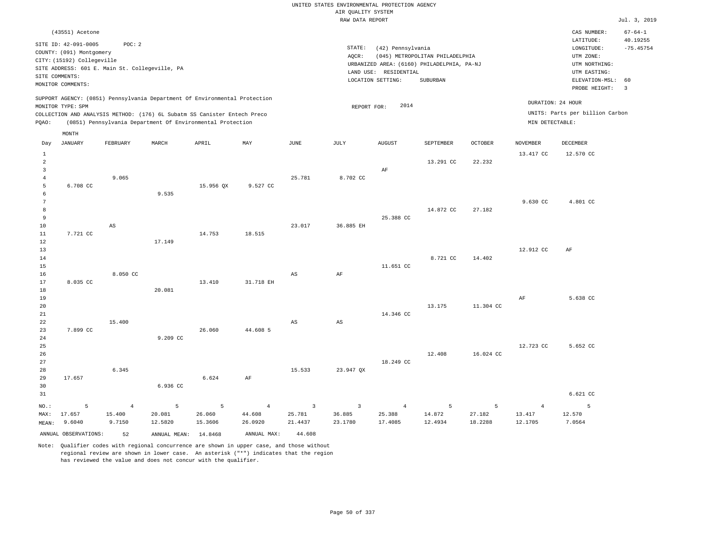|                                          |                                                                                                                                                                       |                                    |                                                                                                                                                                                                                      |                                     |                                     |                                     | UNITED STATES ENVIRONMENTAL PROTECTION AGENCY |                                            |                                                                               |                        |                                      |                                                                                      |                                          |
|------------------------------------------|-----------------------------------------------------------------------------------------------------------------------------------------------------------------------|------------------------------------|----------------------------------------------------------------------------------------------------------------------------------------------------------------------------------------------------------------------|-------------------------------------|-------------------------------------|-------------------------------------|-----------------------------------------------|--------------------------------------------|-------------------------------------------------------------------------------|------------------------|--------------------------------------|--------------------------------------------------------------------------------------|------------------------------------------|
|                                          |                                                                                                                                                                       |                                    |                                                                                                                                                                                                                      |                                     |                                     |                                     | AIR QUALITY SYSTEM                            |                                            |                                                                               |                        |                                      |                                                                                      |                                          |
|                                          |                                                                                                                                                                       |                                    |                                                                                                                                                                                                                      |                                     |                                     |                                     | RAW DATA REPORT                               |                                            |                                                                               |                        |                                      |                                                                                      | Jul. 3, 2019                             |
|                                          | (43551) Acetone<br>SITE ID: 42-091-0005<br>COUNTY: (091) Montgomery<br>CITY: (15192) Collegeville<br>SITE ADDRESS: 601 E. Main St. Collegeville, PA<br>SITE COMMENTS: | POC: 2                             |                                                                                                                                                                                                                      |                                     |                                     |                                     | STATE:<br>AOCR:                               | (42) Pennsylvania<br>LAND USE: RESIDENTIAL | (045) METROPOLITAN PHILADELPHIA<br>URBANIZED AREA: (6160) PHILADELPHIA, PA-NJ |                        |                                      | CAS NUMBER:<br>LATITUDE:<br>LONGITUDE:<br>UTM ZONE:<br>UTM NORTHING:<br>UTM EASTING: | $67 - 64 - 1$<br>40.19255<br>$-75.45754$ |
|                                          | MONITOR COMMENTS:                                                                                                                                                     |                                    |                                                                                                                                                                                                                      |                                     |                                     |                                     |                                               | LOCATION SETTING:                          | SUBURBAN                                                                      |                        |                                      | ELEVATION-MSL:<br>PROBE HEIGHT:                                                      | 60<br>$\overline{3}$                     |
| PQAO:                                    | MONITOR TYPE: SPM                                                                                                                                                     |                                    | SUPPORT AGENCY: (0851) Pennsylvania Department Of Environmental Protection<br>COLLECTION AND ANALYSIS METHOD: (176) 6L Subatm SS Canister Entech Preco<br>(0851) Pennsylvania Department Of Environmental Protection |                                     |                                     |                                     | REPORT FOR:                                   | 2014                                       |                                                                               |                        | DURATION: 24 HOUR<br>MIN DETECTABLE: | UNITS: Parts per billion Carbon                                                      |                                          |
|                                          | MONTH                                                                                                                                                                 |                                    |                                                                                                                                                                                                                      |                                     |                                     |                                     |                                               |                                            |                                                                               |                        |                                      |                                                                                      |                                          |
| Day                                      | <b>JANUARY</b>                                                                                                                                                        | FEBRUARY                           | MARCH                                                                                                                                                                                                                | APRIL                               | MAY                                 | <b>JUNE</b>                         | <b>JULY</b>                                   | <b>AUGUST</b>                              | SEPTEMBER                                                                     | <b>OCTOBER</b>         | <b>NOVEMBER</b>                      | <b>DECEMBER</b>                                                                      |                                          |
| $\mathbf{1}$<br>$\overline{a}$           |                                                                                                                                                                       |                                    |                                                                                                                                                                                                                      |                                     |                                     |                                     |                                               |                                            | 13.291 CC                                                                     | 22.232                 | 13.417 CC                            | 12.570 CC                                                                            |                                          |
| $\mathbf{3}$<br>$\overline{4}$<br>5<br>6 | 6.708 CC                                                                                                                                                              | 9.065                              | 9.535                                                                                                                                                                                                                | 15.956 QX                           | 9.527 CC                            | 25.781                              | 8.702 CC                                      | AF                                         |                                                                               |                        |                                      |                                                                                      |                                          |
| $\overline{7}$<br>8<br>9<br>10           |                                                                                                                                                                       | $\mathbb{A}\mathbb{S}$             |                                                                                                                                                                                                                      |                                     |                                     | 23.017                              | 36.885 EH                                     | 25.388 CC                                  | 14.872 CC                                                                     | 27.182                 | 9.630 CC                             | 4.801 CC                                                                             |                                          |
| 11<br>12<br>13<br>14                     | 7.721 CC                                                                                                                                                              |                                    | 17.149                                                                                                                                                                                                               | 14.753                              | 18.515                              |                                     |                                               |                                            | 8.721 CC                                                                      | 14.402                 | 12,912 CC                            | AF                                                                                   |                                          |
| 15<br>16<br>17<br>18                     | 8.035 CC                                                                                                                                                              | 8.050 CC                           | 20.081                                                                                                                                                                                                               | 13.410                              | 31.718 EH                           | $\mathbb{A}\mathbb{S}$              | AF                                            | 11.651 CC                                  |                                                                               |                        |                                      |                                                                                      |                                          |
| 19<br>20<br>21<br>22<br>23               | 7.899 CC                                                                                                                                                              | 15.400                             |                                                                                                                                                                                                                      | 26.060                              | 44.608 5                            | AS                                  | $\mathbb{A}\mathbb{S}$                        | 14.346 CC                                  | 13.175                                                                        | 11.304 CC              | AF                                   | 5.638 CC                                                                             |                                          |
| 24<br>25<br>26<br>27                     |                                                                                                                                                                       |                                    | 9.209 CC                                                                                                                                                                                                             |                                     |                                     |                                     |                                               | 18.249 CC                                  | 12.408                                                                        | 16.024 CC              | 12.723 CC                            | 5.652 CC                                                                             |                                          |
| 28<br>29<br>30<br>31                     | 17.657                                                                                                                                                                | 6.345                              | 6.936 CC                                                                                                                                                                                                             | 6.624                               | AF                                  | 15.533                              | 23.947 QX                                     |                                            |                                                                               |                        |                                      | 6.621 CC                                                                             |                                          |
| NO.:<br>MAX:<br>MEAN:                    | 5<br>17.657<br>9.6040                                                                                                                                                 | $\overline{4}$<br>15.400<br>9.7150 | 5<br>20.081<br>12.5820                                                                                                                                                                                               | $\overline{5}$<br>26.060<br>15.3606 | $\overline{4}$<br>44.608<br>26.0920 | $\overline{3}$<br>25.781<br>21.4437 | $\overline{\mathbf{3}}$<br>36.885<br>23.1780  | $\overline{4}$<br>25.388<br>17.4085        | 5<br>14.872<br>12.4934                                                        | 5<br>27.182<br>18.2288 | $\overline{4}$<br>13.417<br>12.1705  | 5<br>12.570<br>7.0564                                                                |                                          |
|                                          | ANNUAL OBSERVATIONS:                                                                                                                                                  | 52                                 | ANNUAL MEAN: 14.8468                                                                                                                                                                                                 |                                     | ANNUAL MAX:                         | 44.608                              |                                               |                                            |                                                                               |                        |                                      |                                                                                      |                                          |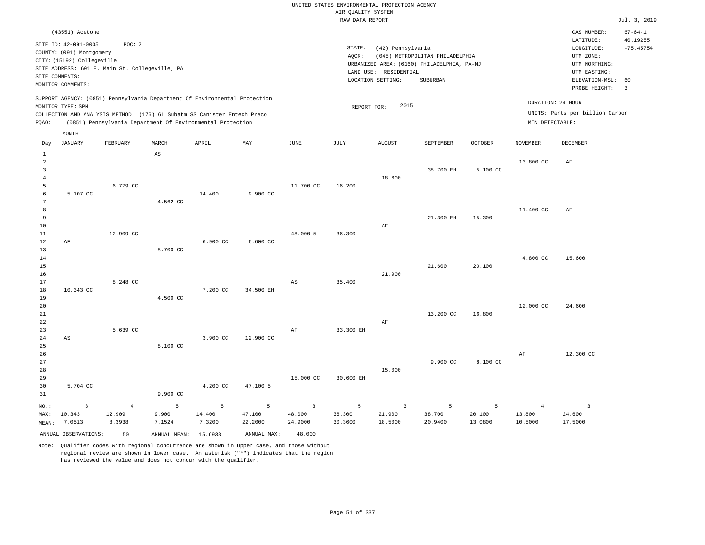|                                       |                                                                                                                                                 |                                    |                                                                                                                                                        |                       |                        |                                              | UNITED STATES ENVIRONMENTAL PROTECTION AGENCY<br>AIR QUALITY SYSTEM |                                            |                                                                                           |                        |                                     |                                                                               |                                          |
|---------------------------------------|-------------------------------------------------------------------------------------------------------------------------------------------------|------------------------------------|--------------------------------------------------------------------------------------------------------------------------------------------------------|-----------------------|------------------------|----------------------------------------------|---------------------------------------------------------------------|--------------------------------------------|-------------------------------------------------------------------------------------------|------------------------|-------------------------------------|-------------------------------------------------------------------------------|------------------------------------------|
|                                       |                                                                                                                                                 |                                    |                                                                                                                                                        |                       |                        |                                              | RAW DATA REPORT                                                     |                                            |                                                                                           |                        |                                     |                                                                               | Jul. 3, 2019                             |
|                                       | (43551) Acetone<br>SITE ID: 42-091-0005                                                                                                         | POC: 2                             |                                                                                                                                                        |                       |                        |                                              | STATE:                                                              | (42) Pennsylvania                          |                                                                                           |                        |                                     | CAS NUMBER:<br>LATITUDE:<br>LONGITUDE:                                        | $67 - 64 - 1$<br>40.19255<br>$-75.45754$ |
|                                       | COUNTY: (091) Montgomery<br>CITY: (15192) Collegeville<br>SITE ADDRESS: 601 E. Main St. Collegeville, PA<br>SITE COMMENTS:<br>MONITOR COMMENTS: |                                    |                                                                                                                                                        |                       |                        |                                              | AQCR:                                                               | LAND USE: RESIDENTIAL<br>LOCATION SETTING: | (045) METROPOLITAN PHILADELPHIA<br>URBANIZED AREA: (6160) PHILADELPHIA, PA-NJ<br>SUBURBAN |                        |                                     | UTM ZONE:<br>UTM NORTHING:<br>UTM EASTING:<br>ELEVATION-MSL:<br>PROBE HEIGHT: | 60<br>$\overline{3}$                     |
|                                       | MONITOR TYPE: SPM                                                                                                                               |                                    | SUPPORT AGENCY: (0851) Pennsylvania Department Of Environmental Protection<br>COLLECTION AND ANALYSIS METHOD: (176) 6L Subatm SS Canister Entech Preco |                       |                        |                                              | REPORT FOR:                                                         | 2015                                       |                                                                                           |                        |                                     | DURATION: 24 HOUR<br>UNITS: Parts per billion Carbon                          |                                          |
| PQAO:                                 |                                                                                                                                                 |                                    | (0851) Pennsylvania Department Of Environmental Protection                                                                                             |                       |                        |                                              |                                                                     |                                            |                                                                                           |                        | MIN DETECTABLE:                     |                                                                               |                                          |
| Day                                   | MONTH<br><b>JANUARY</b>                                                                                                                         | FEBRUARY                           | MARCH                                                                                                                                                  | APRIL                 | MAY                    | $_{\rm JUNE}$                                | $\mathtt{JULY}$                                                     | ${\tt AUGUST}$                             | SEPTEMBER                                                                                 | <b>OCTOBER</b>         | <b>NOVEMBER</b>                     | <b>DECEMBER</b>                                                               |                                          |
| 1<br>$\overline{2}$<br>$\overline{3}$ |                                                                                                                                                 |                                    | AS                                                                                                                                                     |                       |                        |                                              |                                                                     |                                            | 38.700 EH                                                                                 | 5.100 CC               | 13.800 CC                           | AF                                                                            |                                          |
| $\overline{4}$<br>5<br>6<br>7         | 5.107 CC                                                                                                                                        | 6.779 CC                           | 4.562 CC                                                                                                                                               | 14.400                | 9.900 CC               | 11.700 CC                                    | 16.200                                                              | 18,600                                     |                                                                                           |                        |                                     |                                                                               |                                          |
| 8<br>9<br>10                          |                                                                                                                                                 |                                    |                                                                                                                                                        |                       |                        |                                              |                                                                     | AF                                         | 21.300 EH                                                                                 | 15.300                 | 11.400 CC                           | AF                                                                            |                                          |
| 11<br>$1\,2$<br>13<br>14              | AF                                                                                                                                              | 12,909 CC                          | 8.700 CC                                                                                                                                               | 6.900 CC              | $6.600 \text{ CC}$     | 48.000 5                                     | 36.300                                                              |                                            |                                                                                           |                        | 4.800 CC                            | 15.600                                                                        |                                          |
| 15<br>16<br>17<br>18                  | 10.343 CC                                                                                                                                       | 8.248 CC                           |                                                                                                                                                        | 7.200 CC              | 34.500 EH              | $_{\rm AS}$                                  | 35.400                                                              | 21.900                                     | 21.600                                                                                    | 20.100                 |                                     |                                                                               |                                          |
| 19<br>20<br>$2\sqrt{1}$<br>22         |                                                                                                                                                 |                                    | 4.500 CC                                                                                                                                               |                       |                        |                                              |                                                                     | AF                                         | 13.200 CC                                                                                 | 16.800                 | 12.000 CC                           | 24.600                                                                        |                                          |
| 23<br>24<br>25                        | $_{\rm AS}$                                                                                                                                     | 5.639 CC                           | 8.100 CC                                                                                                                                               | 3.900 CC              | 12.900 CC              | AF                                           | 33.300 EH                                                           |                                            |                                                                                           |                        |                                     |                                                                               |                                          |
| 26<br>27<br>28<br>29<br>30            | 5.704 CC                                                                                                                                        |                                    |                                                                                                                                                        | 4.200 CC              | 47.100 5               | 15.000 CC                                    | 30.600 EH                                                           | 15.000                                     | 9.900 CC                                                                                  | 8.100 CC               | AF                                  | 12.300 CC                                                                     |                                          |
| 31                                    |                                                                                                                                                 |                                    | 9.900 CC                                                                                                                                               |                       |                        |                                              |                                                                     |                                            |                                                                                           |                        |                                     |                                                                               |                                          |
| NO.:<br>MAX:<br>MEAN:                 | $\mathbf{3}$<br>10.343<br>7.0513                                                                                                                | $\overline{4}$<br>12.909<br>8.3938 | 5<br>9.900<br>7.1524                                                                                                                                   | 5<br>14.400<br>7.3200 | 5<br>47.100<br>22.2000 | $\overline{\mathbf{3}}$<br>48.000<br>24.9000 | 5<br>36.300<br>30.3600                                              | $\overline{3}$<br>21.900<br>18.5000        | 5<br>38.700<br>20.9400                                                                    | 5<br>20.100<br>13.0800 | $\overline{4}$<br>13.800<br>10.5000 | $\overline{\mathbf{3}}$<br>24.600<br>17.5000                                  |                                          |
|                                       | ANNUAL OBSERVATIONS:                                                                                                                            | 50                                 | ANNUAL MEAN: 15.6938                                                                                                                                   |                       | ANNUAL MAX:            | 48.000                                       |                                                                     |                                            |                                                                                           |                        |                                     |                                                                               |                                          |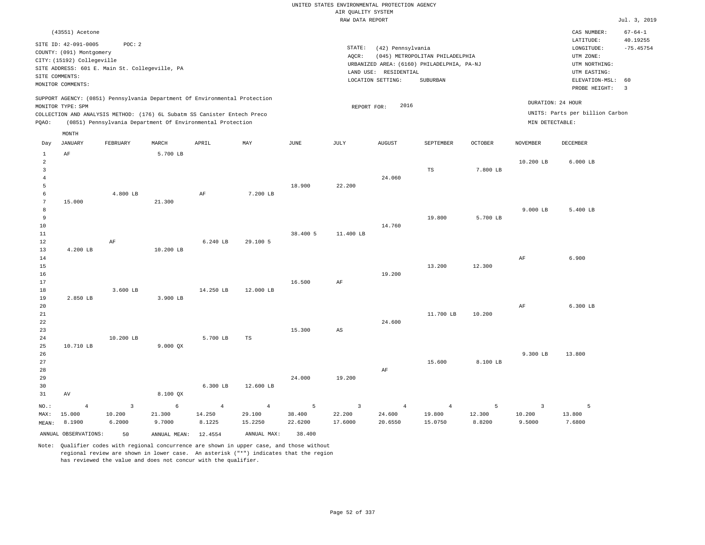|                                                 |                                                                                                                                                                             |                                    |                                                            |                                    |                                     |                        | UNITED STATES ENVIRONMENTAL PROTECTION AGENCY |                                                                 |                                                                                           |                       |                                    |                                                                                                        |                                                |
|-------------------------------------------------|-----------------------------------------------------------------------------------------------------------------------------------------------------------------------------|------------------------------------|------------------------------------------------------------|------------------------------------|-------------------------------------|------------------------|-----------------------------------------------|-----------------------------------------------------------------|-------------------------------------------------------------------------------------------|-----------------------|------------------------------------|--------------------------------------------------------------------------------------------------------|------------------------------------------------|
|                                                 |                                                                                                                                                                             |                                    |                                                            |                                    |                                     |                        | AIR OUALITY SYSTEM                            |                                                                 |                                                                                           |                       |                                    |                                                                                                        |                                                |
|                                                 |                                                                                                                                                                             |                                    |                                                            |                                    |                                     |                        | RAW DATA REPORT                               |                                                                 |                                                                                           |                       |                                    |                                                                                                        | Jul. 3, 2019                                   |
|                                                 | (43551) Acetone<br>SITE ID: 42-091-0005<br>COUNTY: (091) Montgomery<br>CITY: (15192) Collegeville<br>SITE ADDRESS: 601 E. Main St. Collegeville, PA<br>SITE COMMENTS:       | POC: 2                             |                                                            |                                    |                                     |                        | STATE:<br>AOCR:                               | (42) Pennsylvania<br>LAND USE: RESIDENTIAL<br>LOCATION SETTING: | (045) METROPOLITAN PHILADELPHIA<br>URBANIZED AREA: (6160) PHILADELPHIA, PA-NJ<br>SUBURBAN |                       |                                    | CAS NUMBER:<br>LATITUDE:<br>LONGITUDE:<br>UTM ZONE:<br>UTM NORTHING:<br>UTM EASTING:<br>ELEVATION-MSL: | $67 - 64 - 1$<br>40.19255<br>$-75.45754$<br>60 |
|                                                 | MONITOR COMMENTS:                                                                                                                                                           |                                    |                                                            |                                    |                                     |                        |                                               |                                                                 |                                                                                           |                       |                                    | PROBE HEIGHT:                                                                                          | $\overline{3}$                                 |
| PQAO:                                           | SUPPORT AGENCY: (0851) Pennsylvania Department Of Environmental Protection<br>MONITOR TYPE: SPM<br>COLLECTION AND ANALYSIS METHOD: (176) 6L Subatm SS Canister Entech Preco |                                    | (0851) Pennsylvania Department Of Environmental Protection |                                    |                                     |                        | REPORT FOR:                                   | 2016                                                            |                                                                                           |                       | MIN DETECTABLE:                    | DURATION: 24 HOUR<br>UNITS: Parts per billion Carbon                                                   |                                                |
|                                                 | MONTH                                                                                                                                                                       |                                    |                                                            |                                    |                                     |                        |                                               |                                                                 |                                                                                           |                       |                                    |                                                                                                        |                                                |
| Day                                             | <b>JANUARY</b>                                                                                                                                                              | FEBRUARY                           | MARCH                                                      | APRIL                              | MAY                                 | <b>JUNE</b>            | JULY                                          | <b>AUGUST</b>                                                   | SEPTEMBER                                                                                 | <b>OCTOBER</b>        | <b>NOVEMBER</b>                    | <b>DECEMBER</b>                                                                                        |                                                |
| 1<br>2<br>$\overline{3}$<br>$\overline{4}$<br>5 | AF                                                                                                                                                                          |                                    | 5.700 LB                                                   |                                    |                                     | 18.900                 |                                               | 24,060                                                          | TS                                                                                        | 7.800 LB              | 10.200 LB                          | $6.000$ LB                                                                                             |                                                |
| 6<br>$7\phantom{.0}$<br>8                       | 15.000                                                                                                                                                                      | 4.800 LB                           | 21.300                                                     | AF                                 | 7.200 LB                            |                        | 22.200                                        |                                                                 |                                                                                           |                       | $9.000$ LB                         | 5.400 LB                                                                                               |                                                |
| 9<br>$10$<br>11<br>12                           |                                                                                                                                                                             | AF                                 |                                                            | 6.240 LB                           | 29.100 5                            | 38.400 5               | 11.400 LB                                     | 14.760                                                          | 19.800                                                                                    | 5.700 LB              |                                    |                                                                                                        |                                                |
| 13<br>14<br>15<br>16                            | 4.200 LB                                                                                                                                                                    |                                    | 10.200 LB                                                  |                                    |                                     |                        |                                               | 19.200                                                          | 13.200                                                                                    | 12.300                | AF                                 | 6.900                                                                                                  |                                                |
| 17<br>18<br>19                                  | 2.850 LB                                                                                                                                                                    | 3.600 LB                           | 3.900 LB                                                   | 14.250 LB                          | 12.000 LB                           | 16.500                 | AF                                            |                                                                 |                                                                                           |                       |                                    |                                                                                                        |                                                |
| 20<br>21<br>22<br>23                            |                                                                                                                                                                             |                                    |                                                            |                                    |                                     | 15.300                 | AS                                            | 24.600                                                          | 11.700 LB                                                                                 | 10.200                | $\rm{AF}$                          | 6.300 LB                                                                                               |                                                |
| 24<br>25<br>26<br>27                            | 10.710 LB                                                                                                                                                                   | 10.200 LB                          | 9.000 QX                                                   | 5.700 LB                           | TS                                  |                        |                                               |                                                                 | 15.600                                                                                    | 8.100 LB              | 9.300 LB                           | 13,800                                                                                                 |                                                |
| 28<br>29<br>30<br>31                            | AV                                                                                                                                                                          |                                    | 8.100 QX                                                   | 6.300 LB                           | 12.600 LB                           | 24.000                 | 19.200                                        | AF                                                              |                                                                                           |                       |                                    |                                                                                                        |                                                |
| NO.:<br>MAX:<br>MEAN:                           | $\overline{4}$<br>15.000<br>8.1900                                                                                                                                          | $\overline{3}$<br>10.200<br>6.2000 | 6<br>21.300<br>9.7000                                      | $\overline{4}$<br>14.250<br>8.1225 | $\overline{4}$<br>29.100<br>15.2250 | 5<br>38.400<br>22.6200 | $\overline{3}$<br>22.200<br>17.6000           | $\overline{4}$<br>24.600<br>20.6550                             | $\overline{4}$<br>19.800<br>15.0750                                                       | 5<br>12.300<br>8.8200 | $\overline{3}$<br>10.200<br>9.5000 | $\overline{5}$<br>13.800<br>7.6800                                                                     |                                                |
|                                                 | ANNUAL OBSERVATIONS:                                                                                                                                                        | 50                                 | ANNUAL MEAN: 12.4554                                       |                                    | ANNUAL MAX:                         | 38.400                 |                                               |                                                                 |                                                                                           |                       |                                    |                                                                                                        |                                                |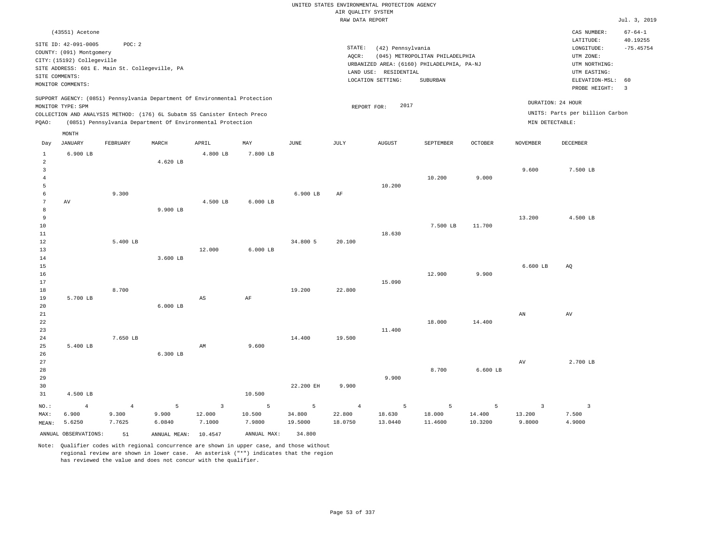|                                                           |                                                                                |                                   |                                   |                                                                                                                                                                                                                      |                                    |                        |                                     | UNITED STATES ENVIRONMENTAL PROTECTION AGENCY |                                            |                        |                                      |                                            |                         |
|-----------------------------------------------------------|--------------------------------------------------------------------------------|-----------------------------------|-----------------------------------|----------------------------------------------------------------------------------------------------------------------------------------------------------------------------------------------------------------------|------------------------------------|------------------------|-------------------------------------|-----------------------------------------------|--------------------------------------------|------------------------|--------------------------------------|--------------------------------------------|-------------------------|
|                                                           |                                                                                |                                   |                                   |                                                                                                                                                                                                                      |                                    |                        | AIR QUALITY SYSTEM                  |                                               |                                            |                        |                                      |                                            |                         |
|                                                           |                                                                                |                                   |                                   |                                                                                                                                                                                                                      |                                    |                        | RAW DATA REPORT                     |                                               |                                            |                        |                                      |                                            | Jul. 3, 2019            |
|                                                           | (43551) Acetone                                                                |                                   |                                   |                                                                                                                                                                                                                      |                                    |                        |                                     |                                               |                                            |                        |                                      | CAS NUMBER:                                | $67 - 64 - 1$           |
|                                                           | SITE ID: 42-091-0005<br>COUNTY: (091) Montgomery<br>CITY: (15192) Collegeville | POC: 2                            |                                   |                                                                                                                                                                                                                      |                                    |                        | STATE:<br>AOCR:                     | (42) Pennsylvania                             | (045) METROPOLITAN PHILADELPHIA            |                        |                                      | LATITUDE:<br>LONGITUDE:<br>UTM ZONE:       | 40.19255<br>$-75.45754$ |
|                                                           | SITE ADDRESS: 601 E. Main St. Collegeville, PA                                 |                                   |                                   |                                                                                                                                                                                                                      |                                    |                        |                                     |                                               | URBANIZED AREA: (6160) PHILADELPHIA, PA-NJ |                        |                                      | UTM NORTHING:                              |                         |
| SITE COMMENTS:                                            |                                                                                |                                   |                                   |                                                                                                                                                                                                                      |                                    |                        |                                     | LAND USE: RESIDENTIAL<br>LOCATION SETTING:    | SUBURBAN                                   |                        |                                      | UTM EASTING:<br>ELEVATION-MSL:             | 60                      |
|                                                           | MONITOR COMMENTS:                                                              |                                   |                                   |                                                                                                                                                                                                                      |                                    |                        |                                     |                                               |                                            |                        |                                      | PROBE HEIGHT:                              | $\overline{3}$          |
| PQAO:                                                     | MONITOR TYPE: SPM                                                              |                                   |                                   | SUPPORT AGENCY: (0851) Pennsylvania Department Of Environmental Protection<br>COLLECTION AND ANALYSIS METHOD: (176) 6L Subatm SS Canister Entech Preco<br>(0851) Pennsylvania Department Of Environmental Protection |                                    |                        |                                     | 2017<br>REPORT FOR:                           |                                            |                        | DURATION: 24 HOUR<br>MIN DETECTABLE: | UNITS: Parts per billion Carbon            |                         |
|                                                           |                                                                                |                                   |                                   |                                                                                                                                                                                                                      |                                    |                        |                                     |                                               |                                            |                        |                                      |                                            |                         |
| Day                                                       | MONTH<br><b>JANUARY</b>                                                        | FEBRUARY                          | MARCH                             | APRIL                                                                                                                                                                                                                | MAY                                | <b>JUNE</b>            | <b>JULY</b>                         | <b>AUGUST</b>                                 | SEPTEMBER                                  | <b>OCTOBER</b>         | <b>NOVEMBER</b>                      | <b>DECEMBER</b>                            |                         |
| $\mathbf{1}$<br>$\overline{a}$<br>$\overline{\mathbf{3}}$ | $6.900$ LB                                                                     |                                   | 4.620 LB                          | 4.800 LB                                                                                                                                                                                                             | 7.800 LB                           |                        |                                     |                                               |                                            |                        | 9.600                                | 7.500 LB                                   |                         |
| $\overline{4}$<br>5<br>6                                  |                                                                                | 9.300                             |                                   |                                                                                                                                                                                                                      |                                    | 6.900 LB               | AF                                  | 10.200                                        | 10.200                                     | 9.000                  |                                      |                                            |                         |
| 7<br>8<br>9                                               | AV                                                                             |                                   | 9.900 LB                          | 4.500 LB                                                                                                                                                                                                             | $6.000$ LB                         |                        |                                     |                                               |                                            |                        | 13.200                               | 4.500 LB                                   |                         |
| 10<br>11<br>12                                            |                                                                                | 5.400 LB                          |                                   |                                                                                                                                                                                                                      |                                    | 34.800 5               | 20.100                              | 18.630                                        | 7.500 LB                                   | 11.700                 |                                      |                                            |                         |
| 13<br>14<br>15                                            |                                                                                |                                   | 3.600 LB                          | 12.000                                                                                                                                                                                                               | $6.000$ LB                         |                        |                                     |                                               |                                            |                        | 6.600 LB                             | AQ                                         |                         |
| 16<br>17<br>18                                            |                                                                                | 8.700                             |                                   |                                                                                                                                                                                                                      |                                    | 19.200                 | 22.800                              | 15,090                                        | 12.900                                     | 9.900                  |                                      |                                            |                         |
| 19<br>20<br>21<br>$2\sqrt{2}$                             | 5.700 LB                                                                       |                                   | $6.000$ LB                        | $_{\rm AS}$                                                                                                                                                                                                          | AF                                 |                        |                                     |                                               | 18.000                                     | 14.400                 | AN                                   | AV                                         |                         |
| 23<br>24<br>25                                            | 5.400 LB                                                                       | 7.650 LB                          |                                   | AM                                                                                                                                                                                                                   | 9.600                              | 14.400                 | 19.500                              | 11.400                                        |                                            |                        |                                      |                                            |                         |
| 26<br>27<br>28<br>29                                      |                                                                                |                                   | 6.300 LB                          |                                                                                                                                                                                                                      |                                    |                        |                                     | 9.900                                         | 8.700                                      | $6.600$ LB             | AV                                   | 2.700 LB                                   |                         |
| 30<br>31                                                  | 4.500 LB                                                                       |                                   |                                   |                                                                                                                                                                                                                      | 10.500                             | 22.200 EH              | 9.900                               |                                               |                                            |                        |                                      |                                            |                         |
| NO.:<br>MAX:<br>MEAN:                                     | $\overline{4}$<br>6.900<br>5.6250                                              | $\overline{4}$<br>9.300<br>7.7625 | $\overline{5}$<br>9.900<br>6.0840 | $\overline{3}$<br>12.000<br>7.1000                                                                                                                                                                                   | $\overline{5}$<br>10.500<br>7.9800 | 5<br>34.800<br>19.5000 | $\overline{4}$<br>22.800<br>18.0750 | 5<br>18.630<br>13.0440                        | 5<br>18.000<br>11.4600                     | 5<br>14.400<br>10.3200 | $\overline{3}$<br>13.200<br>9.8000   | $\overline{\mathbf{3}}$<br>7.500<br>4.9000 |                         |
|                                                           | ANNUAL OBSERVATIONS:                                                           | 51                                | ANNUAL MEAN:                      | 10.4547                                                                                                                                                                                                              | ANNUAL MAX:                        | 34.800                 |                                     |                                               |                                            |                        |                                      |                                            |                         |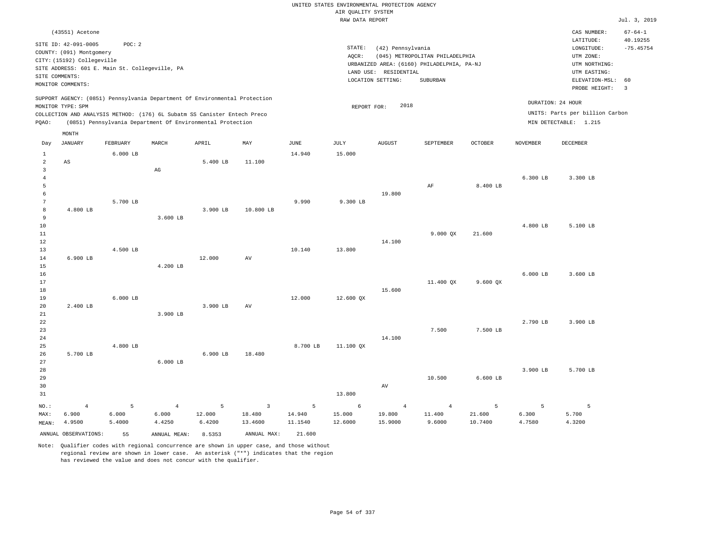|                |                                         |                                                |                |                                                                            |                        |             | UNITED STATES ENVIRONMENTAL PROTECTION AGENCY |                       |                                            |                |                 |                                        |                                          |
|----------------|-----------------------------------------|------------------------------------------------|----------------|----------------------------------------------------------------------------|------------------------|-------------|-----------------------------------------------|-----------------------|--------------------------------------------|----------------|-----------------|----------------------------------------|------------------------------------------|
|                |                                         |                                                |                |                                                                            |                        |             | AIR QUALITY SYSTEM<br>RAW DATA REPORT         |                       |                                            |                |                 |                                        | Jul. 3, 2019                             |
|                |                                         |                                                |                |                                                                            |                        |             |                                               |                       |                                            |                |                 |                                        |                                          |
|                | (43551) Acetone<br>SITE ID: 42-091-0005 | POC: 2                                         |                |                                                                            |                        |             | STATE:                                        | (42) Pennsylvania     |                                            |                |                 | CAS NUMBER:<br>LATITUDE:<br>LONGITUDE: | $67 - 64 - 1$<br>40.19255<br>$-75.45754$ |
|                | COUNTY: (091) Montgomery                |                                                |                |                                                                            |                        |             | AQCR:                                         |                       | (045) METROPOLITAN PHILADELPHIA            |                |                 | UTM ZONE:                              |                                          |
|                | CITY: (15192) Collegeville              |                                                |                |                                                                            |                        |             |                                               |                       | URBANIZED AREA: (6160) PHILADELPHIA, PA-NJ |                |                 | UTM NORTHING:                          |                                          |
|                |                                         | SITE ADDRESS: 601 E. Main St. Collegeville, PA |                |                                                                            |                        |             |                                               | LAND USE: RESIDENTIAL |                                            |                |                 | UTM EASTING:                           |                                          |
| SITE COMMENTS: | MONITOR COMMENTS:                       |                                                |                |                                                                            |                        |             |                                               | LOCATION SETTING:     | SUBURBAN                                   |                |                 | ELEVATION-MSL:                         | 60                                       |
|                |                                         |                                                |                | SUPPORT AGENCY: (0851) Pennsylvania Department Of Environmental Protection |                        |             |                                               |                       |                                            |                |                 | PROBE HEIGHT:<br>DURATION: 24 HOUR     | $\overline{3}$                           |
|                | MONITOR TYPE: SPM                       |                                                |                |                                                                            |                        |             | REPORT FOR:                                   | 2018                  |                                            |                |                 |                                        |                                          |
|                |                                         |                                                |                | COLLECTION AND ANALYSIS METHOD: (176) 6L Subatm SS Canister Entech Preco   |                        |             |                                               |                       |                                            |                |                 | UNITS: Parts per billion Carbon        |                                          |
| PQAO:          |                                         |                                                |                | (0851) Pennsylvania Department Of Environmental Protection                 |                        |             |                                               |                       |                                            |                |                 | MIN DETECTABLE: 1.215                  |                                          |
| Day            | MONTH<br><b>JANUARY</b>                 | FEBRUARY                                       | MARCH          | APRIL                                                                      | MAY                    | <b>JUNE</b> | JULY                                          | <b>AUGUST</b>         | SEPTEMBER                                  | <b>OCTOBER</b> | <b>NOVEMBER</b> | DECEMBER                               |                                          |
| $\mathbf{1}$   |                                         | $6.000$ LB                                     |                |                                                                            |                        | 14.940      | 15.000                                        |                       |                                            |                |                 |                                        |                                          |
| $\overline{a}$ | AS                                      |                                                |                | 5.400 LB                                                                   | 11.100                 |             |                                               |                       |                                            |                |                 |                                        |                                          |
| 3              |                                         |                                                | $_{\rm AG}$    |                                                                            |                        |             |                                               |                       |                                            |                |                 |                                        |                                          |
| $\overline{4}$ |                                         |                                                |                |                                                                            |                        |             |                                               |                       |                                            |                | 6.300 LB        | 3.300 LB                               |                                          |
| 5              |                                         |                                                |                |                                                                            |                        |             |                                               |                       | AF                                         | 8.400 LB       |                 |                                        |                                          |
| 6<br>7         |                                         | 5.700 LB                                       |                |                                                                            |                        | 9.990       | 9.300 LB                                      | 19.800                |                                            |                |                 |                                        |                                          |
| 8              | 4.800 LB                                |                                                |                | 3.900 LB                                                                   | 10.800 LB              |             |                                               |                       |                                            |                |                 |                                        |                                          |
| 9              |                                         |                                                | 3.600 LB       |                                                                            |                        |             |                                               |                       |                                            |                |                 |                                        |                                          |
| $10$           |                                         |                                                |                |                                                                            |                        |             |                                               |                       |                                            |                | 4.800 LB        | 5.100 LB                               |                                          |
| 11             |                                         |                                                |                |                                                                            |                        |             |                                               |                       | 9.000 QX                                   | 21.600         |                 |                                        |                                          |
| 12             |                                         |                                                |                |                                                                            |                        |             |                                               | 14.100                |                                            |                |                 |                                        |                                          |
| 13             |                                         | 4.500 LB                                       |                |                                                                            |                        | 10.140      | 13.800                                        |                       |                                            |                |                 |                                        |                                          |
| 14             | 6.900 LB                                |                                                |                | 12.000                                                                     | AV                     |             |                                               |                       |                                            |                |                 |                                        |                                          |
| 15<br>16       |                                         |                                                | 4.200 LB       |                                                                            |                        |             |                                               |                       |                                            |                | $6.000$ LB      | 3.600 LB                               |                                          |
| 17             |                                         |                                                |                |                                                                            |                        |             |                                               |                       | 11.400 OX                                  | 9.600 OX       |                 |                                        |                                          |
| $1\,8$         |                                         |                                                |                |                                                                            |                        |             |                                               | 15,600                |                                            |                |                 |                                        |                                          |
| 19             |                                         | $6.000$ LB                                     |                |                                                                            |                        | 12.000      | 12.600 QX                                     |                       |                                            |                |                 |                                        |                                          |
| 20             | 2.400 LB                                |                                                |                | 3.900 LB                                                                   | $\mathbf{A}\mathbf{V}$ |             |                                               |                       |                                            |                |                 |                                        |                                          |
| $21\,$         |                                         |                                                | 3.900 LB       |                                                                            |                        |             |                                               |                       |                                            |                |                 |                                        |                                          |
| 22             |                                         |                                                |                |                                                                            |                        |             |                                               |                       |                                            |                | 2.790 LB        | 3.900 LB                               |                                          |
| 23<br>24       |                                         |                                                |                |                                                                            |                        |             |                                               | 14.100                | 7.500                                      | 7.500 LB       |                 |                                        |                                          |
| 25             |                                         | 4.800 LB                                       |                |                                                                            |                        | 8.700 LB    | 11.100 QX                                     |                       |                                            |                |                 |                                        |                                          |
| 26             | 5.700 LB                                |                                                |                | 6.900 LB                                                                   | 18.480                 |             |                                               |                       |                                            |                |                 |                                        |                                          |
| 27             |                                         |                                                | $6.000$ LB     |                                                                            |                        |             |                                               |                       |                                            |                |                 |                                        |                                          |
| 28             |                                         |                                                |                |                                                                            |                        |             |                                               |                       |                                            |                | 3.900 LB        | 5.700 LB                               |                                          |
| 29             |                                         |                                                |                |                                                                            |                        |             |                                               |                       | 10.500                                     | 6.600 LB       |                 |                                        |                                          |
| 30             |                                         |                                                |                |                                                                            |                        |             |                                               | AV                    |                                            |                |                 |                                        |                                          |
| 31             |                                         |                                                |                |                                                                            |                        |             | 13.800                                        |                       |                                            |                |                 |                                        |                                          |
| NO.:           | $\overline{4}$                          | 5                                              | $\overline{4}$ | 5                                                                          | $\overline{3}$         | 5           | 6                                             | $\overline{4}$        | $\overline{4}$                             | 5              | 5               | 5                                      |                                          |
| MAX:           | 6.900                                   | 6.000                                          | 6.000          | 12.000                                                                     | 18.480                 | 14.940      | 15.000                                        | 19.800                | 11.400                                     | 21.600         | 6.300           | 5.700                                  |                                          |
| MEAN:          | 4.9500                                  | 5.4000                                         | 4.4250         | 6.4200                                                                     | 13.4600                | 11.1540     | 12.6000                                       | 15.9000               | 9.6000                                     | 10.7400        | 4.7580          | 4.3200                                 |                                          |
|                | ANNUAL OBSERVATIONS:                    | 55                                             | ANNUAL MEAN:   | 8.5353                                                                     | ANNUAL MAX:            | 21.600      |                                               |                       |                                            |                |                 |                                        |                                          |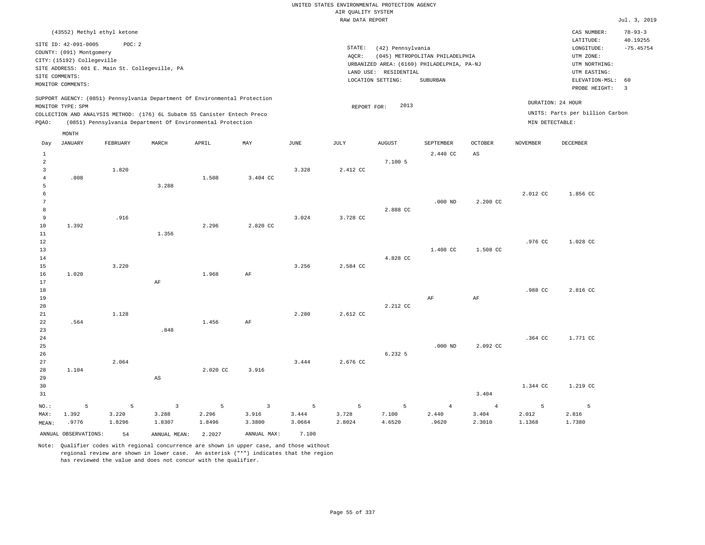|                                           |                                                  |          |                                                                            |          |                         |             | UNITED STATES ENVIRONMENTAL PROTECTION AGENCY |                       |                                            |                |                 |                                 |                           |
|-------------------------------------------|--------------------------------------------------|----------|----------------------------------------------------------------------------|----------|-------------------------|-------------|-----------------------------------------------|-----------------------|--------------------------------------------|----------------|-----------------|---------------------------------|---------------------------|
|                                           |                                                  |          |                                                                            |          |                         |             | AIR QUALITY SYSTEM<br>RAW DATA REPORT         |                       |                                            |                |                 |                                 | Jul. 3, 2019              |
|                                           |                                                  |          |                                                                            |          |                         |             |                                               |                       |                                            |                |                 |                                 |                           |
|                                           | (43552) Methyl ethyl ketone                      |          |                                                                            |          |                         |             |                                               |                       |                                            |                |                 | CAS NUMBER:<br>LATITUDE:        | $78 - 93 - 3$<br>40.19255 |
|                                           | SITE ID: 42-091-0005<br>COUNTY: (091) Montgomery | POC: 2   |                                                                            |          |                         |             | STATE:                                        | (42) Pennsylvania     |                                            |                |                 | LONGITUDE:                      | $-75.45754$               |
|                                           | CITY: (15192) Collegeville                       |          |                                                                            |          |                         |             | AQCR:                                         |                       | (045) METROPOLITAN PHILADELPHIA            |                |                 | UTM ZONE:                       |                           |
|                                           | SITE ADDRESS: 601 E. Main St. Collegeville, PA   |          |                                                                            |          |                         |             |                                               |                       | URBANIZED AREA: (6160) PHILADELPHIA, PA-NJ |                |                 | UTM NORTHING:                   |                           |
| SITE COMMENTS:                            |                                                  |          |                                                                            |          |                         |             |                                               | LAND USE: RESIDENTIAL |                                            |                |                 | UTM EASTING:                    |                           |
|                                           | MONITOR COMMENTS:                                |          |                                                                            |          |                         |             |                                               | LOCATION SETTING:     | SUBURBAN                                   |                |                 | ELEVATION-MSL:<br>PROBE HEIGHT: | 60<br>$\overline{3}$      |
|                                           |                                                  |          | SUPPORT AGENCY: (0851) Pennsylvania Department Of Environmental Protection |          |                         |             |                                               |                       |                                            |                |                 | DURATION: 24 HOUR               |                           |
|                                           | MONITOR TYPE: SPM                                |          |                                                                            |          |                         |             | REPORT FOR:                                   | 2013                  |                                            |                |                 |                                 |                           |
|                                           |                                                  |          | COLLECTION AND ANALYSIS METHOD: (176) 6L Subatm SS Canister Entech Preco   |          |                         |             |                                               |                       |                                            |                |                 | UNITS: Parts per billion Carbon |                           |
| PQAO:                                     |                                                  |          | (0851) Pennsylvania Department Of Environmental Protection                 |          |                         |             |                                               |                       |                                            |                | MIN DETECTABLE: |                                 |                           |
|                                           | MONTH                                            |          |                                                                            |          |                         |             |                                               |                       |                                            |                |                 | DECEMBER                        |                           |
| Day                                       | <b>JANUARY</b>                                   | FEBRUARY | MARCH                                                                      | APRIL    | MAY                     | <b>JUNE</b> | <b>JULY</b>                                   | <b>AUGUST</b>         | SEPTEMBER                                  | OCTOBER        | <b>NOVEMBER</b> |                                 |                           |
| $\mathbf{1}$                              |                                                  |          |                                                                            |          |                         |             |                                               | 7.100 5               | 2.440 CC                                   | $_{\rm AS}$    |                 |                                 |                           |
| $\overline{2}$<br>$\overline{\mathbf{3}}$ |                                                  | 1.820    |                                                                            |          |                         | 3.328       | 2.412 CC                                      |                       |                                            |                |                 |                                 |                           |
| $\overline{4}$                            | .808                                             |          |                                                                            | 1.508    | 3.404 CC                |             |                                               |                       |                                            |                |                 |                                 |                           |
| 5                                         |                                                  |          | 3.288                                                                      |          |                         |             |                                               |                       |                                            |                |                 |                                 |                           |
| 6                                         |                                                  |          |                                                                            |          |                         |             |                                               |                       |                                            |                | 2.012 CC        | 1.856 CC                        |                           |
| 7                                         |                                                  |          |                                                                            |          |                         |             |                                               |                       | $.000$ ND                                  | 2.200 CC       |                 |                                 |                           |
| 8                                         |                                                  |          |                                                                            |          |                         |             |                                               | 2.888 CC              |                                            |                |                 |                                 |                           |
| 9                                         |                                                  | .916     |                                                                            |          |                         | 3.024       | 3.728 CC                                      |                       |                                            |                |                 |                                 |                           |
| $10$                                      | 1.392                                            |          |                                                                            | 2.296    | 2.820 CC                |             |                                               |                       |                                            |                |                 |                                 |                           |
| 11                                        |                                                  |          | 1.356                                                                      |          |                         |             |                                               |                       |                                            |                |                 |                                 |                           |
| $1\,2$                                    |                                                  |          |                                                                            |          |                         |             |                                               |                       |                                            |                | .976 CC         | 1.028 CC                        |                           |
| 13                                        |                                                  |          |                                                                            |          |                         |             |                                               |                       | 1.408 CC                                   | 1.508 CC       |                 |                                 |                           |
| 14                                        |                                                  |          |                                                                            |          |                         |             |                                               | 4.828 CC              |                                            |                |                 |                                 |                           |
| 15                                        |                                                  | 3.220    |                                                                            |          |                         | 3.256       | 2.584 CC                                      |                       |                                            |                |                 |                                 |                           |
| 16                                        | 1,020                                            |          |                                                                            | 1.968    | AF                      |             |                                               |                       |                                            |                |                 |                                 |                           |
| 17                                        |                                                  |          | $\rm{AF}$                                                                  |          |                         |             |                                               |                       |                                            |                |                 |                                 |                           |
| $18$                                      |                                                  |          |                                                                            |          |                         |             |                                               |                       |                                            |                | .988 CC         | 2.816 CC                        |                           |
| 19                                        |                                                  |          |                                                                            |          |                         |             |                                               |                       | AF                                         | $\rm{AF}$      |                 |                                 |                           |
| 20                                        |                                                  |          |                                                                            |          |                         |             |                                               | 2.212 CC              |                                            |                |                 |                                 |                           |
| 21                                        |                                                  | 1.128    |                                                                            |          |                         | 2.280       | 2.612 CC                                      |                       |                                            |                |                 |                                 |                           |
| 22                                        | .564                                             |          |                                                                            | 1.456    | $\rm AF$                |             |                                               |                       |                                            |                |                 |                                 |                           |
| 23                                        |                                                  |          | .848                                                                       |          |                         |             |                                               |                       |                                            |                |                 |                                 |                           |
| 24                                        |                                                  |          |                                                                            |          |                         |             |                                               |                       |                                            |                | .364 CC         | 1.771 CC                        |                           |
| 25<br>26                                  |                                                  |          |                                                                            |          |                         |             |                                               | 6.232 5               | $.000$ ND                                  | 2.092 CC       |                 |                                 |                           |
| 27                                        |                                                  | 2.064    |                                                                            |          |                         | 3.444       | 2.676 CC                                      |                       |                                            |                |                 |                                 |                           |
| 28                                        | 1.104                                            |          |                                                                            | 2.020 CC | 3.916                   |             |                                               |                       |                                            |                |                 |                                 |                           |
| 29                                        |                                                  |          | $\mathbb{A}\mathbb{S}$                                                     |          |                         |             |                                               |                       |                                            |                |                 |                                 |                           |
| 30                                        |                                                  |          |                                                                            |          |                         |             |                                               |                       |                                            |                | 1.344 CC        | 1.219 CC                        |                           |
| 31                                        |                                                  |          |                                                                            |          |                         |             |                                               |                       |                                            | 3.404          |                 |                                 |                           |
|                                           |                                                  |          |                                                                            |          |                         |             |                                               |                       |                                            |                |                 |                                 |                           |
| NO.:                                      | 5                                                | 5        | $\overline{3}$                                                             | 5        | $\overline{\mathbf{3}}$ | 5           | 5                                             | $5\phantom{.0}$       | $\overline{4}$                             | $\overline{4}$ | $\overline{5}$  | 5                               |                           |
| MAX:                                      | 1.392                                            | 3.220    | 3.288                                                                      | 2.296    | 3.916                   | 3.444       | 3.728                                         | 7.100                 | 2.440                                      | 3.404          | 2.012           | 2.816                           |                           |
| MEAN:                                     | .9776                                            | 1.8296   | 1.8307                                                                     | 1.8496   | 3.3800                  | 3.0664      | 2.8024                                        | 4.6520                | .9620                                      | 2.3010         | 1.1368          | 1.7380                          |                           |
|                                           | ANNUAL OBSERVATIONS:                             | 54       | ANNUAL MEAN: 2.2027                                                        |          | ANNUAL MAX:             | 7.100       |                                               |                       |                                            |                |                 |                                 |                           |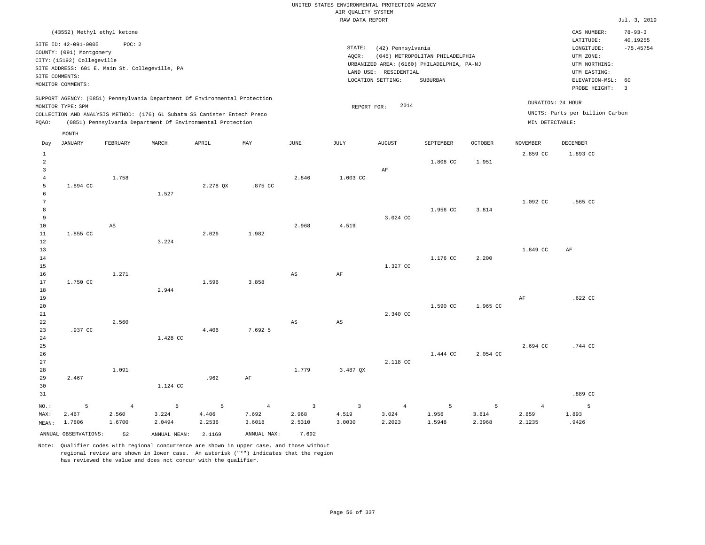|                                |                                                  |                                                |                 |                                                                            |                 |                        | UNITED STATES ENVIRONMENTAL PROTECTION AGENCY<br>AIR QUALITY SYSTEM |                       |                                                                               |                 |                   |                                 |                               |
|--------------------------------|--------------------------------------------------|------------------------------------------------|-----------------|----------------------------------------------------------------------------|-----------------|------------------------|---------------------------------------------------------------------|-----------------------|-------------------------------------------------------------------------------|-----------------|-------------------|---------------------------------|-------------------------------|
|                                |                                                  |                                                |                 |                                                                            |                 |                        | RAW DATA REPORT                                                     |                       |                                                                               |                 |                   |                                 | Jul. 3, 2019                  |
|                                |                                                  | (43552) Methyl ethyl ketone                    |                 |                                                                            |                 |                        |                                                                     |                       |                                                                               |                 |                   | CAS NUMBER:<br>LATITUDE:        | $78 - 93 - 3$<br>40.19255     |
|                                | SITE ID: 42-091-0005<br>COUNTY: (091) Montgomery | POC: 2                                         |                 |                                                                            |                 |                        | STATE:                                                              | (42) Pennsylvania     |                                                                               |                 |                   | LONGITUDE:                      | $-75.45754$                   |
|                                | CITY: (15192) Collegeville                       |                                                |                 |                                                                            |                 |                        | AOCR:                                                               |                       | (045) METROPOLITAN PHILADELPHIA<br>URBANIZED AREA: (6160) PHILADELPHIA, PA-NJ |                 |                   | UTM ZONE:<br>UTM NORTHING:      |                               |
| SITE COMMENTS:                 |                                                  | SITE ADDRESS: 601 E. Main St. Collegeville, PA |                 |                                                                            |                 |                        |                                                                     | LAND USE: RESIDENTIAL |                                                                               |                 |                   | UTM EASTING:                    |                               |
|                                | MONITOR COMMENTS:                                |                                                |                 |                                                                            |                 |                        |                                                                     | LOCATION SETTING:     | SUBURBAN                                                                      |                 |                   | ELEVATION-MSL:<br>PROBE HEIGHT: | 60<br>$\overline{\mathbf{3}}$ |
|                                |                                                  |                                                |                 | SUPPORT AGENCY: (0851) Pennsylvania Department Of Environmental Protection |                 |                        |                                                                     |                       |                                                                               |                 | DURATION: 24 HOUR |                                 |                               |
|                                | MONITOR TYPE: SPM                                |                                                |                 | COLLECTION AND ANALYSIS METHOD: (176) 6L Subatm SS Canister Entech Preco   |                 |                        | REPORT FOR:                                                         | 2014                  |                                                                               |                 |                   | UNITS: Parts per billion Carbon |                               |
| PQAO:                          |                                                  |                                                |                 | (0851) Pennsylvania Department Of Environmental Protection                 |                 |                        |                                                                     |                       |                                                                               |                 | MIN DETECTABLE:   |                                 |                               |
|                                | MONTH                                            |                                                |                 |                                                                            |                 |                        |                                                                     |                       |                                                                               |                 |                   |                                 |                               |
| Day                            | <b>JANUARY</b>                                   | FEBRUARY                                       | MARCH           | APRIL                                                                      | MAY             | JUNE                   | JULY                                                                | <b>AUGUST</b>         | SEPTEMBER                                                                     | <b>OCTOBER</b>  | <b>NOVEMBER</b>   | DECEMBER                        |                               |
| $\mathbf{1}$<br>$\overline{a}$ |                                                  |                                                |                 |                                                                            |                 |                        |                                                                     |                       | 1.808 CC                                                                      | 1.951           | 2.859 CC          | 1.893 CC                        |                               |
| 3                              |                                                  |                                                |                 |                                                                            |                 |                        |                                                                     | AF                    |                                                                               |                 |                   |                                 |                               |
| $\overline{4}$                 |                                                  | 1.758                                          |                 |                                                                            |                 | 2.846                  | 1.003 CC                                                            |                       |                                                                               |                 |                   |                                 |                               |
| 5<br>6                         | 1.894 CC                                         |                                                | 1.527           | 2.278 QX                                                                   | .875 CC         |                        |                                                                     |                       |                                                                               |                 |                   |                                 |                               |
| 7                              |                                                  |                                                |                 |                                                                            |                 |                        |                                                                     |                       |                                                                               |                 | 1.092 CC          | .565 CC                         |                               |
| 8                              |                                                  |                                                |                 |                                                                            |                 |                        |                                                                     |                       | 1.956 CC                                                                      | 3.814           |                   |                                 |                               |
| 9<br>10                        |                                                  | AS                                             |                 |                                                                            |                 | 2.968                  | 4.519                                                               | 3.024 CC              |                                                                               |                 |                   |                                 |                               |
| 11                             | 1.855 CC                                         |                                                |                 | 2.026                                                                      | 1.982           |                        |                                                                     |                       |                                                                               |                 |                   |                                 |                               |
| 12                             |                                                  |                                                | 3.224           |                                                                            |                 |                        |                                                                     |                       |                                                                               |                 |                   |                                 |                               |
| 13                             |                                                  |                                                |                 |                                                                            |                 |                        |                                                                     |                       |                                                                               |                 | 1.849 CC          | $\rm{AF}$                       |                               |
| 14<br>15                       |                                                  |                                                |                 |                                                                            |                 |                        |                                                                     | 1.327 CC              | 1.176 CC                                                                      | 2.200           |                   |                                 |                               |
| 16                             |                                                  | 1.271                                          |                 |                                                                            |                 | $\mathbb{A}\mathbb{S}$ | $\rm{AF}$                                                           |                       |                                                                               |                 |                   |                                 |                               |
| 17                             | 1.750 CC                                         |                                                |                 | 1.596                                                                      | 3.858           |                        |                                                                     |                       |                                                                               |                 |                   |                                 |                               |
| 18<br>19                       |                                                  |                                                | 2.944           |                                                                            |                 |                        |                                                                     |                       |                                                                               |                 | AF                | .622 CC                         |                               |
| 20                             |                                                  |                                                |                 |                                                                            |                 |                        |                                                                     |                       | 1,590 CC                                                                      | 1.965 CC        |                   |                                 |                               |
| 21                             |                                                  |                                                |                 |                                                                            |                 |                        |                                                                     | 2.340 CC              |                                                                               |                 |                   |                                 |                               |
| 22<br>23                       | .937 CC                                          | 2.560                                          |                 | 4.406                                                                      | 7.692 5         | $_{\rm AS}$            | $\mathbb{A}\mathbb{S}$                                              |                       |                                                                               |                 |                   |                                 |                               |
| 24                             |                                                  |                                                | 1.428 CC        |                                                                            |                 |                        |                                                                     |                       |                                                                               |                 |                   |                                 |                               |
| 25                             |                                                  |                                                |                 |                                                                            |                 |                        |                                                                     |                       |                                                                               |                 | 2.694 CC          | .744 CC                         |                               |
| 26<br>27                       |                                                  |                                                |                 |                                                                            |                 |                        |                                                                     | 2.118 CC              | 1.444 CC                                                                      | 2.054 CC        |                   |                                 |                               |
| 28                             |                                                  | 1.091                                          |                 |                                                                            |                 | 1,779                  | 3.487 OX                                                            |                       |                                                                               |                 |                   |                                 |                               |
| 29                             | 2.467                                            |                                                |                 | .962                                                                       | AF              |                        |                                                                     |                       |                                                                               |                 |                   |                                 |                               |
| 30                             |                                                  |                                                | 1.124 CC        |                                                                            |                 |                        |                                                                     |                       |                                                                               |                 |                   |                                 |                               |
| 31                             |                                                  |                                                |                 |                                                                            |                 |                        |                                                                     |                       |                                                                               |                 |                   | .889 CC                         |                               |
| NO.:                           | 5                                                | $\overline{4}$                                 | $5\phantom{.0}$ | 5                                                                          | $\overline{4}$  | $\overline{3}$         | $\overline{3}$                                                      | $\overline{4}$        | 5                                                                             | 5               | $\overline{4}$    | 5                               |                               |
| MAX:<br>MEAN:                  | 2.467<br>1.7806                                  | 2.560<br>1.6700                                | 3.224<br>2.0494 | 4.406<br>2.2536                                                            | 7.692<br>3.6018 | 2.968<br>2.5310        | 4.519<br>3.0030                                                     | 3.024<br>2.2023       | 1.956<br>1.5948                                                               | 3.814<br>2.3968 | 2.859<br>2.1235   | 1.893<br>.9426                  |                               |
|                                |                                                  |                                                |                 |                                                                            |                 |                        |                                                                     |                       |                                                                               |                 |                   |                                 |                               |

ANNUAL OBSERVATIONS: 52 ANNUAL MEAN: 2.1169 ANNUAL MAX: 7.692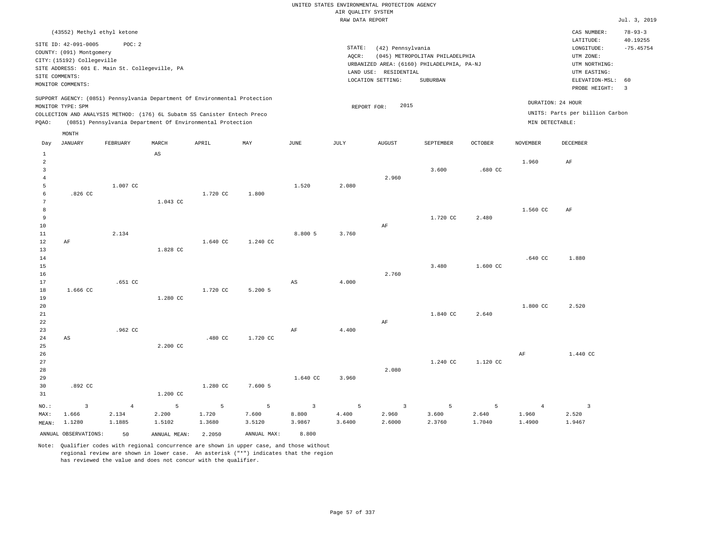|                                                    |                                                                                 |                                   |                                                                                                                                        |                      |                                   |                                   | AIR OUALITY SYSTEM   | UNITED STATES ENVIRONMENTAL PROTECTION AGENCY |                                                                               |                      |                                   |                                                 |                                          |
|----------------------------------------------------|---------------------------------------------------------------------------------|-----------------------------------|----------------------------------------------------------------------------------------------------------------------------------------|----------------------|-----------------------------------|-----------------------------------|----------------------|-----------------------------------------------|-------------------------------------------------------------------------------|----------------------|-----------------------------------|-------------------------------------------------|------------------------------------------|
|                                                    |                                                                                 |                                   |                                                                                                                                        |                      |                                   |                                   | RAW DATA REPORT      |                                               |                                                                               |                      |                                   |                                                 | Jul. 3, 2019                             |
|                                                    |                                                                                 |                                   |                                                                                                                                        |                      |                                   |                                   |                      |                                               |                                                                               |                      |                                   |                                                 |                                          |
|                                                    | (43552) Methyl ethyl ketone<br>SITE ID: 42-091-0005<br>COUNTY: (091) Montgomery | POC: 2                            |                                                                                                                                        |                      |                                   |                                   | STATE:               | (42) Pennsylvania                             |                                                                               |                      |                                   | CAS NUMBER:<br>LATITUDE:<br>LONGITUDE:          | $78 - 93 - 3$<br>40.19255<br>$-75.45754$ |
|                                                    | CITY: (15192) Collegeville<br>SITE ADDRESS: 601 E. Main St. Collegeville, PA    |                                   |                                                                                                                                        |                      |                                   |                                   | AQCR:                |                                               | (045) METROPOLITAN PHILADELPHIA<br>URBANIZED AREA: (6160) PHILADELPHIA, PA-NJ |                      |                                   | UTM ZONE:<br>UTM NORTHING:                      |                                          |
| SITE COMMENTS:                                     | MONITOR COMMENTS:                                                               |                                   |                                                                                                                                        |                      |                                   |                                   |                      | LAND USE: RESIDENTIAL<br>LOCATION SETTING:    | SUBURBAN                                                                      |                      |                                   | UTM EASTING:<br>ELEVATION-MSL:<br>PROBE HEIGHT: | 60<br>$\overline{3}$                     |
|                                                    | MONITOR TYPE: SPM                                                               |                                   | SUPPORT AGENCY: (0851) Pennsylvania Department Of Environmental Protection                                                             |                      |                                   |                                   |                      | 2015<br>REPORT FOR:                           |                                                                               |                      |                                   | DURATION: 24 HOUR                               |                                          |
| PQAO:                                              |                                                                                 |                                   | COLLECTION AND ANALYSIS METHOD: (176) 6L Subatm SS Canister Entech Preco<br>(0851) Pennsylvania Department Of Environmental Protection |                      |                                   |                                   |                      |                                               |                                                                               |                      | MIN DETECTABLE:                   | UNITS: Parts per billion Carbon                 |                                          |
|                                                    | MONTH                                                                           |                                   |                                                                                                                                        |                      |                                   |                                   |                      |                                               |                                                                               |                      |                                   |                                                 |                                          |
| Day<br>$\,1\,$                                     | <b>JANUARY</b>                                                                  | FEBRUARY                          | MARCH<br>$\mathbb{A}\mathbb{S}$                                                                                                        | APRIL                | MAY                               | <b>JUNE</b>                       | <b>JULY</b>          | <b>AUGUST</b>                                 | SEPTEMBER                                                                     | <b>OCTOBER</b>       | <b>NOVEMBER</b>                   | DECEMBER                                        |                                          |
| $\overline{a}$<br>$\overline{3}$<br>$\overline{4}$ |                                                                                 |                                   |                                                                                                                                        |                      |                                   |                                   |                      | 2.960                                         | 3.600                                                                         | .680CC               | 1.960                             | AF                                              |                                          |
| 5<br>6<br>$\overline{7}$                           | $.826$ CC                                                                       | 1,007 CC                          | 1.043 CC                                                                                                                               | 1.720 CC             | 1.800                             | 1.520                             | 2.080                |                                               |                                                                               |                      |                                   |                                                 |                                          |
| $\,$ 8 $\,$<br>$\overline{9}$<br>10                |                                                                                 |                                   |                                                                                                                                        |                      |                                   |                                   |                      | AF                                            | 1.720 CC                                                                      | 2.480                | 1.560 CC                          | $\rm AF$                                        |                                          |
| $1\,1$<br>12<br>13                                 | AF                                                                              | 2.134                             | 1.828 CC                                                                                                                               | 1.640 CC             | 1.240 CC                          | 8.800 5                           | 3.760                |                                               |                                                                               |                      |                                   |                                                 |                                          |
| 14<br>15<br>16                                     |                                                                                 |                                   |                                                                                                                                        |                      |                                   |                                   |                      | 2.760                                         | 3.480                                                                         | 1.600 CC             | .640 CC                           | 1.880                                           |                                          |
| 17<br>$18\,$<br>19<br>20                           | 1.666 CC                                                                        | .651 CC                           | 1.280 CC                                                                                                                               | 1.720 CC             | $5.200$ 5                         | $_{\rm AS}$                       | 4.000                |                                               |                                                                               |                      | 1.800 CC                          | 2.520                                           |                                          |
| 21<br>22<br>23                                     |                                                                                 | .962 CC                           |                                                                                                                                        |                      |                                   | AF                                | 4.400                | AF                                            | 1.840 CC                                                                      | 2.640                |                                   |                                                 |                                          |
| 24<br>25<br>26                                     | AS                                                                              |                                   | 2.200 CC                                                                                                                               | .480 CC              | 1.720 CC                          |                                   |                      |                                               |                                                                               |                      | $\rm{AF}$                         | 1.440 CC                                        |                                          |
| 27<br>28<br>29                                     |                                                                                 |                                   |                                                                                                                                        |                      |                                   | 1.640 CC                          | 3.960                | 2.080                                         | 1.240 CC                                                                      | 1.120 CC             |                                   |                                                 |                                          |
| 30<br>31                                           | .892 CC                                                                         |                                   | 1.200 CC                                                                                                                               | 1,280 CC             | 7.600 5                           |                                   |                      |                                               |                                                                               |                      |                                   |                                                 |                                          |
| NO.:<br>MAX:<br>MEAN:                              | $\overline{\mathbf{3}}$<br>1.666<br>1.1280                                      | $\overline{4}$<br>2.134<br>1.1885 | $\overline{5}$<br>2.200<br>1.5102                                                                                                      | 5<br>1.720<br>1.3680 | $\overline{5}$<br>7.600<br>3.5120 | $\overline{3}$<br>8.800<br>3.9867 | 5<br>4.400<br>3.6400 | $\overline{3}$<br>2.960<br>2.6000             | 5<br>3.600<br>2.3760                                                          | 5<br>2.640<br>1.7040 | $\overline{4}$<br>1.960<br>1.4900 | $\overline{\mathbf{3}}$<br>2.520<br>1.9467      |                                          |
|                                                    | ANNUAL OBSERVATIONS:                                                            | 50                                | ANNUAL MEAN: 2.2050                                                                                                                    |                      | ANNUAL MAX:                       | 8,800                             |                      |                                               |                                                                               |                      |                                   |                                                 |                                          |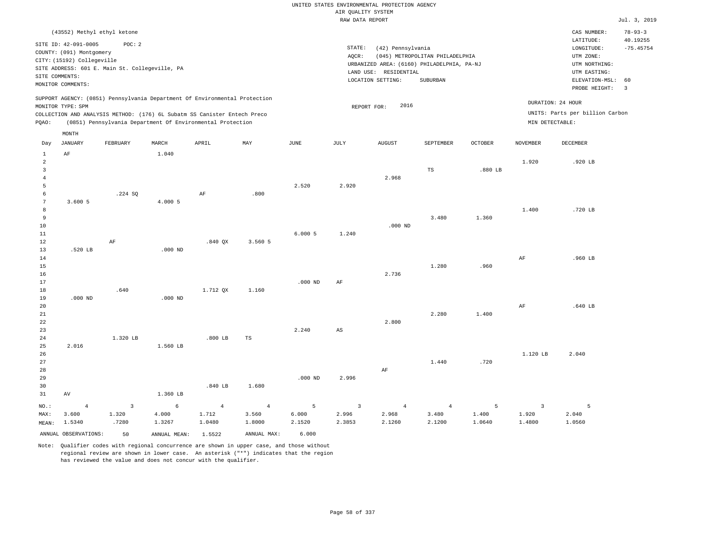|                         |                                                     |                         |                                                                                                                                        |                |                |             |                                       | UNITED STATES ENVIRONMENTAL PROTECTION AGENCY                       |                                 |                |                 |                                 |                           |
|-------------------------|-----------------------------------------------------|-------------------------|----------------------------------------------------------------------------------------------------------------------------------------|----------------|----------------|-------------|---------------------------------------|---------------------------------------------------------------------|---------------------------------|----------------|-----------------|---------------------------------|---------------------------|
|                         |                                                     |                         |                                                                                                                                        |                |                |             | AIR OUALITY SYSTEM<br>RAW DATA REPORT |                                                                     |                                 |                |                 |                                 | Jul. 3, 2019              |
|                         |                                                     |                         |                                                                                                                                        |                |                |             |                                       |                                                                     |                                 |                |                 |                                 |                           |
|                         | (43552) Methyl ethyl ketone<br>SITE ID: 42-091-0005 | POC: 2                  |                                                                                                                                        |                |                |             |                                       |                                                                     |                                 |                |                 | CAS NUMBER:<br>LATITUDE:        | $78 - 93 - 3$<br>40.19255 |
|                         | COUNTY: (091) Montgomery                            |                         |                                                                                                                                        |                |                |             | STATE:                                | (42) Pennsylvania                                                   |                                 |                |                 | LONGITUDE:                      | $-75.45754$               |
|                         | CITY: (15192) Collegeville                          |                         |                                                                                                                                        |                |                |             | AQCR:                                 |                                                                     | (045) METROPOLITAN PHILADELPHIA |                |                 | UTM ZONE:                       |                           |
|                         | SITE ADDRESS: 601 E. Main St. Collegeville, PA      |                         |                                                                                                                                        |                |                |             |                                       | URBANIZED AREA: (6160) PHILADELPHIA, PA-NJ<br>LAND USE: RESIDENTIAL |                                 |                |                 | UTM NORTHING:<br>UTM EASTING:   |                           |
| SITE COMMENTS:          |                                                     |                         |                                                                                                                                        |                |                |             |                                       | LOCATION SETTING:                                                   | SUBURBAN                        |                |                 | ELEVATION-MSL:                  | 60                        |
|                         | MONITOR COMMENTS:                                   |                         |                                                                                                                                        |                |                |             |                                       |                                                                     |                                 |                |                 | PROBE HEIGHT:                   | $\overline{3}$            |
|                         |                                                     |                         | SUPPORT AGENCY: (0851) Pennsylvania Department Of Environmental Protection                                                             |                |                |             |                                       | 2016                                                                |                                 |                |                 | DURATION: 24 HOUR               |                           |
|                         | MONITOR TYPE: SPM                                   |                         |                                                                                                                                        |                |                |             |                                       | REPORT FOR:                                                         |                                 |                |                 | UNITS: Parts per billion Carbon |                           |
| PQAO:                   |                                                     |                         | COLLECTION AND ANALYSIS METHOD: (176) 6L Subatm SS Canister Entech Preco<br>(0851) Pennsylvania Department Of Environmental Protection |                |                |             |                                       |                                                                     |                                 |                | MIN DETECTABLE: |                                 |                           |
|                         | MONTH                                               |                         |                                                                                                                                        |                |                |             |                                       |                                                                     |                                 |                |                 |                                 |                           |
| Day<br>$\,1\,$          | <b>JANUARY</b><br>$\rm AF$                          | FEBRUARY                | MARCH<br>1.040                                                                                                                         | APRIL          | MAY            | <b>JUNE</b> | <b>JULY</b>                           | <b>AUGUST</b>                                                       | SEPTEMBER                       | <b>OCTOBER</b> | <b>NOVEMBER</b> | <b>DECEMBER</b>                 |                           |
| $\overline{2}$          |                                                     |                         |                                                                                                                                        |                |                |             |                                       |                                                                     |                                 |                | 1.920           | .920 LB                         |                           |
| $\overline{\mathbf{3}}$ |                                                     |                         |                                                                                                                                        |                |                |             |                                       |                                                                     | TS                              | .880 LB        |                 |                                 |                           |
| $\overline{4}$          |                                                     |                         |                                                                                                                                        |                |                |             |                                       | 2.968                                                               |                                 |                |                 |                                 |                           |
| 5                       |                                                     |                         |                                                                                                                                        |                |                | 2.520       | 2.920                                 |                                                                     |                                 |                |                 |                                 |                           |
| 6                       |                                                     | .224 SQ                 |                                                                                                                                        | $\rm AF$       | .800           |             |                                       |                                                                     |                                 |                |                 |                                 |                           |
| $7\phantom{.0}$         | 3.600 5                                             |                         | 4.000 5                                                                                                                                |                |                |             |                                       |                                                                     |                                 |                |                 |                                 |                           |
| 8<br>$\overline{9}$     |                                                     |                         |                                                                                                                                        |                |                |             |                                       |                                                                     | 3.480                           | 1.360          | 1.400           | .720 LB                         |                           |
| 10                      |                                                     |                         |                                                                                                                                        |                |                |             |                                       | $.000$ ND                                                           |                                 |                |                 |                                 |                           |
| $1\,1$                  |                                                     |                         |                                                                                                                                        |                |                | 6.0005      | 1.240                                 |                                                                     |                                 |                |                 |                                 |                           |
| 12                      |                                                     | AF                      |                                                                                                                                        | $.840$ QX      | 3.560 5        |             |                                       |                                                                     |                                 |                |                 |                                 |                           |
| 13                      | .520 LB                                             |                         | $.000$ ND                                                                                                                              |                |                |             |                                       |                                                                     |                                 |                |                 |                                 |                           |
| 14                      |                                                     |                         |                                                                                                                                        |                |                |             |                                       |                                                                     |                                 |                | $\rm AF$        | .960 LB                         |                           |
| 15                      |                                                     |                         |                                                                                                                                        |                |                |             |                                       |                                                                     | 1.280                           | .960           |                 |                                 |                           |
| 16                      |                                                     |                         |                                                                                                                                        |                |                |             |                                       | 2.736                                                               |                                 |                |                 |                                 |                           |
| 17                      |                                                     |                         |                                                                                                                                        |                |                | $.000$ ND   | AF                                    |                                                                     |                                 |                |                 |                                 |                           |
| $1\,8$                  |                                                     | .640                    |                                                                                                                                        | 1.712 OX       | 1.160          |             |                                       |                                                                     |                                 |                |                 |                                 |                           |
| 19                      | $.000$ ND                                           |                         | $.000$ ND                                                                                                                              |                |                |             |                                       |                                                                     |                                 |                |                 |                                 |                           |
| 20                      |                                                     |                         |                                                                                                                                        |                |                |             |                                       |                                                                     |                                 |                | AF              | .640 LB                         |                           |
| 21                      |                                                     |                         |                                                                                                                                        |                |                |             |                                       |                                                                     | 2.280                           | 1.400          |                 |                                 |                           |
| 22                      |                                                     |                         |                                                                                                                                        |                |                |             |                                       | 2.800                                                               |                                 |                |                 |                                 |                           |
| 23                      |                                                     | 1.320 LB                |                                                                                                                                        | $.800$ LB      |                | 2.240       | AS                                    |                                                                     |                                 |                |                 |                                 |                           |
| 24<br>25                | 2.016                                               |                         | 1.560 LB                                                                                                                               |                | TS             |             |                                       |                                                                     |                                 |                |                 |                                 |                           |
| 26                      |                                                     |                         |                                                                                                                                        |                |                |             |                                       |                                                                     |                                 |                | 1.120 LB        | 2.040                           |                           |
| 27                      |                                                     |                         |                                                                                                                                        |                |                |             |                                       |                                                                     | 1.440                           | .720           |                 |                                 |                           |
| 28                      |                                                     |                         |                                                                                                                                        |                |                |             |                                       | AF                                                                  |                                 |                |                 |                                 |                           |
| 29                      |                                                     |                         |                                                                                                                                        |                |                | $.000$ ND   | 2.996                                 |                                                                     |                                 |                |                 |                                 |                           |
| 30                      |                                                     |                         |                                                                                                                                        | .840 LB        | 1.680          |             |                                       |                                                                     |                                 |                |                 |                                 |                           |
| 31                      | AV                                                  |                         | 1.360 LB                                                                                                                               |                |                |             |                                       |                                                                     |                                 |                |                 |                                 |                           |
| NO.:                    | $\overline{4}$                                      | $\overline{\mathbf{3}}$ | 6                                                                                                                                      | $\overline{4}$ | $\overline{4}$ | 5           | $\overline{3}$                        | $\overline{4}$                                                      | $\overline{4}$                  | 5              | $\overline{3}$  | 5                               |                           |
| MAX:                    | 3.600                                               | 1.320                   | 4.000                                                                                                                                  | 1.712          | 3.560          | 6.000       | 2.996                                 | 2.968                                                               | 3.480                           | 1.400          | 1.920           | 2.040                           |                           |
| MEAN:                   | 1.5340                                              | .7280                   | 1.3267                                                                                                                                 | 1.0480         | 1.8000         | 2.1520      | 2.3853                                | 2.1260                                                              | 2.1200                          | 1.0640         | 1.4800          | 1.0560                          |                           |
|                         | ANNUAL OBSERVATIONS:                                | 50                      | ANNUAL MEAN: 1.5522                                                                                                                    |                | ANNUAL MAX:    | 6,000       |                                       |                                                                     |                                 |                |                 |                                 |                           |
|                         |                                                     |                         |                                                                                                                                        |                |                |             |                                       |                                                                     |                                 |                |                 |                                 |                           |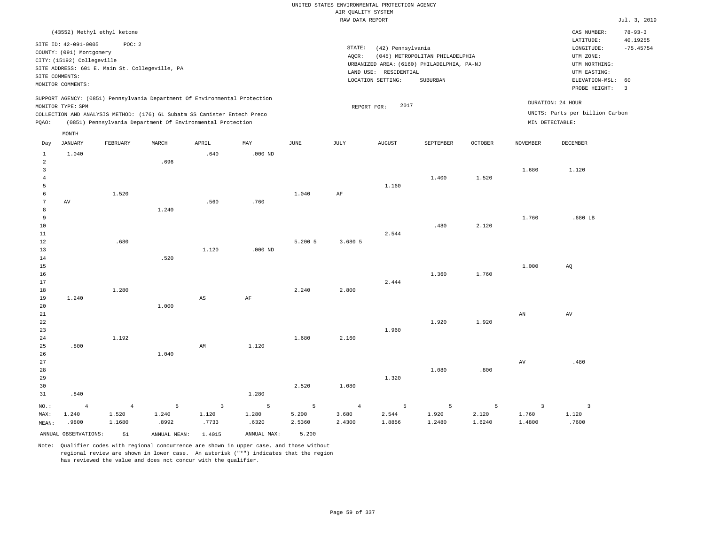|                 |                                    |                                                |       |                                                                                                                                        |                |         | UNITED STATES ENVIRONMENTAL PROTECTION AGENCY |                       |                                            |                |                     |                                        |                                          |
|-----------------|------------------------------------|------------------------------------------------|-------|----------------------------------------------------------------------------------------------------------------------------------------|----------------|---------|-----------------------------------------------|-----------------------|--------------------------------------------|----------------|---------------------|----------------------------------------|------------------------------------------|
|                 |                                    |                                                |       |                                                                                                                                        |                |         | AIR QUALITY SYSTEM                            |                       |                                            |                |                     |                                        |                                          |
|                 |                                    |                                                |       |                                                                                                                                        |                |         | RAW DATA REPORT                               |                       |                                            |                |                     |                                        | Jul. 3, 2019                             |
|                 | SITE ID: 42-091-0005               | (43552) Methyl ethyl ketone<br>POC: 2          |       |                                                                                                                                        |                |         | STATE:                                        | (42) Pennsylvania     |                                            |                |                     | CAS NUMBER:<br>LATITUDE:<br>LONGITUDE: | $78 - 93 - 3$<br>40.19255<br>$-75.45754$ |
|                 | COUNTY: (091) Montgomery           |                                                |       |                                                                                                                                        |                |         | AOCR:                                         |                       | (045) METROPOLITAN PHILADELPHIA            |                |                     | UTM ZONE:                              |                                          |
|                 | CITY: (15192) Collegeville         |                                                |       |                                                                                                                                        |                |         |                                               |                       | URBANIZED AREA: (6160) PHILADELPHIA, PA-NJ |                |                     | UTM NORTHING:                          |                                          |
|                 |                                    | SITE ADDRESS: 601 E. Main St. Collegeville, PA |       |                                                                                                                                        |                |         |                                               | LAND USE: RESIDENTIAL |                                            |                |                     | UTM EASTING:                           |                                          |
|                 | SITE COMMENTS:                     |                                                |       |                                                                                                                                        |                |         |                                               | LOCATION SETTING:     | SUBURBAN                                   |                |                     | ELEVATION-MSL:                         | 60                                       |
|                 | MONITOR COMMENTS:                  |                                                |       |                                                                                                                                        |                |         |                                               |                       |                                            |                |                     | PROBE HEIGHT:                          | $\overline{3}$                           |
|                 |                                    |                                                |       | SUPPORT AGENCY: (0851) Pennsylvania Department Of Environmental Protection                                                             |                |         |                                               |                       |                                            |                |                     | DURATION: 24 HOUR                      |                                          |
|                 | MONITOR TYPE: SPM                  |                                                |       |                                                                                                                                        |                |         |                                               | 2017<br>REPORT FOR:   |                                            |                |                     | UNITS: Parts per billion Carbon        |                                          |
|                 |                                    |                                                |       | COLLECTION AND ANALYSIS METHOD: (176) 6L Subatm SS Canister Entech Preco<br>(0851) Pennsylvania Department Of Environmental Protection |                |         |                                               |                       |                                            |                | MIN DETECTABLE:     |                                        |                                          |
| PQAO:           |                                    |                                                |       |                                                                                                                                        |                |         |                                               |                       |                                            |                |                     |                                        |                                          |
| Day             | $\texttt{MONTH}$<br><b>JANUARY</b> | FEBRUARY                                       | MARCH | APRIL                                                                                                                                  | MAY            | JUNE    | JULY                                          | <b>AUGUST</b>         | SEPTEMBER                                  | <b>OCTOBER</b> | <b>NOVEMBER</b>     | <b>DECEMBER</b>                        |                                          |
| $\mathbf{1}$    | 1.040                              |                                                |       | .640                                                                                                                                   | $.000$ ND      |         |                                               |                       |                                            |                |                     |                                        |                                          |
| $\overline{a}$  |                                    |                                                | .696  |                                                                                                                                        |                |         |                                               |                       |                                            |                |                     |                                        |                                          |
| $\overline{3}$  |                                    |                                                |       |                                                                                                                                        |                |         |                                               |                       |                                            |                | 1.680               | 1.120                                  |                                          |
| $\overline{4}$  |                                    |                                                |       |                                                                                                                                        |                |         |                                               |                       | 1.400                                      | 1.520          |                     |                                        |                                          |
| 5               |                                    |                                                |       |                                                                                                                                        |                |         |                                               | 1.160                 |                                            |                |                     |                                        |                                          |
| 6               |                                    | 1.520                                          |       |                                                                                                                                        |                | 1.040   | AF                                            |                       |                                            |                |                     |                                        |                                          |
| $7\phantom{.0}$ | $\hbox{AV}$                        |                                                |       | .560                                                                                                                                   | .760           |         |                                               |                       |                                            |                |                     |                                        |                                          |
| 8               |                                    |                                                | 1.240 |                                                                                                                                        |                |         |                                               |                       |                                            |                |                     |                                        |                                          |
| 9               |                                    |                                                |       |                                                                                                                                        |                |         |                                               |                       |                                            |                | 1.760               | .680 LB                                |                                          |
| $10$            |                                    |                                                |       |                                                                                                                                        |                |         |                                               |                       | .480                                       | 2.120          |                     |                                        |                                          |
| 11              |                                    |                                                |       |                                                                                                                                        |                |         |                                               | 2.544                 |                                            |                |                     |                                        |                                          |
| 12              |                                    | .680                                           |       |                                                                                                                                        |                | 5.200 5 | 3.680 5                                       |                       |                                            |                |                     |                                        |                                          |
| 13              |                                    |                                                |       | 1.120                                                                                                                                  | $.000$ ND      |         |                                               |                       |                                            |                |                     |                                        |                                          |
| 14              |                                    |                                                | .520  |                                                                                                                                        |                |         |                                               |                       |                                            |                |                     |                                        |                                          |
| 15              |                                    |                                                |       |                                                                                                                                        |                |         |                                               |                       |                                            |                | 1.000               | AQ                                     |                                          |
| 16              |                                    |                                                |       |                                                                                                                                        |                |         |                                               |                       | 1.360                                      | 1.760          |                     |                                        |                                          |
| 17              |                                    |                                                |       |                                                                                                                                        |                |         |                                               | 2.444                 |                                            |                |                     |                                        |                                          |
| $1\,8$<br>19    | 1.240                              | 1.280                                          |       | $\mathbb{A}\mathbb{S}$                                                                                                                 | AF             | 2.240   | 2.800                                         |                       |                                            |                |                     |                                        |                                          |
| 20              |                                    |                                                | 1.000 |                                                                                                                                        |                |         |                                               |                       |                                            |                |                     |                                        |                                          |
| $2\sqrt{1}$     |                                    |                                                |       |                                                                                                                                        |                |         |                                               |                       |                                            |                | AN                  | AV                                     |                                          |
| 22              |                                    |                                                |       |                                                                                                                                        |                |         |                                               |                       | 1.920                                      | 1.920          |                     |                                        |                                          |
| 23              |                                    |                                                |       |                                                                                                                                        |                |         |                                               | 1.960                 |                                            |                |                     |                                        |                                          |
| $2\,4$          |                                    | 1.192                                          |       |                                                                                                                                        |                | 1.680   | 2.160                                         |                       |                                            |                |                     |                                        |                                          |
| 25              | .800                               |                                                |       | $\mathbb{A}\mathbb{M}$                                                                                                                 | 1.120          |         |                                               |                       |                                            |                |                     |                                        |                                          |
| 26              |                                    |                                                | 1.040 |                                                                                                                                        |                |         |                                               |                       |                                            |                |                     |                                        |                                          |
| 27              |                                    |                                                |       |                                                                                                                                        |                |         |                                               |                       |                                            |                | $\operatorname{AV}$ | .480                                   |                                          |
| 28              |                                    |                                                |       |                                                                                                                                        |                |         |                                               |                       | 1.080                                      | .800           |                     |                                        |                                          |
| 29              |                                    |                                                |       |                                                                                                                                        |                |         |                                               | 1.320                 |                                            |                |                     |                                        |                                          |
| 30              |                                    |                                                |       |                                                                                                                                        |                | 2.520   | 1.080                                         |                       |                                            |                |                     |                                        |                                          |
| 31              | .840                               |                                                |       |                                                                                                                                        | 1.280          |         |                                               |                       |                                            |                |                     |                                        |                                          |
| $NO.$ :         | $\overline{4}$                     | $\overline{4}$                                 | 5     | $\overline{\mathbf{3}}$                                                                                                                | $5\phantom{.}$ | 5       | $\overline{4}$                                | 5                     | 5                                          | 5              | $\overline{3}$      | $\overline{3}$                         |                                          |
| MAX:            | 1.240                              | 1.520                                          | 1.240 | 1.120                                                                                                                                  | 1.280          | 5.200   | 3.680                                         | 2.544                 | 1.920                                      | 2.120          | 1.760               | 1.120                                  |                                          |
| MEAN:           | .9800                              | 1.1680                                         | .8992 | .7733                                                                                                                                  | .6320          | 2.5360  | 2.4300                                        | 1.8856                | 1.2480                                     | 1.6240         | 1.4800              | .7600                                  |                                          |
|                 |                                    |                                                |       |                                                                                                                                        |                |         |                                               |                       |                                            |                |                     |                                        |                                          |

ANNUAL OBSERVATIONS: 51 ANNUAL MEAN: 1.4015 ANNUAL MAX: 5.200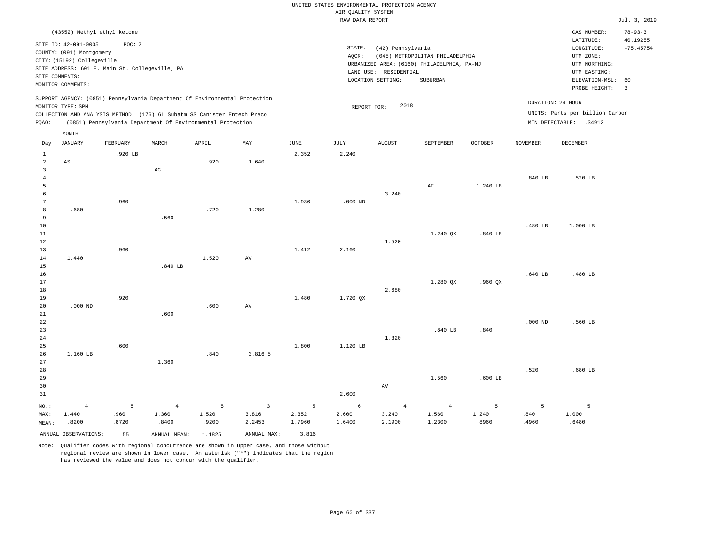|                                  |                                                                                                          |                    |                                                            |                     |                                   |                      | UNITED STATES ENVIRONMENTAL PROTECTION AGENCY |                                   |                                                                               |                     |                    |                                                           |                                          |
|----------------------------------|----------------------------------------------------------------------------------------------------------|--------------------|------------------------------------------------------------|---------------------|-----------------------------------|----------------------|-----------------------------------------------|-----------------------------------|-------------------------------------------------------------------------------|---------------------|--------------------|-----------------------------------------------------------|------------------------------------------|
|                                  |                                                                                                          |                    |                                                            |                     |                                   |                      | AIR QUALITY SYSTEM                            |                                   |                                                                               |                     |                    |                                                           |                                          |
|                                  |                                                                                                          |                    |                                                            |                     |                                   |                      | RAW DATA REPORT                               |                                   |                                                                               |                     |                    |                                                           | Jul. 3, 2019                             |
|                                  | (43552) Methyl ethyl ketone<br>SITE ID: 42-091-0005                                                      | POC: 2             |                                                            |                     |                                   |                      | STATE:                                        | (42) Pennsylvania                 |                                                                               |                     |                    | CAS NUMBER:<br>LATITUDE:<br>$\texttt{LONGITUDE}$ :        | $78 - 93 - 3$<br>40.19255<br>$-75.45754$ |
|                                  | COUNTY: (091) Montgomery<br>CITY: (15192) Collegeville<br>SITE ADDRESS: 601 E. Main St. Collegeville, PA |                    |                                                            |                     |                                   |                      | AQCR:                                         | LAND USE: RESIDENTIAL             | (045) METROPOLITAN PHILADELPHIA<br>URBANIZED AREA: (6160) PHILADELPHIA, PA-NJ |                     |                    | UTM ZONE:<br>UTM NORTHING:<br>UTM EASTING:                |                                          |
|                                  | SITE COMMENTS:<br>MONITOR COMMENTS:                                                                      |                    |                                                            |                     |                                   |                      |                                               | LOCATION SETTING:                 | SUBURBAN                                                                      |                     |                    | ELEVATION-MSL:<br>PROBE HEIGHT:                           | 60<br>$\overline{3}$                     |
|                                  | SUPPORT AGENCY: (0851) Pennsylvania Department Of Environmental Protection<br>MONITOR TYPE: SPM          |                    |                                                            |                     |                                   |                      | REPORT FOR:                                   | 2018                              |                                                                               |                     |                    | DURATION: 24 HOUR                                         |                                          |
| PQAO:                            | COLLECTION AND ANALYSIS METHOD: (176) 6L Subatm SS Canister Entech Preco                                 |                    | (0851) Pennsylvania Department Of Environmental Protection |                     |                                   |                      |                                               |                                   |                                                                               |                     |                    | UNITS: Parts per billion Carbon<br>MIN DETECTABLE: .34912 |                                          |
| Day                              | MONTH<br><b>JANUARY</b>                                                                                  | FEBRUARY           | MARCH                                                      | APRIL               | MAY                               | <b>JUNE</b>          | JULY                                          | <b>AUGUST</b>                     | SEPTEMBER                                                                     | <b>OCTOBER</b>      | <b>NOVEMBER</b>    | <b>DECEMBER</b>                                           |                                          |
| $\mathbf{1}$<br>$\overline{2}$   | AS                                                                                                       | .920 LB            |                                                            | .920                | 1.640                             | 2.352                | 2.240                                         |                                   |                                                                               |                     |                    |                                                           |                                          |
| $\overline{3}$<br>$\overline{4}$ |                                                                                                          |                    | $\mathop{\rm AG}\nolimits$                                 |                     |                                   |                      |                                               |                                   |                                                                               |                     | .840 LB            | .520 LB                                                   |                                          |
| 5<br>6<br>$7\phantom{.0}$        |                                                                                                          | .960               |                                                            |                     |                                   | 1.936                | $.000$ ND                                     | 3.240                             | AF                                                                            | 1.240 LB            |                    |                                                           |                                          |
| 8<br>9                           | .680                                                                                                     |                    | .560                                                       | .720                | 1.280                             |                      |                                               |                                   |                                                                               |                     |                    |                                                           |                                          |
| 10<br>11                         |                                                                                                          |                    |                                                            |                     |                                   |                      |                                               |                                   | 1.240 QX                                                                      | $.840$ LB           | .480 LB            | 1.000 LB                                                  |                                          |
| 12<br>13                         |                                                                                                          | .960               |                                                            |                     |                                   | 1.412                | 2.160                                         | 1.520                             |                                                                               |                     |                    |                                                           |                                          |
| $1\,4$<br>$15$<br>16             | 1.440                                                                                                    |                    | .840LB                                                     | 1.520               | AV                                |                      |                                               |                                   |                                                                               |                     | .640 LB            |                                                           |                                          |
| 17<br>18                         |                                                                                                          |                    |                                                            |                     |                                   |                      |                                               | 2.680                             | 1.280 OX                                                                      | $.960$ $OX$         |                    | .480 LB                                                   |                                          |
| 19<br>20                         | $.000$ ND                                                                                                | .920               |                                                            | .600                | AV                                | 1.480                | 1.720 QX                                      |                                   |                                                                               |                     |                    |                                                           |                                          |
| 21<br>22<br>23                   |                                                                                                          |                    | .600                                                       |                     |                                   |                      |                                               |                                   | $.840$ LB                                                                     | .840                | $.000$ ND          | .560 LB                                                   |                                          |
| 24<br>25                         |                                                                                                          | .600               |                                                            |                     |                                   | 1.800                | 1.120 LB                                      | 1.320                             |                                                                               |                     |                    |                                                           |                                          |
| 26<br>27<br>28                   | 1.160 LB                                                                                                 |                    | 1.360                                                      | .840                | 3.816 5                           |                      |                                               |                                   |                                                                               |                     | .520               | .680 LB                                                   |                                          |
| 29<br>30<br>31                   |                                                                                                          |                    |                                                            |                     |                                   |                      | 2.600                                         | AV                                | 1.560                                                                         | $.600$ LB           |                    |                                                           |                                          |
| NO.:<br>MAX:<br>MEAN:            | $\overline{4}$<br>1.440<br>.8200                                                                         | 5<br>.960<br>.8720 | $\overline{4}$<br>1.360<br>.8400                           | 5<br>1.520<br>.9200 | $\overline{3}$<br>3.816<br>2.2453 | 5<br>2.352<br>1.7960 | 6<br>2.600<br>1.6400                          | $\overline{4}$<br>3.240<br>2.1900 | $\overline{4}$<br>1.560<br>1.2300                                             | 5<br>1.240<br>.8960 | 5<br>.840<br>.4960 | 5<br>1.000<br>.6480                                       |                                          |
|                                  | ANNUAL OBSERVATIONS:                                                                                     | 55                 | ANNUAL MEAN:                                               | 1.1825              | ANNUAL MAX:                       | 3.816                |                                               |                                   |                                                                               |                     |                    |                                                           |                                          |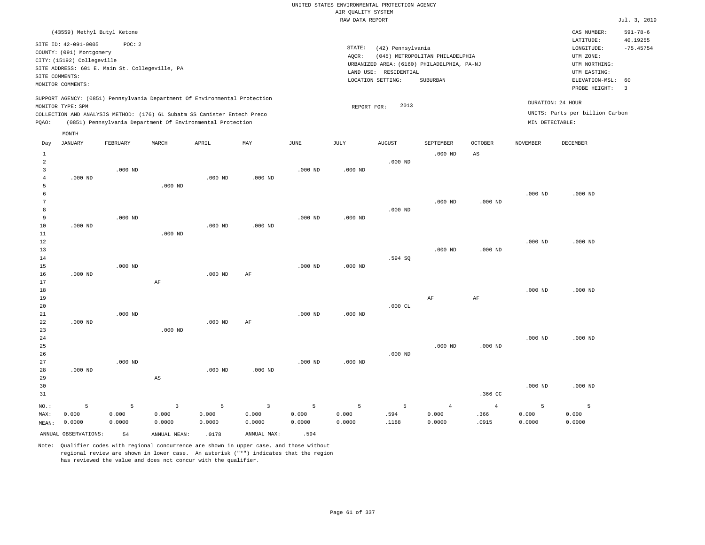|                | (43559) Methyl Butyl Ketone                    |                 |                         |                                                                            |                         |             |                    |                                                                     |                                 |                |                   | CAS NUMBER:                     | $591 - 78 - 6$ |
|----------------|------------------------------------------------|-----------------|-------------------------|----------------------------------------------------------------------------|-------------------------|-------------|--------------------|---------------------------------------------------------------------|---------------------------------|----------------|-------------------|---------------------------------|----------------|
|                | SITE ID: 42-091-0005                           | POC: 2          |                         |                                                                            |                         |             |                    |                                                                     |                                 |                |                   | LATITUDE:                       | 40.19255       |
|                | COUNTY: (091) Montgomery                       |                 |                         |                                                                            |                         |             | STATE:             | (42) Pennsylvania                                                   |                                 |                |                   | LONGITUDE:                      | $-75.45754$    |
|                | CITY: (15192) Collegeville                     |                 |                         |                                                                            |                         |             | AQCR:              |                                                                     | (045) METROPOLITAN PHILADELPHIA |                |                   | UTM ZONE:                       |                |
|                | SITE ADDRESS: 601 E. Main St. Collegeville, PA |                 |                         |                                                                            |                         |             |                    | URBANIZED AREA: (6160) PHILADELPHIA, PA-NJ<br>LAND USE: RESIDENTIAL |                                 |                |                   | UTM NORTHING:<br>UTM EASTING:   |                |
| SITE COMMENTS: |                                                |                 |                         |                                                                            |                         |             |                    | LOCATION SETTING:                                                   | SUBURBAN                        |                |                   | ELEVATION-MSL:                  | 60             |
|                | MONITOR COMMENTS:                              |                 |                         |                                                                            |                         |             |                    |                                                                     |                                 |                |                   | PROBE HEIGHT:                   | $\overline{3}$ |
|                |                                                |                 |                         | SUPPORT AGENCY: (0851) Pennsylvania Department Of Environmental Protection |                         |             |                    |                                                                     |                                 |                |                   |                                 |                |
|                | MONITOR TYPE: SPM                              |                 |                         |                                                                            |                         |             | REPORT FOR:        | 2013                                                                |                                 |                | DURATION: 24 HOUR |                                 |                |
|                |                                                |                 |                         | COLLECTION AND ANALYSIS METHOD: (176) 6L Subatm SS Canister Entech Preco   |                         |             |                    |                                                                     |                                 |                |                   | UNITS: Parts per billion Carbon |                |
| PQAO:          |                                                |                 |                         | (0851) Pennsylvania Department Of Environmental Protection                 |                         |             |                    |                                                                     |                                 |                | MIN DETECTABLE:   |                                 |                |
|                | MONTH                                          |                 |                         |                                                                            |                         |             |                    |                                                                     |                                 |                |                   |                                 |                |
| Day            | JANUARY                                        | <b>FEBRUARY</b> | MARCH                   | APRIL                                                                      | MAY                     | <b>JUNE</b> | JULY               | <b>AUGUST</b>                                                       | SEPTEMBER                       | <b>OCTOBER</b> | <b>NOVEMBER</b>   | <b>DECEMBER</b>                 |                |
| $\mathbf{1}$   |                                                |                 |                         |                                                                            |                         |             |                    |                                                                     | $.000$ ND                       | AS             |                   |                                 |                |
| $\overline{a}$ |                                                |                 |                         |                                                                            |                         |             |                    | $.000$ ND                                                           |                                 |                |                   |                                 |                |
| $\overline{3}$ |                                                | $.000$ ND       |                         |                                                                            |                         | $.000$ ND   | $.000$ ND          |                                                                     |                                 |                |                   |                                 |                |
| $\overline{4}$ | $.000$ ND                                      |                 |                         | $.000$ ND                                                                  | $.000$ ND               |             |                    |                                                                     |                                 |                |                   |                                 |                |
| 5              |                                                |                 | $.000$ ND               |                                                                            |                         |             |                    |                                                                     |                                 |                |                   |                                 |                |
| 6              |                                                |                 |                         |                                                                            |                         |             |                    |                                                                     |                                 |                | $.000$ ND         | $.000$ ND                       |                |
| $\overline{7}$ |                                                |                 |                         |                                                                            |                         |             |                    |                                                                     | $.000$ ND                       | $.000$ ND      |                   |                                 |                |
| 8              |                                                |                 |                         |                                                                            |                         |             |                    | $.000$ ND                                                           |                                 |                |                   |                                 |                |
| 9              |                                                | $.000$ ND       |                         |                                                                            |                         | $.000$ ND   | .000 <sub>ND</sub> |                                                                     |                                 |                |                   |                                 |                |
| 10             | $.000$ ND                                      |                 |                         | $.000$ ND                                                                  | $.000$ ND               |             |                    |                                                                     |                                 |                |                   |                                 |                |
| 11             |                                                |                 | $.000$ ND               |                                                                            |                         |             |                    |                                                                     |                                 |                |                   |                                 |                |
| $1\,2$         |                                                |                 |                         |                                                                            |                         |             |                    |                                                                     |                                 |                | $.000$ ND         | $.000$ ND                       |                |
| 13             |                                                |                 |                         |                                                                            |                         |             |                    |                                                                     | $.000$ ND                       | $.000$ ND      |                   |                                 |                |
| 14             |                                                |                 |                         |                                                                            |                         |             |                    | .594 SQ                                                             |                                 |                |                   |                                 |                |
| 15             |                                                | $.000$ ND       |                         |                                                                            |                         | $.000$ ND   | $.000$ ND          |                                                                     |                                 |                |                   |                                 |                |
| 16             | $.000$ ND                                      |                 |                         | $.000$ ND                                                                  | AF                      |             |                    |                                                                     |                                 |                |                   |                                 |                |
| 17             |                                                |                 | $\rm{AF}$               |                                                                            |                         |             |                    |                                                                     |                                 |                |                   |                                 |                |
| 18             |                                                |                 |                         |                                                                            |                         |             |                    |                                                                     |                                 |                | $.000$ ND         | $.000$ ND                       |                |
| 19             |                                                |                 |                         |                                                                            |                         |             |                    |                                                                     | AF                              | AF             |                   |                                 |                |
| 20             |                                                |                 |                         |                                                                            |                         |             |                    | $.000$ CL                                                           |                                 |                |                   |                                 |                |
| 21             |                                                | $.000$ ND       |                         |                                                                            |                         | $.000$ ND   | $.000$ ND          |                                                                     |                                 |                |                   |                                 |                |
| 22             | $.000$ ND                                      |                 |                         | $.000$ ND                                                                  | AF                      |             |                    |                                                                     |                                 |                |                   |                                 |                |
| 23             |                                                |                 | $.000$ ND               |                                                                            |                         |             |                    |                                                                     |                                 |                |                   |                                 |                |
| 24             |                                                |                 |                         |                                                                            |                         |             |                    |                                                                     |                                 |                | $.000$ ND         | $.000$ ND                       |                |
| 25             |                                                |                 |                         |                                                                            |                         |             |                    |                                                                     | $.000$ ND                       | $.000$ ND      |                   |                                 |                |
| 26             |                                                |                 |                         |                                                                            |                         |             |                    | $.000$ ND                                                           |                                 |                |                   |                                 |                |
| 27<br>28       | $.000$ ND                                      | $.000$ ND       |                         | $.000$ ND                                                                  | $.000$ ND               | $.000$ ND   | $.000$ ND          |                                                                     |                                 |                |                   |                                 |                |
| 29             |                                                |                 | $_{\rm AS}$             |                                                                            |                         |             |                    |                                                                     |                                 |                |                   |                                 |                |
| 30             |                                                |                 |                         |                                                                            |                         |             |                    |                                                                     |                                 |                | $.000$ ND         | $.000$ ND                       |                |
| 31             |                                                |                 |                         |                                                                            |                         |             |                    |                                                                     |                                 | .366 CC        |                   |                                 |                |
|                |                                                |                 |                         |                                                                            |                         |             |                    |                                                                     |                                 |                |                   |                                 |                |
| NO.:           | 5                                              | 5               | $\overline{\mathbf{3}}$ | 5                                                                          | $\overline{\mathbf{3}}$ | 5           | 5                  | 5                                                                   | $\overline{4}$                  | $\overline{4}$ | 5                 | $\overline{5}$                  |                |
| MAX:           | 0.000                                          | 0.000           | 0.000                   | 0.000                                                                      | 0.000                   | 0.000       | 0.000              | .594                                                                | 0.000                           | .366           | 0.000             | 0.000                           |                |
| MEAN:          | 0.0000                                         | 0.0000          | 0.0000                  | 0.0000                                                                     | 0.0000                  | 0.0000      | 0.0000             | .1188                                                               | 0.0000                          | .0915          | 0.0000            | 0.0000                          |                |
|                | ANNUAL OBSERVATIONS:                           | 54              | ANNUAL MEAN:            | .0178                                                                      | ANNUAL MAX:             | .594        |                    |                                                                     |                                 |                |                   |                                 |                |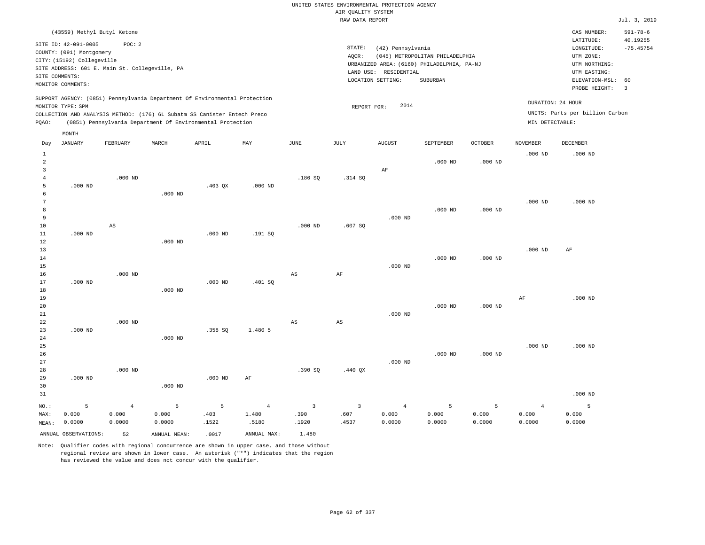|                                | (43559) Methyl Butyl Ketone                                                                                                                                             |                        |              |                                                                                                                                        |                |                |                        |                                                                 |                                                                                           |           |                 | CAS NUMBER:                                                                             | $591 - 78 - 6$<br>40.19255 |
|--------------------------------|-------------------------------------------------------------------------------------------------------------------------------------------------------------------------|------------------------|--------------|----------------------------------------------------------------------------------------------------------------------------------------|----------------|----------------|------------------------|-----------------------------------------------------------------|-------------------------------------------------------------------------------------------|-----------|-----------------|-----------------------------------------------------------------------------------------|----------------------------|
|                                | SITE ID: 42-091-0005<br>COUNTY: (091) Montgomery<br>CITY: (15192) Collegeville<br>SITE ADDRESS: 601 E. Main St. Collegeville, PA<br>SITE COMMENTS:<br>MONITOR COMMENTS: | POC: 2                 |              |                                                                                                                                        |                |                | STATE:<br>AQCR:        | (42) Pennsylvania<br>LAND USE: RESIDENTIAL<br>LOCATION SETTING: | (045) METROPOLITAN PHILADELPHIA<br>URBANIZED AREA: (6160) PHILADELPHIA, PA-NJ<br>SUBURBAN |           |                 | LATITUDE:<br>LONGITUDE:<br>UTM ZONE:<br>UTM NORTHING:<br>UTM EASTING:<br>ELEVATION-MSL: | $-75.45754$<br>60          |
|                                |                                                                                                                                                                         |                        |              | SUPPORT AGENCY: (0851) Pennsylvania Department Of Environmental Protection                                                             |                |                |                        |                                                                 |                                                                                           |           |                 | PROBE HEIGHT:<br>DURATION: 24 HOUR                                                      | $\overline{3}$             |
|                                | MONITOR TYPE: SPM                                                                                                                                                       |                        |              |                                                                                                                                        |                |                | REPORT FOR:            | 2014                                                            |                                                                                           |           |                 | UNITS: Parts per billion Carbon                                                         |                            |
| POAO:                          |                                                                                                                                                                         |                        |              | COLLECTION AND ANALYSIS METHOD: (176) 6L Subatm SS Canister Entech Preco<br>(0851) Pennsylvania Department Of Environmental Protection |                |                |                        |                                                                 |                                                                                           |           | MIN DETECTABLE: |                                                                                         |                            |
|                                |                                                                                                                                                                         |                        |              |                                                                                                                                        |                |                |                        |                                                                 |                                                                                           |           |                 |                                                                                         |                            |
| Day                            | MONTH<br>JANUARY                                                                                                                                                        | FEBRUARY               | MARCH        | APRIL                                                                                                                                  | MAY            | JUNE           | JULY                   | <b>AUGUST</b>                                                   | SEPTEMBER                                                                                 | OCTOBER   | $\,$ NOVEMBER   | <b>DECEMBER</b>                                                                         |                            |
|                                |                                                                                                                                                                         |                        |              |                                                                                                                                        |                |                |                        |                                                                 |                                                                                           |           |                 |                                                                                         |                            |
| $\mathbf{1}$<br>$\overline{a}$ |                                                                                                                                                                         |                        |              |                                                                                                                                        |                |                |                        |                                                                 | $.000$ ND                                                                                 | $.000$ ND | $.000$ ND       | $.000$ ND                                                                               |                            |
| $\overline{3}$                 |                                                                                                                                                                         |                        |              |                                                                                                                                        |                |                |                        | AF                                                              |                                                                                           |           |                 |                                                                                         |                            |
| $\overline{4}$                 |                                                                                                                                                                         | $.000$ ND              |              |                                                                                                                                        |                | .186SQ         | .314 SQ                |                                                                 |                                                                                           |           |                 |                                                                                         |                            |
| 5                              | $.000$ ND                                                                                                                                                               |                        |              | $.403$ QX                                                                                                                              | $.000$ ND      |                |                        |                                                                 |                                                                                           |           |                 |                                                                                         |                            |
| 6                              |                                                                                                                                                                         |                        | $.000$ ND    |                                                                                                                                        |                |                |                        |                                                                 |                                                                                           |           |                 |                                                                                         |                            |
| $7\phantom{.0}$                |                                                                                                                                                                         |                        |              |                                                                                                                                        |                |                |                        |                                                                 |                                                                                           |           | $.000$ ND       | $.000$ ND                                                                               |                            |
| 8                              |                                                                                                                                                                         |                        |              |                                                                                                                                        |                |                |                        |                                                                 | $.000$ ND                                                                                 | $.000$ ND |                 |                                                                                         |                            |
| 9<br>10                        |                                                                                                                                                                         |                        |              |                                                                                                                                        |                | $.000$ ND      | .607SQ                 | $.000$ ND                                                       |                                                                                           |           |                 |                                                                                         |                            |
| 11                             | $.000$ ND                                                                                                                                                               | $\mathbb{A}\mathbb{S}$ |              | $.000$ ND                                                                                                                              | .191SQ         |                |                        |                                                                 |                                                                                           |           |                 |                                                                                         |                            |
| 12                             |                                                                                                                                                                         |                        | $.000$ ND    |                                                                                                                                        |                |                |                        |                                                                 |                                                                                           |           |                 |                                                                                         |                            |
| 13                             |                                                                                                                                                                         |                        |              |                                                                                                                                        |                |                |                        |                                                                 |                                                                                           |           | $.000$ ND       | AF                                                                                      |                            |
| 14                             |                                                                                                                                                                         |                        |              |                                                                                                                                        |                |                |                        |                                                                 | $.000$ ND                                                                                 | $.000$ ND |                 |                                                                                         |                            |
| 15                             |                                                                                                                                                                         |                        |              |                                                                                                                                        |                |                |                        | $.000$ ND                                                       |                                                                                           |           |                 |                                                                                         |                            |
| 16                             |                                                                                                                                                                         | $.000$ ND              |              |                                                                                                                                        |                | $_{\rm AS}$    | AF                     |                                                                 |                                                                                           |           |                 |                                                                                         |                            |
| 17                             | $.000$ ND                                                                                                                                                               |                        |              | $.000$ ND                                                                                                                              | .401SQ         |                |                        |                                                                 |                                                                                           |           |                 |                                                                                         |                            |
| 18<br>19                       |                                                                                                                                                                         |                        | $.000$ ND    |                                                                                                                                        |                |                |                        |                                                                 |                                                                                           |           | AF              | $.000$ ND                                                                               |                            |
| 20                             |                                                                                                                                                                         |                        |              |                                                                                                                                        |                |                |                        |                                                                 | $.000$ ND                                                                                 | $.000$ ND |                 |                                                                                         |                            |
| 21                             |                                                                                                                                                                         |                        |              |                                                                                                                                        |                |                |                        | $.000$ ND                                                       |                                                                                           |           |                 |                                                                                         |                            |
| 22                             |                                                                                                                                                                         | $.000$ ND              |              |                                                                                                                                        |                | $_{\rm AS}$    | $\mathbb{A}\mathbb{S}$ |                                                                 |                                                                                           |           |                 |                                                                                         |                            |
| 23                             | $.000$ ND                                                                                                                                                               |                        |              | .358 SO                                                                                                                                | 1.480 5        |                |                        |                                                                 |                                                                                           |           |                 |                                                                                         |                            |
| 24                             |                                                                                                                                                                         |                        | $.000$ ND    |                                                                                                                                        |                |                |                        |                                                                 |                                                                                           |           |                 |                                                                                         |                            |
| 25                             |                                                                                                                                                                         |                        |              |                                                                                                                                        |                |                |                        |                                                                 |                                                                                           |           | $.000$ ND       | $.000$ ND                                                                               |                            |
| 26<br>27                       |                                                                                                                                                                         |                        |              |                                                                                                                                        |                |                |                        | $.000$ ND                                                       | $.000$ ND                                                                                 | $.000$ ND |                 |                                                                                         |                            |
| 28                             |                                                                                                                                                                         | $.000$ ND              |              |                                                                                                                                        |                | .390SQ         | $.440$ QX              |                                                                 |                                                                                           |           |                 |                                                                                         |                            |
| 29                             | $.000$ ND                                                                                                                                                               |                        |              | $.000$ ND                                                                                                                              | $\rm AF$       |                |                        |                                                                 |                                                                                           |           |                 |                                                                                         |                            |
| 30                             |                                                                                                                                                                         |                        | $.000$ ND    |                                                                                                                                        |                |                |                        |                                                                 |                                                                                           |           |                 |                                                                                         |                            |
| 31                             |                                                                                                                                                                         |                        |              |                                                                                                                                        |                |                |                        |                                                                 |                                                                                           |           |                 | $.000$ ND                                                                               |                            |
| NO.:                           | 5                                                                                                                                                                       | $\overline{4}$         | 5            | 5                                                                                                                                      | $\overline{4}$ | $\overline{3}$ | $\overline{3}$         | $\overline{4}$                                                  | 5                                                                                         | 5         | $\overline{4}$  | 5                                                                                       |                            |
| MAX:                           | 0.000                                                                                                                                                                   | 0.000                  | 0.000        | .403                                                                                                                                   | 1.480          | .390           | .607                   | 0.000                                                           | 0.000                                                                                     | 0.000     | 0.000           | 0.000                                                                                   |                            |
| MEAN:                          | 0.0000                                                                                                                                                                  | 0.0000                 | 0.0000       | .1522                                                                                                                                  | .5180          | .1920          | .4537                  | 0.0000                                                          | 0.0000                                                                                    | 0.0000    | 0.0000          | 0.0000                                                                                  |                            |
|                                | ANNUAL OBSERVATIONS:                                                                                                                                                    | 52                     | ANNUAL MEAN: | .0917                                                                                                                                  | ANNUAL MAX:    | 1.480          |                        |                                                                 |                                                                                           |           |                 |                                                                                         |                            |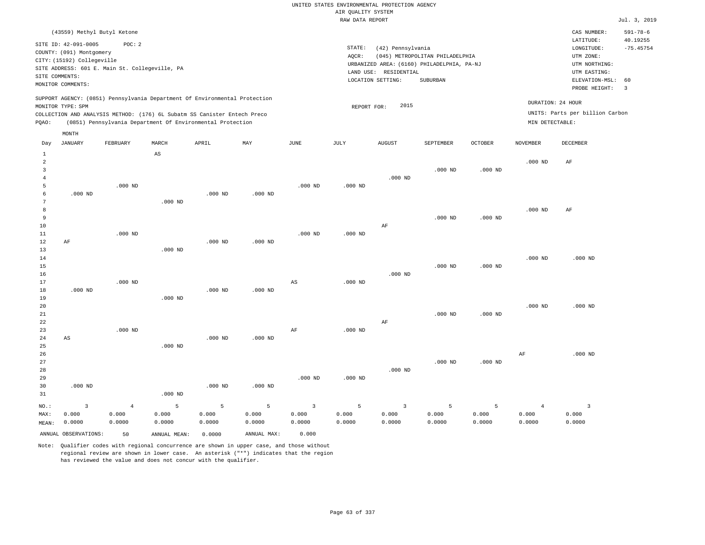## UNITED STATES ENVIRONMENTAL PROTECTION AGENCY AIR QUALITY SYSTEM

|                     |                            |                                                                                                                                        |             |           |           |             | RAW DATA REPORT |                       |                                            |                |                 |                                 | Jul. 3, 2019            |
|---------------------|----------------------------|----------------------------------------------------------------------------------------------------------------------------------------|-------------|-----------|-----------|-------------|-----------------|-----------------------|--------------------------------------------|----------------|-----------------|---------------------------------|-------------------------|
|                     |                            | (43559) Methyl Butyl Ketone                                                                                                            |             |           |           |             |                 |                       |                                            |                |                 | CAS NUMBER:                     | $591 - 78 - 6$          |
|                     | SITE ID: 42-091-0005       | POC: 2                                                                                                                                 |             |           |           |             | STATE:          | (42) Pennsylvania     |                                            |                |                 | LATITUDE:<br>LONGITUDE:         | 40.19255<br>$-75.45754$ |
|                     | COUNTY: (091) Montgomery   |                                                                                                                                        |             |           |           |             | AQCR:           |                       | (045) METROPOLITAN PHILADELPHIA            |                |                 | UTM ZONE:                       |                         |
|                     | CITY: (15192) Collegeville |                                                                                                                                        |             |           |           |             |                 |                       | URBANIZED AREA: (6160) PHILADELPHIA, PA-NJ |                |                 | UTM NORTHING:                   |                         |
|                     |                            | SITE ADDRESS: 601 E. Main St. Collegeville, PA                                                                                         |             |           |           |             |                 | LAND USE: RESIDENTIAL |                                            |                |                 | UTM EASTING:                    |                         |
|                     | SITE COMMENTS:             |                                                                                                                                        |             |           |           |             |                 | LOCATION SETTING:     | SUBURBAN                                   |                |                 | ELEVATION-MSL:                  | 60                      |
|                     | MONITOR COMMENTS:          |                                                                                                                                        |             |           |           |             |                 |                       |                                            |                |                 | PROBE HEIGHT:                   | $\overline{\mathbf{3}}$ |
|                     |                            | SUPPORT AGENCY: (0851) Pennsylvania Department Of Environmental Protection                                                             |             |           |           |             |                 | 2015                  |                                            |                |                 | DURATION: 24 HOUR               |                         |
|                     | MONITOR TYPE: SPM          |                                                                                                                                        |             |           |           |             | REPORT FOR:     |                       |                                            |                |                 | UNITS: Parts per billion Carbon |                         |
| PQAO:               |                            | COLLECTION AND ANALYSIS METHOD: (176) 6L Subatm SS Canister Entech Preco<br>(0851) Pennsylvania Department Of Environmental Protection |             |           |           |             |                 |                       |                                            |                | MIN DETECTABLE: |                                 |                         |
|                     | MONTH                      |                                                                                                                                        |             |           |           |             |                 |                       |                                            |                |                 |                                 |                         |
| Day                 | JANUARY                    | FEBRUARY                                                                                                                               | MARCH       | APRIL     | MAY       | <b>JUNE</b> | JULY            | <b>AUGUST</b>         | SEPTEMBER                                  | <b>OCTOBER</b> | <b>NOVEMBER</b> | DECEMBER                        |                         |
| $\mathbf{1}$        |                            |                                                                                                                                        | $_{\rm AS}$ |           |           |             |                 |                       |                                            |                |                 |                                 |                         |
| $\overline{a}$      |                            |                                                                                                                                        |             |           |           |             |                 |                       |                                            |                | $.000$ ND       | AF                              |                         |
| 3                   |                            |                                                                                                                                        |             |           |           |             |                 |                       | $.000$ ND                                  | $.000$ ND      |                 |                                 |                         |
| $\overline{4}$<br>5 |                            | $.000$ ND                                                                                                                              |             |           |           | $.000$ ND   | $.000$ ND       | $.000$ ND             |                                            |                |                 |                                 |                         |
| 6                   | $.000$ ND                  |                                                                                                                                        |             | $.000$ ND | $.000$ ND |             |                 |                       |                                            |                |                 |                                 |                         |
| 7                   |                            |                                                                                                                                        | $.000$ ND   |           |           |             |                 |                       |                                            |                |                 |                                 |                         |
| 8                   |                            |                                                                                                                                        |             |           |           |             |                 |                       |                                            |                | $.000$ ND       | AF                              |                         |
| 9                   |                            |                                                                                                                                        |             |           |           |             |                 |                       | $.000$ ND                                  | $.000$ ND      |                 |                                 |                         |
| 10                  |                            |                                                                                                                                        |             |           |           |             |                 | AF                    |                                            |                |                 |                                 |                         |
| 11                  |                            | $.000$ ND                                                                                                                              |             |           |           | $.000$ ND   | $.000$ ND       |                       |                                            |                |                 |                                 |                         |
| 12                  | AF                         |                                                                                                                                        |             | $.000$ ND | $.000$ ND |             |                 |                       |                                            |                |                 |                                 |                         |
| 13                  |                            |                                                                                                                                        | $.000$ ND   |           |           |             |                 |                       |                                            |                |                 |                                 |                         |
| 14                  |                            |                                                                                                                                        |             |           |           |             |                 |                       |                                            |                | $.000$ ND       | $.000$ ND                       |                         |
| 15                  |                            |                                                                                                                                        |             |           |           |             |                 |                       | $.000$ ND                                  | $.000$ ND      |                 |                                 |                         |
| 16                  |                            |                                                                                                                                        |             |           |           |             |                 | $.000$ ND             |                                            |                |                 |                                 |                         |
| 17                  |                            | $.000$ ND                                                                                                                              |             |           |           | AS          | $.000$ ND       |                       |                                            |                |                 |                                 |                         |
| 18<br>19            | $.000$ ND                  |                                                                                                                                        | $.000$ ND   | $.000$ ND | $.000$ ND |             |                 |                       |                                            |                |                 |                                 |                         |
| 20                  |                            |                                                                                                                                        |             |           |           |             |                 |                       |                                            |                | $.000$ ND       | $.000$ ND                       |                         |
| 21                  |                            |                                                                                                                                        |             |           |           |             |                 |                       | $.000$ ND                                  | $.000$ ND      |                 |                                 |                         |
| 22                  |                            |                                                                                                                                        |             |           |           |             |                 | AF                    |                                            |                |                 |                                 |                         |
| 23                  |                            | $.000$ ND                                                                                                                              |             |           |           | AF          | $.000$ ND       |                       |                                            |                |                 |                                 |                         |
| 24                  | AS                         |                                                                                                                                        |             | $.000$ ND | $.000$ ND |             |                 |                       |                                            |                |                 |                                 |                         |
| 25                  |                            |                                                                                                                                        | $.000$ ND   |           |           |             |                 |                       |                                            |                |                 |                                 |                         |
| 26                  |                            |                                                                                                                                        |             |           |           |             |                 |                       |                                            |                | $\rm AF$        | $.000$ ND                       |                         |
| 27                  |                            |                                                                                                                                        |             |           |           |             |                 |                       | $.000$ ND                                  | $.000$ ND      |                 |                                 |                         |
| 28                  |                            |                                                                                                                                        |             |           |           |             |                 | $.000$ ND             |                                            |                |                 |                                 |                         |
| 29                  |                            |                                                                                                                                        |             |           |           | $.000$ ND   | $.000$ ND       |                       |                                            |                |                 |                                 |                         |
| 30                  | $.000$ ND                  |                                                                                                                                        |             | $.000$ ND | $.000$ ND |             |                 |                       |                                            |                |                 |                                 |                         |
| 31                  |                            |                                                                                                                                        | $.000$ ND   |           |           |             |                 |                       |                                            |                |                 |                                 |                         |

| NO.:  | $\overline{3}$       | $4\sigma$ | $5 - 5$      |        |             | 5 5 3 5 3 5 5 |        |        |        |        | $\sim$ 4 |        |
|-------|----------------------|-----------|--------------|--------|-------------|---------------|--------|--------|--------|--------|----------|--------|
| MAX:  | 0.000                | 0.000     | 0.000        | 0.000  | 0.000       | 0.000         | 0.000  | 0.000  | 0.000  | 0.000  | 0.000    | 0.000  |
| MEAN: | 0.0000               | 0.0000    | 0.0000       | 0.0000 | 0.0000      | 0.0000        | 0.0000 | 0.0000 | 0.0000 | 0.0000 | 0.0000   | 0.0000 |
|       | ANNUAL OBSERVATIONS: | 50        | ANNUAL MEAN: | 0.0000 | ANNUAL MAX: | 0.000         |        |        |        |        |          |        |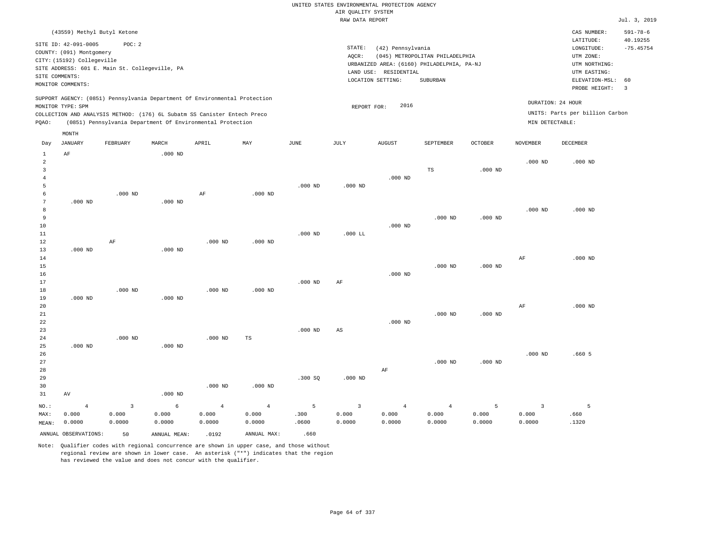# UNITED STATES ENVIRONMENTAL PROTECTION AGENCY AIR QUALITY SYSTEM

|                 |                                                |                |                                                                            |                |                |                       | RAW DATA REPORT         |                       |                                            |           |                 |                                 | Jul. 3, 2019            |
|-----------------|------------------------------------------------|----------------|----------------------------------------------------------------------------|----------------|----------------|-----------------------|-------------------------|-----------------------|--------------------------------------------|-----------|-----------------|---------------------------------|-------------------------|
|                 | (43559) Methyl Butyl Ketone                    |                |                                                                            |                |                |                       |                         |                       |                                            |           |                 | CAS NUMBER:                     | $591 - 78 - 6$          |
|                 |                                                |                |                                                                            |                |                |                       |                         |                       |                                            |           |                 | LATITUDE:                       | 40.19255                |
|                 | SITE ID: 42-091-0005                           | POC: 2         |                                                                            |                |                |                       | STATE:                  | (42) Pennsylvania     |                                            |           |                 | LONGITUDE:                      | $-75.45754$             |
|                 | COUNTY: (091) Montgomery                       |                |                                                                            |                |                |                       | AQCR:                   |                       | (045) METROPOLITAN PHILADELPHIA            |           |                 | UTM ZONE:                       |                         |
|                 | CITY: (15192) Collegeville                     |                |                                                                            |                |                |                       |                         |                       | URBANIZED AREA: (6160) PHILADELPHIA, PA-NJ |           |                 | UTM NORTHING:                   |                         |
|                 | SITE ADDRESS: 601 E. Main St. Collegeville, PA |                |                                                                            |                |                |                       |                         | LAND USE: RESIDENTIAL |                                            |           |                 | UTM EASTING:                    |                         |
|                 | SITE COMMENTS:                                 |                |                                                                            |                |                |                       |                         | LOCATION SETTING:     | SUBURBAN                                   |           |                 | ELEVATION-MSL:                  | 60                      |
|                 | MONITOR COMMENTS:                              |                |                                                                            |                |                |                       |                         |                       |                                            |           |                 | PROBE HEIGHT:                   | $\overline{\mathbf{3}}$ |
|                 |                                                |                | SUPPORT AGENCY: (0851) Pennsylvania Department Of Environmental Protection |                |                |                       |                         |                       |                                            |           |                 |                                 |                         |
|                 | MONITOR TYPE: SPM                              |                |                                                                            |                |                |                       | REPORT FOR:             | 2016                  |                                            |           |                 | DURATION: 24 HOUR               |                         |
|                 |                                                |                | COLLECTION AND ANALYSIS METHOD: (176) 6L Subatm SS Canister Entech Preco   |                |                |                       |                         |                       |                                            |           |                 | UNITS: Parts per billion Carbon |                         |
| PQAO:           |                                                |                | (0851) Pennsylvania Department Of Environmental Protection                 |                |                |                       |                         |                       |                                            |           | MIN DETECTABLE: |                                 |                         |
|                 | MONTH                                          |                |                                                                            |                |                |                       |                         |                       |                                            |           |                 |                                 |                         |
| Day             | <b>JANUARY</b>                                 | FEBRUARY       | MARCH                                                                      | APRIL          | MAY            | $\operatorname{JUNE}$ | JULY                    | <b>AUGUST</b>         | SEPTEMBER                                  | OCTOBER   | <b>NOVEMBER</b> | DECEMBER                        |                         |
| $\mathbf{1}$    | $\rm AF$                                       |                | $.000$ ND                                                                  |                |                |                       |                         |                       |                                            |           |                 |                                 |                         |
| $\overline{a}$  |                                                |                |                                                                            |                |                |                       |                         |                       |                                            |           | $.000$ ND       | $.000$ ND                       |                         |
| $\overline{3}$  |                                                |                |                                                                            |                |                |                       |                         |                       | TS                                         | $.000$ ND |                 |                                 |                         |
| $\overline{4}$  |                                                |                |                                                                            |                |                |                       |                         | $.000$ ND             |                                            |           |                 |                                 |                         |
| 5               |                                                |                |                                                                            |                |                | $.000$ ND             | $.000$ ND               |                       |                                            |           |                 |                                 |                         |
| 6               |                                                | $.000$ ND      |                                                                            | $\rm AF$       | $.000$ ND      |                       |                         |                       |                                            |           |                 |                                 |                         |
| $7\phantom{.0}$ | $.000$ ND                                      |                | $.000$ ND                                                                  |                |                |                       |                         |                       |                                            |           |                 |                                 |                         |
| 8               |                                                |                |                                                                            |                |                |                       |                         |                       |                                            |           | $.000$ ND       | $.000$ ND                       |                         |
| 9               |                                                |                |                                                                            |                |                |                       |                         |                       | $.000$ ND                                  | $.000$ ND |                 |                                 |                         |
| $10$            |                                                |                |                                                                            |                |                |                       |                         | $.000$ ND             |                                            |           |                 |                                 |                         |
| 11              |                                                |                |                                                                            |                |                | $.000$ ND             | $.000$ LL               |                       |                                            |           |                 |                                 |                         |
| 12              |                                                | AF             |                                                                            | $.000$ ND      | $.000$ ND      |                       |                         |                       |                                            |           |                 |                                 |                         |
| 13              | $.000$ ND                                      |                | $.000$ ND                                                                  |                |                |                       |                         |                       |                                            |           |                 |                                 |                         |
| 14              |                                                |                |                                                                            |                |                |                       |                         |                       |                                            |           | $\rm AF$        | $.000$ ND                       |                         |
| 15              |                                                |                |                                                                            |                |                |                       |                         |                       | $.000$ ND                                  | $.000$ ND |                 |                                 |                         |
| 16              |                                                |                |                                                                            |                |                |                       |                         | $.000$ ND             |                                            |           |                 |                                 |                         |
| 17              |                                                |                |                                                                            |                |                | $.000$ ND             | AF                      |                       |                                            |           |                 |                                 |                         |
| 18              |                                                | $.000$ ND      |                                                                            | $.000$ ND      | $.000$ ND      |                       |                         |                       |                                            |           |                 |                                 |                         |
| 19              | $.000$ ND                                      |                | $.000$ ND                                                                  |                |                |                       |                         |                       |                                            |           |                 |                                 |                         |
| 20              |                                                |                |                                                                            |                |                |                       |                         |                       |                                            |           | $\rm{AF}$       | $.000$ ND                       |                         |
| 21              |                                                |                |                                                                            |                |                |                       |                         |                       | $.000$ ND                                  | $.000$ ND |                 |                                 |                         |
| 22              |                                                |                |                                                                            |                |                |                       |                         | $.000$ ND             |                                            |           |                 |                                 |                         |
| 23              |                                                |                |                                                                            |                |                | $.000$ ND             | AS                      |                       |                                            |           |                 |                                 |                         |
| 24              |                                                | $.000$ ND      |                                                                            | $.000$ ND      | TS             |                       |                         |                       |                                            |           |                 |                                 |                         |
| 25              | $.000$ ND                                      |                | $.000$ ND                                                                  |                |                |                       |                         |                       |                                            |           |                 |                                 |                         |
| 26              |                                                |                |                                                                            |                |                |                       |                         |                       | $.000$ ND                                  | $.000$ ND | $.000$ ND       | .6605                           |                         |
| 27              |                                                |                |                                                                            |                |                |                       |                         |                       |                                            |           |                 |                                 |                         |
| 28              |                                                |                |                                                                            |                |                |                       |                         | $\rm AF$              |                                            |           |                 |                                 |                         |
| 29<br>30        |                                                |                |                                                                            | $.000$ ND      | $.000$ ND      | .300SQ                | $.000$ ND               |                       |                                            |           |                 |                                 |                         |
| 31              | AV                                             |                | $.000$ ND                                                                  |                |                |                       |                         |                       |                                            |           |                 |                                 |                         |
|                 |                                                |                |                                                                            |                |                |                       |                         |                       |                                            |           |                 |                                 |                         |
| NO.:            | $\overline{4}$                                 | $\overline{3}$ | 6                                                                          | $\overline{4}$ | $\overline{4}$ | 5                     | $\overline{\mathbf{3}}$ | $\overline{4}$        | $\overline{4}$                             | 5         | $\overline{3}$  | 5                               |                         |
| MAX:            | 0.000                                          | 0.000          | 0.000                                                                      | 0.000          | 0.000          | .300                  | 0.000                   | 0.000                 | 0.000                                      | 0.000     | 0.000           | .660                            |                         |
| MEAN:           | 0.0000                                         | 0.0000         | 0.0000                                                                     | 0.0000         | 0.0000         | .0600                 | 0.0000                  | 0.0000                | 0.0000                                     | 0.0000    | 0.0000          | .1320                           |                         |
|                 | ANNUAL OBSERVATIONS:                           | 50             | ANNUAL MEAN:                                                               | .0192          | ANNUAL MAX:    | .660                  |                         |                       |                                            |           |                 |                                 |                         |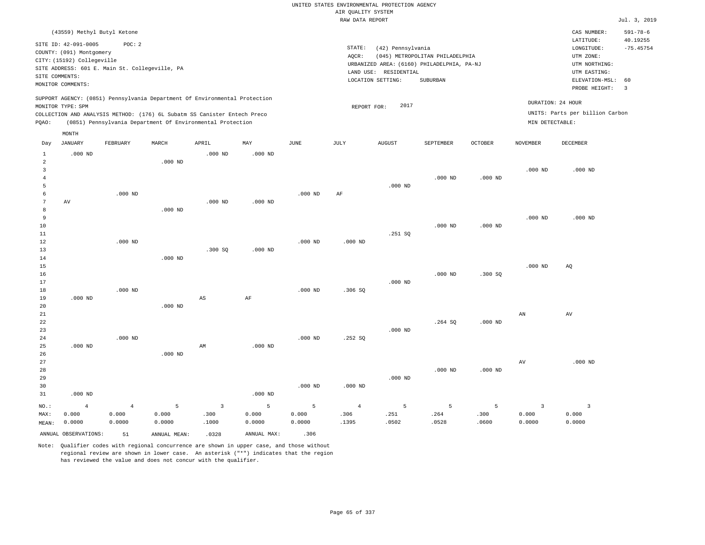|                                       |                                                                                                                                 |                                                          |           |                                                                                                                                                                                                                      |           |             |                    | UNITED STATES ENVIRONMENTAL PROTECTION AGENCY                                                                 |                                                    |           |                 |                                                                                                        |                                                 |
|---------------------------------------|---------------------------------------------------------------------------------------------------------------------------------|----------------------------------------------------------|-----------|----------------------------------------------------------------------------------------------------------------------------------------------------------------------------------------------------------------------|-----------|-------------|--------------------|---------------------------------------------------------------------------------------------------------------|----------------------------------------------------|-----------|-----------------|--------------------------------------------------------------------------------------------------------|-------------------------------------------------|
|                                       |                                                                                                                                 |                                                          |           |                                                                                                                                                                                                                      |           |             | AIR OUALITY SYSTEM |                                                                                                               |                                                    |           |                 |                                                                                                        |                                                 |
|                                       |                                                                                                                                 |                                                          |           |                                                                                                                                                                                                                      |           |             | RAW DATA REPORT    |                                                                                                               |                                                    |           |                 |                                                                                                        | Jul. 3, 2019                                    |
|                                       | (43559) Methyl Butyl Ketone<br>SITE ID: 42-091-0005<br>COUNTY: (091) Montgomery<br>CITY: (15192) Collegeville<br>SITE COMMENTS: | POC: 2<br>SITE ADDRESS: 601 E. Main St. Collegeville, PA |           |                                                                                                                                                                                                                      |           |             | STATE:<br>AOCR:    | (42) Pennsylvania<br>URBANIZED AREA: (6160) PHILADELPHIA, PA-NJ<br>LAND USE: RESIDENTIAL<br>LOCATION SETTING: | (045) METROPOLITAN PHILADELPHIA<br><b>SUBURBAN</b> |           |                 | CAS NUMBER:<br>LATITUDE:<br>LONGITUDE:<br>UTM ZONE:<br>UTM NORTHING:<br>UTM EASTING:<br>ELEVATION-MSL: | $591 - 78 - 6$<br>40.19255<br>$-75.45754$<br>60 |
|                                       | MONITOR COMMENTS:                                                                                                               |                                                          |           |                                                                                                                                                                                                                      |           |             |                    |                                                                                                               |                                                    |           |                 | PROBE HEIGHT:                                                                                          | $\overline{3}$                                  |
| PQAO:                                 | MONITOR TYPE: SPM                                                                                                               |                                                          |           | SUPPORT AGENCY: (0851) Pennsylvania Department Of Environmental Protection<br>COLLECTION AND ANALYSIS METHOD: (176) 6L Subatm SS Canister Entech Preco<br>(0851) Pennsylvania Department Of Environmental Protection |           |             | REPORT FOR:        | 2017                                                                                                          |                                                    |           | MIN DETECTABLE: | DURATION: 24 HOUR<br>UNITS: Parts per billion Carbon                                                   |                                                 |
| Day                                   | MONTH<br><b>JANUARY</b>                                                                                                         | FEBRUARY                                                 | MARCH     | APRIL                                                                                                                                                                                                                | MAY       | <b>JUNE</b> | JULY               | <b>AUGUST</b>                                                                                                 | SEPTEMBER                                          | OCTOBER   | <b>NOVEMBER</b> | <b>DECEMBER</b>                                                                                        |                                                 |
| $\mathbf{1}$                          | $.000$ ND                                                                                                                       |                                                          |           | $.000$ ND                                                                                                                                                                                                            | $.000$ ND |             |                    |                                                                                                               |                                                    |           |                 |                                                                                                        |                                                 |
| 2<br>$\overline{3}$<br>$\overline{4}$ |                                                                                                                                 |                                                          | $.000$ ND |                                                                                                                                                                                                                      |           |             |                    |                                                                                                               | .000 <sub>ND</sub>                                 | $.000$ ND | $.000$ ND       | $.000$ ND                                                                                              |                                                 |
| 5<br>6<br>7<br>8                      | AV                                                                                                                              | $.000$ ND                                                | $.000$ ND | $.000$ ND                                                                                                                                                                                                            | $.000$ ND | $.000$ ND   | AF                 | $.000$ ND                                                                                                     |                                                    |           |                 |                                                                                                        |                                                 |
| 9<br>10<br>11                         |                                                                                                                                 |                                                          |           |                                                                                                                                                                                                                      |           |             |                    | .251 SQ                                                                                                       | $.000$ ND                                          | $.000$ ND | $.000$ ND       | $.000$ ND                                                                                              |                                                 |
| 12<br>13<br>14                        |                                                                                                                                 | $.000$ ND                                                | $.000$ ND | .300SQ                                                                                                                                                                                                               | $.000$ ND | $.000$ ND   | $.000$ ND          |                                                                                                               |                                                    |           |                 |                                                                                                        |                                                 |
| 15<br>16<br>17<br>18                  |                                                                                                                                 | $.000$ ND                                                |           |                                                                                                                                                                                                                      |           | $.000$ ND   | .306 SO            | $.000$ ND                                                                                                     | $.000$ ND                                          | .300SQ    | $.000$ ND       | AQ                                                                                                     |                                                 |
| 19<br>20<br>21                        | $.000$ ND                                                                                                                       |                                                          | $.000$ ND | AS                                                                                                                                                                                                                   | AF        |             |                    |                                                                                                               |                                                    |           | AN              | AV                                                                                                     |                                                 |
| 22<br>23<br>24                        |                                                                                                                                 | $.000$ ND                                                |           |                                                                                                                                                                                                                      |           | $.000$ ND   | .252SQ             | $.000$ ND                                                                                                     | .264SQ                                             | $.000$ ND |                 |                                                                                                        |                                                 |
| 25<br>26<br>27                        | $.000$ ND                                                                                                                       |                                                          | $.000$ ND | AM                                                                                                                                                                                                                   | $.000$ ND |             |                    |                                                                                                               |                                                    |           | AV              | $.000$ ND                                                                                              |                                                 |
| 28<br>29<br>30                        |                                                                                                                                 |                                                          |           |                                                                                                                                                                                                                      |           | $.000$ ND   | $.000$ ND          | $.000$ ND                                                                                                     | $.000$ ND                                          | $.000$ ND |                 |                                                                                                        |                                                 |

31 .000 ND NO.: MAX: MEAN: 4 0.000 0.0000 .000 ND 4 0.000 0.0000 5 0.000 0.0000 3 .300 .1000 5 0.000 0.0000 5 0.000 0.0000 4 .306 .1395 5 .251 .0502 5 .264 .0528 5 .300 .0600 3 0.000 0.0000 3 0.000 0.0000 ANNUAL OBSERVATIONS: 51 ANNUAL MEAN: .0328 ANNUAL MAX: .306

Note: Qualifier codes with regional concurrence are shown in upper case, and those without regional review are shown in lower case. An asterisk ("\*") indicates that the region has reviewed the value and does not concur with the qualifier.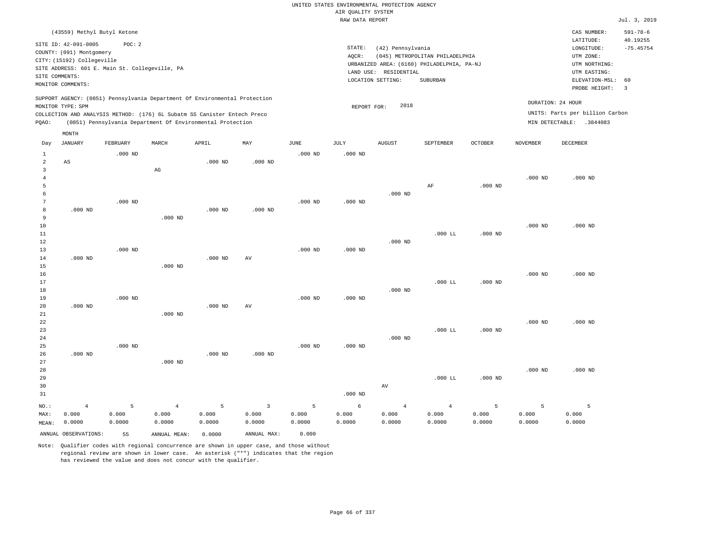|                |                                                     |                                                |                            |                                                                            |                        |               |                                       | UNITED STATES ENVIRONMENTAL PROTECTION AGENCY |                                            |                |                   |                                        |                                           |
|----------------|-----------------------------------------------------|------------------------------------------------|----------------------------|----------------------------------------------------------------------------|------------------------|---------------|---------------------------------------|-----------------------------------------------|--------------------------------------------|----------------|-------------------|----------------------------------------|-------------------------------------------|
|                |                                                     |                                                |                            |                                                                            |                        |               | AIR QUALITY SYSTEM<br>RAW DATA REPORT |                                               |                                            |                |                   |                                        | Jul. 3, 2019                              |
|                |                                                     |                                                |                            |                                                                            |                        |               |                                       |                                               |                                            |                |                   |                                        |                                           |
|                | (43559) Methyl Butyl Ketone<br>SITE ID: 42-091-0005 | POC: 2                                         |                            |                                                                            |                        |               | STATE:                                | (42) Pennsylvania                             |                                            |                |                   | CAS NUMBER:<br>LATITUDE:<br>LONGITUDE: | $591 - 78 - 6$<br>40.19255<br>$-75.45754$ |
|                | COUNTY: (091) Montgomery                            |                                                |                            |                                                                            |                        |               | AOCR:                                 |                                               | (045) METROPOLITAN PHILADELPHIA            |                |                   | UTM ZONE:                              |                                           |
|                | CITY: (15192) Collegeville                          |                                                |                            |                                                                            |                        |               |                                       |                                               | URBANIZED AREA: (6160) PHILADELPHIA, PA-NJ |                |                   | UTM NORTHING:                          |                                           |
|                |                                                     | SITE ADDRESS: 601 E. Main St. Collegeville, PA |                            |                                                                            |                        |               |                                       | LAND USE: RESIDENTIAL                         |                                            |                |                   | UTM EASTING:                           |                                           |
|                | SITE COMMENTS:<br>MONITOR COMMENTS:                 |                                                |                            |                                                                            |                        |               |                                       | LOCATION SETTING:                             | SUBURBAN                                   |                |                   | ELEVATION-MSL:                         | 60                                        |
|                |                                                     |                                                |                            |                                                                            |                        |               |                                       |                                               |                                            |                |                   | PROBE HEIGHT:                          | $\overline{\mathbf{3}}$                   |
|                | MONITOR TYPE: SPM                                   |                                                |                            | SUPPORT AGENCY: (0851) Pennsylvania Department Of Environmental Protection |                        |               | REPORT FOR:                           | 2018                                          |                                            |                | DURATION: 24 HOUR |                                        |                                           |
|                |                                                     |                                                |                            | COLLECTION AND ANALYSIS METHOD: (176) 6L Subatm SS Canister Entech Preco   |                        |               |                                       |                                               |                                            |                |                   | UNITS: Parts per billion Carbon        |                                           |
| PQAO:          |                                                     |                                                |                            | (0851) Pennsylvania Department Of Environmental Protection                 |                        |               |                                       |                                               |                                            |                |                   | MIN DETECTABLE: .3844083               |                                           |
|                | MONTH                                               |                                                |                            |                                                                            |                        |               |                                       |                                               |                                            |                |                   |                                        |                                           |
| Day            | <b>JANUARY</b>                                      | FEBRUARY                                       | MARCH                      | APRIL                                                                      | MAY                    | $_{\rm JUNE}$ | JULY                                  | <b>AUGUST</b>                                 | SEPTEMBER                                  | <b>OCTOBER</b> | <b>NOVEMBER</b>   | DECEMBER                               |                                           |
| $\mathbf{1}$   |                                                     | $.000$ ND                                      |                            |                                                                            |                        | $.000$ ND     | $.000$ ND                             |                                               |                                            |                |                   |                                        |                                           |
| $\overline{a}$ | $\mathbb{A}\mathbb{S}$                              |                                                |                            | $.000$ ND                                                                  | $.000$ ND              |               |                                       |                                               |                                            |                |                   |                                        |                                           |
| 3              |                                                     |                                                | $\mathop{\rm AG}\nolimits$ |                                                                            |                        |               |                                       |                                               |                                            |                |                   |                                        |                                           |
| $\overline{4}$ |                                                     |                                                |                            |                                                                            |                        |               |                                       |                                               |                                            |                | $.000$ ND         | $.000$ ND                              |                                           |
| 5<br>6         |                                                     |                                                |                            |                                                                            |                        |               |                                       |                                               | AF                                         | $.000$ ND      |                   |                                        |                                           |
| 7              |                                                     | $.000$ ND                                      |                            |                                                                            |                        | $.000$ ND     | $.000$ ND                             | $.000$ ND                                     |                                            |                |                   |                                        |                                           |
| 8              | $.000$ ND                                           |                                                |                            | $.000$ ND                                                                  | $.000$ ND              |               |                                       |                                               |                                            |                |                   |                                        |                                           |
| 9              |                                                     |                                                | $.000$ ND                  |                                                                            |                        |               |                                       |                                               |                                            |                |                   |                                        |                                           |
| $10$           |                                                     |                                                |                            |                                                                            |                        |               |                                       |                                               |                                            |                | $.000$ ND         | $.000$ ND                              |                                           |
| 11             |                                                     |                                                |                            |                                                                            |                        |               |                                       |                                               | .000 LL                                    | $.000$ ND      |                   |                                        |                                           |
| 12             |                                                     |                                                |                            |                                                                            |                        |               |                                       | $.000$ ND                                     |                                            |                |                   |                                        |                                           |
| 13             |                                                     | $.000$ ND                                      |                            |                                                                            |                        | $.000$ ND     | $.000$ ND                             |                                               |                                            |                |                   |                                        |                                           |
| 14             | $.000$ ND                                           |                                                |                            | $.000$ ND                                                                  | $\mathbf{A}\mathbf{V}$ |               |                                       |                                               |                                            |                |                   |                                        |                                           |
| 15             |                                                     |                                                | $.000$ ND                  |                                                                            |                        |               |                                       |                                               |                                            |                |                   |                                        |                                           |
| 16<br>$17$     |                                                     |                                                |                            |                                                                            |                        |               |                                       |                                               | $.000$ LL                                  | $.000$ ND      | $.000$ ND         | $.000$ ND                              |                                           |
| 18             |                                                     |                                                |                            |                                                                            |                        |               |                                       | $.000$ ND                                     |                                            |                |                   |                                        |                                           |
| 19             |                                                     | $.000$ ND                                      |                            |                                                                            |                        | $.000$ ND     | $.000$ ND                             |                                               |                                            |                |                   |                                        |                                           |
| 20             | $.000$ ND                                           |                                                |                            | $.000$ ND                                                                  | AV                     |               |                                       |                                               |                                            |                |                   |                                        |                                           |
| 21             |                                                     |                                                | $.000$ ND                  |                                                                            |                        |               |                                       |                                               |                                            |                |                   |                                        |                                           |
| 22             |                                                     |                                                |                            |                                                                            |                        |               |                                       |                                               |                                            |                | $.000$ ND         | $.000$ ND                              |                                           |
| 23             |                                                     |                                                |                            |                                                                            |                        |               |                                       |                                               | .000 LL                                    | $.000$ ND      |                   |                                        |                                           |
| 24             |                                                     |                                                |                            |                                                                            |                        |               |                                       | $.000$ ND                                     |                                            |                |                   |                                        |                                           |
| 25             |                                                     | $.000$ ND                                      |                            |                                                                            |                        | $.000$ ND     | $.000$ ND                             |                                               |                                            |                |                   |                                        |                                           |
| 26<br>27       | $.000$ ND                                           |                                                | $.000$ ND                  | $.000$ ND                                                                  | $.000$ ND              |               |                                       |                                               |                                            |                |                   |                                        |                                           |
| 28             |                                                     |                                                |                            |                                                                            |                        |               |                                       |                                               |                                            |                | $.000$ ND         | $.000$ ND                              |                                           |
| 29             |                                                     |                                                |                            |                                                                            |                        |               |                                       |                                               | .000 LL                                    | $.000$ ND      |                   |                                        |                                           |
| 30             |                                                     |                                                |                            |                                                                            |                        |               |                                       | AV                                            |                                            |                |                   |                                        |                                           |
| 31             |                                                     |                                                |                            |                                                                            |                        |               | $.000$ ND                             |                                               |                                            |                |                   |                                        |                                           |
| NO.:           | $\overline{4}$                                      | 5                                              | $\overline{4}$             | 5                                                                          | $\overline{3}$         | 5             | $\epsilon$                            | $\overline{4}$                                | $\overline{4}$                             | 5              | $\overline{5}$    | $\overline{5}$                         |                                           |
| MAX:           | 0.000                                               | 0.000                                          | 0.000                      | 0.000                                                                      | 0.000                  | 0.000         | 0.000                                 | 0.000                                         | 0.000                                      | 0.000          | 0.000             | 0.000                                  |                                           |
| MEAN:          | 0.0000                                              | 0.0000                                         | 0.0000                     | 0.0000                                                                     | 0.0000                 | 0.0000        | 0.0000                                | 0.0000                                        | 0.0000                                     | 0.0000         | 0.0000            | 0.0000                                 |                                           |
|                | ANNUAL OBSERVATIONS:                                | 55                                             | ANNUAL MEAN:               | 0.0000                                                                     | ANNUAL MAX:            | 0.000         |                                       |                                               |                                            |                |                   |                                        |                                           |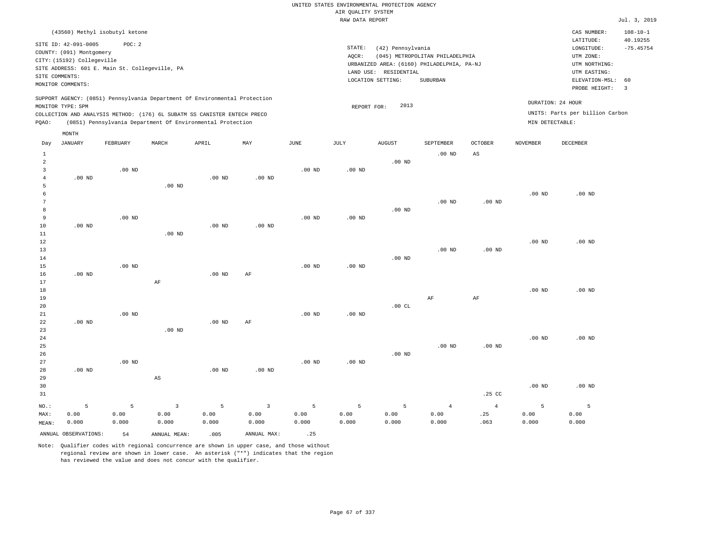# UNITED STATES ENVIRONMENTAL PROTECTION AGENCY AIR QUALITY SYSTEM

|              |                                                                                                                       |                                                          |          |                                                                            |           |                   | RAW DATA REPORT   |                                                                                                               |                                             |                |                   |                                                                                                          | Jul. 3, 2019                                              |
|--------------|-----------------------------------------------------------------------------------------------------------------------|----------------------------------------------------------|----------|----------------------------------------------------------------------------|-----------|-------------------|-------------------|---------------------------------------------------------------------------------------------------------------|---------------------------------------------|----------------|-------------------|----------------------------------------------------------------------------------------------------------|-----------------------------------------------------------|
|              |                                                                                                                       | (43560) Methyl isobutyl ketone                           |          |                                                                            |           |                   |                   |                                                                                                               |                                             |                |                   | CAS NUMBER:                                                                                              | $108 - 10 - 1$                                            |
|              | SITE ID: 42-091-0005<br>COUNTY: (091) Montgomery<br>CITY: (15192) Collegeville<br>SITE COMMENTS:<br>MONITOR COMMENTS: | POC: 2<br>SITE ADDRESS: 601 E. Main St. Collegeville, PA |          |                                                                            |           |                   | STATE:<br>AQCR:   | (42) Pennsylvania<br>URBANIZED AREA: (6160) PHILADELPHIA, PA-NJ<br>LAND USE: RESIDENTIAL<br>LOCATION SETTING: | (045) METROPOLITAN PHILADELPHIA<br>SUBURBAN |                |                   | LATITUDE:<br>LONGITUDE:<br>UTM ZONE:<br>UTM NORTHING:<br>UTM EASTING:<br>ELEVATION-MSL:<br>PROBE HEIGHT: | 40.19255<br>$-75.45754$<br>60<br>$\overline{\phantom{a}}$ |
|              |                                                                                                                       |                                                          |          | SUPPORT AGENCY: (0851) Pennsylvania Department Of Environmental Protection |           |                   |                   |                                                                                                               |                                             |                |                   | DURATION: 24 HOUR                                                                                        |                                                           |
|              | MONITOR TYPE: SPM                                                                                                     |                                                          |          |                                                                            |           |                   | REPORT FOR:       | 2013                                                                                                          |                                             |                |                   | UNITS: Parts per billion Carbon                                                                          |                                                           |
|              |                                                                                                                       |                                                          |          | COLLECTION AND ANALYSIS METHOD: (176) 6L SUBATM SS CANISTER ENTECH PRECO   |           |                   |                   |                                                                                                               |                                             |                |                   |                                                                                                          |                                                           |
| POAO:        |                                                                                                                       |                                                          |          | (0851) Pennsylvania Department Of Environmental Protection                 |           |                   |                   |                                                                                                               |                                             |                | MIN DETECTABLE:   |                                                                                                          |                                                           |
|              | MONTH                                                                                                                 |                                                          |          |                                                                            |           |                   |                   |                                                                                                               |                                             |                |                   |                                                                                                          |                                                           |
| Day          | <b>JANUARY</b>                                                                                                        | FEBRUARY                                                 | MARCH    | APRIL                                                                      | MAY       | JUNE              | JULY              | <b>AUGUST</b>                                                                                                 | SEPTEMBER                                   | <b>OCTOBER</b> | <b>NOVEMBER</b>   | DECEMBER                                                                                                 |                                                           |
| $\mathbf{1}$ |                                                                                                                       |                                                          |          |                                                                            |           |                   |                   |                                                                                                               | $.00$ ND                                    | AS             |                   |                                                                                                          |                                                           |
| 2            |                                                                                                                       |                                                          |          |                                                                            |           |                   |                   | $.00$ ND                                                                                                      |                                             |                |                   |                                                                                                          |                                                           |
| 3            |                                                                                                                       | $.00$ ND                                                 |          |                                                                            |           | $.00$ ND          | $.00$ ND          |                                                                                                               |                                             |                |                   |                                                                                                          |                                                           |
| 4            | $.00$ ND                                                                                                              |                                                          |          | $.00$ ND                                                                   | $.00$ ND  |                   |                   |                                                                                                               |                                             |                |                   |                                                                                                          |                                                           |
| 5            |                                                                                                                       |                                                          | $.00$ ND |                                                                            |           |                   |                   |                                                                                                               |                                             |                |                   |                                                                                                          |                                                           |
|              |                                                                                                                       |                                                          |          |                                                                            |           |                   |                   |                                                                                                               |                                             |                | $.00$ ND          | $.00$ ND                                                                                                 |                                                           |
|              |                                                                                                                       |                                                          |          |                                                                            |           |                   |                   |                                                                                                               | $.00$ ND                                    | $.00$ ND       |                   |                                                                                                          |                                                           |
| 8            |                                                                                                                       |                                                          |          |                                                                            |           |                   |                   | $.00$ ND                                                                                                      |                                             |                |                   |                                                                                                          |                                                           |
| 9            |                                                                                                                       | .00 <sub>ND</sub>                                        |          |                                                                            |           | .00 <sub>ND</sub> | .00 <sub>ND</sub> |                                                                                                               |                                             |                |                   |                                                                                                          |                                                           |
| 10           | $.00$ ND                                                                                                              |                                                          |          | .00 <sub>ND</sub>                                                          | $.00$ ND  |                   |                   |                                                                                                               |                                             |                |                   |                                                                                                          |                                                           |
| 11           |                                                                                                                       |                                                          | $.00$ ND |                                                                            |           |                   |                   |                                                                                                               |                                             |                |                   |                                                                                                          |                                                           |
| 12           |                                                                                                                       |                                                          |          |                                                                            |           |                   |                   |                                                                                                               |                                             |                | $.00$ ND          | $.00$ ND                                                                                                 |                                                           |
| 13           |                                                                                                                       |                                                          |          |                                                                            |           |                   |                   |                                                                                                               | $.00$ ND                                    | $.00$ ND       |                   |                                                                                                          |                                                           |
| 14           |                                                                                                                       |                                                          |          |                                                                            |           |                   |                   | $.00$ ND                                                                                                      |                                             |                |                   |                                                                                                          |                                                           |
| 15           |                                                                                                                       | $.00$ ND                                                 |          |                                                                            |           | $.00$ ND          | $.00$ ND          |                                                                                                               |                                             |                |                   |                                                                                                          |                                                           |
| 16           | $.00$ ND                                                                                                              |                                                          |          | $.00$ ND                                                                   | $\rm{AF}$ |                   |                   |                                                                                                               |                                             |                |                   |                                                                                                          |                                                           |
| 17           |                                                                                                                       |                                                          | AF       |                                                                            |           |                   |                   |                                                                                                               |                                             |                |                   |                                                                                                          |                                                           |
| 18           |                                                                                                                       |                                                          |          |                                                                            |           |                   |                   |                                                                                                               |                                             |                | .00 <sub>ND</sub> | $.00$ ND                                                                                                 |                                                           |
| 19           |                                                                                                                       |                                                          |          |                                                                            |           |                   |                   |                                                                                                               | AF                                          | AF             |                   |                                                                                                          |                                                           |
| 20           |                                                                                                                       |                                                          |          |                                                                            |           |                   |                   | 00T                                                                                                           |                                             |                |                   |                                                                                                          |                                                           |

| MAX:        | 0.00     | 0.00     | 0.00     | 0.00     | 0.00     | 0.00     | 0.00     | 0.00      | 0.00           | .25            | 0.00     | 0.00     |
|-------------|----------|----------|----------|----------|----------|----------|----------|-----------|----------------|----------------|----------|----------|
| NO.:        | 5        | 5        | 3        | 5        | 3        | 5        | 5        | 5         | $\overline{4}$ | $\overline{4}$ | 5        |          |
| 31          |          |          |          |          |          |          |          |           |                | .25 CC         |          |          |
| 30          |          |          |          |          |          |          |          |           |                |                | $.00$ ND | $.00$ ND |
| 29          |          |          | AS       |          |          |          |          |           |                |                |          |          |
| 28          | $.00$ ND |          |          | $.00$ ND | $.00$ ND |          |          |           |                |                |          |          |
| 27          |          | $.00$ ND |          |          |          | $.00$ ND | $.00$ ND |           |                |                |          |          |
| 26          |          |          |          |          |          |          |          | $.00$ ND  |                |                |          |          |
| $2\sqrt{5}$ |          |          |          |          |          |          |          |           | $.00$ ND       | $.00$ ND       |          |          |
| $2\,4$      |          |          |          |          |          |          |          |           |                |                | $.00$ ND | $.00$ ND |
| 23          |          |          | $.00$ ND |          |          |          |          |           |                |                |          |          |
| 22          | $.00$ ND |          |          | $.00$ ND | AF       |          |          |           |                |                |          |          |
| $2\sqrt{1}$ |          | $.00$ ND |          |          |          | $.00$ ND | $.00$ ND |           |                |                |          |          |
| 2 U         |          |          |          |          |          |          |          | . سان ۲۰۰ |                |                |          |          |

|       |                         |       | NO.: 5 5 3 5 3 5 5 5 4 4 |       |             |       |       |             |       |               |       |       |
|-------|-------------------------|-------|--------------------------|-------|-------------|-------|-------|-------------|-------|---------------|-------|-------|
| MAX:  | 0.00                    | 0.00  | 0.00                     | 0.00  | 0.00        | 0.00  |       | $0.00$ 0.00 |       | $0.00$ . $25$ | 0.00  | 0.00  |
| MEAN: | 0.000                   | 0.000 | 0.000                    | 0.000 | 0.000       | 0.000 | 0.000 | 0.000       | 0.000 | .063          | 0.000 | 0.000 |
|       | ANNUAL OBSERVATIONS: 54 |       | ANNUAL MEAN:             | .005  | ANNUAL MAX: | .25   |       |             |       |               |       |       |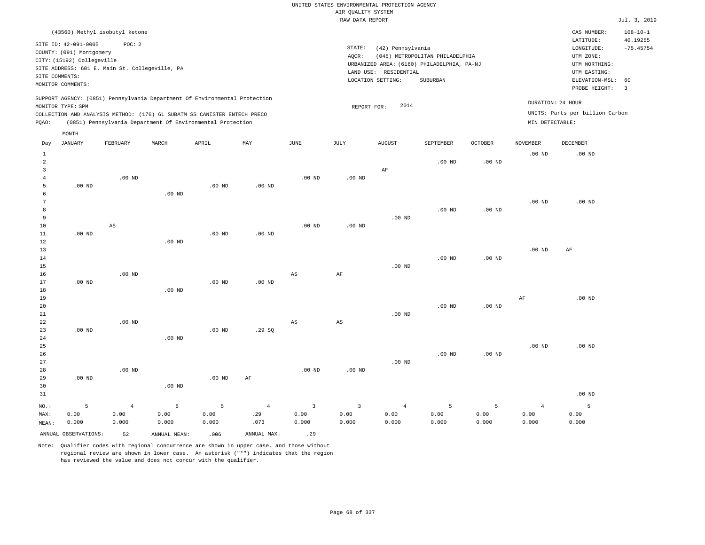| (43560) Methyl isobutyl ketone                                                                                                                                                                                                                     |                                                                                                                                                                                 | $108 - 10 - 1$<br>CAS NUMBER:                                                                                                          |  |
|----------------------------------------------------------------------------------------------------------------------------------------------------------------------------------------------------------------------------------------------------|---------------------------------------------------------------------------------------------------------------------------------------------------------------------------------|----------------------------------------------------------------------------------------------------------------------------------------|--|
| SITE ID: 42-091-0005<br>POC:2<br>COUNTY: (091) Montgomery<br>CITY: (15192) Collegeville<br>SITE ADDRESS: 601 E. Main St. Collegeville, PA<br>SITE COMMENTS:<br>MONITOR COMMENTS:                                                                   | STATE:<br>(42) Pennsylvania<br>(045) METROPOLITAN PHILADELPHIA<br>AOCR:<br>URBANIZED AREA: (6160) PHILADELPHIA, PA-NJ<br>LAND USE: RESIDENTIAL<br>LOCATION SETTING:<br>SUBURBAN | 40.19255<br>LATITUDE:<br>$-75.45754$<br>LONGITUDE:<br>UTM ZONE:<br>UTM NORTHING:<br>UTM EASTING:<br>ELEVATION-MSL: 60<br>PROBE HEIGHT: |  |
| SUPPORT AGENCY: (0851) Pennsylvania Department Of Environmental Protection<br>MONITOR TYPE: SPM<br>COLLECTION AND ANALYSIS METHOD: (176) 6L SUBATM SS CANISTER ENTECH PRECO<br>(0851) Pennsylvania Department Of Environmental Protection<br>POAO: | 2014<br>REPORT FOR:                                                                                                                                                             | DURATION: 24 HOUR<br>UNITS: Parts per billion Carbon<br>MIN DETECTABLE:                                                                |  |

|                                     | MONTH                |                        |              |          |                |                |                |               |                   |                   |                 |          |
|-------------------------------------|----------------------|------------------------|--------------|----------|----------------|----------------|----------------|---------------|-------------------|-------------------|-----------------|----------|
| Day                                 | <b>JANUARY</b>       | FEBRUARY               | MARCH        | APRIL    | MAY            | $_{\rm JUNE}$  | JULY           | <b>AUGUST</b> | SEPTEMBER         | OCTOBER           | <b>NOVEMBER</b> | DECEMBER |
| $\mathbf{1}$<br>$\overline{a}$<br>3 |                      |                        |              |          |                |                |                | $\rm{AF}$     | .00 <sub>ND</sub> | .00 <sub>ND</sub> | $.00$ ND        | $.00$ ND |
| $\overline{4}$                      |                      | $.00$ ND               |              |          |                | $.00$ ND       | $.00$ ND       |               |                   |                   |                 |          |
| 5                                   | $.00$ ND             |                        |              | $.00$ ND | $.00$ ND       |                |                |               |                   |                   |                 |          |
| 6                                   |                      |                        | $.00$ ND     |          |                |                |                |               |                   |                   |                 |          |
| 7                                   |                      |                        |              |          |                |                |                |               |                   |                   | $.00$ ND        | $.00$ ND |
| 8                                   |                      |                        |              |          |                |                |                |               | $.00$ ND          | $.00$ ND          |                 |          |
| 9                                   |                      |                        |              |          |                |                |                | $.00$ ND      |                   |                   |                 |          |
| 10                                  |                      | $\mathbb{A}\mathbb{S}$ |              |          |                | $.00$ ND       | .00 $ND$       |               |                   |                   |                 |          |
| 11                                  | $.00$ ND             |                        |              | $.00$ ND | $.00$ ND       |                |                |               |                   |                   |                 |          |
| 12                                  |                      |                        | $.00$ ND     |          |                |                |                |               |                   |                   |                 |          |
| 13                                  |                      |                        |              |          |                |                |                |               |                   |                   | $.00$ ND        | AF       |
| 14                                  |                      |                        |              |          |                |                |                |               | $.00$ ND          | $.00$ ND          |                 |          |
| 15                                  |                      |                        |              |          |                |                |                | $.00$ ND      |                   |                   |                 |          |
| 16                                  |                      | $.00$ ND               |              |          |                | $_{\rm AS}$    | $\rm{AF}$      |               |                   |                   |                 |          |
| 17                                  | $.00$ ND             |                        |              | $.00$ ND | $.00$ ND       |                |                |               |                   |                   |                 |          |
| 18                                  |                      |                        | $.00$ ND     |          |                |                |                |               |                   |                   |                 |          |
| 19                                  |                      |                        |              |          |                |                |                |               |                   |                   | $\rm AF$        | $.00$ ND |
| 20                                  |                      |                        |              |          |                |                |                |               | $.00$ ND          | $.00$ ND          |                 |          |
| 21                                  |                      |                        |              |          |                |                |                | $.00$ ND      |                   |                   |                 |          |
| 22                                  |                      | $.00$ ND               |              |          |                | $_{\rm AS}$    | $_{\rm AS}$    |               |                   |                   |                 |          |
| 23                                  | $.00$ ND             |                        |              | $.00$ ND | .29SQ          |                |                |               |                   |                   |                 |          |
| 24                                  |                      |                        | $.00$ ND     |          |                |                |                |               |                   |                   |                 |          |
| 25                                  |                      |                        |              |          |                |                |                |               |                   |                   | $.00$ ND        | $.00$ ND |
| 26                                  |                      |                        |              |          |                |                |                |               | $.00$ ND          | $.00$ ND          |                 |          |
| 27                                  |                      |                        |              |          |                |                |                | $.00$ ND      |                   |                   |                 |          |
| 28                                  |                      | $.00$ ND               |              |          |                | $.00$ ND       | $.00$ ND       |               |                   |                   |                 |          |
| 29                                  | .00 $ND$             |                        |              | $.00$ ND | $\rm AF$       |                |                |               |                   |                   |                 |          |
| 30                                  |                      |                        | $.00$ ND     |          |                |                |                |               |                   |                   |                 |          |
| 31                                  |                      |                        |              |          |                |                |                |               |                   |                   |                 | $.00$ ND |
| NO.:                                | 5                    | $\bf{4}$               | 5            | 5        | $\overline{4}$ | $\overline{3}$ | $\overline{3}$ | $\sqrt{4}$    | 5                 | 5                 | $\overline{4}$  | 5        |
| MAX:                                | 0.00                 | 0.00                   | 0.00         | 0.00     | .29            | 0.00           | 0.00           | 0.00          | 0.00              | 0.00              | 0.00            | 0.00     |
| MEAN:                               | 0.000                | 0.000                  | 0.000        | 0.000    | .073           | 0.000          | 0.000          | 0.000         | 0.000             | 0.000             | 0.000           | 0.000    |
|                                     | ANNUAL OBSERVATIONS: | 52                     | ANNUAL MEAN: | .006     | ANNUAL MAX:    | .29            |                |               |                   |                   |                 |          |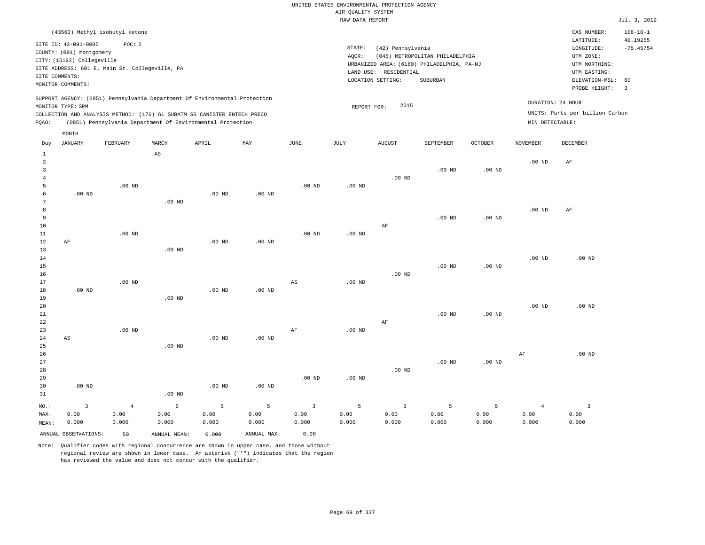| (43560) Methyl isobutyl ketone                                                                                                                                                                                                                     |                                                                                                                                                                                    | CAS NUMBER:<br>$108 - 10 - 1$                                                                                                          |
|----------------------------------------------------------------------------------------------------------------------------------------------------------------------------------------------------------------------------------------------------|------------------------------------------------------------------------------------------------------------------------------------------------------------------------------------|----------------------------------------------------------------------------------------------------------------------------------------|
| SITE ID: 42-091-0005<br>POC:2<br>COUNTY: (091) Montgomery<br>CITY: (15192) Collegeville<br>SITE ADDRESS: 601 E. Main St. Collegeville, PA<br>SITE COMMENTS:<br>MONITOR COMMENTS:                                                                   | STATE:<br>(42) Pennsylvania<br>(045) METROPOLITAN PHILADELPHIA<br>AOCR:<br>URBANIZED AREA: (6160) PHILADELPHIA, PA-NJ<br>LAND USE:<br>RESIDENTIAL<br>LOCATION SETTING:<br>SUBURBAN | 40.19255<br>LATITUDE:<br>$-75.45754$<br>LONGITUDE:<br>UTM ZONE:<br>UTM NORTHING:<br>UTM EASTING:<br>ELEVATION-MSL: 60<br>PROBE HEIGHT: |
| SUPPORT AGENCY: (0851) Pennsylvania Department Of Environmental Protection<br>MONITOR TYPE: SPM<br>COLLECTION AND ANALYSIS METHOD: (176) 6L SUBATM SS CANISTER ENTECH PRECO<br>(0851) Pennsylvania Department Of Environmental Protection<br>POAO: | 2015<br>REPORT FOR:                                                                                                                                                                | DURATION: 24 HOUR<br>UNITS: Parts per billion Carbon<br>MIN DETECTABLE:                                                                |

|                | MONTH                   |                |                        |                   |             |                        |                   |                         |           |                   |                 |                |
|----------------|-------------------------|----------------|------------------------|-------------------|-------------|------------------------|-------------------|-------------------------|-----------|-------------------|-----------------|----------------|
| Day            | <b>JANUARY</b>          | FEBRUARY       | MARCH                  | APRIL             | MAY         | <b>JUNE</b>            | $\mathtt{JULY}$   | <b>AUGUST</b>           | SEPTEMBER | OCTOBER           | <b>NOVEMBER</b> | DECEMBER       |
| $\mathbf{1}$   |                         |                | $\mathbb{A}\mathbb{S}$ |                   |             |                        |                   |                         |           |                   |                 |                |
| $\overline{c}$ |                         |                |                        |                   |             |                        |                   |                         |           |                   | $.00$ ND        | AF             |
| 3              |                         |                |                        |                   |             |                        |                   |                         | $.00$ ND  | .00 <sub>ND</sub> |                 |                |
| $\overline{4}$ |                         |                |                        |                   |             |                        |                   | $.00$ ND                |           |                   |                 |                |
| 5              |                         | $.00$ ND       |                        |                   |             | $.00$ ND               | .00 <sub>ND</sub> |                         |           |                   |                 |                |
| 6              | $.00$ ND                |                |                        | .00 <sub>ND</sub> | $.00$ ND    |                        |                   |                         |           |                   |                 |                |
| 7              |                         |                | $.00$ ND               |                   |             |                        |                   |                         |           |                   |                 |                |
| 8              |                         |                |                        |                   |             |                        |                   |                         |           |                   | $.00$ ND        | AF             |
| 9              |                         |                |                        |                   |             |                        |                   |                         | $.00$ ND  | $.00$ ND          |                 |                |
| 10             |                         |                |                        |                   |             |                        |                   | AF                      |           |                   |                 |                |
| 11             |                         | $.00$ ND       |                        |                   |             | $.00$ ND               | $.00$ ND          |                         |           |                   |                 |                |
| 12             | $\rm AF$                |                |                        | .00 <sub>ND</sub> | $.00$ ND    |                        |                   |                         |           |                   |                 |                |
| 13<br>14       |                         |                | $.00$ ND               |                   |             |                        |                   |                         |           |                   | $.00$ ND        | $.00$ ND       |
| 15             |                         |                |                        |                   |             |                        |                   |                         | $.00$ ND  | $.00$ ND          |                 |                |
| 16             |                         |                |                        |                   |             |                        |                   | $.00$ ND                |           |                   |                 |                |
| 17             |                         | $.00$ ND       |                        |                   |             | $\mathbb{A}\mathbb{S}$ | .00 <sub>ND</sub> |                         |           |                   |                 |                |
| 18             | $.00$ ND                |                |                        | .00 <sub>ND</sub> | $.00$ ND    |                        |                   |                         |           |                   |                 |                |
| 19             |                         |                | $.00$ ND               |                   |             |                        |                   |                         |           |                   |                 |                |
| 20             |                         |                |                        |                   |             |                        |                   |                         |           |                   | $.00$ ND        | $.00$ ND       |
| 21             |                         |                |                        |                   |             |                        |                   |                         | $.00$ ND  | $.00$ ND          |                 |                |
| 22             |                         |                |                        |                   |             |                        |                   | AF                      |           |                   |                 |                |
| 23             |                         | $.00$ ND       |                        |                   |             | $\rm{AF}$              | $.00$ ND          |                         |           |                   |                 |                |
| 24             | $\mathbb{A}\mathbb{S}$  |                |                        | $.00$ ND          | $.00$ ND    |                        |                   |                         |           |                   |                 |                |
| 25             |                         |                | $.00$ ND               |                   |             |                        |                   |                         |           |                   |                 |                |
| 26             |                         |                |                        |                   |             |                        |                   |                         |           |                   | $\rm{AF}$       | $.00$ ND       |
| 27             |                         |                |                        |                   |             |                        |                   |                         | $.00$ ND  | $.00$ ND          |                 |                |
| 28             |                         |                |                        |                   |             |                        |                   | $.00$ ND                |           |                   |                 |                |
| 29             |                         |                |                        |                   |             | $.00$ ND               | .00 <sub>ND</sub> |                         |           |                   |                 |                |
| 30             | $.00$ ND                |                |                        | .00 <sub>ND</sub> | $.00$ ND    |                        |                   |                         |           |                   |                 |                |
| 31             |                         |                | $.00$ ND               |                   |             |                        |                   |                         |           |                   |                 |                |
| NO.:           | $\overline{\mathbf{3}}$ | $\overline{4}$ | 5                      | $\mathsf S$       | 5           | $\overline{3}$         | 5                 | $\overline{\mathbf{3}}$ | 5         | 5                 | $\overline{4}$  | $\overline{3}$ |
| MAX:           | 0.00                    | 0.00           | 0.00                   | 0.00              | 0.00        | 0.00                   | 0.00              | 0.00                    | 0.00      | 0.00              | 0.00            | 0.00           |
| MEAN:          | 0.000                   | 0.000          | 0.000                  | 0.000             | 0.000       | 0.000                  | 0.000             | 0.000                   | 0.000     | 0.000             | 0.000           | 0.000          |
|                | ANNUAL OBSERVATIONS:    | 50             | ANNUAL MEAN:           | 0.000             | ANNUAL MAX: | 0.00                   |                   |                         |           |                   |                 |                |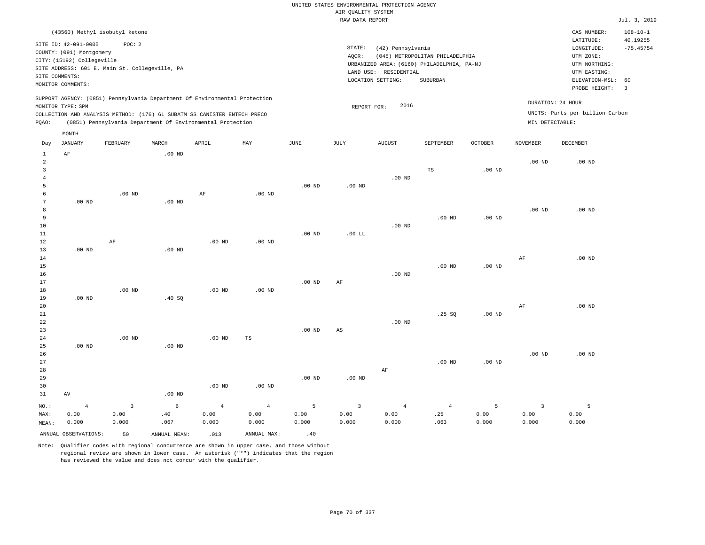| (43560) Methyl isobutyl ketone                                                                                                                                                                                                                              |                                                                                                                                                                                 | CAS NUMBER:                                                                                                 | $108 - 10 - 1$                |
|-------------------------------------------------------------------------------------------------------------------------------------------------------------------------------------------------------------------------------------------------------------|---------------------------------------------------------------------------------------------------------------------------------------------------------------------------------|-------------------------------------------------------------------------------------------------------------|-------------------------------|
| SITE ID: 42-091-0005<br>POC:2<br>COUNTY: (091) Montgomery<br>CITY: (15192) Collegeville<br>SITE ADDRESS: 601 E. Main St. Collegeville, PA<br>SITE COMMENTS:<br>MONITOR COMMENTS:                                                                            | STATE:<br>(42) Pennsylvania<br>AOCR:<br>(045) METROPOLITAN PHILADELPHIA<br>URBANIZED AREA: (6160) PHILADELPHIA, PA-NJ<br>LAND USE: RESIDENTIAL<br>SUBURBAN<br>LOCATION SETTING: | LATITUDE:<br>LONGITUDE:<br>UTM ZONE:<br>UTM NORTHING:<br>UTM EASTING:<br>ELEVATION-MSL: 60<br>PROBE HEIGHT: | 40.19255<br>$-75.45754$<br>-3 |
| SUPPORT AGENCY: (0851) Pennsylvania Department Of Environmental Protection<br>MONITOR TYPE: SPM<br>COLLECTION AND ANALYSIS METHOD: (176) 6L SUBATM SS CANISTER ENTECH PRECO<br>(0851) Pennsylvania Department Of Environmental Protection<br>POAO:<br>MONTH | 2016<br>REPORT FOR:                                                                                                                                                             | DURATION: 24 HOUR<br>UNITS: Parts per billion Carbon<br>MIN DETECTABLE:                                     |                               |

| Day             | JANUARY              | FEBRUARY                | MARCH                         | APRIL             | MAY         | JUNE     | JULY                   | AUGUST     | SEPTEMBER  | OCTOBER  | NOVEMBER          | DECEMBER |
|-----------------|----------------------|-------------------------|-------------------------------|-------------------|-------------|----------|------------------------|------------|------------|----------|-------------------|----------|
| $\mathbf{1}$    | $\rm AF$             |                         | $.00$ ND                      |                   |             |          |                        |            |            |          |                   |          |
| $\overline{a}$  |                      |                         |                               |                   |             |          |                        |            |            |          | $.00$ ND          | $.00$ ND |
| 3               |                      |                         |                               |                   |             |          |                        |            | TS         | $.00$ ND |                   |          |
| $\overline{4}$  |                      |                         |                               |                   |             |          |                        | $.00$ ND   |            |          |                   |          |
| 5               |                      |                         |                               |                   |             | $.00$ ND | $.00$ ND               |            |            |          |                   |          |
| 6               |                      | $.00$ ND                |                               | $\rm AF$          | $.00$ ND    |          |                        |            |            |          |                   |          |
| $7\phantom{.0}$ | $.00$ ND             |                         | $.00$ ND                      |                   |             |          |                        |            |            |          |                   |          |
| 8               |                      |                         |                               |                   |             |          |                        |            |            |          | .00 <sub>ND</sub> | $.00$ ND |
| 9               |                      |                         |                               |                   |             |          |                        |            | $.00$ ND   | $.00$ ND |                   |          |
| $10$            |                      |                         |                               |                   |             |          |                        | $.00$ ND   |            |          |                   |          |
| $11\,$          |                      |                         |                               |                   |             | $.00$ ND | .00 LL                 |            |            |          |                   |          |
| 12              |                      | $\rm AF$                |                               | $.00$ ND          | $.00$ ND    |          |                        |            |            |          |                   |          |
| 13              | $.00$ ND             |                         | $.00$ ND                      |                   |             |          |                        |            |            |          |                   |          |
| 14              |                      |                         |                               |                   |             |          |                        |            |            |          | $\rm{AF}$         | $.00$ ND |
| 15              |                      |                         |                               |                   |             |          |                        |            | $.00$ ND   | .00 $ND$ |                   |          |
| $16$            |                      |                         |                               |                   |             |          |                        | $.00$ ND   |            |          |                   |          |
| $17\,$          |                      |                         |                               |                   |             | $.00$ ND | $\rm{AF}$              |            |            |          |                   |          |
| 18              |                      | $.00$ ND                |                               | .00 <sub>ND</sub> | $.00$ ND    |          |                        |            |            |          |                   |          |
| 19              | $.00$ ND             |                         | .40 $SQ$                      |                   |             |          |                        |            |            |          |                   |          |
| 20              |                      |                         |                               |                   |             |          |                        |            |            |          | AF                | $.00$ ND |
| $2\sqrt{1}$     |                      |                         |                               |                   |             |          |                        |            | .25 SQ     | .00 $ND$ |                   |          |
| ${\bf 22}$      |                      |                         |                               |                   |             |          |                        | $.00$ ND   |            |          |                   |          |
| 23              |                      |                         |                               |                   |             | $.00$ ND | $\mathbb{A}\mathbb{S}$ |            |            |          |                   |          |
| 24              |                      | $.00$ ND                |                               | .00 $ND$          | TS          |          |                        |            |            |          |                   |          |
| 25              | $.00$ ND             |                         | $.00$ ND                      |                   |             |          |                        |            |            |          |                   |          |
| 26              |                      |                         |                               |                   |             |          |                        |            |            |          | .00 <sub>ND</sub> | $.00$ ND |
| 27              |                      |                         |                               |                   |             |          |                        |            | $.00$ ND   | $.00$ ND |                   |          |
| 28              |                      |                         |                               |                   |             |          |                        | $\rm AF$   |            |          |                   |          |
| 29              |                      |                         |                               |                   |             | $.00$ ND | $.00$ ND               |            |            |          |                   |          |
| 30              |                      |                         |                               | $.00$ ND          | $.00$ ND    |          |                        |            |            |          |                   |          |
| 31              | AV                   |                         | $.00$ ND                      |                   |             |          |                        |            |            |          |                   |          |
| $_{\rm NO.}$ :  | $\sqrt{4}$           | $\overline{\mathbf{3}}$ | $\epsilon$                    | $\overline{4}$    | $\,4$       | 5        | $\overline{3}$         | $\sqrt{4}$ | $\sqrt{4}$ | 5        | $\overline{3}$    | 5        |
| MAX:            | 0.00                 | 0.00                    | $\footnotesize{\texttt{.40}}$ | 0.00              | 0.00        | 0.00     | 0.00                   | 0.00       | .25        | 0.00     | 0.00              | 0.00     |
| MEAN:           | 0.000                | 0.000                   | .067                          | 0.000             | 0.000       | 0.000    | 0.000                  | 0.000      | .063       | 0.000    | 0.000             | 0.000    |
|                 | ANNUAL OBSERVATIONS: | 50                      | ANNUAL MEAN:                  | .013              | ANNUAL MAX: | .40      |                        |            |            |          |                   |          |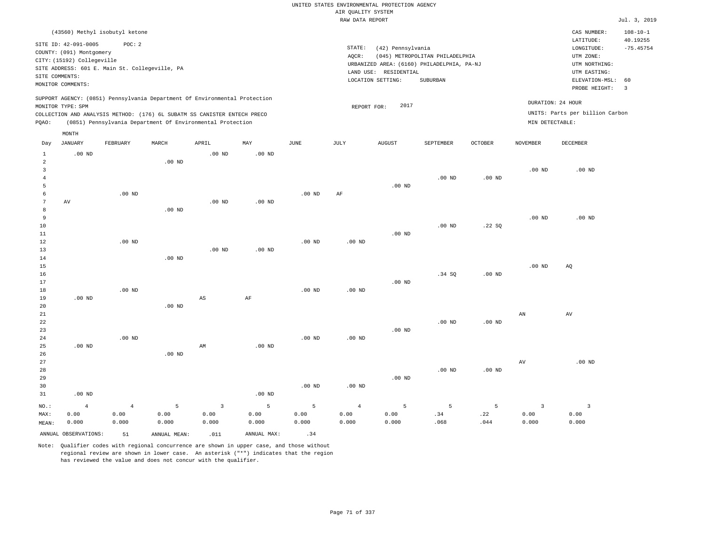|                                                                                                                                                                      |                                                                                |                                                          |                    |                                                                            |                    |                    | AIR QUALITY SYSTEM                                                    | UNITED STATES ENVIRONMENTAL PROTECTION AGENCY |                                                    |                  |                                 |                                 |                |
|----------------------------------------------------------------------------------------------------------------------------------------------------------------------|--------------------------------------------------------------------------------|----------------------------------------------------------|--------------------|----------------------------------------------------------------------------|--------------------|--------------------|-----------------------------------------------------------------------|-----------------------------------------------|----------------------------------------------------|------------------|---------------------------------|---------------------------------|----------------|
|                                                                                                                                                                      |                                                                                |                                                          |                    |                                                                            |                    |                    | RAW DATA REPORT                                                       |                                               |                                                    |                  |                                 |                                 | Jul. 3, 2019   |
|                                                                                                                                                                      |                                                                                | (43560) Methyl isobutyl ketone                           |                    |                                                                            |                    |                    |                                                                       |                                               |                                                    |                  |                                 | CAS NUMBER:                     | $108 - 10 - 1$ |
|                                                                                                                                                                      | SITE ID: 42-091-0005<br>COUNTY: (091) Montgomery<br>CITY: (15192) Collegeville | POC: 2<br>SITE ADDRESS: 601 E. Main St. Collegeville, PA |                    |                                                                            |                    |                    | LATITUDE:<br>LONGITUDE:<br>UTM ZONE:<br>UTM NORTHING:<br>UTM EASTING: | 40.19255<br>$-75.45754$                       |                                                    |                  |                                 |                                 |                |
| SITE COMMENTS:<br>MONITOR COMMENTS:                                                                                                                                  |                                                                                |                                                          |                    |                                                                            |                    |                    | LAND USE:<br>LOCATION SETTING:                                        | ELEVATION-MSL:<br>PROBE HEIGHT:               | 60<br>$\overline{3}$                               |                  |                                 |                                 |                |
|                                                                                                                                                                      |                                                                                |                                                          |                    | SUPPORT AGENCY: (0851) Pennsylvania Department Of Environmental Protection |                    |                    |                                                                       | 2017                                          |                                                    |                  |                                 | DURATION: 24 HOUR               |                |
| MONITOR TYPE: SPM<br>COLLECTION AND ANALYSIS METHOD: (176) 6L SUBATM SS CANISTER ENTECH PRECO<br>(0851) Pennsylvania Department Of Environmental Protection<br>PQAO: |                                                                                |                                                          |                    |                                                                            |                    |                    | REPORT FOR:                                                           |                                               | UNITS: Parts per billion Carbon<br>MIN DETECTABLE: |                  |                                 |                                 |                |
|                                                                                                                                                                      | MONTH                                                                          |                                                          |                    |                                                                            |                    |                    |                                                                       |                                               |                                                    |                  |                                 |                                 |                |
| Day                                                                                                                                                                  | <b>JANUARY</b>                                                                 | FEBRUARY                                                 | MARCH              | APRIL                                                                      | MAY                | <b>JUNE</b>        | JULY                                                                  | <b>AUGUST</b>                                 | SEPTEMBER                                          | OCTOBER          | <b>NOVEMBER</b>                 | DECEMBER                        |                |
| $\mathbf{1}$<br>$\overline{a}$<br>$\overline{3}$                                                                                                                     | $.00$ ND                                                                       |                                                          | .00 <sub>ND</sub>  | $.00$ ND                                                                   | $.00$ ND           |                    |                                                                       |                                               |                                                    |                  | .00 <sub>ND</sub>               | $.00$ ND                        |                |
| $\overline{4}$<br>5<br>6                                                                                                                                             |                                                                                | $.00$ ND                                                 |                    |                                                                            |                    | $.00$ ND           | AF                                                                    | $.00$ ND                                      | .00 <sub>ND</sub>                                  | $.00$ ND         |                                 |                                 |                |
| 7<br>8<br>9<br>10                                                                                                                                                    | AV                                                                             |                                                          | $.00$ ND           | $.00$ ND                                                                   | $.00$ ND           |                    |                                                                       |                                               | .00 <sub>ND</sub>                                  |                  | .00 <sub>ND</sub>               | $.00$ ND                        |                |
| 11<br>12<br>13                                                                                                                                                       |                                                                                | $.00$ ND                                                 |                    | .00 <sub>ND</sub>                                                          | .00 <sub>ND</sub>  | .00 <sub>ND</sub>  | $.00$ ND                                                              | $.00$ ND                                      |                                                    | .22SQ            |                                 |                                 |                |
| $1\,4$<br>15<br>16                                                                                                                                                   |                                                                                |                                                          | .00 <sub>ND</sub>  |                                                                            |                    |                    |                                                                       |                                               | .34 SQ                                             | $.00$ ND         | .00 <sub>ND</sub>               | AQ                              |                |
| 17<br>18<br>19                                                                                                                                                       | $.00$ ND                                                                       | .00 <sub>ND</sub>                                        |                    | AS                                                                         | $\rm AF$           | $.00$ ND           | .00 <sub>ND</sub>                                                     | $.00$ ND                                      |                                                    |                  |                                 |                                 |                |
| 20<br>21<br>22<br>23                                                                                                                                                 |                                                                                |                                                          | $.00$ ND           |                                                                            |                    |                    |                                                                       | $.00$ ND                                      | .00 <sub>ND</sub>                                  | $.00$ ND         | AN                              | AV                              |                |
| 24<br>25<br>26                                                                                                                                                       | $.00$ ND                                                                       | $.00$ ND                                                 | $.00$ ND           | AM                                                                         | $.00$ ND           | $.00$ ND           | .00 <sub>ND</sub>                                                     |                                               |                                                    |                  |                                 |                                 |                |
| 27<br>28<br>29<br>30                                                                                                                                                 |                                                                                |                                                          |                    |                                                                            |                    | $.00$ ND           | $.00$ ND                                                              | $.00$ ND                                      | .00 <sub>ND</sub>                                  | $.00$ ND         | AV                              | $.00$ ND                        |                |
| 31                                                                                                                                                                   | $.00$ ND                                                                       |                                                          |                    |                                                                            | $.00$ ND           |                    |                                                                       |                                               |                                                    |                  |                                 |                                 |                |
| NO.:<br>MAX:<br>MEAN:                                                                                                                                                | $\overline{4}$<br>0.00<br>0.000                                                | $\overline{4}$<br>0.00<br>0.000                          | 5<br>0.00<br>0.000 | $\overline{3}$<br>0.00<br>0.000                                            | 5<br>0.00<br>0.000 | 5<br>0.00<br>0.000 | $\overline{4}$<br>0.00<br>0.000                                       | 5<br>0.00<br>0.000                            | 5<br>.34<br>.068                                   | 5<br>.22<br>.044 | $\overline{3}$<br>0.00<br>0.000 | $\overline{3}$<br>0.00<br>0.000 |                |

ANNUAL OBSERVATIONS:  $51$  ANNUAL MEAN: .011 ANNUAL MAX: .34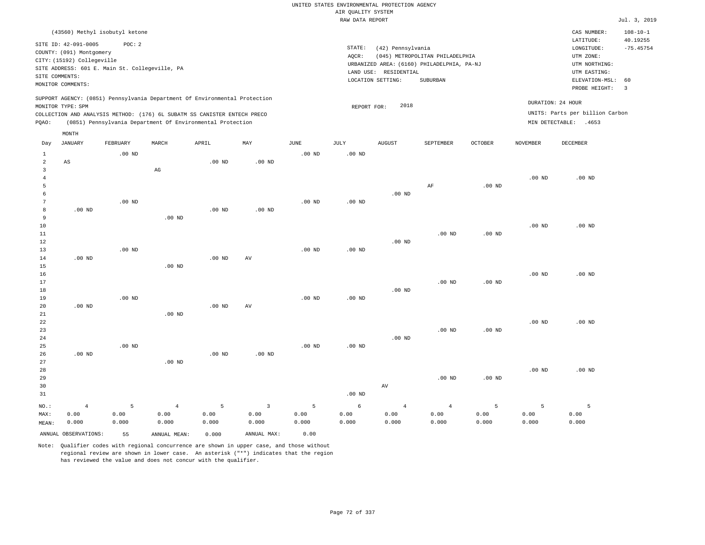|                                                           |                                                                                                                                                                                                           |                    |                                                                                                                                        |                    |                                 |                    | UNITED STATES ENVIRONMENTAL PROTECTION AGENCY |                                                                 |                                                                                           |                    |                    |                                                                                                                         |                                                                   |
|-----------------------------------------------------------|-----------------------------------------------------------------------------------------------------------------------------------------------------------------------------------------------------------|--------------------|----------------------------------------------------------------------------------------------------------------------------------------|--------------------|---------------------------------|--------------------|-----------------------------------------------|-----------------------------------------------------------------|-------------------------------------------------------------------------------------------|--------------------|--------------------|-------------------------------------------------------------------------------------------------------------------------|-------------------------------------------------------------------|
|                                                           |                                                                                                                                                                                                           |                    |                                                                                                                                        |                    |                                 |                    | AIR QUALITY SYSTEM<br>RAW DATA REPORT         |                                                                 |                                                                                           |                    |                    |                                                                                                                         | Jul. 3, 2019                                                      |
|                                                           |                                                                                                                                                                                                           |                    |                                                                                                                                        |                    |                                 |                    |                                               |                                                                 |                                                                                           |                    |                    |                                                                                                                         |                                                                   |
|                                                           | (43560) Methyl isobutyl ketone<br>SITE ID: 42-091-0005<br>COUNTY: (091) Montgomery<br>CITY: (15192) Collegeville<br>SITE ADDRESS: 601 E. Main St. Collegeville, PA<br>SITE COMMENTS:<br>MONITOR COMMENTS: | POC: 2             |                                                                                                                                        |                    |                                 |                    | STATE:<br>AQCR:                               | (42) Pennsylvania<br>LAND USE: RESIDENTIAL<br>LOCATION SETTING: | (045) METROPOLITAN PHILADELPHIA<br>URBANIZED AREA: (6160) PHILADELPHIA, PA-NJ<br>SUBURBAN |                    |                    | CAS NUMBER:<br>LATITUDE:<br>LONGITUDE:<br>UTM ZONE:<br>UTM NORTHING:<br>UTM EASTING:<br>ELEVATION-MSL:<br>PROBE HEIGHT: | $108 - 10 - 1$<br>40.19255<br>$-75.45754$<br>60<br>$\overline{3}$ |
|                                                           |                                                                                                                                                                                                           |                    | SUPPORT AGENCY: (0851) Pennsylvania Department Of Environmental Protection                                                             |                    |                                 |                    |                                               |                                                                 |                                                                                           |                    |                    |                                                                                                                         |                                                                   |
| PQAO:                                                     | MONITOR TYPE: SPM                                                                                                                                                                                         |                    | COLLECTION AND ANALYSIS METHOD: (176) 6L SUBATM SS CANISTER ENTECH PRECO<br>(0851) Pennsylvania Department Of Environmental Protection |                    |                                 |                    | REPORT FOR:                                   | 2018                                                            |                                                                                           |                    |                    | DURATION: 24 HOUR<br>UNITS: Parts per billion Carbon<br>MIN DETECTABLE: .4653                                           |                                                                   |
|                                                           | MONTH                                                                                                                                                                                                     |                    |                                                                                                                                        |                    |                                 |                    |                                               |                                                                 |                                                                                           |                    |                    |                                                                                                                         |                                                                   |
| Day                                                       | <b>JANUARY</b>                                                                                                                                                                                            | FEBRUARY           | MARCH                                                                                                                                  | APRIL              | $_{\rm MAY}$                    | JUNE               | JULY                                          | <b>AUGUST</b>                                                   | <b>SEPTEMBER</b>                                                                          | <b>OCTOBER</b>     | NOVEMBER           | DECEMBER                                                                                                                |                                                                   |
| $\mathbf{1}$<br>$\overline{a}$<br>$\overline{\mathbf{3}}$ | AS                                                                                                                                                                                                        | $.00$ ND           | $_{\rm AG}$                                                                                                                            | .00 <sub>ND</sub>  | .00 <sub>ND</sub>               | $.00$ ND           | $.00$ ND                                      |                                                                 |                                                                                           |                    |                    |                                                                                                                         |                                                                   |
| $\overline{4}$<br>5                                       |                                                                                                                                                                                                           |                    |                                                                                                                                        |                    |                                 |                    |                                               |                                                                 | AF                                                                                        | $.00$ ND           | $.00$ ND           | $.00$ ND                                                                                                                |                                                                   |
| 6<br>$7\phantom{.0}$                                      |                                                                                                                                                                                                           | $.00$ ND           |                                                                                                                                        |                    |                                 | $.00$ ND           | $.00$ ND                                      | $.00$ ND                                                        |                                                                                           |                    |                    |                                                                                                                         |                                                                   |
| 8<br>$\overline{9}$<br>10                                 | .00 <sub>ND</sub>                                                                                                                                                                                         |                    | $.00$ ND                                                                                                                               | $.00$ ND           | .00 <sub>ND</sub>               |                    |                                               |                                                                 |                                                                                           |                    | .00 <sub>ND</sub>  | $.00$ ND                                                                                                                |                                                                   |
| $1\,1$<br>12                                              |                                                                                                                                                                                                           |                    |                                                                                                                                        |                    |                                 |                    |                                               | $.00$ ND                                                        | $.00$ ND                                                                                  | $.00$ ND           |                    |                                                                                                                         |                                                                   |
| 13<br>14                                                  | $.00$ ND                                                                                                                                                                                                  | $.00$ ND           |                                                                                                                                        | .00 <sub>ND</sub>  | AV                              | $.00$ ND           | .00 <sub>ND</sub>                             |                                                                 |                                                                                           |                    |                    |                                                                                                                         |                                                                   |
| 15<br>16<br>17                                            |                                                                                                                                                                                                           |                    | $.00$ ND                                                                                                                               |                    |                                 |                    |                                               |                                                                 | $.00$ ND                                                                                  | .00 <sub>ND</sub>  | .00 <sub>ND</sub>  | $.00$ ND                                                                                                                |                                                                   |
| $1\,8$<br>19<br>20                                        | $.00$ ND                                                                                                                                                                                                  | $.00$ ND           |                                                                                                                                        | .00 <sub>ND</sub>  | AV                              | $.00$ ND           | $.00$ ND                                      | $.00$ ND                                                        |                                                                                           |                    |                    |                                                                                                                         |                                                                   |
| 21<br>22<br>23                                            |                                                                                                                                                                                                           |                    | $.00$ ND                                                                                                                               |                    |                                 |                    |                                               |                                                                 | $.00$ ND                                                                                  | $.00$ ND           | .00 <sub>ND</sub>  | .00 <sub>ND</sub>                                                                                                       |                                                                   |
| 24<br>25<br>26                                            | .00 <sub>ND</sub>                                                                                                                                                                                         | $.00$ ND           |                                                                                                                                        | $.00$ ND           | .00 <sub>ND</sub>               | .00 <sub>ND</sub>  | .00 <sub>ND</sub>                             | $.00$ ND                                                        |                                                                                           |                    |                    |                                                                                                                         |                                                                   |
| 27<br>28<br>29                                            |                                                                                                                                                                                                           |                    | $.00$ ND                                                                                                                               |                    |                                 |                    |                                               |                                                                 | $.00$ ND                                                                                  | $.00$ ND           | $.00$ ND           | $.00$ ND                                                                                                                |                                                                   |
| 30<br>31                                                  |                                                                                                                                                                                                           |                    |                                                                                                                                        |                    |                                 |                    | $.00$ ND                                      | AV                                                              |                                                                                           |                    |                    |                                                                                                                         |                                                                   |
| NO.:<br>MAX:<br>MEAN:                                     | $\overline{4}$<br>0.00<br>0.000                                                                                                                                                                           | 5<br>0.00<br>0.000 | $\overline{4}$<br>0.00<br>0.000                                                                                                        | 5<br>0.00<br>0.000 | $\overline{3}$<br>0.00<br>0.000 | 5<br>0.00<br>0.000 | 6<br>0.00<br>0.000                            | $\overline{4}$<br>0.00<br>0.000                                 | $\overline{4}$<br>0.00<br>0.000                                                           | 5<br>0.00<br>0.000 | 5<br>0.00<br>0.000 | 5<br>0.00<br>0.000                                                                                                      |                                                                   |
|                                                           | ANNUAL OBSERVATIONS:                                                                                                                                                                                      | 55                 | ANNUAL MEAN:                                                                                                                           | 0.000              | ANNUAL MAX:                     | 0.00               |                                               |                                                                 |                                                                                           |                    |                    |                                                                                                                         |                                                                   |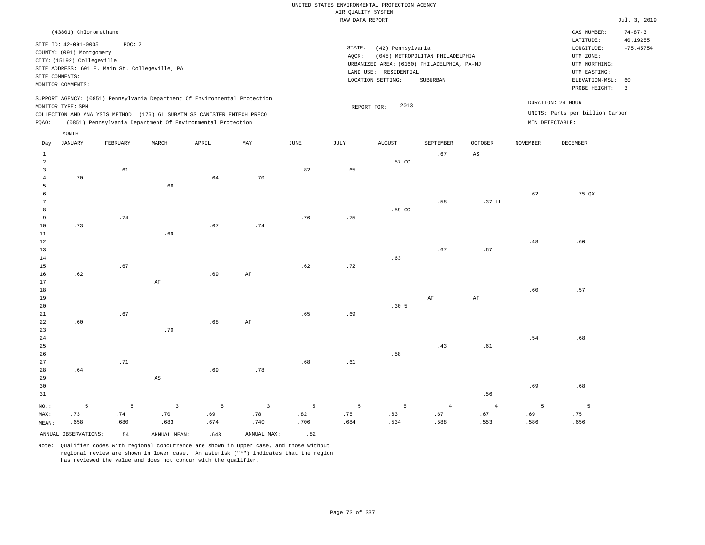| (43801) Chloromethane                                                                                                                                                                                                                                       |                                                                                                                                                                                 | CAS NUMBER:                                                                                                 | $74 - 87 - 3$                 |
|-------------------------------------------------------------------------------------------------------------------------------------------------------------------------------------------------------------------------------------------------------------|---------------------------------------------------------------------------------------------------------------------------------------------------------------------------------|-------------------------------------------------------------------------------------------------------------|-------------------------------|
| SITE ID: 42-091-0005<br>POC:2<br>COUNTY: (091) Montgomery<br>CITY: (15192) Collegeville<br>SITE ADDRESS: 601 E. Main St. Collegeville, PA<br>SITE COMMENTS:<br>MONITOR COMMENTS:                                                                            | STATE:<br>(42) Pennsylvania<br>(045) METROPOLITAN PHILADELPHIA<br>AOCR:<br>URBANIZED AREA: (6160) PHILADELPHIA, PA-NJ<br>LAND USE: RESIDENTIAL<br>LOCATION SETTING:<br>SUBURBAN | LATITUDE:<br>LONGITUDE:<br>UTM ZONE:<br>UTM NORTHING:<br>UTM EASTING:<br>ELEVATION-MSL: 60<br>PROBE HEIGHT: | 40.19255<br>$-75.45754$<br>-3 |
| SUPPORT AGENCY: (0851) Pennsylvania Department Of Environmental Protection<br>MONITOR TYPE: SPM<br>COLLECTION AND ANALYSIS METHOD: (176) 6L SUBATM SS CANISTER ENTECH PRECO<br>(0851) Pennsylvania Department Of Environmental Protection<br>POAO:<br>MONTH | 2013<br>REPORT FOR:<br>MIN DETECTABLE:                                                                                                                                          | DURATION: 24 HOUR<br>UNITS: Parts per billion Carbon                                                        |                               |

| Day            | JANUARY              | FEBRUARY       | MARCH                  | APRIL | MAY            | JUNE | JULY    | AUGUST           | SEPTEMBER      | OCTOBER                | NOVEMBER       | DECEMBER |
|----------------|----------------------|----------------|------------------------|-------|----------------|------|---------|------------------|----------------|------------------------|----------------|----------|
| $\mathbf{1}$   |                      |                |                        |       |                |      |         |                  | .67            | $\mathbb{A}\mathbb{S}$ |                |          |
| $\overline{a}$ |                      |                |                        |       |                |      |         | .57 CC           |                |                        |                |          |
| 3              |                      | .61            |                        |       |                | .82  | .65     |                  |                |                        |                |          |
| 4              | .70                  |                |                        | .64   | .70            |      |         |                  |                |                        |                |          |
| 5              |                      |                | .66                    |       |                |      |         |                  |                |                        |                |          |
| 6              |                      |                |                        |       |                |      |         |                  |                |                        | .62            | .75 QX   |
| 7              |                      |                |                        |       |                |      |         |                  | .58            | .37 L                  |                |          |
| 8              |                      |                |                        |       |                |      |         | .59 CC           |                |                        |                |          |
| 9              |                      | .74            |                        |       |                | .76  | .75     |                  |                |                        |                |          |
| 10             | .73                  |                |                        | .67   | .74            |      |         |                  |                |                        |                |          |
| 11             |                      |                | .69                    |       |                |      |         |                  |                |                        |                |          |
| 12             |                      |                |                        |       |                |      |         |                  |                |                        | .48            | .60      |
| 13             |                      |                |                        |       |                |      |         |                  | .67            | .67                    |                |          |
| 14             |                      |                |                        |       |                |      |         | .63              |                |                        |                |          |
| 15             |                      | .67            |                        |       |                | .62  | .72     |                  |                |                        |                |          |
| 16             | .62                  |                |                        | .69   | $\rm{AF}$      |      |         |                  |                |                        |                |          |
| 17             |                      |                | $\rm AF$               |       |                |      |         |                  |                |                        |                |          |
| 18             |                      |                |                        |       |                |      |         |                  |                |                        | .60            | .57      |
| 19             |                      |                |                        |       |                |      |         |                  | $\rm AF$       | $\rm AF$               |                |          |
| 20             |                      |                |                        |       |                |      |         | .30 <sub>5</sub> |                |                        |                |          |
| 21             |                      | .67            |                        |       |                | .65  | .69     |                  |                |                        |                |          |
| 22             | .60                  |                |                        | .68   | $\rm{AF}$      |      |         |                  |                |                        |                |          |
| 23             |                      |                | .70                    |       |                |      |         |                  |                |                        |                |          |
| $2\sqrt{4}$    |                      |                |                        |       |                |      |         |                  |                |                        | $.54\,$        | .68      |
| 25             |                      |                |                        |       |                |      |         |                  | .43            | $.61\,$                |                |          |
| 26             |                      |                |                        |       |                |      |         | .58              |                |                        |                |          |
| 27             |                      | .71            |                        |       |                | .68  | $.61\,$ |                  |                |                        |                |          |
| 28             | .64                  |                |                        | .69   | .78            |      |         |                  |                |                        |                |          |
| 29             |                      |                | $\mathbb{A}\mathbb{S}$ |       |                |      |         |                  |                |                        |                |          |
| 30             |                      |                |                        |       |                |      |         |                  |                |                        | .69            | .68      |
| 31             |                      |                |                        |       |                |      |         |                  |                | .56                    |                |          |
| $NO.$ :        | 5                    | $\overline{5}$ | $\sqrt{3}$             | 5     | $\overline{3}$ | 5    | 5       | $5\phantom{.0}$  | $\overline{4}$ | $\overline{4}$         | $\overline{5}$ | 5        |
| MAX:           | .73                  | .74            | $.70$                  | .69   | .78            | .82  | .75     | .63              | .67            | .67                    | .69            | .75      |
| MEAN:          | .658                 | .680           | .683                   | .674  | .740           | .706 | .684    | .534             | .588           | .553                   | .586           | .656     |
|                | ANNUAL OBSERVATIONS: | 54             | ANNUAL MEAN:           | .643  | ANNUAL MAX:    | .82  |         |                  |                |                        |                |          |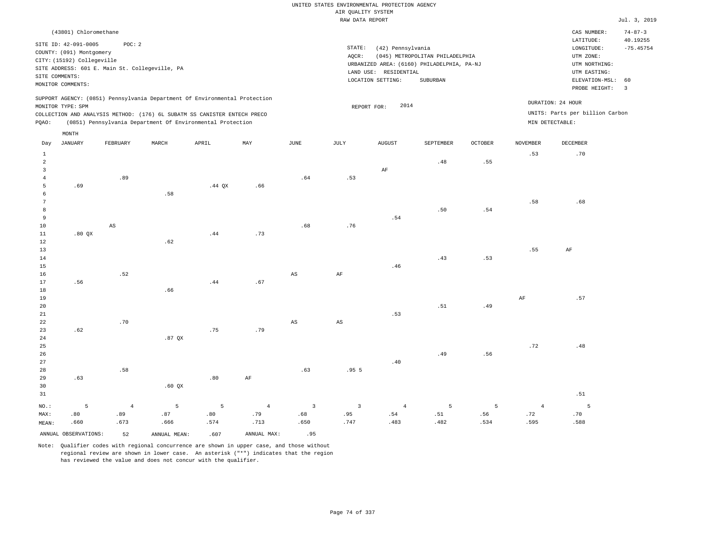# UNITED STATES ENVIRONMENTAL PROTECTION AGENCY AIR QUALITY SYSTEM

|                                                  |                                                                                                                       |                                                          |                                                                            |          |                       |                                                                                                                                                                                 | RAW DATA REPORT       |                       |           |                        |                       |                                                                                             | Jul. 3, 2019                                  |
|--------------------------------------------------|-----------------------------------------------------------------------------------------------------------------------|----------------------------------------------------------|----------------------------------------------------------------------------|----------|-----------------------|---------------------------------------------------------------------------------------------------------------------------------------------------------------------------------|-----------------------|-----------------------|-----------|------------------------|-----------------------|---------------------------------------------------------------------------------------------|-----------------------------------------------|
|                                                  | (43801) Chloromethane                                                                                                 |                                                          |                                                                            |          |                       |                                                                                                                                                                                 |                       |                       |           |                        |                       | CAS NUMBER:<br>LATITUDE:                                                                    | $74 - 87 - 3$<br>40.19255                     |
|                                                  | SITE ID: 42-091-0005<br>COUNTY: (091) Montgomery<br>CITY: (15192) Collegeville<br>SITE COMMENTS:<br>MONITOR COMMENTS: | POC: 2<br>SITE ADDRESS: 601 E. Main St. Collegeville, PA |                                                                            |          |                       | STATE:<br>(42) Pennsylvania<br>AQCR:<br>(045) METROPOLITAN PHILADELPHIA<br>URBANIZED AREA: (6160) PHILADELPHIA, PA-NJ<br>LAND USE: RESIDENTIAL<br>LOCATION SETTING:<br>SUBURBAN |                       |                       |           |                        |                       | LONGITUDE:<br>UTM ZONE:<br>UTM NORTHING:<br>UTM EASTING:<br>ELEVATION-MSL:<br>PROBE HEIGHT: | $-75.45754$<br>60<br>$\overline{\phantom{a}}$ |
|                                                  | MONITOR TYPE: SPM                                                                                                     |                                                          | SUPPORT AGENCY: (0851) Pennsylvania Department Of Environmental Protection |          |                       |                                                                                                                                                                                 |                       | 2014<br>REPORT FOR:   |           |                        |                       | DURATION: 24 HOUR                                                                           |                                               |
| PQAO:                                            |                                                                                                                       |                                                          | COLLECTION AND ANALYSIS METHOD: (176) 6L SUBATM SS CANISTER ENTECH PRECO   |          |                       |                                                                                                                                                                                 |                       |                       |           |                        |                       | UNITS: Parts per billion Carbon<br>MIN DETECTABLE:                                          |                                               |
|                                                  | $\texttt{MONTH}$                                                                                                      |                                                          | (0851) Pennsylvania Department Of Environmental Protection                 |          |                       |                                                                                                                                                                                 |                       |                       |           |                        |                       |                                                                                             |                                               |
| Day                                              | JANUARY                                                                                                               | FEBRUARY                                                 | MARCH                                                                      | APRIL    | MAY                   | JUNE                                                                                                                                                                            | JULY                  | AUGUST                | SEPTEMBER | <b>OCTOBER</b>         | <b>NOVEMBER</b>       | <b>DECEMBER</b>                                                                             |                                               |
| $\mathbf{1}$<br>$\overline{a}$<br>$\overline{3}$ |                                                                                                                       |                                                          |                                                                            |          |                       |                                                                                                                                                                                 |                       | $\rm AF$              | .48       | .55                    | .53                   | .70                                                                                         |                                               |
| $\overline{4}$<br>5<br>6                         | .69                                                                                                                   | .89                                                      | .58                                                                        | .44 $QX$ | .66                   | .64                                                                                                                                                                             | .53                   |                       |           |                        |                       |                                                                                             |                                               |
| $7\phantom{.0}$<br>8<br>9                        |                                                                                                                       |                                                          |                                                                            |          |                       |                                                                                                                                                                                 |                       | .54                   | .50       | .54                    | .58                   | .68                                                                                         |                                               |
| 10<br>11<br>12<br>13                             | .80QX                                                                                                                 | $\mathbb{A}\mathbb{S}$                                   | .62                                                                        | .44      | .73                   | .68                                                                                                                                                                             | .76                   |                       |           |                        | .55                   | AF                                                                                          |                                               |
| 14<br>15<br>16                                   |                                                                                                                       | .52                                                      |                                                                            |          |                       | AS                                                                                                                                                                              | AF                    | .46                   | .43       | .53                    |                       |                                                                                             |                                               |
| 17<br>18<br>19<br>20                             | .56                                                                                                                   |                                                          | .66                                                                        | .44      | .67                   |                                                                                                                                                                                 |                       |                       | .51       | .49                    | AF                    | .57                                                                                         |                                               |
| 21<br>22<br>23<br>24                             | .62                                                                                                                   | .70                                                      | $.87$ QX                                                                   | .75      | .79                   | AS                                                                                                                                                                              | AS                    | .53                   |           |                        |                       |                                                                                             |                                               |
| 25<br>26<br>27                                   |                                                                                                                       |                                                          |                                                                            |          |                       |                                                                                                                                                                                 |                       | .40                   | .49       | .56                    | .72                   | .48                                                                                         |                                               |
| 28<br>29<br>30<br>31                             | .63                                                                                                                   | .58                                                      | .60QX                                                                      | .80      | AF                    | .63                                                                                                                                                                             | .955                  |                       |           |                        |                       | .51                                                                                         |                                               |
| NO.:<br>MAX:                                     | 5<br>.80                                                                                                              | $\overline{4}$<br>.89                                    | 5<br>.87                                                                   | 5<br>.80 | $\overline{4}$<br>.79 | $\overline{3}$<br>.68                                                                                                                                                           | $\overline{3}$<br>.95 | $\overline{4}$<br>.54 | 5<br>.51  | $5\overline{5}$<br>.56 | $\overline{4}$<br>.72 | 5<br>.70                                                                                    |                                               |

Note: Qualifier codes with regional concurrence are shown in upper case, and those without regional review are shown in lower case. An asterisk ("\*") indicates that the region has reviewed the value and does not concur with the qualifier.

.574

.713

.650

.666

ANNUAL OBSERVATIONS: 52 ANNUAL MEAN: .607 ANNUAL MAX: .95

MEAN:

.660

.673

.747

.483

.482

.534

.595

.588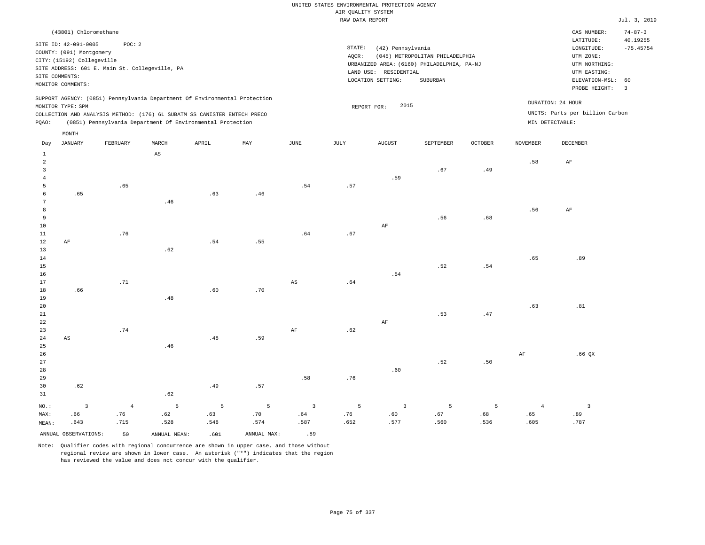| (43801) Chloromethane                                                      |                                                            |       |       |     |      |       |                                            |               |                |                 | CAS NUMBER:                     | $74 - 87 - 3$ |
|----------------------------------------------------------------------------|------------------------------------------------------------|-------|-------|-----|------|-------|--------------------------------------------|---------------|----------------|-----------------|---------------------------------|---------------|
| SITE ID: 42-091-0005                                                       | POC: 2                                                     |       |       |     |      |       |                                            |               |                |                 | LATITUDE:                       | 40.19255      |
|                                                                            |                                                            |       |       |     |      |       | STATE:<br>(42) Pennsylvania                |               |                |                 | LONGITUDE:                      | $-75.45754$   |
| COUNTY: (091) Montgomery                                                   |                                                            |       |       |     |      | AOCR: | UTM ZONE:                                  |               |                |                 |                                 |               |
| CITY: (15192) Collegeville                                                 |                                                            |       |       |     |      |       | URBANIZED AREA: (6160) PHILADELPHIA, PA-NJ | UTM NORTHING: |                |                 |                                 |               |
| SITE ADDRESS: 601 E. Main St. Collegeville, PA                             |                                                            |       |       |     |      |       | LAND USE: RESIDENTIAL                      |               |                |                 | UTM EASTING:                    |               |
| SITE COMMENTS:                                                             |                                                            |       |       |     |      |       | LOCATION SETTING:                          |               | ELEVATION-MSL: | - 60            |                                 |               |
| MONITOR COMMENTS:                                                          |                                                            |       |       |     |      |       |                                            | SUBURBAN      |                |                 | PROBE HEIGHT:                   | 3             |
|                                                                            |                                                            |       |       |     |      |       |                                            |               |                |                 |                                 |               |
| SUPPORT AGENCY: (0851) Pennsylvania Department Of Environmental Protection |                                                            |       |       |     |      |       |                                            |               |                |                 | DURATION: 24 HOUR               |               |
| MONITOR TYPE: SPM                                                          |                                                            |       |       |     |      |       | 2015<br>REPORT FOR:                        |               |                |                 |                                 |               |
| COLLECTION AND ANALYSIS METHOD: (176) 6L SUBATM SS CANISTER ENTECH PRECO   |                                                            |       |       |     |      |       |                                            |               |                |                 | UNITS: Parts per billion Carbon |               |
| POAO:                                                                      | (0851) Pennsylvania Department Of Environmental Protection |       |       |     |      |       |                                            |               |                | MIN DETECTABLE: |                                 |               |
|                                                                            |                                                            |       |       |     |      |       |                                            |               |                |                 |                                 |               |
| MONTH                                                                      |                                                            |       |       |     |      |       |                                            |               |                |                 |                                 |               |
| JANUARY<br>Day                                                             | FEBRUARY                                                   | MARCH | APRIL | MAY | JUNE | JULY  | AUGUST                                     | SEPTEMBER     | <b>OCTOBER</b> | <b>NOVEMBER</b> | DECEMBER                        |               |

| 1                       |                         |            | $\mathbb{A}\mathbb{S}$ |             |                |                        |                              |                |      |                               |            |                               |
|-------------------------|-------------------------|------------|------------------------|-------------|----------------|------------------------|------------------------------|----------------|------|-------------------------------|------------|-------------------------------|
| $\overline{\mathbf{c}}$ |                         |            |                        |             |                |                        |                              |                |      |                               | .58        | $\rm AF$                      |
| 3                       |                         |            |                        |             |                |                        |                              |                | .67  | .49                           |            |                               |
| $\overline{4}$          |                         |            |                        |             |                |                        |                              | .59            |      |                               |            |                               |
| 5                       |                         | .65        |                        |             |                | .54                    | .57                          |                |      |                               |            |                               |
| 6                       | .65                     |            |                        | .63         | .46            |                        |                              |                |      |                               |            |                               |
| $7\phantom{.0}$         |                         |            | .46                    |             |                |                        |                              |                |      |                               |            |                               |
| 8                       |                         |            |                        |             |                |                        |                              |                |      |                               | .56        | $\rm AF$                      |
| $\,9$                   |                         |            |                        |             |                |                        |                              |                | .56  | .68                           |            |                               |
| 10                      |                         |            |                        |             |                |                        |                              | $\rm{AF}$      |      |                               |            |                               |
| 11                      |                         | .76        |                        |             |                | .64                    | .67                          |                |      |                               |            |                               |
| 12                      | $\rm{AF}$               |            |                        | .54         | .55            |                        |                              |                |      |                               |            |                               |
| 13                      |                         |            | .62                    |             |                |                        |                              |                |      |                               |            |                               |
| 14                      |                         |            |                        |             |                |                        |                              |                |      |                               | .65        | .89                           |
| 15                      |                         |            |                        |             |                |                        |                              |                | .52  | .54                           |            |                               |
| 16                      |                         |            |                        |             |                |                        |                              | .54            |      |                               |            |                               |
| 17                      |                         | .71        |                        |             |                | $\mathbb{A}\mathbb{S}$ | $\footnotesize\substack{+64$ |                |      |                               |            |                               |
| 18                      | .66                     |            |                        | .60         | .70            |                        |                              |                |      |                               |            |                               |
| 19                      |                         |            | .48                    |             |                |                        |                              |                |      |                               |            |                               |
| 20                      |                         |            |                        |             |                |                        |                              |                |      |                               | .63        | $\footnotesize{\textbf{.81}}$ |
| $21\,$                  |                         |            |                        |             |                |                        |                              |                | .53  | $\footnotesize{\textbf{.47}}$ |            |                               |
| 22                      |                         | .74        |                        |             |                |                        |                              | $\rm{AF}$      |      |                               |            |                               |
| 23                      |                         |            |                        | $.48\,$     |                | $\rm{AF}$              | .62                          |                |      |                               |            |                               |
| $2\sqrt{4}$             | $\mathbb{A}\mathbb{S}$  |            | .46                    |             | .59            |                        |                              |                |      |                               |            |                               |
| $25\,$<br>26            |                         |            |                        |             |                |                        |                              |                |      |                               | $\rm{AF}$  | $.66$ QX                      |
| $27\,$                  |                         |            |                        |             |                |                        |                              |                | .52  | $.50\,$                       |            |                               |
| 28                      |                         |            |                        |             |                |                        |                              | .60            |      |                               |            |                               |
| 29                      |                         |            |                        |             |                | .58                    | $.76$                        |                |      |                               |            |                               |
| 30                      | .62                     |            |                        | .49         | .57            |                        |                              |                |      |                               |            |                               |
| $31\,$                  |                         |            | .62                    |             |                |                        |                              |                |      |                               |            |                               |
|                         |                         |            |                        |             |                |                        |                              |                |      |                               |            |                               |
| $_{\rm NO.}$ :          | $\overline{\mathbf{3}}$ | $\sqrt{4}$ | $\overline{5}$         | $\mathsf S$ | $\overline{5}$ | $\overline{3}$         | 5                            | $\overline{3}$ | 5    | 5                             | $\sqrt{4}$ | $\overline{\phantom{a}}$ 3    |
| MAX:                    | .66                     | .76        | .62                    | .63         | $.70\,$        | .64                    | .76                          | .60            | .67  | .68                           | .65        | .89                           |
| MEAN:                   | .643                    | .715       | .528                   | .548        | .574           | .587                   | .652                         | .577           | .560 | .536                          | .605       | .787                          |

ANNUAL OBSERVATIONS: 50 ANNUAL MEAN: .601 ANNUAL MAX: .89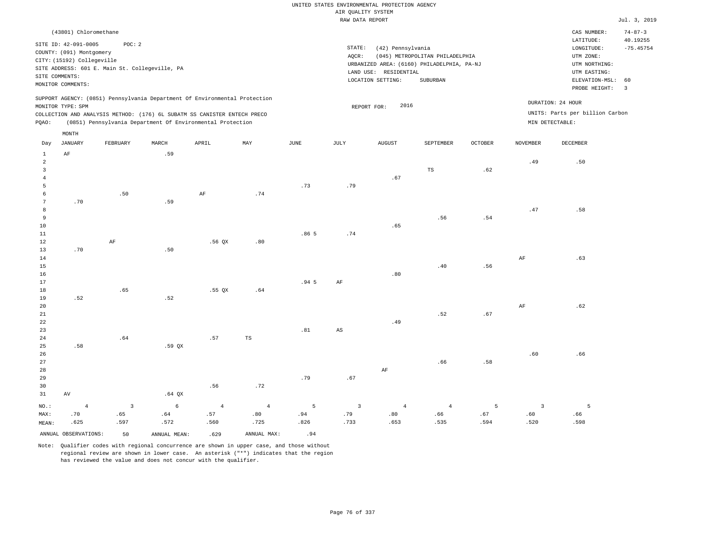| (43801) Chloromethane                                                                                                                                                                                                                              |                                                                                                                                                                                    | CAS NUMBER:<br>$74 - 87 - 3$                                                                                                           |
|----------------------------------------------------------------------------------------------------------------------------------------------------------------------------------------------------------------------------------------------------|------------------------------------------------------------------------------------------------------------------------------------------------------------------------------------|----------------------------------------------------------------------------------------------------------------------------------------|
| SITE ID: 42-091-0005<br>POC: 2<br>COUNTY: (091) Montgomery<br>CITY: (15192) Collegeville<br>SITE ADDRESS: 601 E. Main St. Collegeville, PA<br>SITE COMMENTS:<br>MONITOR COMMENTS:                                                                  | STATE:<br>(42) Pennsylvania<br>(045) METROPOLITAN PHILADELPHIA<br>AOCR:<br>URBANIZED AREA: (6160) PHILADELPHIA, PA-NJ<br>LAND USE:<br>RESIDENTIAL<br>LOCATION SETTING:<br>SUBURBAN | 40.19255<br>LATITUDE:<br>$-75.45754$<br>LONGITUDE:<br>UTM ZONE:<br>UTM NORTHING:<br>UTM EASTING:<br>ELEVATION-MSL: 60<br>PROBE HEIGHT: |
| SUPPORT AGENCY: (0851) Pennsylvania Department Of Environmental Protection<br>MONITOR TYPE: SPM<br>COLLECTION AND ANALYSIS METHOD: (176) 6L SUBATM SS CANISTER ENTECH PRECO<br>(0851) Pennsylvania Department Of Environmental Protection<br>POAO: | 2016<br>REPORT FOR:                                                                                                                                                                | DURATION: 24 HOUR<br>UNITS: Parts per billion Carbon<br>MIN DETECTABLE:                                                                |

| Day            | <b>JANUARY</b>       | FEBRUARY                | $\tt MARCH$  | APRIL      | $\ensuremath{\text{MAX}}$ | $_{\rm JUNE}$      | $\mathtt{JULY}$        | AUGUST                      | SEPTEMBER      | $OCTOBER$ | NOVEMBER       | DECEMBER |
|----------------|----------------------|-------------------------|--------------|------------|---------------------------|--------------------|------------------------|-----------------------------|----------------|-----------|----------------|----------|
| 1              | $\rm AF$             |                         | .59          |            |                           |                    |                        |                             |                |           |                |          |
| $\overline{a}$ |                      |                         |              |            |                           |                    |                        |                             |                |           | .49            | .50      |
| $\overline{3}$ |                      |                         |              |            |                           |                    |                        |                             | $_{\rm TS}$    | .62       |                |          |
| $\overline{4}$ |                      |                         |              |            |                           |                    |                        | .67                         |                |           |                |          |
| 5              |                      |                         |              |            |                           | .73                | .79                    |                             |                |           |                |          |
| 6              |                      | $.50$                   |              | $\rm AF$   | .74                       |                    |                        |                             |                |           |                |          |
| 7              | $.70$                |                         | .59          |            |                           |                    |                        |                             |                |           |                |          |
| 8              |                      |                         |              |            |                           |                    |                        |                             |                |           | .47            | .58      |
| 9              |                      |                         |              |            |                           |                    |                        |                             | .56            | .54       |                |          |
| $10$           |                      |                         |              |            |                           |                    |                        | .65                         |                |           |                |          |
| 11             |                      |                         |              |            |                           | .86 <sub>5</sub>   | .74                    |                             |                |           |                |          |
| 12             |                      | $\rm AF$                |              | .56QX      | .80                       |                    |                        |                             |                |           |                |          |
| 13             | .70                  |                         | .50          |            |                           |                    |                        |                             |                |           |                |          |
| 14             |                      |                         |              |            |                           |                    |                        |                             |                |           | $\rm{AF}$      | .63      |
| 15             |                      |                         |              |            |                           |                    |                        |                             | .40            | .56       |                |          |
| $16$           |                      |                         |              |            |                           |                    |                        | $\boldsymbol{\mathsf{.80}}$ |                |           |                |          |
| 17<br>18       |                      | .65                     |              | .55 QX     | .64                       | .94 <sub>5</sub>   | $\rm AF$               |                             |                |           |                |          |
| 19             | .52                  |                         | .52          |            |                           |                    |                        |                             |                |           |                |          |
| 20             |                      |                         |              |            |                           |                    |                        |                             |                |           | $\rm{AF}$      | .62      |
| 21             |                      |                         |              |            |                           |                    |                        |                             | .52            | .67       |                |          |
| 22             |                      |                         |              |            |                           |                    |                        | .49                         |                |           |                |          |
| 23             |                      |                         |              |            |                           | $\boldsymbol{.81}$ | $\mathbb{A}\mathbb{S}$ |                             |                |           |                |          |
| 24             |                      | $.64\,$                 |              | .57        | $_{\rm TS}$               |                    |                        |                             |                |           |                |          |
| 25             | .58                  |                         | .59 QX       |            |                           |                    |                        |                             |                |           |                |          |
| 26             |                      |                         |              |            |                           |                    |                        |                             |                |           | .60            | .66      |
| $27\,$         |                      |                         |              |            |                           |                    |                        |                             | .66            | .58       |                |          |
| 28             |                      |                         |              |            |                           |                    |                        | $\rm AF$                    |                |           |                |          |
| 29             |                      |                         |              |            |                           | .79                | $.67\,$                |                             |                |           |                |          |
| 30             |                      |                         |              | .56        | .72                       |                    |                        |                             |                |           |                |          |
| 31             | $\,\mathrm{AV}$      |                         | .64 $QX$     |            |                           |                    |                        |                             |                |           |                |          |
| $_{\rm NO.}$ : | $\overline{4}$       | $\overline{\mathbf{3}}$ | $\epsilon$   | $\sqrt{4}$ | $\overline{4}$            | 5                  | $\overline{3}$         | $\overline{4}$              | $\overline{4}$ | 5         | $\overline{3}$ | 5        |
| MAX:           | .70                  | .65                     | .64          | .57        | .80                       | .94                | .79                    | .80                         | .66            | .67       | .60            | .66      |
| MEAN:          | .625                 | .597                    | .572         | .560       | .725                      | .826               | .733                   | .653                        | .535           | .594      | .520           | .598     |
|                | ANNUAL OBSERVATIONS: | 50                      | ANNUAL MEAN: | .629       | ANNUAL MAX:               | .94                |                        |                             |                |           |                |          |

Note: Qualifier codes with regional concurrence are shown in upper case, and those without regional review are shown in lower case. An asterisk ("\*") indicates that the region has reviewed the value and does not concur with the qualifier.

MONTH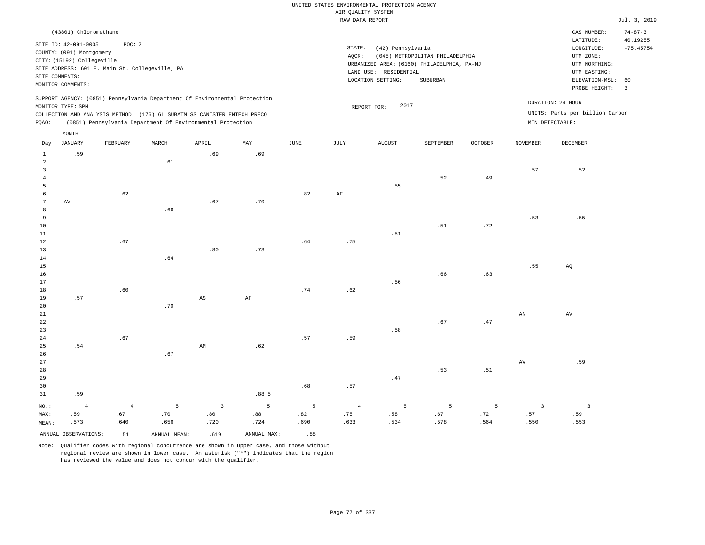|                                                    |                                                                                                                                                |             |                                                                                                                                        |                         |                |                | AIR QUALITY SYSTEM           | UNITED STATES ENVIRONMENTAL PROTECTION AGENCY                   |                                                                                           |                 |                        |                                                                                                                                                                                                                                                                                                                                                                                                                                                                                                                                                                                                                     |                                                                  |
|----------------------------------------------------|------------------------------------------------------------------------------------------------------------------------------------------------|-------------|----------------------------------------------------------------------------------------------------------------------------------------|-------------------------|----------------|----------------|------------------------------|-----------------------------------------------------------------|-------------------------------------------------------------------------------------------|-----------------|------------------------|---------------------------------------------------------------------------------------------------------------------------------------------------------------------------------------------------------------------------------------------------------------------------------------------------------------------------------------------------------------------------------------------------------------------------------------------------------------------------------------------------------------------------------------------------------------------------------------------------------------------|------------------------------------------------------------------|
|                                                    |                                                                                                                                                |             |                                                                                                                                        |                         |                |                | RAW DATA REPORT              |                                                                 |                                                                                           |                 |                        |                                                                                                                                                                                                                                                                                                                                                                                                                                                                                                                                                                                                                     | Jul. 3, 2019                                                     |
|                                                    | (43801) Chloromethane<br>SITE ID: 42-091-0005<br>COUNTY: (091) Montgomery<br>CITY: (15192) Collegeville<br>SITE COMMENTS:<br>MONITOR COMMENTS: | POC: 2      | SITE ADDRESS: 601 E. Main St. Collegeville, PA                                                                                         |                         |                |                | $\texttt{STATE}{}:$<br>AQCR: | (42) Pennsylvania<br>LAND USE: RESIDENTIAL<br>LOCATION SETTING: | (045) METROPOLITAN PHILADELPHIA<br>URBANIZED AREA: (6160) PHILADELPHIA, PA-NJ<br>SUBURBAN |                 |                        | CAS NUMBER:<br>LATITUDE:<br>$\texttt{LONGITUDE}: \quad % \begin{minipage}[c]{0.5\linewidth} \centering \begin{tabular}{lcccc} \toprule \texttt{1}\end{tabular} & \texttt{1}\end{tabular} \vspace*{-1em} \caption{The \texttt{1}\qquad \texttt{1}\qquad \texttt{2}\qquad \texttt{2}\qquad \texttt{2}\qquad \texttt{3}\qquad \texttt{3}\qquad \texttt{4}\qquad \texttt{5}\qquad \texttt{5}\qquad \texttt{6}\qquad \texttt{6}\qquad \texttt{7}\qquad \texttt{8}\qquad \texttt{8}\qquad \texttt{8}\qquad \texttt{9}\qquad \texttt{1}\$<br>UTM ZONE:<br>UTM NORTHING:<br>UTM EASTING:<br>ELEVATION-MSL:<br>PROBE HEIGHT: | $74 - 87 - 3$<br>40.19255<br>$-75.45754$<br>60<br>$\overline{3}$ |
|                                                    |                                                                                                                                                |             | SUPPORT AGENCY: (0851) Pennsylvania Department Of Environmental Protection                                                             |                         |                |                |                              | 2017                                                            |                                                                                           |                 |                        | DURATION: 24 HOUR                                                                                                                                                                                                                                                                                                                                                                                                                                                                                                                                                                                                   |                                                                  |
| PQAO:                                              | MONITOR TYPE: SPM                                                                                                                              |             | COLLECTION AND ANALYSIS METHOD: (176) 6L SUBATM SS CANISTER ENTECH PRECO<br>(0851) Pennsylvania Department Of Environmental Protection |                         |                |                |                              | REPORT FOR:                                                     |                                                                                           |                 |                        | UNITS: Parts per billion Carbon<br>MIN DETECTABLE:                                                                                                                                                                                                                                                                                                                                                                                                                                                                                                                                                                  |                                                                  |
| Day                                                | MONTH<br><b>JANUARY</b>                                                                                                                        | FEBRUARY    | MARCH                                                                                                                                  | APRIL                   | MAY            | <b>JUNE</b>    | <b>JULY</b>                  | <b>AUGUST</b>                                                   | SEPTEMBER                                                                                 | <b>OCTOBER</b>  | <b>NOVEMBER</b>        | <b>DECEMBER</b>                                                                                                                                                                                                                                                                                                                                                                                                                                                                                                                                                                                                     |                                                                  |
| $\,$ 1                                             | .59                                                                                                                                            |             |                                                                                                                                        | .69                     | .69            |                |                              |                                                                 |                                                                                           |                 |                        |                                                                                                                                                                                                                                                                                                                                                                                                                                                                                                                                                                                                                     |                                                                  |
| $\overline{a}$<br>$\overline{3}$<br>$\overline{4}$ |                                                                                                                                                |             | .61                                                                                                                                    |                         |                |                |                              | .55                                                             | .52                                                                                       | .49             | .57                    | .52                                                                                                                                                                                                                                                                                                                                                                                                                                                                                                                                                                                                                 |                                                                  |
| 5<br>$\sqrt{6}$<br>7<br>$^{\rm 8}$                 | AV                                                                                                                                             | .62         | .66                                                                                                                                    | .67                     | .70            | .82            | AF                           |                                                                 |                                                                                           |                 |                        |                                                                                                                                                                                                                                                                                                                                                                                                                                                                                                                                                                                                                     |                                                                  |
| 9<br>$10$<br>$1\,1$<br>12                          |                                                                                                                                                | .67         |                                                                                                                                        |                         |                | .64            | .75                          | .51                                                             | .51                                                                                       | .72             | .53                    | .55                                                                                                                                                                                                                                                                                                                                                                                                                                                                                                                                                                                                                 |                                                                  |
| 13<br>14<br>15<br>16<br>17                         |                                                                                                                                                |             | .64                                                                                                                                    | .80                     | .73            |                |                              | .56                                                             | .66                                                                                       | .63             | .55                    | AQ                                                                                                                                                                                                                                                                                                                                                                                                                                                                                                                                                                                                                  |                                                                  |
| $1\,8$<br>19<br>20                                 | .57                                                                                                                                            | .60         | .70                                                                                                                                    | $\mathbb{A}\mathbb{S}$  | $\rm AF$       | .74            | .62                          |                                                                 |                                                                                           |                 |                        |                                                                                                                                                                                                                                                                                                                                                                                                                                                                                                                                                                                                                     |                                                                  |
| 21<br>22<br>23<br>24                               |                                                                                                                                                | .67         |                                                                                                                                        |                         |                | .57            | .59                          | .58                                                             | .67                                                                                       | .47             | $\mathbb{A}\mathbb{N}$ | $\hbox{AV}$                                                                                                                                                                                                                                                                                                                                                                                                                                                                                                                                                                                                         |                                                                  |
| 25<br>26<br>27                                     | .54                                                                                                                                            |             | .67                                                                                                                                    | AM                      | .62            |                |                              |                                                                 |                                                                                           |                 | $\hbox{AV}$            | .59                                                                                                                                                                                                                                                                                                                                                                                                                                                                                                                                                                                                                 |                                                                  |
| 28<br>29<br>30<br>31                               | .59                                                                                                                                            |             |                                                                                                                                        |                         | .885           | .68            | .57                          | $.47\,$                                                         | .53                                                                                       | .51             |                        |                                                                                                                                                                                                                                                                                                                                                                                                                                                                                                                                                                                                                     |                                                                  |
| NO.:                                               | $\overline{4}$                                                                                                                                 | $\sqrt{4}$  | $\overline{5}$                                                                                                                         | $\overline{\mathbf{3}}$ | $\overline{5}$ | $\overline{5}$ | $\overline{4}$               | 5                                                               | 5                                                                                         | $5\phantom{.0}$ | $\overline{3}$         | $\overline{\mathbf{3}}$                                                                                                                                                                                                                                                                                                                                                                                                                                                                                                                                                                                             |                                                                  |
| MAX:<br>MEAN:                                      | .59<br>.573                                                                                                                                    | .67<br>.640 | .70<br>.656                                                                                                                            | .80<br>.720             | .88<br>.724    | .82<br>.690    | .75<br>.633                  | .58<br>.534                                                     | .67<br>.578                                                                               | .72<br>.564     | .57<br>.550            | .59<br>.553                                                                                                                                                                                                                                                                                                                                                                                                                                                                                                                                                                                                         |                                                                  |
|                                                    | ANNUAL OBSERVATIONS:                                                                                                                           | 51          | ANNUAL, MEAN:                                                                                                                          | .619                    | ANNUAL MAX:    | .88            |                              |                                                                 |                                                                                           |                 |                        |                                                                                                                                                                                                                                                                                                                                                                                                                                                                                                                                                                                                                     |                                                                  |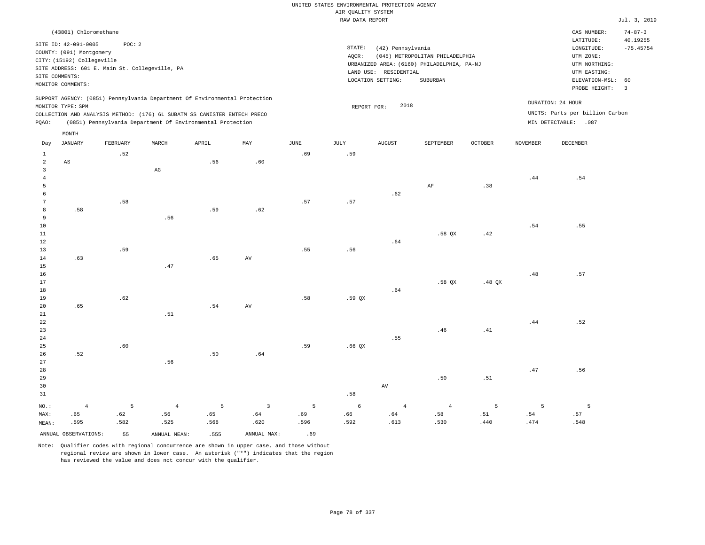|                |                            |          |                                                                            |       |                         |             | UNITED STATES ENVIRONMENTAL PROTECTION AGENCY |                       |                                            |                |                 |                                 |                           |
|----------------|----------------------------|----------|----------------------------------------------------------------------------|-------|-------------------------|-------------|-----------------------------------------------|-----------------------|--------------------------------------------|----------------|-----------------|---------------------------------|---------------------------|
|                |                            |          |                                                                            |       |                         |             | AIR QUALITY SYSTEM                            |                       |                                            |                |                 |                                 |                           |
|                |                            |          |                                                                            |       |                         |             | RAW DATA REPORT                               |                       |                                            |                |                 |                                 | Jul. 3, 2019              |
|                | (43801) Chloromethane      |          |                                                                            |       |                         |             |                                               |                       |                                            |                |                 | CAS NUMBER:<br>LATITUDE:        | $74 - 87 - 3$<br>40.19255 |
|                | SITE ID: 42-091-0005       | POC: 2   |                                                                            |       |                         |             | STATE:                                        | (42) Pennsylvania     |                                            |                |                 | LONGITUDE:                      | $-75.45754$               |
|                | COUNTY: (091) Montgomery   |          |                                                                            |       |                         |             | AQCR:                                         |                       | (045) METROPOLITAN PHILADELPHIA            |                |                 | UTM ZONE:                       |                           |
|                | CITY: (15192) Collegeville |          |                                                                            |       |                         |             |                                               |                       | URBANIZED AREA: (6160) PHILADELPHIA, PA-NJ |                |                 | UTM NORTHING:                   |                           |
|                |                            |          | SITE ADDRESS: 601 E. Main St. Collegeville, PA                             |       |                         |             |                                               | LAND USE: RESIDENTIAL |                                            |                |                 | UTM EASTING:                    |                           |
|                | SITE COMMENTS:             |          |                                                                            |       |                         |             |                                               | LOCATION SETTING:     | SUBURBAN                                   |                |                 | ELEVATION-MSL:                  | 60                        |
|                | MONITOR COMMENTS:          |          |                                                                            |       |                         |             |                                               |                       |                                            |                |                 | PROBE HEIGHT:                   | $\overline{3}$            |
|                | MONITOR TYPE: SPM          |          | SUPPORT AGENCY: (0851) Pennsylvania Department Of Environmental Protection |       |                         |             |                                               | 2018                  |                                            |                |                 | DURATION: 24 HOUR               |                           |
|                |                            |          | COLLECTION AND ANALYSIS METHOD: (176) 6L SUBATM SS CANISTER ENTECH PRECO   |       |                         |             | REPORT FOR:                                   |                       |                                            |                |                 | UNITS: Parts per billion Carbon |                           |
| PQAO:          |                            |          | (0851) Pennsylvania Department Of Environmental Protection                 |       |                         |             |                                               |                       |                                            |                |                 | MIN DETECTABLE: .087            |                           |
|                | MONTH                      |          |                                                                            |       |                         |             |                                               |                       |                                            |                |                 |                                 |                           |
| Day            | JANUARY                    | FEBRUARY | MARCH                                                                      | APRIL | MAY                     | <b>JUNE</b> | JULY                                          | ${\tt AUGUST}$        | SEPTEMBER                                  | <b>OCTOBER</b> | <b>NOVEMBER</b> | DECEMBER                        |                           |
| $\mathbf{1}$   |                            | .52      |                                                                            |       |                         | .69         | .59                                           |                       |                                            |                |                 |                                 |                           |
| $\overline{2}$ | $\mathbb{A}\mathbb{S}$     |          |                                                                            | .56   | .60                     |             |                                               |                       |                                            |                |                 |                                 |                           |
| 3              |                            |          | $_{\rm AG}$                                                                |       |                         |             |                                               |                       |                                            |                |                 |                                 |                           |
| $\overline{4}$ |                            |          |                                                                            |       |                         |             |                                               |                       |                                            |                | .44             | .54                             |                           |
| 5              |                            |          |                                                                            |       |                         |             |                                               |                       | $\rm AF$                                   | .38            |                 |                                 |                           |
| 6<br>7         |                            |          |                                                                            |       |                         | .57         |                                               | .62                   |                                            |                |                 |                                 |                           |
| 8              | .58                        | .58      |                                                                            | .59   | .62                     |             | .57                                           |                       |                                            |                |                 |                                 |                           |
| 9              |                            |          | .56                                                                        |       |                         |             |                                               |                       |                                            |                |                 |                                 |                           |
| $10$           |                            |          |                                                                            |       |                         |             |                                               |                       |                                            |                | .54             | .55                             |                           |
| 11             |                            |          |                                                                            |       |                         |             |                                               |                       | .58 OX                                     | .42            |                 |                                 |                           |
| 12             |                            |          |                                                                            |       |                         |             |                                               | .64                   |                                            |                |                 |                                 |                           |
| 13             |                            | .59      |                                                                            |       |                         | .55         | .56                                           |                       |                                            |                |                 |                                 |                           |
| 14             | .63                        |          |                                                                            | .65   | AV                      |             |                                               |                       |                                            |                |                 |                                 |                           |
| 15             |                            |          | .47                                                                        |       |                         |             |                                               |                       |                                            |                |                 |                                 |                           |
| 16             |                            |          |                                                                            |       |                         |             |                                               |                       |                                            |                | $.48\,$         | .57                             |                           |
| 17             |                            |          |                                                                            |       |                         |             |                                               |                       | .58 QX                                     | .48 $QX$       |                 |                                 |                           |
| 18             |                            |          |                                                                            |       |                         |             |                                               | .64                   |                                            |                |                 |                                 |                           |
| 19             |                            | .62      |                                                                            |       |                         | .58         | .59 QX                                        |                       |                                            |                |                 |                                 |                           |
| 20             | .65                        |          |                                                                            | .54   | AV                      |             |                                               |                       |                                            |                |                 |                                 |                           |
| $2\sqrt{1}$    |                            |          | .51                                                                        |       |                         |             |                                               |                       |                                            |                |                 |                                 |                           |
| 22<br>23       |                            |          |                                                                            |       |                         |             |                                               |                       | .46                                        | .41            | .44             | .52                             |                           |
| 24             |                            |          |                                                                            |       |                         |             |                                               | .55                   |                                            |                |                 |                                 |                           |
| 25             |                            | .60      |                                                                            |       |                         | .59         | .66QX                                         |                       |                                            |                |                 |                                 |                           |
| 26             | .52                        |          |                                                                            | .50   | .64                     |             |                                               |                       |                                            |                |                 |                                 |                           |
| 27             |                            |          | .56                                                                        |       |                         |             |                                               |                       |                                            |                |                 |                                 |                           |
| 28             |                            |          |                                                                            |       |                         |             |                                               |                       |                                            |                | .47             | .56                             |                           |
| 29             |                            |          |                                                                            |       |                         |             |                                               |                       | .50                                        | .51            |                 |                                 |                           |
| 30             |                            |          |                                                                            |       |                         |             |                                               | AV                    |                                            |                |                 |                                 |                           |
| 31             |                            |          |                                                                            |       |                         |             | .58                                           |                       |                                            |                |                 |                                 |                           |
| NO.:           | $\overline{4}$             | 5        | $\overline{4}$                                                             | 5     | $\overline{\mathbf{3}}$ | 5           | 6                                             | $\sqrt{4}$            | $\overline{4}$                             | 5              | 5               | $\overline{5}$                  |                           |
| MAX:           | .65                        | .62      | .56                                                                        | .65   | .64                     | .69         | .66                                           | .64                   | .58                                        | .51            | .54             | .57                             |                           |
| MEAN:          | .595                       | .582     | .525                                                                       | .568  | .620                    | .596        | .592                                          | .613                  | .530                                       | .440           | .474            | .548                            |                           |
|                | ANNUAL OBSERVATIONS:       | 55       | ANNUAL MEAN:                                                               | .555  | ANNUAL MAX:             | .69         |                                               |                       |                                            |                |                 |                                 |                           |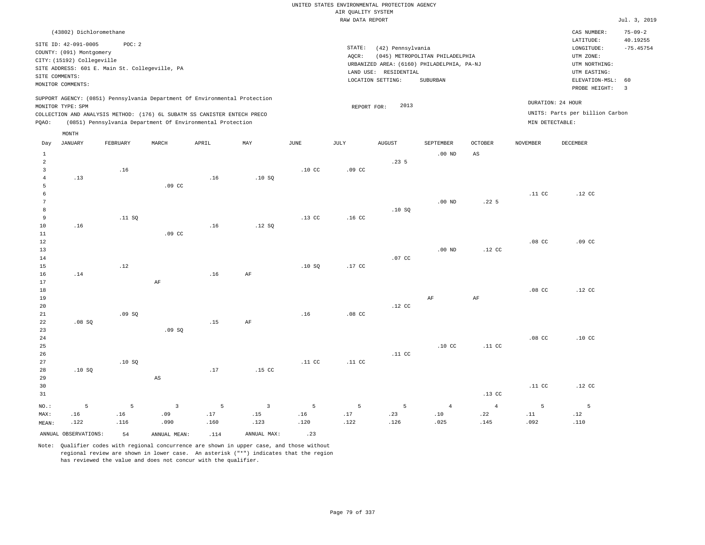|                | (43802) Dichloromethane    |                                                                            |                  |       |      |                  |                  |                   |                                            |                  |                   | CAS NUMBER:                     | $75 - 09 - 2$  |
|----------------|----------------------------|----------------------------------------------------------------------------|------------------|-------|------|------------------|------------------|-------------------|--------------------------------------------|------------------|-------------------|---------------------------------|----------------|
|                | SITE ID: 42-091-0005       | POC: 2                                                                     |                  |       |      |                  |                  |                   |                                            |                  |                   | LATITUDE:                       | 40.19255       |
|                | COUNTY: (091) Montgomery   |                                                                            |                  |       |      |                  | STATE:           | (42) Pennsylvania |                                            |                  |                   | LONGITUDE:                      | $-75.45754$    |
|                | CITY: (15192) Collegeville |                                                                            |                  |       |      |                  | AOCR:            |                   | (045) METROPOLITAN PHILADELPHIA            |                  |                   | UTM ZONE:                       |                |
|                |                            | SITE ADDRESS: 601 E. Main St. Collegeville, PA                             |                  |       |      |                  |                  |                   | URBANIZED AREA: (6160) PHILADELPHIA, PA-NJ |                  |                   | UTM NORTHING:                   |                |
|                | SITE COMMENTS:             |                                                                            |                  |       |      |                  | LAND USE:        | RESIDENTIAL       |                                            |                  |                   | UTM EASTING:                    |                |
|                | MONITOR COMMENTS:          |                                                                            |                  |       |      |                  |                  | LOCATION SETTING: | SUBURBAN                                   |                  |                   | ELEVATION-MSL: 60               |                |
|                |                            |                                                                            |                  |       |      |                  |                  |                   |                                            |                  |                   | PROBE HEIGHT:                   | $\overline{3}$ |
|                |                            | SUPPORT AGENCY: (0851) Pennsylvania Department Of Environmental Protection |                  |       |      |                  |                  |                   |                                            |                  |                   |                                 |                |
|                | MONITOR TYPE: SPM          |                                                                            |                  |       |      |                  | REPORT FOR:      | 2013              |                                            |                  | DURATION: 24 HOUR |                                 |                |
|                |                            | COLLECTION AND ANALYSIS METHOD: (176) 6L SUBATM SS CANISTER ENTECH PRECO   |                  |       |      |                  |                  |                   |                                            |                  |                   | UNITS: Parts per billion Carbon |                |
| POAO:          |                            | (0851) Pennsylvania Department Of Environmental Protection                 |                  |       |      |                  |                  |                   |                                            |                  | MIN DETECTABLE:   |                                 |                |
|                | MONTH                      |                                                                            |                  |       |      |                  |                  |                   |                                            |                  |                   |                                 |                |
|                |                            |                                                                            |                  |       |      |                  |                  |                   |                                            |                  |                   |                                 |                |
| Day            | JANUARY                    | FEBRUARY                                                                   | MARCH            | APRIL | MAY  | JUNE             | JULY             | <b>AUGUST</b>     | SEPTEMBER                                  | <b>OCTOBER</b>   | NOVEMBER          | DECEMBER                        |                |
|                |                            |                                                                            |                  |       |      |                  |                  |                   | $.00$ ND                                   | AS               |                   |                                 |                |
| 2              |                            |                                                                            |                  |       |      |                  |                  | .23 <sub>5</sub>  |                                            |                  |                   |                                 |                |
| 3              |                            | .16                                                                        |                  |       |      | .10 <sub>C</sub> | .09 <sub>c</sub> |                   |                                            |                  |                   |                                 |                |
| 4              | .13                        |                                                                            |                  | .16   | .10S |                  |                  |                   |                                            |                  |                   |                                 |                |
|                |                            |                                                                            | .09 <sub>c</sub> |       |      |                  |                  |                   |                                            |                  |                   |                                 |                |
|                |                            |                                                                            |                  |       |      |                  |                  |                   |                                            |                  | .11 <sub>c</sub>  | .12 <sub>c</sub>                |                |
| $\overline{7}$ |                            |                                                                            |                  |       |      |                  |                  |                   | .00 <sub>ND</sub>                          | .22 <sub>5</sub> |                   |                                 |                |

| 8      |     |        |                  |     |        |                  |                  | .10S   |          |                  |                  |                  |
|--------|-----|--------|------------------|-----|--------|------------------|------------------|--------|----------|------------------|------------------|------------------|
| 9      |     | .11 SQ |                  |     |        | .13 <sub>c</sub> | .16 <sub>c</sub> |        |          |                  |                  |                  |
| 10     | .16 |        |                  | .16 | .12 SQ |                  |                  |        |          |                  |                  |                  |
| $11\,$ |     |        | .09 <sub>c</sub> |     |        |                  |                  |        |          |                  |                  |                  |
| $12$   |     |        |                  |     |        |                  |                  |        |          |                  | .08 <sub>C</sub> | .09 <sub>c</sub> |
| 13     |     |        |                  |     |        |                  |                  |        | $.00$ ND | .12 <sub>c</sub> |                  |                  |
| 14     |     |        |                  |     |        |                  |                  | .07 CC |          |                  |                  |                  |
| 15     |     | .12    |                  |     |        | .10S             | .17 CC           |        |          |                  |                  |                  |
| 16     | .14 |        |                  | .16 | AF     |                  |                  |        |          |                  |                  |                  |
| 17     |     |        | AF               |     |        |                  |                  |        |          |                  |                  |                  |
| 18     |     |        |                  |     |        |                  |                  |        |          |                  | .08 <sub>C</sub> | .12 <sub>c</sub> |
| 19     |     |        |                  |     |        |                  |                  |        | AF       | AF               |                  |                  |

| 20 |       |       |       |     |                  |                  |                  | .12 <sub>c</sub> |                  |                  |                  |                  |
|----|-------|-------|-------|-----|------------------|------------------|------------------|------------------|------------------|------------------|------------------|------------------|
| 21 |       | .09SQ |       |     |                  | .16              | .08 <sub>C</sub> |                  |                  |                  |                  |                  |
| 22 | .08SQ |       |       | .15 | AF               |                  |                  |                  |                  |                  |                  |                  |
| 23 |       |       | .09SQ |     |                  |                  |                  |                  |                  |                  |                  |                  |
| 24 |       |       |       |     |                  |                  |                  |                  |                  |                  | .08 <sub>C</sub> | .10 <sub>C</sub> |
| 25 |       |       |       |     |                  |                  |                  |                  | .10 <sub>C</sub> | .11 <sub>c</sub> |                  |                  |
| 26 |       |       |       |     |                  |                  |                  | .11 <sub>c</sub> |                  |                  |                  |                  |
| 27 |       | .10S  |       |     |                  | .11 <sub>c</sub> | .11 <sub>C</sub> |                  |                  |                  |                  |                  |
| 28 | .10S  |       |       | .17 | .15 <sub>c</sub> |                  |                  |                  |                  |                  |                  |                  |
| 29 |       |       | AS    |     |                  |                  |                  |                  |                  |                  |                  |                  |
| 30 |       |       |       |     |                  |                  |                  |                  |                  |                  | .11 <sub>c</sub> | .12 <sub>c</sub> |
| 31 |       |       |       |     |                  |                  |                  |                  |                  | .13 <sub>c</sub> |                  |                  |
|    |       |       |       |     |                  |                  |                  |                  |                  |                  |                  |                  |

|       |                         | NO.: 5 5 3 5 3 5 5 5 4 4 5 5                 |             |  |      |      |      |      |
|-------|-------------------------|----------------------------------------------|-------------|--|------|------|------|------|
|       |                         |                                              |             |  |      |      |      | .12  |
| MEAN: |                         | .122 .126 .129 .100 .100 .123 .120 .122 .126 |             |  | .025 | .145 | .092 | .110 |
|       | ANNUAL OBSERVATIONS: 54 | ANNUAL MEAN: .114                            | ANNUAL MAX: |  |      |      |      |      |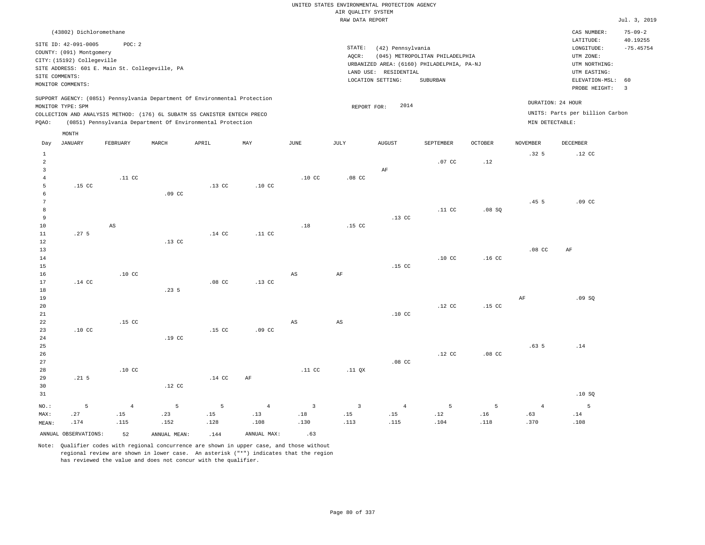## UNITED STATES ENVIRONMENTAL PROTECTION AGENCY AIR QUALITY SYSTEM

|                |                            |                                                |                  |                                                                            |                  |                        | RAW DATA REPORT  |                       |                                            |                   |                  |                                 | Jul. 3, 2019             |
|----------------|----------------------------|------------------------------------------------|------------------|----------------------------------------------------------------------------|------------------|------------------------|------------------|-----------------------|--------------------------------------------|-------------------|------------------|---------------------------------|--------------------------|
|                | (43802) Dichloromethane    |                                                |                  |                                                                            |                  |                        |                  |                       |                                            |                   |                  | CAS NUMBER:                     | $75 - 09 - 2$            |
|                | SITE ID: 42-091-0005       | POC: 2                                         |                  |                                                                            |                  |                        |                  |                       |                                            |                   |                  | LATITUDE:                       | 40.19255                 |
|                | COUNTY: (091) Montgomery   |                                                |                  |                                                                            |                  |                        | STATE:           | (42) Pennsylvania     |                                            |                   |                  | LONGITUDE:                      | $-75.45754$              |
|                | CITY: (15192) Collegeville |                                                |                  |                                                                            |                  |                        | AOCR:            |                       | (045) METROPOLITAN PHILADELPHIA            |                   |                  | UTM ZONE:                       |                          |
|                |                            | SITE ADDRESS: 601 E. Main St. Collegeville, PA |                  |                                                                            |                  |                        |                  |                       | URBANIZED AREA: (6160) PHILADELPHIA, PA-NJ |                   |                  | UTM NORTHING:                   |                          |
|                | SITE COMMENTS:             |                                                |                  |                                                                            |                  |                        |                  | LAND USE: RESIDENTIAL |                                            |                   |                  | UTM EASTING:                    |                          |
|                | MONITOR COMMENTS:          |                                                |                  |                                                                            |                  |                        |                  | LOCATION SETTING:     | SUBURBAN                                   |                   |                  | ELEVATION-MSL:                  | 60                       |
|                |                            |                                                |                  |                                                                            |                  |                        |                  |                       |                                            |                   |                  | PROBE HEIGHT:                   | $\overline{\phantom{a}}$ |
|                |                            |                                                |                  | SUPPORT AGENCY: (0851) Pennsylvania Department Of Environmental Protection |                  |                        |                  |                       |                                            |                   |                  |                                 |                          |
|                | MONITOR TYPE: SPM          |                                                |                  |                                                                            |                  |                        | REPORT FOR:      | 2014                  |                                            |                   |                  | DURATION: 24 HOUR               |                          |
|                |                            |                                                |                  | COLLECTION AND ANALYSIS METHOD: (176) 6L SUBATM SS CANISTER ENTECH PRECO   |                  |                        |                  |                       |                                            |                   |                  | UNITS: Parts per billion Carbon |                          |
| PQAO:          |                            |                                                |                  | (0851) Pennsylvania Department Of Environmental Protection                 |                  |                        |                  |                       |                                            |                   |                  | MIN DETECTABLE:                 |                          |
|                | MONTH                      |                                                |                  |                                                                            |                  |                        |                  |                       |                                            |                   |                  |                                 |                          |
| Day            | JANUARY                    | FEBRUARY                                       | MARCH            | APRIL                                                                      | MAY              | JUNE                   | JULY             | <b>AUGUST</b>         | SEPTEMBER                                  | <b>OCTOBER</b>    | NOVEMBER         | DECEMBER                        |                          |
| $\mathbf{1}$   |                            |                                                |                  |                                                                            |                  |                        |                  |                       |                                            |                   | .32 <sub>5</sub> | .12 <sub>c</sub>                |                          |
| 2              |                            |                                                |                  |                                                                            |                  |                        |                  |                       | .07 <sub>c</sub>                           | .12               |                  |                                 |                          |
| $\overline{3}$ |                            |                                                |                  |                                                                            |                  |                        |                  | AF                    |                                            |                   |                  |                                 |                          |
| $\overline{4}$ |                            | .11 <sub>c</sub>                               |                  |                                                                            |                  | .10 <sub>C</sub>       | .08 <sub>c</sub> |                       |                                            |                   |                  |                                 |                          |
| 5              | .15 <sub>c</sub>           |                                                |                  | .13 <sub>c</sub>                                                           | .10 <sub>C</sub> |                        |                  |                       |                                            |                   |                  |                                 |                          |
| 6              |                            |                                                | .09 <sub>c</sub> |                                                                            |                  |                        |                  |                       |                                            |                   |                  |                                 |                          |
| 7              |                            |                                                |                  |                                                                            |                  |                        |                  |                       |                                            |                   | .455             | .09 <sub>cc</sub>               |                          |
| 8              |                            |                                                |                  |                                                                            |                  |                        |                  |                       | .11 <sub>c</sub>                           | .08SQ             |                  |                                 |                          |
| 9              |                            |                                                |                  |                                                                            |                  |                        |                  | $.13$ CC              |                                            |                   |                  |                                 |                          |
| 10             |                            | AS                                             |                  |                                                                            |                  | .18                    | .15 <sub>c</sub> |                       |                                            |                   |                  |                                 |                          |
| 11             | .27 <sub>5</sub>           |                                                |                  | .14 <sub>c</sub>                                                           | .11 <sub>c</sub> |                        |                  |                       |                                            |                   |                  |                                 |                          |
| 12             |                            |                                                | .13 <sub>c</sub> |                                                                            |                  |                        |                  |                       |                                            |                   |                  |                                 |                          |
| 13             |                            |                                                |                  |                                                                            |                  |                        |                  |                       |                                            |                   | .08 <sub>C</sub> | AF                              |                          |
| 14             |                            |                                                |                  |                                                                            |                  |                        |                  |                       | .10 <sub>C</sub>                           | .16 <sub>c</sub>  |                  |                                 |                          |
| 15             |                            |                                                |                  |                                                                            |                  |                        |                  | .15 <sub>c</sub>      |                                            |                   |                  |                                 |                          |
| 16             |                            | .10 <sub>c</sub>                               |                  |                                                                            |                  | AS                     | AF               |                       |                                            |                   |                  |                                 |                          |
| 17             | $.14$ CC                   |                                                |                  | .08 <sub>cc</sub>                                                          | .13 <sub>c</sub> |                        |                  |                       |                                            |                   |                  |                                 |                          |
| 18             |                            |                                                | .235             |                                                                            |                  |                        |                  |                       |                                            |                   |                  |                                 |                          |
| 19             |                            |                                                |                  |                                                                            |                  |                        |                  |                       |                                            |                   | AF               | .09SQ                           |                          |
| 20             |                            |                                                |                  |                                                                            |                  |                        |                  |                       | .12 <sub>c</sub>                           | .15 <sub>c</sub>  |                  |                                 |                          |
| 21             |                            |                                                |                  |                                                                            |                  |                        |                  | .10 <sub>C</sub>      |                                            |                   |                  |                                 |                          |
| 22             |                            | .15 <sub>c</sub>                               |                  |                                                                            |                  | $\mathbb{A}\mathbb{S}$ | AS               |                       |                                            |                   |                  |                                 |                          |
| 23             | .10 <sub>C</sub>           |                                                |                  | .15 <sub>c</sub>                                                           | .09 <sub>c</sub> |                        |                  |                       |                                            |                   |                  |                                 |                          |
| 24             |                            |                                                | .19 <sub>c</sub> |                                                                            |                  |                        |                  |                       |                                            |                   |                  |                                 |                          |
| 25             |                            |                                                |                  |                                                                            |                  |                        |                  |                       |                                            |                   | .63 <sub>5</sub> | .14                             |                          |
| 26             |                            |                                                |                  |                                                                            |                  |                        |                  |                       | .12 CC                                     | .08 <sub>cc</sub> |                  |                                 |                          |

27 28 29 30 31 .21 5 NO.: MAX: MEAN: 5 .27 .174 .10 CC .12 CC .14 CC AF .11 CC .11 QX .08 CC .10 SQ 4 .15 .115 5 .23 .152 5 .15 .128 4 .13 .108 3 .18 .130 3 .15 .113 4 .15 .115 5 .12 .104 5 .16 .118 4 .63 .370 5 .14 .108 ANNUAL OBSERVATIONS: 52 ANNUAL MEAN: .144 ANNUAL MAX: .63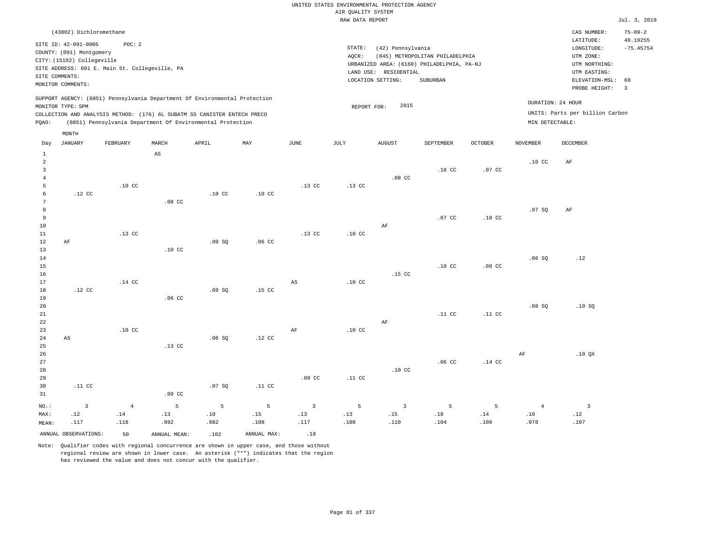| (43802) Dichloromethane                                                                                                                                                                                                                            |                                                                                                                                                                                    | $75 - 09 - 2$<br>CAS NUMBER:                                                                                                           |
|----------------------------------------------------------------------------------------------------------------------------------------------------------------------------------------------------------------------------------------------------|------------------------------------------------------------------------------------------------------------------------------------------------------------------------------------|----------------------------------------------------------------------------------------------------------------------------------------|
| SITE ID: 42-091-0005<br>POC: 2<br>COUNTY: (091) Montgomery<br>CITY: (15192) Collegeville<br>SITE ADDRESS: 601 E. Main St. Collegeville, PA<br>SITE COMMENTS:<br>MONITOR COMMENTS:                                                                  | STATE:<br>(42) Pennsylvania<br>(045) METROPOLITAN PHILADELPHIA<br>AOCR:<br>URBANIZED AREA: (6160) PHILADELPHIA, PA-NJ<br>RESIDENTIAL<br>LAND USE:<br>SUBURBAN<br>LOCATION SETTING: | 40.19255<br>LATITUDE:<br>$-75.45754$<br>LONGITUDE:<br>UTM ZONE:<br>UTM NORTHING:<br>UTM EASTING:<br>ELEVATION-MSL: 60<br>PROBE HEIGHT: |
| SUPPORT AGENCY: (0851) Pennsylvania Department Of Environmental Protection<br>MONITOR TYPE: SPM<br>COLLECTION AND ANALYSIS METHOD: (176) 6L SUBATM SS CANISTER ENTECH PRECO<br>(0851) Pennsylvania Department Of Environmental Protection<br>POAO: | 2015<br>REPORT FOR:<br>MIN DETECTABLE:                                                                                                                                             | DURATION: 24 HOUR<br>UNITS: Parts per billion Carbon                                                                                   |

| Day                 | JANUARY                | FEBRUARY         | MARCH                  | APRIL            | MAY              | $_{\rm JUNE}$           | JULY             | <b>AUGUST</b>           | SEPTEMBER        | OCTOBER          | NOVEMBER         | DECEMBER                 |
|---------------------|------------------------|------------------|------------------------|------------------|------------------|-------------------------|------------------|-------------------------|------------------|------------------|------------------|--------------------------|
| $\mathbf{1}$        |                        |                  | $\mathbb{A}\mathbb{S}$ |                  |                  |                         |                  |                         |                  |                  |                  |                          |
| $\overline{a}$      |                        |                  |                        |                  |                  |                         |                  |                         |                  |                  | .10 <sub>C</sub> | $\rm AF$                 |
| 3                   |                        |                  |                        |                  |                  |                         |                  |                         | $.18$ CC         | .07 CC           |                  |                          |
| $\overline{4}$<br>5 |                        | .10 <sub>C</sub> |                        |                  |                  | .13 <sub>c</sub>        | .13 <sub>c</sub> | .08 <sub>C</sub>        |                  |                  |                  |                          |
| 6                   | $.12$ CC               |                  |                        | .10 <sub>C</sub> | .10 <sub>C</sub> |                         |                  |                         |                  |                  |                  |                          |
| $\sqrt{7}$          |                        |                  | $.08$ CC               |                  |                  |                         |                  |                         |                  |                  |                  |                          |
| $^{\rm 8}$          |                        |                  |                        |                  |                  |                         |                  |                         |                  |                  | .07SQ            | $\rm AF$                 |
| 9                   |                        |                  |                        |                  |                  |                         |                  |                         | $.07$ CC         | .10 <sub>C</sub> |                  |                          |
| 10                  |                        |                  |                        |                  |                  |                         |                  | $\rm{AF}$               |                  |                  |                  |                          |
| 11                  |                        | $.13$ CC         |                        |                  |                  | $.13$ CC                | $.10$ CC         |                         |                  |                  |                  |                          |
| 12                  | $\rm AF$               |                  |                        | .09SQ            | .06 <sub>c</sub> |                         |                  |                         |                  |                  |                  |                          |
| 13                  |                        |                  | $.10$ CC               |                  |                  |                         |                  |                         |                  |                  |                  |                          |
| 14                  |                        |                  |                        |                  |                  |                         |                  |                         |                  |                  | .06SQ            | .12                      |
| 15                  |                        |                  |                        |                  |                  |                         |                  |                         | .10 <sub>C</sub> | $.08$ CC         |                  |                          |
| $16$                |                        |                  |                        |                  |                  |                         |                  | $.15$ CC                |                  |                  |                  |                          |
| 17                  |                        | $.14$ CC         |                        |                  |                  | $_{\rm AS}$             | .10 <sub>C</sub> |                         |                  |                  |                  |                          |
| 18                  | $.12$ CC               |                  |                        | .09SQ            | $.15$ CC         |                         |                  |                         |                  |                  |                  |                          |
| 19                  |                        |                  | .06 <sub>C</sub>       |                  |                  |                         |                  |                         |                  |                  |                  |                          |
| 20                  |                        |                  |                        |                  |                  |                         |                  |                         |                  |                  | .08SQ            | .10S                     |
| 21                  |                        |                  |                        |                  |                  |                         |                  |                         | .11 <sub>c</sub> | .11 <sub>c</sub> |                  |                          |
| 22                  |                        |                  |                        |                  |                  |                         |                  | $\rm AF$                |                  |                  |                  |                          |
| 23                  |                        | $.10$ CC         |                        |                  |                  | $\rm{AF}$               | $.10$ CC         |                         |                  |                  |                  |                          |
| 24                  | $\mathbb{A}\mathbb{S}$ |                  |                        | .06SQ            | $.12$ CC         |                         |                  |                         |                  |                  |                  |                          |
| $25\,$<br>26        |                        |                  | $.13$ CC               |                  |                  |                         |                  |                         |                  |                  | $\rm{AF}$        | .10 $QX$                 |
| $2\,7$              |                        |                  |                        |                  |                  |                         |                  |                         | .06 <sub>C</sub> | $.14$ CC         |                  |                          |
| 28                  |                        |                  |                        |                  |                  |                         |                  | .10 <sub>C</sub>        |                  |                  |                  |                          |
| 29                  |                        |                  |                        |                  |                  | .09 <sub>c</sub>        | .11 <sub>c</sub> |                         |                  |                  |                  |                          |
| 30                  | .11 <sub>c</sub>       |                  |                        | .07SQ            | .11 <sub>c</sub> |                         |                  |                         |                  |                  |                  |                          |
| 31                  |                        |                  | $.09$ CC               |                  |                  |                         |                  |                         |                  |                  |                  |                          |
| $_{\rm NO.}$ :      | $\overline{3}$         | $\overline{4}$   | $\overline{5}$         | 5                | 5                | $\overline{\mathbf{3}}$ | 5                | $\overline{\mathbf{3}}$ | 5                | 5                | $\overline{4}$   | $\overline{\phantom{a}}$ |
| MAX:                | .12                    | $.14\,$          | .13                    | $\sqrt{10}$      | .15              | .13                     | .13              | .15                     | $.18\,$          | .14              | .10              | .12                      |
| MEAN:               | .117                   | .118             | .092                   | .082             | .108             | .117                    | .108             | .110                    | .104             | .100             | .078             | .107                     |
|                     | ANNUAL OBSERVATIONS:   | 50               | ANNUAL MEAN:           | .102             | ANNUAL MAX:      | .18                     |                  |                         |                  |                  |                  |                          |

Note: Qualifier codes with regional concurrence are shown in upper case, and those without regional review are shown in lower case. An asterisk ("\*") indicates that the region has reviewed the value and does not concur with the qualifier.

MONTH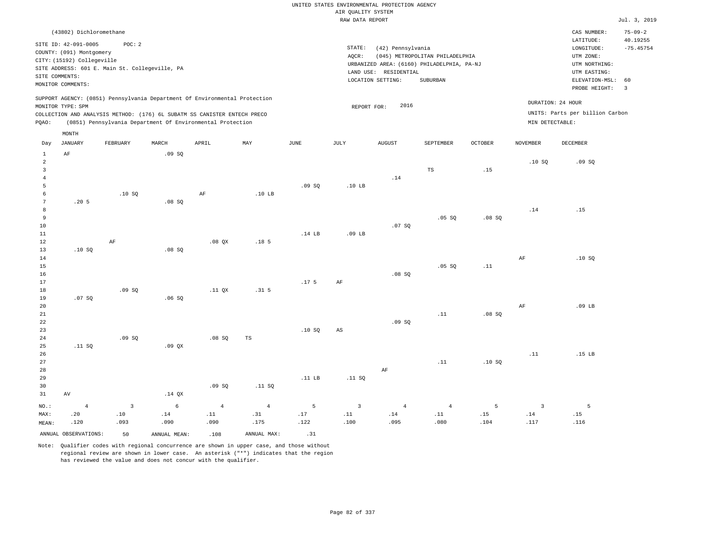|                      | (43802) Dichloromethane                          |                         |                                                                            |                |                           |                  |                         |                                            |                                 |         |                 | CAS NUMBER:<br>LATITUDE:        | $75 - 09 - 2$<br>40.19255 |
|----------------------|--------------------------------------------------|-------------------------|----------------------------------------------------------------------------|----------------|---------------------------|------------------|-------------------------|--------------------------------------------|---------------------------------|---------|-----------------|---------------------------------|---------------------------|
|                      | SITE ID: 42-091-0005<br>COUNTY: (091) Montgomery | POC: 2                  |                                                                            |                |                           |                  | STATE:<br>AQCR:         | (42) Pennsylvania                          | (045) METROPOLITAN PHILADELPHIA |         |                 | LONGITUDE:<br>UTM ZONE:         | $-75.45754$               |
|                      | CITY: (15192) Collegeville                       |                         |                                                                            |                |                           |                  |                         | URBANIZED AREA: (6160) PHILADELPHIA, PA-NJ |                                 |         |                 | UTM NORTHING:                   |                           |
|                      | SITE ADDRESS: 601 E. Main St. Collegeville, PA   |                         |                                                                            |                |                           |                  |                         | LAND USE: RESIDENTIAL                      |                                 |         |                 | UTM EASTING:                    |                           |
| SITE COMMENTS:       |                                                  |                         |                                                                            |                |                           |                  |                         | LOCATION SETTING:                          | SUBURBAN                        |         |                 | ELEVATION-MSL:                  | 60                        |
|                      | MONITOR COMMENTS:                                |                         |                                                                            |                |                           |                  |                         |                                            |                                 |         |                 | PROBE HEIGHT:                   | $\overline{\mathbf{3}}$   |
|                      | MONITOR TYPE: SPM                                |                         | SUPPORT AGENCY: (0851) Pennsylvania Department Of Environmental Protection |                |                           |                  | REPORT FOR:             | 2016                                       |                                 |         |                 | DURATION: 24 HOUR               |                           |
|                      |                                                  |                         | COLLECTION AND ANALYSIS METHOD: (176) 6L SUBATM SS CANISTER ENTECH PRECO   |                |                           |                  |                         |                                            |                                 |         |                 | UNITS: Parts per billion Carbon |                           |
| PQAO:                |                                                  |                         | (0851) Pennsylvania Department Of Environmental Protection                 |                |                           |                  |                         |                                            |                                 |         | MIN DETECTABLE: |                                 |                           |
|                      | MONTH                                            |                         |                                                                            |                |                           |                  |                         |                                            |                                 |         |                 |                                 |                           |
| Day                  | <b>JANUARY</b>                                   | FEBRUARY                | MARCH                                                                      | APRIL          | $\ensuremath{\text{MAX}}$ | $\mathtt{JUNE}$  | JULY                    | ${\tt AUGUST}$                             | SEPTEMBER                       | OCTOBER | <b>NOVEMBER</b> | DECEMBER                        |                           |
| $\,1\,$              | $\rm AF$                                         |                         | .09SQ                                                                      |                |                           |                  |                         |                                            |                                 |         |                 |                                 |                           |
| $\overline{a}$       |                                                  |                         |                                                                            |                |                           |                  |                         |                                            |                                 |         | .10SQ           | .09SQ                           |                           |
| $\overline{3}$       |                                                  |                         |                                                                            |                |                           |                  |                         |                                            | TS                              | .15     |                 |                                 |                           |
| $\overline{4}$       |                                                  |                         |                                                                            |                |                           |                  |                         | .14                                        |                                 |         |                 |                                 |                           |
| 5                    |                                                  |                         |                                                                            |                |                           | .09SQ            | .10 <sub>LB</sub>       |                                            |                                 |         |                 |                                 |                           |
| 6<br>$7\phantom{.0}$ | .205                                             | .10S                    | .08S                                                                       | AF             | .10 <sub>LB</sub>         |                  |                         |                                            |                                 |         |                 |                                 |                           |
| 8                    |                                                  |                         |                                                                            |                |                           |                  |                         |                                            |                                 |         | .14             | .15                             |                           |
| 9                    |                                                  |                         |                                                                            |                |                           |                  |                         |                                            | .05 SQ                          | .08SQ   |                 |                                 |                           |
| 10                   |                                                  |                         |                                                                            |                |                           |                  |                         | .07SQ                                      |                                 |         |                 |                                 |                           |
| $11\,$               |                                                  |                         |                                                                            |                |                           | $.14$ LB         | $.09$ LB                |                                            |                                 |         |                 |                                 |                           |
| 12                   |                                                  | $\rm{AF}$               |                                                                            | $.08$ QX       | .18 <sub>5</sub>          |                  |                         |                                            |                                 |         |                 |                                 |                           |
| 13                   | .10S                                             |                         | .08S                                                                       |                |                           |                  |                         |                                            |                                 |         |                 |                                 |                           |
| 14                   |                                                  |                         |                                                                            |                |                           |                  |                         |                                            |                                 |         | AF              | .10S                            |                           |
| 15                   |                                                  |                         |                                                                            |                |                           |                  |                         |                                            | .05 SQ                          | .11     |                 |                                 |                           |
| 16                   |                                                  |                         |                                                                            |                |                           |                  |                         | .08SQ                                      |                                 |         |                 |                                 |                           |
| 17                   |                                                  |                         |                                                                            |                |                           | .17 <sub>5</sub> | AF                      |                                            |                                 |         |                 |                                 |                           |
| 18                   |                                                  | .09SQ                   |                                                                            | .11 QX         | .31 <sub>5</sub>          |                  |                         |                                            |                                 |         |                 |                                 |                           |
| 19                   | .07 SQ                                           |                         | .06SQ                                                                      |                |                           |                  |                         |                                            |                                 |         |                 |                                 |                           |
| 20                   |                                                  |                         |                                                                            |                |                           |                  |                         |                                            |                                 |         | AF              | $.09$ LB                        |                           |
| 21                   |                                                  |                         |                                                                            |                |                           |                  |                         |                                            | .11                             | .08SQ   |                 |                                 |                           |
| 22                   |                                                  |                         |                                                                            |                |                           |                  |                         | .09SQ                                      |                                 |         |                 |                                 |                           |
| 23<br>24             |                                                  | .09S                    |                                                                            | .08S           | TS                        | .10SQ            | AS                      |                                            |                                 |         |                 |                                 |                           |
| 25                   | .11 SQ                                           |                         | .09QX                                                                      |                |                           |                  |                         |                                            |                                 |         |                 |                                 |                           |
| 26                   |                                                  |                         |                                                                            |                |                           |                  |                         |                                            |                                 |         | .11             | $.15$ LB                        |                           |
| 27                   |                                                  |                         |                                                                            |                |                           |                  |                         |                                            | .11                             | .10S    |                 |                                 |                           |
| 28                   |                                                  |                         |                                                                            |                |                           |                  |                         | AF                                         |                                 |         |                 |                                 |                           |
| 29                   |                                                  |                         |                                                                            |                |                           | .11 $LB$         | .11 SQ                  |                                            |                                 |         |                 |                                 |                           |
| 30                   |                                                  |                         |                                                                            | .09SQ          | .11 SQ                    |                  |                         |                                            |                                 |         |                 |                                 |                           |
| 31                   | AV                                               |                         | $.14$ QX                                                                   |                |                           |                  |                         |                                            |                                 |         |                 |                                 |                           |
| NO.:                 | $\overline{4}$                                   | $\overline{\mathbf{3}}$ | $\epsilon$                                                                 | $\overline{4}$ | $\overline{4}$            | 5                | $\overline{\mathbf{3}}$ | $\overline{4}$                             | $\overline{4}$                  | 5       | $\overline{3}$  | $\overline{5}$                  |                           |
| MAX:                 | .20                                              | .10                     | .14                                                                        | .11            | .31                       | .17              | .11                     | $.14\,$                                    | .11                             | .15     | $.14\,$         | .15                             |                           |
| MEAN:                | .120                                             | .093                    | .090                                                                       | .090           | .175                      | .122             | .100                    | .095                                       | .080                            | .104    | .117            | .116                            |                           |
|                      | ANNUAL OBSERVATIONS:                             | 50                      | ANNUAL MEAN:                                                               | .108           | ANNUAL MAX:               | .31              |                         |                                            |                                 |         |                 |                                 |                           |
|                      |                                                  |                         |                                                                            |                |                           |                  |                         |                                            |                                 |         |                 |                                 |                           |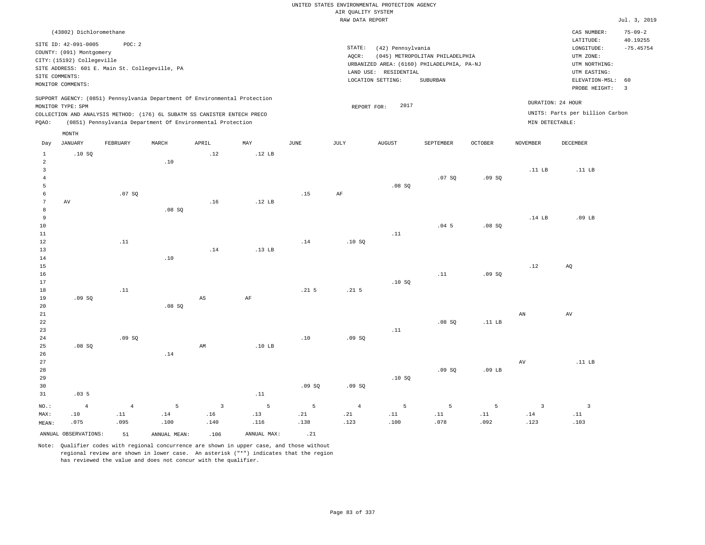|                               |                                                |                |                                                                            |                        |                   |                  |                    | UNITED STATES ENVIRONMENTAL PROTECTION AGENCY |                                            |                   |                   |                                 |                           |
|-------------------------------|------------------------------------------------|----------------|----------------------------------------------------------------------------|------------------------|-------------------|------------------|--------------------|-----------------------------------------------|--------------------------------------------|-------------------|-------------------|---------------------------------|---------------------------|
|                               |                                                |                |                                                                            |                        |                   |                  | AIR QUALITY SYSTEM |                                               |                                            |                   |                   |                                 |                           |
|                               |                                                |                |                                                                            |                        |                   |                  | RAW DATA REPORT    |                                               |                                            |                   |                   |                                 | Jul. 3, 2019              |
|                               | (43802) Dichloromethane                        |                |                                                                            |                        |                   |                  |                    |                                               |                                            |                   |                   | CAS NUMBER:<br>LATITUDE:        | $75 - 09 - 2$<br>40.19255 |
|                               | SITE ID: 42-091-0005                           | POC: 2         |                                                                            |                        |                   |                  | STATE:             | (42) Pennsylvania                             |                                            |                   |                   | LONGITUDE:                      | $-75.45754$               |
|                               | COUNTY: (091) Montgomery                       |                |                                                                            |                        |                   |                  | AQCR:              |                                               | (045) METROPOLITAN PHILADELPHIA            |                   |                   | UTM ZONE:                       |                           |
|                               | CITY: (15192) Collegeville                     |                |                                                                            |                        |                   |                  |                    |                                               | URBANIZED AREA: (6160) PHILADELPHIA, PA-NJ |                   |                   | UTM NORTHING:                   |                           |
|                               | SITE ADDRESS: 601 E. Main St. Collegeville, PA |                |                                                                            |                        |                   |                  |                    | LAND USE: RESIDENTIAL                         |                                            |                   |                   | UTM EASTING:                    |                           |
|                               | SITE COMMENTS:<br>MONITOR COMMENTS:            |                |                                                                            |                        |                   |                  |                    | LOCATION SETTING:                             | SUBURBAN                                   |                   |                   | ELEVATION-MSL:                  | 60                        |
|                               |                                                |                |                                                                            |                        |                   |                  |                    |                                               |                                            |                   |                   | PROBE HEIGHT:                   | $\overline{3}$            |
|                               | MONITOR TYPE: SPM                              |                | SUPPORT AGENCY: (0851) Pennsylvania Department Of Environmental Protection |                        |                   |                  | REPORT FOR:        | 2017                                          |                                            |                   |                   | DURATION: 24 HOUR               |                           |
|                               |                                                |                | COLLECTION AND ANALYSIS METHOD: (176) 6L SUBATM SS CANISTER ENTECH PRECO   |                        |                   |                  |                    |                                               |                                            |                   |                   | UNITS: Parts per billion Carbon |                           |
| PQAO:                         |                                                |                | (0851) Pennsylvania Department Of Environmental Protection                 |                        |                   |                  |                    |                                               |                                            |                   | MIN DETECTABLE:   |                                 |                           |
| Day                           | MONTH<br><b>JANUARY</b>                        | FEBRUARY       | MARCH                                                                      | APRIL                  | MAY               | $_{\rm JUNE}$    | JULY               | <b>AUGUST</b>                                 | SEPTEMBER                                  | <b>OCTOBER</b>    | <b>NOVEMBER</b>   | <b>DECEMBER</b>                 |                           |
|                               |                                                |                |                                                                            |                        |                   |                  |                    |                                               |                                            |                   |                   |                                 |                           |
| $\mathbf{1}$                  | .10S                                           |                |                                                                            | .12                    | .12 <sub>LB</sub> |                  |                    |                                               |                                            |                   |                   |                                 |                           |
| $\sqrt{2}$                    |                                                |                | .10                                                                        |                        |                   |                  |                    |                                               |                                            |                   | $.11$ LB          | .11 LB                          |                           |
| $\mathsf 3$<br>$\overline{4}$ |                                                |                |                                                                            |                        |                   |                  |                    |                                               | .07SQ                                      | .09SQ             |                   |                                 |                           |
| 5                             |                                                |                |                                                                            |                        |                   |                  |                    | .08SQ                                         |                                            |                   |                   |                                 |                           |
| 6                             |                                                | .07 SQ         |                                                                            |                        |                   | .15              | AF                 |                                               |                                            |                   |                   |                                 |                           |
| 7                             | $\operatorname{AV}$                            |                |                                                                            | .16                    | .12 <sub>B</sub>  |                  |                    |                                               |                                            |                   |                   |                                 |                           |
| $\,8\,$                       |                                                |                | .08SQ                                                                      |                        |                   |                  |                    |                                               |                                            |                   |                   |                                 |                           |
| $\overline{9}$                |                                                |                |                                                                            |                        |                   |                  |                    |                                               |                                            |                   | .14 <sub>LB</sub> | .09 <sub>LB</sub>               |                           |
| 10                            |                                                |                |                                                                            |                        |                   |                  |                    |                                               | .045                                       | .08SQ             |                   |                                 |                           |
| 11                            |                                                |                |                                                                            |                        |                   |                  |                    | .11                                           |                                            |                   |                   |                                 |                           |
| 12                            |                                                | .11            |                                                                            |                        |                   | .14              | .10S               |                                               |                                            |                   |                   |                                 |                           |
| 13                            |                                                |                |                                                                            | .14                    | .13 <sub>LB</sub> |                  |                    |                                               |                                            |                   |                   |                                 |                           |
| 14                            |                                                |                | .10                                                                        |                        |                   |                  |                    |                                               |                                            |                   |                   |                                 |                           |
| 15                            |                                                |                |                                                                            |                        |                   |                  |                    |                                               |                                            |                   | .12               | AO                              |                           |
| 16                            |                                                |                |                                                                            |                        |                   |                  |                    |                                               | $\footnotesize\substack{11}$               | .09SQ             |                   |                                 |                           |
| 17                            |                                                |                |                                                                            |                        |                   |                  |                    | .10S                                          |                                            |                   |                   |                                 |                           |
| 18                            |                                                | .11            |                                                                            |                        |                   | .21 <sub>5</sub> | .21 <sub>5</sub>   |                                               |                                            |                   |                   |                                 |                           |
| 19<br>20                      | .09SQ                                          |                | $.08$ SO                                                                   | $\mathbb{A}\mathbb{S}$ | AF                |                  |                    |                                               |                                            |                   |                   |                                 |                           |
| 21                            |                                                |                |                                                                            |                        |                   |                  |                    |                                               |                                            |                   | AN                | AV                              |                           |
| 22                            |                                                |                |                                                                            |                        |                   |                  |                    |                                               | .08SQ                                      | .11 LB            |                   |                                 |                           |
| 23                            |                                                |                |                                                                            |                        |                   |                  |                    | .11                                           |                                            |                   |                   |                                 |                           |
| 24                            |                                                | .09S           |                                                                            |                        |                   | .10              | .09S               |                                               |                                            |                   |                   |                                 |                           |
| 25                            | .08SQ                                          |                |                                                                            | AM                     | $.10$ LB          |                  |                    |                                               |                                            |                   |                   |                                 |                           |
| 26                            |                                                |                | .14                                                                        |                        |                   |                  |                    |                                               |                                            |                   |                   |                                 |                           |
| 27                            |                                                |                |                                                                            |                        |                   |                  |                    |                                               |                                            |                   | AV                | .11 LB                          |                           |
| 28                            |                                                |                |                                                                            |                        |                   |                  |                    |                                               | .09S                                       | .09 <sub>LB</sub> |                   |                                 |                           |
| 29                            |                                                |                |                                                                            |                        |                   |                  |                    | .10SQ                                         |                                            |                   |                   |                                 |                           |
| 30                            |                                                |                |                                                                            |                        |                   | .09SQ            | .09SQ              |                                               |                                            |                   |                   |                                 |                           |
| 31                            | .035                                           |                |                                                                            |                        | .11               |                  |                    |                                               |                                            |                   |                   |                                 |                           |
| NO.:                          | $\overline{4}$                                 | $\overline{4}$ | 5                                                                          | $\overline{3}$         | 5                 | 5                | $\overline{4}$     | 5                                             | 5                                          | 5                 | $\overline{3}$    | $\overline{3}$                  |                           |
| MAX:                          | .10                                            | .11            | .14                                                                        | .16                    | .13               | .21              | .21                | .11                                           | .11                                        | .11               | .14               | .11                             |                           |
| MEAN:                         | .075                                           | .095           | .100                                                                       | .140                   | .116              | .138             | .123               | .100                                          | .078                                       | .092              | .123              | .103                            |                           |
|                               | ANNUAL OBSERVATIONS:                           | 51             | ANNUAL MEAN:                                                               | .106                   | ANNUAL MAX:       | .21              |                    |                                               |                                            |                   |                   |                                 |                           |
|                               |                                                |                |                                                                            |                        |                   |                  |                    |                                               |                                            |                   |                   |                                 |                           |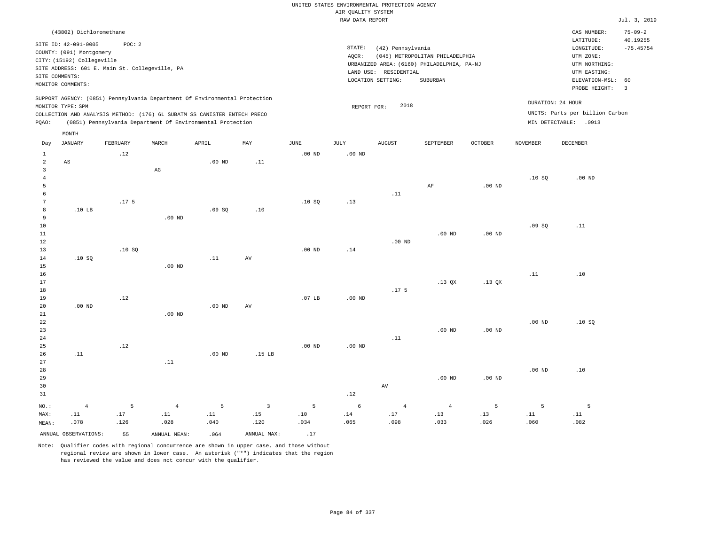|                 |                                                        |                  |                   |                                                                            |                   |                   | UNITED STATES ENVIRONMENTAL PROTECTION AGENCY |                       |                                                                               |                   |                 |                                          |                           |
|-----------------|--------------------------------------------------------|------------------|-------------------|----------------------------------------------------------------------------|-------------------|-------------------|-----------------------------------------------|-----------------------|-------------------------------------------------------------------------------|-------------------|-----------------|------------------------------------------|---------------------------|
|                 |                                                        |                  |                   |                                                                            |                   |                   | AIR QUALITY SYSTEM                            |                       |                                                                               |                   |                 |                                          |                           |
|                 |                                                        |                  |                   |                                                                            |                   |                   | RAW DATA REPORT                               |                       |                                                                               |                   |                 |                                          | Jul. 3, 2019              |
|                 | (43802) Dichloromethane<br>SITE ID: 42-091-0005        | POC: 2           |                   |                                                                            |                   |                   |                                               |                       |                                                                               |                   |                 | CAS NUMBER:<br>LATITUDE:                 | $75 - 09 - 2$<br>40.19255 |
|                 | COUNTY: (091) Montgomery<br>CITY: (15192) Collegeville |                  |                   |                                                                            |                   |                   | STATE:<br>AOCR:                               | (42) Pennsylvania     | (045) METROPOLITAN PHILADELPHIA<br>URBANIZED AREA: (6160) PHILADELPHIA, PA-NJ |                   |                 | LONGITUDE:<br>UTM ZONE:<br>UTM NORTHING: | $-75.45754$               |
|                 | SITE ADDRESS: 601 E. Main St. Collegeville, PA         |                  |                   |                                                                            |                   |                   |                                               | LAND USE: RESIDENTIAL |                                                                               |                   |                 | UTM EASTING:                             |                           |
|                 | SITE COMMENTS:                                         |                  |                   |                                                                            |                   |                   |                                               | LOCATION SETTING:     | SUBURBAN                                                                      |                   |                 | ELEVATION-MSL:                           | 60                        |
|                 | MONITOR COMMENTS:                                      |                  |                   |                                                                            |                   |                   |                                               |                       |                                                                               |                   |                 | PROBE HEIGHT:                            | $\overline{3}$            |
|                 | MONITOR TYPE: SPM                                      |                  |                   | SUPPORT AGENCY: (0851) Pennsylvania Department Of Environmental Protection |                   |                   | REPORT FOR:                                   | 2018                  |                                                                               |                   |                 | DURATION: 24 HOUR                        |                           |
|                 |                                                        |                  |                   | COLLECTION AND ANALYSIS METHOD: (176) 6L SUBATM SS CANISTER ENTECH PRECO   |                   |                   |                                               |                       |                                                                               |                   |                 | UNITS: Parts per billion Carbon          |                           |
| $_{\rm PQAO}$ : |                                                        |                  |                   | (0851) Pennsylvania Department Of Environmental Protection                 |                   |                   |                                               |                       |                                                                               |                   |                 | MIN DETECTABLE: . 0913                   |                           |
| Day             | MONTH<br><b>JANUARY</b>                                | FEBRUARY         | MARCH             | APRIL                                                                      | MAY               | <b>JUNE</b>       | <b>JULY</b>                                   | <b>AUGUST</b>         | SEPTEMBER                                                                     | OCTOBER           | <b>NOVEMBER</b> | <b>DECEMBER</b>                          |                           |
| $\mathbf{1}$    |                                                        | .12              |                   |                                                                            |                   | $.00$ ND          | $.00$ ND                                      |                       |                                                                               |                   |                 |                                          |                           |
| $\overline{a}$  | $_{\rm AS}$                                            |                  |                   | $.00$ ND                                                                   | .11               |                   |                                               |                       |                                                                               |                   |                 |                                          |                           |
| $\overline{3}$  |                                                        |                  | $_{\rm AG}$       |                                                                            |                   |                   |                                               |                       |                                                                               |                   |                 |                                          |                           |
| $\overline{4}$  |                                                        |                  |                   |                                                                            |                   |                   |                                               |                       |                                                                               |                   | .10S            | $.00$ ND                                 |                           |
| 5               |                                                        |                  |                   |                                                                            |                   |                   |                                               |                       | AF                                                                            | $.00$ ND          |                 |                                          |                           |
| 6               |                                                        |                  |                   |                                                                            |                   |                   |                                               | .11                   |                                                                               |                   |                 |                                          |                           |
| $\overline{7}$  |                                                        | .17 <sub>5</sub> |                   |                                                                            |                   | .10SQ             | .13                                           |                       |                                                                               |                   |                 |                                          |                           |
| 8               | .10 <sub>LB</sub>                                      |                  |                   | .09SQ                                                                      | .10               |                   |                                               |                       |                                                                               |                   |                 |                                          |                           |
| $\overline{9}$  |                                                        |                  | $.00$ ND          |                                                                            |                   |                   |                                               |                       |                                                                               |                   |                 |                                          |                           |
| 10<br>11        |                                                        |                  |                   |                                                                            |                   |                   |                                               |                       | $.00$ ND                                                                      | $.00$ ND          | .09SQ           | .11                                      |                           |
| 12              |                                                        |                  |                   |                                                                            |                   |                   |                                               | $.00$ ND              |                                                                               |                   |                 |                                          |                           |
| 13              |                                                        | .10S             |                   |                                                                            |                   | .00 <sub>ND</sub> | .14                                           |                       |                                                                               |                   |                 |                                          |                           |
| 14              | .10SQ                                                  |                  |                   | .11                                                                        | AV                |                   |                                               |                       |                                                                               |                   |                 |                                          |                           |
| 15              |                                                        |                  | $.00$ ND          |                                                                            |                   |                   |                                               |                       |                                                                               |                   |                 |                                          |                           |
| 16              |                                                        |                  |                   |                                                                            |                   |                   |                                               |                       |                                                                               |                   | .11             | .10                                      |                           |
| 17              |                                                        |                  |                   |                                                                            |                   |                   |                                               |                       | .13 <sub>OX</sub>                                                             | .13 <sub>OX</sub> |                 |                                          |                           |
| 18              |                                                        |                  |                   |                                                                            |                   |                   |                                               | .17 <sub>5</sub>      |                                                                               |                   |                 |                                          |                           |
| 19              |                                                        | .12              |                   |                                                                            |                   | .07 <sub>LB</sub> | $.00$ ND                                      |                       |                                                                               |                   |                 |                                          |                           |
| 20<br>21        | .00 <sub>ND</sub>                                      |                  | .00 <sub>ND</sub> | .00 <sub>ND</sub>                                                          | AV                |                   |                                               |                       |                                                                               |                   |                 |                                          |                           |
| 22              |                                                        |                  |                   |                                                                            |                   |                   |                                               |                       |                                                                               |                   | $.00$ ND        | .10S                                     |                           |
| 23              |                                                        |                  |                   |                                                                            |                   |                   |                                               |                       | $.00$ ND                                                                      | .00 <sub>ND</sub> |                 |                                          |                           |
| 24              |                                                        |                  |                   |                                                                            |                   |                   |                                               | .11                   |                                                                               |                   |                 |                                          |                           |
| 25              |                                                        | .12              |                   |                                                                            |                   | $.00$ ND          | $.00$ ND                                      |                       |                                                                               |                   |                 |                                          |                           |
| 26              | .11                                                    |                  |                   | $.00$ ND                                                                   | .15 <sub>LB</sub> |                   |                                               |                       |                                                                               |                   |                 |                                          |                           |
| 27              |                                                        |                  | .11               |                                                                            |                   |                   |                                               |                       |                                                                               |                   |                 |                                          |                           |
| 28              |                                                        |                  |                   |                                                                            |                   |                   |                                               |                       |                                                                               |                   | $.00$ ND        | .10                                      |                           |
| 29              |                                                        |                  |                   |                                                                            |                   |                   |                                               |                       | $.00$ ND                                                                      | $.00$ ND          |                 |                                          |                           |
| 30              |                                                        |                  |                   |                                                                            |                   |                   |                                               | AV                    |                                                                               |                   |                 |                                          |                           |
| 31              |                                                        |                  |                   |                                                                            |                   |                   | .12                                           |                       |                                                                               |                   |                 |                                          |                           |
| NO.:            | $\overline{4}$                                         | 5                | $\bf{4}$          | 5                                                                          | $\overline{3}$    | 5                 | $\epsilon$                                    | $\overline{4}$        | $\overline{4}$                                                                | 5                 | 5               | 5                                        |                           |
| MAX:            | .11                                                    | .17              | .11               | .11                                                                        | .15               | .10               | .14                                           | .17                   | .13                                                                           | .13               | .11             | .11                                      |                           |
| MEAN:           | .078                                                   | .126             | .028              | .040                                                                       | .120              | .034              | .065                                          | .098                  | .033                                                                          | .026              | .060            | .082                                     |                           |
|                 | ANNUAL OBSERVATIONS:                                   | 55               | ANNUAL MEAN:      | .064                                                                       | ANNUAL MAX:       | .17               |                                               |                       |                                                                               |                   |                 |                                          |                           |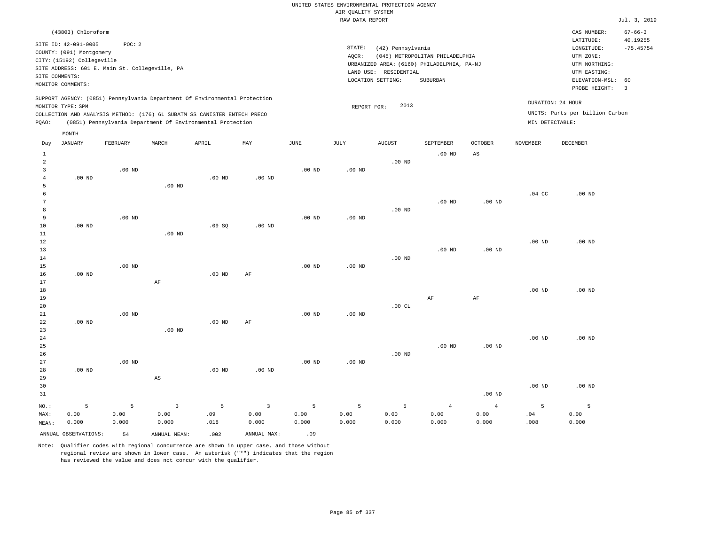|                     | (43803) Chloroform                             |               |                        |                                                                                                                                        |                |                   |                   |                                            |                                 |                   |                   | CAS NUMBER:<br>LATITUDE:        | $67 - 66 - 3$<br>40.19255 |
|---------------------|------------------------------------------------|---------------|------------------------|----------------------------------------------------------------------------------------------------------------------------------------|----------------|-------------------|-------------------|--------------------------------------------|---------------------------------|-------------------|-------------------|---------------------------------|---------------------------|
|                     | SITE ID: 42-091-0005                           | POC: 2        |                        |                                                                                                                                        |                |                   | STATE:            | (42) Pennsylvania                          |                                 |                   |                   | LONGITUDE:                      | $-75.45754$               |
|                     | COUNTY: (091) Montgomery                       |               |                        |                                                                                                                                        |                |                   | AQCR:             |                                            | (045) METROPOLITAN PHILADELPHIA |                   |                   | UTM ZONE:                       |                           |
|                     | CITY: (15192) Collegeville                     |               |                        |                                                                                                                                        |                |                   |                   | URBANIZED AREA: (6160) PHILADELPHIA, PA-NJ |                                 |                   |                   | UTM NORTHING:                   |                           |
|                     | SITE ADDRESS: 601 E. Main St. Collegeville, PA |               |                        |                                                                                                                                        |                |                   |                   | LAND USE: RESIDENTIAL                      |                                 |                   |                   | UTM EASTING:                    |                           |
| SITE COMMENTS:      |                                                |               |                        |                                                                                                                                        |                |                   |                   | LOCATION SETTING:                          | SUBURBAN                        |                   |                   | ELEVATION-MSL:                  | 60                        |
|                     | MONITOR COMMENTS:                              |               |                        |                                                                                                                                        |                |                   |                   |                                            |                                 |                   |                   | PROBE HEIGHT:                   | 3                         |
|                     |                                                |               |                        | SUPPORT AGENCY: (0851) Pennsylvania Department Of Environmental Protection                                                             |                |                   |                   |                                            |                                 |                   | DURATION: 24 HOUR |                                 |                           |
|                     | MONITOR TYPE: SPM                              |               |                        |                                                                                                                                        |                |                   | REPORT FOR:       | 2013                                       |                                 |                   |                   | UNITS: Parts per billion Carbon |                           |
| PQAO:               |                                                |               |                        | COLLECTION AND ANALYSIS METHOD: (176) 6L SUBATM SS CANISTER ENTECH PRECO<br>(0851) Pennsylvania Department Of Environmental Protection |                |                   |                   |                                            |                                 |                   | MIN DETECTABLE:   |                                 |                           |
|                     |                                                |               |                        |                                                                                                                                        |                |                   |                   |                                            |                                 |                   |                   |                                 |                           |
|                     | MONTH                                          |               |                        |                                                                                                                                        |                |                   |                   |                                            |                                 |                   |                   |                                 |                           |
| Day                 | <b>JANUARY</b>                                 | FEBRUARY      | MARCH                  | APRIL                                                                                                                                  | MAY            | JUNE              | JULY              | <b>AUGUST</b>                              | <b>SEPTEMBER</b>                | <b>OCTOBER</b>    | <b>NOVEMBER</b>   | <b>DECEMBER</b>                 |                           |
| $\mathbf{1}$        |                                                |               |                        |                                                                                                                                        |                |                   |                   |                                            | .00 <sub>ND</sub>               | AS                |                   |                                 |                           |
| $\overline{a}$      |                                                |               |                        |                                                                                                                                        |                |                   |                   | $.00$ ND                                   |                                 |                   |                   |                                 |                           |
| $\overline{3}$      |                                                | $.00$ ND      |                        |                                                                                                                                        |                | .00 <sub>ND</sub> | .00 <sub>ND</sub> |                                            |                                 |                   |                   |                                 |                           |
| $\overline{4}$      | $.00$ ND                                       |               |                        | $.00$ ND                                                                                                                               | $.00$ ND       |                   |                   |                                            |                                 |                   |                   |                                 |                           |
| 5                   |                                                |               | $.00$ ND               |                                                                                                                                        |                |                   |                   |                                            |                                 |                   |                   |                                 |                           |
| 6<br>$\overline{7}$ |                                                |               |                        |                                                                                                                                        |                |                   |                   |                                            |                                 |                   | .04 <sub>C</sub>  | $.00$ ND                        |                           |
| 8                   |                                                |               |                        |                                                                                                                                        |                |                   |                   | $.00$ ND                                   | $.00$ ND                        | $.00$ ND          |                   |                                 |                           |
| 9                   |                                                | $.00$ ND      |                        |                                                                                                                                        |                | $.00$ ND          | $.00$ ND          |                                            |                                 |                   |                   |                                 |                           |
| 10                  | $.00$ ND                                       |               |                        | .09SQ                                                                                                                                  | $.00$ ND       |                   |                   |                                            |                                 |                   |                   |                                 |                           |
| 11                  |                                                |               | $.00$ ND               |                                                                                                                                        |                |                   |                   |                                            |                                 |                   |                   |                                 |                           |
| 12                  |                                                |               |                        |                                                                                                                                        |                |                   |                   |                                            |                                 |                   | $.00$ ND          | $.00$ ND                        |                           |
| 13                  |                                                |               |                        |                                                                                                                                        |                |                   |                   |                                            | $.00$ ND                        | $.00$ ND          |                   |                                 |                           |
| 14                  |                                                |               |                        |                                                                                                                                        |                |                   |                   | $.00$ ND                                   |                                 |                   |                   |                                 |                           |
| 15                  |                                                | $.00$ ND      |                        |                                                                                                                                        |                | .00 <sub>ND</sub> | .00 <sub>ND</sub> |                                            |                                 |                   |                   |                                 |                           |
| 16                  | $.00$ ND                                       |               |                        | $.00$ ND                                                                                                                               | AF             |                   |                   |                                            |                                 |                   |                   |                                 |                           |
| 17                  |                                                |               | AF                     |                                                                                                                                        |                |                   |                   |                                            |                                 |                   |                   |                                 |                           |
| 18                  |                                                |               |                        |                                                                                                                                        |                |                   |                   |                                            |                                 |                   | $.00$ ND          | $.00$ ND                        |                           |
| 19                  |                                                |               |                        |                                                                                                                                        |                |                   |                   |                                            | AF                              | $\rm{AF}$         |                   |                                 |                           |
| 20                  |                                                |               |                        |                                                                                                                                        |                |                   |                   | .00CL                                      |                                 |                   |                   |                                 |                           |
| 21                  |                                                | $.00$ ND      |                        |                                                                                                                                        |                | $.00$ ND          | $.00$ ND          |                                            |                                 |                   |                   |                                 |                           |
| 22                  | $.00$ ND                                       |               |                        | .00 <sub>ND</sub>                                                                                                                      | AF             |                   |                   |                                            |                                 |                   |                   |                                 |                           |
| 23                  |                                                |               | $.00$ ND               |                                                                                                                                        |                |                   |                   |                                            |                                 |                   |                   |                                 |                           |
| 24                  |                                                |               |                        |                                                                                                                                        |                |                   |                   |                                            |                                 |                   | .00 <sub>ND</sub> | $.00$ ND                        |                           |
| 25                  |                                                |               |                        |                                                                                                                                        |                |                   |                   | $.00$ ND                                   | .00 <sub>ND</sub>               | .00 <sub>ND</sub> |                   |                                 |                           |
| 26<br>27            |                                                | $.00$ ND      |                        |                                                                                                                                        |                | $.00$ ND          | $.00$ ND          |                                            |                                 |                   |                   |                                 |                           |
| 28                  | $.00$ ND                                       |               |                        | $.00$ ND                                                                                                                               | $.00$ ND       |                   |                   |                                            |                                 |                   |                   |                                 |                           |
| 29                  |                                                |               | $\mathbb{A}\mathbb{S}$ |                                                                                                                                        |                |                   |                   |                                            |                                 |                   |                   |                                 |                           |
| 30                  |                                                |               |                        |                                                                                                                                        |                |                   |                   |                                            |                                 |                   | $.00$ ND          | .00 <sub>ND</sub>               |                           |
| 31                  |                                                |               |                        |                                                                                                                                        |                |                   |                   |                                            |                                 | .00 <sub>ND</sub> |                   |                                 |                           |
|                     |                                                |               |                        |                                                                                                                                        |                |                   |                   |                                            |                                 |                   |                   |                                 |                           |
| NO.:                | 5                                              | 5             | $\overline{3}$         | 5                                                                                                                                      | $\overline{3}$ | 5                 | 5                 | 5                                          | $\overline{4}$                  | $\overline{4}$    | 5                 | 5                               |                           |
| MAX:                | 0.00<br>0.000                                  | 0.00<br>0.000 | 0.00<br>0.000          | .09<br>.018                                                                                                                            | 0.00<br>0.000  | 0.00<br>0.000     | 0.00<br>0.000     | 0.00<br>0.000                              | 0.00<br>0.000                   | 0.00<br>0.000     | .04<br>.008       | 0.00<br>0.000                   |                           |
| MEAN:               |                                                |               |                        |                                                                                                                                        |                |                   |                   |                                            |                                 |                   |                   |                                 |                           |
|                     | ANNUAL OBSERVATIONS:                           | 54            | ANNUAL MEAN:           | .002                                                                                                                                   | ANNUAL MAX:    | .09               |                   |                                            |                                 |                   |                   |                                 |                           |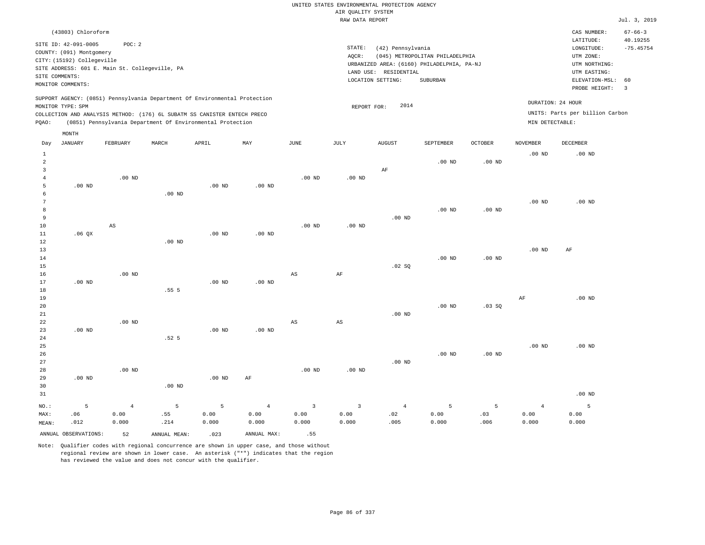| UNITED STATES ENVIRONMENTAL PROTECTION AGENCY |                                            |               |
|-----------------------------------------------|--------------------------------------------|---------------|
| AIR OUALITY SYSTEM                            |                                            |               |
| RAW DATA REPORT                               |                                            |               |
|                                               |                                            | CAS NUMBER:   |
|                                               |                                            | LATITUDE:     |
| STATE:                                        | (42) Pennsylvania                          | LONGITUDE:    |
| AOCR:                                         | (045) METROPOLITAN PHILADELPHIA            | UTM ZONE:     |
|                                               | URBANIZED AREA: (6160) PHILADELPHIA, PA-NJ | UTM NORTHING: |

LAND USE: RESIDENTIAL

REPORT FOR: 2014

LOCATION SETTING: SUBURBAN

 $Jul. 3, 2019$ 

CAS NUMBER: 67-66-3

LONGITUDE: -75.45754 LATITUDE: 40.19255

PROBE HEIGHT: 3 ELEVATION-MSL: 60

UTM EASTING: UTM ZONE:

UNITS: Parts per billion Carbon

DURATION: 24 HOUR

SITE ID: 42-091-0005 POC: 2 COUNTY: (091) Montgomery CITY: (15192) Collegeville SITE ADDRESS: 601 E. Main St. Collegeville, PA SITE COMMENTS: MONITOR COMMENTS:

(43803) Chloroform

MONTH

SUPPORT AGENCY: (0851) Pennsylvania Department Of Environmental Protection MONITOR TYPE: SPM

COLLECTION AND ANALYSIS METHOD: (176) 6L SUBATM SS CANISTER ENTECH PRECO PQAO: (0851) Pennsylvania Department Of Environmental Protection MIN DETECTABLE:

|                 | 1.01111        |                |                  |          |                |                         |                         |                |           |                |                |           |
|-----------------|----------------|----------------|------------------|----------|----------------|-------------------------|-------------------------|----------------|-----------|----------------|----------------|-----------|
| Day             | <b>JANUARY</b> | FEBRUARY       | MARCH            | APRIL    | MAY            | JUNE                    | JULY                    | <b>AUGUST</b>  | SEPTEMBER | <b>OCTOBER</b> | NOVEMBER       | DECEMBER  |
| $\mathbf{1}$    |                |                |                  |          |                |                         |                         |                |           |                | $.00$ ND       | $.00$ ND  |
| $\overline{a}$  |                |                |                  |          |                |                         |                         |                | $.00$ ND  | $.00$ ND       |                |           |
| 3               |                |                |                  |          |                |                         |                         | $\rm AF$       |           |                |                |           |
| $\overline{4}$  |                | $.00$ ND       |                  |          |                | $.00$ ND                | $.00$ ND                |                |           |                |                |           |
| 5               | $.00$ ND       |                |                  | $.00$ ND | $.00$ ND       |                         |                         |                |           |                |                |           |
| 6               |                |                | $.00$ ND         |          |                |                         |                         |                |           |                |                |           |
| $7\phantom{.0}$ |                |                |                  |          |                |                         |                         |                |           |                | $.00$ ND       | $.00$ ND  |
| 8               |                |                |                  |          |                |                         |                         |                | $.00$ ND  | .00 $ND$       |                |           |
| 9               |                |                |                  |          |                |                         |                         | $.00$ ND       |           |                |                |           |
| 10              |                | $_{\rm AS}$    |                  |          |                | $.00$ ND                | $.00$ ND                |                |           |                |                |           |
| $11\,$          | .06 QX         |                |                  | $.00$ ND | $.00$ ND       |                         |                         |                |           |                |                |           |
| 12              |                |                | $.00$ ND         |          |                |                         |                         |                |           |                |                |           |
| 13              |                |                |                  |          |                |                         |                         |                |           |                | $.00$ ND       | $\rm{AF}$ |
| 14              |                |                |                  |          |                |                         |                         |                | $.00$ ND  | $.00$ ND       |                |           |
| 15              |                |                |                  |          |                |                         |                         | .02 SQ         |           |                |                |           |
| 16              |                | $.00$ ND       |                  |          |                | AS                      | AF                      |                |           |                |                |           |
| 17              | $.00$ ND       |                |                  | $.00$ ND | $.00$ ND       |                         |                         |                |           |                |                |           |
| 18              |                |                | .555             |          |                |                         |                         |                |           |                |                |           |
| 19              |                |                |                  |          |                |                         |                         |                |           |                | $\rm{AF}$      | $.00$ ND  |
| 20              |                |                |                  |          |                |                         |                         |                | $.00$ ND  | .03SQ          |                |           |
| 21              |                |                |                  |          |                |                         |                         | $.00$ ND       |           |                |                |           |
| 22              |                | $.00$ ND       |                  |          |                | AS                      | AS                      |                |           |                |                |           |
| 23              | $.00$ ND       |                |                  | $.00$ ND | $.00$ ND       |                         |                         |                |           |                |                |           |
| 24              |                |                | .52 <sub>5</sub> |          |                |                         |                         |                |           |                |                |           |
| 25              |                |                |                  |          |                |                         |                         |                |           |                | $.00$ ND       | $.00$ ND  |
| 26              |                |                |                  |          |                |                         |                         |                | $.00$ ND  | $.00$ ND       |                |           |
| 27              |                |                |                  |          |                |                         |                         | $.00$ ND       |           |                |                |           |
| 28              |                | $.00$ ND       |                  |          |                | $.00$ ND                | $.00$ ND                |                |           |                |                |           |
| 29              | $.00$ ND       |                |                  | $.00$ ND | $\rm{AF}$      |                         |                         |                |           |                |                |           |
| 30              |                |                | $.00$ ND         |          |                |                         |                         |                |           |                |                |           |
| 31              |                |                |                  |          |                |                         |                         |                |           |                |                | $.00$ ND  |
| $_{\rm NO.}$ :  | 5              | $\overline{4}$ | 5                | 5        | $\overline{4}$ | $\overline{\mathbf{3}}$ | $\overline{\mathbf{3}}$ | $\overline{4}$ | 5         | 5              | $\overline{4}$ | $-5$      |
| MAX:            | .06            | 0.00           | .55              | 0.00     | 0.00           | 0.00                    | 0.00                    | .02            | 0.00      | .03            | 0.00           | 0.00      |
| MEAN:           | .012           | 0.000          | .214             | 0.000    | 0.000          | 0.000                   | 0.000                   | .005           | 0.000     | .006           | 0.000          | 0.000     |
|                 |                |                |                  |          |                |                         |                         |                |           |                |                |           |

ANNUAL OBSERVATIONS: 52 ANNUAL MEAN: .023 ANNUAL MAX: .55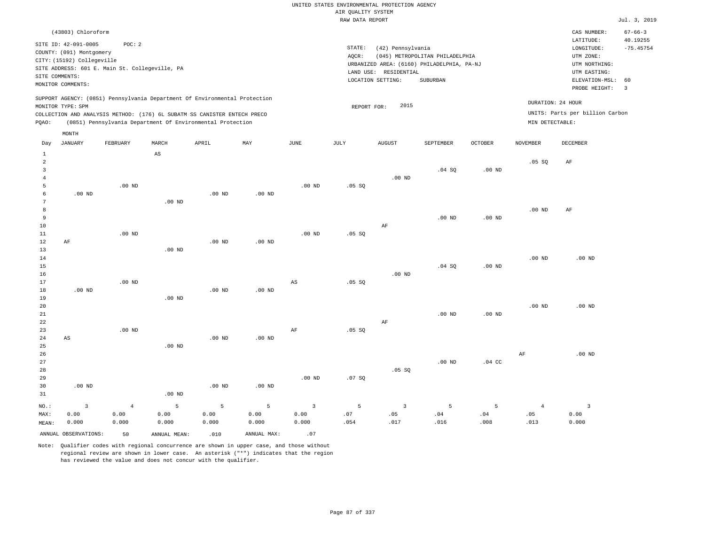|                     |                                                |                   |                   |                                                                            |                   |                   |                                       | UNITED STATES ENVIRONMENTAL PROTECTION AGENCY |                                            |                   |                   |                                 |                           |
|---------------------|------------------------------------------------|-------------------|-------------------|----------------------------------------------------------------------------|-------------------|-------------------|---------------------------------------|-----------------------------------------------|--------------------------------------------|-------------------|-------------------|---------------------------------|---------------------------|
|                     |                                                |                   |                   |                                                                            |                   |                   | AIR QUALITY SYSTEM<br>RAW DATA REPORT |                                               |                                            |                   |                   |                                 | Jul. 3, 2019              |
|                     |                                                |                   |                   |                                                                            |                   |                   |                                       |                                               |                                            |                   |                   |                                 |                           |
|                     | (43803) Chloroform                             |                   |                   |                                                                            |                   |                   |                                       |                                               |                                            |                   |                   | CAS NUMBER:<br>LATITUDE:        | $67 - 66 - 3$<br>40.19255 |
|                     | SITE ID: 42-091-0005                           | POC: 2            |                   |                                                                            |                   |                   | STATE:                                | (42) Pennsylvania                             |                                            |                   |                   | LONGITUDE:                      | $-75.45754$               |
|                     | COUNTY: (091) Montgomery                       |                   |                   |                                                                            |                   |                   | AQCR:                                 |                                               | (045) METROPOLITAN PHILADELPHIA            |                   |                   | UTM ZONE:                       |                           |
|                     | CITY: (15192) Collegeville                     |                   |                   |                                                                            |                   |                   |                                       |                                               | URBANIZED AREA: (6160) PHILADELPHIA, PA-NJ |                   |                   | UTM NORTHING:                   |                           |
|                     | SITE ADDRESS: 601 E. Main St. Collegeville, PA |                   |                   |                                                                            |                   |                   |                                       | LAND USE: RESIDENTIAL                         |                                            |                   |                   | UTM EASTING:                    |                           |
| SITE COMMENTS:      | MONITOR COMMENTS:                              |                   |                   |                                                                            |                   |                   |                                       | LOCATION SETTING:                             | SUBURBAN                                   |                   |                   | ELEVATION-MSL:                  | 60                        |
|                     |                                                |                   |                   |                                                                            |                   |                   |                                       |                                               |                                            |                   |                   | PROBE HEIGHT:                   | $\overline{3}$            |
|                     |                                                |                   |                   | SUPPORT AGENCY: (0851) Pennsylvania Department Of Environmental Protection |                   |                   |                                       |                                               |                                            |                   |                   | DURATION: 24 HOUR               |                           |
|                     | MONITOR TYPE: SPM                              |                   |                   |                                                                            |                   |                   | REPORT FOR:                           | 2015                                          |                                            |                   |                   |                                 |                           |
|                     |                                                |                   |                   | COLLECTION AND ANALYSIS METHOD: (176) 6L SUBATM SS CANISTER ENTECH PRECO   |                   |                   |                                       |                                               |                                            |                   |                   | UNITS: Parts per billion Carbon |                           |
| PQAO:               |                                                |                   |                   | (0851) Pennsylvania Department Of Environmental Protection                 |                   |                   |                                       |                                               |                                            |                   | MIN DETECTABLE:   |                                 |                           |
|                     | MONTH                                          |                   |                   |                                                                            |                   |                   |                                       |                                               |                                            |                   |                   |                                 |                           |
| Day                 | <b>JANUARY</b>                                 | FEBRUARY          | MARCH             | APRIL                                                                      | MAY               | <b>JUNE</b>       | JULY                                  | <b>AUGUST</b>                                 | SEPTEMBER                                  | <b>OCTOBER</b>    | <b>NOVEMBER</b>   | DECEMBER                        |                           |
| $\mathbf{1}$        |                                                |                   | AS                |                                                                            |                   |                   |                                       |                                               |                                            |                   |                   |                                 |                           |
| $\overline{2}$      |                                                |                   |                   |                                                                            |                   |                   |                                       |                                               |                                            |                   | .05 SQ            | $\rm{AF}$                       |                           |
| $\overline{3}$      |                                                |                   |                   |                                                                            |                   |                   |                                       |                                               | .04 SQ                                     | .00 <sub>ND</sub> |                   |                                 |                           |
| $\overline{4}$      |                                                |                   |                   |                                                                            |                   |                   |                                       | $.00$ ND                                      |                                            |                   |                   |                                 |                           |
| 5                   |                                                | .00 <sub>ND</sub> |                   |                                                                            |                   | $.00$ ND          | .05 SQ                                |                                               |                                            |                   |                   |                                 |                           |
| 6<br>$\overline{7}$ | $.00$ ND                                       |                   |                   | $.00$ ND                                                                   | $.00$ ND          |                   |                                       |                                               |                                            |                   |                   |                                 |                           |
| 8                   |                                                |                   | $.00$ ND          |                                                                            |                   |                   |                                       |                                               |                                            |                   | .00 <sub>ND</sub> | AF                              |                           |
| $\overline{9}$      |                                                |                   |                   |                                                                            |                   |                   |                                       |                                               | .00 <sub>ND</sub>                          | .00 <sub>ND</sub> |                   |                                 |                           |
| 10                  |                                                |                   |                   |                                                                            |                   |                   |                                       | AF                                            |                                            |                   |                   |                                 |                           |
| $1\,1$              |                                                | $.00$ ND          |                   |                                                                            |                   | .00 <sub>ND</sub> | .05 SQ                                |                                               |                                            |                   |                   |                                 |                           |
| 12                  | AF                                             |                   |                   | $.00$ ND                                                                   | .00 <sub>ND</sub> |                   |                                       |                                               |                                            |                   |                   |                                 |                           |
| 13                  |                                                |                   | $.00$ ND          |                                                                            |                   |                   |                                       |                                               |                                            |                   |                   |                                 |                           |
| $1\,4$              |                                                |                   |                   |                                                                            |                   |                   |                                       |                                               |                                            |                   | .00 <sub>ND</sub> | .00 <sub>ND</sub>               |                           |
| 15                  |                                                |                   |                   |                                                                            |                   |                   |                                       |                                               | .04 SQ                                     | $.00$ ND          |                   |                                 |                           |
| 16                  |                                                |                   |                   |                                                                            |                   |                   |                                       | $.00$ ND                                      |                                            |                   |                   |                                 |                           |
| 17<br>$1\,8$        | $.00$ ND                                       | $.00$ ND          |                   | $.00$ ND                                                                   | $.00$ ND          | AS                | .05 SQ                                |                                               |                                            |                   |                   |                                 |                           |
| 19                  |                                                |                   | .00 <sub>ND</sub> |                                                                            |                   |                   |                                       |                                               |                                            |                   |                   |                                 |                           |
| 20                  |                                                |                   |                   |                                                                            |                   |                   |                                       |                                               |                                            |                   | $.00$ ND          | $.00$ ND                        |                           |
| 21                  |                                                |                   |                   |                                                                            |                   |                   |                                       |                                               | .00 <sub>ND</sub>                          | $.00$ ND          |                   |                                 |                           |
| 22                  |                                                |                   |                   |                                                                            |                   |                   |                                       | AF                                            |                                            |                   |                   |                                 |                           |
| 23                  |                                                | $.00$ ND          |                   |                                                                            |                   | AF                | .05 SQ                                |                                               |                                            |                   |                   |                                 |                           |
| 24                  | $\mathbb{A}\mathbb{S}$                         |                   |                   | .00 <sub>ND</sub>                                                          | $.00$ ND          |                   |                                       |                                               |                                            |                   |                   |                                 |                           |
| 25                  |                                                |                   | $.00$ ND          |                                                                            |                   |                   |                                       |                                               |                                            |                   |                   |                                 |                           |
| 26                  |                                                |                   |                   |                                                                            |                   |                   |                                       |                                               |                                            |                   | AF                | $.00$ ND                        |                           |
| 27                  |                                                |                   |                   |                                                                            |                   |                   |                                       |                                               | $.00$ ND                                   | .04 <sub>c</sub>  |                   |                                 |                           |
| 28<br>29            |                                                |                   |                   |                                                                            |                   | .00 <sub>ND</sub> |                                       | .05 SQ                                        |                                            |                   |                   |                                 |                           |
| 30                  | $.00$ ND                                       |                   |                   | $.00$ ND                                                                   | .00 <sub>ND</sub> |                   | .07SQ                                 |                                               |                                            |                   |                   |                                 |                           |
| 31                  |                                                |                   | $.00$ ND          |                                                                            |                   |                   |                                       |                                               |                                            |                   |                   |                                 |                           |
|                     |                                                |                   |                   |                                                                            |                   |                   |                                       |                                               |                                            |                   |                   |                                 |                           |
| NO.:                | $\overline{3}$                                 | $\sqrt{4}$        | $\overline{5}$    | 5                                                                          | $\overline{5}$    | $\overline{3}$    | 5                                     | $\overline{3}$                                | 5                                          | 5                 | $\overline{4}$    | $\overline{\mathbf{3}}$         |                           |
| MAX:                | 0.00<br>0.000                                  | 0.00<br>0.000     | 0.00<br>0.000     | 0.00<br>0.000                                                              | 0.00<br>0.000     | 0.00<br>0.000     | .07<br>.054                           | .05<br>.017                                   | .04<br>.016                                | .04<br>.008       | .05<br>.013       | 0.00<br>0.000                   |                           |
| MEAN:               |                                                |                   |                   |                                                                            |                   |                   |                                       |                                               |                                            |                   |                   |                                 |                           |
|                     | ANNUAL OBSERVATIONS:                           | 50                | ANNUAL MEAN:      | .010                                                                       | ANNUAL MAX:       | .07               |                                       |                                               |                                            |                   |                   |                                 |                           |

Note: Qualifier codes with regional concurrence are shown in upper case, and those without regional review are shown in lower case. An asterisk ("\*") indicates that the region

has reviewed the value and does not concur with the qualifier.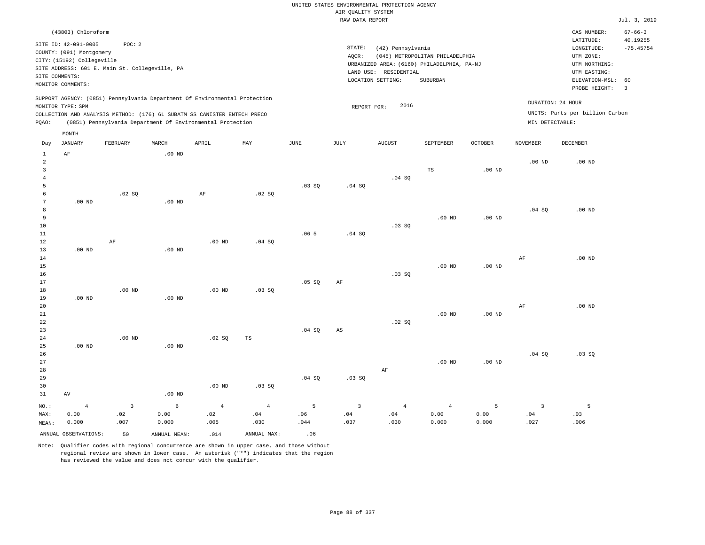|                     |                            |                                                |                            |                                                                                                                                        |                |             |                        | UNITED STATES ENVIRONMENTAL PROTECTION AGENCY |                                            |                   |                 |                                 |                         |
|---------------------|----------------------------|------------------------------------------------|----------------------------|----------------------------------------------------------------------------------------------------------------------------------------|----------------|-------------|------------------------|-----------------------------------------------|--------------------------------------------|-------------------|-----------------|---------------------------------|-------------------------|
|                     |                            |                                                |                            |                                                                                                                                        |                |             | AIR QUALITY SYSTEM     |                                               |                                            |                   |                 |                                 |                         |
|                     |                            |                                                |                            |                                                                                                                                        |                |             | RAW DATA REPORT        |                                               |                                            |                   |                 |                                 | Jul. 3, 2019            |
|                     | (43803) Chloroform         |                                                |                            |                                                                                                                                        |                |             |                        |                                               |                                            |                   |                 | CAS NUMBER:                     | $67 - 66 - 3$           |
|                     | SITE ID: 42-091-0005       | POC: 2                                         |                            |                                                                                                                                        |                |             | STATE:                 | (42) Pennsylvania                             |                                            |                   |                 | LATITUDE:<br>LONGITUDE:         | 40.19255<br>$-75.45754$ |
|                     | COUNTY: (091) Montgomery   |                                                |                            |                                                                                                                                        |                |             | AQCR:                  |                                               | (045) METROPOLITAN PHILADELPHIA            |                   |                 | UTM ZONE:                       |                         |
|                     | CITY: (15192) Collegeville |                                                |                            |                                                                                                                                        |                |             |                        |                                               | URBANIZED AREA: (6160) PHILADELPHIA, PA-NJ |                   |                 | UTM NORTHING:                   |                         |
|                     |                            | SITE ADDRESS: 601 E. Main St. Collegeville, PA |                            |                                                                                                                                        |                |             |                        | LAND USE: RESIDENTIAL                         |                                            |                   |                 | UTM EASTING:                    |                         |
|                     | SITE COMMENTS:             |                                                |                            |                                                                                                                                        |                |             |                        | LOCATION SETTING:                             | SUBURBAN                                   |                   |                 | ELEVATION-MSL:                  | 60                      |
|                     | MONITOR COMMENTS:          |                                                |                            |                                                                                                                                        |                |             |                        |                                               |                                            |                   |                 | PROBE HEIGHT:                   | $\overline{3}$          |
|                     |                            |                                                |                            | SUPPORT AGENCY: (0851) Pennsylvania Department Of Environmental Protection                                                             |                |             |                        |                                               |                                            |                   |                 | DURATION: 24 HOUR               |                         |
|                     | MONITOR TYPE: SPM          |                                                |                            |                                                                                                                                        |                |             | REPORT FOR:            | 2016                                          |                                            |                   |                 | UNITS: Parts per billion Carbon |                         |
| PQAO:               |                            |                                                |                            | COLLECTION AND ANALYSIS METHOD: (176) 6L SUBATM SS CANISTER ENTECH PRECO<br>(0851) Pennsylvania Department Of Environmental Protection |                |             |                        |                                               |                                            |                   | MIN DETECTABLE: |                                 |                         |
|                     | MONTH                      |                                                |                            |                                                                                                                                        |                |             |                        |                                               |                                            |                   |                 |                                 |                         |
| Day<br>$\mathbf{1}$ | <b>JANUARY</b><br>AF       | FEBRUARY                                       | MARCH<br>.00 <sub>ND</sub> | APRIL                                                                                                                                  | MAY            | <b>JUNE</b> | JULY                   | <b>AUGUST</b>                                 | SEPTEMBER                                  | <b>OCTOBER</b>    | <b>NOVEMBER</b> | <b>DECEMBER</b>                 |                         |
| $\overline{a}$      |                            |                                                |                            |                                                                                                                                        |                |             |                        |                                               |                                            |                   | $.00$ ND        | $.00$ ND                        |                         |
| $\overline{3}$      |                            |                                                |                            |                                                                                                                                        |                |             |                        |                                               | TS                                         | $.00$ ND          |                 |                                 |                         |
| $\overline{4}$      |                            |                                                |                            |                                                                                                                                        |                |             |                        | .04 SQ                                        |                                            |                   |                 |                                 |                         |
| 5                   |                            |                                                |                            |                                                                                                                                        |                | .03SQ       | .04 SQ                 |                                               |                                            |                   |                 |                                 |                         |
| 6                   |                            | .02 SQ                                         |                            | $\rm AF$                                                                                                                               | .02 SQ         |             |                        |                                               |                                            |                   |                 |                                 |                         |
| $\overline{7}$      | $.00$ ND                   |                                                | .00 <sub>ND</sub>          |                                                                                                                                        |                |             |                        |                                               |                                            |                   |                 |                                 |                         |
| 8                   |                            |                                                |                            |                                                                                                                                        |                |             |                        |                                               |                                            |                   | .04SQ           | $.00$ ND                        |                         |
| 9                   |                            |                                                |                            |                                                                                                                                        |                |             |                        |                                               | .00 <sub>ND</sub>                          | $.00$ ND          |                 |                                 |                         |
| 10                  |                            |                                                |                            |                                                                                                                                        |                |             |                        | .03SQ                                         |                                            |                   |                 |                                 |                         |
| 11                  |                            |                                                |                            |                                                                                                                                        |                | .065        | .04SQ                  |                                               |                                            |                   |                 |                                 |                         |
| $1\,2$              |                            | AF                                             |                            | .00 <sub>ND</sub>                                                                                                                      | .04 SQ         |             |                        |                                               |                                            |                   |                 |                                 |                         |
| 13                  | $.00$ ND                   |                                                | $.00$ ND                   |                                                                                                                                        |                |             |                        |                                               |                                            |                   |                 |                                 |                         |
| 14<br>15            |                            |                                                |                            |                                                                                                                                        |                |             |                        |                                               | $.00$ ND                                   | $.00$ ND          | AF              | $.00$ ND                        |                         |
| 16                  |                            |                                                |                            |                                                                                                                                        |                |             |                        | .03SQ                                         |                                            |                   |                 |                                 |                         |
| 17                  |                            |                                                |                            |                                                                                                                                        |                | $.05$ SO    | AF                     |                                               |                                            |                   |                 |                                 |                         |
| $1\,8$              |                            | .00 <sub>ND</sub>                              |                            | $.00$ ND                                                                                                                               | .03 SQ         |             |                        |                                               |                                            |                   |                 |                                 |                         |
| 19                  | $.00$ ND                   |                                                | $.00$ ND                   |                                                                                                                                        |                |             |                        |                                               |                                            |                   |                 |                                 |                         |
| 20                  |                            |                                                |                            |                                                                                                                                        |                |             |                        |                                               |                                            |                   | $\rm AF$        | $.00$ ND                        |                         |
| 21                  |                            |                                                |                            |                                                                                                                                        |                |             |                        |                                               | $.00$ ND                                   | .00 <sub>ND</sub> |                 |                                 |                         |
| 22                  |                            |                                                |                            |                                                                                                                                        |                |             |                        | .02 S                                         |                                            |                   |                 |                                 |                         |
| 23                  |                            |                                                |                            |                                                                                                                                        |                | .04 SQ      | $\mathbb{A}\mathbb{S}$ |                                               |                                            |                   |                 |                                 |                         |
| 24                  |                            | $.00$ ND                                       |                            | .02 SQ                                                                                                                                 | $_{\rm TS}$    |             |                        |                                               |                                            |                   |                 |                                 |                         |
| 25                  | $.00$ ND                   |                                                | $.00$ ND                   |                                                                                                                                        |                |             |                        |                                               |                                            |                   |                 |                                 |                         |
| 26                  |                            |                                                |                            |                                                                                                                                        |                |             |                        |                                               |                                            |                   | .04SQ           | .03 SQ                          |                         |
| 27                  |                            |                                                |                            |                                                                                                                                        |                |             |                        |                                               | $.00$ ND                                   | $.00$ ND          |                 |                                 |                         |
| 28                  |                            |                                                |                            |                                                                                                                                        |                |             |                        | AF                                            |                                            |                   |                 |                                 |                         |
| 29                  |                            |                                                |                            |                                                                                                                                        |                | .04 SQ      | .03SQ                  |                                               |                                            |                   |                 |                                 |                         |
| 30                  |                            |                                                |                            | .00 <sub>ND</sub>                                                                                                                      | $.03$ SO       |             |                        |                                               |                                            |                   |                 |                                 |                         |
| 31                  | AV                         |                                                | .00 <sub>ND</sub>          |                                                                                                                                        |                |             |                        |                                               |                                            |                   |                 |                                 |                         |
| NO.:                | $\overline{4}$             | $\overline{\mathbf{3}}$                        | 6                          | $\overline{4}$                                                                                                                         | $\overline{4}$ | 5           | $\overline{3}$         | $\overline{4}$                                | $\overline{4}$                             | 5                 | $\overline{3}$  | 5                               |                         |
| MAX:                | 0.00                       | .02                                            | 0.00                       | .02                                                                                                                                    | .04            | .06         | .04                    | .04                                           | 0.00                                       | 0.00              | .04             | .03                             |                         |
| MEAN:               | 0.000                      | .007                                           | 0.000                      | .005                                                                                                                                   | .030           | .044        | .037                   | .030                                          | 0.000                                      | 0.000             | .027            | .006                            |                         |
|                     | ANNUAL OBSERVATIONS:       | 50                                             | ANNUAL MEAN:               | .014                                                                                                                                   | ANNUAL MAX:    | .06         |                        |                                               |                                            |                   |                 |                                 |                         |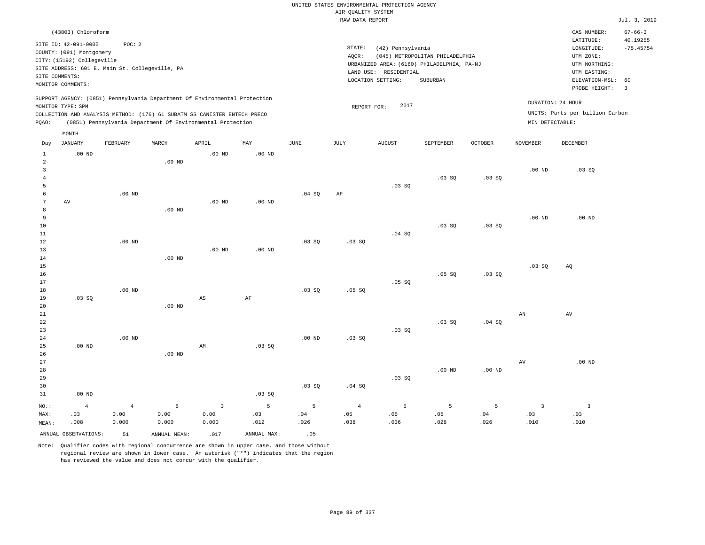|                     |                                                |                   |                   |                                                                            |                   |               |                    | UNITED STATES ENVIRONMENTAL PROTECTION AGENCY |                                            |          |                 |                                 |                           |
|---------------------|------------------------------------------------|-------------------|-------------------|----------------------------------------------------------------------------|-------------------|---------------|--------------------|-----------------------------------------------|--------------------------------------------|----------|-----------------|---------------------------------|---------------------------|
|                     |                                                |                   |                   |                                                                            |                   |               | AIR QUALITY SYSTEM |                                               |                                            |          |                 |                                 |                           |
|                     |                                                |                   |                   |                                                                            |                   |               | RAW DATA REPORT    |                                               |                                            |          |                 |                                 | Jul. 3, 2019              |
|                     | (43803) Chloroform<br>SITE ID: 42-091-0005     | POC: 2            |                   |                                                                            |                   |               |                    |                                               |                                            |          |                 | CAS NUMBER:<br>LATITUDE:        | $67 - 66 - 3$<br>40.19255 |
|                     | COUNTY: (091) Montgomery                       |                   |                   |                                                                            |                   |               | STATE:             | (42) Pennsylvania                             |                                            |          |                 | $\texttt{LONGITUDE}$ :          | $-75.45754$               |
|                     | CITY: (15192) Collegeville                     |                   |                   |                                                                            |                   |               | AQCR:              |                                               | (045) METROPOLITAN PHILADELPHIA            |          |                 | UTM ZONE:                       |                           |
|                     | SITE ADDRESS: 601 E. Main St. Collegeville, PA |                   |                   |                                                                            |                   |               |                    |                                               | URBANIZED AREA: (6160) PHILADELPHIA, PA-NJ |          |                 | UTM NORTHING:                   |                           |
|                     | SITE COMMENTS:                                 |                   |                   |                                                                            |                   |               |                    | LAND USE: RESIDENTIAL                         |                                            |          |                 | UTM EASTING:                    |                           |
|                     | MONITOR COMMENTS:                              |                   |                   |                                                                            |                   |               |                    | LOCATION SETTING:                             | SUBURBAN                                   |          |                 | ELEVATION-MSL:<br>PROBE HEIGHT: | 60<br>$\overline{3}$      |
|                     | MONITOR TYPE: SPM                              |                   |                   | SUPPORT AGENCY: (0851) Pennsylvania Department Of Environmental Protection |                   |               |                    | 2017<br>REPORT FOR:                           |                                            |          |                 | DURATION: 24 HOUR               |                           |
|                     |                                                |                   |                   | COLLECTION AND ANALYSIS METHOD: (176) 6L SUBATM SS CANISTER ENTECH PRECO   |                   |               |                    |                                               |                                            |          |                 | UNITS: Parts per billion Carbon |                           |
| PQAO:               |                                                |                   |                   | (0851) Pennsylvania Department Of Environmental Protection                 |                   |               |                    |                                               |                                            |          | MIN DETECTABLE: |                                 |                           |
|                     | MONTH                                          |                   |                   |                                                                            |                   |               |                    |                                               |                                            |          |                 |                                 |                           |
| Day                 | <b>JANUARY</b>                                 | FEBRUARY          | MARCH             | APRIL                                                                      | MAY               | $_{\rm JUNE}$ | JULY               | <b>AUGUST</b>                                 | SEPTEMBER                                  | OCTOBER  | <b>NOVEMBER</b> | <b>DECEMBER</b>                 |                           |
| $\mathbf{1}$        | .00 <sub>ND</sub>                              |                   |                   | $.00$ ND                                                                   | .00 <sub>ND</sub> |               |                    |                                               |                                            |          |                 |                                 |                           |
| $\overline{a}$<br>3 |                                                |                   | .00 <sub>ND</sub> |                                                                            |                   |               |                    |                                               |                                            |          | $.00$ ND        |                                 |                           |
| $\overline{4}$      |                                                |                   |                   |                                                                            |                   |               |                    |                                               | .03SQ                                      | .03 SQ   |                 | .03SQ                           |                           |
| 5                   |                                                |                   |                   |                                                                            |                   |               |                    | $.03$ SO                                      |                                            |          |                 |                                 |                           |
| 6                   |                                                | .00 <sub>ND</sub> |                   |                                                                            |                   | .04 SQ        | AF                 |                                               |                                            |          |                 |                                 |                           |
| $7\phantom{.0}$     | AV                                             |                   |                   | $.00$ ND                                                                   | $.00$ ND          |               |                    |                                               |                                            |          |                 |                                 |                           |
| 8                   |                                                |                   | .00 <sub>ND</sub> |                                                                            |                   |               |                    |                                               |                                            |          |                 |                                 |                           |
| 9                   |                                                |                   |                   |                                                                            |                   |               |                    |                                               |                                            |          | $.00$ ND        | $.00$ ND                        |                           |
| $10$                |                                                |                   |                   |                                                                            |                   |               |                    |                                               | .03SQ                                      | .03SQ    |                 |                                 |                           |
| $11\,$              |                                                |                   |                   |                                                                            |                   |               |                    | .04 SQ                                        |                                            |          |                 |                                 |                           |
| 12                  |                                                | .00 <sub>ND</sub> |                   |                                                                            |                   | .03SQ         | .03SQ              |                                               |                                            |          |                 |                                 |                           |
| 13                  |                                                |                   |                   | $.00$ ND                                                                   | $.00$ ND          |               |                    |                                               |                                            |          |                 |                                 |                           |
| 14<br>15            |                                                |                   | $.00$ ND          |                                                                            |                   |               |                    |                                               |                                            |          | .03 SQ          | AQ                              |                           |
| 16                  |                                                |                   |                   |                                                                            |                   |               |                    |                                               | $.05$ SO                                   | .03SQ    |                 |                                 |                           |
| 17                  |                                                |                   |                   |                                                                            |                   |               |                    | $.05$ SO                                      |                                            |          |                 |                                 |                           |
| 18                  |                                                | .00 <sub>ND</sub> |                   |                                                                            |                   | .03SQ         | .05SQ              |                                               |                                            |          |                 |                                 |                           |
| 19                  | .03SQ                                          |                   |                   | $\mathbb{A}\mathbb{S}$                                                     | $\rm AF$          |               |                    |                                               |                                            |          |                 |                                 |                           |
| 20                  |                                                |                   | $.00$ ND          |                                                                            |                   |               |                    |                                               |                                            |          |                 |                                 |                           |
| 21                  |                                                |                   |                   |                                                                            |                   |               |                    |                                               |                                            |          | AN              | AV                              |                           |
| 22                  |                                                |                   |                   |                                                                            |                   |               |                    |                                               | $.03$ SO                                   | .04S     |                 |                                 |                           |
| 23                  |                                                |                   |                   |                                                                            |                   |               |                    | .03 SQ                                        |                                            |          |                 |                                 |                           |
| 24                  |                                                | $.00$ ND          |                   |                                                                            |                   | $.00$ ND      | $.03$ SO           |                                               |                                            |          |                 |                                 |                           |
| 25                  | $.00$ ND                                       |                   | $.00$ ND          | AM                                                                         | .03SQ             |               |                    |                                               |                                            |          |                 |                                 |                           |
| 26<br>27            |                                                |                   |                   |                                                                            |                   |               |                    |                                               |                                            |          | $\,\mathrm{AV}$ | $.00$ ND                        |                           |
| 28                  |                                                |                   |                   |                                                                            |                   |               |                    |                                               | $.00$ ND                                   | $.00$ ND |                 |                                 |                           |
| 29                  |                                                |                   |                   |                                                                            |                   |               |                    | .03SQ                                         |                                            |          |                 |                                 |                           |
| 30                  |                                                |                   |                   |                                                                            |                   | .03SQ         | .04 SQ             |                                               |                                            |          |                 |                                 |                           |
| 31                  | $.00$ ND                                       |                   |                   |                                                                            | .03SQ             |               |                    |                                               |                                            |          |                 |                                 |                           |
| NO.:                | $\overline{4}$                                 | $\overline{4}$    | 5                 | $\overline{\mathbf{3}}$                                                    | 5                 | 5             | $\overline{4}$     | 5                                             | 5                                          | 5        | $\overline{3}$  | $\overline{3}$                  |                           |
| MAX:                | .03                                            | 0.00              | 0.00              | 0.00                                                                       | .03               | .04           | .05                | .05                                           | .05                                        | .04      | .03             | .03                             |                           |
| MEAN:               | .008                                           | 0.000             | 0.000             | 0.000                                                                      | .012              | .026          | .038               | .036                                          | .028                                       | .026     | .010            | .010                            |                           |
|                     | ANNUAL OBSERVATIONS:                           | 51                | ANNUAL, MEAN:     | .017                                                                       | ANNUAL MAX:       | .05           |                    |                                               |                                            |          |                 |                                 |                           |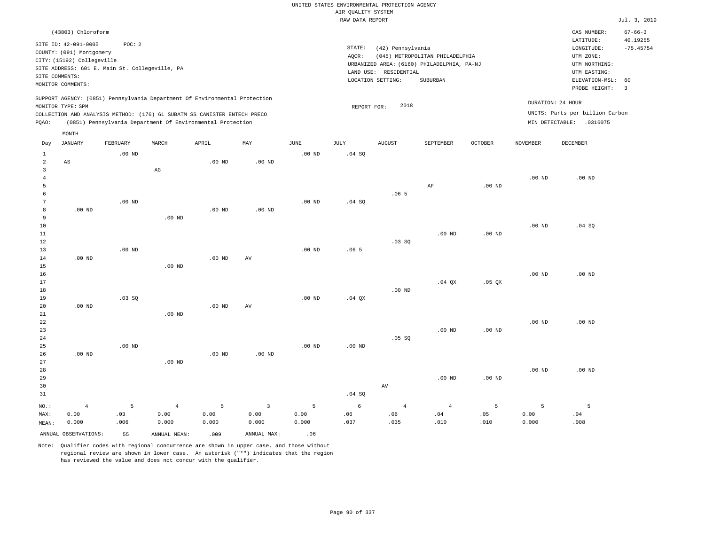|                                              |                                                                                                                                                        |                  |                                 |                                                                                                                                                                                                                      |                                 |                    | UNITED STATES ENVIRONMENTAL PROTECTION AGENCY |                                            |                                                                               |                   |                    |                                                                                      |                                          |
|----------------------------------------------|--------------------------------------------------------------------------------------------------------------------------------------------------------|------------------|---------------------------------|----------------------------------------------------------------------------------------------------------------------------------------------------------------------------------------------------------------------|---------------------------------|--------------------|-----------------------------------------------|--------------------------------------------|-------------------------------------------------------------------------------|-------------------|--------------------|--------------------------------------------------------------------------------------|------------------------------------------|
|                                              |                                                                                                                                                        |                  |                                 |                                                                                                                                                                                                                      |                                 |                    | AIR QUALITY SYSTEM                            |                                            |                                                                               |                   |                    |                                                                                      |                                          |
|                                              |                                                                                                                                                        |                  |                                 |                                                                                                                                                                                                                      |                                 |                    | RAW DATA REPORT                               |                                            |                                                                               |                   |                    |                                                                                      | Jul. 3, 2019                             |
|                                              | (43803) Chloroform<br>SITE ID: 42-091-0005<br>COUNTY: (091) Montgomery<br>CITY: (15192) Collegeville<br>SITE ADDRESS: 601 E. Main St. Collegeville, PA | POC: 2           |                                 |                                                                                                                                                                                                                      |                                 |                    | $\texttt{STATE}$ :<br>AQCR:                   | (42) Pennsylvania<br>LAND USE: RESIDENTIAL | (045) METROPOLITAN PHILADELPHIA<br>URBANIZED AREA: (6160) PHILADELPHIA, PA-NJ |                   |                    | CAS NUMBER:<br>LATITUDE:<br>LONGITUDE:<br>UTM ZONE:<br>UTM NORTHING:<br>UTM EASTING: | $67 - 66 - 3$<br>40.19255<br>$-75.45754$ |
| SITE COMMENTS:                               |                                                                                                                                                        |                  |                                 |                                                                                                                                                                                                                      |                                 |                    |                                               | LOCATION SETTING:                          | SUBURBAN                                                                      |                   |                    | ELEVATION-MSL:                                                                       | 60                                       |
|                                              | MONITOR COMMENTS:                                                                                                                                      |                  |                                 |                                                                                                                                                                                                                      |                                 |                    |                                               |                                            |                                                                               |                   |                    | PROBE HEIGHT:                                                                        | $\overline{3}$                           |
| PQAO:                                        | MONITOR TYPE: SPM                                                                                                                                      |                  |                                 | SUPPORT AGENCY: (0851) Pennsylvania Department Of Environmental Protection<br>COLLECTION AND ANALYSIS METHOD: (176) 6L SUBATM SS CANISTER ENTECH PRECO<br>(0851) Pennsylvania Department Of Environmental Protection |                                 |                    | REPORT FOR:                                   | 2018                                       |                                                                               |                   |                    | DURATION: 24 HOUR<br>UNITS: Parts per billion Carbon<br>MIN DETECTABLE: .0316075     |                                          |
|                                              | MONTH                                                                                                                                                  |                  |                                 |                                                                                                                                                                                                                      |                                 |                    |                                               |                                            |                                                                               |                   |                    |                                                                                      |                                          |
| Day                                          | <b>JANUARY</b>                                                                                                                                         | FEBRUARY         | MARCH                           | APRIL                                                                                                                                                                                                                | MAY                             | <b>JUNE</b>        | JULY                                          | <b>AUGUST</b>                              | SEPTEMBER                                                                     | OCTOBER           | <b>NOVEMBER</b>    | <b>DECEMBER</b>                                                                      |                                          |
| $\mathbf{1}$<br>2<br>$\overline{\mathbf{3}}$ | AS                                                                                                                                                     | $.00$ ND         | $_{\rm AG}$                     | $.00$ ND                                                                                                                                                                                                             | $.00$ ND                        | $.00$ ND           | .04 S0                                        |                                            |                                                                               |                   |                    |                                                                                      |                                          |
| $\,4\,$<br>5<br>6                            |                                                                                                                                                        |                  |                                 |                                                                                                                                                                                                                      |                                 |                    |                                               | .065                                       | AF                                                                            | $.00$ ND          | .00 <sub>ND</sub>  | $.00$ ND                                                                             |                                          |
| $7\phantom{.0}$<br>8<br>9                    | $.00$ ND                                                                                                                                               | $.00$ ND         | $.00$ ND                        | .00 <sub>ND</sub>                                                                                                                                                                                                    | $.00$ ND                        | .00 <sub>ND</sub>  | .04 SQ                                        |                                            |                                                                               |                   |                    |                                                                                      |                                          |
| 10<br>11<br>12                               |                                                                                                                                                        |                  |                                 |                                                                                                                                                                                                                      |                                 |                    |                                               | $.03$ SO                                   | $.00$ ND                                                                      | $.00$ ND          | .00 <sub>ND</sub>  | .04 SQ                                                                               |                                          |
| 13<br>14<br>15<br>16                         | $.00$ ND                                                                                                                                               | $.00$ ND         | $.00$ ND                        | $.00$ ND                                                                                                                                                                                                             | AV                              | $.00$ ND           | .065                                          |                                            |                                                                               |                   | $.00$ ND           | $.00$ ND                                                                             |                                          |
| 17<br>18<br>19                               |                                                                                                                                                        | .03 SQ           |                                 |                                                                                                                                                                                                                      |                                 | .00 <sub>ND</sub>  | $.04$ QX                                      | $.00$ ND                                   | $.04$ QX                                                                      | .05 QX            |                    |                                                                                      |                                          |
| 20<br>21<br>22<br>23                         | $.00$ ND                                                                                                                                               |                  | $.00$ ND                        | $.00$ ND                                                                                                                                                                                                             | AV                              |                    |                                               |                                            | .00 <sub>ND</sub>                                                             | .00 <sub>ND</sub> | .00 <sub>ND</sub>  | $.00$ ND                                                                             |                                          |
| 24<br>25<br>26<br>27                         | .00 <sub>ND</sub>                                                                                                                                      | $.00$ ND         | $.00$ ND                        | .00 <sub>ND</sub>                                                                                                                                                                                                    | $.00$ ND                        | $.00$ ND           | $.00$ ND                                      | .05 SQ                                     |                                                                               |                   |                    |                                                                                      |                                          |
| 28<br>29<br>30                               |                                                                                                                                                        |                  |                                 |                                                                                                                                                                                                                      |                                 |                    |                                               | $\operatorname{AV}$                        | $.00$ ND                                                                      | $.00$ ND          | .00 <sub>ND</sub>  | $.00$ ND                                                                             |                                          |
| 31                                           |                                                                                                                                                        |                  |                                 |                                                                                                                                                                                                                      |                                 |                    | .04 SQ                                        |                                            |                                                                               |                   |                    |                                                                                      |                                          |
| NO.:<br>MAX:<br>MEAN:                        | $\overline{4}$<br>0.00<br>0.000                                                                                                                        | 5<br>.03<br>.006 | $\overline{4}$<br>0.00<br>0.000 | 5<br>0.00<br>0.000                                                                                                                                                                                                   | $\overline{3}$<br>0.00<br>0.000 | 5<br>0.00<br>0.000 | 6<br>.06<br>.037                              | $\overline{4}$<br>.06<br>.035              | $\overline{4}$<br>.04<br>.010                                                 | 5<br>.05<br>.010  | 5<br>0.00<br>0.000 | 5<br>.04<br>.008                                                                     |                                          |
|                                              | ANNUAL OBSERVATIONS:                                                                                                                                   | 55               | ANNUAL MEAN:                    | .009                                                                                                                                                                                                                 | ANNUAL MAX:                     | .06                |                                               |                                            |                                                                               |                   |                    |                                                                                      |                                          |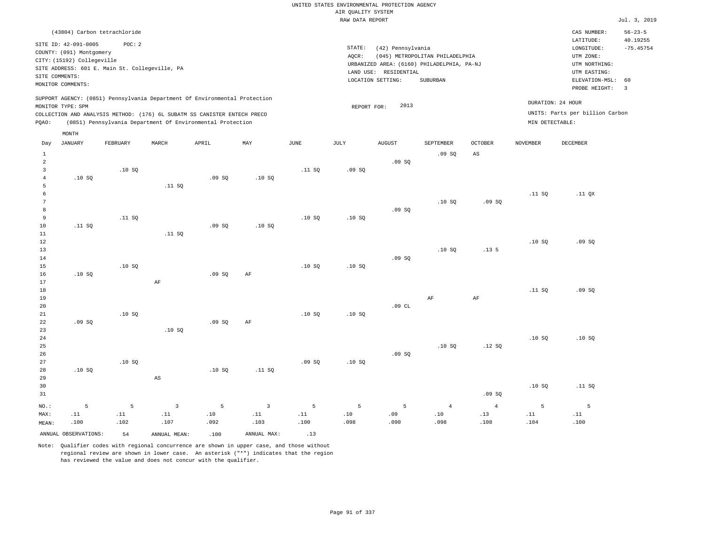|                 | (43804) Carbon tetrachloride |                                                |                        |                                                                                                                                                                                                                      |                |        |                 |                       |                                                                               |                  |                                      | CAS NUMBER:                     | $56 - 23 - 5$ |
|-----------------|------------------------------|------------------------------------------------|------------------------|----------------------------------------------------------------------------------------------------------------------------------------------------------------------------------------------------------------------|----------------|--------|-----------------|-----------------------|-------------------------------------------------------------------------------|------------------|--------------------------------------|---------------------------------|---------------|
|                 | SITE ID: 42-091-0005         | POC: 2                                         |                        |                                                                                                                                                                                                                      |                |        |                 |                       |                                                                               |                  |                                      | LATITUDE:                       | 40.19255      |
|                 | COUNTY: (091) Montgomery     |                                                |                        |                                                                                                                                                                                                                      |                |        | STATE:<br>AOCR: | (42) Pennsylvania     |                                                                               |                  |                                      | LONGITUDE:<br>UTM ZONE:         | $-75.45754$   |
|                 | CITY: (15192) Collegeville   |                                                |                        |                                                                                                                                                                                                                      |                |        |                 |                       | (045) METROPOLITAN PHILADELPHIA<br>URBANIZED AREA: (6160) PHILADELPHIA, PA-NJ |                  |                                      | UTM NORTHING:                   |               |
|                 |                              | SITE ADDRESS: 601 E. Main St. Collegeville, PA |                        |                                                                                                                                                                                                                      |                |        |                 | LAND USE: RESIDENTIAL |                                                                               |                  |                                      | UTM EASTING:                    |               |
|                 | SITE COMMENTS:               |                                                |                        |                                                                                                                                                                                                                      |                |        |                 | LOCATION SETTING:     | <b>SUBURBAN</b>                                                               |                  |                                      | ELEVATION-MSL:                  | 60            |
|                 | MONITOR COMMENTS:            |                                                |                        |                                                                                                                                                                                                                      |                |        |                 |                       |                                                                               |                  |                                      | PROBE HEIGHT:                   | 3             |
| PQAO:           | MONITOR TYPE: SPM            |                                                |                        | SUPPORT AGENCY: (0851) Pennsylvania Department Of Environmental Protection<br>COLLECTION AND ANALYSIS METHOD: (176) 6L SUBATM SS CANISTER ENTECH PRECO<br>(0851) Pennsylvania Department Of Environmental Protection |                |        | REPORT FOR:     | 2013                  |                                                                               |                  | DURATION: 24 HOUR<br>MIN DETECTABLE: | UNITS: Parts per billion Carbon |               |
|                 | MONTH                        |                                                |                        |                                                                                                                                                                                                                      |                |        |                 |                       |                                                                               |                  |                                      |                                 |               |
| Day             | <b>JANUARY</b>               | FEBRUARY                                       | MARCH                  | APRIL                                                                                                                                                                                                                | MAY            | JUNE   | JULY            | <b>AUGUST</b>         | SEPTEMBER                                                                     | <b>OCTOBER</b>   | NOVEMBER                             | <b>DECEMBER</b>                 |               |
| $\mathbf{1}$    |                              |                                                |                        |                                                                                                                                                                                                                      |                |        |                 |                       |                                                                               | AS               |                                      |                                 |               |
| $\overline{a}$  |                              |                                                |                        |                                                                                                                                                                                                                      |                |        |                 | .09SQ                 | .09SQ                                                                         |                  |                                      |                                 |               |
| $\overline{3}$  |                              | .10S                                           |                        |                                                                                                                                                                                                                      |                | .11 S0 | .09S            |                       |                                                                               |                  |                                      |                                 |               |
| $\overline{4}$  | .10S                         |                                                |                        | .09S                                                                                                                                                                                                                 | .10S           |        |                 |                       |                                                                               |                  |                                      |                                 |               |
| 5               |                              |                                                | .11 SQ                 |                                                                                                                                                                                                                      |                |        |                 |                       |                                                                               |                  |                                      |                                 |               |
| 6               |                              |                                                |                        |                                                                                                                                                                                                                      |                |        |                 |                       |                                                                               |                  | .11 S0                               | .11 <sub>OX</sub>               |               |
| $7\phantom{.0}$ |                              |                                                |                        |                                                                                                                                                                                                                      |                |        |                 |                       | .10S                                                                          | .09SQ            |                                      |                                 |               |
| 8               |                              |                                                |                        |                                                                                                                                                                                                                      |                |        |                 | .09SQ                 |                                                                               |                  |                                      |                                 |               |
| 9<br>10         |                              | .11 SQ                                         |                        |                                                                                                                                                                                                                      |                | .10S   | .10S            |                       |                                                                               |                  |                                      |                                 |               |
| 11              | .11 SQ                       |                                                | .11 SQ                 | .09SQ                                                                                                                                                                                                                | .10SQ          |        |                 |                       |                                                                               |                  |                                      |                                 |               |
| 12              |                              |                                                |                        |                                                                                                                                                                                                                      |                |        |                 |                       |                                                                               |                  | .10S                                 | .09SQ                           |               |
| 13              |                              |                                                |                        |                                                                                                                                                                                                                      |                |        |                 |                       | .10SQ                                                                         | .13 <sub>5</sub> |                                      |                                 |               |
| 14              |                              |                                                |                        |                                                                                                                                                                                                                      |                |        |                 | .09SQ                 |                                                                               |                  |                                      |                                 |               |
| 15              |                              | .10SQ                                          |                        |                                                                                                                                                                                                                      |                | .10S   | .10S            |                       |                                                                               |                  |                                      |                                 |               |
| 16              | .10SQ                        |                                                |                        | .09SQ                                                                                                                                                                                                                | AF             |        |                 |                       |                                                                               |                  |                                      |                                 |               |
| 17              |                              |                                                | AF                     |                                                                                                                                                                                                                      |                |        |                 |                       |                                                                               |                  |                                      |                                 |               |
| 18              |                              |                                                |                        |                                                                                                                                                                                                                      |                |        |                 |                       |                                                                               |                  | .11 SQ                               | .09SQ                           |               |
| 19<br>20        |                              |                                                |                        |                                                                                                                                                                                                                      |                |        |                 | .09CL                 | AF                                                                            | $\rm{AF}$        |                                      |                                 |               |
| 21              |                              | .10SQ                                          |                        |                                                                                                                                                                                                                      |                | .10SQ  | .10S            |                       |                                                                               |                  |                                      |                                 |               |
| 22              | .09SQ                        |                                                |                        | .09SQ                                                                                                                                                                                                                | AF             |        |                 |                       |                                                                               |                  |                                      |                                 |               |
| 23              |                              |                                                | .10S                   |                                                                                                                                                                                                                      |                |        |                 |                       |                                                                               |                  |                                      |                                 |               |
| 24              |                              |                                                |                        |                                                                                                                                                                                                                      |                |        |                 |                       |                                                                               |                  | .10S                                 | .10S                            |               |
| 25              |                              |                                                |                        |                                                                                                                                                                                                                      |                |        |                 |                       | .10S                                                                          | .12S             |                                      |                                 |               |
| 26              |                              |                                                |                        |                                                                                                                                                                                                                      |                |        |                 | .09SQ                 |                                                                               |                  |                                      |                                 |               |
| 27              |                              | .10S                                           |                        |                                                                                                                                                                                                                      |                | .09S   | .10S            |                       |                                                                               |                  |                                      |                                 |               |
| 28<br>29        | .10S                         |                                                | $\mathbb{A}\mathbb{S}$ | .10SQ                                                                                                                                                                                                                | .11 SQ         |        |                 |                       |                                                                               |                  |                                      |                                 |               |
| 30              |                              |                                                |                        |                                                                                                                                                                                                                      |                |        |                 |                       |                                                                               |                  | .10S                                 | .11 S0                          |               |
| 31              |                              |                                                |                        |                                                                                                                                                                                                                      |                |        |                 |                       |                                                                               | .09SQ            |                                      |                                 |               |
| NO.:            | 5                            | 5                                              | $\overline{3}$         | 5                                                                                                                                                                                                                    | $\overline{3}$ | 5      | 5               | 5                     | $\overline{4}$                                                                | $\overline{4}$   | 5                                    | 5                               |               |
| MAX:            | .11                          | .11                                            | .11                    | .10                                                                                                                                                                                                                  | .11            | .11    | .10             | .09                   | .10                                                                           | .13              | .11                                  | .11                             |               |
| MEAN:           | .100                         | .102                                           | .107                   | .092                                                                                                                                                                                                                 | .103           | .100   | .098            | .090                  | .098                                                                          | .108             | .104                                 | .100                            |               |

ANNUAL OBSERVATIONS:  $54$  ANNUAL MEAN: .100 ANNUAL MAX: .13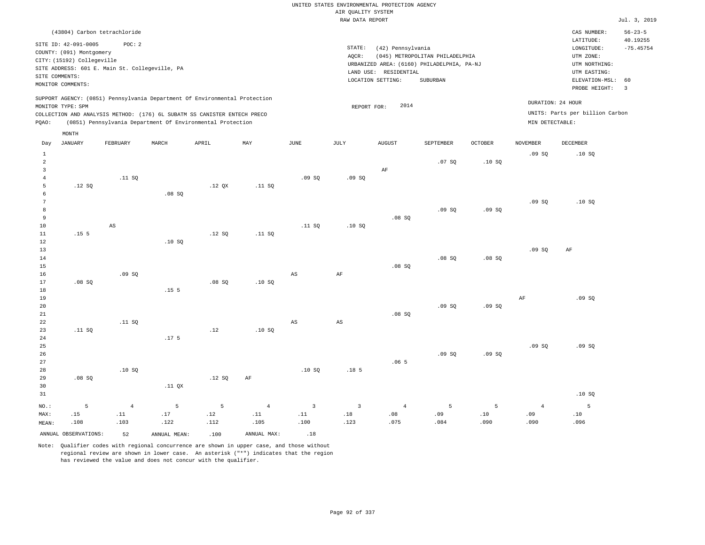|                         |                            |                                                |                  |                                                                            |                |                |                    | UNITED STATES ENVIRONMENTAL PROTECTION AGENCY |                                            |                |                 |                                 |                           |
|-------------------------|----------------------------|------------------------------------------------|------------------|----------------------------------------------------------------------------|----------------|----------------|--------------------|-----------------------------------------------|--------------------------------------------|----------------|-----------------|---------------------------------|---------------------------|
|                         |                            |                                                |                  |                                                                            |                |                | AIR OUALITY SYSTEM |                                               |                                            |                |                 |                                 |                           |
|                         |                            |                                                |                  |                                                                            |                |                | RAW DATA REPORT    |                                               |                                            |                |                 |                                 | Jul. 3, 2019              |
|                         |                            | (43804) Carbon tetrachloride                   |                  |                                                                            |                |                |                    |                                               |                                            |                |                 | CAS NUMBER:<br>LATITUDE:        | $56 - 23 - 5$<br>40.19255 |
|                         | SITE ID: 42-091-0005       | POC: 2                                         |                  |                                                                            |                |                | STATE:             | (42) Pennsylvania                             |                                            |                |                 | LONGITUDE:                      | $-75.45754$               |
|                         | COUNTY: (091) Montgomery   |                                                |                  |                                                                            |                |                | AOCR:              |                                               | (045) METROPOLITAN PHILADELPHIA            |                |                 | UTM ZONE:                       |                           |
|                         | CITY: (15192) Collegeville |                                                |                  |                                                                            |                |                |                    |                                               | URBANIZED AREA: (6160) PHILADELPHIA, PA-NJ |                |                 | UTM NORTHING:                   |                           |
|                         | SITE COMMENTS:             | SITE ADDRESS: 601 E. Main St. Collegeville, PA |                  |                                                                            |                |                |                    | LAND USE: RESIDENTIAL                         |                                            |                |                 | UTM EASTING:                    |                           |
|                         | MONITOR COMMENTS:          |                                                |                  |                                                                            |                |                |                    | LOCATION SETTING:                             | SUBURBAN                                   |                |                 | ELEVATION-MSL:<br>PROBE HEIGHT: | 60<br>$\overline{3}$      |
|                         |                            |                                                |                  | SUPPORT AGENCY: (0851) Pennsylvania Department Of Environmental Protection |                |                |                    |                                               |                                            |                |                 |                                 |                           |
|                         | MONITOR TYPE: SPM          |                                                |                  |                                                                            |                |                | REPORT FOR:        | 2014                                          |                                            |                |                 | DURATION: 24 HOUR               |                           |
|                         |                            |                                                |                  | COLLECTION AND ANALYSIS METHOD: (176) 6L SUBATM SS CANISTER ENTECH PRECO   |                |                |                    |                                               |                                            |                |                 | UNITS: Parts per billion Carbon |                           |
| POAO:                   |                            |                                                |                  | (0851) Pennsylvania Department Of Environmental Protection                 |                |                |                    |                                               |                                            |                | MIN DETECTABLE: |                                 |                           |
| Day                     | MONTH<br><b>JANUARY</b>    | FEBRUARY                                       | MARCH            | APRIL                                                                      | MAY            | <b>JUNE</b>    | JULY               | <b>AUGUST</b>                                 | SEPTEMBER                                  | <b>OCTOBER</b> | <b>NOVEMBER</b> | <b>DECEMBER</b>                 |                           |
| $\mathbf{1}$            |                            |                                                |                  |                                                                            |                |                |                    |                                               |                                            |                | .09S            | .10S                            |                           |
| $\overline{2}$          |                            |                                                |                  |                                                                            |                |                |                    |                                               | .07S                                       | .10SQ          |                 |                                 |                           |
| $\overline{\mathbf{3}}$ |                            |                                                |                  |                                                                            |                |                |                    | AF                                            |                                            |                |                 |                                 |                           |
| $\overline{4}$          |                            | .11 S0                                         |                  |                                                                            |                | .09S           | .09S               |                                               |                                            |                |                 |                                 |                           |
| 5                       | .12S                       |                                                |                  | .12 <sub>OX</sub>                                                          | .11 S0         |                |                    |                                               |                                            |                |                 |                                 |                           |
| 6                       |                            |                                                | .08S             |                                                                            |                |                |                    |                                               |                                            |                |                 |                                 |                           |
| 7                       |                            |                                                |                  |                                                                            |                |                |                    |                                               |                                            |                | .09SQ           | .10SQ                           |                           |
| 8                       |                            |                                                |                  |                                                                            |                |                |                    |                                               | .09S                                       | .09S           |                 |                                 |                           |
| 9                       |                            |                                                |                  |                                                                            |                |                |                    | .08SQ                                         |                                            |                |                 |                                 |                           |
| 10                      |                            | $\mathbb{A}\mathbb{S}$                         |                  |                                                                            |                | .11 S0         | .10S               |                                               |                                            |                |                 |                                 |                           |
| $1\,1$                  | .15 <sub>5</sub>           |                                                |                  | .12S                                                                       | .11 SQ         |                |                    |                                               |                                            |                |                 |                                 |                           |
| 12                      |                            |                                                | .10S             |                                                                            |                |                |                    |                                               |                                            |                |                 |                                 |                           |
| 13                      |                            |                                                |                  |                                                                            |                |                |                    |                                               |                                            |                | .09SQ           | AF                              |                           |
| 14                      |                            |                                                |                  |                                                                            |                |                |                    |                                               | .08SQ                                      | .08SQ          |                 |                                 |                           |
| 15                      |                            |                                                |                  |                                                                            |                |                |                    | .08SQ                                         |                                            |                |                 |                                 |                           |
| 16                      |                            | .09S                                           |                  |                                                                            |                | $_{\rm AS}$    | AF                 |                                               |                                            |                |                 |                                 |                           |
| 17<br>18                | .08S                       |                                                | .15 <sub>5</sub> | .08S                                                                       | .10S           |                |                    |                                               |                                            |                |                 |                                 |                           |
| 19                      |                            |                                                |                  |                                                                            |                |                |                    |                                               |                                            |                | $\rm AF$        | .09SQ                           |                           |
| 20                      |                            |                                                |                  |                                                                            |                |                |                    |                                               | .09S                                       | .09SQ          |                 |                                 |                           |
| 21                      |                            |                                                |                  |                                                                            |                |                |                    | .08S                                          |                                            |                |                 |                                 |                           |
| 22                      |                            | .11 S0                                         |                  |                                                                            |                | $_{\rm AS}$    | AS                 |                                               |                                            |                |                 |                                 |                           |
| 23                      | .11 S0                     |                                                |                  | .12                                                                        | .10S           |                |                    |                                               |                                            |                |                 |                                 |                           |
| 24                      |                            |                                                | .17 <sub>5</sub> |                                                                            |                |                |                    |                                               |                                            |                |                 |                                 |                           |
| 25                      |                            |                                                |                  |                                                                            |                |                |                    |                                               |                                            |                | .09SQ           | .09SQ                           |                           |
| 26                      |                            |                                                |                  |                                                                            |                |                |                    |                                               | .09S                                       | .09SQ          |                 |                                 |                           |
| 27                      |                            |                                                |                  |                                                                            |                |                |                    | .065                                          |                                            |                |                 |                                 |                           |
| 28                      |                            | .10S                                           |                  |                                                                            |                | .10S           | .18 <sub>5</sub>   |                                               |                                            |                |                 |                                 |                           |
| 29                      | .08SQ                      |                                                |                  | .12SQ                                                                      | $\rm AF$       |                |                    |                                               |                                            |                |                 |                                 |                           |
| 30                      |                            |                                                | .11 QX           |                                                                            |                |                |                    |                                               |                                            |                |                 |                                 |                           |
| 31                      |                            |                                                |                  |                                                                            |                |                |                    |                                               |                                            |                |                 | .10S                            |                           |
| NO.:                    | 5                          | $\overline{4}$                                 | 5                | 5                                                                          | $\overline{4}$ | $\overline{3}$ | $\overline{3}$     | $\overline{4}$                                | 5                                          | 5              | $\overline{4}$  | 5                               |                           |

ANNUAL OBSERVATIONS: 52 ANNUAL MEAN: .100 ANNUAL MAX: .18

 .17 .122

NO.: MAX: MEAN:

 .15 .108

 .11 .103

Note: Qualifier codes with regional concurrence are shown in upper case, and those without regional review are shown in lower case. An asterisk ("\*") indicates that the region has reviewed the value and does not concur with the qualifier.

 .12 .112  .11 .105  .11 .100

 .18 .123

 .08 .075

 .09 .084  .10 .090

 .09 .090  .10 .096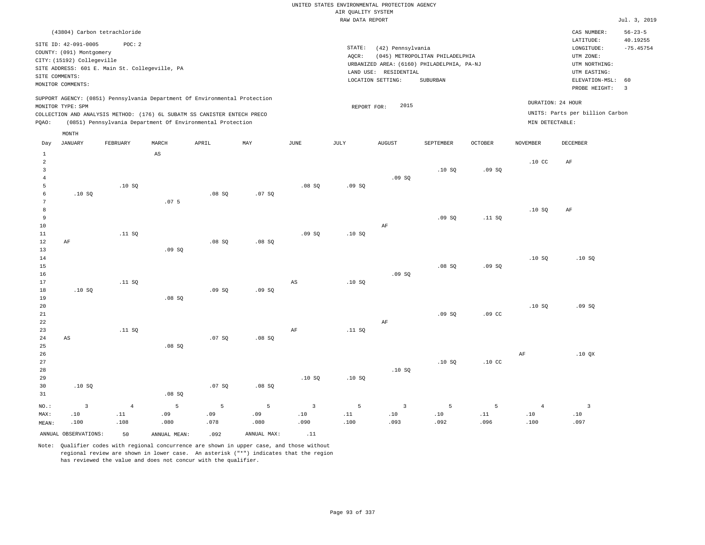| (43804) Carbon tetrachloride                                                                                                                                                                                                                       |                                                                                                                                                                                    | CAS NUMBER:                                                                                                 | $56 - 23 - 5$           |
|----------------------------------------------------------------------------------------------------------------------------------------------------------------------------------------------------------------------------------------------------|------------------------------------------------------------------------------------------------------------------------------------------------------------------------------------|-------------------------------------------------------------------------------------------------------------|-------------------------|
| SITE ID: 42-091-0005<br>POC:2<br>COUNTY: (091) Montgomery<br>CITY: (15192) Collegeville<br>SITE ADDRESS: 601 E. Main St. Collegeville, PA<br>SITE COMMENTS:<br>MONITOR COMMENTS:                                                                   | STATE:<br>(42) Pennsylvania<br>(045) METROPOLITAN PHILADELPHIA<br>AOCR:<br>URBANIZED AREA: (6160) PHILADELPHIA, PA-NJ<br>RESIDENTIAL<br>LAND USE:<br>LOCATION SETTING:<br>SUBURBAN | LATITUDE:<br>LONGITUDE:<br>UTM ZONE:<br>UTM NORTHING:<br>UTM EASTING:<br>ELEVATION-MSL: 60<br>PROBE HEIGHT: | 40.19255<br>$-75.45754$ |
| SUPPORT AGENCY: (0851) Pennsylvania Department Of Environmental Protection<br>MONITOR TYPE: SPM<br>COLLECTION AND ANALYSIS METHOD: (176) 6L SUBATM SS CANISTER ENTECH PRECO<br>(0851) Pennsylvania Department Of Environmental Protection<br>POAO: | DURATION: 24 HOUR<br>2015<br>REPORT FOR:<br>MIN DETECTABLE:                                                                                                                        | UNITS: Parts per billion Carbon                                                                             |                         |

| Day          | <b>JANUARY</b>         | FEBRUARY                     | MARCH                  | APRIL  | $\ensuremath{\text{MAX}}$ | $_{\rm JUNE}$                | JULY                         | AUGUST                       | SEPTEMBER | OCTOBER                      | <b>NOVEMBER</b>              | DECEMBER                     |
|--------------|------------------------|------------------------------|------------------------|--------|---------------------------|------------------------------|------------------------------|------------------------------|-----------|------------------------------|------------------------------|------------------------------|
| $\mathbf{1}$ |                        |                              | $\mathbb{A}\mathbb{S}$ |        |                           |                              |                              |                              |           |                              |                              |                              |
| $\,2$        |                        |                              |                        |        |                           |                              |                              |                              |           |                              | .10 <sub>C</sub>             | $\rm AF$                     |
| 3            |                        |                              |                        |        |                           |                              |                              |                              | .10S      | .09SQ                        |                              |                              |
| $\bf 4$      |                        |                              |                        |        |                           |                              |                              | .09SQ                        |           |                              |                              |                              |
| 5            |                        | .10SQ                        |                        |        |                           | .08SQ                        | .09SQ                        |                              |           |                              |                              |                              |
| $\epsilon$   | .10S                   |                              |                        | .08SQ  | .07 SQ                    |                              |                              |                              |           |                              |                              |                              |
| $\sqrt{7}$   |                        |                              | .07 <sub>5</sub>       |        |                           |                              |                              |                              |           |                              |                              |                              |
| 8            |                        |                              |                        |        |                           |                              |                              |                              |           |                              | .10SQ                        | $\rm AF$                     |
| 9            |                        |                              |                        |        |                           |                              |                              |                              | .09SQ     | .11 SQ                       |                              |                              |
| $10$         |                        |                              |                        |        |                           |                              |                              | $\rm AF$                     |           |                              |                              |                              |
| $11\,$       |                        | .11 SQ                       |                        |        |                           | .09SQ                        | .10SQ                        |                              |           |                              |                              |                              |
| $1\,2$       | $\rm AF$               |                              | .09SQ                  | .08SQ  | .08 SQ                    |                              |                              |                              |           |                              |                              |                              |
| 13<br>14     |                        |                              |                        |        |                           |                              |                              |                              |           |                              | .10SQ                        | .10SQ                        |
| 15           |                        |                              |                        |        |                           |                              |                              |                              | .08SQ     | .09SQ                        |                              |                              |
| 16           |                        |                              |                        |        |                           |                              |                              | .09SQ                        |           |                              |                              |                              |
| 17           |                        | .11 SQ                       |                        |        |                           | $_{\rm AS}$                  | .10SQ                        |                              |           |                              |                              |                              |
| 18           | .10SQ                  |                              |                        | .09SQ  | .09SQ                     |                              |                              |                              |           |                              |                              |                              |
| 19           |                        |                              | .08SQ                  |        |                           |                              |                              |                              |           |                              |                              |                              |
| 20           |                        |                              |                        |        |                           |                              |                              |                              |           |                              | .10S                         | .09SQ                        |
| 21           |                        |                              |                        |        |                           |                              |                              |                              | .09SQ     | .09 <sub>c</sub>             |                              |                              |
| $2\sqrt{2}$  |                        |                              |                        |        |                           |                              |                              | $\rm AF$                     |           |                              |                              |                              |
| 23           |                        | .11 SQ                       |                        |        |                           | $\rm{AF}$                    | .11 SQ                       |                              |           |                              |                              |                              |
| $2\sqrt{4}$  | $\mathbb{A}\mathbb{S}$ |                              |                        | .07 SQ | .08 SQ                    |                              |                              |                              |           |                              |                              |                              |
| $25\,$       |                        |                              | .08SQ                  |        |                           |                              |                              |                              |           |                              |                              |                              |
| 26           |                        |                              |                        |        |                           |                              |                              |                              |           |                              | $\rm{AF}$                    | .10 QX                       |
| $2\,7$       |                        |                              |                        |        |                           |                              |                              |                              | .10S      | .10 <sub>C</sub>             |                              |                              |
| 28           |                        |                              |                        |        |                           |                              |                              | .10SQ                        |           |                              |                              |                              |
| 29           |                        |                              |                        |        |                           | .10S                         | .10SQ                        |                              |           |                              |                              |                              |
| 30           | .10SQ                  |                              |                        | .07 SQ | .08 SQ                    |                              |                              |                              |           |                              |                              |                              |
| 31           |                        |                              | .08 SQ                 |        |                           |                              |                              |                              |           |                              |                              |                              |
| $NO.$ :      | $\overline{3}$         | $\overline{4}$               | 5                      | 5      | 5                         | $\overline{\mathbf{3}}$      | 5                            | $\overline{\mathbf{3}}$      | 5         | 5                            | $\overline{4}$               | $\overline{\mathbf{3}}$      |
| MAX:         | $.10$                  | $\footnotesize\substack{11}$ | .09                    | .09    | .09                       | $\footnotesize\substack{10}$ | $\footnotesize\substack{11}$ | $\footnotesize\substack{10}$ | $.10$     | $\footnotesize\substack{11}$ | $\footnotesize\substack{10}$ | $\footnotesize\substack{10}$ |
| MEAN:        | .100                   | .108                         | .080                   | .078   | .080                      | .090                         | .100                         | .093                         | .092      | .096                         | .100                         | .097                         |
|              | ANNUAL OBSERVATIONS:   | 50                           | ANNUAL MEAN:           | .092   | ANNUAL MAX:               | .11                          |                              |                              |           |                              |                              |                              |

Note: Qualifier codes with regional concurrence are shown in upper case, and those without regional review are shown in lower case. An asterisk ("\*") indicates that the region has reviewed the value and does not concur with the qualifier.

MONTH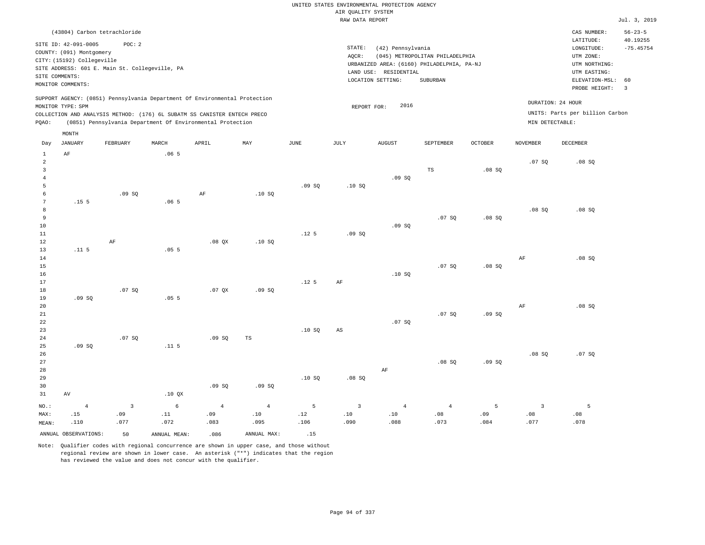## UNITED STATES ENVIRONMENTAL PROTECTION AGENCY AIR QUALITY SYSTEM

|                |                            |                                                |                  |                                                                            |      |                  | RAW DATA REPORT |                       |                                            |                |                 |                                 | Jul. 3, 2019  |
|----------------|----------------------------|------------------------------------------------|------------------|----------------------------------------------------------------------------|------|------------------|-----------------|-----------------------|--------------------------------------------|----------------|-----------------|---------------------------------|---------------|
|                |                            | (43804) Carbon tetrachloride                   |                  |                                                                            |      |                  |                 |                       |                                            |                |                 | CAS NUMBER:                     | $56 - 23 - 5$ |
|                | SITE ID: 42-091-0005       | POC: 2                                         |                  |                                                                            |      |                  |                 |                       |                                            |                |                 | LATITUDE:                       | 40.19255      |
|                | COUNTY: (091) Montgomery   |                                                |                  |                                                                            |      |                  | STATE:          | (42) Pennsylvania     |                                            |                |                 | LONGITUDE:                      | $-75.45754$   |
|                | CITY: (15192) Collegeville |                                                |                  |                                                                            |      |                  | AQCR:           |                       | (045) METROPOLITAN PHILADELPHIA            |                |                 | UTM ZONE:                       |               |
|                |                            | SITE ADDRESS: 601 E. Main St. Collegeville, PA |                  |                                                                            |      |                  |                 |                       | URBANIZED AREA: (6160) PHILADELPHIA, PA-NJ |                |                 | UTM NORTHING:                   |               |
|                | SITE COMMENTS:             |                                                |                  |                                                                            |      |                  |                 | LAND USE: RESIDENTIAL |                                            |                |                 | UTM EASTING:                    |               |
|                | MONITOR COMMENTS:          |                                                |                  |                                                                            |      |                  |                 | LOCATION SETTING:     | SUBURBAN                                   |                |                 | ELEVATION-MSL:                  | 60            |
|                |                            |                                                |                  |                                                                            |      |                  |                 |                       |                                            |                |                 | PROBE HEIGHT:                   | 3             |
|                |                            |                                                |                  | SUPPORT AGENCY: (0851) Pennsylvania Department Of Environmental Protection |      |                  |                 |                       |                                            |                |                 | DURATION: 24 HOUR               |               |
|                | MONITOR TYPE: SPM          |                                                |                  |                                                                            |      |                  | REPORT FOR:     | 2016                  |                                            |                |                 | UNITS: Parts per billion Carbon |               |
|                |                            |                                                |                  | COLLECTION AND ANALYSIS METHOD: (176) 6L SUBATM SS CANISTER ENTECH PRECO   |      |                  |                 |                       |                                            |                |                 |                                 |               |
| PQAO:          |                            |                                                |                  | (0851) Pennsylvania Department Of Environmental Protection                 |      |                  |                 |                       |                                            |                | MIN DETECTABLE: |                                 |               |
|                | MONTH                      |                                                |                  |                                                                            |      |                  |                 |                       |                                            |                |                 |                                 |               |
| Day            | JANUARY                    | <b>FEBRUARY</b>                                | MARCH            | APRIL                                                                      | MAY  | <b>JUNE</b>      | JULY            | <b>AUGUST</b>         | SEPTEMBER                                  | <b>OCTOBER</b> | <b>NOVEMBER</b> | <b>DECEMBER</b>                 |               |
| $\mathbf{1}$   | AF                         |                                                | .065             |                                                                            |      |                  |                 |                       |                                            |                |                 |                                 |               |
| $\overline{a}$ |                            |                                                |                  |                                                                            |      |                  |                 |                       |                                            |                | .07SQ           | .08SQ                           |               |
| $\overline{3}$ |                            |                                                |                  |                                                                            |      |                  |                 |                       | TS                                         | .08SQ          |                 |                                 |               |
| $\overline{4}$ |                            |                                                |                  |                                                                            |      |                  |                 | .09SQ                 |                                            |                |                 |                                 |               |
| 5              |                            |                                                |                  |                                                                            |      | .09SQ            | .10S            |                       |                                            |                |                 |                                 |               |
| 6              |                            | .09SQ                                          |                  | AF                                                                         | .10S |                  |                 |                       |                                            |                |                 |                                 |               |
| 7              | .15 <sub>5</sub>           |                                                | .065             |                                                                            |      |                  |                 |                       |                                            |                |                 |                                 |               |
| 8              |                            |                                                |                  |                                                                            |      |                  |                 |                       |                                            |                | .08SQ           | .08SQ                           |               |
| 9              |                            |                                                |                  |                                                                            |      |                  |                 |                       | .07S                                       | .08SQ          |                 |                                 |               |
| 10             |                            |                                                |                  |                                                                            |      |                  |                 | .09S                  |                                            |                |                 |                                 |               |
| $11\,$         |                            |                                                |                  |                                                                            |      | .12 <sub>5</sub> | .09SQ           |                       |                                            |                |                 |                                 |               |
| 12<br>13       | .11 <sub>5</sub>           | $\rm AF$                                       | .055             | $.08$ QX                                                                   | .10S |                  |                 |                       |                                            |                |                 |                                 |               |
| 14             |                            |                                                |                  |                                                                            |      |                  |                 |                       |                                            |                | AF              | .08SQ                           |               |
| 15             |                            |                                                |                  |                                                                            |      |                  |                 |                       | .07S                                       | .08SQ          |                 |                                 |               |
| 16             |                            |                                                |                  |                                                                            |      |                  |                 | .10S                  |                                            |                |                 |                                 |               |
| 17             |                            |                                                |                  |                                                                            |      | .12 <sub>5</sub> | AF              |                       |                                            |                |                 |                                 |               |
| 18             |                            | .07S                                           |                  | .07OX                                                                      | .09S |                  |                 |                       |                                            |                |                 |                                 |               |
| 19             | .09SQ                      |                                                | .055             |                                                                            |      |                  |                 |                       |                                            |                |                 |                                 |               |
| 20             |                            |                                                |                  |                                                                            |      |                  |                 |                       |                                            |                | AF              | .08SQ                           |               |
| 21             |                            |                                                |                  |                                                                            |      |                  |                 |                       | .07 SQ                                     | .09SQ          |                 |                                 |               |
| 22             |                            |                                                |                  |                                                                            |      |                  |                 | .07SQ                 |                                            |                |                 |                                 |               |
| 23             |                            |                                                |                  |                                                                            |      | .10SQ            | AS              |                       |                                            |                |                 |                                 |               |
| 24             |                            | .07 SQ                                         |                  | .09SQ                                                                      | TS   |                  |                 |                       |                                            |                |                 |                                 |               |
| 25             | .09SQ                      |                                                | .11 <sub>5</sub> |                                                                            |      |                  |                 |                       |                                            |                |                 |                                 |               |
| 26             |                            |                                                |                  |                                                                            |      |                  |                 |                       |                                            |                | .08SQ           | .07SQ                           |               |
| 27             |                            |                                                |                  |                                                                            |      |                  |                 |                       | .08SQ                                      | .09SQ          |                 |                                 |               |
| 28             |                            |                                                |                  |                                                                            |      |                  |                 | AF                    |                                            |                |                 |                                 |               |

29 30 31 AV NO.: MAX: MEAN: 4 .15 .110 .10 QX .09 SQ .09 SQ .10 SQ .08 SQ 3 .09 .077 6 .11 .072 4 .09 .083 4 .10 .095 5 .12 .106 3 .10 .090 4 .10 .088 4 .08 .073 5 .09 .084 3 .08 .077 5 .08 .078 ANNUAL OBSERVATIONS: 50 ANNUAL MEAN: .086 ANNUAL MAX: .15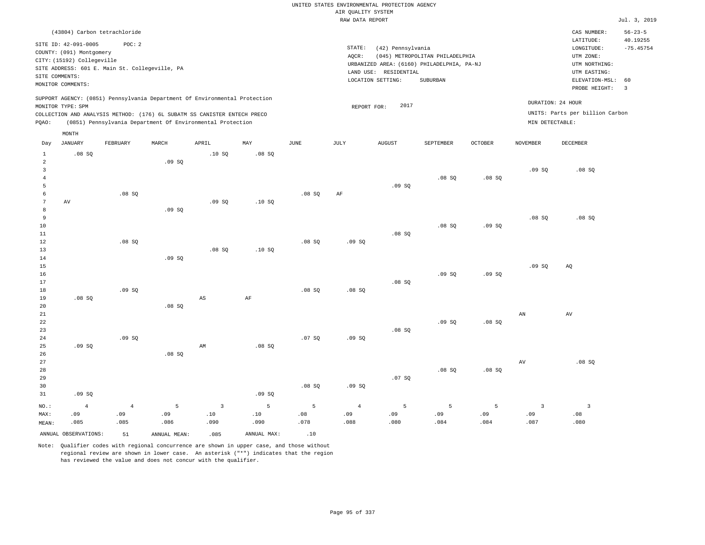|                            |                                                |                |               |                                                                            |             |                  |                    | UNITED STATES ENVIRONMENTAL PROTECTION AGENCY |                                            |                |                 |                                 |                           |
|----------------------------|------------------------------------------------|----------------|---------------|----------------------------------------------------------------------------|-------------|------------------|--------------------|-----------------------------------------------|--------------------------------------------|----------------|-----------------|---------------------------------|---------------------------|
|                            |                                                |                |               |                                                                            |             |                  | AIR QUALITY SYSTEM |                                               |                                            |                |                 |                                 |                           |
|                            |                                                |                |               |                                                                            |             |                  | RAW DATA REPORT    |                                               |                                            |                |                 |                                 | Jul. 3, 2019              |
|                            | (43804) Carbon tetrachloride                   |                |               |                                                                            |             |                  |                    |                                               |                                            |                |                 | CAS NUMBER:<br>LATITUDE:        | $56 - 23 - 5$<br>40.19255 |
|                            | SITE ID: 42-091-0005                           | POC: 2         |               |                                                                            |             |                  | STATE:             | (42) Pennsylvania                             |                                            |                |                 | LONGITUDE:                      | $-75.45754$               |
|                            | COUNTY: (091) Montgomery                       |                |               |                                                                            |             |                  | AOCR:              |                                               | (045) METROPOLITAN PHILADELPHIA            |                |                 | UTM ZONE:                       |                           |
|                            | CITY: (15192) Collegeville                     |                |               |                                                                            |             |                  |                    |                                               | URBANIZED AREA: (6160) PHILADELPHIA, PA-NJ |                |                 | UTM NORTHING:                   |                           |
|                            | SITE ADDRESS: 601 E. Main St. Collegeville, PA |                |               |                                                                            |             |                  |                    | LAND USE: RESIDENTIAL                         |                                            |                |                 | UTM EASTING:                    |                           |
|                            | SITE COMMENTS:                                 |                |               |                                                                            |             |                  |                    | LOCATION SETTING:                             | SUBURBAN                                   |                |                 | ELEVATION-MSL:                  | 60                        |
|                            | MONITOR COMMENTS:                              |                |               |                                                                            |             |                  |                    |                                               |                                            |                |                 | PROBE HEIGHT:                   | $\overline{3}$            |
|                            | MONITOR TYPE: SPM                              |                |               | SUPPORT AGENCY: (0851) Pennsylvania Department Of Environmental Protection |             |                  | REPORT FOR:        | 2017                                          |                                            |                |                 | DURATION: 24 HOUR               |                           |
|                            |                                                |                |               | COLLECTION AND ANALYSIS METHOD: (176) 6L SUBATM SS CANISTER ENTECH PRECO   |             |                  |                    |                                               |                                            |                |                 | UNITS: Parts per billion Carbon |                           |
| PQAO:                      |                                                |                |               | (0851) Pennsylvania Department Of Environmental Protection                 |             |                  |                    |                                               |                                            |                | MIN DETECTABLE: |                                 |                           |
| Day                        | MONTH<br><b>JANUARY</b>                        | FEBRUARY       | MARCH         | APRIL                                                                      | MAY         | $_{\rm JUNE}$    | JULY               | <b>AUGUST</b>                                 | SEPTEMBER                                  | <b>OCTOBER</b> | <b>NOVEMBER</b> | <b>DECEMBER</b>                 |                           |
|                            |                                                |                |               |                                                                            |             |                  |                    |                                               |                                            |                |                 |                                 |                           |
| $\mathbf{1}$<br>$\sqrt{2}$ | .08S                                           |                | .09SQ         | .10SQ                                                                      | .08 SQ      |                  |                    |                                               |                                            |                |                 |                                 |                           |
| $\mathbf{3}$               |                                                |                |               |                                                                            |             |                  |                    |                                               |                                            |                | .09SQ           | .08SQ                           |                           |
| $\overline{4}$             |                                                |                |               |                                                                            |             |                  |                    |                                               | .08SQ                                      | .08 SQ         |                 |                                 |                           |
| 5                          |                                                |                |               |                                                                            |             |                  |                    | .09SQ                                         |                                            |                |                 |                                 |                           |
| 6                          |                                                | .08SQ          |               |                                                                            |             | .08SQ            | AF                 |                                               |                                            |                |                 |                                 |                           |
| $\overline{7}$             | AV                                             |                |               | .09S                                                                       | .10S        |                  |                    |                                               |                                            |                |                 |                                 |                           |
| 8                          |                                                |                | .09S          |                                                                            |             |                  |                    |                                               |                                            |                |                 |                                 |                           |
| $\overline{9}$             |                                                |                |               |                                                                            |             |                  |                    |                                               |                                            |                | .08S            | .08SQ                           |                           |
| 10                         |                                                |                |               |                                                                            |             |                  |                    |                                               | .08 SQ                                     | .09SQ          |                 |                                 |                           |
| 11                         |                                                |                |               |                                                                            |             |                  |                    | .08S                                          |                                            |                |                 |                                 |                           |
| 12                         |                                                | .08SQ          |               |                                                                            |             | .08SQ            | .09SQ              |                                               |                                            |                |                 |                                 |                           |
| 13                         |                                                |                |               | .08S                                                                       | .10S        |                  |                    |                                               |                                            |                |                 |                                 |                           |
| 14<br>15                   |                                                |                | .09S          |                                                                            |             |                  |                    |                                               |                                            |                | .09S            | AO                              |                           |
| 16                         |                                                |                |               |                                                                            |             |                  |                    |                                               | .09SQ                                      | .09SQ          |                 |                                 |                           |
| 17                         |                                                |                |               |                                                                            |             |                  |                    | .08SQ                                         |                                            |                |                 |                                 |                           |
| 18                         |                                                | .09SQ          |               |                                                                            |             | .08S             | .08S               |                                               |                                            |                |                 |                                 |                           |
| 19                         | .08SQ                                          |                |               | $\mathbb{A}\mathbb{S}$                                                     | AF          |                  |                    |                                               |                                            |                |                 |                                 |                           |
| 20                         |                                                |                | $.08$ SO      |                                                                            |             |                  |                    |                                               |                                            |                |                 |                                 |                           |
| 21                         |                                                |                |               |                                                                            |             |                  |                    |                                               |                                            |                | AN              | AV                              |                           |
| 22                         |                                                |                |               |                                                                            |             |                  |                    |                                               | .09S                                       | .08SQ          |                 |                                 |                           |
| 23                         |                                                |                |               |                                                                            |             |                  |                    | .08SQ                                         |                                            |                |                 |                                 |                           |
| 24                         |                                                | .09S           |               |                                                                            |             | .07S             | .09S               |                                               |                                            |                |                 |                                 |                           |
| 25                         | .09SQ                                          |                |               | AM                                                                         | .08 SQ      |                  |                    |                                               |                                            |                |                 |                                 |                           |
| 26                         |                                                |                | .08S          |                                                                            |             |                  |                    |                                               |                                            |                |                 |                                 |                           |
| 27                         |                                                |                |               |                                                                            |             |                  |                    |                                               |                                            |                | AV              | .08SQ                           |                           |
| 28                         |                                                |                |               |                                                                            |             |                  |                    |                                               | .08S                                       | .08S           |                 |                                 |                           |
| 29                         |                                                |                |               |                                                                            |             |                  |                    | .07 SQ                                        |                                            |                |                 |                                 |                           |
| 30                         |                                                |                |               |                                                                            |             | .08SQ            | .09SQ              |                                               |                                            |                |                 |                                 |                           |
| 31                         | .09SQ                                          |                |               |                                                                            | .09SQ       |                  |                    |                                               |                                            |                |                 |                                 |                           |
| NO.:                       | $\overline{4}$                                 | $\overline{4}$ | 5             | $\overline{3}$                                                             | 5           | 5                | $\overline{4}$     | 5                                             | 5                                          | 5              | $\overline{3}$  | $\overline{3}$                  |                           |
| MAX:                       | .09                                            | .09            | .09           | .10                                                                        | .10         | .08 <sub>0</sub> | .09                | .09                                           | .09                                        | .09            | .09             | .08                             |                           |
| MEAN:                      | .085                                           | .085           | .086          | .090                                                                       | .090        | .078             | .088               | .080                                          | .084                                       | .084           | .087            | .080                            |                           |
|                            | ANNUAL OBSERVATIONS:                           | 51             | ANNUAL, MEAN: | .085                                                                       | ANNUAL MAX: | .10              |                    |                                               |                                            |                |                 |                                 |                           |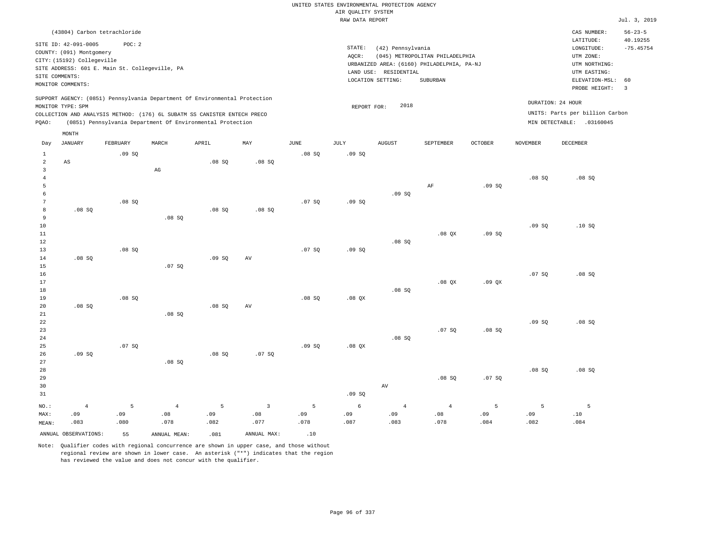|                      |                              |                                                |                                                                            |       |                |             | UNITED STATES ENVIRONMENTAL PROTECTION AGENCY |                       |                                                                               |                |                 |                                 |                |
|----------------------|------------------------------|------------------------------------------------|----------------------------------------------------------------------------|-------|----------------|-------------|-----------------------------------------------|-----------------------|-------------------------------------------------------------------------------|----------------|-----------------|---------------------------------|----------------|
|                      |                              |                                                |                                                                            |       |                |             | AIR OUALITY SYSTEM<br>RAW DATA REPORT         |                       |                                                                               |                |                 |                                 | Jul. 3, 2019   |
|                      |                              |                                                |                                                                            |       |                |             |                                               |                       |                                                                               |                |                 |                                 |                |
|                      | (43804) Carbon tetrachloride |                                                |                                                                            |       |                |             |                                               |                       |                                                                               |                |                 | CAS NUMBER:                     | $56 - 23 - 5$  |
|                      | SITE ID: 42-091-0005         | POC: 2                                         |                                                                            |       |                |             | STATE:                                        |                       |                                                                               |                |                 | LATITUDE:                       | 40.19255       |
|                      | COUNTY: (091) Montgomery     |                                                |                                                                            |       |                |             |                                               | (42) Pennsylvania     |                                                                               |                |                 | LONGITUDE:                      | $-75.45754$    |
|                      | CITY: (15192) Collegeville   |                                                |                                                                            |       |                |             | AOCR:                                         |                       | (045) METROPOLITAN PHILADELPHIA<br>URBANIZED AREA: (6160) PHILADELPHIA, PA-NJ |                |                 | UTM ZONE:<br>UTM NORTHING:      |                |
|                      |                              | SITE ADDRESS: 601 E. Main St. Collegeville, PA |                                                                            |       |                |             |                                               | LAND USE: RESIDENTIAL |                                                                               |                |                 | UTM EASTING:                    |                |
|                      | SITE COMMENTS:               |                                                |                                                                            |       |                |             |                                               | LOCATION SETTING:     | SUBURBAN                                                                      |                |                 | ELEVATION-MSL:                  | 60             |
|                      | MONITOR COMMENTS:            |                                                |                                                                            |       |                |             |                                               |                       |                                                                               |                |                 | PROBE HEIGHT:                   | $\overline{3}$ |
|                      |                              |                                                | SUPPORT AGENCY: (0851) Pennsylvania Department Of Environmental Protection |       |                |             |                                               |                       |                                                                               |                |                 |                                 |                |
|                      | MONITOR TYPE: SPM            |                                                |                                                                            |       |                |             | REPORT FOR:                                   | 2018                  |                                                                               |                |                 | DURATION: 24 HOUR               |                |
|                      |                              |                                                | COLLECTION AND ANALYSIS METHOD: (176) 6L SUBATM SS CANISTER ENTECH PRECO   |       |                |             |                                               |                       |                                                                               |                |                 | UNITS: Parts per billion Carbon |                |
| PQAO:                |                              |                                                | (0851) Pennsylvania Department Of Environmental Protection                 |       |                |             |                                               |                       |                                                                               |                |                 | MIN DETECTABLE: .03160045       |                |
|                      | MONTH                        |                                                |                                                                            |       |                |             |                                               |                       |                                                                               |                |                 |                                 |                |
| Day                  | <b>JANUARY</b>               | FEBRUARY                                       | MARCH                                                                      | APRIL | MAY            | <b>JUNE</b> | JULY                                          | <b>AUGUST</b>         | SEPTEMBER                                                                     | <b>OCTOBER</b> | <b>NOVEMBER</b> | DECEMBER                        |                |
| $\mathbf{1}$         |                              | .09SQ                                          |                                                                            |       |                | .08 SQ      | .09SQ                                         |                       |                                                                               |                |                 |                                 |                |
| $\overline{a}$       | AS                           |                                                |                                                                            | .08S  | .08S           |             |                                               |                       |                                                                               |                |                 |                                 |                |
| $\overline{3}$       |                              |                                                | $\mathbb{A}\mathbb{G}$                                                     |       |                |             |                                               |                       |                                                                               |                |                 |                                 |                |
| $\overline{4}$       |                              |                                                |                                                                            |       |                |             |                                               |                       |                                                                               |                | .08SQ           | .08SQ                           |                |
| 5                    |                              |                                                |                                                                            |       |                |             |                                               |                       | $\rm{AF}$                                                                     | .09SQ          |                 |                                 |                |
| 6<br>$7\phantom{.0}$ |                              | .08S                                           |                                                                            |       |                | .07S        | .09S                                          | .09SQ                 |                                                                               |                |                 |                                 |                |
| 8                    | $.08$ SO                     |                                                |                                                                            | .08S  | .08S           |             |                                               |                       |                                                                               |                |                 |                                 |                |
| 9                    |                              |                                                | .08 SQ                                                                     |       |                |             |                                               |                       |                                                                               |                |                 |                                 |                |
| 10                   |                              |                                                |                                                                            |       |                |             |                                               |                       |                                                                               |                | .09SQ           | .10S                            |                |
| 11                   |                              |                                                |                                                                            |       |                |             |                                               |                       | $.08$ $OX$                                                                    | .09S           |                 |                                 |                |
| 12                   |                              |                                                |                                                                            |       |                |             |                                               | .08SQ                 |                                                                               |                |                 |                                 |                |
| 13                   |                              | .08S                                           |                                                                            |       |                | .07S        | .09S                                          |                       |                                                                               |                |                 |                                 |                |
| 14                   | $.08$ SO                     |                                                |                                                                            | .09S  | AV             |             |                                               |                       |                                                                               |                |                 |                                 |                |
| 15                   |                              |                                                | .07SQ                                                                      |       |                |             |                                               |                       |                                                                               |                |                 |                                 |                |
| 16                   |                              |                                                |                                                                            |       |                |             |                                               |                       |                                                                               |                | .07S            | .08SQ                           |                |
| 17<br>18             |                              |                                                |                                                                            |       |                |             |                                               |                       | $.08$ $OX$                                                                    | .09 QX         |                 |                                 |                |
| 19                   |                              | .08 SQ                                         |                                                                            |       |                | .08SQ       | .08QX                                         | .08SQ                 |                                                                               |                |                 |                                 |                |
| 20                   | $.08$ SO                     |                                                |                                                                            | .08S  | AV             |             |                                               |                       |                                                                               |                |                 |                                 |                |
| 21                   |                              |                                                | .08 SQ                                                                     |       |                |             |                                               |                       |                                                                               |                |                 |                                 |                |
| 22                   |                              |                                                |                                                                            |       |                |             |                                               |                       |                                                                               |                | .09S            | .08S                            |                |
| 23                   |                              |                                                |                                                                            |       |                |             |                                               |                       | .07 SQ                                                                        | .08SQ          |                 |                                 |                |
| 24                   |                              |                                                |                                                                            |       |                |             |                                               | .08SQ                 |                                                                               |                |                 |                                 |                |
| 25                   |                              | .07S                                           |                                                                            |       |                | .09S        | $.08$ $OX$                                    |                       |                                                                               |                |                 |                                 |                |
| 26                   | .09S                         |                                                |                                                                            | .08SQ | .07S           |             |                                               |                       |                                                                               |                |                 |                                 |                |
| 27                   |                              |                                                | .08S                                                                       |       |                |             |                                               |                       |                                                                               |                |                 |                                 |                |
| 28                   |                              |                                                |                                                                            |       |                |             |                                               |                       |                                                                               |                | .08SQ           | .08SQ                           |                |
| 29                   |                              |                                                |                                                                            |       |                |             |                                               | $\operatorname{AV}$   | .08S                                                                          | .07S           |                 |                                 |                |
| 30<br>31             |                              |                                                |                                                                            |       |                |             | .09S                                          |                       |                                                                               |                |                 |                                 |                |
|                      |                              |                                                |                                                                            |       |                |             |                                               |                       |                                                                               |                |                 |                                 |                |
| NO.:                 | $\overline{4}$               | 5                                              | $\overline{4}$                                                             | 5     | $\overline{3}$ | 5           | 6                                             | $\overline{4}$        | $\overline{4}$                                                                | 5              | 5               | 5                               |                |
| MAX:                 | .09                          | .09                                            | .08                                                                        | .09   | .08            | .09         | .09                                           | .09                   | .08                                                                           | .09            | .09             | $\sqrt{10}$                     |                |
| MEAN:                | .083                         | .080                                           | .078                                                                       | .082  | .077           | .078        | .087                                          | .083                  | .078                                                                          | .084           | .082            | .084                            |                |
|                      | ANNUAL OBSERVATIONS:         | 55                                             | ANNUAL MEAN:                                                               | .081  | ANNUAL MAX:    | .10         |                                               |                       |                                                                               |                |                 |                                 |                |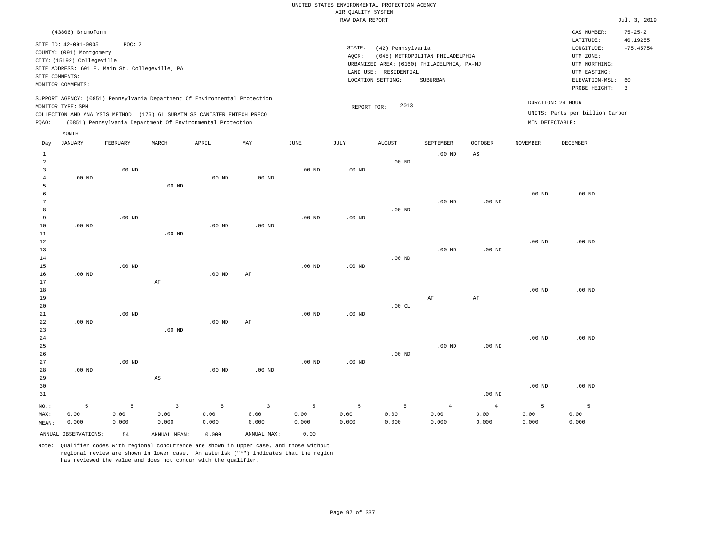|                 | (43806) Bromoform<br>SITE ID: 42-091-0005<br>COUNTY: (091) Montgomery<br>CITY: (15192) Collegeville<br>SITE COMMENTS:<br>MONITOR COMMENTS: | POC: 2<br>SITE ADDRESS: 601 E. Main St. Collegeville, PA |             |                                                                                                                                                        |                        |                   | STATE:<br>AQCR: | (42) Pennsylvania<br>URBANIZED AREA: (6160) PHILADELPHIA, PA-NJ<br>LAND USE: RESIDENTIAL<br>LOCATION SETTING: | (045) METROPOLITAN PHILADELPHIA<br>SUBURBAN |                        |                   | CAS NUMBER:<br>LATITUDE:<br>LONGITUDE:<br>UTM ZONE:<br>UTM NORTHING:<br>UTM EASTING:<br>ELEVATION-MSL:<br>PROBE HEIGHT: | $75 - 25 - 2$<br>40.19255<br>$-75.45754$<br>60<br>$\overline{3}$ |
|-----------------|--------------------------------------------------------------------------------------------------------------------------------------------|----------------------------------------------------------|-------------|--------------------------------------------------------------------------------------------------------------------------------------------------------|------------------------|-------------------|-----------------|---------------------------------------------------------------------------------------------------------------|---------------------------------------------|------------------------|-------------------|-------------------------------------------------------------------------------------------------------------------------|------------------------------------------------------------------|
|                 | MONITOR TYPE: SPM                                                                                                                          |                                                          |             | SUPPORT AGENCY: (0851) Pennsylvania Department Of Environmental Protection<br>COLLECTION AND ANALYSIS METHOD: (176) 6L SUBATM SS CANISTER ENTECH PRECO |                        |                   | REPORT FOR:     | 2013                                                                                                          |                                             |                        |                   | DURATION: 24 HOUR<br>UNITS: Parts per billion Carbon                                                                    |                                                                  |
| PQAO:           |                                                                                                                                            |                                                          |             | (0851) Pennsylvania Department Of Environmental Protection                                                                                             |                        |                   |                 |                                                                                                               |                                             |                        | MIN DETECTABLE:   |                                                                                                                         |                                                                  |
|                 | MONTH                                                                                                                                      |                                                          |             |                                                                                                                                                        |                        |                   |                 |                                                                                                               |                                             |                        |                   |                                                                                                                         |                                                                  |
| Day             | JANUARY                                                                                                                                    | FEBRUARY                                                 | MARCH       | APRIL                                                                                                                                                  | MAY                    | JUNE              | JULY            | <b>AUGUST</b>                                                                                                 | SEPTEMBER                                   | <b>OCTOBER</b>         | <b>NOVEMBER</b>   | <b>DECEMBER</b>                                                                                                         |                                                                  |
| $\mathbf{1}$    |                                                                                                                                            |                                                          |             |                                                                                                                                                        |                        |                   |                 |                                                                                                               | $.00$ ND                                    | $_{\rm AS}$            |                   |                                                                                                                         |                                                                  |
| $\overline{a}$  |                                                                                                                                            |                                                          |             |                                                                                                                                                        |                        |                   |                 | $.00$ ND                                                                                                      |                                             |                        |                   |                                                                                                                         |                                                                  |
| $\overline{3}$  |                                                                                                                                            | $.00$ ND                                                 |             |                                                                                                                                                        |                        | $.00$ ND          | $.00$ ND        |                                                                                                               |                                             |                        |                   |                                                                                                                         |                                                                  |
| $\overline{4}$  | $.00$ ND                                                                                                                                   |                                                          |             | $.00$ ND                                                                                                                                               | $.00$ ND               |                   |                 |                                                                                                               |                                             |                        |                   |                                                                                                                         |                                                                  |
| 5               |                                                                                                                                            |                                                          | $.00$ ND    |                                                                                                                                                        |                        |                   |                 |                                                                                                               |                                             |                        |                   |                                                                                                                         |                                                                  |
| 6               |                                                                                                                                            |                                                          |             |                                                                                                                                                        |                        |                   |                 |                                                                                                               |                                             |                        | .00 <sub>ND</sub> | $.00$ ND                                                                                                                |                                                                  |
| $7\phantom{.0}$ |                                                                                                                                            |                                                          |             |                                                                                                                                                        |                        |                   |                 |                                                                                                               | .00 <sub>ND</sub>                           | $.00$ ND               |                   |                                                                                                                         |                                                                  |
| 8               |                                                                                                                                            |                                                          |             |                                                                                                                                                        |                        |                   |                 | $.00$ ND                                                                                                      |                                             |                        |                   |                                                                                                                         |                                                                  |
| 9               |                                                                                                                                            | $.00$ ND                                                 |             |                                                                                                                                                        |                        | .00 <sub>ND</sub> | $.00$ ND        |                                                                                                               |                                             |                        |                   |                                                                                                                         |                                                                  |
| 10              | .00 <sub>ND</sub>                                                                                                                          |                                                          |             | .00 <sub>ND</sub>                                                                                                                                      | .00 <sub>ND</sub>      |                   |                 |                                                                                                               |                                             |                        |                   |                                                                                                                         |                                                                  |
| 11              |                                                                                                                                            |                                                          | $.00$ ND    |                                                                                                                                                        |                        |                   |                 |                                                                                                               |                                             |                        |                   |                                                                                                                         |                                                                  |
| 12              |                                                                                                                                            |                                                          |             |                                                                                                                                                        |                        |                   |                 |                                                                                                               |                                             |                        | $.00$ ND          | $.00$ ND                                                                                                                |                                                                  |
| 13              |                                                                                                                                            |                                                          |             |                                                                                                                                                        |                        |                   |                 |                                                                                                               | $.00$ ND                                    | $.00$ ND               |                   |                                                                                                                         |                                                                  |
| 14              |                                                                                                                                            |                                                          |             |                                                                                                                                                        |                        |                   |                 | $.00$ ND                                                                                                      |                                             |                        |                   |                                                                                                                         |                                                                  |
| 15              |                                                                                                                                            | .00 <sub>ND</sub>                                        |             |                                                                                                                                                        |                        | $.00$ ND          | $.00$ ND        |                                                                                                               |                                             |                        |                   |                                                                                                                         |                                                                  |
| 16              | $.00$ ND                                                                                                                                   |                                                          |             | .00 <sub>ND</sub>                                                                                                                                      | AF                     |                   |                 |                                                                                                               |                                             |                        |                   |                                                                                                                         |                                                                  |
| 17              |                                                                                                                                            |                                                          | $\rm AF$    |                                                                                                                                                        |                        |                   |                 |                                                                                                               |                                             |                        |                   |                                                                                                                         |                                                                  |
| 18              |                                                                                                                                            |                                                          |             |                                                                                                                                                        |                        |                   |                 |                                                                                                               |                                             |                        | .00 <sub>ND</sub> | $.00$ ND                                                                                                                |                                                                  |
| 19              |                                                                                                                                            |                                                          |             |                                                                                                                                                        |                        |                   |                 |                                                                                                               | AF                                          | AF                     |                   |                                                                                                                         |                                                                  |
| 20<br>21        |                                                                                                                                            | $.00$ ND                                                 |             |                                                                                                                                                        |                        | .00 <sub>ND</sub> | $.00$ ND        | .00CL                                                                                                         |                                             |                        |                   |                                                                                                                         |                                                                  |
| 22              | $.00$ ND                                                                                                                                   |                                                          |             | $.00$ ND                                                                                                                                               | AF                     |                   |                 |                                                                                                               |                                             |                        |                   |                                                                                                                         |                                                                  |
| 23              |                                                                                                                                            |                                                          | $.00$ ND    |                                                                                                                                                        |                        |                   |                 |                                                                                                               |                                             |                        |                   |                                                                                                                         |                                                                  |
| 24              |                                                                                                                                            |                                                          |             |                                                                                                                                                        |                        |                   |                 |                                                                                                               |                                             |                        | $.00$ ND          | $.00$ ND                                                                                                                |                                                                  |
| 25              |                                                                                                                                            |                                                          |             |                                                                                                                                                        |                        |                   |                 |                                                                                                               | $.00$ ND                                    | .00 <sub>ND</sub>      |                   |                                                                                                                         |                                                                  |
| 26              |                                                                                                                                            |                                                          |             |                                                                                                                                                        |                        |                   |                 | $.00$ ND                                                                                                      |                                             |                        |                   |                                                                                                                         |                                                                  |
| 27              |                                                                                                                                            | $.00$ ND                                                 |             |                                                                                                                                                        |                        | $.00$ ND          | $.00$ ND        |                                                                                                               |                                             |                        |                   |                                                                                                                         |                                                                  |
| 28              | $.00$ ND                                                                                                                                   |                                                          |             | .00 <sub>ND</sub>                                                                                                                                      | $.00$ ND               |                   |                 |                                                                                                               |                                             |                        |                   |                                                                                                                         |                                                                  |
| 29              |                                                                                                                                            |                                                          | $_{\rm AS}$ |                                                                                                                                                        |                        |                   |                 |                                                                                                               |                                             |                        |                   |                                                                                                                         |                                                                  |
| 30              |                                                                                                                                            |                                                          |             |                                                                                                                                                        |                        |                   |                 |                                                                                                               |                                             |                        | $.00$ ND          | $.00$ ND                                                                                                                |                                                                  |
| 31              |                                                                                                                                            |                                                          |             |                                                                                                                                                        |                        |                   |                 |                                                                                                               |                                             | .00 <sub>ND</sub>      |                   |                                                                                                                         |                                                                  |
|                 |                                                                                                                                            |                                                          |             |                                                                                                                                                        |                        |                   |                 |                                                                                                               |                                             |                        |                   |                                                                                                                         |                                                                  |
| NO.:            | 5<br>0.00                                                                                                                                  | 5<br>0.00                                                | 3<br>0.00   | 5<br>0.00                                                                                                                                              | $\overline{3}$<br>0.00 | 5<br>0.00         | 5<br>0.00       | 5<br>0.00                                                                                                     | $\overline{4}$<br>0.00                      | $\overline{4}$<br>0.00 | 5<br>0.00         | 5                                                                                                                       |                                                                  |
| MAX:<br>MEAN:   | 0.000                                                                                                                                      | 0.000                                                    | 0.000       | 0.000                                                                                                                                                  | 0.000                  | 0.000             | 0.000           | 0.000                                                                                                         | 0.000                                       | 0.000                  | 0.000             | 0.00<br>0.000                                                                                                           |                                                                  |
|                 |                                                                                                                                            |                                                          |             |                                                                                                                                                        |                        |                   |                 |                                                                                                               |                                             |                        |                   |                                                                                                                         |                                                                  |

Note: Qualifier codes with regional concurrence are shown in upper case, and those without regional review are shown in lower case. An asterisk ("\*") indicates that the region has reviewed the value and does not concur with the qualifier.

ANNUAL OBSERVATIONS: 54 ANNUAL MEAN: 0.000 ANNUAL MAX: 0.00

MEAN: 0.000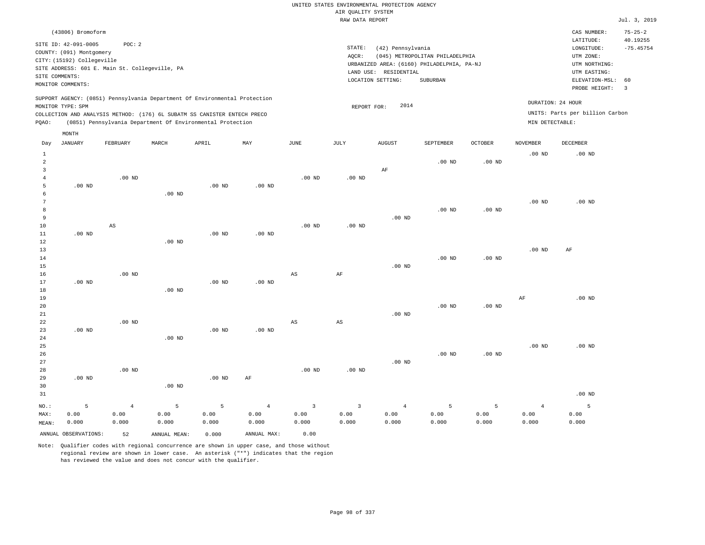|                                  |                            |                                                                            |                   |                   |                   |                   | UNITED STATES ENVIRONMENTAL PROTECTION AGENCY |                       |                                            |          |                   |                                 |                         |
|----------------------------------|----------------------------|----------------------------------------------------------------------------|-------------------|-------------------|-------------------|-------------------|-----------------------------------------------|-----------------------|--------------------------------------------|----------|-------------------|---------------------------------|-------------------------|
|                                  |                            |                                                                            |                   |                   |                   |                   | AIR QUALITY SYSTEM                            |                       |                                            |          |                   |                                 |                         |
|                                  |                            |                                                                            |                   |                   |                   |                   | RAW DATA REPORT                               |                       |                                            |          |                   |                                 | Jul. 3, 2019            |
|                                  | (43806) Bromoform          |                                                                            |                   |                   |                   |                   |                                               |                       |                                            |          |                   | CAS NUMBER:                     | $75 - 25 - 2$           |
|                                  | SITE ID: 42-091-0005       | POC: 2                                                                     |                   |                   |                   |                   | STATE:                                        | (42) Pennsylvania     |                                            |          |                   | LATITUDE:<br>LONGITUDE:         | 40.19255<br>$-75.45754$ |
|                                  | COUNTY: (091) Montgomery   |                                                                            |                   |                   |                   |                   | AQCR:                                         |                       | (045) METROPOLITAN PHILADELPHIA            |          |                   | UTM ZONE:                       |                         |
|                                  | CITY: (15192) Collegeville |                                                                            |                   |                   |                   |                   |                                               |                       | URBANIZED AREA: (6160) PHILADELPHIA, PA-NJ |          |                   | UTM NORTHING:                   |                         |
|                                  |                            | SITE ADDRESS: 601 E. Main St. Collegeville, PA                             |                   |                   |                   |                   |                                               | LAND USE: RESIDENTIAL |                                            |          |                   | UTM EASTING:                    |                         |
| SITE COMMENTS:                   |                            |                                                                            |                   |                   |                   |                   |                                               | LOCATION SETTING:     | SUBURBAN                                   |          |                   | ELEVATION-MSL:                  | 60                      |
|                                  | MONITOR COMMENTS:          |                                                                            |                   |                   |                   |                   |                                               |                       |                                            |          |                   | PROBE HEIGHT:                   | $\overline{3}$          |
|                                  | MONITOR TYPE: SPM          | SUPPORT AGENCY: (0851) Pennsylvania Department Of Environmental Protection |                   |                   |                   |                   |                                               | 2014                  |                                            |          |                   | DURATION: 24 HOUR               |                         |
|                                  |                            | COLLECTION AND ANALYSIS METHOD: (176) 6L SUBATM SS CANISTER ENTECH PRECO   |                   |                   |                   |                   | REPORT FOR:                                   |                       |                                            |          |                   | UNITS: Parts per billion Carbon |                         |
| PQAO:                            |                            | (0851) Pennsylvania Department Of Environmental Protection                 |                   |                   |                   |                   |                                               |                       |                                            |          | MIN DETECTABLE:   |                                 |                         |
|                                  | MONTH                      |                                                                            |                   |                   |                   |                   |                                               |                       |                                            |          |                   |                                 |                         |
| Day                              | <b>JANUARY</b>             | FEBRUARY                                                                   | MARCH             | APRIL             | MAY               | JUNE              | JULY                                          | <b>AUGUST</b>         | SEPTEMBER                                  | OCTOBER  | <b>NOVEMBER</b>   | DECEMBER                        |                         |
| $\mathbf{1}$                     |                            |                                                                            |                   |                   |                   |                   |                                               |                       |                                            |          | .00 <sub>ND</sub> | $.00$ ND                        |                         |
| $\overline{a}$<br>$\overline{3}$ |                            |                                                                            |                   |                   |                   |                   |                                               |                       | .00 <sub>ND</sub>                          | $.00$ ND |                   |                                 |                         |
| $\overline{4}$                   |                            | $.00$ ND                                                                   |                   |                   |                   | $.00$ ND          | $.00$ ND                                      | AF                    |                                            |          |                   |                                 |                         |
| 5                                | .00 <sub>ND</sub>          |                                                                            |                   | .00 <sub>ND</sub> | .00 <sub>ND</sub> |                   |                                               |                       |                                            |          |                   |                                 |                         |
| 6                                |                            |                                                                            | $.00$ ND          |                   |                   |                   |                                               |                       |                                            |          |                   |                                 |                         |
| 7                                |                            |                                                                            |                   |                   |                   |                   |                                               |                       |                                            |          | .00 <sub>ND</sub> | $.00$ ND                        |                         |
| 8                                |                            |                                                                            |                   |                   |                   |                   |                                               |                       | $.00$ ND                                   | $.00$ ND |                   |                                 |                         |
| 9                                |                            |                                                                            |                   |                   |                   |                   |                                               | $.00$ ND              |                                            |          |                   |                                 |                         |
| $10$                             |                            | $\mathbb{A}\mathbb{S}$                                                     |                   |                   |                   | .00 <sub>ND</sub> | .00 <sub>ND</sub>                             |                       |                                            |          |                   |                                 |                         |
| 11                               | $.00$ ND                   |                                                                            |                   | $.00$ ND          | $.00$ ND          |                   |                                               |                       |                                            |          |                   |                                 |                         |
| 12                               |                            |                                                                            | $.00$ ND          |                   |                   |                   |                                               |                       |                                            |          |                   |                                 |                         |
| 13                               |                            |                                                                            |                   |                   |                   |                   |                                               |                       |                                            |          | .00 <sub>ND</sub> | AF                              |                         |
| 14<br>15                         |                            |                                                                            |                   |                   |                   |                   |                                               | .00 <sub>ND</sub>     | $.00$ ND                                   | $.00$ ND |                   |                                 |                         |
| 16                               |                            | $.00$ ND                                                                   |                   |                   |                   | $_{\rm AS}$       | AF                                            |                       |                                            |          |                   |                                 |                         |
| 17                               | .00 <sub>ND</sub>          |                                                                            |                   | .00 <sub>ND</sub> | .00 <sub>ND</sub> |                   |                                               |                       |                                            |          |                   |                                 |                         |
| 18                               |                            |                                                                            | .00 <sub>ND</sub> |                   |                   |                   |                                               |                       |                                            |          |                   |                                 |                         |
| 19                               |                            |                                                                            |                   |                   |                   |                   |                                               |                       |                                            |          | $\rm{AF}$         | $.00$ ND                        |                         |
| 20                               |                            |                                                                            |                   |                   |                   |                   |                                               |                       | .00 <sub>ND</sub>                          | $.00$ ND |                   |                                 |                         |
| 21                               |                            |                                                                            |                   |                   |                   |                   |                                               | $.00$ ND              |                                            |          |                   |                                 |                         |
| 22                               |                            | $.00$ ND                                                                   |                   |                   |                   | AS                | $\mathbb{A}\mathbb{S}$                        |                       |                                            |          |                   |                                 |                         |
| 23                               | $.00$ ND                   |                                                                            |                   | .00 <sub>ND</sub> | .00 <sub>ND</sub> |                   |                                               |                       |                                            |          |                   |                                 |                         |
| 24<br>25                         |                            |                                                                            | $.00$ ND          |                   |                   |                   |                                               |                       |                                            |          | .00 <sub>ND</sub> | $.00$ ND                        |                         |
| 26                               |                            |                                                                            |                   |                   |                   |                   |                                               |                       | $.00$ ND                                   | $.00$ ND |                   |                                 |                         |
| 27                               |                            |                                                                            |                   |                   |                   |                   |                                               | $.00$ ND              |                                            |          |                   |                                 |                         |
| 28                               |                            | $.00$ ND                                                                   |                   |                   |                   | $.00$ ND          | $.00$ ND                                      |                       |                                            |          |                   |                                 |                         |
| 29                               | $.00$ ND                   |                                                                            |                   | .00 <sub>ND</sub> | $\rm AF$          |                   |                                               |                       |                                            |          |                   |                                 |                         |
| 30                               |                            |                                                                            | .00 <sub>ND</sub> |                   |                   |                   |                                               |                       |                                            |          |                   |                                 |                         |
| 31                               |                            |                                                                            |                   |                   |                   |                   |                                               |                       |                                            |          |                   | $.00$ ND                        |                         |
| NO.:                             | 5                          | $\overline{4}$                                                             | $\overline{5}$    | 5                 | $\overline{4}$    | $\overline{3}$    | $\overline{\mathbf{3}}$                       | $\overline{4}$        | 5                                          | 5        | $\overline{4}$    | 5                               |                         |
| MAX:                             | 0.00                       | 0.00                                                                       | 0.00              | 0.00              | 0.00              | 0.00              | 0.00                                          | 0.00                  | 0.00                                       | 0.00     | 0.00              | 0.00                            |                         |
| MEAN:                            | 0.000                      | 0.000                                                                      | 0.000             | 0.000             | 0.000             | 0.000             | 0.000                                         | 0.000                 | 0.000                                      | 0.000    | 0.000             | 0.000                           |                         |
|                                  |                            |                                                                            |                   |                   |                   |                   |                                               |                       |                                            |          |                   |                                 |                         |

ANNUAL OBSERVATIONS: 52 ANNUAL MEAN: 0.000 ANNUAL MAX: 0.00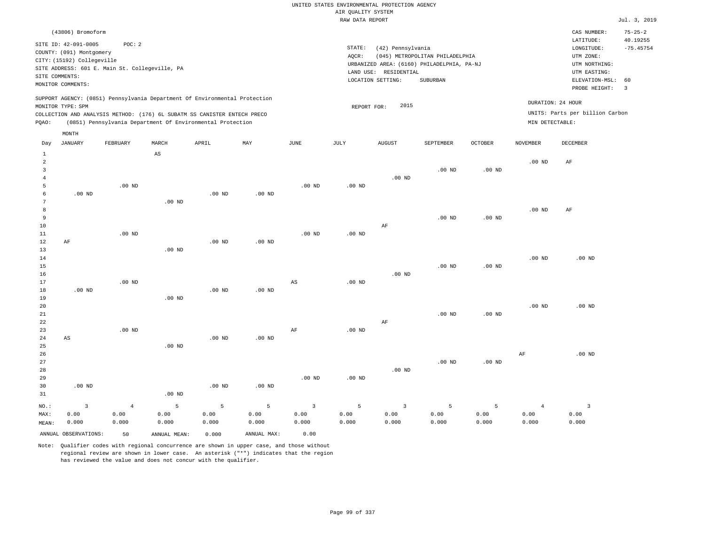|                     |                                                |            |                                 |                                                                            |                   |                   |                    | UNITED STATES ENVIRONMENTAL PROTECTION AGENCY |                                            |                |                   |                                 |                           |
|---------------------|------------------------------------------------|------------|---------------------------------|----------------------------------------------------------------------------|-------------------|-------------------|--------------------|-----------------------------------------------|--------------------------------------------|----------------|-------------------|---------------------------------|---------------------------|
|                     |                                                |            |                                 |                                                                            |                   |                   | AIR QUALITY SYSTEM |                                               |                                            |                |                   |                                 |                           |
|                     |                                                |            |                                 |                                                                            |                   |                   | RAW DATA REPORT    |                                               |                                            |                |                   |                                 | Jul. 3, 2019              |
|                     | (43806) Bromoform                              |            |                                 |                                                                            |                   |                   |                    |                                               |                                            |                |                   | CAS NUMBER:<br>LATITUDE:        | $75 - 25 - 2$<br>40.19255 |
|                     | SITE ID: 42-091-0005                           | POC: 2     |                                 |                                                                            |                   |                   | STATE:             | (42) Pennsylvania                             |                                            |                |                   | LONGITUDE:                      | $-75.45754$               |
|                     | COUNTY: (091) Montgomery                       |            |                                 |                                                                            |                   |                   | AQCR:              |                                               | (045) METROPOLITAN PHILADELPHIA            |                |                   | UTM ZONE:                       |                           |
|                     | CITY: (15192) Collegeville                     |            |                                 |                                                                            |                   |                   |                    |                                               | URBANIZED AREA: (6160) PHILADELPHIA, PA-NJ |                |                   | UTM NORTHING:                   |                           |
|                     | SITE ADDRESS: 601 E. Main St. Collegeville, PA |            |                                 |                                                                            |                   |                   |                    | LAND USE: RESIDENTIAL                         |                                            |                |                   | UTM EASTING:                    |                           |
| SITE COMMENTS:      |                                                |            |                                 |                                                                            |                   |                   |                    | LOCATION SETTING:                             | SUBURBAN                                   |                |                   | ELEVATION-MSL:                  | 60                        |
|                     | MONITOR COMMENTS:                              |            |                                 |                                                                            |                   |                   |                    |                                               |                                            |                |                   | PROBE HEIGHT:                   | $\overline{3}$            |
|                     | MONITOR TYPE: SPM                              |            |                                 | SUPPORT AGENCY: (0851) Pennsylvania Department Of Environmental Protection |                   |                   | REPORT FOR:        | 2015                                          |                                            |                |                   | DURATION: 24 HOUR               |                           |
|                     |                                                |            |                                 | COLLECTION AND ANALYSIS METHOD: (176) 6L SUBATM SS CANISTER ENTECH PRECO   |                   |                   |                    |                                               |                                            |                |                   | UNITS: Parts per billion Carbon |                           |
| PQAO:               |                                                |            |                                 | (0851) Pennsylvania Department Of Environmental Protection                 |                   |                   |                    |                                               |                                            |                | MIN DETECTABLE:   |                                 |                           |
|                     | MONTH                                          |            |                                 |                                                                            |                   |                   |                    |                                               |                                            |                |                   |                                 |                           |
| Day<br>$\mathbf{1}$ | <b>JANUARY</b>                                 | FEBRUARY   | MARCH<br>$\mathbb{A}\mathbb{S}$ | APRIL                                                                      | MAY               | <b>JUNE</b>       | JULY               | <b>AUGUST</b>                                 | SEPTEMBER                                  | <b>OCTOBER</b> | <b>NOVEMBER</b>   | DECEMBER                        |                           |
| $\overline{a}$      |                                                |            |                                 |                                                                            |                   |                   |                    |                                               |                                            |                | .00 <sub>ND</sub> | AF                              |                           |
| $\overline{3}$      |                                                |            |                                 |                                                                            |                   |                   |                    |                                               | $.00$ ND                                   | $.00$ ND       |                   |                                 |                           |
| $\overline{4}$      |                                                |            |                                 |                                                                            |                   |                   |                    | $.00$ ND                                      |                                            |                |                   |                                 |                           |
| 5                   |                                                | $.00$ ND   |                                 |                                                                            |                   | $.00$ ND          | $.00$ ND           |                                               |                                            |                |                   |                                 |                           |
| 6                   | $.00$ ND                                       |            |                                 | $.00$ ND                                                                   | .00 <sub>ND</sub> |                   |                    |                                               |                                            |                |                   |                                 |                           |
| $\overline{7}$      |                                                |            | $.00$ ND                        |                                                                            |                   |                   |                    |                                               |                                            |                |                   |                                 |                           |
| 8                   |                                                |            |                                 |                                                                            |                   |                   |                    |                                               |                                            |                | $.00$ ND          | AF                              |                           |
| 9<br>10             |                                                |            |                                 |                                                                            |                   |                   |                    | AF                                            | $.00$ ND                                   | $.00$ ND       |                   |                                 |                           |
| 11                  |                                                | $.00$ ND   |                                 |                                                                            |                   | $.00$ ND          | .00 <sub>ND</sub>  |                                               |                                            |                |                   |                                 |                           |
| $1\,2$              | AF                                             |            |                                 | .00 <sub>ND</sub>                                                          | .00 <sub>ND</sub> |                   |                    |                                               |                                            |                |                   |                                 |                           |
| 13                  |                                                |            | $.00$ ND                        |                                                                            |                   |                   |                    |                                               |                                            |                |                   |                                 |                           |
| 14                  |                                                |            |                                 |                                                                            |                   |                   |                    |                                               |                                            |                | .00 <sub>ND</sub> | $.00$ ND                        |                           |
| 15                  |                                                |            |                                 |                                                                            |                   |                   |                    |                                               | $.00$ ND                                   | $.00$ ND       |                   |                                 |                           |
| 16                  |                                                |            |                                 |                                                                            |                   |                   |                    | $.00$ ND                                      |                                            |                |                   |                                 |                           |
| 17                  |                                                | $.00$ ND   |                                 |                                                                            |                   | $_{\rm AS}$       | $.00$ ND           |                                               |                                            |                |                   |                                 |                           |
| $18\,$              | $.00$ ND                                       |            |                                 | $.00$ ND                                                                   | $.00$ ND          |                   |                    |                                               |                                            |                |                   |                                 |                           |
| 19                  |                                                |            | $.00$ ND                        |                                                                            |                   |                   |                    |                                               |                                            |                | .00 <sub>ND</sub> | $.00$ ND                        |                           |
| 20<br>21            |                                                |            |                                 |                                                                            |                   |                   |                    |                                               | $.00$ ND                                   | $.00$ ND       |                   |                                 |                           |
| 22                  |                                                |            |                                 |                                                                            |                   |                   |                    | AF                                            |                                            |                |                   |                                 |                           |
| 23                  |                                                | $.00$ ND   |                                 |                                                                            |                   | $\rm{AF}$         | .00 <sub>ND</sub>  |                                               |                                            |                |                   |                                 |                           |
| 24                  | AS                                             |            |                                 | .00 <sub>ND</sub>                                                          | $.00$ ND          |                   |                    |                                               |                                            |                |                   |                                 |                           |
| 25                  |                                                |            | $.00$ ND                        |                                                                            |                   |                   |                    |                                               |                                            |                |                   |                                 |                           |
| 26                  |                                                |            |                                 |                                                                            |                   |                   |                    |                                               |                                            |                | $\rm{AF}$         | $.00$ ND                        |                           |
| 27                  |                                                |            |                                 |                                                                            |                   |                   |                    |                                               | $.00$ ND                                   | $.00$ ND       |                   |                                 |                           |
| 28                  |                                                |            |                                 |                                                                            |                   |                   |                    | $.00$ ND                                      |                                            |                |                   |                                 |                           |
| 29                  |                                                |            |                                 |                                                                            |                   | .00 <sub>ND</sub> | .00 <sub>ND</sub>  |                                               |                                            |                |                   |                                 |                           |
| 30                  | $.00$ ND                                       |            |                                 | .00 <sub>ND</sub>                                                          | .00 <sub>ND</sub> |                   |                    |                                               |                                            |                |                   |                                 |                           |
| 31                  |                                                |            | .00 <sub>ND</sub>               |                                                                            |                   |                   |                    |                                               |                                            |                |                   |                                 |                           |
| NO.:                | $\overline{3}$                                 | $\sqrt{4}$ | $\overline{5}$                  | 5                                                                          | $\overline{5}$    | $\overline{3}$    | 5                  | $\overline{3}$                                | 5                                          | 5              | $\overline{4}$    | $\overline{\mathbf{3}}$         |                           |
| MAX:                | 0.00                                           | 0.00       | 0.00                            | 0.00                                                                       | 0.00              | 0.00              | 0.00               | 0.00                                          | 0.00                                       | 0.00           | 0.00              | 0.00                            |                           |
| MEAN:               | 0.000                                          | 0.000      | 0.000                           | 0.000                                                                      | 0.000             | 0.000             | 0.000              | 0.000                                         | 0.000                                      | 0.000          | 0.000             | 0.000                           |                           |
|                     | ANNUAL OBSERVATIONS:                           | 50         | ANNUAL MEAN:                    | 0.000                                                                      | ANNUAL MAX:       | 0.00              |                    |                                               |                                            |                |                   |                                 |                           |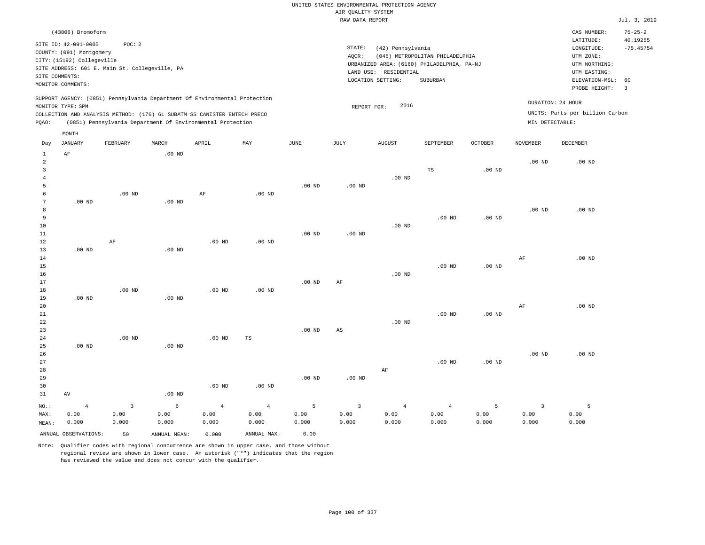|                                                                              |                                                                                                                                                                            |                                                |                                     |                                                                                                                                                                                                                      |                                                |                            | AIR QUALITY SYSTEM              | UNITED STATES ENVIRONMENTAL PROTECTION AGENCY                   |                                                                                           |                    |                                 |                                                                                                        |                                                |
|------------------------------------------------------------------------------|----------------------------------------------------------------------------------------------------------------------------------------------------------------------------|------------------------------------------------|-------------------------------------|----------------------------------------------------------------------------------------------------------------------------------------------------------------------------------------------------------------------|------------------------------------------------|----------------------------|---------------------------------|-----------------------------------------------------------------|-------------------------------------------------------------------------------------------|--------------------|---------------------------------|--------------------------------------------------------------------------------------------------------|------------------------------------------------|
|                                                                              |                                                                                                                                                                            |                                                |                                     |                                                                                                                                                                                                                      |                                                |                            | RAW DATA REPORT                 |                                                                 |                                                                                           |                    |                                 |                                                                                                        | Jul. 3, 2019                                   |
| SITE COMMENTS:                                                               | (43806) Bromoform<br>SITE ID: 42-091-0005<br>COUNTY: (091) Montgomery<br>CITY: (15192) Collegeville<br>SITE ADDRESS: 601 E. Main St. Collegeville, PA<br>MONITOR COMMENTS: | POC: 2                                         |                                     |                                                                                                                                                                                                                      |                                                |                            | STATE:<br>AOCR:                 | (42) Pennsylvania<br>LAND USE: RESIDENTIAL<br>LOCATION SETTING: | (045) METROPOLITAN PHILADELPHIA<br>URBANIZED AREA: (6160) PHILADELPHIA, PA-NJ<br>SUBURBAN |                    |                                 | CAS NUMBER:<br>LATITUDE:<br>LONGITUDE:<br>UTM ZONE:<br>UTM NORTHING:<br>UTM EASTING:<br>ELEVATION-MSL: | $75 - 25 - 2$<br>40.19255<br>$-75.45754$<br>60 |
|                                                                              |                                                                                                                                                                            |                                                |                                     |                                                                                                                                                                                                                      |                                                |                            |                                 |                                                                 |                                                                                           |                    |                                 | PROBE HEIGHT:                                                                                          | $\overline{3}$                                 |
| PQAO:                                                                        | MONITOR TYPE: SPM                                                                                                                                                          |                                                |                                     | SUPPORT AGENCY: (0851) Pennsylvania Department Of Environmental Protection<br>COLLECTION AND ANALYSIS METHOD: (176) 6L SUBATM SS CANISTER ENTECH PRECO<br>(0851) Pennsylvania Department Of Environmental Protection |                                                |                            | REPORT FOR:                     | 2016                                                            |                                                                                           |                    | MIN DETECTABLE:                 | DURATION: 24 HOUR<br>UNITS: Parts per billion Carbon                                                   |                                                |
|                                                                              | MONTH                                                                                                                                                                      |                                                |                                     |                                                                                                                                                                                                                      |                                                |                            |                                 |                                                                 |                                                                                           |                    |                                 |                                                                                                        |                                                |
| $_{\rm Day}$                                                                 | <b>JANUARY</b>                                                                                                                                                             | FEBRUARY                                       | MARCH                               | APRIL                                                                                                                                                                                                                | MAY                                            | <b>JUNE</b>                | <b>JULY</b>                     | <b>AUGUST</b>                                                   | SEPTEMBER                                                                                 | <b>OCTOBER</b>     | <b>NOVEMBER</b>                 | <b>DECEMBER</b>                                                                                        |                                                |
| $\mathbf{1}$<br>$\overline{a}$<br>$\overline{3}$<br>$\overline{4}$<br>5<br>6 | AF                                                                                                                                                                         | $.00$ ND                                       | .00 <sub>ND</sub>                   | AF                                                                                                                                                                                                                   | $.00$ ND                                       | $.00$ ND                   | $.00$ ND                        | $.00$ ND                                                        | TS                                                                                        | $.00$ ND           | .00 <sub>ND</sub>               | $.00$ ND                                                                                               |                                                |
| $\overline{7}$<br>8<br>9<br>10<br>$1\,1$                                     | $.00$ ND                                                                                                                                                                   |                                                | .00 <sub>ND</sub>                   |                                                                                                                                                                                                                      |                                                | .00 <sub>ND</sub>          | $.00$ ND                        | $.00$ ND                                                        | $.00$ ND                                                                                  | $.00$ ND           | .00 <sub>ND</sub>               | $.00$ ND                                                                                               |                                                |
| $1\,2$<br>13<br>14<br>15<br>16<br>17<br>18                                   | $.00$ ND                                                                                                                                                                   | $\rm AF$<br>$.00$ ND                           | $.00$ ND                            | $.00$ ND<br>$.00$ ND                                                                                                                                                                                                 | .00 <sub>ND</sub><br>$.00$ ND                  | .00 <sub>ND</sub>          | AF                              | .00 <sub>ND</sub>                                               | $.00$ ND                                                                                  | $.00$ ND           | $\rm{AF}$                       | $.00$ ND                                                                                               |                                                |
| 19<br>20<br>21<br>22<br>23<br>24                                             | $.00$ ND                                                                                                                                                                   | $.00$ ND                                       | $.00$ ND                            | .00 <sub>ND</sub>                                                                                                                                                                                                    | <b>TS</b>                                      | .00 <sub>ND</sub>          | AS                              | $.00$ ND                                                        | $.00$ ND                                                                                  | $.00$ ND           | AF                              | $.00$ ND                                                                                               |                                                |
| 25<br>26<br>27<br>28<br>29<br>30<br>31                                       | $.00$ ND<br>AV                                                                                                                                                             |                                                | $.00$ ND<br>$.00$ ND                | .00 <sub>ND</sub>                                                                                                                                                                                                    | $.00$ ND                                       | $.00$ ND                   | $.00$ ND                        | $\rm AF$                                                        | $.00$ ND                                                                                  | $.00$ ND           | .00 <sub>ND</sub>               | $.00$ ND                                                                                               |                                                |
| NO.:<br>MAX:<br>MEAN:                                                        | $\overline{4}$<br>0.00<br>0.000<br>ANNUAL OBSERVATIONS:                                                                                                                    | $\overline{\mathbf{3}}$<br>0.00<br>0.000<br>50 | 6<br>0.00<br>0.000<br>ANNUAL, MEAN: | $\overline{4}$<br>0.00<br>0.000<br>0.000                                                                                                                                                                             | $\overline{4}$<br>0.00<br>0.000<br>ANNUAL MAX: | 5<br>0.00<br>0.000<br>0.00 | $\overline{3}$<br>0.00<br>0.000 | $\overline{4}$<br>0.00<br>0.000                                 | $\overline{4}$<br>0.00<br>0.000                                                           | 5<br>0.00<br>0.000 | $\overline{3}$<br>0.00<br>0.000 | 5<br>0.00<br>0.000                                                                                     |                                                |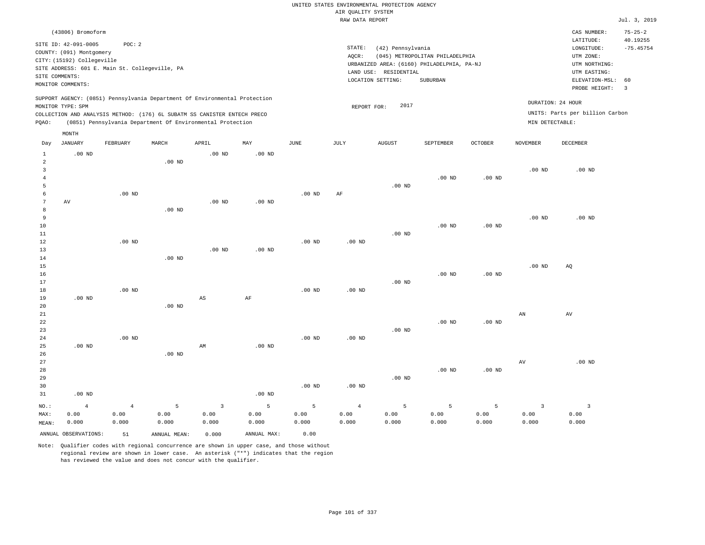| AIR QUALITY SYSTEM<br>RAW DATA REPORT<br>(43806) Bromoform<br>CAS NUMBER:<br>LATITUDE:<br>SITE ID: 42-091-0005<br>POC: 2<br>STATE:<br>(42) Pennsylvania<br>LONGITUDE:<br>COUNTY: (091) Montgomery<br>AQCR:<br>(045) METROPOLITAN PHILADELPHIA<br>UTM ZONE:<br>CITY: (15192) Collegeville<br>URBANIZED AREA: (6160) PHILADELPHIA, PA-NJ<br>UTM NORTHING: | Jul. 3, 2019<br>$75 - 25 - 2$<br>40.19255<br>$-75.45754$<br>60<br>$\overline{3}$ |
|---------------------------------------------------------------------------------------------------------------------------------------------------------------------------------------------------------------------------------------------------------------------------------------------------------------------------------------------------------|----------------------------------------------------------------------------------|
|                                                                                                                                                                                                                                                                                                                                                         |                                                                                  |
|                                                                                                                                                                                                                                                                                                                                                         |                                                                                  |
| SITE ADDRESS: 601 E. Main St. Collegeville, PA<br>LAND USE: RESIDENTIAL<br>UTM EASTING:<br>SITE COMMENTS:                                                                                                                                                                                                                                               |                                                                                  |
| SUBURBAN<br>LOCATION SETTING:<br>ELEVATION-MSL:<br>MONITOR COMMENTS:<br>PROBE HEIGHT:                                                                                                                                                                                                                                                                   |                                                                                  |
| SUPPORT AGENCY: (0851) Pennsylvania Department Of Environmental Protection<br>DURATION: 24 HOUR<br>2017<br>MONITOR TYPE: SPM<br>REPORT FOR:<br>UNITS: Parts per billion Carbon                                                                                                                                                                          |                                                                                  |
| COLLECTION AND ANALYSIS METHOD: (176) 6L SUBATM SS CANISTER ENTECH PRECO<br>(0851) Pennsylvania Department Of Environmental Protection<br>MIN DETECTABLE:<br>PQAO:                                                                                                                                                                                      |                                                                                  |
| MONTH                                                                                                                                                                                                                                                                                                                                                   |                                                                                  |
| <b>JANUARY</b><br>FEBRUARY<br>MARCH<br>APRIL<br>MAY<br><b>JUNE</b><br><b>JULY</b><br><b>AUGUST</b><br>SEPTEMBER<br><b>OCTOBER</b><br><b>NOVEMBER</b><br><b>DECEMBER</b><br>Day                                                                                                                                                                          |                                                                                  |
| $\mathbf{1}$<br>$.00$ ND<br>$.00$ ND<br>.00 <sub>ND</sub><br>$\overline{2}$<br>.00 <sub>ND</sub>                                                                                                                                                                                                                                                        |                                                                                  |
| $\mathbf{3}$<br>.00 <sub>ND</sub><br>$.00$ ND<br>$\overline{4}$<br>$.00$ ND<br>$.00$ ND<br>5<br>$.00$ ND                                                                                                                                                                                                                                                |                                                                                  |
| 6<br>$.00$ ND<br>$.00$ ND<br>AF<br>7<br>AV<br>$.00$ ND<br>$.00$ ND<br>8<br>$.00$ ND                                                                                                                                                                                                                                                                     |                                                                                  |
| $\overline{9}$<br>$.00$ ND<br>$.00$ ND<br>10<br>.00 <sub>ND</sub><br>$.00$ ND<br>$.00$ ND<br>11                                                                                                                                                                                                                                                         |                                                                                  |
| 12<br>.00 <sub>ND</sub><br>$.00$ ND<br>$.00$ ND<br>13<br>$.00$ ND<br>.00 <sub>ND</sub><br>$.00$ ND<br>14                                                                                                                                                                                                                                                |                                                                                  |
| 15<br>$.00$ ND<br>AQ<br>$.00$ ND<br>.00 <sub>ND</sub><br>16<br>17<br>$.00$ ND                                                                                                                                                                                                                                                                           |                                                                                  |
| $.00$ ND<br>.00 <sub>ND</sub><br>$.00$ ND<br>18<br>$\rm{AF}$<br>19<br>$.00$ ND<br>$\mathbb{A}\mathbb{S}$<br>.00 <sub>ND</sub><br>20                                                                                                                                                                                                                     |                                                                                  |
| 21<br>AN<br>AV<br>$.00$ ND<br>.00 <sub>ND</sub><br>22<br>23<br>$.00$ ND<br>$.00$ ND<br>.00 <sub>ND</sub><br>.00 <sub>ND</sub><br>24                                                                                                                                                                                                                     |                                                                                  |
| 25<br>$.00$ ND<br>$.00$ ND<br>AM<br>26<br>$.00$ ND<br>$.00$ ND<br>27<br>AV                                                                                                                                                                                                                                                                              |                                                                                  |
| 28<br>$.00$ ND<br>$.00$ ND<br>29<br>$.00$ ND<br>$.00$ ND<br>30<br>$.00$ ND<br>31<br>$.00$ ND<br>$.00$ ND                                                                                                                                                                                                                                                |                                                                                  |
| 5<br>$\overline{\mathbf{3}}$<br>5<br>5<br>5<br>5<br>5<br>$\overline{3}$<br>$\overline{\mathbf{3}}$<br>$\overline{4}$<br>$\overline{4}$<br>$\overline{4}$<br>NO.:                                                                                                                                                                                        |                                                                                  |
| MAX:<br>0.00<br>0.00<br>0.00<br>0.00<br>0.00<br>0.00<br>0.00<br>0.00<br>0.00<br>0.00<br>0.00<br>0.00<br>0.000<br>0.000<br>0.000<br>0.000<br>0.000<br>0.000<br>0.000<br>0.000<br>0.000<br>0.000<br>0.000<br>0.000<br>MEAN:<br>ANNUAL OBSERVATIONS:<br>ANNUAL MAX:<br>0.00<br>ANNUAL, MEAN:<br>0.000<br>51                                                |                                                                                  |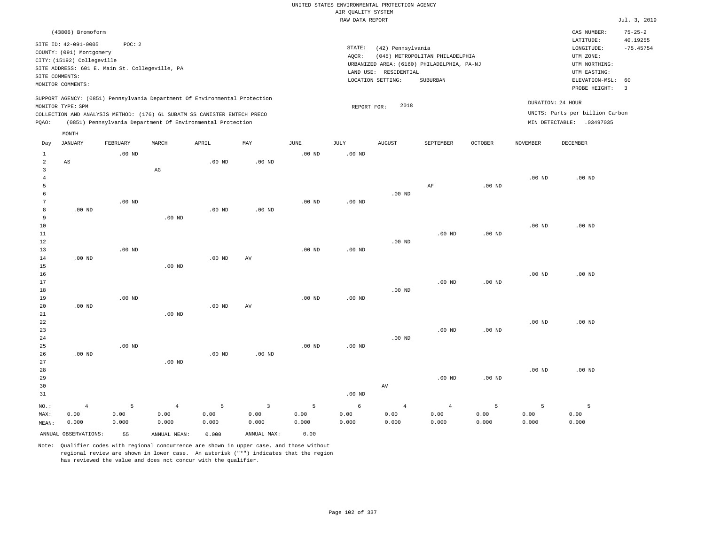|                     |                                                                                                 |                   |                        |                                                            |                   |                       |                    | UNITED STATES ENVIRONMENTAL PROTECTION AGENCY |                                            |          |                   |                                 |                               |
|---------------------|-------------------------------------------------------------------------------------------------|-------------------|------------------------|------------------------------------------------------------|-------------------|-----------------------|--------------------|-----------------------------------------------|--------------------------------------------|----------|-------------------|---------------------------------|-------------------------------|
|                     |                                                                                                 |                   |                        |                                                            |                   |                       | AIR QUALITY SYSTEM |                                               |                                            |          |                   |                                 |                               |
|                     |                                                                                                 |                   |                        |                                                            |                   |                       | RAW DATA REPORT    |                                               |                                            |          |                   |                                 | Jul. 3, 2019                  |
|                     | (43806) Bromoform                                                                               |                   |                        |                                                            |                   |                       |                    |                                               |                                            |          |                   | CAS NUMBER:<br>LATITUDE:        | $75 - 25 - 2$<br>40.19255     |
|                     | SITE ID: 42-091-0005                                                                            | POC: 2            |                        |                                                            |                   |                       | STATE:             | (42) Pennsylvania                             |                                            |          |                   | LONGITUDE:                      | $-75.45754$                   |
|                     | COUNTY: (091) Montgomery<br>CITY: (15192) Collegeville                                          |                   |                        |                                                            |                   |                       | AQCR:              |                                               | (045) METROPOLITAN PHILADELPHIA            |          |                   | UTM ZONE:                       |                               |
|                     | SITE ADDRESS: 601 E. Main St. Collegeville, PA                                                  |                   |                        |                                                            |                   |                       |                    |                                               | URBANIZED AREA: (6160) PHILADELPHIA, PA-NJ |          |                   | UTM NORTHING:                   |                               |
| SITE COMMENTS:      |                                                                                                 |                   |                        |                                                            |                   |                       |                    | LAND USE: RESIDENTIAL                         |                                            |          |                   | UTM EASTING:                    |                               |
|                     | MONITOR COMMENTS:                                                                               |                   |                        |                                                            |                   |                       |                    | LOCATION SETTING:                             | SUBURBAN                                   |          |                   | ELEVATION-MSL:<br>PROBE HEIGHT: | 60<br>$\overline{\mathbf{3}}$ |
|                     | SUPPORT AGENCY: (0851) Pennsylvania Department Of Environmental Protection<br>MONITOR TYPE: SPM |                   |                        |                                                            |                   |                       | REPORT FOR:        | 2018                                          |                                            |          |                   | DURATION: 24 HOUR               |                               |
|                     | COLLECTION AND ANALYSIS METHOD: (176) 6L SUBATM SS CANISTER ENTECH PRECO                        |                   |                        |                                                            |                   |                       |                    |                                               |                                            |          |                   | UNITS: Parts per billion Carbon |                               |
| PQAO:               |                                                                                                 |                   |                        | (0851) Pennsylvania Department Of Environmental Protection |                   |                       |                    |                                               |                                            |          |                   | MIN DETECTABLE: .03497035       |                               |
|                     | MONTH                                                                                           |                   |                        |                                                            |                   |                       |                    |                                               |                                            |          |                   |                                 |                               |
| Day                 | <b>JANUARY</b>                                                                                  | FEBRUARY          | MARCH                  | APRIL                                                      | MAY               | $\operatorname{JUNE}$ | JULY               | <b>AUGUST</b>                                 | SEPTEMBER                                  | OCTOBER  | <b>NOVEMBER</b>   | <b>DECEMBER</b>                 |                               |
| $\mathbf{1}$        |                                                                                                 | $.00$ ND          |                        |                                                            |                   | $.00$ ND              | .00 <sub>ND</sub>  |                                               |                                            |          |                   |                                 |                               |
| $\sqrt{2}$          | AS                                                                                              |                   |                        | .00 <sub>ND</sub>                                          | .00 <sub>ND</sub> |                       |                    |                                               |                                            |          |                   |                                 |                               |
| 3<br>$\overline{4}$ |                                                                                                 |                   | $\mathbb{A}\mathbb{G}$ |                                                            |                   |                       |                    |                                               |                                            |          | $.00$ ND          | $.00$ ND                        |                               |
| 5                   |                                                                                                 |                   |                        |                                                            |                   |                       |                    |                                               | AF                                         | $.00$ ND |                   |                                 |                               |
| 6                   |                                                                                                 |                   |                        |                                                            |                   |                       |                    | $.00$ ND                                      |                                            |          |                   |                                 |                               |
| $\sqrt{7}$          |                                                                                                 | $.00$ ND          |                        |                                                            |                   | .00 <sub>ND</sub>     | $.00$ ND           |                                               |                                            |          |                   |                                 |                               |
| $\boldsymbol{8}$    | $.00$ ND                                                                                        |                   |                        | $.00$ ND                                                   | $.00$ ND          |                       |                    |                                               |                                            |          |                   |                                 |                               |
| 9                   |                                                                                                 |                   | .00 <sub>ND</sub>      |                                                            |                   |                       |                    |                                               |                                            |          |                   |                                 |                               |
| 10                  |                                                                                                 |                   |                        |                                                            |                   |                       |                    |                                               |                                            |          | .00 <sub>ND</sub> | .00 <sub>ND</sub>               |                               |
| 11                  |                                                                                                 |                   |                        |                                                            |                   |                       |                    |                                               | $.00$ ND                                   | $.00$ ND |                   |                                 |                               |
| 12                  |                                                                                                 |                   |                        |                                                            |                   |                       |                    | $.00$ ND                                      |                                            |          |                   |                                 |                               |
| 13                  |                                                                                                 | .00 <sub>ND</sub> |                        |                                                            |                   | $.00$ ND              | .00 <sub>ND</sub>  |                                               |                                            |          |                   |                                 |                               |
| 14<br>15            | $.00$ ND                                                                                        |                   | .00 <sub>ND</sub>      | $.00$ ND                                                   | AV                |                       |                    |                                               |                                            |          |                   |                                 |                               |
| 16                  |                                                                                                 |                   |                        |                                                            |                   |                       |                    |                                               |                                            |          | $.00$ ND          | $.00$ ND                        |                               |
| 17                  |                                                                                                 |                   |                        |                                                            |                   |                       |                    |                                               | .00 <sub>ND</sub>                          | $.00$ ND |                   |                                 |                               |
| 18                  |                                                                                                 |                   |                        |                                                            |                   |                       |                    | $.00$ ND                                      |                                            |          |                   |                                 |                               |
| 19                  |                                                                                                 | .00 <sub>ND</sub> |                        |                                                            |                   | .00 <sub>ND</sub>     | .00 <sub>ND</sub>  |                                               |                                            |          |                   |                                 |                               |
| 20                  | .00 <sub>ND</sub>                                                                               |                   |                        | .00 <sub>ND</sub>                                          | AV                |                       |                    |                                               |                                            |          |                   |                                 |                               |
| 21                  |                                                                                                 |                   | $.00$ ND               |                                                            |                   |                       |                    |                                               |                                            |          |                   |                                 |                               |
| 22                  |                                                                                                 |                   |                        |                                                            |                   |                       |                    |                                               |                                            |          | $.00$ ND          | $.00$ ND                        |                               |
| 23                  |                                                                                                 |                   |                        |                                                            |                   |                       |                    |                                               | .00 <sub>ND</sub>                          | $.00$ ND |                   |                                 |                               |
| 24                  |                                                                                                 | $.00$ ND          |                        |                                                            |                   | $.00$ ND              | $.00$ ND           | $.00$ ND                                      |                                            |          |                   |                                 |                               |
| 25<br>26            | $.00$ ND                                                                                        |                   |                        | $.00$ ND                                                   | $.00$ ND          |                       |                    |                                               |                                            |          |                   |                                 |                               |
| 27                  |                                                                                                 |                   | $.00$ ND               |                                                            |                   |                       |                    |                                               |                                            |          |                   |                                 |                               |
| 28                  |                                                                                                 |                   |                        |                                                            |                   |                       |                    |                                               |                                            |          | .00 <sub>ND</sub> | $.00$ ND                        |                               |
| 29                  |                                                                                                 |                   |                        |                                                            |                   |                       |                    |                                               | $.00$ ND                                   | $.00$ ND |                   |                                 |                               |
| 30                  |                                                                                                 |                   |                        |                                                            |                   |                       |                    | $\operatorname{AV}$                           |                                            |          |                   |                                 |                               |
| 31                  |                                                                                                 |                   |                        |                                                            |                   |                       | .00 <sub>ND</sub>  |                                               |                                            |          |                   |                                 |                               |
| NO.:                | $\overline{4}$                                                                                  | 5                 | $\overline{4}$         | 5                                                          | $\overline{3}$    | 5                     | 6                  | $\overline{4}$                                | $\overline{4}$                             | 5        | 5                 | 5                               |                               |
| MAX:                | 0.00                                                                                            | 0.00              | 0.00                   | 0.00                                                       | 0.00              | 0.00                  | 0.00               | 0.00                                          | 0.00                                       | 0.00     | 0.00              | 0.00                            |                               |
| MEAN:               | 0.000                                                                                           | 0.000             | 0.000                  | 0.000                                                      | 0.000             | 0.000                 | 0.000              | 0.000                                         | 0.000                                      | 0.000    | 0.000             | 0.000                           |                               |
|                     | ANNUAL OBSERVATIONS:                                                                            | 55                | ANNUAL MEAN:           | 0.000                                                      | ANNUAL MAX:       | 0.00                  |                    |                                               |                                            |          |                   |                                 |                               |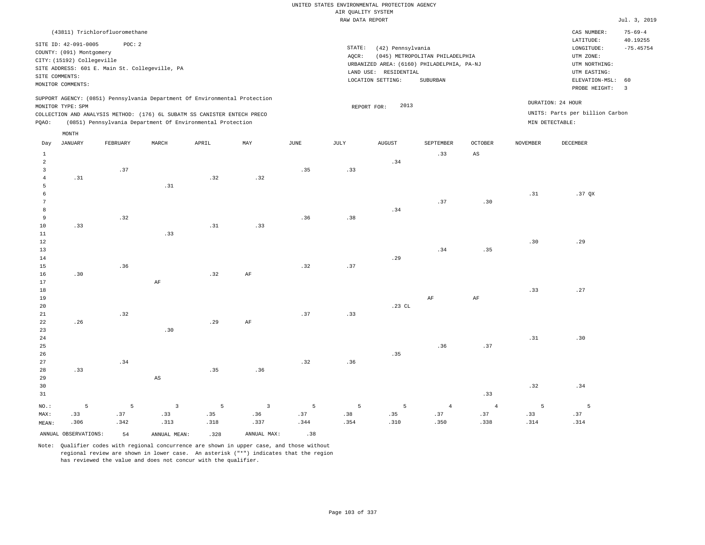# UNITED STATES ENVIRONMENTAL PROTECTION AGENCY AIR QUALITY SYSTEM

| RAW DATA REPORT                                                                                                                                                                                                                                    |                                                                                                                       |                                                          |       |       |     |      |                                                                                                                                                                                 |                     |           |                |                 |                                                      | Jul. 3, 2019                                                             |
|----------------------------------------------------------------------------------------------------------------------------------------------------------------------------------------------------------------------------------------------------|-----------------------------------------------------------------------------------------------------------------------|----------------------------------------------------------|-------|-------|-----|------|---------------------------------------------------------------------------------------------------------------------------------------------------------------------------------|---------------------|-----------|----------------|-----------------|------------------------------------------------------|--------------------------------------------------------------------------|
|                                                                                                                                                                                                                                                    |                                                                                                                       | (43811) Trichlorofluoromethane                           |       |       |     |      |                                                                                                                                                                                 |                     |           |                |                 | CAS NUMBER:                                          | $75 - 69 - 4$                                                            |
|                                                                                                                                                                                                                                                    | SITE ID: 42-091-0005<br>COUNTY: (091) Montgomery<br>CITY: (15192) Collegeville<br>SITE COMMENTS:<br>MONITOR COMMENTS: | POC: 2<br>SITE ADDRESS: 601 E. Main St. Collegeville, PA |       |       |     |      | STATE:<br>(42) Pennsylvania<br>AQCR:<br>(045) METROPOLITAN PHILADELPHIA<br>URBANIZED AREA: (6160) PHILADELPHIA, PA-NJ<br>LAND USE: RESIDENTIAL<br>LOCATION SETTING:<br>SUBURBAN |                     |           |                |                 |                                                      | 40.19255<br>$-75.45754$<br>ELEVATION-MSL: 60<br>$\overline{\phantom{a}}$ |
| SUPPORT AGENCY: (0851) Pennsylvania Department Of Environmental Protection<br>MONITOR TYPE: SPM<br>COLLECTION AND ANALYSIS METHOD: (176) 6L SUBATM SS CANISTER ENTECH PRECO<br>(0851) Pennsylvania Department Of Environmental Protection<br>PQAO: |                                                                                                                       |                                                          |       |       |     |      |                                                                                                                                                                                 | 2013<br>REPORT FOR: |           |                | MIN DETECTABLE: | DURATION: 24 HOUR<br>UNITS: Parts per billion Carbon |                                                                          |
|                                                                                                                                                                                                                                                    | MONTH                                                                                                                 |                                                          |       |       |     |      |                                                                                                                                                                                 |                     |           |                |                 |                                                      |                                                                          |
| Day                                                                                                                                                                                                                                                | JANUARY                                                                                                               | FEBRUARY                                                 | MARCH | APRIL | MAY | JUNE | JULY                                                                                                                                                                            | <b>AUGUST</b>       | SEPTEMBER | <b>OCTOBER</b> | <b>NOVEMBER</b> | DECEMBER                                             |                                                                          |
|                                                                                                                                                                                                                                                    |                                                                                                                       |                                                          |       |       |     |      |                                                                                                                                                                                 |                     | .33       | AS             |                 |                                                      |                                                                          |
| 2                                                                                                                                                                                                                                                  |                                                                                                                       |                                                          |       |       |     |      |                                                                                                                                                                                 | .34                 |           |                |                 |                                                      |                                                                          |
|                                                                                                                                                                                                                                                    | .31                                                                                                                   | .37                                                      |       | .32   | .32 | .35  | .33                                                                                                                                                                             |                     |           |                |                 |                                                      |                                                                          |

 5 6 7 8 9 .32 .31 .36 .38 .34 .37 .30 .31 .37 QX

| $11\,$                                  |     |     | .33                    |     |           |     |     |          |          |           |     |     |
|-----------------------------------------|-----|-----|------------------------|-----|-----------|-----|-----|----------|----------|-----------|-----|-----|
| $12\,$                                  |     |     |                        |     |           |     |     |          |          |           | .30 | .29 |
| $13$                                    |     |     |                        |     |           |     |     |          | .34      | .35       |     |     |
| $1\,4$                                  |     |     |                        |     |           |     |     | .29      |          |           |     |     |
| $15\,$                                  |     | .36 |                        |     |           | .32 | .37 |          |          |           |     |     |
| $16\,$                                  | .30 |     |                        | .32 | $\rm{AF}$ |     |     |          |          |           |     |     |
| $17\,$                                  |     |     | $\rm AF$               |     |           |     |     |          |          |           |     |     |
| $1\,8$                                  |     |     |                        |     |           |     |     |          |          |           | .33 | .27 |
| $19\,$                                  |     |     |                        |     |           |     |     |          | $\rm AF$ | $\rm{AF}$ |     |     |
| $2\sqrt{0}$                             |     |     |                        |     |           |     |     | $.23$ CL |          |           |     |     |
| $2\sqrt{1}$                             |     | .32 |                        |     |           | .37 | .33 |          |          |           |     |     |
| $^{\rm 22}$                             | .26 |     |                        | .29 | $\rm AF$  |     |     |          |          |           |     |     |
| $_{\rm 23}$                             |     |     | .30                    |     |           |     |     |          |          |           |     |     |
| $\begin{array}{c} 24 \\ 25 \end{array}$ |     |     |                        |     |           |     |     |          |          |           | .31 | .30 |
|                                         |     |     |                        |     |           |     |     |          | .36      | .37       |     |     |
| $_{\rm 26}$                             |     |     |                        |     |           |     |     | .35      |          |           |     |     |
| $_{\rm 27}$                             |     | .34 |                        |     |           | .32 | .36 |          |          |           |     |     |
| $_{\rm 28}$                             | .33 |     |                        | .35 | .36       |     |     |          |          |           |     |     |
| $29$                                    |     |     | $\mathbb{A}\mathbb{S}$ |     |           |     |     |          |          |           |     |     |
| 30                                      |     |     |                        |     |           |     |     |          |          |           | .32 | .34 |

31 NO.: MAX: MEAN: 5 .33 .306 .33 5 .37 .342 3 .33 .313 5 .35 .318 3 .36 .337 5 .37 .344 5 .38 .354 5 .35 .310 4 .37 .350 4 .37 .338 5 .33 .314 5 .37 .314

ANNUAL OBSERVATIONS:  $54$  ANNUAL MEAN: .328 ANNUAL MAX: .38

10

.33

Note: Qualifier codes with regional concurrence are shown in upper case, and those without regional review are shown in lower case. An asterisk ("\*") indicates that the region has reviewed the value and does not concur with the qualifier.

.31

.33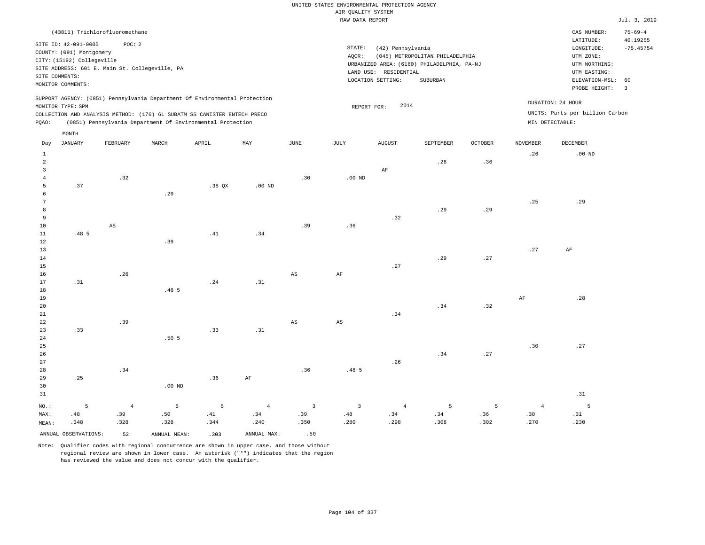| (43811) Trichlorofluoromethane                                                                                                                                                                                                                              |                                                                                                                                                                                 | CAS NUMBER:                                                                                                 | $75 - 69 - 4$                                      |
|-------------------------------------------------------------------------------------------------------------------------------------------------------------------------------------------------------------------------------------------------------------|---------------------------------------------------------------------------------------------------------------------------------------------------------------------------------|-------------------------------------------------------------------------------------------------------------|----------------------------------------------------|
| SITE ID: 42-091-0005<br>POC:2<br>COUNTY: (091) Montgomery<br>CITY: (15192) Collegeville<br>SITE ADDRESS: 601 E. Main St. Collegeville, PA<br>SITE COMMENTS:<br>MONITOR COMMENTS:                                                                            | STATE:<br>(42) Pennsylvania<br>(045) METROPOLITAN PHILADELPHIA<br>AQCR:<br>URBANIZED AREA: (6160) PHILADELPHIA, PA-NJ<br>LAND USE: RESIDENTIAL<br>LOCATION SETTING:<br>SUBURBAN | LATITUDE:<br>LONGITUDE:<br>UTM ZONE:<br>UTM NORTHING:<br>UTM EASTING:<br>ELEVATION-MSL: 60<br>PROBE HEIGHT: | 40.19255<br>$-75.45754$<br>$\overline{\mathbf{3}}$ |
| SUPPORT AGENCY: (0851) Pennsylvania Department Of Environmental Protection<br>MONITOR TYPE: SPM<br>COLLECTION AND ANALYSIS METHOD: (176) 6L SUBATM SS CANISTER ENTECH PRECO<br>(0851) Pennsylvania Department Of Environmental Protection<br>POAO:<br>MONTH | DURATION: 24 HOUR<br>2014<br>REPORT FOR:<br>MIN DETECTABLE:                                                                                                                     | UNITS: Parts per billion Carbon                                                                             |                                                    |

| Day             | <b>JANUARY</b>       | ${\tt FEBRUARY}$       | $\tt MARCH$      | APRIL    | MAY            | $_{\rm JUNE}$           | $_{\rm JULY}$          | AUGUST         | SEPTEMBER | $\mathtt{OCTOBER}$ | NOVEMBER       | $\tt DECEMBER$           |
|-----------------|----------------------|------------------------|------------------|----------|----------------|-------------------------|------------------------|----------------|-----------|--------------------|----------------|--------------------------|
| $\mathbf{1}$    |                      |                        |                  |          |                |                         |                        |                |           |                    | .26            | $.00$ ND                 |
| $\sqrt{2}$      |                      |                        |                  |          |                |                         |                        |                | .28       | .36                |                |                          |
| 3               |                      |                        |                  |          |                |                         |                        | $\rm AF$       |           |                    |                |                          |
| $\overline{4}$  |                      | .32                    |                  |          |                | .30                     | .00 $ND$               |                |           |                    |                |                          |
| 5               | .37                  |                        |                  | $.38$ QX | $.00$ ND       |                         |                        |                |           |                    |                |                          |
| 6               |                      |                        | .29              |          |                |                         |                        |                |           |                    |                |                          |
| $7\phantom{.0}$ |                      |                        |                  |          |                |                         |                        |                |           |                    | .25            | .29                      |
| 8               |                      |                        |                  |          |                |                         |                        |                | .29       | .29                |                |                          |
| 9               |                      |                        |                  |          |                |                         |                        | .32            |           |                    |                |                          |
| 10              |                      | $\mathbb{A}\mathbb{S}$ |                  |          |                | .39                     | .36                    |                |           |                    |                |                          |
| 11              | .48 <sub>5</sub>     |                        |                  | .41      | .34            |                         |                        |                |           |                    |                |                          |
| 12              |                      |                        | .39              |          |                |                         |                        |                |           |                    |                |                          |
| 13              |                      |                        |                  |          |                |                         |                        |                |           |                    | .27            | $\rm{AF}$                |
| 14              |                      |                        |                  |          |                |                         |                        |                | .29       | .27                |                |                          |
| 15              |                      |                        |                  |          |                |                         |                        | .27            |           |                    |                |                          |
| 16              |                      | $\sqrt{26}$            |                  |          |                | $\mathbb{A}\mathbb{S}$  | $\rm{AF}$              |                |           |                    |                |                          |
| 17              | .31                  |                        |                  | .24      | .31            |                         |                        |                |           |                    |                |                          |
| 18              |                      |                        | .46 <sub>5</sub> |          |                |                         |                        |                |           |                    |                |                          |
| 19              |                      |                        |                  |          |                |                         |                        |                |           |                    | AF             | .28                      |
| 20              |                      |                        |                  |          |                |                         |                        |                | .34       | .32                |                |                          |
| 21              |                      |                        |                  |          |                |                         |                        | .34            |           |                    |                |                          |
| 22              |                      | .39                    |                  |          |                | AS                      | $\mathbb{A}\mathbb{S}$ |                |           |                    |                |                          |
| 23              | .33                  |                        |                  | .33      | .31            |                         |                        |                |           |                    |                |                          |
| 24              |                      |                        | .50 <sub>5</sub> |          |                |                         |                        |                |           |                    |                |                          |
| $25\,$          |                      |                        |                  |          |                |                         |                        |                |           |                    | .30            | .27                      |
| 26              |                      |                        |                  |          |                |                         |                        |                | .34       | .27                |                |                          |
| 27              |                      | .34                    |                  |          |                | .36                     | .48 5                  | .26            |           |                    |                |                          |
| 28<br>29        | .25                  |                        |                  | .36      | $\rm AF$       |                         |                        |                |           |                    |                |                          |
| 30              |                      |                        | .00 $ND$         |          |                |                         |                        |                |           |                    |                |                          |
| 31              |                      |                        |                  |          |                |                         |                        |                |           |                    |                | $\, . \, 31$             |
|                 |                      |                        |                  |          |                |                         |                        |                |           |                    |                |                          |
| $_{\rm NO.}$ :  | 5                    | $\overline{4}$         | $\overline{5}$   | 5        | $\overline{4}$ | $\overline{\mathbf{3}}$ | $\mathbf{3}$           | $\overline{4}$ | 5         | 5                  | $\overline{4}$ | $\overline{\phantom{0}}$ |
| MAX:            | .48                  | .39                    | .50              | .41      | .34            | .39                     | $.48\,$                | .34            | .34       | .36                | .30            | .31                      |
| MEAN:           | .348                 | .328                   | .328             | .344     | .240           | .350                    | .280                   | .298           | .308      | .302               | .270           | .230                     |
|                 | ANNUAL OBSERVATIONS: | 52                     | ANNUAL MEAN:     | .303     | ANNUAL MAX:    | .50                     |                        |                |           |                    |                |                          |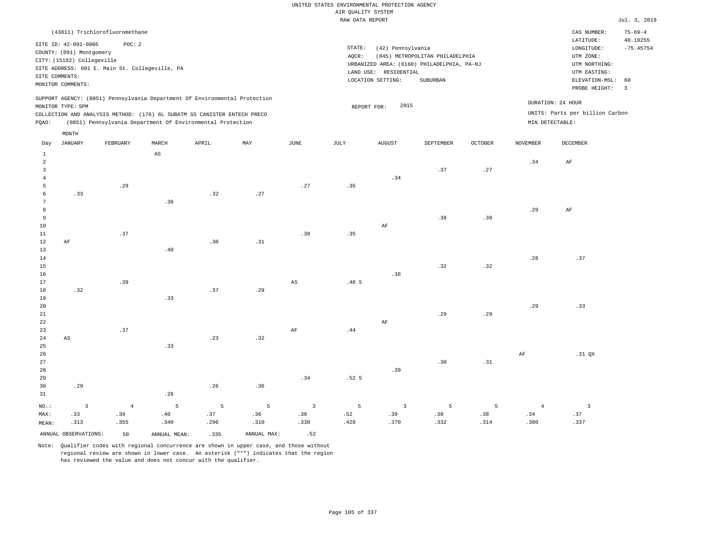| (43811) Trichlorofluoromethane                                                                                                                                                                                                                     |                                                                                                                                                                                 | $75 - 69 - 4$<br>CAS NUMBER:                                                                                                           |
|----------------------------------------------------------------------------------------------------------------------------------------------------------------------------------------------------------------------------------------------------|---------------------------------------------------------------------------------------------------------------------------------------------------------------------------------|----------------------------------------------------------------------------------------------------------------------------------------|
| SITE ID: 42-091-0005<br>POC: 2<br>COUNTY: (091) Montgomery<br>CITY: (15192) Collegeville<br>SITE ADDRESS: 601 E. Main St. Collegeville, PA<br>SITE COMMENTS:<br>MONITOR COMMENTS:                                                                  | STATE:<br>(42) Pennsylvania<br>(045) METROPOLITAN PHILADELPHIA<br>AOCR:<br>URBANIZED AREA: (6160) PHILADELPHIA, PA-NJ<br>LAND USE: RESIDENTIAL<br>LOCATION SETTING:<br>SUBURBAN | 40.19255<br>LATITUDE:<br>$-75.45754$<br>LONGITUDE:<br>UTM ZONE:<br>UTM NORTHING:<br>UTM EASTING:<br>ELEVATION-MSL: 60<br>PROBE HEIGHT: |
| SUPPORT AGENCY: (0851) Pennsylvania Department Of Environmental Protection<br>MONITOR TYPE: SPM<br>COLLECTION AND ANALYSIS METHOD: (176) 6L SUBATM SS CANISTER ENTECH PRECO<br>(0851) Pennsylvania Department Of Environmental Protection<br>POAO: | 2015<br>REPORT FOR:                                                                                                                                                             | DURATION: 24 HOUR<br>UNITS: Parts per billion Carbon<br>MIN DETECTABLE:                                                                |

| Day               | <b>JANUARY</b>          | FEBRUARY | $\tt MARCH$            | APRIL          | $\ensuremath{\text{MAX}}$ | $_{\rm JUNE}$                  | JULY                         | ${\tt AUGUST}$ | SEPTEMBER | $OCTOBER$ | $\,$ NOVEMBER  | DECEMBER                 |
|-------------------|-------------------------|----------|------------------------|----------------|---------------------------|--------------------------------|------------------------------|----------------|-----------|-----------|----------------|--------------------------|
| $\mathbf{1}$      |                         |          | $\mathbb{A}\mathbb{S}$ |                |                           |                                |                              |                |           |           |                |                          |
| $\overline{a}$    |                         |          |                        |                |                           |                                |                              |                |           |           | .34            | $\rm{AF}$                |
| $\overline{3}$    |                         |          |                        |                |                           |                                |                              |                | .37       | .27       |                |                          |
| $\overline{4}$    |                         |          |                        |                |                           |                                |                              | .34            |           |           |                |                          |
| 5                 |                         | .29      |                        |                |                           | .27                            | .35                          |                |           |           |                |                          |
| 6                 | .33                     |          |                        | .32            | .27                       |                                |                              |                |           |           |                |                          |
| $7\phantom{.0}$   |                         |          | .36                    |                |                           |                                |                              |                |           |           |                |                          |
| 8                 |                         |          |                        |                |                           |                                |                              |                |           |           | .29            | $\rm{AF}$                |
| 9                 |                         |          |                        |                |                           |                                |                              |                | .38       | .38       |                |                          |
| 10                |                         |          |                        |                |                           |                                |                              | $\rm{AF}$      |           |           |                |                          |
| 11                |                         | .37      |                        |                |                           | .38                            | .35                          |                |           |           |                |                          |
| 12                | $\rm AF$                |          |                        | .30            | .31                       |                                |                              |                |           |           |                |                          |
| 13                |                         |          | .40                    |                |                           |                                |                              |                |           |           |                |                          |
| 14                |                         |          |                        |                |                           |                                |                              |                |           |           | .28            | .37                      |
| 15                |                         |          |                        |                |                           |                                |                              |                | .32       | .32       |                |                          |
| 16                |                         |          |                        |                |                           |                                |                              | .38            |           |           |                |                          |
| 17                |                         | .39      |                        |                |                           | $\mathbb{A}\mathbb{S}$         | .48 5                        |                |           |           |                |                          |
| 18                | .32                     |          |                        | .37            | .29                       |                                |                              |                |           |           |                |                          |
| 19                |                         |          | .33                    |                |                           |                                |                              |                |           |           |                |                          |
| $20\,$            |                         |          |                        |                |                           |                                |                              |                |           |           | .29            | .33                      |
| $2\sqrt{1}$<br>22 |                         |          |                        |                |                           |                                |                              | $\rm{AF}$      | .29       | .29       |                |                          |
| 23                |                         | .37      |                        |                |                           | $\rm{AF}$                      | .44                          |                |           |           |                |                          |
| $2\,4$            | AS                      |          |                        | .23            | .32                       |                                |                              |                |           |           |                |                          |
| 25                |                         |          | .33                    |                |                           |                                |                              |                |           |           |                |                          |
| $26\,$            |                         |          |                        |                |                           |                                |                              |                |           |           | $\rm{AF}$      | .31 QX                   |
| $2\,7$            |                         |          |                        |                |                           |                                |                              |                | .30       | .31       |                |                          |
| 28                |                         |          |                        |                |                           |                                |                              | .39            |           |           |                |                          |
| 29                |                         |          |                        |                |                           | .34                            | .52 <sub>5</sub>             |                |           |           |                |                          |
| 30                | .29                     |          |                        | .26            | .36                       |                                |                              |                |           |           |                |                          |
| 31                |                         |          | .28                    |                |                           |                                |                              |                |           |           |                |                          |
| $NO.$ :           | $\overline{\mathbf{3}}$ | $\,4$    | $\mathsf S$            | $\overline{5}$ | 5                         | $\overline{3}$                 | 5                            | $\overline{3}$ | 5         | 5         | $\overline{4}$ | $\overline{\phantom{a}}$ |
| MAX:              | .33                     | .39      | .40                    | .37            | .36                       | $\footnotesize\substack{3.38}$ | $\footnotesize\substack{52}$ | .39            | .38       | .38       | .34            | .37                      |
| MEAN:             | .313                    | .355     | .340                   | .296           | .310                      | .330                           | .428                         | .370           | .332      | .314      | .300           | .337                     |
|                   | ANNUAL OBSERVATIONS:    | 50       | ANNUAL MEAN:           | .335           | ANNUAL MAX:               | .52                            |                              |                |           |           |                |                          |

Note: Qualifier codes with regional concurrence are shown in upper case, and those without regional review are shown in lower case. An asterisk ("\*") indicates that the region has reviewed the value and does not concur with the qualifier.

MONTH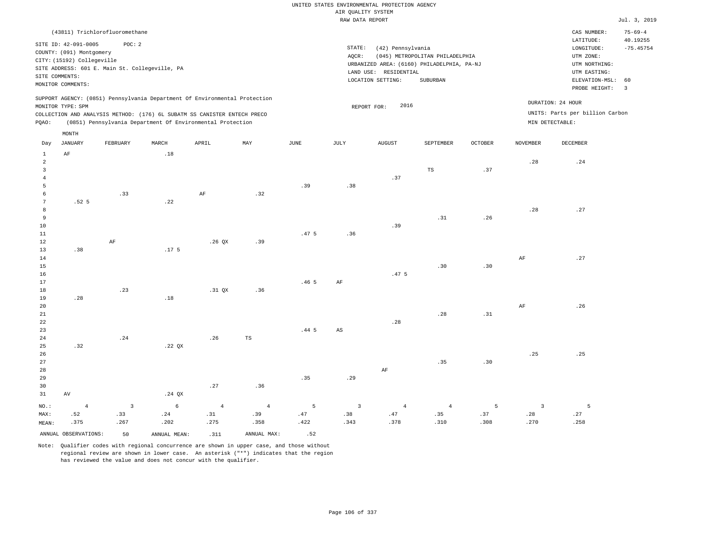| (43811) Trichlorofluoromethane                                                                                                                                                                                                                     |                                                                                                                                                                                    | CAS NUMBER:                                                                                                 | $75 - 69 - 4$                 |
|----------------------------------------------------------------------------------------------------------------------------------------------------------------------------------------------------------------------------------------------------|------------------------------------------------------------------------------------------------------------------------------------------------------------------------------------|-------------------------------------------------------------------------------------------------------------|-------------------------------|
| POC: 2<br>SITE ID: 42-091-0005<br>COUNTY: (091) Montgomery<br>CITY: (15192) Collegeville<br>SITE ADDRESS: 601 E. Main St. Collegeville, PA<br>SITE COMMENTS:<br>MONITOR COMMENTS:                                                                  | STATE:<br>(42) Pennsylvania<br>(045) METROPOLITAN PHILADELPHIA<br>AOCR:<br>URBANIZED AREA: (6160) PHILADELPHIA, PA-NJ<br>RESIDENTIAL<br>LAND USE:<br>LOCATION SETTING:<br>SUBURBAN | LATITUDE:<br>LONGITUDE:<br>UTM ZONE:<br>UTM NORTHING:<br>UTM EASTING:<br>ELEVATION-MSL: 60<br>PROBE HEIGHT: | 40.19255<br>$-75.45754$<br>-3 |
| SUPPORT AGENCY: (0851) Pennsylvania Department Of Environmental Protection<br>MONITOR TYPE: SPM<br>COLLECTION AND ANALYSIS METHOD: (176) 6L SUBATM SS CANISTER ENTECH PRECO<br>(0851) Pennsylvania Department Of Environmental Protection<br>POAO: | 2016<br>REPORT FOR:                                                                                                                                                                | DURATION: 24 HOUR<br>UNITS: Parts per billion Carbon<br>MIN DETECTABLE:                                     |                               |

| Day            | <b>JANUARY</b>       | FEBRUARY                | $\tt MARCH$                  | APRIL          | $\ensuremath{\text{MAX}}$ | $_{\rm JUNE}$    | $\mathtt{JULY}$         | AUGUST           | SEPTEMBER      | $\mathtt{OCTOBER}$ | NOVEMBER                | $\begin{minipage}{.4\linewidth} DECEMBER \end{minipage} \vspace{-0.5em}$ |
|----------------|----------------------|-------------------------|------------------------------|----------------|---------------------------|------------------|-------------------------|------------------|----------------|--------------------|-------------------------|--------------------------------------------------------------------------|
| $\mathbf{1}$   | $\rm AF$             |                         | .18                          |                |                           |                  |                         |                  |                |                    |                         |                                                                          |
| $\overline{a}$ |                      |                         |                              |                |                           |                  |                         |                  |                |                    | .28                     | $\boldsymbol{\mathcal{.}}24$                                             |
| $\overline{3}$ |                      |                         |                              |                |                           |                  |                         |                  | TS             | .37                |                         |                                                                          |
| $\overline{4}$ |                      |                         |                              |                |                           |                  |                         | .37              |                |                    |                         |                                                                          |
| 5              |                      |                         |                              |                |                           | .39              | .38                     |                  |                |                    |                         |                                                                          |
| 6              |                      | .33                     |                              | $\rm{AF}$      | .32                       |                  |                         |                  |                |                    |                         |                                                                          |
| 7              | .52 <sub>5</sub>     |                         | .22                          |                |                           |                  |                         |                  |                |                    |                         |                                                                          |
| 8              |                      |                         |                              |                |                           |                  |                         |                  |                |                    | .28                     | .27                                                                      |
| 9              |                      |                         |                              |                |                           |                  |                         |                  | .31            | .26                |                         |                                                                          |
| 10             |                      |                         |                              |                |                           |                  |                         | .39              |                |                    |                         |                                                                          |
| $11\,$<br>12   |                      | $\rm AF$                |                              | .26 QX         | .39                       | .47 <sub>5</sub> | .36                     |                  |                |                    |                         |                                                                          |
| 13             | .38                  |                         | .17 <sub>5</sub>             |                |                           |                  |                         |                  |                |                    |                         |                                                                          |
| 14             |                      |                         |                              |                |                           |                  |                         |                  |                |                    | AF                      | .27                                                                      |
| $15\,$         |                      |                         |                              |                |                           |                  |                         |                  | .30            | .30                |                         |                                                                          |
| $16\,$         |                      |                         |                              |                |                           |                  |                         | .47 <sub>5</sub> |                |                    |                         |                                                                          |
| $17\,$         |                      |                         |                              |                |                           | .46 <sub>5</sub> | AF                      |                  |                |                    |                         |                                                                          |
| 18             |                      | .23                     |                              | .31 QX         | .36                       |                  |                         |                  |                |                    |                         |                                                                          |
| 19             | .28                  |                         | $\footnotesize\substack{18}$ |                |                           |                  |                         |                  |                |                    |                         |                                                                          |
| 20             |                      |                         |                              |                |                           |                  |                         |                  |                |                    | $\rm{AF}$               | .26                                                                      |
| $21\,$         |                      |                         |                              |                |                           |                  |                         |                  | .28            | .31                |                         |                                                                          |
| 22             |                      |                         |                              |                |                           |                  |                         | .28              |                |                    |                         |                                                                          |
| 23             |                      |                         |                              |                |                           | $.44-5$          | $\mathbb{A}\mathbb{S}$  |                  |                |                    |                         |                                                                          |
| 24             |                      | .24                     |                              | .26            | $_{\rm TS}$               |                  |                         |                  |                |                    |                         |                                                                          |
| 25             | .32                  |                         | .22 $QX$                     |                |                           |                  |                         |                  |                |                    |                         |                                                                          |
| 26             |                      |                         |                              |                |                           |                  |                         |                  |                |                    | .25                     | .25                                                                      |
| 27             |                      |                         |                              |                |                           |                  |                         |                  | .35            | .30                |                         |                                                                          |
| 28             |                      |                         |                              |                |                           |                  |                         | $\rm{AF}$        |                |                    |                         |                                                                          |
| 29             |                      |                         |                              |                |                           | .35              | .29                     |                  |                |                    |                         |                                                                          |
| 30             |                      |                         |                              | .27            | .36                       |                  |                         |                  |                |                    |                         |                                                                          |
| 31             | $\,\mathrm{AV}$      |                         | .24 $QX$                     |                |                           |                  |                         |                  |                |                    |                         |                                                                          |
| $_{\rm NO.}$ : | $\overline{4}$       | $\overline{\mathbf{3}}$ | $\epsilon$                   | $\overline{4}$ | $\overline{4}$            | 5                | $\overline{\mathbf{3}}$ | $\overline{4}$   | $\overline{4}$ | 5                  | $\overline{\mathbf{3}}$ | 5                                                                        |
| MAX:           | .52                  | .33                     | .24                          | .31            | .39                       | .47              | .38                     | .47              | .35            | .37                | .28                     | .27                                                                      |
| MEAN:          | .375                 | .267                    | .202                         | .275           | .358                      | .422             | .343                    | .378             | .310           | .308               | .270                    | .258                                                                     |
|                | ANNUAL OBSERVATIONS: | 50                      | ANNUAL MEAN:                 | .311           | ANNUAL MAX:               | .52              |                         |                  |                |                    |                         |                                                                          |

Note: Qualifier codes with regional concurrence are shown in upper case, and those without regional review are shown in lower case. An asterisk ("\*") indicates that the region has reviewed the value and does not concur with the qualifier.

MONTH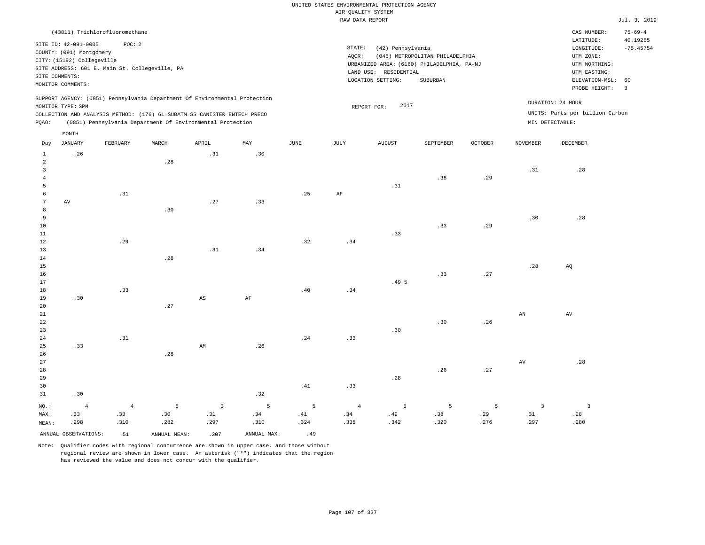|                                                                                                 |                   | (43811) Trichlorofluoromethane |       |                         |      |      |                     |                                            |           |         |                   | CAS NUMBER:<br>LATITUDE:        | $75 - 69 - 4$           |
|-------------------------------------------------------------------------------------------------|-------------------|--------------------------------|-------|-------------------------|------|------|---------------------|--------------------------------------------|-----------|---------|-------------------|---------------------------------|-------------------------|
| SITE ID: 42-091-0005<br>POC: 2                                                                  |                   |                                |       |                         |      |      |                     | STATE:<br>(42) Pennsylvania                |           |         |                   |                                 | 40.19255<br>$-75.45754$ |
| COUNTY: (091) Montgomery                                                                        |                   |                                |       |                         |      |      | AQCR:               | (045) METROPOLITAN PHILADELPHIA            |           |         |                   |                                 |                         |
| CITY: (15192) Collegeville                                                                      |                   |                                |       |                         |      |      |                     | URBANIZED AREA: (6160) PHILADELPHIA, PA-NJ |           |         |                   |                                 | UTM NORTHING:           |
| SITE ADDRESS: 601 E. Main St. Collegeville, PA                                                  |                   |                                |       |                         |      |      |                     | LAND USE: RESIDENTIAL                      |           |         |                   | UTM EASTING:                    |                         |
| SITE COMMENTS:                                                                                  |                   |                                |       |                         |      |      |                     | LOCATION SETTING:<br>SUBURBAN              |           |         |                   | ELEVATION-MSL:                  | 60                      |
|                                                                                                 | MONITOR COMMENTS: |                                |       |                         |      |      |                     |                                            |           |         |                   | PROBE HEIGHT:                   | $\overline{\mathbf{3}}$ |
| SUPPORT AGENCY: (0851) Pennsylvania Department Of Environmental Protection<br>MONITOR TYPE: SPM |                   |                                |       |                         |      |      | 2017<br>REPORT FOR: |                                            |           |         | DURATION: 24 HOUR |                                 |                         |
| COLLECTION AND ANALYSIS METHOD: (176) 6L SUBATM SS CANISTER ENTECH PRECO                        |                   |                                |       |                         |      |      |                     |                                            |           |         |                   | UNITS: Parts per billion Carbon |                         |
| (0851) Pennsylvania Department Of Environmental Protection<br>PQAO:                             |                   |                                |       |                         |      |      |                     |                                            |           |         |                   | $MIN$ DETECTABLE :              |                         |
|                                                                                                 | MONTH             |                                |       |                         |      |      |                     |                                            |           |         |                   |                                 |                         |
| Day                                                                                             | JANUARY           | FEBRUARY                       | MARCH | APRIL                   | MAY  | JUNE | JULY                | <b>AUGUST</b>                              | SEPTEMBER | OCTOBER | <b>NOVEMBER</b>   | DECEMBER                        |                         |
| $1\,$                                                                                           | .26               |                                |       | .31                     | .30  |      |                     |                                            |           |         |                   |                                 |                         |
| $\overline{a}$                                                                                  |                   |                                | .28   |                         |      |      |                     |                                            |           |         |                   |                                 |                         |
| $\overline{3}$                                                                                  |                   |                                |       |                         |      |      |                     |                                            |           |         | .31               | .28                             |                         |
| $\overline{4}$                                                                                  |                   |                                |       |                         |      |      |                     |                                            | .38       | .29     |                   |                                 |                         |
| $\overline{5}$                                                                                  |                   |                                |       |                         |      |      |                     | .31                                        |           |         |                   |                                 |                         |
| 6                                                                                               |                   | .31                            |       |                         |      | .25  | AF                  |                                            |           |         |                   |                                 |                         |
| $7\phantom{.0}$                                                                                 | AV                |                                |       | .27                     | .33  |      |                     |                                            |           |         |                   |                                 |                         |
| 8                                                                                               |                   |                                | .30   |                         |      |      |                     |                                            |           |         |                   |                                 |                         |
| 9                                                                                               |                   |                                |       |                         |      |      |                     |                                            |           |         | .30               | .28                             |                         |
| 10                                                                                              |                   |                                |       |                         |      |      |                     |                                            | .33       | .29     |                   |                                 |                         |
| 11<br>12                                                                                        |                   | .29                            |       |                         |      | .32  | .34                 | .33                                        |           |         |                   |                                 |                         |
| 13                                                                                              |                   |                                |       | .31                     | .34  |      |                     |                                            |           |         |                   |                                 |                         |
| 14                                                                                              |                   |                                | .28   |                         |      |      |                     |                                            |           |         |                   |                                 |                         |
| 15                                                                                              |                   |                                |       |                         |      |      |                     |                                            |           |         | .28               | AQ                              |                         |
| 16                                                                                              |                   |                                |       |                         |      |      |                     |                                            | .33       | .27     |                   |                                 |                         |
| 17                                                                                              |                   |                                |       |                         |      |      |                     | .495                                       |           |         |                   |                                 |                         |
| 18                                                                                              |                   | .33                            |       |                         |      | .40  | .34                 |                                            |           |         |                   |                                 |                         |
| 19                                                                                              | .30               |                                |       | $_{\rm AS}$             | AF   |      |                     |                                            |           |         |                   |                                 |                         |
| 20                                                                                              |                   |                                | .27   |                         |      |      |                     |                                            |           |         |                   |                                 |                         |
| 21                                                                                              |                   |                                |       |                         |      |      |                     |                                            |           |         | AN                | AV                              |                         |
| 22                                                                                              |                   |                                |       |                         |      |      |                     |                                            | .30       | .26     |                   |                                 |                         |
| 23<br>24                                                                                        |                   | .31                            |       |                         |      | .24  | .33                 | .30                                        |           |         |                   |                                 |                         |
| 25                                                                                              | .33               |                                |       | AM                      | .26  |      |                     |                                            |           |         |                   |                                 |                         |
| 26                                                                                              |                   |                                | .28   |                         |      |      |                     |                                            |           |         |                   |                                 |                         |
| 27                                                                                              |                   |                                |       |                         |      |      |                     |                                            |           |         | AV                | .28                             |                         |
| 28                                                                                              |                   |                                |       |                         |      |      |                     |                                            | .26       | .27     |                   |                                 |                         |
| 29                                                                                              |                   |                                |       |                         |      |      |                     | .28                                        |           |         |                   |                                 |                         |
| 30                                                                                              |                   |                                |       |                         |      | .41  | .33                 |                                            |           |         |                   |                                 |                         |
| 31                                                                                              | .30               |                                |       |                         | .32  |      |                     |                                            |           |         |                   |                                 |                         |
| $NO.$ :                                                                                         | $\overline{4}$    | $\overline{4}$                 | 5     | $\overline{\mathbf{3}}$ | 5    | 5    | $\overline{4}$      | 5                                          | 5         | 5       | $\overline{3}$    | $\overline{3}$                  |                         |
| MAX:                                                                                            | .33               | .33                            | .30   | .31                     | .34  | .41  | .34                 | .49                                        | .38       | .29     | .31               | .28                             |                         |
| MEAN:                                                                                           | .298              | .310                           | .282  | .297                    | .310 | .324 | .335                | .342                                       | .320      | .276    | .297              | .280                            |                         |
| ANNUAL OBSERVATIONS:<br>ANNUAL MAX:<br>51<br>ANNUAL MEAN:<br>.307                               |                   | .49                            |       |                         |      |      |                     |                                            |           |         |                   |                                 |                         |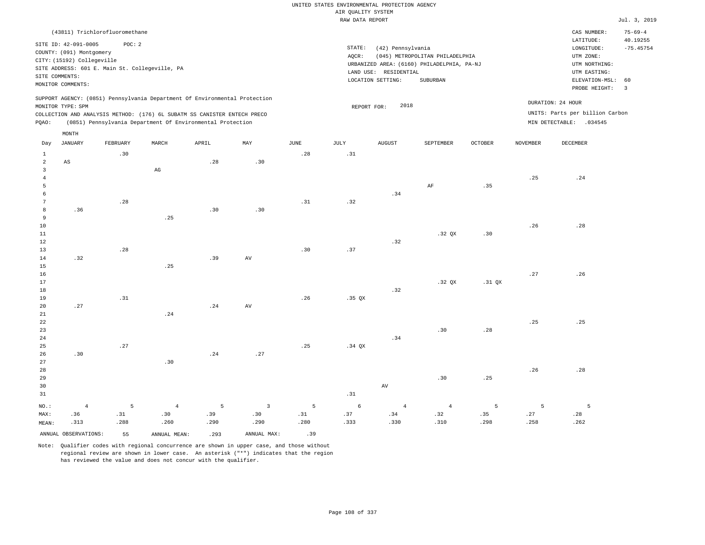|                |                            |                                |                                                                                                                                        |       |                         |             | UNITED STATES ENVIRONMENTAL PROTECTION AGENCY |                       |                                                                               |                |                 |                                 |                |
|----------------|----------------------------|--------------------------------|----------------------------------------------------------------------------------------------------------------------------------------|-------|-------------------------|-------------|-----------------------------------------------|-----------------------|-------------------------------------------------------------------------------|----------------|-----------------|---------------------------------|----------------|
|                |                            |                                |                                                                                                                                        |       |                         |             | AIR QUALITY SYSTEM                            |                       |                                                                               |                |                 |                                 |                |
|                |                            |                                |                                                                                                                                        |       |                         |             | RAW DATA REPORT                               |                       |                                                                               |                |                 |                                 | Jul. 3, 2019   |
|                |                            | (43811) Trichlorofluoromethane |                                                                                                                                        |       |                         |             |                                               |                       |                                                                               |                |                 | CAS NUMBER:                     | $75 - 69 - 4$  |
|                | SITE ID: 42-091-0005       | POC: 2                         |                                                                                                                                        |       |                         |             |                                               |                       |                                                                               |                |                 | LATITUDE:                       | 40.19255       |
|                | COUNTY: (091) Montgomery   |                                |                                                                                                                                        |       |                         |             | $\texttt{STATE}$ :                            | (42) Pennsylvania     |                                                                               |                |                 | LONGITUDE:                      | $-75.45754$    |
|                | CITY: (15192) Collegeville |                                |                                                                                                                                        |       |                         |             | AQCR:                                         |                       | (045) METROPOLITAN PHILADELPHIA<br>URBANIZED AREA: (6160) PHILADELPHIA, PA-NJ |                |                 | UTM ZONE:<br>UTM NORTHING:      |                |
|                |                            |                                | SITE ADDRESS: 601 E. Main St. Collegeville, PA                                                                                         |       |                         |             |                                               | LAND USE: RESIDENTIAL |                                                                               |                |                 | UTM EASTING:                    |                |
|                | SITE COMMENTS:             |                                |                                                                                                                                        |       |                         |             |                                               | LOCATION SETTING:     | SUBURBAN                                                                      |                |                 | ELEVATION-MSL:                  | 60             |
|                | MONITOR COMMENTS:          |                                |                                                                                                                                        |       |                         |             |                                               |                       |                                                                               |                |                 | PROBE HEIGHT:                   | $\overline{3}$ |
|                |                            |                                | SUPPORT AGENCY: (0851) Pennsylvania Department Of Environmental Protection                                                             |       |                         |             |                                               |                       |                                                                               |                |                 | DURATION: 24 HOUR               |                |
|                | MONITOR TYPE: SPM          |                                |                                                                                                                                        |       |                         |             | REPORT FOR:                                   | 2018                  |                                                                               |                |                 | UNITS: Parts per billion Carbon |                |
|                |                            |                                | COLLECTION AND ANALYSIS METHOD: (176) 6L SUBATM SS CANISTER ENTECH PRECO<br>(0851) Pennsylvania Department Of Environmental Protection |       |                         |             |                                               |                       |                                                                               |                |                 | MIN DETECTABLE: .034545         |                |
| PQAO:          |                            |                                |                                                                                                                                        |       |                         |             |                                               |                       |                                                                               |                |                 |                                 |                |
| Day            | MONTH<br><b>JANUARY</b>    | FEBRUARY                       | MARCH                                                                                                                                  | APRIL | MAY                     | <b>JUNE</b> | <b>JULY</b>                                   | <b>AUGUST</b>         | SEPTEMBER                                                                     | <b>OCTOBER</b> | <b>NOVEMBER</b> | DECEMBER                        |                |
| $\mathbf{1}$   |                            | .30                            |                                                                                                                                        |       |                         | .28         | .31                                           |                       |                                                                               |                |                 |                                 |                |
| $\overline{a}$ | $_{\rm AS}$                |                                |                                                                                                                                        | .28   | .30                     |             |                                               |                       |                                                                               |                |                 |                                 |                |
| 3              |                            |                                | $\mathbb{A}\mathbb{G}$                                                                                                                 |       |                         |             |                                               |                       |                                                                               |                |                 |                                 |                |
| $\overline{4}$ |                            |                                |                                                                                                                                        |       |                         |             |                                               |                       |                                                                               |                | .25             | .24                             |                |
| 5              |                            |                                |                                                                                                                                        |       |                         |             |                                               |                       | AF                                                                            | .35            |                 |                                 |                |
| 6              |                            |                                |                                                                                                                                        |       |                         |             |                                               | .34                   |                                                                               |                |                 |                                 |                |
| $\overline{7}$ |                            | .28                            |                                                                                                                                        |       |                         | .31         | .32                                           |                       |                                                                               |                |                 |                                 |                |
| 8              | .36                        |                                |                                                                                                                                        | .30   | .30                     |             |                                               |                       |                                                                               |                |                 |                                 |                |
| $\overline{9}$ |                            |                                | .25                                                                                                                                    |       |                         |             |                                               |                       |                                                                               |                |                 |                                 |                |
| 10             |                            |                                |                                                                                                                                        |       |                         |             |                                               |                       |                                                                               |                | .26             | .28                             |                |
| $11\,$         |                            |                                |                                                                                                                                        |       |                         |             |                                               |                       | .32 QX                                                                        | .30            |                 |                                 |                |
| 12             |                            |                                |                                                                                                                                        |       |                         |             |                                               | .32                   |                                                                               |                |                 |                                 |                |
| 13             |                            | .28                            |                                                                                                                                        |       |                         | .30         | .37                                           |                       |                                                                               |                |                 |                                 |                |
| 14<br>15       | .32                        |                                | .25                                                                                                                                    | .39   | AV                      |             |                                               |                       |                                                                               |                |                 |                                 |                |
| 16             |                            |                                |                                                                                                                                        |       |                         |             |                                               |                       |                                                                               |                | .27             | .26                             |                |
| 17             |                            |                                |                                                                                                                                        |       |                         |             |                                               |                       | .32 <sub>OX</sub>                                                             | .31 OX         |                 |                                 |                |
| 18             |                            |                                |                                                                                                                                        |       |                         |             |                                               | .32                   |                                                                               |                |                 |                                 |                |
| 19             |                            | .31                            |                                                                                                                                        |       |                         | .26         | $.35$ QX                                      |                       |                                                                               |                |                 |                                 |                |
| 20             | .27                        |                                |                                                                                                                                        | .24   | AV                      |             |                                               |                       |                                                                               |                |                 |                                 |                |
| $2\sqrt{1}$    |                            |                                | .24                                                                                                                                    |       |                         |             |                                               |                       |                                                                               |                |                 |                                 |                |
| 22             |                            |                                |                                                                                                                                        |       |                         |             |                                               |                       |                                                                               |                | .25             | .25                             |                |
| 23             |                            |                                |                                                                                                                                        |       |                         |             |                                               |                       | .30                                                                           | .28            |                 |                                 |                |
| 24             |                            |                                |                                                                                                                                        |       |                         |             |                                               | .34                   |                                                                               |                |                 |                                 |                |
| 25             |                            | .27                            |                                                                                                                                        |       |                         | .25         | $.34$ $OX$                                    |                       |                                                                               |                |                 |                                 |                |
| 26             | .30                        |                                |                                                                                                                                        | .24   | .27                     |             |                                               |                       |                                                                               |                |                 |                                 |                |
| 27             |                            |                                | .30                                                                                                                                    |       |                         |             |                                               |                       |                                                                               |                |                 |                                 |                |
| 28             |                            |                                |                                                                                                                                        |       |                         |             |                                               |                       |                                                                               |                | .26             | .28                             |                |
| 29             |                            |                                |                                                                                                                                        |       |                         |             |                                               |                       | .30                                                                           | .25            |                 |                                 |                |
| 30             |                            |                                |                                                                                                                                        |       |                         |             |                                               | AV                    |                                                                               |                |                 |                                 |                |
| 31             |                            |                                |                                                                                                                                        |       |                         |             | .31                                           |                       |                                                                               |                |                 |                                 |                |
| NO.:           | $\sqrt{4}$                 | 5                              | $\sqrt{4}$                                                                                                                             | 5     | $\overline{\mathbf{3}}$ | 5           | $\epsilon$                                    | $\overline{4}$        | $\overline{4}$                                                                | 5              | 5               | $\overline{5}$                  |                |
| MAX:           | .36                        | .31                            | .30                                                                                                                                    | .39   | .30                     | .31         | .37                                           | .34                   | .32                                                                           | .35            | .27             | .28                             |                |
| MEAN:          | .313                       | .288                           | .260                                                                                                                                   | .290  | .290                    | .280        | .333                                          | .330                  | .310                                                                          | .298           | .258            | .262                            |                |
|                | ANNUAL OBSERVATIONS:       | 55                             | ANNUAL, MEAN:                                                                                                                          | .293  | ANNUAL MAX:             | .39         |                                               |                       |                                                                               |                |                 |                                 |                |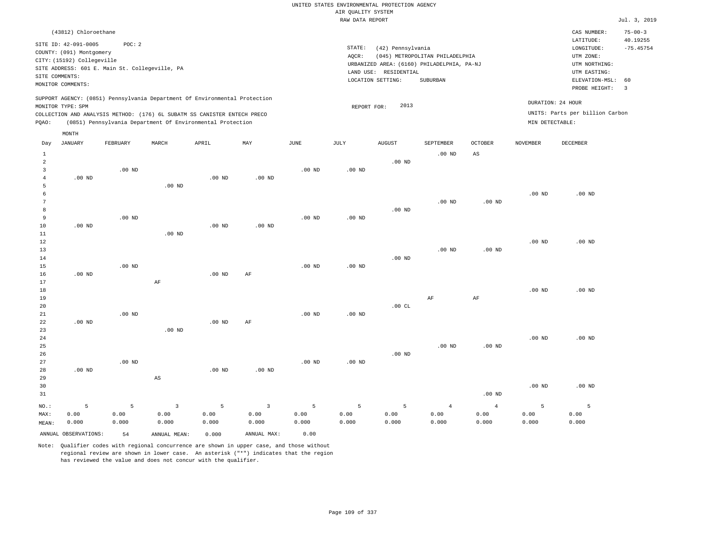|                     | (43812) Chloroethane                                                       |          |                                                            |          |                         |                   |                   |                                            |                                 |                   |                   | CAS NUMBER:                     | $75 - 00 - 3$           |
|---------------------|----------------------------------------------------------------------------|----------|------------------------------------------------------------|----------|-------------------------|-------------------|-------------------|--------------------------------------------|---------------------------------|-------------------|-------------------|---------------------------------|-------------------------|
|                     | SITE ID: 42-091-0005                                                       | POC: 2   |                                                            |          |                         |                   | STATE:            | (42) Pennsylvania                          |                                 |                   |                   | LATITUDE:<br>LONGITUDE:         | 40.19255<br>$-75.45754$ |
|                     | COUNTY: (091) Montgomery                                                   |          |                                                            |          |                         |                   | AQCR:             |                                            | (045) METROPOLITAN PHILADELPHIA |                   |                   | UTM ZONE:                       |                         |
|                     | CITY: (15192) Collegeville                                                 |          |                                                            |          |                         |                   |                   | URBANIZED AREA: (6160) PHILADELPHIA, PA-NJ |                                 |                   |                   | UTM NORTHING:                   |                         |
|                     | SITE ADDRESS: 601 E. Main St. Collegeville, PA                             |          |                                                            |          |                         |                   |                   | LAND USE: RESIDENTIAL                      |                                 |                   |                   | UTM EASTING:                    |                         |
| SITE COMMENTS:      |                                                                            |          |                                                            |          |                         |                   |                   | LOCATION SETTING:                          | SUBURBAN                        |                   |                   | ELEVATION-MSL:                  | 60                      |
|                     | MONITOR COMMENTS:                                                          |          |                                                            |          |                         |                   |                   |                                            |                                 |                   |                   | PROBE HEIGHT:                   | 3                       |
|                     | SUPPORT AGENCY: (0851) Pennsylvania Department Of Environmental Protection |          |                                                            |          |                         |                   |                   | 2013                                       |                                 |                   | DURATION: 24 HOUR |                                 |                         |
|                     | MONITOR TYPE: SPM                                                          |          |                                                            |          |                         |                   | REPORT FOR:       |                                            |                                 |                   |                   | UNITS: Parts per billion Carbon |                         |
| PQAO:               | COLLECTION AND ANALYSIS METHOD: (176) 6L SUBATM SS CANISTER ENTECH PRECO   |          | (0851) Pennsylvania Department Of Environmental Protection |          |                         |                   |                   |                                            |                                 |                   | MIN DETECTABLE:   |                                 |                         |
|                     |                                                                            |          |                                                            |          |                         |                   |                   |                                            |                                 |                   |                   |                                 |                         |
|                     | MONTH                                                                      |          |                                                            |          |                         |                   |                   |                                            |                                 |                   |                   |                                 |                         |
| Day                 | JANUARY                                                                    | FEBRUARY | MARCH                                                      | APRIL    | MAY                     | JUNE              | JULY              | <b>AUGUST</b>                              | SEPTEMBER                       | <b>OCTOBER</b>    | <b>NOVEMBER</b>   | <b>DECEMBER</b>                 |                         |
| $\mathbf{1}$        |                                                                            |          |                                                            |          |                         |                   |                   |                                            | $.00$ ND                        | AS                |                   |                                 |                         |
| $\overline{a}$<br>3 |                                                                            | $.00$ ND |                                                            |          |                         | $.00$ ND          | $.00$ ND          | $.00$ ND                                   |                                 |                   |                   |                                 |                         |
| $\overline{4}$      | $.00$ ND                                                                   |          |                                                            | $.00$ ND | $.00$ ND                |                   |                   |                                            |                                 |                   |                   |                                 |                         |
| 5                   |                                                                            |          | $.00$ ND                                                   |          |                         |                   |                   |                                            |                                 |                   |                   |                                 |                         |
| 6                   |                                                                            |          |                                                            |          |                         |                   |                   |                                            |                                 |                   | $.00$ ND          | $.00$ ND                        |                         |
| $\boldsymbol{7}$    |                                                                            |          |                                                            |          |                         |                   |                   |                                            | .00 <sub>ND</sub>               | .00 <sub>ND</sub> |                   |                                 |                         |
| 8                   |                                                                            |          |                                                            |          |                         |                   |                   | $.00$ ND                                   |                                 |                   |                   |                                 |                         |
| 9                   |                                                                            | $.00$ ND |                                                            |          |                         | $.00$ ND          | .00 <sub>ND</sub> |                                            |                                 |                   |                   |                                 |                         |
| 10                  | $.00$ ND                                                                   |          |                                                            | $.00$ ND | $.00$ ND                |                   |                   |                                            |                                 |                   |                   |                                 |                         |
| $11\,$              |                                                                            |          | $.00$ ND                                                   |          |                         |                   |                   |                                            |                                 |                   |                   |                                 |                         |
| 12                  |                                                                            |          |                                                            |          |                         |                   |                   |                                            |                                 |                   | .00 <sub>ND</sub> | $.00$ ND                        |                         |
| 13                  |                                                                            |          |                                                            |          |                         |                   |                   |                                            | .00 <sub>ND</sub>               | $.00$ ND          |                   |                                 |                         |
| 14<br>15            |                                                                            | $.00$ ND |                                                            |          |                         | $.00$ ND          | $.00$ ND          | $.00$ ND                                   |                                 |                   |                   |                                 |                         |
| 16                  | $.00$ ND                                                                   |          |                                                            | $.00$ ND | AF                      |                   |                   |                                            |                                 |                   |                   |                                 |                         |
| 17                  |                                                                            |          | AF                                                         |          |                         |                   |                   |                                            |                                 |                   |                   |                                 |                         |
| 18                  |                                                                            |          |                                                            |          |                         |                   |                   |                                            |                                 |                   | $.00$ ND          | $.00$ ND                        |                         |
| 19                  |                                                                            |          |                                                            |          |                         |                   |                   |                                            | $\rm AF$                        | $\rm{AF}$         |                   |                                 |                         |
| 20                  |                                                                            |          |                                                            |          |                         |                   |                   | .00CL                                      |                                 |                   |                   |                                 |                         |
| 21                  |                                                                            | $.00$ ND |                                                            |          |                         | $.00$ ND          | $.00$ ND          |                                            |                                 |                   |                   |                                 |                         |
| 22                  | $.00$ ND                                                                   |          |                                                            | $.00$ ND | AF                      |                   |                   |                                            |                                 |                   |                   |                                 |                         |
| 23                  |                                                                            |          | $.00$ ND                                                   |          |                         |                   |                   |                                            |                                 |                   |                   |                                 |                         |
| 24                  |                                                                            |          |                                                            |          |                         |                   |                   |                                            |                                 |                   | .00 <sub>ND</sub> | $.00$ ND                        |                         |
| 25<br>26            |                                                                            |          |                                                            |          |                         |                   |                   | $.00$ ND                                   | .00 <sub>ND</sub>               | $.00$ ND          |                   |                                 |                         |
| 27                  |                                                                            | $.00$ ND |                                                            |          |                         | .00 <sub>ND</sub> | .00 <sub>ND</sub> |                                            |                                 |                   |                   |                                 |                         |
| 28                  | $.00$ ND                                                                   |          |                                                            | $.00$ ND | $.00$ ND                |                   |                   |                                            |                                 |                   |                   |                                 |                         |
| 29                  |                                                                            |          | $\mathbb{A}\mathbb{S}$                                     |          |                         |                   |                   |                                            |                                 |                   |                   |                                 |                         |
| 30                  |                                                                            |          |                                                            |          |                         |                   |                   |                                            |                                 |                   | $.00$ ND          | $.00$ ND                        |                         |
| 31                  |                                                                            |          |                                                            |          |                         |                   |                   |                                            |                                 | $.00$ ND          |                   |                                 |                         |
| NO.:                | 5                                                                          | 5        | $\overline{3}$                                             | 5        | $\overline{\mathbf{3}}$ | 5                 | 5                 | 5                                          | $\overline{4}$                  | $\overline{4}$    | 5                 | $\overline{5}$                  |                         |
| MAX:                | 0.00                                                                       | 0.00     | 0.00                                                       | 0.00     | 0.00                    | 0.00              | 0.00              | 0.00                                       | 0.00                            | 0.00              | 0.00              | 0.00                            |                         |
| MEAN:               | 0.000                                                                      | 0.000    | 0.000                                                      | 0.000    | 0.000                   | 0.000             | 0.000             | 0.000                                      | 0.000                           | 0.000             | 0.000             | 0.000                           |                         |
|                     | ANNUAL OBSERVATIONS:                                                       |          |                                                            |          | ANNUAL MAX:             | 0.00              |                   |                                            |                                 |                   |                   |                                 |                         |
|                     |                                                                            | 54       | ANNUAL MEAN:                                               | 0.000    |                         |                   |                   |                                            |                                 |                   |                   |                                 |                         |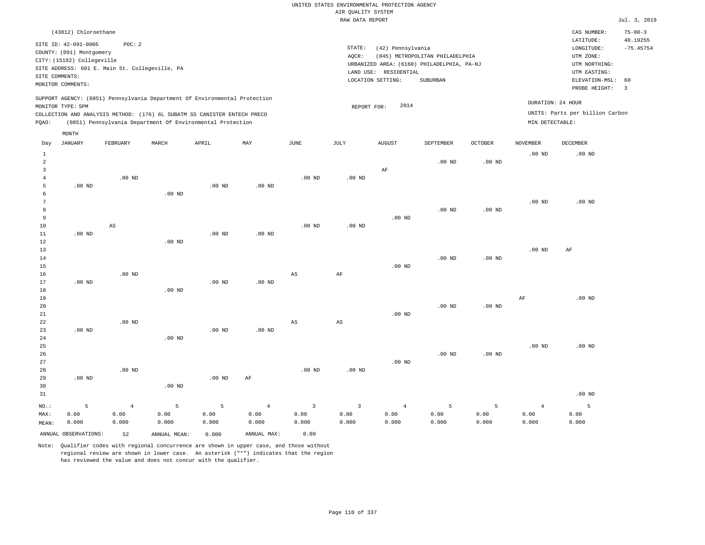| UNITED STATES ENVIRONMENTAL PROTECTION AGENCY |
|-----------------------------------------------|
| AIR OUALITY SYSTEM                            |
| RAW DATA REPORT                               |
|                                               |
|                                               |
|                                               |
| STATE:<br>(42) Pennsylvania                   |
| (045) METROPOLITAN PHILADELPHIA<br>AOCR:      |

LAND USE: RESIDENTIAL

REPORT FOR: 2014

LOCATION SETTING: SUBURBAN

URBANIZED AREA: (6160) PHILADELPHIA, PA-NJ (UTM NORTHING:

Jul. 3, 2019

CAS NUMBER: 75-00-3

LONGITUDE: -75.45754 LATITUDE: 40.19255

PROBE HEIGHT: 3 ELEVATION-MSL: 60

UTM EASTING: UTM ZONE:

UNITS: Parts per billion Carbon

DURATION: 24 HOUR

SITE ID: 42-091-0005 POC: 2 COUNTY: (091) Montgomery CITY: (15192) Collegeville SITE ADDRESS: 601 E. Main St. Collegeville, PA SITE COMMENTS: MONITOR COMMENTS:

(43812) Chloroethane

MONTH

SUPPORT AGENCY: (0851) Pennsylvania Department Of Environmental Protection MONITOR TYPE: SPM

COLLECTION AND ANALYSIS METHOD: (176) 6L SUBATM SS CANISTER ENTECH PRECO PQAO: (0851) Pennsylvania Department Of Environmental Protection MIN DETECTABLE:

|                 | MON.L.H              |                        |              |          |                |                        |                        |                |           |                   |                   |          |
|-----------------|----------------------|------------------------|--------------|----------|----------------|------------------------|------------------------|----------------|-----------|-------------------|-------------------|----------|
| Day             | JANUARY              | FEBRUARY               | MARCH        | APRIL    | MAY            | $_{\rm JUNE}$          | JULY                   | <b>AUGUST</b>  | SEPTEMBER | OCTOBER           | <b>NOVEMBER</b>   | DECEMBER |
| $\mathbf{1}$    |                      |                        |              |          |                |                        |                        |                |           |                   | $.00$ ND          | $.00$ ND |
| $\overline{a}$  |                      |                        |              |          |                |                        |                        |                | $.00$ ND  | $.00$ ND          |                   |          |
| 3               |                      |                        |              |          |                |                        |                        | $\rm AF$       |           |                   |                   |          |
| $\overline{4}$  |                      | $.00$ ND               |              |          |                | $.00$ ND               | $.00$ ND               |                |           |                   |                   |          |
| 5               | $.00$ ND             |                        |              | $.00$ ND | $.00$ ND       |                        |                        |                |           |                   |                   |          |
| 6               |                      |                        | $.00$ ND     |          |                |                        |                        |                |           |                   |                   |          |
| $7\phantom{.0}$ |                      |                        |              |          |                |                        |                        |                |           |                   | $.00$ ND          | $.00$ ND |
| 8               |                      |                        |              |          |                |                        |                        |                | $.00$ ND  | $.00$ ND          |                   |          |
| 9               |                      |                        |              |          |                |                        |                        | $.00$ ND       |           |                   |                   |          |
| 10              |                      | $\mathbb{A}\mathbb{S}$ |              |          |                | $.00$ ND               | $.00$ ND               |                |           |                   |                   |          |
| $11\,$          | $.00$ ND             |                        |              | $.00$ ND | $.00$ ND       |                        |                        |                |           |                   |                   |          |
| 12              |                      |                        | $.00$ ND     |          |                |                        |                        |                |           |                   |                   |          |
| 13              |                      |                        |              |          |                |                        |                        |                |           |                   | .00 <sub>ND</sub> | $\rm AF$ |
| $14$            |                      |                        |              |          |                |                        |                        |                | $.00$ ND  | .00 <sub>ND</sub> |                   |          |
| 15              |                      |                        |              |          |                |                        |                        | $.00$ ND       |           |                   |                   |          |
| 16              |                      | $.00$ ND               |              |          |                | $_{\rm AS}$            | $\rm{AF}$              |                |           |                   |                   |          |
| 17              | $.00$ ND             |                        |              | $.00$ ND | $.00$ ND       |                        |                        |                |           |                   |                   |          |
| 18              |                      |                        | $.00$ ND     |          |                |                        |                        |                |           |                   |                   |          |
| 19              |                      |                        |              |          |                |                        |                        |                |           |                   | $\rm AF$          | $.00$ ND |
| 20              |                      |                        |              |          |                |                        |                        |                | $.00$ ND  | .00 <sub>ND</sub> |                   |          |
| $2\sqrt{1}$     |                      |                        |              |          |                |                        |                        | $.00$ ND       |           |                   |                   |          |
| 22              |                      | $.00$ ND               |              |          |                | $\mathbb{A}\mathbb{S}$ | $\mathbb{A}\mathbb{S}$ |                |           |                   |                   |          |
| 23              | $.00$ ND             |                        |              | $.00$ ND | .00 $ND$       |                        |                        |                |           |                   |                   |          |
| $2\sqrt{4}$     |                      |                        | $.00$ ND     |          |                |                        |                        |                |           |                   |                   |          |
| 25              |                      |                        |              |          |                |                        |                        |                |           |                   | $.00$ ND          | $.00$ ND |
| 26              |                      |                        |              |          |                |                        |                        |                | $.00$ ND  | $.00$ ND          |                   |          |
| 27              |                      |                        |              |          |                |                        |                        | $.00$ ND       |           |                   |                   |          |
| 28              |                      | $.00$ ND               |              |          |                | $.00$ ND               | $.00$ ND               |                |           |                   |                   |          |
| 29              | $.00$ ND             |                        |              | $.00$ ND | $\rm AF$       |                        |                        |                |           |                   |                   |          |
| 30              |                      |                        | $.00$ ND     |          |                |                        |                        |                |           |                   |                   |          |
| 31              |                      |                        |              |          |                |                        |                        |                |           |                   |                   | $.00$ ND |
| $NO.$ :         | 5                    | $\overline{4}$         | 5            | 5        | $\overline{4}$ | $\mathbf{3}$           | $\overline{3}$         | $\overline{4}$ | 5         | 5                 | $\overline{4}$    | 5        |
| MAX:            | 0.00                 | 0.00                   | 0.00         | 0.00     | 0.00           | 0.00                   | 0.00                   | 0.00           | 0.00      | 0.00              | 0.00              | 0.00     |
| MEAN:           | 0.000                | 0.000                  | 0.000        | 0.000    | 0.000          | 0.000                  | 0.000                  | 0.000          | 0.000     | 0.000             | 0.000             | 0.000    |
|                 | ANNUAL OBSERVATIONS: | 52                     | ANNUAL MEAN: | 0.000    | ANNUAL MAX:    | 0.00                   |                        |                |           |                   |                   |          |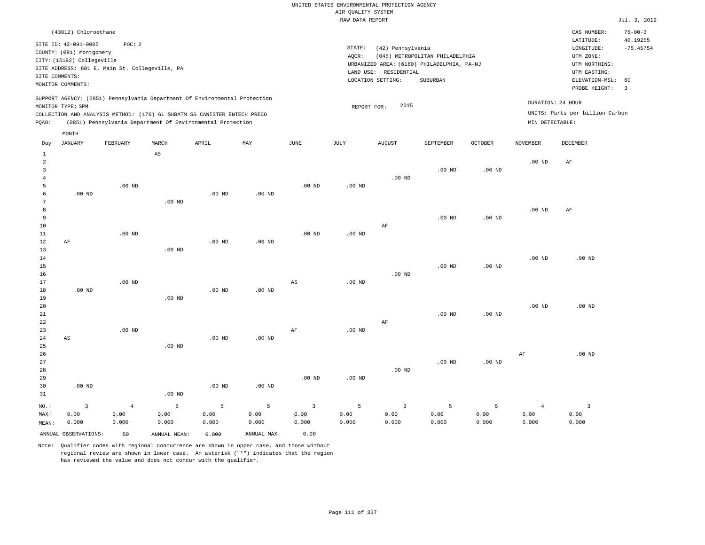|                     |                                                  |                |                   |                                                                            |                           |                         | AIR QUALITY SYSTEM | UNITED STATES ENVIRONMENTAL PROTECTION AGENCY |                                            |                   |                   |                                                                                                                                                                                                                                                                                                                                                                                                                                           |                           |
|---------------------|--------------------------------------------------|----------------|-------------------|----------------------------------------------------------------------------|---------------------------|-------------------------|--------------------|-----------------------------------------------|--------------------------------------------|-------------------|-------------------|-------------------------------------------------------------------------------------------------------------------------------------------------------------------------------------------------------------------------------------------------------------------------------------------------------------------------------------------------------------------------------------------------------------------------------------------|---------------------------|
|                     |                                                  |                |                   |                                                                            |                           |                         | RAW DATA REPORT    |                                               |                                            |                   |                   |                                                                                                                                                                                                                                                                                                                                                                                                                                           | Jul. 3, 2019              |
|                     | (43812) Chloroethane                             |                |                   |                                                                            |                           |                         |                    |                                               |                                            |                   |                   | CAS NUMBER:<br>LATITUDE:                                                                                                                                                                                                                                                                                                                                                                                                                  | $75 - 00 - 3$<br>40.19255 |
|                     | SITE ID: 42-091-0005<br>COUNTY: (091) Montgomery | POC: 2         |                   |                                                                            |                           |                         | STATE:             | (42) Pennsylvania                             |                                            |                   |                   | $\texttt{LONGITUDE}: \quad % \begin{align*} \begin{minipage}[c]{0.5\linewidth} \emph{Cov} & \texttt{1} & \texttt{1} & \texttt{2} & \texttt{2} & \texttt{2} & \texttt{2} & \texttt{2} & \texttt{2} & \texttt{2} & \texttt{2} & \texttt{2} & \texttt{2} & \texttt{2} & \texttt{2} & \texttt{2} & \texttt{2} & \texttt{2} & \texttt{2} & \texttt{2} & \texttt{2} & \texttt{2} & \texttt{2} & \texttt{2} & \texttt{2} & \texttt{2} & \texttt$ | $-75.45754$               |
|                     | CITY: (15192) Collegeville                       |                |                   |                                                                            |                           |                         | AOCR:              |                                               | (045) METROPOLITAN PHILADELPHIA            |                   |                   | UTM ZONE:                                                                                                                                                                                                                                                                                                                                                                                                                                 |                           |
|                     | SITE ADDRESS: 601 E. Main St. Collegeville, PA   |                |                   |                                                                            |                           |                         |                    | LAND USE: RESIDENTIAL                         | URBANIZED AREA: (6160) PHILADELPHIA, PA-NJ |                   |                   | UTM NORTHING:<br>UTM EASTING:                                                                                                                                                                                                                                                                                                                                                                                                             |                           |
| SITE COMMENTS:      | MONITOR COMMENTS:                                |                |                   |                                                                            |                           |                         |                    | LOCATION SETTING:                             | SUBURBAN                                   |                   |                   | ELEVATION-MSL:<br>PROBE HEIGHT:                                                                                                                                                                                                                                                                                                                                                                                                           | 60<br>$\overline{3}$      |
|                     |                                                  |                |                   | SUPPORT AGENCY: (0851) Pennsylvania Department Of Environmental Protection |                           |                         |                    |                                               |                                            |                   |                   | DURATION: 24 HOUR                                                                                                                                                                                                                                                                                                                                                                                                                         |                           |
|                     | MONITOR TYPE: SPM                                |                |                   | COLLECTION AND ANALYSIS METHOD: (176) 6L SUBATM SS CANISTER ENTECH PRECO   |                           |                         | REPORT FOR:        | 2015                                          |                                            |                   |                   | UNITS: Parts per billion Carbon                                                                                                                                                                                                                                                                                                                                                                                                           |                           |
| PQAO:               |                                                  |                |                   | (0851) Pennsylvania Department Of Environmental Protection                 |                           |                         |                    |                                               |                                            |                   | MIN DETECTABLE:   |                                                                                                                                                                                                                                                                                                                                                                                                                                           |                           |
|                     | MONTH                                            |                |                   |                                                                            |                           |                         |                    |                                               |                                            |                   |                   |                                                                                                                                                                                                                                                                                                                                                                                                                                           |                           |
| Day<br>$\mathbf{1}$ | <b>JANUARY</b>                                   | FEBRUARY       | MARCH<br>AS       | APRIL                                                                      | $\ensuremath{\text{MAX}}$ | $_{\rm JUNE}$           | $\mathtt{JULY}$    | <b>AUGUST</b>                                 | SEPTEMBER                                  | <b>OCTOBER</b>    | <b>NOVEMBER</b>   | DECEMBER                                                                                                                                                                                                                                                                                                                                                                                                                                  |                           |
| $\overline{a}$      |                                                  |                |                   |                                                                            |                           |                         |                    |                                               |                                            |                   | .00 <sub>ND</sub> | $\rm{AF}$                                                                                                                                                                                                                                                                                                                                                                                                                                 |                           |
| $\overline{3}$      |                                                  |                |                   |                                                                            |                           |                         |                    |                                               | .00 <sub>ND</sub>                          | .00 <sub>ND</sub> |                   |                                                                                                                                                                                                                                                                                                                                                                                                                                           |                           |
| $\overline{4}$<br>5 |                                                  | $.00$ ND       |                   |                                                                            |                           | .00 <sub>ND</sub>       | .00 <sub>ND</sub>  | .00 <sub>ND</sub>                             |                                            |                   |                   |                                                                                                                                                                                                                                                                                                                                                                                                                                           |                           |
| 6                   | $.00$ ND                                         |                |                   | $.00$ ND                                                                   | $.00$ ND                  |                         |                    |                                               |                                            |                   |                   |                                                                                                                                                                                                                                                                                                                                                                                                                                           |                           |
| 7                   |                                                  |                | $.00$ ND          |                                                                            |                           |                         |                    |                                               |                                            |                   |                   |                                                                                                                                                                                                                                                                                                                                                                                                                                           |                           |
| 8                   |                                                  |                |                   |                                                                            |                           |                         |                    |                                               |                                            |                   | .00 <sub>ND</sub> | AF                                                                                                                                                                                                                                                                                                                                                                                                                                        |                           |
| 9<br>$10$           |                                                  |                |                   |                                                                            |                           |                         |                    | AF                                            | $.00$ ND                                   | $.00$ ND          |                   |                                                                                                                                                                                                                                                                                                                                                                                                                                           |                           |
| $11\,$              |                                                  | $.00$ ND       |                   |                                                                            |                           | .00 <sub>ND</sub>       | $.00$ ND           |                                               |                                            |                   |                   |                                                                                                                                                                                                                                                                                                                                                                                                                                           |                           |
| 12                  | AF                                               |                |                   | .00 <sub>ND</sub>                                                          | .00 <sub>ND</sub>         |                         |                    |                                               |                                            |                   |                   |                                                                                                                                                                                                                                                                                                                                                                                                                                           |                           |
| 13                  |                                                  |                | $.00$ ND          |                                                                            |                           |                         |                    |                                               |                                            |                   |                   |                                                                                                                                                                                                                                                                                                                                                                                                                                           |                           |
| 14<br>15            |                                                  |                |                   |                                                                            |                           |                         |                    |                                               | $.00$ ND                                   | $.00$ ND          | .00 <sub>ND</sub> | $.00$ ND                                                                                                                                                                                                                                                                                                                                                                                                                                  |                           |
| 16                  |                                                  |                |                   |                                                                            |                           |                         |                    | $.00$ ND                                      |                                            |                   |                   |                                                                                                                                                                                                                                                                                                                                                                                                                                           |                           |
| 17                  |                                                  | $.00$ ND       |                   |                                                                            |                           | AS                      | $.00$ ND           |                                               |                                            |                   |                   |                                                                                                                                                                                                                                                                                                                                                                                                                                           |                           |
| 18<br>19            | $.00$ ND                                         |                | $.00$ ND          | .00 <sub>ND</sub>                                                          | .00 <sub>ND</sub>         |                         |                    |                                               |                                            |                   |                   |                                                                                                                                                                                                                                                                                                                                                                                                                                           |                           |
| 20                  |                                                  |                |                   |                                                                            |                           |                         |                    |                                               |                                            |                   | .00 <sub>ND</sub> | .00 <sub>ND</sub>                                                                                                                                                                                                                                                                                                                                                                                                                         |                           |
| 21                  |                                                  |                |                   |                                                                            |                           |                         |                    |                                               | .00 <sub>ND</sub>                          | .00 <sub>ND</sub> |                   |                                                                                                                                                                                                                                                                                                                                                                                                                                           |                           |
| 22                  |                                                  |                |                   |                                                                            |                           |                         |                    | AF                                            |                                            |                   |                   |                                                                                                                                                                                                                                                                                                                                                                                                                                           |                           |
| 23<br>24            | $_{\rm AS}$                                      | $.00$ ND       |                   | $.00$ ND                                                                   | $.00$ ND                  | $\rm AF$                | .00 <sub>ND</sub>  |                                               |                                            |                   |                   |                                                                                                                                                                                                                                                                                                                                                                                                                                           |                           |
| 25                  |                                                  |                | $.00$ ND          |                                                                            |                           |                         |                    |                                               |                                            |                   |                   |                                                                                                                                                                                                                                                                                                                                                                                                                                           |                           |
| 26                  |                                                  |                |                   |                                                                            |                           |                         |                    |                                               |                                            |                   | $\rm{AF}$         | $.00$ ND                                                                                                                                                                                                                                                                                                                                                                                                                                  |                           |
| 27                  |                                                  |                |                   |                                                                            |                           |                         |                    |                                               | $.00$ ND                                   | $.00$ ND          |                   |                                                                                                                                                                                                                                                                                                                                                                                                                                           |                           |
| 28<br>29            |                                                  |                |                   |                                                                            |                           | .00 <sub>ND</sub>       | .00 <sub>ND</sub>  | $.00$ ND                                      |                                            |                   |                   |                                                                                                                                                                                                                                                                                                                                                                                                                                           |                           |
| 30                  | $.00$ ND                                         |                |                   | .00 <sub>ND</sub>                                                          | .00 <sub>ND</sub>         |                         |                    |                                               |                                            |                   |                   |                                                                                                                                                                                                                                                                                                                                                                                                                                           |                           |
| 31                  |                                                  |                | .00 <sub>ND</sub> |                                                                            |                           |                         |                    |                                               |                                            |                   |                   |                                                                                                                                                                                                                                                                                                                                                                                                                                           |                           |
| NO.:                | $\overline{3}$                                   | $\overline{4}$ | 5                 | 5                                                                          | $\overline{5}$            | $\overline{\mathbf{3}}$ | 5                  | $\overline{3}$                                | 5                                          | 5                 | $\overline{4}$    | $\overline{\mathbf{3}}$                                                                                                                                                                                                                                                                                                                                                                                                                   |                           |
| MAX:                | 0.00                                             | 0.00           | 0.00              | 0.00                                                                       | 0.00                      | 0.00                    | 0.00               | 0.00                                          | 0.00                                       | 0.00              | 0.00              | 0.00                                                                                                                                                                                                                                                                                                                                                                                                                                      |                           |
| MEAN:               | 0.000                                            | 0.000          | 0.000             | 0.000                                                                      | 0.000                     | 0.000                   | 0.000              | 0.000                                         | 0.000                                      | 0.000             | 0.000             | 0.000                                                                                                                                                                                                                                                                                                                                                                                                                                     |                           |
|                     | ANNUAL OBSERVATIONS:                             | 50             | ANNUAL, MEAN:     | 0.000                                                                      | ANNUAL MAX:               | 0.00                    |                    |                                               |                                            |                   |                   |                                                                                                                                                                                                                                                                                                                                                                                                                                           |                           |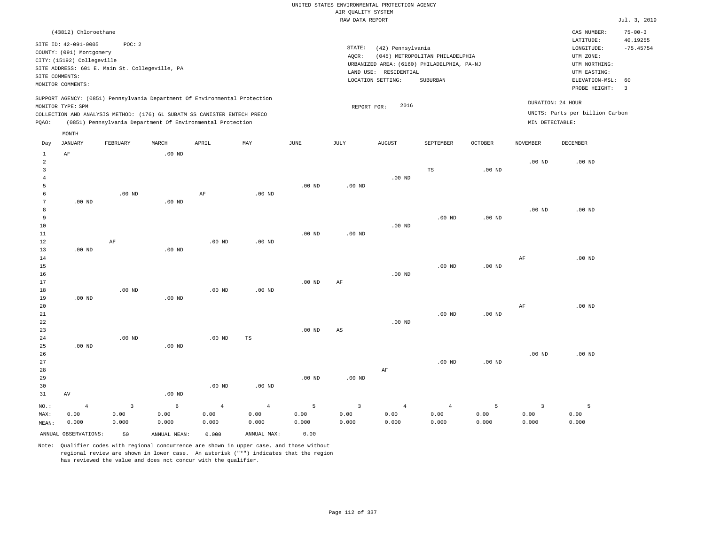| UNITED STATES ENVIRONMENTAL PROTECTION AGENCY |
|-----------------------------------------------|
| AIR OUALITY SYSTEM                            |
| RAW DATA REPORT                               |
|                                               |
|                                               |

STATE: (42) Pennsylvania

LAND USE: RESIDENTIAL

REPORT FOR: 2016

LOCATION SETTING: SUBURBAN

AQCR: (045) METROPOLITAN PHILADELPHIA

URBANIZED AREA: (6160) PHILADELPHIA, PA-NJ (UTM NORTHING:

Jul. 3, 2019

CAS NUMBER: 75-00-3

LONGITUDE: -75.45754 LATITUDE: 40.19255

PROBE HEIGHT: 3 ELEVATION-MSL: 60

UTM EASTING: UTM ZONE:

UNITS: Parts per billion Carbon

DURATION: 24 HOUR

(43812) Chloroethane SITE ID: 42-091-0005 POC: 2 COUNTY: (091) Montgomery CITY: (15192) Collegeville SITE ADDRESS: 601 E. Main St. Collegeville, PA SITE COMMENTS: MONITOR COMMENTS:

SUPPORT AGENCY: (0851) Pennsylvania Department Of Environmental Protection MONITOR TYPE: SPM

COLLECTION AND ANALYSIS METHOD: (176) 6L SUBATM SS CANISTER ENTECH PRECO PQAO: (0851) Pennsylvania Department Of Environmental Protection MIN DETECTABLE:

|                | MONTH                |                |              |                |             |          |                         |               |                |                   |                |          |
|----------------|----------------------|----------------|--------------|----------------|-------------|----------|-------------------------|---------------|----------------|-------------------|----------------|----------|
| Day            | JANUARY              | FEBRUARY       | MARCH        | APRIL          | MAY         | JUNE     | JULY                    | <b>AUGUST</b> | SEPTEMBER      | OCTOBER           | NOVEMBER       | DECEMBER |
| $\mathbf{1}$   | $\rm AF$             |                | $.00$ ND     |                |             |          |                         |               |                |                   |                |          |
| $\overline{a}$ |                      |                |              |                |             |          |                         |               |                |                   | $.00$ ND       | $.00$ ND |
| 3              |                      |                |              |                |             |          |                         |               | $_{\rm TS}$    | $.00$ ND          |                |          |
| $\overline{4}$ |                      |                |              |                |             |          |                         | $.00$ ND      |                |                   |                |          |
| 5              |                      |                |              |                |             | $.00$ ND | $.00$ ND                |               |                |                   |                |          |
| 6              |                      | $.00$ ND       |              | $\rm AF$       | $.00$ ND    |          |                         |               |                |                   |                |          |
| 7              | $.00$ ND             |                | $.00$ ND     |                |             |          |                         |               |                |                   |                |          |
| 8              |                      |                |              |                |             |          |                         |               |                |                   | $.00$ ND       | $.00$ ND |
| 9              |                      |                |              |                |             |          |                         |               | $.00$ ND       | $.00$ ND          |                |          |
| 10<br>11       |                      |                |              |                |             | $.00$ ND | $.00$ ND                | $.00$ ND      |                |                   |                |          |
| 12             |                      | $\rm{AF}$      |              | $.00$ ND       | $.00$ ND    |          |                         |               |                |                   |                |          |
| 13             | $.00$ ND             |                | $.00$ ND     |                |             |          |                         |               |                |                   |                |          |
| 14             |                      |                |              |                |             |          |                         |               |                |                   | $\rm AF$       | $.00$ ND |
| 15             |                      |                |              |                |             |          |                         |               | $.00$ ND       | $.00$ ND          |                |          |
| 16             |                      |                |              |                |             |          |                         | $.00$ ND      |                |                   |                |          |
| 17             |                      |                |              |                |             | $.00$ ND | $\rm AF$                |               |                |                   |                |          |
| 18             |                      | $.00$ ND       |              | $.00$ ND       | $.00$ ND    |          |                         |               |                |                   |                |          |
| 19             | $.00$ ND             |                | $.00$ ND     |                |             |          |                         |               |                |                   |                |          |
| 20             |                      |                |              |                |             |          |                         |               |                |                   | $\rm AF$       | $.00$ ND |
| 21             |                      |                |              |                |             |          |                         |               | $.00$ ND       | .00 <sub>ND</sub> |                |          |
| 22             |                      |                |              |                |             |          |                         | $.00$ ND      |                |                   |                |          |
| 23             |                      |                |              |                |             | $.00$ ND | $\mathbb{A}\mathbb{S}$  |               |                |                   |                |          |
| 24             |                      | $.00$ ND       |              | $.00$ ND       | TS          |          |                         |               |                |                   |                |          |
| 25             | $.00$ ND             |                | $.00$ ND     |                |             |          |                         |               |                |                   |                |          |
| 26             |                      |                |              |                |             |          |                         |               |                |                   | $.00$ ND       | $.00$ ND |
| 27             |                      |                |              |                |             |          |                         |               | $.00$ ND       | $.00$ ND          |                |          |
| 28             |                      |                |              |                |             |          |                         | $\rm AF$      |                |                   |                |          |
| 29             |                      |                |              |                |             | $.00$ ND | $.00$ ND                |               |                |                   |                |          |
| 30             |                      |                |              | $.00$ ND       | $.00$ ND    |          |                         |               |                |                   |                |          |
| 31             | $\operatorname{AV}$  |                | $.00$ ND     |                |             |          |                         |               |                |                   |                |          |
| $NO.$ :        | $\overline{4}$       | $\overline{3}$ | $\epsilon$   | $\overline{4}$ | $\bf{4}$    | 5        | $\overline{\mathbf{3}}$ | $\sqrt{4}$    | $\overline{4}$ | 5                 | $\overline{3}$ | 5        |
| MAX:           | 0.00                 | 0.00           | 0.00         | 0.00           | 0.00        | 0.00     | 0.00                    | 0.00          | 0.00           | 0.00              | 0.00           | 0.00     |
| MEAN:          | 0.000                | 0.000          | 0.000        | 0.000          | 0.000       | 0.000    | 0.000                   | 0.000         | 0.000          | 0.000             | 0.000          | 0.000    |
|                | ANNUAL OBSERVATIONS: | 50             | ANNUAL MEAN: | 0.000          | ANNUAL MAX: | 0.00     |                         |               |                |                   |                |          |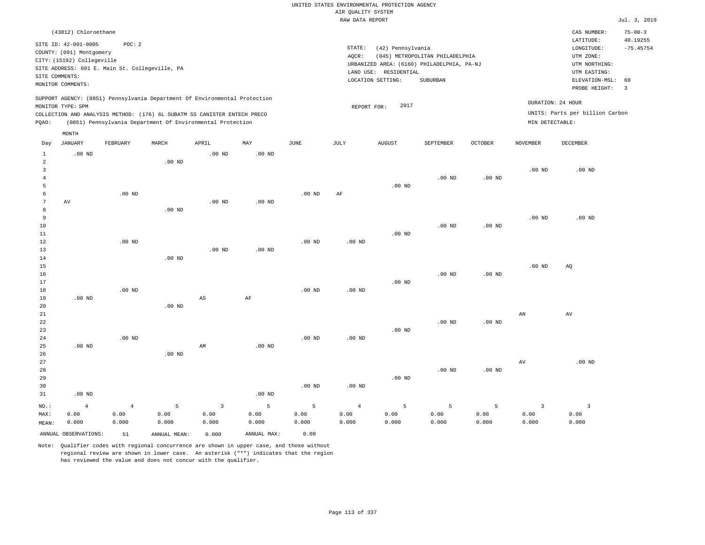|                                            |                                                                                                                                                    |                                 |                    |                                                                                                                                        |                    |                    | AIR QUALITY SYSTEM              | UNITED STATES ENVIRONMENTAL PROTECTION AGENCY |                                                                               |                    |                                 |                                                          |                           |
|--------------------------------------------|----------------------------------------------------------------------------------------------------------------------------------------------------|---------------------------------|--------------------|----------------------------------------------------------------------------------------------------------------------------------------|--------------------|--------------------|---------------------------------|-----------------------------------------------|-------------------------------------------------------------------------------|--------------------|---------------------------------|----------------------------------------------------------|---------------------------|
|                                            |                                                                                                                                                    |                                 |                    |                                                                                                                                        |                    |                    | RAW DATA REPORT                 |                                               |                                                                               |                    |                                 |                                                          | Jul. 3, 2019              |
|                                            | (43812) Chloroethane                                                                                                                               |                                 |                    |                                                                                                                                        |                    |                    |                                 |                                               |                                                                               |                    |                                 | CAS NUMBER:<br>LATITUDE:                                 | $75 - 00 - 3$<br>40.19255 |
|                                            | SITE ID: 42-091-0005<br>COUNTY: (091) Montgomery<br>CITY: (15192) Collegeville<br>SITE ADDRESS: 601 E. Main St. Collegeville, PA<br>SITE COMMENTS: | POC: 2                          |                    |                                                                                                                                        |                    |                    | STATE:<br>AQCR:                 | (42) Pennsylvania<br>LAND USE: RESIDENTIAL    | (045) METROPOLITAN PHILADELPHIA<br>URBANIZED AREA: (6160) PHILADELPHIA, PA-NJ |                    |                                 | LONGITUDE:<br>UTM ZONE:<br>UTM NORTHING:<br>UTM EASTING: | $-75.45754$               |
|                                            | MONITOR COMMENTS:                                                                                                                                  |                                 |                    |                                                                                                                                        |                    |                    |                                 | LOCATION SETTING:                             | SUBURBAN                                                                      |                    |                                 | ELEVATION-MSL:<br>PROBE HEIGHT:                          | 60<br>$\overline{3}$      |
|                                            | MONITOR TYPE: SPM                                                                                                                                  |                                 |                    | SUPPORT AGENCY: (0851) Pennsylvania Department Of Environmental Protection                                                             |                    |                    | REPORT FOR:                     | 2017                                          |                                                                               |                    |                                 | DURATION: 24 HOUR<br>UNITS: Parts per billion Carbon     |                           |
| PQAO:                                      |                                                                                                                                                    |                                 |                    | COLLECTION AND ANALYSIS METHOD: (176) 6L SUBATM SS CANISTER ENTECH PRECO<br>(0851) Pennsylvania Department Of Environmental Protection |                    |                    |                                 |                                               |                                                                               |                    | MIN DETECTABLE:                 |                                                          |                           |
| Day                                        | $\texttt{MONTH}$<br><b>JANUARY</b>                                                                                                                 | FEBRUARY                        | MARCH              | APRIL                                                                                                                                  | MAY                | JUNE               | JULY                            | <b>AUGUST</b>                                 | SEPTEMBER                                                                     | OCTOBER            | <b>NOVEMBER</b>                 | DECEMBER                                                 |                           |
| $\mathbf{1}$                               | $.00$ ND                                                                                                                                           |                                 |                    | $.00$ ND                                                                                                                               | $.00$ ND           |                    |                                 |                                               |                                                                               |                    |                                 |                                                          |                           |
| $\overline{a}$<br>$\mathbf{3}$<br>$\bf{4}$ |                                                                                                                                                    |                                 | $.00$ ND           |                                                                                                                                        |                    |                    |                                 |                                               | $.00$ ND                                                                      | $.00$ ND           | $.00$ ND                        | $.00$ ND                                                 |                           |
| 5<br>6<br>$\overline{7}$                   | AV                                                                                                                                                 | $.00$ ND                        |                    | $.00$ ND                                                                                                                               | $.00$ ND           | $.00$ ND           | AF                              | $.00$ ND                                      |                                                                               |                    |                                 |                                                          |                           |
| 8<br>9<br>10<br>11                         |                                                                                                                                                    |                                 | .00 <sub>ND</sub>  |                                                                                                                                        |                    |                    |                                 | $.00$ ND                                      | .00 <sub>ND</sub>                                                             | $.00$ ND           | .00 <sub>ND</sub>               | $.00$ ND                                                 |                           |
| 12<br>13<br>14                             |                                                                                                                                                    | $.00$ ND                        | $.00$ ND           | $.00$ ND                                                                                                                               | .00 <sub>ND</sub>  | $.00$ ND           | .00 <sub>ND</sub>               |                                               |                                                                               |                    |                                 |                                                          |                           |
| 15<br>16<br>17<br>18                       |                                                                                                                                                    | $.00$ ND                        |                    |                                                                                                                                        |                    | $.00$ ND           | $.00$ ND                        | .00 <sub>ND</sub>                             | $.00$ ND                                                                      | $.00$ ND           | .00 <sub>ND</sub>               | AQ                                                       |                           |
| 19<br>20<br>21                             | $.00$ ND                                                                                                                                           |                                 | $.00$ ND           | AS                                                                                                                                     | AF                 |                    |                                 |                                               |                                                                               |                    | AN                              | AV                                                       |                           |
| 22<br>23<br>24                             |                                                                                                                                                    | $.00$ ND                        |                    |                                                                                                                                        |                    | $.00$ ND           | $.00$ ND                        | $.00$ ND                                      | $.00$ ND                                                                      | .00 <sub>ND</sub>  |                                 |                                                          |                           |
| 25<br>26<br>27<br>28                       | $.00$ ND                                                                                                                                           |                                 | .00 <sub>ND</sub>  | AM                                                                                                                                     | $.00$ ND           |                    |                                 |                                               | $.00$ ND                                                                      | $.00$ ND           | AV                              | $.00$ ND                                                 |                           |
| 29<br>30<br>31                             | $.00$ ND                                                                                                                                           |                                 |                    |                                                                                                                                        | .00 <sub>ND</sub>  | $.00$ ND           | $.00$ ND                        | $.00$ ND                                      |                                                                               |                    |                                 |                                                          |                           |
| NO.:<br>MAX:<br>MEAN:                      | $\overline{4}$<br>0.00<br>0.000                                                                                                                    | $\overline{4}$<br>0.00<br>0.000 | 5<br>0.00<br>0.000 | $\overline{\mathbf{3}}$<br>0.00<br>0.000                                                                                               | 5<br>0.00<br>0.000 | 5<br>0.00<br>0.000 | $\overline{4}$<br>0.00<br>0.000 | 5<br>0.00<br>0.000                            | 5<br>0.00<br>0.000                                                            | 5<br>0.00<br>0.000 | $\overline{3}$<br>0.00<br>0.000 | $\overline{\mathbf{3}}$<br>0.00<br>0.000                 |                           |
|                                            | ANNUAL OBSERVATIONS:                                                                                                                               | 51                              | ANNUAL, MEAN:      | 0.000                                                                                                                                  | ANNUAL MAX:        | 0.00               |                                 |                                               |                                                                               |                    |                                 |                                                          |                           |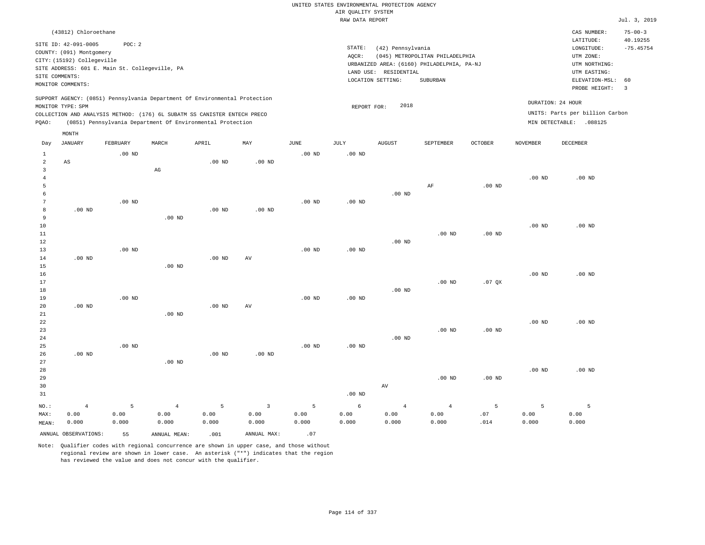|                 |                                                                              |          |                   |                                                            |                     |                   | UNITED STATES ENVIRONMENTAL PROTECTION AGENCY |                       |                                            |                |                   |                                    |                           |
|-----------------|------------------------------------------------------------------------------|----------|-------------------|------------------------------------------------------------|---------------------|-------------------|-----------------------------------------------|-----------------------|--------------------------------------------|----------------|-------------------|------------------------------------|---------------------------|
|                 |                                                                              |          |                   |                                                            |                     |                   | AIR QUALITY SYSTEM                            |                       |                                            |                |                   |                                    |                           |
|                 |                                                                              |          |                   |                                                            |                     |                   | RAW DATA REPORT                               |                       |                                            |                |                   |                                    | Jul. 3, 2019              |
|                 | (43812) Chloroethane                                                         |          |                   |                                                            |                     |                   |                                               |                       |                                            |                |                   | CAS NUMBER:<br>LATITUDE:           | $75 - 00 - 3$<br>40.19255 |
|                 | SITE ID: 42-091-0005                                                         | POC: 2   |                   |                                                            |                     |                   | STATE:                                        | (42) Pennsylvania     |                                            |                |                   | LONGITUDE:                         | $-75.45754$               |
|                 | COUNTY: (091) Montgomery                                                     |          |                   |                                                            |                     |                   | AOCR:                                         |                       | (045) METROPOLITAN PHILADELPHIA            |                |                   | UTM ZONE:                          |                           |
|                 | CITY: (15192) Collegeville<br>SITE ADDRESS: 601 E. Main St. Collegeville, PA |          |                   |                                                            |                     |                   |                                               |                       | URBANIZED AREA: (6160) PHILADELPHIA, PA-NJ |                |                   | UTM NORTHING:                      |                           |
| SITE COMMENTS:  |                                                                              |          |                   |                                                            |                     |                   |                                               | LAND USE: RESIDENTIAL |                                            |                |                   | UTM EASTING:                       |                           |
|                 | MONITOR COMMENTS:                                                            |          |                   |                                                            |                     |                   |                                               | LOCATION SETTING:     | <b>SUBURBAN</b>                            |                |                   | ELEVATION-MSL:                     | 60<br>$\overline{3}$      |
|                 | SUPPORT AGENCY: (0851) Pennsylvania Department Of Environmental Protection   |          |                   |                                                            |                     |                   |                                               |                       |                                            |                |                   | PROBE HEIGHT:<br>DURATION: 24 HOUR |                           |
|                 | MONITOR TYPE: SPM                                                            |          |                   |                                                            |                     |                   | REPORT FOR:                                   | 2018                  |                                            |                |                   |                                    |                           |
|                 | COLLECTION AND ANALYSIS METHOD: (176) 6L SUBATM SS CANISTER ENTECH PRECO     |          |                   |                                                            |                     |                   |                                               |                       |                                            |                |                   | UNITS: Parts per billion Carbon    |                           |
| PQAO:           |                                                                              |          |                   | (0851) Pennsylvania Department Of Environmental Protection |                     |                   |                                               |                       |                                            |                |                   | MIN DETECTABLE: .088125            |                           |
| Day             | MONTH<br>JANUARY                                                             | FEBRUARY | MARCH             | APRIL                                                      | MAY                 | $_{\rm JUNE}$     | JULY                                          | <b>AUGUST</b>         | SEPTEMBER                                  | <b>OCTOBER</b> | NOVEMBER          | <b>DECEMBER</b>                    |                           |
| $\mathbf{1}$    |                                                                              | $.00$ ND |                   |                                                            |                     | $.00$ ND          | $.00$ ND                                      |                       |                                            |                |                   |                                    |                           |
| $\overline{a}$  | AS                                                                           |          |                   | $.00$ ND                                                   | $.00$ ND            |                   |                                               |                       |                                            |                |                   |                                    |                           |
| $\overline{3}$  |                                                                              |          | $_{\rm AG}$       |                                                            |                     |                   |                                               |                       |                                            |                |                   |                                    |                           |
| $\,4\,$         |                                                                              |          |                   |                                                            |                     |                   |                                               |                       |                                            |                | $.00$ ND          | $.00$ ND                           |                           |
| 5               |                                                                              |          |                   |                                                            |                     |                   |                                               |                       | AF                                         | $.00$ ND       |                   |                                    |                           |
| 6               |                                                                              |          |                   |                                                            |                     |                   |                                               | $.00$ ND              |                                            |                |                   |                                    |                           |
| $7\phantom{.0}$ |                                                                              | $.00$ ND |                   |                                                            |                     | $.00$ ND          | $.00$ ND                                      |                       |                                            |                |                   |                                    |                           |
| 8               | $.00$ ND                                                                     |          |                   | $.00$ ND                                                   | $.00$ ND            |                   |                                               |                       |                                            |                |                   |                                    |                           |
| 9               |                                                                              |          | .00 <sub>ND</sub> |                                                            |                     |                   |                                               |                       |                                            |                |                   |                                    |                           |
| $10$            |                                                                              |          |                   |                                                            |                     |                   |                                               |                       |                                            |                | $.00$ ND          | $.00$ ND                           |                           |
| 11<br>12        |                                                                              |          |                   |                                                            |                     |                   |                                               | $.00$ ND              | $.00$ ND                                   | $.00$ ND       |                   |                                    |                           |
| 13              |                                                                              | $.00$ ND |                   |                                                            |                     | .00 <sub>ND</sub> | $.00$ ND                                      |                       |                                            |                |                   |                                    |                           |
| 14              | $.00$ ND                                                                     |          |                   | .00 <sub>ND</sub>                                          | $\operatorname{AV}$ |                   |                                               |                       |                                            |                |                   |                                    |                           |
| 15              |                                                                              |          | .00 <sub>ND</sub> |                                                            |                     |                   |                                               |                       |                                            |                |                   |                                    |                           |
| 16              |                                                                              |          |                   |                                                            |                     |                   |                                               |                       |                                            |                | $.00$ ND          | $.00$ ND                           |                           |
| 17              |                                                                              |          |                   |                                                            |                     |                   |                                               |                       | $.00$ ND                                   | .07QX          |                   |                                    |                           |
| 18              |                                                                              |          |                   |                                                            |                     |                   |                                               | $.00$ ND              |                                            |                |                   |                                    |                           |
| 19              |                                                                              | $.00$ ND |                   |                                                            |                     | .00 <sub>ND</sub> | $.00$ ND                                      |                       |                                            |                |                   |                                    |                           |
| 20              | .00 <sub>ND</sub>                                                            |          |                   | .00 <sub>ND</sub>                                          | AV                  |                   |                                               |                       |                                            |                |                   |                                    |                           |
| 21              |                                                                              |          | $.00$ ND          |                                                            |                     |                   |                                               |                       |                                            |                |                   |                                    |                           |
| 22              |                                                                              |          |                   |                                                            |                     |                   |                                               |                       |                                            |                | $.00$ ND          | .00 <sub>ND</sub>                  |                           |
| 23<br>24        |                                                                              |          |                   |                                                            |                     |                   |                                               | $.00$ ND              | $.00$ ND                                   | $.00$ ND       |                   |                                    |                           |
| 25              |                                                                              | $.00$ ND |                   |                                                            |                     | .00 <sub>ND</sub> | .00 <sub>ND</sub>                             |                       |                                            |                |                   |                                    |                           |
| 26              | $.00$ ND                                                                     |          |                   | $.00$ ND                                                   | $.00$ ND            |                   |                                               |                       |                                            |                |                   |                                    |                           |
| 27              |                                                                              |          | $.00$ ND          |                                                            |                     |                   |                                               |                       |                                            |                |                   |                                    |                           |
| 28              |                                                                              |          |                   |                                                            |                     |                   |                                               |                       |                                            |                | .00 <sub>ND</sub> | $.00$ ND                           |                           |
| 29              |                                                                              |          |                   |                                                            |                     |                   |                                               |                       | $.00$ ND                                   | $.00$ ND       |                   |                                    |                           |
| 30              |                                                                              |          |                   |                                                            |                     |                   |                                               | $\operatorname{AV}$   |                                            |                |                   |                                    |                           |
| 31              |                                                                              |          |                   |                                                            |                     |                   | $.00$ ND                                      |                       |                                            |                |                   |                                    |                           |
| NO.:            | $\overline{4}$                                                               | 5        | $\overline{4}$    | 5                                                          | $\overline{3}$      | 5                 | 6                                             | $\overline{4}$        | $\overline{4}$                             | 5              | 5                 | 5                                  |                           |
| MAX:            | 0.00                                                                         | 0.00     | 0.00              | 0.00                                                       | 0.00                | 0.00              | 0.00                                          | 0.00                  | 0.00                                       | .07            | 0.00              | 0.00                               |                           |
| MEAN:           | 0.000                                                                        | 0.000    | 0.000             | 0.000                                                      | 0.000               | 0.000             | 0.000                                         | 0.000                 | 0.000                                      | .014           | 0.000             | 0.000                              |                           |
|                 | ANNUAL OBSERVATIONS:                                                         | 55       | ANNUAL MEAN:      | .001                                                       | ANNUAL MAX:         | .07               |                                               |                       |                                            |                |                   |                                    |                           |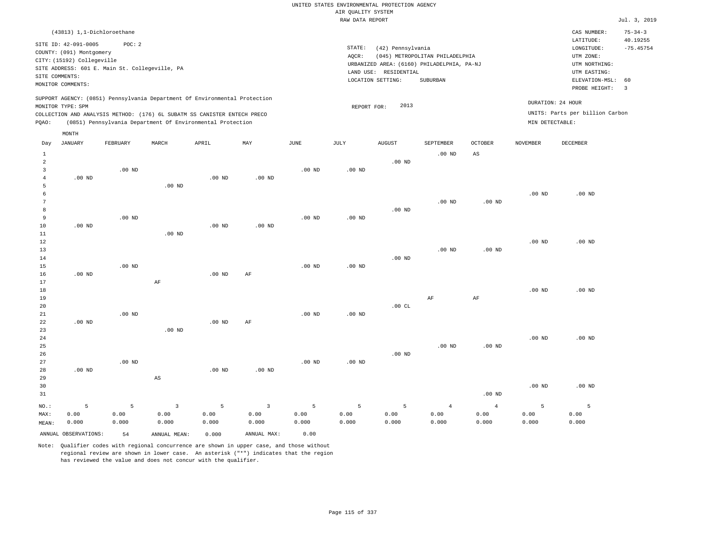# UNITED STATES ENVIRONMENTAL PROTECTION AGENCY AIR QUALITY SYSTEM

|                                                            |                                                                                                                                                                                                                                                                 |          |                   |                                                                                                                                        |          |                   | RAW DATA REPORT |                                                                 |                                                                                           |                        |                   |                                                                                                          | Jul. 3, 2019                                             |
|------------------------------------------------------------|-----------------------------------------------------------------------------------------------------------------------------------------------------------------------------------------------------------------------------------------------------------------|----------|-------------------|----------------------------------------------------------------------------------------------------------------------------------------|----------|-------------------|-----------------|-----------------------------------------------------------------|-------------------------------------------------------------------------------------------|------------------------|-------------------|----------------------------------------------------------------------------------------------------------|----------------------------------------------------------|
|                                                            | (43813) 1,1-Dichloroethane                                                                                                                                                                                                                                      |          |                   |                                                                                                                                        |          |                   |                 |                                                                 |                                                                                           |                        |                   | CAS NUMBER:                                                                                              | $75 - 34 - 3$                                            |
|                                                            | POC: 2<br>SITE ID: 42-091-0005<br>COUNTY: (091) Montgomery<br>CITY: (15192) Collegeville<br>SITE ADDRESS: 601 E. Main St. Collegeville, PA<br>SITE COMMENTS:<br>MONITOR COMMENTS:<br>SUPPORT AGENCY: (0851) Pennsylvania Department Of Environmental Protection |          |                   |                                                                                                                                        |          |                   | STATE:<br>AQCR: | (42) Pennsylvania<br>LAND USE: RESIDENTIAL<br>LOCATION SETTING: | (045) METROPOLITAN PHILADELPHIA<br>URBANIZED AREA: (6160) PHILADELPHIA, PA-NJ<br>SUBURBAN |                        |                   | LATITUDE:<br>LONGITUDE:<br>UTM ZONE:<br>UTM NORTHING:<br>UTM EASTING:<br>ELEVATION-MSL:<br>PROBE HEIGHT: | 40.19255<br>$-75.45754$<br>60<br>$\overline{\mathbf{3}}$ |
| PQAO:                                                      | MONITOR TYPE: SPM<br>MONTH                                                                                                                                                                                                                                      |          |                   | COLLECTION AND ANALYSIS METHOD: (176) 6L SUBATM SS CANISTER ENTECH PRECO<br>(0851) Pennsylvania Department Of Environmental Protection |          |                   | REPORT FOR:     | 2013                                                            |                                                                                           |                        | MIN DETECTABLE:   | DURATION: 24 HOUR<br>UNITS: Parts per billion Carbon                                                     |                                                          |
| Day                                                        | JANUARY                                                                                                                                                                                                                                                         | FEBRUARY | MARCH             | APRIL                                                                                                                                  | MAY      | JUNE              | JULY            | AUGUST                                                          | SEPTEMBER                                                                                 | <b>OCTOBER</b>         | NOVEMBER          | DECEMBER                                                                                                 |                                                          |
| $\mathbf{1}$<br>$\overline{a}$<br>3<br>$\overline{4}$<br>5 | $.00$ ND                                                                                                                                                                                                                                                        | $.00$ ND | $.00$ ND          | $.00$ ND                                                                                                                               | $.00$ ND | .00 <sub>ND</sub> | $.00$ ND        | $.00$ ND                                                        | .00 <sub>ND</sub>                                                                         | $\mathbb{A}\mathbb{S}$ |                   |                                                                                                          |                                                          |
| 6<br>7<br>8<br>9<br>10                                     | $.00$ ND                                                                                                                                                                                                                                                        | $.00$ ND |                   | $.00$ ND                                                                                                                               | $.00$ ND | .00 <sub>ND</sub> | $.00$ ND        | $.00$ ND                                                        | $.00$ ND                                                                                  | .00 <sub>ND</sub>      | $.00$ ND          | $.00$ ND                                                                                                 |                                                          |
| 11<br>12<br>13<br>14<br>15                                 |                                                                                                                                                                                                                                                                 | $.00$ ND | .00 <sub>ND</sub> |                                                                                                                                        |          | .00 <sub>ND</sub> | $.00$ ND        | $.00$ ND                                                        | .00 <sub>ND</sub>                                                                         | .00 <sub>ND</sub>      | $.00$ ND          | $.00$ ND                                                                                                 |                                                          |
| 16<br>17<br>18<br>19<br>20                                 | $.00$ ND                                                                                                                                                                                                                                                        |          | AF                | $.00$ ND                                                                                                                               | AF       |                   |                 | .00CL                                                           | $\rm AF$                                                                                  | AF                     | $.00$ ND          | .00 <sub>ND</sub>                                                                                        |                                                          |
| 21<br>22<br>23<br>24                                       | $.00$ ND                                                                                                                                                                                                                                                        | $.00$ ND | $.00$ ND          | $.00$ ND                                                                                                                               | AF       | .00 <sub>ND</sub> | $.00$ ND        |                                                                 |                                                                                           |                        | .00 <sub>ND</sub> | $.00$ ND                                                                                                 |                                                          |
| 25<br>26<br>27<br>28                                       | $.00$ ND                                                                                                                                                                                                                                                        | $.00$ ND |                   | $.00$ ND                                                                                                                               | $.00$ ND | .00 <sub>ND</sub> | $.00$ ND        | $.00$ ND                                                        | $.00$ ND                                                                                  | .00 <sub>ND</sub>      |                   |                                                                                                          |                                                          |

| __      | .     |       |                            | .     | .                       |             |       |       |       |          |          |          |
|---------|-------|-------|----------------------------|-------|-------------------------|-------------|-------|-------|-------|----------|----------|----------|
| 29      |       |       | AS                         |       |                         |             |       |       |       |          |          |          |
| 30      |       |       |                            |       |                         |             |       |       |       |          | $.00$ ND | $.00$ ND |
| 31      |       |       |                            |       |                         |             |       |       |       | $.00$ ND |          |          |
| $NO.$ : | - 5   | $5 -$ | $\overline{\phantom{a}}$ 3 | $5 -$ | $\overline{\mathbf{3}}$ | $5^{\circ}$ | 5     | 5     | 4     | 4        |          |          |
| MAX:    | 0.00  | 0.00  | 0.00                       | 0.00  | 0.00                    | 0.00        | 0.00  | 0.00  | 0.00  | 0.00     | 0.00     | 0.00     |
| MEAN:   | 0.000 | 0.000 | 0.000                      | 0.000 | 0.000                   | 0.000       | 0.000 | 0.000 | 0.000 | 0.000    | 0.000    | 0.000    |
|         |       |       |                            |       |                         |             |       |       |       |          |          |          |

ANNUAL OBSERVATIONS: 54 ANNUAL MEAN: 0.000 ANNUAL MAX: 0.00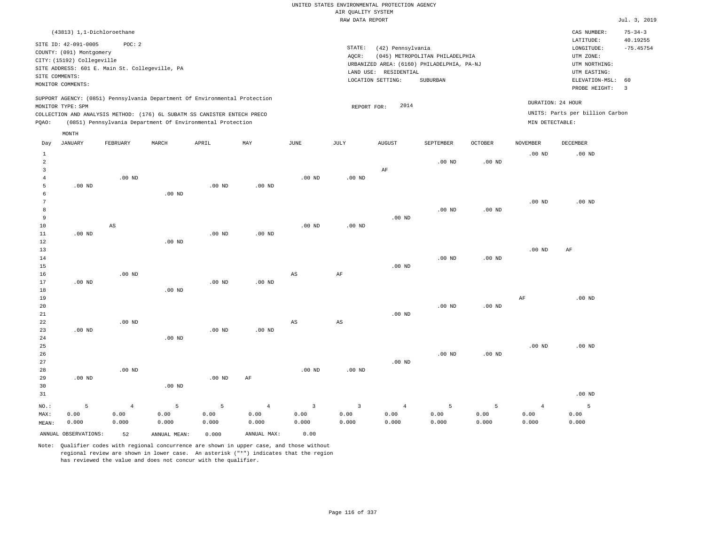| (43813) 1,1-Dichloroethane                                                                                                                                                                                                                                  |                                                                                                                                                                                 | CAS NUMBER:                                                                                                 | $75 - 34 - 3$                                      |
|-------------------------------------------------------------------------------------------------------------------------------------------------------------------------------------------------------------------------------------------------------------|---------------------------------------------------------------------------------------------------------------------------------------------------------------------------------|-------------------------------------------------------------------------------------------------------------|----------------------------------------------------|
| POC:2<br>SITE ID: 42-091-0005<br>COUNTY: (091) Montgomery<br>CITY: (15192) Collegeville<br>SITE ADDRESS: 601 E. Main St. Collegeville, PA<br>SITE COMMENTS:<br>MONITOR COMMENTS:                                                                            | STATE:<br>(42) Pennsylvania<br>(045) METROPOLITAN PHILADELPHIA<br>AOCR:<br>URBANIZED AREA: (6160) PHILADELPHIA, PA-NJ<br>LAND USE: RESIDENTIAL<br>LOCATION SETTING:<br>SUBURBAN | LATITUDE:<br>LONGITUDE:<br>UTM ZONE:<br>UTM NORTHING:<br>UTM EASTING:<br>ELEVATION-MSL: 60<br>PROBE HEIGHT: | 40.19255<br>$-75.45754$<br>$\overline{\mathbf{3}}$ |
| SUPPORT AGENCY: (0851) Pennsylvania Department Of Environmental Protection<br>MONITOR TYPE: SPM<br>COLLECTION AND ANALYSIS METHOD: (176) 6L SUBATM SS CANISTER ENTECH PRECO<br>(0851) Pennsylvania Department Of Environmental Protection<br>POAO:<br>MONTH | DURATION: 24 HOUR<br>2014<br>REPORT FOR:<br>MIN DETECTABLE:                                                                                                                     | UNITS: Parts per billion Carbon                                                                             |                                                    |

| Day                                     | JANUARY              | FEBRUARY               | MARCH             | APRIL    | MAY            | JUNE                   | JULY                   | AUGUST         | SEPTEMBER   | OCTOBER  | NOVEMBER          | DECEMBER          |
|-----------------------------------------|----------------------|------------------------|-------------------|----------|----------------|------------------------|------------------------|----------------|-------------|----------|-------------------|-------------------|
| $\mathbf{1}$<br>$\overline{\mathbf{c}}$ |                      |                        |                   |          |                |                        |                        |                | $.00$ ND    | $.00$ ND | .00 <sub>ND</sub> | .00 <sub>ND</sub> |
| 3                                       |                      |                        |                   |          |                |                        |                        | $\rm AF$       |             |          |                   |                   |
| $\overline{4}$                          |                      | $.00$ ND               |                   |          |                | $.00$ ND               | $.00$ ND               |                |             |          |                   |                   |
| 5                                       | $.00$ ND             |                        |                   | $.00$ ND | $.00$ ND       |                        |                        |                |             |          |                   |                   |
| 6                                       |                      |                        | $.00$ ND          |          |                |                        |                        |                |             |          |                   |                   |
| 7                                       |                      |                        |                   |          |                |                        |                        |                |             |          | .00 <sub>ND</sub> | $.00$ ND          |
| 8                                       |                      |                        |                   |          |                |                        |                        |                | $.00$ ND    | $.00$ ND |                   |                   |
| 9                                       |                      |                        |                   |          |                |                        |                        | $.00$ ND       |             |          |                   |                   |
| 10                                      |                      | $\mathbb{A}\mathbb{S}$ |                   |          |                | $.00$ ND               | $.00$ ND               |                |             |          |                   |                   |
| 11                                      | $.00$ ND             |                        |                   | $.00$ ND | $.00$ ND       |                        |                        |                |             |          |                   |                   |
| 12                                      |                      |                        | $.00$ ND          |          |                |                        |                        |                |             |          |                   |                   |
| 13                                      |                      |                        |                   |          |                |                        |                        |                |             |          | .00 <sub>ND</sub> | $\rm{AF}$         |
| 14                                      |                      |                        |                   |          |                |                        |                        |                | $.00$ ND    | $.00$ ND |                   |                   |
| 15                                      |                      |                        |                   |          |                |                        |                        | $.00$ ND       |             |          |                   |                   |
| 16                                      |                      | $.00$ ND               |                   |          |                | $_{\rm AS}$            | $\rm{AF}$              |                |             |          |                   |                   |
| 17                                      | $.00$ ND             |                        |                   | $.00$ ND | $.00$ ND       |                        |                        |                |             |          |                   |                   |
| 18                                      |                      |                        | $.00$ ND          |          |                |                        |                        |                |             |          |                   |                   |
| 19                                      |                      |                        |                   |          |                |                        |                        |                |             |          | AF                | $.00$ ND          |
| 20                                      |                      |                        |                   |          |                |                        |                        |                | $.00$ ND    | $.00$ ND |                   |                   |
| $2\sqrt{1}$                             |                      |                        |                   |          |                |                        |                        | $.00$ ND       |             |          |                   |                   |
| 22                                      |                      | $.00$ ND               |                   |          |                | $\mathbb{A}\mathbb{S}$ | $\mathbb{A}\mathbb{S}$ |                |             |          |                   |                   |
| 23                                      | $.00$ ND             |                        |                   | $.00$ ND | $.00$ ND       |                        |                        |                |             |          |                   |                   |
| 24                                      |                      |                        | $.00$ ND          |          |                |                        |                        |                |             |          |                   |                   |
| 25                                      |                      |                        |                   |          |                |                        |                        |                |             |          | $.00$ ND          | $.00$ ND          |
| 26                                      |                      |                        |                   |          |                |                        |                        |                | $.00$ ND    | $.00$ ND |                   |                   |
| 27                                      |                      |                        |                   |          |                |                        |                        | $.00$ ND       |             |          |                   |                   |
| 28                                      |                      | $.00$ ND               |                   |          |                | $.00$ ND               | $.00$ ND               |                |             |          |                   |                   |
| 29                                      | $.00$ ND             |                        |                   | $.00$ ND | $\rm AF$       |                        |                        |                |             |          |                   |                   |
| 30                                      |                      |                        | .00 <sub>ND</sub> |          |                |                        |                        |                |             |          |                   |                   |
| 31                                      |                      |                        |                   |          |                |                        |                        |                |             |          |                   | $.00$ ND          |
| $_{\rm NO.}$ :                          | 5                    | $\overline{4}$         | $\,$ 5            | 5        | $\overline{4}$ | $\mathsf 3$            | 3                      | $\overline{4}$ | $\mathsf S$ | 5        | $\overline{4}$    | 5                 |
| MAX:                                    | 0.00                 | 0.00                   | 0.00              | 0.00     | 0.00           | 0.00                   | 0.00                   | 0.00           | 0.00        | 0.00     | 0.00              | 0.00              |
| MEAN:                                   | 0.000                | 0.000                  | 0.000             | 0.000    | 0.000          | 0.000                  | 0.000                  | 0.000          | 0.000       | 0.000    | 0.000             | 0.000             |
|                                         | ANNUAL OBSERVATIONS: | 52                     | ANNUAL MEAN:      | 0.000    | ANNUAL MAX:    | 0.00                   |                        |                |             |          |                   |                   |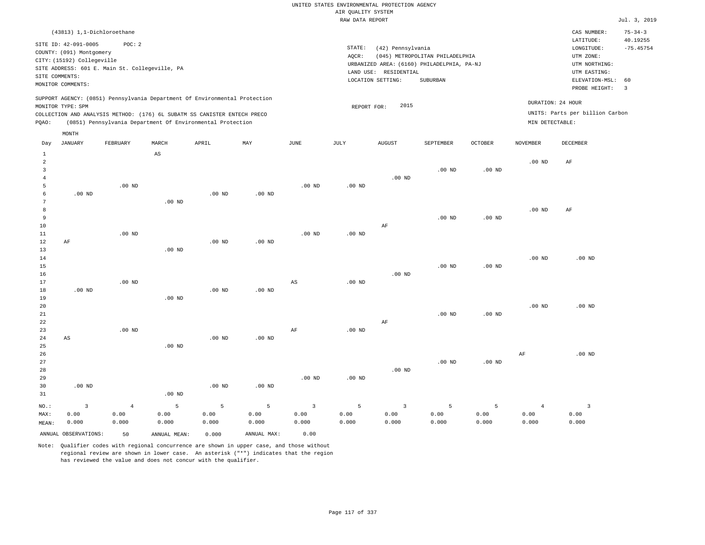| (43813) 1,1-Dichloroethane                                                                                                                                                                                                                                  |                                                                                                                                                                                    | CAS NUMBER:                                                                                                 | $75 - 34 - 3$                 |
|-------------------------------------------------------------------------------------------------------------------------------------------------------------------------------------------------------------------------------------------------------------|------------------------------------------------------------------------------------------------------------------------------------------------------------------------------------|-------------------------------------------------------------------------------------------------------------|-------------------------------|
| SITE ID: 42-091-0005<br>POC: 2<br>COUNTY: (091) Montgomery<br>CITY: (15192) Collegeville<br>SITE ADDRESS: 601 E. Main St. Collegeville, PA<br>SITE COMMENTS:<br>MONITOR COMMENTS:                                                                           | STATE:<br>(42) Pennsylvania<br>AOCR:<br>(045) METROPOLITAN PHILADELPHIA<br>URBANIZED AREA: (6160) PHILADELPHIA, PA-NJ<br>RESIDENTIAL<br>LAND USE:<br>LOCATION SETTING:<br>SUBURBAN | LATITUDE:<br>LONGITUDE:<br>UTM ZONE:<br>UTM NORTHING:<br>UTM EASTING:<br>ELEVATION-MSL: 60<br>PROBE HEIGHT: | 40.19255<br>$-75.45754$<br>-3 |
| SUPPORT AGENCY: (0851) Pennsylvania Department Of Environmental Protection<br>MONITOR TYPE: SPM<br>COLLECTION AND ANALYSIS METHOD: (176) 6L SUBATM SS CANISTER ENTECH PRECO<br>(0851) Pennsylvania Department Of Environmental Protection<br>POAO:<br>MONTH | 2015<br>REPORT FOR:                                                                                                                                                                | DURATION: 24 HOUR<br>UNITS: Parts per billion Carbon<br>MIN DETECTABLE:                                     |                               |

| Day            | JANUARY                | FEBRUARY       | MARCH                  | APRIL             | MAY            | JUNE                   | JULY     | AUGUST                  | SEPTEMBER | OCTOBER           | NOVEMBER          | DECEMBER                |
|----------------|------------------------|----------------|------------------------|-------------------|----------------|------------------------|----------|-------------------------|-----------|-------------------|-------------------|-------------------------|
| $\mathbf{1}$   |                        |                | $\mathbb{A}\mathbb{S}$ |                   |                |                        |          |                         |           |                   |                   |                         |
| $\overline{a}$ |                        |                |                        |                   |                |                        |          |                         |           |                   | $.00$ ND          | AF                      |
| 3              |                        |                |                        |                   |                |                        |          |                         | $.00$ ND  | .00 <sub>ND</sub> |                   |                         |
| $\overline{4}$ |                        |                |                        |                   |                |                        |          | $.00$ ND                |           |                   |                   |                         |
| 5              |                        | $.00$ ND       |                        |                   |                | .00 <sub>ND</sub>      | $.00$ ND |                         |           |                   |                   |                         |
| 6              | $.00$ ND               |                |                        | .00 <sub>ND</sub> | $.00$ ND       |                        |          |                         |           |                   |                   |                         |
| 7              |                        |                | $.00$ ND               |                   |                |                        |          |                         |           |                   |                   |                         |
| $\,8\,$        |                        |                |                        |                   |                |                        |          |                         |           |                   | $.00$ ND          | $\rm AF$                |
| 9              |                        |                |                        |                   |                |                        |          |                         | $.00$ ND  | .00 <sub>ND</sub> |                   |                         |
| $10$           |                        |                |                        |                   |                |                        |          | AF                      |           |                   |                   |                         |
| 11             |                        | $.00$ ND       |                        |                   |                | .00 <sub>ND</sub>      | .00 $ND$ |                         |           |                   |                   |                         |
| 12             | $\rm AF$               |                |                        | .00 <sub>ND</sub> | $.00$ ND       |                        |          |                         |           |                   |                   |                         |
| 13             |                        |                | $.00$ ND               |                   |                |                        |          |                         |           |                   |                   |                         |
| 14             |                        |                |                        |                   |                |                        |          |                         |           |                   | .00 <sub>ND</sub> | $.00$ ND                |
| 15             |                        |                |                        |                   |                |                        |          |                         | $.00$ ND  | $.00$ ND          |                   |                         |
| 16             |                        |                |                        |                   |                |                        |          | $.00$ ND                |           |                   |                   |                         |
| 17             |                        | $.00$ ND       |                        |                   |                | $\mathbb{A}\mathbb{S}$ | $.00$ ND |                         |           |                   |                   |                         |
| 18             | $.00$ ND               |                |                        | .00 <sub>ND</sub> | $.00$ ND       |                        |          |                         |           |                   |                   |                         |
| 19             |                        |                | $.00$ ND               |                   |                |                        |          |                         |           |                   |                   |                         |
| $20\,$         |                        |                |                        |                   |                |                        |          |                         |           |                   | .00 <sub>ND</sub> | $.00$ ND                |
| $21\,$         |                        |                |                        |                   |                |                        |          |                         | $.00$ ND  | .00 <sub>ND</sub> |                   |                         |
| 22             |                        |                |                        |                   |                |                        |          | $\rm AF$                |           |                   |                   |                         |
| 23             |                        | $.00$ ND       |                        |                   |                | $\rm AF$               | $.00$ ND |                         |           |                   |                   |                         |
| 24             | $\mathbb{A}\mathbb{S}$ |                |                        | .00 <sub>ND</sub> | $.00$ ND       |                        |          |                         |           |                   |                   |                         |
| 25             |                        |                | $.00$ ND               |                   |                |                        |          |                         |           |                   |                   |                         |
| 26             |                        |                |                        |                   |                |                        |          |                         |           |                   | AF                | $.00$ ND                |
| 27             |                        |                |                        |                   |                |                        |          |                         | $.00$ ND  | .00 <sub>ND</sub> |                   |                         |
| 28             |                        |                |                        |                   |                |                        |          | $.00$ ND                |           |                   |                   |                         |
| 29             |                        |                |                        |                   |                | $.00$ ND               | $.00$ ND |                         |           |                   |                   |                         |
| 30             | $.00$ ND               |                |                        | .00 <sub>ND</sub> | $.00$ ND       |                        |          |                         |           |                   |                   |                         |
| 31             |                        |                | $.00$ ND               |                   |                |                        |          |                         |           |                   |                   |                         |
| $_{\rm NO.}$ : | $\mathsf 3$            | $\overline{4}$ | $\mathsf S$            | $\mathsf S$       | $\overline{5}$ | $\overline{3}$         | 5        | $\overline{\mathbf{3}}$ | 5         | 5                 | $\overline{4}$    | $\overline{\mathbf{3}}$ |
| MAX:           | 0.00                   | 0.00           | 0.00                   | 0.00              | 0.00           | 0.00                   | 0.00     | 0.00                    | 0.00      | 0.00              | 0.00              | 0.00                    |
| MEAN:          | 0.000                  | 0.000          | 0.000                  | 0.000             | 0.000          | 0.000                  | 0.000    | 0.000                   | 0.000     | 0.000             | 0.000             | 0.000                   |
|                | ANNUAL OBSERVATIONS:   | 50             | ANNUAL MEAN:           | 0.000             | ANNUAL MAX:    | 0.00                   |          |                         |           |                   |                   |                         |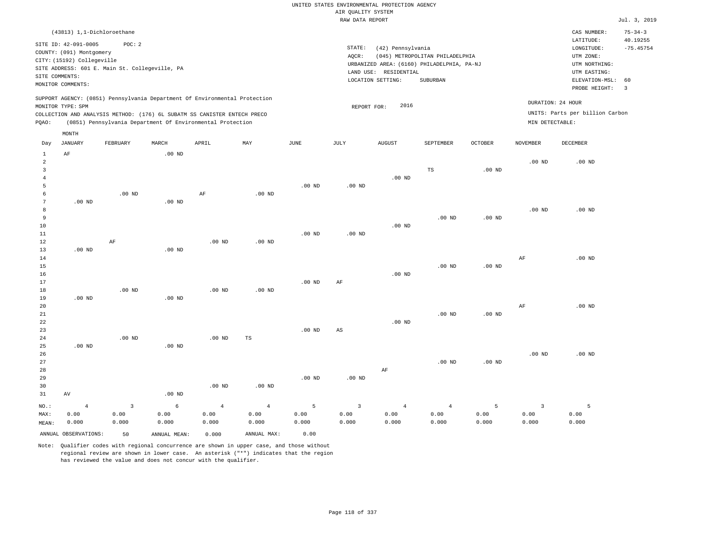|                | (43813) 1,1-Dichloroethane |                                                |       |                                                                          |                                                                            |      |      |                                            |                                 |         |                   | CAS NUMBER:                     | $75 - 34 - 3$ |
|----------------|----------------------------|------------------------------------------------|-------|--------------------------------------------------------------------------|----------------------------------------------------------------------------|------|------|--------------------------------------------|---------------------------------|---------|-------------------|---------------------------------|---------------|
|                | SITE ID: 42-091-0005       | POC: 2                                         |       |                                                                          |                                                                            |      |      |                                            |                                 |         |                   | LATITUDE:                       | 40.19255      |
|                | COUNTY: (091) Montgomery   |                                                |       |                                                                          |                                                                            |      |      | STATE:<br>(42) Pennsylvania                |                                 |         |                   | LONGITUDE:                      | $-75.45754$   |
|                |                            |                                                |       |                                                                          |                                                                            |      |      | AOCR:                                      | (045) METROPOLITAN PHILADELPHIA |         |                   | UTM ZONE:                       |               |
|                | CITY: (15192) Collegeville |                                                |       |                                                                          |                                                                            |      |      | URBANIZED AREA: (6160) PHILADELPHIA, PA-NJ |                                 |         |                   | UTM NORTHING:                   |               |
|                |                            | SITE ADDRESS: 601 E. Main St. Collegeville, PA |       |                                                                          |                                                                            |      |      |                                            |                                 |         |                   |                                 |               |
| SITE COMMENTS: |                            |                                                |       |                                                                          |                                                                            |      |      | LAND USE: RESIDENTIAL                      |                                 |         |                   | UTM EASTING:                    |               |
|                |                            |                                                |       |                                                                          |                                                                            |      |      | LOCATION SETTING:                          | SUBURBAN                        |         |                   | ELEVATION-MSL: 60               |               |
|                | MONITOR COMMENTS:          |                                                |       |                                                                          |                                                                            |      |      |                                            |                                 |         |                   | PROBE HEIGHT:                   | - 3           |
|                |                            |                                                |       |                                                                          |                                                                            |      |      |                                            |                                 |         |                   |                                 |               |
|                |                            |                                                |       |                                                                          | SUPPORT AGENCY: (0851) Pennsylvania Department Of Environmental Protection |      |      |                                            |                                 |         | DURATION: 24 HOUR |                                 |               |
|                | MONITOR TYPE: SPM          |                                                |       |                                                                          |                                                                            |      |      | 2016<br>REPORT FOR:                        |                                 |         |                   |                                 |               |
|                |                            |                                                |       | COLLECTION AND ANALYSIS METHOD: (176) 6L SUBATM SS CANISTER ENTECH PRECO |                                                                            |      |      |                                            |                                 |         |                   | UNITS: Parts per billion Carbon |               |
| POAO:          |                            |                                                |       | (0851) Pennsylvania Department Of Environmental Protection               |                                                                            |      |      |                                            |                                 |         | MIN DETECTABLE:   |                                 |               |
|                | MONTH                      |                                                |       |                                                                          |                                                                            |      |      |                                            |                                 |         |                   |                                 |               |
| Day            | JANUARY                    | FEBRUARY                                       | MARCH | APRIL                                                                    | MAY                                                                        | JUNE | JULY | <b>AUGUST</b>                              | <b>SEPTEMBER</b>                | OCTOBER | NOVEMBER          | DECEMBER                        |               |
|                |                            |                                                |       |                                                                          |                                                                            |      |      |                                            |                                 |         |                   |                                 |               |

| 1              | AF                   |                | $.00$ ND     |                |                |          |                        |                |          |                   |                         |          |
|----------------|----------------------|----------------|--------------|----------------|----------------|----------|------------------------|----------------|----------|-------------------|-------------------------|----------|
| $\overline{a}$ |                      |                |              |                |                |          |                        |                |          |                   | $.00$ ND                | $.00$ ND |
| 3              |                      |                |              |                |                |          |                        |                | TS       | $.00$ ND          |                         |          |
| $\overline{4}$ |                      |                |              |                |                |          |                        | .00 $ND$       |          |                   |                         |          |
| 5              |                      |                |              |                |                | $.00$ ND | $.00$ ND               |                |          |                   |                         |          |
| 6              |                      | $.00$ ND       |              | $\rm AF$       | $.00$ ND       |          |                        |                |          |                   |                         |          |
| 7              | $.00~\mathrm{ND}$    |                | $.00$ ND     |                |                |          |                        |                |          |                   |                         |          |
| 8              |                      |                |              |                |                |          |                        |                |          |                   | $.00$ ND                | $.00$ ND |
| 9              |                      |                |              |                |                |          |                        |                | $.00$ ND | .00 <sub>ND</sub> |                         |          |
| 10             |                      |                |              |                |                |          |                        | $.00$ ND       |          |                   |                         |          |
| $11\,$         |                      |                |              |                |                | $.00$ ND | $.00$ ND               |                |          |                   |                         |          |
| 12<br>13       | $.00$ ND             | $\rm AF$       | $.00$ ND     | $.00$ ND       | $.00$ ND       |          |                        |                |          |                   |                         |          |
| 14             |                      |                |              |                |                |          |                        |                |          |                   | $\rm{AF}$               | $.00$ ND |
| 15             |                      |                |              |                |                |          |                        |                | $.00$ ND | $.00$ ND          |                         |          |
| 16             |                      |                |              |                |                |          |                        | .00 $ND$       |          |                   |                         |          |
| 17             |                      |                |              |                |                | $.00$ ND | $\rm AF$               |                |          |                   |                         |          |
| 18             |                      | $.00$ ND       |              | $.00$ ND       | $.00$ ND       |          |                        |                |          |                   |                         |          |
| 19             | $.00~\mathrm{ND}$    |                | $.00$ ND     |                |                |          |                        |                |          |                   |                         |          |
| 20             |                      |                |              |                |                |          |                        |                |          |                   | $\rm{AF}$               | $.00$ ND |
| 21             |                      |                |              |                |                |          |                        |                | $.00$ ND | .00 <sub>ND</sub> |                         |          |
| 22             |                      |                |              |                |                |          |                        | $.00$ ND       |          |                   |                         |          |
| 23             |                      |                |              |                |                | $.00$ ND | $\mathbb{A}\mathbb{S}$ |                |          |                   |                         |          |
| 24             |                      | $.00$ ND       |              | $.00$ ND       | $_{\rm TS}$    |          |                        |                |          |                   |                         |          |
| 25             | $.00$ ND             |                | $.00$ ND     |                |                |          |                        |                |          |                   |                         |          |
| 26             |                      |                |              |                |                |          |                        |                |          |                   | $.00$ ND                | $.00$ ND |
| 27             |                      |                |              |                |                |          |                        |                | $.00$ ND | $.00$ ND          |                         |          |
| 28             |                      |                |              |                |                |          |                        | $\rm AF$       |          |                   |                         |          |
| 29             |                      |                |              |                |                | $.00$ ND | $.00$ ND               |                |          |                   |                         |          |
| 30             |                      |                |              | $.00$ ND       | $.00$ ND       |          |                        |                |          |                   |                         |          |
| 31             | AV                   |                | $.00$ ND     |                |                |          |                        |                |          |                   |                         |          |
| $_{\rm NO.}$ : | $\overline{4}$       | $\overline{3}$ | $\epsilon$   | $\overline{4}$ | $\overline{4}$ | 5        | $\overline{3}$         | $\overline{4}$ | $\,4$    | 5                 | $\overline{\mathbf{3}}$ | 5        |
| MAX:           | 0.00                 | 0.00           | 0.00         | 0.00           | 0.00           | 0.00     | 0.00                   | 0.00           | 0.00     | 0.00              | 0.00                    | 0.00     |
| MEAN:          | 0.000                | 0.000          | 0.000        | 0.000          | 0.000          | 0.000    | 0.000                  | 0.000          | 0.000    | 0.000             | 0.000                   | 0.000    |
|                | ANNUAL OBSERVATIONS: | 50             | ANNUAL MEAN: | 0.000          | ANNUAL MAX:    | 0.00     |                        |                |          |                   |                         |          |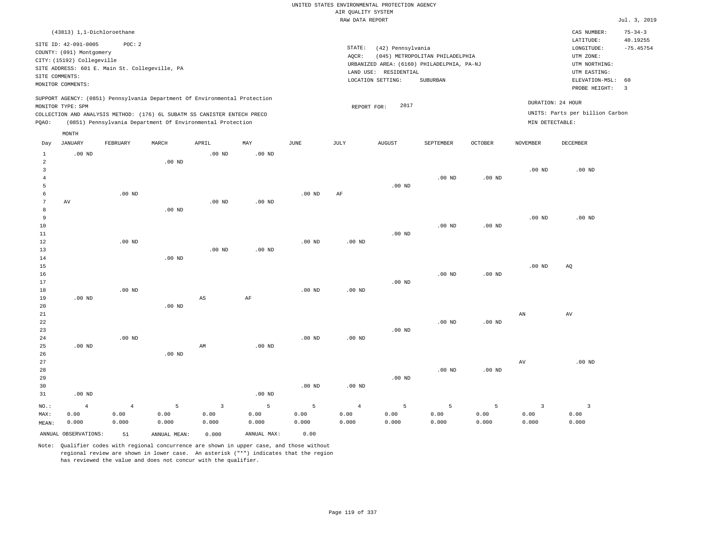|                                |                                                                                |                                                |                   |                                                                            |                   |                   |                                       | UNITED STATES ENVIRONMENTAL PROTECTION AGENCY |                                            |                |                         |                                        |                                          |
|--------------------------------|--------------------------------------------------------------------------------|------------------------------------------------|-------------------|----------------------------------------------------------------------------|-------------------|-------------------|---------------------------------------|-----------------------------------------------|--------------------------------------------|----------------|-------------------------|----------------------------------------|------------------------------------------|
|                                |                                                                                |                                                |                   |                                                                            |                   |                   | AIR QUALITY SYSTEM<br>RAW DATA REPORT |                                               |                                            |                |                         |                                        | Jul. 3, 2019                             |
|                                |                                                                                |                                                |                   |                                                                            |                   |                   |                                       |                                               |                                            |                |                         |                                        |                                          |
|                                | (43813) 1,1-Dichloroethane<br>SITE ID: 42-091-0005<br>COUNTY: (091) Montgomery | POC: 2                                         |                   |                                                                            |                   |                   | STATE:                                | (42) Pennsylvania                             |                                            |                |                         | CAS NUMBER:<br>LATITUDE:<br>LONGITUDE: | $75 - 34 - 3$<br>40.19255<br>$-75.45754$ |
|                                | CITY: (15192) Collegeville                                                     |                                                |                   |                                                                            |                   |                   | AOCR:                                 |                                               | (045) METROPOLITAN PHILADELPHIA            |                |                         | UTM ZONE:                              |                                          |
|                                |                                                                                | SITE ADDRESS: 601 E. Main St. Collegeville, PA |                   |                                                                            |                   |                   |                                       |                                               | URBANIZED AREA: (6160) PHILADELPHIA, PA-NJ |                |                         | UTM NORTHING:                          |                                          |
|                                | SITE COMMENTS:                                                                 |                                                |                   |                                                                            |                   |                   |                                       | LAND USE: RESIDENTIAL<br>LOCATION SETTING:    | SUBURBAN                                   |                |                         | UTM EASTING:<br>ELEVATION-MSL:         | 60                                       |
|                                | MONITOR COMMENTS:                                                              |                                                |                   |                                                                            |                   |                   |                                       |                                               |                                            |                |                         | PROBE HEIGHT:                          | $\overline{3}$                           |
|                                | MONITOR TYPE: SPM                                                              |                                                |                   | SUPPORT AGENCY: (0851) Pennsylvania Department Of Environmental Protection |                   |                   | REPORT FOR:                           | 2017                                          |                                            |                |                         | DURATION: 24 HOUR                      |                                          |
|                                |                                                                                |                                                |                   | COLLECTION AND ANALYSIS METHOD: (176) 6L SUBATM SS CANISTER ENTECH PRECO   |                   |                   |                                       |                                               |                                            |                |                         | UNITS: Parts per billion Carbon        |                                          |
| PQAO:                          |                                                                                |                                                |                   | (0851) Pennsylvania Department Of Environmental Protection                 |                   |                   |                                       |                                               |                                            |                | MIN DETECTABLE:         |                                        |                                          |
|                                | MONTH                                                                          |                                                |                   |                                                                            |                   |                   |                                       |                                               |                                            |                |                         |                                        |                                          |
| Day                            | <b>JANUARY</b>                                                                 | FEBRUARY                                       | MARCH             | APRIL                                                                      | MAY               | $_{\rm JUNE}$     | <b>JULY</b>                           | <b>AUGUST</b>                                 | SEPTEMBER                                  | <b>OCTOBER</b> | <b>NOVEMBER</b>         | <b>DECEMBER</b>                        |                                          |
| $\mathbf{1}$<br>$\overline{a}$ | $.00$ ND                                                                       |                                                | $.00$ ND          | .00 <sub>ND</sub>                                                          | .00 <sub>ND</sub> |                   |                                       |                                               |                                            |                |                         |                                        |                                          |
| 3                              |                                                                                |                                                |                   |                                                                            |                   |                   |                                       |                                               |                                            |                | .00 <sub>ND</sub>       | $.00$ ND                               |                                          |
| $\overline{4}$                 |                                                                                |                                                |                   |                                                                            |                   |                   |                                       |                                               | .00 <sub>ND</sub>                          | $.00$ ND       |                         |                                        |                                          |
| 5                              |                                                                                |                                                |                   |                                                                            |                   |                   |                                       | .00 <sub>ND</sub>                             |                                            |                |                         |                                        |                                          |
| 6                              |                                                                                | $.00$ ND                                       |                   |                                                                            |                   | $.00$ ND          | AF                                    |                                               |                                            |                |                         |                                        |                                          |
| $\overline{7}$                 | $\operatorname{AV}$                                                            |                                                |                   | .00 <sub>ND</sub>                                                          | .00 <sub>ND</sub> |                   |                                       |                                               |                                            |                |                         |                                        |                                          |
| 8                              |                                                                                |                                                | $.00$ ND          |                                                                            |                   |                   |                                       |                                               |                                            |                |                         |                                        |                                          |
| 9<br>10                        |                                                                                |                                                |                   |                                                                            |                   |                   |                                       |                                               | $.00$ ND                                   | $.00$ ND       | .00 <sub>ND</sub>       | .00 <sub>ND</sub>                      |                                          |
| 11                             |                                                                                |                                                |                   |                                                                            |                   |                   |                                       | $.00$ ND                                      |                                            |                |                         |                                        |                                          |
| 12                             |                                                                                | $.00$ ND                                       |                   |                                                                            |                   | $.00$ ND          | $.00$ ND                              |                                               |                                            |                |                         |                                        |                                          |
| 13                             |                                                                                |                                                |                   | $.00$ ND                                                                   | $.00$ ND          |                   |                                       |                                               |                                            |                |                         |                                        |                                          |
| $1\,4$                         |                                                                                |                                                | $.00$ ND          |                                                                            |                   |                   |                                       |                                               |                                            |                |                         |                                        |                                          |
| 15                             |                                                                                |                                                |                   |                                                                            |                   |                   |                                       |                                               |                                            |                | .00 <sub>ND</sub>       | AQ                                     |                                          |
| 16                             |                                                                                |                                                |                   |                                                                            |                   |                   |                                       |                                               | .00 <sub>ND</sub>                          | $.00$ ND       |                         |                                        |                                          |
| 17<br>18                       |                                                                                | $.00$ ND                                       |                   |                                                                            |                   | $.00$ ND          | $.00$ ND                              | $.00$ ND                                      |                                            |                |                         |                                        |                                          |
| 19                             | $.00$ ND                                                                       |                                                |                   | $\mathbb{A}\mathbb{S}$                                                     | AF                |                   |                                       |                                               |                                            |                |                         |                                        |                                          |
| 20                             |                                                                                |                                                | .00 <sub>ND</sub> |                                                                            |                   |                   |                                       |                                               |                                            |                |                         |                                        |                                          |
| 21                             |                                                                                |                                                |                   |                                                                            |                   |                   |                                       |                                               |                                            |                | ${\tt AN}$              | AV                                     |                                          |
| 22                             |                                                                                |                                                |                   |                                                                            |                   |                   |                                       |                                               | $.00$ ND                                   | $.00$ ND       |                         |                                        |                                          |
| 23                             |                                                                                |                                                |                   |                                                                            |                   |                   |                                       | .00 <sub>ND</sub>                             |                                            |                |                         |                                        |                                          |
| 24                             |                                                                                | $.00$ ND                                       |                   |                                                                            |                   | .00 <sub>ND</sub> | .00 <sub>ND</sub>                     |                                               |                                            |                |                         |                                        |                                          |
| 25<br>26                       | $.00$ ND                                                                       |                                                | $.00$ ND          | AM                                                                         | $.00$ ND          |                   |                                       |                                               |                                            |                |                         |                                        |                                          |
| 27                             |                                                                                |                                                |                   |                                                                            |                   |                   |                                       |                                               |                                            |                | AV                      | $.00$ ND                               |                                          |
| 28                             |                                                                                |                                                |                   |                                                                            |                   |                   |                                       |                                               | .00 <sub>ND</sub>                          | $.00$ ND       |                         |                                        |                                          |
| 29                             |                                                                                |                                                |                   |                                                                            |                   |                   |                                       | $.00$ ND                                      |                                            |                |                         |                                        |                                          |
| 30                             |                                                                                |                                                |                   |                                                                            |                   | $.00$ ND          | $.00$ ND                              |                                               |                                            |                |                         |                                        |                                          |
| 31                             | $.00$ ND                                                                       |                                                |                   |                                                                            | .00 <sub>ND</sub> |                   |                                       |                                               |                                            |                |                         |                                        |                                          |
| NO.:                           | $\overline{4}$                                                                 | $\overline{4}$                                 | $\overline{5}$    | $\overline{3}$                                                             | $\mathsf S$       | 5                 | $\overline{4}$                        | 5                                             | 5                                          | 5              | $\overline{\mathbf{3}}$ | $\overline{\mathbf{3}}$                |                                          |
| MAX:                           | 0.00                                                                           | 0.00                                           | 0.00              | 0.00                                                                       | 0.00              | 0.00              | 0.00                                  | 0.00                                          | 0.00                                       | 0.00           | 0.00                    | 0.00                                   |                                          |
| MEAN:                          | 0.000                                                                          | 0.000                                          | 0.000             | 0.000                                                                      | 0.000             | 0.000             | 0.000                                 | 0.000                                         | 0.000                                      | 0.000          | 0.000                   | 0.000                                  |                                          |
|                                | ANNUAL OBSERVATIONS:                                                           | 51                                             | ANNUAL, MEAN:     | 0.000                                                                      | ANNUAL MAX:       | 0.00              |                                       |                                               |                                            |                |                         |                                        |                                          |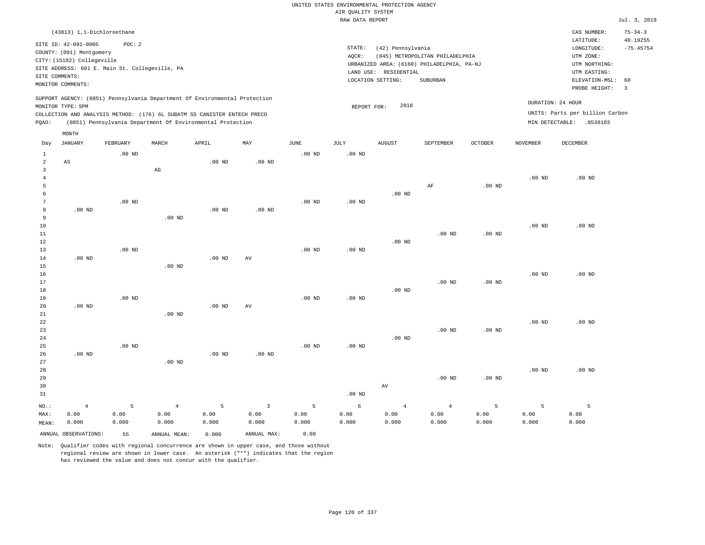|                                           |                                                                                                                                                       |                    |                                                                                                                                        |                    |                                 |                    | UNITED STATES ENVIRONMENTAL PROTECTION AGENCY<br>AIR QUALITY SYSTEM |                                                                 |                                                                                           |                    |                    |                                                                                                          |                                                 |
|-------------------------------------------|-------------------------------------------------------------------------------------------------------------------------------------------------------|--------------------|----------------------------------------------------------------------------------------------------------------------------------------|--------------------|---------------------------------|--------------------|---------------------------------------------------------------------|-----------------------------------------------------------------|-------------------------------------------------------------------------------------------|--------------------|--------------------|----------------------------------------------------------------------------------------------------------|-------------------------------------------------|
|                                           |                                                                                                                                                       |                    |                                                                                                                                        |                    |                                 |                    | RAW DATA REPORT                                                     |                                                                 |                                                                                           |                    |                    |                                                                                                          | Jul. 3, 2019                                    |
|                                           | (43813) 1,1-Dichloroethane                                                                                                                            |                    |                                                                                                                                        |                    |                                 |                    |                                                                     |                                                                 |                                                                                           |                    |                    | CAS NUMBER:                                                                                              | $75 - 34 - 3$                                   |
| SITE COMMENTS:                            | SITE ID: 42-091-0005<br>COUNTY: (091) Montgomery<br>CITY: (15192) Collegeville<br>SITE ADDRESS: 601 E. Main St. Collegeville, PA<br>MONITOR COMMENTS: | POC: 2             |                                                                                                                                        |                    |                                 |                    | STATE:<br>AQCR:                                                     | (42) Pennsylvania<br>LAND USE: RESIDENTIAL<br>LOCATION SETTING: | (045) METROPOLITAN PHILADELPHIA<br>URBANIZED AREA: (6160) PHILADELPHIA, PA-NJ<br>SUBURBAN |                    |                    | LATITUDE:<br>LONGITUDE:<br>UTM ZONE:<br>UTM NORTHING:<br>UTM EASTING:<br>ELEVATION-MSL:<br>PROBE HEIGHT: | 40.19255<br>$-75.45754$<br>60<br>$\overline{3}$ |
|                                           |                                                                                                                                                       |                    | SUPPORT AGENCY: (0851) Pennsylvania Department Of Environmental Protection                                                             |                    |                                 |                    |                                                                     |                                                                 |                                                                                           |                    |                    | DURATION: 24 HOUR                                                                                        |                                                 |
| PQAO:                                     | MONITOR TYPE: SPM                                                                                                                                     |                    | COLLECTION AND ANALYSIS METHOD: (176) 6L SUBATM SS CANISTER ENTECH PRECO<br>(0851) Pennsylvania Department Of Environmental Protection |                    |                                 |                    | REPORT FOR:                                                         | 2018                                                            |                                                                                           |                    |                    | UNITS: Parts per billion Carbon<br>MIN DETECTABLE: .0538103                                              |                                                 |
| Day                                       | MONTH<br><b>JANUARY</b>                                                                                                                               | FEBRUARY           | MARCH                                                                                                                                  | APRIL              | MAY                             | JUNE               | <b>JULY</b>                                                         | <b>AUGUST</b>                                                   | SEPTEMBER                                                                                 | <b>OCTOBER</b>     | <b>NOVEMBER</b>    | <b>DECEMBER</b>                                                                                          |                                                 |
| 1                                         |                                                                                                                                                       | .00 <sub>ND</sub>  |                                                                                                                                        |                    |                                 | $.00$ ND           | .00 <sub>ND</sub>                                                   |                                                                 |                                                                                           |                    |                    |                                                                                                          |                                                 |
| $\overline{a}$<br>$\overline{\mathbf{3}}$ | $_{\rm AS}$                                                                                                                                           |                    | $\mathbb{A}\mathbb{G}$                                                                                                                 | $.00$ ND           | $.00$ ND                        |                    |                                                                     |                                                                 |                                                                                           |                    |                    |                                                                                                          |                                                 |
| $\overline{4}$<br>5<br>6                  |                                                                                                                                                       |                    |                                                                                                                                        |                    |                                 |                    |                                                                     | $.00$ ND                                                        | $\rm AF$                                                                                  | $.00$ ND           | .00 <sub>ND</sub>  | $.00$ ND                                                                                                 |                                                 |
| $\overline{7}$<br>8<br>$\mathsf{q}$       | $.00$ ND                                                                                                                                              | $.00$ ND           | $.00$ ND                                                                                                                               | $.00$ ND           | $.00$ ND                        | $.00$ ND           | $.00$ ND                                                            |                                                                 |                                                                                           |                    |                    |                                                                                                          |                                                 |
| 10<br>11<br>12                            |                                                                                                                                                       |                    |                                                                                                                                        |                    |                                 |                    |                                                                     | $.00$ ND                                                        | $.00$ ND                                                                                  | $.00$ ND           | .00 <sub>ND</sub>  | $.00$ ND                                                                                                 |                                                 |
| 13<br>14<br>15                            | $.00$ ND                                                                                                                                              | $.00$ ND           | $.00$ ND                                                                                                                               | $.00$ ND           | $\operatorname{AV}$             | $.00$ ND           | $.00$ ND                                                            |                                                                 |                                                                                           |                    |                    |                                                                                                          |                                                 |
| 16<br>17<br>18                            |                                                                                                                                                       |                    |                                                                                                                                        |                    |                                 |                    |                                                                     | $.00$ ND                                                        | $.00$ ND                                                                                  | $.00$ ND           | $.00$ ND           | $.00$ ND                                                                                                 |                                                 |
| 19<br>20<br>21                            | $.00$ ND                                                                                                                                              | .00 <sub>ND</sub>  | $.00$ ND                                                                                                                               | $.00$ ND           | AV                              | $.00$ ND           | .00 <sub>ND</sub>                                                   |                                                                 |                                                                                           |                    |                    |                                                                                                          |                                                 |
| 22<br>23<br>24                            |                                                                                                                                                       |                    |                                                                                                                                        |                    |                                 |                    |                                                                     | $.00$ ND                                                        | $.00$ ND                                                                                  | .00 <sub>ND</sub>  | $.00$ ND           | $.00$ ND                                                                                                 |                                                 |
| 25<br>26<br>27<br>28                      | $.00$ ND                                                                                                                                              | $.00$ ND           | .00 <sub>ND</sub>                                                                                                                      | $.00$ ND           | $.00$ ND                        | $.00$ ND           | .00 <sub>ND</sub>                                                   |                                                                 |                                                                                           |                    | $.00$ ND           | $.00$ ND                                                                                                 |                                                 |
| 29<br>30<br>31                            |                                                                                                                                                       |                    |                                                                                                                                        |                    |                                 |                    | $.00$ ND                                                            | AV                                                              | $.00$ ND                                                                                  | $.00$ ND           |                    |                                                                                                          |                                                 |
| NO.:<br>MAX:<br>MEAN:                     | $\sqrt{4}$<br>0.00<br>0.000                                                                                                                           | 5<br>0.00<br>0.000 | $\overline{4}$<br>0.00<br>0.000                                                                                                        | 5<br>0.00<br>0.000 | $\overline{3}$<br>0.00<br>0.000 | 5<br>0.00<br>0.000 | 6<br>0.00<br>0.000                                                  | $\overline{4}$<br>0.00<br>0.000                                 | $\overline{4}$<br>0.00<br>0.000                                                           | 5<br>0.00<br>0.000 | 5<br>0.00<br>0.000 | 5<br>0.00<br>0.000                                                                                       |                                                 |
|                                           | ANNUAL OBSERVATIONS:                                                                                                                                  | 55                 | ANNUAL MEAN:                                                                                                                           | 0.000              | ANNUAL MAX:                     | 0.00               |                                                                     |                                                                 |                                                                                           |                    |                    |                                                                                                          |                                                 |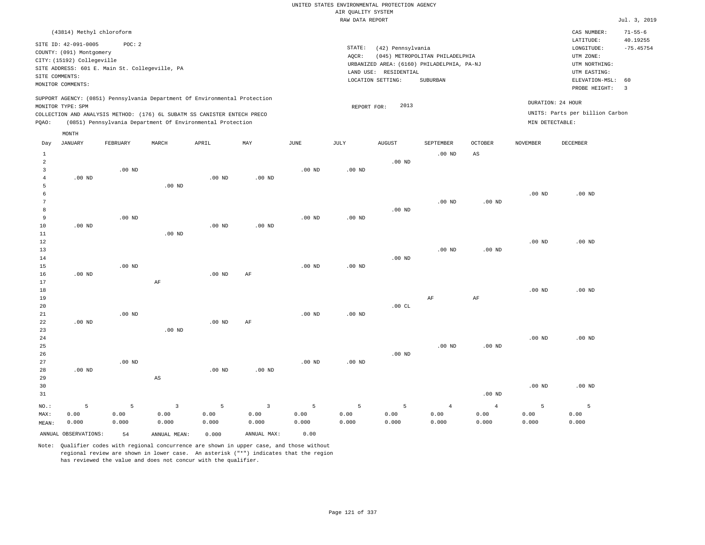# UNITED STATES ENVIRONMENTAL PROTECTION AGENCY AIR QUALITY SYSTEM

|                |                                                                                |                                                |          |                                                                            |          |                   | RAW DATA REPORT   |                       |                                            |                   |                   |                                      | Jul. 3, 2019                  |
|----------------|--------------------------------------------------------------------------------|------------------------------------------------|----------|----------------------------------------------------------------------------|----------|-------------------|-------------------|-----------------------|--------------------------------------------|-------------------|-------------------|--------------------------------------|-------------------------------|
|                | (43814) Methyl chloroform                                                      |                                                |          |                                                                            |          |                   |                   |                       |                                            |                   |                   | CAS NUMBER:                          | $71 - 55 - 6$                 |
|                | SITE ID: 42-091-0005<br>COUNTY: (091) Montgomery<br>CITY: (15192) Collegeville | POC: 2                                         |          |                                                                            |          |                   | STATE:<br>AQCR:   | (42) Pennsylvania     | (045) METROPOLITAN PHILADELPHIA            |                   |                   | LATITUDE:<br>LONGITUDE:<br>UTM ZONE: | 40.19255<br>$-75.45754$       |
|                |                                                                                | SITE ADDRESS: 601 E. Main St. Collegeville, PA |          |                                                                            |          |                   |                   |                       | URBANIZED AREA: (6160) PHILADELPHIA, PA-NJ |                   |                   | UTM NORTHING:                        |                               |
|                | SITE COMMENTS:                                                                 |                                                |          |                                                                            |          |                   |                   | LAND USE: RESIDENTIAL |                                            |                   |                   | UTM EASTING:                         |                               |
|                | MONITOR COMMENTS:                                                              |                                                |          |                                                                            |          |                   |                   | LOCATION SETTING:     | SUBURBAN                                   |                   |                   | ELEVATION-MSL:<br>PROBE HEIGHT:      | 60<br>$\overline{\mathbf{3}}$ |
|                | MONITOR TYPE: SPM                                                              |                                                |          | SUPPORT AGENCY: (0851) Pennsylvania Department Of Environmental Protection |          |                   | REPORT FOR:       | 2013                  |                                            |                   |                   | DURATION: 24 HOUR                    |                               |
|                |                                                                                |                                                |          | COLLECTION AND ANALYSIS METHOD: (176) 6L SUBATM SS CANISTER ENTECH PRECO   |          |                   |                   |                       |                                            |                   |                   | UNITS: Parts per billion Carbon      |                               |
| PQAO:          |                                                                                |                                                |          | (0851) Pennsylvania Department Of Environmental Protection                 |          |                   |                   |                       |                                            |                   | MIN DETECTABLE:   |                                      |                               |
|                | MONTH                                                                          |                                                |          |                                                                            |          |                   |                   |                       |                                            |                   |                   |                                      |                               |
| Day            | JANUARY                                                                        | FEBRUARY                                       | MARCH    | APRIL                                                                      | MAY      | JUNE              | JULY              | <b>AUGUST</b>         | SEPTEMBER                                  | <b>OCTOBER</b>    | NOVEMBER          | DECEMBER                             |                               |
| $\mathbf{1}$   |                                                                                |                                                |          |                                                                            |          |                   |                   |                       | .00 <sub>ND</sub>                          | $_{\rm AS}$       |                   |                                      |                               |
| $\overline{a}$ |                                                                                |                                                |          |                                                                            |          |                   |                   | $.00$ ND              |                                            |                   |                   |                                      |                               |
| 3              |                                                                                | $.00$ ND                                       |          |                                                                            |          | $.00$ ND          | .00 <sub>ND</sub> |                       |                                            |                   |                   |                                      |                               |
| $\overline{4}$ | $.00$ ND                                                                       |                                                |          | $.00$ ND                                                                   | $.00$ ND |                   |                   |                       |                                            |                   |                   |                                      |                               |
| 5              |                                                                                |                                                | $.00$ ND |                                                                            |          |                   |                   |                       |                                            |                   |                   |                                      |                               |
| 6              |                                                                                |                                                |          |                                                                            |          |                   |                   |                       |                                            |                   | $.00$ ND          | $.00$ ND                             |                               |
| 7              |                                                                                |                                                |          |                                                                            |          |                   |                   |                       | .00 <sub>ND</sub>                          | .00 <sub>ND</sub> |                   |                                      |                               |
| 8              |                                                                                |                                                |          |                                                                            |          |                   |                   | $.00$ ND              |                                            |                   |                   |                                      |                               |
| 9              |                                                                                | $.00$ ND                                       |          |                                                                            |          | .00 <sub>ND</sub> | $.00$ ND          |                       |                                            |                   |                   |                                      |                               |
| 10             | $.00$ ND                                                                       |                                                |          | $.00$ ND                                                                   | $.00$ ND |                   |                   |                       |                                            |                   |                   |                                      |                               |
| 11             |                                                                                |                                                | $.00$ ND |                                                                            |          |                   |                   |                       |                                            |                   |                   |                                      |                               |
| 12             |                                                                                |                                                |          |                                                                            |          |                   |                   |                       |                                            |                   | .00 <sub>ND</sub> | $.00$ ND                             |                               |
| 13             |                                                                                |                                                |          |                                                                            |          |                   |                   |                       | $.00$ ND                                   | $.00$ ND          |                   |                                      |                               |
| 14             |                                                                                |                                                |          |                                                                            |          |                   |                   | $.00$ ND              |                                            |                   |                   |                                      |                               |
| 15             |                                                                                | $.00$ ND                                       |          |                                                                            |          | .00 <sub>ND</sub> | $.00$ ND          |                       |                                            |                   |                   |                                      |                               |
| 16             | $.00$ ND                                                                       |                                                |          | $.00$ ND                                                                   | AF       |                   |                   |                       |                                            |                   |                   |                                      |                               |
| 17             |                                                                                |                                                | AF       |                                                                            |          |                   |                   |                       |                                            |                   |                   |                                      |                               |
| 18             |                                                                                |                                                |          |                                                                            |          |                   |                   |                       |                                            |                   | $.00$ ND          | $.00$ ND                             |                               |
| 19             |                                                                                |                                                |          |                                                                            |          |                   |                   |                       | AF                                         | AF                |                   |                                      |                               |
| 20             |                                                                                |                                                |          |                                                                            |          |                   |                   | .00CL                 |                                            |                   |                   |                                      |                               |
| 21             |                                                                                | $.00$ ND                                       |          |                                                                            |          | .00 <sub>ND</sub> | $.00$ ND          |                       |                                            |                   |                   |                                      |                               |
| 22             | $.00$ ND                                                                       |                                                |          | .00 <sub>ND</sub>                                                          | AF       |                   |                   |                       |                                            |                   |                   |                                      |                               |
| 23             |                                                                                |                                                | $.00$ ND |                                                                            |          |                   |                   |                       |                                            |                   |                   |                                      |                               |
| 24             |                                                                                |                                                |          |                                                                            |          |                   |                   |                       |                                            |                   | $.00$ ND          | $.00$ ND                             |                               |

25 26 27 28 29 30 31 .00 ND NO.: 5 .00 ND AS .00 ND .00 ND .00 ND .00 ND .00 ND .00 ND .00 ND .00 ND .00 ND .00 ND 5 3 5 3 5 5 5 4 4 5 5

0.00

MEAN: 0.000 0.000 0.000 0.000 0.000 0.000 0.000 0.000 ANNUAL OBSERVATIONS: 54 ANNUAL MEAN: 0.000 ANNUAL MAX: 0.00

0.00

0.00

Note: Qualifier codes with regional concurrence are shown in upper case, and those without regional review are shown in lower case. An asterisk ("\*") indicates that the region has reviewed the value and does not concur with the qualifier.

0.00

MAX:

0.00

0.00

0.00

0.00

 0.00 0.000  0.00 0.000  0.00 0.000  0.00 0.000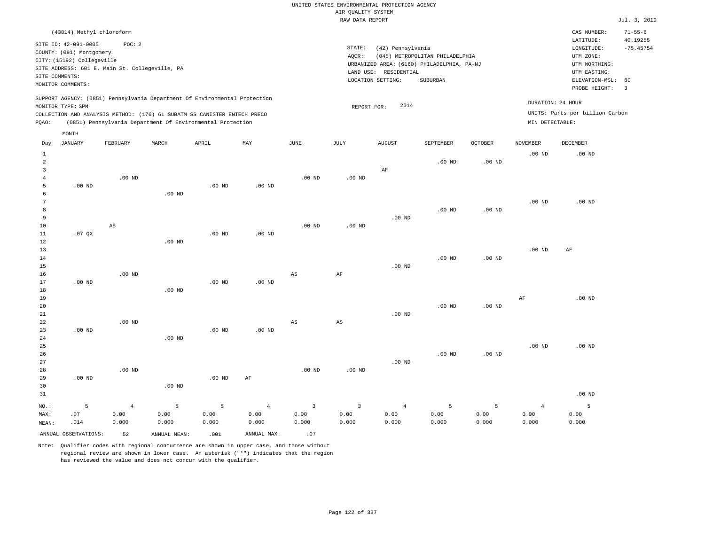| (43814) Methyl chloroform                                                                                                                                                                                                                                   |                                                                                                                                                                                    | CAS NUMBER:                                                                                                 | $71 - 55 - 6$                                      |
|-------------------------------------------------------------------------------------------------------------------------------------------------------------------------------------------------------------------------------------------------------------|------------------------------------------------------------------------------------------------------------------------------------------------------------------------------------|-------------------------------------------------------------------------------------------------------------|----------------------------------------------------|
| SITE ID: 42-091-0005<br>POC: 2<br>COUNTY: (091) Montgomery<br>CITY: (15192) Collegeville<br>SITE ADDRESS: 601 E. Main St. Collegeville, PA<br>SITE COMMENTS:<br>MONITOR COMMENTS:                                                                           | STATE:<br>(42) Pennsylvania<br>AOCR:<br>(045) METROPOLITAN PHILADELPHIA<br>URBANIZED AREA: (6160) PHILADELPHIA, PA-NJ<br>LAND USE:<br>RESIDENTIAL<br>LOCATION SETTING:<br>SUBURBAN | LATITUDE:<br>LONGITUDE:<br>UTM ZONE:<br>UTM NORTHING:<br>UTM EASTING:<br>ELEVATION-MSL: 60<br>PROBE HEIGHT: | 40.19255<br>$-75.45754$<br>$\overline{\mathbf{3}}$ |
| SUPPORT AGENCY: (0851) Pennsylvania Department Of Environmental Protection<br>MONITOR TYPE: SPM<br>COLLECTION AND ANALYSIS METHOD: (176) 6L SUBATM SS CANISTER ENTECH PRECO<br>(0851) Pennsylvania Department Of Environmental Protection<br>POAO:<br>MONTH | 2014<br>REPORT FOR:                                                                                                                                                                | DURATION: 24 HOUR<br>UNITS: Parts per billion Carbon<br>MIN DETECTABLE:                                     |                                                    |

| Day                     | <b>JANUARY</b>       | FEBRUARY          | $\tt MARCH$  | APRIL             | MAY            | $_{\rm JUNE}$ | $_{\rm JULY}$  | AUGUST         | SEPTEMBER | OCTOBER           | NOVEMBER          | DECEMBER |
|-------------------------|----------------------|-------------------|--------------|-------------------|----------------|---------------|----------------|----------------|-----------|-------------------|-------------------|----------|
| $\mathbf{1}$            |                      |                   |              |                   |                |               |                |                |           |                   | $.00$ ND          | .00 $ND$ |
| $\overline{\mathbf{c}}$ |                      |                   |              |                   |                |               |                |                | $.00$ ND  | .00 <sub>ND</sub> |                   |          |
| 3                       |                      |                   |              |                   |                |               |                | $\rm AF$       |           |                   |                   |          |
| $\overline{4}$          |                      | .00 <sub>ND</sub> |              |                   |                | $.00$ ND      | .00 $ND$       |                |           |                   |                   |          |
| 5                       | $.00$ ND             |                   |              | .00 <sub>ND</sub> | $.00$ ND       |               |                |                |           |                   |                   |          |
| 6                       |                      |                   | $.00$ ND     |                   |                |               |                |                |           |                   |                   |          |
| $\overline{7}$          |                      |                   |              |                   |                |               |                |                |           |                   | $.00$ ND          | $.00$ ND |
| 8                       |                      |                   |              |                   |                |               |                |                | $.00$ ND  | .00 <sub>ND</sub> |                   |          |
| 9                       |                      |                   |              |                   |                |               |                | $.00$ ND       |           |                   |                   |          |
| $10$                    |                      | AS                |              |                   |                | $.00$ ND      | $.00$ ND       |                |           |                   |                   |          |
| 11                      | .07QX                |                   |              | .00 <sub>ND</sub> | $.00$ ND       |               |                |                |           |                   |                   |          |
| 12                      |                      |                   | .00 $ND$     |                   |                |               |                |                |           |                   |                   |          |
| 13                      |                      |                   |              |                   |                |               |                |                |           |                   | .00 <sub>ND</sub> | AF       |
| 14<br>15                |                      |                   |              |                   |                |               |                | $.00$ ND       | $.00$ ND  | $.00$ ND          |                   |          |
| 16                      |                      | $.00$ ND          |              |                   |                | $_{\rm AS}$   | $\rm{AF}$      |                |           |                   |                   |          |
| 17                      | $.00$ ND             |                   |              | .00 $ND$          | $.00$ ND       |               |                |                |           |                   |                   |          |
| 18                      |                      |                   | $.00$ ND     |                   |                |               |                |                |           |                   |                   |          |
| 19                      |                      |                   |              |                   |                |               |                |                |           |                   | $\rm AF$          | $.00$ ND |
| 20                      |                      |                   |              |                   |                |               |                |                | $.00$ ND  | $.00$ ND          |                   |          |
| $2\sqrt{1}$             |                      |                   |              |                   |                |               |                | $.00$ ND       |           |                   |                   |          |
| $2\sqrt{2}$             |                      | $.00$ ND          |              |                   |                | $_{\rm AS}$   | $_{\rm AS}$    |                |           |                   |                   |          |
| 23                      | $.00$ ND             |                   |              | $.00$ ND          | $.00$ ND       |               |                |                |           |                   |                   |          |
| $2\,4$                  |                      |                   | $.00$ ND     |                   |                |               |                |                |           |                   |                   |          |
| 25                      |                      |                   |              |                   |                |               |                |                |           |                   | $.00$ ND          | $.00$ ND |
| 26                      |                      |                   |              |                   |                |               |                |                | $.00$ ND  | $.00$ ND          |                   |          |
| 27                      |                      |                   |              |                   |                |               |                | $.00$ ND       |           |                   |                   |          |
| 28                      |                      | $.00$ ND          |              |                   |                | $.00$ ND      | $.00$ ND       |                |           |                   |                   |          |
| 29                      | $.00$ ND             |                   |              | .00 $ND$          | $\rm AF$       |               |                |                |           |                   |                   |          |
| 30                      |                      |                   | $.00$ ND     |                   |                |               |                |                |           |                   |                   |          |
| 31                      |                      |                   |              |                   |                |               |                |                |           |                   |                   | $.00$ ND |
| $NO.$ :                 | 5                    | $\overline{4}$    | 5            | 5                 | $\overline{4}$ | $\mathbf{3}$  | $\overline{3}$ | $\overline{4}$ | 5         | 5                 | $\overline{4}$    | 5        |
| MAX:                    | .07                  | 0.00              | 0.00         | 0.00              | 0.00           | 0.00          | 0.00           | 0.00           | 0.00      | 0.00              | 0.00              | 0.00     |
| MEAN:                   | .014                 | 0.000             | 0.000        | 0.000             | 0.000          | 0.000         | 0.000          | 0.000          | 0.000     | 0.000             | 0.000             | 0.000    |
|                         | ANNUAL OBSERVATIONS: | 52                | ANNUAL MEAN: | .001              | ANNUAL MAX:    | .07           |                |                |           |                   |                   |          |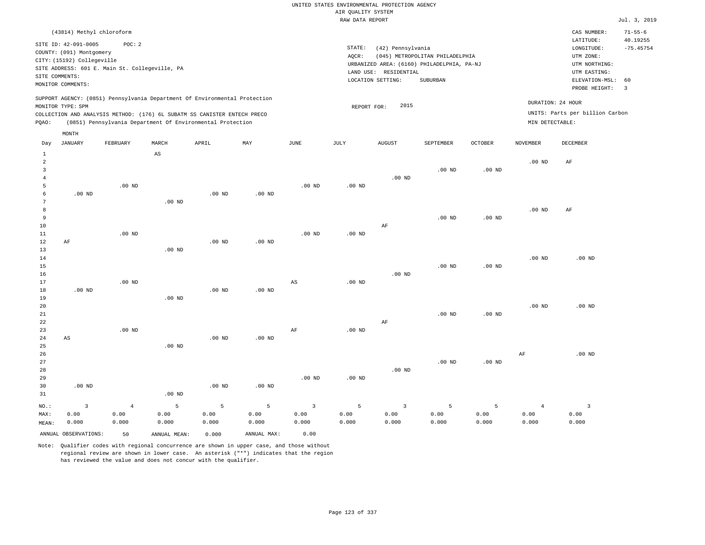|                                                                                                                                                                                 | $71 - 55 - 6$<br>CAS NUMBER:                                                                                                                     |
|---------------------------------------------------------------------------------------------------------------------------------------------------------------------------------|--------------------------------------------------------------------------------------------------------------------------------------------------|
| STATE:<br>(42) Pennsylvania<br>(045) METROPOLITAN PHILADELPHIA<br>AOCR:<br>URBANIZED AREA: (6160) PHILADELPHIA, PA-NJ<br>LAND USE: RESIDENTIAL<br>LOCATION SETTING:<br>SUBURBAN | LATITUDE:<br>40.19255<br>$-75.45754$<br>LONGITUDE:<br>UTM ZONE:<br>UTM NORTHING:<br>UTM EASTING:<br>ELEVATION-MSL: 60<br>PROBE HEIGHT:<br>$_{3}$ |
| 2015<br>REPORT FOR:                                                                                                                                                             | DURATION: 24 HOUR<br>UNITS: Parts per billion Carbon<br>MIN DETECTABLE:                                                                          |
|                                                                                                                                                                                 |                                                                                                                                                  |

| Day            | JANUARY              | FEBRUARY       | MARCH                  | APRIL    | MAY               | JUNE           | JULY     | AUGUST                  | SEPTEMBER         | OCTOBER           | NOVEMBER          | DECEMBER       |
|----------------|----------------------|----------------|------------------------|----------|-------------------|----------------|----------|-------------------------|-------------------|-------------------|-------------------|----------------|
| $\mathbf{1}$   |                      |                | $\mathbb{A}\mathbb{S}$ |          |                   |                |          |                         |                   |                   |                   |                |
| $\overline{a}$ |                      |                |                        |          |                   |                |          |                         |                   |                   | .00 <sub>ND</sub> | $\rm{AF}$      |
| 3              |                      |                |                        |          |                   |                |          |                         | .00 <sub>ND</sub> | .00 <sub>ND</sub> |                   |                |
| $\overline{4}$ |                      |                |                        |          |                   |                |          | $.00$ ND                |                   |                   |                   |                |
| 5              |                      | $.00$ ND       |                        |          |                   | $.00$ ND       | $.00$ ND |                         |                   |                   |                   |                |
| 6              | $.00$ ND             |                |                        | $.00$ ND | $.00$ ND          |                |          |                         |                   |                   |                   |                |
| 7              |                      |                | $.00$ ND               |          |                   |                |          |                         |                   |                   |                   |                |
| $\,8\,$        |                      |                |                        |          |                   |                |          |                         |                   |                   | $.00$ ND          | AF             |
| 9              |                      |                |                        |          |                   |                |          |                         | $.00$ ND          | .00 <sub>ND</sub> |                   |                |
| $10$           |                      |                |                        |          |                   |                |          | $\rm AF$                |                   |                   |                   |                |
| 11             |                      | $.00$ ND       |                        |          |                   | $.00$ ND       | $.00$ ND |                         |                   |                   |                   |                |
| 12             | $\rm AF$             |                |                        | $.00$ ND | $.00$ ND          |                |          |                         |                   |                   |                   |                |
| 13             |                      |                | $.00$ ND               |          |                   |                |          |                         |                   |                   |                   |                |
| 14             |                      |                |                        |          |                   |                |          |                         |                   |                   | $.00$ ND          | $.00$ ND       |
| 15             |                      |                |                        |          |                   |                |          |                         | $.00$ ND          | $.00$ ND          |                   |                |
| 16             |                      |                |                        |          |                   |                |          | $.00$ ND                |                   |                   |                   |                |
| 17             |                      | $.00$ ND       |                        |          |                   | AS             | $.00$ ND |                         |                   |                   |                   |                |
| 18             | $.00$ ND             |                |                        | $.00$ ND | $.00$ ND          |                |          |                         |                   |                   |                   |                |
| 19             |                      |                | $.00$ ND               |          |                   |                |          |                         |                   |                   |                   |                |
| 20             |                      |                |                        |          |                   |                |          |                         |                   |                   | $.00$ ND          | $.00$ ND       |
| $2\sqrt{1}$    |                      |                |                        |          |                   |                |          |                         | $.00$ ND          | $.00$ ND          |                   |                |
| 22             |                      |                |                        |          |                   |                |          | $\rm{AF}$               |                   |                   |                   |                |
| 23             |                      | $.00$ ND       |                        |          |                   | AF             | .00 $ND$ |                         |                   |                   |                   |                |
| 24             | AS                   |                |                        | $.00$ ND | $.00$ ND          |                |          |                         |                   |                   |                   |                |
| 25             |                      |                | $.00$ ND               |          |                   |                |          |                         |                   |                   |                   |                |
| 26             |                      |                |                        |          |                   |                |          |                         |                   |                   | $\rm{AF}$         | $.00$ ND       |
| 27             |                      |                |                        |          |                   |                |          |                         | .00 <sub>ND</sub> | $.00$ ND          |                   |                |
| 28             |                      |                |                        |          |                   |                |          | $.00$ ND                |                   |                   |                   |                |
| 29             |                      |                |                        |          |                   | $.00$ ND       | $.00$ ND |                         |                   |                   |                   |                |
| 30             | $.00$ ND             |                |                        | $.00$ ND | .00 <sub>ND</sub> |                |          |                         |                   |                   |                   |                |
| 31             |                      |                | $.00$ ND               |          |                   |                |          |                         |                   |                   |                   |                |
| $_{\rm NO.}$ : | $\mathsf 3$          | $\overline{4}$ | 5                      | 5        | 5                 | $\overline{3}$ | 5        | $\overline{\mathbf{3}}$ | 5                 | $\mathsf S$       | $\overline{4}$    | $\overline{3}$ |
| MAX:           | 0.00                 | 0.00           | 0.00                   | 0.00     | 0.00              | 0.00           | 0.00     | 0.00                    | 0.00              | 0.00              | 0.00              | 0.00           |
| MEAN:          | 0.000                | 0.000          | 0.000                  | 0.000    | 0.000             | 0.000          | 0.000    | 0.000                   | 0.000             | 0.000             | 0.000             | 0.000          |
|                | ANNUAL OBSERVATIONS: | 50             | ANNUAL MEAN:           | 0.000    | ANNUAL MAX:       | 0.00           |          |                         |                   |                   |                   |                |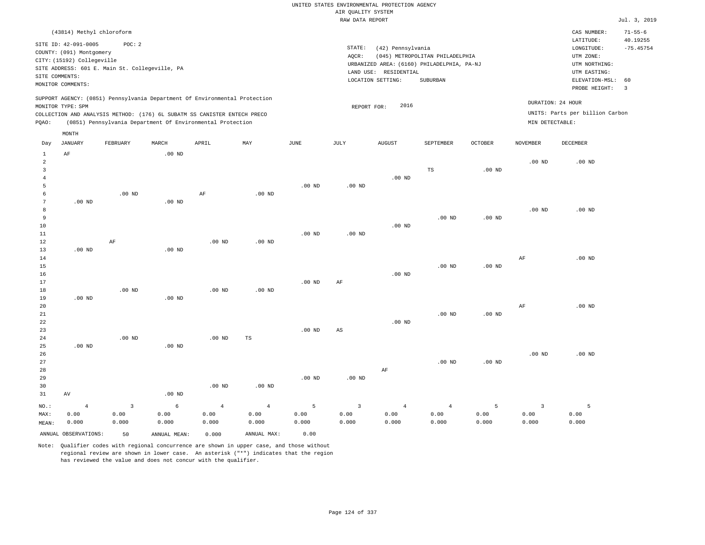|                                                                                                                                                                                 | CAS NUMBER:                                                                                                 | $71 - 55 - 6$           |
|---------------------------------------------------------------------------------------------------------------------------------------------------------------------------------|-------------------------------------------------------------------------------------------------------------|-------------------------|
| STATE:<br>(42) Pennsylvania<br>(045) METROPOLITAN PHILADELPHIA<br>AOCR:<br>URBANIZED AREA: (6160) PHILADELPHIA, PA-NJ<br>LAND USE: RESIDENTIAL<br>LOCATION SETTING:<br>SUBURBAN | LATITUDE:<br>LONGITUDE:<br>UTM ZONE:<br>UTM NORTHING:<br>UTM EASTING:<br>ELEVATION-MSL: 60<br>PROBE HEIGHT: | 40.19255<br>$-75.45754$ |
| 2016<br>REPORT FOR:                                                                                                                                                             | DURATION: 24 HOUR<br>UNITS: Parts per billion Carbon<br>MIN DETECTABLE:                                     |                         |
|                                                                                                                                                                                 |                                                                                                             |                         |

| Day            | JANUARY              | FEBRUARY                | MARCH        | APRIL          | MAY               | JUNE     | JULY                    | AUGUST         | SEPTEMBER      | OCTOBER           | NOVEMBER          | DECEMBER |
|----------------|----------------------|-------------------------|--------------|----------------|-------------------|----------|-------------------------|----------------|----------------|-------------------|-------------------|----------|
| $\mathbf{1}$   | $\rm AF$             |                         | $.00$ ND     |                |                   |          |                         |                |                |                   |                   |          |
| $\overline{c}$ |                      |                         |              |                |                   |          |                         |                |                |                   | $.00$ ND          | $.00$ ND |
| 3              |                      |                         |              |                |                   |          |                         |                | $\mathbb{TS}$  | .00 <sub>ND</sub> |                   |          |
| $\overline{4}$ |                      |                         |              |                |                   |          |                         | $.00$ ND       |                |                   |                   |          |
| 5              |                      |                         |              |                |                   | $.00$ ND | $.00$ ND                |                |                |                   |                   |          |
| 6              |                      | $.00$ ND                |              | $\rm AF$       | $.00$ ND          |          |                         |                |                |                   |                   |          |
| 7              | $.00$ ND             |                         | $.00$ ND     |                |                   |          |                         |                |                |                   |                   |          |
| 8              |                      |                         |              |                |                   |          |                         |                |                |                   | $.00$ ND          | $.00$ ND |
| 9              |                      |                         |              |                |                   |          |                         |                | $.00$ ND       | .00 <sub>ND</sub> |                   |          |
| 10             |                      |                         |              |                |                   |          |                         | $.00$ ND       |                |                   |                   |          |
| $11\,$         |                      |                         |              |                |                   | $.00$ ND | $.00$ ND                |                |                |                   |                   |          |
| 12             |                      | $\rm AF$                |              | $.00$ ND       | $.00$ ND          |          |                         |                |                |                   |                   |          |
| 13             | $.00$ ND             |                         | $.00$ ND     |                |                   |          |                         |                |                |                   |                   |          |
| 14             |                      |                         |              |                |                   |          |                         |                |                |                   | $\rm AF$          | $.00$ ND |
| 15             |                      |                         |              |                |                   |          |                         |                | $.00$ ND       | .00 <sub>ND</sub> |                   |          |
| 16             |                      |                         |              |                |                   |          |                         | $.00$ ND       |                |                   |                   |          |
| 17             |                      |                         |              |                |                   | $.00$ ND | $\rm AF$                |                |                |                   |                   |          |
| 18             |                      | .00 $ND$                |              | $.00$ ND       | $.00$ ND          |          |                         |                |                |                   |                   |          |
| 19             | $.00$ ND             |                         | $.00$ ND     |                |                   |          |                         |                |                |                   |                   |          |
| 20             |                      |                         |              |                |                   |          |                         |                |                |                   | $\rm AF$          | $.00$ ND |
| $21\,$         |                      |                         |              |                |                   |          |                         |                | $.00$ ND       | $.00$ ND          |                   |          |
| ${\bf 22}$     |                      |                         |              |                |                   |          |                         | $.00$ ND       |                |                   |                   |          |
| 23             |                      |                         |              |                |                   | $.00$ ND | AS                      |                |                |                   |                   |          |
| $2\sqrt{4}$    |                      | .00 $ND$                |              | $.00$ ND       | TS                |          |                         |                |                |                   |                   |          |
| 25             | $.00$ ND             |                         | $.00$ ND     |                |                   |          |                         |                |                |                   |                   |          |
| 26             |                      |                         |              |                |                   |          |                         |                |                |                   | .00 <sub>ND</sub> | $.00$ ND |
| 27             |                      |                         |              |                |                   |          |                         |                | $.00$ ND       | $.00$ ND          |                   |          |
| 28             |                      |                         |              |                |                   |          |                         | $\rm AF$       |                |                   |                   |          |
| 29             |                      |                         |              |                |                   | $.00$ ND | $.00$ ND                |                |                |                   |                   |          |
| 30             |                      |                         |              | $.00$ ND       | .00 <sub>ND</sub> |          |                         |                |                |                   |                   |          |
| 31             | AV                   |                         | .00 $ND$     |                |                   |          |                         |                |                |                   |                   |          |
| $_{\rm NO.}$ : | $\sqrt{4}$           | $\overline{\mathbf{3}}$ | $\epsilon$   | $\overline{4}$ | $\overline{4}$    | 5        | $\overline{\mathbf{3}}$ | $\overline{4}$ | $\overline{4}$ | 5                 | $\overline{3}$    | 5        |
| MAX:           | 0.00                 | 0.00                    | 0.00         | 0.00           | 0.00              | 0.00     | 0.00                    | 0.00           | 0.00           | 0.00              | 0.00              | 0.00     |
| MEAN:          | 0.000                | 0.000                   | 0.000        | 0.000          | 0.000             | 0.000    | 0.000                   | 0.000          | 0.000          | 0.000             | 0.000             | 0.000    |
|                | ANNUAL OBSERVATIONS: | 50                      | ANNUAL MEAN: | 0.000          | ANNUAL MAX:       | 0.00     |                         |                |                |                   |                   |          |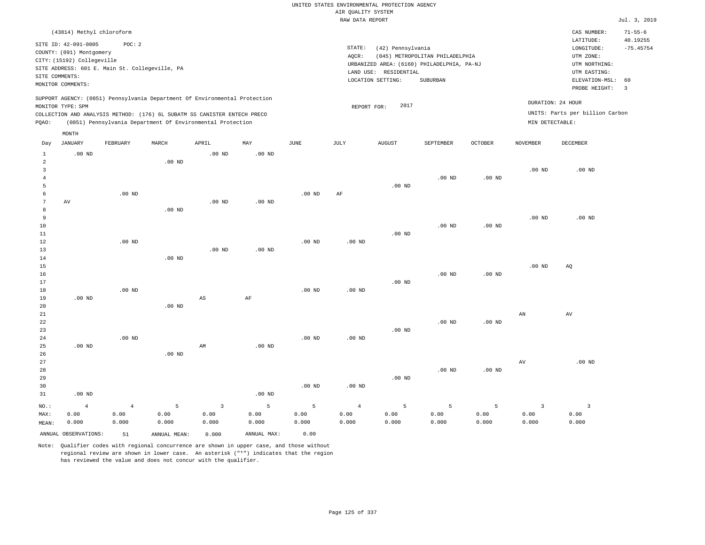|                          |                                                                                |                                                          |                    |                                                                                                                                                                                                                      |                    |                    | AIR QUALITY SYSTEM              | UNITED STATES ENVIRONMENTAL PROTECTION AGENCY |                                                                               |                    |                                          |                                                                      |                           |
|--------------------------|--------------------------------------------------------------------------------|----------------------------------------------------------|--------------------|----------------------------------------------------------------------------------------------------------------------------------------------------------------------------------------------------------------------|--------------------|--------------------|---------------------------------|-----------------------------------------------|-------------------------------------------------------------------------------|--------------------|------------------------------------------|----------------------------------------------------------------------|---------------------------|
|                          |                                                                                |                                                          |                    |                                                                                                                                                                                                                      |                    |                    | RAW DATA REPORT                 |                                               |                                                                               |                    |                                          |                                                                      | Jul. 3, 2019              |
|                          | (43814) Methyl chloroform                                                      |                                                          |                    |                                                                                                                                                                                                                      |                    |                    |                                 |                                               |                                                                               |                    |                                          | CAS NUMBER:<br>LATITUDE:                                             | $71 - 55 - 6$<br>40.19255 |
|                          | SITE ID: 42-091-0005<br>COUNTY: (091) Montgomery<br>CITY: (15192) Collegeville | POC: 2<br>SITE ADDRESS: 601 E. Main St. Collegeville, PA |                    |                                                                                                                                                                                                                      |                    |                    | STATE:<br>AQCR:                 | (42) Pennsylvania<br>LAND USE: RESIDENTIAL    | (045) METROPOLITAN PHILADELPHIA<br>URBANIZED AREA: (6160) PHILADELPHIA, PA-NJ |                    |                                          | $\texttt{LONGITUDE}$ :<br>UTM ZONE:<br>UTM NORTHING:<br>UTM EASTING: | $-75.45754$               |
|                          | SITE COMMENTS:<br>MONITOR COMMENTS:                                            |                                                          |                    |                                                                                                                                                                                                                      |                    |                    |                                 | LOCATION SETTING:                             | SUBURBAN                                                                      |                    |                                          | ELEVATION-MSL:<br>PROBE HEIGHT:                                      | 60<br>$\overline{3}$      |
| PQAO:                    | MONITOR TYPE: SPM                                                              |                                                          |                    | SUPPORT AGENCY: (0851) Pennsylvania Department Of Environmental Protection<br>COLLECTION AND ANALYSIS METHOD: (176) 6L SUBATM SS CANISTER ENTECH PRECO<br>(0851) Pennsylvania Department Of Environmental Protection |                    |                    | REPORT FOR:                     | 2017                                          |                                                                               |                    | MIN DETECTABLE:                          | DURATION: 24 HOUR<br>UNITS: Parts per billion Carbon                 |                           |
| Day                      | MONTH<br><b>JANUARY</b>                                                        | FEBRUARY                                                 | MARCH              | APRIL                                                                                                                                                                                                                | MAY                | $_{\rm JUNE}$      | JULY                            | <b>AUGUST</b>                                 | SEPTEMBER                                                                     | <b>OCTOBER</b>     | <b>NOVEMBER</b>                          | <b>DECEMBER</b>                                                      |                           |
| $\mathbf{1}$<br>2        | $.00$ ND                                                                       |                                                          | $.00$ ND           | .00 <sub>ND</sub>                                                                                                                                                                                                    | .00 <sub>ND</sub>  |                    |                                 |                                               |                                                                               |                    |                                          |                                                                      |                           |
| 3<br>$\overline{4}$<br>5 |                                                                                |                                                          |                    |                                                                                                                                                                                                                      |                    |                    |                                 | $.00$ ND                                      | .00 <sub>ND</sub>                                                             | $.00$ ND           | .00 <sub>ND</sub>                        | $.00$ ND                                                             |                           |
| 6<br>7<br>8              | AV                                                                             | .00 <sub>ND</sub>                                        | $.00$ ND           | .00 <sub>ND</sub>                                                                                                                                                                                                    | .00 <sub>ND</sub>  | .00 <sub>ND</sub>  | AF                              |                                               |                                                                               |                    |                                          |                                                                      |                           |
| 9<br>10<br>11<br>12      |                                                                                | $.00$ ND                                                 |                    |                                                                                                                                                                                                                      |                    | $.00$ ND           | $.00$ ND                        | .00 <sub>ND</sub>                             | $.00$ ND                                                                      | $.00$ ND           | .00 <sub>ND</sub>                        | $.00$ ND                                                             |                           |
| 13<br>14<br>$15$<br>16   |                                                                                |                                                          | .00 <sub>ND</sub>  | $.00$ ND                                                                                                                                                                                                             | .00 <sub>ND</sub>  |                    |                                 |                                               | $.00$ ND                                                                      | $.00$ ND           | .00 <sub>ND</sub>                        | AQ                                                                   |                           |
| 17<br>18<br>19           | $.00$ ND                                                                       | $.00$ ND                                                 |                    | $\mathbb{A}\mathbb{S}$                                                                                                                                                                                               | $\rm AF$           | .00 <sub>ND</sub>  | .00 <sub>ND</sub>               | $.00$ ND                                      |                                                                               |                    |                                          |                                                                      |                           |
| 20<br>21<br>22<br>23     |                                                                                |                                                          | .00 <sub>ND</sub>  |                                                                                                                                                                                                                      |                    |                    |                                 | $.00$ ND                                      | $.00$ ND                                                                      | $.00$ ND           | AN                                       | AV                                                                   |                           |
| 24<br>25<br>26           | .00 <sub>ND</sub>                                                              | $.00$ ND                                                 | $.00$ ND           | AM                                                                                                                                                                                                                   | .00 <sub>ND</sub>  | .00 <sub>ND</sub>  | .00 <sub>ND</sub>               |                                               |                                                                               |                    |                                          |                                                                      |                           |
| 27<br>28<br>29<br>30     |                                                                                |                                                          |                    |                                                                                                                                                                                                                      |                    | $.00$ ND           | $.00$ ND                        | $.00$ ND                                      | .00 <sub>ND</sub>                                                             | $.00$ ND           | $\hbox{AV}$                              | $.00$ ND                                                             |                           |
| 31                       | $.00$ ND                                                                       |                                                          |                    |                                                                                                                                                                                                                      | .00 <sub>ND</sub>  |                    |                                 |                                               |                                                                               |                    |                                          |                                                                      |                           |
| NO.:<br>MAX:<br>MEAN:    | $\overline{4}$<br>0.00<br>0.000                                                | $\overline{4}$<br>0.00<br>0.000                          | 5<br>0.00<br>0.000 | $\overline{3}$<br>0.00<br>0.000                                                                                                                                                                                      | 5<br>0.00<br>0.000 | 5<br>0.00<br>0.000 | $\overline{4}$<br>0.00<br>0.000 | 5<br>0.00<br>0.000                            | $\overline{5}$<br>0.00<br>0.000                                               | 5<br>0.00<br>0.000 | $\overline{\mathbf{3}}$<br>0.00<br>0.000 | $\overline{\mathbf{3}}$<br>0.00<br>0.000                             |                           |
|                          | ANNUAL OBSERVATIONS:                                                           | 51                                                       | ANNUAL, MEAN:      | 0.000                                                                                                                                                                                                                | ANNUAL MAX:        | 0.00               |                                 |                                               |                                                                               |                    |                                          |                                                                      |                           |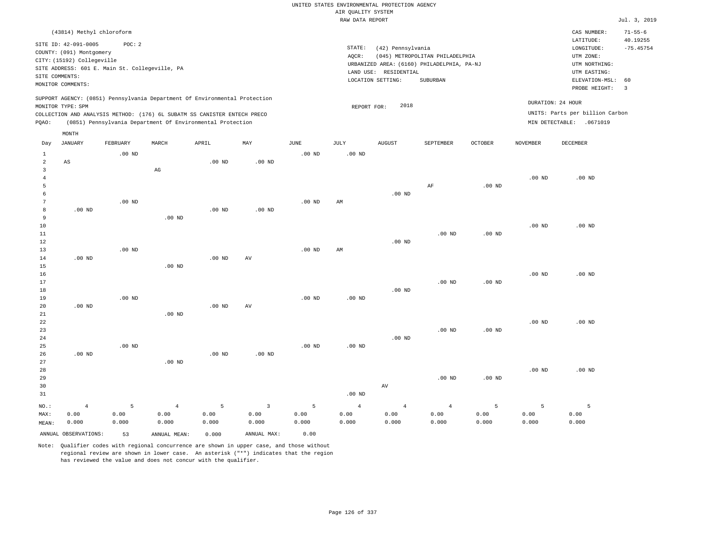|                                                  |                                                                                                                                                                             |                    |                                                            |                    |                                 |                    | UNITED STATES ENVIRONMENTAL PROTECTION AGENCY |                                  |                                                                               |                    |                    |                                                                                      |                                          |
|--------------------------------------------------|-----------------------------------------------------------------------------------------------------------------------------------------------------------------------------|--------------------|------------------------------------------------------------|--------------------|---------------------------------|--------------------|-----------------------------------------------|----------------------------------|-------------------------------------------------------------------------------|--------------------|--------------------|--------------------------------------------------------------------------------------|------------------------------------------|
|                                                  |                                                                                                                                                                             |                    |                                                            |                    |                                 |                    | AIR QUALITY SYSTEM<br>RAW DATA REPORT         |                                  |                                                                               |                    |                    |                                                                                      | Jul. 3, 2019                             |
|                                                  |                                                                                                                                                                             |                    |                                                            |                    |                                 |                    |                                               |                                  |                                                                               |                    |                    |                                                                                      |                                          |
|                                                  | (43814) Methyl chloroform<br>SITE ID: 42-091-0005<br>COUNTY: (091) Montgomery<br>CITY: (15192) Collegeville<br>SITE ADDRESS: 601 E. Main St. Collegeville, PA               | POC: 2             |                                                            |                    |                                 |                    | STATE:<br>AQCR:<br>LAND USE:                  | (42) Pennsylvania<br>RESIDENTIAL | (045) METROPOLITAN PHILADELPHIA<br>URBANIZED AREA: (6160) PHILADELPHIA, PA-NJ |                    |                    | CAS NUMBER:<br>LATITUDE:<br>LONGITUDE:<br>UTM ZONE:<br>UTM NORTHING:<br>UTM EASTING: | $71 - 55 - 6$<br>40.19255<br>$-75.45754$ |
|                                                  | SITE COMMENTS:<br>MONITOR COMMENTS:                                                                                                                                         |                    |                                                            |                    |                                 |                    |                                               | LOCATION SETTING:                | <b>SUBURBAN</b>                                                               |                    |                    | ELEVATION-MSL:                                                                       | 60                                       |
|                                                  | SUPPORT AGENCY: (0851) Pennsylvania Department Of Environmental Protection<br>MONITOR TYPE: SPM<br>COLLECTION AND ANALYSIS METHOD: (176) 6L SUBATM SS CANISTER ENTECH PRECO |                    |                                                            |                    |                                 |                    | REPORT FOR:                                   | 2018                             |                                                                               |                    |                    | PROBE HEIGHT:<br>DURATION: 24 HOUR<br>UNITS: Parts per billion Carbon                | $\overline{3}$                           |
| PQAO:                                            |                                                                                                                                                                             |                    | (0851) Pennsylvania Department Of Environmental Protection |                    |                                 |                    |                                               |                                  |                                                                               |                    |                    | MIN DETECTABLE: .0671019                                                             |                                          |
|                                                  | MONTH                                                                                                                                                                       |                    |                                                            |                    |                                 |                    |                                               |                                  |                                                                               |                    |                    |                                                                                      |                                          |
| Day                                              | <b>JANUARY</b>                                                                                                                                                              | FEBRUARY           | MARCH                                                      | APRIL              | MAY                             | JUNE               | <b>JULY</b>                                   | <b>AUGUST</b>                    | SEPTEMBER                                                                     | <b>OCTOBER</b>     | <b>NOVEMBER</b>    | <b>DECEMBER</b>                                                                      |                                          |
| $\mathbf{1}$<br>$\overline{a}$<br>$\overline{3}$ | AS                                                                                                                                                                          | $.00$ ND           | $\mathbb{A}\mathbb{G}$                                     | $.00$ ND           | .00 <sub>ND</sub>               | .00 <sub>ND</sub>  | .00 <sub>ND</sub>                             |                                  |                                                                               |                    |                    |                                                                                      |                                          |
| $\overline{4}$<br>5<br>6                         |                                                                                                                                                                             |                    |                                                            |                    |                                 |                    |                                               | $.00$ ND                         | $\rm AF$                                                                      | $.00$ ND           | $.00$ ND           | $.00$ ND                                                                             |                                          |
| 7<br>8<br>9                                      | $.00$ ND                                                                                                                                                                    | .00 <sub>ND</sub>  | $.00$ ND                                                   | .00 <sub>ND</sub>  | .00 <sub>ND</sub>               | .00 <sub>ND</sub>  | AM                                            |                                  |                                                                               |                    |                    |                                                                                      |                                          |
| 10<br>11<br>12                                   |                                                                                                                                                                             |                    |                                                            |                    |                                 |                    |                                               | .00 $ND$                         | $.00$ ND                                                                      | $.00$ ND           | $.00$ ND           | $.00$ ND                                                                             |                                          |
| 13<br>14<br>15<br>16                             | $.00$ ND                                                                                                                                                                    | $.00$ ND           | $.00$ ND                                                   | $.00$ ND           | AV                              | $.00$ ND           | AM                                            |                                  |                                                                               |                    | .00 <sub>ND</sub>  | $.00$ ND                                                                             |                                          |
| 17<br>18<br>19                                   |                                                                                                                                                                             | .00 <sub>ND</sub>  |                                                            |                    |                                 | .00 <sub>ND</sub>  | $.00$ ND                                      | $.00$ ND                         | .00 <sub>ND</sub>                                                             | .00 <sub>ND</sub>  |                    |                                                                                      |                                          |
| 20<br>21<br>22                                   | $.00$ ND                                                                                                                                                                    |                    | .00 <sub>ND</sub>                                          | .00 <sub>ND</sub>  | AV                              |                    |                                               |                                  |                                                                               |                    | .00 <sub>ND</sub>  | $.00$ ND                                                                             |                                          |
| 23<br>24<br>25<br>26                             | $.00$ ND                                                                                                                                                                    | .00 <sub>ND</sub>  |                                                            | .00 <sub>ND</sub>  | .00 <sub>ND</sub>               | .00 <sub>ND</sub>  | .00 <sub>ND</sub>                             | .00 <sub>ND</sub>                | .00 <sub>ND</sub>                                                             | $.00$ ND           |                    |                                                                                      |                                          |
| 27<br>28<br>29<br>30<br>31                       |                                                                                                                                                                             |                    | $.00$ ND                                                   |                    |                                 |                    | .00 <sub>ND</sub>                             | $\operatorname{AV}$              | $.00$ ND                                                                      | $.00$ ND           | $.00$ ND           | $.00$ ND                                                                             |                                          |
| NO.:<br>MAX:<br>MEAN:                            | $\overline{4}$<br>0.00<br>0.000                                                                                                                                             | 5<br>0.00<br>0.000 | $\overline{4}$<br>0.00<br>0.000                            | 5<br>0.00<br>0.000 | $\overline{3}$<br>0.00<br>0.000 | 5<br>0.00<br>0.000 | $\overline{4}$<br>0.00<br>0.000               | $\bf{4}$<br>0.00<br>0.000        | $\,4\,$<br>0.00<br>0.000                                                      | 5<br>0.00<br>0.000 | 5<br>0.00<br>0.000 | 5<br>0.00<br>0.000                                                                   |                                          |
|                                                  | ANNUAL OBSERVATIONS:                                                                                                                                                        | 53                 | ANNUAL MEAN:                                               | 0.000              | ANNUAL MAX:                     | 0.00               |                                               |                                  |                                                                               |                    |                    |                                                                                      |                                          |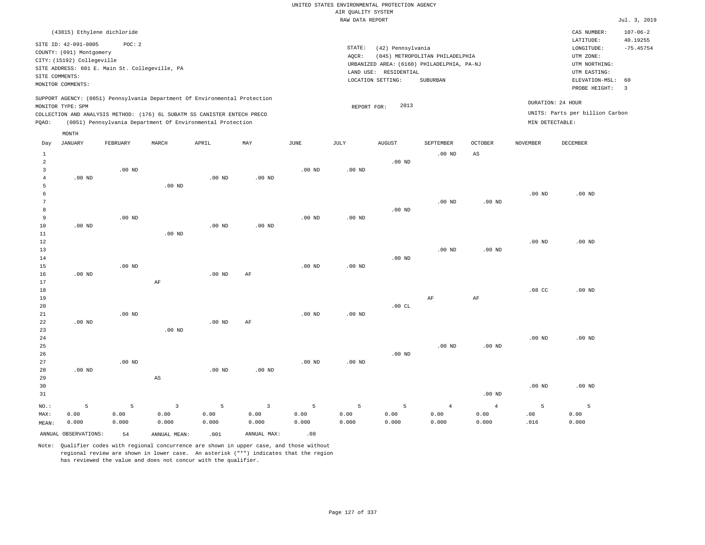# UNITED STATES ENVIRONMENTAL PROTECTION AGENCY AIR QUALITY SYSTEM

|                     |                                                                                                                       |                                                          |                        |                                                                            |                |                   | RAW DATA REPORT   |                                                                 |                                                                                           |                   |                   |                                                                                                          | Jul. 3, 2019                                             |
|---------------------|-----------------------------------------------------------------------------------------------------------------------|----------------------------------------------------------|------------------------|----------------------------------------------------------------------------|----------------|-------------------|-------------------|-----------------------------------------------------------------|-------------------------------------------------------------------------------------------|-------------------|-------------------|----------------------------------------------------------------------------------------------------------|----------------------------------------------------------|
|                     |                                                                                                                       | (43815) Ethylene dichloride                              |                        |                                                                            |                |                   |                   |                                                                 |                                                                                           |                   |                   | CAS NUMBER:                                                                                              | $107 - 06 - 2$                                           |
|                     | SITE ID: 42-091-0005<br>COUNTY: (091) Montgomery<br>CITY: (15192) Collegeville<br>SITE COMMENTS:<br>MONITOR COMMENTS: | POC: 2<br>SITE ADDRESS: 601 E. Main St. Collegeville, PA |                        |                                                                            |                |                   | STATE:<br>AQCR:   | (42) Pennsylvania<br>LAND USE: RESIDENTIAL<br>LOCATION SETTING: | (045) METROPOLITAN PHILADELPHIA<br>URBANIZED AREA: (6160) PHILADELPHIA, PA-NJ<br>SUBURBAN |                   |                   | LATITUDE:<br>LONGITUDE:<br>UTM ZONE:<br>UTM NORTHING:<br>UTM EASTING:<br>ELEVATION-MSL:<br>PROBE HEIGHT: | 40.19255<br>$-75.45754$<br>60<br>$\overline{\mathbf{3}}$ |
|                     |                                                                                                                       |                                                          |                        | SUPPORT AGENCY: (0851) Pennsylvania Department Of Environmental Protection |                |                   |                   | 2013                                                            |                                                                                           |                   |                   | DURATION: 24 HOUR                                                                                        |                                                          |
|                     | MONITOR TYPE: SPM                                                                                                     |                                                          |                        | COLLECTION AND ANALYSIS METHOD: (176) 6L SUBATM SS CANISTER ENTECH PRECO   |                |                   | REPORT FOR:       |                                                                 |                                                                                           |                   |                   | UNITS: Parts per billion Carbon                                                                          |                                                          |
| PQAO:               |                                                                                                                       |                                                          |                        | (0851) Pennsylvania Department Of Environmental Protection                 |                |                   |                   |                                                                 |                                                                                           |                   | MIN DETECTABLE:   |                                                                                                          |                                                          |
|                     | MONTH                                                                                                                 |                                                          |                        |                                                                            |                |                   |                   |                                                                 |                                                                                           |                   |                   |                                                                                                          |                                                          |
| Day                 | <b>JANUARY</b>                                                                                                        | FEBRUARY                                                 | MARCH                  | APRIL                                                                      | MAY            | $\mathtt{JUNE}$   | JULY              | <b>AUGUST</b>                                                   | SEPTEMBER                                                                                 | OCTOBER           | <b>NOVEMBER</b>   | DECEMBER                                                                                                 |                                                          |
| $\mathbf{1}$        |                                                                                                                       |                                                          |                        |                                                                            |                |                   |                   |                                                                 | $.00$ ND                                                                                  | $_{\rm AS}$       |                   |                                                                                                          |                                                          |
| $\overline{a}$      |                                                                                                                       |                                                          |                        |                                                                            |                |                   |                   | $.00$ ND                                                        |                                                                                           |                   |                   |                                                                                                          |                                                          |
| 3                   |                                                                                                                       | $.00$ ND                                                 |                        |                                                                            |                | $.00$ ND          | $.00$ ND          |                                                                 |                                                                                           |                   |                   |                                                                                                          |                                                          |
| $\overline{4}$<br>5 | $.00$ ND                                                                                                              |                                                          | $.00$ ND               | $.00$ ND                                                                   | $.00$ ND       |                   |                   |                                                                 |                                                                                           |                   |                   |                                                                                                          |                                                          |
| 6                   |                                                                                                                       |                                                          |                        |                                                                            |                |                   |                   |                                                                 |                                                                                           |                   | .00 <sub>ND</sub> | .00 <sub>ND</sub>                                                                                        |                                                          |
| 7                   |                                                                                                                       |                                                          |                        |                                                                            |                |                   |                   |                                                                 | .00 <sub>ND</sub>                                                                         | $.00$ ND          |                   |                                                                                                          |                                                          |
| 8                   |                                                                                                                       |                                                          |                        |                                                                            |                |                   |                   | $.00$ ND                                                        |                                                                                           |                   |                   |                                                                                                          |                                                          |
| 9                   |                                                                                                                       | $.00$ ND                                                 |                        |                                                                            |                | $.00$ ND          | $.00$ ND          |                                                                 |                                                                                           |                   |                   |                                                                                                          |                                                          |
| 10<br>11            | $.00$ ND                                                                                                              |                                                          | $.00$ ND               | $.00$ ND                                                                   | $.00$ ND       |                   |                   |                                                                 |                                                                                           |                   |                   |                                                                                                          |                                                          |
| 12                  |                                                                                                                       |                                                          |                        |                                                                            |                |                   |                   |                                                                 |                                                                                           |                   | .00 <sub>ND</sub> | $.00$ ND                                                                                                 |                                                          |
| 13                  |                                                                                                                       |                                                          |                        |                                                                            |                |                   |                   |                                                                 | $.00$ ND                                                                                  | .00 <sub>ND</sub> |                   |                                                                                                          |                                                          |
| 14                  |                                                                                                                       |                                                          |                        |                                                                            |                |                   |                   | $.00$ ND                                                        |                                                                                           |                   |                   |                                                                                                          |                                                          |
| 15                  |                                                                                                                       | $.00$ ND                                                 |                        |                                                                            |                | $.00$ ND          | $.00$ ND          |                                                                 |                                                                                           |                   |                   |                                                                                                          |                                                          |
| 16                  | $.00$ ND                                                                                                              |                                                          |                        | $.00$ ND                                                                   | AF             |                   |                   |                                                                 |                                                                                           |                   |                   |                                                                                                          |                                                          |
| 17<br>18            |                                                                                                                       |                                                          | AF                     |                                                                            |                |                   |                   |                                                                 |                                                                                           |                   | .08 <sub>C</sub>  | $.00$ ND                                                                                                 |                                                          |
| 19                  |                                                                                                                       |                                                          |                        |                                                                            |                |                   |                   |                                                                 | AF                                                                                        | $\rm{AF}$         |                   |                                                                                                          |                                                          |
| 20                  |                                                                                                                       |                                                          |                        |                                                                            |                |                   |                   | .00 $CL$                                                        |                                                                                           |                   |                   |                                                                                                          |                                                          |
| 21                  |                                                                                                                       | $.00$ ND                                                 |                        |                                                                            |                | $.00$ ND          | $.00$ ND          |                                                                 |                                                                                           |                   |                   |                                                                                                          |                                                          |
| 22                  | $.00$ ND                                                                                                              |                                                          |                        | $.00$ ND                                                                   | AF             |                   |                   |                                                                 |                                                                                           |                   |                   |                                                                                                          |                                                          |
| 23                  |                                                                                                                       |                                                          | .00 <sub>ND</sub>      |                                                                            |                |                   |                   |                                                                 |                                                                                           |                   |                   |                                                                                                          |                                                          |
| 24<br>25            |                                                                                                                       |                                                          |                        |                                                                            |                |                   |                   |                                                                 | $.00$ ND                                                                                  | $.00$ ND          | $.00$ ND          | $.00$ ND                                                                                                 |                                                          |
| 26                  |                                                                                                                       |                                                          |                        |                                                                            |                |                   |                   | $.00$ ND                                                        |                                                                                           |                   |                   |                                                                                                          |                                                          |
| 27                  |                                                                                                                       | $.00$ ND                                                 |                        |                                                                            |                | .00 <sub>ND</sub> | .00 <sub>ND</sub> |                                                                 |                                                                                           |                   |                   |                                                                                                          |                                                          |
| 28                  | $.00$ ND                                                                                                              |                                                          |                        | $.00$ ND                                                                   | $.00$ ND       |                   |                   |                                                                 |                                                                                           |                   |                   |                                                                                                          |                                                          |
| 29                  |                                                                                                                       |                                                          | $\mathbb{A}\mathbb{S}$ |                                                                            |                |                   |                   |                                                                 |                                                                                           |                   |                   |                                                                                                          |                                                          |
| 30                  |                                                                                                                       |                                                          |                        |                                                                            |                |                   |                   |                                                                 |                                                                                           |                   | .00 <sub>ND</sub> | .00 <sub>ND</sub>                                                                                        |                                                          |
| 31                  |                                                                                                                       |                                                          |                        |                                                                            |                |                   |                   |                                                                 |                                                                                           | .00 <sub>ND</sub> |                   |                                                                                                          |                                                          |
| NO.:                | 5                                                                                                                     | 5                                                        | 3                      | 5                                                                          | $\overline{3}$ | 5                 | 5                 | 5                                                               | $\overline{4}$                                                                            | $\overline{4}$    | 5                 | 5                                                                                                        |                                                          |

ANNUAL OBSERVATIONS:  $54$  ANNUAL MEAN: .001 ANNUAL MAX: .08

 0.00 0.000

MAX: MEAN:

 0.00 0.000  0.00 0.000

Note: Qualifier codes with regional concurrence are shown in upper case, and those without regional review are shown in lower case. An asterisk ("\*") indicates that the region has reviewed the value and does not concur with the qualifier.

 0.00 0.000

3 0.00 0.000

 0.00 0.000  0.00 0.000  0.00 0.000  0.00 0.000  0.00 0.000  .08 .016  0.00 0.000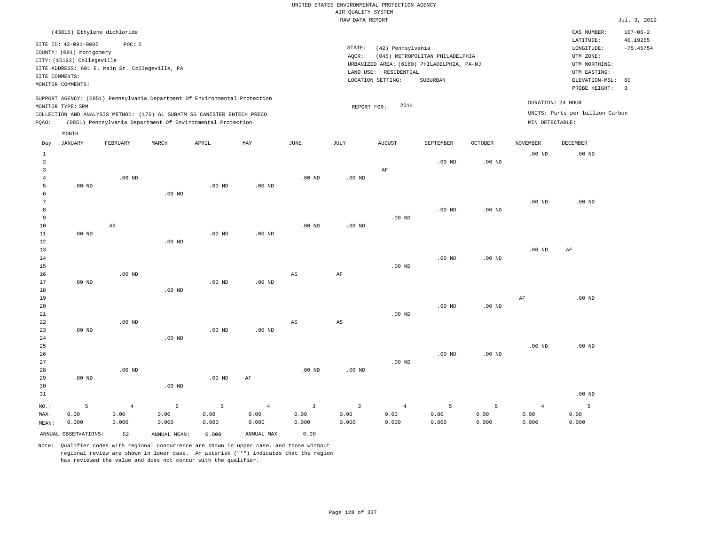| (43815) Ethylene dichloride                                                                                                                                                                                                                                 |                                                                                                                                                                                 | $107 - 06 - 2$<br>CAS NUMBER:                                                                                                          |  |
|-------------------------------------------------------------------------------------------------------------------------------------------------------------------------------------------------------------------------------------------------------------|---------------------------------------------------------------------------------------------------------------------------------------------------------------------------------|----------------------------------------------------------------------------------------------------------------------------------------|--|
| SITE ID: 42-091-0005<br>POC: 2<br>COUNTY: (091) Montgomery<br>CITY: (15192) Collegeville<br>SITE ADDRESS: 601 E. Main St. Collegeville, PA<br>SITE COMMENTS:<br>MONITOR COMMENTS:                                                                           | STATE:<br>(42) Pennsylvania<br>(045) METROPOLITAN PHILADELPHIA<br>AOCR:<br>URBANIZED AREA: (6160) PHILADELPHIA, PA-NJ<br>LAND USE: RESIDENTIAL<br>LOCATION SETTING:<br>SUBURBAN | LATITUDE:<br>40.19255<br>$-75.45754$<br>LONGITUDE:<br>UTM ZONE:<br>UTM NORTHING:<br>UTM EASTING:<br>ELEVATION-MSL: 60<br>PROBE HEIGHT: |  |
| SUPPORT AGENCY: (0851) Pennsylvania Department Of Environmental Protection<br>MONITOR TYPE: SPM<br>COLLECTION AND ANALYSIS METHOD: (176) 6L SUBATM SS CANISTER ENTECH PRECO<br>(0851) Pennsylvania Department Of Environmental Protection<br>POAO:<br>MONTH | 2014<br>REPORT FOR:                                                                                                                                                             | DURATION: 24 HOUR<br>UNITS: Parts per billion Carbon<br>MIN DETECTABLE:                                                                |  |

| Day            | JANUARY              | FEBRUARY       | MARCH        | APRIL    | MAY            | JUNE                    | JULY                   | AUGUST         | SEPTEMBER         | OCTOBER           | NOVEMBER       | DECEMBER          |
|----------------|----------------------|----------------|--------------|----------|----------------|-------------------------|------------------------|----------------|-------------------|-------------------|----------------|-------------------|
| $\mathbf{1}$   |                      |                |              |          |                |                         |                        |                |                   |                   | $.00$ ND       | .00 <sub>ND</sub> |
| $\overline{a}$ |                      |                |              |          |                |                         |                        |                | .00 <sub>ND</sub> | $.00$ ND          |                |                   |
| 3              |                      |                |              |          |                |                         |                        | $\rm AF$       |                   |                   |                |                   |
| $\overline{4}$ |                      | $.00$ ND       |              |          |                | $.00$ ND                | $.00$ ND               |                |                   |                   |                |                   |
| 5              | $.00$ ND             |                |              | .00 $ND$ | $.00$ ND       |                         |                        |                |                   |                   |                |                   |
| 6              |                      |                | $.00$ ND     |          |                |                         |                        |                |                   |                   |                |                   |
| 7              |                      |                |              |          |                |                         |                        |                |                   |                   | $.00$ ND       | $.00$ ND          |
| 8              |                      |                |              |          |                |                         |                        |                | .00 <sub>ND</sub> | $.00$ ND          |                |                   |
| 9              |                      |                |              |          |                |                         |                        | $.00$ ND       |                   |                   |                |                   |
| $10$           |                      | AS             |              |          |                | $.00$ ND                | $.00$ ND               |                |                   |                   |                |                   |
| 11             | $.00$ ND             |                |              | $.00$ ND | $.00$ ND       |                         |                        |                |                   |                   |                |                   |
| 12             |                      |                | $.00$ ND     |          |                |                         |                        |                |                   |                   |                |                   |
| 13             |                      |                |              |          |                |                         |                        |                |                   |                   | $.00$ ND       | AF                |
| 14             |                      |                |              |          |                |                         |                        |                | .00 <sub>ND</sub> | $.00$ ND          |                |                   |
| 15             |                      |                |              |          |                |                         |                        | $.00$ ND       |                   |                   |                |                   |
| 16             |                      | $.00$ ND       |              |          |                | AS                      | $\rm{AF}$              |                |                   |                   |                |                   |
| 17             | .00 <sub>ND</sub>    |                |              | $.00$ ND | $.00$ ND       |                         |                        |                |                   |                   |                |                   |
| 18             |                      |                | $.00$ ND     |          |                |                         |                        |                |                   |                   |                |                   |
| 19             |                      |                |              |          |                |                         |                        |                |                   |                   | AF             | $.00$ ND          |
| 20             |                      |                |              |          |                |                         |                        |                | .00 <sub>ND</sub> | .00 <sub>ND</sub> |                |                   |
| 21             |                      |                |              |          |                |                         |                        | $.00$ ND       |                   |                   |                |                   |
| 22             |                      | $.00$ ND       |              |          |                | AS                      | $\mathbb{A}\mathbb{S}$ |                |                   |                   |                |                   |
| 23             | .00 <sub>ND</sub>    |                |              | $.00$ ND | $.00$ ND       |                         |                        |                |                   |                   |                |                   |
| 24             |                      |                | $.00$ ND     |          |                |                         |                        |                |                   |                   |                |                   |
| 25             |                      |                |              |          |                |                         |                        |                |                   |                   | $.00$ ND       | $.00$ ND          |
| 26             |                      |                |              |          |                |                         |                        |                | .00 <sub>ND</sub> | $.00$ ND          |                |                   |
| 27             |                      |                |              |          |                |                         |                        | $.00$ ND       |                   |                   |                |                   |
| 28<br>29       | .00 <sub>ND</sub>    | $.00$ ND       |              | $.00$ ND | $\rm AF$       | $.00$ ND                | $.00$ ND               |                |                   |                   |                |                   |
| 30             |                      |                | $.00$ ND     |          |                |                         |                        |                |                   |                   |                |                   |
| 31             |                      |                |              |          |                |                         |                        |                |                   |                   |                | $.00$ ND          |
|                |                      |                |              |          |                |                         |                        |                |                   |                   |                |                   |
| $_{\rm NO.}$ : | 5                    | $\overline{4}$ | 5            | 5        | $\overline{4}$ | $\overline{\mathbf{3}}$ | $\overline{3}$         | $\overline{4}$ | 5                 | 5                 | $\overline{4}$ | 5                 |
| MAX:           | 0.00                 | 0.00           | 0.00         | 0.00     | 0.00           | 0.00                    | 0.00                   | 0.00           | 0.00              | 0.00              | 0.00           | 0.00              |
| MEAN:          | 0.000                | 0.000          | 0.000        | 0.000    | 0.000          | 0.000                   | 0.000                  | 0.000          | 0.000             | 0.000             | 0.000          | 0.000             |
|                | ANNUAL OBSERVATIONS: | 52             | ANNUAL MEAN: | 0.000    | ANNUAL MAX:    | 0.00                    |                        |                |                   |                   |                |                   |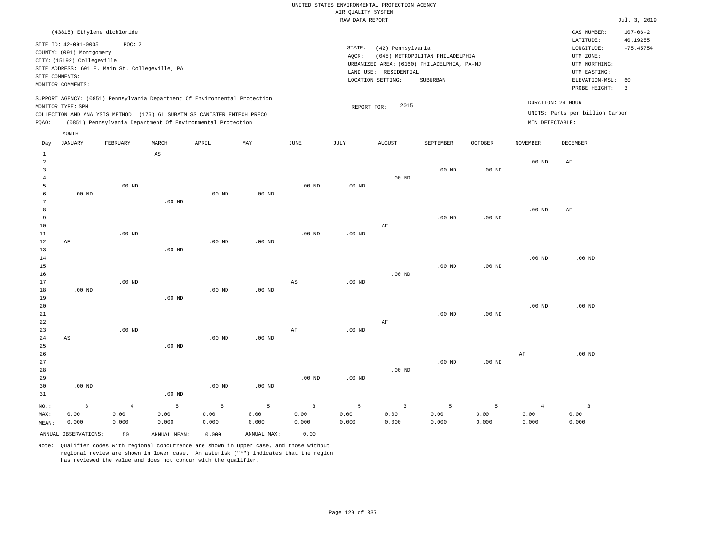| (43815) Ethylene dichloride                                                                                                                                                                                                                        |                                                                                                                                                                                 | $107 - 06 - 2$<br>CAS NUMBER:                                                                                                          |
|----------------------------------------------------------------------------------------------------------------------------------------------------------------------------------------------------------------------------------------------------|---------------------------------------------------------------------------------------------------------------------------------------------------------------------------------|----------------------------------------------------------------------------------------------------------------------------------------|
| SITE ID: 42-091-0005<br>POC:2<br>COUNTY: (091) Montgomery<br>CITY: (15192) Collegeville<br>SITE ADDRESS: 601 E. Main St. Collegeville, PA<br>SITE COMMENTS:<br>MONITOR COMMENTS:                                                                   | STATE:<br>(42) Pennsylvania<br>(045) METROPOLITAN PHILADELPHIA<br>AOCR:<br>URBANIZED AREA: (6160) PHILADELPHIA, PA-NJ<br>LAND USE: RESIDENTIAL<br>LOCATION SETTING:<br>SUBURBAN | 40.19255<br>LATITUDE:<br>$-75.45754$<br>LONGITUDE:<br>UTM ZONE:<br>UTM NORTHING:<br>UTM EASTING:<br>ELEVATION-MSL: 60<br>PROBE HEIGHT: |
| SUPPORT AGENCY: (0851) Pennsylvania Department Of Environmental Protection<br>MONITOR TYPE: SPM<br>COLLECTION AND ANALYSIS METHOD: (176) 6L SUBATM SS CANISTER ENTECH PRECO<br>(0851) Pennsylvania Department Of Environmental Protection<br>POAO: | 2015<br>REPORT FOR:                                                                                                                                                             | DURATION: 24 HOUR<br>UNITS: Parts per billion Carbon<br>MIN DETECTABLE:                                                                |

| Day            | <b>JANUARY</b>          | FEBRUARY       | MARCH                  | APRIL             | $\ensuremath{\text{MAX}}$ | $_{\rm JUNE}$           | $\mathtt{JULY}$ | AUGUST         | SEPTEMBER | $OCTOBER$         | NOVEMBER       | DECEMBER          |
|----------------|-------------------------|----------------|------------------------|-------------------|---------------------------|-------------------------|-----------------|----------------|-----------|-------------------|----------------|-------------------|
| $\mathbf{1}$   |                         |                | $\mathbb{A}\mathbb{S}$ |                   |                           |                         |                 |                |           |                   |                |                   |
| $\overline{a}$ |                         |                |                        |                   |                           |                         |                 |                |           |                   | $.00$ ND       | $\rm AF$          |
| 3              |                         |                |                        |                   |                           |                         |                 |                | $.00$ ND  | .00 <sub>ND</sub> |                |                   |
| $\overline{4}$ |                         |                |                        |                   |                           |                         |                 | $.00$ ND       |           |                   |                |                   |
| 5              |                         | $.00$ ND       |                        |                   |                           | $.00$ ND                | .00 $ND$        |                |           |                   |                |                   |
| 6              | $.00$ ND                |                |                        | .00 <sub>ND</sub> | $.00$ ND                  |                         |                 |                |           |                   |                |                   |
| 7              |                         |                | $.00$ ND               |                   |                           |                         |                 |                |           |                   |                |                   |
| 8              |                         |                |                        |                   |                           |                         |                 |                |           |                   | $.00$ ND       | AF                |
| 9              |                         |                |                        |                   |                           |                         |                 |                | $.00$ ND  | $.00$ ND          |                |                   |
| 10             |                         |                |                        |                   |                           |                         |                 | $\rm AF$       |           |                   |                |                   |
| 11             |                         | $.00$ ND       |                        |                   |                           | .00 <sub>ND</sub>       | $.00$ ND        |                |           |                   |                |                   |
| 12             | $\rm AF$                |                |                        | .00 <sub>ND</sub> | $.00$ ND                  |                         |                 |                |           |                   |                |                   |
| 13             |                         |                | .00 <sub>ND</sub>      |                   |                           |                         |                 |                |           |                   |                |                   |
| 14             |                         |                |                        |                   |                           |                         |                 |                | $.00$ ND  | $.00$ ND          | $.00$ ND       | .00 <sub>ND</sub> |
| 15<br>16       |                         |                |                        |                   |                           |                         |                 | $.00$ ND       |           |                   |                |                   |
| 17             |                         | $.00$ ND       |                        |                   |                           | $\mathbb{A}\mathbb{S}$  | $.00$ ND        |                |           |                   |                |                   |
| 18             | $.00$ ND                |                |                        | .00 <sub>ND</sub> | $.00$ ND                  |                         |                 |                |           |                   |                |                   |
| 19             |                         |                | .00 <sub>ND</sub>      |                   |                           |                         |                 |                |           |                   |                |                   |
| $20\,$         |                         |                |                        |                   |                           |                         |                 |                |           |                   | $.00$ ND       | $.00$ ND          |
| $2\sqrt{1}$    |                         |                |                        |                   |                           |                         |                 |                | $.00$ ND  | $.00$ ND          |                |                   |
| 22             |                         |                |                        |                   |                           |                         |                 | AF             |           |                   |                |                   |
| 23             |                         | $.00$ ND       |                        |                   |                           | AF                      | .00 $ND$        |                |           |                   |                |                   |
| $2\sqrt{4}$    | AS                      |                |                        | $.00$ ND          | $.00$ ND                  |                         |                 |                |           |                   |                |                   |
| 25             |                         |                | $.00$ ND               |                   |                           |                         |                 |                |           |                   |                |                   |
| 26             |                         |                |                        |                   |                           |                         |                 |                |           |                   | AF             | .00 <sub>ND</sub> |
| 27             |                         |                |                        |                   |                           |                         |                 |                | $.00$ ND  | $.00$ ND          |                |                   |
| 28             |                         |                |                        |                   |                           |                         |                 | $.00$ ND       |           |                   |                |                   |
| 29             |                         |                |                        |                   |                           | $.00$ ND                | $.00$ ND        |                |           |                   |                |                   |
| 30             | .00 <sub>ND</sub>       |                |                        | .00 <sub>ND</sub> | $.00$ ND                  |                         |                 |                |           |                   |                |                   |
| 31             |                         |                | $.00$ ND               |                   |                           |                         |                 |                |           |                   |                |                   |
| $NO.$ :        | $\overline{\mathbf{3}}$ | $\overline{4}$ | 5                      | 5                 | $\overline{5}$            | $\overline{\mathbf{3}}$ | 5               | $\overline{3}$ | 5         | 5                 | $\overline{4}$ | $\overline{3}$    |
| MAX:           | 0.00                    | 0.00           | 0.00                   | 0.00              | 0.00                      | 0.00                    | 0.00            | 0.00           | 0.00      | 0.00              | 0.00           | 0.00              |
| MEAN:          | 0.000                   | 0.000          | 0.000                  | 0.000             | 0.000                     | 0.000                   | 0.000           | 0.000          | 0.000     | 0.000             | 0.000          | 0.000             |
|                | ANNUAL OBSERVATIONS:    | 50             | ANNUAL MEAN:           | 0.000             | ANNUAL MAX:               | 0.00                    |                 |                |           |                   |                |                   |

Note: Qualifier codes with regional concurrence are shown in upper case, and those without regional review are shown in lower case. An asterisk ("\*") indicates that the region has reviewed the value and does not concur with the qualifier.

MONTH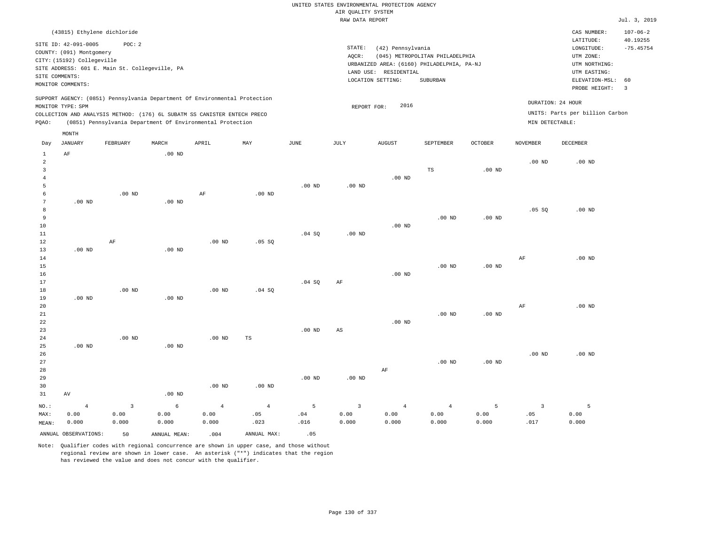|       | (43815) Ethylene dichloride                                                                                                                                                 |          |          |                                                            |     |      |       |                                                                                                                                                                           |           |         |                   | CAS NUMBER:                                                                                | $107 - 06 - 2$          |
|-------|-----------------------------------------------------------------------------------------------------------------------------------------------------------------------------|----------|----------|------------------------------------------------------------|-----|------|-------|---------------------------------------------------------------------------------------------------------------------------------------------------------------------------|-----------|---------|-------------------|--------------------------------------------------------------------------------------------|-------------------------|
|       | SITE ID: 42-091-0005<br>COUNTY: (091) Montgomery<br>CITY: (15192) Collegeville<br>SITE ADDRESS: 601 E. Main St. Collegeville, PA<br>SITE COMMENTS:<br>MONITOR COMMENTS:     | POC:2    |          |                                                            |     |      | AQCR: | STATE:<br>(42) Pennsylvania<br>(045) METROPOLITAN PHILADELPHIA<br>URBANIZED AREA: (6160) PHILADELPHIA, PA-NJ<br>LAND USE:<br>RESIDENTIAL<br>LOCATION SETTING:<br>SUBURBAN |           |         |                   | LATITUDE:<br>LONGITUDE:<br>UTM ZONE:<br>UTM NORTHING:<br>UTM EASTING:<br>ELEVATION-MSL: 60 | 40.19255<br>$-75.45754$ |
| POAO: | SUPPORT AGENCY: (0851) Pennsylvania Department Of Environmental Protection<br>MONITOR TYPE: SPM<br>COLLECTION AND ANALYSIS METHOD: (176) 6L SUBATM SS CANISTER ENTECH PRECO |          |          | (0851) Pennsylvania Department Of Environmental Protection |     |      |       | 2016<br>REPORT FOR:                                                                                                                                                       |           |         |                   | PROBE HEIGHT:<br>DURATION: 24 HOUR<br>UNITS: Parts per billion Carbon<br>MIN DETECTABLE:   | -3                      |
| Day   | MONTH<br>JANUARY                                                                                                                                                            | FEBRUARY | MARCH    | APRIL                                                      | MAY | JUNE | JULY  | <b>AUGUST</b>                                                                                                                                                             | SEPTEMBER | OCTOBER | NOVEMBER          | DECEMBER                                                                                   |                         |
|       | AF                                                                                                                                                                          |          | $.00$ ND |                                                            |     |      |       |                                                                                                                                                                           |           |         | .00 <sub>ND</sub> | $.00$ ND                                                                                   |                         |

| $\overline{3}$ |                   |                |            |                |                |          |                        |          | $_{\rm TS}$       | .00 <sub>ND</sub> |                         |          |
|----------------|-------------------|----------------|------------|----------------|----------------|----------|------------------------|----------|-------------------|-------------------|-------------------------|----------|
| $\overline{4}$ |                   |                |            |                |                |          |                        | .00 $ND$ |                   |                   |                         |          |
| 5              |                   |                |            |                |                | $.00$ ND | $.00$ ND               |          |                   |                   |                         |          |
| 6              |                   | .00 $ND$       |            | $\rm AF$       | .00 $ND$       |          |                        |          |                   |                   |                         |          |
| 7              | $.00~\mathrm{ND}$ |                | $.00$ ND   |                |                |          |                        |          |                   |                   |                         |          |
| 8              |                   |                |            |                |                |          |                        |          |                   |                   | .05 SQ                  | $.00$ ND |
| 9              |                   |                |            |                |                |          |                        |          | $.00$ ND          | .00 <sub>ND</sub> |                         |          |
| 10             |                   |                |            |                |                |          |                        | $.00$ ND |                   |                   |                         |          |
| 11             |                   |                |            |                |                | .04 SQ   | $.00$ ND               |          |                   |                   |                         |          |
| 12             |                   | $\rm AF$       |            | $.00$ ND       | .05 SQ         |          |                        |          |                   |                   |                         |          |
| 13             | $.00$ ND          |                | $.00$ ND   |                |                |          |                        |          |                   |                   |                         |          |
| 14             |                   |                |            |                |                |          |                        |          |                   |                   | AF                      | $.00$ ND |
| 15             |                   |                |            |                |                |          |                        |          | $.00$ ND          | .00 <sub>ND</sub> |                         |          |
| 16             |                   |                |            |                |                |          |                        | $.00$ ND |                   |                   |                         |          |
| 17             |                   |                |            |                |                | .04 SQ   | $\rm AF$               |          |                   |                   |                         |          |
| 18             |                   | $.00$ ND       |            | $.00$ ND       | .04 SQ         |          |                        |          |                   |                   |                         |          |
| 19             | $.00$ ND          |                | $.00$ ND   |                |                |          |                        |          |                   |                   |                         |          |
| 20             |                   |                |            |                |                |          |                        |          |                   |                   | $\rm{AF}$               | $.00$ ND |
| 21             |                   |                |            |                |                |          |                        |          | .00 <sub>ND</sub> | .00 <sub>ND</sub> |                         |          |
| 22             |                   |                |            |                |                |          |                        | $.00$ ND |                   |                   |                         |          |
| 23             |                   |                |            |                |                | $.00$ ND | $\mathbb{A}\mathbb{S}$ |          |                   |                   |                         |          |
| 24             |                   | $.00$ ND       |            | $.00$ ND       | $_{\rm TS}$    |          |                        |          |                   |                   |                         |          |
| 25             | $.00$ ND          |                | $.00$ ND   |                |                |          |                        |          |                   |                   |                         |          |
| 26             |                   |                |            |                |                |          |                        |          |                   |                   | $.00$ ND                | $.00$ ND |
| 27             |                   |                |            |                |                |          |                        |          | .00 <sub>ND</sub> | .00 <sub>ND</sub> |                         |          |
| 28             |                   |                |            |                |                |          |                        | $\rm AF$ |                   |                   |                         |          |
| 29             |                   |                |            |                |                | $.00$ ND | $.00$ ND               |          |                   |                   |                         |          |
| 30             |                   |                |            | .00 $ND$       | $.00$ ND       |          |                        |          |                   |                   |                         |          |
| 31             | AV                |                | .00 $ND$   |                |                |          |                        |          |                   |                   |                         |          |
| $_{\rm NO.}$ : | $\overline{4}$    | $\overline{3}$ | $\epsilon$ | $\overline{4}$ | $\overline{4}$ | 5        | $\mathbf{3}$           | $\bf{4}$ | $\overline{4}$    | 5                 | $\overline{\mathbf{3}}$ | 5        |
| MAX:           | 0.00              | 0.00           | 0.00       | 0.00           | .05            | .04      | 0.00                   | 0.00     | 0.00              | 0.00              | .05                     | 0.00     |
| MEAN:          | 0.000             | 0.000          | 0.000      | 0.000          | .023           | .016     | 0.000                  | 0.000    | 0.000             | 0.000             | .017                    | 0.000    |

Note: Qualifier codes with regional concurrence are shown in upper case, and those without regional review are shown in lower case. An asterisk ("\*") indicates that the region has reviewed the value and does not concur with the qualifier.

ANNUAL OBSERVATIONS: 50 ANNUAL MEAN: .004 ANNUAL MAX: .05

MEAN: 0.000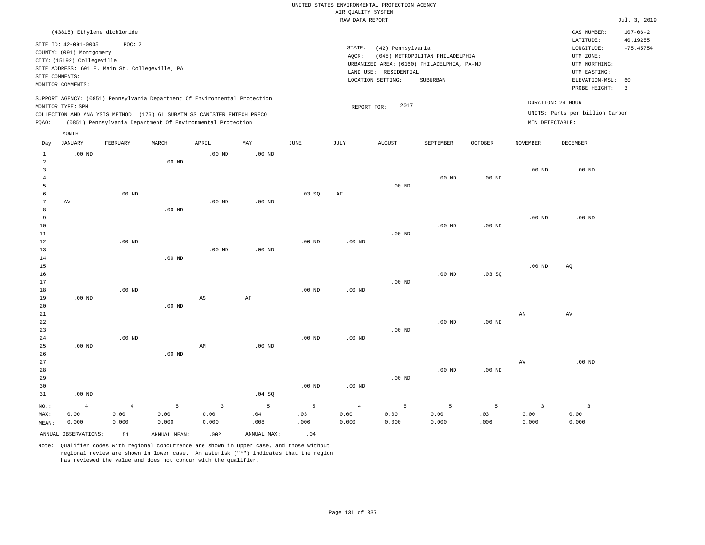|                |                            |                                                |                   |                                                                            |                   |                   |                    | UNITED STATES ENVIRONMENTAL PROTECTION AGENCY |                                            |                   |                         |                                 |                      |
|----------------|----------------------------|------------------------------------------------|-------------------|----------------------------------------------------------------------------|-------------------|-------------------|--------------------|-----------------------------------------------|--------------------------------------------|-------------------|-------------------------|---------------------------------|----------------------|
|                |                            |                                                |                   |                                                                            |                   |                   | AIR QUALITY SYSTEM |                                               |                                            |                   |                         |                                 |                      |
|                |                            |                                                |                   |                                                                            |                   |                   | RAW DATA REPORT    |                                               |                                            |                   |                         |                                 | Jul. 3, 2019         |
|                |                            | (43815) Ethylene dichloride                    |                   |                                                                            |                   |                   |                    |                                               |                                            |                   |                         | CAS NUMBER:                     | $107 - 06 - 2$       |
|                | SITE ID: 42-091-0005       | POC: 2                                         |                   |                                                                            |                   |                   |                    |                                               |                                            |                   |                         | LATITUDE:                       | 40.19255             |
|                | COUNTY: (091) Montgomery   |                                                |                   |                                                                            |                   |                   | STATE:             | (42) Pennsylvania                             |                                            |                   |                         | LONGITUDE:                      | $-75.45754$          |
|                | CITY: (15192) Collegeville |                                                |                   |                                                                            |                   |                   | AQCR:              |                                               | (045) METROPOLITAN PHILADELPHIA            |                   |                         | UTM ZONE:                       |                      |
|                |                            | SITE ADDRESS: 601 E. Main St. Collegeville, PA |                   |                                                                            |                   |                   |                    |                                               | URBANIZED AREA: (6160) PHILADELPHIA, PA-NJ |                   |                         | UTM NORTHING:                   |                      |
|                | SITE COMMENTS:             |                                                |                   |                                                                            |                   |                   |                    | LAND USE: RESIDENTIAL                         |                                            |                   |                         | UTM EASTING:                    |                      |
|                | MONITOR COMMENTS:          |                                                |                   |                                                                            |                   |                   |                    | LOCATION SETTING:                             | SUBURBAN                                   |                   |                         | ELEVATION-MSL:<br>PROBE HEIGHT: | 60<br>$\overline{3}$ |
|                |                            |                                                |                   | SUPPORT AGENCY: (0851) Pennsylvania Department Of Environmental Protection |                   |                   |                    |                                               |                                            |                   |                         |                                 |                      |
|                | MONITOR TYPE: SPM          |                                                |                   |                                                                            |                   |                   | REPORT FOR:        | 2017                                          |                                            |                   |                         | DURATION: 24 HOUR               |                      |
|                |                            |                                                |                   | COLLECTION AND ANALYSIS METHOD: (176) 6L SUBATM SS CANISTER ENTECH PRECO   |                   |                   |                    |                                               |                                            |                   |                         | UNITS: Parts per billion Carbon |                      |
| PQAO:          |                            |                                                |                   | (0851) Pennsylvania Department Of Environmental Protection                 |                   |                   |                    |                                               |                                            |                   | MIN DETECTABLE:         |                                 |                      |
|                | MONTH                      |                                                |                   |                                                                            |                   |                   |                    |                                               |                                            |                   |                         |                                 |                      |
| Day            | <b>JANUARY</b>             | FEBRUARY                                       | MARCH             | APRIL                                                                      | MAY               | <b>JUNE</b>       | JULY               | <b>AUGUST</b>                                 | SEPTEMBER                                  | <b>OCTOBER</b>    | <b>NOVEMBER</b>         | DECEMBER                        |                      |
| $\mathbf{1}$   | $.00$ ND                   |                                                |                   | .00 <sub>ND</sub>                                                          | .00 <sub>ND</sub> |                   |                    |                                               |                                            |                   |                         |                                 |                      |
| $\overline{a}$ |                            |                                                | .00 <sub>ND</sub> |                                                                            |                   |                   |                    |                                               |                                            |                   |                         |                                 |                      |
| $\overline{3}$ |                            |                                                |                   |                                                                            |                   |                   |                    |                                               |                                            |                   | .00 <sub>ND</sub>       | $.00$ ND                        |                      |
| $\bf{4}$       |                            |                                                |                   |                                                                            |                   |                   |                    |                                               | $.00$ ND                                   | $.00$ ND          |                         |                                 |                      |
| 5              |                            |                                                |                   |                                                                            |                   |                   |                    | $.00$ ND                                      |                                            |                   |                         |                                 |                      |
| 6              |                            | $.00$ ND                                       |                   |                                                                            |                   | .03 SQ            | $\rm{AF}$          |                                               |                                            |                   |                         |                                 |                      |
| $\overline{7}$ | AV                         |                                                |                   | $.00$ ND                                                                   | $.00$ ND          |                   |                    |                                               |                                            |                   |                         |                                 |                      |
| 8              |                            |                                                | $.00$ ND          |                                                                            |                   |                   |                    |                                               |                                            |                   |                         |                                 |                      |
| 9<br>10        |                            |                                                |                   |                                                                            |                   |                   |                    |                                               | .00 <sub>ND</sub>                          | .00 <sub>ND</sub> | .00 <sub>ND</sub>       | $.00$ ND                        |                      |
| 11             |                            |                                                |                   |                                                                            |                   |                   |                    | $.00$ ND                                      |                                            |                   |                         |                                 |                      |
| 12             |                            | $.00$ ND                                       |                   |                                                                            |                   | $.00$ ND          | $.00$ ND           |                                               |                                            |                   |                         |                                 |                      |
| 13             |                            |                                                |                   | $.00$ ND                                                                   | $.00$ ND          |                   |                    |                                               |                                            |                   |                         |                                 |                      |
| 14             |                            |                                                | $.00$ ND          |                                                                            |                   |                   |                    |                                               |                                            |                   |                         |                                 |                      |
| 15             |                            |                                                |                   |                                                                            |                   |                   |                    |                                               |                                            |                   | .00 <sub>ND</sub>       | AQ                              |                      |
| 16             |                            |                                                |                   |                                                                            |                   |                   |                    |                                               | $.00$ ND                                   | .03SQ             |                         |                                 |                      |
| 17             |                            |                                                |                   |                                                                            |                   |                   |                    | $.00$ ND                                      |                                            |                   |                         |                                 |                      |
| 18             |                            | $.00$ ND                                       |                   |                                                                            |                   | $.00$ ND          | $.00$ ND           |                                               |                                            |                   |                         |                                 |                      |
| 19             | $.00$ ND                   |                                                |                   | $_{\rm AS}$                                                                | AF                |                   |                    |                                               |                                            |                   |                         |                                 |                      |
| 20             |                            |                                                | $.00$ ND          |                                                                            |                   |                   |                    |                                               |                                            |                   |                         |                                 |                      |
| 21             |                            |                                                |                   |                                                                            |                   |                   |                    |                                               |                                            |                   | AN                      | AV                              |                      |
| 22             |                            |                                                |                   |                                                                            |                   |                   |                    |                                               | $.00$ ND                                   | $.00$ ND          |                         |                                 |                      |
| 23             |                            |                                                |                   |                                                                            |                   |                   |                    | $.00$ ND                                      |                                            |                   |                         |                                 |                      |
| 24             |                            | $.00$ ND                                       |                   |                                                                            |                   | .00 <sub>ND</sub> | .00 <sub>ND</sub>  |                                               |                                            |                   |                         |                                 |                      |
| 25             | $.00$ ND                   |                                                |                   | AM                                                                         | $.00$ ND          |                   |                    |                                               |                                            |                   |                         |                                 |                      |
| 26             |                            |                                                | $.00$ ND          |                                                                            |                   |                   |                    |                                               |                                            |                   |                         |                                 |                      |
| 27             |                            |                                                |                   |                                                                            |                   |                   |                    |                                               |                                            |                   | AV                      | $.00$ ND                        |                      |
| 28             |                            |                                                |                   |                                                                            |                   |                   |                    |                                               | .00 <sub>ND</sub>                          | .00 <sub>ND</sub> |                         |                                 |                      |
| 29             |                            |                                                |                   |                                                                            |                   |                   |                    | $.00$ ND                                      |                                            |                   |                         |                                 |                      |
| 30             |                            |                                                |                   |                                                                            |                   | .00 <sub>ND</sub> | .00 <sub>ND</sub>  |                                               |                                            |                   |                         |                                 |                      |
| 31             | .00 <sub>ND</sub>          |                                                |                   |                                                                            | .04 SQ            |                   |                    |                                               |                                            |                   |                         |                                 |                      |
| NO.:           | $\overline{4}$             | $\overline{4}$                                 | $\overline{5}$    | $\overline{3}$                                                             | 5                 | $\overline{5}$    | $\overline{4}$     | 5                                             | 5                                          | 5                 | $\overline{\mathbf{3}}$ | $\overline{\mathbf{3}}$         |                      |
| MAX:           | 0.00                       | 0.00                                           | 0.00              | 0.00                                                                       | .04               | .03               | 0.00               | 0.00                                          | 0.00                                       | .03               | 0.00                    | 0.00                            |                      |
| MEAN:          | 0.000                      | 0.000                                          | 0.000             | 0.000                                                                      | .008              | .006              | 0.000              | 0.000                                         | 0.000                                      | .006              | 0.000                   | 0.000                           |                      |

ANNUAL OBSERVATIONS:  $51$  ANNUAL MEAN: .002 ANNUAL MAX: .04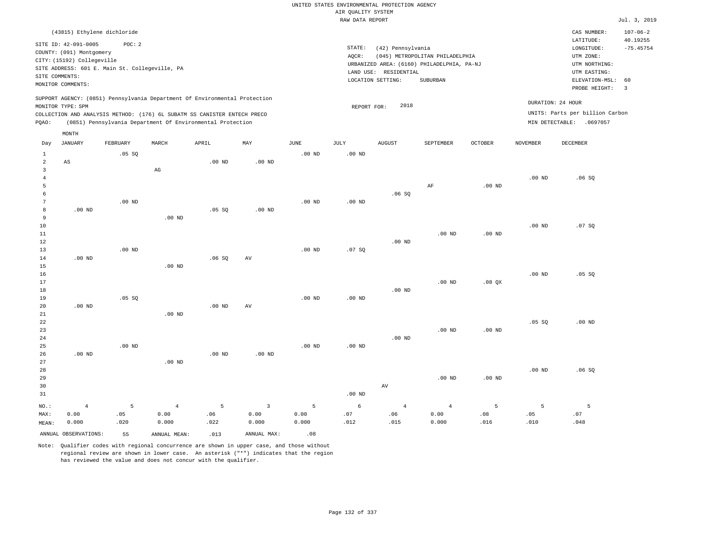|                      |                                                                                                                                                      |                                                          |                        |                                                                            |                   |                   | UNITED STATES ENVIRONMENTAL PROTECTION AGENCY<br>AIR OUALITY SYSTEM<br>RAW DATA REPORT |                                                                 |                                                                                           |                |                   |                                                                                                                         | Jul. 3, 2019                                                      |
|----------------------|------------------------------------------------------------------------------------------------------------------------------------------------------|----------------------------------------------------------|------------------------|----------------------------------------------------------------------------|-------------------|-------------------|----------------------------------------------------------------------------------------|-----------------------------------------------------------------|-------------------------------------------------------------------------------------------|----------------|-------------------|-------------------------------------------------------------------------------------------------------------------------|-------------------------------------------------------------------|
|                      |                                                                                                                                                      |                                                          |                        |                                                                            |                   |                   |                                                                                        |                                                                 |                                                                                           |                |                   |                                                                                                                         |                                                                   |
|                      | (43815) Ethylene dichloride<br>SITE ID: 42-091-0005<br>COUNTY: (091) Montgomery<br>CITY: (15192) Collegeville<br>SITE COMMENTS:<br>MONITOR COMMENTS: | POC: 2<br>SITE ADDRESS: 601 E. Main St. Collegeville, PA |                        |                                                                            |                   |                   | STATE:<br>AOCR:                                                                        | (42) Pennsylvania<br>LAND USE: RESIDENTIAL<br>LOCATION SETTING: | (045) METROPOLITAN PHILADELPHIA<br>URBANIZED AREA: (6160) PHILADELPHIA, PA-NJ<br>SUBURBAN |                |                   | CAS NUMBER:<br>LATITUDE:<br>LONGITUDE:<br>UTM ZONE:<br>UTM NORTHING:<br>UTM EASTING:<br>ELEVATION-MSL:<br>PROBE HEIGHT: | $107 - 06 - 2$<br>40.19255<br>$-75.45754$<br>60<br>$\overline{3}$ |
|                      |                                                                                                                                                      |                                                          |                        | SUPPORT AGENCY: (0851) Pennsylvania Department Of Environmental Protection |                   |                   |                                                                                        |                                                                 |                                                                                           |                |                   |                                                                                                                         |                                                                   |
|                      | MONITOR TYPE: SPM                                                                                                                                    |                                                          |                        |                                                                            |                   |                   | REPORT FOR:                                                                            | 2018                                                            |                                                                                           |                | DURATION: 24 HOUR |                                                                                                                         |                                                                   |
|                      |                                                                                                                                                      |                                                          |                        | COLLECTION AND ANALYSIS METHOD: (176) 6L SUBATM SS CANISTER ENTECH PRECO   |                   |                   |                                                                                        |                                                                 |                                                                                           |                |                   | UNITS: Parts per billion Carbon                                                                                         |                                                                   |
| PQAO:                |                                                                                                                                                      |                                                          |                        | (0851) Pennsylvania Department Of Environmental Protection                 |                   |                   |                                                                                        |                                                                 |                                                                                           |                |                   | MIN DETECTABLE: . 0697057                                                                                               |                                                                   |
|                      | MONTH                                                                                                                                                |                                                          |                        |                                                                            |                   |                   |                                                                                        |                                                                 |                                                                                           |                |                   |                                                                                                                         |                                                                   |
| Day                  | <b>JANUARY</b>                                                                                                                                       | FEBRUARY                                                 | MARCH                  | APRIL                                                                      | MAY               | JUNE              | JULY                                                                                   | AUGUST                                                          | SEPTEMBER                                                                                 | <b>OCTOBER</b> | NOVEMBER          | DECEMBER                                                                                                                |                                                                   |
| $\mathbf{1}$         |                                                                                                                                                      | .05 SQ                                                   |                        |                                                                            |                   | $.00$ ND          | $.00$ ND                                                                               |                                                                 |                                                                                           |                |                   |                                                                                                                         |                                                                   |
| $\overline{a}$       | AS                                                                                                                                                   |                                                          |                        | .00 <sub>ND</sub>                                                          | .00 <sub>ND</sub> |                   |                                                                                        |                                                                 |                                                                                           |                |                   |                                                                                                                         |                                                                   |
| $\overline{3}$       |                                                                                                                                                      |                                                          | $\mathbb{A}\mathbb{G}$ |                                                                            |                   |                   |                                                                                        |                                                                 |                                                                                           |                |                   |                                                                                                                         |                                                                   |
| $\overline{4}$       |                                                                                                                                                      |                                                          |                        |                                                                            |                   |                   |                                                                                        |                                                                 |                                                                                           |                | $.00$ ND          | .06SQ                                                                                                                   |                                                                   |
| 5                    |                                                                                                                                                      |                                                          |                        |                                                                            |                   |                   |                                                                                        |                                                                 | AF                                                                                        | $.00$ ND       |                   |                                                                                                                         |                                                                   |
| 6<br>$7\phantom{.0}$ |                                                                                                                                                      | $.00$ ND                                                 |                        |                                                                            |                   | .00 <sub>ND</sub> | $.00$ ND                                                                               | .06SQ                                                           |                                                                                           |                |                   |                                                                                                                         |                                                                   |
| 8                    | $.00$ ND                                                                                                                                             |                                                          |                        | .05 SQ                                                                     | $.00$ ND          |                   |                                                                                        |                                                                 |                                                                                           |                |                   |                                                                                                                         |                                                                   |
| 9                    |                                                                                                                                                      |                                                          | $.00$ ND               |                                                                            |                   |                   |                                                                                        |                                                                 |                                                                                           |                |                   |                                                                                                                         |                                                                   |
| 10                   |                                                                                                                                                      |                                                          |                        |                                                                            |                   |                   |                                                                                        |                                                                 |                                                                                           |                | $.00$ ND          | .07 SQ                                                                                                                  |                                                                   |
| $1\,1$               |                                                                                                                                                      |                                                          |                        |                                                                            |                   |                   |                                                                                        |                                                                 | $.00$ ND                                                                                  | $.00$ ND       |                   |                                                                                                                         |                                                                   |
| 12                   |                                                                                                                                                      |                                                          |                        |                                                                            |                   |                   |                                                                                        | $.00$ ND                                                        |                                                                                           |                |                   |                                                                                                                         |                                                                   |
| 13                   |                                                                                                                                                      | $.00$ ND                                                 |                        |                                                                            |                   | $.00$ ND          | .07SQ                                                                                  |                                                                 |                                                                                           |                |                   |                                                                                                                         |                                                                   |
| 14                   | $.00$ ND                                                                                                                                             |                                                          |                        | .06S                                                                       | AV                |                   |                                                                                        |                                                                 |                                                                                           |                |                   |                                                                                                                         |                                                                   |
| 15                   |                                                                                                                                                      |                                                          | $.00$ ND               |                                                                            |                   |                   |                                                                                        |                                                                 |                                                                                           |                |                   |                                                                                                                         |                                                                   |
| 16                   |                                                                                                                                                      |                                                          |                        |                                                                            |                   |                   |                                                                                        |                                                                 |                                                                                           |                | .00 <sub>ND</sub> | .05 SQ                                                                                                                  |                                                                   |
| 17                   |                                                                                                                                                      |                                                          |                        |                                                                            |                   |                   |                                                                                        |                                                                 | $.00$ ND                                                                                  | .08 QX         |                   |                                                                                                                         |                                                                   |
| 18                   |                                                                                                                                                      |                                                          |                        |                                                                            |                   |                   |                                                                                        | $.00$ ND                                                        |                                                                                           |                |                   |                                                                                                                         |                                                                   |
| 19                   |                                                                                                                                                      | $.05$ SO                                                 |                        |                                                                            |                   | .00 <sub>ND</sub> | .00 <sub>ND</sub>                                                                      |                                                                 |                                                                                           |                |                   |                                                                                                                         |                                                                   |
| 20<br>21             | $.00$ ND                                                                                                                                             |                                                          | $.00$ ND               | .00 <sub>ND</sub>                                                          | AV                |                   |                                                                                        |                                                                 |                                                                                           |                |                   |                                                                                                                         |                                                                   |
| 22                   |                                                                                                                                                      |                                                          |                        |                                                                            |                   |                   |                                                                                        |                                                                 |                                                                                           |                | .05 SQ            | $.00$ ND                                                                                                                |                                                                   |
| 23                   |                                                                                                                                                      |                                                          |                        |                                                                            |                   |                   |                                                                                        |                                                                 | $.00$ ND                                                                                  | $.00$ ND       |                   |                                                                                                                         |                                                                   |
| 24                   |                                                                                                                                                      |                                                          |                        |                                                                            |                   |                   |                                                                                        | $.00$ ND                                                        |                                                                                           |                |                   |                                                                                                                         |                                                                   |
| 25                   |                                                                                                                                                      | $.00$ ND                                                 |                        |                                                                            |                   | $.00$ ND          | .00 <sub>ND</sub>                                                                      |                                                                 |                                                                                           |                |                   |                                                                                                                         |                                                                   |
| 26                   | $.00$ ND                                                                                                                                             |                                                          |                        | $.00$ ND                                                                   | $.00$ ND          |                   |                                                                                        |                                                                 |                                                                                           |                |                   |                                                                                                                         |                                                                   |
| 27                   |                                                                                                                                                      |                                                          | $.00$ ND               |                                                                            |                   |                   |                                                                                        |                                                                 |                                                                                           |                |                   |                                                                                                                         |                                                                   |
| 28                   |                                                                                                                                                      |                                                          |                        |                                                                            |                   |                   |                                                                                        |                                                                 |                                                                                           |                | $.00$ ND          | .06SQ                                                                                                                   |                                                                   |
| 29                   |                                                                                                                                                      |                                                          |                        |                                                                            |                   |                   |                                                                                        |                                                                 | $.00$ ND                                                                                  | $.00$ ND       |                   |                                                                                                                         |                                                                   |
| 30                   |                                                                                                                                                      |                                                          |                        |                                                                            |                   |                   |                                                                                        | AV                                                              |                                                                                           |                |                   |                                                                                                                         |                                                                   |
| 31                   |                                                                                                                                                      |                                                          |                        |                                                                            |                   |                   | $.00$ ND                                                                               |                                                                 |                                                                                           |                |                   |                                                                                                                         |                                                                   |
| NO.:                 | $\overline{4}$                                                                                                                                       | 5                                                        | $\bf{4}$               | 5                                                                          | $\overline{3}$    | 5                 | 6                                                                                      | $\overline{4}$                                                  | $\,4\,$                                                                                   | 5              | 5                 | 5                                                                                                                       |                                                                   |
| MAX:                 | 0.00                                                                                                                                                 | .05                                                      | 0.00                   | .06                                                                        | 0.00              | 0.00              | .07                                                                                    | .06                                                             | 0.00                                                                                      | .08            | .05               | .07                                                                                                                     |                                                                   |
| MEAN:                | 0.000                                                                                                                                                | .020                                                     | 0.000                  | .022                                                                       | 0.000             | 0.000             | .012                                                                                   | .015                                                            | 0.000                                                                                     | .016           | .010              | .048                                                                                                                    |                                                                   |
|                      | ANNUAL OBSERVATIONS:                                                                                                                                 | 55                                                       | ANNUAL MEAN:           | .013                                                                       | ANNUAL MAX:       | .08               |                                                                                        |                                                                 |                                                                                           |                |                   |                                                                                                                         |                                                                   |
|                      |                                                                                                                                                      |                                                          |                        |                                                                            |                   |                   |                                                                                        |                                                                 |                                                                                           |                |                   |                                                                                                                         |                                                                   |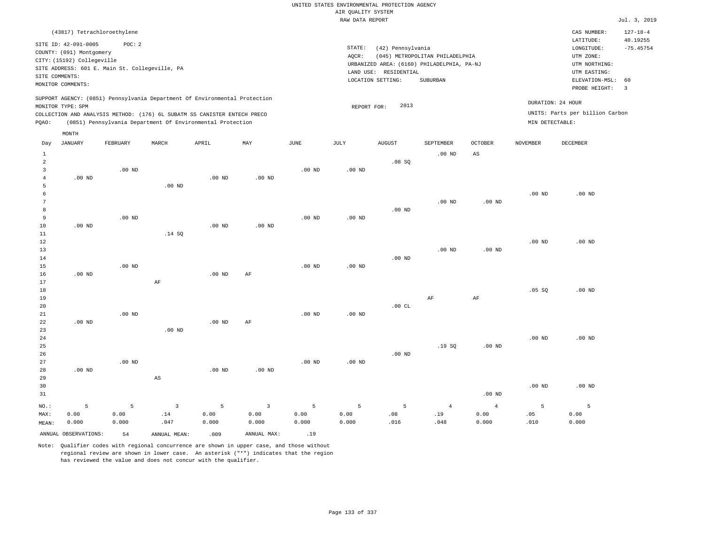# UNITED STATES ENVIRONMENTAL PROTECTION AGENCY AIR QUALITY SYSTEM

|                 |                                                                                                                       |                                                          |                        |                                                                            |                   |                                                                                                                                                                                 | RAW DATA REPORT   |               |                |                |                   |                                                                                                          | Jul. 3, 2019                                             |
|-----------------|-----------------------------------------------------------------------------------------------------------------------|----------------------------------------------------------|------------------------|----------------------------------------------------------------------------|-------------------|---------------------------------------------------------------------------------------------------------------------------------------------------------------------------------|-------------------|---------------|----------------|----------------|-------------------|----------------------------------------------------------------------------------------------------------|----------------------------------------------------------|
|                 | (43817) Tetrachloroethylene                                                                                           |                                                          |                        |                                                                            |                   |                                                                                                                                                                                 |                   |               |                |                |                   | CAS NUMBER:                                                                                              | $127 - 18 - 4$                                           |
|                 | SITE ID: 42-091-0005<br>COUNTY: (091) Montgomery<br>CITY: (15192) Collegeville<br>SITE COMMENTS:<br>MONITOR COMMENTS: | POC: 2<br>SITE ADDRESS: 601 E. Main St. Collegeville, PA |                        |                                                                            |                   | STATE:<br>(42) Pennsylvania<br>(045) METROPOLITAN PHILADELPHIA<br>AQCR:<br>URBANIZED AREA: (6160) PHILADELPHIA, PA-NJ<br>LAND USE: RESIDENTIAL<br>LOCATION SETTING:<br>SUBURBAN |                   |               |                |                |                   | LATITUDE:<br>LONGITUDE:<br>UTM ZONE:<br>UTM NORTHING:<br>UTM EASTING:<br>ELEVATION-MSL:<br>PROBE HEIGHT: | 40.19255<br>$-75.45754$<br>60<br>$\overline{\mathbf{3}}$ |
|                 | MONITOR TYPE: SPM                                                                                                     |                                                          |                        | SUPPORT AGENCY: (0851) Pennsylvania Department Of Environmental Protection |                   |                                                                                                                                                                                 | REPORT FOR:       | 2013          |                |                |                   | DURATION: 24 HOUR                                                                                        |                                                          |
|                 |                                                                                                                       |                                                          |                        | COLLECTION AND ANALYSIS METHOD: (176) 6L SUBATM SS CANISTER ENTECH PRECO   |                   |                                                                                                                                                                                 |                   |               |                |                |                   | UNITS: Parts per billion Carbon                                                                          |                                                          |
| PQAO:           |                                                                                                                       |                                                          |                        | (0851) Pennsylvania Department Of Environmental Protection                 |                   |                                                                                                                                                                                 |                   |               |                |                | MIN DETECTABLE:   |                                                                                                          |                                                          |
|                 | MONTH                                                                                                                 |                                                          |                        |                                                                            |                   |                                                                                                                                                                                 |                   |               |                |                |                   |                                                                                                          |                                                          |
| Day             | <b>JANUARY</b>                                                                                                        | FEBRUARY                                                 | MARCH                  | APRIL                                                                      | MAY               | JUNE                                                                                                                                                                            | JULY              | <b>AUGUST</b> | SEPTEMBER      | <b>OCTOBER</b> | NOVEMBER          | DECEMBER                                                                                                 |                                                          |
| $\mathbf{1}$    |                                                                                                                       |                                                          |                        |                                                                            |                   |                                                                                                                                                                                 |                   |               | $.00$ ND       | AS             |                   |                                                                                                          |                                                          |
| $\overline{a}$  |                                                                                                                       |                                                          |                        |                                                                            |                   |                                                                                                                                                                                 |                   | .08SQ         |                |                |                   |                                                                                                          |                                                          |
| $\overline{3}$  |                                                                                                                       | $.00$ ND                                                 |                        |                                                                            |                   | $.00$ ND                                                                                                                                                                        | $.00$ ND          |               |                |                |                   |                                                                                                          |                                                          |
| $\overline{4}$  | $.00$ ND                                                                                                              |                                                          |                        | .00 <sub>ND</sub>                                                          | .00 <sub>ND</sub> |                                                                                                                                                                                 |                   |               |                |                |                   |                                                                                                          |                                                          |
| 5               |                                                                                                                       |                                                          | $.00$ ND               |                                                                            |                   |                                                                                                                                                                                 |                   |               |                |                |                   |                                                                                                          |                                                          |
| 6               |                                                                                                                       |                                                          |                        |                                                                            |                   |                                                                                                                                                                                 |                   |               |                |                | $.00$ ND          | $.00$ ND                                                                                                 |                                                          |
| $7\phantom{.0}$ |                                                                                                                       |                                                          |                        |                                                                            |                   |                                                                                                                                                                                 |                   |               | $.00$ ND       | $.00$ ND       |                   |                                                                                                          |                                                          |
| 8               |                                                                                                                       |                                                          |                        |                                                                            |                   |                                                                                                                                                                                 |                   | $.00$ ND      |                |                |                   |                                                                                                          |                                                          |
| $\overline{9}$  |                                                                                                                       | $.00$ ND                                                 |                        |                                                                            |                   | $.00$ ND                                                                                                                                                                        | $.00$ ND          |               |                |                |                   |                                                                                                          |                                                          |
| 10              | $.00$ ND                                                                                                              |                                                          |                        | .00 <sub>ND</sub>                                                          | .00 <sub>ND</sub> |                                                                                                                                                                                 |                   |               |                |                |                   |                                                                                                          |                                                          |
| 11<br>12        |                                                                                                                       |                                                          | .14 SQ                 |                                                                            |                   |                                                                                                                                                                                 |                   |               |                |                | .00 <sub>ND</sub> | .00 <sub>ND</sub>                                                                                        |                                                          |
| 13              |                                                                                                                       |                                                          |                        |                                                                            |                   |                                                                                                                                                                                 |                   |               | $.00$ ND       | $.00$ ND       |                   |                                                                                                          |                                                          |
| 14              |                                                                                                                       |                                                          |                        |                                                                            |                   |                                                                                                                                                                                 |                   | $.00$ ND      |                |                |                   |                                                                                                          |                                                          |
| 15              |                                                                                                                       | $.00$ ND                                                 |                        |                                                                            |                   | $.00$ ND                                                                                                                                                                        | $.00$ ND          |               |                |                |                   |                                                                                                          |                                                          |
| 16              | $.00$ ND                                                                                                              |                                                          |                        | .00 <sub>ND</sub>                                                          | AF                |                                                                                                                                                                                 |                   |               |                |                |                   |                                                                                                          |                                                          |
| 17              |                                                                                                                       |                                                          | AF                     |                                                                            |                   |                                                                                                                                                                                 |                   |               |                |                |                   |                                                                                                          |                                                          |
| 18              |                                                                                                                       |                                                          |                        |                                                                            |                   |                                                                                                                                                                                 |                   |               |                |                | .05SQ             | .00 <sub>ND</sub>                                                                                        |                                                          |
| 19              |                                                                                                                       |                                                          |                        |                                                                            |                   |                                                                                                                                                                                 |                   |               | AF             | AF             |                   |                                                                                                          |                                                          |
| 20              |                                                                                                                       |                                                          |                        |                                                                            |                   |                                                                                                                                                                                 |                   | .00CL         |                |                |                   |                                                                                                          |                                                          |
| 21              |                                                                                                                       | $.00$ ND                                                 |                        |                                                                            |                   | $.00$ ND                                                                                                                                                                        | .00 <sub>ND</sub> |               |                |                |                   |                                                                                                          |                                                          |
| 22              | $.00$ ND                                                                                                              |                                                          |                        | .00 <sub>ND</sub>                                                          | AF                |                                                                                                                                                                                 |                   |               |                |                |                   |                                                                                                          |                                                          |
| 23              |                                                                                                                       |                                                          | $.00$ ND               |                                                                            |                   |                                                                                                                                                                                 |                   |               |                |                |                   |                                                                                                          |                                                          |
| 24              |                                                                                                                       |                                                          |                        |                                                                            |                   |                                                                                                                                                                                 |                   |               |                |                | .00 <sub>ND</sub> | .00 <sub>ND</sub>                                                                                        |                                                          |
| 25              |                                                                                                                       |                                                          |                        |                                                                            |                   |                                                                                                                                                                                 |                   |               | .19SQ          | $.00$ ND       |                   |                                                                                                          |                                                          |
| 26              |                                                                                                                       |                                                          |                        |                                                                            |                   |                                                                                                                                                                                 |                   | $.00$ ND      |                |                |                   |                                                                                                          |                                                          |
| 27              |                                                                                                                       | $.00$ ND                                                 |                        |                                                                            |                   | $.00$ ND                                                                                                                                                                        | $.00$ ND          |               |                |                |                   |                                                                                                          |                                                          |
| 28              | $.00$ ND                                                                                                              |                                                          |                        | .00 <sub>ND</sub>                                                          | .00 <sub>ND</sub> |                                                                                                                                                                                 |                   |               |                |                |                   |                                                                                                          |                                                          |
| 29              |                                                                                                                       |                                                          | $\mathbb{A}\mathbb{S}$ |                                                                            |                   |                                                                                                                                                                                 |                   |               |                |                |                   |                                                                                                          |                                                          |
| 30              |                                                                                                                       |                                                          |                        |                                                                            |                   |                                                                                                                                                                                 |                   |               |                |                | .00 <sub>ND</sub> | .00 <sub>ND</sub>                                                                                        |                                                          |
| 31              |                                                                                                                       |                                                          |                        |                                                                            |                   |                                                                                                                                                                                 |                   |               |                | $.00$ ND       |                   |                                                                                                          |                                                          |
| NO.:            | $\overline{5}$                                                                                                        | 5                                                        | $\overline{3}$         | 5                                                                          | $\overline{3}$    | 5                                                                                                                                                                               | 5                 | 5             | $\overline{4}$ | $\overline{4}$ | 5                 | 5                                                                                                        |                                                          |
| MAX:            | 0.00                                                                                                                  | 0.00                                                     | .14                    | 0.00                                                                       | 0.00              | 0.00                                                                                                                                                                            | 0.00              | .08           | .19            | 0.00           | .05               | 0.00                                                                                                     |                                                          |

| MAX:   | J.OO          | .00  | .               | ,.00 | ,.00        | 0.00  | 0.00  | . 08<br>. | ٦۵.<br>. |
|--------|---------------|------|-----------------|------|-------------|-------|-------|-----------|----------|
| MEAN:  | 0.000         | .000 | 04 <sup>7</sup> | .000 | .000        | 0.000 | 0.000 |           | .048     |
| ANNUAL | OBSERVATIONS: | 54   | MEAN:<br>ANNUAL | 009  | ANNUAL MAX: | .     |       |           |          |

Note: Qualifier codes with regional concurrence are shown in upper case, and those without regional review are shown in lower case. An asterisk ("\*") indicates that the region has reviewed the value and does not concur with the qualifier.

0.000

.010

0.000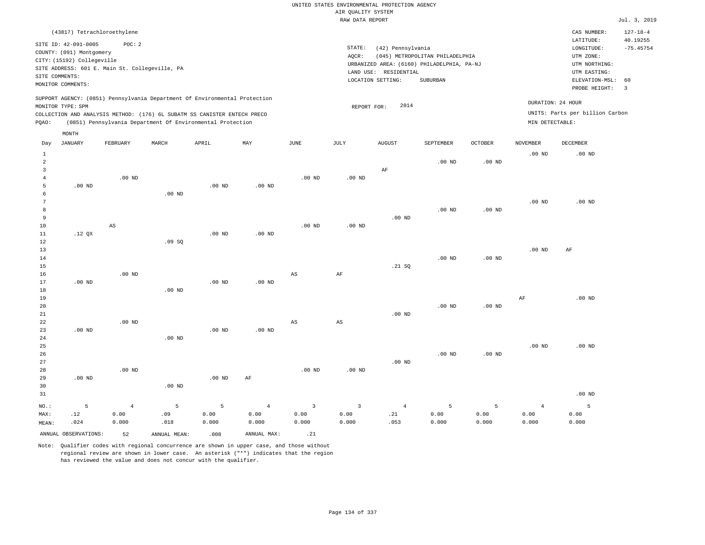| (43817) Tetrachloroethylene                                                                                                                                                                                                                                 |                                                                                                                                                                                 | CAS NUMBER:                                                                                                 | $127 - 18 - 4$                                     |
|-------------------------------------------------------------------------------------------------------------------------------------------------------------------------------------------------------------------------------------------------------------|---------------------------------------------------------------------------------------------------------------------------------------------------------------------------------|-------------------------------------------------------------------------------------------------------------|----------------------------------------------------|
| SITE ID: 42-091-0005<br>POC: 2<br>COUNTY: (091) Montgomery<br>CITY: (15192) Collegeville<br>SITE ADDRESS: 601 E. Main St. Collegeville, PA<br>SITE COMMENTS:<br>MONITOR COMMENTS:                                                                           | STATE:<br>(42) Pennsylvania<br>(045) METROPOLITAN PHILADELPHIA<br>AOCR:<br>URBANIZED AREA: (6160) PHILADELPHIA, PA-NJ<br>LAND USE: RESIDENTIAL<br>LOCATION SETTING:<br>SUBURBAN | LATITUDE:<br>LONGITUDE:<br>UTM ZONE:<br>UTM NORTHING:<br>UTM EASTING:<br>ELEVATION-MSL: 60<br>PROBE HEIGHT: | 40.19255<br>$-75.45754$<br>$\overline{\mathbf{3}}$ |
| SUPPORT AGENCY: (0851) Pennsylvania Department Of Environmental Protection<br>MONITOR TYPE: SPM<br>COLLECTION AND ANALYSIS METHOD: (176) 6L SUBATM SS CANISTER ENTECH PRECO<br>(0851) Pennsylvania Department Of Environmental Protection<br>POAO:<br>MONTH | DURATION: 24 HOUR<br>2014<br>REPORT FOR:<br>MIN DETECTABLE:                                                                                                                     | UNITS: Parts per billion Carbon                                                                             |                                                    |

| Day            | JANUARY     | FEBRUARY       | MARCH          | APRIL    | MAY            | JUNE           | JULY                    | AUGUST         | SEPTEMBER      | OCTOBER  | NOVEMBER       | DECEMBER |
|----------------|-------------|----------------|----------------|----------|----------------|----------------|-------------------------|----------------|----------------|----------|----------------|----------|
| 1              |             |                |                |          |                |                |                         |                |                |          | $.00$ ND       | $.00$ ND |
| $\sqrt{2}$     |             |                |                |          |                |                |                         |                | $.00$ ND       | $.00$ ND |                |          |
| 3              |             |                |                |          |                |                |                         | $\rm AF$       |                |          |                |          |
| $\overline{4}$ |             | $.00$ ND       |                |          |                | $.00$ ND       | .00 $ND$                |                |                |          |                |          |
| 5              | $.00$ ND    |                |                | .00 $ND$ | $.00$ ND       |                |                         |                |                |          |                |          |
| 6              |             |                | $.00$ ND       |          |                |                |                         |                |                |          |                |          |
| 7              |             |                |                |          |                |                |                         |                |                |          | $.00$ ND       | $.00$ ND |
| 8              |             |                |                |          |                |                |                         |                | $.00$ ND       | $.00$ ND |                |          |
| 9              |             |                |                |          |                |                |                         | $.00$ ND       |                |          |                |          |
| 10             |             | AS             |                |          |                | $.00$ ND       | $.00$ ND                |                |                |          |                |          |
| 11             | .12 QX      |                |                | $.00$ ND | $.00$ ND       |                |                         |                |                |          |                |          |
| 12             |             |                | .09SQ          |          |                |                |                         |                |                |          |                |          |
| 13             |             |                |                |          |                |                |                         |                |                |          | $.00$ ND       | AF       |
| $14\,$         |             |                |                |          |                |                |                         |                | $.00$ ND       | $.00$ ND |                |          |
| 15             |             |                |                |          |                |                |                         | .21 SQ         |                |          |                |          |
| 16             |             | $.00$ ND       |                |          |                | $_{\rm AS}$    | $\rm{AF}$               |                |                |          |                |          |
| 17             | $.00$ ND    |                |                | .00 $ND$ | $.00$ ND       |                |                         |                |                |          |                |          |
| 18             |             |                | $.00$ ND       |          |                |                |                         |                |                |          |                |          |
| 19             |             |                |                |          |                |                |                         |                |                |          | $\rm AF$       | $.00$ ND |
| 20             |             |                |                |          |                |                |                         |                | $.00$ ND       | $.00$ ND |                |          |
| 21             |             |                |                |          |                |                |                         | $.00$ ND       |                |          |                |          |
| 22             |             | $.00$ ND       |                |          |                | $_{\rm AS}$    | $\mathbb{A}\mathbb{S}$  |                |                |          |                |          |
| 23             | $.00$ ND    |                |                | $.00$ ND | $.00$ ND       |                |                         |                |                |          |                |          |
| 24             |             |                | $.00$ ND       |          |                |                |                         |                |                |          |                |          |
| 25             |             |                |                |          |                |                |                         |                |                |          | $.00$ ND       | $.00$ ND |
| 26             |             |                |                |          |                |                |                         |                | $.00$ ND       | $.00$ ND |                |          |
| 27             |             |                |                |          |                |                |                         | .00 $ND$       |                |          |                |          |
| 28             | $.00$ ND    | $.00$ ND       |                |          |                | $.00$ ND       | $.00$ ND                |                |                |          |                |          |
| 29             |             |                | $.00$ ND       | .00 $ND$ | $\rm AF$       |                |                         |                |                |          |                |          |
| 30<br>31       |             |                |                |          |                |                |                         |                |                |          |                | $.00$ ND |
|                |             |                |                |          |                |                |                         |                |                |          |                |          |
| $_{\rm NO.}$ : | $\mathsf S$ | $\overline{4}$ | $\overline{5}$ | 5        | $\overline{4}$ | $\overline{3}$ | $\overline{\mathbf{3}}$ | $\overline{4}$ | $\overline{5}$ | 5        | $\overline{4}$ | 5        |
| MAX:           | .12         | 0.00           | .09            | 0.00     | 0.00           | 0.00           | 0.00                    | .21            | 0.00           | 0.00     | 0.00           | 0.00     |
| MEAN:          | .024        | 0.000          | .018           | 0.000    | 0.000          | 0.000          | 0.000                   | .053           | 0.000          | 0.000    | 0.000          | 0.000    |
|                |             |                |                |          |                |                |                         |                |                |          |                |          |

ANNUAL OBSERVATIONS: 52 ANNUAL MEAN: .008 ANNUAL MAX: .21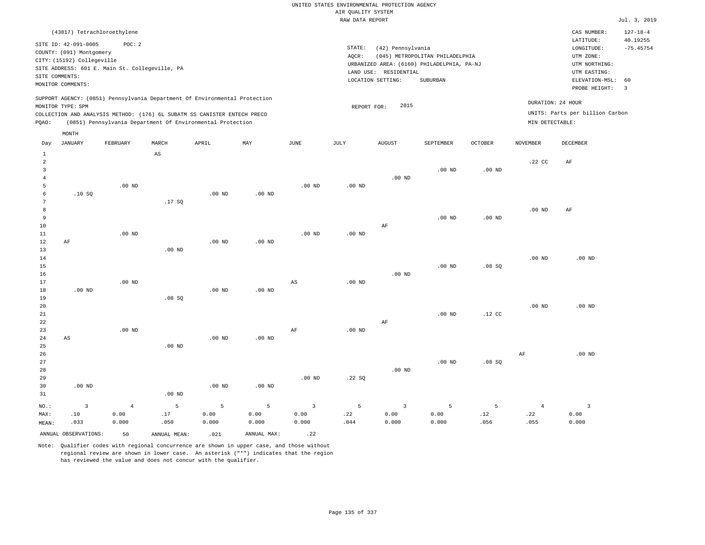|                |                            | (43817) Tetrachloroethylene                                              |       |       |                                                                            |      |      |                                            |                                 |                |                   | CAS NUMBER:                     | $127 - 18 - 4$ |
|----------------|----------------------------|--------------------------------------------------------------------------|-------|-------|----------------------------------------------------------------------------|------|------|--------------------------------------------|---------------------------------|----------------|-------------------|---------------------------------|----------------|
|                | SITE ID: 42-091-0005       | POC:2                                                                    |       |       |                                                                            |      |      |                                            |                                 |                |                   | LATITUDE:                       | 40.19255       |
|                | COUNTY: (091) Montgomery   |                                                                          |       |       |                                                                            |      |      | STATE:<br>(42) Pennsylvania                |                                 |                |                   | LONGITUDE:                      | $-75.45754$    |
|                | CITY: (15192) Collegeville |                                                                          |       |       |                                                                            |      |      | AQCR:                                      | (045) METROPOLITAN PHILADELPHIA |                |                   | UTM ZONE:                       |                |
|                |                            | SITE ADDRESS: 601 E. Main St. Collegeville, PA                           |       |       |                                                                            |      |      | URBANIZED AREA: (6160) PHILADELPHIA, PA-NJ | UTM NORTHING:                   |                |                   |                                 |                |
| SITE COMMENTS: |                            |                                                                          |       |       |                                                                            |      |      | RESIDENTIAL<br>LAND USE:                   |                                 |                |                   | UTM EASTING:                    |                |
|                | MONITOR COMMENTS:          |                                                                          |       |       |                                                                            |      |      | LOCATION SETTING:                          | SUBURBAN                        |                |                   | ELEVATION-MSL: 60               |                |
|                |                            |                                                                          |       |       |                                                                            |      |      |                                            |                                 |                |                   | PROBE HEIGHT:                   | - 3            |
|                |                            |                                                                          |       |       | SUPPORT AGENCY: (0851) Pennsylvania Department Of Environmental Protection |      |      |                                            |                                 |                | DURATION: 24 HOUR |                                 |                |
|                | MONITOR TYPE: SPM          |                                                                          |       |       |                                                                            |      |      | REPORT FOR:                                | 2015                            |                |                   |                                 |                |
|                |                            | COLLECTION AND ANALYSIS METHOD: (176) 6L SUBATM SS CANISTER ENTECH PRECO |       |       |                                                                            |      |      |                                            |                                 |                |                   | UNITS: Parts per billion Carbon |                |
| POAO:          |                            | (0851) Pennsylvania Department Of Environmental Protection               |       |       |                                                                            |      |      |                                            |                                 |                | MIN DETECTABLE:   |                                 |                |
|                | MONTH                      |                                                                          |       |       |                                                                            |      |      |                                            |                                 |                |                   |                                 |                |
|                |                            |                                                                          |       |       |                                                                            |      |      |                                            |                                 |                |                   |                                 |                |
| Day            | JANUARY                    | FEBRUARY                                                                 | MARCH | APRIL | MAY                                                                        | JUNE | JULY | AUGUST                                     | SEPTEMBER                       | <b>OCTOBER</b> | NOVEMBER          | DECEMBER                        |                |

| $\mathbf{1}$            |              |                | $\mathbb{A}\mathbb{S}$ |                   |          |                |                   |                         |          |                              |                |                         |
|-------------------------|--------------|----------------|------------------------|-------------------|----------|----------------|-------------------|-------------------------|----------|------------------------------|----------------|-------------------------|
| $\overline{\mathbf{c}}$ |              |                |                        |                   |          |                |                   |                         |          |                              | .22 CC         | $\rm AF$                |
| 3                       |              |                |                        |                   |          |                |                   |                         | $.00$ ND | $.00$ ND                     |                |                         |
| 4                       |              |                |                        |                   |          |                |                   | $.00$ ND                |          |                              |                |                         |
| 5                       |              | .00 $ND$       |                        |                   |          | $.00$ ND       | .00 <sub>ND</sub> |                         |          |                              |                |                         |
| 6<br>7                  | .10SQ        |                | .17 SQ                 | $.00$ ND          | $.00$ ND |                |                   |                         |          |                              |                |                         |
| 8                       |              |                |                        |                   |          |                |                   |                         |          |                              | $.00$ ND       | AF                      |
| 9                       |              |                |                        |                   |          |                |                   |                         | $.00$ ND | $.00$ ND                     |                |                         |
| 10                      |              |                |                        |                   |          |                |                   | $\rm AF$                |          |                              |                |                         |
| 11                      |              | $.00$ ND       |                        |                   |          | $.00$ ND       | .00 $ND$          |                         |          |                              |                |                         |
| 12<br>$\rm AF$          |              |                |                        | $.00$ ND          | $.00$ ND |                |                   |                         |          |                              |                |                         |
| 13                      |              |                | $.00$ ND               |                   |          |                |                   |                         |          |                              |                |                         |
| 14                      |              |                |                        |                   |          |                |                   |                         |          |                              | $.00$ ND       | $.00$ ND                |
| 15                      |              |                |                        |                   |          |                |                   |                         | $.00$ ND | .08SQ                        |                |                         |
| 16                      |              |                |                        |                   |          |                |                   | $.00$ ND                |          |                              |                |                         |
| 17                      |              | $.00$ ND       |                        |                   |          | AS             | $.00$ ND          |                         |          |                              |                |                         |
| 18                      | $.00$ ND     |                |                        | $.00$ ND          | $.00$ ND |                |                   |                         |          |                              |                |                         |
| 19                      |              |                | .08 SQ                 |                   |          |                |                   |                         |          |                              |                |                         |
| 20                      |              |                |                        |                   |          |                |                   |                         |          |                              | $.00$ ND       | $.00$ ND                |
| 21                      |              |                |                        |                   |          |                |                   |                         | .00 $ND$ | $.12$ CC                     |                |                         |
| $2\sqrt{2}$             |              |                |                        |                   |          |                |                   | $\rm AF$                |          |                              |                |                         |
| 23                      |              | $.00$ ND       |                        |                   |          | $\rm AF$       | $.00$ ND          |                         |          |                              |                |                         |
| ${\bf 24}$<br>AS        |              |                |                        | $.00$ ND          | $.00$ ND |                |                   |                         |          |                              |                |                         |
| 25                      |              |                | .00 $ND$               |                   |          |                |                   |                         |          |                              |                |                         |
| 26                      |              |                |                        |                   |          |                |                   |                         |          |                              | $\rm{AF}$      | $.00$ ND                |
| 27                      |              |                |                        |                   |          |                |                   |                         | $.00$ ND | .08SQ                        |                |                         |
| $28\,$                  |              |                |                        |                   |          |                |                   | $.00$ ND                |          |                              |                |                         |
| 29                      |              |                |                        |                   |          | $.00$ ND       | .22SQ             |                         |          |                              |                |                         |
| 30                      | $.00$ ND     |                |                        | .00 <sub>ND</sub> | $.00$ ND |                |                   |                         |          |                              |                |                         |
| 31                      |              |                | .00 $ND$               |                   |          |                |                   |                         |          |                              |                |                         |
| $NO.$ :                 | $\mathbf{3}$ | $\overline{4}$ | $\mathsf S$            | 5                 | 5        | $\overline{3}$ | 5                 | $\overline{\mathbf{3}}$ | 5        | 5                            | $\overline{4}$ | $\overline{\mathbf{3}}$ |
| MAX:                    | .10          | 0.00           | .17                    | 0.00              | 0.00     | 0.00           | .22               | 0.00                    | 0.00     | $\footnotesize\substack{12}$ | .22            | 0.00                    |
| MEAN:                   | .033         | 0.000          | .050                   | 0.000             | 0.000    | 0.000          | .044              | 0.000                   | 0.000    | .056                         | .055           | 0.000                   |

ANNUAL OBSERVATIONS:  $\begin{array}{ccc} 50 & \text{ANNUAL MEAN:} \\ 0.21 & \text{ANNUAL MAX:} \end{array}$  .22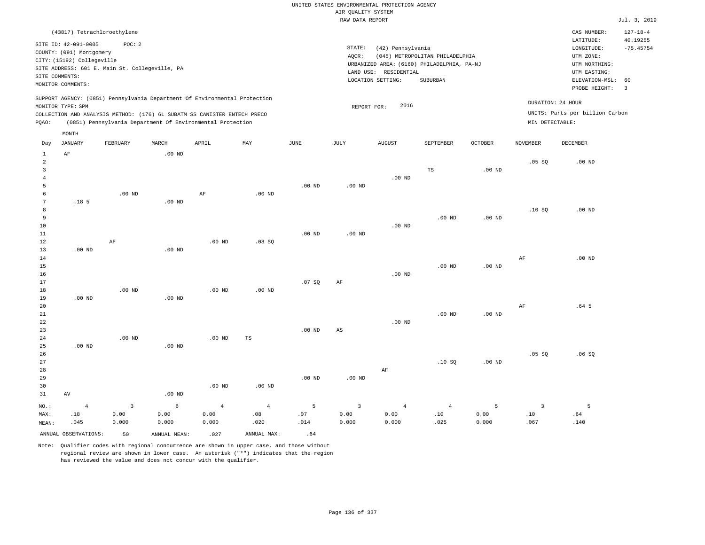| (43817) Tetrachloroethylene                                                                                                                                                                                                                                 |                                                                                                                                                                                 | CAS NUMBER:                                                                                                 | $127 - 18 - 4$          |
|-------------------------------------------------------------------------------------------------------------------------------------------------------------------------------------------------------------------------------------------------------------|---------------------------------------------------------------------------------------------------------------------------------------------------------------------------------|-------------------------------------------------------------------------------------------------------------|-------------------------|
| SITE ID: 42-091-0005<br>POC: 2<br>COUNTY: (091) Montgomery<br>CITY: (15192) Collegeville<br>SITE ADDRESS: 601 E. Main St. Collegeville, PA<br>SITE COMMENTS:<br>MONITOR COMMENTS:                                                                           | STATE:<br>(42) Pennsylvania<br>(045) METROPOLITAN PHILADELPHIA<br>AOCR:<br>URBANIZED AREA: (6160) PHILADELPHIA, PA-NJ<br>LAND USE: RESIDENTIAL<br>LOCATION SETTING:<br>SUBURBAN | LATITUDE:<br>LONGITUDE:<br>UTM ZONE:<br>UTM NORTHING:<br>UTM EASTING:<br>ELEVATION-MSL: 60<br>PROBE HEIGHT: | 40.19255<br>$-75.45754$ |
| SUPPORT AGENCY: (0851) Pennsylvania Department Of Environmental Protection<br>MONITOR TYPE: SPM<br>COLLECTION AND ANALYSIS METHOD: (176) 6L SUBATM SS CANISTER ENTECH PRECO<br>(0851) Pennsylvania Department Of Environmental Protection<br>POAO:<br>MONTH | 2016<br>REPORT FOR:                                                                                                                                                             | DURATION: 24 HOUR<br>UNITS: Parts per billion Carbon<br>MIN DETECTABLE:                                     |                         |

| Day            | JANUARY              | FEBRUARY                | MARCH        | APRIL          | MAY               | JUNE        | JULY                    | AUGUST         | SEPTEMBER                    | OCTOBER           | NOVEMBER       | DECEMBER         |
|----------------|----------------------|-------------------------|--------------|----------------|-------------------|-------------|-------------------------|----------------|------------------------------|-------------------|----------------|------------------|
| $\mathbf{1}$   | $\rm AF$             |                         | $.00$ ND     |                |                   |             |                         |                |                              |                   |                |                  |
| $\overline{c}$ |                      |                         |              |                |                   |             |                         |                |                              |                   | .05SQ          | $.00$ ND         |
| 3              |                      |                         |              |                |                   |             |                         |                | TS                           | .00 <sub>ND</sub> |                |                  |
| $\overline{4}$ |                      |                         |              |                |                   |             |                         | $.00$ ND       |                              |                   |                |                  |
| 5              |                      |                         |              |                |                   | $.00$ ND    | $.00$ ND                |                |                              |                   |                |                  |
| 6              |                      | $.00$ ND                |              | $\rm AF$       | $.00$ ND          |             |                         |                |                              |                   |                |                  |
| 7              | .18 <sub>5</sub>     |                         | $.00$ ND     |                |                   |             |                         |                |                              |                   |                |                  |
| 8              |                      |                         |              |                |                   |             |                         |                |                              |                   | .10SQ          | $.00$ ND         |
| 9              |                      |                         |              |                |                   |             |                         |                | $.00$ ND                     | .00 <sub>ND</sub> |                |                  |
| 10             |                      |                         |              |                |                   |             |                         | $.00$ ND       |                              |                   |                |                  |
| $11\,$         |                      |                         |              |                |                   | $.00$ ND    | $.00$ ND                |                |                              |                   |                |                  |
| 12             |                      | $\rm{AF}$               |              | $.00$ ND       | .08SQ             |             |                         |                |                              |                   |                |                  |
| 13             | $.00$ ND             |                         | $.00$ ND     |                |                   |             |                         |                |                              |                   |                |                  |
| 14             |                      |                         |              |                |                   |             |                         |                |                              |                   | $\rm AF$       | $.00$ ND         |
| 15             |                      |                         |              |                |                   |             |                         |                | $.00$ ND                     | .00 <sub>ND</sub> |                |                  |
| $16\,$         |                      |                         |              |                |                   |             |                         | $.00$ ND       |                              |                   |                |                  |
| 17             |                      |                         |              |                |                   | .07 SQ      | AF                      |                |                              |                   |                |                  |
| 18             |                      | .00 $ND$                |              | $.00$ ND       | $.00$ ND          |             |                         |                |                              |                   |                |                  |
| 19             | $.00$ ND             |                         | $.00$ ND     |                |                   |             |                         |                |                              |                   |                |                  |
| 20             |                      |                         |              |                |                   |             |                         |                |                              |                   | $\rm{AF}$      | .64 <sub>5</sub> |
| $21\,$         |                      |                         |              |                |                   |             |                         |                | $.00$ ND                     | $.00$ ND          |                |                  |
| ${\bf 22}$     |                      |                         |              |                |                   |             |                         | $.00$ ND       |                              |                   |                |                  |
| 23             |                      |                         |              |                |                   | $.00$ ND    | AS                      |                |                              |                   |                |                  |
| $2\sqrt{4}$    |                      | .00 $ND$                |              | $.00$ ND       | TS                |             |                         |                |                              |                   |                |                  |
| 25             | $.00$ ND             |                         | $.00$ ND     |                |                   |             |                         |                |                              |                   |                |                  |
| 26             |                      |                         |              |                |                   |             |                         |                |                              |                   | .05SQ          | .06SQ            |
| 27             |                      |                         |              |                |                   |             |                         |                | .10SQ                        | $.00$ ND          |                |                  |
| 28             |                      |                         |              |                |                   |             |                         | $\rm AF$       |                              |                   |                |                  |
| 29             |                      |                         |              |                |                   | $.00$ ND    | $.00$ ND                |                |                              |                   |                |                  |
| 30             |                      |                         |              | $.00$ ND       | .00 <sub>ND</sub> |             |                         |                |                              |                   |                |                  |
| 31             | AV                   |                         | $.00$ ND     |                |                   |             |                         |                |                              |                   |                |                  |
| $_{\rm NO.}$ : | $\overline{4}$       | $\overline{\mathbf{3}}$ | $\epsilon$   | $\overline{4}$ | $\overline{4}$    | $\mathsf S$ | $\overline{\mathbf{3}}$ | $\overline{4}$ | $\overline{4}$               | 5                 | $\overline{3}$ | 5                |
| MAX:           | .18                  | 0.00                    | 0.00         | 0.00           | .08               | .07         | 0.00                    | 0.00           | $\footnotesize\substack{10}$ | 0.00              | .10            | .64              |
| MEAN:          | .045                 | 0.000                   | 0.000        | 0.000          | .020              | .014        | 0.000                   | 0.000          | .025                         | 0.000             | .067           | .140             |
|                | ANNUAL OBSERVATIONS: | 50                      | ANNUAL MEAN: | .027           | ANNUAL MAX:       | .64         |                         |                |                              |                   |                |                  |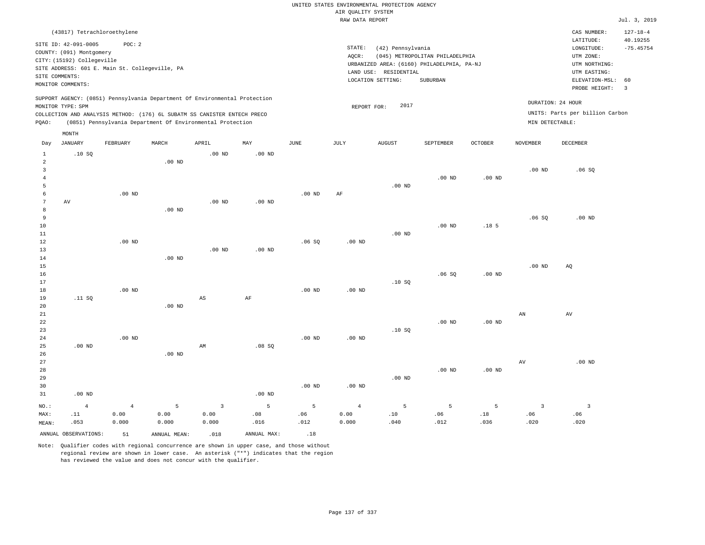|                         |                                                     |                                                |                   |                                                                            |                   |                   |                                       | UNITED STATES ENVIRONMENTAL PROTECTION AGENCY |                                            |                  |                         |                                        |                                           |
|-------------------------|-----------------------------------------------------|------------------------------------------------|-------------------|----------------------------------------------------------------------------|-------------------|-------------------|---------------------------------------|-----------------------------------------------|--------------------------------------------|------------------|-------------------------|----------------------------------------|-------------------------------------------|
|                         |                                                     |                                                |                   |                                                                            |                   |                   | AIR QUALITY SYSTEM<br>RAW DATA REPORT |                                               |                                            |                  |                         |                                        | Jul. 3, 2019                              |
|                         |                                                     |                                                |                   |                                                                            |                   |                   |                                       |                                               |                                            |                  |                         |                                        |                                           |
|                         | (43817) Tetrachloroethylene<br>SITE ID: 42-091-0005 | POC: 2                                         |                   |                                                                            |                   |                   | STATE:                                | (42) Pennsylvania                             |                                            |                  |                         | CAS NUMBER:<br>LATITUDE:<br>LONGITUDE: | $127 - 18 - 4$<br>40.19255<br>$-75.45754$ |
|                         | COUNTY: (091) Montgomery                            |                                                |                   |                                                                            |                   |                   | AOCR:                                 |                                               | (045) METROPOLITAN PHILADELPHIA            |                  |                         | UTM ZONE:                              |                                           |
|                         | CITY: (15192) Collegeville                          | SITE ADDRESS: 601 E. Main St. Collegeville, PA |                   |                                                                            |                   |                   |                                       |                                               | URBANIZED AREA: (6160) PHILADELPHIA, PA-NJ |                  |                         | UTM NORTHING:                          |                                           |
|                         | SITE COMMENTS:                                      |                                                |                   |                                                                            |                   |                   |                                       | LAND USE: RESIDENTIAL                         |                                            |                  |                         | UTM EASTING:                           |                                           |
|                         | MONITOR COMMENTS:                                   |                                                |                   |                                                                            |                   |                   |                                       | LOCATION SETTING:                             | SUBURBAN                                   |                  |                         | ELEVATION-MSL:<br>PROBE HEIGHT:        | 60<br>$\overline{3}$                      |
|                         |                                                     |                                                |                   | SUPPORT AGENCY: (0851) Pennsylvania Department Of Environmental Protection |                   |                   |                                       | 2017                                          |                                            |                  |                         | DURATION: 24 HOUR                      |                                           |
|                         | MONITOR TYPE: SPM                                   |                                                |                   | COLLECTION AND ANALYSIS METHOD: (176) 6L SUBATM SS CANISTER ENTECH PRECO   |                   |                   | REPORT FOR:                           |                                               |                                            |                  |                         | UNITS: Parts per billion Carbon        |                                           |
| PQAO:                   |                                                     |                                                |                   | (0851) Pennsylvania Department Of Environmental Protection                 |                   |                   |                                       |                                               |                                            |                  | MIN DETECTABLE:         |                                        |                                           |
|                         | MONTH                                               |                                                |                   |                                                                            |                   |                   |                                       |                                               |                                            |                  |                         |                                        |                                           |
| Day                     | <b>JANUARY</b>                                      | FEBRUARY                                       | MARCH             | APRIL                                                                      | MAY               | $_{\rm JUNE}$     | <b>JULY</b>                           | <b>AUGUST</b>                                 | SEPTEMBER                                  | <b>OCTOBER</b>   | <b>NOVEMBER</b>         | <b>DECEMBER</b>                        |                                           |
| $1\,$<br>$\overline{a}$ | .10SQ                                               |                                                | $.00$ ND          | .00 <sub>ND</sub>                                                          | .00 <sub>ND</sub> |                   |                                       |                                               |                                            |                  |                         |                                        |                                           |
| $\overline{\mathbf{3}}$ |                                                     |                                                |                   |                                                                            |                   |                   |                                       |                                               |                                            |                  | .00 <sub>ND</sub>       | .06SQ                                  |                                           |
| $\overline{4}$          |                                                     |                                                |                   |                                                                            |                   |                   |                                       |                                               | .00 <sub>ND</sub>                          | $.00$ ND         |                         |                                        |                                           |
| 5                       |                                                     |                                                |                   |                                                                            |                   |                   |                                       | $.00$ ND                                      |                                            |                  |                         |                                        |                                           |
| 6                       |                                                     | $.00$ ND                                       |                   |                                                                            |                   | $.00$ ND          | AF                                    |                                               |                                            |                  |                         |                                        |                                           |
| $\overline{7}$          | AV                                                  |                                                |                   | .00 <sub>ND</sub>                                                          | .00 <sub>ND</sub> |                   |                                       |                                               |                                            |                  |                         |                                        |                                           |
| 8<br>9                  |                                                     |                                                | $.00$ ND          |                                                                            |                   |                   |                                       |                                               |                                            |                  | .06S                    | $.00$ ND                               |                                           |
| $10$                    |                                                     |                                                |                   |                                                                            |                   |                   |                                       |                                               | $.00$ ND                                   | .18 <sub>5</sub> |                         |                                        |                                           |
| 11                      |                                                     |                                                |                   |                                                                            |                   |                   |                                       | $.00$ ND                                      |                                            |                  |                         |                                        |                                           |
| 12                      |                                                     | $.00$ ND                                       |                   |                                                                            |                   | .06SQ             | .00 <sub>ND</sub>                     |                                               |                                            |                  |                         |                                        |                                           |
| 13                      |                                                     |                                                |                   | $.00$ ND                                                                   | $.00$ ND          |                   |                                       |                                               |                                            |                  |                         |                                        |                                           |
| $1\,4$                  |                                                     |                                                | $.00$ ND          |                                                                            |                   |                   |                                       |                                               |                                            |                  |                         |                                        |                                           |
| 15                      |                                                     |                                                |                   |                                                                            |                   |                   |                                       |                                               |                                            |                  | .00 <sub>ND</sub>       | AQ                                     |                                           |
| 16                      |                                                     |                                                |                   |                                                                            |                   |                   |                                       |                                               | .06S                                       | $.00$ ND         |                         |                                        |                                           |
| 17<br>18                |                                                     | $.00$ ND                                       |                   |                                                                            |                   | $.00$ ND          | $.00$ ND                              | .10SQ                                         |                                            |                  |                         |                                        |                                           |
| $19$                    | .11 SQ                                              |                                                |                   | $\mathbb{A}\mathbb{S}$                                                     | AF                |                   |                                       |                                               |                                            |                  |                         |                                        |                                           |
| 20                      |                                                     |                                                | $.00$ ND          |                                                                            |                   |                   |                                       |                                               |                                            |                  |                         |                                        |                                           |
| 21                      |                                                     |                                                |                   |                                                                            |                   |                   |                                       |                                               |                                            |                  | ${\tt AN}$              | AV                                     |                                           |
| 22                      |                                                     |                                                |                   |                                                                            |                   |                   |                                       |                                               | $.00$ ND                                   | $.00$ ND         |                         |                                        |                                           |
| 23                      |                                                     |                                                |                   |                                                                            |                   |                   |                                       | .10SQ                                         |                                            |                  |                         |                                        |                                           |
| 24<br>25                | $.00$ ND                                            | $.00$ ND                                       |                   | AM                                                                         | .08S              | .00 <sub>ND</sub> | .00 <sub>ND</sub>                     |                                               |                                            |                  |                         |                                        |                                           |
| 26                      |                                                     |                                                | .00 <sub>ND</sub> |                                                                            |                   |                   |                                       |                                               |                                            |                  |                         |                                        |                                           |
| 27                      |                                                     |                                                |                   |                                                                            |                   |                   |                                       |                                               |                                            |                  | $\operatorname{AV}$     | $.00$ ND                               |                                           |
| 28                      |                                                     |                                                |                   |                                                                            |                   |                   |                                       |                                               | .00 <sub>ND</sub>                          | $.00$ ND         |                         |                                        |                                           |
| 29                      |                                                     |                                                |                   |                                                                            |                   |                   |                                       | $.00$ ND                                      |                                            |                  |                         |                                        |                                           |
| 30                      |                                                     |                                                |                   |                                                                            |                   | $.00$ ND          | $.00$ ND                              |                                               |                                            |                  |                         |                                        |                                           |
| 31                      | $.00$ ND                                            |                                                |                   |                                                                            | .00 <sub>ND</sub> |                   |                                       |                                               |                                            |                  |                         |                                        |                                           |
| NO.:                    | $\overline{4}$                                      | $\overline{4}$                                 | $\overline{5}$    | $\overline{3}$                                                             | 5                 | 5                 | $\overline{4}$                        | 5                                             | 5                                          | 5                | $\overline{\mathbf{3}}$ | $\overline{\mathbf{3}}$                |                                           |
| MAX:                    | .11                                                 | 0.00                                           | 0.00              | 0.00                                                                       | .08               | .06               | 0.00                                  | .10                                           | .06                                        | .18              | .06                     | .06                                    |                                           |
| MEAN:                   | .053                                                | 0.000                                          | 0.000             | 0.000                                                                      | .016              | .012              | 0.000                                 | .040                                          | .012                                       | .036             | .020                    | .020                                   |                                           |
|                         | ANNUAL OBSERVATIONS:                                | 51                                             | ANNUAL, MEAN:     | .018                                                                       | ANNUAL MAX:       | .18               |                                       |                                               |                                            |                  |                         |                                        |                                           |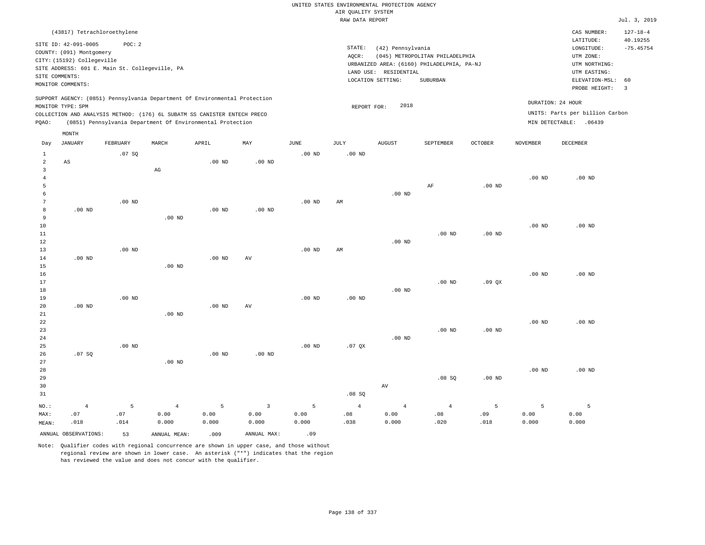|                                           |                                                                                                                                                      |                                                          |                                                                                                                                        |                    |                                 |                    | UNITED STATES ENVIRONMENTAL PROTECTION AGENCY |                                                                 |                                                                                           |                   |                    |                                                                                                                         |                                                                   |
|-------------------------------------------|------------------------------------------------------------------------------------------------------------------------------------------------------|----------------------------------------------------------|----------------------------------------------------------------------------------------------------------------------------------------|--------------------|---------------------------------|--------------------|-----------------------------------------------|-----------------------------------------------------------------|-------------------------------------------------------------------------------------------|-------------------|--------------------|-------------------------------------------------------------------------------------------------------------------------|-------------------------------------------------------------------|
|                                           |                                                                                                                                                      |                                                          |                                                                                                                                        |                    |                                 |                    | AIR QUALITY SYSTEM                            |                                                                 |                                                                                           |                   |                    |                                                                                                                         |                                                                   |
|                                           |                                                                                                                                                      |                                                          |                                                                                                                                        |                    |                                 |                    | RAW DATA REPORT                               |                                                                 |                                                                                           |                   |                    |                                                                                                                         | Jul. 3, 2019                                                      |
|                                           | (43817) Tetrachloroethylene<br>SITE ID: 42-091-0005<br>COUNTY: (091) Montgomery<br>CITY: (15192) Collegeville<br>SITE COMMENTS:<br>MONITOR COMMENTS: | POC: 2<br>SITE ADDRESS: 601 E. Main St. Collegeville, PA |                                                                                                                                        |                    |                                 |                    | STATE:<br>AOCR:                               | (42) Pennsylvania<br>LAND USE: RESIDENTIAL<br>LOCATION SETTING: | (045) METROPOLITAN PHILADELPHIA<br>URBANIZED AREA: (6160) PHILADELPHIA, PA-NJ<br>SUBURBAN |                   |                    | CAS NUMBER:<br>LATITUDE:<br>LONGITUDE:<br>UTM ZONE:<br>UTM NORTHING:<br>UTM EASTING:<br>ELEVATION-MSL:<br>PROBE HEIGHT: | $127 - 18 - 4$<br>40.19255<br>$-75.45754$<br>60<br>$\overline{3}$ |
|                                           |                                                                                                                                                      |                                                          | SUPPORT AGENCY: (0851) Pennsylvania Department Of Environmental Protection                                                             |                    |                                 |                    |                                               |                                                                 |                                                                                           |                   |                    |                                                                                                                         |                                                                   |
| PQAO:                                     | MONITOR TYPE: SPM                                                                                                                                    |                                                          | COLLECTION AND ANALYSIS METHOD: (176) 6L SUBATM SS CANISTER ENTECH PRECO<br>(0851) Pennsylvania Department Of Environmental Protection |                    |                                 |                    | REPORT FOR:                                   | 2018                                                            |                                                                                           |                   |                    | DURATION: 24 HOUR<br>UNITS: Parts per billion Carbon<br>MIN DETECTABLE: . 06439                                         |                                                                   |
|                                           | MONTH                                                                                                                                                |                                                          |                                                                                                                                        |                    |                                 |                    |                                               |                                                                 |                                                                                           |                   |                    |                                                                                                                         |                                                                   |
| Day                                       | <b>JANUARY</b>                                                                                                                                       | FEBRUARY                                                 | MARCH                                                                                                                                  | APRIL              | MAY                             | <b>JUNE</b>        | <b>JULY</b>                                   | <b>AUGUST</b>                                                   | <b>SEPTEMBER</b>                                                                          | <b>OCTOBER</b>    | <b>NOVEMBER</b>    | DECEMBER                                                                                                                |                                                                   |
| $1\,$<br>$\overline{2}$<br>$\overline{3}$ | AS                                                                                                                                                   | .07 SQ                                                   | $\mathbb{A}\mathbb{G}$                                                                                                                 | .00 <sub>ND</sub>  | $.00$ ND                        | $.00$ ND           | $.00$ ND                                      |                                                                 |                                                                                           |                   |                    |                                                                                                                         |                                                                   |
| $\overline{4}$<br>5<br>6                  |                                                                                                                                                      |                                                          |                                                                                                                                        |                    |                                 |                    |                                               | $.00$ ND                                                        | AF                                                                                        | .00 <sub>ND</sub> | .00 <sub>ND</sub>  | $.00$ ND                                                                                                                |                                                                   |
| 7<br>8<br>9                               | $.00$ ND                                                                                                                                             | $.00$ ND                                                 | $.00$ ND                                                                                                                               | $.00$ ND           | .00 <sub>ND</sub>               | $.00$ ND           | AM                                            |                                                                 |                                                                                           |                   |                    |                                                                                                                         |                                                                   |
| 10<br>11<br>$12$                          |                                                                                                                                                      |                                                          |                                                                                                                                        |                    |                                 |                    |                                               | $.00$ ND                                                        | $.00$ ND                                                                                  | $.00$ ND          | .00 <sub>ND</sub>  | $.00$ ND                                                                                                                |                                                                   |
| 13<br>14<br>15                            | $.00$ ND                                                                                                                                             | $.00$ ND                                                 | $.00$ ND                                                                                                                               | $.00$ ND           | AV                              | $.00$ ND           | AM                                            |                                                                 |                                                                                           |                   |                    |                                                                                                                         |                                                                   |
| 16<br>17<br>18                            |                                                                                                                                                      |                                                          |                                                                                                                                        |                    |                                 |                    |                                               | $.00$ ND                                                        | $.00$ ND                                                                                  | .09QX             | .00 <sub>ND</sub>  | $.00$ ND                                                                                                                |                                                                   |
| 19<br>20<br>21                            | $.00$ ND                                                                                                                                             | $.00$ ND                                                 | $.00$ ND                                                                                                                               | $.00$ ND           | AV                              | $.00$ ND           | $.00$ ND                                      |                                                                 |                                                                                           |                   |                    |                                                                                                                         |                                                                   |
| 22<br>23<br>24<br>25                      |                                                                                                                                                      | $.00$ ND                                                 |                                                                                                                                        |                    |                                 | $.00$ ND           | $.07$ QX                                      | $.00$ ND                                                        | $.00$ ND                                                                                  | $.00$ ND          | $.00$ ND           | $.00$ ND                                                                                                                |                                                                   |
| 26<br>27<br>28                            | .07SQ                                                                                                                                                |                                                          | .00 <sub>ND</sub>                                                                                                                      | $.00$ ND           | $.00$ ND                        |                    |                                               |                                                                 |                                                                                           |                   | $.00$ ND           | $.00$ ND                                                                                                                |                                                                   |
| 29<br>30<br>31                            |                                                                                                                                                      |                                                          |                                                                                                                                        |                    |                                 |                    | .08S                                          | AV                                                              | .08SQ                                                                                     | $.00$ ND          |                    |                                                                                                                         |                                                                   |
| NO.:<br>MAX:<br>MEAN:                     | $\sqrt{4}$<br>.07<br>.018                                                                                                                            | 5<br>.07<br>.014                                         | $\overline{4}$<br>0.00<br>0.000                                                                                                        | 5<br>0.00<br>0.000 | $\overline{3}$<br>0.00<br>0.000 | 5<br>0.00<br>0.000 | $\overline{4}$<br>.08<br>.038                 | $\sqrt{4}$<br>0.00<br>0.000                                     | $\overline{4}$<br>.08<br>.020                                                             | 5<br>.09<br>.018  | 5<br>0.00<br>0.000 | 5<br>0.00<br>0.000                                                                                                      |                                                                   |
|                                           | ANNUAL OBSERVATIONS:                                                                                                                                 | 53                                                       | ANNUAL MEAN:                                                                                                                           | .009               | ANNUAL MAX:                     | .09                |                                               |                                                                 |                                                                                           |                   |                    |                                                                                                                         |                                                                   |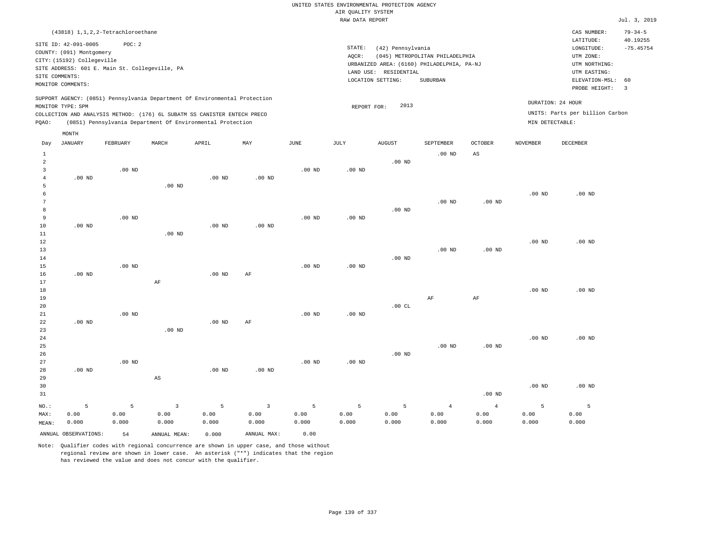UNITED STATES ENVIRONMENTAL PROTECTION AGENCY AIR QUALITY SYSTEM

|                |                                                |          |                                                                            |                   |                   |                   | RAW DATA REPORT   |                       |                                            |                   |                   |                                 | Jul. 3, 2019            |
|----------------|------------------------------------------------|----------|----------------------------------------------------------------------------|-------------------|-------------------|-------------------|-------------------|-----------------------|--------------------------------------------|-------------------|-------------------|---------------------------------|-------------------------|
|                | (43818) 1, 1, 2, 2-Tetrachloroethane           |          |                                                                            |                   |                   |                   |                   |                       |                                            |                   |                   | CAS NUMBER:                     | $79 - 34 - 5$           |
|                |                                                |          |                                                                            |                   |                   |                   |                   |                       |                                            |                   |                   | LATITUDE:                       | 40.19255                |
|                | SITE ID: 42-091-0005                           | POC: 2   |                                                                            |                   |                   |                   | STATE:            | (42) Pennsylvania     |                                            |                   |                   | LONGITUDE:                      | $-75.45754$             |
|                | COUNTY: (091) Montgomery                       |          |                                                                            |                   |                   |                   | AOCR:             |                       | (045) METROPOLITAN PHILADELPHIA            |                   |                   | UTM ZONE:                       |                         |
|                | CITY: (15192) Collegeville                     |          |                                                                            |                   |                   |                   |                   |                       | URBANIZED AREA: (6160) PHILADELPHIA, PA-NJ |                   |                   | UTM NORTHING:                   |                         |
|                | SITE ADDRESS: 601 E. Main St. Collegeville, PA |          |                                                                            |                   |                   |                   |                   | LAND USE: RESIDENTIAL |                                            |                   |                   | UTM EASTING:                    |                         |
| SITE COMMENTS: |                                                |          |                                                                            |                   |                   |                   |                   | LOCATION SETTING:     | SUBURBAN                                   |                   |                   | ELEVATION-MSL:                  | 60                      |
|                | MONITOR COMMENTS:                              |          |                                                                            |                   |                   |                   |                   |                       |                                            |                   |                   | PROBE HEIGHT:                   | $\overline{\mathbf{3}}$ |
|                |                                                |          | SUPPORT AGENCY: (0851) Pennsylvania Department Of Environmental Protection |                   |                   |                   |                   |                       |                                            |                   |                   |                                 |                         |
|                | MONITOR TYPE: SPM                              |          |                                                                            |                   |                   |                   | REPORT FOR:       | 2013                  |                                            |                   |                   | DURATION: 24 HOUR               |                         |
|                |                                                |          | COLLECTION AND ANALYSIS METHOD: (176) 6L SUBATM SS CANISTER ENTECH PRECO   |                   |                   |                   |                   |                       |                                            |                   |                   | UNITS: Parts per billion Carbon |                         |
| PQAO:          |                                                |          | (0851) Pennsylvania Department Of Environmental Protection                 |                   |                   |                   |                   |                       |                                            |                   | MIN DETECTABLE:   |                                 |                         |
|                | MONTH                                          |          |                                                                            |                   |                   |                   |                   |                       |                                            |                   |                   |                                 |                         |
| Day            | <b>JANUARY</b>                                 | FEBRUARY | MARCH                                                                      | APRIL             | MAY               | <b>JUNE</b>       | JULY              | <b>AUGUST</b>         | SEPTEMBER                                  | <b>OCTOBER</b>    | <b>NOVEMBER</b>   | <b>DECEMBER</b>                 |                         |
| $\mathbf{1}$   |                                                |          |                                                                            |                   |                   |                   |                   |                       | $.00$ ND                                   | AS                |                   |                                 |                         |
| $\overline{a}$ |                                                |          |                                                                            |                   |                   |                   |                   | $.00$ ND              |                                            |                   |                   |                                 |                         |
| $\overline{3}$ |                                                | $.00$ ND |                                                                            |                   |                   | $.00$ ND          | .00 <sub>ND</sub> |                       |                                            |                   |                   |                                 |                         |
| $\overline{4}$ | .00 <sub>ND</sub>                              |          |                                                                            | .00 <sub>ND</sub> | .00 <sub>ND</sub> |                   |                   |                       |                                            |                   |                   |                                 |                         |
| 5              |                                                |          | $.00$ ND                                                                   |                   |                   |                   |                   |                       |                                            |                   |                   |                                 |                         |
| 6              |                                                |          |                                                                            |                   |                   |                   |                   |                       |                                            |                   | $.00$ ND          | $.00$ ND                        |                         |
| 7              |                                                |          |                                                                            |                   |                   |                   |                   |                       | .00 <sub>ND</sub>                          | .00 <sub>ND</sub> |                   |                                 |                         |
| 8              |                                                |          |                                                                            |                   |                   |                   |                   | $.00$ ND              |                                            |                   |                   |                                 |                         |
| 9              |                                                | $.00$ ND |                                                                            |                   |                   | $.00$ ND          | .00 <sub>ND</sub> |                       |                                            |                   |                   |                                 |                         |
| 10             | .00 <sub>ND</sub>                              |          |                                                                            | $.00$ ND          | $.00$ ND          |                   |                   |                       |                                            |                   |                   |                                 |                         |
| 11             |                                                |          | $.00$ ND                                                                   |                   |                   |                   |                   |                       |                                            |                   |                   |                                 |                         |
| 12             |                                                |          |                                                                            |                   |                   |                   |                   |                       |                                            |                   | $.00$ ND          | $.00$ ND                        |                         |
| 13             |                                                |          |                                                                            |                   |                   |                   |                   |                       | .00 <sub>ND</sub>                          | .00 <sub>ND</sub> |                   |                                 |                         |
| 14             |                                                |          |                                                                            |                   |                   |                   |                   | .00 <sub>ND</sub>     |                                            |                   |                   |                                 |                         |
| 15             |                                                | $.00$ ND |                                                                            |                   |                   | $.00$ ND          | .00 <sub>ND</sub> |                       |                                            |                   |                   |                                 |                         |
| 16             | .00 <sub>ND</sub>                              |          |                                                                            | $.00$ ND          | $\rm AF$          |                   |                   |                       |                                            |                   |                   |                                 |                         |
| 17             |                                                |          | $\rm AF$                                                                   |                   |                   |                   |                   |                       |                                            |                   |                   |                                 |                         |
| 18             |                                                |          |                                                                            |                   |                   |                   |                   |                       |                                            |                   | .00 <sub>ND</sub> | $.00$ ND                        |                         |
| 19             |                                                |          |                                                                            |                   |                   |                   |                   |                       | AF                                         | $\rm{AF}$         |                   |                                 |                         |
| 20             |                                                |          |                                                                            |                   |                   |                   |                   | .00CL                 |                                            |                   |                   |                                 |                         |
| 21             |                                                | $.00$ ND |                                                                            |                   |                   | .00 <sub>ND</sub> | $.00$ ND          |                       |                                            |                   |                   |                                 |                         |
| 22             | $.00$ ND                                       |          |                                                                            | .00 <sub>ND</sub> | AF                |                   |                   |                       |                                            |                   |                   |                                 |                         |
| 23             |                                                |          | .00 <sub>ND</sub>                                                          |                   |                   |                   |                   |                       |                                            |                   |                   |                                 |                         |
| 24             |                                                |          |                                                                            |                   |                   |                   |                   |                       |                                            |                   | .00 <sub>ND</sub> | $.00$ ND                        |                         |
| 25             |                                                |          |                                                                            |                   |                   |                   |                   | $.00$ ND              | $.00$ ND                                   | .00 <sub>ND</sub> |                   |                                 |                         |
| 26<br>27       |                                                | $.00$ ND |                                                                            |                   |                   | $.00$ ND          | $.00$ ND          |                       |                                            |                   |                   |                                 |                         |
|                | .00 <sub>ND</sub>                              |          |                                                                            | .00 <sub>ND</sub> | .00 <sub>ND</sub> |                   |                   |                       |                                            |                   |                   |                                 |                         |
| 28<br>29       |                                                |          | $\mathbb{A}\mathbb{S}$                                                     |                   |                   |                   |                   |                       |                                            |                   |                   |                                 |                         |
|                |                                                |          |                                                                            |                   |                   |                   |                   |                       |                                            |                   |                   | $.00$ ND                        |                         |
| 30<br>31       |                                                |          |                                                                            |                   |                   |                   |                   |                       |                                            | .00 <sub>ND</sub> | $.00$ ND          |                                 |                         |
|                |                                                |          |                                                                            |                   |                   |                   |                   |                       |                                            |                   |                   |                                 |                         |
| NO.:           | 5                                              | 5        | $\overline{3}$                                                             | 5                 | $\overline{3}$    | 5                 | 5                 | 5                     | $\overline{4}$                             | $\overline{4}$    | 5                 | $\overline{5}$                  |                         |
| MAX:           | 0.00                                           | 0.00     | 0.00                                                                       | 0.00              | 0.00              | 0.00              | 0.00              | 0.00                  | 0.00                                       | 0.00              | 0.00              | 0.00                            |                         |
| MEAN:          | 0.000                                          | 0.000    | 0.000                                                                      | 0.000             | 0.000             | 0.000             | 0.000             | 0.000                 | 0.000                                      | 0.000             | 0.000             | 0.000                           |                         |
|                | ANNUAL OBSERVATIONS:                           | 54       | ANNUAL MEAN:                                                               | 0.000             | ANNUAL MAX:       | 0.00              |                   |                       |                                            |                   |                   |                                 |                         |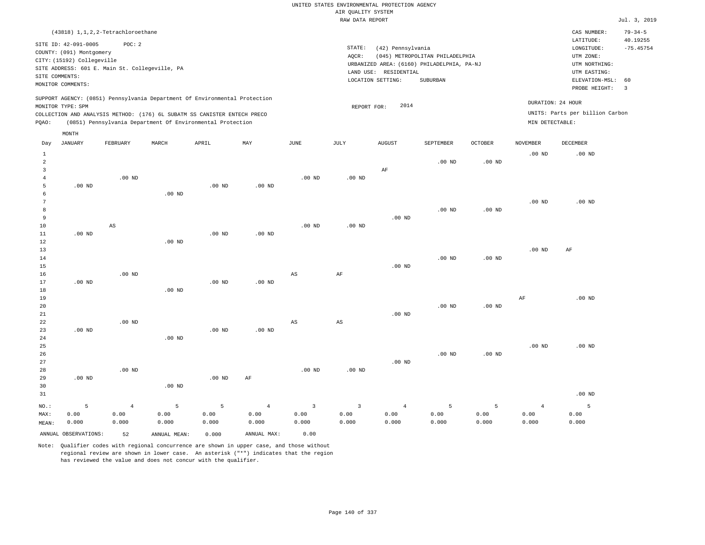|                                                                                                                                                                                 | $79 - 34 - 5$<br>CAS NUMBER:                                                                                                                 |
|---------------------------------------------------------------------------------------------------------------------------------------------------------------------------------|----------------------------------------------------------------------------------------------------------------------------------------------|
| STATE:<br>(42) Pennsylvania<br>(045) METROPOLITAN PHILADELPHIA<br>AOCR:<br>URBANIZED AREA: (6160) PHILADELPHIA, PA-NJ<br>LAND USE: RESIDENTIAL<br>LOCATION SETTING:<br>SUBURBAN | 40.19255<br>LATITUDE:<br>$-75.45754$<br>LONGITUDE:<br>UTM ZONE:<br>UTM NORTHING:<br>UTM EASTING:<br>ELEVATION-MSL: 60<br>PROBE HEIGHT:<br>-3 |
| 2014<br>REPORT FOR:                                                                                                                                                             | DURATION: 24 HOUR<br>UNITS: Parts per billion Carbon<br>MIN DETECTABLE:                                                                      |
|                                                                                                                                                                                 |                                                                                                                                              |

| Day            | JANUARY              | FEBRUARY       | MARCH          | APRIL             | MAY            | JUNE        | JULY                   | AUGUST         | SEPTEMBER      | OCTOBER  | NOVEMBER          | DECEMBER          |
|----------------|----------------------|----------------|----------------|-------------------|----------------|-------------|------------------------|----------------|----------------|----------|-------------------|-------------------|
| $\mathbf{1}$   |                      |                |                |                   |                |             |                        |                |                |          | .00 <sub>ND</sub> | .00 <sub>ND</sub> |
| $\overline{a}$ |                      |                |                |                   |                |             |                        |                | $.00$ ND       | $.00$ ND |                   |                   |
| 3              |                      |                |                |                   |                |             |                        | $\rm AF$       |                |          |                   |                   |
| $\overline{4}$ |                      | $.00$ ND       |                |                   |                | $.00$ ND    | .00 $ND$               |                |                |          |                   |                   |
| 5              | $.00$ ND             |                |                | .00 <sub>ND</sub> | $.00$ ND       |             |                        |                |                |          |                   |                   |
| 6              |                      |                | $.00$ ND       |                   |                |             |                        |                |                |          |                   |                   |
| 7              |                      |                |                |                   |                |             |                        |                |                |          | $.00$ ND          | $.00$ ND          |
| 8              |                      |                |                |                   |                |             |                        |                | $.00$ ND       | .00 $ND$ |                   |                   |
| 9              |                      |                |                |                   |                |             |                        | $.00$ ND       |                |          |                   |                   |
| $10$           |                      | AS             |                |                   |                | $.00$ ND    | .00 <sub>ND</sub>      |                |                |          |                   |                   |
| $11\,$         | $.00$ ND             |                |                | $.00$ ND          | $.00$ ND       |             |                        |                |                |          |                   |                   |
| $12$           |                      |                | $.00$ ND       |                   |                |             |                        |                |                |          |                   |                   |
| 13             |                      |                |                |                   |                |             |                        |                |                |          | $.00$ ND          | AF                |
| 14             |                      |                |                |                   |                |             |                        |                | $.00$ ND       | $.00$ ND |                   |                   |
| 15             |                      |                |                |                   |                |             |                        | $.00$ ND       |                |          |                   |                   |
| 16             |                      | $.00$ ND       |                |                   |                | AS          | $\rm{AF}$              |                |                |          |                   |                   |
| 17             | $.00$ ND             |                |                | $.00$ ND          | $.00$ ND       |             |                        |                |                |          |                   |                   |
| 18             |                      |                | $.00$ ND       |                   |                |             |                        |                |                |          |                   |                   |
| 19             |                      |                |                |                   |                |             |                        |                |                |          | $\rm{AF}$         | $.00$ ND          |
| 20             |                      |                |                |                   |                |             |                        |                | $.00$ ND       | $.00$ ND |                   |                   |
| 21             |                      |                |                |                   |                |             |                        | $.00$ ND       |                |          |                   |                   |
| 22             |                      | $.00$ ND       |                |                   |                | AS          | $\mathbb{A}\mathbb{S}$ |                |                |          |                   |                   |
| 23             | $.00$ ND             |                |                | .00 <sub>ND</sub> | $.00$ ND       |             |                        |                |                |          |                   |                   |
| 24             |                      |                | $.00$ ND       |                   |                |             |                        |                |                |          |                   |                   |
| 25             |                      |                |                |                   |                |             |                        |                |                |          | .00 <sub>ND</sub> | $.00$ ND          |
| 26<br>27       |                      |                |                |                   |                |             |                        |                | $.00$ ND       | $.00$ ND |                   |                   |
| 28             |                      | $.00$ ND       |                |                   |                |             |                        | $.00$ ND       |                |          |                   |                   |
| 29             | $.00$ ND             |                |                | $.00$ ND          | $\rm AF$       | $.00$ ND    | .00 <sub>ND</sub>      |                |                |          |                   |                   |
| 30             |                      |                | $.00$ ND       |                   |                |             |                        |                |                |          |                   |                   |
| 31             |                      |                |                |                   |                |             |                        |                |                |          |                   | $.00$ ND          |
|                |                      |                |                |                   |                |             |                        |                |                |          |                   |                   |
| $_{\rm NO.}$ : | $\mathsf S$          | $\overline{4}$ | $\overline{5}$ | 5                 | $\overline{4}$ | $\mathsf 3$ | $\mathsf 3$            | $\overline{4}$ | $\overline{5}$ | 5        | $\overline{4}$    | 5                 |
| MAX:           | 0.00                 | 0.00           | 0.00           | 0.00              | 0.00           | 0.00        | 0.00                   | 0.00           | 0.00           | 0.00     | 0.00              | 0.00              |
| MEAN:          | 0.000                | 0.000          | 0.000          | 0.000             | 0.000          | 0.000       | 0.000                  | 0.000          | 0.000          | 0.000    | 0.000             | 0.000             |
|                | ANNUAL OBSERVATIONS: | 52             | ANNUAL MEAN:   | 0.000             | ANNUAL MAX:    | 0.00        |                        |                |                |          |                   |                   |

Note: Qualifier codes with regional concurrence are shown in upper case, and those without regional review are shown in lower case. An asterisk ("\*") indicates that the region

has reviewed the value and does not concur with the qualifier.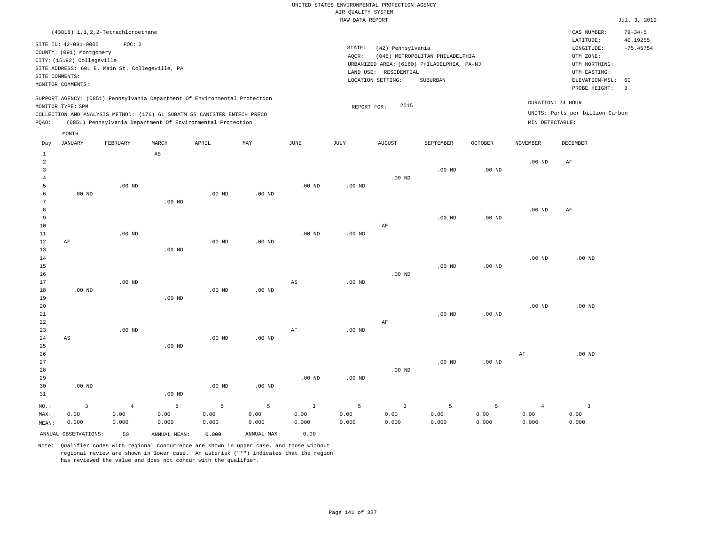| (43818) 1, 1, 2, 2-Tetrachloroethane                                                                                                                                                                                                               |                                                                                                                                                                                 | $79 - 34 - 5$<br>CAS NUMBER:                                                                                                           |
|----------------------------------------------------------------------------------------------------------------------------------------------------------------------------------------------------------------------------------------------------|---------------------------------------------------------------------------------------------------------------------------------------------------------------------------------|----------------------------------------------------------------------------------------------------------------------------------------|
| SITE ID: 42-091-0005<br>POC:2<br>COUNTY: (091) Montgomery<br>CITY: (15192) Collegeville<br>SITE ADDRESS: 601 E. Main St. Collegeville, PA<br>SITE COMMENTS:<br>MONITOR COMMENTS:                                                                   | STATE:<br>(42) Pennsylvania<br>(045) METROPOLITAN PHILADELPHIA<br>AOCR:<br>URBANIZED AREA: (6160) PHILADELPHIA, PA-NJ<br>LAND USE: RESIDENTIAL<br>LOCATION SETTING:<br>SUBURBAN | 40.19255<br>LATITUDE:<br>$-75.45754$<br>LONGITUDE:<br>UTM ZONE:<br>UTM NORTHING:<br>UTM EASTING:<br>ELEVATION-MSL: 60<br>PROBE HEIGHT: |
| SUPPORT AGENCY: (0851) Pennsylvania Department Of Environmental Protection<br>MONITOR TYPE: SPM<br>COLLECTION AND ANALYSIS METHOD: (176) 6L SUBATM SS CANISTER ENTECH PRECO<br>(0851) Pennsylvania Department Of Environmental Protection<br>POAO: | 2015<br>REPORT FOR:                                                                                                                                                             | DURATION: 24 HOUR<br>UNITS: Parts per billion Carbon<br>MIN DETECTABLE:                                                                |

|                | MONTH                   |          |                        |                   |                   |                         |          |                |           |          |                 |                         |
|----------------|-------------------------|----------|------------------------|-------------------|-------------------|-------------------------|----------|----------------|-----------|----------|-----------------|-------------------------|
| Day            | <b>JANUARY</b>          | FEBRUARY | MARCH                  | APRIL             | MAY               | $_{\rm JUNE}$           | JULY     | <b>AUGUST</b>  | SEPTEMBER | OCTOBER  | <b>NOVEMBER</b> | DECEMBER                |
| $\mathbf{1}$   |                         |          | $\mathbb{A}\mathbb{S}$ |                   |                   |                         |          |                |           |          |                 |                         |
| $\overline{c}$ |                         |          |                        |                   |                   |                         |          |                |           |          | $.00$ ND        | AF                      |
| 3              |                         |          |                        |                   |                   |                         |          |                | $.00$ ND  | $.00$ ND |                 |                         |
| $\overline{4}$ |                         |          |                        |                   |                   |                         |          | $.00$ ND       |           |          |                 |                         |
| 5              |                         | $.00$ ND |                        |                   |                   | .00 <sub>ND</sub>       | .00 $ND$ |                |           |          |                 |                         |
| 6              | $.00$ ND                |          |                        | .00 <sub>ND</sub> | $.00$ ND          |                         |          |                |           |          |                 |                         |
| 7              |                         |          | .00 <sub>ND</sub>      |                   |                   |                         |          |                |           |          |                 |                         |
| 8              |                         |          |                        |                   |                   |                         |          |                |           |          | $.00$ ND        | AF                      |
| 9              |                         |          |                        |                   |                   |                         |          |                | $.00$ ND  | $.00$ ND |                 |                         |
| 10             |                         |          |                        |                   |                   |                         |          | $\rm AF$       |           |          |                 |                         |
| 11             |                         | $.00$ ND |                        |                   |                   | $.00$ ND                | .00 $ND$ |                |           |          |                 |                         |
| 12             | $\rm AF$                |          |                        | .00 <sub>ND</sub> | $.00$ ND          |                         |          |                |           |          |                 |                         |
| 13             |                         |          | .00 <sub>ND</sub>      |                   |                   |                         |          |                |           |          |                 |                         |
| 14             |                         |          |                        |                   |                   |                         |          |                |           |          | $.00$ ND        | .00 <sub>ND</sub>       |
| 15             |                         |          |                        |                   |                   |                         |          |                | $.00$ ND  | $.00$ ND |                 |                         |
| 16             |                         |          |                        |                   |                   |                         |          | $.00$ ND       |           |          |                 |                         |
| 17             |                         | $.00$ ND |                        |                   |                   | $\mathbb{A}\mathbb{S}$  | $.00$ ND |                |           |          |                 |                         |
| 18             | $.00$ ND                |          |                        | $.00$ ND          | $.00$ ND          |                         |          |                |           |          |                 |                         |
| 19             |                         |          | .00 <sub>ND</sub>      |                   |                   |                         |          |                |           |          |                 |                         |
| 20             |                         |          |                        |                   |                   |                         |          |                |           |          | $.00$ ND        | $.00$ ND                |
| 21             |                         |          |                        |                   |                   |                         |          |                | $.00$ ND  | $.00$ ND |                 |                         |
| 22<br>23       |                         | $.00$ ND |                        |                   |                   | $\rm{AF}$               | .00 $ND$ | $\rm AF$       |           |          |                 |                         |
| $2\sqrt{4}$    | $\mathbb{A}\mathbb{S}$  |          |                        | $.00$ ND          | $.00$ ND          |                         |          |                |           |          |                 |                         |
| 25             |                         |          | .00 <sub>ND</sub>      |                   |                   |                         |          |                |           |          |                 |                         |
| 26             |                         |          |                        |                   |                   |                         |          |                |           |          | AF              | .00 $ND$                |
| 27             |                         |          |                        |                   |                   |                         |          |                | $.00$ ND  | $.00$ ND |                 |                         |
| 28             |                         |          |                        |                   |                   |                         |          | $.00$ ND       |           |          |                 |                         |
| 29             |                         |          |                        |                   |                   | .00 <sub>ND</sub>       | .00 $ND$ |                |           |          |                 |                         |
| 30             | $.00$ ND                |          |                        | $.00$ ND          | .00 <sub>ND</sub> |                         |          |                |           |          |                 |                         |
| 31             |                         |          | $.00$ ND               |                   |                   |                         |          |                |           |          |                 |                         |
| NO.:           | $\overline{\mathbf{3}}$ | $\bf{4}$ | 5                      | 5                 | 5                 | $\overline{\mathbf{3}}$ | 5        | $\overline{3}$ | 5         | 5        | $\overline{4}$  | $\overline{\mathbf{3}}$ |
| MAX:           | 0.00                    | 0.00     | 0.00                   | 0.00              | 0.00              | 0.00                    | 0.00     | 0.00           | 0.00      | 0.00     | 0.00            | 0.00                    |
| MEAN:          | 0.000                   | 0.000    | 0.000                  | 0.000             | 0.000             | 0.000                   | 0.000    | 0.000          | 0.000     | 0.000    | 0.000           | 0.000                   |
|                | ANNUAL OBSERVATIONS:    | 50       | ANNUAL MEAN:           | 0.000             | ANNUAL MAX:       | 0.00                    |          |                |           |          |                 |                         |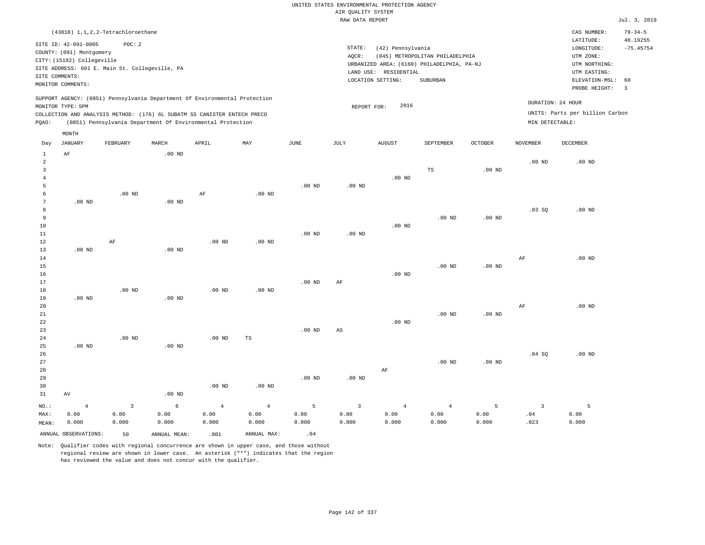|                                                                                                                                                                                                                                                    | (43818) 1, 1, 2, 2-Tetrachloroethane |          |                   |       |     |      |      |                                                                                                                                                                        |           |                                                                                                             |                              | CAS NUMBER:                                          | $79 - 34 - 5$ |
|----------------------------------------------------------------------------------------------------------------------------------------------------------------------------------------------------------------------------------------------------|--------------------------------------|----------|-------------------|-------|-----|------|------|------------------------------------------------------------------------------------------------------------------------------------------------------------------------|-----------|-------------------------------------------------------------------------------------------------------------|------------------------------|------------------------------------------------------|---------------|
| SITE ID: 42-091-0005<br>POC:2<br>COUNTY: (091) Montgomery<br>CITY: (15192) Collegeville<br>SITE ADDRESS: 601 E. Main St. Collegeville, PA<br>SITE COMMENTS:<br>MONITOR COMMENTS:                                                                   |                                      |          |                   |       |     |      |      | STATE:<br>(42) Pennsylvania<br>AOCR:<br>(045) METROPOLITAN PHILADELPHIA<br>URBANIZED AREA: (6160) PHILADELPHIA, PA-NJ<br>RESIDENTIAL<br>LAND USE:<br>LOCATION SETTING: |           | LATITUDE:<br>LONGITUDE:<br>UTM ZONE:<br>UTM NORTHING:<br>UTM EASTING:<br>ELEVATION-MSL: 60<br>PROBE HEIGHT: | 40.19255<br>$-75.45754$<br>3 |                                                      |               |
| SUPPORT AGENCY: (0851) Pennsylvania Department Of Environmental Protection<br>MONITOR TYPE: SPM<br>COLLECTION AND ANALYSIS METHOD: (176) 6L SUBATM SS CANISTER ENTECH PRECO<br>(0851) Pennsylvania Department Of Environmental Protection<br>POAO: |                                      |          |                   |       |     |      |      | 2016<br>REPORT FOR:                                                                                                                                                    |           |                                                                                                             | MIN DETECTABLE:              | DURATION: 24 HOUR<br>UNITS: Parts per billion Carbon |               |
| Day                                                                                                                                                                                                                                                | MONTH<br>JANUARY<br>AF               | FEBRUARY | MARCH<br>$.00$ ND | APRIL | MAY | JUNE | JULY | <b>AUGUST</b>                                                                                                                                                          | SEPTEMBER | <b>OCTOBER</b>                                                                                              | <b>NOVEMBER</b><br>$.00$ ND  | DECEMBER<br>.00 <sub>ND</sub>                        |               |

|                         | ANNUAL OBSERVATIONS: | 50                      | ANNUAL MEAN:      | .001           | ANNUAL MAX:    | .04           |                         |                |                |                   |               |               |
|-------------------------|----------------------|-------------------------|-------------------|----------------|----------------|---------------|-------------------------|----------------|----------------|-------------------|---------------|---------------|
| MAX:<br>MEAN:           | 0.00<br>0.000        | 0.00<br>0.000           | 0.00<br>0.000     | 0.00<br>0.000  | 0.00<br>0.000  | 0.00<br>0.000 | 0.00<br>0.000           | 0.00<br>0.000  | 0.00<br>0.000  | 0.00<br>0.000     | $.04$<br>.023 | 0.00<br>0.000 |
| $_{\rm NO.}$ :          | $\overline{4}$       | $\overline{\mathbf{3}}$ | $\epsilon$        | $\overline{4}$ | $\overline{4}$ | 5             | $\overline{\mathbf{3}}$ | $\overline{4}$ | $\overline{4}$ | 5                 | 3             | 5             |
| 31                      | $\operatorname{AV}$  |                         | $.00$ ND          |                |                |               |                         |                |                |                   |               |               |
| 30                      |                      |                         |                   | $.00$ ND       | $.00$ ND       |               |                         |                |                |                   |               |               |
| 29                      |                      |                         |                   |                |                | $.00$ ND      | $.00$ ND                |                |                |                   |               |               |
| 28                      |                      |                         |                   |                |                |               |                         | $\rm AF$       |                |                   |               |               |
| 27                      |                      |                         |                   |                |                |               |                         |                | $.00$ ND       | .00 <sub>ND</sub> |               |               |
| 26                      |                      |                         |                   |                |                |               |                         |                |                |                   | .04 SQ        | $.00$ ND      |
| 25                      | .00 $ND$             |                         | .00 <sub>ND</sub> |                |                |               |                         |                |                |                   |               |               |
| 24                      |                      | $.00$ ND                |                   | $.00$ ND       | TS             |               |                         |                |                |                   |               |               |
| 23                      |                      |                         |                   |                |                | $.00$ ND      | $\mathbb{A}\mathbb{S}$  |                |                |                   |               |               |
| 22                      |                      |                         |                   |                |                |               |                         | $.00$ ND       |                |                   |               |               |
| $2\sqrt{1}$             |                      |                         |                   |                |                |               |                         |                | $.00$ ND       | $.00~\mathrm{ND}$ |               |               |
| 20                      |                      |                         |                   |                |                |               |                         |                |                |                   | AF            | $.00$ ND      |
| 19                      | $.00$ ND             |                         | $.00$ ND          |                |                |               |                         |                |                |                   |               |               |
| 18                      |                      | $.00$ ND                |                   | $.00$ ND       | $.00$ ND       |               |                         |                |                |                   |               |               |
| 17                      |                      |                         |                   |                |                | $.00$ ND      | $\rm AF$                |                |                |                   |               |               |
| $16\,$                  |                      |                         |                   |                |                |               |                         | $.00$ ND       |                |                   |               |               |
| $15$                    |                      |                         |                   |                |                |               |                         |                | $.00$ ND       | $.00$ ND          |               |               |
| 14                      |                      |                         |                   |                |                |               |                         |                |                |                   | $\rm{AF}$     | $.00$ ND      |
| 13                      | $.00$ ND             |                         | .00 <sub>ND</sub> |                |                |               |                         |                |                |                   |               |               |
| 12                      |                      | $\rm{AF}$               |                   | $.00$ ND       | $.00$ ND       |               |                         |                |                |                   |               |               |
| $11\,$                  |                      |                         |                   |                |                | $.00$ ND      | $.00$ ND                |                |                |                   |               |               |
| 10                      |                      |                         |                   |                |                |               |                         | $.00$ ND       |                |                   |               |               |
| 9                       |                      |                         |                   |                |                |               |                         |                | $.00$ ND       | $.00$ ND          |               |               |
| 8                       |                      |                         |                   |                |                |               |                         |                |                |                   | .03SQ         | $.00$ ND      |
| 6<br>$7\phantom{.0}$    | $.00$ ND             | $.00$ ND                | $.00$ ND          | $\rm{AF}$      | $.00$ ND       |               |                         |                |                |                   |               |               |
| 5                       |                      |                         |                   |                |                | $.00$ ND      | $.00$ ND                |                |                |                   |               |               |
| $\overline{4}$          |                      |                         |                   |                |                |               |                         | .00 $ND$       |                |                   |               |               |
| $\overline{\mathbf{3}}$ |                      |                         |                   |                |                |               |                         |                | TS             | $.00$ ND          |               |               |
|                         |                      |                         |                   |                |                |               |                         |                |                |                   |               |               |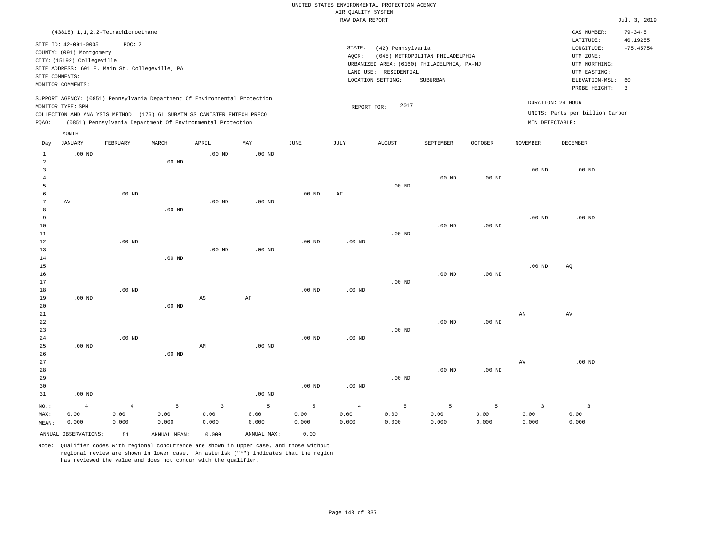|                                |                            |                                                |                   |                                                                            |                   |                   |                                       | UNITED STATES ENVIRONMENTAL PROTECTION AGENCY |                                            |                |                         |                                        |                                          |
|--------------------------------|----------------------------|------------------------------------------------|-------------------|----------------------------------------------------------------------------|-------------------|-------------------|---------------------------------------|-----------------------------------------------|--------------------------------------------|----------------|-------------------------|----------------------------------------|------------------------------------------|
|                                |                            |                                                |                   |                                                                            |                   |                   | AIR QUALITY SYSTEM<br>RAW DATA REPORT |                                               |                                            |                |                         |                                        | Jul. 3, 2019                             |
|                                |                            |                                                |                   |                                                                            |                   |                   |                                       |                                               |                                            |                |                         |                                        |                                          |
|                                | SITE ID: 42-091-0005       | (43818) 1, 1, 2, 2-Tetrachloroethane<br>POC: 2 |                   |                                                                            |                   |                   | STATE:                                | (42) Pennsylvania                             |                                            |                |                         | CAS NUMBER:<br>LATITUDE:<br>LONGITUDE: | $79 - 34 - 5$<br>40.19255<br>$-75.45754$ |
|                                | COUNTY: (091) Montgomery   |                                                |                   |                                                                            |                   |                   | AOCR:                                 |                                               | (045) METROPOLITAN PHILADELPHIA            |                |                         | UTM ZONE:                              |                                          |
|                                | CITY: (15192) Collegeville | SITE ADDRESS: 601 E. Main St. Collegeville, PA |                   |                                                                            |                   |                   |                                       |                                               | URBANIZED AREA: (6160) PHILADELPHIA, PA-NJ |                |                         | UTM NORTHING:                          |                                          |
|                                | SITE COMMENTS:             |                                                |                   |                                                                            |                   |                   |                                       | LAND USE: RESIDENTIAL                         |                                            |                |                         | UTM EASTING:                           |                                          |
|                                | MONITOR COMMENTS:          |                                                |                   |                                                                            |                   |                   |                                       | LOCATION SETTING:                             | SUBURBAN                                   |                |                         | ELEVATION-MSL:<br>PROBE HEIGHT:        | 60<br>$\overline{3}$                     |
|                                |                            |                                                |                   | SUPPORT AGENCY: (0851) Pennsylvania Department Of Environmental Protection |                   |                   |                                       | 2017                                          |                                            |                |                         | DURATION: 24 HOUR                      |                                          |
|                                | MONITOR TYPE: SPM          |                                                |                   | COLLECTION AND ANALYSIS METHOD: (176) 6L SUBATM SS CANISTER ENTECH PRECO   |                   |                   | REPORT FOR:                           |                                               |                                            |                |                         | UNITS: Parts per billion Carbon        |                                          |
| PQAO:                          |                            |                                                |                   | (0851) Pennsylvania Department Of Environmental Protection                 |                   |                   |                                       |                                               |                                            |                | MIN DETECTABLE:         |                                        |                                          |
|                                | MONTH                      |                                                |                   |                                                                            |                   |                   |                                       |                                               |                                            |                |                         |                                        |                                          |
| Day                            | <b>JANUARY</b>             | FEBRUARY                                       | MARCH             | APRIL                                                                      | MAY               | $_{\rm JUNE}$     | <b>JULY</b>                           | <b>AUGUST</b>                                 | SEPTEMBER                                  | <b>OCTOBER</b> | <b>NOVEMBER</b>         | <b>DECEMBER</b>                        |                                          |
| $\mathbf{1}$<br>$\overline{a}$ | $.00$ ND                   |                                                | $.00$ ND          | .00 <sub>ND</sub>                                                          | .00 <sub>ND</sub> |                   |                                       |                                               |                                            |                |                         |                                        |                                          |
| 3                              |                            |                                                |                   |                                                                            |                   |                   |                                       |                                               |                                            |                | .00 <sub>ND</sub>       | $.00$ ND                               |                                          |
| $\overline{4}$                 |                            |                                                |                   |                                                                            |                   |                   |                                       |                                               | .00 <sub>ND</sub>                          | $.00$ ND       |                         |                                        |                                          |
| 5                              |                            |                                                |                   |                                                                            |                   |                   |                                       | .00 <sub>ND</sub>                             |                                            |                |                         |                                        |                                          |
| 6                              |                            | $.00$ ND                                       |                   |                                                                            |                   | $.00$ ND          | AF                                    |                                               |                                            |                |                         |                                        |                                          |
| $\overline{7}$                 | AV                         |                                                |                   | .00 <sub>ND</sub>                                                          | .00 <sub>ND</sub> |                   |                                       |                                               |                                            |                |                         |                                        |                                          |
| 8                              |                            |                                                | .00 <sub>ND</sub> |                                                                            |                   |                   |                                       |                                               |                                            |                |                         |                                        |                                          |
| 9<br>10                        |                            |                                                |                   |                                                                            |                   |                   |                                       |                                               | $.00$ ND                                   | $.00$ ND       | .00 <sub>ND</sub>       | $.00$ ND                               |                                          |
| 11                             |                            |                                                |                   |                                                                            |                   |                   |                                       | $.00$ ND                                      |                                            |                |                         |                                        |                                          |
| 12                             |                            | $.00$ ND                                       |                   |                                                                            |                   | $.00$ ND          | .00 <sub>ND</sub>                     |                                               |                                            |                |                         |                                        |                                          |
| 13                             |                            |                                                |                   | $.00$ ND                                                                   | $.00$ ND          |                   |                                       |                                               |                                            |                |                         |                                        |                                          |
| $1\,4$                         |                            |                                                | $.00$ ND          |                                                                            |                   |                   |                                       |                                               |                                            |                |                         |                                        |                                          |
| 15                             |                            |                                                |                   |                                                                            |                   |                   |                                       |                                               |                                            |                | .00 <sub>ND</sub>       | AQ                                     |                                          |
| 16                             |                            |                                                |                   |                                                                            |                   |                   |                                       |                                               | .00 <sub>ND</sub>                          | $.00$ ND       |                         |                                        |                                          |
| 17                             |                            |                                                |                   |                                                                            |                   |                   |                                       | $.00$ ND                                      |                                            |                |                         |                                        |                                          |
| 18                             |                            | $.00$ ND                                       |                   |                                                                            |                   | $.00$ ND          | $.00$ ND                              |                                               |                                            |                |                         |                                        |                                          |
| 19<br>20                       | $.00$ ND                   |                                                | .00 <sub>ND</sub> | $\mathbb{A}\mathbb{S}$                                                     | AF                |                   |                                       |                                               |                                            |                |                         |                                        |                                          |
| 21                             |                            |                                                |                   |                                                                            |                   |                   |                                       |                                               |                                            |                | ${\tt AN}$              | AV                                     |                                          |
| 22                             |                            |                                                |                   |                                                                            |                   |                   |                                       |                                               | $.00$ ND                                   | $.00$ ND       |                         |                                        |                                          |
| 23                             |                            |                                                |                   |                                                                            |                   |                   |                                       | .00 <sub>ND</sub>                             |                                            |                |                         |                                        |                                          |
| 24                             |                            | $.00$ ND                                       |                   |                                                                            |                   | .00 <sub>ND</sub> | .00 <sub>ND</sub>                     |                                               |                                            |                |                         |                                        |                                          |
| 25                             | $.00$ ND                   |                                                |                   | AM                                                                         | $.00$ ND          |                   |                                       |                                               |                                            |                |                         |                                        |                                          |
| 26                             |                            |                                                | $.00$ ND          |                                                                            |                   |                   |                                       |                                               |                                            |                |                         |                                        |                                          |
| 27                             |                            |                                                |                   |                                                                            |                   |                   |                                       |                                               |                                            |                | AV                      | $.00$ ND                               |                                          |
| 28                             |                            |                                                |                   |                                                                            |                   |                   |                                       |                                               | .00 <sub>ND</sub>                          | $.00$ ND       |                         |                                        |                                          |
| 29<br>30                       |                            |                                                |                   |                                                                            |                   | $.00$ ND          | $.00$ ND                              | $.00$ ND                                      |                                            |                |                         |                                        |                                          |
| 31                             | $.00$ ND                   |                                                |                   |                                                                            | .00 <sub>ND</sub> |                   |                                       |                                               |                                            |                |                         |                                        |                                          |
|                                |                            |                                                |                   |                                                                            |                   |                   |                                       |                                               |                                            |                |                         |                                        |                                          |
| NO.:                           | $\overline{4}$             | $\overline{4}$                                 | $\overline{5}$    | $\overline{3}$                                                             | $\mathsf S$       | 5                 | $\overline{4}$                        | 5                                             | 5                                          | 5              | $\overline{\mathbf{3}}$ | $\overline{\mathbf{3}}$                |                                          |
| MAX:                           | 0.00                       | 0.00                                           | 0.00              | 0.00                                                                       | 0.00              | 0.00              | 0.00                                  | 0.00                                          | 0.00                                       | 0.00           | 0.00                    | 0.00                                   |                                          |
| MEAN:                          | 0.000                      | 0.000                                          | 0.000             | 0.000                                                                      | 0.000             | 0.000             | 0.000                                 | 0.000                                         | 0.000                                      | 0.000          | 0.000                   | 0.000                                  |                                          |
|                                | ANNUAL OBSERVATIONS:       | 51                                             | ANNUAL, MEAN:     | 0.000                                                                      | ANNUAL MAX:       | 0.00              |                                       |                                               |                                            |                |                         |                                        |                                          |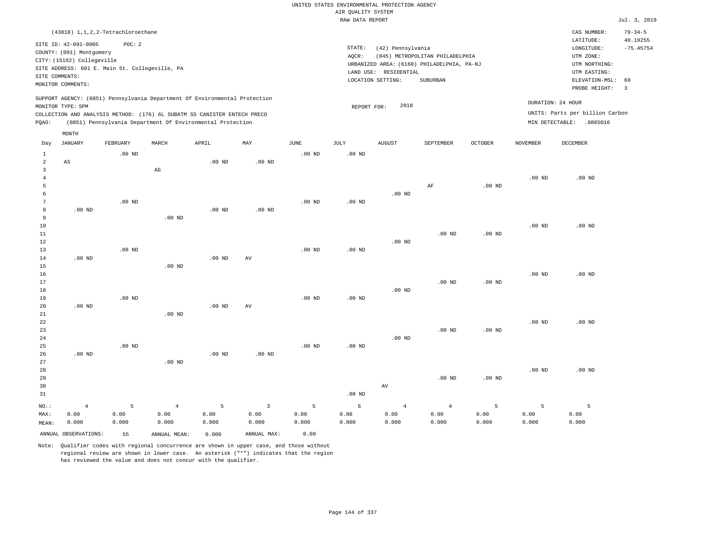|                                                           |                                                                                                                                                                                                                 |                    |                                                                                                                                        |                    |                                 |                    | UNITED STATES ENVIRONMENTAL PROTECTION AGENCY |                                                                 |                                                                                                  |                    |                    |                                                                                                                         |                                                                  |
|-----------------------------------------------------------|-----------------------------------------------------------------------------------------------------------------------------------------------------------------------------------------------------------------|--------------------|----------------------------------------------------------------------------------------------------------------------------------------|--------------------|---------------------------------|--------------------|-----------------------------------------------|-----------------------------------------------------------------|--------------------------------------------------------------------------------------------------|--------------------|--------------------|-------------------------------------------------------------------------------------------------------------------------|------------------------------------------------------------------|
|                                                           |                                                                                                                                                                                                                 |                    |                                                                                                                                        |                    |                                 |                    | AIR QUALITY SYSTEM                            |                                                                 |                                                                                                  |                    |                    |                                                                                                                         |                                                                  |
|                                                           |                                                                                                                                                                                                                 |                    |                                                                                                                                        |                    |                                 |                    | RAW DATA REPORT                               |                                                                 |                                                                                                  |                    |                    |                                                                                                                         | Jul. 3, 2019                                                     |
|                                                           | (43818) 1, 1, 2, 2-Tetrachloroethane<br>SITE ID: 42-091-0005<br>COUNTY: (091) Montgomery<br>CITY: (15192) Collegeville<br>SITE ADDRESS: 601 E. Main St. Collegeville, PA<br>SITE COMMENTS:<br>MONITOR COMMENTS: | POC: 2             |                                                                                                                                        |                    |                                 |                    | STATE:<br>AQCR:                               | (42) Pennsylvania<br>LAND USE: RESIDENTIAL<br>LOCATION SETTING: | (045) METROPOLITAN PHILADELPHIA<br>URBANIZED AREA: (6160) PHILADELPHIA, PA-NJ<br><b>SUBURBAN</b> |                    |                    | CAS NUMBER:<br>LATITUDE:<br>LONGITUDE:<br>UTM ZONE:<br>UTM NORTHING:<br>UTM EASTING:<br>ELEVATION-MSL:<br>PROBE HEIGHT: | $79 - 34 - 5$<br>40.19255<br>$-75.45754$<br>60<br>$\overline{3}$ |
|                                                           |                                                                                                                                                                                                                 |                    | SUPPORT AGENCY: (0851) Pennsylvania Department Of Environmental Protection                                                             |                    |                                 |                    |                                               |                                                                 |                                                                                                  |                    |                    | DURATION: 24 HOUR                                                                                                       |                                                                  |
| PQAO:                                                     | MONITOR TYPE: SPM                                                                                                                                                                                               |                    | COLLECTION AND ANALYSIS METHOD: (176) 6L SUBATM SS CANISTER ENTECH PRECO<br>(0851) Pennsylvania Department Of Environmental Protection |                    |                                 |                    | REPORT FOR:                                   | 2018                                                            |                                                                                                  |                    |                    | UNITS: Parts per billion Carbon<br>MIN DETECTABLE: .0805016                                                             |                                                                  |
|                                                           | MONTH                                                                                                                                                                                                           |                    |                                                                                                                                        |                    |                                 |                    |                                               |                                                                 |                                                                                                  |                    |                    |                                                                                                                         |                                                                  |
| Day                                                       | <b>JANUARY</b>                                                                                                                                                                                                  | FEBRUARY           | MARCH                                                                                                                                  | APRIL              | $_{\rm MAY}$                    | JUNE               | JULY                                          | <b>AUGUST</b>                                                   | SEPTEMBER                                                                                        | <b>OCTOBER</b>     | NOVEMBER           | DECEMBER                                                                                                                |                                                                  |
| $\mathbf{1}$<br>$\overline{a}$<br>$\overline{\mathbf{3}}$ | AS                                                                                                                                                                                                              | $.00$ ND           | $_{\rm AG}$                                                                                                                            | $.00$ ND           | $.00$ ND                        | $.00$ ND           | $.00$ ND                                      |                                                                 |                                                                                                  |                    |                    |                                                                                                                         |                                                                  |
| $\overline{4}$<br>5                                       |                                                                                                                                                                                                                 |                    |                                                                                                                                        |                    |                                 |                    |                                               |                                                                 | AF                                                                                               | $.00$ ND           | .00 <sub>ND</sub>  | $.00$ ND                                                                                                                |                                                                  |
| 6<br>$7\phantom{.0}$<br>8                                 | $.00$ ND                                                                                                                                                                                                        | $.00$ ND           |                                                                                                                                        | $.00$ ND           | $.00$ ND                        | .00 <sub>ND</sub>  | .00 <sub>ND</sub>                             | $.00$ ND                                                        |                                                                                                  |                    |                    |                                                                                                                         |                                                                  |
| 9<br>$10$                                                 |                                                                                                                                                                                                                 |                    | $.00$ ND                                                                                                                               |                    |                                 |                    |                                               |                                                                 |                                                                                                  |                    | .00 <sub>ND</sub>  | $.00$ ND                                                                                                                |                                                                  |
| $1\,1$<br>12<br>13                                        |                                                                                                                                                                                                                 | $.00$ ND           |                                                                                                                                        |                    |                                 | $.00$ ND           | $.00$ ND                                      | $.00$ ND                                                        | $.00$ ND                                                                                         | .00 <sub>ND</sub>  |                    |                                                                                                                         |                                                                  |
| $1\,4$<br>15                                              | $.00$ ND                                                                                                                                                                                                        |                    | $.00$ ND                                                                                                                               | .00 <sub>ND</sub>  | AV                              |                    |                                               |                                                                 |                                                                                                  |                    |                    |                                                                                                                         |                                                                  |
| 16<br>17<br>$1\,8$                                        |                                                                                                                                                                                                                 |                    |                                                                                                                                        |                    |                                 |                    |                                               | .00 <sub>ND</sub>                                               | $.00$ ND                                                                                         | $.00$ ND           | .00 <sub>ND</sub>  | $.00$ ND                                                                                                                |                                                                  |
| 19<br>20                                                  | $.00$ ND                                                                                                                                                                                                        | .00 <sub>ND</sub>  |                                                                                                                                        | $.00$ ND           | AV                              | $.00$ ND           | $.00$ ND                                      |                                                                 |                                                                                                  |                    |                    |                                                                                                                         |                                                                  |
| 21<br>22<br>23<br>24                                      |                                                                                                                                                                                                                 |                    | $.00$ ND                                                                                                                               |                    |                                 |                    |                                               | $.00$ ND                                                        | $.00$ ND                                                                                         | $.00$ ND           | $.00$ ND           | $.00$ ND                                                                                                                |                                                                  |
| 25<br>26<br>27                                            | $.00$ ND                                                                                                                                                                                                        | $.00$ ND           | $.00$ ND                                                                                                                               | .00 <sub>ND</sub>  | .00 <sub>ND</sub>               | .00 <sub>ND</sub>  | .00 <sub>ND</sub>                             |                                                                 |                                                                                                  |                    |                    |                                                                                                                         |                                                                  |
| 28<br>29<br>30<br>31                                      |                                                                                                                                                                                                                 |                    |                                                                                                                                        |                    |                                 |                    | $.00$ ND                                      | AV                                                              | $.00$ ND                                                                                         | .00 <sub>ND</sub>  | $.00$ ND           | $.00$ ND                                                                                                                |                                                                  |
| NO.:<br>MAX:<br>MEAN:                                     | $\overline{4}$<br>0.00<br>0.000                                                                                                                                                                                 | 5<br>0.00<br>0.000 | $\overline{4}$<br>0.00<br>0.000                                                                                                        | 5<br>0.00<br>0.000 | $\overline{3}$<br>0.00<br>0.000 | 5<br>0.00<br>0.000 | 6<br>0.00<br>0.000                            | $\overline{4}$<br>0.00<br>0.000                                 | $4\overline{ }$<br>0.00<br>0.000                                                                 | 5<br>0.00<br>0.000 | 5<br>0.00<br>0.000 | 5<br>0.00<br>0.000                                                                                                      |                                                                  |
|                                                           | ANNUAL OBSERVATIONS:                                                                                                                                                                                            | 55                 | ANNUAL MEAN:                                                                                                                           | 0.000              | ANNUAL MAX:                     | 0.00               |                                               |                                                                 |                                                                                                  |                    |                    |                                                                                                                         |                                                                  |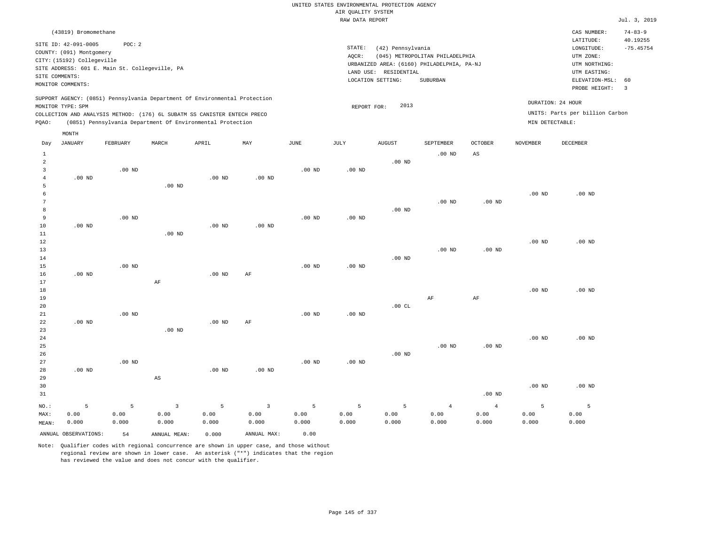# UNITED STATES ENVIRONMENTAL PROTECTION AGENCY AIR QUALITY SYSTEM

|                     |                            |                                                |                        |                                                                            |                        |                   | RAW DATA REPORT   |                       |                                            |                        |                   |                                 | Jul. 3, 2019              |
|---------------------|----------------------------|------------------------------------------------|------------------------|----------------------------------------------------------------------------|------------------------|-------------------|-------------------|-----------------------|--------------------------------------------|------------------------|-------------------|---------------------------------|---------------------------|
|                     | (43819) Bromomethane       |                                                |                        |                                                                            |                        |                   |                   |                       |                                            |                        |                   | CAS NUMBER:<br>LATITUDE:        | $74 - 83 - 9$<br>40.19255 |
|                     | SITE ID: 42-091-0005       | POC: 2                                         |                        |                                                                            |                        |                   | STATE:            | (42) Pennsylvania     |                                            |                        |                   | LONGITUDE:                      | $-75.45754$               |
|                     | COUNTY: (091) Montgomery   |                                                |                        |                                                                            |                        |                   | AQCR:             |                       | (045) METROPOLITAN PHILADELPHIA            |                        |                   | UTM ZONE:                       |                           |
|                     | CITY: (15192) Collegeville | SITE ADDRESS: 601 E. Main St. Collegeville, PA |                        |                                                                            |                        |                   |                   |                       | URBANIZED AREA: (6160) PHILADELPHIA, PA-NJ |                        |                   | UTM NORTHING:                   |                           |
|                     | SITE COMMENTS:             |                                                |                        |                                                                            |                        |                   |                   | LAND USE: RESIDENTIAL |                                            |                        |                   | UTM EASTING:                    |                           |
|                     | MONITOR COMMENTS:          |                                                |                        |                                                                            |                        |                   |                   | LOCATION SETTING:     | SUBURBAN                                   |                        |                   | ELEVATION-MSL:                  | 60                        |
|                     |                            |                                                |                        |                                                                            |                        |                   |                   |                       |                                            |                        |                   | PROBE HEIGHT:                   | $\overline{\mathbf{3}}$   |
|                     | MONITOR TYPE: SPM          |                                                |                        | SUPPORT AGENCY: (0851) Pennsylvania Department Of Environmental Protection |                        |                   | REPORT FOR:       | 2013                  |                                            |                        |                   | DURATION: 24 HOUR               |                           |
|                     |                            |                                                |                        | COLLECTION AND ANALYSIS METHOD: (176) 6L SUBATM SS CANISTER ENTECH PRECO   |                        |                   |                   |                       |                                            |                        |                   | UNITS: Parts per billion Carbon |                           |
| PQAO:               |                            |                                                |                        | (0851) Pennsylvania Department Of Environmental Protection                 |                        |                   |                   |                       |                                            |                        | MIN DETECTABLE:   |                                 |                           |
|                     | MONTH                      |                                                |                        |                                                                            |                        |                   |                   |                       |                                            |                        |                   |                                 |                           |
| Day                 | <b>JANUARY</b>             | FEBRUARY                                       | MARCH                  | APRIL                                                                      | MAY                    | JUNE              | JULY              | <b>AUGUST</b>         | SEPTEMBER                                  | OCTOBER                | NOVEMBER          | <b>DECEMBER</b>                 |                           |
| $1\,$               |                            |                                                |                        |                                                                            |                        |                   |                   |                       | .00 <sub>ND</sub>                          | AS                     |                   |                                 |                           |
| $\overline{a}$      |                            |                                                |                        |                                                                            |                        |                   |                   | $.00$ ND              |                                            |                        |                   |                                 |                           |
| $\overline{3}$      |                            | $.00$ ND                                       |                        |                                                                            |                        | $.00$ ND          | $.00$ ND          |                       |                                            |                        |                   |                                 |                           |
| $\overline{4}$<br>5 | $.00$ ND                   |                                                | $.00$ ND               | $.00$ ND                                                                   | $.00$ ND               |                   |                   |                       |                                            |                        |                   |                                 |                           |
| 6                   |                            |                                                |                        |                                                                            |                        |                   |                   |                       |                                            |                        | $.00$ ND          | $.00$ ND                        |                           |
| $\overline{7}$      |                            |                                                |                        |                                                                            |                        |                   |                   |                       | $.00$ ND                                   | $.00$ ND               |                   |                                 |                           |
| 8                   |                            |                                                |                        |                                                                            |                        |                   |                   | $.00$ ND              |                                            |                        |                   |                                 |                           |
| 9                   |                            | $.00$ ND                                       |                        |                                                                            |                        | .00 <sub>ND</sub> | .00 <sub>ND</sub> |                       |                                            |                        |                   |                                 |                           |
| 10                  | .00 <sub>ND</sub>          |                                                |                        | $.00$ ND                                                                   | .00 <sub>ND</sub>      |                   |                   |                       |                                            |                        |                   |                                 |                           |
| 11                  |                            |                                                | $.00$ ND               |                                                                            |                        |                   |                   |                       |                                            |                        |                   |                                 |                           |
| $1\,2$<br>13        |                            |                                                |                        |                                                                            |                        |                   |                   |                       | .00 <sub>ND</sub>                          | $.00$ ND               | .00 <sub>ND</sub> | .00 <sub>ND</sub>               |                           |
| 14                  |                            |                                                |                        |                                                                            |                        |                   |                   | .00 <sub>ND</sub>     |                                            |                        |                   |                                 |                           |
| 15                  |                            | $.00$ ND                                       |                        |                                                                            |                        | $.00$ ND          | .00 <sub>ND</sub> |                       |                                            |                        |                   |                                 |                           |
| 16                  | $.00$ ND                   |                                                |                        | $.00$ ND                                                                   | AF                     |                   |                   |                       |                                            |                        |                   |                                 |                           |
| 17                  |                            |                                                | AF                     |                                                                            |                        |                   |                   |                       |                                            |                        |                   |                                 |                           |
| 18                  |                            |                                                |                        |                                                                            |                        |                   |                   |                       |                                            |                        | $.00$ ND          | $.00$ ND                        |                           |
| 19                  |                            |                                                |                        |                                                                            |                        |                   |                   |                       | AF                                         | $\rm{AF}$              |                   |                                 |                           |
| 20<br>21            |                            | $.00$ ND                                       |                        |                                                                            |                        | .00 <sub>ND</sub> | .00 <sub>ND</sub> | .00 $CL$              |                                            |                        |                   |                                 |                           |
| 22                  | $.00$ ND                   |                                                |                        | $.00$ ND                                                                   | AF                     |                   |                   |                       |                                            |                        |                   |                                 |                           |
| 23                  |                            |                                                | .00 <sub>ND</sub>      |                                                                            |                        |                   |                   |                       |                                            |                        |                   |                                 |                           |
| 24                  |                            |                                                |                        |                                                                            |                        |                   |                   |                       |                                            |                        | $.00$ ND          | $.00$ ND                        |                           |
| 25                  |                            |                                                |                        |                                                                            |                        |                   |                   |                       | $.00$ ND                                   | $.00$ ND               |                   |                                 |                           |
| 26                  |                            |                                                |                        |                                                                            |                        |                   |                   | $.00$ ND              |                                            |                        |                   |                                 |                           |
| 27                  |                            | $.00$ ND                                       |                        |                                                                            |                        | .00 <sub>ND</sub> | $.00$ ND          |                       |                                            |                        |                   |                                 |                           |
| 28                  | $.00$ ND                   |                                                |                        | $.00$ ND                                                                   | $.00$ ND               |                   |                   |                       |                                            |                        |                   |                                 |                           |
| 29<br>30            |                            |                                                | $\mathbb{A}\mathbb{S}$ |                                                                            |                        |                   |                   |                       |                                            |                        | $.00$ ND          | $.00$ ND                        |                           |
| 31                  |                            |                                                |                        |                                                                            |                        |                   |                   |                       |                                            | $.00$ ND               |                   |                                 |                           |
|                     |                            |                                                |                        |                                                                            |                        |                   |                   |                       |                                            |                        |                   |                                 |                           |
| NO.:<br>MAX:        | 5<br>0.00                  | 5<br>0.00                                      | $\overline{3}$<br>0.00 | 5<br>0.00                                                                  | $\overline{3}$<br>0.00 | 5<br>0.00         | 5<br>0.00         | 5<br>0.00             | $\overline{4}$<br>0.00                     | $\overline{4}$<br>0.00 | 5<br>0.00         | 5<br>0.00                       |                           |

Note: Qualifier codes with regional concurrence are shown in upper case, and those without regional review are shown in lower case. An asterisk ("\*") indicates that the region

ANNUAL OBSERVATIONS: 54 ANNUAL MEAN: 0.000 ANNUAL MAX: 0.00

0.000

0.000

0.000

0.000

0.000

MEAN:

0.000

0.000

0.000

0.000

0.000

0.000

0.000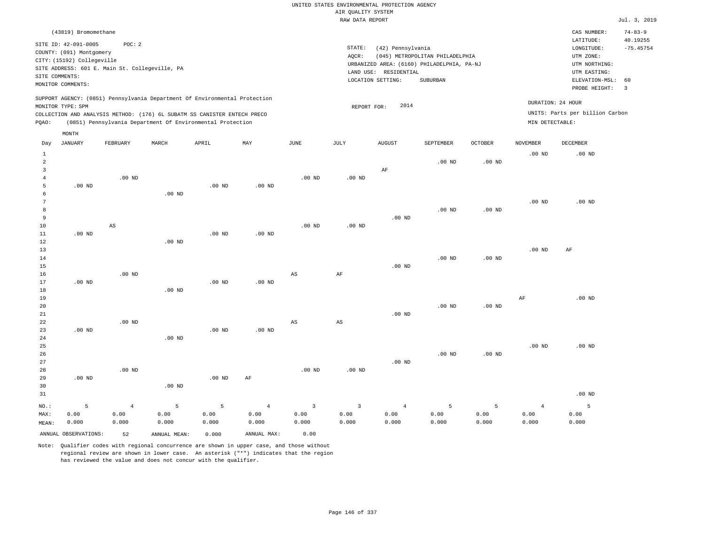|                |                            |                                                                            |               |               |                |                         | UNITED STATES ENVIRONMENTAL PROTECTION AGENCY<br>AIR QUALITY SYSTEM |                       |                                            |                   |                   |                                 |                         |
|----------------|----------------------------|----------------------------------------------------------------------------|---------------|---------------|----------------|-------------------------|---------------------------------------------------------------------|-----------------------|--------------------------------------------|-------------------|-------------------|---------------------------------|-------------------------|
|                |                            |                                                                            |               |               |                |                         | RAW DATA REPORT                                                     |                       |                                            |                   |                   |                                 | Jul. 3, 2019            |
|                | (43819) Bromomethane       |                                                                            |               |               |                |                         |                                                                     |                       |                                            |                   |                   | CAS NUMBER:                     | $74 - 83 - 9$           |
|                | SITE ID: 42-091-0005       | POC: 2                                                                     |               |               |                |                         | STATE:                                                              | (42) Pennsylvania     |                                            |                   |                   | LATITUDE:<br>LONGITUDE:         | 40.19255<br>$-75.45754$ |
|                | COUNTY: (091) Montgomery   |                                                                            |               |               |                |                         | AQCR:                                                               |                       | (045) METROPOLITAN PHILADELPHIA            |                   |                   | UTM ZONE:                       |                         |
|                | CITY: (15192) Collegeville |                                                                            |               |               |                |                         |                                                                     |                       | URBANIZED AREA: (6160) PHILADELPHIA, PA-NJ |                   |                   | UTM NORTHING:                   |                         |
|                |                            | SITE ADDRESS: 601 E. Main St. Collegeville, PA                             |               |               |                |                         |                                                                     | LAND USE: RESIDENTIAL |                                            |                   |                   | UTM EASTING:                    |                         |
| SITE COMMENTS: |                            |                                                                            |               |               |                |                         |                                                                     | LOCATION SETTING:     | SUBURBAN                                   |                   |                   | ELEVATION-MSL:                  | 60                      |
|                | MONITOR COMMENTS:          |                                                                            |               |               |                |                         |                                                                     |                       |                                            |                   |                   | PROBE HEIGHT:                   | $\overline{3}$          |
|                |                            | SUPPORT AGENCY: (0851) Pennsylvania Department Of Environmental Protection |               |               |                |                         |                                                                     |                       |                                            |                   |                   | DURATION: 24 HOUR               |                         |
|                | MONITOR TYPE: SPM          |                                                                            |               |               |                |                         | REPORT FOR:                                                         | 2014                  |                                            |                   |                   | UNITS: Parts per billion Carbon |                         |
|                |                            | COLLECTION AND ANALYSIS METHOD: (176) 6L SUBATM SS CANISTER ENTECH PRECO   |               |               |                |                         |                                                                     |                       |                                            |                   |                   |                                 |                         |
| PQAO:          | MONTH                      | (0851) Pennsylvania Department Of Environmental Protection                 |               |               |                |                         |                                                                     |                       |                                            |                   | MIN DETECTABLE:   |                                 |                         |
| Day            | <b>JANUARY</b>             | FEBRUARY                                                                   | MARCH         | APRIL         | MAY            | <b>JUNE</b>             | JULY                                                                | ${\tt AUGUST}$        | SEPTEMBER                                  | <b>OCTOBER</b>    | <b>NOVEMBER</b>   | <b>DECEMBER</b>                 |                         |
| $\mathbf{1}$   |                            |                                                                            |               |               |                |                         |                                                                     |                       |                                            |                   | .00 <sub>ND</sub> | $.00$ ND                        |                         |
| $\overline{2}$ |                            |                                                                            |               |               |                |                         |                                                                     |                       | $.00$ ND                                   | $.00$ ND          |                   |                                 |                         |
| 3              |                            |                                                                            |               |               |                |                         |                                                                     | AF                    |                                            |                   |                   |                                 |                         |
| $\overline{4}$ |                            | $.00$ ND                                                                   |               |               |                | $.00$ ND                | $.00$ ND                                                            |                       |                                            |                   |                   |                                 |                         |
| 5<br>6         | $.00$ ND                   |                                                                            | $.00$ ND      | $.00$ ND      | $.00$ ND       |                         |                                                                     |                       |                                            |                   |                   |                                 |                         |
| 7              |                            |                                                                            |               |               |                |                         |                                                                     |                       |                                            |                   | .00 <sub>ND</sub> | $.00$ ND                        |                         |
| 8              |                            |                                                                            |               |               |                |                         |                                                                     |                       | .00 <sub>ND</sub>                          | .00 <sub>ND</sub> |                   |                                 |                         |
| 9              |                            |                                                                            |               |               |                |                         |                                                                     | $.00$ ND              |                                            |                   |                   |                                 |                         |
| $10$           |                            | $\mathbb{A}\mathbb{S}$                                                     |               |               |                | $.00$ ND                | $.00$ ND                                                            |                       |                                            |                   |                   |                                 |                         |
| 11             | $.00$ ND                   |                                                                            |               | $.00$ ND      | $.00$ ND       |                         |                                                                     |                       |                                            |                   |                   |                                 |                         |
| 12             |                            |                                                                            | $.00$ ND      |               |                |                         |                                                                     |                       |                                            |                   |                   |                                 |                         |
| 13             |                            |                                                                            |               |               |                |                         |                                                                     |                       |                                            |                   | .00 <sub>ND</sub> | AF                              |                         |
| 14             |                            |                                                                            |               |               |                |                         |                                                                     |                       | $.00$ ND                                   | $.00$ ND          |                   |                                 |                         |
| 15             |                            |                                                                            |               |               |                |                         |                                                                     | $.00$ ND              |                                            |                   |                   |                                 |                         |
| 16             |                            | $.00$ ND                                                                   |               |               |                | $_{\rm AS}$             | $\rm AF$                                                            |                       |                                            |                   |                   |                                 |                         |
| 17<br>18       | $.00$ ND                   |                                                                            | $.00$ ND      | $.00$ ND      | $.00$ ND       |                         |                                                                     |                       |                                            |                   |                   |                                 |                         |
| 19             |                            |                                                                            |               |               |                |                         |                                                                     |                       |                                            |                   | AF                | $.00$ ND                        |                         |
| 20             |                            |                                                                            |               |               |                |                         |                                                                     |                       | $.00$ ND                                   | $.00$ ND          |                   |                                 |                         |
| 21             |                            |                                                                            |               |               |                |                         |                                                                     | $.00$ ND              |                                            |                   |                   |                                 |                         |
| 22             |                            | $.00$ ND                                                                   |               |               |                | $_{\rm AS}$             | $\mathbb{A}\mathbb{S}$                                              |                       |                                            |                   |                   |                                 |                         |
| 23             | $.00$ ND                   |                                                                            |               | $.00$ ND      | $.00$ ND       |                         |                                                                     |                       |                                            |                   |                   |                                 |                         |
| 24             |                            |                                                                            | $.00$ ND      |               |                |                         |                                                                     |                       |                                            |                   |                   |                                 |                         |
| 25             |                            |                                                                            |               |               |                |                         |                                                                     |                       |                                            |                   | .00 <sub>ND</sub> | $.00$ ND                        |                         |
| 26             |                            |                                                                            |               |               |                |                         |                                                                     |                       | .00 <sub>ND</sub>                          | $.00$ ND          |                   |                                 |                         |
| 27             |                            |                                                                            |               |               |                |                         |                                                                     | $.00$ ND              |                                            |                   |                   |                                 |                         |
| 28             |                            | $.00$ ND                                                                   |               |               |                | $.00$ ND                | .00 <sub>ND</sub>                                                   |                       |                                            |                   |                   |                                 |                         |
| 29             | $.00$ ND                   |                                                                            |               | $.00$ ND      | AF             |                         |                                                                     |                       |                                            |                   |                   |                                 |                         |
| 30<br>31       |                            |                                                                            | $.00$ ND      |               |                |                         |                                                                     |                       |                                            |                   |                   | $.00$ ND                        |                         |
|                |                            |                                                                            |               |               |                |                         |                                                                     |                       |                                            |                   |                   |                                 |                         |
| NO.:           | 5                          | $\overline{4}$                                                             | 5             | 5             | $\overline{4}$ | $\overline{\mathbf{3}}$ | $\overline{\mathbf{3}}$                                             | $\overline{4}$        | 5                                          | 5                 | $\overline{4}$    | 5                               |                         |
| MAX:           | 0.00<br>0.000              | 0.00<br>0.000                                                              | 0.00<br>0.000 | 0.00<br>0.000 | 0.00<br>0.000  | 0.00<br>0.000           | 0.00<br>0.000                                                       | 0.00<br>0.000         | 0.00<br>0.000                              | 0.00<br>0.000     | 0.00<br>0.000     | 0.00<br>0.000                   |                         |
| MEAN:          |                            |                                                                            |               |               |                |                         |                                                                     |                       |                                            |                   |                   |                                 |                         |

ANNUAL OBSERVATIONS: 52 ANNUAL MEAN: 0.000 ANNUAL MAX: 0.00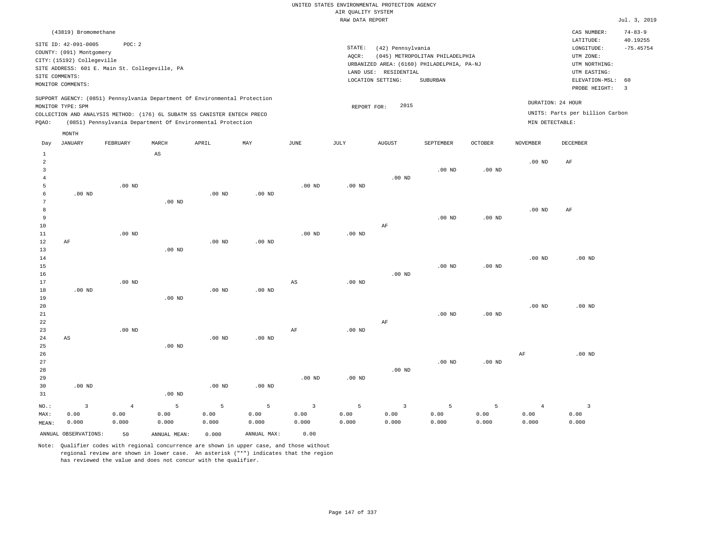|                |                                                |                    |                        |                                                                            |                   |                   |                                       | UNITED STATES ENVIRONMENTAL PROTECTION AGENCY |                                            |                   |                        |                                 |                           |
|----------------|------------------------------------------------|--------------------|------------------------|----------------------------------------------------------------------------|-------------------|-------------------|---------------------------------------|-----------------------------------------------|--------------------------------------------|-------------------|------------------------|---------------------------------|---------------------------|
|                |                                                |                    |                        |                                                                            |                   |                   | AIR QUALITY SYSTEM<br>RAW DATA REPORT |                                               |                                            |                   |                        |                                 | Jul. 3, 2019              |
|                |                                                |                    |                        |                                                                            |                   |                   |                                       |                                               |                                            |                   |                        |                                 |                           |
|                | (43819) Bromomethane                           |                    |                        |                                                                            |                   |                   |                                       |                                               |                                            |                   |                        | CAS NUMBER:<br>LATITUDE:        | $74 - 83 - 9$<br>40.19255 |
|                | SITE ID: 42-091-0005                           | POC: 2             |                        |                                                                            |                   |                   | STATE:                                | (42) Pennsylvania                             |                                            |                   |                        | LONGITUDE:                      | $-75.45754$               |
|                | COUNTY: (091) Montgomery                       |                    |                        |                                                                            |                   |                   | AQCR:                                 |                                               | (045) METROPOLITAN PHILADELPHIA            |                   |                        | UTM ZONE:                       |                           |
|                | CITY: (15192) Collegeville                     |                    |                        |                                                                            |                   |                   |                                       |                                               | URBANIZED AREA: (6160) PHILADELPHIA, PA-NJ |                   |                        | UTM NORTHING:                   |                           |
|                | SITE ADDRESS: 601 E. Main St. Collegeville, PA |                    |                        |                                                                            |                   |                   |                                       | LAND USE: RESIDENTIAL                         |                                            |                   |                        | UTM EASTING:                    |                           |
| SITE COMMENTS: |                                                |                    |                        |                                                                            |                   |                   |                                       | LOCATION SETTING:                             | SUBURBAN                                   |                   |                        | ELEVATION-MSL:                  | 60                        |
|                | MONITOR COMMENTS:                              |                    |                        |                                                                            |                   |                   |                                       |                                               |                                            |                   |                        | PROBE HEIGHT:                   | $\overline{3}$            |
|                |                                                |                    |                        | SUPPORT AGENCY: (0851) Pennsylvania Department Of Environmental Protection |                   |                   |                                       |                                               |                                            |                   |                        |                                 |                           |
|                | MONITOR TYPE: SPM                              |                    |                        |                                                                            |                   |                   | REPORT FOR:                           | 2015                                          |                                            |                   |                        | DURATION: 24 HOUR               |                           |
|                |                                                |                    |                        | COLLECTION AND ANALYSIS METHOD: (176) 6L SUBATM SS CANISTER ENTECH PRECO   |                   |                   |                                       |                                               |                                            |                   |                        | UNITS: Parts per billion Carbon |                           |
| PQAO:          |                                                |                    |                        | (0851) Pennsylvania Department Of Environmental Protection                 |                   |                   |                                       |                                               |                                            |                   | MIN DETECTABLE:        |                                 |                           |
|                | MONTH                                          |                    |                        |                                                                            |                   |                   |                                       |                                               |                                            |                   |                        |                                 |                           |
| Day            | <b>JANUARY</b>                                 | FEBRUARY           | MARCH                  | APRIL                                                                      | MAY               | <b>JUNE</b>       | JULY                                  | <b>AUGUST</b>                                 | SEPTEMBER                                  | <b>OCTOBER</b>    | <b>NOVEMBER</b>        | DECEMBER                        |                           |
| $1\,$          |                                                |                    | $\mathbb{A}\mathbb{S}$ |                                                                            |                   |                   |                                       |                                               |                                            |                   |                        |                                 |                           |
| $\overline{2}$ |                                                |                    |                        |                                                                            |                   |                   |                                       |                                               |                                            |                   | $.00$ ND               | $\rm{AF}$                       |                           |
| $\overline{3}$ |                                                |                    |                        |                                                                            |                   |                   |                                       |                                               | .00 <sub>ND</sub>                          | .00 <sub>ND</sub> |                        |                                 |                           |
| $\overline{4}$ |                                                |                    |                        |                                                                            |                   |                   |                                       | $.00$ ND                                      |                                            |                   |                        |                                 |                           |
| 5              |                                                | .00 <sub>ND</sub>  |                        |                                                                            |                   | $.00$ ND          | .00 <sub>ND</sub>                     |                                               |                                            |                   |                        |                                 |                           |
| 6              | $.00$ ND                                       |                    |                        | $.00$ ND                                                                   | $.00$ ND          |                   |                                       |                                               |                                            |                   |                        |                                 |                           |
| 7              |                                                |                    | $.00$ ND               |                                                                            |                   |                   |                                       |                                               |                                            |                   |                        |                                 |                           |
| 8              |                                                |                    |                        |                                                                            |                   |                   |                                       |                                               |                                            |                   | .00 <sub>ND</sub>      | AF                              |                           |
| $\overline{9}$ |                                                |                    |                        |                                                                            |                   |                   |                                       |                                               | $.00$ ND                                   | .00 <sub>ND</sub> |                        |                                 |                           |
| 10<br>11       |                                                | $.00$ ND           |                        |                                                                            |                   | $.00$ ND          | $.00$ ND                              | AF                                            |                                            |                   |                        |                                 |                           |
| 12             | AF                                             |                    |                        | $.00$ ND                                                                   | .00 <sub>ND</sub> |                   |                                       |                                               |                                            |                   |                        |                                 |                           |
| 13             |                                                |                    | $.00$ ND               |                                                                            |                   |                   |                                       |                                               |                                            |                   |                        |                                 |                           |
| 14             |                                                |                    |                        |                                                                            |                   |                   |                                       |                                               |                                            |                   | .00 <sub>ND</sub>      | $.00$ ND                        |                           |
| 15             |                                                |                    |                        |                                                                            |                   |                   |                                       |                                               | $.00$ ND                                   | $.00$ ND          |                        |                                 |                           |
| 16             |                                                |                    |                        |                                                                            |                   |                   |                                       | $.00$ ND                                      |                                            |                   |                        |                                 |                           |
| 17             |                                                | $.00$ ND           |                        |                                                                            |                   | AS                | $.00$ ND                              |                                               |                                            |                   |                        |                                 |                           |
| $1\,8$         | $.00$ ND                                       |                    |                        | $.00$ ND                                                                   | $.00$ ND          |                   |                                       |                                               |                                            |                   |                        |                                 |                           |
| 19             |                                                |                    | $.00$ ND               |                                                                            |                   |                   |                                       |                                               |                                            |                   |                        |                                 |                           |
| 20             |                                                |                    |                        |                                                                            |                   |                   |                                       |                                               |                                            |                   | $.00$ ND               | $.00$ ND                        |                           |
| $2\sqrt{1}$    |                                                |                    |                        |                                                                            |                   |                   |                                       |                                               | $.00$ ND                                   | .00 <sub>ND</sub> |                        |                                 |                           |
| 22             |                                                |                    |                        |                                                                            |                   |                   |                                       | AF                                            |                                            |                   |                        |                                 |                           |
| 23             |                                                | $.00$ ND           |                        |                                                                            |                   | AF                | $.00$ ND                              |                                               |                                            |                   |                        |                                 |                           |
| 24             | $\mathbb{A}\mathbb{S}$                         |                    |                        | .00 <sub>ND</sub>                                                          | $.00$ ND          |                   |                                       |                                               |                                            |                   |                        |                                 |                           |
| 25             |                                                |                    | $.00$ ND               |                                                                            |                   |                   |                                       |                                               |                                            |                   |                        |                                 |                           |
| 26<br>27       |                                                |                    |                        |                                                                            |                   |                   |                                       |                                               | $.00$ ND                                   | $.00$ ND          | AF                     | $.00$ ND                        |                           |
| 28             |                                                |                    |                        |                                                                            |                   |                   |                                       | $.00$ ND                                      |                                            |                   |                        |                                 |                           |
| 29             |                                                |                    |                        |                                                                            |                   | .00 <sub>ND</sub> | .00 <sub>ND</sub>                     |                                               |                                            |                   |                        |                                 |                           |
| 30             | $.00$ ND                                       |                    |                        | $.00$ ND                                                                   | $.00$ ND          |                   |                                       |                                               |                                            |                   |                        |                                 |                           |
| 31             |                                                |                    | $.00$ ND               |                                                                            |                   |                   |                                       |                                               |                                            |                   |                        |                                 |                           |
|                |                                                |                    |                        |                                                                            |                   |                   |                                       |                                               |                                            |                   |                        |                                 |                           |
| NO.:           | $\overline{3}$                                 | $\sqrt{4}$<br>0.00 | $\overline{5}$         | 5                                                                          | $\overline{5}$    | $\overline{3}$    | 5                                     | $\overline{3}$                                | 5                                          | 5<br>0.00         | $\overline{4}$<br>0.00 | $\overline{\mathbf{3}}$         |                           |
| MAX:           | 0.00<br>0.000                                  | 0.000              | 0.00<br>0.000          | 0.00<br>0.000                                                              | 0.00<br>0.000     | 0.00<br>0.000     | 0.00<br>0.000                         | 0.00<br>0.000                                 | 0.00<br>0.000                              | 0.000             | 0.000                  | 0.00<br>0.000                   |                           |
| MEAN:          |                                                |                    |                        |                                                                            |                   |                   |                                       |                                               |                                            |                   |                        |                                 |                           |
|                | ANNUAL OBSERVATIONS:                           | 50                 | ANNUAL MEAN:           | 0.000                                                                      | ANNUAL MAX:       | 0.00              |                                       |                                               |                                            |                   |                        |                                 |                           |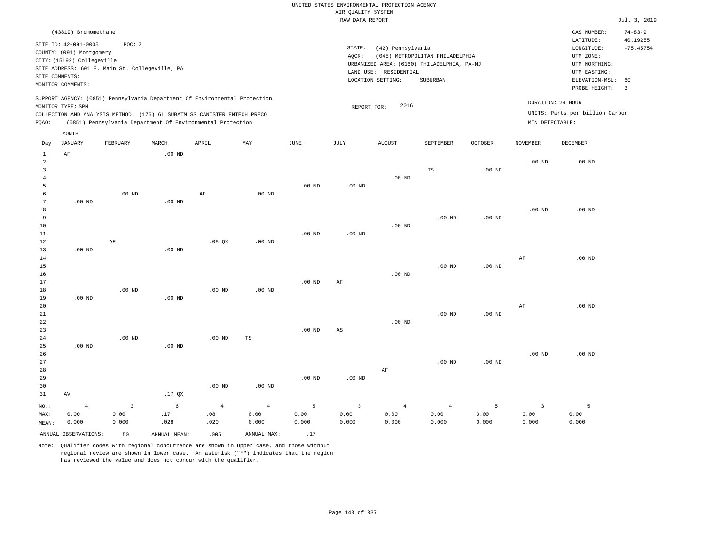|                                  |                            |                                                                            |                   |                   |                   |                   | AIR QUALITY SYSTEM | UNITED STATES ENVIRONMENTAL PROTECTION AGENCY |                                            |                   |                   |                                                                                                                                                                                                                                                                                                                                                                                                                                                                                                                     |                         |
|----------------------------------|----------------------------|----------------------------------------------------------------------------|-------------------|-------------------|-------------------|-------------------|--------------------|-----------------------------------------------|--------------------------------------------|-------------------|-------------------|---------------------------------------------------------------------------------------------------------------------------------------------------------------------------------------------------------------------------------------------------------------------------------------------------------------------------------------------------------------------------------------------------------------------------------------------------------------------------------------------------------------------|-------------------------|
|                                  |                            |                                                                            |                   |                   |                   |                   | RAW DATA REPORT    |                                               |                                            |                   |                   |                                                                                                                                                                                                                                                                                                                                                                                                                                                                                                                     | Jul. 3, 2019            |
|                                  | (43819) Bromomethane       |                                                                            |                   |                   |                   |                   |                    |                                               |                                            |                   |                   | CAS NUMBER:                                                                                                                                                                                                                                                                                                                                                                                                                                                                                                         | $74 - 83 - 9$           |
|                                  | SITE ID: 42-091-0005       | POC: 2                                                                     |                   |                   |                   |                   | STATE:             | (42) Pennsylvania                             |                                            |                   |                   | LATITUDE:<br>$\texttt{LONGITUDE}: \quad % \begin{minipage}[c]{0.5\linewidth} \centering \begin{tabular}{lcccc} \toprule \texttt{1}\end{tabular} & \texttt{1}\end{tabular} \vspace*{-1em} \caption{The \texttt{1}\qquad \texttt{1}\qquad \texttt{2}\qquad \texttt{2}\qquad \texttt{2}\qquad \texttt{3}\qquad \texttt{3}\qquad \texttt{4}\qquad \texttt{5}\qquad \texttt{5}\qquad \texttt{6}\qquad \texttt{6}\qquad \texttt{7}\qquad \texttt{8}\qquad \texttt{8}\qquad \texttt{8}\qquad \texttt{9}\qquad \texttt{1}\$ | 40.19255<br>$-75.45754$ |
|                                  | COUNTY: (091) Montgomery   |                                                                            |                   |                   |                   |                   | AQCR:              |                                               | (045) METROPOLITAN PHILADELPHIA            |                   |                   | UTM ZONE:                                                                                                                                                                                                                                                                                                                                                                                                                                                                                                           |                         |
|                                  | CITY: (15192) Collegeville |                                                                            |                   |                   |                   |                   |                    |                                               | URBANIZED AREA: (6160) PHILADELPHIA, PA-NJ |                   |                   | UTM NORTHING:                                                                                                                                                                                                                                                                                                                                                                                                                                                                                                       |                         |
|                                  |                            | SITE ADDRESS: 601 E. Main St. Collegeville, PA                             |                   |                   |                   |                   |                    | LAND USE: RESIDENTIAL                         |                                            |                   |                   | UTM EASTING:                                                                                                                                                                                                                                                                                                                                                                                                                                                                                                        |                         |
| SITE COMMENTS:                   |                            |                                                                            |                   |                   |                   |                   |                    | LOCATION SETTING:                             | SUBURBAN                                   |                   |                   | ELEVATION-MSL:                                                                                                                                                                                                                                                                                                                                                                                                                                                                                                      | 60                      |
|                                  | MONITOR COMMENTS:          |                                                                            |                   |                   |                   |                   |                    |                                               |                                            |                   |                   | PROBE HEIGHT:                                                                                                                                                                                                                                                                                                                                                                                                                                                                                                       | $\overline{3}$          |
|                                  |                            | SUPPORT AGENCY: (0851) Pennsylvania Department Of Environmental Protection |                   |                   |                   |                   |                    | 2016                                          |                                            |                   |                   | DURATION: 24 HOUR                                                                                                                                                                                                                                                                                                                                                                                                                                                                                                   |                         |
|                                  | MONITOR TYPE: SPM          | COLLECTION AND ANALYSIS METHOD: (176) 6L SUBATM SS CANISTER ENTECH PRECO   |                   |                   |                   |                   | REPORT FOR:        |                                               |                                            |                   |                   | UNITS: Parts per billion Carbon                                                                                                                                                                                                                                                                                                                                                                                                                                                                                     |                         |
| PQAO:                            |                            | (0851) Pennsylvania Department Of Environmental Protection                 |                   |                   |                   |                   |                    |                                               |                                            |                   | MIN DETECTABLE:   |                                                                                                                                                                                                                                                                                                                                                                                                                                                                                                                     |                         |
|                                  | MONTH                      |                                                                            |                   |                   |                   |                   |                    |                                               |                                            |                   |                   |                                                                                                                                                                                                                                                                                                                                                                                                                                                                                                                     |                         |
| Day                              | <b>JANUARY</b>             | FEBRUARY                                                                   | MARCH             | APRIL             | MAY               | $_{\rm JUNE}$     | JULY               | <b>AUGUST</b>                                 | SEPTEMBER                                  | <b>OCTOBER</b>    | <b>NOVEMBER</b>   | DECEMBER                                                                                                                                                                                                                                                                                                                                                                                                                                                                                                            |                         |
| $\mathbf{1}$                     | AF                         |                                                                            | $.00$ ND          |                   |                   |                   |                    |                                               |                                            |                   |                   |                                                                                                                                                                                                                                                                                                                                                                                                                                                                                                                     |                         |
| $\overline{a}$<br>$\overline{3}$ |                            |                                                                            |                   |                   |                   |                   |                    |                                               | TS                                         | $.00$ ND          | .00 <sub>ND</sub> | $.00$ ND                                                                                                                                                                                                                                                                                                                                                                                                                                                                                                            |                         |
| $\overline{4}$                   |                            |                                                                            |                   |                   |                   |                   |                    | $.00$ ND                                      |                                            |                   |                   |                                                                                                                                                                                                                                                                                                                                                                                                                                                                                                                     |                         |
| 5                                |                            |                                                                            |                   |                   |                   | $.00$ ND          | $.00$ ND           |                                               |                                            |                   |                   |                                                                                                                                                                                                                                                                                                                                                                                                                                                                                                                     |                         |
| 6                                |                            | $.00$ ND                                                                   |                   | $\rm AF$          | $.00$ ND          |                   |                    |                                               |                                            |                   |                   |                                                                                                                                                                                                                                                                                                                                                                                                                                                                                                                     |                         |
| $7\phantom{.0}$                  | $.00$ ND                   |                                                                            | $.00$ ND          |                   |                   |                   |                    |                                               |                                            |                   |                   |                                                                                                                                                                                                                                                                                                                                                                                                                                                                                                                     |                         |
| 8                                |                            |                                                                            |                   |                   |                   |                   |                    |                                               |                                            |                   | .00 <sub>ND</sub> | $.00$ ND                                                                                                                                                                                                                                                                                                                                                                                                                                                                                                            |                         |
| 9                                |                            |                                                                            |                   |                   |                   |                   |                    |                                               | $.00$ ND                                   | .00 <sub>ND</sub> |                   |                                                                                                                                                                                                                                                                                                                                                                                                                                                                                                                     |                         |
| $10$                             |                            |                                                                            |                   |                   |                   |                   |                    | $.00$ ND                                      |                                            |                   |                   |                                                                                                                                                                                                                                                                                                                                                                                                                                                                                                                     |                         |
| 11                               |                            |                                                                            |                   |                   |                   | $.00$ ND          | $.00$ ND           |                                               |                                            |                   |                   |                                                                                                                                                                                                                                                                                                                                                                                                                                                                                                                     |                         |
| 12                               |                            | $\rm{AF}$                                                                  |                   | .08QX             | .00 <sub>ND</sub> |                   |                    |                                               |                                            |                   |                   |                                                                                                                                                                                                                                                                                                                                                                                                                                                                                                                     |                         |
| 13<br>14                         | $.00$ ND                   |                                                                            | $.00$ ND          |                   |                   |                   |                    |                                               |                                            |                   | $\rm AF$          | $.00$ ND                                                                                                                                                                                                                                                                                                                                                                                                                                                                                                            |                         |
| 15                               |                            |                                                                            |                   |                   |                   |                   |                    |                                               | $.00$ ND                                   | $.00$ ND          |                   |                                                                                                                                                                                                                                                                                                                                                                                                                                                                                                                     |                         |
| 16                               |                            |                                                                            |                   |                   |                   |                   |                    | $.00$ ND                                      |                                            |                   |                   |                                                                                                                                                                                                                                                                                                                                                                                                                                                                                                                     |                         |
| 17                               |                            |                                                                            |                   |                   |                   | $.00$ ND          | AF                 |                                               |                                            |                   |                   |                                                                                                                                                                                                                                                                                                                                                                                                                                                                                                                     |                         |
| 18                               |                            | $.00$ ND                                                                   |                   | .00 <sub>ND</sub> | $.00$ ND          |                   |                    |                                               |                                            |                   |                   |                                                                                                                                                                                                                                                                                                                                                                                                                                                                                                                     |                         |
| 19                               | $.00$ ND                   |                                                                            | $.00$ ND          |                   |                   |                   |                    |                                               |                                            |                   |                   |                                                                                                                                                                                                                                                                                                                                                                                                                                                                                                                     |                         |
| 20                               |                            |                                                                            |                   |                   |                   |                   |                    |                                               |                                            |                   | $\rm{AF}$         | .00 <sub>ND</sub>                                                                                                                                                                                                                                                                                                                                                                                                                                                                                                   |                         |
| 21                               |                            |                                                                            |                   |                   |                   |                   |                    |                                               | $.00$ ND                                   | $.00$ ND          |                   |                                                                                                                                                                                                                                                                                                                                                                                                                                                                                                                     |                         |
| $2\sqrt{2}$                      |                            |                                                                            |                   |                   |                   |                   |                    | .00 <sub>ND</sub>                             |                                            |                   |                   |                                                                                                                                                                                                                                                                                                                                                                                                                                                                                                                     |                         |
| 23<br>24                         |                            | $.00$ ND                                                                   |                   | .00 <sub>ND</sub> | <b>TS</b>         | $.00$ ND          | $_{\rm AS}$        |                                               |                                            |                   |                   |                                                                                                                                                                                                                                                                                                                                                                                                                                                                                                                     |                         |
| 25                               | .00 <sub>ND</sub>          |                                                                            | $.00$ ND          |                   |                   |                   |                    |                                               |                                            |                   |                   |                                                                                                                                                                                                                                                                                                                                                                                                                                                                                                                     |                         |
| 26                               |                            |                                                                            |                   |                   |                   |                   |                    |                                               |                                            |                   | .00 <sub>ND</sub> | $.00$ ND                                                                                                                                                                                                                                                                                                                                                                                                                                                                                                            |                         |
| 27                               |                            |                                                                            |                   |                   |                   |                   |                    |                                               | $.00$ ND                                   | $.00$ ND          |                   |                                                                                                                                                                                                                                                                                                                                                                                                                                                                                                                     |                         |
| 28                               |                            |                                                                            |                   |                   |                   |                   |                    | $\rm AF$                                      |                                            |                   |                   |                                                                                                                                                                                                                                                                                                                                                                                                                                                                                                                     |                         |
| 29                               |                            |                                                                            |                   |                   |                   | .00 <sub>ND</sub> | .00 <sub>ND</sub>  |                                               |                                            |                   |                   |                                                                                                                                                                                                                                                                                                                                                                                                                                                                                                                     |                         |
| 30                               |                            |                                                                            |                   | $.00$ ND          | .00 <sub>ND</sub> |                   |                    |                                               |                                            |                   |                   |                                                                                                                                                                                                                                                                                                                                                                                                                                                                                                                     |                         |
| 31                               | AV                         |                                                                            | .17 <sub>QX</sub> |                   |                   |                   |                    |                                               |                                            |                   |                   |                                                                                                                                                                                                                                                                                                                                                                                                                                                                                                                     |                         |
| NO.:                             | $\sqrt{4}$                 | $\overline{3}$                                                             | 6                 | $\overline{4}$    | $\overline{4}$    | 5                 | $\overline{3}$     | $\overline{4}$                                | $\overline{4}$                             | 5                 | $\overline{3}$    | $\overline{5}$                                                                                                                                                                                                                                                                                                                                                                                                                                                                                                      |                         |
| MAX:                             | 0.00                       | 0.00                                                                       | .17               | .08               | 0.00              | 0.00              | 0.00               | 0.00                                          | 0.00                                       | 0.00              | 0.00              | 0.00                                                                                                                                                                                                                                                                                                                                                                                                                                                                                                                |                         |
| MEAN:                            | 0.000                      | 0.000                                                                      | .028              | .020              | 0.000             | 0.000             | 0.000              | 0.000                                         | 0.000                                      | 0.000             | 0.000             | 0.000                                                                                                                                                                                                                                                                                                                                                                                                                                                                                                               |                         |

ANNUAL OBSERVATIONS:  $\begin{array}{ccc} 50 & \text{ANNUAL MEAN:} \\ \end{array}$  .005 ANNUAL MAX: .17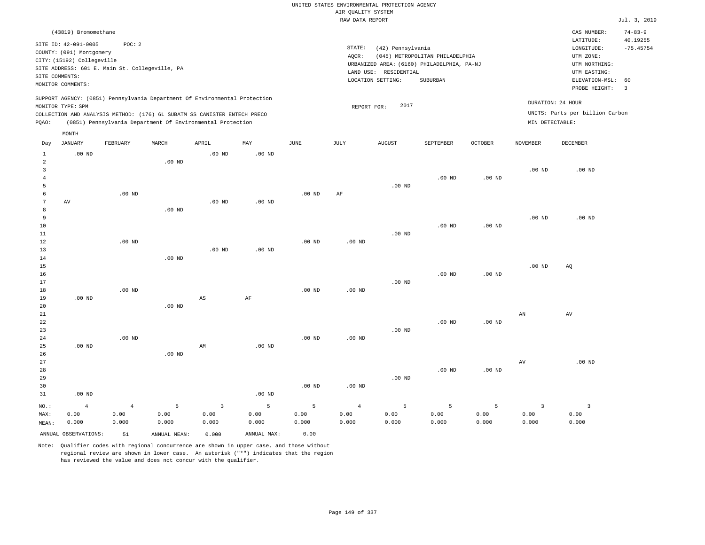|                                     |                                                                                                                                                                         |                   |                   |                                                                                                                                        |                   |                   | AIR QUALITY SYSTEM | UNITED STATES ENVIRONMENTAL PROTECTION AGENCY                   |                                                                                           |                   |                   |                                                                                                          |                                                 |
|-------------------------------------|-------------------------------------------------------------------------------------------------------------------------------------------------------------------------|-------------------|-------------------|----------------------------------------------------------------------------------------------------------------------------------------|-------------------|-------------------|--------------------|-----------------------------------------------------------------|-------------------------------------------------------------------------------------------|-------------------|-------------------|----------------------------------------------------------------------------------------------------------|-------------------------------------------------|
|                                     |                                                                                                                                                                         |                   |                   |                                                                                                                                        |                   |                   | RAW DATA REPORT    |                                                                 |                                                                                           |                   |                   |                                                                                                          | Jul. 3, 2019                                    |
|                                     | (43819) Bromomethane                                                                                                                                                    |                   |                   |                                                                                                                                        |                   |                   |                    |                                                                 |                                                                                           |                   |                   | CAS NUMBER:                                                                                              | $74 - 83 - 9$                                   |
|                                     | SITE ID: 42-091-0005<br>COUNTY: (091) Montgomery<br>CITY: (15192) Collegeville<br>SITE ADDRESS: 601 E. Main St. Collegeville, PA<br>SITE COMMENTS:<br>MONITOR COMMENTS: | POC: 2            |                   |                                                                                                                                        |                   |                   | STATE:<br>AQCR:    | (42) Pennsylvania<br>LAND USE: RESIDENTIAL<br>LOCATION SETTING: | (045) METROPOLITAN PHILADELPHIA<br>URBANIZED AREA: (6160) PHILADELPHIA, PA-NJ<br>SUBURBAN |                   |                   | LATITUDE:<br>LONGITUDE:<br>UTM ZONE:<br>UTM NORTHING:<br>UTM EASTING:<br>ELEVATION-MSL:<br>PROBE HEIGHT: | 40.19255<br>$-75.45754$<br>60<br>$\overline{3}$ |
|                                     | MONITOR TYPE: SPM                                                                                                                                                       |                   |                   | SUPPORT AGENCY: (0851) Pennsylvania Department Of Environmental Protection                                                             |                   |                   | REPORT FOR:        | 2017                                                            |                                                                                           |                   |                   | DURATION: 24 HOUR                                                                                        |                                                 |
| PQAO:                               |                                                                                                                                                                         |                   |                   | COLLECTION AND ANALYSIS METHOD: (176) 6L SUBATM SS CANISTER ENTECH PRECO<br>(0851) Pennsylvania Department Of Environmental Protection |                   |                   |                    |                                                                 |                                                                                           |                   | MIN DETECTABLE:   | UNITS: Parts per billion Carbon                                                                          |                                                 |
| Day                                 | MONTH<br><b>JANUARY</b>                                                                                                                                                 | FEBRUARY          | MARCH             | APRIL                                                                                                                                  | MAY               | <b>JUNE</b>       | <b>JULY</b>        | <b>AUGUST</b>                                                   | SEPTEMBER                                                                                 | <b>OCTOBER</b>    | <b>NOVEMBER</b>   | <b>DECEMBER</b>                                                                                          |                                                 |
| $\mathbf{1}$<br>$\overline{2}$      | $.00$ ND                                                                                                                                                                |                   | .00 <sub>ND</sub> | $.00$ ND                                                                                                                               | .00 <sub>ND</sub> |                   |                    |                                                                 |                                                                                           |                   |                   |                                                                                                          |                                                 |
| $\mathbf{3}$<br>$\overline{4}$<br>5 |                                                                                                                                                                         |                   |                   |                                                                                                                                        |                   |                   |                    | $.00$ ND                                                        | $.00$ ND                                                                                  | $.00$ ND          | .00 <sub>ND</sub> | $.00$ ND                                                                                                 |                                                 |
| 6<br>7<br>8                         | AV                                                                                                                                                                      | $.00$ ND          | $.00$ ND          | $.00$ ND                                                                                                                               | $.00$ ND          | $.00$ ND          | AF                 |                                                                 |                                                                                           |                   |                   |                                                                                                          |                                                 |
| $\overline{9}$<br>10<br>11          |                                                                                                                                                                         |                   |                   |                                                                                                                                        |                   |                   |                    | .00 <sub>ND</sub>                                               | .00 <sub>ND</sub>                                                                         | $.00$ ND          | $.00$ ND          | $.00$ ND                                                                                                 |                                                 |
| 12<br>13<br>14                      |                                                                                                                                                                         | .00 <sub>ND</sub> | $.00$ ND          | $.00$ ND                                                                                                                               | .00 <sub>ND</sub> | $.00$ ND          | $.00$ ND           |                                                                 |                                                                                           |                   |                   |                                                                                                          |                                                 |
| 15<br>16<br>17                      |                                                                                                                                                                         |                   |                   |                                                                                                                                        |                   |                   |                    | $.00$ ND                                                        | $.00$ ND                                                                                  | .00 <sub>ND</sub> | $.00$ ND          | AQ                                                                                                       |                                                 |
| 18<br>19<br>20                      | $.00$ ND                                                                                                                                                                | $.00$ ND          | .00 <sub>ND</sub> | $\mathbb{A}\mathbb{S}$                                                                                                                 | $\rm{AF}$         | .00 <sub>ND</sub> | $.00$ ND           |                                                                 |                                                                                           |                   |                   |                                                                                                          |                                                 |
| 21<br>22<br>23<br>24                |                                                                                                                                                                         | $.00$ ND          |                   |                                                                                                                                        |                   | .00 <sub>ND</sub> | .00 <sub>ND</sub>  | $.00$ ND                                                        | $.00$ ND                                                                                  | .00 <sub>ND</sub> | AN                | AV                                                                                                       |                                                 |
| 25<br>26<br>27                      | $.00$ ND                                                                                                                                                                |                   | $.00$ ND          | AM                                                                                                                                     | $.00$ ND          |                   |                    |                                                                 |                                                                                           |                   | AV                | $.00$ ND                                                                                                 |                                                 |
| 28<br>29<br>30<br>31                | $.00$ ND                                                                                                                                                                |                   |                   |                                                                                                                                        | $.00$ ND          | $.00$ ND          | $.00$ ND           | $.00$ ND                                                        | $.00$ ND                                                                                  | $.00$ ND          |                   |                                                                                                          |                                                 |
| NO.:                                | $\overline{4}$                                                                                                                                                          | $\overline{4}$    | 5                 | $\overline{\mathbf{3}}$                                                                                                                | 5                 | 5                 | $\overline{4}$     | 5                                                               | 5                                                                                         | 5                 | $\overline{3}$    | $\overline{\mathbf{3}}$                                                                                  |                                                 |
| MAX:<br>MEAN:                       | 0.00<br>0.000                                                                                                                                                           | 0.00<br>0.000     | 0.00<br>0.000     | 0.00<br>0.000                                                                                                                          | 0.00<br>0.000     | 0.00<br>0.000     | 0.00<br>0.000      | 0.00<br>0.000                                                   | 0.00<br>0.000                                                                             | 0.00<br>0.000     | 0.00<br>0.000     | 0.00<br>0.000                                                                                            |                                                 |
|                                     | ANNUAL OBSERVATIONS:                                                                                                                                                    | 51                | ANNUAL, MEAN:     | 0.000                                                                                                                                  | ANNUAL MAX:       | 0.00              |                    |                                                                 |                                                                                           |                   |                   |                                                                                                          |                                                 |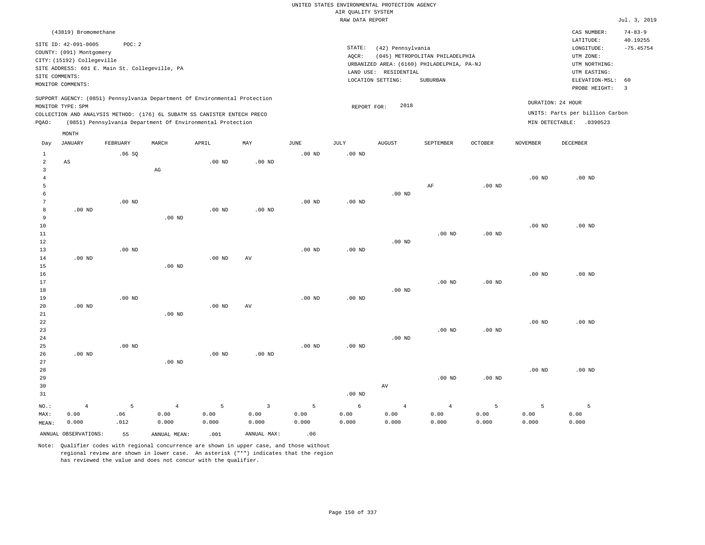|                         |                            |                                                |                        |                                                                            |                   |                   |                    | UNITED STATES ENVIRONMENTAL PROTECTION AGENCY |                                            |                   |                   |                                 |                         |
|-------------------------|----------------------------|------------------------------------------------|------------------------|----------------------------------------------------------------------------|-------------------|-------------------|--------------------|-----------------------------------------------|--------------------------------------------|-------------------|-------------------|---------------------------------|-------------------------|
|                         |                            |                                                |                        |                                                                            |                   |                   | AIR QUALITY SYSTEM |                                               |                                            |                   |                   |                                 |                         |
|                         |                            |                                                |                        |                                                                            |                   |                   | RAW DATA REPORT    |                                               |                                            |                   |                   |                                 | Jul. 3, 2019            |
|                         | (43819) Bromomethane       |                                                |                        |                                                                            |                   |                   |                    |                                               |                                            |                   |                   | CAS NUMBER:                     | $74 - 83 - 9$           |
|                         | SITE ID: 42-091-0005       | POC: 2                                         |                        |                                                                            |                   |                   | STATE:             | (42) Pennsylvania                             |                                            |                   |                   | LATITUDE:<br>LONGITUDE:         | 40.19255<br>$-75.45754$ |
|                         | COUNTY: (091) Montgomery   |                                                |                        |                                                                            |                   |                   | AOCR:              |                                               | (045) METROPOLITAN PHILADELPHIA            |                   |                   | UTM ZONE:                       |                         |
|                         | CITY: (15192) Collegeville |                                                |                        |                                                                            |                   |                   |                    |                                               | URBANIZED AREA: (6160) PHILADELPHIA, PA-NJ |                   |                   | UTM NORTHING:                   |                         |
|                         |                            | SITE ADDRESS: 601 E. Main St. Collegeville, PA |                        |                                                                            |                   |                   |                    | LAND USE: RESIDENTIAL                         |                                            |                   |                   | UTM EASTING:                    |                         |
|                         | SITE COMMENTS:             |                                                |                        |                                                                            |                   |                   |                    | LOCATION SETTING:                             | SUBURBAN                                   |                   |                   | ELEVATION-MSL:                  | 60                      |
|                         | MONITOR COMMENTS:          |                                                |                        |                                                                            |                   |                   |                    |                                               |                                            |                   |                   | PROBE HEIGHT:                   | $\overline{3}$          |
|                         |                            |                                                |                        | SUPPORT AGENCY: (0851) Pennsylvania Department Of Environmental Protection |                   |                   |                    |                                               |                                            |                   |                   | DURATION: 24 HOUR               |                         |
|                         | MONITOR TYPE: SPM          |                                                |                        | COLLECTION AND ANALYSIS METHOD: (176) 6L SUBATM SS CANISTER ENTECH PRECO   |                   |                   | REPORT FOR:        | 2018                                          |                                            |                   |                   | UNITS: Parts per billion Carbon |                         |
| PQAO:                   |                            |                                                |                        | (0851) Pennsylvania Department Of Environmental Protection                 |                   |                   |                    |                                               |                                            |                   |                   | MIN DETECTABLE: .0390523        |                         |
|                         |                            |                                                |                        |                                                                            |                   |                   |                    |                                               |                                            |                   |                   |                                 |                         |
| Day                     | MONTH<br><b>JANUARY</b>    | FEBRUARY                                       | MARCH                  | APRIL                                                                      | MAY               | <b>JUNE</b>       | JULY               | <b>AUGUST</b>                                 | SEPTEMBER                                  | OCTOBER           | <b>NOVEMBER</b>   | <b>DECEMBER</b>                 |                         |
| $\mathbf{1}$            |                            | .06S                                           |                        |                                                                            |                   | $.00$ ND          | $.00$ ND           |                                               |                                            |                   |                   |                                 |                         |
| $\overline{a}$          | AS                         |                                                |                        | .00 <sub>ND</sub>                                                          | $.00$ ND          |                   |                    |                                               |                                            |                   |                   |                                 |                         |
| $\overline{\mathbf{3}}$ |                            |                                                | $\mathbb{A}\mathbb{G}$ |                                                                            |                   |                   |                    |                                               |                                            |                   |                   |                                 |                         |
| $\overline{4}$          |                            |                                                |                        |                                                                            |                   |                   |                    |                                               |                                            |                   | .00 <sub>ND</sub> | $.00$ ND                        |                         |
| 5                       |                            |                                                |                        |                                                                            |                   |                   |                    |                                               | AF                                         | $.00$ ND          |                   |                                 |                         |
| 6                       |                            |                                                |                        |                                                                            |                   |                   |                    | $.00$ ND                                      |                                            |                   |                   |                                 |                         |
| $7\phantom{.0}$         |                            | .00 <sub>ND</sub>                              |                        |                                                                            |                   | $.00$ ND          | $.00$ ND           |                                               |                                            |                   |                   |                                 |                         |
| 8                       | $.00$ ND                   |                                                |                        | $.00$ ND                                                                   | $.00$ ND          |                   |                    |                                               |                                            |                   |                   |                                 |                         |
| 9                       |                            |                                                | .00 <sub>ND</sub>      |                                                                            |                   |                   |                    |                                               |                                            |                   |                   |                                 |                         |
| 10<br>11                |                            |                                                |                        |                                                                            |                   |                   |                    |                                               | $.00$ ND                                   | $.00$ ND          | .00 <sub>ND</sub> | $.00$ ND                        |                         |
| 12                      |                            |                                                |                        |                                                                            |                   |                   |                    | $.00$ ND                                      |                                            |                   |                   |                                 |                         |
| 13                      |                            | .00 <sub>ND</sub>                              |                        |                                                                            |                   | .00 <sub>ND</sub> | $.00$ ND           |                                               |                                            |                   |                   |                                 |                         |
| 14                      | .00 <sub>ND</sub>          |                                                |                        | .00 <sub>ND</sub>                                                          | AV                |                   |                    |                                               |                                            |                   |                   |                                 |                         |
| 15                      |                            |                                                | $.00$ ND               |                                                                            |                   |                   |                    |                                               |                                            |                   |                   |                                 |                         |
| 16                      |                            |                                                |                        |                                                                            |                   |                   |                    |                                               |                                            |                   | .00 <sub>ND</sub> | $.00$ ND                        |                         |
| 17                      |                            |                                                |                        |                                                                            |                   |                   |                    |                                               | .00 <sub>ND</sub>                          | $.00$ ND          |                   |                                 |                         |
| 18                      |                            |                                                |                        |                                                                            |                   |                   |                    | $.00$ ND                                      |                                            |                   |                   |                                 |                         |
| 19                      | .00 $ND$                   | $.00$ ND                                       |                        | $.00$ ND                                                                   |                   | $.00$ ND          | $.00$ ND           |                                               |                                            |                   |                   |                                 |                         |
| 20<br>21                |                            |                                                | $.00$ ND               |                                                                            | AV                |                   |                    |                                               |                                            |                   |                   |                                 |                         |
| 22                      |                            |                                                |                        |                                                                            |                   |                   |                    |                                               |                                            |                   | .00 <sub>ND</sub> | $.00$ ND                        |                         |
| 23                      |                            |                                                |                        |                                                                            |                   |                   |                    |                                               | $.00$ ND                                   | .00 <sub>ND</sub> |                   |                                 |                         |
| 24                      |                            |                                                |                        |                                                                            |                   |                   |                    | $.00$ ND                                      |                                            |                   |                   |                                 |                         |
| 25                      |                            | $.00$ ND                                       |                        |                                                                            |                   | $.00$ ND          | $.00$ ND           |                                               |                                            |                   |                   |                                 |                         |
| 26                      | .00 <sub>ND</sub>          |                                                |                        | $.00$ ND                                                                   | .00 <sub>ND</sub> |                   |                    |                                               |                                            |                   |                   |                                 |                         |
| 27                      |                            |                                                | $.00$ ND               |                                                                            |                   |                   |                    |                                               |                                            |                   |                   |                                 |                         |
| 28                      |                            |                                                |                        |                                                                            |                   |                   |                    |                                               |                                            |                   | .00 <sub>ND</sub> | $.00$ ND                        |                         |
| 29                      |                            |                                                |                        |                                                                            |                   |                   |                    |                                               | $.00$ ND                                   | .00 <sub>ND</sub> |                   |                                 |                         |
| 30                      |                            |                                                |                        |                                                                            |                   |                   |                    | AV                                            |                                            |                   |                   |                                 |                         |
| 31                      |                            |                                                |                        |                                                                            |                   |                   | .00 <sub>ND</sub>  |                                               |                                            |                   |                   |                                 |                         |
| NO.:                    | $\overline{4}$             | 5                                              | $\overline{4}$         | 5                                                                          | $\overline{3}$    | 5                 | $\epsilon$         | $\bf{4}$                                      | $\overline{4}$                             | 5                 | 5                 | 5                               |                         |
| MAX:                    | 0.00                       | .06                                            | 0.00                   | 0.00                                                                       | 0.00              | 0.00              | 0.00               | 0.00                                          | 0.00                                       | 0.00              | 0.00              | 0.00                            |                         |
| MEAN:                   | 0.000                      | .012                                           | 0.000                  | 0.000                                                                      | 0.000             | 0.000             | 0.000              | 0.000                                         | 0.000                                      | 0.000             | 0.000             | 0.000                           |                         |
|                         | ANNUAL OBSERVATIONS:       | 55                                             | ANNUAL MEAN:           | .001                                                                       | ANNUAL MAX:       | .06               |                    |                                               |                                            |                   |                   |                                 |                         |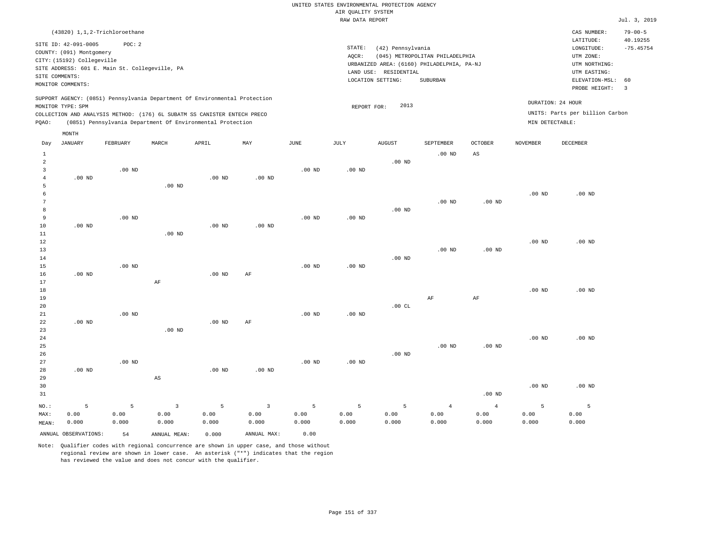# UNITED STATES ENVIRONMENTAL PROTECTION AGENCY AIR QUALITY SYSTEM

|                                                            |                                                                                                                       |                                                                                                                                                                                                                      |                   |                   |          |                   | RAW DATA REPORT |                                                                 |                                                                                           |                   |                   |                                                                                                          | Jul. 3, 2019                                             |
|------------------------------------------------------------|-----------------------------------------------------------------------------------------------------------------------|----------------------------------------------------------------------------------------------------------------------------------------------------------------------------------------------------------------------|-------------------|-------------------|----------|-------------------|-----------------|-----------------------------------------------------------------|-------------------------------------------------------------------------------------------|-------------------|-------------------|----------------------------------------------------------------------------------------------------------|----------------------------------------------------------|
|                                                            |                                                                                                                       | (43820) 1, 1, 2-Trichloroethane                                                                                                                                                                                      |                   |                   |          |                   |                 |                                                                 |                                                                                           |                   |                   | CAS NUMBER:                                                                                              | $79 - 00 - 5$                                            |
|                                                            | SITE ID: 42-091-0005<br>COUNTY: (091) Montgomery<br>CITY: (15192) Collegeville<br>SITE COMMENTS:<br>MONITOR COMMENTS: | POC: 2<br>SITE ADDRESS: 601 E. Main St. Collegeville, PA                                                                                                                                                             |                   |                   |          |                   | STATE:<br>AQCR: | (42) Pennsylvania<br>LAND USE: RESIDENTIAL<br>LOCATION SETTING: | (045) METROPOLITAN PHILADELPHIA<br>URBANIZED AREA: (6160) PHILADELPHIA, PA-NJ<br>SUBURBAN |                   |                   | LATITUDE:<br>LONGITUDE:<br>UTM ZONE:<br>UTM NORTHING:<br>UTM EASTING:<br>ELEVATION-MSL:<br>PROBE HEIGHT: | 40.19255<br>$-75.45754$<br>60<br>$\overline{\mathbf{3}}$ |
| PQAO:                                                      | MONITOR TYPE: SPM                                                                                                     | SUPPORT AGENCY: (0851) Pennsylvania Department Of Environmental Protection<br>COLLECTION AND ANALYSIS METHOD: (176) 6L SUBATM SS CANISTER ENTECH PRECO<br>(0851) Pennsylvania Department Of Environmental Protection |                   |                   |          |                   | REPORT FOR:     | 2013                                                            |                                                                                           |                   | MIN DETECTABLE:   | DURATION: 24 HOUR<br>UNITS: Parts per billion Carbon                                                     |                                                          |
| Day                                                        | MONTH<br><b>JANUARY</b>                                                                                               | FEBRUARY                                                                                                                                                                                                             | MARCH             | APRIL             | MAY      | JUNE              | JULY            | <b>AUGUST</b>                                                   | SEPTEMBER                                                                                 | <b>OCTOBER</b>    | <b>NOVEMBER</b>   | DECEMBER                                                                                                 |                                                          |
| $\mathbf{1}$<br>$\overline{a}$<br>3<br>$\overline{4}$<br>5 | $.00$ ND                                                                                                              | $.00$ ND                                                                                                                                                                                                             | $.00$ ND          | $.00$ ND          | $.00$ ND | $.00$ ND          | $.00$ ND        | .00 <sub>ND</sub>                                               | .00 <sub>ND</sub>                                                                         | $_{\rm AS}$       |                   |                                                                                                          |                                                          |
| 6<br>7<br>8<br>9<br>10                                     | $.00$ ND                                                                                                              | $.00$ ND                                                                                                                                                                                                             |                   | $.00$ ND          | $.00$ ND | $.00$ ND          | $.00$ ND        | $.00$ ND                                                        | $.00$ ND                                                                                  | .00 <sub>ND</sub> | .00 <sub>ND</sub> | $.00$ ND                                                                                                 |                                                          |
| 11<br>12<br>13<br>14<br>15                                 |                                                                                                                       | $.00$ ND                                                                                                                                                                                                             | .00 <sub>ND</sub> |                   |          | .00 <sub>ND</sub> | $.00$ ND        | $.00$ ND                                                        | $.00$ ND                                                                                  | .00 <sub>ND</sub> | $.00$ ND          | $.00$ ND                                                                                                 |                                                          |
| 16<br>17<br>18<br>19<br>20                                 | $.00$ ND                                                                                                              |                                                                                                                                                                                                                      | AF                | $.00$ ND          | AF       |                   |                 | .00CL                                                           | AF                                                                                        | AF                | .00 <sub>ND</sub> | $.00$ ND                                                                                                 |                                                          |
| 21<br>22<br>23<br>24                                       | $.00$ ND                                                                                                              | $.00$ ND                                                                                                                                                                                                             | $.00$ ND          | .00 <sub>ND</sub> | AF       | $.00$ ND          | $.00$ ND        |                                                                 |                                                                                           |                   | $.00$ ND          | $.00$ ND                                                                                                 |                                                          |
| 25<br>26<br>27<br>28                                       | $.00$ ND                                                                                                              | $.00$ ND                                                                                                                                                                                                             |                   | .00 <sub>ND</sub> | $.00$ ND | $.00$ ND          | $.00$ ND        | $.00$ ND                                                        | $.00$ ND                                                                                  | $.00$ ND          |                   |                                                                                                          |                                                          |

| 29<br>30 |       |       | AS    |       |          |       |       |       |       |          | $.00$ ND | .00 <sub>ND</sub> |
|----------|-------|-------|-------|-------|----------|-------|-------|-------|-------|----------|----------|-------------------|
| 31       |       |       |       |       |          |       |       |       |       | $.00$ ND |          |                   |
| NO.:     |       |       | 3     | - 5   | $\sim$ 3 | 5     | 5     | 5     | 4     | -4       |          |                   |
| MAX:     | 0.00  | 0.00  | 0.00  | 0.00  | 0.00     | 0.00  | 0.00  | 0.00  | 0.00  | 0.00     | 0.00     | 0.00              |
| MEAN:    | 0.000 | 0.000 | 0.000 | 0.000 | 0.000    | 0.000 | 0.000 | 0.000 | 0.000 | 0.000    | 0.000    | 0.000             |

ANNUAL OBSERVATIONS: 54 ANNUAL MEAN: 0.000 ANNUAL MAX: 0.00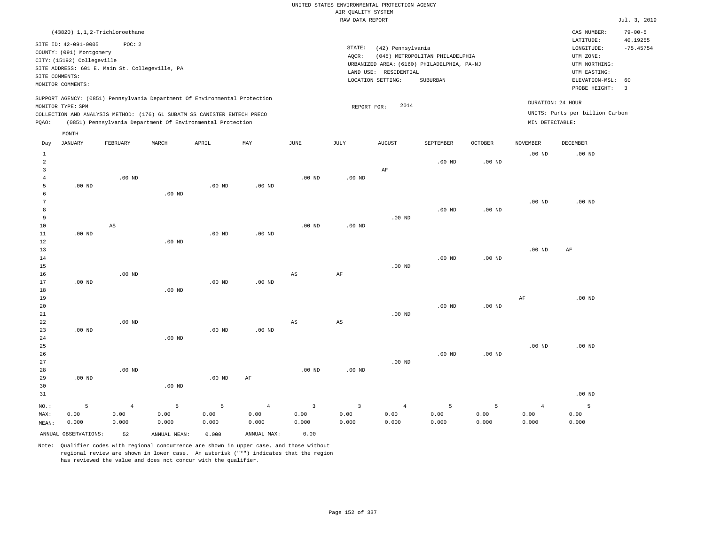| $(43820)$ 1,1,2-Trichloroethane                                                                                                                                                                                                                             |                                                                                                                                                                                 | CAS NUMBER:                                                                                                 | $79 - 00 - 5$           |
|-------------------------------------------------------------------------------------------------------------------------------------------------------------------------------------------------------------------------------------------------------------|---------------------------------------------------------------------------------------------------------------------------------------------------------------------------------|-------------------------------------------------------------------------------------------------------------|-------------------------|
| SITE ID: 42-091-0005<br>POC: 2<br>COUNTY: (091) Montgomery<br>CITY: (15192) Collegeville<br>SITE ADDRESS: 601 E. Main St. Collegeville, PA<br>SITE COMMENTS:<br>MONITOR COMMENTS:                                                                           | STATE:<br>(42) Pennsylvania<br>AOCR:<br>(045) METROPOLITAN PHILADELPHIA<br>URBANIZED AREA: (6160) PHILADELPHIA, PA-NJ<br>LAND USE: RESIDENTIAL<br>LOCATION SETTING:<br>SUBURBAN | LATITUDE:<br>LONGITUDE:<br>UTM ZONE:<br>UTM NORTHING:<br>UTM EASTING:<br>ELEVATION-MSL: 60<br>PROBE HEIGHT: | 40.19255<br>$-75.45754$ |
| SUPPORT AGENCY: (0851) Pennsylvania Department Of Environmental Protection<br>MONITOR TYPE: SPM<br>COLLECTION AND ANALYSIS METHOD: (176) 6L SUBATM SS CANISTER ENTECH PRECO<br>(0851) Pennsylvania Department Of Environmental Protection<br>POAO:<br>MONTH | 2014<br>REPORT FOR:                                                                                                                                                             | DURATION: 24 HOUR<br>UNITS: Parts per billion Carbon<br>MIN DETECTABLE:                                     |                         |

| Day            | JANUARY              | ${\tt FEBRUARY}$       | $\tt MARCH$  | APRIL    | MAY            | $_{\rm JUNE}$          | $\mathtt{JULY}$        | <b>AUGUST</b>  | SEPTEMBER      | $OCTOBER$         | NOVEMBER          | DECEMBER |
|----------------|----------------------|------------------------|--------------|----------|----------------|------------------------|------------------------|----------------|----------------|-------------------|-------------------|----------|
| $\mathbf{1}$   |                      |                        |              |          |                |                        |                        |                |                |                   | .00 <sub>ND</sub> | $.00$ ND |
| $\overline{a}$ |                      |                        |              |          |                |                        |                        |                | $.00$ ND       | $.00$ ND          |                   |          |
| 3              |                      |                        |              |          |                |                        |                        | $\rm AF$       |                |                   |                   |          |
| $\overline{4}$ |                      | $.00$ ND               |              |          |                | $.00$ ND               | .00 <sub>ND</sub>      |                |                |                   |                   |          |
| 5              | $.00$ ND             |                        |              | $.00$ ND | $.00$ ND       |                        |                        |                |                |                   |                   |          |
| 6              |                      |                        | $.00$ ND     |          |                |                        |                        |                |                |                   |                   |          |
| 7              |                      |                        |              |          |                |                        |                        |                |                |                   | $.00$ ND          | $.00$ ND |
| 8              |                      |                        |              |          |                |                        |                        |                | $.00$ ND       | .00 <sub>ND</sub> |                   |          |
| 9              |                      |                        |              |          |                |                        |                        | $.00$ ND       |                |                   |                   |          |
| 10             |                      | $\mathbb{A}\mathbb{S}$ |              |          |                | $.00$ ND               | $.00$ ND               |                |                |                   |                   |          |
| 11             | $.00$ ND             |                        |              | $.00$ ND | $.00$ ND       |                        |                        |                |                |                   |                   |          |
| 12             |                      |                        | $.00$ ND     |          |                |                        |                        |                |                |                   |                   |          |
| 13             |                      |                        |              |          |                |                        |                        |                | $.00$ ND       |                   | $.00~\mathrm{ND}$ | $\rm AF$ |
| 14<br>15       |                      |                        |              |          |                |                        |                        | $.00$ ND       |                | $.00$ ND          |                   |          |
| 16             |                      | $.00$ ND               |              |          |                | AS                     | $\rm{AF}$              |                |                |                   |                   |          |
| 17             | $.00$ ND             |                        |              | $.00$ ND | $.00$ ND       |                        |                        |                |                |                   |                   |          |
| 18             |                      |                        | $.00$ ND     |          |                |                        |                        |                |                |                   |                   |          |
| 19             |                      |                        |              |          |                |                        |                        |                |                |                   | $\rm{AF}$         | $.00$ ND |
| 20             |                      |                        |              |          |                |                        |                        |                | $.00$ ND       | $.00$ ND          |                   |          |
| 21             |                      |                        |              |          |                |                        |                        | $.00$ ND       |                |                   |                   |          |
| $2\sqrt{2}$    |                      | $.00$ ND               |              |          |                | $\mathbb{A}\mathbb{S}$ | $\mathbb{A}\mathbb{S}$ |                |                |                   |                   |          |
| 23             | $.00$ ND             |                        |              | $.00$ ND | $.00$ ND       |                        |                        |                |                |                   |                   |          |
| 24             |                      |                        | $.00$ ND     |          |                |                        |                        |                |                |                   |                   |          |
| 25             |                      |                        |              |          |                |                        |                        |                |                |                   | $.00$ ND          | $.00$ ND |
| 26             |                      |                        |              |          |                |                        |                        |                | $.00$ ND       | $.00$ ND          |                   |          |
| $2\,7$         |                      |                        |              |          |                |                        |                        | $.00$ ND       |                |                   |                   |          |
| 28             |                      | $.00$ ND               |              |          |                | .00 <sub>ND</sub>      | .00 <sub>ND</sub>      |                |                |                   |                   |          |
| 29             | $.00$ ND             |                        |              | $.00$ ND | $\rm AF$       |                        |                        |                |                |                   |                   |          |
| 30             |                      |                        | $.00$ ND     |          |                |                        |                        |                |                |                   |                   |          |
| 31             |                      |                        |              |          |                |                        |                        |                |                |                   |                   | $.00$ ND |
| $_{\rm NO.}$ : | 5                    | $\overline{4}$         | 5            | 5        | $\overline{4}$ | $\mathsf 3$            | 3                      | $\overline{4}$ | $\overline{5}$ | 5                 | $\overline{4}$    | 5        |
| MAX:           | 0.00                 | 0.00                   | 0.00         | 0.00     | 0.00           | 0.00                   | 0.00                   | 0.00           | 0.00           | 0.00              | 0.00              | 0.00     |
| MEAN:          | 0.000                | 0.000                  | 0.000        | 0.000    | 0.000          | 0.000                  | 0.000                  | 0.000          | 0.000          | 0.000             | 0.000             | 0.000    |
|                | ANNUAL OBSERVATIONS: | 52                     | ANNUAL MEAN: | 0.000    | ANNUAL MAX:    | 0.00                   |                        |                |                |                   |                   |          |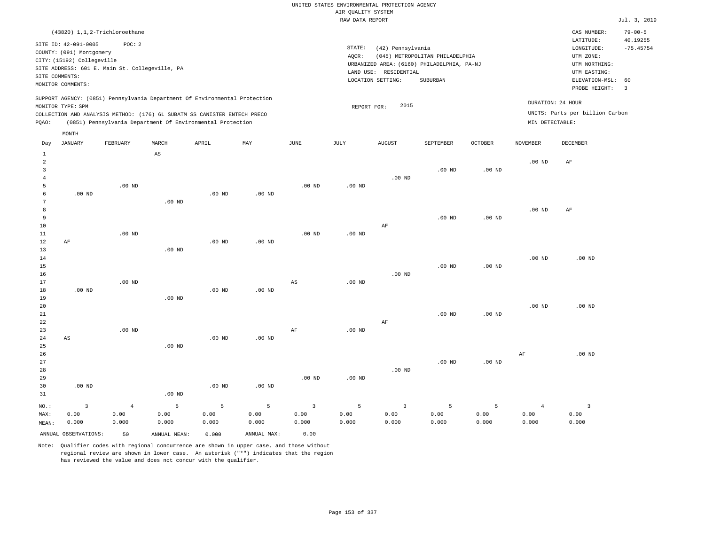| (43820) 1,1,2-Trichloroethane                                                                                                                                                                                                                               |                                                                                                                                                                                 | CAS NUMBER:                                                                                                 | $79 - 00 - 5$                |
|-------------------------------------------------------------------------------------------------------------------------------------------------------------------------------------------------------------------------------------------------------------|---------------------------------------------------------------------------------------------------------------------------------------------------------------------------------|-------------------------------------------------------------------------------------------------------------|------------------------------|
| SITE ID: 42-091-0005<br>POC: 2<br>COUNTY: (091) Montgomery<br>CITY: (15192) Collegeville<br>SITE ADDRESS: 601 E. Main St. Collegeville, PA<br>SITE COMMENTS:<br>MONITOR COMMENTS:                                                                           | STATE:<br>(42) Pennsylvania<br>(045) METROPOLITAN PHILADELPHIA<br>AOCR:<br>URBANIZED AREA: (6160) PHILADELPHIA, PA-NJ<br>LAND USE: RESIDENTIAL<br>LOCATION SETTING:<br>SUBURBAN | LATITUDE:<br>LONGITUDE:<br>UTM ZONE:<br>UTM NORTHING:<br>UTM EASTING:<br>ELEVATION-MSL: 60<br>PROBE HEIGHT: | 40.19255<br>$-75.45754$<br>3 |
| SUPPORT AGENCY: (0851) Pennsylvania Department Of Environmental Protection<br>MONITOR TYPE: SPM<br>COLLECTION AND ANALYSIS METHOD: (176) 6L SUBATM SS CANISTER ENTECH PRECO<br>(0851) Pennsylvania Department Of Environmental Protection<br>POAO:<br>MONTH | 2015<br>REPORT FOR:                                                                                                                                                             | DURATION: 24 HOUR<br>UNITS: Parts per billion Carbon<br>MIN DETECTABLE:                                     |                              |

| Day            | JANUARY                 | FEBRUARY       | MARCH                  | APRIL             | MAY         | JUNE           | JULY     | AUGUST         | SEPTEMBER | OCTOBER           | NOVEMBER          | DECEMBER                |
|----------------|-------------------------|----------------|------------------------|-------------------|-------------|----------------|----------|----------------|-----------|-------------------|-------------------|-------------------------|
| $\mathbf{1}$   |                         |                | $\mathbb{A}\mathbb{S}$ |                   |             |                |          |                |           |                   |                   |                         |
| $\overline{a}$ |                         |                |                        |                   |             |                |          |                |           |                   | .00 <sub>ND</sub> | $\rm AF$                |
| 3              |                         |                |                        |                   |             |                |          |                | $.00$ ND  | $.00$ ND          |                   |                         |
| $\overline{4}$ |                         |                |                        |                   |             |                |          | $.00$ ND       |           |                   |                   |                         |
| 5              |                         | $.00$ ND       |                        |                   |             | .00 $ND$       | $.00$ ND |                |           |                   |                   |                         |
| 6              | $.00$ ND                |                |                        | $.00$ ND          | $.00$ ND    |                |          |                |           |                   |                   |                         |
| 7              |                         |                | $.00$ ND               |                   |             |                |          |                |           |                   |                   |                         |
| 8              |                         |                |                        |                   |             |                |          |                |           |                   | .00 <sub>ND</sub> | $\rm AF$                |
| 9              |                         |                |                        |                   |             |                |          |                | $.00$ ND  | $.00$ ND          |                   |                         |
| 10             |                         |                |                        |                   |             |                |          | $\rm{AF}$      |           |                   |                   |                         |
| 11             |                         | $.00$ ND       |                        |                   |             | $.00$ ND       | $.00$ ND |                |           |                   |                   |                         |
| 12             | AF                      |                |                        | .00 <sub>ND</sub> | $.00$ ND    |                |          |                |           |                   |                   |                         |
| 13             |                         |                | $.00$ ND               |                   |             |                |          |                |           |                   |                   |                         |
| 14             |                         |                |                        |                   |             |                |          |                |           |                   | $.00$ ND          | $.00$ ND                |
| 15             |                         |                |                        |                   |             |                |          |                | $.00$ ND  | $.00$ ND          |                   |                         |
| 16             |                         |                |                        |                   |             |                |          | $.00$ ND       |           |                   |                   |                         |
| 17             |                         | $.00$ ND       |                        |                   |             | AS             | $.00$ ND |                |           |                   |                   |                         |
| 18             | $.00$ ND                |                |                        | $.00$ ND          | $.00$ ND    |                |          |                |           |                   |                   |                         |
| 19             |                         |                | $.00$ ND               |                   |             |                |          |                |           |                   |                   |                         |
| $20\,$         |                         |                |                        |                   |             |                |          |                |           |                   | .00 <sub>ND</sub> | $.00$ ND                |
| 21             |                         |                |                        |                   |             |                |          |                | $.00$ ND  | $.00$ ND          |                   |                         |
| 22             |                         |                |                        |                   |             |                |          | $\rm{AF}$      |           |                   |                   |                         |
| 23             |                         | $.00$ ND       |                        |                   |             | AF             | $.00$ ND |                |           |                   |                   |                         |
| 24             | AS                      |                |                        | .00 <sub>ND</sub> | $.00$ ND    |                |          |                |           |                   |                   |                         |
| 25             |                         |                | $.00$ ND               |                   |             |                |          |                |           |                   |                   |                         |
| 26             |                         |                |                        |                   |             |                |          |                |           |                   | $\rm{AF}$         | .00 $ND$                |
| 27             |                         |                |                        |                   |             |                |          |                | $.00$ ND  | .00 <sub>ND</sub> |                   |                         |
| 28             |                         |                |                        |                   |             |                |          | $.00$ ND       |           |                   |                   |                         |
| 29             |                         |                |                        |                   |             | $.00$ ND       | $.00$ ND |                |           |                   |                   |                         |
| 30             | .00 <sub>ND</sub>       |                |                        | $.00$ ND          | $.00$ ND    |                |          |                |           |                   |                   |                         |
| 31             |                         |                | $.00$ ND               |                   |             |                |          |                |           |                   |                   |                         |
| $_{\rm NO.}$ : | $\overline{\mathbf{3}}$ | $\overline{4}$ | $\mathsf S$            | $\mathsf S$       | 5           | $\overline{3}$ | 5        | $\overline{3}$ | 5         | 5                 | $\overline{4}$    | $\overline{\mathbf{3}}$ |
| MAX:           | 0.00                    | 0.00           | 0.00                   | 0.00              | 0.00        | 0.00           | 0.00     | 0.00           | 0.00      | 0.00              | 0.00              | 0.00                    |
| MEAN:          | 0.000                   | 0.000          | 0.000                  | 0.000             | 0.000       | 0.000          | 0.000    | 0.000          | 0.000     | 0.000             | 0.000             | 0.000                   |
|                | ANNUAL OBSERVATIONS:    | 50             | ANNUAL MEAN:           | 0.000             | ANNUAL MAX: | 0.00           |          |                |           |                   |                   |                         |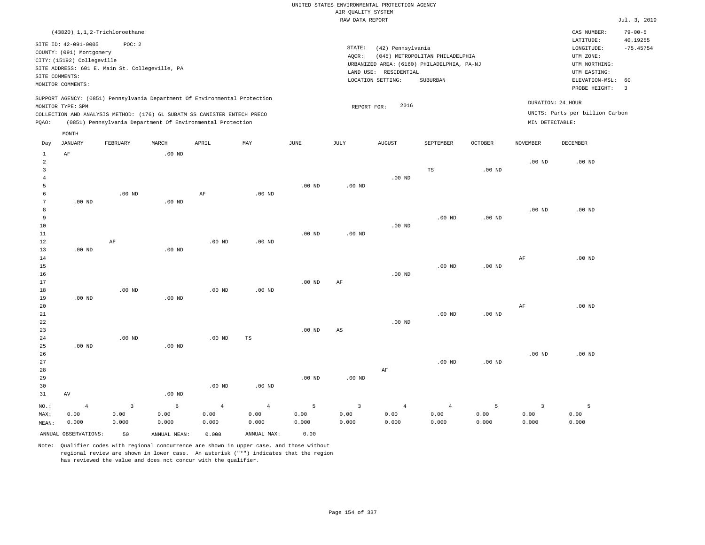|                                     | (43820) 1,1,2-Trichloroethane                                                                                                    |          |       |                                                                                                                                                                                                                      |     |      |                              |                                                                                                     |                                             |                |                                      | CAS NUMBER:                                                                                                 | $79 - 00 - 5$                |
|-------------------------------------|----------------------------------------------------------------------------------------------------------------------------------|----------|-------|----------------------------------------------------------------------------------------------------------------------------------------------------------------------------------------------------------------------|-----|------|------------------------------|-----------------------------------------------------------------------------------------------------|---------------------------------------------|----------------|--------------------------------------|-------------------------------------------------------------------------------------------------------------|------------------------------|
| SITE COMMENTS:<br>MONITOR COMMENTS: | SITE ID: 42-091-0005<br>COUNTY: (091) Montgomery<br>CITY: (15192) Collegeville<br>SITE ADDRESS: 601 E. Main St. Collegeville, PA | POC: 2   |       |                                                                                                                                                                                                                      |     |      | STATE:<br>AOCR:<br>LAND USE: | (42) Pennsylvania<br>URBANIZED AREA: (6160) PHILADELPHIA, PA-NJ<br>RESIDENTIAL<br>LOCATION SETTING: | (045) METROPOLITAN PHILADELPHIA<br>SUBURBAN |                |                                      | LATITUDE:<br>LONGITUDE:<br>UTM ZONE:<br>UTM NORTHING:<br>UTM EASTING:<br>ELEVATION-MSL: 60<br>PROBE HEIGHT: | 40.19255<br>$-75.45754$<br>3 |
| MONITOR TYPE: SPM<br>POAO:          |                                                                                                                                  |          |       | SUPPORT AGENCY: (0851) Pennsylvania Department Of Environmental Protection<br>COLLECTION AND ANALYSIS METHOD: (176) 6L SUBATM SS CANISTER ENTECH PRECO<br>(0851) Pennsylvania Department Of Environmental Protection |     |      | REPORT FOR:                  | 2016                                                                                                |                                             |                | DURATION: 24 HOUR<br>MIN DETECTABLE: | UNITS: Parts per billion Carbon                                                                             |                              |
| Day                                 | MONTH<br>JANUARY                                                                                                                 | FEBRUARY | MARCH | APRIL                                                                                                                                                                                                                | MAY | JUNE | JULY                         | AUGUST                                                                                              | SEPTEMBER                                   | <b>OCTOBER</b> | <b>NOVEMBER</b>                      | DECEMBER                                                                                                    |                              |

| 1              | $\rm{AF}$            |                         | $.00$ ND     |                |                |                 |                |                |                |          |                         |                   |
|----------------|----------------------|-------------------------|--------------|----------------|----------------|-----------------|----------------|----------------|----------------|----------|-------------------------|-------------------|
| $\overline{c}$ |                      |                         |              |                |                |                 |                |                |                |          | $.00$ ND                | $.00$ ND          |
| 3              |                      |                         |              |                |                |                 |                |                | TS             | $.00$ ND |                         |                   |
| $\overline{4}$ |                      |                         |              |                |                |                 |                | .00 $ND$       |                |          |                         |                   |
| 5              |                      |                         |              |                |                | $.00$ ND        | .00 $ND$       |                |                |          |                         |                   |
| 6              |                      | $.00$ ND                |              | $\rm{AF}$      | $.00$ ND       |                 |                |                |                |          |                         |                   |
| 7              | $.00$ ND             |                         | .00 $ND$     |                |                |                 |                |                |                |          |                         |                   |
| 8              |                      |                         |              |                |                |                 |                |                |                |          | $.00$ ND                | $.00$ ND          |
| 9              |                      |                         |              |                |                |                 |                |                | $.00$ ND       | $.00$ ND |                         |                   |
| $10$           |                      |                         |              |                |                |                 |                | $.00$ ND       |                |          |                         |                   |
| $11\,$         |                      |                         |              |                |                | $.00$ ND        | .00 $ND$       |                |                |          |                         |                   |
| 12             |                      | $\rm{AF}$               |              | $.00$ ND       | $.00$ ND       |                 |                |                |                |          |                         |                   |
| 13             | $.00$ ND             |                         | $.00$ ND     |                |                |                 |                |                |                |          |                         |                   |
| 14             |                      |                         |              |                |                |                 |                |                |                |          | AF                      | .00 <sub>ND</sub> |
| 15             |                      |                         |              |                |                |                 |                |                | $.00$ ND       | $.00$ ND |                         |                   |
| $16$           |                      |                         |              |                |                |                 |                | $.00$ ND       |                |          |                         |                   |
| 17             |                      |                         |              |                |                | $.00$ ND        | $\rm{AF}$      |                |                |          |                         |                   |
| 18             |                      | $.00$ ND                |              | $.00$ ND       | $.00$ ND       |                 |                |                |                |          |                         |                   |
| 19             | $.00$ ND             |                         | $.00$ ND     |                |                |                 |                |                |                |          |                         |                   |
| 20             |                      |                         |              |                |                |                 |                |                |                |          | $\rm AF$                | $.00$ ND          |
| $21\,$         |                      |                         |              |                |                |                 |                |                | $.00$ ND       | $.00$ ND |                         |                   |
| 22             |                      |                         |              |                |                |                 |                | $.00$ ND       |                |          |                         |                   |
| 23             |                      |                         |              |                |                | $.00$ ND        | $_{\rm AS}$    |                |                |          |                         |                   |
| 24             |                      | $.00$ ND                |              | $.00$ ND       | $_{\rm TS}$    |                 |                |                |                |          |                         |                   |
| 25             | $.00$ ND             |                         | $.00$ ND     |                |                |                 |                |                |                |          |                         |                   |
| 26             |                      |                         |              |                |                |                 |                |                |                |          | $.00$ ND                | $.00$ ND          |
| 27             |                      |                         |              |                |                |                 |                |                | $.00$ ND       | $.00$ ND |                         |                   |
| 28             |                      |                         |              |                |                |                 |                | $\rm{AF}$      |                |          |                         |                   |
| 29             |                      |                         |              |                |                | $.00$ ND        | $.00$ ND       |                |                |          |                         |                   |
| 30             |                      |                         |              | .00 $ND$       | .00 $ND$       |                 |                |                |                |          |                         |                   |
| 31             | $\operatorname{AV}$  |                         | $.00$ ND     |                |                |                 |                |                |                |          |                         |                   |
| $_{\rm NO.}$ : | $\overline{4}$       | $\overline{\mathbf{3}}$ | $\epsilon$   | $\overline{4}$ | $\overline{4}$ | $5\phantom{.0}$ | $\overline{3}$ | $\overline{4}$ | $\overline{4}$ | 5        | $\overline{\mathbf{3}}$ | 5                 |
| MAX:           | 0.00                 | 0.00                    | 0.00         | 0.00           | 0.00           | 0.00            | 0.00           | 0.00           | 0.00           | 0.00     | 0.00                    | 0.00              |
| MEAN:          | 0.000                | 0.000                   | 0.000        | 0.000          | 0.000          | 0.000           | 0.000          | 0.000          | 0.000          | 0.000    | 0.000                   | 0.000             |
|                | ANNUAL OBSERVATIONS: | 50                      | ANNUAL MEAN: | 0.000          | ANNUAL MAX:    | 0.00            |                |                |                |          |                         |                   |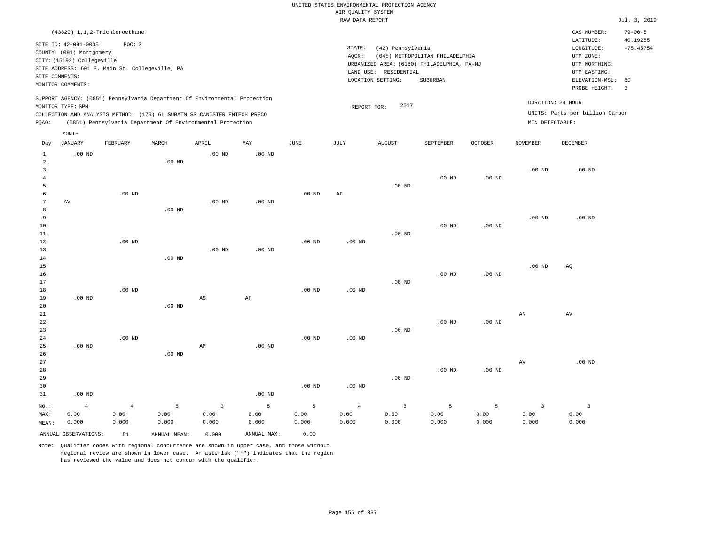|                                  |                            |                                                |               |                                                                            |                   |                   |                    | UNITED STATES ENVIRONMENTAL PROTECTION AGENCY |                                            |                |                        |                                 |                         |
|----------------------------------|----------------------------|------------------------------------------------|---------------|----------------------------------------------------------------------------|-------------------|-------------------|--------------------|-----------------------------------------------|--------------------------------------------|----------------|------------------------|---------------------------------|-------------------------|
|                                  |                            |                                                |               |                                                                            |                   |                   | AIR QUALITY SYSTEM |                                               |                                            |                |                        |                                 |                         |
|                                  |                            |                                                |               |                                                                            |                   |                   | RAW DATA REPORT    |                                               |                                            |                |                        |                                 | Jul. 3, 2019            |
|                                  |                            | (43820) 1,1,2-Trichloroethane                  |               |                                                                            |                   |                   |                    |                                               |                                            |                |                        | CAS NUMBER:                     | $79 - 00 - 5$           |
|                                  | SITE ID: 42-091-0005       | POC: 2                                         |               |                                                                            |                   |                   | STATE:             | (42) Pennsylvania                             |                                            |                |                        | LATITUDE:<br>LONGITUDE:         | 40.19255<br>$-75.45754$ |
|                                  | COUNTY: (091) Montgomery   |                                                |               |                                                                            |                   |                   | AQCR:              |                                               | (045) METROPOLITAN PHILADELPHIA            |                |                        | UTM ZONE:                       |                         |
|                                  | CITY: (15192) Collegeville |                                                |               |                                                                            |                   |                   |                    |                                               | URBANIZED AREA: (6160) PHILADELPHIA, PA-NJ |                |                        | UTM NORTHING:                   |                         |
|                                  |                            | SITE ADDRESS: 601 E. Main St. Collegeville, PA |               |                                                                            |                   |                   |                    | LAND USE: RESIDENTIAL                         |                                            |                |                        | UTM EASTING:                    |                         |
|                                  | SITE COMMENTS:             |                                                |               |                                                                            |                   |                   |                    | LOCATION SETTING:                             | SUBURBAN                                   |                |                        | ELEVATION-MSL:                  | 60                      |
|                                  | MONITOR COMMENTS:          |                                                |               |                                                                            |                   |                   |                    |                                               |                                            |                |                        | PROBE HEIGHT:                   | $\overline{3}$          |
|                                  |                            |                                                |               | SUPPORT AGENCY: (0851) Pennsylvania Department Of Environmental Protection |                   |                   |                    |                                               |                                            |                |                        | DURATION: 24 HOUR               |                         |
|                                  | MONITOR TYPE: SPM          |                                                |               |                                                                            |                   |                   | REPORT FOR:        | 2017                                          |                                            |                |                        |                                 |                         |
|                                  |                            |                                                |               | COLLECTION AND ANALYSIS METHOD: (176) 6L SUBATM SS CANISTER ENTECH PRECO   |                   |                   |                    |                                               |                                            |                |                        | UNITS: Parts per billion Carbon |                         |
| PQAO:                            |                            |                                                |               | (0851) Pennsylvania Department Of Environmental Protection                 |                   |                   |                    |                                               |                                            |                | MIN DETECTABLE:        |                                 |                         |
|                                  | MONTH                      |                                                |               |                                                                            |                   |                   |                    |                                               |                                            |                |                        |                                 |                         |
| Day                              | <b>JANUARY</b>             | FEBRUARY                                       | MARCH         | APRIL                                                                      | $\texttt{MAX}$    | JUNE              | JULY               | <b>AUGUST</b>                                 | SEPTEMBER                                  | <b>OCTOBER</b> | <b>NOVEMBER</b>        | DECEMBER                        |                         |
| $\mathbf{1}$                     | $.00$ ND                   |                                                |               | $.00$ ND                                                                   | $.00$ ND          |                   |                    |                                               |                                            |                |                        |                                 |                         |
| $\overline{a}$                   |                            |                                                | $.00$ ND      |                                                                            |                   |                   |                    |                                               |                                            |                |                        |                                 |                         |
| $\overline{3}$<br>$\overline{4}$ |                            |                                                |               |                                                                            |                   |                   |                    |                                               | $.00$ ND                                   | $.00$ ND       | .00 <sub>ND</sub>      | .00 <sub>ND</sub>               |                         |
| 5                                |                            |                                                |               |                                                                            |                   |                   |                    | $.00$ ND                                      |                                            |                |                        |                                 |                         |
| 6                                |                            | $.00$ ND                                       |               |                                                                            |                   | $.00$ ND          | AF                 |                                               |                                            |                |                        |                                 |                         |
| 7                                | $\,\mathrm{AV}$            |                                                |               | .00 <sub>ND</sub>                                                          | .00 <sub>ND</sub> |                   |                    |                                               |                                            |                |                        |                                 |                         |
| 8                                |                            |                                                | $.00$ ND      |                                                                            |                   |                   |                    |                                               |                                            |                |                        |                                 |                         |
| 9                                |                            |                                                |               |                                                                            |                   |                   |                    |                                               |                                            |                | .00 <sub>ND</sub>      | $.00$ ND                        |                         |
| 10                               |                            |                                                |               |                                                                            |                   |                   |                    |                                               | $.00$ ND                                   | $.00$ ND       |                        |                                 |                         |
| 11                               |                            |                                                |               |                                                                            |                   |                   |                    | $.00$ ND                                      |                                            |                |                        |                                 |                         |
| 12                               |                            | $.00$ ND                                       |               |                                                                            |                   | .00 <sub>ND</sub> | .00 <sub>ND</sub>  |                                               |                                            |                |                        |                                 |                         |
| 13                               |                            |                                                |               | $.00$ ND                                                                   | $.00$ ND          |                   |                    |                                               |                                            |                |                        |                                 |                         |
| 14<br>15                         |                            |                                                | $.00$ ND      |                                                                            |                   |                   |                    |                                               |                                            |                | .00 <sub>ND</sub>      | AQ                              |                         |
| 16                               |                            |                                                |               |                                                                            |                   |                   |                    |                                               | $.00$ ND                                   | $.00$ ND       |                        |                                 |                         |
| 17                               |                            |                                                |               |                                                                            |                   |                   |                    | $.00$ ND                                      |                                            |                |                        |                                 |                         |
| 18                               |                            | $.00$ ND                                       |               |                                                                            |                   | $.00$ ND          | .00 <sub>ND</sub>  |                                               |                                            |                |                        |                                 |                         |
| 19                               | .00 <sub>ND</sub>          |                                                |               | $\mathbb{A}\mathbb{S}$                                                     | $\rm AF$          |                   |                    |                                               |                                            |                |                        |                                 |                         |
| 20                               |                            |                                                | $.00$ ND      |                                                                            |                   |                   |                    |                                               |                                            |                |                        |                                 |                         |
| 21                               |                            |                                                |               |                                                                            |                   |                   |                    |                                               |                                            |                | $\mathbb{A}\mathbb{N}$ | $\operatorname{AV}$             |                         |
| 22                               |                            |                                                |               |                                                                            |                   |                   |                    |                                               | $.00$ ND                                   | $.00$ ND       |                        |                                 |                         |
| 23                               |                            |                                                |               |                                                                            |                   |                   |                    | .00 <sub>ND</sub>                             |                                            |                |                        |                                 |                         |
| 24<br>25                         | $.00$ ND                   | $.00$ ND                                       |               | AM                                                                         | $.00$ ND          | .00 <sub>ND</sub> | .00 <sub>ND</sub>  |                                               |                                            |                |                        |                                 |                         |
| 26                               |                            |                                                | $.00$ ND      |                                                                            |                   |                   |                    |                                               |                                            |                |                        |                                 |                         |
| 27                               |                            |                                                |               |                                                                            |                   |                   |                    |                                               |                                            |                | $\operatorname{AV}$    | $.00$ ND                        |                         |
| 28                               |                            |                                                |               |                                                                            |                   |                   |                    |                                               | $.00$ ND                                   | $.00$ ND       |                        |                                 |                         |
| 29                               |                            |                                                |               |                                                                            |                   |                   |                    | .00 <sub>ND</sub>                             |                                            |                |                        |                                 |                         |
| 30                               |                            |                                                |               |                                                                            |                   | $.00$ ND          | $.00$ ND           |                                               |                                            |                |                        |                                 |                         |
| 31                               | $.00$ ND                   |                                                |               |                                                                            | .00 <sub>ND</sub> |                   |                    |                                               |                                            |                |                        |                                 |                         |
| NO.:                             | $\overline{4}$             | $\overline{4}$                                 | 5             | $\overline{3}$                                                             | $\mathsf S$       | 5                 | $\overline{4}$     | 5                                             | 5                                          | 5              | $\overline{3}$         | $\overline{3}$                  |                         |
| MAX:                             | 0.00                       | 0.00                                           | 0.00          | 0.00                                                                       | 0.00              | 0.00              | 0.00               | 0.00                                          | 0.00                                       | 0.00           | 0.00                   | 0.00                            |                         |
| MEAN:                            | 0.000                      | 0.000                                          | 0.000         | 0.000                                                                      | 0.000             | 0.000             | 0.000              | 0.000                                         | 0.000                                      | 0.000          | 0.000                  | 0.000                           |                         |
|                                  | ANNUAL OBSERVATIONS:       | 51                                             | ANNUAL, MEAN: | 0.000                                                                      | ANNUAL MAX:       | 0.00              |                    |                                               |                                            |                |                        |                                 |                         |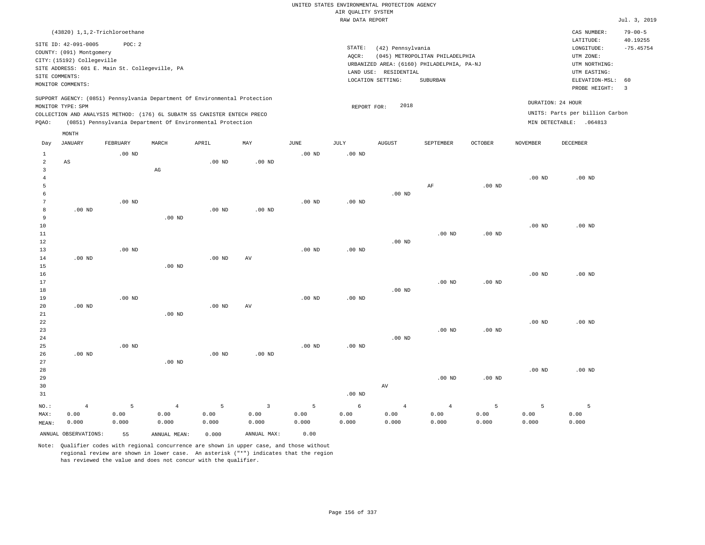|                                                |                                                                                                                                                                                            |                    |                                                                                                                                        |                    |                                 |                    | UNITED STATES ENVIRONMENTAL PROTECTION AGENCY |                                                                 |                                                                                                  |                    |                    |                                                                                                                         |                                                                  |
|------------------------------------------------|--------------------------------------------------------------------------------------------------------------------------------------------------------------------------------------------|--------------------|----------------------------------------------------------------------------------------------------------------------------------------|--------------------|---------------------------------|--------------------|-----------------------------------------------|-----------------------------------------------------------------|--------------------------------------------------------------------------------------------------|--------------------|--------------------|-------------------------------------------------------------------------------------------------------------------------|------------------------------------------------------------------|
|                                                |                                                                                                                                                                                            |                    |                                                                                                                                        |                    |                                 |                    | AIR QUALITY SYSTEM                            |                                                                 |                                                                                                  |                    |                    |                                                                                                                         |                                                                  |
|                                                |                                                                                                                                                                                            |                    |                                                                                                                                        |                    |                                 |                    | RAW DATA REPORT                               |                                                                 |                                                                                                  |                    |                    |                                                                                                                         | Jul. 3, 2019                                                     |
| SITE COMMENTS:                                 | $(43820)$ 1, 1, 2-Trichloroethane<br>SITE ID: 42-091-0005<br>COUNTY: (091) Montgomery<br>CITY: (15192) Collegeville<br>SITE ADDRESS: 601 E. Main St. Collegeville, PA<br>MONITOR COMMENTS: | POC: 2             |                                                                                                                                        |                    |                                 |                    | STATE:<br>AQCR:                               | (42) Pennsylvania<br>LAND USE: RESIDENTIAL<br>LOCATION SETTING: | (045) METROPOLITAN PHILADELPHIA<br>URBANIZED AREA: (6160) PHILADELPHIA, PA-NJ<br><b>SUBURBAN</b> |                    |                    | CAS NUMBER:<br>LATITUDE:<br>LONGITUDE:<br>UTM ZONE:<br>UTM NORTHING:<br>UTM EASTING:<br>ELEVATION-MSL:<br>PROBE HEIGHT: | $79 - 00 - 5$<br>40.19255<br>$-75.45754$<br>60<br>$\overline{3}$ |
|                                                |                                                                                                                                                                                            |                    | SUPPORT AGENCY: (0851) Pennsylvania Department Of Environmental Protection                                                             |                    |                                 |                    |                                               |                                                                 |                                                                                                  |                    |                    | DURATION: 24 HOUR                                                                                                       |                                                                  |
| PQAO:                                          | MONITOR TYPE: SPM                                                                                                                                                                          |                    | COLLECTION AND ANALYSIS METHOD: (176) 6L SUBATM SS CANISTER ENTECH PRECO<br>(0851) Pennsylvania Department Of Environmental Protection |                    |                                 |                    | REPORT FOR:                                   | 2018                                                            |                                                                                                  |                    |                    | UNITS: Parts per billion Carbon<br>MIN DETECTABLE: . 064813                                                             |                                                                  |
|                                                | MONTH                                                                                                                                                                                      |                    |                                                                                                                                        |                    |                                 |                    |                                               |                                                                 |                                                                                                  |                    |                    |                                                                                                                         |                                                                  |
| Day                                            | <b>JANUARY</b>                                                                                                                                                                             | FEBRUARY           | MARCH                                                                                                                                  | APRIL              | $_{\rm MAY}$                    | JUNE               | JULY                                          | <b>AUGUST</b>                                                   | SEPTEMBER                                                                                        | <b>OCTOBER</b>     | NOVEMBER           | DECEMBER                                                                                                                |                                                                  |
| $\mathbf{1}$<br>$\overline{a}$                 | AS                                                                                                                                                                                         | $.00$ ND           |                                                                                                                                        | $.00$ ND           | $.00$ ND                        | $.00$ ND           | $.00$ ND                                      |                                                                 |                                                                                                  |                    |                    |                                                                                                                         |                                                                  |
| $\overline{\mathbf{3}}$<br>$\overline{4}$<br>5 |                                                                                                                                                                                            |                    | $_{\rm AG}$                                                                                                                            |                    |                                 |                    |                                               |                                                                 | AF                                                                                               | $.00$ ND           | .00 <sub>ND</sub>  | $.00$ ND                                                                                                                |                                                                  |
| 6<br>$7\phantom{.0}$<br>8                      | $.00$ ND                                                                                                                                                                                   | $.00$ ND           |                                                                                                                                        | $.00$ ND           | $.00$ ND                        | .00 <sub>ND</sub>  | .00 <sub>ND</sub>                             | $.00$ ND                                                        |                                                                                                  |                    |                    |                                                                                                                         |                                                                  |
| 9<br>$10$<br>$1\,1$                            |                                                                                                                                                                                            |                    | $.00$ ND                                                                                                                               |                    |                                 |                    |                                               |                                                                 | $.00$ ND                                                                                         | .00 <sub>ND</sub>  | .00 <sub>ND</sub>  | $.00$ ND                                                                                                                |                                                                  |
| 12<br>13<br>$1\,4$                             | $.00$ ND                                                                                                                                                                                   | $.00$ ND           |                                                                                                                                        | .00 <sub>ND</sub>  | AV                              | $.00$ ND           | $.00$ ND                                      | $.00$ ND                                                        |                                                                                                  |                    |                    |                                                                                                                         |                                                                  |
| 15<br>16<br>17                                 |                                                                                                                                                                                            |                    | $.00$ ND                                                                                                                               |                    |                                 |                    |                                               |                                                                 | $.00$ ND                                                                                         | $.00$ ND           | .00 <sub>ND</sub>  | $.00$ ND                                                                                                                |                                                                  |
| $1\,8$<br>19<br>20                             | $.00$ ND                                                                                                                                                                                   | .00 <sub>ND</sub>  |                                                                                                                                        | $.00$ ND           | AV                              | $.00$ ND           | $.00$ ND                                      | .00 <sub>ND</sub>                                               |                                                                                                  |                    |                    |                                                                                                                         |                                                                  |
| 21<br>22<br>23<br>24                           |                                                                                                                                                                                            |                    | $.00$ ND                                                                                                                               |                    |                                 |                    |                                               | $.00$ ND                                                        | $.00$ ND                                                                                         | $.00$ ND           | $.00$ ND           | $.00$ ND                                                                                                                |                                                                  |
| 25<br>26<br>27                                 | $.00$ ND                                                                                                                                                                                   | $.00$ ND           | $.00$ ND                                                                                                                               | .00 <sub>ND</sub>  | .00 <sub>ND</sub>               | .00 <sub>ND</sub>  | .00 <sub>ND</sub>                             |                                                                 |                                                                                                  |                    |                    |                                                                                                                         |                                                                  |
| 28<br>29<br>30<br>31                           |                                                                                                                                                                                            |                    |                                                                                                                                        |                    |                                 |                    | $.00$ ND                                      | AV                                                              | $.00$ ND                                                                                         | .00 <sub>ND</sub>  | $.00$ ND           | $.00$ ND                                                                                                                |                                                                  |
| NO.:<br>MAX:<br>MEAN:                          | $\overline{4}$<br>0.00<br>0.000                                                                                                                                                            | 5<br>0.00<br>0.000 | $\overline{4}$<br>0.00<br>0.000                                                                                                        | 5<br>0.00<br>0.000 | $\overline{3}$<br>0.00<br>0.000 | 5<br>0.00<br>0.000 | 6<br>0.00<br>0.000                            | $\overline{4}$<br>0.00<br>0.000                                 | $4\overline{ }$<br>0.00<br>0.000                                                                 | 5<br>0.00<br>0.000 | 5<br>0.00<br>0.000 | 5<br>0.00<br>0.000                                                                                                      |                                                                  |
|                                                | ANNUAL OBSERVATIONS:                                                                                                                                                                       | 55                 | ANNUAL MEAN:                                                                                                                           | 0.000              | ANNUAL MAX:                     | 0.00               |                                               |                                                                 |                                                                                                  |                    |                    |                                                                                                                         |                                                                  |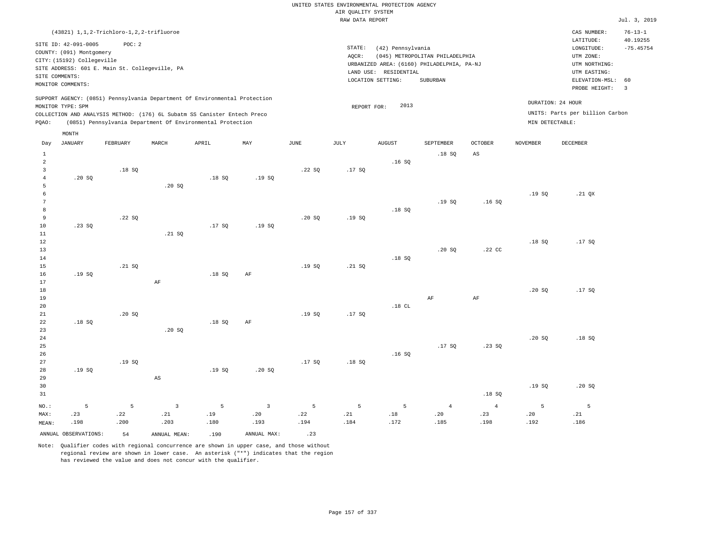|                 | (43821) 1, 1, 2-Trichloro-1, 2, 2-trifluoroe   |          |                        |                                                                            |                |       |             |                       |                                            |                        |                 | CAS NUMBER:                     | $76 - 13 - 1$           |
|-----------------|------------------------------------------------|----------|------------------------|----------------------------------------------------------------------------|----------------|-------|-------------|-----------------------|--------------------------------------------|------------------------|-----------------|---------------------------------|-------------------------|
|                 | SITE ID: 42-091-0005                           | POC: 2   |                        |                                                                            |                |       |             |                       |                                            |                        |                 | LATITUDE:                       | 40.19255                |
|                 | COUNTY: (091) Montgomery                       |          |                        |                                                                            |                |       | STATE:      | (42) Pennsylvania     |                                            |                        |                 | LONGITUDE:                      | $-75.45754$             |
|                 | CITY: (15192) Collegeville                     |          |                        |                                                                            |                |       | AOCR:       |                       | (045) METROPOLITAN PHILADELPHIA            |                        |                 | UTM ZONE:                       |                         |
|                 | SITE ADDRESS: 601 E. Main St. Collegeville, PA |          |                        |                                                                            |                |       |             |                       | URBANIZED AREA: (6160) PHILADELPHIA, PA-NJ |                        |                 | UTM NORTHING:                   |                         |
|                 | SITE COMMENTS:                                 |          |                        |                                                                            |                |       |             | LAND USE: RESIDENTIAL |                                            |                        |                 | UTM EASTING:                    |                         |
|                 | MONITOR COMMENTS:                              |          |                        |                                                                            |                |       |             | LOCATION SETTING:     | SUBURBAN                                   |                        |                 | ELEVATION-MSL: 60               |                         |
|                 |                                                |          |                        |                                                                            |                |       |             |                       |                                            |                        |                 | PROBE HEIGHT:                   | $\overline{\mathbf{3}}$ |
|                 |                                                |          |                        | SUPPORT AGENCY: (0851) Pennsylvania Department Of Environmental Protection |                |       |             |                       |                                            |                        |                 | DURATION: 24 HOUR               |                         |
|                 | MONITOR TYPE: SPM                              |          |                        | COLLECTION AND ANALYSIS METHOD: (176) 6L Subatm SS Canister Entech Preco   |                |       | REPORT FOR: | 2013                  |                                            |                        |                 | UNITS: Parts per billion Carbon |                         |
| POAO:           |                                                |          |                        | (0851) Pennsylvania Department Of Environmental Protection                 |                |       |             |                       |                                            |                        | MIN DETECTABLE: |                                 |                         |
|                 |                                                |          |                        |                                                                            |                |       |             |                       |                                            |                        |                 |                                 |                         |
|                 | MONTH                                          |          |                        |                                                                            |                |       |             |                       |                                            |                        |                 |                                 |                         |
| Day             | <b>JANUARY</b>                                 | FEBRUARY | MARCH                  | APRIL                                                                      | MAY            | JUNE  | <b>JULY</b> | <b>AUGUST</b>         | SEPTEMBER                                  | <b>OCTOBER</b>         | <b>NOVEMBER</b> | DECEMBER                        |                         |
| $\mathbf{1}$    |                                                |          |                        |                                                                            |                |       |             |                       | .18SQ                                      | $\mathbb{A}\mathbb{S}$ |                 |                                 |                         |
| $\overline{a}$  |                                                |          |                        |                                                                            |                |       |             | .16S                  |                                            |                        |                 |                                 |                         |
| $\overline{3}$  |                                                | .18S     |                        |                                                                            |                | .22S  | .17S        |                       |                                            |                        |                 |                                 |                         |
| $\overline{4}$  | .20SQ                                          |          |                        | .18SQ                                                                      | .19SQ          |       |             |                       |                                            |                        |                 |                                 |                         |
| 5               |                                                |          | .20 SQ                 |                                                                            |                |       |             |                       |                                            |                        |                 |                                 |                         |
| 6               |                                                |          |                        |                                                                            |                |       |             |                       |                                            |                        | .19SQ           | .21 QX                          |                         |
| $7\phantom{.0}$ |                                                |          |                        |                                                                            |                |       |             |                       | .19SQ                                      | .16S                   |                 |                                 |                         |
| 8               |                                                |          |                        |                                                                            |                |       |             | .18S                  |                                            |                        |                 |                                 |                         |
| 9               |                                                | .22S     |                        |                                                                            |                | .20S  | .19S        |                       |                                            |                        |                 |                                 |                         |
| $10$            | .23SQ                                          |          |                        | .17SQ                                                                      | .19SQ          |       |             |                       |                                            |                        |                 |                                 |                         |
| 11              |                                                |          | .21 SQ                 |                                                                            |                |       |             |                       |                                            |                        |                 |                                 |                         |
| $12$<br>13      |                                                |          |                        |                                                                            |                |       |             |                       | .20SQ                                      | .22 CC                 | .18S            | .17SQ                           |                         |
| 14              |                                                |          |                        |                                                                            |                |       |             | .18S                  |                                            |                        |                 |                                 |                         |
| 15              |                                                | .21 SQ   |                        |                                                                            |                | .19SQ | .21 SQ      |                       |                                            |                        |                 |                                 |                         |
| 16              | .19S                                           |          |                        | .18S                                                                       | AF             |       |             |                       |                                            |                        |                 |                                 |                         |
| 17              |                                                |          | AF                     |                                                                            |                |       |             |                       |                                            |                        |                 |                                 |                         |
| $1\,8$          |                                                |          |                        |                                                                            |                |       |             |                       |                                            |                        | .20SQ           | .17SQ                           |                         |
| 19              |                                                |          |                        |                                                                            |                |       |             |                       | AF                                         | AF                     |                 |                                 |                         |
| 20              |                                                |          |                        |                                                                            |                |       |             | .18CL                 |                                            |                        |                 |                                 |                         |
| 21              |                                                | .20SQ    |                        |                                                                            |                | .19S  | .17S        |                       |                                            |                        |                 |                                 |                         |
| 22              | .18S                                           |          |                        | .18S                                                                       | AF             |       |             |                       |                                            |                        |                 |                                 |                         |
| 23              |                                                |          | .20S                   |                                                                            |                |       |             |                       |                                            |                        |                 |                                 |                         |
| 24              |                                                |          |                        |                                                                            |                |       |             |                       |                                            |                        | .20SQ           | .18SQ                           |                         |
| 25              |                                                |          |                        |                                                                            |                |       |             |                       | .17SQ                                      | .23SQ                  |                 |                                 |                         |
| 26              |                                                |          |                        |                                                                            |                |       |             | .16S                  |                                            |                        |                 |                                 |                         |
| 27              |                                                | .19SQ    |                        |                                                                            |                | .17SQ | .18S        |                       |                                            |                        |                 |                                 |                         |
| 28              | .19S                                           |          |                        | .19S                                                                       | .20S           |       |             |                       |                                            |                        |                 |                                 |                         |
| 29              |                                                |          | $\mathbb{A}\mathbb{S}$ |                                                                            |                |       |             |                       |                                            |                        |                 |                                 |                         |
| 30              |                                                |          |                        |                                                                            |                |       |             |                       |                                            |                        | .19S            | .20S                            |                         |
| 31              |                                                |          |                        |                                                                            |                |       |             |                       |                                            | .18S                   |                 |                                 |                         |
| NO.:            | 5                                              | 5        | $\overline{3}$         | 5                                                                          | $\overline{3}$ | 5     | 5           | 5                     | $\overline{4}$                             | $\overline{4}$         | 5               | 5                               |                         |
| MAX:            | .23                                            | .22      | .21                    | .19                                                                        | .20            | .22   | .21         | $.18\,$               | .20                                        | .23                    | .20             | .21                             |                         |
| MEAN:           | .198                                           | .200     | .203                   | .180                                                                       | .193           | .194  | .184        | .172                  | .185                                       | .198                   | .192            | .186                            |                         |
|                 | ANNUAL OBSERVATIONS:                           | 54       | ANNUAL MEAN:           | .190                                                                       | ANNUAL MAX:    | .23   |             |                       |                                            |                        |                 |                                 |                         |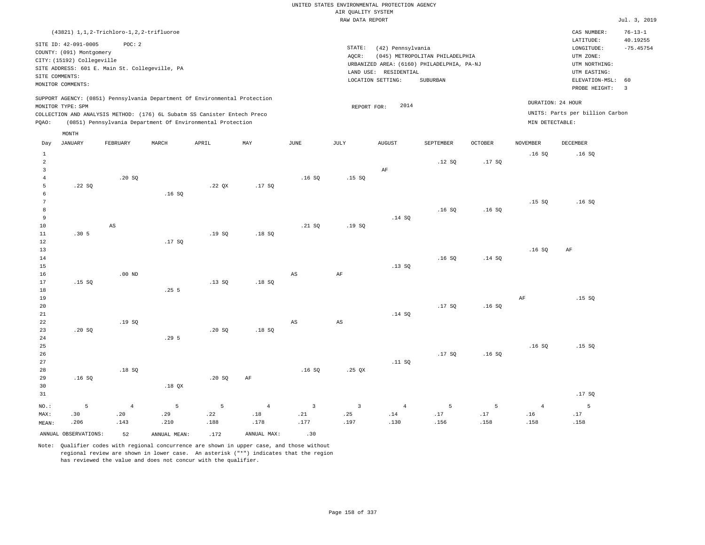|       |                                     | $(43821)$ 1, 1, 2-Trichloro-1, 2, 2-trifluoroe                             |       |       |     |      |           |                     |                                            |                |                 | CAS NUMBER:                     | $76 - 13 - 1$ |
|-------|-------------------------------------|----------------------------------------------------------------------------|-------|-------|-----|------|-----------|---------------------|--------------------------------------------|----------------|-----------------|---------------------------------|---------------|
|       | SITE ID: 42-091-0005                | POC:2                                                                      |       |       |     |      |           |                     |                                            |                |                 | LATITUDE:                       | 40.19255      |
|       | COUNTY: (091) Montgomery            |                                                                            |       |       |     |      | STATE:    | (42) Pennsylvania   |                                            |                |                 | LONGITUDE:                      | $-75.45754$   |
|       |                                     |                                                                            |       |       |     |      | AQCR:     |                     | (045) METROPOLITAN PHILADELPHIA            |                |                 | UTM ZONE:                       |               |
|       | CITY: (15192) Collegeville          |                                                                            |       |       |     |      |           |                     | URBANIZED AREA: (6160) PHILADELPHIA, PA-NJ |                |                 | UTM NORTHING:                   |               |
|       |                                     | SITE ADDRESS: 601 E. Main St. Collegeville, PA                             |       |       |     |      | LAND USE: | RESIDENTIAL         |                                            |                |                 | UTM EASTING:                    |               |
|       | SITE COMMENTS:<br>MONITOR COMMENTS: |                                                                            |       |       |     |      |           | LOCATION SETTING:   | SUBURBAN                                   |                |                 | ELEVATION-MSL: 60               |               |
|       |                                     |                                                                            |       |       |     |      |           |                     |                                            |                |                 | PROBE HEIGHT:                   | 3             |
|       |                                     | SUPPORT AGENCY: (0851) Pennsylvania Department Of Environmental Protection |       |       |     |      |           |                     |                                            |                |                 |                                 |               |
|       | MONITOR TYPE: SPM                   |                                                                            |       |       |     |      |           | 2014<br>REPORT FOR: |                                            |                |                 | DURATION: 24 HOUR               |               |
|       |                                     | COLLECTION AND ANALYSIS METHOD: (176) 6L Subatm SS Canister Entech Preco   |       |       |     |      |           |                     |                                            |                |                 | UNITS: Parts per billion Carbon |               |
| PQAO: |                                     | (0851) Pennsylvania Department Of Environmental Protection                 |       |       |     |      |           |                     |                                            |                | MIN DETECTABLE: |                                 |               |
|       |                                     |                                                                            |       |       |     |      |           |                     |                                            |                |                 |                                 |               |
|       | MONTH                               |                                                                            |       |       |     |      |           |                     |                                            |                |                 |                                 |               |
| Day   | JANUARY                             | FEBRUARY                                                                   | MARCH | APRIL | MAY | JUNE | JULY      | <b>AUGUST</b>       | SEPTEMBER                                  | <b>OCTOBER</b> | NOVEMBER        | DECEMBER                        |               |
|       |                                     |                                                                            |       |       |     |      |           |                     |                                            |                | .16SQ           | .16S                            |               |
|       |                                     |                                                                            |       |       |     |      |           |                     | .12 SQ                                     | .17SQ          |                 |                                 |               |
|       |                                     |                                                                            |       |       |     |      |           | AF                  |                                            |                |                 |                                 |               |
|       |                                     | .20S                                                                       |       |       |     | .16S | .15S      |                     |                                            |                |                 |                                 |               |

| 5               | .22 SQ           |                        |                  | $.22$ QX | .17 SQ    |             |             |        |       |        |        |        |
|-----------------|------------------|------------------------|------------------|----------|-----------|-------------|-------------|--------|-------|--------|--------|--------|
| 6               |                  |                        | .16SQ            |          |           |             |             |        |       |        |        |        |
| $7\phantom{.0}$ |                  |                        |                  |          |           |             |             |        |       |        | .15 SQ | .16S   |
| 8               |                  |                        |                  |          |           |             |             |        | .16SQ | .16SQ  |        |        |
| 9               |                  |                        |                  |          |           |             |             | .14 SQ |       |        |        |        |
| 10              |                  | $\mathbb{A}\mathbb{S}$ |                  |          |           | .21 SQ      | .19SQ       |        |       |        |        |        |
| 11              | .30 <sub>5</sub> |                        |                  | .19SQ    | .18 SQ    |             |             |        |       |        |        |        |
| 12              |                  |                        | .17 SQ           |          |           |             |             |        |       |        |        |        |
| 13              |                  |                        |                  |          |           |             |             |        |       |        | .16S   | AF     |
| 14              |                  |                        |                  |          |           |             |             |        | .16SQ | .14 SQ |        |        |
| 15              |                  |                        |                  |          |           |             |             | .13 SQ |       |        |        |        |
| 16              |                  | $.00$ ND               |                  |          |           | AS          | AF          |        |       |        |        |        |
| 17              | .15 SQ           |                        |                  | .13SQ    | .18 SQ    |             |             |        |       |        |        |        |
| 18              |                  |                        | .255             |          |           |             |             |        |       |        |        |        |
| 19              |                  |                        |                  |          |           |             |             |        |       |        | AF     | .15 SQ |
| 20              |                  |                        |                  |          |           |             |             |        | .17SQ | .16SQ  |        |        |
| 21              |                  |                        |                  |          |           |             |             | .14 SQ |       |        |        |        |
| 22              |                  | .19SQ                  |                  |          |           | $_{\rm AS}$ | $_{\rm AS}$ |        |       |        |        |        |
| 23              | .20 SQ           |                        |                  | .20S     | .18 SQ    |             |             |        |       |        |        |        |
| 24              |                  |                        | .29 <sub>5</sub> |          |           |             |             |        |       |        |        |        |
| 25              |                  |                        |                  |          |           |             |             |        |       |        | .16S   | .15 SQ |
| 26              |                  |                        |                  |          |           |             |             |        | .17SQ | .16S   |        |        |
| 27              |                  |                        |                  |          |           |             |             | .11 SQ |       |        |        |        |
| 28              |                  | .18 SQ                 |                  |          |           | .16SQ       | .25 $QX$    |        |       |        |        |        |
| 29              | .16SQ            |                        |                  | .20 SQ   | $\rm{AF}$ |             |             |        |       |        |        |        |
| 30              |                  |                        | .18 $QX$         |          |           |             |             |        |       |        |        |        |
| 31              |                  |                        |                  |          |           |             |             |        |       |        |        | .17SQ  |

|       |                         |      | NO.: 5 4 5 5 4 3 3 4 5 5 |       |             |      |      |      |      |      |      |     |
|-------|-------------------------|------|--------------------------|-------|-------------|------|------|------|------|------|------|-----|
| MAX:  | .30                     | .20  | .29                      | .22   | .18         | .21  | .25  | .14  | .17  | .17  | .16  | .17 |
| MEAN: | .206                    | .143 | .210                     | .188  | .178        | .177 | .197 | .130 | .156 | .158 | .158 |     |
|       | ANNUAL OBSERVATIONS: 52 |      | ANNUAL MEAN:             | . 172 | ANNUAL MAX: | .30  |      |      |      |      |      |     |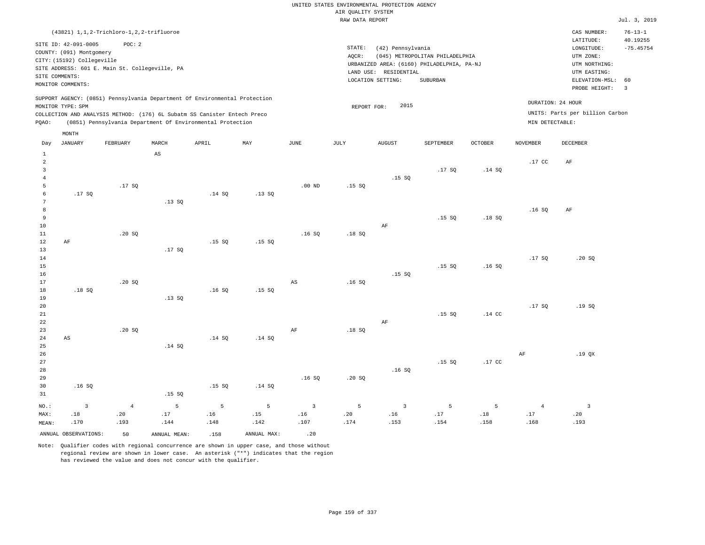UNITED STATES ENVIRONMENTAL PROTECTION AGENCY AIR QUALITY SYSTEM

|       |                            |                                                |       |                                                                            |       |          | RAW DATA REPORT |                                            |                                 |                |                  |                                 | Jul. 3, 2019            |
|-------|----------------------------|------------------------------------------------|-------|----------------------------------------------------------------------------|-------|----------|-----------------|--------------------------------------------|---------------------------------|----------------|------------------|---------------------------------|-------------------------|
|       |                            | (43821) 1, 1, 2-Trichloro-1, 2, 2-trifluoroe   |       |                                                                            |       |          |                 |                                            |                                 |                |                  | CAS NUMBER:                     | $76 - 13 - 1$           |
|       | SITE ID: 42-091-0005       | POC: 2                                         |       |                                                                            |       |          | STATE:          | (42) Pennsylvania                          |                                 |                |                  | LATITUDE:<br>LONGITUDE:         | 40.19255<br>$-75.45754$ |
|       | COUNTY: (091) Montgomery   |                                                |       |                                                                            |       |          | AOCR:           |                                            | (045) METROPOLITAN PHILADELPHIA |                |                  | UTM ZONE:                       |                         |
|       | CITY: (15192) Collegeville |                                                |       |                                                                            |       |          |                 | URBANIZED AREA: (6160) PHILADELPHIA, PA-NJ |                                 |                |                  | UTM NORTHING:                   |                         |
|       |                            | SITE ADDRESS: 601 E. Main St. Collegeville, PA |       |                                                                            |       |          |                 | LAND USE: RESIDENTIAL                      |                                 |                |                  | UTM EASTING:                    |                         |
|       | SITE COMMENTS:             |                                                |       |                                                                            |       |          |                 | LOCATION SETTING:                          | SUBURBAN                        |                |                  | ELEVATION-MSL:                  | 60                      |
|       | MONITOR COMMENTS:          |                                                |       |                                                                            |       |          |                 |                                            |                                 |                |                  | PROBE HEIGHT:                   | $\overline{\mathbf{3}}$ |
|       |                            |                                                |       | SUPPORT AGENCY: (0851) Pennsylvania Department Of Environmental Protection |       |          |                 |                                            |                                 |                |                  |                                 |                         |
|       | MONITOR TYPE: SPM          |                                                |       |                                                                            |       |          |                 | 2015<br>REPORT FOR:                        |                                 |                |                  | DURATION: 24 HOUR               |                         |
|       |                            |                                                |       | COLLECTION AND ANALYSIS METHOD: (176) 6L Subatm SS Canister Entech Preco   |       |          |                 |                                            |                                 |                |                  | UNITS: Parts per billion Carbon |                         |
| POAO: |                            |                                                |       | (0851) Pennsylvania Department Of Environmental Protection                 |       |          |                 |                                            |                                 |                | MIN DETECTABLE:  |                                 |                         |
|       | MONTH                      |                                                |       |                                                                            |       |          |                 |                                            |                                 |                |                  |                                 |                         |
| Day   | <b>JANUARY</b>             | FEBRUARY                                       | MARCH | APRIL                                                                      | MAY   | JUNE     | JULY            | <b>AUGUST</b>                              | SEPTEMBER                       | <b>OCTOBER</b> | <b>NOVEMBER</b>  | DECEMBER                        |                         |
|       |                            |                                                |       |                                                                            |       |          |                 |                                            |                                 |                |                  |                                 |                         |
| 1     |                            |                                                | AS    |                                                                            |       |          |                 |                                            |                                 |                |                  |                                 |                         |
|       |                            |                                                |       |                                                                            |       |          |                 |                                            |                                 |                | .17 <sub>c</sub> | AF                              |                         |
| 3     |                            |                                                |       |                                                                            |       |          |                 | .15S                                       | .17S                            | .14SQ          |                  |                                 |                         |
| 5     |                            | .17S                                           |       |                                                                            |       | $.00$ ND | .15S            |                                            |                                 |                |                  |                                 |                         |
| 6     | .17SQ                      |                                                |       | .14 SQ                                                                     | .13SQ |          |                 |                                            |                                 |                |                  |                                 |                         |
|       |                            |                                                | .13SQ |                                                                            |       |          |                 |                                            |                                 |                |                  |                                 |                         |
| 8     |                            |                                                |       |                                                                            |       |          |                 |                                            |                                 |                | .16S             | AF                              |                         |
| 9     |                            |                                                |       |                                                                            |       |          |                 |                                            | .15SQ                           | .18S           |                  |                                 |                         |
| 10    |                            |                                                |       |                                                                            |       |          |                 | AF                                         |                                 |                |                  |                                 |                         |
| 11    |                            | .20SQ                                          |       |                                                                            |       | .16S     | .18S            |                                            |                                 |                |                  |                                 |                         |
| 12    | AF                         |                                                |       | .15SQ                                                                      | .15S  |          |                 |                                            |                                 |                |                  |                                 |                         |
| 13    |                            |                                                | .17SQ |                                                                            |       |          |                 |                                            |                                 |                |                  |                                 |                         |
| 14    |                            |                                                |       |                                                                            |       |          |                 |                                            |                                 |                | .17S             | .20S                            |                         |

.16 SQ

.15 SQ

.15 SQ

.16 SQ

19 20 21 22 23 24 25 26 27 28 29 30 31 AS .16 SQ .20 SQ .13 SQ .14 SQ .15 SQ .14 SQ .15 SQ .14 SQ .14 SQ AF .16 SQ .18 SQ .20 SQ AF .16 SQ .15 SQ .15 SQ .14 CC .17 CC .17 SQ AF .19 SQ .19 QX

|       |                         | NO.: 3 4 5 5 5 3 5 3 5 5 4 3                                                   |      |                      |                 |      |      |      |      |      |
|-------|-------------------------|--------------------------------------------------------------------------------|------|----------------------|-----------------|------|------|------|------|------|
| MAX:  |                         | .20 1. 17. 18. 17. 18. 16. 16. 16. 16. 16. 16. 15. 15. 16. 17. 18. 18. 18. 18. |      |                      |                 |      |      |      |      |      |
| MEAN: | .170                    | $.193$ $.144$                                                                  | .148 | $.142$ $.107$ $.174$ |                 | .153 | .154 | .158 | .168 | .193 |
|       | ANNUAL OBSERVATIONS: 50 | ANNUAL MEAN: .158                                                              |      | ANNUAL MAX:          | $\overline{20}$ |      |      |      |      |      |

Note: Qualifier codes with regional concurrence are shown in upper case, and those without regional review are shown in lower case. An asterisk ("\*") indicates that the region has reviewed the value and does not concur with the qualifier.

.16 SQ

.15 SQ

AS

.18 SQ

.20 SQ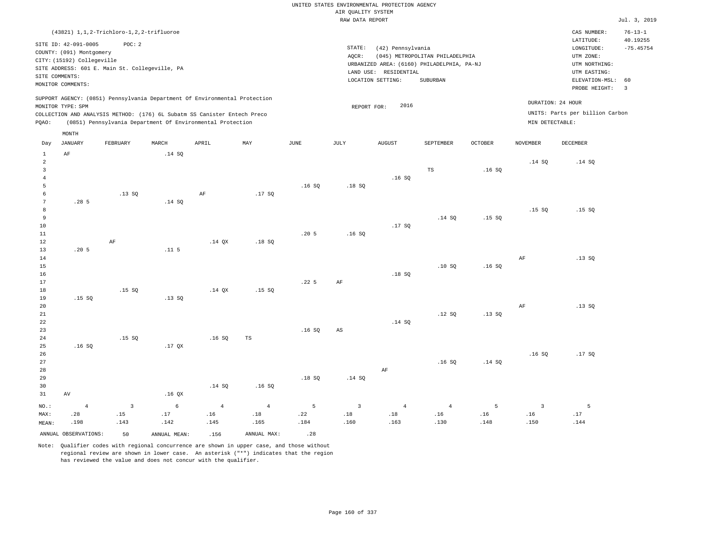|                     | (43821) 1, 1, 2-Trichloro-1, 2, 2-trifluoroe                                   |                         |                   |                                                                                                                                        |                |                  |                        |                       |                                            |                |                   | CAS NUMBER:                          | $76 - 13 - 1$           |
|---------------------|--------------------------------------------------------------------------------|-------------------------|-------------------|----------------------------------------------------------------------------------------------------------------------------------------|----------------|------------------|------------------------|-----------------------|--------------------------------------------|----------------|-------------------|--------------------------------------|-------------------------|
|                     | SITE ID: 42-091-0005<br>COUNTY: (091) Montgomery<br>CITY: (15192) Collegeville | POC: 2                  |                   |                                                                                                                                        |                |                  | STATE:<br>AQCR:        | (42) Pennsylvania     | (045) METROPOLITAN PHILADELPHIA            |                |                   | LATITUDE:<br>LONGITUDE:<br>UTM ZONE: | 40.19255<br>$-75.45754$ |
|                     | SITE ADDRESS: 601 E. Main St. Collegeville, PA                                 |                         |                   |                                                                                                                                        |                |                  |                        | LAND USE: RESIDENTIAL | URBANIZED AREA: (6160) PHILADELPHIA, PA-NJ |                |                   | UTM NORTHING:<br>UTM EASTING:        |                         |
|                     | SITE COMMENTS:                                                                 |                         |                   |                                                                                                                                        |                |                  |                        | LOCATION SETTING:     | SUBURBAN                                   |                |                   | ELEVATION-MSL:                       | 60                      |
|                     | MONITOR COMMENTS:                                                              |                         |                   |                                                                                                                                        |                |                  |                        |                       |                                            |                |                   | PROBE HEIGHT:                        | $\overline{\mathbf{3}}$ |
|                     |                                                                                |                         |                   | SUPPORT AGENCY: (0851) Pennsylvania Department Of Environmental Protection                                                             |                |                  |                        |                       |                                            |                | DURATION: 24 HOUR |                                      |                         |
|                     | MONITOR TYPE: SPM                                                              |                         |                   |                                                                                                                                        |                |                  | REPORT FOR:            | 2016                  |                                            |                |                   |                                      |                         |
|                     |                                                                                |                         |                   | COLLECTION AND ANALYSIS METHOD: (176) 6L Subatm SS Canister Entech Preco<br>(0851) Pennsylvania Department Of Environmental Protection |                |                  |                        |                       |                                            |                | MIN DETECTABLE:   | UNITS: Parts per billion Carbon      |                         |
| PQAO:               |                                                                                |                         |                   |                                                                                                                                        |                |                  |                        |                       |                                            |                |                   |                                      |                         |
|                     | MONTH                                                                          |                         |                   |                                                                                                                                        |                |                  |                        |                       |                                            |                |                   |                                      |                         |
| Day                 | JANUARY                                                                        | FEBRUARY                | MARCH             | APRIL                                                                                                                                  | MAY            | <b>JUNE</b>      | JULY                   | <b>AUGUST</b>         | SEPTEMBER                                  | <b>OCTOBER</b> | <b>NOVEMBER</b>   | DECEMBER                             |                         |
| $\mathbf{1}$        | $\rm AF$                                                                       |                         | .14 SQ            |                                                                                                                                        |                |                  |                        |                       |                                            |                |                   |                                      |                         |
| $\overline{a}$      |                                                                                |                         |                   |                                                                                                                                        |                |                  |                        |                       |                                            |                | .14SQ             | .14 SQ                               |                         |
| 3<br>$\overline{4}$ |                                                                                |                         |                   |                                                                                                                                        |                |                  |                        |                       | TS                                         | .16SQ          |                   |                                      |                         |
| 5                   |                                                                                |                         |                   |                                                                                                                                        |                | .16S             | .18S                   | .16S                  |                                            |                |                   |                                      |                         |
| 6                   |                                                                                | .13SQ                   |                   | AF                                                                                                                                     | .17SQ          |                  |                        |                       |                                            |                |                   |                                      |                         |
| $\overline{7}$      | .285                                                                           |                         | .14 SQ            |                                                                                                                                        |                |                  |                        |                       |                                            |                |                   |                                      |                         |
| 8                   |                                                                                |                         |                   |                                                                                                                                        |                |                  |                        |                       |                                            |                | .15S              | .15S                                 |                         |
| 9                   |                                                                                |                         |                   |                                                                                                                                        |                |                  |                        |                       | .14 SQ                                     | .15SQ          |                   |                                      |                         |
| 10                  |                                                                                |                         |                   |                                                                                                                                        |                |                  |                        | .17SQ                 |                                            |                |                   |                                      |                         |
| 11                  |                                                                                |                         |                   |                                                                                                                                        |                | .20 <sub>5</sub> | .16S                   |                       |                                            |                |                   |                                      |                         |
| 12                  |                                                                                | AF                      |                   | .14O X                                                                                                                                 | .18S           |                  |                        |                       |                                            |                |                   |                                      |                         |
| 13<br>14            | .205                                                                           |                         | $.11-5$           |                                                                                                                                        |                |                  |                        |                       |                                            |                | AF                | .13SQ                                |                         |
| 15                  |                                                                                |                         |                   |                                                                                                                                        |                |                  |                        |                       | .10S                                       | .16S           |                   |                                      |                         |
| 16                  |                                                                                |                         |                   |                                                                                                                                        |                |                  |                        | .18SQ                 |                                            |                |                   |                                      |                         |
| 17                  |                                                                                |                         |                   |                                                                                                                                        |                | .22 <sub>5</sub> | AF                     |                       |                                            |                |                   |                                      |                         |
| 18                  |                                                                                | .15S                    |                   | $.14$ $OX$                                                                                                                             | .15S           |                  |                        |                       |                                            |                |                   |                                      |                         |
| 19                  | .15SQ                                                                          |                         | .13SQ             |                                                                                                                                        |                |                  |                        |                       |                                            |                |                   |                                      |                         |
| 20                  |                                                                                |                         |                   |                                                                                                                                        |                |                  |                        |                       |                                            |                | AF                | .13S                                 |                         |
| $2\sqrt{1}$         |                                                                                |                         |                   |                                                                                                                                        |                |                  |                        |                       | .12S                                       | .13SQ          |                   |                                      |                         |
| 22<br>23            |                                                                                |                         |                   |                                                                                                                                        |                | .16S             | $\mathbb{A}\mathbb{S}$ | .14 SQ                |                                            |                |                   |                                      |                         |
| 24                  |                                                                                | .15S                    |                   | .16SQ                                                                                                                                  | TS             |                  |                        |                       |                                            |                |                   |                                      |                         |
| 25                  | .16S                                                                           |                         | .17 <sub>OX</sub> |                                                                                                                                        |                |                  |                        |                       |                                            |                |                   |                                      |                         |
| 26                  |                                                                                |                         |                   |                                                                                                                                        |                |                  |                        |                       |                                            |                | .16S              | .17SQ                                |                         |
| 27                  |                                                                                |                         |                   |                                                                                                                                        |                |                  |                        |                       | .16S                                       | .14 SQ         |                   |                                      |                         |
| 28                  |                                                                                |                         |                   |                                                                                                                                        |                |                  |                        | AF                    |                                            |                |                   |                                      |                         |
| 29                  |                                                                                |                         |                   |                                                                                                                                        |                | .18S             | .14 SQ                 |                       |                                            |                |                   |                                      |                         |
| 30                  |                                                                                |                         |                   | .14 SQ                                                                                                                                 | .16S           |                  |                        |                       |                                            |                |                   |                                      |                         |
| 31                  | AV                                                                             |                         | .16 <sub>QX</sub> |                                                                                                                                        |                |                  |                        |                       |                                            |                |                   |                                      |                         |
| NO.:                | $\overline{4}$                                                                 | $\overline{\mathbf{3}}$ | $6\phantom{.}6$   | $\overline{4}$                                                                                                                         | $\overline{4}$ | 5                | $\overline{3}$         | $\overline{4}$        | $\overline{4}$                             | 5              | $\overline{3}$    | 5                                    |                         |
| MAX:                | .28                                                                            | .15                     | .17               | .16                                                                                                                                    | $.18\,$        | .22              | .18                    | $.18\,$               | .16                                        | .16            | .16               | .17                                  |                         |
| MEAN:               | .198                                                                           | .143                    | .142              | .145                                                                                                                                   | .165           | .184             | .160                   | .163                  | .130                                       | .148           | .150              | .144                                 |                         |
|                     | ANNUAL OBSERVATIONS:                                                           | 50                      | ANNUAL MEAN:      | .156                                                                                                                                   | ANNUAL MAX:    | .28              |                        |                       |                                            |                |                   |                                      |                         |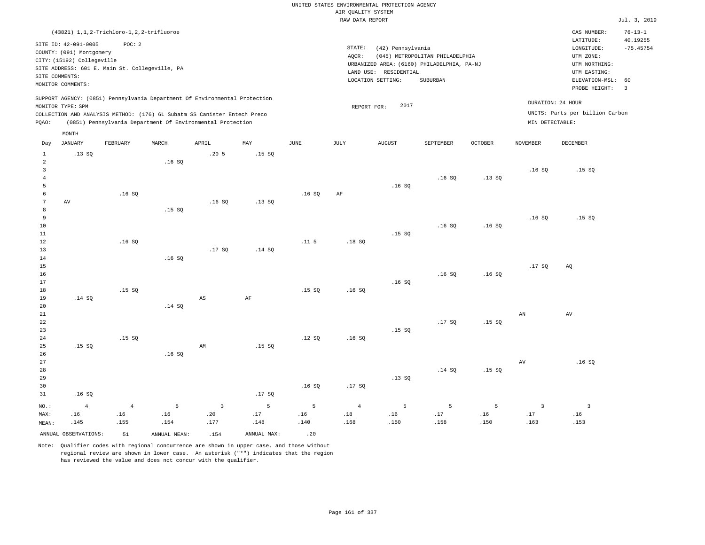|                                       |                                                                                                                       |                                                          |                  |                                                                                                                                                                                                                      |                  |                  | AIR OUALITY SYSTEM            | UNITED STATES ENVIRONMENTAL PROTECTION AGENCY                   |                                                                                           |                  |                                        |                                                                                                                                                                                                                                                                                                                                                                                                                                                                                                                                                                                         |                                     |
|---------------------------------------|-----------------------------------------------------------------------------------------------------------------------|----------------------------------------------------------|------------------|----------------------------------------------------------------------------------------------------------------------------------------------------------------------------------------------------------------------|------------------|------------------|-------------------------------|-----------------------------------------------------------------|-------------------------------------------------------------------------------------------|------------------|----------------------------------------|-----------------------------------------------------------------------------------------------------------------------------------------------------------------------------------------------------------------------------------------------------------------------------------------------------------------------------------------------------------------------------------------------------------------------------------------------------------------------------------------------------------------------------------------------------------------------------------------|-------------------------------------|
|                                       |                                                                                                                       |                                                          |                  |                                                                                                                                                                                                                      |                  |                  | RAW DATA REPORT               |                                                                 |                                                                                           |                  |                                        |                                                                                                                                                                                                                                                                                                                                                                                                                                                                                                                                                                                         | Jul. 3, 2019                        |
|                                       |                                                                                                                       | (43821) 1, 1, 2-Trichloro-1, 2, 2-trifluoroe             |                  |                                                                                                                                                                                                                      |                  |                  |                               |                                                                 |                                                                                           |                  |                                        | CAS NUMBER:<br>LATITUDE:                                                                                                                                                                                                                                                                                                                                                                                                                                                                                                                                                                | $76 - 13 - 1$<br>40.19255           |
|                                       | SITE ID: 42-091-0005<br>COUNTY: (091) Montgomery<br>CITY: (15192) Collegeville<br>SITE COMMENTS:<br>MONITOR COMMENTS: | POC: 2<br>SITE ADDRESS: 601 E. Main St. Collegeville, PA |                  |                                                                                                                                                                                                                      |                  |                  | $\texttt{STATE}$ :<br>AQCR:   | (42) Pennsylvania<br>LAND USE: RESIDENTIAL<br>LOCATION SETTING: | (045) METROPOLITAN PHILADELPHIA<br>URBANIZED AREA: (6160) PHILADELPHIA, PA-NJ<br>SUBURBAN |                  |                                        | $\texttt{LONGITUDE}: \quad % \begin{minipage}[c]{0.5\linewidth} \centering \begin{tabular}{lcccc} \toprule \texttt{1}\end{tabular} & \texttt{1}\end{tabular} \vspace*{-1em} \caption{The \texttt{1}\qquad \texttt{1}\qquad \texttt{2}\qquad \texttt{2}\qquad \texttt{2}\qquad \texttt{3}\qquad \texttt{3}\qquad \texttt{4}\qquad \texttt{5}\qquad \texttt{5}\qquad \texttt{6}\qquad \texttt{6}\qquad \texttt{7}\qquad \texttt{8}\qquad \texttt{8}\qquad \texttt{8}\qquad \texttt{9}\qquad \texttt{1}\$<br>UTM ZONE:<br>UTM NORTHING:<br>UTM EASTING:<br>ELEVATION-MSL:<br>PROBE HEIGHT: | $-75.45754$<br>60<br>$\overline{3}$ |
| PQAO:                                 | MONITOR TYPE: SPM                                                                                                     |                                                          |                  | SUPPORT AGENCY: (0851) Pennsylvania Department Of Environmental Protection<br>COLLECTION AND ANALYSIS METHOD: (176) 6L Subatm SS Canister Entech Preco<br>(0851) Pennsylvania Department Of Environmental Protection |                  |                  | REPORT FOR:                   | 2017                                                            |                                                                                           |                  | MIN DETECTABLE:                        | DURATION: 24 HOUR<br>UNITS: Parts per billion Carbon                                                                                                                                                                                                                                                                                                                                                                                                                                                                                                                                    |                                     |
| Day                                   | MONTH<br><b>JANUARY</b>                                                                                               | FEBRUARY                                                 | MARCH            | APRIL                                                                                                                                                                                                                | MAY              | <b>JUNE</b>      | JULY                          | <b>AUGUST</b>                                                   | SEPTEMBER                                                                                 | <b>OCTOBER</b>   | <b>NOVEMBER</b>                        | DECEMBER                                                                                                                                                                                                                                                                                                                                                                                                                                                                                                                                                                                |                                     |
| $\mathbf{1}$                          | .13SQ                                                                                                                 |                                                          |                  | .205                                                                                                                                                                                                                 | .15S             |                  |                               |                                                                 |                                                                                           |                  |                                        |                                                                                                                                                                                                                                                                                                                                                                                                                                                                                                                                                                                         |                                     |
| $\overline{a}$<br>3<br>$\overline{4}$ |                                                                                                                       |                                                          | .16S             |                                                                                                                                                                                                                      |                  |                  |                               |                                                                 | .16S                                                                                      | .13SQ            | .16SQ                                  | .15S                                                                                                                                                                                                                                                                                                                                                                                                                                                                                                                                                                                    |                                     |
| 5<br>6<br>7<br>8                      | AV                                                                                                                    | .16S                                                     | .15 SQ           | .16S                                                                                                                                                                                                                 | .13S             | .16S             | AF                            | .16S                                                            |                                                                                           |                  |                                        |                                                                                                                                                                                                                                                                                                                                                                                                                                                                                                                                                                                         |                                     |
| 9<br>10<br>$1\,1$<br>12<br>13         |                                                                                                                       | .16S                                                     |                  | .17SQ                                                                                                                                                                                                                | .14 SQ           | .11 <sub>5</sub> | .18 SO                        | .15S                                                            | .16SQ                                                                                     | .16S             | .16S                                   | .15S                                                                                                                                                                                                                                                                                                                                                                                                                                                                                                                                                                                    |                                     |
| 14<br>$15$<br>16<br>17                |                                                                                                                       |                                                          | .16S             |                                                                                                                                                                                                                      |                  |                  |                               | .16S                                                            | .16S                                                                                      | .16S             | .17SQ                                  | AQ                                                                                                                                                                                                                                                                                                                                                                                                                                                                                                                                                                                      |                                     |
| $1\,8$<br>19<br>20<br>21              | .14 SQ                                                                                                                | .15S                                                     | .14 SQ           | $\mathbb{A}\mathbb{S}$                                                                                                                                                                                               | AF               | .15S             | .16SQ                         |                                                                 |                                                                                           |                  | AN                                     | AV                                                                                                                                                                                                                                                                                                                                                                                                                                                                                                                                                                                      |                                     |
| 22<br>23<br>24<br>25                  | .15S                                                                                                                  | .15S                                                     |                  | AM                                                                                                                                                                                                                   | .15S             | .12S             | .16S                          | .15S                                                            | .17SQ                                                                                     | .15 SQ           |                                        |                                                                                                                                                                                                                                                                                                                                                                                                                                                                                                                                                                                         |                                     |
| 26<br>27<br>28<br>29<br>30            |                                                                                                                       |                                                          | .16S             |                                                                                                                                                                                                                      |                  | .16S             | .17S                          | .13SQ                                                           | .14 S0                                                                                    | .15S             | $\operatorname{AV}$                    | .16S                                                                                                                                                                                                                                                                                                                                                                                                                                                                                                                                                                                    |                                     |
| 31                                    | .16SQ                                                                                                                 |                                                          |                  |                                                                                                                                                                                                                      | .17SQ            |                  |                               |                                                                 |                                                                                           |                  |                                        |                                                                                                                                                                                                                                                                                                                                                                                                                                                                                                                                                                                         |                                     |
| NO.:<br>MAX:<br>MEAN:                 | $\overline{4}$<br>.16<br>.145                                                                                         | $\overline{4}$<br>.16<br>.155                            | 5<br>.16<br>.154 | $\overline{3}$<br>.20<br>.177                                                                                                                                                                                        | 5<br>.17<br>.148 | 5<br>.16<br>.140 | $\overline{4}$<br>.18<br>.168 | 5<br>.16<br>.150                                                | 5<br>.17<br>.158                                                                          | 5<br>.16<br>.150 | $\overline{\mathbf{3}}$<br>.17<br>.163 | $\overline{\mathbf{3}}$<br>.16<br>.153                                                                                                                                                                                                                                                                                                                                                                                                                                                                                                                                                  |                                     |
|                                       | ANNUAL OBSERVATIONS:                                                                                                  | 51                                                       | ANNUAL, MEAN:    | .154                                                                                                                                                                                                                 | ANNUAL MAX:      | .20              |                               |                                                                 |                                                                                           |                  |                                        |                                                                                                                                                                                                                                                                                                                                                                                                                                                                                                                                                                                         |                                     |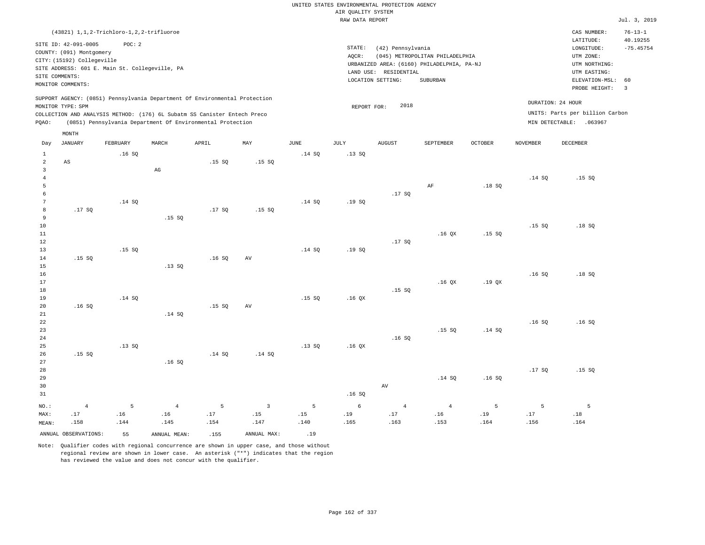|                |                            |                                                                            |                |        |                         |             |                    | UNITED STATES ENVIRONMENTAL PROTECTION AGENCY |                                            |                |                 |                                 |                |
|----------------|----------------------------|----------------------------------------------------------------------------|----------------|--------|-------------------------|-------------|--------------------|-----------------------------------------------|--------------------------------------------|----------------|-----------------|---------------------------------|----------------|
|                |                            |                                                                            |                |        |                         |             | AIR QUALITY SYSTEM |                                               |                                            |                |                 |                                 |                |
|                |                            |                                                                            |                |        |                         |             | RAW DATA REPORT    |                                               |                                            |                |                 |                                 | Jul. 3, 2019   |
|                |                            | (43821) 1,1,2-Trichloro-1,2,2-trifluoroe                                   |                |        |                         |             |                    |                                               |                                            |                |                 | CAS NUMBER:                     | $76 - 13 - 1$  |
|                |                            |                                                                            |                |        |                         |             |                    |                                               |                                            |                |                 | LATITUDE:                       | 40.19255       |
|                | SITE ID: 42-091-0005       | POC: 2                                                                     |                |        |                         |             | STATE:             | (42) Pennsylvania                             |                                            |                |                 | LONGITUDE:                      | $-75.45754$    |
|                | COUNTY: (091) Montgomery   |                                                                            |                |        |                         |             | AQCR:              |                                               | (045) METROPOLITAN PHILADELPHIA            |                |                 | UTM ZONE:                       |                |
|                | CITY: (15192) Collegeville |                                                                            |                |        |                         |             |                    |                                               | URBANIZED AREA: (6160) PHILADELPHIA, PA-NJ |                |                 | UTM NORTHING:                   |                |
|                |                            | SITE ADDRESS: 601 E. Main St. Collegeville, PA                             |                |        |                         |             |                    | LAND USE: RESIDENTIAL                         |                                            |                |                 | UTM EASTING:                    |                |
|                | SITE COMMENTS:             |                                                                            |                |        |                         |             |                    | LOCATION SETTING:                             | SUBURBAN                                   |                |                 | ELEVATION-MSL:                  | 60             |
|                | MONITOR COMMENTS:          |                                                                            |                |        |                         |             |                    |                                               |                                            |                |                 | PROBE HEIGHT:                   | $\overline{3}$ |
|                |                            | SUPPORT AGENCY: (0851) Pennsylvania Department Of Environmental Protection |                |        |                         |             |                    |                                               |                                            |                |                 |                                 |                |
|                | MONITOR TYPE: SPM          |                                                                            |                |        |                         |             | REPORT FOR:        | 2018                                          |                                            |                |                 | DURATION: 24 HOUR               |                |
|                |                            | COLLECTION AND ANALYSIS METHOD: (176) 6L Subatm SS Canister Entech Preco   |                |        |                         |             |                    |                                               |                                            |                |                 | UNITS: Parts per billion Carbon |                |
| POAO:          |                            | (0851) Pennsylvania Department Of Environmental Protection                 |                |        |                         |             |                    |                                               |                                            |                |                 | MIN DETECTABLE: .063967         |                |
|                | MONTH                      |                                                                            |                |        |                         |             |                    |                                               |                                            |                |                 |                                 |                |
| Day            | <b>JANUARY</b>             | FEBRUARY                                                                   | MARCH          | APRIL  | MAY                     | <b>JUNE</b> | JULY               | <b>AUGUST</b>                                 | SEPTEMBER                                  | <b>OCTOBER</b> | <b>NOVEMBER</b> | DECEMBER                        |                |
| $\mathbf{1}$   |                            | .16S                                                                       |                |        |                         | .14 SQ      | .13SQ              |                                               |                                            |                |                 |                                 |                |
| $\overline{a}$ | $_{\rm AS}$                |                                                                            |                | .15SQ  | .15S                    |             |                    |                                               |                                            |                |                 |                                 |                |
| $\overline{3}$ |                            |                                                                            | $_{\rm AG}$    |        |                         |             |                    |                                               |                                            |                |                 |                                 |                |
| $\overline{4}$ |                            |                                                                            |                |        |                         |             |                    |                                               |                                            |                | .14 SQ          | .15S                            |                |
| 5              |                            |                                                                            |                |        |                         |             |                    |                                               | AF                                         | .18SQ          |                 |                                 |                |
| 6              |                            |                                                                            |                |        |                         |             |                    | .17SQ                                         |                                            |                |                 |                                 |                |
| $\overline{7}$ |                            | .14 SQ                                                                     |                |        |                         | .14 SQ      | .19 SO             |                                               |                                            |                |                 |                                 |                |
| 8              | .17 SO                     |                                                                            |                | .17S   | .15S                    |             |                    |                                               |                                            |                |                 |                                 |                |
| 9              |                            |                                                                            | .15S           |        |                         |             |                    |                                               |                                            |                |                 |                                 |                |
| $10$           |                            |                                                                            |                |        |                         |             |                    |                                               |                                            |                | .15S            | .18SQ                           |                |
| 11             |                            |                                                                            |                |        |                         |             |                    |                                               | .16 <sub>OX</sub>                          | .15S           |                 |                                 |                |
| 12             |                            |                                                                            |                |        |                         |             |                    | .17SQ                                         |                                            |                |                 |                                 |                |
| 13             |                            | .15 SO                                                                     |                |        |                         | .14S        | .19S               |                                               |                                            |                |                 |                                 |                |
| 14             | .15S                       |                                                                            |                | .16SQ  | $\hbox{AV}$             |             |                    |                                               |                                            |                |                 |                                 |                |
| $15$           |                            |                                                                            | .13 SQ         |        |                         |             |                    |                                               |                                            |                |                 |                                 |                |
| 16<br>17       |                            |                                                                            |                |        |                         |             |                    |                                               | .16QX                                      | .19QX          | .16S            | .18S                            |                |
| 18             |                            |                                                                            |                |        |                         |             |                    | .15S                                          |                                            |                |                 |                                 |                |
| 19             |                            | .14 S0                                                                     |                |        |                         | .15S        | $.16$ $OX$         |                                               |                                            |                |                 |                                 |                |
| 20             | .16S                       |                                                                            |                | .15S   | AV                      |             |                    |                                               |                                            |                |                 |                                 |                |
| 21             |                            |                                                                            | .14 S0         |        |                         |             |                    |                                               |                                            |                |                 |                                 |                |
| 22             |                            |                                                                            |                |        |                         |             |                    |                                               |                                            |                | .16SQ           | .16SQ                           |                |
| 23             |                            |                                                                            |                |        |                         |             |                    |                                               | .15S                                       | .14 S0         |                 |                                 |                |
| 24             |                            |                                                                            |                |        |                         |             |                    | .16SQ                                         |                                            |                |                 |                                 |                |
| 25             |                            | .13SQ                                                                      |                |        |                         | .13SQ       | .16QX              |                                               |                                            |                |                 |                                 |                |
| 26             | .15S                       |                                                                            |                | .14 S0 | .14 S0                  |             |                    |                                               |                                            |                |                 |                                 |                |
| 27             |                            |                                                                            | .16S           |        |                         |             |                    |                                               |                                            |                |                 |                                 |                |
| 28             |                            |                                                                            |                |        |                         |             |                    |                                               |                                            |                | .17S            | .15S                            |                |
| 29             |                            |                                                                            |                |        |                         |             |                    |                                               | .14 SQ                                     | .16SQ          |                 |                                 |                |
| 30             |                            |                                                                            |                |        |                         |             |                    | AV                                            |                                            |                |                 |                                 |                |
| 31             |                            |                                                                            |                |        |                         |             | .16S               |                                               |                                            |                |                 |                                 |                |
| NO.:           | $\overline{4}$             | 5                                                                          | $\overline{4}$ | 5      | $\overline{\mathbf{3}}$ | 5           | $\epsilon$         | $\overline{4}$                                | $\overline{4}$                             | 5              | 5               | 5                               |                |
| MAX:           | .17                        | .16                                                                        | .16            | .17    | .15                     | .15         | .19                | .17                                           | .16                                        | .19            | .17             | .18                             |                |
| MEAN:          | .158                       | .144                                                                       | .145           | .154   | .147                    | .140        | .165               | .163                                          | .153                                       | .164           | .156            | .164                            |                |
|                | ANNUAL OBSERVATIONS:       | 55                                                                         | ANNUAL MEAN:   | .155   | ANNUAL MAX:             | .19         |                    |                                               |                                            |                |                 |                                 |                |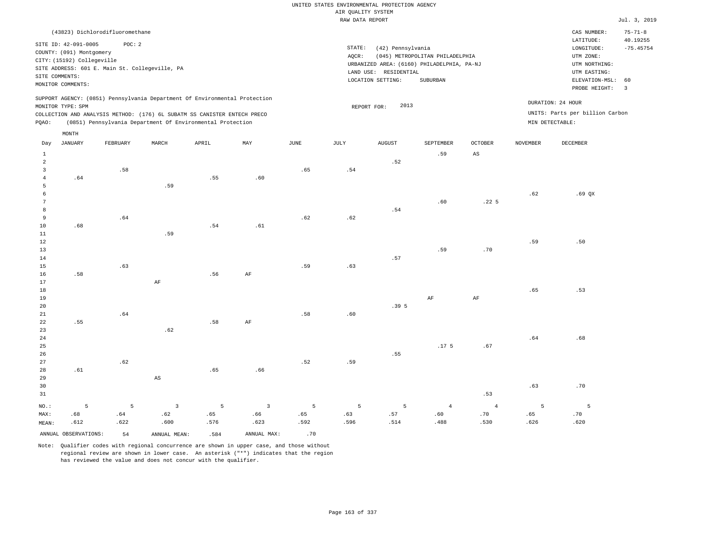| (43823) Dichlorodifluoromethane                                                                                                                                                                                                                             |                                                                                                                                                                                 | CAS NUMBER:                                                                                                 | $75 - 71 - 8$                 |
|-------------------------------------------------------------------------------------------------------------------------------------------------------------------------------------------------------------------------------------------------------------|---------------------------------------------------------------------------------------------------------------------------------------------------------------------------------|-------------------------------------------------------------------------------------------------------------|-------------------------------|
| SITE ID: 42-091-0005<br>POC:2<br>COUNTY: (091) Montgomery<br>CITY: (15192) Collegeville<br>SITE ADDRESS: 601 E. Main St. Collegeville, PA<br>SITE COMMENTS:<br>MONITOR COMMENTS:                                                                            | STATE:<br>(42) Pennsylvania<br>(045) METROPOLITAN PHILADELPHIA<br>AOCR:<br>URBANIZED AREA: (6160) PHILADELPHIA, PA-NJ<br>LAND USE: RESIDENTIAL<br>LOCATION SETTING:<br>SUBURBAN | LATITUDE:<br>LONGITUDE:<br>UTM ZONE:<br>UTM NORTHING:<br>UTM EASTING:<br>ELEVATION-MSL: 60<br>PROBE HEIGHT: | 40.19255<br>$-75.45754$<br>-3 |
| SUPPORT AGENCY: (0851) Pennsylvania Department Of Environmental Protection<br>MONITOR TYPE: SPM<br>COLLECTION AND ANALYSIS METHOD: (176) 6L SUBATM SS CANISTER ENTECH PRECO<br>(0851) Pennsylvania Department Of Environmental Protection<br>POAO:<br>MONTH | 2013<br>REPORT FOR:                                                                                                                                                             | DURATION: 24 HOUR<br>UNITS: Parts per billion Carbon<br>MIN DETECTABLE:                                     |                               |

| Day              | JANUARY              | FEBRUARY | MARCH                  | APRIL       | MAY            | JUNE | JULY    | AUGUST                       | SEPTEMBER        | OCTOBER                | NOVEMBER       | DECEMBER        |
|------------------|----------------------|----------|------------------------|-------------|----------------|------|---------|------------------------------|------------------|------------------------|----------------|-----------------|
| $\mathbf{1}$     |                      |          |                        |             |                |      |         |                              | .59              | $\mathbb{A}\mathbb{S}$ |                |                 |
| $\overline{a}$   |                      |          |                        |             |                |      |         | .52                          |                  |                        |                |                 |
| 3                |                      | .58      |                        |             |                | .65  | .54     |                              |                  |                        |                |                 |
| $\overline{4}$   | .64                  |          |                        | .55         | .60            |      |         |                              |                  |                        |                |                 |
| 5                |                      |          | .59                    |             |                |      |         |                              |                  |                        |                |                 |
| 6                |                      |          |                        |             |                |      |         |                              |                  |                        | .62            | $.69$ QX        |
| $7\phantom{.0}$  |                      |          |                        |             |                |      |         |                              | .60              | .22 <sub>5</sub>       |                |                 |
| 8                |                      |          |                        |             |                |      |         | $\footnotesize\substack{54}$ |                  |                        |                |                 |
| 9                |                      | .64      |                        |             |                | .62  | $.62\,$ |                              |                  |                        |                |                 |
| 10               | .68                  |          |                        | $.54\,$     | .61            |      |         |                              |                  |                        |                |                 |
| $11\,$           |                      |          | .59                    |             |                |      |         |                              |                  |                        |                |                 |
| 12               |                      |          |                        |             |                |      |         |                              |                  |                        | .59            | .50             |
| 13               |                      |          |                        |             |                |      |         |                              | .59              | $.70$                  |                |                 |
| 14               |                      |          |                        |             |                |      |         | .57                          |                  |                        |                |                 |
| 15               |                      | .63      |                        |             |                | .59  | .63     |                              |                  |                        |                |                 |
| 16               | .58                  |          |                        | .56         | $\rm{AF}$      |      |         |                              |                  |                        |                |                 |
| 17               |                      |          | $\rm{AF}$              |             |                |      |         |                              |                  |                        |                |                 |
| 18               |                      |          |                        |             |                |      |         |                              |                  |                        | .65            | .53             |
| 19               |                      |          |                        |             |                |      |         |                              | $\rm{AF}$        | $\rm{AF}$              |                |                 |
| $20\,$           |                      |          |                        |             |                |      |         | .395                         |                  |                        |                |                 |
| $2\sqrt{1}$      |                      | .64      |                        |             |                | .58  | .60     |                              |                  |                        |                |                 |
| 22               | .55                  |          |                        | .58         | $\rm{AF}$      |      |         |                              |                  |                        |                |                 |
| 23               |                      |          | .62                    |             |                |      |         |                              |                  |                        |                |                 |
| $2\,4$           |                      |          |                        |             |                |      |         |                              |                  |                        | .64            | .68             |
| 25               |                      |          |                        |             |                |      |         |                              | .17 <sub>5</sub> | .67                    |                |                 |
| 26               |                      |          |                        |             |                |      |         | .55                          |                  |                        |                |                 |
| 27               |                      | .62      |                        |             |                | .52  | .59     |                              |                  |                        |                |                 |
| 28               | .61                  |          |                        | .65         | .66            |      |         |                              |                  |                        |                |                 |
| 29               |                      |          | $\mathbb{A}\mathbb{S}$ |             |                |      |         |                              |                  |                        |                |                 |
| 30               |                      |          |                        |             |                |      |         |                              |                  |                        | .63            | .70             |
| 31               |                      |          |                        |             |                |      |         |                              |                  | .53                    |                |                 |
| $_{\rm NO.}$ :   | 5                    | 5        | $\mathsf 3$            | $\mathsf S$ | $\overline{3}$ | 5    | 5       | 5                            | $\overline{4}$   | $\overline{4}$         | $\overline{5}$ | $5\overline{5}$ |
| MAX:             | .68                  | .64      | .62                    | .65         | .66            | .65  | .63     | .57                          | .60              | .70                    | .65            | .70             |
| $\texttt{MEAN}:$ | .612                 | .622     | .600                   | .576        | .623           | .592 | .596    | .514                         | .488             | .530                   | .626           | .620            |
|                  | ANNUAL OBSERVATIONS: | 54       | ANNUAL MEAN:           | .584        | ANNUAL MAX:    | .70  |         |                              |                  |                        |                |                 |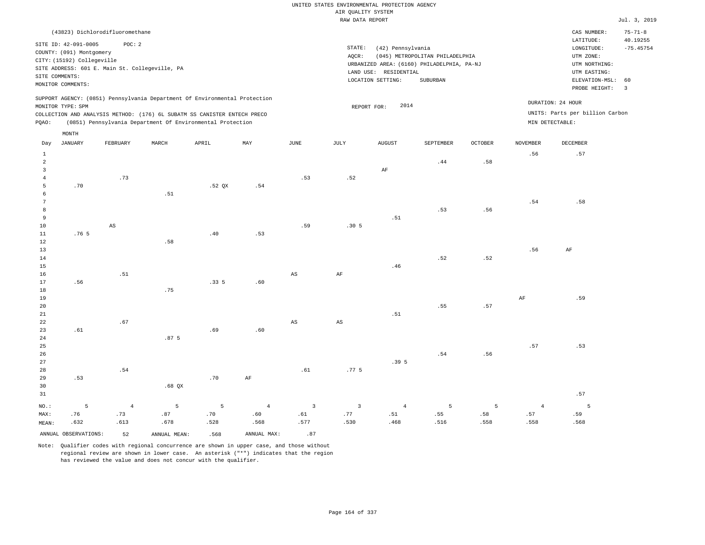|                                  |                                                                                                                       |                                 |                                                |                                                                            |                |                                                                                                                                                                                 | KAN PRIZA KOLONI        |                |           |         |                 |                                 | $0$ at $\frac{1}{2}$ , $\frac{1}{2}$                                                                                      |
|----------------------------------|-----------------------------------------------------------------------------------------------------------------------|---------------------------------|------------------------------------------------|----------------------------------------------------------------------------|----------------|---------------------------------------------------------------------------------------------------------------------------------------------------------------------------------|-------------------------|----------------|-----------|---------|-----------------|---------------------------------|---------------------------------------------------------------------------------------------------------------------------|
|                                  |                                                                                                                       | (43823) Dichlorodifluoromethane |                                                |                                                                            |                |                                                                                                                                                                                 |                         |                |           |         |                 | CAS NUMBER:<br>LATITUDE:        | $75 - 71 - 8$                                                                                                             |
|                                  | SITE ID: 42-091-0005<br>COUNTY: (091) Montgomery<br>CITY: (15192) Collegeville<br>SITE COMMENTS:<br>MONITOR COMMENTS: | POC: 2                          | SITE ADDRESS: 601 E. Main St. Collegeville, PA |                                                                            |                | STATE:<br>(42) Pennsylvania<br>(045) METROPOLITAN PHILADELPHIA<br>AQCR:<br>URBANIZED AREA: (6160) PHILADELPHIA, PA-NJ<br>LAND USE: RESIDENTIAL<br>LOCATION SETTING:<br>SUBURBAN |                         |                |           |         |                 |                                 | 40.19255<br>$-75.45754$<br>UTM NORTHING:<br>UTM EASTING:<br>ELEVATION-MSL: 60<br>PROBE HEIGHT:<br>$\overline{\mathbf{3}}$ |
|                                  |                                                                                                                       |                                 |                                                | SUPPORT AGENCY: (0851) Pennsylvania Department Of Environmental Protection |                |                                                                                                                                                                                 |                         | 2014           |           |         |                 | DURATION: 24 HOUR               |                                                                                                                           |
|                                  | MONITOR TYPE: SPM                                                                                                     |                                 |                                                | COLLECTION AND ANALYSIS METHOD: (176) 6L SUBATM SS CANISTER ENTECH PRECO   |                |                                                                                                                                                                                 |                         | REPORT FOR:    |           |         |                 | UNITS: Parts per billion Carbon |                                                                                                                           |
| PQAO:                            |                                                                                                                       |                                 |                                                | (0851) Pennsylvania Department Of Environmental Protection                 |                |                                                                                                                                                                                 |                         |                |           |         |                 | MIN DETECTABLE:                 |                                                                                                                           |
|                                  | MONTH                                                                                                                 |                                 |                                                |                                                                            |                |                                                                                                                                                                                 |                         |                |           |         |                 |                                 |                                                                                                                           |
| Day                              | <b>JANUARY</b>                                                                                                        | FEBRUARY                        | MARCH                                          | APRIL                                                                      | MAY            | $\mathtt{JUNE}$                                                                                                                                                                 | $\mathtt{JULY}$         | <b>AUGUST</b>  | SEPTEMBER | OCTOBER | <b>NOVEMBER</b> | DECEMBER                        |                                                                                                                           |
| $\mathbf{1}$                     |                                                                                                                       |                                 |                                                |                                                                            |                |                                                                                                                                                                                 |                         |                |           |         | .56             | .57                             |                                                                                                                           |
| $\overline{a}$                   |                                                                                                                       |                                 |                                                |                                                                            |                |                                                                                                                                                                                 |                         |                | .44       | .58     |                 |                                 |                                                                                                                           |
| $\overline{3}$<br>$\overline{4}$ |                                                                                                                       | .73                             |                                                |                                                                            |                | .53                                                                                                                                                                             |                         | AF             |           |         |                 |                                 |                                                                                                                           |
| 5                                | .70                                                                                                                   |                                 |                                                | .52 <sub>QX</sub>                                                          | .54            |                                                                                                                                                                                 | .52                     |                |           |         |                 |                                 |                                                                                                                           |
| 6                                |                                                                                                                       |                                 | .51                                            |                                                                            |                |                                                                                                                                                                                 |                         |                |           |         |                 |                                 |                                                                                                                           |
| $\overline{7}$                   |                                                                                                                       |                                 |                                                |                                                                            |                |                                                                                                                                                                                 |                         |                |           |         | .54             | .58                             |                                                                                                                           |
| 8                                |                                                                                                                       |                                 |                                                |                                                                            |                |                                                                                                                                                                                 |                         |                | .53       | .56     |                 |                                 |                                                                                                                           |
| $\overline{9}$                   |                                                                                                                       |                                 |                                                |                                                                            |                |                                                                                                                                                                                 |                         | .51            |           |         |                 |                                 |                                                                                                                           |
| 10                               |                                                                                                                       | $\mathbb{A}\mathbb{S}$          |                                                |                                                                            |                | .59                                                                                                                                                                             | .305                    |                |           |         |                 |                                 |                                                                                                                           |
| $1\,1$                           | .76 <sub>5</sub>                                                                                                      |                                 |                                                | .40                                                                        | .53            |                                                                                                                                                                                 |                         |                |           |         |                 |                                 |                                                                                                                           |
| 12<br>13                         |                                                                                                                       |                                 | .58                                            |                                                                            |                |                                                                                                                                                                                 |                         |                |           |         | .56             | AF                              |                                                                                                                           |
| 14                               |                                                                                                                       |                                 |                                                |                                                                            |                |                                                                                                                                                                                 |                         |                | .52       | .52     |                 |                                 |                                                                                                                           |
| 15                               |                                                                                                                       |                                 |                                                |                                                                            |                |                                                                                                                                                                                 |                         | .46            |           |         |                 |                                 |                                                                                                                           |
| 16                               |                                                                                                                       | .51                             |                                                |                                                                            |                | AS                                                                                                                                                                              | AF                      |                |           |         |                 |                                 |                                                                                                                           |
| 17                               | .56                                                                                                                   |                                 |                                                | .335                                                                       | .60            |                                                                                                                                                                                 |                         |                |           |         |                 |                                 |                                                                                                                           |
| 18                               |                                                                                                                       |                                 | .75                                            |                                                                            |                |                                                                                                                                                                                 |                         |                |           |         |                 |                                 |                                                                                                                           |
| 19                               |                                                                                                                       |                                 |                                                |                                                                            |                |                                                                                                                                                                                 |                         |                |           |         | $\rm{AF}$       | .59                             |                                                                                                                           |
| 20<br>21                         |                                                                                                                       |                                 |                                                |                                                                            |                |                                                                                                                                                                                 |                         | .51            | .55       | .57     |                 |                                 |                                                                                                                           |
| 22                               |                                                                                                                       | .67                             |                                                |                                                                            |                | AS                                                                                                                                                                              | $_{\rm AS}$             |                |           |         |                 |                                 |                                                                                                                           |
| 23                               | .61                                                                                                                   |                                 |                                                | .69                                                                        | .60            |                                                                                                                                                                                 |                         |                |           |         |                 |                                 |                                                                                                                           |
| 24                               |                                                                                                                       |                                 | .87 <sub>5</sub>                               |                                                                            |                |                                                                                                                                                                                 |                         |                |           |         |                 |                                 |                                                                                                                           |
| 25                               |                                                                                                                       |                                 |                                                |                                                                            |                |                                                                                                                                                                                 |                         |                |           |         | .57             | .53                             |                                                                                                                           |
| 26                               |                                                                                                                       |                                 |                                                |                                                                            |                |                                                                                                                                                                                 |                         |                | .54       | .56     |                 |                                 |                                                                                                                           |
| 27<br>28                         |                                                                                                                       | .54                             |                                                |                                                                            |                | .61                                                                                                                                                                             | .77 <sub>5</sub>        | .395           |           |         |                 |                                 |                                                                                                                           |
| 29                               | .53                                                                                                                   |                                 |                                                | .70                                                                        | AF             |                                                                                                                                                                                 |                         |                |           |         |                 |                                 |                                                                                                                           |
| 30                               |                                                                                                                       |                                 | $.68$ QX                                       |                                                                            |                |                                                                                                                                                                                 |                         |                |           |         |                 |                                 |                                                                                                                           |
| 31                               |                                                                                                                       |                                 |                                                |                                                                            |                |                                                                                                                                                                                 |                         |                |           |         |                 | .57                             |                                                                                                                           |
| NO.:                             | 5                                                                                                                     | $\overline{4}$                  | 5                                              | 5                                                                          | $\overline{4}$ | $\overline{\mathbf{3}}$                                                                                                                                                         | $\overline{\mathbf{3}}$ | $\overline{4}$ | 5         | 5       | $\overline{4}$  | 5                               |                                                                                                                           |

ANNUAL OBSERVATIONS: 52 ANNUAL MEAN: .568 ANNUAL MAX: .87

 .87 .678

MAX: MEAN:

 .76 .632  .73 .613

Note: Qualifier codes with regional concurrence are shown in upper case, and those without regional review are shown in lower case. An asterisk ("\*") indicates that the region has reviewed the value and does not concur with the qualifier.

 .70 .528  .60 .568  .61 .577

 .77 .530  .51 .468

 .55 .516  .58 .558  .57 .558  .59 .568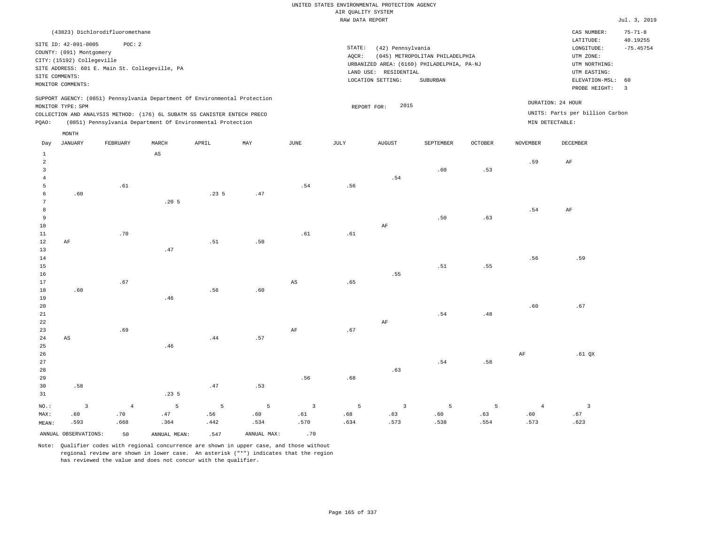| (43823) Dichlorodifluoromethane                                                                                                                                                                                                                    |                                                                                                                                                                                    | CAS NUMBER:                                                                                                 | $75 - 71 - 8$                 |
|----------------------------------------------------------------------------------------------------------------------------------------------------------------------------------------------------------------------------------------------------|------------------------------------------------------------------------------------------------------------------------------------------------------------------------------------|-------------------------------------------------------------------------------------------------------------|-------------------------------|
| SITE ID: 42-091-0005<br>POC:2<br>COUNTY: (091) Montgomery<br>CITY: (15192) Collegeville<br>SITE ADDRESS: 601 E. Main St. Collegeville, PA<br>SITE COMMENTS:<br>MONITOR COMMENTS:                                                                   | STATE:<br>(42) Pennsylvania<br>(045) METROPOLITAN PHILADELPHIA<br>AOCR:<br>URBANIZED AREA: (6160) PHILADELPHIA, PA-NJ<br>RESIDENTIAL<br>LAND USE:<br>LOCATION SETTING:<br>SUBURBAN | LATITUDE:<br>LONGITUDE:<br>UTM ZONE:<br>UTM NORTHING:<br>UTM EASTING:<br>ELEVATION-MSL: 60<br>PROBE HEIGHT: | 40.19255<br>$-75.45754$<br>-3 |
| SUPPORT AGENCY: (0851) Pennsylvania Department Of Environmental Protection<br>MONITOR TYPE: SPM<br>COLLECTION AND ANALYSIS METHOD: (176) 6L SUBATM SS CANISTER ENTECH PRECO<br>(0851) Pennsylvania Department Of Environmental Protection<br>POAO: | 2015<br>REPORT FOR:                                                                                                                                                                | DURATION: 24 HOUR<br>UNITS: Parts per billion Carbon<br>MIN DETECTABLE:                                     |                               |
| MONTH                                                                                                                                                                                                                                              |                                                                                                                                                                                    |                                                                                                             |                               |

| Day             | JANUARY                 | FEBRUARY   | MARCH                  | APRIL          | $\ensuremath{\text{MAX}}$ | $_{\rm JUNE}$          | $_{\rm JULY}$               | <b>AUGUST</b>  | SEPTEMBER | OCTOBER                       | NOVEMBER       | DECEMBER                |
|-----------------|-------------------------|------------|------------------------|----------------|---------------------------|------------------------|-----------------------------|----------------|-----------|-------------------------------|----------------|-------------------------|
| 1               |                         |            | $\mathbb{A}\mathbb{S}$ |                |                           |                        |                             |                |           |                               |                |                         |
| $\overline{a}$  |                         |            |                        |                |                           |                        |                             |                |           |                               | .59            | $\rm AF$                |
| 3               |                         |            |                        |                |                           |                        |                             |                | .60       | .53                           |                |                         |
| $\overline{4}$  |                         |            |                        |                |                           |                        |                             | $.54\,$        |           |                               |                |                         |
| 5               |                         | .61        |                        |                |                           | .54                    | .56                         |                |           |                               |                |                         |
| 6               | .60                     |            |                        | .235           | .47                       |                        |                             |                |           |                               |                |                         |
| $7\phantom{.0}$ |                         |            | .20 <sub>5</sub>       |                |                           |                        |                             |                |           |                               |                |                         |
| 8               |                         |            |                        |                |                           |                        |                             |                |           |                               | .54            | $\rm{AF}$               |
| 9               |                         |            |                        |                |                           |                        |                             |                | .50       | .63                           |                |                         |
| $10$            |                         |            |                        |                |                           |                        |                             | $\rm{AF}$      |           |                               |                |                         |
| 11              |                         | .70        |                        |                |                           | .61                    | $.61\,$                     |                |           |                               |                |                         |
| 12              | $\rm AF$                |            |                        | .51            | .50                       |                        |                             |                |           |                               |                |                         |
| 13              |                         |            | .47                    |                |                           |                        |                             |                |           |                               |                |                         |
| 14              |                         |            |                        |                |                           |                        |                             |                |           |                               | .56            | .59                     |
| 15              |                         |            |                        |                |                           |                        |                             |                | .51       | .55                           |                |                         |
| 16              |                         |            |                        |                |                           |                        |                             | .55            |           |                               |                |                         |
| 17              |                         | .67        |                        |                |                           | $\mathbb{A}\mathbb{S}$ | .65                         |                |           |                               |                |                         |
| 18              | .60                     |            |                        | .56            | .60                       |                        |                             |                |           |                               |                |                         |
| 19              |                         |            | .46                    |                |                           |                        |                             |                |           |                               |                |                         |
| 20              |                         |            |                        |                |                           |                        |                             |                |           |                               | .60            | .67                     |
| $21\,$          |                         |            |                        |                |                           |                        |                             |                | .54       | $\footnotesize{\textbf{.48}}$ |                |                         |
| $2\sqrt{2}$     |                         |            |                        |                |                           |                        |                             | $\rm{AF}$      |           |                               |                |                         |
| 23              |                         | .69        |                        |                |                           | $\rm{AF}$              | $\boldsymbol{\mathsf{.67}}$ |                |           |                               |                |                         |
| $2\,4$          | $\mathbb{A}\mathbb{S}$  |            |                        | .44            | .57                       |                        |                             |                |           |                               |                |                         |
| 25              |                         |            | .46                    |                |                           |                        |                             |                |           |                               |                |                         |
| $26\,$          |                         |            |                        |                |                           |                        |                             |                |           |                               | $\rm{AF}$      | .61 $QX$                |
| 27              |                         |            |                        |                |                           |                        |                             |                | .54       | .58                           |                |                         |
| 28              |                         |            |                        |                |                           |                        |                             | .63            |           |                               |                |                         |
| 29              |                         |            |                        |                |                           | .56                    | .68                         |                |           |                               |                |                         |
| 30              | .58                     |            |                        | .47            | .53                       |                        |                             |                |           |                               |                |                         |
| 31              |                         |            | .235                   |                |                           |                        |                             |                |           |                               |                |                         |
| $_{\rm NO.}$ :  | $\overline{\mathbf{3}}$ | $\sqrt{4}$ | $\overline{5}$         | $\overline{5}$ | $\overline{5}$            | $\overline{3}$         | 5                           | $\overline{3}$ | 5         | 5                             | $\overline{4}$ | $\overline{\mathbf{3}}$ |
| MAX:            | .60                     | .70        | .47                    | .56            | .60                       | .61                    | .68                         | .63            | .60       | .63                           | .60            | .67                     |
| MEAN:           | .593                    | .668       | .364                   | .442           | .534                      | .570                   | .634                        | .573           | .538      | .554                          | .573           | .623                    |
|                 | ANNUAL OBSERVATIONS:    | 50         | ANNUAL MEAN:           | .547           | ANNUAL MAX:               | .70                    |                             |                |           |                               |                |                         |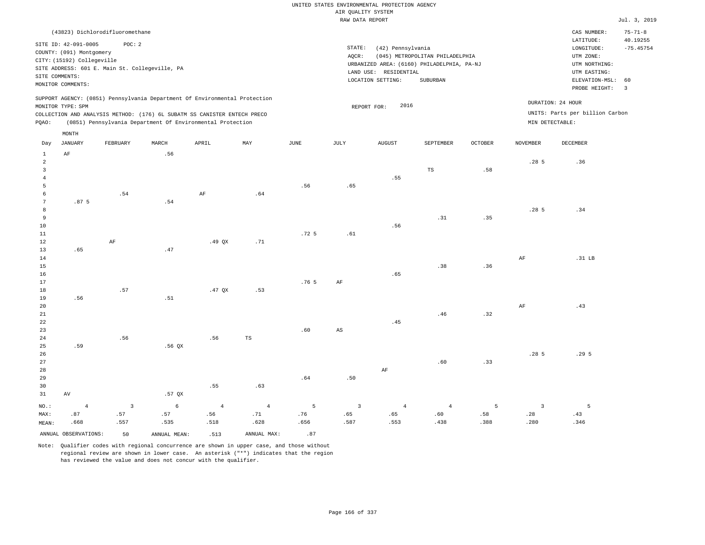|                | (43823) Dichlorodifluoromethane                                                                                                                                                                                                           |          |       |       |     |      |                              |                                                                                                     |                                             |         |                                      | CAS NUMBER:                                                                                | $75 - 71 - 8$           |
|----------------|-------------------------------------------------------------------------------------------------------------------------------------------------------------------------------------------------------------------------------------------|----------|-------|-------|-----|------|------------------------------|-----------------------------------------------------------------------------------------------------|---------------------------------------------|---------|--------------------------------------|--------------------------------------------------------------------------------------------|-------------------------|
| SITE COMMENTS: | SITE ID: 42-091-0005<br>COUNTY: (091) Montgomery<br>CITY: (15192) Collegeville<br>SITE ADDRESS: 601 E. Main St. Collegeville, PA                                                                                                          | POC:2    |       |       |     |      | STATE:<br>AOCR:<br>LAND USE: | (42) Pennsylvania<br>URBANIZED AREA: (6160) PHILADELPHIA, PA-NJ<br>RESIDENTIAL<br>LOCATION SETTING: | (045) METROPOLITAN PHILADELPHIA<br>SUBURBAN |         |                                      | LATITUDE:<br>LONGITUDE:<br>UTM ZONE:<br>UTM NORTHING:<br>UTM EASTING:<br>ELEVATION-MSL: 60 | 40.19255<br>$-75.45754$ |
|                | MONITOR COMMENTS:                                                                                                                                                                                                                         |          |       |       |     |      |                              |                                                                                                     |                                             |         |                                      | PROBE HEIGHT:                                                                              | 3                       |
| POAO:          | SUPPORT AGENCY: (0851) Pennsylvania Department Of Environmental Protection<br>MONITOR TYPE: SPM<br>COLLECTION AND ANALYSIS METHOD: (176) 6L SUBATM SS CANISTER ENTECH PRECO<br>(0851) Pennsylvania Department Of Environmental Protection |          |       |       |     |      | REPORT FOR:                  | 2016                                                                                                |                                             |         | DURATION: 24 HOUR<br>MIN DETECTABLE: | UNITS: Parts per billion Carbon                                                            |                         |
| Day            | MONTH<br>JANUARY                                                                                                                                                                                                                          | FEBRUARY | MARCH | APRIL | MAY | JUNE | JULY                         | AUGUST                                                                                              | SEPTEMBER                                   | OCTOBER | <b>NOVEMBER</b>                      | DECEMBER                                                                                   |                         |

| $\mathbf{1}$   | AF               |                         | .56             |                |                |                  |                         |                |                |      |                         |                  |
|----------------|------------------|-------------------------|-----------------|----------------|----------------|------------------|-------------------------|----------------|----------------|------|-------------------------|------------------|
| $\overline{a}$ |                  |                         |                 |                |                |                  |                         |                |                |      | .28 <sub>5</sub>        | .36              |
| $\overline{3}$ |                  |                         |                 |                |                |                  |                         |                | $_{\rm TS}$    | .58  |                         |                  |
| $\overline{4}$ |                  |                         |                 |                |                |                  |                         | .55            |                |      |                         |                  |
| 5              |                  |                         |                 |                |                | .56              | .65                     |                |                |      |                         |                  |
| 6              |                  | .54                     |                 | $\rm{AF}$      | .64            |                  |                         |                |                |      |                         |                  |
| 7              | .87 <sub>5</sub> |                         | .54             |                |                |                  |                         |                |                |      |                         |                  |
| 8              |                  |                         |                 |                |                |                  |                         |                |                |      | .28 <sub>5</sub>        | .34              |
| 9              |                  |                         |                 |                |                |                  |                         |                | .31            | .35  |                         |                  |
| $10\,$         |                  |                         |                 |                |                |                  |                         | .56            |                |      |                         |                  |
| $11\,$         |                  |                         |                 |                |                | .72 5            | .61                     |                |                |      |                         |                  |
| 12             |                  | $\rm AF$                |                 | $.49$ QX       | .71            |                  |                         |                |                |      |                         |                  |
| 13             | .65              |                         | .47             |                |                |                  |                         |                |                |      |                         |                  |
| 14             |                  |                         |                 |                |                |                  |                         |                |                |      | $\rm{AF}$               | $.31$ LB         |
| $15\,$         |                  |                         |                 |                |                |                  |                         |                | .38            | .36  |                         |                  |
| $16$           |                  |                         |                 |                |                |                  |                         | .65            |                |      |                         |                  |
| 17             |                  |                         |                 |                |                | .76 <sub>5</sub> | $\rm{AF}$               |                |                |      |                         |                  |
| 18             |                  | .57                     |                 | .47 $QX$       | .53            |                  |                         |                |                |      |                         |                  |
| 19             | .56              |                         | .51             |                |                |                  |                         |                |                |      |                         |                  |
| 20             |                  |                         |                 |                |                |                  |                         |                |                |      | $\rm{AF}$               | .43              |
| $21\,$         |                  |                         |                 |                |                |                  |                         |                | .46            | .32  |                         |                  |
| $2\sqrt{2}$    |                  |                         |                 |                |                |                  |                         | .45            |                |      |                         |                  |
| 23             |                  |                         |                 |                |                | .60              | $\mathbb{A}\mathbb{S}$  |                |                |      |                         |                  |
| $2\sqrt{4}$    |                  | .56                     |                 | .56            | $_{\rm TS}$    |                  |                         |                |                |      |                         |                  |
| 25             | .59              |                         | $.56$ QX        |                |                |                  |                         |                |                |      |                         |                  |
| $26\,$         |                  |                         |                 |                |                |                  |                         |                |                |      | .28 <sub>5</sub>        | .29 <sub>5</sub> |
| $2\,7$         |                  |                         |                 |                |                |                  |                         |                | .60            | .33  |                         |                  |
| $28\,$         |                  |                         |                 |                |                |                  |                         | $\rm{AF}$      |                |      |                         |                  |
| 29             |                  |                         |                 |                |                | .64              | .50                     |                |                |      |                         |                  |
| 30             |                  |                         |                 | .55            | .63            |                  |                         |                |                |      |                         |                  |
| 31             | $\,\mathrm{AV}$  |                         | $.57$ QX        |                |                |                  |                         |                |                |      |                         |                  |
| $_{\rm NO.}$ : | $\sqrt{4}$       | $\overline{\mathbf{3}}$ | $6\overline{6}$ | $\overline{4}$ | $\overline{4}$ | $5\phantom{.0}$  | $\overline{\mathbf{3}}$ | $\overline{4}$ | $\overline{4}$ | 5    | $\overline{\mathbf{3}}$ | $5^{\circ}$      |
| MAX:           | .87              | .57                     | .57             | .56            | .71            | .76              | .65                     | .65            | .60            | .58  | .28                     | .43              |
| MEAN:          | .668             | .557                    | .535            | .518           | .628           | .656             | .587                    | .553           | .438           | .388 | .280                    | .346             |

ANNUAL OBSERVATIONS:  $\begin{array}{ccc} 50 & \text{ANNUAL MEAN:} \\ 5 & 5 & \text{ANNUAL MAX:} \end{array}$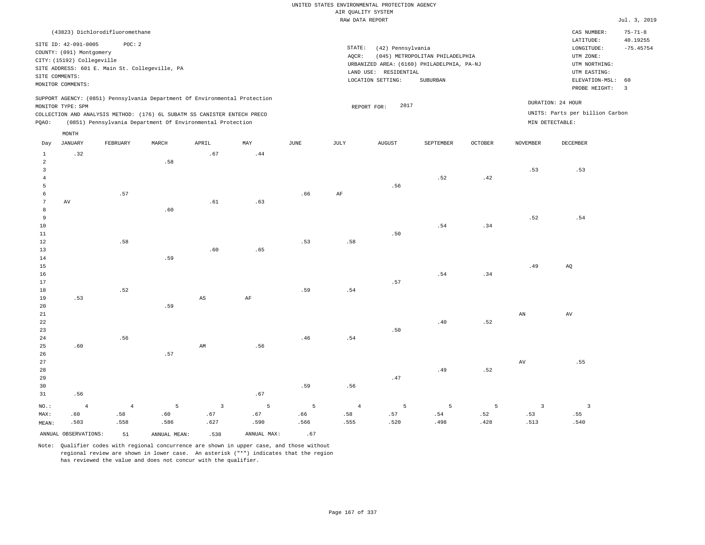|                |                            |                                                |                |                                                                            |              |               |                    | UNITED STATES ENVIRONMENTAL PROTECTION AGENCY |                                 |                |                         |                                 |                               |
|----------------|----------------------------|------------------------------------------------|----------------|----------------------------------------------------------------------------|--------------|---------------|--------------------|-----------------------------------------------|---------------------------------|----------------|-------------------------|---------------------------------|-------------------------------|
|                |                            |                                                |                |                                                                            |              |               | AIR QUALITY SYSTEM |                                               |                                 |                |                         |                                 |                               |
|                |                            |                                                |                |                                                                            |              |               | RAW DATA REPORT    |                                               |                                 |                |                         |                                 | Jul. 3, 2019                  |
|                |                            | (43823) Dichlorodifluoromethane                |                |                                                                            |              |               |                    |                                               |                                 |                |                         | CAS NUMBER:                     | $75 - 71 - 8$                 |
|                | SITE ID: 42-091-0005       | POC: 2                                         |                |                                                                            |              |               |                    |                                               |                                 |                |                         | LATITUDE:                       | 40.19255                      |
|                | COUNTY: (091) Montgomery   |                                                |                |                                                                            |              |               | STATE:             | (42) Pennsylvania                             |                                 |                |                         | LONGITUDE:                      | $-75.45754$                   |
|                | CITY: (15192) Collegeville |                                                |                |                                                                            |              |               | AQCR:              |                                               | (045) METROPOLITAN PHILADELPHIA |                |                         | UTM ZONE:                       |                               |
|                |                            | SITE ADDRESS: 601 E. Main St. Collegeville, PA |                |                                                                            |              |               |                    | URBANIZED AREA: (6160) PHILADELPHIA, PA-NJ    |                                 |                |                         | UTM NORTHING:                   |                               |
|                | SITE COMMENTS:             |                                                |                |                                                                            |              |               |                    | LAND USE: RESIDENTIAL                         |                                 |                |                         | UTM EASTING:                    |                               |
|                | MONITOR COMMENTS:          |                                                |                |                                                                            |              |               |                    | LOCATION SETTING:                             | ${\tt SUBURBAN}$                |                |                         | ELEVATION-MSL:<br>PROBE HEIGHT: | 60<br>$\overline{\mathbf{3}}$ |
|                |                            |                                                |                | SUPPORT AGENCY: (0851) Pennsylvania Department Of Environmental Protection |              |               |                    |                                               |                                 |                |                         |                                 |                               |
|                | MONITOR TYPE: SPM          |                                                |                |                                                                            |              |               |                    | 2017<br>REPORT FOR:                           |                                 |                |                         | DURATION: 24 HOUR               |                               |
|                |                            |                                                |                | COLLECTION AND ANALYSIS METHOD: (176) 6L SUBATM SS CANISTER ENTECH PRECO   |              |               |                    |                                               |                                 |                |                         | UNITS: Parts per billion Carbon |                               |
| PQAO:          |                            |                                                |                | (0851) Pennsylvania Department Of Environmental Protection                 |              |               |                    |                                               |                                 |                |                         | MIN DETECTABLE:                 |                               |
|                | $\texttt{MONTH}$           |                                                |                |                                                                            |              |               |                    |                                               |                                 |                |                         |                                 |                               |
| Day            | <b>JANUARY</b>             | FEBRUARY                                       | MARCH          | APRIL                                                                      | $_{\rm MAY}$ | $_{\rm JUNE}$ | $\mathtt{JULY}$    | <b>AUGUST</b>                                 | SEPTEMBER                       | <b>OCTOBER</b> | <b>NOVEMBER</b>         | DECEMBER                        |                               |
| $\mathbf{1}$   | .32                        |                                                |                | .67                                                                        | .44          |               |                    |                                               |                                 |                |                         |                                 |                               |
| $\overline{a}$ |                            |                                                | .58            |                                                                            |              |               |                    |                                               |                                 |                |                         |                                 |                               |
| 3              |                            |                                                |                |                                                                            |              |               |                    |                                               |                                 |                | .53                     | .53                             |                               |
| $\bf{4}$       |                            |                                                |                |                                                                            |              |               |                    |                                               | .52                             | .42            |                         |                                 |                               |
| $5^{\circ}$    |                            |                                                |                |                                                                            |              |               |                    | .56                                           |                                 |                |                         |                                 |                               |
| 6              |                            | .57                                            |                |                                                                            |              | .66           | $\rm{AF}$          |                                               |                                 |                |                         |                                 |                               |
| 7              | AV                         |                                                |                | .61                                                                        | .63          |               |                    |                                               |                                 |                |                         |                                 |                               |
| 8              |                            |                                                | .60            |                                                                            |              |               |                    |                                               |                                 |                |                         |                                 |                               |
| 9              |                            |                                                |                |                                                                            |              |               |                    |                                               |                                 |                | .52                     | .54                             |                               |
| 10             |                            |                                                |                |                                                                            |              |               |                    |                                               | .54                             | .34            |                         |                                 |                               |
| 11             |                            |                                                |                |                                                                            |              |               |                    | .50                                           |                                 |                |                         |                                 |                               |
| $1\,2$         |                            | .58                                            |                |                                                                            |              | .53           | .58                |                                               |                                 |                |                         |                                 |                               |
| 13             |                            |                                                |                | .60                                                                        | .65          |               |                    |                                               |                                 |                |                         |                                 |                               |
| 14             |                            |                                                | .59            |                                                                            |              |               |                    |                                               |                                 |                |                         |                                 |                               |
| 15             |                            |                                                |                |                                                                            |              |               |                    |                                               |                                 |                | .49                     | AQ                              |                               |
| 16             |                            |                                                |                |                                                                            |              |               |                    |                                               | .54                             | .34            |                         |                                 |                               |
| 17             |                            |                                                |                |                                                                            |              |               |                    | .57                                           |                                 |                |                         |                                 |                               |
| 18             |                            | .52                                            |                |                                                                            |              | .59           | .54                |                                               |                                 |                |                         |                                 |                               |
| 19             | .53                        |                                                |                | $\mathbb{A}\mathbb{S}$                                                     | $\rm{AF}$    |               |                    |                                               |                                 |                |                         |                                 |                               |
| 20             |                            |                                                | .59            |                                                                            |              |               |                    |                                               |                                 |                |                         |                                 |                               |
| 21             |                            |                                                |                |                                                                            |              |               |                    |                                               |                                 |                | AN                      | AV                              |                               |
| 22<br>23       |                            |                                                |                |                                                                            |              |               |                    | .50                                           | .40                             | .52            |                         |                                 |                               |
|                |                            | .56                                            |                |                                                                            |              |               |                    |                                               |                                 |                |                         |                                 |                               |
| 24<br>25       |                            |                                                |                | AM                                                                         | .56          | .46           | .54                |                                               |                                 |                |                         |                                 |                               |
| 26             | .60                        |                                                | .57            |                                                                            |              |               |                    |                                               |                                 |                |                         |                                 |                               |
| 27             |                            |                                                |                |                                                                            |              |               |                    |                                               |                                 |                | AV                      | .55                             |                               |
| 28             |                            |                                                |                |                                                                            |              |               |                    |                                               | .49                             | .52            |                         |                                 |                               |
|                |                            |                                                |                |                                                                            |              |               |                    | $\footnotesize{\texttt{.47}}$                 |                                 |                |                         |                                 |                               |
| 29<br>30       |                            |                                                |                |                                                                            |              | .59           | .56                |                                               |                                 |                |                         |                                 |                               |
| 31             | .56                        |                                                |                |                                                                            | .67          |               |                    |                                               |                                 |                |                         |                                 |                               |
| NO.:           | $\overline{4}$             | $\overline{4}$                                 | $\overline{5}$ | $\overline{3}$                                                             | 5            | 5             | $\overline{4}$     | 5                                             | 5                               | 5              | $\overline{\mathbf{3}}$ | $\overline{\mathbf{3}}$         |                               |
| MAX:           | .60                        | .58                                            | .60            | .67                                                                        | .67          | .66           | .58                | .57                                           | .54                             | .52            | .53                     | .55                             |                               |
| MEAN:          | .503                       | .558                                           | .586           | .627                                                                       | .590         | .566          | .555               | .520                                          | .498                            | .428           | .513                    | .540                            |                               |

ANNUAL OBSERVATIONS:  $51$  ANNUAL MEAN: .538 ANNUAL MAX: .67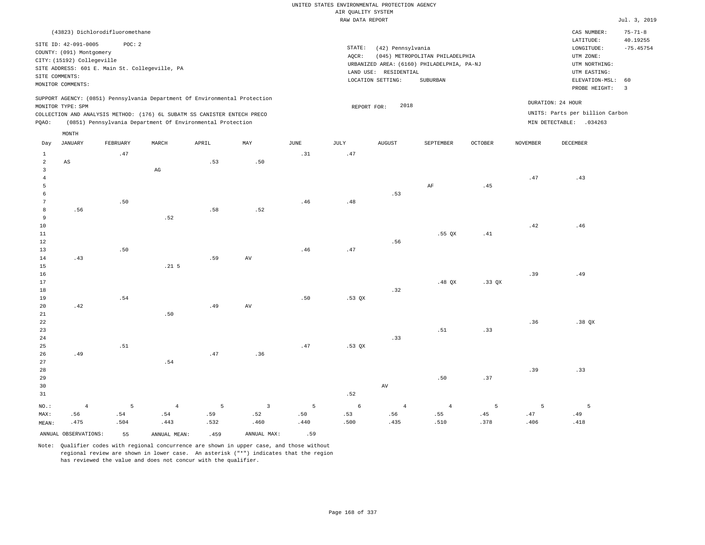|                |                            |                                                |                        |                                                                            |                |             | UNITED STATES ENVIRONMENTAL PROTECTION AGENCY |                       |                                            |                |                 |                                 |                           |
|----------------|----------------------------|------------------------------------------------|------------------------|----------------------------------------------------------------------------|----------------|-------------|-----------------------------------------------|-----------------------|--------------------------------------------|----------------|-----------------|---------------------------------|---------------------------|
|                |                            |                                                |                        |                                                                            |                |             | AIR QUALITY SYSTEM                            |                       |                                            |                |                 |                                 |                           |
|                |                            |                                                |                        |                                                                            |                |             | RAW DATA REPORT                               |                       |                                            |                |                 |                                 | Jul. 3, 2019              |
|                |                            | (43823) Dichlorodifluoromethane                |                        |                                                                            |                |             |                                               |                       |                                            |                |                 | CAS NUMBER:<br>LATITUDE:        | $75 - 71 - 8$<br>40.19255 |
|                | SITE ID: 42-091-0005       | POC: 2                                         |                        |                                                                            |                |             | STATE:                                        | (42) Pennsylvania     |                                            |                |                 | LONGITUDE:                      | $-75.45754$               |
|                | COUNTY: (091) Montgomery   |                                                |                        |                                                                            |                |             | AQCR:                                         |                       | (045) METROPOLITAN PHILADELPHIA            |                |                 | UTM ZONE:                       |                           |
|                | CITY: (15192) Collegeville |                                                |                        |                                                                            |                |             |                                               |                       | URBANIZED AREA: (6160) PHILADELPHIA, PA-NJ |                |                 | UTM NORTHING:                   |                           |
|                |                            | SITE ADDRESS: 601 E. Main St. Collegeville, PA |                        |                                                                            |                |             |                                               | LAND USE: RESIDENTIAL |                                            |                |                 | UTM EASTING:                    |                           |
|                | SITE COMMENTS:             |                                                |                        |                                                                            |                |             |                                               | LOCATION SETTING:     | SUBURBAN                                   |                |                 | ELEVATION-MSL: 60               |                           |
|                | MONITOR COMMENTS:          |                                                |                        |                                                                            |                |             |                                               |                       |                                            |                |                 | PROBE HEIGHT:                   | $\overline{\mathbf{3}}$   |
|                | MONITOR TYPE: SPM          |                                                |                        | SUPPORT AGENCY: (0851) Pennsylvania Department Of Environmental Protection |                |             | REPORT FOR:                                   | 2018                  |                                            |                |                 | DURATION: 24 HOUR               |                           |
|                |                            |                                                |                        | COLLECTION AND ANALYSIS METHOD: (176) 6L SUBATM SS CANISTER ENTECH PRECO   |                |             |                                               |                       |                                            |                |                 | UNITS: Parts per billion Carbon |                           |
| PQAO:          |                            |                                                |                        | (0851) Pennsylvania Department Of Environmental Protection                 |                |             |                                               |                       |                                            |                |                 | MIN DETECTABLE: .034263         |                           |
|                | MONTH                      |                                                |                        |                                                                            |                |             |                                               |                       |                                            |                |                 |                                 |                           |
| Day            | <b>JANUARY</b>             | FEBRUARY                                       | MARCH                  | APRIL                                                                      | MAY            | <b>JUNE</b> | <b>JULY</b>                                   | <b>AUGUST</b>         | SEPTEMBER                                  | <b>OCTOBER</b> | <b>NOVEMBER</b> | <b>DECEMBER</b>                 |                           |
| $\mathbf{1}$   |                            | .47                                            |                        |                                                                            |                | .31         | .47                                           |                       |                                            |                |                 |                                 |                           |
| $\overline{a}$ | AS                         |                                                |                        | .53                                                                        | .50            |             |                                               |                       |                                            |                |                 |                                 |                           |
| 3              |                            |                                                | $\mathbb{A}\mathbb{G}$ |                                                                            |                |             |                                               |                       |                                            |                |                 |                                 |                           |
| $\overline{4}$ |                            |                                                |                        |                                                                            |                |             |                                               |                       |                                            |                | .47             | .43                             |                           |
| 5              |                            |                                                |                        |                                                                            |                |             |                                               |                       | AF                                         | .45            |                 |                                 |                           |
| 6              |                            |                                                |                        |                                                                            |                |             |                                               | .53                   |                                            |                |                 |                                 |                           |
| 7              |                            | .50                                            |                        |                                                                            |                | .46         | .48                                           |                       |                                            |                |                 |                                 |                           |
| 8<br>9         | .56                        |                                                | .52                    | .58                                                                        | .52            |             |                                               |                       |                                            |                |                 |                                 |                           |
| 10             |                            |                                                |                        |                                                                            |                |             |                                               |                       |                                            |                | .42             | .46                             |                           |
| $11\,$         |                            |                                                |                        |                                                                            |                |             |                                               |                       | $.55$ QX                                   | .41            |                 |                                 |                           |
| 12             |                            |                                                |                        |                                                                            |                |             |                                               | .56                   |                                            |                |                 |                                 |                           |
| 13             |                            | .50                                            |                        |                                                                            |                | .46         | .47                                           |                       |                                            |                |                 |                                 |                           |
| 14             | .43                        |                                                |                        | .59                                                                        | AV             |             |                                               |                       |                                            |                |                 |                                 |                           |
| 15             |                            |                                                | .21 <sub>5</sub>       |                                                                            |                |             |                                               |                       |                                            |                |                 |                                 |                           |
| 16             |                            |                                                |                        |                                                                            |                |             |                                               |                       |                                            |                | .39             | .49                             |                           |
| 17             |                            |                                                |                        |                                                                            |                |             |                                               |                       | $.48$ QX                                   | .33 QX         |                 |                                 |                           |
| 18             |                            |                                                |                        |                                                                            |                |             |                                               | .32                   |                                            |                |                 |                                 |                           |
| 19             |                            | .54                                            |                        |                                                                            |                | .50         | $.53$ QX                                      |                       |                                            |                |                 |                                 |                           |
| 20             | .42                        |                                                |                        | .49                                                                        | AV             |             |                                               |                       |                                            |                |                 |                                 |                           |
| 21             |                            |                                                | .50                    |                                                                            |                |             |                                               |                       |                                            |                |                 |                                 |                           |
| 22             |                            |                                                |                        |                                                                            |                |             |                                               |                       |                                            |                | .36             | .38 QX                          |                           |
| 23             |                            |                                                |                        |                                                                            |                |             |                                               |                       | .51                                        | .33            |                 |                                 |                           |
| 24             |                            |                                                |                        |                                                                            |                |             |                                               | .33                   |                                            |                |                 |                                 |                           |
| 25             |                            | .51                                            |                        |                                                                            |                | .47         | .53 QX                                        |                       |                                            |                |                 |                                 |                           |
| 26             | .49                        |                                                |                        | .47                                                                        | .36            |             |                                               |                       |                                            |                |                 |                                 |                           |
| 27             |                            |                                                | .54                    |                                                                            |                |             |                                               |                       |                                            |                |                 |                                 |                           |
| 28<br>29       |                            |                                                |                        |                                                                            |                |             |                                               |                       | .50                                        | .37            | .39             | .33                             |                           |
| 30             |                            |                                                |                        |                                                                            |                |             |                                               | AV                    |                                            |                |                 |                                 |                           |
| 31             |                            |                                                |                        |                                                                            |                |             | .52                                           |                       |                                            |                |                 |                                 |                           |
|                |                            |                                                |                        |                                                                            |                |             |                                               |                       |                                            |                |                 |                                 |                           |
| NO.:           | $\overline{4}$             | 5                                              | $\overline{4}$         | 5                                                                          | $\overline{3}$ | 5           | 6                                             | 4                     | $\overline{4}$                             | 5              | 5               | 5                               |                           |

ANNUAL OBSERVATIONS: 55 ANNUAL MEAN: .459 ANNUAL MAX: .59

 .54 .443

NO.: MAX: MEAN:

 .56 .475  .54 .504

Note: Qualifier codes with regional concurrence are shown in upper case, and those without regional review are shown in lower case. An asterisk ("\*") indicates that the region has reviewed the value and does not concur with the qualifier.

 .59 .532  .52 .460  .50 .440

 .53 .500

 .56 .435  .55 .510  .45 .378

 .47 .406  .49 .418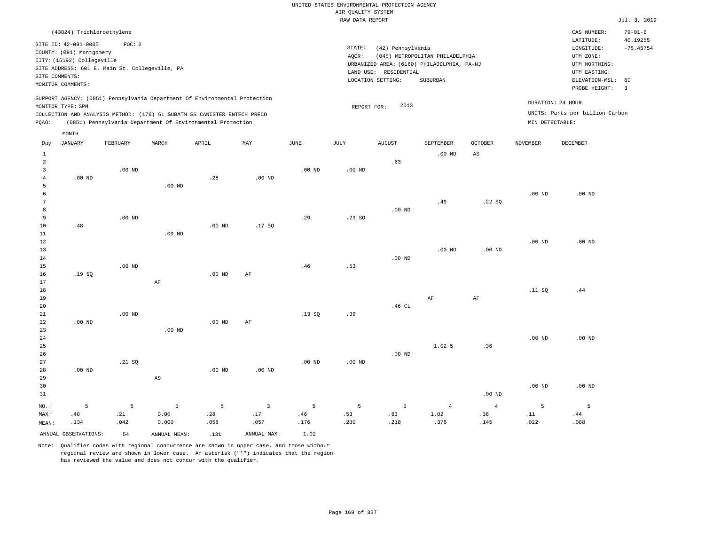|                                    | (43824) Trichloroethylene                                                                           |                                                          |                   |                                                                                                                                                                                                                      |                   |             |                 |                                                                                                                                                  |                |                                                                                         |                                      | CAS NUMBER:                                      | $79 - 01 - 6$  |
|------------------------------------|-----------------------------------------------------------------------------------------------------|----------------------------------------------------------|-------------------|----------------------------------------------------------------------------------------------------------------------------------------------------------------------------------------------------------------------|-------------------|-------------|-----------------|--------------------------------------------------------------------------------------------------------------------------------------------------|----------------|-----------------------------------------------------------------------------------------|--------------------------------------|--------------------------------------------------|----------------|
| SITE COMMENTS:                     | SITE ID: 42-091-0005<br>COUNTY: (091) Montgomery<br>CITY: (15192) Collegeville<br>MONITOR COMMENTS: | POC: 2<br>SITE ADDRESS: 601 E. Main St. Collegeville, PA |                   |                                                                                                                                                                                                                      |                   |             | STATE:<br>AQCR: | (42) Pennsylvania<br>(045) METROPOLITAN PHILADELPHIA<br>URBANIZED AREA: (6160) PHILADELPHIA, PA-NJ<br>LAND USE: RESIDENTIAL<br>LOCATION SETTING: |                | LATITUDE:<br>LONGITUDE:<br>UTM ZONE:<br>UTM NORTHING:<br>UTM EASTING:<br>ELEVATION-MSL: | 40.19255<br>$-75.45754$<br>60        |                                                  |                |
| PQAO:                              | MONITOR TYPE: SPM                                                                                   |                                                          |                   | SUPPORT AGENCY: (0851) Pennsylvania Department Of Environmental Protection<br>COLLECTION AND ANALYSIS METHOD: (176) 6L SUBATM SS CANISTER ENTECH PRECO<br>(0851) Pennsylvania Department Of Environmental Protection |                   |             | REPORT FOR:     | 2013                                                                                                                                             |                |                                                                                         | DURATION: 24 HOUR<br>MIN DETECTABLE: | PROBE HEIGHT:<br>UNITS: Parts per billion Carbon | $\overline{3}$ |
| Day                                | MONTH<br><b>JANUARY</b>                                                                             | FEBRUARY                                                 | MARCH             | APRIL                                                                                                                                                                                                                | MAY               | JUNE        | JULY            | <b>AUGUST</b>                                                                                                                                    | SEPTEMBER      | <b>OCTOBER</b>                                                                          | <b>NOVEMBER</b>                      | <b>DECEMBER</b>                                  |                |
| $\mathbf{1}$<br>$\sqrt{2}$         |                                                                                                     |                                                          |                   |                                                                                                                                                                                                                      |                   |             |                 | .63                                                                                                                                              | $.00$ ND       | AS                                                                                      |                                      |                                                  |                |
| $\overline{3}$<br>$\sqrt{4}$<br>5  | $.00$ ND                                                                                            | $.00$ ND                                                 | $.00$ ND          | .28                                                                                                                                                                                                                  | .00 <sub>ND</sub> | $.00$ ND    | $.00$ ND        |                                                                                                                                                  |                |                                                                                         |                                      |                                                  |                |
| 6<br>$7\phantom{.0}$<br>$^{\rm 8}$ |                                                                                                     |                                                          |                   |                                                                                                                                                                                                                      |                   |             |                 | $.00$ ND                                                                                                                                         | .49            | .22SQ                                                                                   | $.00$ ND                             | $.00$ ND                                         |                |
| 9<br>$10$<br>11                    | .48                                                                                                 | $.00$ ND                                                 | .00 <sub>ND</sub> | $.00$ ND                                                                                                                                                                                                             | .17SQ             | .29         | .23SQ           |                                                                                                                                                  |                |                                                                                         |                                      |                                                  |                |
| $1\,2$<br>13                       |                                                                                                     |                                                          |                   |                                                                                                                                                                                                                      |                   |             |                 |                                                                                                                                                  | $.00$ ND       | .00 <sub>ND</sub>                                                                       | .00 <sub>ND</sub>                    | $.00$ ND                                         |                |
| 14<br>15<br>16                     | .19SQ                                                                                               | $.00$ ND                                                 |                   | $.00$ ND                                                                                                                                                                                                             | AF                | .46         | .53             | $.00$ ND                                                                                                                                         |                |                                                                                         |                                      |                                                  |                |
| 17<br>18<br>19                     |                                                                                                     |                                                          | $\rm AF$          |                                                                                                                                                                                                                      |                   |             |                 |                                                                                                                                                  | AF             | $\rm{AF}$                                                                               | .11 SQ                               | .44                                              |                |
| 20<br>21<br>22                     | .00 <sub>ND</sub>                                                                                   | $.00$ ND                                                 |                   | .00 <sub>ND</sub>                                                                                                                                                                                                    | AF                | .13S        | .39             | .46 CL                                                                                                                                           |                |                                                                                         |                                      |                                                  |                |
| 23<br>24<br>25                     |                                                                                                     |                                                          | .00 <sub>ND</sub> |                                                                                                                                                                                                                      |                   |             |                 |                                                                                                                                                  | 1.025          | .36                                                                                     | .00 <sub>ND</sub>                    | $.00$ ND                                         |                |
| 26<br>27<br>28                     | $.00$ ND                                                                                            | .21 SQ                                                   |                   | .00 <sub>ND</sub>                                                                                                                                                                                                    | $.00$ ND          | $.00$ ND    | $.00$ ND        | $.00$ ND                                                                                                                                         |                |                                                                                         |                                      |                                                  |                |
| 29<br>30<br>31                     |                                                                                                     |                                                          | AS                |                                                                                                                                                                                                                      |                   |             |                 |                                                                                                                                                  |                | .00 <sub>ND</sub>                                                                       | .00 <sub>ND</sub>                    | $.00$ ND                                         |                |
| NO.:                               | 5                                                                                                   | 5                                                        | $\overline{3}$    | 5                                                                                                                                                                                                                    | $\overline{3}$    | 5           | 5               | 5                                                                                                                                                | $\overline{4}$ | $\overline{4}$                                                                          | 5                                    | 5                                                |                |
| MAX:<br>MEAN:                      | .48<br>.134                                                                                         | .21<br>.042                                              | 0.00<br>0.000     | .28<br>.056                                                                                                                                                                                                          | .17<br>.057       | .46<br>.176 | .53<br>.230     | .63<br>.218                                                                                                                                      | 1.02<br>.378   | .36<br>.145                                                                             | .11<br>.022                          | .44<br>.088                                      |                |
|                                    | ANNUAL OBSERVATIONS:                                                                                | 54                                                       | ANNUAL, MEAN:     | .131                                                                                                                                                                                                                 | ANNUAL MAX:       | 1.02        |                 |                                                                                                                                                  |                |                                                                                         |                                      |                                                  |                |

Note: Qualifier codes with regional concurrence are shown in upper case, and those without regional review are shown in lower case. An asterisk ("\*") indicates that the region

has reviewed the value and does not concur with the qualifier.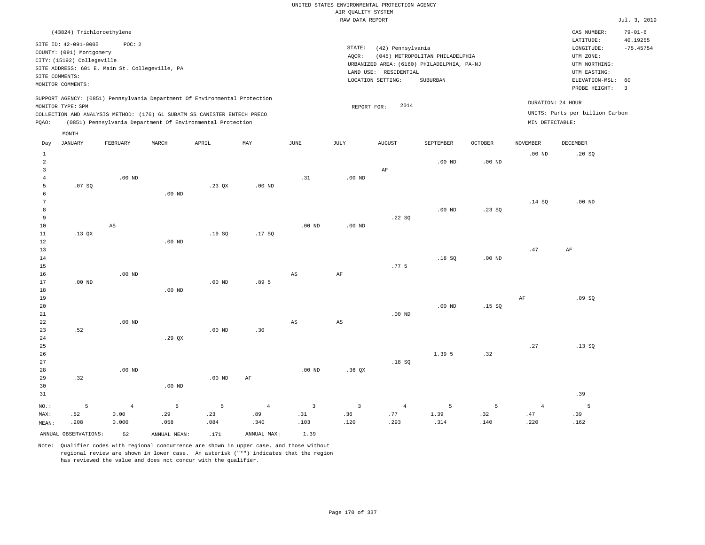|                | (43824) Trichloroethylene                                                                                                                                                                                                                 |          |       |       |     |      |                              |                                                       |                                                                                           |         |                                      | CAS NUMBER:                                                                                | $79 - 01 - 6$           |
|----------------|-------------------------------------------------------------------------------------------------------------------------------------------------------------------------------------------------------------------------------------------|----------|-------|-------|-----|------|------------------------------|-------------------------------------------------------|-------------------------------------------------------------------------------------------|---------|--------------------------------------|--------------------------------------------------------------------------------------------|-------------------------|
| SITE COMMENTS: | SITE ID: 42-091-0005<br>COUNTY: (091) Montgomery<br>CITY: (15192) Collegeville<br>SITE ADDRESS: 601 E. Main St. Collegeville, PA                                                                                                          | POC:2    |       |       |     |      | STATE:<br>AOCR:<br>LAND USE: | (42) Pennsylvania<br>RESIDENTIAL<br>LOCATION SETTING: | (045) METROPOLITAN PHILADELPHIA<br>URBANIZED AREA: (6160) PHILADELPHIA, PA-NJ<br>SUBURBAN |         |                                      | LATITUDE:<br>LONGITUDE:<br>UTM ZONE:<br>UTM NORTHING:<br>UTM EASTING:<br>ELEVATION-MSL: 60 | 40.19255<br>$-75.45754$ |
|                | MONITOR COMMENTS:                                                                                                                                                                                                                         |          |       |       |     |      |                              |                                                       |                                                                                           |         |                                      | PROBE HEIGHT:                                                                              | - 3                     |
| POAO:          | SUPPORT AGENCY: (0851) Pennsylvania Department Of Environmental Protection<br>MONITOR TYPE: SPM<br>COLLECTION AND ANALYSIS METHOD: (176) 6L SUBATM SS CANISTER ENTECH PRECO<br>(0851) Pennsylvania Department Of Environmental Protection |          |       |       |     |      | REPORT FOR:                  | 2014                                                  |                                                                                           |         | DURATION: 24 HOUR<br>MIN DETECTABLE: | UNITS: Parts per billion Carbon                                                            |                         |
| Day            | MONTH<br>JANUARY                                                                                                                                                                                                                          | FEBRUARY | MARCH | APRIL | MAY | JUNE | JULY                         | <b>AUGUST</b>                                         | SEPTEMBER                                                                                 | OCTOBER | NOVEMBER                             | DECEMBER                                                                                   |                         |
|                |                                                                                                                                                                                                                                           |          |       |       |     |      |                              |                                                       |                                                                                           |         |                                      |                                                                                            |                         |

| $\mathbf{1}$   |          |                        |                |                   |                  |                        |                        |                  |                 |          | .00 $ND$       | .20 SQ    |
|----------------|----------|------------------------|----------------|-------------------|------------------|------------------------|------------------------|------------------|-----------------|----------|----------------|-----------|
| $\sqrt{2}$     |          |                        |                |                   |                  |                        |                        |                  | .00 $ND$        | .00 $ND$ |                |           |
| 3              |          |                        |                |                   |                  |                        |                        | $\rm{AF}$        |                 |          |                |           |
| $\overline{4}$ |          | .00 $ND$               |                |                   |                  | .31                    | .00 <sub>ND</sub>      |                  |                 |          |                |           |
| 5              | .07 SQ   |                        |                | .23 QX            | $.00$ ND         |                        |                        |                  |                 |          |                |           |
| 6              |          |                        | .00 $ND$       |                   |                  |                        |                        |                  |                 |          |                |           |
| 7              |          |                        |                |                   |                  |                        |                        |                  |                 |          | .14 SQ         | $.00$ ND  |
| 8              |          |                        |                |                   |                  |                        |                        |                  | $.00$ ND        | .23SQ    |                |           |
| 9              |          |                        |                |                   |                  |                        |                        | .22 SQ           |                 |          |                |           |
| 10             |          | $\mathbb{A}\mathbb{S}$ |                |                   |                  | .00 $ND$               | $.00$ ND               |                  |                 |          |                |           |
| 11             | .13 $QX$ |                        |                | .19SQ             | .17SQ            |                        |                        |                  |                 |          |                |           |
| 12             |          |                        | .00 $ND$       |                   |                  |                        |                        |                  |                 |          |                |           |
| 13             |          |                        |                |                   |                  |                        |                        |                  |                 |          | $.47$          | $\rm{AF}$ |
| 14             |          |                        |                |                   |                  |                        |                        |                  | .18 SQ          | .00 $ND$ |                |           |
| 15             |          |                        |                |                   |                  |                        |                        | .77 <sub>5</sub> |                 |          |                |           |
| 16             |          | .00 $ND$               |                |                   |                  | $_{\rm AS}$            | $\rm{AF}$              |                  |                 |          |                |           |
| 17             | $.00$ ND |                        |                | $.00$ ND          | .89 <sub>5</sub> |                        |                        |                  |                 |          |                |           |
| $18\,$         |          |                        | .00 $ND$       |                   |                  |                        |                        |                  |                 |          |                |           |
| 19             |          |                        |                |                   |                  |                        |                        |                  |                 |          | $\rm{AF}$      | .09SQ     |
| $20\,$         |          |                        |                |                   |                  |                        |                        |                  | $.00$ ND        | .15 SQ   |                |           |
| $21\,$         |          |                        |                |                   |                  |                        |                        | $.00$ ND         |                 |          |                |           |
| 22             |          | $.00$ ND               |                |                   |                  | $\mathbb{A}\mathbb{S}$ | $\mathbb{A}\mathbb{S}$ |                  |                 |          |                |           |
| 23             | .52      |                        |                | .00 <sub>ND</sub> | .30              |                        |                        |                  |                 |          |                |           |
| 24             |          |                        | .29 $QX$       |                   |                  |                        |                        |                  |                 |          |                |           |
| 25             |          |                        |                |                   |                  |                        |                        |                  |                 |          | $\sqrt{27}$    | .13SQ     |
| $26\,$         |          |                        |                |                   |                  |                        |                        |                  | 1.39 5          | .32      |                |           |
| 27             |          |                        |                |                   |                  |                        |                        | .18 SQ           |                 |          |                |           |
| 28             |          | .00 $ND$               |                |                   |                  | $.00$ ND               | .36 QX                 |                  |                 |          |                |           |
| 29             | .32      |                        |                | $.00$ ND          | $\rm{AF}$        |                        |                        |                  |                 |          |                |           |
| 30             |          |                        | $.00$ ND       |                   |                  |                        |                        |                  |                 |          |                |           |
| $3\,1$         |          |                        |                |                   |                  |                        |                        |                  |                 |          |                | .39       |
| $_{\rm NO}$ :  | 5        | $\overline{4}$         | $\overline{5}$ | 5                 | $\overline{4}$   | $\overline{3}$         | $\overline{3}$         | $\overline{4}$   | $5\phantom{.0}$ | 5        | $\overline{4}$ | - 5       |
| MAX:           | .52      | 0.00                   | .29            | .23               | .89              | .31                    | .36                    | .77              | 1.39            | .32      | $.47\,$        | .39       |
| MEAN:          | .208     | 0.000                  | .058           | .084              | .340             | .103                   | .120                   | .293             | .314            | .140     | .220           | .162      |
|                |          |                        |                |                   |                  |                        |                        |                  |                 |          |                |           |

ANNUAL OBSERVATIONS: 52 ANNUAL MEAN: .171 ANNUAL MAX: 1.39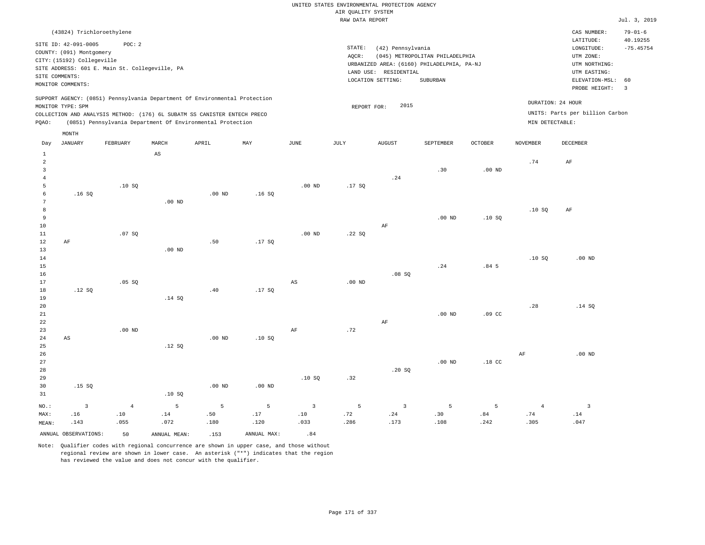| (43824) Trichloroethylene                                                                                                                                                                                                                          |                                                                                                                                                                                 | $79 - 01 - 6$<br>CAS NUMBER:                                                                                                           |
|----------------------------------------------------------------------------------------------------------------------------------------------------------------------------------------------------------------------------------------------------|---------------------------------------------------------------------------------------------------------------------------------------------------------------------------------|----------------------------------------------------------------------------------------------------------------------------------------|
| SITE ID: 42-091-0005<br>POC:2<br>COUNTY: (091) Montgomery<br>CITY: (15192) Collegeville<br>SITE ADDRESS: 601 E. Main St. Collegeville, PA<br>SITE COMMENTS:<br>MONITOR COMMENTS:                                                                   | STATE:<br>(42) Pennsylvania<br>(045) METROPOLITAN PHILADELPHIA<br>AOCR:<br>URBANIZED AREA: (6160) PHILADELPHIA, PA-NJ<br>LAND USE: RESIDENTIAL<br>LOCATION SETTING:<br>SUBURBAN | 40.19255<br>LATITUDE:<br>$-75.45754$<br>LONGITUDE:<br>UTM ZONE:<br>UTM NORTHING:<br>UTM EASTING:<br>ELEVATION-MSL: 60<br>PROBE HEIGHT: |
| SUPPORT AGENCY: (0851) Pennsylvania Department Of Environmental Protection<br>MONITOR TYPE: SPM<br>COLLECTION AND ANALYSIS METHOD: (176) 6L SUBATM SS CANISTER ENTECH PRECO<br>(0851) Pennsylvania Department Of Environmental Protection<br>POAO: | 2015<br>REPORT FOR:                                                                                                                                                             | DURATION: 24 HOUR<br>UNITS: Parts per billion Carbon<br>MIN DETECTABLE:                                                                |

| Day                                                   | <b>JANUARY</b>          | FEBRUARY                     | $\tt MARCH$            | APRIL                         | $\ensuremath{\text{MAX}}$ | $_{\rm JUNE}$           | JULY           | ${\tt AUGUST}$          | SEPTEMBER          | OCTOBER          | NOVEMBER       | DECEMBER                      |
|-------------------------------------------------------|-------------------------|------------------------------|------------------------|-------------------------------|---------------------------|-------------------------|----------------|-------------------------|--------------------|------------------|----------------|-------------------------------|
| $\mathbf{1}$<br>$\overline{c}$<br>3<br>$\overline{4}$ |                         |                              | $\mathbb{A}\mathbb{S}$ |                               |                           |                         |                | .24                     | .30                | $.00$ ND         | .74            | $\rm{AF}$                     |
| 5                                                     |                         | .10SQ                        |                        |                               |                           | .00 $ND$                | .17SQ          |                         |                    |                  |                |                               |
| 6                                                     | .16SQ                   |                              |                        | $.00$ ND                      | .16SQ                     |                         |                |                         |                    |                  |                |                               |
| 7                                                     |                         |                              | $.00$ ND               |                               |                           |                         |                |                         |                    |                  |                |                               |
| 8                                                     |                         |                              |                        |                               |                           |                         |                |                         |                    |                  | .10SQ          | AF                            |
| 9                                                     |                         |                              |                        |                               |                           |                         |                |                         | .00 <sub>ND</sub>  | .10SQ            |                |                               |
| 10                                                    |                         |                              |                        |                               |                           |                         |                | $\rm AF$                |                    |                  |                |                               |
| 11                                                    |                         | .07SQ                        |                        |                               |                           | $.00$ ND                | .22SQ          |                         |                    |                  |                |                               |
| 12                                                    | $\rm AF$                |                              |                        | .50                           | .17 SQ                    |                         |                |                         |                    |                  |                |                               |
| 13                                                    |                         |                              | $.00$ ND               |                               |                           |                         |                |                         |                    |                  |                |                               |
| 14                                                    |                         |                              |                        |                               |                           |                         |                |                         |                    |                  | .10SQ          | $.00$ ND                      |
| $15\,$                                                |                         |                              |                        |                               |                           |                         |                |                         | $\boldsymbol{.24}$ | .84 <sub>5</sub> |                |                               |
| $16\,$                                                |                         |                              |                        |                               |                           |                         |                | .08 SQ                  |                    |                  |                |                               |
| 17                                                    |                         | .05 SQ                       |                        |                               |                           | $\mathbb{A}\mathbb{S}$  | .00 $ND$       |                         |                    |                  |                |                               |
| 18                                                    | .12 SQ                  |                              |                        | $\footnotesize{\texttt{.40}}$ | .17 SQ                    |                         |                |                         |                    |                  |                |                               |
| 19                                                    |                         |                              | .14 SQ                 |                               |                           |                         |                |                         |                    |                  |                |                               |
| $20\,$                                                |                         |                              |                        |                               |                           |                         |                |                         |                    |                  | .28            | .14 SQ                        |
| $2\sqrt{1}$                                           |                         |                              |                        |                               |                           |                         |                |                         | $.00$ ND           | .09 <sub>c</sub> |                |                               |
| 22                                                    |                         |                              |                        |                               |                           |                         |                | $\rm AF$                |                    |                  |                |                               |
| 23                                                    |                         | $.00$ ND                     |                        |                               |                           | $\rm{AF}$               | .72            |                         |                    |                  |                |                               |
| $2\sqrt{4}$                                           | AS                      |                              |                        | $.00$ ND                      | .10SQ                     |                         |                |                         |                    |                  |                |                               |
| 25<br>26                                              |                         |                              | .12 SQ                 |                               |                           |                         |                |                         |                    |                  | $\rm{AF}$      | $.00$ ND                      |
| $27\,$                                                |                         |                              |                        |                               |                           |                         |                |                         | .00 <sub>ND</sub>  | $.18$ CC         |                |                               |
| 28                                                    |                         |                              |                        |                               |                           |                         |                | .20 SQ                  |                    |                  |                |                               |
| 29                                                    |                         |                              |                        |                               |                           | .10SQ                   | .32            |                         |                    |                  |                |                               |
| 30                                                    | .15 SQ                  |                              |                        | $.00$ ND                      | $.00$ ND                  |                         |                |                         |                    |                  |                |                               |
| 31                                                    |                         |                              | .10S                   |                               |                           |                         |                |                         |                    |                  |                |                               |
| $_{\rm NO.}$ :                                        | $\overline{\mathbf{3}}$ | $\overline{4}$               | 5                      | $\overline{5}$                | 5                         | $\overline{\mathbf{3}}$ | $\overline{5}$ | $\overline{\mathbf{3}}$ | 5                  | 5                | $\overline{4}$ | $\overline{3}$                |
| MAX:                                                  | .16                     | $\footnotesize\substack{10}$ | .14                    | .50                           | .17                       | $.10\,$                 | .72            | .24                     | .30                | .84              | .74            | $\footnotesize{\texttt{.14}}$ |
| MEAN:                                                 | .143                    | .055                         | .072                   | .180                          | .120                      | .033                    | .286           | .173                    | .108               | .242             | .305           | .047                          |
|                                                       | ANNUAL OBSERVATIONS:    | 50                           | ANNUAL MEAN:           | .153                          | ANNUAL MAX:               | .84                     |                |                         |                    |                  |                |                               |

Note: Qualifier codes with regional concurrence are shown in upper case, and those without regional review are shown in lower case. An asterisk ("\*") indicates that the region has reviewed the value and does not concur with the qualifier.

MONTH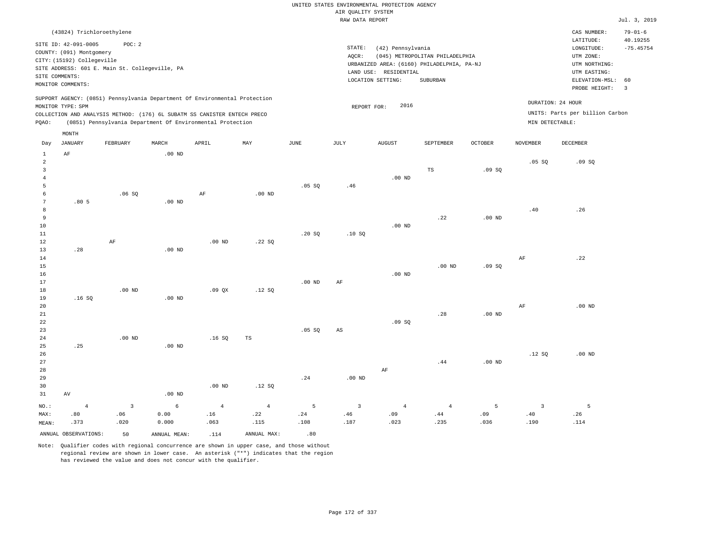| (43824) Trichloroethylene                                                                                                                                                                                                                          |                                                                                                                                                                                 | CAS NUMBER:                                                                                                 | $79 - 01 - 6$           |
|----------------------------------------------------------------------------------------------------------------------------------------------------------------------------------------------------------------------------------------------------|---------------------------------------------------------------------------------------------------------------------------------------------------------------------------------|-------------------------------------------------------------------------------------------------------------|-------------------------|
| SITE ID: 42-091-0005<br>POC: 2<br>COUNTY: (091) Montgomery<br>CITY: (15192) Collegeville<br>SITE ADDRESS: 601 E. Main St. Collegeville, PA<br>SITE COMMENTS:<br>MONITOR COMMENTS:                                                                  | STATE:<br>(42) Pennsylvania<br>(045) METROPOLITAN PHILADELPHIA<br>AOCR:<br>URBANIZED AREA: (6160) PHILADELPHIA, PA-NJ<br>LAND USE: RESIDENTIAL<br>LOCATION SETTING:<br>SUBURBAN | LATITUDE:<br>LONGITUDE:<br>UTM ZONE:<br>UTM NORTHING:<br>UTM EASTING:<br>ELEVATION-MSL: 60<br>PROBE HEIGHT: | 40.19255<br>$-75.45754$ |
| SUPPORT AGENCY: (0851) Pennsylvania Department Of Environmental Protection<br>MONITOR TYPE: SPM<br>COLLECTION AND ANALYSIS METHOD: (176) 6L SUBATM SS CANISTER ENTECH PRECO<br>(0851) Pennsylvania Department Of Environmental Protection<br>POAO: | 2016<br>REPORT FOR:                                                                                                                                                             | DURATION: 24 HOUR<br>UNITS: Parts per billion Carbon<br>MIN DETECTABLE:                                     |                         |
| MONTH                                                                                                                                                                                                                                              |                                                                                                                                                                                 |                                                                                                             |                         |

| Day            | JANUARY              | ${\tt FEBRUARY}$        | $\tt MARCH$  | APRIL          | $\ensuremath{\text{MAX}}$ | $_{\rm JUNE}$ | $\mathtt{JULY}$         | AUGUST         | SEPTEMBER   | $OCTOBER$ | NOVEMBER       | $\tt DECEMBER$ |
|----------------|----------------------|-------------------------|--------------|----------------|---------------------------|---------------|-------------------------|----------------|-------------|-----------|----------------|----------------|
| 1              | $\rm AF$             |                         | .00 $ND$     |                |                           |               |                         |                |             |           |                |                |
| $\overline{a}$ |                      |                         |              |                |                           |               |                         |                |             |           | .05 SQ         | .09SQ          |
| 3              |                      |                         |              |                |                           |               |                         |                | $_{\rm TS}$ | .09SQ     |                |                |
| $\overline{4}$ |                      |                         |              |                |                           |               |                         | $.00$ ND       |             |           |                |                |
| 5              |                      |                         |              |                |                           | .05 SQ        | .46                     |                |             |           |                |                |
| 6              |                      | .06SQ                   |              | $\rm AF$       | $.00$ ND                  |               |                         |                |             |           |                |                |
| 7              | .805                 |                         | .00 $ND$     |                |                           |               |                         |                |             |           |                |                |
| 8              |                      |                         |              |                |                           |               |                         |                |             |           | .40            | .26            |
| 9              |                      |                         |              |                |                           |               |                         |                | .22         | $.00$ ND  |                |                |
| 10             |                      |                         |              |                |                           |               |                         | $.00$ ND       |             |           |                |                |
| $11\,$         |                      |                         |              |                |                           | .20 SQ        | .10SQ                   |                |             |           |                |                |
| 12             |                      | $\rm AF$                |              | $.00$ ND       | .22SQ                     |               |                         |                |             |           |                |                |
| 13             | .28                  |                         | $.00$ ND     |                |                           |               |                         |                |             |           |                |                |
| $14\,$         |                      |                         |              |                |                           |               |                         |                |             |           | $\rm{AF}$      | .22            |
| 15             |                      |                         |              |                |                           |               |                         |                | $.00$ ND    | .09SQ     |                |                |
| $16$           |                      |                         |              |                |                           |               |                         | $.00$ ND       |             |           |                |                |
| 17             |                      |                         |              |                |                           | $.00$ ND      | $\rm AF$                |                |             |           |                |                |
| 18             |                      | .00 $ND$                |              | .09QX          | .12 SQ                    |               |                         |                |             |           |                |                |
| 19             | .16SQ                |                         | $.00$ ND     |                |                           |               |                         |                |             |           |                |                |
| 20             |                      |                         |              |                |                           |               |                         |                |             |           | $\rm{AF}$      | $.00$ ND       |
| 21             |                      |                         |              |                |                           |               |                         |                | .28         | .00 $ND$  |                |                |
| $2\sqrt{2}$    |                      |                         |              |                |                           |               |                         | .09SQ          |             |           |                |                |
| 23             |                      |                         |              |                |                           | .05 SQ        | $\mathbb{A}\mathbb{S}$  |                |             |           |                |                |
| $2\sqrt{4}$    |                      | .00 $ND$                |              | .16S           | TS                        |               |                         |                |             |           |                |                |
| 25             | .25                  |                         | $.00$ ND     |                |                           |               |                         |                |             |           |                |                |
| 26             |                      |                         |              |                |                           |               |                         |                |             |           | .12SQ          | $.00$ ND       |
| 27             |                      |                         |              |                |                           |               |                         |                | $.44\,$     | $.00$ ND  |                |                |
| 28<br>29       |                      |                         |              |                |                           | .24           |                         | $\rm AF$       |             |           |                |                |
| 30             |                      |                         |              | $.00$ ND       | .12SQ                     |               | .00 <sub>ND</sub>       |                |             |           |                |                |
| 31             | AV                   |                         | .00 $ND$     |                |                           |               |                         |                |             |           |                |                |
|                |                      |                         |              |                |                           |               |                         |                |             |           |                |                |
| $_{\rm NO.}$ : | $\overline{4}$       | $\overline{\mathbf{3}}$ | $\epsilon$   | $\overline{4}$ | $\,4$                     | 5             | $\overline{\mathbf{3}}$ | $\overline{4}$ | $\,4\,$     | 5         | $\overline{3}$ | $5^{\circ}$    |
| MAX:           | .80                  | .06                     | 0.00         | .16            | .22                       | .24           | .46                     | .09            | .44         | .09       | $.40$          | .26            |
| MEAN:          | .373                 | .020                    | 0.000        | .063           | .115                      | .108          | .187                    | .023           | .235        | .036      | .190           | .114           |
|                | ANNUAL OBSERVATIONS: | 50                      | ANNUAL MEAN: | .114           | ANNUAL MAX:               | .80           |                         |                |             |           |                |                |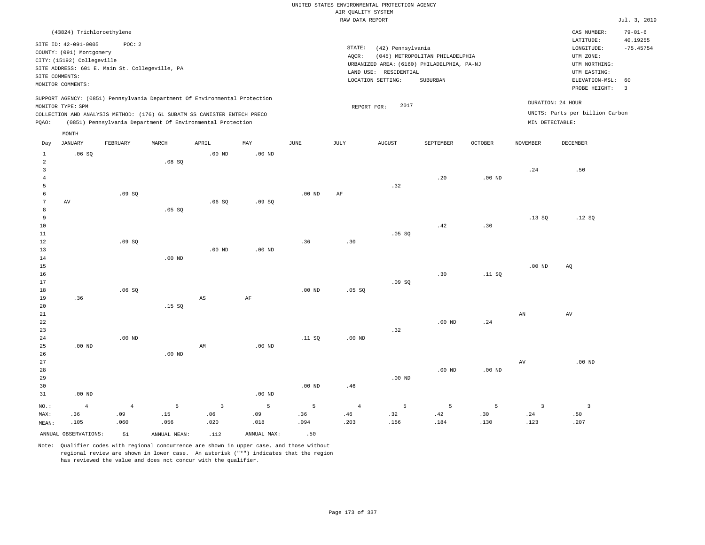|                |                            |                                                |                   |                                                                            |                   |                   |                    | UNITED STATES ENVIRONMENTAL PROTECTION AGENCY |                                            |                |                   |                                 |                |
|----------------|----------------------------|------------------------------------------------|-------------------|----------------------------------------------------------------------------|-------------------|-------------------|--------------------|-----------------------------------------------|--------------------------------------------|----------------|-------------------|---------------------------------|----------------|
|                |                            |                                                |                   |                                                                            |                   |                   | AIR OUALITY SYSTEM |                                               |                                            |                |                   |                                 |                |
|                |                            |                                                |                   |                                                                            |                   |                   | RAW DATA REPORT    |                                               |                                            |                |                   |                                 | Jul. 3, 2019   |
|                | (43824) Trichloroethylene  |                                                |                   |                                                                            |                   |                   |                    |                                               |                                            |                |                   | CAS NUMBER:                     | $79 - 01 - 6$  |
|                |                            |                                                |                   |                                                                            |                   |                   |                    |                                               |                                            |                |                   | LATITUDE:                       | 40.19255       |
|                | SITE ID: 42-091-0005       | POC: 2                                         |                   |                                                                            |                   |                   | $\texttt{STATE}$ : | (42) Pennsylvania                             |                                            |                |                   | LONGITUDE:                      | $-75.45754$    |
|                | COUNTY: (091) Montgomery   |                                                |                   |                                                                            |                   |                   | AOCR:              |                                               | (045) METROPOLITAN PHILADELPHIA            |                |                   | UTM ZONE:                       |                |
|                | CITY: (15192) Collegeville | SITE ADDRESS: 601 E. Main St. Collegeville, PA |                   |                                                                            |                   |                   |                    |                                               | URBANIZED AREA: (6160) PHILADELPHIA, PA-NJ |                |                   | UTM NORTHING:                   |                |
|                | SITE COMMENTS:             |                                                |                   |                                                                            |                   |                   |                    | LAND USE: RESIDENTIAL                         |                                            |                |                   | UTM EASTING:                    |                |
|                | MONITOR COMMENTS:          |                                                |                   |                                                                            |                   |                   |                    | LOCATION SETTING:                             | <b>SUBURBAN</b>                            |                |                   | ELEVATION-MSL:                  | 60             |
|                |                            |                                                |                   |                                                                            |                   |                   |                    |                                               |                                            |                |                   | PROBE HEIGHT:                   | $\overline{3}$ |
|                |                            |                                                |                   | SUPPORT AGENCY: (0851) Pennsylvania Department Of Environmental Protection |                   |                   |                    |                                               |                                            |                |                   |                                 |                |
|                | MONITOR TYPE: SPM          |                                                |                   |                                                                            |                   |                   | REPORT FOR:        | 2017                                          |                                            |                |                   | DURATION: 24 HOUR               |                |
|                |                            |                                                |                   | COLLECTION AND ANALYSIS METHOD: (176) 6L SUBATM SS CANISTER ENTECH PRECO   |                   |                   |                    |                                               |                                            |                |                   | UNITS: Parts per billion Carbon |                |
| PQAO:          |                            |                                                |                   | (0851) Pennsylvania Department Of Environmental Protection                 |                   |                   |                    |                                               |                                            |                | MIN DETECTABLE:   |                                 |                |
|                | MONTH                      |                                                |                   |                                                                            |                   |                   |                    |                                               |                                            |                |                   |                                 |                |
| Day            | <b>JANUARY</b>             | FEBRUARY                                       | MARCH             | APRIL                                                                      | MAY               | <b>JUNE</b>       | JULY               | <b>AUGUST</b>                                 | SEPTEMBER                                  | <b>OCTOBER</b> | <b>NOVEMBER</b>   | DECEMBER                        |                |
| $\mathbf{1}$   | .06SQ                      |                                                |                   | $.00$ ND                                                                   | .00 <sub>ND</sub> |                   |                    |                                               |                                            |                |                   |                                 |                |
| $\overline{a}$ |                            |                                                | .08 SQ            |                                                                            |                   |                   |                    |                                               |                                            |                |                   |                                 |                |
| 3              |                            |                                                |                   |                                                                            |                   |                   |                    |                                               |                                            |                | .24               | .50                             |                |
| $\overline{4}$ |                            |                                                |                   |                                                                            |                   |                   |                    |                                               | .20                                        | $.00$ ND       |                   |                                 |                |
| 5              |                            |                                                |                   |                                                                            |                   |                   |                    | .32                                           |                                            |                |                   |                                 |                |
| 6              |                            | .09SQ                                          |                   |                                                                            |                   | .00 <sub>ND</sub> | AF                 |                                               |                                            |                |                   |                                 |                |
| $\overline{7}$ | AV                         |                                                |                   | .06SQ                                                                      | .09SQ             |                   |                    |                                               |                                            |                |                   |                                 |                |
| 8              |                            |                                                | .05 SQ            |                                                                            |                   |                   |                    |                                               |                                            |                |                   |                                 |                |
| 9              |                            |                                                |                   |                                                                            |                   |                   |                    |                                               |                                            |                | .13SQ             | .12S                            |                |
| 10             |                            |                                                |                   |                                                                            |                   |                   |                    |                                               | .42                                        | .30            |                   |                                 |                |
| $1\,1$         |                            |                                                |                   |                                                                            |                   |                   |                    | .05 SQ                                        |                                            |                |                   |                                 |                |
| 12             |                            | .09SQ                                          |                   |                                                                            |                   | .36               | .30                |                                               |                                            |                |                   |                                 |                |
| $13$           |                            |                                                |                   | .00 <sub>ND</sub>                                                          | .00 <sub>ND</sub> |                   |                    |                                               |                                            |                |                   |                                 |                |
| 14             |                            |                                                | .00 <sub>ND</sub> |                                                                            |                   |                   |                    |                                               |                                            |                |                   |                                 |                |
| 15             |                            |                                                |                   |                                                                            |                   |                   |                    |                                               |                                            |                | .00 <sub>ND</sub> | AO                              |                |
| 16             |                            |                                                |                   |                                                                            |                   |                   |                    |                                               | .30                                        | .11 SQ         |                   |                                 |                |
| 17             |                            |                                                |                   |                                                                            |                   |                   |                    | .09S                                          |                                            |                |                   |                                 |                |
| 18             |                            | .06SQ                                          |                   |                                                                            |                   | .00 <sub>ND</sub> | .05 SQ             |                                               |                                            |                |                   |                                 |                |
| 19             | .36                        |                                                |                   | $_{\rm AS}$                                                                | AF                |                   |                    |                                               |                                            |                |                   |                                 |                |
| 20             |                            |                                                | .15SQ             |                                                                            |                   |                   |                    |                                               |                                            |                |                   |                                 |                |
| 21             |                            |                                                |                   |                                                                            |                   |                   |                    |                                               |                                            |                | AN                | AV                              |                |
| 22             |                            |                                                |                   |                                                                            |                   |                   |                    |                                               | $.00$ ND                                   | .24            |                   |                                 |                |
| 23             |                            |                                                |                   |                                                                            |                   |                   |                    | .32                                           |                                            |                |                   |                                 |                |
| 24             |                            | $.00$ ND                                       |                   |                                                                            |                   | .11SQ             | .00 <sub>ND</sub>  |                                               |                                            |                |                   |                                 |                |
| 25<br>26       | $.00$ ND                   |                                                | $.00$ ND          | AM                                                                         | $.00$ ND          |                   |                    |                                               |                                            |                |                   |                                 |                |
| 27             |                            |                                                |                   |                                                                            |                   |                   |                    |                                               |                                            |                | AV                | $.00$ ND                        |                |
| 28             |                            |                                                |                   |                                                                            |                   |                   |                    |                                               | .00 <sub>ND</sub>                          | $.00$ ND       |                   |                                 |                |
| 29             |                            |                                                |                   |                                                                            |                   |                   |                    | $.00$ ND                                      |                                            |                |                   |                                 |                |
| 30             |                            |                                                |                   |                                                                            |                   | .00 <sub>ND</sub> | .46                |                                               |                                            |                |                   |                                 |                |
| 31             | $.00$ ND                   |                                                |                   |                                                                            | $.00$ ND          |                   |                    |                                               |                                            |                |                   |                                 |                |
|                |                            |                                                |                   |                                                                            |                   |                   |                    |                                               |                                            |                |                   |                                 |                |
| NO.:           | $\overline{4}$             | $\overline{4}$                                 | $\overline{5}$    | $\overline{3}$                                                             | 5                 | $\overline{5}$    | $\overline{4}$     | $5^{\circ}$                                   | 5                                          | 5              | $\overline{3}$    | $\overline{\mathbf{3}}$         |                |
| MAX:           | .36                        | .09                                            | .15               | .06                                                                        | .09               | .36               | .46                | .32                                           | .42                                        | .30            | .24               | .50                             |                |
| MEAN:          | .105                       | .060                                           | .056              | .020                                                                       | .018              | .094              | .203               | .156                                          | .184                                       | .130           | .123              | .207                            |                |

ANNUAL OBSERVATIONS:  $51$  ANNUAL MEAN: .112 ANNUAL MAX: .50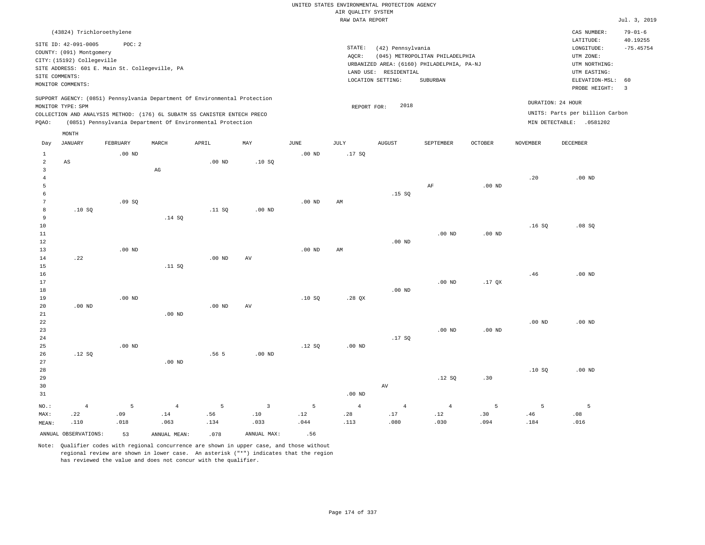|                 |                            |                                                |                |                                                                            |                |                   | UNITED STATES ENVIRONMENTAL PROTECTION AGENCY |                       |                                            |                   |                 |                                    |                           |
|-----------------|----------------------------|------------------------------------------------|----------------|----------------------------------------------------------------------------|----------------|-------------------|-----------------------------------------------|-----------------------|--------------------------------------------|-------------------|-----------------|------------------------------------|---------------------------|
|                 |                            |                                                |                |                                                                            |                |                   | AIR QUALITY SYSTEM                            |                       |                                            |                   |                 |                                    |                           |
|                 |                            |                                                |                |                                                                            |                |                   | RAW DATA REPORT                               |                       |                                            |                   |                 |                                    | Jul. 3, 2019              |
|                 | (43824) Trichloroethylene  |                                                |                |                                                                            |                |                   |                                               |                       |                                            |                   |                 | CAS NUMBER:<br>LATITUDE:           | $79 - 01 - 6$<br>40.19255 |
|                 | SITE ID: 42-091-0005       | POC: 2                                         |                |                                                                            |                |                   | STATE:                                        | (42) Pennsylvania     |                                            |                   |                 | LONGITUDE:                         | $-75.45754$               |
|                 | COUNTY: (091) Montgomery   |                                                |                |                                                                            |                |                   | AOCR:                                         |                       | (045) METROPOLITAN PHILADELPHIA            |                   |                 | UTM ZONE:                          |                           |
|                 | CITY: (15192) Collegeville | SITE ADDRESS: 601 E. Main St. Collegeville, PA |                |                                                                            |                |                   |                                               |                       | URBANIZED AREA: (6160) PHILADELPHIA, PA-NJ |                   |                 | UTM NORTHING:                      |                           |
| SITE COMMENTS:  |                            |                                                |                |                                                                            |                |                   |                                               | LAND USE: RESIDENTIAL |                                            |                   |                 | UTM EASTING:                       |                           |
|                 | MONITOR COMMENTS:          |                                                |                |                                                                            |                |                   |                                               | LOCATION SETTING:     | SUBURBAN                                   |                   |                 | ELEVATION-MSL:                     | 60<br>$\overline{3}$      |
|                 |                            |                                                |                | SUPPORT AGENCY: (0851) Pennsylvania Department Of Environmental Protection |                |                   |                                               |                       |                                            |                   |                 | PROBE HEIGHT:<br>DURATION: 24 HOUR |                           |
|                 | MONITOR TYPE: SPM          |                                                |                |                                                                            |                |                   | REPORT FOR:                                   | 2018                  |                                            |                   |                 |                                    |                           |
|                 |                            |                                                |                | COLLECTION AND ANALYSIS METHOD: (176) 6L SUBATM SS CANISTER ENTECH PRECO   |                |                   |                                               |                       |                                            |                   |                 | UNITS: Parts per billion Carbon    |                           |
| PQAO:           |                            |                                                |                | (0851) Pennsylvania Department Of Environmental Protection                 |                |                   |                                               |                       |                                            |                   |                 | MIN DETECTABLE: .0581202           |                           |
| Day             | MONTH<br><b>JANUARY</b>    | FEBRUARY                                       | MARCH          | APRIL                                                                      | MAY            | <b>JUNE</b>       | JULY                                          | <b>AUGUST</b>         | SEPTEMBER                                  | <b>OCTOBER</b>    | <b>NOVEMBER</b> | <b>DECEMBER</b>                    |                           |
| $\mathbf{1}$    |                            | $.00$ ND                                       |                |                                                                            |                | $.00$ ND          | .17SQ                                         |                       |                                            |                   |                 |                                    |                           |
| $\overline{a}$  | $_{\rm AS}$                |                                                |                | $.00$ ND                                                                   | .10S           |                   |                                               |                       |                                            |                   |                 |                                    |                           |
| $\overline{3}$  |                            |                                                | $_{\rm AG}$    |                                                                            |                |                   |                                               |                       |                                            |                   |                 |                                    |                           |
| $\,4\,$         |                            |                                                |                |                                                                            |                |                   |                                               |                       |                                            |                   | .20             | $.00$ ND                           |                           |
| 5               |                            |                                                |                |                                                                            |                |                   |                                               |                       | AF                                         | $.00$ ND          |                 |                                    |                           |
| $\epsilon$      |                            |                                                |                |                                                                            |                |                   |                                               | .15S                  |                                            |                   |                 |                                    |                           |
| $7\phantom{.0}$ |                            | .09S                                           |                |                                                                            |                | $.00$ ND          | AM                                            |                       |                                            |                   |                 |                                    |                           |
| 8               | .10S                       |                                                |                | .11 SQ                                                                     | $.00$ ND       |                   |                                               |                       |                                            |                   |                 |                                    |                           |
| 9               |                            |                                                | .14 SQ         |                                                                            |                |                   |                                               |                       |                                            |                   |                 |                                    |                           |
| $10$            |                            |                                                |                |                                                                            |                |                   |                                               |                       |                                            |                   | .16SQ           | .08SQ                              |                           |
| 11<br>12        |                            |                                                |                |                                                                            |                |                   |                                               | $.00$ ND              | $.00$ ND                                   | .00 <sub>ND</sub> |                 |                                    |                           |
| 13              |                            | .00 <sub>ND</sub>                              |                |                                                                            |                | .00 <sub>ND</sub> | AM                                            |                       |                                            |                   |                 |                                    |                           |
| 14              | .22                        |                                                |                | .00 <sub>ND</sub>                                                          | AV             |                   |                                               |                       |                                            |                   |                 |                                    |                           |
| 15              |                            |                                                | .11 SQ         |                                                                            |                |                   |                                               |                       |                                            |                   |                 |                                    |                           |
| 16              |                            |                                                |                |                                                                            |                |                   |                                               |                       |                                            |                   | .46             | $.00$ ND                           |                           |
| 17              |                            |                                                |                |                                                                            |                |                   |                                               |                       | $.00$ ND                                   | $.17$ QX          |                 |                                    |                           |
| 18              |                            |                                                |                |                                                                            |                |                   |                                               | $.00$ ND              |                                            |                   |                 |                                    |                           |
| 19              |                            | .00 <sub>ND</sub>                              |                |                                                                            |                | .10S              | .28 QX                                        |                       |                                            |                   |                 |                                    |                           |
| 20              | $.00$ ND                   |                                                |                | .00 <sub>ND</sub>                                                          | AV             |                   |                                               |                       |                                            |                   |                 |                                    |                           |
| 21              |                            |                                                | $.00$ ND       |                                                                            |                |                   |                                               |                       |                                            |                   |                 |                                    |                           |
| 22<br>23        |                            |                                                |                |                                                                            |                |                   |                                               |                       | $.00$ ND                                   | $.00$ ND          | $.00$ ND        | $.00$ ND                           |                           |
| 24              |                            |                                                |                |                                                                            |                |                   |                                               | .17S                  |                                            |                   |                 |                                    |                           |
| 25              |                            | .00 <sub>ND</sub>                              |                |                                                                            |                | .12S              | .00 <sub>ND</sub>                             |                       |                                            |                   |                 |                                    |                           |
| 26              | .12S                       |                                                |                | .56 5                                                                      | $.00$ ND       |                   |                                               |                       |                                            |                   |                 |                                    |                           |
| 27              |                            |                                                | $.00$ ND       |                                                                            |                |                   |                                               |                       |                                            |                   |                 |                                    |                           |
| 28              |                            |                                                |                |                                                                            |                |                   |                                               |                       |                                            |                   | .10S            | $.00$ ND                           |                           |
| 29              |                            |                                                |                |                                                                            |                |                   |                                               |                       | .12S                                       | .30               |                 |                                    |                           |
| 30              |                            |                                                |                |                                                                            |                |                   |                                               | $\operatorname{AV}$   |                                            |                   |                 |                                    |                           |
| 31              |                            |                                                |                |                                                                            |                |                   | .00 <sub>ND</sub>                             |                       |                                            |                   |                 |                                    |                           |
| NO.:            | $\overline{4}$             | 5                                              | $\overline{4}$ | 5                                                                          | $\overline{3}$ | 5                 | $\overline{4}$                                | $\overline{4}$        | $\overline{4}$                             | 5                 | 5               | 5                                  |                           |
| MAX:            | .22                        | .09                                            | .14            | .56                                                                        | .10            | .12               | .28                                           | .17                   | .12                                        | .30               | .46             | .08                                |                           |
| MEAN:           | .110                       | .018                                           | .063           | .134                                                                       | .033           | .044              | .113                                          | .080                  | .030                                       | .094              | .184            | .016                               |                           |
|                 | ANNUAL OBSERVATIONS:       | 53                                             | ANNUAL MEAN:   | .078                                                                       | ANNUAL MAX:    | .56               |                                               |                       |                                            |                   |                 |                                    |                           |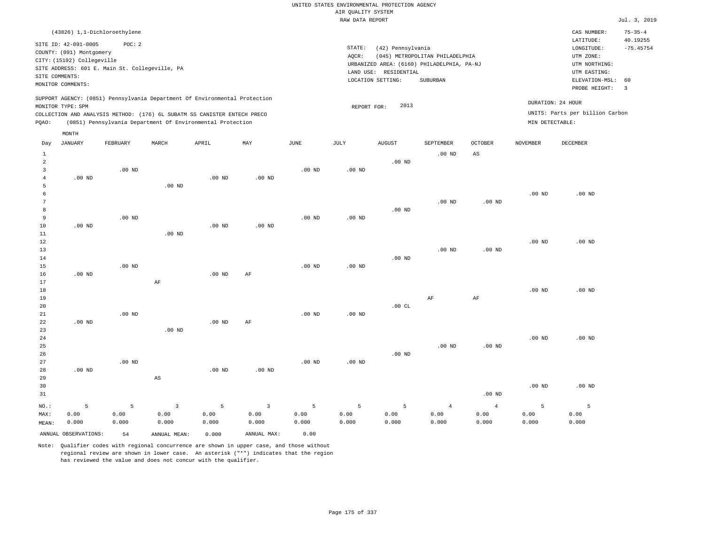# UNITED STATES ENVIRONMENTAL PROTECTION AGENCY AIR QUALITY SYSTEM

|                                     |                                                                                                                                                                                                                                                                 |                              |          |                                                                                                                                        |                   |                   | RAW DATA REPORT   |                                                                 |                                                                                           |                   |                                      |                                                                                                          | Jul. 3, 2019                                             |
|-------------------------------------|-----------------------------------------------------------------------------------------------------------------------------------------------------------------------------------------------------------------------------------------------------------------|------------------------------|----------|----------------------------------------------------------------------------------------------------------------------------------------|-------------------|-------------------|-------------------|-----------------------------------------------------------------|-------------------------------------------------------------------------------------------|-------------------|--------------------------------------|----------------------------------------------------------------------------------------------------------|----------------------------------------------------------|
|                                     |                                                                                                                                                                                                                                                                 | (43826) 1,1-Dichloroethylene |          |                                                                                                                                        |                   |                   |                   |                                                                 |                                                                                           |                   |                                      | CAS NUMBER:                                                                                              | $75 - 35 - 4$                                            |
|                                     | POC: 2<br>SITE ID: 42-091-0005<br>COUNTY: (091) Montgomery<br>CITY: (15192) Collegeville<br>SITE ADDRESS: 601 E. Main St. Collegeville, PA<br>SITE COMMENTS:<br>MONITOR COMMENTS:<br>SUPPORT AGENCY: (0851) Pennsylvania Department Of Environmental Protection |                              |          |                                                                                                                                        |                   |                   | STATE:<br>AQCR:   | (42) Pennsylvania<br>LAND USE: RESIDENTIAL<br>LOCATION SETTING: | (045) METROPOLITAN PHILADELPHIA<br>URBANIZED AREA: (6160) PHILADELPHIA, PA-NJ<br>SUBURBAN |                   |                                      | LATITUDE:<br>LONGITUDE:<br>UTM ZONE:<br>UTM NORTHING:<br>UTM EASTING:<br>ELEVATION-MSL:<br>PROBE HEIGHT: | 40.19255<br>$-75.45754$<br>60<br>$\overline{\mathbf{3}}$ |
| PQAO:                               | MONITOR TYPE: SPM                                                                                                                                                                                                                                               |                              |          | COLLECTION AND ANALYSIS METHOD: (176) 6L SUBATM SS CANISTER ENTECH PRECO<br>(0851) Pennsylvania Department Of Environmental Protection |                   |                   | REPORT FOR:       | 2013                                                            |                                                                                           |                   | DURATION: 24 HOUR<br>MIN DETECTABLE: | UNITS: Parts per billion Carbon                                                                          |                                                          |
| Day                                 | MONTH<br>JANUARY                                                                                                                                                                                                                                                | FEBRUARY                     | MARCH    | APRIL                                                                                                                                  | MAY               | JUNE              | JULY              | AUGUST                                                          | SEPTEMBER                                                                                 | <b>OCTOBER</b>    | NOVEMBER                             | DECEMBER                                                                                                 |                                                          |
| $\mathbf{1}$<br>$\overline{a}$<br>3 |                                                                                                                                                                                                                                                                 | $.00$ ND                     |          |                                                                                                                                        |                   | .00 <sub>ND</sub> | .00 <sub>ND</sub> | $.00$ ND                                                        | $.00$ ND                                                                                  | AS                |                                      |                                                                                                          |                                                          |
| 4<br>5                              | $.00$ ND                                                                                                                                                                                                                                                        |                              | $.00$ ND | $.00$ ND                                                                                                                               | .00 <sub>ND</sub> |                   |                   |                                                                 |                                                                                           |                   |                                      |                                                                                                          |                                                          |
| 6<br>7<br>8                         |                                                                                                                                                                                                                                                                 |                              |          |                                                                                                                                        |                   |                   |                   | $.00$ ND                                                        | .00 <sub>ND</sub>                                                                         | $.00$ ND          | $.00$ ND                             | $.00$ ND                                                                                                 |                                                          |
| 9<br>10<br>11                       | .00 <sub>ND</sub>                                                                                                                                                                                                                                               | $.00$ ND                     | $.00$ ND | .00 <sub>ND</sub>                                                                                                                      | $.00$ ND          | .00 <sub>ND</sub> | $.00$ ND          |                                                                 |                                                                                           |                   |                                      |                                                                                                          |                                                          |
| 12<br>13<br>14                      |                                                                                                                                                                                                                                                                 |                              |          |                                                                                                                                        |                   |                   |                   | $.00$ ND                                                        | $.00$ ND                                                                                  | .00 <sub>ND</sub> | .00 <sub>ND</sub>                    | $.00$ ND                                                                                                 |                                                          |
| 15<br>16<br>17                      | $.00$ ND                                                                                                                                                                                                                                                        | $.00$ ND                     | AF       | $.00$ ND                                                                                                                               | AF                | .00 <sub>ND</sub> | $.00$ ND          |                                                                 |                                                                                           |                   |                                      |                                                                                                          |                                                          |
| 18<br>19<br>20                      |                                                                                                                                                                                                                                                                 |                              |          |                                                                                                                                        |                   |                   |                   | .00CL                                                           | AF                                                                                        | AF                | .00 <sub>ND</sub>                    | $.00$ ND                                                                                                 |                                                          |
| 21<br>22<br>23                      | .00 <sub>ND</sub>                                                                                                                                                                                                                                               | $.00$ ND                     | $.00$ ND | .00 <sub>ND</sub>                                                                                                                      | AF                | .00 <sub>ND</sub> | $.00$ ND          |                                                                 |                                                                                           |                   |                                      |                                                                                                          |                                                          |
| 24<br>25<br>26                      |                                                                                                                                                                                                                                                                 |                              |          |                                                                                                                                        |                   |                   |                   | $.00$ ND                                                        | $.00$ ND                                                                                  | .00 <sub>ND</sub> | .00 <sub>ND</sub>                    | $.00$ ND                                                                                                 |                                                          |

Note: Qualifier codes with regional concurrence are shown in upper case, and those without regional review are shown in lower case. An asterisk ("\*") indicates that the region has reviewed the value and does not concur with the qualifier.

3 0.00 0.000

ANNUAL OBSERVATIONS: 54 ANNUAL MEAN: 0.000 ANNUAL MAX: 0.00

.00 ND

5 0.00 0.000

.00 ND

3 0.00 0.000

.00 ND

5 0.00 0.000

NO.: MAX: MEAN: .00 ND

.00 ND

5 0.00 0.000

AS

5 0.00 0.000

.00 ND

5 0.00 0.000

5 0.00 0.000

.00 ND

4 0.00 0.000

4 0.00 0.000

.00 ND

5 0.00 0.000

.00 ND

5 0.00 0.000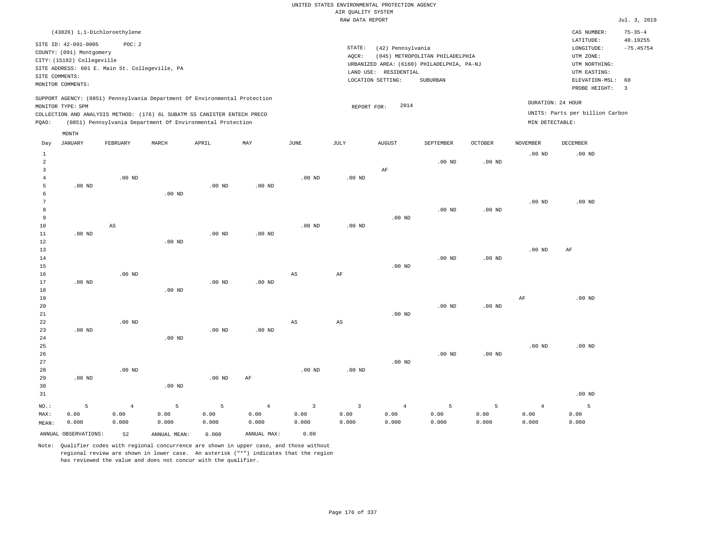| (43826) 1,1-Dichloroethylene                                                                                                                                                                                                                                |                                                                                                                                                                                 | CAS NUMBER:                                                                                                 | $75 - 35 - 4$           |
|-------------------------------------------------------------------------------------------------------------------------------------------------------------------------------------------------------------------------------------------------------------|---------------------------------------------------------------------------------------------------------------------------------------------------------------------------------|-------------------------------------------------------------------------------------------------------------|-------------------------|
| SITE ID: 42-091-0005<br>POC: 2<br>COUNTY: (091) Montgomery<br>CITY: (15192) Collegeville<br>SITE ADDRESS: 601 E. Main St. Collegeville, PA<br>SITE COMMENTS:<br>MONITOR COMMENTS:                                                                           | STATE:<br>(42) Pennsylvania<br>(045) METROPOLITAN PHILADELPHIA<br>AOCR:<br>URBANIZED AREA: (6160) PHILADELPHIA, PA-NJ<br>LAND USE: RESIDENTIAL<br>LOCATION SETTING:<br>SUBURBAN | LATITUDE:<br>LONGITUDE:<br>UTM ZONE:<br>UTM NORTHING:<br>UTM EASTING:<br>ELEVATION-MSL: 60<br>PROBE HEIGHT: | 40.19255<br>$-75.45754$ |
| SUPPORT AGENCY: (0851) Pennsylvania Department Of Environmental Protection<br>MONITOR TYPE: SPM<br>COLLECTION AND ANALYSIS METHOD: (176) 6L SUBATM SS CANISTER ENTECH PRECO<br>(0851) Pennsylvania Department Of Environmental Protection<br>POAO:<br>MONTH | DURATION: 24 HOUR<br>2014<br>REPORT FOR:<br>MIN DETECTABLE:                                                                                                                     | UNITS: Parts per billion Carbon                                                                             |                         |

| Day            | JANUARY              | FEBRUARY       | MARCH             | APRIL    | MAY               | JUNE                    | $\mathtt{JULY}$   | AUGUST         | SEPTEMBER | <b>OCTOBER</b>    | NOVEMBER       | DECEMBER |
|----------------|----------------------|----------------|-------------------|----------|-------------------|-------------------------|-------------------|----------------|-----------|-------------------|----------------|----------|
| $\mathbf{1}$   |                      |                |                   |          |                   |                         |                   |                |           |                   | $.00$ ND       | $.00$ ND |
| $\overline{a}$ |                      |                |                   |          |                   |                         |                   |                | $.00$ ND  | $.00$ ND          |                |          |
| 3              |                      |                |                   |          |                   |                         |                   | $\rm AF$       |           |                   |                |          |
| $\overline{4}$ |                      | $.00$ ND       |                   |          |                   | $.00$ ND                | $.00$ ND          |                |           |                   |                |          |
| 5              | $.00$ ND             |                |                   | $.00$ ND | .00 <sub>ND</sub> |                         |                   |                |           |                   |                |          |
| 6              |                      |                | .00 <sub>ND</sub> |          |                   |                         |                   |                |           |                   |                |          |
| 7              |                      |                |                   |          |                   |                         |                   |                |           |                   | $.00$ ND       | $.00$ ND |
| 8              |                      |                |                   |          |                   |                         |                   |                | $.00$ ND  | .00 <sub>ND</sub> |                |          |
| 9              |                      |                |                   |          |                   |                         |                   | .00 $ND$       |           |                   |                |          |
| 10             |                      | AS             |                   |          |                   | $.00$ ND                | $.00$ ND          |                |           |                   |                |          |
| 11             | .00 $ND$             |                |                   | $.00$ ND | $.00$ ND          |                         |                   |                |           |                   |                |          |
| 12             |                      |                | $.00$ ND          |          |                   |                         |                   |                |           |                   |                |          |
| 13             |                      |                |                   |          |                   |                         |                   |                |           |                   | $.00$ ND       | AF       |
| 14<br>15       |                      |                |                   |          |                   |                         |                   |                | $.00$ ND  | .00 <sub>ND</sub> |                |          |
| 16             |                      | $.00$ ND       |                   |          |                   | AS                      |                   | $.00$ ND       |           |                   |                |          |
| 17             | $.00$ ND             |                |                   | $.00$ ND | $.00$ ND          |                         | AF                |                |           |                   |                |          |
| 18             |                      |                | .00 <sub>ND</sub> |          |                   |                         |                   |                |           |                   |                |          |
| 19             |                      |                |                   |          |                   |                         |                   |                |           |                   | AF             | $.00$ ND |
| 20             |                      |                |                   |          |                   |                         |                   |                | $.00$ ND  | .00 <sub>ND</sub> |                |          |
| 21             |                      |                |                   |          |                   |                         |                   | $.00$ ND       |           |                   |                |          |
| 22             |                      | $.00$ ND       |                   |          |                   | AS                      | AS                |                |           |                   |                |          |
| 23             | $.00$ ND             |                |                   | $.00$ ND | $.00$ ND          |                         |                   |                |           |                   |                |          |
| 24             |                      |                | $.00$ ND          |          |                   |                         |                   |                |           |                   |                |          |
| 25             |                      |                |                   |          |                   |                         |                   |                |           |                   | $.00$ ND       | $.00$ ND |
| 26             |                      |                |                   |          |                   |                         |                   |                | $.00$ ND  | $.00$ ND          |                |          |
| 27             |                      |                |                   |          |                   |                         |                   | .00 $ND$       |           |                   |                |          |
| 28             |                      | $.00$ ND       |                   |          |                   | $.00$ ND                | .00 <sub>ND</sub> |                |           |                   |                |          |
| 29             | $.00$ ND             |                |                   | .00 $ND$ | AF                |                         |                   |                |           |                   |                |          |
| 30             |                      |                | $.00$ ND          |          |                   |                         |                   |                |           |                   |                |          |
| 31             |                      |                |                   |          |                   |                         |                   |                |           |                   |                | $.00$ ND |
| $NO.$ :        | 5                    | $\overline{4}$ | 5                 | 5        | $\overline{4}$    | $\overline{\mathbf{3}}$ | $\overline{3}$    | $\overline{4}$ | 5         | 5                 | $\overline{4}$ | 5        |
| MAX:           | 0.00                 | 0.00           | 0.00              | 0.00     | 0.00              | 0.00                    | 0.00              | 0.00           | 0.00      | 0.00              | 0.00           | 0.00     |
| MEAN:          | 0.000                | 0.000          | 0.000             | 0.000    | 0.000             | 0.000                   | 0.000             | 0.000          | 0.000     | 0.000             | 0.000          | 0.000    |
|                | ANNUAL OBSERVATIONS: | 52             | ANNUAL MEAN:      | 0.000    | ANNUAL MAX:       | 0.00                    |                   |                |           |                   |                |          |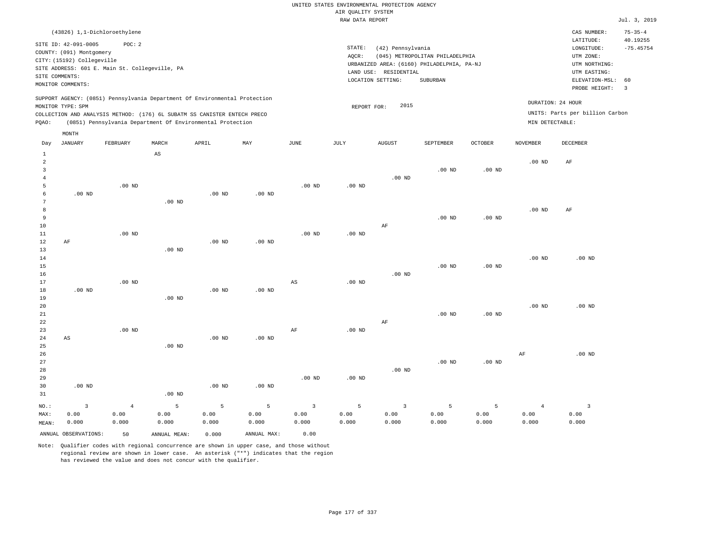| (43826) 1,1-Dichloroethylene                                                                                                                                                         |                                                            |       |     |      |                 |                                  |                                                                               |                |                                      | CAS NUMBER:                                           | $75 - 35 - 4$           |
|--------------------------------------------------------------------------------------------------------------------------------------------------------------------------------------|------------------------------------------------------------|-------|-----|------|-----------------|----------------------------------|-------------------------------------------------------------------------------|----------------|--------------------------------------|-------------------------------------------------------|-------------------------|
| SITE ID: 42-091-0005<br>COUNTY: (091) Montgomery<br>CITY: (15192) Collegeville                                                                                                       | POC:2                                                      |       |     |      | STATE:<br>AOCR: | (42) Pennsylvania                | (045) METROPOLITAN PHILADELPHIA<br>URBANIZED AREA: (6160) PHILADELPHIA, PA-NJ |                |                                      | LATITUDE:<br>LONGITUDE:<br>UTM ZONE:<br>UTM NORTHING: | 40.19255<br>$-75.45754$ |
| SITE ADDRESS: 601 E. Main St. Collegeville, PA<br>SITE COMMENTS:<br>MONITOR COMMENTS:                                                                                                |                                                            |       |     |      | LAND USE:       | RESIDENTIAL<br>LOCATION SETTING: | SUBURBAN                                                                      |                |                                      | UTM EASTING:<br>ELEVATION-MSL:<br>PROBE HEIGHT:       | 60<br>3                 |
| SUPPORT AGENCY: (0851) Pennsylvania Department Of Environmental Protection<br>MONITOR TYPE: SPM<br>COLLECTION AND ANALYSIS METHOD: (176) 6L SUBATM SS CANISTER ENTECH PRECO<br>POAO: | (0851) Pennsylvania Department Of Environmental Protection |       |     |      |                 | 2015<br>REPORT FOR:              |                                                                               |                | DURATION: 24 HOUR<br>MIN DETECTABLE: | UNITS: Parts per billion Carbon                       |                         |
| MONTH<br>JANUARY<br>Day                                                                                                                                                              | FEBRUARY<br>MARCH                                          | APRIL | MAY | JUNE | JULY            | AUGUST                           | SEPTEMBER                                                                     | <b>OCTOBER</b> | <b>NOVEMBER</b>                      | DECEMBER                                              |                         |

| $\mathbf{1}$   |                         |                   | $\mathbb{A}\mathbb{S}$ |                   |                   |                         |                 |                |          |          |                   |                         |
|----------------|-------------------------|-------------------|------------------------|-------------------|-------------------|-------------------------|-----------------|----------------|----------|----------|-------------------|-------------------------|
| $\overline{a}$ |                         |                   |                        |                   |                   |                         |                 |                |          |          | .00 <sub>ND</sub> | $\rm AF$                |
| 3              |                         |                   |                        |                   |                   |                         |                 |                | $.00$ ND | $.00$ ND |                   |                         |
| $\overline{4}$ |                         |                   |                        |                   |                   |                         |                 | $.00$ ND       |          |          |                   |                         |
| 5              |                         | $.00$ ND          |                        |                   |                   | $.00$ ND                | $.00$ ND        |                |          |          |                   |                         |
| 6              | $.00$ ND                |                   |                        | .00 <sub>ND</sub> | $.00$ ND          |                         |                 |                |          |          |                   |                         |
| 7              |                         |                   | $.00$ ND               |                   |                   |                         |                 |                |          |          |                   |                         |
| 8              |                         |                   |                        |                   |                   |                         |                 |                |          |          | $.00$ ND          | AF                      |
| 9              |                         |                   |                        |                   |                   |                         |                 |                | $.00$ ND | $.00$ ND |                   |                         |
| 10             |                         |                   |                        |                   |                   |                         |                 | $\rm AF$       |          |          |                   |                         |
| 11             |                         | .00 <sub>ND</sub> |                        |                   |                   | $.00$ ND                | .00 $ND$        |                |          |          |                   |                         |
| 12             | $\rm AF$                |                   |                        | .00 <sub>ND</sub> | $.00$ ND          |                         |                 |                |          |          |                   |                         |
| 13             |                         |                   | .00 <sub>ND</sub>      |                   |                   |                         |                 |                |          |          |                   |                         |
| 14             |                         |                   |                        |                   |                   |                         |                 |                |          |          | $.00$ ND          | $.00$ ND                |
| $15\,$         |                         |                   |                        |                   |                   |                         |                 |                | $.00$ ND | $.00$ ND |                   |                         |
| $16$           |                         |                   |                        |                   |                   |                         |                 | $.00$ ND       |          |          |                   |                         |
| 17             |                         | $.00$ ND          |                        |                   |                   | $\mathbb{A}\mathbb{S}$  | .00 $ND$        |                |          |          |                   |                         |
| 18             | $.00$ ND                |                   |                        | .00 <sub>ND</sub> | .00 $ND$          |                         |                 |                |          |          |                   |                         |
| 19             |                         |                   | $.00$ ND               |                   |                   |                         |                 |                |          |          |                   |                         |
| 20             |                         |                   |                        |                   |                   |                         |                 |                |          |          | .00 <sub>ND</sub> | .00 $ND$                |
| $2\sqrt{1}$    |                         |                   |                        |                   |                   |                         |                 |                | $.00$ ND | $.00$ ND |                   |                         |
| 22             |                         |                   |                        |                   |                   |                         |                 | $\rm AF$       |          |          |                   |                         |
| 23             |                         | $.00$ ND          |                        |                   |                   | $\rm{AF}$               | .00 $ND$        |                |          |          |                   |                         |
| 24             | $\mathbb{A}\mathbb{S}$  |                   |                        | .00 <sub>ND</sub> | .00 <sub>ND</sub> |                         |                 |                |          |          |                   |                         |
| 25             |                         |                   | .00 <sub>ND</sub>      |                   |                   |                         |                 |                |          |          |                   |                         |
| 26             |                         |                   |                        |                   |                   |                         |                 |                |          |          | $\rm{AF}$         | $.00$ ND                |
| 27             |                         |                   |                        |                   |                   |                         |                 |                | $.00$ ND | $.00$ ND |                   |                         |
| 28             |                         |                   |                        |                   |                   |                         |                 | $.00$ ND       |          |          |                   |                         |
| 29             |                         |                   |                        |                   |                   | $.00$ ND                | $.00$ ND        |                |          |          |                   |                         |
| 30             | $.00$ ND                |                   |                        | .00 <sub>ND</sub> | $.00$ ND          |                         |                 |                |          |          |                   |                         |
| 31             |                         |                   | $.00$ ND               |                   |                   |                         |                 |                |          |          |                   |                         |
| $NO.$ :        | $\overline{\mathbf{3}}$ | $\bf 4$           | $\overline{5}$         | $\overline{5}$    | $\overline{5}$    | $\overline{\mathbf{3}}$ | $5\phantom{.0}$ | $\overline{3}$ | 5        | 5        | $\overline{4}$    | $\overline{\mathbf{3}}$ |
| MAX:           | 0.00                    | 0.00              | 0.00                   | 0.00              | 0.00              | 0.00                    | 0.00            | 0.00           | 0.00     | 0.00     | 0.00              | 0.00                    |
| MEAN:          | 0.000                   | 0.000             | 0.000                  | 0.000             | 0.000             | 0.000                   | 0.000           | 0.000          | 0.000    | 0.000    | 0.000             | 0.000                   |
|                | ANNUAL OBSERVATIONS:    | 50                | ANNUAL MEAN:           | 0.000             | ANNUAL MAX:       | 0.00                    |                 |                |          |          |                   |                         |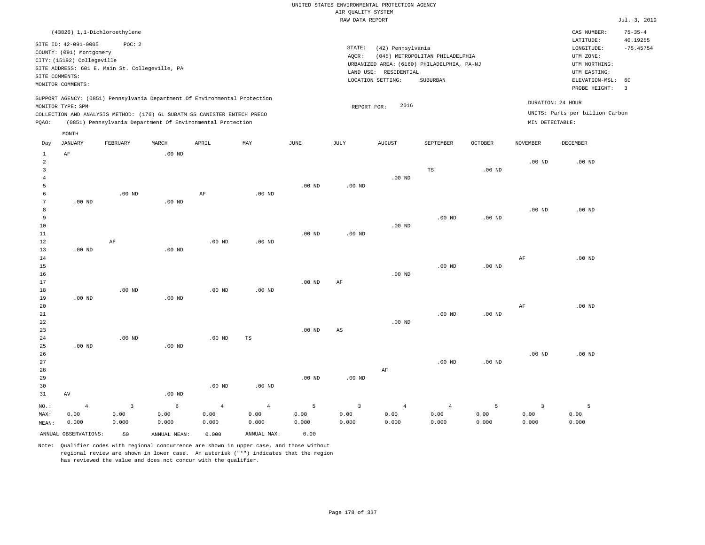|                                                                          |                            | (43826) 1,1-Dichloroethylene |       |                                                            |                                                                            |             |      |                                            |                                 |                |                   | CAS NUMBER:   | $75 - 35 - 4$ |  |
|--------------------------------------------------------------------------|----------------------------|------------------------------|-------|------------------------------------------------------------|----------------------------------------------------------------------------|-------------|------|--------------------------------------------|---------------------------------|----------------|-------------------|---------------|---------------|--|
|                                                                          | SITE ID: 42-091-0005       | POC: 2                       |       |                                                            |                                                                            |             |      |                                            |                                 |                |                   | LATITUDE:     | 40.19255      |  |
|                                                                          |                            |                              |       |                                                            |                                                                            |             |      | STATE:<br>(42) Pennsylvania                |                                 |                |                   | LONGITUDE:    | $-75.45754$   |  |
|                                                                          | COUNTY: (091) Montgomery   |                              |       |                                                            |                                                                            |             |      | AOCR:<br>(045) METROPOLITAN PHILADELPHIA   | UTM ZONE:                       |                |                   |               |               |  |
|                                                                          | CITY: (15192) Collegeville |                              |       |                                                            |                                                                            |             |      | URBANIZED AREA: (6160) PHILADELPHIA, PA-NJ | UTM NORTHING:                   |                |                   |               |               |  |
| SITE ADDRESS: 601 E. Main St. Collegeville, PA<br>SITE COMMENTS:         |                            |                              |       |                                                            |                                                                            |             |      |                                            |                                 |                |                   |               |               |  |
|                                                                          |                            |                              |       |                                                            |                                                                            |             |      | LAND USE: RESIDENTIAL                      |                                 | UTM EASTING:   |                   |               |               |  |
|                                                                          |                            |                              |       |                                                            |                                                                            |             |      | LOCATION SETTING:                          | ELEVATION-MSL: 60               |                |                   |               |               |  |
|                                                                          | MONITOR COMMENTS:          |                              |       |                                                            |                                                                            |             |      |                                            |                                 |                |                   | PROBE HEIGHT: | - 3           |  |
|                                                                          |                            |                              |       |                                                            | SUPPORT AGENCY: (0851) Pennsylvania Department Of Environmental Protection |             |      |                                            |                                 |                |                   |               |               |  |
|                                                                          | MONITOR TYPE: SPM          |                              |       |                                                            |                                                                            |             |      | 2016<br>REPORT FOR:                        |                                 |                | DURATION: 24 HOUR |               |               |  |
| COLLECTION AND ANALYSIS METHOD: (176) 6L SUBATM SS CANISTER ENTECH PRECO |                            |                              |       |                                                            |                                                                            |             |      |                                            | UNITS: Parts per billion Carbon |                |                   |               |               |  |
| POAO:                                                                    |                            |                              |       | (0851) Pennsylvania Department Of Environmental Protection |                                                                            |             |      |                                            |                                 |                | MIN DETECTABLE:   |               |               |  |
|                                                                          | MONTH                      |                              |       |                                                            |                                                                            |             |      |                                            |                                 |                |                   |               |               |  |
|                                                                          | JANUARY                    | FEBRUARY                     | MARCH | APRIL                                                      | MAY                                                                        | <b>JUNE</b> | JULY | AUGUST                                     | SEPTEMBER                       | <b>OCTOBER</b> | NOVEMBER          | DECEMBER      |               |  |
| Day                                                                      |                            |                              |       |                                                            |                                                                            |             |      |                                            |                                 |                |                   |               |               |  |

| 1<br>$\overline{2}$ | AF                   |                         | $.00$ ND     |                |                |             |                        |                |                   |                   | $.00$ ND                | $.00$ ND |
|---------------------|----------------------|-------------------------|--------------|----------------|----------------|-------------|------------------------|----------------|-------------------|-------------------|-------------------------|----------|
| 3                   |                      |                         |              |                |                |             |                        |                | TS                | $.00$ ND          |                         |          |
| $\overline{4}$      |                      |                         |              |                |                |             |                        | $.00$ ND       |                   |                   |                         |          |
| 5                   |                      |                         |              |                |                | $.00$ ND    | $.00$ ND               |                |                   |                   |                         |          |
| $\epsilon$          |                      | .00 $ND$                |              | $\rm AF$       | $.00$ ND       |             |                        |                |                   |                   |                         |          |
| 7                   | $.00$ ND             |                         | .00 $ND$     |                |                |             |                        |                |                   |                   |                         |          |
| 8                   |                      |                         |              |                |                |             |                        |                |                   |                   | $.00$ ND                | $.00$ ND |
| 9                   |                      |                         |              |                |                |             |                        |                | $.00$ ND          | .00 <sub>ND</sub> |                         |          |
| 10                  |                      |                         |              |                |                |             |                        | $.00$ ND       |                   |                   |                         |          |
| 11                  |                      |                         |              |                |                | $.00$ ND    | $.00$ ND               |                |                   |                   |                         |          |
| 12                  |                      | AF                      |              | $.00$ ND       | $.00$ ND       |             |                        |                |                   |                   |                         |          |
| 13                  | $.00$ ND             |                         | $.00$ ND     |                |                |             |                        |                |                   |                   |                         |          |
| 14                  |                      |                         |              |                |                |             |                        |                |                   |                   | $\rm{AF}$               | $.00$ ND |
| 15                  |                      |                         |              |                |                |             |                        |                | $.00$ ND          | .00 <sub>ND</sub> |                         |          |
| 16                  |                      |                         |              |                |                |             |                        | .00 $ND$       |                   |                   |                         |          |
| 17                  |                      |                         |              |                |                | $.00$ ND    | $\rm AF$               |                |                   |                   |                         |          |
| 18                  |                      | $.00$ ND                |              | $.00$ ND       | $.00$ ND       |             |                        |                |                   |                   |                         |          |
| 19                  | $.00$ ND             |                         | $.00$ ND     |                |                |             |                        |                |                   |                   |                         |          |
| 20                  |                      |                         |              |                |                |             |                        |                |                   |                   | $\rm{AF}$               | $.00$ ND |
| $21\,$              |                      |                         |              |                |                |             |                        |                | .00 <sub>ND</sub> | .00 <sub>ND</sub> |                         |          |
| 22                  |                      |                         |              |                |                |             |                        | .00 $ND$       |                   |                   |                         |          |
| 23                  |                      |                         |              |                |                | $.00$ ND    | $\mathbb{A}\mathbb{S}$ |                |                   |                   |                         |          |
| 24                  |                      | $.00$ ND                |              | $.00$ ND       | $\mathbb{TS}$  |             |                        |                |                   |                   |                         |          |
| 25                  | $.00$ ND             |                         | $.00$ ND     |                |                |             |                        |                |                   |                   |                         |          |
| 26                  |                      |                         |              |                |                |             |                        |                |                   |                   | $.00$ ND                | $.00$ ND |
| 27                  |                      |                         |              |                |                |             |                        |                | $.00$ ND          | $.00$ ND          |                         |          |
| 28                  |                      |                         |              |                |                |             |                        | $\rm AF$       |                   |                   |                         |          |
| 29                  |                      |                         |              |                |                | $.00$ ND    | $.00$ ND               |                |                   |                   |                         |          |
| 30                  | AV                   |                         |              | $.00$ ND       | $.00$ ND       |             |                        |                |                   |                   |                         |          |
| 31                  |                      |                         | .00 $ND$     |                |                |             |                        |                |                   |                   |                         |          |
| $_{\rm NO.}$ :      | $\overline{4}$       | $\overline{\mathbf{3}}$ | $\epsilon$   | $\overline{4}$ | $\overline{4}$ | $\mathsf S$ | $\overline{3}$         | $\overline{4}$ | $\overline{4}$    | 5                 | $\overline{\mathbf{3}}$ | 5        |
| MAX:                | 0.00                 | 0.00                    | 0.00         | 0.00           | 0.00           | 0.00        | 0.00                   | 0.00           | 0.00              | 0.00              | 0.00                    | 0.00     |
| MEAN:               | 0.000                | 0.000                   | 0.000        | 0.000          | 0.000          | 0.000       | 0.000                  | 0.000          | 0.000             | 0.000             | 0.000                   | 0.000    |
|                     | ANNUAL OBSERVATIONS: | 50                      | ANNUAL MEAN: | 0.000          | ANNUAL MAX:    | 0.00        |                        |                |                   |                   |                         |          |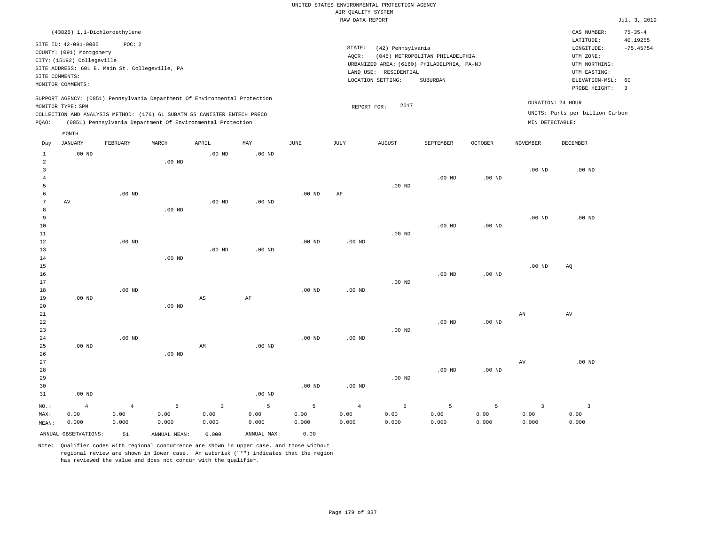|                                                |                            |                              |               |                                                                            |                   |                   |                               | UNITED STATES ENVIRONMENTAL PROTECTION AGENCY |                                            |                |                        |                                 |                           |
|------------------------------------------------|----------------------------|------------------------------|---------------|----------------------------------------------------------------------------|-------------------|-------------------|-------------------------------|-----------------------------------------------|--------------------------------------------|----------------|------------------------|---------------------------------|---------------------------|
|                                                |                            |                              |               |                                                                            |                   |                   | AIR QUALITY SYSTEM            |                                               |                                            |                |                        |                                 |                           |
|                                                |                            |                              |               |                                                                            |                   |                   | RAW DATA REPORT               |                                               |                                            |                |                        |                                 | Jul. 3, 2019              |
|                                                |                            | (43826) 1,1-Dichloroethylene |               |                                                                            |                   |                   |                               |                                               |                                            |                |                        | CAS NUMBER:<br>LATITUDE:        | $75 - 35 - 4$<br>40.19255 |
|                                                | SITE ID: 42-091-0005       | POC: 2                       |               |                                                                            |                   |                   | STATE:                        | (42) Pennsylvania                             |                                            |                |                        | LONGITUDE:                      | $-75.45754$               |
|                                                | COUNTY: (091) Montgomery   |                              |               |                                                                            |                   |                   | AQCR:                         |                                               | (045) METROPOLITAN PHILADELPHIA            |                |                        | UTM ZONE:                       |                           |
|                                                | CITY: (15192) Collegeville |                              |               |                                                                            |                   |                   |                               |                                               | URBANIZED AREA: (6160) PHILADELPHIA, PA-NJ |                |                        | UTM NORTHING:                   |                           |
| SITE ADDRESS: 601 E. Main St. Collegeville, PA |                            |                              |               |                                                                            |                   |                   |                               | LAND USE: RESIDENTIAL                         |                                            |                |                        | UTM EASTING:                    |                           |
| SITE COMMENTS:<br>MONITOR COMMENTS:            |                            |                              |               |                                                                            |                   |                   | LOCATION SETTING:<br>SUBURBAN |                                               |                                            |                |                        |                                 |                           |
|                                                |                            |                              |               |                                                                            |                   |                   |                               |                                               |                                            |                |                        | PROBE HEIGHT:                   | $\overline{3}$            |
|                                                |                            |                              |               | SUPPORT AGENCY: (0851) Pennsylvania Department Of Environmental Protection |                   |                   |                               |                                               |                                            |                |                        | DURATION: 24 HOUR               |                           |
|                                                | MONITOR TYPE: SPM          |                              |               |                                                                            |                   |                   | REPORT FOR:                   | 2017                                          |                                            |                |                        |                                 |                           |
|                                                |                            |                              |               | COLLECTION AND ANALYSIS METHOD: (176) 6L SUBATM SS CANISTER ENTECH PRECO   |                   |                   |                               |                                               |                                            |                |                        | UNITS: Parts per billion Carbon |                           |
| PQAO:                                          |                            |                              |               | (0851) Pennsylvania Department Of Environmental Protection                 |                   |                   |                               |                                               |                                            |                | MIN DETECTABLE:        |                                 |                           |
|                                                | MONTH                      |                              |               |                                                                            |                   |                   |                               |                                               |                                            |                |                        |                                 |                           |
| Day                                            | <b>JANUARY</b>             | FEBRUARY                     | MARCH         | APRIL                                                                      | $\texttt{MAX}$    | JUNE              | JULY                          | <b>AUGUST</b>                                 | SEPTEMBER                                  | <b>OCTOBER</b> | <b>NOVEMBER</b>        | DECEMBER                        |                           |
| $\mathbf{1}$                                   | $.00$ ND                   |                              |               | $.00$ ND                                                                   | $.00$ ND          |                   |                               |                                               |                                            |                |                        |                                 |                           |
| $\overline{a}$                                 |                            |                              | $.00$ ND      |                                                                            |                   |                   |                               |                                               |                                            |                |                        |                                 |                           |
| $\overline{3}$                                 |                            |                              |               |                                                                            |                   |                   |                               |                                               |                                            |                | .00 <sub>ND</sub>      | $.00$ ND                        |                           |
| $\overline{4}$                                 |                            |                              |               |                                                                            |                   |                   |                               |                                               | $.00$ ND                                   | $.00$ ND       |                        |                                 |                           |
| 5                                              |                            |                              |               |                                                                            |                   |                   |                               | $.00$ ND                                      |                                            |                |                        |                                 |                           |
| 6                                              |                            | $.00$ ND                     |               |                                                                            |                   | $.00$ ND          | AF                            |                                               |                                            |                |                        |                                 |                           |
| 7<br>8                                         | $\,\mathrm{AV}$            |                              |               | .00 <sub>ND</sub>                                                          | .00 <sub>ND</sub> |                   |                               |                                               |                                            |                |                        |                                 |                           |
| 9                                              |                            |                              | $.00$ ND      |                                                                            |                   |                   |                               |                                               |                                            |                | .00 <sub>ND</sub>      | $.00$ ND                        |                           |
| 10                                             |                            |                              |               |                                                                            |                   |                   |                               |                                               | $.00$ ND                                   | $.00$ ND       |                        |                                 |                           |
| 11                                             |                            |                              |               |                                                                            |                   |                   |                               | .00 <sub>ND</sub>                             |                                            |                |                        |                                 |                           |
| 12                                             |                            | $.00$ ND                     |               |                                                                            |                   | .00 <sub>ND</sub> | .00 <sub>ND</sub>             |                                               |                                            |                |                        |                                 |                           |
| 13                                             |                            |                              |               | $.00$ ND                                                                   | $.00$ ND          |                   |                               |                                               |                                            |                |                        |                                 |                           |
| 14                                             |                            |                              | $.00$ ND      |                                                                            |                   |                   |                               |                                               |                                            |                |                        |                                 |                           |
| 15                                             |                            |                              |               |                                                                            |                   |                   |                               |                                               |                                            |                | .00 <sub>ND</sub>      | AQ                              |                           |
| 16                                             |                            |                              |               |                                                                            |                   |                   |                               |                                               | $.00$ ND                                   | $.00$ ND       |                        |                                 |                           |
| 17                                             |                            |                              |               |                                                                            |                   |                   |                               | $.00$ ND                                      |                                            |                |                        |                                 |                           |
| 18                                             |                            | $.00$ ND                     |               |                                                                            |                   | $.00$ ND          | .00 <sub>ND</sub>             |                                               |                                            |                |                        |                                 |                           |
| 19<br>20                                       | .00 <sub>ND</sub>          |                              | $.00$ ND      | $\mathbb{A}\mathbb{S}$                                                     | $\rm AF$          |                   |                               |                                               |                                            |                |                        |                                 |                           |
| $21\,$                                         |                            |                              |               |                                                                            |                   |                   |                               |                                               |                                            |                | $\mathbb{A}\mathbb{N}$ | $\operatorname{AV}$             |                           |
| 22                                             |                            |                              |               |                                                                            |                   |                   |                               |                                               | $.00$ ND                                   | $.00$ ND       |                        |                                 |                           |
| 23                                             |                            |                              |               |                                                                            |                   |                   |                               | .00 <sub>ND</sub>                             |                                            |                |                        |                                 |                           |
| 24                                             |                            | $.00$ ND                     |               |                                                                            |                   | .00 <sub>ND</sub> | .00 <sub>ND</sub>             |                                               |                                            |                |                        |                                 |                           |
| 25                                             | $.00$ ND                   |                              |               | AM                                                                         | $.00$ ND          |                   |                               |                                               |                                            |                |                        |                                 |                           |
| 26                                             |                            |                              | $.00$ ND      |                                                                            |                   |                   |                               |                                               |                                            |                |                        |                                 |                           |
| 27                                             |                            |                              |               |                                                                            |                   |                   |                               |                                               |                                            |                | $\operatorname{AV}$    | $.00$ ND                        |                           |
| 28                                             |                            |                              |               |                                                                            |                   |                   |                               |                                               | $.00$ ND                                   | $.00$ ND       |                        |                                 |                           |
| 29                                             |                            |                              |               |                                                                            |                   |                   |                               | .00 <sub>ND</sub>                             |                                            |                |                        |                                 |                           |
| 30<br>31                                       | $.00$ ND                   |                              |               |                                                                            | .00 <sub>ND</sub> | $.00$ ND          | $.00$ ND                      |                                               |                                            |                |                        |                                 |                           |
|                                                |                            |                              |               |                                                                            |                   |                   |                               |                                               |                                            |                |                        |                                 |                           |
| NO.:                                           | $\overline{4}$             | $\overline{4}$               | 5             | $\overline{3}$                                                             | $\mathsf S$       | 5                 | $\overline{4}$                | 5                                             | 5                                          | 5              | $\overline{3}$         | $\overline{\mathbf{3}}$         |                           |
| MAX:                                           | 0.00                       | 0.00                         | 0.00          | 0.00                                                                       | 0.00              | 0.00              | 0.00                          | 0.00                                          | 0.00                                       | 0.00           | 0.00                   | 0.00                            |                           |
| MEAN:                                          | 0.000                      | 0.000                        | 0.000         | 0.000                                                                      | 0.000             | 0.000             | 0.000                         | 0.000                                         | 0.000                                      | 0.000          | 0.000                  | 0.000                           |                           |
|                                                | ANNUAL OBSERVATIONS:       | 51                           | ANNUAL, MEAN: | 0.000                                                                      | ANNUAL MAX:       | 0.00              |                               |                                               |                                            |                |                        |                                 |                           |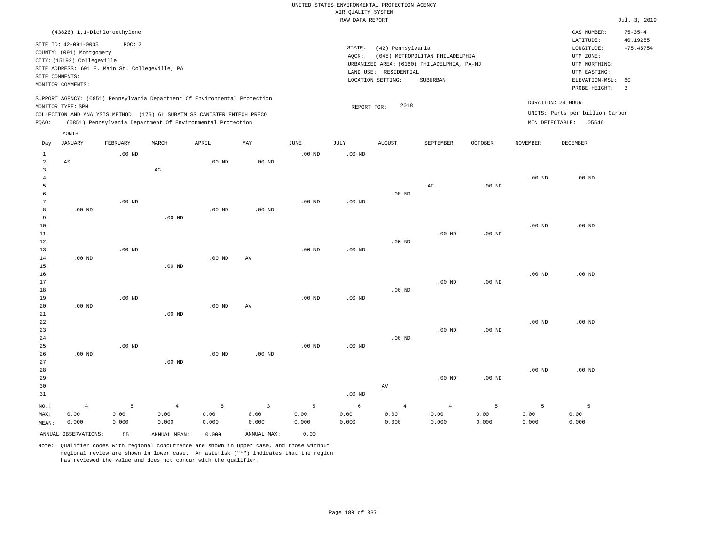|                                |                                                                                                                |                   |                   |                                                                                                                                        |                   |                   | UNITED STATES ENVIRONMENTAL PROTECTION AGENCY<br>AIR QUALITY SYSTEM |                       |                                                                               |                   |                   |                                                                      |                                          |
|--------------------------------|----------------------------------------------------------------------------------------------------------------|-------------------|-------------------|----------------------------------------------------------------------------------------------------------------------------------------|-------------------|-------------------|---------------------------------------------------------------------|-----------------------|-------------------------------------------------------------------------------|-------------------|-------------------|----------------------------------------------------------------------|------------------------------------------|
|                                |                                                                                                                |                   |                   |                                                                                                                                        |                   |                   | RAW DATA REPORT                                                     |                       |                                                                               |                   |                   |                                                                      | Jul. 3, 2019                             |
|                                |                                                                                                                |                   |                   |                                                                                                                                        |                   |                   |                                                                     |                       |                                                                               |                   |                   |                                                                      |                                          |
|                                | (43826) 1,1-Dichloroethylene<br>SITE ID: 42-091-0005<br>COUNTY: (091) Montgomery<br>CITY: (15192) Collegeville | POC: 2            |                   |                                                                                                                                        |                   |                   | STATE:<br>AOCR:                                                     | (42) Pennsylvania     | (045) METROPOLITAN PHILADELPHIA<br>URBANIZED AREA: (6160) PHILADELPHIA, PA-NJ |                   |                   | CAS NUMBER:<br>LATITUDE:<br>LONGITUDE:<br>UTM ZONE:<br>UTM NORTHING: | $75 - 35 - 4$<br>40.19255<br>$-75.45754$ |
|                                | SITE ADDRESS: 601 E. Main St. Collegeville, PA                                                                 |                   |                   |                                                                                                                                        |                   |                   |                                                                     | LAND USE: RESIDENTIAL |                                                                               |                   |                   | UTM EASTING:                                                         |                                          |
| SITE COMMENTS:                 | MONITOR COMMENTS:                                                                                              |                   |                   |                                                                                                                                        |                   |                   |                                                                     | LOCATION SETTING:     | SUBURBAN                                                                      |                   |                   | ELEVATION-MSL:<br>PROBE HEIGHT:                                      | 60<br>$\overline{3}$                     |
|                                |                                                                                                                |                   |                   | SUPPORT AGENCY: (0851) Pennsylvania Department Of Environmental Protection                                                             |                   |                   |                                                                     |                       |                                                                               |                   |                   | DURATION: 24 HOUR                                                    |                                          |
|                                | MONITOR TYPE: SPM                                                                                              |                   |                   |                                                                                                                                        |                   |                   | REPORT FOR:                                                         | 2018                  |                                                                               |                   |                   |                                                                      |                                          |
| PQAO:                          |                                                                                                                |                   |                   | COLLECTION AND ANALYSIS METHOD: (176) 6L SUBATM SS CANISTER ENTECH PRECO<br>(0851) Pennsylvania Department Of Environmental Protection |                   |                   |                                                                     |                       |                                                                               |                   |                   | UNITS: Parts per billion Carbon<br>MIN DETECTABLE: .05546            |                                          |
|                                | MONTH                                                                                                          |                   |                   |                                                                                                                                        |                   |                   |                                                                     |                       |                                                                               |                   |                   |                                                                      |                                          |
| Day                            | <b>JANUARY</b>                                                                                                 | <b>FEBRUARY</b>   | MARCH             | APRIL                                                                                                                                  | MAY               | JUNE              | <b>JULY</b>                                                         | <b>AUGUST</b>         | SEPTEMBER                                                                     | <b>OCTOBER</b>    | <b>NOVEMBER</b>   | <b>DECEMBER</b>                                                      |                                          |
| $\mathbf{1}$<br>$\overline{a}$ | AS                                                                                                             | .00 <sub>ND</sub> |                   | $.00$ ND                                                                                                                               | $.00$ ND          | .00 <sub>ND</sub> | $.00$ ND                                                            |                       |                                                                               |                   |                   |                                                                      |                                          |
| $\mathbf{3}$<br>$\overline{4}$ |                                                                                                                |                   | $_{\rm AG}$       |                                                                                                                                        |                   |                   |                                                                     |                       |                                                                               |                   | .00 <sub>ND</sub> | $.00$ ND                                                             |                                          |
| 5                              |                                                                                                                |                   |                   |                                                                                                                                        |                   |                   |                                                                     |                       | AF                                                                            | .00 <sub>ND</sub> |                   |                                                                      |                                          |
| 6                              |                                                                                                                |                   |                   |                                                                                                                                        |                   |                   |                                                                     | $.00$ ND              |                                                                               |                   |                   |                                                                      |                                          |
| $\overline{7}$                 |                                                                                                                | $.00$ ND          |                   |                                                                                                                                        |                   | $.00$ ND          | $.00$ ND                                                            |                       |                                                                               |                   |                   |                                                                      |                                          |
| 8                              | $.00$ ND                                                                                                       |                   |                   | $.00$ ND                                                                                                                               | .00 <sub>ND</sub> |                   |                                                                     |                       |                                                                               |                   |                   |                                                                      |                                          |
| 9                              |                                                                                                                |                   | $.00$ ND          |                                                                                                                                        |                   |                   |                                                                     |                       |                                                                               |                   |                   |                                                                      |                                          |
| 10<br>11                       |                                                                                                                |                   |                   |                                                                                                                                        |                   |                   |                                                                     |                       | $.00$ ND                                                                      | $.00$ ND          | .00 <sub>ND</sub> | $.00$ ND                                                             |                                          |
| 12                             |                                                                                                                |                   |                   |                                                                                                                                        |                   |                   |                                                                     | $.00$ ND              |                                                                               |                   |                   |                                                                      |                                          |
| 13                             |                                                                                                                | $.00$ ND          |                   |                                                                                                                                        |                   | .00 <sub>ND</sub> | $.00$ ND                                                            |                       |                                                                               |                   |                   |                                                                      |                                          |
| 14                             | $.00$ ND                                                                                                       |                   |                   | $.00$ ND                                                                                                                               | AV                |                   |                                                                     |                       |                                                                               |                   |                   |                                                                      |                                          |
| 15                             |                                                                                                                |                   | $.00$ ND          |                                                                                                                                        |                   |                   |                                                                     |                       |                                                                               |                   |                   |                                                                      |                                          |
| 16                             |                                                                                                                |                   |                   |                                                                                                                                        |                   |                   |                                                                     |                       |                                                                               |                   | $.00$ ND          | $.00$ ND                                                             |                                          |
| 17<br>18                       |                                                                                                                |                   |                   |                                                                                                                                        |                   |                   |                                                                     | .00 <sub>ND</sub>     | $.00$ ND                                                                      | $.00$ ND          |                   |                                                                      |                                          |
| 19                             |                                                                                                                | .00 <sub>ND</sub> |                   |                                                                                                                                        |                   | $.00$ ND          | .00 <sub>ND</sub>                                                   |                       |                                                                               |                   |                   |                                                                      |                                          |
| 20                             | $.00$ ND                                                                                                       |                   |                   | $.00$ ND                                                                                                                               | AV                |                   |                                                                     |                       |                                                                               |                   |                   |                                                                      |                                          |
| 21                             |                                                                                                                |                   | $.00$ ND          |                                                                                                                                        |                   |                   |                                                                     |                       |                                                                               |                   |                   |                                                                      |                                          |
| 22                             |                                                                                                                |                   |                   |                                                                                                                                        |                   |                   |                                                                     |                       |                                                                               |                   | .00 <sub>ND</sub> | $.00$ ND                                                             |                                          |
| 23                             |                                                                                                                |                   |                   |                                                                                                                                        |                   |                   |                                                                     |                       | $.00$ ND                                                                      | $.00$ ND          |                   |                                                                      |                                          |
| 24                             |                                                                                                                |                   |                   |                                                                                                                                        |                   |                   |                                                                     | $.00$ ND              |                                                                               |                   |                   |                                                                      |                                          |
| 25<br>26                       | $.00$ ND                                                                                                       | $.00$ ND          |                   | .00 <sub>ND</sub>                                                                                                                      | $.00$ ND          | .00 <sub>ND</sub> | .00 <sub>ND</sub>                                                   |                       |                                                                               |                   |                   |                                                                      |                                          |
| 27                             |                                                                                                                |                   | .00 <sub>ND</sub> |                                                                                                                                        |                   |                   |                                                                     |                       |                                                                               |                   |                   |                                                                      |                                          |
| 28                             |                                                                                                                |                   |                   |                                                                                                                                        |                   |                   |                                                                     |                       |                                                                               |                   | .00 <sub>ND</sub> | $.00$ ND                                                             |                                          |
| 29                             |                                                                                                                |                   |                   |                                                                                                                                        |                   |                   |                                                                     |                       | $.00$ ND                                                                      | $.00$ ND          |                   |                                                                      |                                          |
| 30                             |                                                                                                                |                   |                   |                                                                                                                                        |                   |                   |                                                                     | AV                    |                                                                               |                   |                   |                                                                      |                                          |
| 31                             |                                                                                                                |                   |                   |                                                                                                                                        |                   |                   | $.00$ ND                                                            |                       |                                                                               |                   |                   |                                                                      |                                          |
| NO.:                           | $\overline{4}$                                                                                                 | 5                 | $\overline{4}$    | 5                                                                                                                                      | $\mathbf{3}$      | 5                 | 6                                                                   | $\overline{4}$        | $\overline{4}$                                                                | 5                 | 5                 | 5                                                                    |                                          |
| MAX:                           | 0.00                                                                                                           | 0.00              | 0.00              | 0.00                                                                                                                                   | 0.00              | 0.00              | 0.00                                                                | 0.00                  | 0.00                                                                          | 0.00              | 0.00              | 0.00                                                                 |                                          |
| MEAN:                          | 0.000                                                                                                          | 0.000             | 0.000             | 0.000                                                                                                                                  | 0.000             | 0.000             | 0.000                                                               | 0.000                 | 0.000                                                                         | 0.000             | 0.000             | 0.000                                                                |                                          |
|                                | ANNUAL OBSERVATIONS:                                                                                           | 55                | ANNUAL MEAN:      | 0.000                                                                                                                                  | ANNUAL MAX:       | 0.00              |                                                                     |                       |                                                                               |                   |                   |                                                                      |                                          |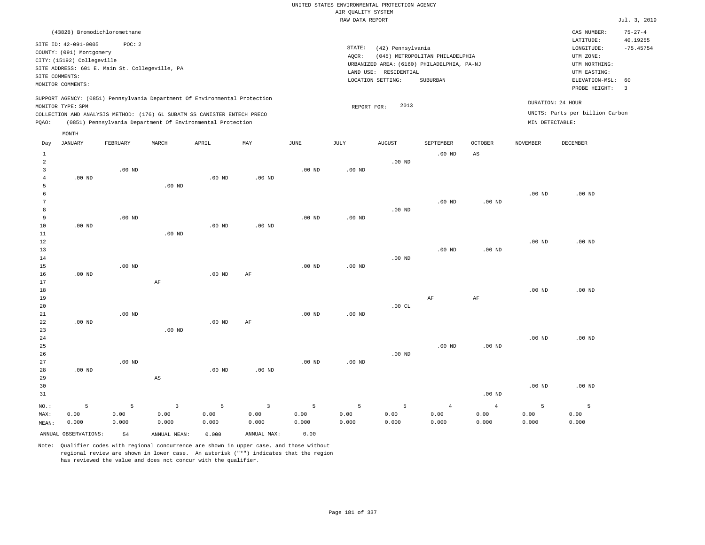## UNITED STATES ENVIRONMENTAL PROTECTION AGENCY AIR QUALITY SYSTEM

|                |                                     |                                                                                                                                        |                   |                   |                   |                   | RAW DATA REPORT   |                       |                                            |                   |                   |                                 | Jul. 3, 2019            |
|----------------|-------------------------------------|----------------------------------------------------------------------------------------------------------------------------------------|-------------------|-------------------|-------------------|-------------------|-------------------|-----------------------|--------------------------------------------|-------------------|-------------------|---------------------------------|-------------------------|
|                |                                     | (43828) Bromodichloromethane                                                                                                           |                   |                   |                   |                   |                   |                       |                                            |                   |                   | CAS NUMBER:                     | $75 - 27 - 4$           |
|                | SITE ID: 42-091-0005                | POC: 2                                                                                                                                 |                   |                   |                   |                   | STATE:            | (42) Pennsylvania     |                                            |                   |                   | LATITUDE:<br>LONGITUDE:         | 40.19255<br>$-75.45754$ |
|                | COUNTY: (091) Montgomery            |                                                                                                                                        |                   |                   |                   |                   | $AQCR$ :          |                       | (045) METROPOLITAN PHILADELPHIA            |                   |                   | UTM ZONE:                       |                         |
|                | CITY: (15192) Collegeville          |                                                                                                                                        |                   |                   |                   |                   |                   |                       | URBANIZED AREA: (6160) PHILADELPHIA, PA-NJ |                   |                   | UTM NORTHING:                   |                         |
|                |                                     | SITE ADDRESS: 601 E. Main St. Collegeville, PA                                                                                         |                   |                   |                   |                   |                   | LAND USE: RESIDENTIAL |                                            |                   |                   | UTM EASTING:                    |                         |
|                | SITE COMMENTS:<br>MONITOR COMMENTS: |                                                                                                                                        |                   |                   |                   |                   |                   | LOCATION SETTING:     | SUBURBAN                                   |                   |                   | ELEVATION-MSL:                  | 60                      |
|                |                                     |                                                                                                                                        |                   |                   |                   |                   |                   |                       |                                            |                   |                   | PROBE HEIGHT:                   | $\overline{\mathbf{3}}$ |
|                |                                     | SUPPORT AGENCY: (0851) Pennsylvania Department Of Environmental Protection                                                             |                   |                   |                   |                   |                   |                       |                                            |                   |                   | DURATION: 24 HOUR               |                         |
|                | MONITOR TYPE: SPM                   |                                                                                                                                        |                   |                   |                   |                   | REPORT FOR:       | 2013                  |                                            |                   |                   | UNITS: Parts per billion Carbon |                         |
| PQAO:          |                                     | COLLECTION AND ANALYSIS METHOD: (176) 6L SUBATM SS CANISTER ENTECH PRECO<br>(0851) Pennsylvania Department Of Environmental Protection |                   |                   |                   |                   |                   |                       |                                            |                   | MIN DETECTABLE:   |                                 |                         |
|                | MONTH                               |                                                                                                                                        |                   |                   |                   |                   |                   |                       |                                            |                   |                   |                                 |                         |
| Day            | JANUARY                             | FEBRUARY                                                                                                                               | MARCH             | APRIL             | MAY               | <b>JUNE</b>       | JULY              | <b>AUGUST</b>         | SEPTEMBER                                  | <b>OCTOBER</b>    | NOVEMBER          | DECEMBER                        |                         |
| $\mathbf{1}$   |                                     |                                                                                                                                        |                   |                   |                   |                   |                   |                       | $.00$ ND                                   | $_{\rm AS}$       |                   |                                 |                         |
| $\overline{a}$ |                                     |                                                                                                                                        |                   |                   |                   |                   |                   | $.00$ ND              |                                            |                   |                   |                                 |                         |
| $\overline{3}$ |                                     | $.00$ ND                                                                                                                               |                   |                   |                   | $.00$ ND          | $.00$ ND          |                       |                                            |                   |                   |                                 |                         |
| $\bf{4}$       | $.00$ ND                            |                                                                                                                                        |                   | $.00$ ND          | $.00$ ND          |                   |                   |                       |                                            |                   |                   |                                 |                         |
| 5              |                                     |                                                                                                                                        | $.00$ ND          |                   |                   |                   |                   |                       |                                            |                   |                   |                                 |                         |
| 6              |                                     |                                                                                                                                        |                   |                   |                   |                   |                   |                       |                                            |                   | .00 <sub>ND</sub> | $.00$ ND                        |                         |
| 7              |                                     |                                                                                                                                        |                   |                   |                   |                   |                   |                       | .00 <sub>ND</sub>                          | .00 <sub>ND</sub> |                   |                                 |                         |
| 8<br>9         |                                     | $.00$ ND                                                                                                                               |                   |                   |                   | $.00$ ND          | $.00$ ND          | $.00$ ND              |                                            |                   |                   |                                 |                         |
| 10             | $.00$ ND                            |                                                                                                                                        |                   | .00 <sub>ND</sub> | .00 <sub>ND</sub> |                   |                   |                       |                                            |                   |                   |                                 |                         |
| 11             |                                     |                                                                                                                                        | $.00$ ND          |                   |                   |                   |                   |                       |                                            |                   |                   |                                 |                         |
| 12             |                                     |                                                                                                                                        |                   |                   |                   |                   |                   |                       |                                            |                   | .00 <sub>ND</sub> | $.00$ ND                        |                         |
| 13             |                                     |                                                                                                                                        |                   |                   |                   |                   |                   |                       | $.00$ ND                                   | .00 <sub>ND</sub> |                   |                                 |                         |
| 14             |                                     |                                                                                                                                        |                   |                   |                   |                   |                   | $.00$ ND              |                                            |                   |                   |                                 |                         |
| 15             |                                     | $.00$ ND                                                                                                                               |                   |                   |                   | .00 <sub>ND</sub> | $.00$ ND          |                       |                                            |                   |                   |                                 |                         |
| 16             | $.00$ ND                            |                                                                                                                                        |                   | $.00$ ND          | AF                |                   |                   |                       |                                            |                   |                   |                                 |                         |
| 17             |                                     |                                                                                                                                        | AF                |                   |                   |                   |                   |                       |                                            |                   |                   |                                 |                         |
| 18             |                                     |                                                                                                                                        |                   |                   |                   |                   |                   |                       |                                            |                   | .00 <sub>ND</sub> | $.00$ ND                        |                         |
| 19             |                                     |                                                                                                                                        |                   |                   |                   |                   |                   |                       | $\rm AF$                                   | AF                |                   |                                 |                         |
| 20             |                                     |                                                                                                                                        |                   |                   |                   |                   |                   | .00CL                 |                                            |                   |                   |                                 |                         |
| 21             |                                     | $.00$ ND                                                                                                                               |                   |                   |                   | .00 <sub>ND</sub> | .00 <sub>ND</sub> |                       |                                            |                   |                   |                                 |                         |
| 22             | $.00$ ND                            |                                                                                                                                        |                   | $.00$ ND          | AF                |                   |                   |                       |                                            |                   |                   |                                 |                         |
| 23             |                                     |                                                                                                                                        | .00 <sub>ND</sub> |                   |                   |                   |                   |                       |                                            |                   |                   |                                 |                         |
| 24             |                                     |                                                                                                                                        |                   |                   |                   |                   |                   |                       |                                            |                   | $.00$ ND          | $.00$ ND                        |                         |
| 25             |                                     |                                                                                                                                        |                   |                   |                   |                   |                   |                       | .00 <sub>ND</sub>                          | .00 <sub>ND</sub> |                   |                                 |                         |
| 26             |                                     |                                                                                                                                        |                   |                   |                   |                   |                   | $.00$ ND              |                                            |                   |                   |                                 |                         |
| 27             |                                     | $.00$ ND                                                                                                                               |                   |                   |                   | $.00$ ND          | .00 <sub>ND</sub> |                       |                                            |                   |                   |                                 |                         |
| 28             | $.00$ ND                            |                                                                                                                                        |                   | $.00$ ND          | $.00$ ND          |                   |                   |                       |                                            |                   |                   |                                 |                         |
| 29<br>30       |                                     |                                                                                                                                        | $_{\rm AS}$       |                   |                   |                   |                   |                       |                                            |                   | $.00$ ND          |                                 |                         |
| 31             |                                     |                                                                                                                                        |                   |                   |                   |                   |                   |                       |                                            | $.00$ ND          |                   | .00 <sub>ND</sub>               |                         |
|                |                                     |                                                                                                                                        |                   |                   |                   |                   |                   |                       |                                            |                   |                   |                                 |                         |

| -21-  |                      |       |                       |         |             |       |         |         |       | .UU ND |       |       |
|-------|----------------------|-------|-----------------------|---------|-------------|-------|---------|---------|-------|--------|-------|-------|
| NO.:  | 5.                   |       | $\sim$ 3 and $\sim$ 3 | $5 - 5$ |             | 3 5 5 | $5 - 5$ | $5 - 5$ |       |        |       |       |
| MAX:  | 0.00                 | 0.00  | 0.00                  | 0.00    | 0.00        | 0.00  | 0.00    | 0.00    | 0.00  | 0.00   | 0.00  | 0.00  |
| MEAN: | 0.000                | 0.000 | 0.000                 | 0.000   | 0.000       | 0.000 | 0.000   | 0.000   | 0.000 | 0.000  | 0.000 | 0.000 |
|       | ANNUAL OBSERVATIONS: | 54    | ANNUAL MEAN:          | 0.000   | ANNUAL MAX: | 0.00  |         |         |       |        |       |       |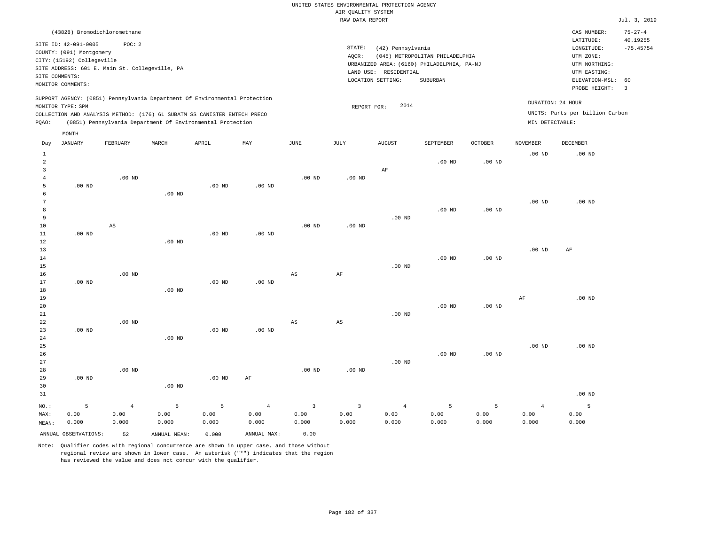| (43828) Bromodichloromethane                                                                                                                                                                                                                                |                                                                                                                                                                                 | CAS NUMBER:                                                                                                 | $75 - 27 - 4$                                      |
|-------------------------------------------------------------------------------------------------------------------------------------------------------------------------------------------------------------------------------------------------------------|---------------------------------------------------------------------------------------------------------------------------------------------------------------------------------|-------------------------------------------------------------------------------------------------------------|----------------------------------------------------|
| SITE ID: 42-091-0005<br>POC: 2<br>COUNTY: (091) Montgomery<br>CITY: (15192) Collegeville<br>SITE ADDRESS: 601 E. Main St. Collegeville, PA<br>SITE COMMENTS:<br>MONITOR COMMENTS:                                                                           | STATE:<br>(42) Pennsylvania<br>AOCR:<br>(045) METROPOLITAN PHILADELPHIA<br>URBANIZED AREA: (6160) PHILADELPHIA, PA-NJ<br>LAND USE: RESIDENTIAL<br>LOCATION SETTING:<br>SUBURBAN | LATITUDE:<br>LONGITUDE:<br>UTM ZONE:<br>UTM NORTHING:<br>UTM EASTING:<br>ELEVATION-MSL: 60<br>PROBE HEIGHT: | 40.19255<br>$-75.45754$<br>$\overline{\mathbf{3}}$ |
| SUPPORT AGENCY: (0851) Pennsylvania Department Of Environmental Protection<br>MONITOR TYPE: SPM<br>COLLECTION AND ANALYSIS METHOD: (176) 6L SUBATM SS CANISTER ENTECH PRECO<br>(0851) Pennsylvania Department Of Environmental Protection<br>POAO:<br>MONTH | DURATION: 24 HOUR<br>2014<br>REPORT FOR:<br>MIN DETECTABLE:                                                                                                                     | UNITS: Parts per billion Carbon                                                                             |                                                    |

| Day                     | JANUARY              | FEBRUARY               | MARCH          | APRIL          | MAY            | JUNE                   | JULY                   | AUGUST         | SEPTEMBER | OCTOBER  | NOVEMBER       | DECEMBER |
|-------------------------|----------------------|------------------------|----------------|----------------|----------------|------------------------|------------------------|----------------|-----------|----------|----------------|----------|
| $\mathbf{1}$            |                      |                        |                |                |                |                        |                        |                |           |          | $.00$ ND       | $.00$ ND |
| $\overline{\mathbf{c}}$ |                      |                        |                |                |                |                        |                        |                | $.00$ ND  | $.00$ ND |                |          |
| 3                       |                      |                        |                |                |                |                        |                        | $\rm AF$       |           |          |                |          |
| $\overline{4}$          |                      | $.00$ ND               |                |                |                | $.00$ ND               | .00 $ND$               |                |           |          |                |          |
| 5                       | $.00$ ND             |                        |                | $.00$ ND       | $.00$ ND       |                        |                        |                |           |          |                |          |
| 6                       |                      |                        | $.00$ ND       |                |                |                        |                        |                |           |          |                |          |
| 7                       |                      |                        |                |                |                |                        |                        |                |           |          | $.00$ ND       | $.00$ ND |
| 8                       |                      |                        |                |                |                |                        |                        |                | $.00$ ND  | $.00$ ND |                |          |
| 9                       |                      |                        |                |                |                |                        |                        | $.00$ ND       |           |          |                |          |
| 10                      |                      | $\mathbb{A}\mathbb{S}$ |                |                |                | .00 <sub>ND</sub>      | $.00$ ND               |                |           |          |                |          |
| 11                      | $.00$ ND             |                        |                | $.00$ ND       | $.00$ ND       |                        |                        |                |           |          |                |          |
| 12                      |                      |                        | $.00$ ND       |                |                |                        |                        |                |           |          |                |          |
| 13                      |                      |                        |                |                |                |                        |                        |                |           |          | $.00$ ND       | AF       |
| 14                      |                      |                        |                |                |                |                        |                        |                | $.00$ ND  | $.00$ ND |                |          |
| 15                      |                      |                        |                |                |                |                        |                        | $.00$ ND       |           |          |                |          |
| 16                      |                      | .00 <sub>ND</sub>      |                |                |                | $\mathbb{A}\mathbb{S}$ | $\rm{AF}$              |                |           |          |                |          |
| 17                      | $.00$ ND             |                        |                | $.00$ ND       | $.00$ ND       |                        |                        |                |           |          |                |          |
| 18<br>19                |                      |                        | $.00$ ND       |                |                |                        |                        |                |           |          | $\rm AF$       | $.00$ ND |
| 20                      |                      |                        |                |                |                |                        |                        |                | $.00$ ND  | $.00$ ND |                |          |
| $2\sqrt{1}$             |                      |                        |                |                |                |                        |                        | $.00$ ND       |           |          |                |          |
| 22                      |                      | .00 <sub>ND</sub>      |                |                |                | $\mathbb{A}\mathbb{S}$ | $\mathbb{A}\mathbb{S}$ |                |           |          |                |          |
| 23                      | $.00$ ND             |                        |                | $.00$ ND       | $.00$ ND       |                        |                        |                |           |          |                |          |
| 24                      |                      |                        | $.00$ ND       |                |                |                        |                        |                |           |          |                |          |
| 25                      |                      |                        |                |                |                |                        |                        |                |           |          | $.00$ ND       | $.00$ ND |
| 26                      |                      |                        |                |                |                |                        |                        |                | $.00$ ND  | .00 $ND$ |                |          |
| 27                      |                      |                        |                |                |                |                        |                        | $.00$ ND       |           |          |                |          |
| 28                      |                      | $.00$ ND               |                |                |                | $.00$ ND               | $.00$ ND               |                |           |          |                |          |
| 29                      | $.00$ ND             |                        |                | $.00$ ND       | $\rm AF$       |                        |                        |                |           |          |                |          |
| 30                      |                      |                        | $.00$ ND       |                |                |                        |                        |                |           |          |                |          |
| 31                      |                      |                        |                |                |                |                        |                        |                |           |          |                | $.00$ ND |
| $NO.$ :                 | 5                    | $\,4$                  | $\overline{5}$ | $\overline{5}$ | $\overline{4}$ | 3                      | $\mathbf{3}$           | $\overline{4}$ | 5         | 5        | $\overline{4}$ | 5        |
| MAX:                    | 0.00                 | 0.00                   | 0.00           | 0.00           | 0.00           | 0.00                   | 0.00                   | 0.00           | 0.00      | 0.00     | 0.00           | 0.00     |
| MEAN:                   | 0.000                | 0.000                  | 0.000          | 0.000          | 0.000          | 0.000                  | 0.000                  | 0.000          | 0.000     | 0.000    | 0.000          | 0.000    |
|                         | ANNUAL OBSERVATIONS: | 52                     | ANNUAL MEAN:   | 0.000          | ANNUAL MAX:    | 0.00                   |                        |                |           |          |                |          |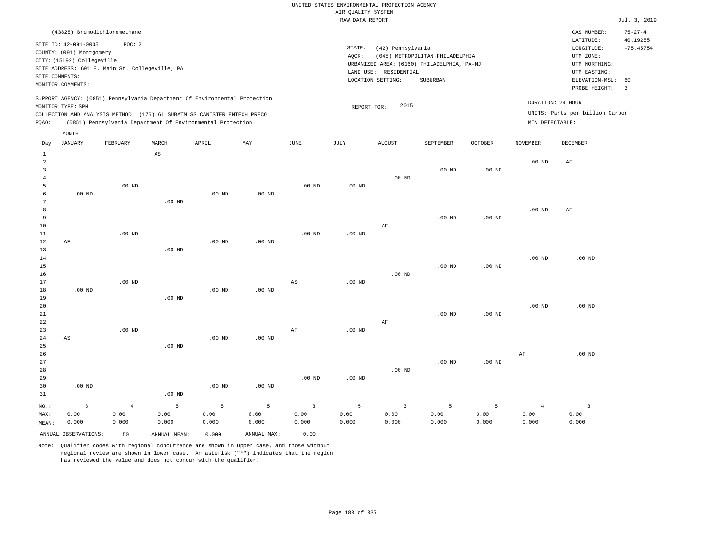# UNITED STATES ENVIRONMENTAL PROTECTION AGENCY AIR QUALITY SYSTEM

|       |                                                                                                                       |                                                         |             |                                                                                                                                        |                                                                            |      |                 | RAW DATA REPORT                                                                                                  |                                             |          |                   |                                                                                                          | Jul. 3, 2019                       |
|-------|-----------------------------------------------------------------------------------------------------------------------|---------------------------------------------------------|-------------|----------------------------------------------------------------------------------------------------------------------------------------|----------------------------------------------------------------------------|------|-----------------|------------------------------------------------------------------------------------------------------------------|---------------------------------------------|----------|-------------------|----------------------------------------------------------------------------------------------------------|------------------------------------|
|       |                                                                                                                       | (43828) Bromodichloromethane                            |             |                                                                                                                                        |                                                                            |      |                 |                                                                                                                  |                                             |          |                   | CAS NUMBER:                                                                                              | $75 - 27 - 4$                      |
|       | SITE ID: 42-091-0005<br>COUNTY: (091) Montgomery<br>CITY: (15192) Collegeville<br>SITE COMMENTS:<br>MONITOR COMMENTS: | POC:2<br>SITE ADDRESS: 601 E. Main St. Collegeville, PA |             |                                                                                                                                        |                                                                            |      | STATE:<br>AQCR: | (42) Pennsylvania<br>URBANIZED AREA: (6160) PHILADELPHIA, PA-NJ<br>RESIDENTIAL<br>LAND USE:<br>LOCATION SETTING: | (045) METROPOLITAN PHILADELPHIA<br>SUBURBAN |          |                   | LATITUDE:<br>LONGITUDE:<br>UTM ZONE:<br>UTM NORTHING:<br>UTM EASTING:<br>ELEVATION-MSL:<br>PROBE HEIGHT: | 40.19255<br>$-75.45754$<br>60<br>3 |
| POAO: | MONITOR TYPE: SPM                                                                                                     |                                                         |             | COLLECTION AND ANALYSIS METHOD: (176) 6L SUBATM SS CANISTER ENTECH PRECO<br>(0851) Pennsylvania Department Of Environmental Protection | SUPPORT AGENCY: (0851) Pennsylvania Department Of Environmental Protection |      |                 | 2015<br>REPORT FOR:                                                                                              |                                             |          | MIN DETECTABLE:   | DURATION: 24 HOUR<br>UNITS: Parts per billion Carbon                                                     |                                    |
| Day   | MONTH<br>JANUARY                                                                                                      | FEBRUARY                                                | MARCH<br>AS | APRIL                                                                                                                                  | MAY                                                                        | JUNE | JULY            | AUGUST                                                                                                           | SEPTEMBER                                   | OCTOBER  | NOVEMBER          | DECEMBER                                                                                                 |                                    |
| 2     |                                                                                                                       |                                                         |             |                                                                                                                                        |                                                                            |      |                 | $.00$ ND                                                                                                         | $.00$ ND                                    | $.00$ ND | .00 <sub>ND</sub> | AF                                                                                                       |                                    |

.00 ND

 6 7 8 9 10 11 12 13 14 15 16 17 18 19 .00 ND AF .00 ND .00 ND .00 ND .00 ND .00 ND .00 ND .00 ND .00 ND .00 ND .00 ND .00 ND .00 ND .00 ND AS .00 ND .00 ND AF .00 ND .00 ND .00 ND .00 ND .00 ND .00 ND .00 ND AF .00 ND

.00 ND

| 20          |          |                |          |          |          |                         |          |          |          |          | $.00$ ND       | $.00$ ND |
|-------------|----------|----------------|----------|----------|----------|-------------------------|----------|----------|----------|----------|----------------|----------|
| 21          |          |                |          |          |          |                         |          |          | $.00$ ND | $.00$ ND |                |          |
| $2\sqrt{2}$ |          |                |          |          |          |                         |          | AF       |          |          |                |          |
| 23          |          | $.00$ ND       |          |          |          | AF                      | $.00$ ND |          |          |          |                |          |
| 24          | AS       |                |          | $.00$ ND | $.00$ ND |                         |          |          |          |          |                |          |
| 25          |          |                | $.00$ ND |          |          |                         |          |          |          |          |                |          |
| $26\,$      |          |                |          |          |          |                         |          |          |          |          | AF             | $.00$ ND |
| 27          |          |                |          |          |          |                         |          |          | $.00$ ND | $.00$ ND |                |          |
| 28          |          |                |          |          |          |                         |          | $.00$ ND |          |          |                |          |
| 29          |          |                |          |          |          | $.00$ ND                | $.00$ ND |          |          |          |                |          |
| 30          | $.00$ ND |                |          | $.00$ ND | $.00$ ND |                         |          |          |          |          |                |          |
| 31          |          |                | $.00$ ND |          |          |                         |          |          |          |          |                |          |
| NO.:        | 3        | $\overline{4}$ | 5        | 5        | 5        | $\overline{\mathbf{3}}$ | 5        | 3        | 5        | 5        | $\overline{4}$ | 3        |
| MAX:        | 0.00     | 0.00           | 0.00     | 0.00     | 0.00     | 0.00                    | 0.00     | 0.00     | 0.00     | 0.00     | 0.00           | 0.00     |
| MEAN:       | 0.000    | 0.000          | 0.000    | 0.000    | 0.000    | 0.000                   | 0.000    | 0.000    | 0.000    | 0.000    | 0.000          | 0.000    |

ANNUAL OBSERVATIONS: 50 ANNUAL MEAN: 0.000 ANNUAL MAX: 0.00

5

.00 ND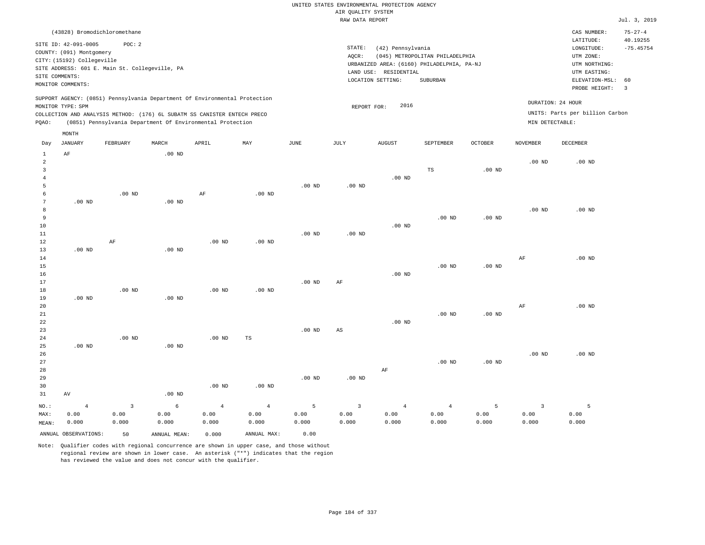| (43828) Bromodichloromethane                                                                                                                                                         |                                                            |       |     |      |                 |                                                                 |                                                                                           |         |                                      | CAS NUMBER:                                                                                                 | $75 - 27 - 4$                             |
|--------------------------------------------------------------------------------------------------------------------------------------------------------------------------------------|------------------------------------------------------------|-------|-----|------|-----------------|-----------------------------------------------------------------|-------------------------------------------------------------------------------------------|---------|--------------------------------------|-------------------------------------------------------------------------------------------------------------|-------------------------------------------|
| SITE ID: 42-091-0005<br>COUNTY: (091) Montgomery<br>CITY: (15192) Collegeville<br>SITE ADDRESS: 601 E. Main St. Collegeville, PA<br>SITE COMMENTS:<br>MONITOR COMMENTS:              | POC:2                                                      |       |     |      | STATE:<br>AQCR: | (42) Pennsylvania<br>LAND USE: RESIDENTIAL<br>LOCATION SETTING: | (045) METROPOLITAN PHILADELPHIA<br>URBANIZED AREA: (6160) PHILADELPHIA, PA-NJ<br>SUBURBAN |         |                                      | LATITUDE:<br>LONGITUDE:<br>UTM ZONE:<br>UTM NORTHING:<br>UTM EASTING:<br>ELEVATION-MSL: 60<br>PROBE HEIGHT: | 40.19255<br>$-75.45754$<br>$\overline{3}$ |
| SUPPORT AGENCY: (0851) Pennsylvania Department Of Environmental Protection<br>MONITOR TYPE: SPM<br>COLLECTION AND ANALYSIS METHOD: (176) 6L SUBATM SS CANISTER ENTECH PRECO<br>POAO: | (0851) Pennsylvania Department Of Environmental Protection |       |     |      | REPORT FOR:     | 2016                                                            |                                                                                           |         | DURATION: 24 HOUR<br>MIN DETECTABLE: | UNITS: Parts per billion Carbon                                                                             |                                           |
| MONTH<br>JANUARY<br>Day                                                                                                                                                              | FEBRUARY<br>MARCH                                          | APRIL | MAY | JUNE | JULY            | <b>AUGUST</b>                                                   | SEPTEMBER                                                                                 | OCTOBER | NOVEMBER                             | DECEMBER                                                                                                    |                                           |

| 1              | AF                   |                | $.00$ ND     |                   |                |             |                |                |                |                   |                         |             |
|----------------|----------------------|----------------|--------------|-------------------|----------------|-------------|----------------|----------------|----------------|-------------------|-------------------------|-------------|
| $\overline{a}$ |                      |                |              |                   |                |             |                |                |                |                   | $.00$ ND                | $.00$ ND    |
| 3              |                      |                |              |                   |                |             |                |                | $_{\rm TS}$    | .00 <sub>ND</sub> |                         |             |
| $\overline{4}$ |                      |                |              |                   |                |             |                | $.00$ ND       |                |                   |                         |             |
| 5              |                      |                |              |                   |                | $.00$ ND    | $.00$ ND       |                |                |                   |                         |             |
| 6              |                      | $.00$ ND       |              | $\rm AF$          | $.00$ ND       |             |                |                |                |                   |                         |             |
| 7              | $.00$ ND             |                | .00 $ND$     |                   |                |             |                |                |                |                   |                         |             |
| 8              |                      |                |              |                   |                |             |                |                |                |                   | .00 <sub>ND</sub>       | $.00$ ND    |
| 9              |                      |                |              |                   |                |             |                |                | $.00$ ND       | $.00$ ND          |                         |             |
| 10             |                      |                |              |                   |                |             |                | .00 $ND$       |                |                   |                         |             |
| $11\,$         |                      |                |              |                   |                | $.00$ ND    | .00 $ND$       |                |                |                   |                         |             |
| 12             |                      | $\rm AF$       |              | .00 <sub>ND</sub> | $.00$ ND       |             |                |                |                |                   |                         |             |
| 13             | $.00$ ND             |                | $.00$ ND     |                   |                |             |                |                |                |                   |                         |             |
| $14\,$         |                      |                |              |                   |                |             |                |                |                |                   | $\rm{AF}$               | $.00$ ND    |
| 15             |                      |                |              |                   |                |             |                |                | $.00$ ND       | $.00~\mathrm{ND}$ |                         |             |
| $16$           |                      |                |              |                   |                |             |                | $.00$ ND       |                |                   |                         |             |
| 17             |                      |                |              |                   |                | $.00$ ND    | AF             |                |                |                   |                         |             |
| $18\,$         |                      | $.00$ ND       |              | .00 <sub>ND</sub> | $.00$ ND       |             |                |                |                |                   |                         |             |
| 19             | .00 $ND$             |                | $.00$ ND     |                   |                |             |                |                |                |                   |                         |             |
| 20             |                      |                |              |                   |                |             |                |                |                |                   | $\rm{AF}$               | $.00$ ND    |
| 21             |                      |                |              |                   |                |             |                |                | $.00$ ND       | $.00$ ND          |                         |             |
| 22             |                      |                |              |                   |                |             |                | $.00$ ND       |                |                   |                         |             |
| 23             |                      |                |              |                   |                | $.00$ ND    | $_{\rm AS}$    |                |                |                   |                         |             |
| 24             |                      | $.00$ ND       |              | .00 <sub>ND</sub> | $\mathbb{TS}$  |             |                |                |                |                   |                         |             |
| 25             | .00 $ND$             |                | .00 $ND$     |                   |                |             |                |                |                |                   |                         |             |
| 26             |                      |                |              |                   |                |             |                |                |                |                   | .00 <sub>ND</sub>       | $.00$ ND    |
| 27             |                      |                |              |                   |                |             |                |                | $.00$ ND       | $.00$ ND          |                         |             |
| 28             |                      |                |              |                   |                |             |                | $\rm{AF}$      |                |                   |                         |             |
| 29             |                      |                |              |                   |                | .00 $ND$    | .00 $ND$       |                |                |                   |                         |             |
| 30             |                      |                |              | .00 <sub>ND</sub> | $.00$ ND       |             |                |                |                |                   |                         |             |
| 31             | $\hbox{AV}$          |                | $.00$ ND     |                   |                |             |                |                |                |                   |                         |             |
| $_{\rm NO.}$ : | $\overline{4}$       | $\overline{3}$ | $\epsilon$   | $\overline{4}$    | $\overline{4}$ | $\mathsf S$ | $\overline{3}$ | $\overline{4}$ | $\overline{4}$ | 5                 | $\overline{\mathbf{3}}$ | $5^{\circ}$ |
| MAX:           | 0.00                 | 0.00           | 0.00         | 0.00              | 0.00           | 0.00        | 0.00           | 0.00           | 0.00           | 0.00              | 0.00                    | 0.00        |
| MEAN:          | 0.000                | 0.000          | 0.000        | 0.000             | 0.000          | 0.000       | 0.000          | 0.000          | 0.000          | 0.000             | 0.000                   | 0.000       |
|                |                      |                |              |                   |                |             |                |                |                |                   |                         |             |
|                | ANNUAL OBSERVATIONS: | 50             | ANNUAL MEAN: | 0.000             | ANNUAL MAX:    | 0.00        |                |                |                |                   |                         |             |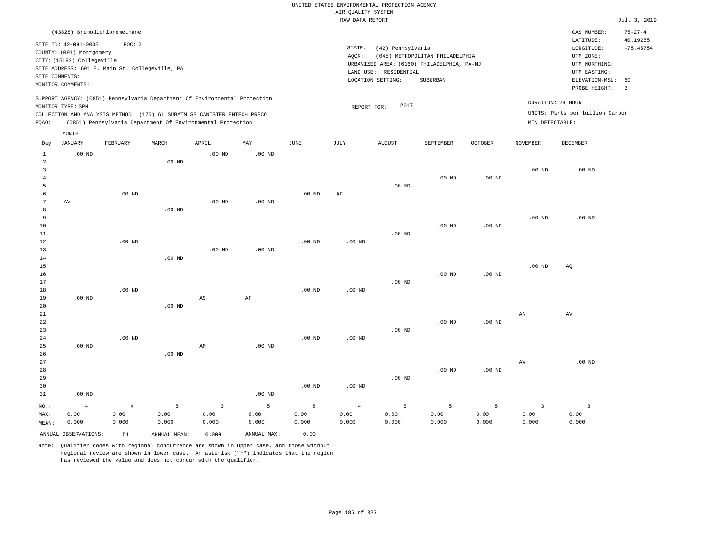|                                |                                                        |                                                |                   |                                                                            |                   |                   |                    | UNITED STATES ENVIRONMENTAL PROTECTION AGENCY |                                            |                   |                         |                                 |                           |
|--------------------------------|--------------------------------------------------------|------------------------------------------------|-------------------|----------------------------------------------------------------------------|-------------------|-------------------|--------------------|-----------------------------------------------|--------------------------------------------|-------------------|-------------------------|---------------------------------|---------------------------|
|                                |                                                        |                                                |                   |                                                                            |                   |                   | AIR QUALITY SYSTEM |                                               |                                            |                   |                         |                                 |                           |
|                                |                                                        |                                                |                   |                                                                            |                   |                   | RAW DATA REPORT    |                                               |                                            |                   |                         |                                 | Jul. 3, 2019              |
|                                |                                                        | (43828) Bromodichloromethane                   |                   |                                                                            |                   |                   |                    |                                               |                                            |                   |                         | CAS NUMBER:<br>LATITUDE:        | $75 - 27 - 4$<br>40.19255 |
|                                | SITE ID: 42-091-0005                                   | POC: 2                                         |                   |                                                                            |                   |                   | STATE:             | (42) Pennsylvania                             |                                            |                   |                         | LONGITUDE:                      | $-75.45754$               |
|                                | COUNTY: (091) Montgomery<br>CITY: (15192) Collegeville |                                                |                   |                                                                            |                   |                   | AQCR:              |                                               | (045) METROPOLITAN PHILADELPHIA            |                   |                         | UTM ZONE:                       |                           |
|                                |                                                        | SITE ADDRESS: 601 E. Main St. Collegeville, PA |                   |                                                                            |                   |                   |                    |                                               | URBANIZED AREA: (6160) PHILADELPHIA, PA-NJ |                   |                         | UTM NORTHING:                   |                           |
|                                | SITE COMMENTS:                                         |                                                |                   |                                                                            |                   |                   |                    | LAND USE: RESIDENTIAL                         |                                            |                   |                         | UTM EASTING:                    |                           |
|                                | MONITOR COMMENTS:                                      |                                                |                   |                                                                            |                   |                   |                    | LOCATION SETTING:                             | SUBURBAN                                   |                   |                         | ELEVATION-MSL:<br>PROBE HEIGHT: | 60<br>$\overline{3}$      |
|                                | MONITOR TYPE: SPM                                      |                                                |                   | SUPPORT AGENCY: (0851) Pennsylvania Department Of Environmental Protection |                   |                   | REPORT FOR:        | 2017                                          |                                            |                   |                         | DURATION: 24 HOUR               |                           |
|                                |                                                        |                                                |                   | COLLECTION AND ANALYSIS METHOD: (176) 6L SUBATM SS CANISTER ENTECH PRECO   |                   |                   |                    |                                               |                                            |                   |                         | UNITS: Parts per billion Carbon |                           |
| PQAO:                          |                                                        |                                                |                   | (0851) Pennsylvania Department Of Environmental Protection                 |                   |                   |                    |                                               |                                            |                   | MIN DETECTABLE:         |                                 |                           |
|                                | MONTH                                                  |                                                |                   |                                                                            |                   |                   |                    |                                               |                                            |                   |                         |                                 |                           |
| Day                            | <b>JANUARY</b>                                         | FEBRUARY                                       | MARCH             | APRIL                                                                      | MAY               | $_{\rm JUNE}$     | <b>JULY</b>        | <b>AUGUST</b>                                 | SEPTEMBER                                  | <b>OCTOBER</b>    | <b>NOVEMBER</b>         | DECEMBER                        |                           |
| $\mathbf{1}$<br>$\overline{a}$ | $.00$ ND                                               |                                                | .00 <sub>ND</sub> | $.00$ ND                                                                   | .00 <sub>ND</sub> |                   |                    |                                               |                                            |                   |                         |                                 |                           |
| $\overline{3}$                 |                                                        |                                                |                   |                                                                            |                   |                   |                    |                                               |                                            |                   | .00 <sub>ND</sub>       | $.00$ ND                        |                           |
| $\overline{4}$                 |                                                        |                                                |                   |                                                                            |                   |                   |                    |                                               | $.00$ ND                                   | $.00$ ND          |                         |                                 |                           |
| 5                              |                                                        |                                                |                   |                                                                            |                   |                   |                    | $.00$ ND                                      |                                            |                   |                         |                                 |                           |
| 6                              |                                                        | $.00$ ND                                       |                   |                                                                            |                   | .00 <sub>ND</sub> | AF                 |                                               |                                            |                   |                         |                                 |                           |
| $\overline{7}$                 | AV                                                     |                                                |                   | $.00$ ND                                                                   | $.00$ ND          |                   |                    |                                               |                                            |                   |                         |                                 |                           |
| 8                              |                                                        |                                                | $.00$ ND          |                                                                            |                   |                   |                    |                                               |                                            |                   |                         |                                 |                           |
| 9<br>10                        |                                                        |                                                |                   |                                                                            |                   |                   |                    |                                               | $.00$ ND                                   | $.00$ ND          | .00 <sub>ND</sub>       | .00 <sub>ND</sub>               |                           |
| 11                             |                                                        |                                                |                   |                                                                            |                   |                   |                    | $.00$ ND                                      |                                            |                   |                         |                                 |                           |
| 12                             |                                                        | .00 <sub>ND</sub>                              |                   |                                                                            |                   | .00 <sub>ND</sub> | .00 <sub>ND</sub>  |                                               |                                            |                   |                         |                                 |                           |
| 13                             |                                                        |                                                |                   | .00 <sub>ND</sub>                                                          | .00 <sub>ND</sub> |                   |                    |                                               |                                            |                   |                         |                                 |                           |
| 14                             |                                                        |                                                | $.00$ ND          |                                                                            |                   |                   |                    |                                               |                                            |                   |                         |                                 |                           |
| 15                             |                                                        |                                                |                   |                                                                            |                   |                   |                    |                                               |                                            |                   | .00 <sub>ND</sub>       | AQ                              |                           |
| 16                             |                                                        |                                                |                   |                                                                            |                   |                   |                    |                                               | $.00$ ND                                   | $.00$ ND          |                         |                                 |                           |
| 17<br>18                       |                                                        | $.00$ ND                                       |                   |                                                                            |                   | $.00$ ND          | $.00$ ND           | $.00$ ND                                      |                                            |                   |                         |                                 |                           |
| 19                             | $.00$ ND                                               |                                                |                   | $\mathbb{A}\mathbb{S}$                                                     | $\rm AF$          |                   |                    |                                               |                                            |                   |                         |                                 |                           |
| 20                             |                                                        |                                                | $.00$ ND          |                                                                            |                   |                   |                    |                                               |                                            |                   |                         |                                 |                           |
| 21                             |                                                        |                                                |                   |                                                                            |                   |                   |                    |                                               |                                            |                   | AN                      | AV                              |                           |
| 22                             |                                                        |                                                |                   |                                                                            |                   |                   |                    |                                               | $.00$ ND                                   | .00 <sub>ND</sub> |                         |                                 |                           |
| 23                             |                                                        |                                                |                   |                                                                            |                   |                   |                    | $.00$ ND                                      |                                            |                   |                         |                                 |                           |
| 24                             |                                                        | $.00$ ND                                       |                   |                                                                            |                   | .00 <sub>ND</sub> | .00 <sub>ND</sub>  |                                               |                                            |                   |                         |                                 |                           |
| 25                             | $.00$ ND                                               |                                                | $.00$ ND          | AM                                                                         | $.00$ ND          |                   |                    |                                               |                                            |                   |                         |                                 |                           |
| 26<br>27                       |                                                        |                                                |                   |                                                                            |                   |                   |                    |                                               |                                            |                   | $\operatorname{AV}$     | .00 <sub>ND</sub>               |                           |
| 28                             |                                                        |                                                |                   |                                                                            |                   |                   |                    |                                               | .00 <sub>ND</sub>                          | $.00$ ND          |                         |                                 |                           |
| 29                             |                                                        |                                                |                   |                                                                            |                   |                   |                    | $.00$ ND                                      |                                            |                   |                         |                                 |                           |
| 30                             |                                                        |                                                |                   |                                                                            |                   | $.00$ ND          | $.00$ ND           |                                               |                                            |                   |                         |                                 |                           |
| 31                             | $.00$ ND                                               |                                                |                   |                                                                            | .00 <sub>ND</sub> |                   |                    |                                               |                                            |                   |                         |                                 |                           |
| NO.:                           | $\overline{4}$                                         | $\overline{4}$                                 | 5                 | $\overline{3}$                                                             | 5                 | 5                 | $\overline{4}$     | 5                                             | $\overline{5}$                             | 5                 | $\overline{\mathbf{3}}$ | $\overline{\mathbf{3}}$         |                           |
| MAX:                           | 0.00                                                   | 0.00                                           | 0.00              | 0.00                                                                       | 0.00              | 0.00              | 0.00               | 0.00                                          | 0.00                                       | 0.00              | 0.00                    | 0.00                            |                           |
| MEAN:                          | 0.000                                                  | 0.000                                          | 0.000             | 0.000                                                                      | 0.000             | 0.000             | 0.000              | 0.000                                         | 0.000                                      | 0.000             | 0.000                   | 0.000                           |                           |
|                                | ANNUAL OBSERVATIONS:                                   | 51                                             | ANNUAL, MEAN:     | 0.000                                                                      | ANNUAL MAX:       | 0.00              |                    |                                               |                                            |                   |                         |                                 |                           |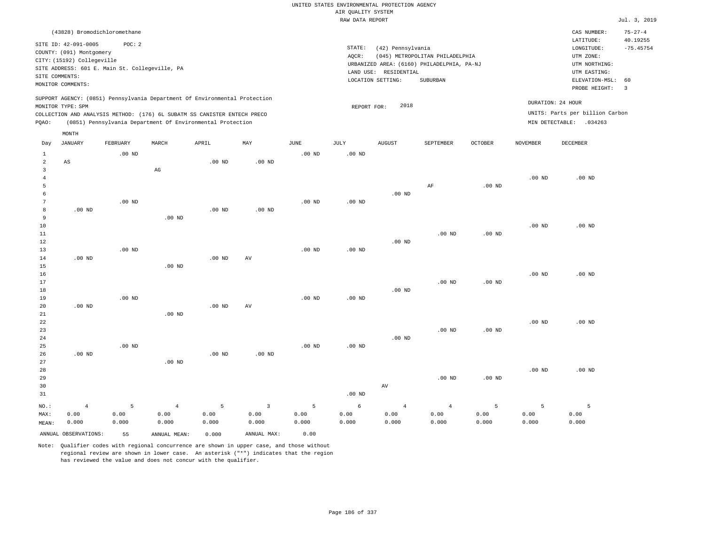|                                     |                                                                                                                |               |                   |                                                                            |                   |                   | UNITED STATES ENVIRONMENTAL PROTECTION AGENCY |                       |                                            |                |                   |                                                     |                                          |
|-------------------------------------|----------------------------------------------------------------------------------------------------------------|---------------|-------------------|----------------------------------------------------------------------------|-------------------|-------------------|-----------------------------------------------|-----------------------|--------------------------------------------|----------------|-------------------|-----------------------------------------------------|------------------------------------------|
|                                     |                                                                                                                |               |                   |                                                                            |                   |                   | AIR QUALITY SYSTEM                            |                       |                                            |                |                   |                                                     |                                          |
|                                     |                                                                                                                |               |                   |                                                                            |                   |                   | RAW DATA REPORT                               |                       |                                            |                |                   |                                                     | Jul. 3, 2019                             |
|                                     | (43828) Bromodichloromethane<br>SITE ID: 42-091-0005<br>COUNTY: (091) Montgomery<br>CITY: (15192) Collegeville | POC: 2        |                   |                                                                            |                   |                   | STATE:<br>AQCR:                               | (42) Pennsylvania     | (045) METROPOLITAN PHILADELPHIA            |                |                   | CAS NUMBER:<br>LATITUDE:<br>LONGITUDE:<br>UTM ZONE: | $75 - 27 - 4$<br>40.19255<br>$-75.45754$ |
| SITE COMMENTS:                      | SITE ADDRESS: 601 E. Main St. Collegeville, PA                                                                 |               |                   |                                                                            |                   |                   |                                               | LAND USE: RESIDENTIAL | URBANIZED AREA: (6160) PHILADELPHIA, PA-NJ |                |                   | UTM NORTHING:<br>UTM EASTING:                       |                                          |
|                                     | MONITOR COMMENTS:                                                                                              |               |                   |                                                                            |                   |                   |                                               | LOCATION SETTING:     | SUBURBAN                                   |                |                   | ELEVATION-MSL:<br>PROBE HEIGHT:                     | 60<br>$\overline{3}$                     |
|                                     | MONITOR TYPE: SPM                                                                                              |               |                   | SUPPORT AGENCY: (0851) Pennsylvania Department Of Environmental Protection |                   |                   | REPORT FOR:                                   | 2018                  |                                            |                |                   | DURATION: 24 HOUR                                   |                                          |
|                                     |                                                                                                                |               |                   | COLLECTION AND ANALYSIS METHOD: (176) 6L SUBATM SS CANISTER ENTECH PRECO   |                   |                   |                                               |                       |                                            |                |                   | UNITS: Parts per billion Carbon                     |                                          |
| PQAO:                               |                                                                                                                |               |                   | (0851) Pennsylvania Department Of Environmental Protection                 |                   |                   |                                               |                       |                                            |                |                   | MIN DETECTABLE: .034263                             |                                          |
|                                     | MONTH                                                                                                          |               |                   |                                                                            |                   |                   |                                               |                       |                                            |                |                   |                                                     |                                          |
| Day                                 | <b>JANUARY</b>                                                                                                 | FEBRUARY      | MARCH             | APRIL                                                                      | MAY               | <b>JUNE</b>       | <b>JULY</b>                                   | <b>AUGUST</b>         | SEPTEMBER                                  | <b>OCTOBER</b> | <b>NOVEMBER</b>   | <b>DECEMBER</b>                                     |                                          |
| $\mathbf{1}$<br>$\overline{a}$      | AS                                                                                                             | $.00$ ND      |                   | $.00$ ND                                                                   | .00 <sub>ND</sub> | $.00$ ND          | $.00~\mathrm{ND}$                             |                       |                                            |                |                   |                                                     |                                          |
| $\mathbf{3}$<br>$\overline{4}$<br>5 |                                                                                                                |               | AG                |                                                                            |                   |                   |                                               |                       | AF                                         | $.00$ ND       | .00 <sub>ND</sub> | $.00$ ND                                            |                                          |
| 6                                   |                                                                                                                |               |                   |                                                                            |                   |                   |                                               | $.00$ ND              |                                            |                |                   |                                                     |                                          |
| $\overline{7}$<br>8                 | $.00$ ND                                                                                                       | $.00$ ND      |                   | $.00$ ND                                                                   | .00 <sub>ND</sub> | $.00$ ND          | $.00$ ND                                      |                       |                                            |                |                   |                                                     |                                          |
| 9                                   |                                                                                                                |               | .00 <sub>ND</sub> |                                                                            |                   |                   |                                               |                       |                                            |                |                   |                                                     |                                          |
| 10                                  |                                                                                                                |               |                   |                                                                            |                   |                   |                                               |                       |                                            |                | $.00$ ND          | $.00$ ND                                            |                                          |
| 11<br>12                            |                                                                                                                |               |                   |                                                                            |                   |                   |                                               | $.00$ ND              | $.00$ ND                                   | $.00$ ND       |                   |                                                     |                                          |
| 13                                  |                                                                                                                | $.00$ ND      |                   |                                                                            |                   | $.00$ ND          | $.00$ ND                                      |                       |                                            |                |                   |                                                     |                                          |
| 14<br>15                            | $.00$ ND                                                                                                       |               | $.00$ ND          | $.00$ ND                                                                   | AV                |                   |                                               |                       |                                            |                |                   |                                                     |                                          |
| 16                                  |                                                                                                                |               |                   |                                                                            |                   |                   |                                               |                       |                                            |                | $.00$ ND          | $.00$ ND                                            |                                          |
| 17<br>18                            |                                                                                                                |               |                   |                                                                            |                   |                   |                                               | .00 <sub>ND</sub>     | .00 <sub>ND</sub>                          | $.00$ ND       |                   |                                                     |                                          |
| 19                                  |                                                                                                                | $.00$ ND      |                   |                                                                            |                   | $.00$ ND          | $.00$ ND                                      |                       |                                            |                |                   |                                                     |                                          |
| 20<br>21                            | $.00$ ND                                                                                                       |               | $.00$ ND          | $.00$ ND                                                                   | AV                |                   |                                               |                       |                                            |                |                   |                                                     |                                          |
| 22                                  |                                                                                                                |               |                   |                                                                            |                   |                   |                                               |                       |                                            |                | .00 <sub>ND</sub> | $.00$ ND                                            |                                          |
| 23<br>24                            |                                                                                                                |               |                   |                                                                            |                   |                   |                                               | $.00$ ND              | $.00$ ND                                   | $.00$ ND       |                   |                                                     |                                          |
| 25                                  |                                                                                                                | $.00$ ND      |                   |                                                                            |                   | .00 <sub>ND</sub> | $.00$ ND                                      |                       |                                            |                |                   |                                                     |                                          |
| 26<br>27                            | $.00$ ND                                                                                                       |               | .00 <sub>ND</sub> | .00 <sub>ND</sub>                                                          | $.00$ ND          |                   |                                               |                       |                                            |                |                   |                                                     |                                          |
| 28                                  |                                                                                                                |               |                   |                                                                            |                   |                   |                                               |                       |                                            |                | .00 <sub>ND</sub> | $.00$ ND                                            |                                          |
| 29<br>30                            |                                                                                                                |               |                   |                                                                            |                   |                   |                                               | AV                    | $.00$ ND                                   | $.00$ ND       |                   |                                                     |                                          |
| 31                                  |                                                                                                                |               |                   |                                                                            |                   |                   | $.00$ ND                                      |                       |                                            |                |                   |                                                     |                                          |
| NO.:                                | $\overline{4}$                                                                                                 | 5             | $\overline{4}$    | 5                                                                          | $\mathbf{3}$      | 5                 | 6                                             | $\overline{4}$        | $\overline{4}$                             | 5              | 5                 | 5                                                   |                                          |
| MAX:<br>MEAN:                       | 0.00<br>0.000                                                                                                  | 0.00<br>0.000 | 0.00<br>0.000     | 0.00<br>0.000                                                              | 0.00<br>0.000     | 0.00<br>0.000     | 0.00<br>0.000                                 | 0.00<br>0.000         | 0.00<br>0.000                              | 0.00<br>0.000  | 0.00<br>0.000     | 0.00<br>0.000                                       |                                          |
|                                     | ANNUAL OBSERVATIONS:                                                                                           | 55            | ANNUAL MEAN:      | 0.000                                                                      | ANNUAL MAX:       | 0.00              |                                               |                       |                                            |                |                   |                                                     |                                          |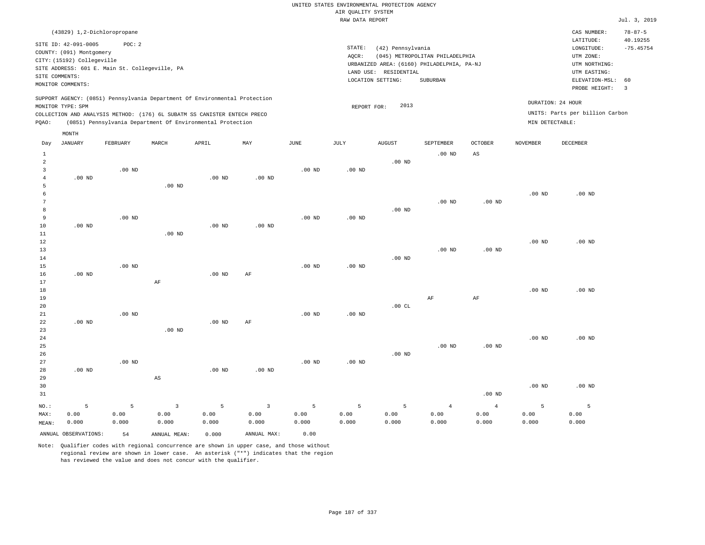## UNITED STATES ENVIRONMENTAL PROTECTION AGENCY AIR QUALITY SYSTEM

|                                                                         |                                                                                                                       |                                                                                                                                                                                                                      |          |                   |                   |                   | RAW DATA REPORT |                                                                 |                                                                                           |                        |                   |                                                                                                          | Jul. 3, 2019                                             |
|-------------------------------------------------------------------------|-----------------------------------------------------------------------------------------------------------------------|----------------------------------------------------------------------------------------------------------------------------------------------------------------------------------------------------------------------|----------|-------------------|-------------------|-------------------|-----------------|-----------------------------------------------------------------|-------------------------------------------------------------------------------------------|------------------------|-------------------|----------------------------------------------------------------------------------------------------------|----------------------------------------------------------|
|                                                                         | (43829) 1,2-Dichloropropane                                                                                           |                                                                                                                                                                                                                      |          |                   |                   |                   |                 |                                                                 |                                                                                           |                        |                   | CAS NUMBER:                                                                                              | $78 - 87 - 5$                                            |
|                                                                         | SITE ID: 42-091-0005<br>COUNTY: (091) Montgomery<br>CITY: (15192) Collegeville<br>SITE COMMENTS:<br>MONITOR COMMENTS: | POC: 2<br>SITE ADDRESS: 601 E. Main St. Collegeville, PA                                                                                                                                                             |          |                   |                   |                   | STATE:<br>AQCR: | (42) Pennsylvania<br>LAND USE: RESIDENTIAL<br>LOCATION SETTING: | (045) METROPOLITAN PHILADELPHIA<br>URBANIZED AREA: (6160) PHILADELPHIA, PA-NJ<br>SUBURBAN |                        |                   | LATITUDE:<br>LONGITUDE:<br>UTM ZONE:<br>UTM NORTHING:<br>UTM EASTING:<br>ELEVATION-MSL:<br>PROBE HEIGHT: | 40.19255<br>$-75.45754$<br>60<br>$\overline{\mathbf{3}}$ |
| PQAO:                                                                   | MONITOR TYPE: SPM                                                                                                     | SUPPORT AGENCY: (0851) Pennsylvania Department Of Environmental Protection<br>COLLECTION AND ANALYSIS METHOD: (176) 6L SUBATM SS CANISTER ENTECH PRECO<br>(0851) Pennsylvania Department Of Environmental Protection |          |                   |                   |                   | REPORT FOR:     | 2013                                                            |                                                                                           |                        | MIN DETECTABLE:   | DURATION: 24 HOUR<br>UNITS: Parts per billion Carbon                                                     |                                                          |
|                                                                         | MONTH                                                                                                                 |                                                                                                                                                                                                                      |          |                   |                   |                   |                 |                                                                 |                                                                                           |                        |                   |                                                                                                          |                                                          |
| Day                                                                     | <b>JANUARY</b>                                                                                                        | FEBRUARY                                                                                                                                                                                                             | MARCH    | APRIL             | MAY               | JUNE              | JULY            | <b>AUGUST</b>                                                   | SEPTEMBER                                                                                 | <b>OCTOBER</b>         | <b>NOVEMBER</b>   | DECEMBER                                                                                                 |                                                          |
| $\mathbf{1}$<br>$\overline{a}$<br>$\overline{3}$<br>$\overline{4}$<br>5 | $.00$ ND                                                                                                              | $.00$ ND                                                                                                                                                                                                             | $.00$ ND | .00 <sub>ND</sub> | .00 <sub>ND</sub> | .00 <sub>ND</sub> | $.00$ ND        | $.00$ ND                                                        | .00 <sub>ND</sub>                                                                         | $\mathbb{A}\mathbb{S}$ |                   |                                                                                                          |                                                          |
| 6<br>7<br>8<br>9<br>10                                                  | $.00$ ND                                                                                                              | $.00$ ND                                                                                                                                                                                                             |          | $.00$ ND          | $.00$ ND          | .00 <sub>ND</sub> | $.00$ ND        | $.00$ ND                                                        | $.00$ ND                                                                                  | .00 <sub>ND</sub>      | .00 <sub>ND</sub> | $.00$ ND                                                                                                 |                                                          |
| 11<br>12<br>13<br>14<br>15<br>16                                        | .00 <sub>ND</sub>                                                                                                     | $.00$ ND                                                                                                                                                                                                             | $.00$ ND | $.00$ ND          | AF                | .00 <sub>ND</sub> | $.00$ ND        | $.00$ ND                                                        | .00 <sub>ND</sub>                                                                         | $.00$ ND               | .00 <sub>ND</sub> | $.00$ ND                                                                                                 |                                                          |
| 17<br>18<br>19<br>20<br>21                                              |                                                                                                                       | $.00$ ND                                                                                                                                                                                                             | AF       |                   |                   | .00 <sub>ND</sub> | $.00$ ND        | .00CL                                                           | AF                                                                                        | $\rm AF$               | $.00$ ND          | $.00$ ND                                                                                                 |                                                          |
| 22<br>23<br>24<br>25                                                    | $.00$ ND                                                                                                              |                                                                                                                                                                                                                      | $.00$ ND | $.00$ ND          | AF                |                   |                 |                                                                 | .00 <sub>ND</sub>                                                                         | .00 <sub>ND</sub>      | .00 <sub>ND</sub> | $.00$ ND                                                                                                 |                                                          |
| 26<br>27<br>28<br>29                                                    | $.00$ ND                                                                                                              | $.00$ ND                                                                                                                                                                                                             | AS       | $.00$ ND          | $.00$ ND          | $.00$ ND          | $.00$ ND        | $.00$ ND                                                        |                                                                                           |                        |                   |                                                                                                          |                                                          |

| 30    |                      |       |              |       |             |       |       |       |       |          | $.00$ ND | $.00$ ND |
|-------|----------------------|-------|--------------|-------|-------------|-------|-------|-------|-------|----------|----------|----------|
| 31    |                      |       |              |       |             |       |       |       |       | $.00$ ND |          |          |
| NO.:  |                      |       |              |       |             |       |       |       |       |          |          |          |
| MAX:  | 0.00                 | 0.00  | 0.00         | 0.00  | 0.00        | 0.00  | 0.00  | 0.00  | 0.00  | 0.00     | 0.00     | 0.00     |
| MEAN: | 0.000                | 0.000 | 0.000        | 0.000 | 0.000       | 0.000 | 0.000 | 0.000 | 0.000 | 0.000    | 0.000    | 0.000    |
|       | ANNUAL OBSERVATIONS: | 54    | ANNUAL MEAN: | 0.000 | ANNUAL MAX: | 0.00  |       |       |       |          |          |          |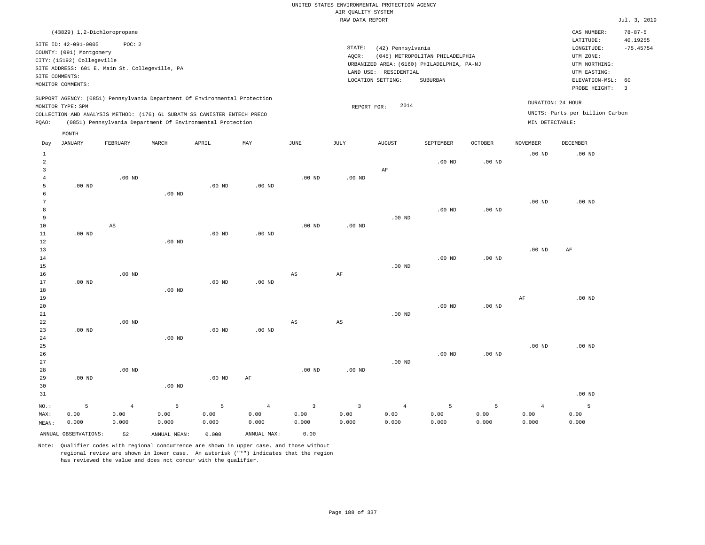| (43829) 1,2-Dichloropropane                                                                                                                                                                                                                                 |                                                                                                                                                                                    | CAS NUMBER:                                                                                                 | $78 - 87 - 5$           |
|-------------------------------------------------------------------------------------------------------------------------------------------------------------------------------------------------------------------------------------------------------------|------------------------------------------------------------------------------------------------------------------------------------------------------------------------------------|-------------------------------------------------------------------------------------------------------------|-------------------------|
| SITE ID: 42-091-0005<br>POC:2<br>COUNTY: (091) Montgomery<br>CITY: (15192) Collegeville<br>SITE ADDRESS: 601 E. Main St. Collegeville, PA<br>SITE COMMENTS:<br>MONITOR COMMENTS:                                                                            | STATE:<br>(42) Pennsylvania<br>(045) METROPOLITAN PHILADELPHIA<br>AOCR:<br>URBANIZED AREA: (6160) PHILADELPHIA, PA-NJ<br>RESIDENTIAL<br>LAND USE:<br>LOCATION SETTING:<br>SUBURBAN | LATITUDE:<br>LONGITUDE:<br>UTM ZONE:<br>UTM NORTHING:<br>UTM EASTING:<br>ELEVATION-MSL: 60<br>PROBE HEIGHT: | 40.19255<br>$-75.45754$ |
| SUPPORT AGENCY: (0851) Pennsylvania Department Of Environmental Protection<br>MONITOR TYPE: SPM<br>COLLECTION AND ANALYSIS METHOD: (176) 6L SUBATM SS CANISTER ENTECH PRECO<br>(0851) Pennsylvania Department Of Environmental Protection<br>POAO:<br>MONTH | DURATION: 24 HOUR<br>2014<br>REPORT FOR:<br>MIN DETECTABLE:                                                                                                                        | UNITS: Parts per billion Carbon                                                                             |                         |

| Day                                           | JANUARY              | FEBRUARY                        | MARCH              | APRIL              | MAY                             | JUNE                                     | JULY                            | AUGUST                          | SEPTEMBER          | OCTOBER            | NOVEMBER                        | DECEMBER           |
|-----------------------------------------------|----------------------|---------------------------------|--------------------|--------------------|---------------------------------|------------------------------------------|---------------------------------|---------------------------------|--------------------|--------------------|---------------------------------|--------------------|
| $\mathbf{1}$<br>$\overline{c}$<br>3<br>4<br>5 | $.00$ ND             | $.00$ ND                        |                    | $.00$ ND           | $.00$ ND                        | $.00$ ND                                 | $.00$ ND                        | $\rm AF$                        | $.00$ ND           | $.00$ ND           | $.00$ ND                        | $.00$ ND           |
| 6<br>$\overline{7}$<br>8<br>9<br>$10$         |                      | $\mathbb{A}\mathbb{S}$          | $.00$ ND           |                    |                                 | $.00$ ND                                 | $.00$ ND                        | $.00$ ND                        | $.00$ ND           | $.00$ ND           | $.00$ ND                        | $.00$ ND           |
| 11<br>12<br>13<br>14                          | $.00$ ND             |                                 | $.00$ ND           | $.00$ ND           | $.00$ ND                        |                                          |                                 |                                 | $.00$ ND           | $.00$ ND           | $.00$ ND                        | $\rm AF$           |
| 15<br>$16$<br>17<br>18<br>19                  | $.00$ ND             | $.00$ ND                        | $.00$ ND           | $.00$ ND           | $.00$ ND                        | $_{\rm AS}$                              | $\rm{AF}$                       | $.00$ ND                        |                    |                    | $\rm AF$                        | $.00$ ND           |
| 20<br>21<br>22<br>23<br>24                    | $.00$ ND             | $.00$ ND                        | $.00$ ND           | $.00$ ND           | $.00$ ND                        | $_{\rm AS}$                              | $\mathbb{A}\mathbb{S}$          | $.00$ ND                        | $.00$ ND           | $.00$ ND           |                                 |                    |
| 25<br>$26\,$<br>27<br>28                      |                      | $.00$ ND                        |                    |                    |                                 | $.00$ ND                                 | $.00$ ND                        | $.00$ ND                        | $.00$ ND           | $.00$ ND           | $.00$ ND                        | $.00$ ND           |
| 29<br>30<br>31                                | $.00$ ND             |                                 | $.00$ ND           | $.00$ ND           | AF                              |                                          |                                 |                                 |                    |                    |                                 | $.00$ ND           |
| $NO.$ :<br>MAX:<br>MEAN:                      | 5<br>0.00<br>0.000   | $\overline{4}$<br>0.00<br>0.000 | 5<br>0.00<br>0.000 | 5<br>0.00<br>0.000 | $\overline{4}$<br>0.00<br>0.000 | $\overline{\mathbf{3}}$<br>0.00<br>0.000 | $\overline{3}$<br>0.00<br>0.000 | $\overline{4}$<br>0.00<br>0.000 | 5<br>0.00<br>0.000 | 5<br>0.00<br>0.000 | $\overline{4}$<br>0.00<br>0.000 | 5<br>0.00<br>0.000 |
|                                               | ANNUAL OBSERVATIONS: | 52                              | ANNUAL MEAN:       | 0.000              | ANNUAL MAX:                     | 0.00                                     |                                 |                                 |                    |                    |                                 |                    |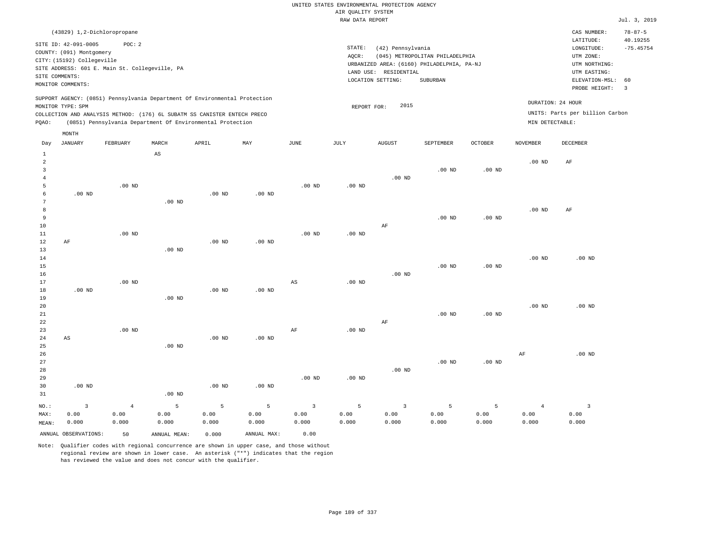#### RAW DATA REPORT **FOULD ASSESSED ASSESSED ASSESSED.** The set of the set of the set of the set of the set of the set of the set of the set of the set of the set of the set of the set of the set of the set of the set of the s UNITED STATES ENVIRONMENTAL PROTECTION AGENCY AIR QUALITY SYSTEM

|                                                                                                                                                                                    | CAS NUMBER:                                                                                                 | $78 - 87 - 5$                           |
|------------------------------------------------------------------------------------------------------------------------------------------------------------------------------------|-------------------------------------------------------------------------------------------------------------|-----------------------------------------|
| STATE:<br>(42) Pennsylvania<br>(045) METROPOLITAN PHILADELPHIA<br>AOCR:<br>URBANIZED AREA: (6160) PHILADELPHIA, PA-NJ<br>LAND USE:<br>RESIDENTIAL<br>LOCATION SETTING:<br>SUBURBAN | LATITUDE:<br>LONGITUDE:<br>UTM ZONE:<br>UTM NORTHING:<br>UTM EASTING:<br>ELEVATION-MSL: 60<br>PROBE HEIGHT: | 40.19255<br>$-75.45754$<br>$\mathbf{3}$ |
| 2015<br>REPORT FOR:                                                                                                                                                                | DURATION: 24 HOUR<br>UNITS: Parts per billion Carbon<br>MIN DETECTABLE:                                     |                                         |
|                                                                                                                                                                                    |                                                                                                             |                                         |

| Day            | JANUARY                | FEBRUARY       | MARCH                  | APRIL    | MAY         | $_{\rm JUNE}$           | JULY     | <b>AUGUST</b>           | SEPTEMBER | OCTOBER           | NOVEMBER       | DECEMBER                |
|----------------|------------------------|----------------|------------------------|----------|-------------|-------------------------|----------|-------------------------|-----------|-------------------|----------------|-------------------------|
| $\mathbf{1}$   |                        |                | $\mathbb{A}\mathbb{S}$ |          |             |                         |          |                         |           |                   |                |                         |
| $\overline{a}$ |                        |                |                        |          |             |                         |          |                         |           |                   | $.00$ ND       | $\rm AF$                |
| 3              |                        |                |                        |          |             |                         |          |                         | $.00$ ND  | .00 <sub>ND</sub> |                |                         |
| $\overline{4}$ |                        |                |                        |          |             |                         |          | $.00$ ND                |           |                   |                |                         |
| 5              |                        | $.00$ ND       |                        |          |             | $.00$ ND                | $.00$ ND |                         |           |                   |                |                         |
| 6              | $.00$ ND               |                |                        | $.00$ ND | $.00$ ND    |                         |          |                         |           |                   |                |                         |
| 7              |                        |                | $.00$ ND               |          |             |                         |          |                         |           |                   |                |                         |
| 8              |                        |                |                        |          |             |                         |          |                         |           |                   | $.00$ ND       | AF                      |
| 9              |                        |                |                        |          |             |                         |          |                         | .00 $ND$  | $.00$ ND          |                |                         |
| 10             |                        |                |                        |          |             |                         |          | $\rm{AF}$               |           |                   |                |                         |
| 11             |                        | $.00$ ND       |                        |          |             | .00 <sub>ND</sub>       | $.00$ ND |                         |           |                   |                |                         |
| 12             | $\rm AF$               |                |                        | $.00$ ND | $.00$ ND    |                         |          |                         |           |                   |                |                         |
| 13             |                        |                | $.00$ ND               |          |             |                         |          |                         |           |                   |                |                         |
| 14             |                        |                |                        |          |             |                         |          |                         |           |                   | $.00$ ND       | $.00$ ND                |
| 15             |                        |                |                        |          |             |                         |          |                         | $.00$ ND  | $.00$ ND          |                |                         |
| 16<br>17       |                        |                |                        |          |             |                         |          | $.00$ ND                |           |                   |                |                         |
| 18             | $.00$ ND               | $.00$ ND       |                        | $.00$ ND | $.00$ ND    | AS                      | $.00$ ND |                         |           |                   |                |                         |
| 19             |                        |                | $.00$ ND               |          |             |                         |          |                         |           |                   |                |                         |
| 20             |                        |                |                        |          |             |                         |          |                         |           |                   | $.00$ ND       | $.00$ ND                |
| 21             |                        |                |                        |          |             |                         |          |                         | $.00$ ND  | .00 <sub>ND</sub> |                |                         |
| 22             |                        |                |                        |          |             |                         |          | $\rm{AF}$               |           |                   |                |                         |
| 23             |                        | $.00$ ND       |                        |          |             | AF                      | $.00$ ND |                         |           |                   |                |                         |
| 24             | $\mathbb{A}\mathbb{S}$ |                |                        | $.00$ ND | $.00$ ND    |                         |          |                         |           |                   |                |                         |
| 25             |                        |                | $.00$ ND               |          |             |                         |          |                         |           |                   |                |                         |
| 26             |                        |                |                        |          |             |                         |          |                         |           |                   | $\rm{AF}$      | $.00$ ND                |
| 27             |                        |                |                        |          |             |                         |          |                         | $.00$ ND  | $.00$ ND          |                |                         |
| 28             |                        |                |                        |          |             |                         |          | $.00$ ND                |           |                   |                |                         |
| 29             |                        |                |                        |          |             | $.00$ ND                | .00 $ND$ |                         |           |                   |                |                         |
| 30             | $.00$ ND               |                |                        | $.00$ ND | $.00$ ND    |                         |          |                         |           |                   |                |                         |
| 31             |                        |                | $.00$ ND               |          |             |                         |          |                         |           |                   |                |                         |
| $NO.$ :        | $\overline{3}$         | $\overline{4}$ | 5                      | 5        | 5           | $\overline{\mathbf{3}}$ | 5        | $\overline{\mathbf{3}}$ | 5         | 5                 | $\overline{4}$ | $\overline{\mathbf{3}}$ |
| MAX:           | 0.00                   | 0.00           | 0.00                   | 0.00     | 0.00        | 0.00                    | 0.00     | 0.00                    | 0.00      | 0.00              | 0.00           | 0.00                    |
| MEAN:          | 0.000                  | 0.000          | 0.000                  | 0.000    | 0.000       | 0.000                   | 0.000    | 0.000                   | 0.000     | 0.000             | 0.000          | 0.000                   |
|                | ANNUAL OBSERVATIONS:   | 50             | ANNUAL MEAN:           | 0.000    | ANNUAL MAX: | 0.00                    |          |                         |           |                   |                |                         |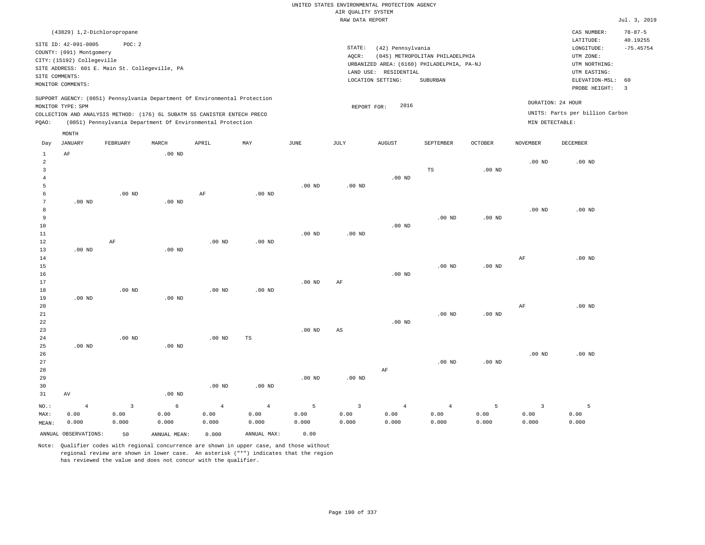|                                                             | (43829) 1,2-Dichloropropane                            |                                                                                                                                                                                                                      |       |     |      |                              |                                                                                                     |                                             |                |                                      | CAS NUMBER:                                                                                                 | $78 - 87 - 5$                           |
|-------------------------------------------------------------|--------------------------------------------------------|----------------------------------------------------------------------------------------------------------------------------------------------------------------------------------------------------------------------|-------|-----|------|------------------------------|-----------------------------------------------------------------------------------------------------|---------------------------------------------|----------------|--------------------------------------|-------------------------------------------------------------------------------------------------------------|-----------------------------------------|
| SITE ID: 42-091-0005<br>SITE COMMENTS:<br>MONITOR COMMENTS: | COUNTY: (091) Montgomery<br>CITY: (15192) Collegeville | POC:2<br>SITE ADDRESS: 601 E. Main St. Collegeville, PA                                                                                                                                                              |       |     |      | STATE:<br>AQCR:<br>LAND USE: | (42) Pennsylvania<br>URBANIZED AREA: (6160) PHILADELPHIA, PA-NJ<br>RESIDENTIAL<br>LOCATION SETTING: | (045) METROPOLITAN PHILADELPHIA<br>SUBURBAN |                |                                      | LATITUDE:<br>LONGITUDE:<br>UTM ZONE:<br>UTM NORTHING:<br>UTM EASTING:<br>ELEVATION-MSL: 60<br>PROBE HEIGHT: | 40.19255<br>$-75.45754$<br>$\mathbf{3}$ |
| MONITOR TYPE: SPM<br>POAO:                                  |                                                        | SUPPORT AGENCY: (0851) Pennsylvania Department Of Environmental Protection<br>COLLECTION AND ANALYSIS METHOD: (176) 6L SUBATM SS CANISTER ENTECH PRECO<br>(0851) Pennsylvania Department Of Environmental Protection |       |     |      |                              | 2016<br>REPORT FOR:                                                                                 |                                             |                | DURATION: 24 HOUR<br>MIN DETECTABLE: | UNITS: Parts per billion Carbon                                                                             |                                         |
| MONTH<br>Day                                                | JANUARY<br>FEBRUARY                                    | MARCH                                                                                                                                                                                                                | APRIL | MAY | JUNE | JULY                         | AUGUST                                                                                              | SEPTEMBER                                   | <b>OCTOBER</b> | <b>NOVEMBER</b>                      | DECEMBER                                                                                                    |                                         |

| 1              | AF                   |                | $.00$ ND     |                   |                |             |                |                |                |                   |                         |             |
|----------------|----------------------|----------------|--------------|-------------------|----------------|-------------|----------------|----------------|----------------|-------------------|-------------------------|-------------|
| $\overline{a}$ |                      |                |              |                   |                |             |                |                |                |                   | $.00$ ND                | $.00$ ND    |
| 3              |                      |                |              |                   |                |             |                |                | $_{\rm TS}$    | .00 <sub>ND</sub> |                         |             |
| $\overline{4}$ |                      |                |              |                   |                |             |                | $.00$ ND       |                |                   |                         |             |
| 5              |                      |                |              |                   |                | $.00$ ND    | $.00$ ND       |                |                |                   |                         |             |
| 6              |                      | $.00$ ND       |              | $\rm AF$          | $.00$ ND       |             |                |                |                |                   |                         |             |
| 7              | $.00$ ND             |                | .00 $ND$     |                   |                |             |                |                |                |                   |                         |             |
| 8              |                      |                |              |                   |                |             |                |                |                |                   | .00 <sub>ND</sub>       | $.00$ ND    |
| 9              |                      |                |              |                   |                |             |                |                | $.00$ ND       | $.00$ ND          |                         |             |
| 10             |                      |                |              |                   |                |             |                | .00 $ND$       |                |                   |                         |             |
| $11\,$         |                      |                |              |                   |                | $.00$ ND    | .00 $ND$       |                |                |                   |                         |             |
| 12             |                      | $\rm AF$       |              | .00 <sub>ND</sub> | $.00$ ND       |             |                |                |                |                   |                         |             |
| 13             | $.00$ ND             |                | $.00$ ND     |                   |                |             |                |                |                |                   |                         |             |
| $14\,$         |                      |                |              |                   |                |             |                |                |                |                   | $\rm{AF}$               | $.00$ ND    |
| 15             |                      |                |              |                   |                |             |                |                | $.00$ ND       | .00 $ND$          |                         |             |
| $16$           |                      |                |              |                   |                |             |                | $.00$ ND       |                |                   |                         |             |
| 17             |                      |                |              |                   |                | $.00$ ND    | AF             |                |                |                   |                         |             |
| $18\,$         |                      | $.00$ ND       |              | .00 <sub>ND</sub> | $.00$ ND       |             |                |                |                |                   |                         |             |
| 19             | .00 $ND$             |                | $.00$ ND     |                   |                |             |                |                |                |                   |                         |             |
| 20             |                      |                |              |                   |                |             |                |                |                |                   | $\rm{AF}$               | $.00$ ND    |
| 21             |                      |                |              |                   |                |             |                |                | $.00$ ND       | $.00$ ND          |                         |             |
| 22             |                      |                |              |                   |                |             |                | $.00$ ND       |                |                   |                         |             |
| 23             |                      |                |              |                   |                | $.00$ ND    | $_{\rm AS}$    |                |                |                   |                         |             |
| 24             |                      | $.00$ ND       |              | .00 <sub>ND</sub> | $\mathbb{TS}$  |             |                |                |                |                   |                         |             |
| 25             | .00 $ND$             |                | .00 $ND$     |                   |                |             |                |                |                |                   |                         |             |
| 26             |                      |                |              |                   |                |             |                |                |                |                   | .00 <sub>ND</sub>       | $.00$ ND    |
| 27             |                      |                |              |                   |                |             |                |                | $.00$ ND       | $.00$ ND          |                         |             |
| 28             |                      |                |              |                   |                |             |                | $\rm{AF}$      |                |                   |                         |             |
| 29             |                      |                |              |                   |                | .00 $ND$    | .00 $ND$       |                |                |                   |                         |             |
| 30             |                      |                |              | .00 <sub>ND</sub> | $.00$ ND       |             |                |                |                |                   |                         |             |
| 31             | $\hbox{AV}$          |                | $.00$ ND     |                   |                |             |                |                |                |                   |                         |             |
| $_{\rm NO.}$ : | $\overline{4}$       | $\overline{3}$ | $\epsilon$   | $\overline{4}$    | $\overline{4}$ | $\mathsf S$ | $\overline{3}$ | $\overline{4}$ | $\overline{4}$ | 5                 | $\overline{\mathbf{3}}$ | $5^{\circ}$ |
| MAX:           | 0.00                 | 0.00           | 0.00         | 0.00              | 0.00           | 0.00        | 0.00           | 0.00           | 0.00           | 0.00              | 0.00                    | 0.00        |
| MEAN:          | 0.000                | 0.000          | 0.000        | 0.000             | 0.000          | 0.000       | 0.000          | 0.000          | 0.000          | 0.000             | 0.000                   | 0.000       |
|                |                      |                |              |                   |                |             |                |                |                |                   |                         |             |
|                | ANNUAL OBSERVATIONS: | 50             | ANNUAL MEAN: | 0.000             | ANNUAL MAX:    | 0.00        |                |                |                |                   |                         |             |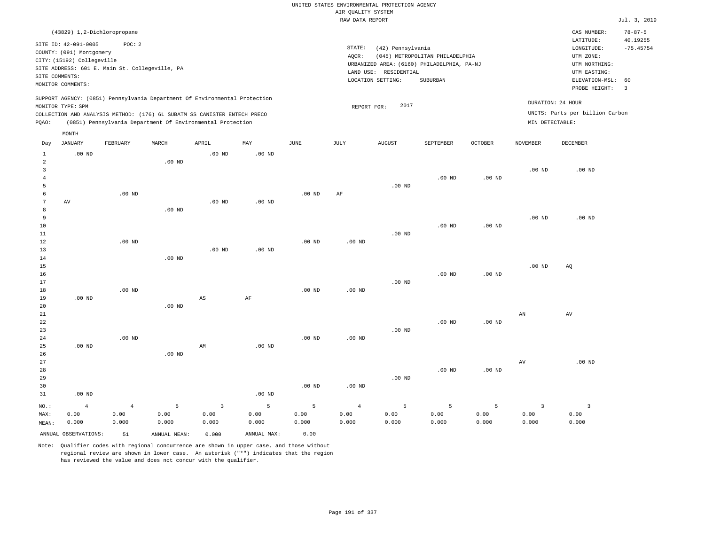|                                |                                                        |                                                |                        |                                                                            |                     |                   |                                       | UNITED STATES ENVIRONMENTAL PROTECTION AGENCY |                                            |                |                                 |                                        |                                          |
|--------------------------------|--------------------------------------------------------|------------------------------------------------|------------------------|----------------------------------------------------------------------------|---------------------|-------------------|---------------------------------------|-----------------------------------------------|--------------------------------------------|----------------|---------------------------------|----------------------------------------|------------------------------------------|
|                                |                                                        |                                                |                        |                                                                            |                     |                   | AIR QUALITY SYSTEM<br>RAW DATA REPORT |                                               |                                            |                |                                 |                                        | Jul. 3, 2019                             |
|                                |                                                        |                                                |                        |                                                                            |                     |                   |                                       |                                               |                                            |                |                                 |                                        |                                          |
|                                | (43829) 1,2-Dichloropropane<br>SITE ID: 42-091-0005    | POC: 2                                         |                        |                                                                            |                     |                   | STATE:                                | (42) Pennsylvania                             |                                            |                |                                 | CAS NUMBER:<br>LATITUDE:<br>LONGITUDE: | $78 - 87 - 5$<br>40.19255<br>$-75.45754$ |
|                                | COUNTY: (091) Montgomery<br>CITY: (15192) Collegeville |                                                |                        |                                                                            |                     |                   | AOCR:                                 |                                               | (045) METROPOLITAN PHILADELPHIA            |                |                                 | UTM ZONE:                              |                                          |
|                                |                                                        | SITE ADDRESS: 601 E. Main St. Collegeville, PA |                        |                                                                            |                     |                   |                                       |                                               | URBANIZED AREA: (6160) PHILADELPHIA, PA-NJ |                |                                 | UTM NORTHING:                          |                                          |
|                                | SITE COMMENTS:                                         |                                                |                        |                                                                            |                     |                   |                                       | LAND USE: RESIDENTIAL                         |                                            |                |                                 | UTM EASTING:                           |                                          |
|                                | MONITOR COMMENTS:                                      |                                                |                        |                                                                            |                     |                   |                                       | LOCATION SETTING:                             | SUBURBAN                                   |                |                                 | ELEVATION-MSL:<br>PROBE HEIGHT:        | 60<br>$\overline{3}$                     |
|                                | MONITOR TYPE: SPM                                      |                                                |                        | SUPPORT AGENCY: (0851) Pennsylvania Department Of Environmental Protection |                     |                   | REPORT FOR:                           | 2017                                          |                                            |                |                                 | DURATION: 24 HOUR                      |                                          |
|                                |                                                        |                                                |                        | COLLECTION AND ANALYSIS METHOD: (176) 6L SUBATM SS CANISTER ENTECH PRECO   |                     |                   |                                       |                                               |                                            |                |                                 | UNITS: Parts per billion Carbon        |                                          |
| PQAO:                          |                                                        |                                                |                        | (0851) Pennsylvania Department Of Environmental Protection                 |                     |                   |                                       |                                               |                                            |                | MIN DETECTABLE:                 |                                        |                                          |
|                                | MONTH                                                  |                                                |                        |                                                                            |                     |                   |                                       |                                               |                                            |                |                                 |                                        |                                          |
| Day                            | <b>JANUARY</b>                                         | FEBRUARY                                       | MARCH                  | APRIL                                                                      | MAY                 | $_{\rm JUNE}$     | <b>JULY</b>                           | <b>AUGUST</b>                                 | SEPTEMBER                                  | <b>OCTOBER</b> | <b>NOVEMBER</b>                 | DECEMBER                               |                                          |
| $\mathbf{1}$<br>$\overline{a}$ | $.00$ ND                                               |                                                | $.00$ ND               | .00 <sub>ND</sub>                                                          | .00 <sub>ND</sub>   |                   |                                       |                                               |                                            |                |                                 |                                        |                                          |
| 3                              |                                                        |                                                |                        |                                                                            |                     |                   |                                       |                                               |                                            |                | .00 <sub>ND</sub>               | $.00$ ND                               |                                          |
| $\overline{4}$                 |                                                        |                                                |                        |                                                                            |                     |                   |                                       |                                               | .00 <sub>ND</sub>                          | $.00$ ND       |                                 |                                        |                                          |
| 5                              |                                                        |                                                |                        |                                                                            |                     |                   |                                       | .00 <sub>ND</sub>                             |                                            |                |                                 |                                        |                                          |
| 6                              |                                                        | $.00$ ND                                       |                        |                                                                            |                     | $.00$ ND          | AF                                    |                                               |                                            |                |                                 |                                        |                                          |
| $\overline{7}$                 | AV                                                     |                                                |                        | .00 <sub>ND</sub>                                                          | .00 <sub>ND</sub>   |                   |                                       |                                               |                                            |                |                                 |                                        |                                          |
| 8                              |                                                        |                                                | $.00$ ND               |                                                                            |                     |                   |                                       |                                               |                                            |                |                                 |                                        |                                          |
| 9                              |                                                        |                                                |                        |                                                                            |                     |                   |                                       |                                               |                                            |                | .00 <sub>ND</sub>               | .00 <sub>ND</sub>                      |                                          |
| 10<br>11                       |                                                        |                                                |                        |                                                                            |                     |                   |                                       | $.00$ ND                                      | $.00$ ND                                   | $.00$ ND       |                                 |                                        |                                          |
| 12                             |                                                        | $.00$ ND                                       |                        |                                                                            |                     | $.00$ ND          | .00 <sub>ND</sub>                     |                                               |                                            |                |                                 |                                        |                                          |
| 13                             |                                                        |                                                |                        | $.00$ ND                                                                   | $.00$ ND            |                   |                                       |                                               |                                            |                |                                 |                                        |                                          |
| $1\,4$                         |                                                        |                                                | $.00$ ND               |                                                                            |                     |                   |                                       |                                               |                                            |                |                                 |                                        |                                          |
| 15                             |                                                        |                                                |                        |                                                                            |                     |                   |                                       |                                               |                                            |                | .00 <sub>ND</sub>               | AQ                                     |                                          |
| 16                             |                                                        |                                                |                        |                                                                            |                     |                   |                                       |                                               | .00 <sub>ND</sub>                          | $.00$ ND       |                                 |                                        |                                          |
| 17                             |                                                        |                                                |                        |                                                                            |                     |                   |                                       | $.00$ ND                                      |                                            |                |                                 |                                        |                                          |
| 18                             |                                                        | $.00$ ND                                       |                        |                                                                            |                     | $.00$ ND          | $.00$ ND                              |                                               |                                            |                |                                 |                                        |                                          |
| 19<br>20                       | $.00$ ND                                               |                                                | .00 <sub>ND</sub>      | $\mathbb{A}\mathbb{S}$                                                     | AF                  |                   |                                       |                                               |                                            |                |                                 |                                        |                                          |
| 21                             |                                                        |                                                |                        |                                                                            |                     |                   |                                       |                                               |                                            |                | ${\tt AN}$                      | AV                                     |                                          |
| 22                             |                                                        |                                                |                        |                                                                            |                     |                   |                                       |                                               | $.00$ ND                                   | $.00$ ND       |                                 |                                        |                                          |
| 23                             |                                                        |                                                |                        |                                                                            |                     |                   |                                       | .00 <sub>ND</sub>                             |                                            |                |                                 |                                        |                                          |
| 24                             |                                                        | $.00$ ND                                       |                        |                                                                            |                     | .00 <sub>ND</sub> | .00 <sub>ND</sub>                     |                                               |                                            |                |                                 |                                        |                                          |
| 25                             | $.00$ ND                                               |                                                |                        | AM                                                                         | $.00$ ND            |                   |                                       |                                               |                                            |                |                                 |                                        |                                          |
| 26                             |                                                        |                                                | $.00$ ND               |                                                                            |                     |                   |                                       |                                               |                                            |                |                                 |                                        |                                          |
| 27                             |                                                        |                                                |                        |                                                                            |                     |                   |                                       |                                               |                                            |                | AV                              | $.00$ ND                               |                                          |
| 28<br>29                       |                                                        |                                                |                        |                                                                            |                     |                   |                                       | $.00$ ND                                      | .00 <sub>ND</sub>                          | $.00$ ND       |                                 |                                        |                                          |
| 30                             |                                                        |                                                |                        |                                                                            |                     | $.00$ ND          | $.00$ ND                              |                                               |                                            |                |                                 |                                        |                                          |
| 31                             | $.00$ ND                                               |                                                |                        |                                                                            | .00 <sub>ND</sub>   |                   |                                       |                                               |                                            |                |                                 |                                        |                                          |
|                                |                                                        |                                                |                        |                                                                            |                     |                   |                                       |                                               |                                            |                |                                 |                                        |                                          |
| NO.:<br>MAX:                   | $\overline{4}$<br>0.00                                 | $\overline{4}$<br>0.00                         | $\overline{5}$<br>0.00 | $\overline{3}$<br>0.00                                                     | $\mathsf S$<br>0.00 | 5<br>0.00         | $\overline{4}$<br>0.00                | 5<br>0.00                                     | 5<br>0.00                                  | 5<br>0.00      | $\overline{\mathbf{3}}$<br>0.00 | $\overline{\mathbf{3}}$<br>0.00        |                                          |
| MEAN:                          | 0.000                                                  | 0.000                                          | 0.000                  | 0.000                                                                      | 0.000               | 0.000             | 0.000                                 | 0.000                                         | 0.000                                      | 0.000          | 0.000                           | 0.000                                  |                                          |
|                                |                                                        |                                                |                        |                                                                            |                     |                   |                                       |                                               |                                            |                |                                 |                                        |                                          |
|                                | ANNUAL OBSERVATIONS:                                   | 51                                             | ANNUAL, MEAN:          | 0.000                                                                      | ANNUAL MAX:         | 0.00              |                                       |                                               |                                            |                |                                 |                                        |                                          |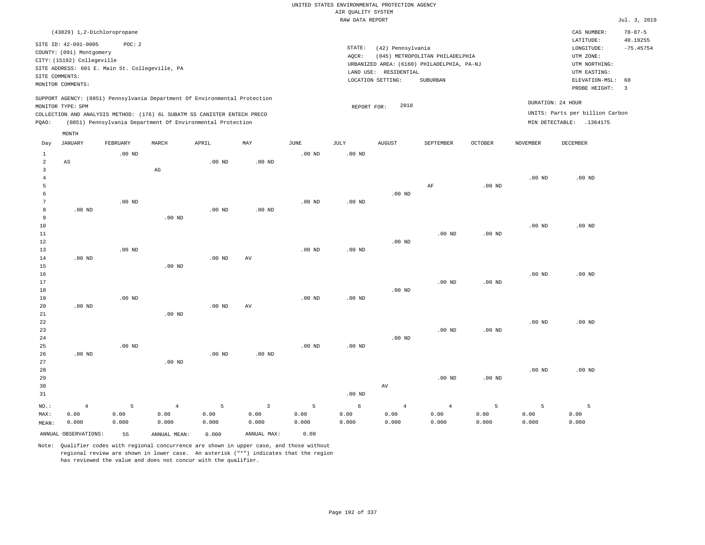|                               |                                                                                                                                                                                      |                    |                                                                                                                                                        |                    |                                 |                    | UNITED STATES ENVIRONMENTAL PROTECTION AGENCY |                                                                 |                                                                                           |                    |                    |                                                                                                                         |                                                                  |
|-------------------------------|--------------------------------------------------------------------------------------------------------------------------------------------------------------------------------------|--------------------|--------------------------------------------------------------------------------------------------------------------------------------------------------|--------------------|---------------------------------|--------------------|-----------------------------------------------|-----------------------------------------------------------------|-------------------------------------------------------------------------------------------|--------------------|--------------------|-------------------------------------------------------------------------------------------------------------------------|------------------------------------------------------------------|
|                               |                                                                                                                                                                                      |                    |                                                                                                                                                        |                    |                                 |                    | AIR QUALITY SYSTEM                            |                                                                 |                                                                                           |                    |                    |                                                                                                                         |                                                                  |
|                               |                                                                                                                                                                                      |                    |                                                                                                                                                        |                    |                                 |                    | RAW DATA REPORT                               |                                                                 |                                                                                           |                    |                    |                                                                                                                         | Jul. 3, 2019                                                     |
| SITE COMMENTS:                | (43829) 1,2-Dichloropropane<br>SITE ID: 42-091-0005<br>COUNTY: (091) Montgomery<br>CITY: (15192) Collegeville<br>SITE ADDRESS: 601 E. Main St. Collegeville, PA<br>MONITOR COMMENTS: | POC: 2             |                                                                                                                                                        |                    |                                 |                    | STATE:<br>AQCR:                               | (42) Pennsylvania<br>LAND USE: RESIDENTIAL<br>LOCATION SETTING: | (045) METROPOLITAN PHILADELPHIA<br>URBANIZED AREA: (6160) PHILADELPHIA, PA-NJ<br>SUBURBAN |                    |                    | CAS NUMBER:<br>LATITUDE:<br>LONGITUDE:<br>UTM ZONE:<br>UTM NORTHING:<br>UTM EASTING:<br>ELEVATION-MSL:<br>PROBE HEIGHT: | $78 - 87 - 5$<br>40.19255<br>$-75.45754$<br>60<br>$\overline{3}$ |
|                               | MONITOR TYPE: SPM                                                                                                                                                                    |                    | SUPPORT AGENCY: (0851) Pennsylvania Department Of Environmental Protection<br>COLLECTION AND ANALYSIS METHOD: (176) 6L SUBATM SS CANISTER ENTECH PRECO |                    |                                 |                    | REPORT FOR:                                   | 2018                                                            |                                                                                           |                    |                    | DURATION: 24 HOUR<br>UNITS: Parts per billion Carbon                                                                    |                                                                  |
| PQAO:                         |                                                                                                                                                                                      |                    | (0851) Pennsylvania Department Of Environmental Protection                                                                                             |                    |                                 |                    |                                               |                                                                 |                                                                                           |                    |                    | MIN DETECTABLE: .1364175                                                                                                |                                                                  |
|                               | MONTH                                                                                                                                                                                |                    |                                                                                                                                                        |                    |                                 |                    |                                               |                                                                 |                                                                                           |                    |                    |                                                                                                                         |                                                                  |
| Day                           | <b>JANUARY</b>                                                                                                                                                                       | FEBRUARY           | MARCH                                                                                                                                                  | APRIL              | MAY                             | <b>JUNE</b>        | JULY                                          | <b>AUGUST</b>                                                   | SEPTEMBER                                                                                 | <b>OCTOBER</b>     | <b>NOVEMBER</b>    | DECEMBER                                                                                                                |                                                                  |
| 1<br>$\overline{2}$           | AS                                                                                                                                                                                   | $.00$ ND           |                                                                                                                                                        | .00 <sub>ND</sub>  | .00 <sub>ND</sub>               | .00 <sub>ND</sub>  | $.00$ ND                                      |                                                                 |                                                                                           |                    |                    |                                                                                                                         |                                                                  |
| 3<br>$\overline{4}$<br>5      |                                                                                                                                                                                      |                    | $\mathbb{A}\mathbb{G}$                                                                                                                                 |                    |                                 |                    |                                               |                                                                 | AF                                                                                        | $.00$ ND           | .00 <sub>ND</sub>  | $.00$ ND                                                                                                                |                                                                  |
| 6<br>$7\phantom{.0}$<br>8     | .00 <sub>ND</sub>                                                                                                                                                                    | .00 <sub>ND</sub>  |                                                                                                                                                        | .00 <sub>ND</sub>  | .00 <sub>ND</sub>               | $.00$ ND           | $.00$ ND                                      | $.00$ ND                                                        |                                                                                           |                    |                    |                                                                                                                         |                                                                  |
| 9<br>$10$<br>$1\,1$<br>$1\,2$ |                                                                                                                                                                                      |                    | $.00$ ND                                                                                                                                               |                    |                                 |                    |                                               | $.00$ ND                                                        | $.00$ ND                                                                                  | $.00$ ND           | .00 <sub>ND</sub>  | $.00$ ND                                                                                                                |                                                                  |
| 13<br>14<br>15                | $.00$ ND                                                                                                                                                                             | $.00$ ND           | $.00$ ND                                                                                                                                               | $.00$ ND           | AV                              | .00 <sub>ND</sub>  | .00 <sub>ND</sub>                             |                                                                 |                                                                                           |                    |                    |                                                                                                                         |                                                                  |
| 16<br>17<br>18                |                                                                                                                                                                                      |                    |                                                                                                                                                        |                    |                                 |                    |                                               | $.00$ ND                                                        | $.00$ ND                                                                                  | $.00$ ND           | .00 <sub>ND</sub>  | $.00$ ND                                                                                                                |                                                                  |
| 19<br>20<br>21                | $.00$ ND                                                                                                                                                                             | $.00$ ND           | $.00$ ND                                                                                                                                               | $.00$ ND           | AV                              | $.00$ ND           | $.00$ ND                                      |                                                                 |                                                                                           |                    |                    |                                                                                                                         |                                                                  |
| 22<br>23<br>24<br>25          |                                                                                                                                                                                      | $.00$ ND           |                                                                                                                                                        |                    |                                 | $.00$ ND           | $.00$ ND                                      | $.00$ ND                                                        | $.00$ ND                                                                                  | $.00$ ND           | $.00$ ND           | $.00$ ND                                                                                                                |                                                                  |
| 26<br>27<br>28                | $.00$ ND                                                                                                                                                                             |                    | $.00$ ND                                                                                                                                               | .00 <sub>ND</sub>  | .00 <sub>ND</sub>               |                    |                                               |                                                                 |                                                                                           |                    | $.00$ ND           | .00 <sub>ND</sub>                                                                                                       |                                                                  |
| 29<br>30<br>31                |                                                                                                                                                                                      |                    |                                                                                                                                                        |                    |                                 |                    | $.00$ ND                                      | AV                                                              | $.00$ ND                                                                                  | $.00$ ND           |                    |                                                                                                                         |                                                                  |
| NO.:<br>MAX:<br>MEAN:         | $\overline{4}$<br>0.00<br>0.000                                                                                                                                                      | 5<br>0.00<br>0.000 | $\overline{4}$<br>0.00<br>0.000                                                                                                                        | 5<br>0.00<br>0.000 | $\overline{3}$<br>0.00<br>0.000 | 5<br>0.00<br>0.000 | 6<br>0.00<br>0.000                            | $\overline{4}$<br>0.00<br>0.000                                 | $\overline{4}$<br>0.00<br>0.000                                                           | 5<br>0.00<br>0.000 | 5<br>0.00<br>0.000 | 5<br>0.00<br>0.000                                                                                                      |                                                                  |
|                               | ANNUAL OBSERVATIONS:                                                                                                                                                                 | 55                 | ANNUAL MEAN:                                                                                                                                           | 0.000              | ANNUAL MAX:                     | 0.00               |                                               |                                                                 |                                                                                           |                    |                    |                                                                                                                         |                                                                  |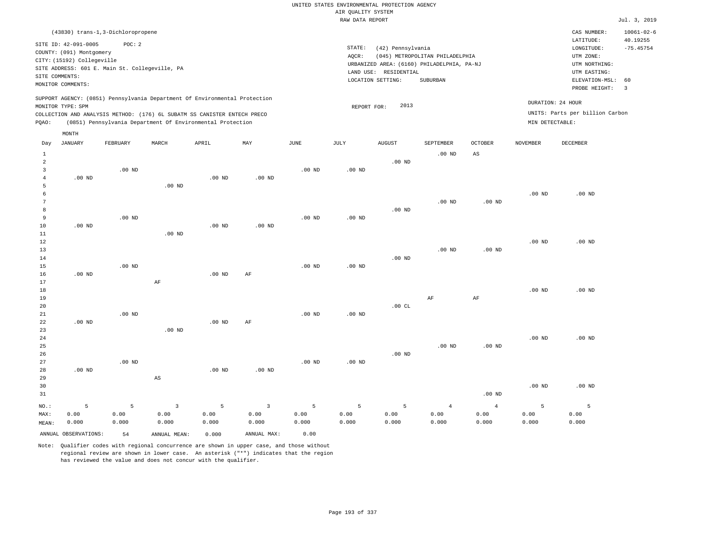|                | (43830) trans-1,3-Dichloropropene                                                             |                   |                                                            |                   |                |                   |                    |                       |                                            |                   |                   | CAS NUMBER:                     | $10061 - 02 - 6$ |
|----------------|-----------------------------------------------------------------------------------------------|-------------------|------------------------------------------------------------|-------------------|----------------|-------------------|--------------------|-----------------------|--------------------------------------------|-------------------|-------------------|---------------------------------|------------------|
|                | SITE ID: 42-091-0005                                                                          | POC: 2            |                                                            |                   |                |                   |                    |                       |                                            |                   |                   | LATITUDE:                       | 40.19255         |
|                | COUNTY: (091) Montgomery                                                                      |                   |                                                            |                   |                |                   | $\texttt{STATE}$ : | (42) Pennsylvania     |                                            |                   |                   | LONGITUDE:                      | $-75.45754$      |
|                | CITY: (15192) Collegeville                                                                    |                   |                                                            |                   |                |                   | AQCR:              |                       | (045) METROPOLITAN PHILADELPHIA            |                   |                   | UTM ZONE:                       |                  |
|                | SITE ADDRESS: 601 E. Main St. Collegeville, PA                                                |                   |                                                            |                   |                |                   |                    |                       | URBANIZED AREA: (6160) PHILADELPHIA, PA-NJ |                   |                   | UTM NORTHING:                   |                  |
| SITE COMMENTS: |                                                                                               |                   |                                                            |                   |                |                   |                    | LAND USE: RESIDENTIAL |                                            |                   |                   | UTM EASTING:                    |                  |
|                | MONITOR COMMENTS:                                                                             |                   |                                                            |                   |                |                   |                    | LOCATION SETTING:     | SUBURBAN                                   |                   |                   | ELEVATION-MSL:                  | 60               |
|                |                                                                                               |                   |                                                            |                   |                |                   |                    |                       |                                            |                   |                   | PROBE HEIGHT:                   | $\overline{3}$   |
|                | SUPPORT AGENCY: (0851) Pennsylvania Department Of Environmental Protection                    |                   |                                                            |                   |                |                   |                    | 2013                  |                                            |                   |                   | DURATION: 24 HOUR               |                  |
|                | MONITOR TYPE: SPM<br>COLLECTION AND ANALYSIS METHOD: (176) 6L SUBATM SS CANISTER ENTECH PRECO |                   |                                                            |                   |                |                   | REPORT FOR:        |                       |                                            |                   |                   | UNITS: Parts per billion Carbon |                  |
| PQAO:          |                                                                                               |                   | (0851) Pennsylvania Department Of Environmental Protection |                   |                |                   |                    |                       |                                            |                   | MIN DETECTABLE:   |                                 |                  |
|                |                                                                                               |                   |                                                            |                   |                |                   |                    |                       |                                            |                   |                   |                                 |                  |
|                | $\texttt{MONTH}$                                                                              |                   |                                                            |                   |                |                   |                    |                       |                                            |                   |                   |                                 |                  |
| Day            | <b>JANUARY</b>                                                                                | FEBRUARY          | MARCH                                                      | APRIL             | MAY            | JUNE              | JULY               | <b>AUGUST</b>         | SEPTEMBER                                  | <b>OCTOBER</b>    | <b>NOVEMBER</b>   | <b>DECEMBER</b>                 |                  |
| $\mathbf{1}$   |                                                                                               |                   |                                                            |                   |                |                   |                    |                       | $.00$ ND                                   | AS                |                   |                                 |                  |
| $\overline{a}$ |                                                                                               |                   |                                                            |                   |                |                   |                    | $.00$ ND              |                                            |                   |                   |                                 |                  |
| $\mathbf{3}$   |                                                                                               | $.00$ ND          |                                                            |                   |                | $.00$ ND          | .00 <sub>ND</sub>  |                       |                                            |                   |                   |                                 |                  |
| $\overline{4}$ | .00 <sub>ND</sub>                                                                             |                   |                                                            | .00 <sub>ND</sub> | $.00$ ND       |                   |                    |                       |                                            |                   |                   |                                 |                  |
| 5              |                                                                                               |                   | $.00$ ND                                                   |                   |                |                   |                    |                       |                                            |                   |                   |                                 |                  |
| 6              |                                                                                               |                   |                                                            |                   |                |                   |                    |                       |                                            |                   | $.00$ ND          | $.00$ ND                        |                  |
| $\overline{7}$ |                                                                                               |                   |                                                            |                   |                |                   |                    |                       | $.00$ ND                                   | $.00$ ND          |                   |                                 |                  |
| 8              |                                                                                               |                   |                                                            |                   |                |                   |                    | $.00$ ND              |                                            |                   |                   |                                 |                  |
| 9              |                                                                                               | $.00$ ND          |                                                            |                   |                | $.00$ ND          | .00 <sub>ND</sub>  |                       |                                            |                   |                   |                                 |                  |
| 10             | $.00$ ND                                                                                      |                   |                                                            | $.00$ ND          | $.00$ ND       |                   |                    |                       |                                            |                   |                   |                                 |                  |
| 11             |                                                                                               |                   | $.00$ ND                                                   |                   |                |                   |                    |                       |                                            |                   |                   |                                 |                  |
| 12             |                                                                                               |                   |                                                            |                   |                |                   |                    |                       |                                            |                   | $.00$ ND          | $.00$ ND                        |                  |
| 13             |                                                                                               |                   |                                                            |                   |                |                   |                    |                       | $.00$ ND                                   | $.00$ ND          |                   |                                 |                  |
| 14<br>15       |                                                                                               | .00 <sub>ND</sub> |                                                            |                   |                | .00 <sub>ND</sub> | .00 <sub>ND</sub>  | $.00$ ND              |                                            |                   |                   |                                 |                  |
| 16             | $.00$ ND                                                                                      |                   |                                                            | $.00$ ND          | AF             |                   |                    |                       |                                            |                   |                   |                                 |                  |
| 17             |                                                                                               |                   | AF                                                         |                   |                |                   |                    |                       |                                            |                   |                   |                                 |                  |
| $18\,$         |                                                                                               |                   |                                                            |                   |                |                   |                    |                       |                                            |                   | .00 <sub>ND</sub> | .00 <sub>ND</sub>               |                  |
| 19             |                                                                                               |                   |                                                            |                   |                |                   |                    |                       | AF                                         | $\rm{AF}$         |                   |                                 |                  |
| 20             |                                                                                               |                   |                                                            |                   |                |                   |                    | .00 $CL$              |                                            |                   |                   |                                 |                  |
| 21             |                                                                                               | $.00$ ND          |                                                            |                   |                | $.00$ ND          | $.00$ ND           |                       |                                            |                   |                   |                                 |                  |
| 22             | $.00$ ND                                                                                      |                   |                                                            | $.00$ ND          | AF             |                   |                    |                       |                                            |                   |                   |                                 |                  |
| 23             |                                                                                               |                   | $.00$ ND                                                   |                   |                |                   |                    |                       |                                            |                   |                   |                                 |                  |
| 24             |                                                                                               |                   |                                                            |                   |                |                   |                    |                       |                                            |                   | .00 <sub>ND</sub> | $.00$ ND                        |                  |
| 25             |                                                                                               |                   |                                                            |                   |                |                   |                    |                       | $.00$ ND                                   | .00 <sub>ND</sub> |                   |                                 |                  |
| 26             |                                                                                               |                   |                                                            |                   |                |                   |                    | $.00$ ND              |                                            |                   |                   |                                 |                  |
| 27             |                                                                                               | $.00$ ND          |                                                            |                   |                | $.00$ ND          | $.00$ ND           |                       |                                            |                   |                   |                                 |                  |
| 28             | $.00$ ND                                                                                      |                   |                                                            | $.00$ ND          | $.00$ ND       |                   |                    |                       |                                            |                   |                   |                                 |                  |
| 29             |                                                                                               |                   | $\mathbb{A}\mathbb{S}$                                     |                   |                |                   |                    |                       |                                            |                   |                   |                                 |                  |
| 30             |                                                                                               |                   |                                                            |                   |                |                   |                    |                       |                                            |                   | $.00$ ND          | $.00$ ND                        |                  |
| 31             |                                                                                               |                   |                                                            |                   |                |                   |                    |                       |                                            | $.00$ ND          |                   |                                 |                  |
| NO.:           | 5                                                                                             | 5                 | $\overline{3}$                                             | 5                 | $\overline{3}$ | 5                 | 5                  | 5                     | $\overline{4}$                             | $\overline{4}$    | 5                 | 5                               |                  |
| MAX:           | 0.00                                                                                          | 0.00              | 0.00                                                       | 0.00              | 0.00           | 0.00              | 0.00               | 0.00                  | 0.00                                       | 0.00              | 0.00              | 0.00                            |                  |
| MEAN:          | 0.000                                                                                         | 0.000             | 0.000                                                      | 0.000             | 0.000          | 0.000             | 0.000              | 0.000                 | 0.000                                      | 0.000             | 0.000             | 0.000                           |                  |
|                | ANNUAL OBSERVATIONS:                                                                          | 54                | ANNUAL, MEAN:                                              | 0.000             | ANNUAL MAX:    | 0.00              |                    |                       |                                            |                   |                   |                                 |                  |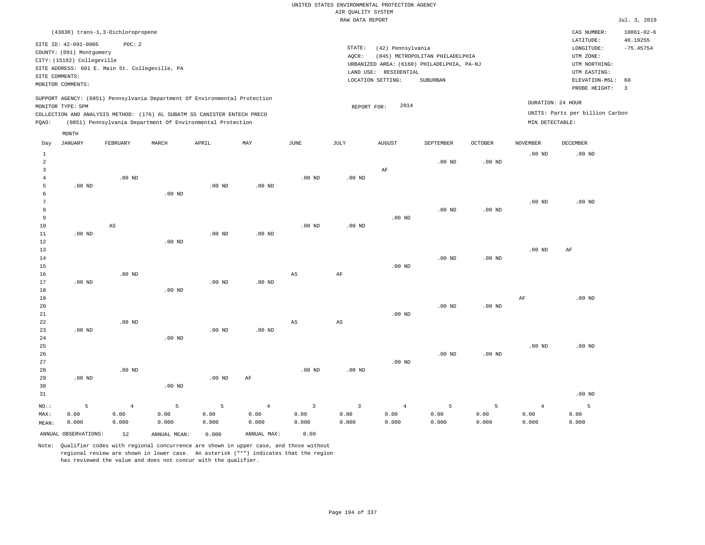|       |                                                                                                                       | (43830) trans-1,3-Dichloropropene                        |       |                                                                                                                                                                                                                      |     |      |                 |                                                                                                               |                                             |                |                      | CAS NUMBER:                                                                                                                                      | $10061 - 02 - 6$ |  |
|-------|-----------------------------------------------------------------------------------------------------------------------|----------------------------------------------------------|-------|----------------------------------------------------------------------------------------------------------------------------------------------------------------------------------------------------------------------|-----|------|-----------------|---------------------------------------------------------------------------------------------------------------|---------------------------------------------|----------------|----------------------|--------------------------------------------------------------------------------------------------------------------------------------------------|------------------|--|
|       | SITE ID: 42-091-0005<br>COUNTY: (091) Montgomery<br>CITY: (15192) Collegeville<br>SITE COMMENTS:<br>MONITOR COMMENTS: | POC: 2<br>SITE ADDRESS: 601 E. Main St. Collegeville, PA |       |                                                                                                                                                                                                                      |     |      | STATE:<br>AOCR: | (42) Pennsylvania<br>URBANIZED AREA: (6160) PHILADELPHIA, PA-NJ<br>LAND USE: RESIDENTIAL<br>LOCATION SETTING: | (045) METROPOLITAN PHILADELPHIA<br>SUBURBAN |                |                      | 40.19255<br>LATITUDE:<br>$-75.45754$<br>LONGITUDE:<br>UTM ZONE:<br>UTM NORTHING:<br>UTM EASTING:<br>ELEVATION-MSL:<br>- 60<br>PROBE HEIGHT:<br>3 |                  |  |
| PQAO: | MONITOR TYPE: SPM                                                                                                     |                                                          |       | SUPPORT AGENCY: (0851) Pennsylvania Department Of Environmental Protection<br>COLLECTION AND ANALYSIS METHOD: (176) 6L SUBATM SS CANISTER ENTECH PRECO<br>(0851) Pennsylvania Department Of Environmental Protection |     |      |                 | 2014<br>REPORT FOR:                                                                                           |                                             |                | MIN DETECTABLE:      | DURATION: 24 HOUR<br>UNITS: Parts per billion Carbon                                                                                             |                  |  |
| Day   | MONTH<br>JANUARY                                                                                                      | FEBRUARY                                                 | MARCH | APRIL                                                                                                                                                                                                                | MAY | JUNE | JULY            | <b>AUGUST</b>                                                                                                 | SEPTEMBER                                   | <b>OCTOBER</b> | NOVEMBER<br>$.00$ ND | DECEMBER<br>$.00$ ND                                                                                                                             |                  |  |
| 2     |                                                                                                                       |                                                          |       |                                                                                                                                                                                                                      |     |      |                 | AF                                                                                                            | $.00$ ND                                    | $.00$ ND       |                      |                                                                                                                                                  |                  |  |

| $\sim$          |          |                        |          |          |          |          |             | ---      |          |                   |          |          |
|-----------------|----------|------------------------|----------|----------|----------|----------|-------------|----------|----------|-------------------|----------|----------|
| $\overline{4}$  |          | $.00$ ND               |          |          |          | $.00$ ND | $.00$ ND    |          |          |                   |          |          |
| 5               | $.00$ ND |                        |          | $.00$ ND | $.00$ ND |          |             |          |          |                   |          |          |
| 6               |          |                        | $.00$ ND |          |          |          |             |          |          |                   |          |          |
| $7\phantom{.0}$ |          |                        |          |          |          |          |             |          |          |                   | $.00$ ND | $.00$ ND |
| 8               |          |                        |          |          |          |          |             |          | $.00$ ND | .00 $ND$          |          |          |
| 9               |          |                        |          |          |          |          |             | $.00$ ND |          |                   |          |          |
| $10$            |          | $\mathbb{A}\mathbb{S}$ |          |          |          | $.00$ ND | .00 $ND$    |          |          |                   |          |          |
| $11$            | $.00$ ND |                        |          | $.00$ ND | $.00$ ND |          |             |          |          |                   |          |          |
| $1\,2$          |          |                        | $.00$ ND |          |          |          |             |          |          |                   |          |          |
| $13$            |          |                        |          |          |          |          |             |          |          |                   | $.00$ ND | AF       |
| $1\,4$          |          |                        |          |          |          |          |             |          | $.00$ ND | .00 $ND$          |          |          |
| $15\,$          |          |                        |          |          |          |          |             | $.00$ ND |          |                   |          |          |
| 16              |          | $.00$ ND               |          |          |          | AS       | AF          |          |          |                   |          |          |
| $17$            | .00 $ND$ |                        |          | $.00$ ND | $.00$ ND |          |             |          |          |                   |          |          |
| $1\,8$          |          |                        | $.00$ ND |          |          |          |             |          |          |                   |          |          |
| 19              |          |                        |          |          |          |          |             |          |          |                   | AF       | $.00$ ND |
| 20              |          |                        |          |          |          |          |             |          | $.00$ ND | .00 $ND$          |          |          |
| 21              |          |                        |          |          |          |          |             | $.00$ ND |          |                   |          |          |
| $2\sqrt{2}$     |          | $.00$ ND               |          |          |          | AS       | $_{\rm AS}$ |          |          |                   |          |          |
| 23              | $.00$ ND |                        |          | $.00$ ND | $.00$ ND |          |             |          |          |                   |          |          |
| 24              |          |                        | $.00$ ND |          |          |          |             |          |          |                   |          |          |
| $25\,$          |          |                        |          |          |          |          |             |          |          |                   | $.00$ ND | $.00$ ND |
| 26              |          |                        |          |          |          |          |             |          | $.00$ ND | .00 <sub>ND</sub> |          |          |
| 27              |          |                        |          |          |          |          |             | $.00$ ND |          |                   |          |          |

28 29 30 31 .00 ND NO.: MAX: MEAN: 5 0.00 0.000 .00 ND .00 ND .00 ND AF .00 ND .00 ND .00 ND 4 0.00 0.000 5 0.00 0.000 5 0.00 0.000 4 0.00 0.000 3 0.00 0.000 3 0.00 0.000 4 0.00 0.000 5 0.00 0.000 5 0.00 0.000 4 0.00 0.000 5 0.00 0.000

ANNUAL OBSERVATIONS: 52 ANNUAL MEAN: 0.000 ANNUAL MAX: 0.00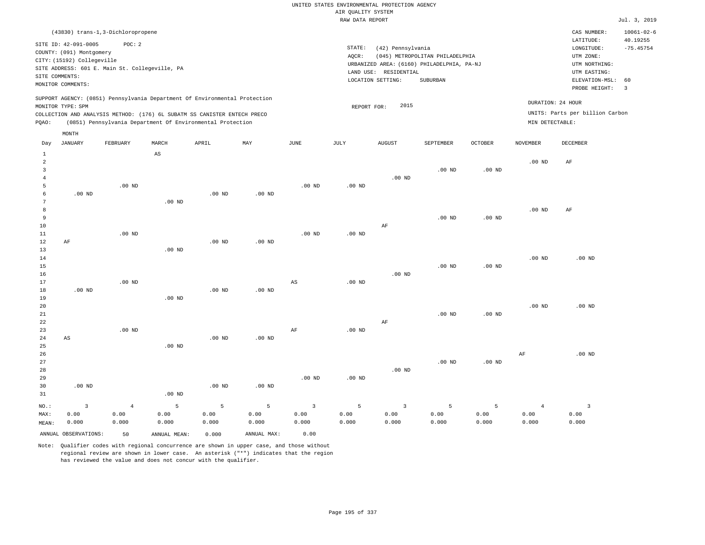| (43830) trans-1,3-Dichloropropene                                                                                                                                                                                                                  |                                                                                                                                                                                 | CAS NUMBER:                                                                                              | $10061 - 02 - 6$                |
|----------------------------------------------------------------------------------------------------------------------------------------------------------------------------------------------------------------------------------------------------|---------------------------------------------------------------------------------------------------------------------------------------------------------------------------------|----------------------------------------------------------------------------------------------------------|---------------------------------|
| SITE ID: 42-091-0005<br>POC:2<br>COUNTY: (091) Montgomery<br>CITY: (15192) Collegeville<br>SITE ADDRESS: 601 E. Main St. Collegeville, PA<br>SITE COMMENTS:<br>MONITOR COMMENTS:                                                                   | STATE:<br>(42) Pennsylvania<br>AOCR:<br>(045) METROPOLITAN PHILADELPHIA<br>URBANIZED AREA: (6160) PHILADELPHIA, PA-NJ<br>LAND USE: RESIDENTIAL<br>LOCATION SETTING:<br>SUBURBAN | LATITUDE:<br>LONGITUDE:<br>UTM ZONE:<br>UTM NORTHING:<br>UTM EASTING:<br>ELEVATION-MSL:<br>PROBE HEIGHT: | 40.19255<br>$-75.45754$<br>- 60 |
| SUPPORT AGENCY: (0851) Pennsylvania Department Of Environmental Protection<br>MONITOR TYPE: SPM<br>COLLECTION AND ANALYSIS METHOD: (176) 6L SUBATM SS CANISTER ENTECH PRECO<br>(0851) Pennsylvania Department Of Environmental Protection<br>POAO: | DURATION: 24 HOUR<br>2015<br>REPORT FOR:<br>MIN DETECTABLE:                                                                                                                     | UNITS: Parts per billion Carbon                                                                          |                                 |

|                | MONTH                   |                |                        |                   |             |                        |                   |                         |           |                   |                 |                         |
|----------------|-------------------------|----------------|------------------------|-------------------|-------------|------------------------|-------------------|-------------------------|-----------|-------------------|-----------------|-------------------------|
| Day            | <b>JANUARY</b>          | FEBRUARY       | MARCH                  | APRIL             | MAY         | <b>JUNE</b>            | $\mathtt{JULY}$   | <b>AUGUST</b>           | SEPTEMBER | OCTOBER           | <b>NOVEMBER</b> | DECEMBER                |
| $\mathbf{1}$   |                         |                | $\mathbb{A}\mathbb{S}$ |                   |             |                        |                   |                         |           |                   |                 |                         |
| $\overline{c}$ |                         |                |                        |                   |             |                        |                   |                         |           |                   | $.00$ ND        | AF                      |
| 3              |                         |                |                        |                   |             |                        |                   |                         | $.00$ ND  | .00 <sub>ND</sub> |                 |                         |
| $\overline{4}$ |                         |                |                        |                   |             |                        |                   | $.00$ ND                |           |                   |                 |                         |
| 5              |                         | $.00$ ND       |                        |                   |             | $.00$ ND               | $.00$ ND          |                         |           |                   |                 |                         |
| 6              | $.00$ ND                |                |                        | .00 <sub>ND</sub> | .00 $ND$    |                        |                   |                         |           |                   |                 |                         |
| 7              |                         |                | $.00$ ND               |                   |             |                        |                   |                         |           |                   |                 |                         |
| 8              |                         |                |                        |                   |             |                        |                   |                         |           |                   | $.00$ ND        | AF                      |
| 9              |                         |                |                        |                   |             |                        |                   |                         | $.00$ ND  | $.00$ ND          |                 |                         |
| 10             |                         |                |                        |                   |             |                        |                   | AF                      |           |                   |                 |                         |
| 11             |                         | $.00$ ND       |                        |                   |             | $.00$ ND               | $.00$ ND          |                         |           |                   |                 |                         |
| 12             | $\rm AF$                |                |                        | .00 <sub>ND</sub> | $.00$ ND    |                        |                   |                         |           |                   |                 |                         |
| 13<br>14       |                         |                | $.00$ ND               |                   |             |                        |                   |                         |           |                   | $.00$ ND        | $.00$ ND                |
| 15             |                         |                |                        |                   |             |                        |                   |                         | $.00$ ND  | $.00$ ND          |                 |                         |
| 16             |                         |                |                        |                   |             |                        |                   | $.00$ ND                |           |                   |                 |                         |
| 17             |                         | $.00$ ND       |                        |                   |             | $\mathbb{A}\mathbb{S}$ | $.00$ ND          |                         |           |                   |                 |                         |
| 18             | $.00$ ND                |                |                        | .00 <sub>ND</sub> | .00 $ND$    |                        |                   |                         |           |                   |                 |                         |
| 19             |                         |                | $.00$ ND               |                   |             |                        |                   |                         |           |                   |                 |                         |
| 20             |                         |                |                        |                   |             |                        |                   |                         |           |                   | $.00$ ND        | $.00$ ND                |
| 21             |                         |                |                        |                   |             |                        |                   |                         | $.00$ ND  | $.00$ ND          |                 |                         |
| 22             |                         |                |                        |                   |             |                        |                   | AF                      |           |                   |                 |                         |
| 23             |                         | $.00$ ND       |                        |                   |             | $\rm{AF}$              | $.00$ ND          |                         |           |                   |                 |                         |
| 24             | $\mathbb{A}\mathbb{S}$  |                |                        | $.00$ ND          | .00 $ND$    |                        |                   |                         |           |                   |                 |                         |
| 25             |                         |                | $.00$ ND               |                   |             |                        |                   |                         |           |                   |                 |                         |
| 26             |                         |                |                        |                   |             |                        |                   |                         |           |                   | $\rm{AF}$       | $.00$ ND                |
| 27             |                         |                |                        |                   |             |                        |                   |                         | $.00$ ND  | $.00$ ND          |                 |                         |
| 28             |                         |                |                        |                   |             |                        |                   | $.00$ ND                |           |                   |                 |                         |
| 29             |                         |                |                        |                   |             | $.00$ ND               | .00 <sub>ND</sub> |                         |           |                   |                 |                         |
| 30             | $.00$ ND                |                |                        | .00 <sub>ND</sub> | .00 $ND$    |                        |                   |                         |           |                   |                 |                         |
| 31             |                         |                | $.00$ ND               |                   |             |                        |                   |                         |           |                   |                 |                         |
| NO.:           | $\overline{\mathbf{3}}$ | $\overline{4}$ | 5                      | $\mathsf S$       | 5           | $\overline{3}$         | 5                 | $\overline{\mathbf{3}}$ | 5         | 5                 | $\overline{4}$  | $\overline{\mathbf{3}}$ |
| MAX:           | 0.00                    | 0.00           | 0.00                   | 0.00              | 0.00        | 0.00                   | 0.00              | 0.00                    | 0.00      | 0.00              | 0.00            | 0.00                    |
| MEAN:          | 0.000                   | 0.000          | 0.000                  | 0.000             | 0.000       | 0.000                  | 0.000             | 0.000                   | 0.000     | 0.000             | 0.000           | 0.000                   |
|                | ANNUAL OBSERVATIONS:    | 50             | ANNUAL MEAN:           | 0.000             | ANNUAL MAX: | 0.00                   |                   |                         |           |                   |                 |                         |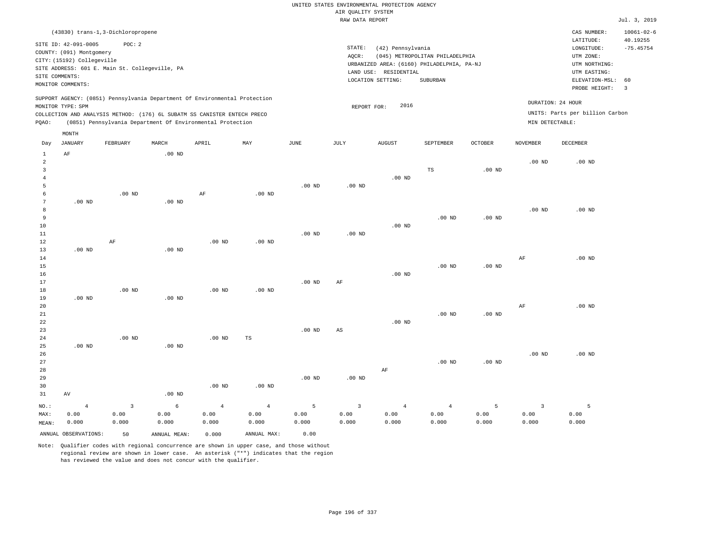|       |                                                                                                                       | (43830) trans-1,3-Dichloropropene                                                                                                                                                                                    |          |       |     |          |                              |                                                                                                     |                                             |                |                   | CAS NUMBER:                                                                                              | $10061 - 02 - 6$                    |
|-------|-----------------------------------------------------------------------------------------------------------------------|----------------------------------------------------------------------------------------------------------------------------------------------------------------------------------------------------------------------|----------|-------|-----|----------|------------------------------|-----------------------------------------------------------------------------------------------------|---------------------------------------------|----------------|-------------------|----------------------------------------------------------------------------------------------------------|-------------------------------------|
|       | SITE ID: 42-091-0005<br>COUNTY: (091) Montgomery<br>CITY: (15192) Collegeville<br>SITE COMMENTS:<br>MONITOR COMMENTS: | POC:2<br>SITE ADDRESS: 601 E. Main St. Collegeville, PA                                                                                                                                                              |          |       |     |          | STATE:<br>AQCR:<br>LAND USE: | (42) Pennsylvania<br>URBANIZED AREA: (6160) PHILADELPHIA, PA-NJ<br>RESIDENTIAL<br>LOCATION SETTING: | (045) METROPOLITAN PHILADELPHIA<br>SUBURBAN |                |                   | LATITUDE:<br>LONGITUDE:<br>UTM ZONE:<br>UTM NORTHING:<br>UTM EASTING:<br>ELEVATION-MSL:<br>PROBE HEIGHT: | 40.19255<br>$-75.45754$<br>60<br>-3 |
| POAO: | MONITOR TYPE: SPM                                                                                                     | SUPPORT AGENCY: (0851) Pennsylvania Department Of Environmental Protection<br>COLLECTION AND ANALYSIS METHOD: (176) 6L SUBATM SS CANISTER ENTECH PRECO<br>(0851) Pennsylvania Department Of Environmental Protection |          |       |     |          |                              | 2016<br>REPORT FOR:                                                                                 |                                             |                | MIN DETECTABLE:   | DURATION: 24 HOUR<br>UNITS: Parts per billion Carbon                                                     |                                     |
| Day   | MONTH<br>JANUARY                                                                                                      | FEBRUARY                                                                                                                                                                                                             | MARCH    | APRIL | MAY | JUNE     | JULY                         | <b>AUGUST</b>                                                                                       | SEPTEMBER                                   | <b>OCTOBER</b> | <b>NOVEMBER</b>   | DECEMBER                                                                                                 |                                     |
| 2     | AF                                                                                                                    |                                                                                                                                                                                                                      | $.00$ ND |       |     |          |                              |                                                                                                     |                                             |                | .00 <sub>ND</sub> | $.00$ ND                                                                                                 |                                     |
|       |                                                                                                                       |                                                                                                                                                                                                                      |          |       |     | $.00$ ND | $.00$ ND                     | $.00$ ND                                                                                            | TS                                          | $.00$ ND       |                   |                                                                                                          |                                     |

.00 ND

.00 ND

.00 ND

.00 ND

.00 ND

.00 ND

.00 ND

 .00 ND .00 ND AF .00 ND .00 ND .00 ND .00 ND .00 ND .00 ND .00 ND .00 ND .00 ND TS .00 ND .00 ND .00 ND .00 ND AF AS .00 ND .00 ND .00 ND .00 ND .00 ND .00 ND AF AF

.00 ND

| 25    | $.00$ ND             |       | $.00$ ND     |          |                |          |                |       |          |          |          |          |
|-------|----------------------|-------|--------------|----------|----------------|----------|----------------|-------|----------|----------|----------|----------|
| 26    |                      |       |              |          |                |          |                |       |          |          | $.00$ ND | $.00$ ND |
| 27    |                      |       |              |          |                |          |                |       | $.00$ ND | $.00$ ND |          |          |
| 28    |                      |       |              |          |                |          |                | AF    |          |          |          |          |
| 29    |                      |       |              |          |                | $.00$ ND | $.00$ ND       |       |          |          |          |          |
| 30    |                      |       |              | $.00$ ND | $.00$ ND       |          |                |       |          |          |          |          |
| 31    | AV                   |       | $.00$ ND     |          |                |          |                |       |          |          |          |          |
| NO.:  | $\overline{4}$       | 3     | 6            | 4        | $\overline{4}$ | 5        | $\overline{3}$ | 4     |          | 5        |          |          |
| MAX:  | 0.00                 | 0.00  | 0.00         | 0.00     | 0.00           | 0.00     | 0.00           | 0.00  | 0.00     | 0.00     | 0.00     | 0.00     |
| MEAN: | 0.000                | 0.000 | 0.000        | 0.000    | 0.000          | 0.000    | 0.000          | 0.000 | 0.000    | 0.000    | 0.000    | 0.000    |
|       | ANNUAL OBSERVATIONS: | 50    | ANNUAL MEAN: | 0.000    | ANNUAL MAX:    | 0.00     |                |       |          |          |          |          |

Note: Qualifier codes with regional concurrence are shown in upper case, and those without regional review are shown in lower case. An asterisk ("\*") indicates that the region has reviewed the value and does not concur with the qualifier.

.00 ND

.00 ND

.00 ND

AF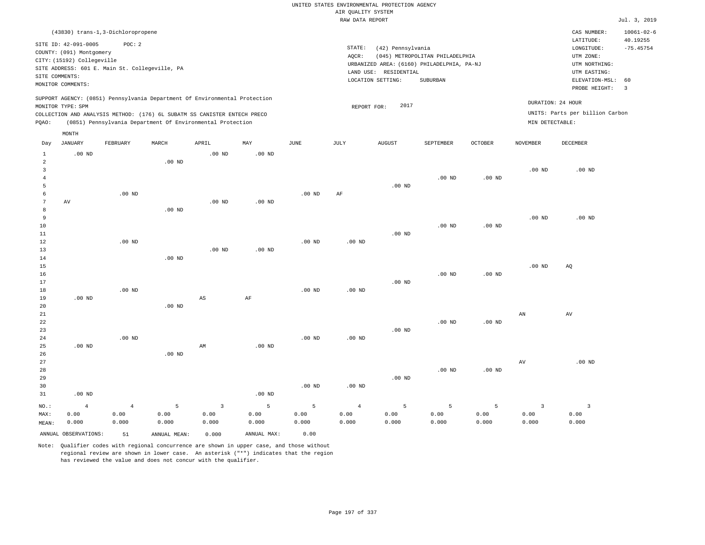|                                                |                                                                                                                       |                                                          |                    |                                                                                                                                        |                    |                    | AIR QUALITY SYSTEM              | UNITED STATES ENVIRONMENTAL PROTECTION AGENCY                   |                                                                                                  |                    |                                 |                                                                                         |                               |
|------------------------------------------------|-----------------------------------------------------------------------------------------------------------------------|----------------------------------------------------------|--------------------|----------------------------------------------------------------------------------------------------------------------------------------|--------------------|--------------------|---------------------------------|-----------------------------------------------------------------|--------------------------------------------------------------------------------------------------|--------------------|---------------------------------|-----------------------------------------------------------------------------------------|-------------------------------|
|                                                |                                                                                                                       |                                                          |                    |                                                                                                                                        |                    |                    | RAW DATA REPORT                 |                                                                 |                                                                                                  |                    |                                 |                                                                                         | Jul. 3, 2019                  |
|                                                |                                                                                                                       | (43830) trans-1,3-Dichloropropene                        |                    |                                                                                                                                        |                    |                    |                                 |                                                                 |                                                                                                  |                    |                                 | CAS NUMBER:                                                                             | $10061 - 02 - 6$              |
|                                                | SITE ID: 42-091-0005<br>COUNTY: (091) Montgomery<br>CITY: (15192) Collegeville<br>SITE COMMENTS:<br>MONITOR COMMENTS: | POC: 2<br>SITE ADDRESS: 601 E. Main St. Collegeville, PA |                    |                                                                                                                                        |                    |                    | STATE:<br>AQCR:                 | (42) Pennsylvania<br>LAND USE: RESIDENTIAL<br>LOCATION SETTING: | (045) METROPOLITAN PHILADELPHIA<br>URBANIZED AREA: (6160) PHILADELPHIA, PA-NJ<br><b>SUBURBAN</b> |                    |                                 | LATITUDE:<br>LONGITUDE:<br>UTM ZONE:<br>UTM NORTHING:<br>UTM EASTING:<br>ELEVATION-MSL: | 40.19255<br>$-75.45754$<br>60 |
|                                                |                                                                                                                       |                                                          |                    | SUPPORT AGENCY: (0851) Pennsylvania Department Of Environmental Protection                                                             |                    |                    |                                 |                                                                 |                                                                                                  |                    |                                 | PROBE HEIGHT:<br>DURATION: 24 HOUR                                                      | $\overline{3}$                |
|                                                | MONITOR TYPE: SPM                                                                                                     |                                                          |                    |                                                                                                                                        |                    |                    | REPORT FOR:                     | 2017                                                            |                                                                                                  |                    |                                 | UNITS: Parts per billion Carbon                                                         |                               |
| PQAO:                                          |                                                                                                                       |                                                          |                    | COLLECTION AND ANALYSIS METHOD: (176) 6L SUBATM SS CANISTER ENTECH PRECO<br>(0851) Pennsylvania Department Of Environmental Protection |                    |                    |                                 |                                                                 |                                                                                                  |                    | MIN DETECTABLE:                 |                                                                                         |                               |
|                                                |                                                                                                                       |                                                          |                    |                                                                                                                                        |                    |                    |                                 |                                                                 |                                                                                                  |                    |                                 |                                                                                         |                               |
| Day                                            | MONTH<br><b>JANUARY</b>                                                                                               | FEBRUARY                                                 | MARCH              | APRIL                                                                                                                                  | MAY                | <b>JUNE</b>        | <b>JULY</b>                     | <b>AUGUST</b>                                                   | SEPTEMBER                                                                                        | <b>OCTOBER</b>     | <b>NOVEMBER</b>                 | DECEMBER                                                                                |                               |
| $1\,$<br>$\overline{2}$                        | $.00$ ND                                                                                                              |                                                          | .00 <sub>ND</sub>  | $.00$ ND                                                                                                                               | .00 <sub>ND</sub>  |                    |                                 |                                                                 |                                                                                                  |                    |                                 |                                                                                         |                               |
| $\overline{\mathbf{3}}$<br>$\overline{4}$<br>5 |                                                                                                                       |                                                          |                    |                                                                                                                                        |                    |                    |                                 | $.00$ ND                                                        | $.00$ ND                                                                                         | $.00$ ND           | $.00$ ND                        | $.00$ ND                                                                                |                               |
| 6<br>7<br>8                                    | AV                                                                                                                    | $.00$ ND                                                 | $.00$ ND           | $.00$ ND                                                                                                                               | $.00$ ND           | .00 <sub>ND</sub>  | AF                              |                                                                 |                                                                                                  |                    |                                 |                                                                                         |                               |
| 9<br>10<br>11                                  |                                                                                                                       |                                                          |                    |                                                                                                                                        |                    |                    |                                 | $.00$ ND                                                        | .00 <sub>ND</sub>                                                                                | $.00$ ND           | .00 <sub>ND</sub>               | $.00$ ND                                                                                |                               |
| 12<br>13<br>14                                 |                                                                                                                       | $.00$ ND                                                 | $.00$ ND           | .00 <sub>ND</sub>                                                                                                                      | $.00$ ND           | .00 <sub>ND</sub>  | .00 <sub>ND</sub>               |                                                                 |                                                                                                  |                    |                                 |                                                                                         |                               |
| 15<br>16<br>17<br>18                           |                                                                                                                       | $.00$ ND                                                 |                    |                                                                                                                                        |                    | $.00$ ND           | $.00$ ND                        | $.00$ ND                                                        | $.00$ ND                                                                                         | $.00$ ND           | .00 <sub>ND</sub>               | AQ                                                                                      |                               |
| 19<br>20<br>21                                 | $.00$ ND                                                                                                              |                                                          | .00 <sub>ND</sub>  | $\mathbb{A}\mathbb{S}$                                                                                                                 | $\rm AF$           |                    |                                 |                                                                 |                                                                                                  |                    | AN                              | AV                                                                                      |                               |
| 22<br>23<br>24                                 |                                                                                                                       | $.00$ ND                                                 |                    |                                                                                                                                        |                    | $.00$ ND           | .00 <sub>ND</sub>               | $.00$ ND                                                        | $.00$ ND                                                                                         | $.00$ ND           |                                 |                                                                                         |                               |
| 25<br>26<br>27                                 | $.00$ ND                                                                                                              |                                                          | $.00$ ND           | AM                                                                                                                                     | $.00$ ND           |                    |                                 |                                                                 |                                                                                                  |                    | AV                              | .00 <sub>ND</sub>                                                                       |                               |
| 28<br>29<br>30                                 |                                                                                                                       |                                                          |                    |                                                                                                                                        |                    | $.00$ ND           | $.00$ ND                        | .00 <sub>ND</sub>                                               | .00 <sub>ND</sub>                                                                                | .00 <sub>ND</sub>  |                                 |                                                                                         |                               |
| 31                                             | $.00$ ND                                                                                                              |                                                          |                    |                                                                                                                                        | $.00$ ND           |                    |                                 |                                                                 |                                                                                                  |                    |                                 |                                                                                         |                               |
| $NO.$ :<br>MAX:<br>MEAN:                       | $\overline{4}$<br>0.00<br>0.000                                                                                       | $\overline{4}$<br>0.00<br>0.000                          | 5<br>0.00<br>0.000 | $\overline{\mathbf{3}}$<br>0.00<br>0.000                                                                                               | 5<br>0.00<br>0.000 | 5<br>0.00<br>0.000 | $\overline{4}$<br>0.00<br>0.000 | 5<br>0.00<br>0.000                                              | $\overline{5}$<br>0.00<br>0.000                                                                  | 5<br>0.00<br>0.000 | $\overline{3}$<br>0.00<br>0.000 | $\mathbf{3}$<br>0.00<br>0.000                                                           |                               |
|                                                | ANNUAL OBSERVATIONS:                                                                                                  | 51                                                       | ANNUAL MEAN:       | 0.000                                                                                                                                  | ANNUAL MAX:        | 0.00               |                                 |                                                                 |                                                                                                  |                    |                                 |                                                                                         |                               |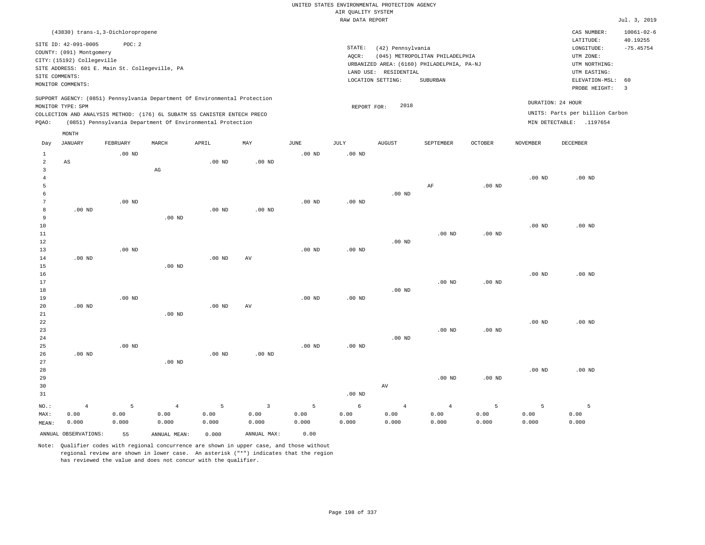|                     |                                                |                   |                                                                            |                   |                |                   |                    | UNITED STATES ENVIRONMENTAL PROTECTION AGENCY |                                            |                   |                   |                                 |                              |
|---------------------|------------------------------------------------|-------------------|----------------------------------------------------------------------------|-------------------|----------------|-------------------|--------------------|-----------------------------------------------|--------------------------------------------|-------------------|-------------------|---------------------------------|------------------------------|
|                     |                                                |                   |                                                                            |                   |                |                   | AIR QUALITY SYSTEM |                                               |                                            |                   |                   |                                 |                              |
|                     |                                                |                   |                                                                            |                   |                |                   | RAW DATA REPORT    |                                               |                                            |                   |                   |                                 | Jul. 3, 2019                 |
|                     | (43830) trans-1,3-Dichloropropene              |                   |                                                                            |                   |                |                   |                    |                                               |                                            |                   |                   | CAS NUMBER:<br>LATITUDE:        | $10061 - 02 - 6$<br>40.19255 |
|                     | SITE ID: 42-091-0005                           | POC: 2            |                                                                            |                   |                |                   | STATE:             | (42) Pennsylvania                             |                                            |                   |                   | LONGITUDE:                      | $-75.45754$                  |
|                     | COUNTY: (091) Montgomery                       |                   |                                                                            |                   |                |                   | AQCR:              |                                               | (045) METROPOLITAN PHILADELPHIA            |                   |                   | UTM ZONE:                       |                              |
|                     | CITY: (15192) Collegeville                     |                   |                                                                            |                   |                |                   |                    |                                               | URBANIZED AREA: (6160) PHILADELPHIA, PA-NJ |                   |                   | UTM NORTHING:                   |                              |
|                     | SITE ADDRESS: 601 E. Main St. Collegeville, PA |                   |                                                                            |                   |                |                   |                    | LAND USE: RESIDENTIAL                         |                                            |                   |                   | UTM EASTING:                    |                              |
| SITE COMMENTS:      | MONITOR COMMENTS:                              |                   |                                                                            |                   |                |                   |                    | LOCATION SETTING:                             | SUBURBAN                                   |                   |                   | ELEVATION-MSL:                  | 60                           |
|                     |                                                |                   |                                                                            |                   |                |                   |                    |                                               |                                            |                   |                   | PROBE HEIGHT:                   | $\overline{\mathbf{3}}$      |
|                     | MONITOR TYPE: SPM                              |                   | SUPPORT AGENCY: (0851) Pennsylvania Department Of Environmental Protection |                   |                |                   | REPORT FOR:        | 2018                                          |                                            |                   |                   | DURATION: 24 HOUR               |                              |
|                     |                                                |                   | COLLECTION AND ANALYSIS METHOD: (176) 6L SUBATM SS CANISTER ENTECH PRECO   |                   |                |                   |                    |                                               |                                            |                   |                   | UNITS: Parts per billion Carbon |                              |
| PQAO:               |                                                |                   | (0851) Pennsylvania Department Of Environmental Protection                 |                   |                |                   |                    |                                               |                                            |                   |                   | MIN DETECTABLE: .1197654        |                              |
|                     | MONTH                                          |                   |                                                                            |                   |                |                   |                    |                                               |                                            |                   |                   |                                 |                              |
| Day                 | JANUARY                                        | FEBRUARY          | MARCH                                                                      | APRIL             | MAY            | <b>JUNE</b>       | JULY               | <b>AUGUST</b>                                 | SEPTEMBER                                  | <b>OCTOBER</b>    | <b>NOVEMBER</b>   | <b>DECEMBER</b>                 |                              |
| $\mathbf{1}$        |                                                | $.00$ ND          |                                                                            |                   |                | .00 <sub>ND</sub> | .00 <sub>ND</sub>  |                                               |                                            |                   |                   |                                 |                              |
| $\overline{a}$      | $\mathbb{A}\mathbb{S}$                         |                   |                                                                            | .00 <sub>ND</sub> | $.00$ ND       |                   |                    |                                               |                                            |                   |                   |                                 |                              |
| 3                   |                                                |                   | $_{\rm AG}$                                                                |                   |                |                   |                    |                                               |                                            |                   |                   |                                 |                              |
| $\overline{4}$<br>5 |                                                |                   |                                                                            |                   |                |                   |                    |                                               | AF                                         | $.00$ ND          | .00 <sub>ND</sub> | $.00$ ND                        |                              |
| 6                   |                                                |                   |                                                                            |                   |                |                   |                    | $.00$ ND                                      |                                            |                   |                   |                                 |                              |
| $7\phantom{.0}$     |                                                | $.00$ ND          |                                                                            |                   |                | $.00$ ND          | $.00$ ND           |                                               |                                            |                   |                   |                                 |                              |
| $^{\rm 8}$          | $.00$ ND                                       |                   |                                                                            | .00 <sub>ND</sub> | $.00$ ND       |                   |                    |                                               |                                            |                   |                   |                                 |                              |
| 9                   |                                                |                   | $.00$ ND                                                                   |                   |                |                   |                    |                                               |                                            |                   |                   |                                 |                              |
| $10$                |                                                |                   |                                                                            |                   |                |                   |                    |                                               |                                            |                   | $.00$ ND          | $.00$ ND                        |                              |
| 11                  |                                                |                   |                                                                            |                   |                |                   |                    |                                               | $.00$ ND                                   | .00 <sub>ND</sub> |                   |                                 |                              |
| 12                  |                                                |                   |                                                                            |                   |                |                   |                    | $.00$ ND                                      |                                            |                   |                   |                                 |                              |
| 13                  |                                                | .00 <sub>ND</sub> |                                                                            |                   |                | .00 <sub>ND</sub> | .00 <sub>ND</sub>  |                                               |                                            |                   |                   |                                 |                              |
| 14                  | $.00$ ND                                       |                   |                                                                            | $.00$ ND          | AV             |                   |                    |                                               |                                            |                   |                   |                                 |                              |
| 15                  |                                                |                   | $.00$ ND                                                                   |                   |                |                   |                    |                                               |                                            |                   |                   |                                 |                              |
| 16                  |                                                |                   |                                                                            |                   |                |                   |                    |                                               |                                            |                   | .00 <sub>ND</sub> | $.00$ ND                        |                              |
| 17                  |                                                |                   |                                                                            |                   |                |                   |                    |                                               | $.00$ ND                                   | .00 <sub>ND</sub> |                   |                                 |                              |
| 18                  |                                                | $.00$ ND          |                                                                            |                   |                | $.00$ ND          | .00 <sub>ND</sub>  | $.00$ ND                                      |                                            |                   |                   |                                 |                              |
| 19<br>20            | $.00$ ND                                       |                   |                                                                            | $.00$ ND          | AV             |                   |                    |                                               |                                            |                   |                   |                                 |                              |
| 21                  |                                                |                   | $.00$ ND                                                                   |                   |                |                   |                    |                                               |                                            |                   |                   |                                 |                              |
| 22                  |                                                |                   |                                                                            |                   |                |                   |                    |                                               |                                            |                   | .00 <sub>ND</sub> | $.00$ ND                        |                              |
| 23                  |                                                |                   |                                                                            |                   |                |                   |                    |                                               | $.00$ ND                                   | $.00$ ND          |                   |                                 |                              |
| 24                  |                                                |                   |                                                                            |                   |                |                   |                    | .00 <sub>ND</sub>                             |                                            |                   |                   |                                 |                              |
| 25                  |                                                | .00 <sub>ND</sub> |                                                                            |                   |                | .00 <sub>ND</sub> | .00 <sub>ND</sub>  |                                               |                                            |                   |                   |                                 |                              |
| 26                  | $.00$ ND                                       |                   |                                                                            | $.00$ ND          | $.00$ ND       |                   |                    |                                               |                                            |                   |                   |                                 |                              |
| 27                  |                                                |                   | $.00$ ND                                                                   |                   |                |                   |                    |                                               |                                            |                   |                   |                                 |                              |
| 28                  |                                                |                   |                                                                            |                   |                |                   |                    |                                               |                                            |                   | $.00$ ND          | $.00$ ND                        |                              |
| 29                  |                                                |                   |                                                                            |                   |                |                   |                    |                                               | $.00$ ND                                   | $.00$ ND          |                   |                                 |                              |
| 30                  |                                                |                   |                                                                            |                   |                |                   |                    | AV                                            |                                            |                   |                   |                                 |                              |
| 31                  |                                                |                   |                                                                            |                   |                |                   | $.00$ ND           |                                               |                                            |                   |                   |                                 |                              |
| NO.:                | $\overline{4}$                                 | 5                 | $\overline{4}$                                                             | 5                 | $\overline{3}$ | 5                 | $\epsilon$         | $\overline{4}$                                | $\overline{4}$                             | 5                 | 5                 | 5                               |                              |
| MAX:                | 0.00                                           | 0.00              | 0.00                                                                       | 0.00              | 0.00           | 0.00              | 0.00               | 0.00                                          | 0.00                                       | 0.00              | 0.00              | 0.00                            |                              |
| MEAN:               | 0.000                                          | 0.000             | 0.000                                                                      | 0.000             | 0.000          | 0.000             | 0.000              | 0.000                                         | 0.000                                      | 0.000             | 0.000             | 0.000                           |                              |
|                     | ANNUAL OBSERVATIONS:                           | 55                | ANNUAL MEAN:                                                               | 0.000             | ANNUAL MAX:    | 0.00              |                    |                                               |                                            |                   |                   |                                 |                              |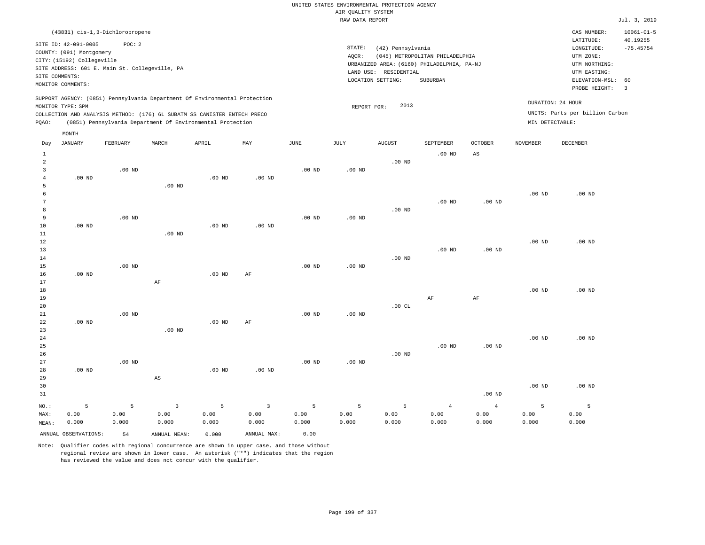|                     | (43831) cis-1,3-Dichloropropene                                                               |                   |                                                            |          |                         |          |                   |                       |                                            |                   |                   | CAS NUMBER:<br>LATITUDE:        | $10061 - 01 - 5$<br>40.19255 |
|---------------------|-----------------------------------------------------------------------------------------------|-------------------|------------------------------------------------------------|----------|-------------------------|----------|-------------------|-----------------------|--------------------------------------------|-------------------|-------------------|---------------------------------|------------------------------|
|                     | SITE ID: 42-091-0005                                                                          | POC: 2            |                                                            |          |                         |          | STATE:            | (42) Pennsylvania     |                                            |                   |                   | LONGITUDE:                      | $-75.45754$                  |
|                     | COUNTY: (091) Montgomery                                                                      |                   |                                                            |          |                         |          | AQCR:             |                       | (045) METROPOLITAN PHILADELPHIA            |                   |                   | UTM ZONE:                       |                              |
|                     | CITY: (15192) Collegeville                                                                    |                   |                                                            |          |                         |          |                   |                       | URBANIZED AREA: (6160) PHILADELPHIA, PA-NJ |                   |                   | UTM NORTHING:                   |                              |
|                     | SITE ADDRESS: 601 E. Main St. Collegeville, PA                                                |                   |                                                            |          |                         |          |                   | LAND USE: RESIDENTIAL |                                            |                   |                   | UTM EASTING:                    |                              |
| SITE COMMENTS:      |                                                                                               |                   |                                                            |          |                         |          |                   | LOCATION SETTING:     | <b>SUBURBAN</b>                            |                   |                   | ELEVATION-MSL:                  | 60                           |
|                     | MONITOR COMMENTS:                                                                             |                   |                                                            |          |                         |          |                   |                       |                                            |                   |                   | PROBE HEIGHT:                   | $\overline{3}$               |
|                     | SUPPORT AGENCY: (0851) Pennsylvania Department Of Environmental Protection                    |                   |                                                            |          |                         |          |                   | 2013                  |                                            |                   | DURATION: 24 HOUR |                                 |                              |
|                     | MONITOR TYPE: SPM<br>COLLECTION AND ANALYSIS METHOD: (176) 6L SUBATM SS CANISTER ENTECH PRECO |                   |                                                            |          |                         |          | REPORT FOR:       |                       |                                            |                   |                   | UNITS: Parts per billion Carbon |                              |
| PQAO:               |                                                                                               |                   | (0851) Pennsylvania Department Of Environmental Protection |          |                         |          |                   |                       |                                            |                   | MIN DETECTABLE:   |                                 |                              |
|                     |                                                                                               |                   |                                                            |          |                         |          |                   |                       |                                            |                   |                   |                                 |                              |
|                     | MONTH                                                                                         |                   |                                                            |          |                         |          |                   |                       |                                            |                   |                   |                                 |                              |
| Day                 | JANUARY                                                                                       | FEBRUARY          | MARCH                                                      | APRIL    | MAY                     | JUNE     | JULY              | <b>AUGUST</b>         | SEPTEMBER                                  | OCTOBER           | NOVEMBER          | DECEMBER                        |                              |
| $\mathbf{1}$        |                                                                                               |                   |                                                            |          |                         |          |                   |                       | .00 <sub>ND</sub>                          | AS                |                   |                                 |                              |
| $\sqrt{2}$          |                                                                                               |                   |                                                            |          |                         |          |                   | $.00$ ND              |                                            |                   |                   |                                 |                              |
| $\mathbf{3}$        |                                                                                               | $.00$ ND          |                                                            |          |                         | $.00$ ND | $.00$ ND          |                       |                                            |                   |                   |                                 |                              |
| $\overline{4}$<br>5 | $.00$ ND                                                                                      |                   | $.00$ ND                                                   | $.00$ ND | $.00$ ND                |          |                   |                       |                                            |                   |                   |                                 |                              |
| $\epsilon$          |                                                                                               |                   |                                                            |          |                         |          |                   |                       |                                            |                   | .00 <sub>ND</sub> | $.00$ ND                        |                              |
| $\boldsymbol{7}$    |                                                                                               |                   |                                                            |          |                         |          |                   |                       | $.00$ ND                                   | $.00$ ND          |                   |                                 |                              |
| 8                   |                                                                                               |                   |                                                            |          |                         |          |                   | $.00$ ND              |                                            |                   |                   |                                 |                              |
| 9                   |                                                                                               | .00 <sub>ND</sub> |                                                            |          |                         | $.00$ ND | $.00$ ND          |                       |                                            |                   |                   |                                 |                              |
| 10                  | $.00$ ND                                                                                      |                   |                                                            | $.00$ ND | $.00$ ND                |          |                   |                       |                                            |                   |                   |                                 |                              |
| 11                  |                                                                                               |                   | $.00$ ND                                                   |          |                         |          |                   |                       |                                            |                   |                   |                                 |                              |
| 12                  |                                                                                               |                   |                                                            |          |                         |          |                   |                       |                                            |                   | $.00$ ND          | $.00$ ND                        |                              |
| 13                  |                                                                                               |                   |                                                            |          |                         |          |                   |                       | $.00$ ND                                   | .00 <sub>ND</sub> |                   |                                 |                              |
| 14                  |                                                                                               |                   |                                                            |          |                         |          |                   | $.00$ ND              |                                            |                   |                   |                                 |                              |
| 15                  |                                                                                               | $.00$ ND          |                                                            |          |                         | $.00$ ND | $.00$ ND          |                       |                                            |                   |                   |                                 |                              |
| 16<br>17            | $.00$ ND                                                                                      |                   |                                                            | $.00$ ND | AF                      |          |                   |                       |                                            |                   |                   |                                 |                              |
| 18                  |                                                                                               |                   | AF                                                         |          |                         |          |                   |                       |                                            |                   | $.00$ ND          | $.00$ ND                        |                              |
| 19                  |                                                                                               |                   |                                                            |          |                         |          |                   |                       | AF                                         | $\rm{AF}$         |                   |                                 |                              |
| 20                  |                                                                                               |                   |                                                            |          |                         |          |                   | .00CL                 |                                            |                   |                   |                                 |                              |
| 21                  |                                                                                               | $.00$ ND          |                                                            |          |                         | $.00$ ND | $.00$ ND          |                       |                                            |                   |                   |                                 |                              |
| 22                  | $.00$ ND                                                                                      |                   |                                                            | $.00$ ND | AF                      |          |                   |                       |                                            |                   |                   |                                 |                              |
| 23                  |                                                                                               |                   | .00 <sub>ND</sub>                                          |          |                         |          |                   |                       |                                            |                   |                   |                                 |                              |
| 24                  |                                                                                               |                   |                                                            |          |                         |          |                   |                       |                                            |                   | $.00$ ND          | $.00$ ND                        |                              |
| 25                  |                                                                                               |                   |                                                            |          |                         |          |                   |                       | $.00$ ND                                   | .00 <sub>ND</sub> |                   |                                 |                              |
| 26                  |                                                                                               |                   |                                                            |          |                         |          |                   | $.00$ ND              |                                            |                   |                   |                                 |                              |
| 27                  |                                                                                               | $.00$ ND          |                                                            |          |                         | $.00$ ND | .00 <sub>ND</sub> |                       |                                            |                   |                   |                                 |                              |
| 28                  | $.00$ ND                                                                                      |                   |                                                            | $.00$ ND | $.00$ ND                |          |                   |                       |                                            |                   |                   |                                 |                              |
| 29                  |                                                                                               |                   | $_{\rm AS}$                                                |          |                         |          |                   |                       |                                            |                   |                   |                                 |                              |
| 30<br>31            |                                                                                               |                   |                                                            |          |                         |          |                   |                       |                                            |                   | $.00$ ND          | $.00$ ND                        |                              |
|                     |                                                                                               |                   |                                                            |          |                         |          |                   |                       |                                            | $.00$ ND          |                   |                                 |                              |
| NO.:                | 5                                                                                             | 5                 | $\overline{3}$                                             | 5        | $\overline{\mathbf{3}}$ | 5        | 5                 | 5                     | $\overline{4}$                             | $\overline{4}$    | 5                 | 5                               |                              |
| MAX:                | 0.00                                                                                          | 0.00              | 0.00                                                       | 0.00     | 0.00                    | 0.00     | 0.00              | 0.00                  | 0.00                                       | 0.00              | 0.00              | 0.00                            |                              |
| MEAN:               | 0.000                                                                                         | 0.000             | 0.000                                                      | 0.000    | 0.000                   | 0.000    | 0.000             | 0.000                 | 0.000                                      | 0.000             | 0.000             | 0.000                           |                              |
|                     | ANNUAL OBSERVATIONS:                                                                          | 54                | ANNUAL MEAN:                                               | 0.000    | ANNUAL MAX:             | 0.00     |                   |                       |                                            |                   |                   |                                 |                              |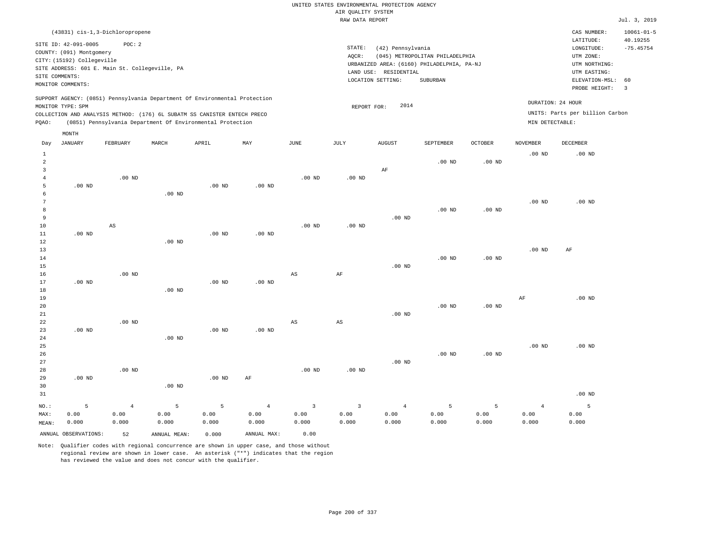|                | (43831) cis-1,3-Dichloropropene                |          |       |                                                                          |                                                                            |      |        |                                            |                                 |                |                   | CAS NUMBER:                     | $10061 - 01 - 5$ |
|----------------|------------------------------------------------|----------|-------|--------------------------------------------------------------------------|----------------------------------------------------------------------------|------|--------|--------------------------------------------|---------------------------------|----------------|-------------------|---------------------------------|------------------|
|                | SITE ID: 42-091-0005                           | POC: 2   |       |                                                                          |                                                                            |      |        |                                            |                                 |                |                   | LATITUDE:                       | 40.19255         |
|                | COUNTY: (091) Montgomery                       |          |       |                                                                          |                                                                            |      | STATE: | (42) Pennsylvania                          |                                 |                |                   | LONGITUDE:                      | $-75.45754$      |
|                | CITY: (15192) Collegeville                     |          |       |                                                                          |                                                                            |      | AQCR:  |                                            | (045) METROPOLITAN PHILADELPHIA |                |                   | UTM ZONE:                       |                  |
|                | SITE ADDRESS: 601 E. Main St. Collegeville, PA |          |       |                                                                          |                                                                            |      |        | URBANIZED AREA: (6160) PHILADELPHIA, PA-NJ |                                 |                |                   | UTM NORTHING:                   |                  |
| SITE COMMENTS: |                                                |          |       |                                                                          |                                                                            |      |        | LAND USE: RESIDENTIAL                      |                                 |                |                   | UTM EASTING:                    |                  |
|                | MONITOR COMMENTS:                              |          |       |                                                                          |                                                                            |      |        | LOCATION SETTING:                          | SUBURBAN                        |                |                   | ELEVATION-MSL:                  | 60               |
|                |                                                |          |       |                                                                          |                                                                            |      |        |                                            |                                 |                |                   | PROBE HEIGHT:                   | 3                |
|                |                                                |          |       |                                                                          | SUPPORT AGENCY: (0851) Pennsylvania Department Of Environmental Protection |      |        |                                            |                                 |                |                   | DURATION: 24 HOUR               |                  |
|                | MONITOR TYPE: SPM                              |          |       |                                                                          |                                                                            |      |        | 2014<br>REPORT FOR:                        |                                 |                |                   | UNITS: Parts per billion Carbon |                  |
|                |                                                |          |       | COLLECTION AND ANALYSIS METHOD: (176) 6L SUBATM SS CANISTER ENTECH PRECO |                                                                            |      |        |                                            |                                 |                |                   |                                 |                  |
| POAO:          |                                                |          |       | (0851) Pennsylvania Department Of Environmental Protection               |                                                                            |      |        |                                            |                                 |                | MIN DETECTABLE:   |                                 |                  |
|                | MONTH                                          |          |       |                                                                          |                                                                            |      |        |                                            |                                 |                |                   |                                 |                  |
| Day            | JANUARY                                        | FEBRUARY | MARCH | APRIL                                                                    | MAY                                                                        | JUNE | JULY   | AUGUST                                     | SEPTEMBER                       | <b>OCTOBER</b> | NOVEMBER          | DECEMBER                        |                  |
|                |                                                |          |       |                                                                          |                                                                            |      |        |                                            |                                 |                | .00 <sub>ND</sub> | $.00$ ND                        |                  |

| 2              |          |                        |          |          |                |                        |                         |                | .00 <sub>ND</sub> | $.00$ ND          |                |          |
|----------------|----------|------------------------|----------|----------|----------------|------------------------|-------------------------|----------------|-------------------|-------------------|----------------|----------|
| 3              |          |                        |          |          |                |                        |                         | AF             |                   |                   |                |          |
| $\overline{4}$ |          | $.00$ ND               |          |          |                | $.00$ ND               | $.00$ ND                |                |                   |                   |                |          |
| 5              | $.00$ ND |                        |          | $.00$ ND | $.00$ ND       |                        |                         |                |                   |                   |                |          |
|                |          |                        | $.00$ ND |          |                |                        |                         |                |                   |                   |                |          |
| 6<br>7         |          |                        |          |          |                |                        |                         |                |                   |                   | $.00$ ND       | $.00$ ND |
| 8              |          |                        |          |          |                |                        |                         |                | $.00$ ND          | $.00$ ND          |                |          |
| 9              |          |                        |          |          |                |                        |                         | $.00$ ND       |                   |                   |                |          |
| 10             |          | $\mathbb{A}\mathbb{S}$ |          |          |                | $.00$ ND               | $.00$ ND                |                |                   |                   |                |          |
| 11             | .00 $ND$ |                        |          | .00 $ND$ | $.00$ ND       |                        |                         |                |                   |                   |                |          |
| 12             |          |                        | $.00$ ND |          |                |                        |                         |                |                   |                   |                |          |
| 13             |          |                        |          |          |                |                        |                         |                |                   |                   | $.00$ ND       | AF       |
| 14             |          |                        |          |          |                |                        |                         |                | $.00$ ND          | $.00$ ND          |                |          |
| 15             |          |                        |          |          |                |                        |                         | $.00$ ND       |                   |                   |                |          |
| 16             |          | $.00$ ND               |          |          |                | $\mathbb{A}\mathbb{S}$ | $\rm{AF}$               |                |                   |                   |                |          |
| 17             | $.00$ ND |                        |          | .00 $ND$ | $.00$ ND       |                        |                         |                |                   |                   |                |          |
| 18             |          |                        | $.00$ ND |          |                |                        |                         |                |                   |                   |                |          |
| 19             |          |                        |          |          |                |                        |                         |                |                   |                   | $\rm{AF}$      | $.00$ ND |
| 20             |          |                        |          |          |                |                        |                         |                | $.00$ ND          | .00 $ND$          |                |          |
| 21             |          |                        |          |          |                |                        |                         | $.00$ ND       |                   |                   |                |          |
| 22             |          | $.00$ ND               |          |          |                | AS                     | AS                      |                |                   |                   |                |          |
| 23             | $.00$ ND |                        |          | .00 $ND$ | $.00$ ND       |                        |                         |                |                   |                   |                |          |
| 24             |          |                        | $.00$ ND |          |                |                        |                         |                |                   |                   |                |          |
| $25\,$         |          |                        |          |          |                |                        |                         |                |                   |                   | .00 $ND$       | $.00$ ND |
| $26\,$         |          |                        |          |          |                |                        |                         |                | $.00$ ND          | .00 <sub>ND</sub> |                |          |
| 27             |          |                        |          |          |                |                        |                         | $.00$ ND       |                   |                   |                |          |
| 28             |          | $.00$ ND               |          |          |                | $.00$ ND               | $.00$ ND                |                |                   |                   |                |          |
| 29             | .00 $ND$ |                        |          | $.00$ ND | AF             |                        |                         |                |                   |                   |                |          |
| 30             |          |                        | $.00$ ND |          |                |                        |                         |                |                   |                   |                |          |
| 31             |          |                        |          |          |                |                        |                         |                |                   |                   |                | $.00$ ND |
| $NO.$ :        | 5        | $\overline{4}$         | 5        | 5        | $\overline{4}$ | $\mathbf{3}$           | $\overline{\mathbf{3}}$ | $\overline{4}$ | $\overline{5}$    | 5                 | $\overline{4}$ | 5        |
| MAX:           | 0.00     | 0.00                   | 0.00     | 0.00     | 0.00           | 0.00                   | 0.00                    | 0.00           | 0.00              | 0.00              | 0.00           | 0.00     |
| MEAN:          | 0.000    | 0.000                  | 0.000    | 0.000    | 0.000          | 0.000                  | 0.000                   | 0.000          | 0.000             | 0.000             | 0.000          | 0.000    |

ANNUAL OBSERVATIONS: 52 ANNUAL MEAN: 0.000 ANNUAL MAX: 0.00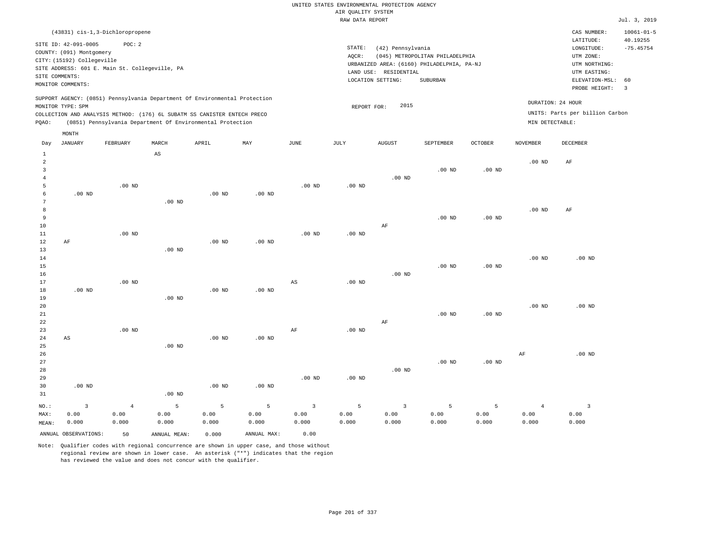|                                |                                                        |                                                |          |                                                                            |                   |                   |                    | UNITED STATES ENVIRONMENTAL PROTECTION AGENCY |                                            |                   |                   |                                 |                              |
|--------------------------------|--------------------------------------------------------|------------------------------------------------|----------|----------------------------------------------------------------------------|-------------------|-------------------|--------------------|-----------------------------------------------|--------------------------------------------|-------------------|-------------------|---------------------------------|------------------------------|
|                                |                                                        |                                                |          |                                                                            |                   |                   | AIR QUALITY SYSTEM |                                               |                                            |                   |                   |                                 |                              |
|                                |                                                        |                                                |          |                                                                            |                   |                   | RAW DATA REPORT    |                                               |                                            |                   |                   |                                 | Jul. 3, 2019                 |
|                                |                                                        | (43831) cis-1,3-Dichloropropene                |          |                                                                            |                   |                   |                    |                                               |                                            |                   |                   | CAS NUMBER:<br>LATITUDE:        | $10061 - 01 - 5$<br>40.19255 |
|                                | SITE ID: 42-091-0005                                   | POC: 2                                         |          |                                                                            |                   |                   | STATE:             | (42) Pennsylvania                             |                                            |                   |                   | LONGITUDE:                      | $-75.45754$                  |
|                                | COUNTY: (091) Montgomery<br>CITY: (15192) Collegeville |                                                |          |                                                                            |                   |                   | AOCR:              |                                               | (045) METROPOLITAN PHILADELPHIA            |                   |                   | UTM ZONE:                       |                              |
|                                |                                                        | SITE ADDRESS: 601 E. Main St. Collegeville, PA |          |                                                                            |                   |                   |                    |                                               | URBANIZED AREA: (6160) PHILADELPHIA, PA-NJ |                   |                   | UTM NORTHING:                   |                              |
| SITE COMMENTS:                 |                                                        |                                                |          |                                                                            |                   |                   |                    | LAND USE: RESIDENTIAL                         |                                            |                   |                   | UTM EASTING:                    |                              |
|                                | MONITOR COMMENTS:                                      |                                                |          |                                                                            |                   |                   |                    | LOCATION SETTING:                             | <b>SUBURBAN</b>                            |                   |                   | ELEVATION-MSL:<br>PROBE HEIGHT: | 60<br>$\overline{3}$         |
|                                |                                                        |                                                |          | SUPPORT AGENCY: (0851) Pennsylvania Department Of Environmental Protection |                   |                   |                    | 2015                                          |                                            |                   |                   | DURATION: 24 HOUR               |                              |
|                                | MONITOR TYPE: SPM                                      |                                                |          | COLLECTION AND ANALYSIS METHOD: (176) 6L SUBATM SS CANISTER ENTECH PRECO   |                   |                   | REPORT FOR:        |                                               |                                            |                   |                   | UNITS: Parts per billion Carbon |                              |
| PQAO:                          |                                                        |                                                |          | (0851) Pennsylvania Department Of Environmental Protection                 |                   |                   |                    |                                               |                                            |                   | MIN DETECTABLE:   |                                 |                              |
|                                | MONTH<br><b>JANUARY</b>                                | FEBRUARY                                       | MARCH    | APRIL                                                                      | MAY               | $_{\rm JUNE}$     | JULY               | <b>AUGUST</b>                                 | <b>SEPTEMBER</b>                           | <b>OCTOBER</b>    | <b>NOVEMBER</b>   | DECEMBER                        |                              |
| Day                            |                                                        |                                                |          |                                                                            |                   |                   |                    |                                               |                                            |                   |                   |                                 |                              |
| $\mathbf{1}$<br>$\overline{a}$ |                                                        |                                                | AS       |                                                                            |                   |                   |                    |                                               |                                            |                   | .00 <sub>ND</sub> |                                 |                              |
| $\overline{3}$                 |                                                        |                                                |          |                                                                            |                   |                   |                    |                                               | $.00$ ND                                   | $.00$ ND          |                   | AF                              |                              |
| $\overline{4}$                 |                                                        |                                                |          |                                                                            |                   |                   |                    | $.00$ ND                                      |                                            |                   |                   |                                 |                              |
| 5                              |                                                        | $.00$ ND                                       |          |                                                                            |                   | .00 <sub>ND</sub> | .00 <sub>ND</sub>  |                                               |                                            |                   |                   |                                 |                              |
| 6                              | $.00$ ND                                               |                                                |          | $.00$ ND                                                                   | $.00$ ND          |                   |                    |                                               |                                            |                   |                   |                                 |                              |
| $\overline{7}$                 |                                                        |                                                | $.00$ ND |                                                                            |                   |                   |                    |                                               |                                            |                   |                   |                                 |                              |
| 8                              |                                                        |                                                |          |                                                                            |                   |                   |                    |                                               |                                            |                   | .00 <sub>ND</sub> | AF                              |                              |
| $\,9$                          |                                                        |                                                |          |                                                                            |                   |                   |                    |                                               | $.00$ ND                                   | .00 <sub>ND</sub> |                   |                                 |                              |
| 10<br>11                       |                                                        | $.00$ ND                                       |          |                                                                            |                   | $.00$ ND          | $.00$ ND           | AF                                            |                                            |                   |                   |                                 |                              |
| 12                             | AF                                                     |                                                |          | $.00$ ND                                                                   | $.00$ ND          |                   |                    |                                               |                                            |                   |                   |                                 |                              |
| 13                             |                                                        |                                                | $.00$ ND |                                                                            |                   |                   |                    |                                               |                                            |                   |                   |                                 |                              |
| 14                             |                                                        |                                                |          |                                                                            |                   |                   |                    |                                               |                                            |                   | .00 <sub>ND</sub> | $.00$ ND                        |                              |
| 15                             |                                                        |                                                |          |                                                                            |                   |                   |                    |                                               | .00 <sub>ND</sub>                          | .00 <sub>ND</sub> |                   |                                 |                              |
| 16                             |                                                        |                                                |          |                                                                            |                   |                   |                    | $.00$ ND                                      |                                            |                   |                   |                                 |                              |
| 17                             |                                                        | .00 <sub>ND</sub>                              |          | $.00$ ND                                                                   |                   | $_{\rm AS}$       | $.00$ ND           |                                               |                                            |                   |                   |                                 |                              |
| 18<br>19                       | $.00$ ND                                               |                                                | $.00$ ND |                                                                            | $.00$ ND          |                   |                    |                                               |                                            |                   |                   |                                 |                              |
| 20                             |                                                        |                                                |          |                                                                            |                   |                   |                    |                                               |                                            |                   | $.00$ ND          | $.00$ ND                        |                              |
| 21                             |                                                        |                                                |          |                                                                            |                   |                   |                    |                                               | $.00$ ND                                   | $.00$ ND          |                   |                                 |                              |
| 22                             |                                                        |                                                |          |                                                                            |                   |                   |                    | AF                                            |                                            |                   |                   |                                 |                              |
| 23                             |                                                        | $.00$ ND                                       |          |                                                                            |                   | AF                | $.00$ ND           |                                               |                                            |                   |                   |                                 |                              |
| 24                             | AS                                                     |                                                |          | .00 <sub>ND</sub>                                                          | .00 <sub>ND</sub> |                   |                    |                                               |                                            |                   |                   |                                 |                              |
| 25                             |                                                        |                                                | $.00$ ND |                                                                            |                   |                   |                    |                                               |                                            |                   |                   |                                 |                              |
| 26                             |                                                        |                                                |          |                                                                            |                   |                   |                    |                                               | .00 <sub>ND</sub>                          | .00 <sub>ND</sub> | AF                | $.00$ ND                        |                              |
| 27<br>28                       |                                                        |                                                |          |                                                                            |                   |                   |                    | $.00$ ND                                      |                                            |                   |                   |                                 |                              |
| 29                             |                                                        |                                                |          |                                                                            |                   | .00 <sub>ND</sub> | $.00$ ND           |                                               |                                            |                   |                   |                                 |                              |
| 30                             | .00 <sub>ND</sub>                                      |                                                |          | $.00$ ND                                                                   | $.00$ ND          |                   |                    |                                               |                                            |                   |                   |                                 |                              |
| 31                             |                                                        |                                                | $.00$ ND |                                                                            |                   |                   |                    |                                               |                                            |                   |                   |                                 |                              |
| NO.:                           | 3                                                      | $\overline{4}$                                 | 5        | 5                                                                          | 5                 | $\overline{3}$    | 5                  | $\overline{3}$                                | 5                                          | 5                 | $\overline{4}$    | 3                               |                              |
| MAX:                           | 0.00                                                   | 0.00                                           | 0.00     | 0.00                                                                       | 0.00              | 0.00              | 0.00               | 0.00                                          | 0.00                                       | 0.00              | 0.00              | 0.00                            |                              |
| MEAN:                          | 0.000                                                  | 0.000                                          | 0.000    | 0.000                                                                      | 0.000             | 0.000             | 0.000              | 0.000                                         | 0.000                                      | 0.000             | 0.000             | 0.000                           |                              |

ANNUAL OBSERVATIONS: 50 ANNUAL MEAN: 0.000 ANNUAL MAX: 0.00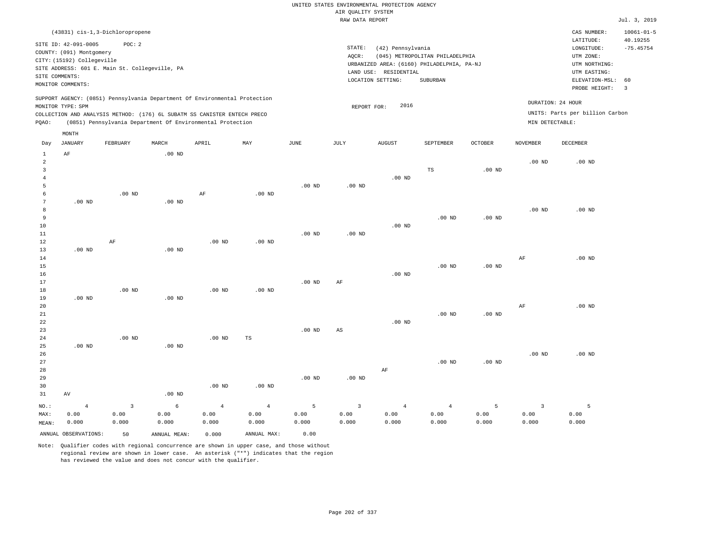|                |                                                                                                                       | (43831) cis-1,3-Dichloropropene                                                                                                        |          |       |                                                                            |      |                 |                                                                                                                  |                                             |                 |                 | CAS NUMBER:                                                                             | $10061 - 01 - 5$              |
|----------------|-----------------------------------------------------------------------------------------------------------------------|----------------------------------------------------------------------------------------------------------------------------------------|----------|-------|----------------------------------------------------------------------------|------|-----------------|------------------------------------------------------------------------------------------------------------------|---------------------------------------------|-----------------|-----------------|-----------------------------------------------------------------------------------------|-------------------------------|
|                | SITE ID: 42-091-0005<br>COUNTY: (091) Montgomery<br>CITY: (15192) Collegeville<br>SITE COMMENTS:<br>MONITOR COMMENTS: | POC:2<br>SITE ADDRESS: 601 E. Main St. Collegeville, PA                                                                                |          |       |                                                                            |      | STATE:<br>AOCR: | (42) Pennsylvania<br>URBANIZED AREA: (6160) PHILADELPHIA, PA-NJ<br>RESIDENTIAL<br>LAND USE:<br>LOCATION SETTING: | (045) METROPOLITAN PHILADELPHIA<br>SUBURBAN |                 |                 | LATITUDE:<br>LONGITUDE:<br>UTM ZONE:<br>UTM NORTHING:<br>UTM EASTING:<br>ELEVATION-MSL: | 40.19255<br>$-75.45754$<br>60 |
| POAO:          | MONITOR TYPE: SPM                                                                                                     | COLLECTION AND ANALYSIS METHOD: (176) 6L SUBATM SS CANISTER ENTECH PRECO<br>(0851) Pennsylvania Department Of Environmental Protection |          |       | SUPPORT AGENCY: (0851) Pennsylvania Department Of Environmental Protection |      |                 | 2016<br>REPORT FOR:                                                                                              |                                             |                 | MIN DETECTABLE: | PROBE HEIGHT:<br>DURATION: 24 HOUR<br>UNITS: Parts per billion Carbon                   | 3                             |
| Day            | MONTH<br>JANUARY                                                                                                      | FEBRUARY                                                                                                                               | MARCH    | APRIL | MAY                                                                        | JUNE | JULY            | <b>AUGUST</b>                                                                                                    | SEPTEMBER                                   | OCTOBER         | <b>NOVEMBER</b> | DECEMBER                                                                                |                               |
| $\overline{2}$ | AF                                                                                                                    |                                                                                                                                        | $.00$ ND |       |                                                                            |      |                 |                                                                                                                  | ma                                          | 00 <sub>5</sub> | $.00$ ND        | $.00$ ND                                                                                |                               |

| 3              |                 |                |            |                |                |          |                         |                | TS             | .00 <sub>ND</sub> |                |          |
|----------------|-----------------|----------------|------------|----------------|----------------|----------|-------------------------|----------------|----------------|-------------------|----------------|----------|
| $\overline{4}$ |                 |                |            |                |                |          |                         | $.00$ ND       |                |                   |                |          |
| $\overline{5}$ |                 |                |            |                |                | $.00$ ND | $.00$ ND                |                |                |                   |                |          |
| 6              |                 | $.00$ ND       |            | AF             | $.00$ ND       |          |                         |                |                |                   |                |          |
| $\overline{7}$ | .00 $ND$        |                | $.00$ ND   |                |                |          |                         |                |                |                   |                |          |
| 8              |                 |                |            |                |                |          |                         |                |                |                   | $.00$ ND       | $.00$ ND |
| $\overline{9}$ |                 |                |            |                |                |          |                         |                | $.00$ ND       | $.00$ ND          |                |          |
| $10$           |                 |                |            |                |                |          |                         | $.00$ ND       |                |                   |                |          |
| $1\,1$         |                 |                |            |                |                | $.00$ ND | $.00$ ND                |                |                |                   |                |          |
| $1\,2$         |                 | $\rm AF$       |            | $.00$ ND       | $.00$ ND       |          |                         |                |                |                   |                |          |
| $13$           | .00 $ND$        |                | $.00$ ND   |                |                |          |                         |                |                |                   |                |          |
| 14             |                 |                |            |                |                |          |                         |                |                |                   | $\rm{AF}$      | $.00$ ND |
| $15\,$         |                 |                |            |                |                |          |                         |                | $.00$ ND       | $.00$ ND          |                |          |
| $16\,$         |                 |                |            |                |                |          |                         | $.00$ ND       |                |                   |                |          |
| $1\,7$         |                 |                |            |                |                | $.00$ ND | $\rm{AF}$               |                |                |                   |                |          |
| $1\,8$         |                 | $.00$ ND       |            | $.00$ ND       | $.00$ ND       |          |                         |                |                |                   |                |          |
| 19             | .00 $ND$        |                | .00 $ND$   |                |                |          |                         |                |                |                   |                |          |
| $20\,$         |                 |                |            |                |                |          |                         |                |                |                   | $\rm{AF}$      | $.00$ ND |
| $2\sqrt{1}$    |                 |                |            |                |                |          |                         |                | $.00$ ND       | $.00$ ND          |                |          |
| 22             |                 |                |            |                |                |          |                         | $.00$ ND       |                |                   |                |          |
| 23             |                 |                |            |                |                | $.00$ ND | $\mathbb{A}\mathbb{S}$  |                |                |                   |                |          |
| $2\,4$         |                 | .00 $ND$       |            | $.00$ ND       | $_{\rm TS}$    |          |                         |                |                |                   |                |          |
| 25             | $.00$ ND        |                | $.00$ ND   |                |                |          |                         |                |                |                   |                |          |
| 26             |                 |                |            |                |                |          |                         |                |                |                   | $.00$ ND       | $.00$ ND |
| $2\,7$         |                 |                |            |                |                |          |                         |                | $.00$ ND       | $.00$ ND          |                |          |
| $2\,8$         |                 |                |            |                |                |          |                         | AF             |                |                   |                |          |
| 29             |                 |                |            |                |                | $.00$ ND | $.00$ ND                |                |                |                   |                |          |
| $30$           |                 |                |            | $.00$ ND       | $.00$ ND       |          |                         |                |                |                   |                |          |
| 31             | $\,\mathrm{AV}$ |                | .00 $ND$   |                |                |          |                         |                |                |                   |                |          |
| NO.:           | $\overline{4}$  | $\overline{3}$ | $\epsilon$ | $\overline{4}$ | $\overline{4}$ | 5        | $\overline{\mathbf{3}}$ | $\overline{4}$ | $\overline{4}$ | 5                 | $\overline{3}$ | 5        |
| MAX:           | 0.00            | 0.00           | 0.00       | 0.00           | 0.00           | 0.00     | 0.00                    | 0.00           | 0.00           | 0.00              | 0.00           | 0.00     |
| MEAN:          | 0.000           | 0.000          | 0.000      | 0.000          | 0.000          | 0.000    | 0.000                   | 0.000          | 0.000          | 0.000             | 0.000          | 0.000    |
|                |                 |                |            |                |                |          |                         |                |                |                   |                |          |

ANNUAL OBSERVATIONS: 50 ANNUAL MEAN: 0.000 ANNUAL MAX: 0.00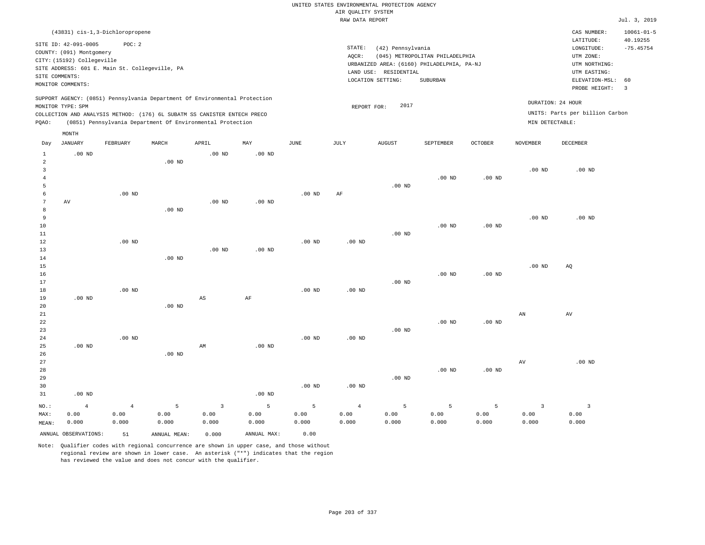|                     |                                                  |                                                |                |                                                                            |                   |                   | AIR OUALITY SYSTEM | UNITED STATES ENVIRONMENTAL PROTECTION AGENCY |                                            |                   |                   |                                 |                              |
|---------------------|--------------------------------------------------|------------------------------------------------|----------------|----------------------------------------------------------------------------|-------------------|-------------------|--------------------|-----------------------------------------------|--------------------------------------------|-------------------|-------------------|---------------------------------|------------------------------|
|                     |                                                  |                                                |                |                                                                            |                   |                   | RAW DATA REPORT    |                                               |                                            |                   |                   |                                 | Jul. 3, 2019                 |
|                     |                                                  | (43831) cis-1,3-Dichloropropene                |                |                                                                            |                   |                   |                    |                                               |                                            |                   |                   | CAS NUMBER:<br>LATITUDE:        | $10061 - 01 - 5$<br>40.19255 |
|                     | SITE ID: 42-091-0005<br>COUNTY: (091) Montgomery | POC: 2                                         |                |                                                                            |                   |                   | STATE:             | (42) Pennsylvania                             |                                            |                   |                   | LONGITUDE:                      | $-75.45754$                  |
|                     | CITY: (15192) Collegeville                       |                                                |                |                                                                            |                   |                   | AQCR:              |                                               | (045) METROPOLITAN PHILADELPHIA            |                   |                   | UTM ZONE:                       |                              |
|                     |                                                  | SITE ADDRESS: 601 E. Main St. Collegeville, PA |                |                                                                            |                   |                   |                    | LAND USE: RESIDENTIAL                         | URBANIZED AREA: (6160) PHILADELPHIA, PA-NJ |                   |                   | UTM NORTHING:<br>UTM EASTING:   |                              |
| SITE COMMENTS:      |                                                  |                                                |                |                                                                            |                   |                   |                    | LOCATION SETTING:                             | SUBURBAN                                   |                   |                   | ELEVATION-MSL:                  | 60                           |
|                     | MONITOR COMMENTS:                                |                                                |                |                                                                            |                   |                   |                    |                                               |                                            |                   |                   | PROBE HEIGHT:                   | $\overline{3}$               |
|                     | MONITOR TYPE: SPM                                |                                                |                | SUPPORT AGENCY: (0851) Pennsylvania Department Of Environmental Protection |                   |                   | REPORT FOR:        | 2017                                          |                                            |                   | DURATION: 24 HOUR |                                 |                              |
|                     |                                                  |                                                |                | COLLECTION AND ANALYSIS METHOD: (176) 6L SUBATM SS CANISTER ENTECH PRECO   |                   |                   |                    |                                               |                                            |                   |                   | UNITS: Parts per billion Carbon |                              |
| PQAO:               |                                                  |                                                |                | (0851) Pennsylvania Department Of Environmental Protection                 |                   |                   |                    |                                               |                                            |                   | MIN DETECTABLE:   |                                 |                              |
|                     | MONTH                                            |                                                |                |                                                                            |                   |                   |                    |                                               |                                            |                   |                   |                                 |                              |
| Day                 | <b>JANUARY</b>                                   | FEBRUARY                                       | MARCH          | APRIL                                                                      | MAY               | <b>JUNE</b>       | JULY               | <b>AUGUST</b>                                 | SEPTEMBER                                  | <b>OCTOBER</b>    | <b>NOVEMBER</b>   | <b>DECEMBER</b>                 |                              |
| $\mathbf{1}$        | $.00$ ND                                         |                                                |                | $.00$ ND                                                                   | .00 <sub>ND</sub> |                   |                    |                                               |                                            |                   |                   |                                 |                              |
| $\overline{a}$<br>3 |                                                  |                                                | $.00$ ND       |                                                                            |                   |                   |                    |                                               |                                            |                   | $.00$ ND          | $.00$ ND                        |                              |
| $\overline{4}$      |                                                  |                                                |                |                                                                            |                   |                   |                    |                                               | $.00$ ND                                   | .00 <sub>ND</sub> |                   |                                 |                              |
| 5                   |                                                  |                                                |                |                                                                            |                   |                   |                    | $.00$ ND                                      |                                            |                   |                   |                                 |                              |
| 6                   |                                                  | $.00$ ND                                       |                |                                                                            |                   | .00 <sub>ND</sub> | AF                 |                                               |                                            |                   |                   |                                 |                              |
| 7                   | AV                                               |                                                |                | $.00$ ND                                                                   | $.00$ ND          |                   |                    |                                               |                                            |                   |                   |                                 |                              |
| 8                   |                                                  |                                                | $.00$ ND       |                                                                            |                   |                   |                    |                                               |                                            |                   |                   |                                 |                              |
| 9<br>10             |                                                  |                                                |                |                                                                            |                   |                   |                    |                                               | .00 <sub>ND</sub>                          |                   | .00 <sub>ND</sub> | $.00$ ND                        |                              |
| 11                  |                                                  |                                                |                |                                                                            |                   |                   |                    | $.00$ ND                                      |                                            | .00 <sub>ND</sub> |                   |                                 |                              |
| 12                  |                                                  | .00 <sub>ND</sub>                              |                |                                                                            |                   | .00 <sub>ND</sub> | .00 <sub>ND</sub>  |                                               |                                            |                   |                   |                                 |                              |
| 13                  |                                                  |                                                |                | .00 <sub>ND</sub>                                                          | .00 <sub>ND</sub> |                   |                    |                                               |                                            |                   |                   |                                 |                              |
| 14                  |                                                  |                                                | $.00$ ND       |                                                                            |                   |                   |                    |                                               |                                            |                   |                   |                                 |                              |
| 15                  |                                                  |                                                |                |                                                                            |                   |                   |                    |                                               |                                            |                   | .00 <sub>ND</sub> | AQ                              |                              |
| 16                  |                                                  |                                                |                |                                                                            |                   |                   |                    |                                               | $.00$ ND                                   | .00 <sub>ND</sub> |                   |                                 |                              |
| 17                  |                                                  |                                                |                |                                                                            |                   | $.00$ ND          |                    | .00 <sub>ND</sub>                             |                                            |                   |                   |                                 |                              |
| 18<br>19            | $.00$ ND                                         | .00 <sub>ND</sub>                              |                | AS                                                                         | AF                |                   | $.00$ ND           |                                               |                                            |                   |                   |                                 |                              |
| 20                  |                                                  |                                                | $.00$ ND       |                                                                            |                   |                   |                    |                                               |                                            |                   |                   |                                 |                              |
| 21                  |                                                  |                                                |                |                                                                            |                   |                   |                    |                                               |                                            |                   | AN                | AV                              |                              |
| $\bf{22}$           |                                                  |                                                |                |                                                                            |                   |                   |                    |                                               | .00 <sub>ND</sub>                          | .00 <sub>ND</sub> |                   |                                 |                              |
| 23                  |                                                  |                                                |                |                                                                            |                   |                   |                    | $.00$ ND                                      |                                            |                   |                   |                                 |                              |
| $2\,4$              |                                                  | $.00$ ND                                       |                |                                                                            |                   | $.00$ ND          | $.00$ ND           |                                               |                                            |                   |                   |                                 |                              |
| 25                  | $.00$ ND                                         |                                                | $.00$ ND       | AM                                                                         | .00 <sub>ND</sub> |                   |                    |                                               |                                            |                   |                   |                                 |                              |
| 26<br>27            |                                                  |                                                |                |                                                                            |                   |                   |                    |                                               |                                            |                   | AV                | $.00$ ND                        |                              |
| 28                  |                                                  |                                                |                |                                                                            |                   |                   |                    |                                               | $.00$ ND                                   | .00 <sub>ND</sub> |                   |                                 |                              |
| 29                  |                                                  |                                                |                |                                                                            |                   |                   |                    | .00 <sub>ND</sub>                             |                                            |                   |                   |                                 |                              |
| 30                  |                                                  |                                                |                |                                                                            |                   | $.00$ ND          | $.00$ ND           |                                               |                                            |                   |                   |                                 |                              |
| 31                  | $.00$ ND                                         |                                                |                |                                                                            | $.00$ ND          |                   |                    |                                               |                                            |                   |                   |                                 |                              |
| NO.:                | $\overline{4}$                                   | $\overline{4}$                                 | $\overline{5}$ | $\overline{\mathbf{3}}$                                                    | $\overline{5}$    | 5                 | $\overline{4}$     | 5                                             | $\overline{5}$                             | 5                 | $\overline{3}$    | $\overline{\mathbf{3}}$         |                              |
| MAX:                | 0.00                                             | 0.00                                           | 0.00           | 0.00                                                                       | 0.00              | 0.00              | 0.00               | 0.00                                          | 0.00                                       | 0.00              | 0.00              | 0.00                            |                              |
| MEAN:               | 0.000                                            | 0.000                                          | 0.000          | 0.000                                                                      | 0.000             | 0.000             | 0.000              | 0.000                                         | 0.000                                      | 0.000             | 0.000             | 0.000                           |                              |
|                     | ANNUAL OBSERVATIONS:                             | 51                                             | ANNUAL, MEAN:  | 0.000                                                                      | ANNUAL MAX:       | 0.00              |                    |                                               |                                            |                   |                   |                                 |                              |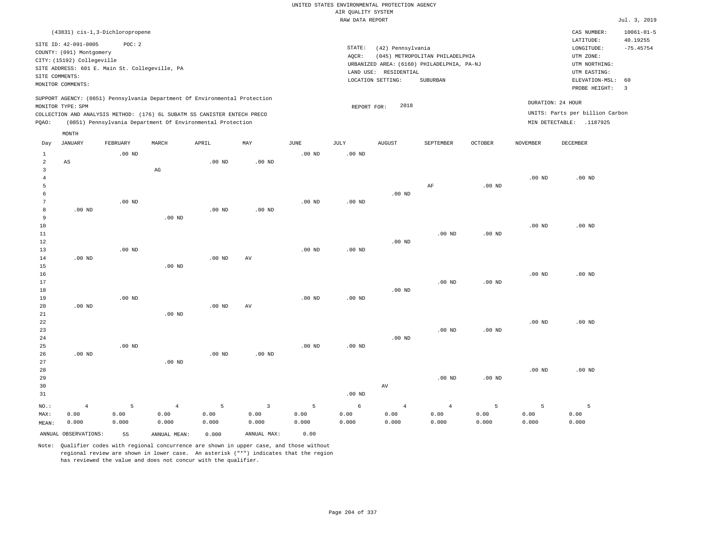|                               |                                                |                   |                                                                            |                   |                |                   | UNITED STATES ENVIRONMENTAL PROTECTION AGENCY |                       |                                            |                   |                   |                                 |                              |
|-------------------------------|------------------------------------------------|-------------------|----------------------------------------------------------------------------|-------------------|----------------|-------------------|-----------------------------------------------|-----------------------|--------------------------------------------|-------------------|-------------------|---------------------------------|------------------------------|
|                               |                                                |                   |                                                                            |                   |                |                   | AIR QUALITY SYSTEM                            |                       |                                            |                   |                   |                                 |                              |
|                               |                                                |                   |                                                                            |                   |                |                   | RAW DATA REPORT                               |                       |                                            |                   |                   |                                 | Jul. 3, 2019                 |
|                               | (43831) cis-1,3-Dichloropropene                |                   |                                                                            |                   |                |                   |                                               |                       |                                            |                   |                   | CAS NUMBER:<br>LATITUDE:        | $10061 - 01 - 5$<br>40.19255 |
|                               | SITE ID: 42-091-0005                           | POC: 2            |                                                                            |                   |                |                   | STATE:                                        | (42) Pennsylvania     |                                            |                   |                   | LONGITUDE:                      | $-75.45754$                  |
|                               | COUNTY: (091) Montgomery                       |                   |                                                                            |                   |                |                   | AQCR:                                         |                       | (045) METROPOLITAN PHILADELPHIA            |                   |                   | UTM ZONE:                       |                              |
|                               | CITY: (15192) Collegeville                     |                   |                                                                            |                   |                |                   |                                               |                       | URBANIZED AREA: (6160) PHILADELPHIA, PA-NJ |                   |                   | UTM NORTHING:                   |                              |
|                               | SITE ADDRESS: 601 E. Main St. Collegeville, PA |                   |                                                                            |                   |                |                   |                                               | LAND USE: RESIDENTIAL |                                            |                   |                   | UTM EASTING:                    |                              |
| SITE COMMENTS:                | MONITOR COMMENTS:                              |                   |                                                                            |                   |                |                   |                                               | LOCATION SETTING:     | SUBURBAN                                   |                   |                   | ELEVATION-MSL:                  | 60                           |
|                               |                                                |                   |                                                                            |                   |                |                   |                                               |                       |                                            |                   |                   | PROBE HEIGHT:                   | $\overline{\mathbf{3}}$      |
|                               | MONITOR TYPE: SPM                              |                   | SUPPORT AGENCY: (0851) Pennsylvania Department Of Environmental Protection |                   |                |                   | REPORT FOR:                                   | 2018                  |                                            |                   |                   | DURATION: 24 HOUR               |                              |
|                               |                                                |                   | COLLECTION AND ANALYSIS METHOD: (176) 6L SUBATM SS CANISTER ENTECH PRECO   |                   |                |                   |                                               |                       |                                            |                   |                   | UNITS: Parts per billion Carbon |                              |
| PQAO:                         |                                                |                   | (0851) Pennsylvania Department Of Environmental Protection                 |                   |                |                   |                                               |                       |                                            |                   |                   | MIN DETECTABLE: .1187925        |                              |
|                               | MONTH                                          |                   |                                                                            |                   |                |                   |                                               |                       |                                            |                   |                   |                                 |                              |
| Day                           | JANUARY                                        | FEBRUARY          | MARCH                                                                      | APRIL             | MAY            | <b>JUNE</b>       | JULY                                          | <b>AUGUST</b>         | SEPTEMBER                                  | <b>OCTOBER</b>    | <b>NOVEMBER</b>   | <b>DECEMBER</b>                 |                              |
| $\mathbf{1}$                  |                                                | $.00$ ND          |                                                                            |                   |                | .00 <sub>ND</sub> | .00 <sub>ND</sub>                             |                       |                                            |                   |                   |                                 |                              |
| $\overline{a}$                | $\mathbb{A}\mathbb{S}$                         |                   |                                                                            | .00 <sub>ND</sub> | $.00$ ND       |                   |                                               |                       |                                            |                   |                   |                                 |                              |
| 3                             |                                                |                   | $_{\rm AG}$                                                                |                   |                |                   |                                               |                       |                                            |                   |                   |                                 |                              |
| $\overline{4}$                |                                                |                   |                                                                            |                   |                |                   |                                               |                       |                                            |                   | .00 <sub>ND</sub> | $.00$ ND                        |                              |
| 5                             |                                                |                   |                                                                            |                   |                |                   |                                               |                       | AF                                         | .00 <sub>ND</sub> |                   |                                 |                              |
| 6                             |                                                |                   |                                                                            |                   |                |                   |                                               | $.00$ ND              |                                            |                   |                   |                                 |                              |
| $7\phantom{.0}$<br>$^{\rm 8}$ | $.00$ ND                                       | $.00$ ND          |                                                                            | .00 <sub>ND</sub> | $.00$ ND       | $.00$ ND          | $.00$ ND                                      |                       |                                            |                   |                   |                                 |                              |
| 9                             |                                                |                   | $.00$ ND                                                                   |                   |                |                   |                                               |                       |                                            |                   |                   |                                 |                              |
| $10$                          |                                                |                   |                                                                            |                   |                |                   |                                               |                       |                                            |                   | .00 <sub>ND</sub> | $.00$ ND                        |                              |
| 11                            |                                                |                   |                                                                            |                   |                |                   |                                               |                       | $.00$ ND                                   | .00 <sub>ND</sub> |                   |                                 |                              |
| 12                            |                                                |                   |                                                                            |                   |                |                   |                                               | $.00$ ND              |                                            |                   |                   |                                 |                              |
| 13                            |                                                | .00 <sub>ND</sub> |                                                                            |                   |                | .00 <sub>ND</sub> | .00 <sub>ND</sub>                             |                       |                                            |                   |                   |                                 |                              |
| 14                            | $.00$ ND                                       |                   |                                                                            | $.00$ ND          | AV             |                   |                                               |                       |                                            |                   |                   |                                 |                              |
| 15                            |                                                |                   | $.00$ ND                                                                   |                   |                |                   |                                               |                       |                                            |                   |                   |                                 |                              |
| 16                            |                                                |                   |                                                                            |                   |                |                   |                                               |                       |                                            |                   | .00 <sub>ND</sub> | $.00$ ND                        |                              |
| 17                            |                                                |                   |                                                                            |                   |                |                   |                                               |                       | $.00$ ND                                   | .00 <sub>ND</sub> |                   |                                 |                              |
| 18                            |                                                |                   |                                                                            |                   |                |                   |                                               | $.00$ ND              |                                            |                   |                   |                                 |                              |
| 19                            |                                                | $.00$ ND          |                                                                            |                   |                | $.00$ ND          | .00 <sub>ND</sub>                             |                       |                                            |                   |                   |                                 |                              |
| 20                            | $.00$ ND                                       |                   | $.00$ ND                                                                   | $.00$ ND          | AV             |                   |                                               |                       |                                            |                   |                   |                                 |                              |
| 21<br>22                      |                                                |                   |                                                                            |                   |                |                   |                                               |                       |                                            |                   | .00 <sub>ND</sub> | $.00$ ND                        |                              |
| 23                            |                                                |                   |                                                                            |                   |                |                   |                                               |                       | $.00$ ND                                   | $.00$ ND          |                   |                                 |                              |
| 24                            |                                                |                   |                                                                            |                   |                |                   |                                               | .00 <sub>ND</sub>     |                                            |                   |                   |                                 |                              |
| 25                            |                                                | $.00$ ND          |                                                                            |                   |                | .00 <sub>ND</sub> | .00 <sub>ND</sub>                             |                       |                                            |                   |                   |                                 |                              |
| 26                            | $.00$ ND                                       |                   |                                                                            | $.00$ ND          | $.00$ ND       |                   |                                               |                       |                                            |                   |                   |                                 |                              |
| 27                            |                                                |                   | $.00$ ND                                                                   |                   |                |                   |                                               |                       |                                            |                   |                   |                                 |                              |
| 28                            |                                                |                   |                                                                            |                   |                |                   |                                               |                       |                                            |                   | $.00$ ND          | $.00$ ND                        |                              |
| 29                            |                                                |                   |                                                                            |                   |                |                   |                                               |                       | $.00$ ND                                   | $.00$ ND          |                   |                                 |                              |
| 30                            |                                                |                   |                                                                            |                   |                |                   |                                               | AV                    |                                            |                   |                   |                                 |                              |
| 31                            |                                                |                   |                                                                            |                   |                |                   | $.00$ ND                                      |                       |                                            |                   |                   |                                 |                              |
| NO.:                          | $\overline{4}$                                 | 5                 | $\overline{4}$                                                             | 5                 | $\overline{3}$ | 5                 | $\epsilon$                                    | $\overline{4}$        | $\overline{4}$                             | 5                 | 5                 | 5                               |                              |
| MAX:                          | 0.00                                           | 0.00              | 0.00                                                                       | 0.00              | 0.00           | 0.00              | 0.00                                          | 0.00                  | 0.00                                       | 0.00              | 0.00              | 0.00                            |                              |
| MEAN:                         | 0.000                                          | 0.000             | 0.000                                                                      | 0.000             | 0.000          | 0.000             | 0.000                                         | 0.000                 | 0.000                                      | 0.000             | 0.000             | 0.000                           |                              |
|                               | ANNUAL OBSERVATIONS:                           | 55                | ANNUAL MEAN:                                                               | 0.000             | ANNUAL MAX:    | 0.00              |                                               |                       |                                            |                   |                   |                                 |                              |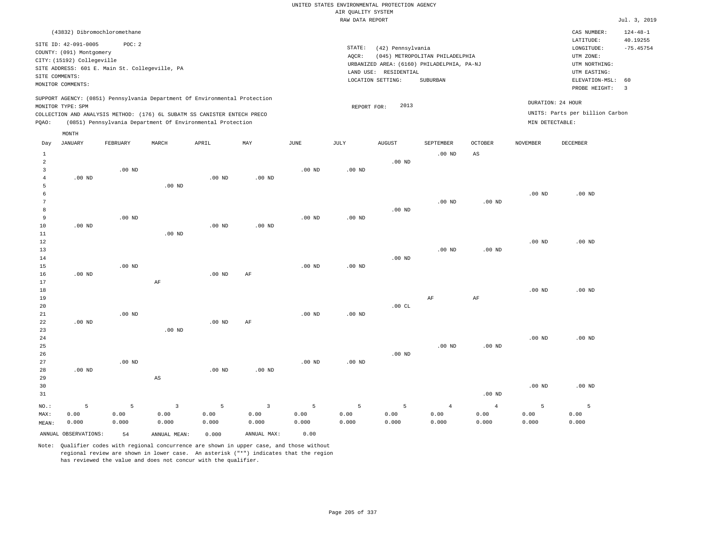|                 | (43832) Dibromochloromethane                     |                                                |                                                                            |                   |                |          |                   |                       |                                            |                   |                   | CAS NUMBER:<br>LATITUDE:        | $124 - 48 - 1$<br>40.19255 |
|-----------------|--------------------------------------------------|------------------------------------------------|----------------------------------------------------------------------------|-------------------|----------------|----------|-------------------|-----------------------|--------------------------------------------|-------------------|-------------------|---------------------------------|----------------------------|
|                 | SITE ID: 42-091-0005<br>COUNTY: (091) Montgomery | POC: 2                                         |                                                                            |                   |                |          | STATE:<br>AQCR:   | (42) Pennsylvania     | (045) METROPOLITAN PHILADELPHIA            |                   |                   | LONGITUDE:<br>UTM ZONE:         | $-75.45754$                |
|                 | CITY: (15192) Collegeville                       |                                                |                                                                            |                   |                |          |                   |                       | URBANIZED AREA: (6160) PHILADELPHIA, PA-NJ |                   |                   | UTM NORTHING:                   |                            |
|                 | SITE COMMENTS:                                   | SITE ADDRESS: 601 E. Main St. Collegeville, PA |                                                                            |                   |                |          |                   | LAND USE: RESIDENTIAL |                                            |                   |                   | UTM EASTING:                    |                            |
|                 | MONITOR COMMENTS:                                |                                                |                                                                            |                   |                |          |                   | LOCATION SETTING:     | <b>SUBURBAN</b>                            |                   |                   | ELEVATION-MSL:                  | 60                         |
|                 |                                                  |                                                |                                                                            |                   |                |          |                   |                       |                                            |                   |                   | PROBE HEIGHT:                   | $\overline{3}$             |
|                 | MONITOR TYPE: SPM                                |                                                | SUPPORT AGENCY: (0851) Pennsylvania Department Of Environmental Protection |                   |                |          | REPORT FOR:       | 2013                  |                                            |                   |                   | DURATION: 24 HOUR               |                            |
|                 |                                                  |                                                | COLLECTION AND ANALYSIS METHOD: (176) 6L SUBATM SS CANISTER ENTECH PRECO   |                   |                |          |                   |                       |                                            |                   |                   | UNITS: Parts per billion Carbon |                            |
| PQAO:           |                                                  |                                                | (0851) Pennsylvania Department Of Environmental Protection                 |                   |                |          |                   |                       |                                            |                   | MIN DETECTABLE:   |                                 |                            |
|                 | MONTH                                            |                                                |                                                                            |                   |                |          |                   |                       |                                            |                   |                   |                                 |                            |
| Day             | <b>JANUARY</b>                                   | FEBRUARY                                       | MARCH                                                                      | APRIL             | MAY            | JUNE     | JULY              | <b>AUGUST</b>         | SEPTEMBER                                  | <b>OCTOBER</b>    | <b>NOVEMBER</b>   | <b>DECEMBER</b>                 |                            |
| $\mathbf{1}$    |                                                  |                                                |                                                                            |                   |                |          |                   |                       | $.00$ ND                                   | AS                |                   |                                 |                            |
| $\overline{a}$  |                                                  |                                                |                                                                            |                   |                |          |                   | $.00$ ND              |                                            |                   |                   |                                 |                            |
| $\overline{3}$  |                                                  | $.00$ ND                                       |                                                                            |                   |                | $.00$ ND | $.00$ ND          |                       |                                            |                   |                   |                                 |                            |
| $\overline{4}$  | $.00$ ND                                         |                                                |                                                                            | $.00$ ND          | $.00$ ND       |          |                   |                       |                                            |                   |                   |                                 |                            |
| 5               |                                                  |                                                | $.00$ ND                                                                   |                   |                |          |                   |                       |                                            |                   |                   |                                 |                            |
| $\epsilon$      |                                                  |                                                |                                                                            |                   |                |          |                   |                       |                                            |                   | $.00$ ND          | $.00$ ND                        |                            |
| $7\phantom{.0}$ |                                                  |                                                |                                                                            |                   |                |          |                   |                       | .00 <sub>ND</sub>                          | $.00$ ND          |                   |                                 |                            |
| 8               |                                                  |                                                |                                                                            |                   |                |          |                   | .00 <sub>ND</sub>     |                                            |                   |                   |                                 |                            |
| 9               |                                                  | $.00$ ND                                       |                                                                            |                   |                | $.00$ ND | .00 <sub>ND</sub> |                       |                                            |                   |                   |                                 |                            |
| 10              | $.00$ ND                                         |                                                |                                                                            | .00 <sub>ND</sub> | $.00$ ND       |          |                   |                       |                                            |                   |                   |                                 |                            |
| 11              |                                                  |                                                | $.00$ ND                                                                   |                   |                |          |                   |                       |                                            |                   |                   |                                 |                            |
| 12              |                                                  |                                                |                                                                            |                   |                |          |                   |                       |                                            |                   | .00 <sub>ND</sub> | $.00$ ND                        |                            |
| 13              |                                                  |                                                |                                                                            |                   |                |          |                   |                       | $.00$ ND                                   | $.00$ ND          |                   |                                 |                            |
| 14<br>15        |                                                  | $.00$ ND                                       |                                                                            |                   |                | $.00$ ND | .00 <sub>ND</sub> | $.00$ ND              |                                            |                   |                   |                                 |                            |
| 16              | $.00$ ND                                         |                                                |                                                                            | .00 <sub>ND</sub> | AF             |          |                   |                       |                                            |                   |                   |                                 |                            |
| 17              |                                                  |                                                | AF                                                                         |                   |                |          |                   |                       |                                            |                   |                   |                                 |                            |
| 18              |                                                  |                                                |                                                                            |                   |                |          |                   |                       |                                            |                   | $.00$ ND          | $.00$ ND                        |                            |
| 19              |                                                  |                                                |                                                                            |                   |                |          |                   |                       | AF                                         | AF                |                   |                                 |                            |
| 20              |                                                  |                                                |                                                                            |                   |                |          |                   | .00CL                 |                                            |                   |                   |                                 |                            |
| 21              |                                                  | .00 <sub>ND</sub>                              |                                                                            |                   |                | $.00$ ND | .00 <sub>ND</sub> |                       |                                            |                   |                   |                                 |                            |
| 22              | $.00$ ND                                         |                                                |                                                                            | $.00$ ND          | AF             |          |                   |                       |                                            |                   |                   |                                 |                            |
| 23              |                                                  |                                                | $.00$ ND                                                                   |                   |                |          |                   |                       |                                            |                   |                   |                                 |                            |
| 24              |                                                  |                                                |                                                                            |                   |                |          |                   |                       |                                            |                   | .00 <sub>ND</sub> | $.00$ ND                        |                            |
| 25              |                                                  |                                                |                                                                            |                   |                |          |                   |                       | $.00$ ND                                   | .00 <sub>ND</sub> |                   |                                 |                            |
| 26              |                                                  |                                                |                                                                            |                   |                |          |                   | .00 <sub>ND</sub>     |                                            |                   |                   |                                 |                            |
| 27              |                                                  | $.00$ ND                                       |                                                                            |                   |                | $.00$ ND | $.00$ ND          |                       |                                            |                   |                   |                                 |                            |
| 28              | $.00$ ND                                         |                                                |                                                                            | .00 <sub>ND</sub> | $.00$ ND       |          |                   |                       |                                            |                   |                   |                                 |                            |
| 29              |                                                  |                                                | $\mathbb{A}\mathbb{S}$                                                     |                   |                |          |                   |                       |                                            |                   |                   |                                 |                            |
| 30              |                                                  |                                                |                                                                            |                   |                |          |                   |                       |                                            |                   | $.00$ ND          | $.00$ ND                        |                            |
| 31              |                                                  |                                                |                                                                            |                   |                |          |                   |                       |                                            | $.00$ ND          |                   |                                 |                            |
| NO.:            | 5                                                | 5                                              | $\overline{3}$                                                             | 5                 | $\overline{3}$ | 5        | 5                 | 5                     | $\overline{4}$                             | $\overline{4}$    | 5                 | 5                               |                            |
| MAX:            | 0.00                                             | 0.00                                           | 0.00                                                                       | 0.00              | 0.00           | 0.00     | 0.00              | 0.00                  | 0.00                                       | 0.00              | 0.00              | 0.00                            |                            |
| MEAN:           | 0.000                                            | 0.000                                          | 0.000                                                                      | 0.000             | 0.000          | 0.000    | 0.000             | 0.000                 | 0.000                                      | 0.000             | 0.000             | 0.000                           |                            |

ANNUAL OBSERVATIONS: 54 ANNUAL MEAN: 0.000 ANNUAL MAX: 0.00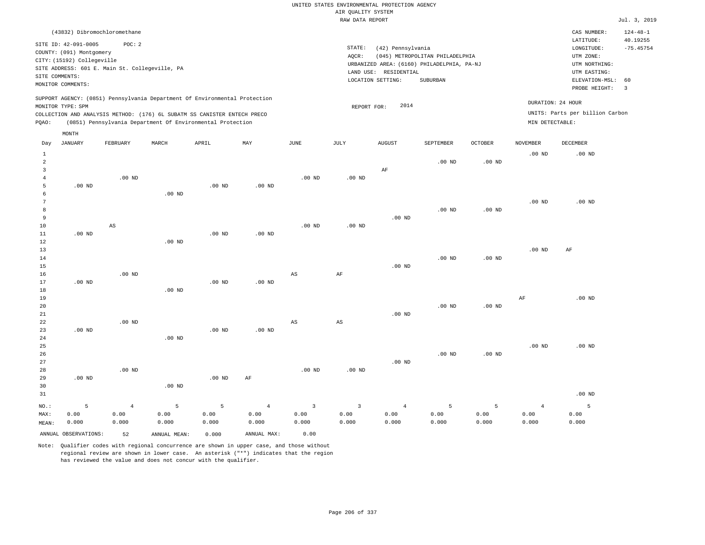| (43832) Dibromochloromethane                                                                                                                                                                                                                                |                                                                                                                                                                                 | CAS NUMBER:                                                                                                 | $124 - 48 - 1$          |
|-------------------------------------------------------------------------------------------------------------------------------------------------------------------------------------------------------------------------------------------------------------|---------------------------------------------------------------------------------------------------------------------------------------------------------------------------------|-------------------------------------------------------------------------------------------------------------|-------------------------|
| SITE ID: 42-091-0005<br>POC:2<br>COUNTY: (091) Montgomery<br>CITY: (15192) Collegeville<br>SITE ADDRESS: 601 E. Main St. Collegeville, PA<br>SITE COMMENTS:<br>MONITOR COMMENTS:                                                                            | STATE:<br>(42) Pennsylvania<br>(045) METROPOLITAN PHILADELPHIA<br>AOCR:<br>URBANIZED AREA: (6160) PHILADELPHIA, PA-NJ<br>LAND USE: RESIDENTIAL<br>LOCATION SETTING:<br>SUBURBAN | LATITUDE:<br>LONGITUDE:<br>UTM ZONE:<br>UTM NORTHING:<br>UTM EASTING:<br>ELEVATION-MSL: 60<br>PROBE HEIGHT: | 40.19255<br>$-75.45754$ |
| SUPPORT AGENCY: (0851) Pennsylvania Department Of Environmental Protection<br>MONITOR TYPE: SPM<br>COLLECTION AND ANALYSIS METHOD: (176) 6L SUBATM SS CANISTER ENTECH PRECO<br>(0851) Pennsylvania Department Of Environmental Protection<br>POAO:<br>MONTH | 2014<br>REPORT FOR:                                                                                                                                                             | DURATION: 24 HOUR<br>UNITS: Parts per billion Carbon<br>MIN DETECTABLE:                                     |                         |

| Day            | <b>JANUARY</b>       | ${\tt FEBRUARY}$       | MARCH        | APRIL          | MAY            | JUNE              | JULY         | ${\tt AUGUST}$    | SEPTEMBER | OCTOBER           | <b>NOVEMBER</b> | DECEMBER          |
|----------------|----------------------|------------------------|--------------|----------------|----------------|-------------------|--------------|-------------------|-----------|-------------------|-----------------|-------------------|
| $\mathbf{1}$   |                      |                        |              |                |                |                   |              |                   |           |                   | $.00$ ND        | .00 <sub>ND</sub> |
| $\overline{a}$ |                      |                        |              |                |                |                   |              |                   | $.00$ ND  | $.00$ ND          |                 |                   |
| 3              |                      |                        |              |                |                |                   |              | $\rm AF$          |           |                   |                 |                   |
| $\overline{4}$ |                      | $.00$ ND               |              |                |                | .00 <sub>ND</sub> | $.00$ ND     |                   |           |                   |                 |                   |
| 5              | $.00$ ND             |                        |              | .00 $ND$       | $.00$ ND       |                   |              |                   |           |                   |                 |                   |
| 6              |                      |                        | $.00$ ND     |                |                |                   |              |                   |           |                   |                 |                   |
| 7              |                      |                        |              |                |                |                   |              |                   |           |                   | $.00$ ND        | .00 <sub>ND</sub> |
| 8              |                      |                        |              |                |                |                   |              |                   | $.00$ ND  | $.00$ ND          |                 |                   |
| 9              |                      |                        |              |                |                |                   |              | .00 $ND$          |           |                   |                 |                   |
| $10$           |                      | $\mathbb{A}\mathbb{S}$ |              |                |                | $.00$ ND          | $.00$ ND     |                   |           |                   |                 |                   |
| 11             | $.00$ ND             |                        |              | $.00$ ND       | $.00$ ND       |                   |              |                   |           |                   |                 |                   |
| 12             |                      |                        | $.00$ ND     |                |                |                   |              |                   |           |                   |                 |                   |
| 13             |                      |                        |              |                |                |                   |              |                   |           |                   | $.00$ ND        | AF                |
| 14             |                      |                        |              |                |                |                   |              |                   | $.00$ ND  | .00 <sub>ND</sub> |                 |                   |
| 15             |                      |                        |              |                |                |                   |              | .00 <sub>ND</sub> |           |                   |                 |                   |
| 16             |                      | $.00$ ND               |              |                |                | AS                | $\rm{AF}$    |                   |           |                   |                 |                   |
| 17             | $.00$ ND             |                        |              | $.00$ ND       | $.00$ ND       |                   |              |                   |           |                   |                 |                   |
| 18             |                      |                        | $.00$ ND     |                |                |                   |              |                   |           |                   |                 |                   |
| 19             |                      |                        |              |                |                |                   |              |                   |           |                   | $\rm{AF}$       | $.00$ ND          |
| 20             |                      |                        |              |                |                |                   |              |                   | $.00$ ND  | .00 <sub>ND</sub> |                 |                   |
| 21             |                      |                        |              |                |                |                   |              | $.00$ ND          |           |                   |                 |                   |
| $2\sqrt{2}$    |                      | .00 $ND$               |              |                |                | AS                | AS           |                   |           |                   |                 |                   |
| 23             | $.00$ ND             |                        |              | .00 $ND$       | $.00$ ND       |                   |              |                   |           |                   |                 |                   |
| 24             |                      |                        | $.00$ ND     |                |                |                   |              |                   |           |                   |                 |                   |
| $25\,$<br>26   |                      |                        |              |                |                |                   |              |                   |           |                   | $.00$ ND        | .00 <sub>ND</sub> |
| 27             |                      |                        |              |                |                |                   |              | $.00$ ND          | $.00$ ND  | $.00$ ND          |                 |                   |
| 28             |                      | $.00$ ND               |              |                |                | $.00$ ND          | $.00$ ND     |                   |           |                   |                 |                   |
| 29             | $.00$ ND             |                        |              | $.00$ ND       | $\rm AF$       |                   |              |                   |           |                   |                 |                   |
| 30             |                      |                        | $.00$ ND     |                |                |                   |              |                   |           |                   |                 |                   |
| 31             |                      |                        |              |                |                |                   |              |                   |           |                   |                 | $.00$ ND          |
|                |                      |                        |              |                |                |                   |              |                   |           |                   |                 |                   |
| $_{\rm NO.}$ : | 5                    | $\overline{4}$         | 5            | $\overline{5}$ | $\overline{4}$ | 3                 | $\mathbf{3}$ | $\overline{4}$    | 5         | 5                 | $\overline{4}$  | 5                 |
| MAX:           | 0.00                 | 0.00                   | 0.00         | 0.00           | 0.00           | 0.00              | 0.00         | 0.00              | 0.00      | 0.00              | 0.00            | 0.00              |
| MEAN:          | 0.000                | 0.000                  | 0.000        | 0.000          | 0.000          | 0.000             | 0.000        | 0.000             | 0.000     | 0.000             | 0.000           | 0.000             |
|                | ANNUAL OBSERVATIONS: | 52                     | ANNUAL MEAN: | 0.000          | ANNUAL MAX:    | 0.00              |              |                   |           |                   |                 |                   |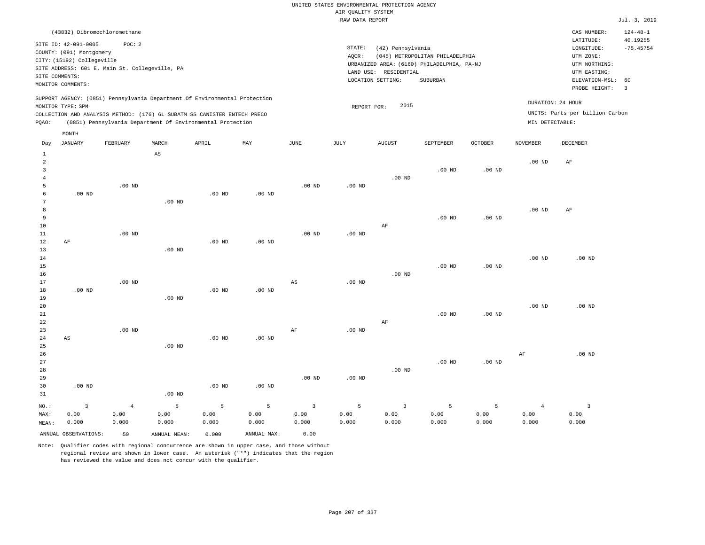| (43832) Dibromochloromethane                                                                                                                                                                                                                                |                                                                                                                                                                                 | CAS NUMBER:                                                                                                 | $124 - 48 - 1$                          |
|-------------------------------------------------------------------------------------------------------------------------------------------------------------------------------------------------------------------------------------------------------------|---------------------------------------------------------------------------------------------------------------------------------------------------------------------------------|-------------------------------------------------------------------------------------------------------------|-----------------------------------------|
| SITE ID: 42-091-0005<br>POC:2<br>COUNTY: (091) Montgomery<br>CITY: (15192) Collegeville<br>SITE ADDRESS: 601 E. Main St. Collegeville, PA<br>SITE COMMENTS:<br>MONITOR COMMENTS:                                                                            | STATE:<br>(42) Pennsylvania<br>(045) METROPOLITAN PHILADELPHIA<br>AOCR:<br>URBANIZED AREA: (6160) PHILADELPHIA, PA-NJ<br>LAND USE: RESIDENTIAL<br>SUBURBAN<br>LOCATION SETTING: | LATITUDE:<br>LONGITUDE:<br>UTM ZONE:<br>UTM NORTHING:<br>UTM EASTING:<br>ELEVATION-MSL: 60<br>PROBE HEIGHT: | 40.19255<br>$-75.45754$<br>$\mathbf{3}$ |
| SUPPORT AGENCY: (0851) Pennsylvania Department Of Environmental Protection<br>MONITOR TYPE: SPM<br>COLLECTION AND ANALYSIS METHOD: (176) 6L SUBATM SS CANISTER ENTECH PRECO<br>(0851) Pennsylvania Department Of Environmental Protection<br>POAO:<br>MONTH | 2015<br>REPORT FOR:                                                                                                                                                             | DURATION: 24 HOUR<br>UNITS: Parts per billion Carbon<br>MIN DETECTABLE:                                     |                                         |

| Day            | JANUARY              | FEBRUARY       | MARCH                  | APRIL    | MAY               | JUNE           | JULY     | AUGUST                  | SEPTEMBER         | OCTOBER           | NOVEMBER          | DECEMBER       |
|----------------|----------------------|----------------|------------------------|----------|-------------------|----------------|----------|-------------------------|-------------------|-------------------|-------------------|----------------|
| $\mathbf{1}$   |                      |                | $\mathbb{A}\mathbb{S}$ |          |                   |                |          |                         |                   |                   |                   |                |
| $\overline{a}$ |                      |                |                        |          |                   |                |          |                         |                   |                   | .00 <sub>ND</sub> | $\rm{AF}$      |
| 3              |                      |                |                        |          |                   |                |          |                         | .00 <sub>ND</sub> | .00 <sub>ND</sub> |                   |                |
| $\overline{4}$ |                      |                |                        |          |                   |                |          | $.00$ ND                |                   |                   |                   |                |
| 5              |                      | $.00$ ND       |                        |          |                   | $.00$ ND       | $.00$ ND |                         |                   |                   |                   |                |
| 6              | $.00$ ND             |                |                        | $.00$ ND | $.00$ ND          |                |          |                         |                   |                   |                   |                |
| 7              |                      |                | $.00$ ND               |          |                   |                |          |                         |                   |                   |                   |                |
| $\,8\,$        |                      |                |                        |          |                   |                |          |                         |                   |                   | .00 $ND$          | AF             |
| 9              |                      |                |                        |          |                   |                |          |                         | $.00$ ND          | .00 <sub>ND</sub> |                   |                |
| $10$           |                      |                |                        |          |                   |                |          | $\rm AF$                |                   |                   |                   |                |
| 11             |                      | $.00$ ND       |                        |          |                   | $.00$ ND       | $.00$ ND |                         |                   |                   |                   |                |
| 12             | $\rm AF$             |                |                        | $.00$ ND | $.00$ ND          |                |          |                         |                   |                   |                   |                |
| 13             |                      |                | $.00$ ND               |          |                   |                |          |                         |                   |                   |                   |                |
| 14             |                      |                |                        |          |                   |                |          |                         |                   |                   | $.00$ ND          | $.00$ ND       |
| 15             |                      |                |                        |          |                   |                |          |                         | $.00$ ND          | $.00$ ND          |                   |                |
| 16             |                      |                |                        |          |                   |                |          | $.00$ ND                |                   |                   |                   |                |
| 17             |                      | $.00$ ND       |                        |          |                   | AS             | $.00$ ND |                         |                   |                   |                   |                |
| 18             | $.00$ ND             |                |                        | $.00$ ND | $.00$ ND          |                |          |                         |                   |                   |                   |                |
| 19             |                      |                | $.00$ ND               |          |                   |                |          |                         |                   |                   |                   |                |
| 20             |                      |                |                        |          |                   |                |          |                         |                   |                   | $.00$ ND          | $.00$ ND       |
| $2\sqrt{1}$    |                      |                |                        |          |                   |                |          |                         | $.00$ ND          | $.00$ ND          |                   |                |
| 22             |                      |                |                        |          |                   |                |          | $\rm{AF}$               |                   |                   |                   |                |
| 23             |                      | $.00$ ND       |                        |          |                   | AF             | .00 $ND$ |                         |                   |                   |                   |                |
| 24             | AS                   |                |                        | $.00$ ND | $.00$ ND          |                |          |                         |                   |                   |                   |                |
| 25             |                      |                | $.00$ ND               |          |                   |                |          |                         |                   |                   |                   |                |
| 26             |                      |                |                        |          |                   |                |          |                         |                   |                   | $\rm{AF}$         | $.00$ ND       |
| 27             |                      |                |                        |          |                   |                |          |                         | .00 <sub>ND</sub> | $.00$ ND          |                   |                |
| 28             |                      |                |                        |          |                   |                |          | $.00$ ND                |                   |                   |                   |                |
| 29             |                      |                |                        |          |                   | $.00$ ND       | $.00$ ND |                         |                   |                   |                   |                |
| 30             | $.00$ ND             |                |                        | $.00$ ND | .00 <sub>ND</sub> |                |          |                         |                   |                   |                   |                |
| 31             |                      |                | $.00$ ND               |          |                   |                |          |                         |                   |                   |                   |                |
| $_{\rm NO.}$ : | $\mathsf 3$          | $\overline{4}$ | 5                      | 5        | 5                 | $\overline{3}$ | 5        | $\overline{\mathbf{3}}$ | 5                 | $\mathsf S$       | $\overline{4}$    | $\overline{3}$ |
| MAX:           | 0.00                 | 0.00           | 0.00                   | 0.00     | 0.00              | 0.00           | 0.00     | 0.00                    | 0.00              | 0.00              | 0.00              | 0.00           |
| MEAN:          | 0.000                | 0.000          | 0.000                  | 0.000    | 0.000             | 0.000          | 0.000    | 0.000                   | 0.000             | 0.000             | 0.000             | 0.000          |
|                | ANNUAL OBSERVATIONS: | 50             | ANNUAL MEAN:           | 0.000    | ANNUAL MAX:       | 0.00           |          |                         |                   |                   |                   |                |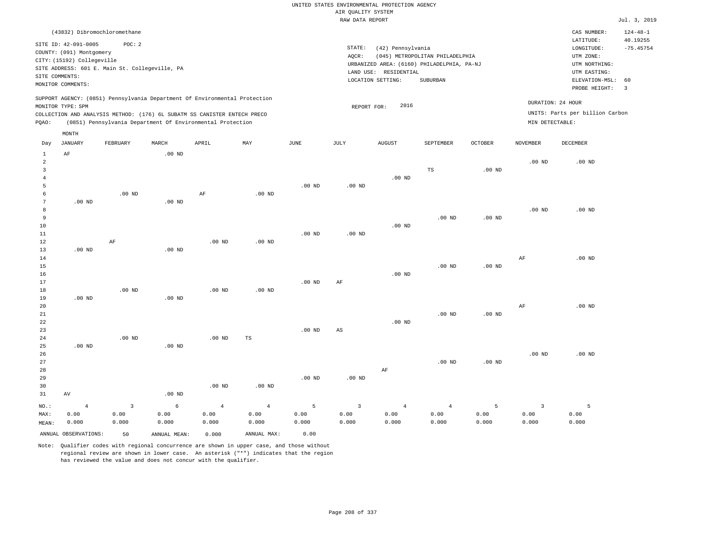### UNITED STATES ENVIRONMENTAL PROTECTION AGENCY AIR QUALITY SYSTEM

|       |                            |                                                                          |          |       |                                                                            |          | RAW DATA REPORT |                                            |                                 |                   |                   |                                 | Jul. 3, 2019             |
|-------|----------------------------|--------------------------------------------------------------------------|----------|-------|----------------------------------------------------------------------------|----------|-----------------|--------------------------------------------|---------------------------------|-------------------|-------------------|---------------------------------|--------------------------|
|       |                            | (43832) Dibromochloromethane                                             |          |       |                                                                            |          |                 |                                            |                                 |                   |                   | CAS NUMBER:                     | $124 - 48 - 1$           |
|       | SITE ID: 42-091-0005       | POC: 2                                                                   |          |       |                                                                            |          |                 |                                            |                                 |                   |                   | LATITUDE:                       | 40.19255                 |
|       | COUNTY: (091) Montgomery   |                                                                          |          |       |                                                                            |          | STATE:          | (42) Pennsylvania                          |                                 |                   |                   | LONGITUDE:                      | $-75.45754$              |
|       | CITY: (15192) Collegeville |                                                                          |          |       |                                                                            |          | AOCR:           |                                            | (045) METROPOLITAN PHILADELPHIA |                   |                   | UTM ZONE:                       |                          |
|       |                            | SITE ADDRESS: 601 E. Main St. Collegeville, PA                           |          |       |                                                                            |          |                 | URBANIZED AREA: (6160) PHILADELPHIA, PA-NJ |                                 |                   |                   | UTM NORTHING:                   |                          |
|       | SITE COMMENTS:             |                                                                          |          |       |                                                                            |          |                 | LAND USE: RESIDENTIAL                      |                                 |                   |                   | UTM EASTING:                    |                          |
|       | MONITOR COMMENTS:          |                                                                          |          |       |                                                                            |          |                 | LOCATION SETTING:                          | SUBURBAN                        |                   |                   | ELEVATION-MSL: 60               |                          |
|       |                            |                                                                          |          |       |                                                                            |          |                 |                                            |                                 |                   |                   | PROBE HEIGHT:                   | $\overline{\phantom{a}}$ |
|       | MONITOR TYPE: SPM          |                                                                          |          |       | SUPPORT AGENCY: (0851) Pennsylvania Department Of Environmental Protection |          | REPORT FOR:     | 2016                                       |                                 |                   | DURATION: 24 HOUR |                                 |                          |
|       |                            | COLLECTION AND ANALYSIS METHOD: (176) 6L SUBATM SS CANISTER ENTECH PRECO |          |       |                                                                            |          |                 |                                            |                                 |                   |                   | UNITS: Parts per billion Carbon |                          |
| POAO: |                            | (0851) Pennsylvania Department Of Environmental Protection               |          |       |                                                                            |          |                 |                                            |                                 |                   | MIN DETECTABLE:   |                                 |                          |
|       | MONTH                      |                                                                          |          |       |                                                                            |          |                 |                                            |                                 |                   |                   |                                 |                          |
| Day   | JANUARY                    | FEBRUARY                                                                 | MARCH    | APRIL | MAY                                                                        | JUNE     | JULY            | <b>AUGUST</b>                              | <b>SEPTEMBER</b>                | <b>OCTOBER</b>    | <b>NOVEMBER</b>   | DECEMBER                        |                          |
|       | AF                         |                                                                          | $.00$ ND |       |                                                                            |          |                 |                                            |                                 |                   |                   |                                 |                          |
| 2     |                            |                                                                          |          |       |                                                                            |          |                 |                                            |                                 |                   | .00 <sub>ND</sub> | $.00$ ND                        |                          |
|       |                            |                                                                          |          |       |                                                                            |          |                 |                                            | TS                              | .00 <sub>ND</sub> |                   |                                 |                          |
|       |                            |                                                                          |          |       |                                                                            |          |                 | $.00$ ND                                   |                                 |                   |                   |                                 |                          |
|       |                            |                                                                          |          |       |                                                                            | $.00$ ND | $.00$ ND        |                                            |                                 |                   |                   |                                 |                          |
|       |                            | $.00$ ND                                                                 |          | AF    | $.00$ ND                                                                   |          |                 |                                            |                                 |                   |                   |                                 |                          |
| 7     | $.00$ ND                   |                                                                          | $.00$ ND |       |                                                                            |          |                 |                                            |                                 |                   |                   |                                 |                          |

| 8  |          |    |          |          |          |          |          |          |          |                   | $.00$ ND | $.00$ ND |
|----|----------|----|----------|----------|----------|----------|----------|----------|----------|-------------------|----------|----------|
| 9  |          |    |          |          |          |          |          |          | $.00$ ND | .00 <sub>ND</sub> |          |          |
| 10 |          |    |          |          |          |          |          | $.00$ ND |          |                   |          |          |
| 11 |          |    |          |          |          | $.00$ ND | $.00$ ND |          |          |                   |          |          |
| 12 |          | AF |          | $.00$ ND | $.00$ ND |          |          |          |          |                   |          |          |
| 13 | $.00$ ND |    | $.00$ ND |          |          |          |          |          |          |                   |          |          |
| 14 |          |    |          |          |          |          |          |          |          |                   | AF       | $.00$ ND |
| 15 |          |    |          |          |          |          |          |          | $.00$ ND | .00 <sub>ND</sub> |          |          |

| 16     |          |          |          |          |          |          |    | $.00$ ND |          |          |          |          |
|--------|----------|----------|----------|----------|----------|----------|----|----------|----------|----------|----------|----------|
| 17     |          |          |          |          |          | $.00$ ND | AF |          |          |          |          |          |
| 18     |          | $.00$ ND |          | $.00$ ND | $.00$ ND |          |    |          |          |          |          |          |
| 19     | $.00$ ND |          | $.00$ ND |          |          |          |    |          |          |          |          |          |
| 20     |          |          |          |          |          |          |    |          |          |          | AF       | $.00$ ND |
| 21     |          |          |          |          |          |          |    |          | $.00$ ND | $.00$ ND |          |          |
| 22     |          |          |          |          |          |          |    | $.00$ ND |          |          |          |          |
| 23     |          |          |          |          |          | $.00$ ND | AS |          |          |          |          |          |
| $2\,4$ |          | $.00$ ND |          | $.00$ ND | TS       |          |    |          |          |          |          |          |
| 25     | $.00$ ND |          | $.00$ ND |          |          |          |    |          |          |          |          |          |
| 26     |          |          |          |          |          |          |    |          |          |          | $.00$ ND | $.00$ ND |

| 27    |       |       |                   |                |             |          |          |                | $.00$ ND | $.00$ ND |       |       |
|-------|-------|-------|-------------------|----------------|-------------|----------|----------|----------------|----------|----------|-------|-------|
| 28    |       |       |                   |                |             |          |          | AF             |          |          |       |       |
| 29    |       |       |                   |                |             | $.00$ ND | $.00$ ND |                |          |          |       |       |
| 30    |       |       |                   | $.00$ ND       | $.00$ ND    |          |          |                |          |          |       |       |
| 31    | AV    |       | .00 <sub>ND</sub> |                |             |          |          |                |          |          |       |       |
| NO.:  | 4     |       | 6                 | $\overline{4}$ | $4^{\circ}$ | 5.       |          | $\overline{4}$ |          |          |       |       |
| MAX:  | 0.00  | 0.00  | 0.00              | 0.00           | 0.00        | 0.00     | 0.00     | 0.00           | 0.00     | 0.00     | 0.00  | 0.00  |
| MEAN: | 0.000 | 0.000 | 0.000             | 0.000          | 0.000       | 0.000    | 0.000    | 0.000          | 0.000    | 0.000    | 0.000 | 0.000 |

Note: Qualifier codes with regional concurrence are shown in upper case, and those without regional review are shown in lower case. An asterisk ("\*") indicates that the region

ANNUAL OBSERVATIONS: 50 ANNUAL MEAN: 0.000 ANNUAL MAX: 0.00

has reviewed the value and does not concur with the qualifier.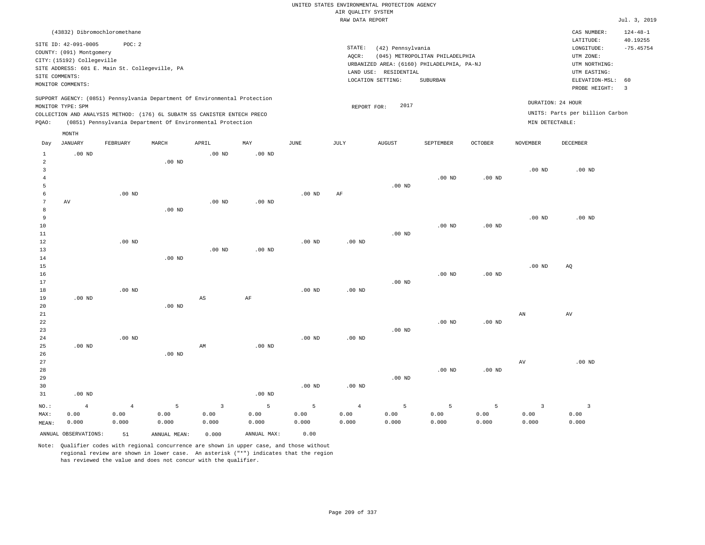|                     |                            |                                                |                   |                                                                            |                   |                   | UNITED STATES ENVIRONMENTAL PROTECTION AGENCY |                       |                                            |                   |                   |                                 |                            |
|---------------------|----------------------------|------------------------------------------------|-------------------|----------------------------------------------------------------------------|-------------------|-------------------|-----------------------------------------------|-----------------------|--------------------------------------------|-------------------|-------------------|---------------------------------|----------------------------|
|                     |                            |                                                |                   |                                                                            |                   |                   | AIR OUALITY SYSTEM                            |                       |                                            |                   |                   |                                 |                            |
|                     |                            |                                                |                   |                                                                            |                   |                   | RAW DATA REPORT                               |                       |                                            |                   |                   |                                 | Jul. 3, 2019               |
|                     |                            | (43832) Dibromochloromethane                   |                   |                                                                            |                   |                   |                                               |                       |                                            |                   |                   | CAS NUMBER:<br>LATITUDE:        | $124 - 48 - 1$<br>40.19255 |
|                     | SITE ID: 42-091-0005       | POC: 2                                         |                   |                                                                            |                   |                   | STATE:                                        | (42) Pennsylvania     |                                            |                   |                   | $\texttt{LONGITUDE}$ :          | $-75.45754$                |
|                     | COUNTY: (091) Montgomery   |                                                |                   |                                                                            |                   |                   | AQCR:                                         |                       | (045) METROPOLITAN PHILADELPHIA            |                   |                   | UTM ZONE:                       |                            |
|                     | CITY: (15192) Collegeville |                                                |                   |                                                                            |                   |                   |                                               |                       | URBANIZED AREA: (6160) PHILADELPHIA, PA-NJ |                   |                   | UTM NORTHING:                   |                            |
|                     | SITE COMMENTS:             | SITE ADDRESS: 601 E. Main St. Collegeville, PA |                   |                                                                            |                   |                   |                                               | LAND USE: RESIDENTIAL |                                            |                   |                   | UTM EASTING:                    |                            |
|                     | MONITOR COMMENTS:          |                                                |                   |                                                                            |                   |                   |                                               | LOCATION SETTING:     | SUBURBAN                                   |                   |                   | ELEVATION-MSL:<br>PROBE HEIGHT: | 60<br>$\overline{3}$       |
|                     |                            |                                                |                   | SUPPORT AGENCY: (0851) Pennsylvania Department Of Environmental Protection |                   |                   |                                               |                       |                                            |                   |                   |                                 |                            |
|                     | MONITOR TYPE: SPM          |                                                |                   |                                                                            |                   |                   | REPORT FOR:                                   | 2017                  |                                            |                   |                   | DURATION: 24 HOUR               |                            |
|                     |                            |                                                |                   | COLLECTION AND ANALYSIS METHOD: (176) 6L SUBATM SS CANISTER ENTECH PRECO   |                   |                   |                                               |                       |                                            |                   |                   | UNITS: Parts per billion Carbon |                            |
| PQAO:               |                            |                                                |                   | (0851) Pennsylvania Department Of Environmental Protection                 |                   |                   |                                               |                       |                                            |                   | MIN DETECTABLE:   |                                 |                            |
|                     | MONTH                      |                                                |                   |                                                                            |                   |                   |                                               |                       |                                            |                   |                   | DECEMBER                        |                            |
| Day<br>$\mathbf{1}$ | <b>JANUARY</b><br>$.00$ ND | FEBRUARY                                       | MARCH             | APRIL<br>$.00$ ND                                                          | MAY<br>$.00$ ND   | JUNE              | JULY                                          | <b>AUGUST</b>         | SEPTEMBER                                  | <b>OCTOBER</b>    | <b>NOVEMBER</b>   |                                 |                            |
| $\overline{a}$      |                            |                                                | .00 <sub>ND</sub> |                                                                            |                   |                   |                                               |                       |                                            |                   |                   |                                 |                            |
| 3                   |                            |                                                |                   |                                                                            |                   |                   |                                               |                       |                                            |                   | .00 <sub>ND</sub> | $.00$ ND                        |                            |
| $\overline{4}$      |                            |                                                |                   |                                                                            |                   |                   |                                               |                       | .00 <sub>ND</sub>                          | .00 <sub>ND</sub> |                   |                                 |                            |
| $\overline{5}$      |                            |                                                |                   |                                                                            |                   |                   |                                               | $.00$ ND              |                                            |                   |                   |                                 |                            |
| 6                   |                            | $.00$ ND                                       |                   |                                                                            |                   | $.00$ ND          | AF                                            |                       |                                            |                   |                   |                                 |                            |
| $\overline{7}$      | AV                         |                                                |                   | $.00$ ND                                                                   | .00 <sub>ND</sub> |                   |                                               |                       |                                            |                   |                   |                                 |                            |
| 8                   |                            |                                                | $.00$ ND          |                                                                            |                   |                   |                                               |                       |                                            |                   |                   |                                 |                            |
| 9                   |                            |                                                |                   |                                                                            |                   |                   |                                               |                       |                                            |                   | .00 <sub>ND</sub> | $.00$ ND                        |                            |
| 10                  |                            |                                                |                   |                                                                            |                   |                   |                                               |                       | $.00$ ND                                   | $.00$ ND          |                   |                                 |                            |
| 11                  |                            |                                                |                   |                                                                            |                   |                   |                                               | $.00$ ND              |                                            |                   |                   |                                 |                            |
| 12                  |                            | $.00$ ND                                       |                   |                                                                            |                   | $.00$ ND          | .00 <sub>ND</sub>                             |                       |                                            |                   |                   |                                 |                            |
| 13                  |                            |                                                |                   | $.00$ ND                                                                   | .00 <sub>ND</sub> |                   |                                               |                       |                                            |                   |                   |                                 |                            |
| 14<br>15            |                            |                                                | .00 <sub>ND</sub> |                                                                            |                   |                   |                                               |                       |                                            |                   | .00 <sub>ND</sub> | AQ                              |                            |
| 16                  |                            |                                                |                   |                                                                            |                   |                   |                                               |                       | $.00$ ND                                   | $.00$ ND          |                   |                                 |                            |
| 17                  |                            |                                                |                   |                                                                            |                   |                   |                                               | $.00$ ND              |                                            |                   |                   |                                 |                            |
| 18                  |                            | $.00$ ND                                       |                   |                                                                            |                   | .00 <sub>ND</sub> | .00 <sub>ND</sub>                             |                       |                                            |                   |                   |                                 |                            |
| 19                  | $.00$ ND                   |                                                |                   | $\mathbb{A}\mathbb{S}$                                                     | $\rm AF$          |                   |                                               |                       |                                            |                   |                   |                                 |                            |
| 20                  |                            |                                                | .00 <sub>ND</sub> |                                                                            |                   |                   |                                               |                       |                                            |                   |                   |                                 |                            |
| 21                  |                            |                                                |                   |                                                                            |                   |                   |                                               |                       |                                            |                   | ${\tt AN}$        | AV                              |                            |
| 22                  |                            |                                                |                   |                                                                            |                   |                   |                                               |                       | .00 <sub>ND</sub>                          | .00 <sub>ND</sub> |                   |                                 |                            |
| 23                  |                            |                                                |                   |                                                                            |                   |                   |                                               | .00 <sub>ND</sub>     |                                            |                   |                   |                                 |                            |
| 24                  |                            | .00 <sub>ND</sub>                              |                   |                                                                            |                   | .00 <sub>ND</sub> | .00 <sub>ND</sub>                             |                       |                                            |                   |                   |                                 |                            |
| 25                  | $.00$ ND                   |                                                |                   | AM                                                                         | $.00$ ND          |                   |                                               |                       |                                            |                   |                   |                                 |                            |
| 26                  |                            |                                                | $.00$ ND          |                                                                            |                   |                   |                                               |                       |                                            |                   |                   |                                 |                            |
| 27                  |                            |                                                |                   |                                                                            |                   |                   |                                               |                       |                                            |                   | $\hbox{AV}$       | $.00$ ND                        |                            |
| 28                  |                            |                                                |                   |                                                                            |                   |                   |                                               |                       | .00 <sub>ND</sub>                          | $.00$ ND          |                   |                                 |                            |
| 29<br>30            |                            |                                                |                   |                                                                            |                   | $.00$ ND          | .00 <sub>ND</sub>                             | .00 <sub>ND</sub>     |                                            |                   |                   |                                 |                            |
| 31                  | $.00$ ND                   |                                                |                   |                                                                            | .00 <sub>ND</sub> |                   |                                               |                       |                                            |                   |                   |                                 |                            |
| NO.:                | $\overline{4}$             | $\overline{4}$                                 | 5                 | $\overline{3}$                                                             | $\overline{5}$    | 5                 | $\overline{4}$                                | 5                     | 5                                          | 5                 | $\overline{3}$    | $\overline{\mathbf{3}}$         |                            |
| MAX:                | 0.00                       | 0.00                                           | 0.00              | 0.00                                                                       | 0.00              | 0.00              | 0.00                                          | 0.00                  | 0.00                                       | 0.00              | 0.00              | 0.00                            |                            |
| MFAN:               | 0.000                      | 0.000                                          | 0.000             | 0.000                                                                      | 0.000             | 0.000             | 0.000                                         | 0.000                 | 0.000                                      | 0.000             | 0.000             | 0.000                           |                            |

ANNUAL OBSERVATIONS: 51 ANNUAL MEAN: 0.000 ANNUAL MAX: 0.00

0.000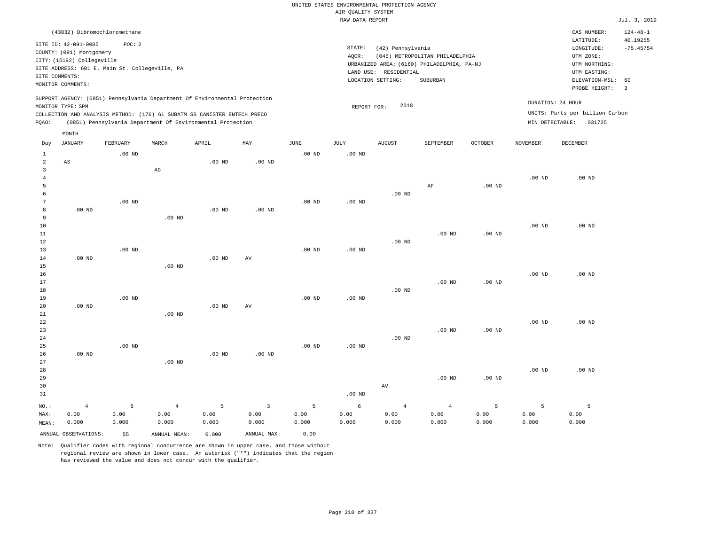|                                  |                                                      |          |                                                                            |          |                         |          | AIR QUALITY SYSTEM | UNITED STATES ENVIRONMENTAL PROTECTION AGENCY |                                            |                   |                   |                                 |                            |
|----------------------------------|------------------------------------------------------|----------|----------------------------------------------------------------------------|----------|-------------------------|----------|--------------------|-----------------------------------------------|--------------------------------------------|-------------------|-------------------|---------------------------------|----------------------------|
|                                  |                                                      |          |                                                                            |          |                         |          | RAW DATA REPORT    |                                               |                                            |                   |                   |                                 | Jul. 3, 2019               |
|                                  | (43832) Dibromochloromethane<br>SITE ID: 42-091-0005 | POC: 2   |                                                                            |          |                         |          | STATE:             |                                               |                                            |                   |                   | CAS NUMBER:<br>LATITUDE:        | $124 - 48 - 1$<br>40.19255 |
|                                  | COUNTY: (091) Montgomery                             |          |                                                                            |          |                         |          | AQCR:              | (42) Pennsylvania                             | (045) METROPOLITAN PHILADELPHIA            |                   |                   | LONGITUDE:<br>UTM ZONE:         | $-75.45754$                |
|                                  | CITY: (15192) Collegeville                           |          |                                                                            |          |                         |          |                    |                                               | URBANIZED AREA: (6160) PHILADELPHIA, PA-NJ |                   |                   | UTM NORTHING:                   |                            |
|                                  | SITE ADDRESS: 601 E. Main St. Collegeville, PA       |          |                                                                            |          |                         |          |                    | LAND USE: RESIDENTIAL                         |                                            |                   |                   | UTM EASTING:                    |                            |
|                                  | SITE COMMENTS:<br>MONITOR COMMENTS:                  |          |                                                                            |          |                         |          |                    | LOCATION SETTING:                             | SUBURBAN                                   |                   |                   | ELEVATION-MSL:<br>PROBE HEIGHT: | 60<br>$\overline{3}$       |
|                                  | MONITOR TYPE: SPM                                    |          | SUPPORT AGENCY: (0851) Pennsylvania Department Of Environmental Protection |          |                         |          | REPORT FOR:        | 2018                                          |                                            |                   |                   | DURATION: 24 HOUR               |                            |
|                                  |                                                      |          | COLLECTION AND ANALYSIS METHOD: (176) 6L SUBATM SS CANISTER ENTECH PRECO   |          |                         |          |                    |                                               |                                            |                   |                   | UNITS: Parts per billion Carbon |                            |
| PQAO:                            |                                                      |          | (0851) Pennsylvania Department Of Environmental Protection                 |          |                         |          |                    |                                               |                                            |                   |                   | MIN DETECTABLE: .031725         |                            |
|                                  | MONTH                                                |          |                                                                            |          |                         |          |                    |                                               |                                            |                   |                   |                                 |                            |
| Day                              | <b>JANUARY</b>                                       | FEBRUARY | MARCH                                                                      | APRIL    | MAY                     | JUNE     | JULY               | <b>AUGUST</b>                                 | SEPTEMBER                                  | <b>OCTOBER</b>    | <b>NOVEMBER</b>   | DECEMBER                        |                            |
| $\mathbf{1}$                     |                                                      | $.00$ ND |                                                                            |          |                         | $.00$ ND | $.00$ ND           |                                               |                                            |                   |                   |                                 |                            |
| $\overline{a}$<br>$\overline{3}$ | AS                                                   |          | AG                                                                         | $.00$ ND | $.00$ ND                |          |                    |                                               |                                            |                   |                   |                                 |                            |
| $\overline{4}$                   |                                                      |          |                                                                            |          |                         |          |                    |                                               |                                            |                   | $.00$ ND          | $.00$ ND                        |                            |
| 5                                |                                                      |          |                                                                            |          |                         |          |                    |                                               | AF                                         | .00 <sub>ND</sub> |                   |                                 |                            |
| 6                                |                                                      |          |                                                                            |          |                         |          |                    | $.00$ ND                                      |                                            |                   |                   |                                 |                            |
| 7                                |                                                      | $.00$ ND |                                                                            |          |                         | $.00$ ND | $.00$ ND           |                                               |                                            |                   |                   |                                 |                            |
| 8                                | $.00$ ND                                             |          |                                                                            | $.00$ ND | $.00$ ND                |          |                    |                                               |                                            |                   |                   |                                 |                            |
| 9                                |                                                      |          | $.00$ ND                                                                   |          |                         |          |                    |                                               |                                            |                   |                   |                                 |                            |
| 10                               |                                                      |          |                                                                            |          |                         |          |                    |                                               |                                            |                   | .00 <sub>ND</sub> | .00 <sub>ND</sub>               |                            |
| $11\,$                           |                                                      |          |                                                                            |          |                         |          |                    |                                               | .00 <sub>ND</sub>                          | $.00$ ND          |                   |                                 |                            |
| 12                               |                                                      |          |                                                                            |          |                         |          |                    | $.00$ ND                                      |                                            |                   |                   |                                 |                            |
| 13                               |                                                      | $.00$ ND |                                                                            |          |                         | $.00$ ND | $.00$ ND           |                                               |                                            |                   |                   |                                 |                            |
| 14<br>15                         | $.00$ ND                                             |          | $.00$ ND                                                                   | $.00$ ND | AV                      |          |                    |                                               |                                            |                   |                   |                                 |                            |
| 16                               |                                                      |          |                                                                            |          |                         |          |                    |                                               |                                            |                   | .00 <sub>ND</sub> | $.00$ ND                        |                            |
| 17                               |                                                      |          |                                                                            |          |                         |          |                    |                                               | .00 <sub>ND</sub>                          | .00 <sub>ND</sub> |                   |                                 |                            |
| 18                               |                                                      |          |                                                                            |          |                         |          |                    | $.00$ ND                                      |                                            |                   |                   |                                 |                            |
| 19                               |                                                      | $.00$ ND |                                                                            |          |                         | $.00$ ND | $.00$ ND           |                                               |                                            |                   |                   |                                 |                            |
| 20                               | $.00$ ND                                             |          |                                                                            | $.00$ ND | AV                      |          |                    |                                               |                                            |                   |                   |                                 |                            |
| 21                               |                                                      |          | $.00$ ND                                                                   |          |                         |          |                    |                                               |                                            |                   |                   |                                 |                            |
| 22                               |                                                      |          |                                                                            |          |                         |          |                    |                                               |                                            |                   | .00 <sub>ND</sub> | $.00$ ND                        |                            |
| 23                               |                                                      |          |                                                                            |          |                         |          |                    |                                               | $.00$ ND                                   | $.00$ ND          |                   |                                 |                            |
| 24                               |                                                      |          |                                                                            |          |                         |          |                    | $.00$ ND                                      |                                            |                   |                   |                                 |                            |
| 25<br>26                         | $.00$ ND                                             | $.00$ ND |                                                                            | $.00$ ND | .00 <sub>ND</sub>       | $.00$ ND | $.00$ ND           |                                               |                                            |                   |                   |                                 |                            |
| 27                               |                                                      |          | $.00$ ND                                                                   |          |                         |          |                    |                                               |                                            |                   |                   |                                 |                            |
| 28                               |                                                      |          |                                                                            |          |                         |          |                    |                                               |                                            |                   | .00 <sub>ND</sub> | $.00$ ND                        |                            |
| 29                               |                                                      |          |                                                                            |          |                         |          |                    |                                               | .00 <sub>ND</sub>                          | .00 <sub>ND</sub> |                   |                                 |                            |
| 30                               |                                                      |          |                                                                            |          |                         |          |                    | AV                                            |                                            |                   |                   |                                 |                            |
| 31                               |                                                      |          |                                                                            |          |                         |          | $.00$ ND           |                                               |                                            |                   |                   |                                 |                            |
| NO.:                             | $\overline{4}$                                       | 5        | $\overline{4}$                                                             | 5        | $\overline{\mathbf{3}}$ | 5        | 6                  | $\overline{4}$                                | $\overline{4}$                             | 5                 | 5                 | 5                               |                            |
| MAX:                             | 0.00                                                 | 0.00     | 0.00                                                                       | 0.00     | 0.00                    | 0.00     | 0.00               | 0.00                                          | 0.00                                       | 0.00              | 0.00              | 0.00                            |                            |
| MEAN:                            | 0.000                                                | 0.000    | 0.000                                                                      | 0.000    | 0.000                   | 0.000    | 0.000              | 0.000                                         | 0.000                                      | 0.000             | 0.000             | 0.000                           |                            |
|                                  | ANNUAL OBSERVATIONS:                                 | 55       | ANNUAL MEAN:                                                               | 0.000    | ANNUAL MAX:             | 0.00     |                    |                                               |                                            |                   |                   |                                 |                            |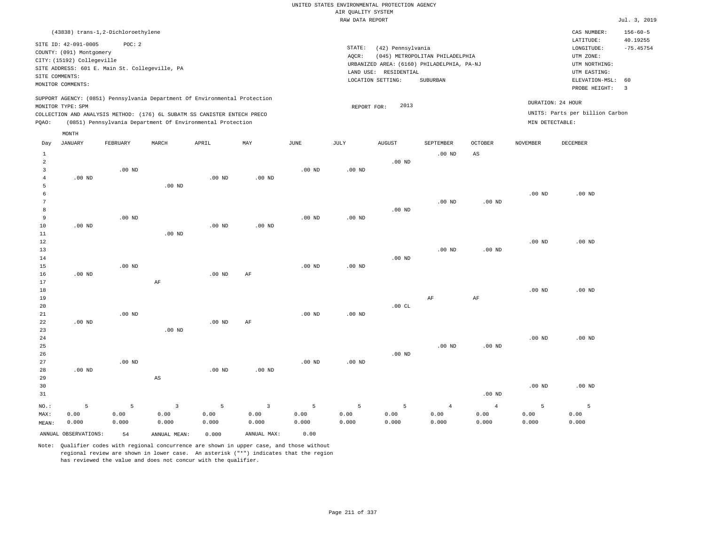|                | (43838) trans-1,2-Dichloroethylene             |                   |                                                                            |          |                         |                   |                   |                                            |                                 |                   |                   | CAS NUMBER:                     | $156 - 60 - 5$          |
|----------------|------------------------------------------------|-------------------|----------------------------------------------------------------------------|----------|-------------------------|-------------------|-------------------|--------------------------------------------|---------------------------------|-------------------|-------------------|---------------------------------|-------------------------|
|                | SITE ID: 42-091-0005                           | POC: 2            |                                                                            |          |                         |                   | STATE:            |                                            |                                 |                   |                   | LATITUDE:<br>LONGITUDE:         | 40.19255<br>$-75.45754$ |
|                | COUNTY: (091) Montgomery                       |                   |                                                                            |          |                         |                   | AQCR:             | (42) Pennsylvania                          | (045) METROPOLITAN PHILADELPHIA |                   |                   | UTM ZONE:                       |                         |
|                | CITY: (15192) Collegeville                     |                   |                                                                            |          |                         |                   |                   | URBANIZED AREA: (6160) PHILADELPHIA, PA-NJ |                                 |                   |                   | UTM NORTHING:                   |                         |
|                | SITE ADDRESS: 601 E. Main St. Collegeville, PA |                   |                                                                            |          |                         |                   |                   | LAND USE: RESIDENTIAL                      |                                 |                   |                   | UTM EASTING:                    |                         |
| SITE COMMENTS: |                                                |                   |                                                                            |          |                         |                   |                   | LOCATION SETTING:                          | <b>SUBURBAN</b>                 |                   |                   | ELEVATION-MSL:                  | 60                      |
|                | MONITOR COMMENTS:                              |                   |                                                                            |          |                         |                   |                   |                                            |                                 |                   |                   | PROBE HEIGHT:                   | $\overline{\mathbf{3}}$ |
|                | MONITOR TYPE: SPM                              |                   | SUPPORT AGENCY: (0851) Pennsylvania Department Of Environmental Protection |          |                         |                   |                   | 2013                                       |                                 |                   | DURATION: 24 HOUR |                                 |                         |
|                |                                                |                   | COLLECTION AND ANALYSIS METHOD: (176) 6L SUBATM SS CANISTER ENTECH PRECO   |          |                         |                   | REPORT FOR:       |                                            |                                 |                   |                   | UNITS: Parts per billion Carbon |                         |
| PQAO:          |                                                |                   | (0851) Pennsylvania Department Of Environmental Protection                 |          |                         |                   |                   |                                            |                                 |                   | MIN DETECTABLE:   |                                 |                         |
|                | MONTH                                          |                   |                                                                            |          |                         |                   |                   |                                            |                                 |                   |                   |                                 |                         |
| Day            | <b>JANUARY</b>                                 | FEBRUARY          | MARCH                                                                      | APRIL    | MAY                     | JUNE              | JULY              | <b>AUGUST</b>                              | SEPTEMBER                       | <b>OCTOBER</b>    | <b>NOVEMBER</b>   | <b>DECEMBER</b>                 |                         |
| $\mathbf{1}$   |                                                |                   |                                                                            |          |                         |                   |                   |                                            | $.00$ ND                        | $_{\rm AS}$       |                   |                                 |                         |
| $\overline{a}$ |                                                |                   |                                                                            |          |                         |                   |                   | $.00$ ND                                   |                                 |                   |                   |                                 |                         |
| $\overline{3}$ |                                                | $.00$ ND          |                                                                            |          |                         | $.00$ ND          | .00 <sub>ND</sub> |                                            |                                 |                   |                   |                                 |                         |
| $\overline{4}$ | $.00$ ND                                       |                   |                                                                            | $.00$ ND | $.00$ ND                |                   |                   |                                            |                                 |                   |                   |                                 |                         |
| 5              |                                                |                   | $.00$ ND                                                                   |          |                         |                   |                   |                                            |                                 |                   |                   |                                 |                         |
| 6              |                                                |                   |                                                                            |          |                         |                   |                   |                                            |                                 |                   | $.00$ ND          | $.00$ ND                        |                         |
| $\overline{7}$ |                                                |                   |                                                                            |          |                         |                   |                   |                                            | .00 <sub>ND</sub>               | $.00$ ND          |                   |                                 |                         |
| 8<br>9         |                                                |                   |                                                                            |          |                         |                   |                   | .00 <sub>ND</sub>                          |                                 |                   |                   |                                 |                         |
| 10             | $.00$ ND                                       | $.00$ ND          |                                                                            | $.00$ ND | $.00$ ND                | $.00$ ND          | $.00$ ND          |                                            |                                 |                   |                   |                                 |                         |
| $11\,$         |                                                |                   | .00 <sub>ND</sub>                                                          |          |                         |                   |                   |                                            |                                 |                   |                   |                                 |                         |
| 12             |                                                |                   |                                                                            |          |                         |                   |                   |                                            |                                 |                   | .00 <sub>ND</sub> | .00 <sub>ND</sub>               |                         |
| 13             |                                                |                   |                                                                            |          |                         |                   |                   |                                            | $.00$ ND                        | $.00$ ND          |                   |                                 |                         |
| 14             |                                                |                   |                                                                            |          |                         |                   |                   | $.00$ ND                                   |                                 |                   |                   |                                 |                         |
| 15             |                                                | $.00$ ND          |                                                                            |          |                         | .00 <sub>ND</sub> | $.00$ ND          |                                            |                                 |                   |                   |                                 |                         |
| 16             | $.00$ ND                                       |                   |                                                                            | $.00$ ND | AF                      |                   |                   |                                            |                                 |                   |                   |                                 |                         |
| 17             |                                                |                   | $\rm AF$                                                                   |          |                         |                   |                   |                                            |                                 |                   |                   |                                 |                         |
| 18             |                                                |                   |                                                                            |          |                         |                   |                   |                                            |                                 |                   | .00 <sub>ND</sub> | $.00$ ND                        |                         |
| 19<br>20       |                                                |                   |                                                                            |          |                         |                   |                   | .00CL                                      | AF                              | AF                |                   |                                 |                         |
| 21             |                                                | .00 <sub>ND</sub> |                                                                            |          |                         | .00 <sub>ND</sub> | $.00$ ND          |                                            |                                 |                   |                   |                                 |                         |
| 22             | $.00$ ND                                       |                   |                                                                            | $.00$ ND | AF                      |                   |                   |                                            |                                 |                   |                   |                                 |                         |
| 23             |                                                |                   | $.00$ ND                                                                   |          |                         |                   |                   |                                            |                                 |                   |                   |                                 |                         |
| 24             |                                                |                   |                                                                            |          |                         |                   |                   |                                            |                                 |                   | .00 <sub>ND</sub> | $.00$ ND                        |                         |
| 25             |                                                |                   |                                                                            |          |                         |                   |                   |                                            | .00 <sub>ND</sub>               | .00 <sub>ND</sub> |                   |                                 |                         |
| 26             |                                                |                   |                                                                            |          |                         |                   |                   | $.00$ ND                                   |                                 |                   |                   |                                 |                         |
| 27             |                                                | $.00$ ND          |                                                                            |          |                         | .00 <sub>ND</sub> | $.00$ ND          |                                            |                                 |                   |                   |                                 |                         |
| 28             | $.00$ ND                                       |                   |                                                                            | $.00$ ND | .00 <sub>ND</sub>       |                   |                   |                                            |                                 |                   |                   |                                 |                         |
| 29             |                                                |                   | $_{\rm AS}$                                                                |          |                         |                   |                   |                                            |                                 |                   |                   |                                 |                         |
| 30             |                                                |                   |                                                                            |          |                         |                   |                   |                                            |                                 |                   | $.00$ ND          | $.00$ ND                        |                         |
| 31             |                                                |                   |                                                                            |          |                         |                   |                   |                                            |                                 | $.00$ ND          |                   |                                 |                         |
| $NO.$ :        | 5                                              | 5                 | 3                                                                          | 5        | $\overline{\mathbf{3}}$ | 5                 | 5                 | 5                                          | $\overline{4}$                  | $\overline{4}$    | 5                 | 5                               |                         |
| MAX:           | 0.00                                           | 0.00              | 0.00                                                                       | 0.00     | 0.00                    | 0.00              | 0.00              | 0.00                                       | 0.00                            | 0.00              | 0.00              | 0.00                            |                         |
| MEAN:          | 0.000                                          | 0.000             | 0.000                                                                      | 0.000    | 0.000                   | 0.000             | 0.000             | 0.000                                      | 0.000                           | 0.000             | 0.000             | 0.000                           |                         |
|                | ANNUAL OBSERVATIONS:                           | 54                | ANNUAL MEAN:                                                               | 0.000    | ANNUAL MAX:             | 0.00              |                   |                                            |                                 |                   |                   |                                 |                         |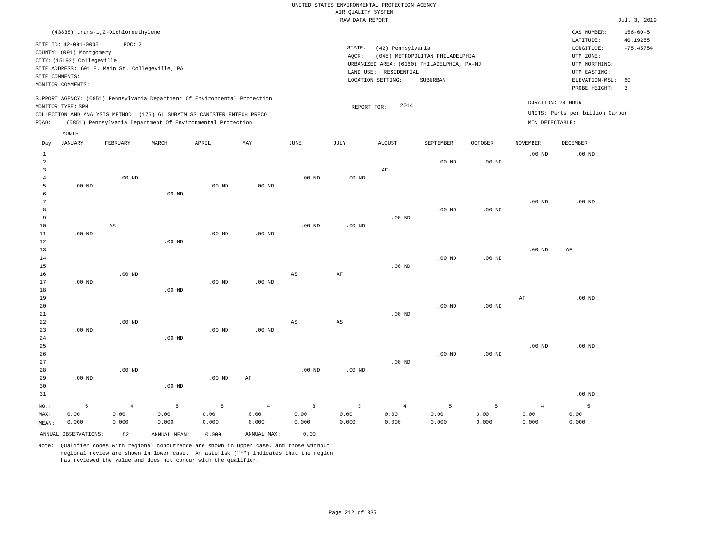| (43838) trans-1,2-Dichloroethylene                                                                                                                                                                                                                          |                                                                                                                                                                                 | CAS NUMBER:                                                                                                 | $156 - 60 - 5$          |
|-------------------------------------------------------------------------------------------------------------------------------------------------------------------------------------------------------------------------------------------------------------|---------------------------------------------------------------------------------------------------------------------------------------------------------------------------------|-------------------------------------------------------------------------------------------------------------|-------------------------|
| SITE ID: 42-091-0005<br>POC:2<br>COUNTY: (091) Montgomery<br>CITY: (15192) Collegeville<br>SITE ADDRESS: 601 E. Main St. Collegeville, PA<br>SITE COMMENTS:<br>MONITOR COMMENTS:                                                                            | STATE:<br>(42) Pennsylvania<br>(045) METROPOLITAN PHILADELPHIA<br>AOCR:<br>URBANIZED AREA: (6160) PHILADELPHIA, PA-NJ<br>LAND USE: RESIDENTIAL<br>LOCATION SETTING:<br>SUBURBAN | LATITUDE:<br>LONGITUDE:<br>UTM ZONE:<br>UTM NORTHING:<br>UTM EASTING:<br>ELEVATION-MSL: 60<br>PROBE HEIGHT: | 40.19255<br>$-75.45754$ |
| SUPPORT AGENCY: (0851) Pennsylvania Department Of Environmental Protection<br>MONITOR TYPE: SPM<br>COLLECTION AND ANALYSIS METHOD: (176) 6L SUBATM SS CANISTER ENTECH PRECO<br>(0851) Pennsylvania Department Of Environmental Protection<br>POAO:<br>MONTH | 2014<br>REPORT FOR:                                                                                                                                                             | DURATION: 24 HOUR<br>UNITS: Parts per billion Carbon<br>MIN DETECTABLE:                                     |                         |

| Day                     | JANUARY              | FEBRUARY               | MARCH             | APRIL    | MAY            | JUNE        | JULY                   | AUGUST         | SEPTEMBER   | OCTOBER           | NOVEMBER          | DECEMBER |
|-------------------------|----------------------|------------------------|-------------------|----------|----------------|-------------|------------------------|----------------|-------------|-------------------|-------------------|----------|
| $\mathbf{1}$            |                      |                        |                   |          |                |             |                        |                |             |                   | .00 <sub>ND</sub> | $.00$ ND |
| $\overline{\mathbf{c}}$ |                      |                        |                   |          |                |             |                        |                | $.00$ ND    | $.00$ ND          |                   |          |
| 3                       |                      |                        |                   |          |                |             |                        | $\rm AF$       |             |                   |                   |          |
| $\overline{4}$          |                      | $.00$ ND               |                   |          |                | $.00$ ND    | .00 <sub>ND</sub>      |                |             |                   |                   |          |
| 5                       | $.00$ ND             |                        |                   | .00 $ND$ | $.00$ ND       |             |                        |                |             |                   |                   |          |
| 6                       |                      |                        | $.00$ ND          |          |                |             |                        |                |             |                   |                   |          |
| 7                       |                      |                        |                   |          |                |             |                        |                |             |                   | $.00~\mathrm{ND}$ | $.00$ ND |
| 8                       |                      |                        |                   |          |                |             |                        |                | $.00$ ND    | $.00$ ND          |                   |          |
| 9                       |                      |                        |                   |          |                |             |                        | $.00$ ND       |             |                   |                   |          |
| 10                      |                      | $\mathbb{A}\mathbb{S}$ |                   |          |                | $.00$ ND    | $.00$ ND               |                |             |                   |                   |          |
| 11                      | $.00$ ND             |                        |                   | $.00$ ND | $.00$ ND       |             |                        |                |             |                   |                   |          |
| 12                      |                      |                        | $.00$ ND          |          |                |             |                        |                |             |                   |                   |          |
| 13                      |                      |                        |                   |          |                |             |                        |                |             |                   | $.00$ ND          | AF       |
| 14                      |                      |                        |                   |          |                |             |                        |                | $.00$ ND    | $.00$ ND          |                   |          |
| 15                      |                      |                        |                   |          |                |             |                        | $.00$ ND       |             |                   |                   |          |
| 16                      |                      | $.00$ ND               |                   |          |                | $_{\rm AS}$ | $\rm{AF}$              |                |             |                   |                   |          |
| 17                      | $.00$ ND             |                        |                   | $.00$ ND | $.00$ ND       |             |                        |                |             |                   |                   |          |
| 18                      |                      |                        | $.00$ ND          |          |                |             |                        |                |             |                   |                   |          |
| 19                      |                      |                        |                   |          |                |             |                        |                |             |                   | AF                | $.00$ ND |
| 20                      |                      |                        |                   |          |                |             |                        |                | $.00$ ND    | .00 <sub>ND</sub> |                   |          |
| $2\sqrt{1}$             |                      |                        |                   |          |                |             |                        | $.00$ ND       |             |                   |                   |          |
| 22<br>23                |                      | $.00$ ND               |                   | $.00$ ND | $.00$ ND       | AS          | $\mathbb{A}\mathbb{S}$ |                |             |                   |                   |          |
| 24                      | $.00$ ND             |                        | $.00$ ND          |          |                |             |                        |                |             |                   |                   |          |
| 25                      |                      |                        |                   |          |                |             |                        |                |             |                   | $.00$ ND          | $.00$ ND |
| 26                      |                      |                        |                   |          |                |             |                        |                | $.00$ ND    | $.00$ ND          |                   |          |
| 27                      |                      |                        |                   |          |                |             |                        | $.00$ ND       |             |                   |                   |          |
| 28                      |                      | $.00$ ND               |                   |          |                | $.00$ ND    | $.00$ ND               |                |             |                   |                   |          |
| 29                      | $.00$ ND             |                        |                   | $.00$ ND | $\rm AF$       |             |                        |                |             |                   |                   |          |
| 30                      |                      |                        | .00 <sub>ND</sub> |          |                |             |                        |                |             |                   |                   |          |
| 31                      |                      |                        |                   |          |                |             |                        |                |             |                   |                   | $.00$ ND |
|                         |                      |                        |                   |          |                |             |                        |                |             |                   |                   |          |
| $_{\rm NO.}$ :          | 5                    | $\overline{4}$         | $5\phantom{.0}$   | 5        | $\overline{4}$ | $\mathsf 3$ | $\mathsf 3$            | $\overline{4}$ | $\mathsf S$ | 5                 | $\overline{4}$    | 5        |
| MAX:                    | 0.00                 | 0.00                   | 0.00              | 0.00     | 0.00           | 0.00        | 0.00                   | 0.00           | 0.00        | 0.00              | 0.00              | 0.00     |
| MEAN:                   | 0.000                | 0.000                  | 0.000             | 0.000    | 0.000          | 0.000       | 0.000                  | 0.000          | 0.000       | 0.000             | 0.000             | 0.000    |
|                         | ANNUAL OBSERVATIONS: | 52                     | ANNUAL MEAN:      | 0.000    | ANNUAL MAX:    | 0.00        |                        |                |             |                   |                   |          |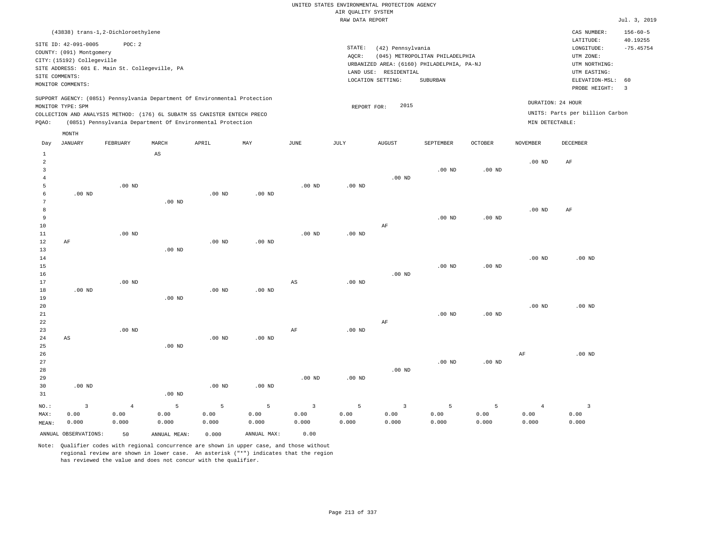| (43838) trans-1,2-Dichloroethylene                                                                                                                                                                                                                 |                                                                                                                                                                                 | CAS NUMBER:                                                                                                 | $156 - 60 - 5$          |
|----------------------------------------------------------------------------------------------------------------------------------------------------------------------------------------------------------------------------------------------------|---------------------------------------------------------------------------------------------------------------------------------------------------------------------------------|-------------------------------------------------------------------------------------------------------------|-------------------------|
| SITE ID: 42-091-0005<br>POC:2<br>COUNTY: (091) Montgomery<br>CITY: (15192) Collegeville<br>SITE ADDRESS: 601 E. Main St. Collegeville, PA<br>SITE COMMENTS:<br>MONITOR COMMENTS:                                                                   | STATE:<br>(42) Pennsylvania<br>(045) METROPOLITAN PHILADELPHIA<br>AOCR:<br>URBANIZED AREA: (6160) PHILADELPHIA, PA-NJ<br>LAND USE: RESIDENTIAL<br>LOCATION SETTING:<br>SUBURBAN | LATITUDE:<br>LONGITUDE:<br>UTM ZONE:<br>UTM NORTHING:<br>UTM EASTING:<br>ELEVATION-MSL: 60<br>PROBE HEIGHT: | 40.19255<br>$-75.45754$ |
| SUPPORT AGENCY: (0851) Pennsylvania Department Of Environmental Protection<br>MONITOR TYPE: SPM<br>COLLECTION AND ANALYSIS METHOD: (176) 6L SUBATM SS CANISTER ENTECH PRECO<br>(0851) Pennsylvania Department Of Environmental Protection<br>POAO: | 2015<br>REPORT FOR:                                                                                                                                                             | DURATION: 24 HOUR<br>UNITS: Parts per billion Carbon<br>MIN DETECTABLE:                                     |                         |

|                                                            | MONTH                           |                                 |                        |                    |                    |                                 |                    |                                          |                    |                    |                                 |                                          |
|------------------------------------------------------------|---------------------------------|---------------------------------|------------------------|--------------------|--------------------|---------------------------------|--------------------|------------------------------------------|--------------------|--------------------|---------------------------------|------------------------------------------|
| Day                                                        | JANUARY                         | FEBRUARY                        | MARCH                  | APRIL              | MAY                | JUNE                            | JULY               | AUGUST                                   | SEPTEMBER          | OCTOBER            | NOVEMBER                        | DECEMBER                                 |
| $\mathbf{1}$<br>$\overline{a}$<br>3<br>$\overline{4}$<br>5 |                                 | $.00$ ND                        | $\mathbb{A}\mathbb{S}$ |                    |                    | $.00$ ND                        | $.00$ ND           | $.00$ ND                                 | $.00$ ND           | .00 $ND$           | $.00$ ND                        | $\rm AF$                                 |
| 6<br>7<br>8<br>9<br>10<br>11                               | $.00$ ND                        | $.00$ ND                        | .00 <sub>ND</sub>      | .00 <sub>ND</sub>  | $.00$ ND           | $.00$ ND                        | $.00$ ND           | $\rm AF$                                 | $.00$ ND           | .00 <sub>ND</sub>  | $.00$ ND                        | AF                                       |
| 12<br>13<br>14<br>15<br>16<br>17                           | $\rm AF$                        | $.00$ ND                        | .00 <sub>ND</sub>      | .00 <sub>ND</sub>  | $.00$ ND           | $_{\rm AS}$                     | $.00$ ND           | $.00$ ND                                 | $.00$ ND           | .00 <sub>ND</sub>  | $.00$ ND                        | $.00$ ND                                 |
| 18<br>19<br>20<br>21<br>22                                 | $.00$ ND                        |                                 | .00 <sub>ND</sub>      | .00 <sub>ND</sub>  | $.00$ ND           |                                 |                    | $\rm AF$                                 | $.00$ ND           | $.00$ ND           | $.00$ ND                        | .00 <sub>ND</sub>                        |
| 23<br>24<br>25<br>26<br>27<br>28                           | $\mathbb{A}\mathbb{S}$          | $.00$ ND                        | $.00$ ND               | .00 <sub>ND</sub>  | $.00$ ND           | $\rm{AF}$                       | $.00$ ND           | $.00$ ND                                 | $.00$ ND           | $.00$ ND           | $\rm{AF}$                       | $.00$ ND                                 |
| 29<br>30<br>31                                             | $.00$ ND                        |                                 | $.00$ ND               | .00 <sub>ND</sub>  | $.00$ ND           | $.00$ ND                        | $.00$ ND           |                                          |                    |                    |                                 |                                          |
| NO.:<br>MAX:<br>MEAN:                                      | $\overline{3}$<br>0.00<br>0.000 | $\overline{4}$<br>0.00<br>0.000 | 5<br>0.00<br>0.000     | 5<br>0.00<br>0.000 | 5<br>0.00<br>0.000 | $\overline{3}$<br>0.00<br>0.000 | 5<br>0.00<br>0.000 | $\overline{\mathbf{3}}$<br>0.00<br>0.000 | 5<br>0.00<br>0.000 | 5<br>0.00<br>0.000 | $\overline{4}$<br>0.00<br>0.000 | $\overline{\mathbf{3}}$<br>0.00<br>0.000 |
|                                                            | ANNUAL OBSERVATIONS:            | 50                              | ANNUAL MEAN:           | 0.000              | ANNUAL MAX:        | 0.00                            |                    |                                          |                    |                    |                                 |                                          |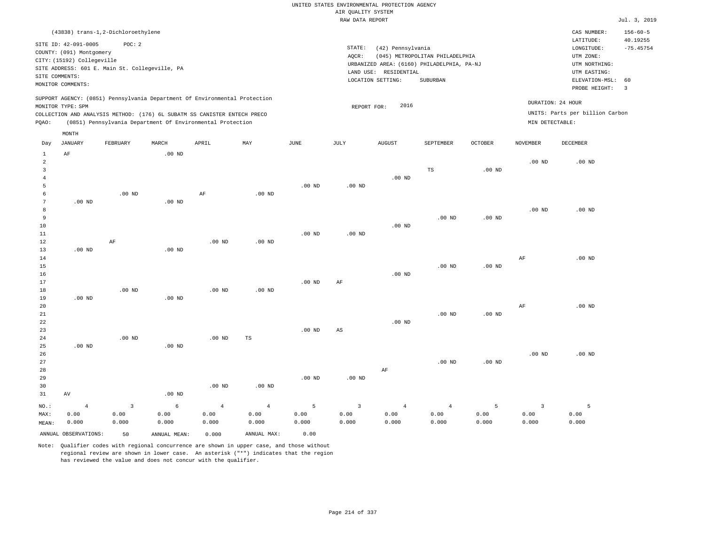UNITED STATES ENVIRONMENTAL PROTECTION AGENCY AIR QUALITY SYSTEM

|                        |                                                                                                                       |                                                                                                                                                                                                                      |          |          |          |                   | RAW DATA REPORT                                                                                                                                                                    |               |                   |                   |                   |                                                      | Jul. 3, 2019                                                             |
|------------------------|-----------------------------------------------------------------------------------------------------------------------|----------------------------------------------------------------------------------------------------------------------------------------------------------------------------------------------------------------------|----------|----------|----------|-------------------|------------------------------------------------------------------------------------------------------------------------------------------------------------------------------------|---------------|-------------------|-------------------|-------------------|------------------------------------------------------|--------------------------------------------------------------------------|
|                        |                                                                                                                       | (43838) trans-1,2-Dichloroethylene                                                                                                                                                                                   |          |          |          |                   |                                                                                                                                                                                    |               |                   |                   |                   | CAS NUMBER:                                          | $156 - 60 - 5$                                                           |
|                        | SITE ID: 42-091-0005<br>COUNTY: (091) Montgomery<br>CITY: (15192) Collegeville<br>SITE COMMENTS:<br>MONITOR COMMENTS: | POC: 2<br>SITE ADDRESS: 601 E. Main St. Collegeville, PA                                                                                                                                                             |          |          |          |                   | STATE:<br>(42) Pennsylvania<br>(045) METROPOLITAN PHILADELPHIA<br>AOCR:<br>URBANIZED AREA: (6160) PHILADELPHIA, PA-NJ<br>RESIDENTIAL<br>LAND USE:<br>LOCATION SETTING:<br>SUBURBAN |               |                   |                   |                   |                                                      | 40.19255<br>$-75.45754$<br>ELEVATION-MSL: 60<br>$\overline{\phantom{a}}$ |
| PQAO:                  | MONITOR TYPE: SPM                                                                                                     | SUPPORT AGENCY: (0851) Pennsylvania Department Of Environmental Protection<br>COLLECTION AND ANALYSIS METHOD: (176) 6L SUBATM SS CANISTER ENTECH PRECO<br>(0851) Pennsylvania Department Of Environmental Protection |          |          |          |                   | REPORT FOR:                                                                                                                                                                        | 2016          |                   |                   | MIN DETECTABLE:   | DURATION: 24 HOUR<br>UNITS: Parts per billion Carbon |                                                                          |
| Day                    | MONTH<br>JANUARY                                                                                                      | FEBRUARY                                                                                                                                                                                                             | MARCH    | APRIL    | MAY      | JUNE              | JULY                                                                                                                                                                               | <b>AUGUST</b> | <b>SEPTEMBER</b>  | <b>OCTOBER</b>    | NOVEMBER          | DECEMBER                                             |                                                                          |
| $\mathbf{1}$<br>2<br>3 | AF                                                                                                                    |                                                                                                                                                                                                                      | $.00$ ND |          |          | .00 <sub>ND</sub> | $.00$ ND                                                                                                                                                                           | $.00$ ND      | TS                | .00 <sub>ND</sub> | .00 <sub>ND</sub> | $.00$ ND                                             |                                                                          |
| 8<br>9                 | $.00$ ND                                                                                                              | $.00$ ND                                                                                                                                                                                                             | $.00$ ND | AF       | $.00$ ND |                   |                                                                                                                                                                                    |               | .00 <sub>ND</sub> | $.00$ ND          | .00 <sub>ND</sub> | $.00$ ND                                             |                                                                          |
| 10<br>11<br>12<br>13   | $.00$ ND                                                                                                              | AF                                                                                                                                                                                                                   | $.00$ ND | $.00$ ND | $.00$ ND | $.00$ ND          | $.00$ ND                                                                                                                                                                           | $.00$ ND      |                   |                   |                   |                                                      |                                                                          |

14 15 16 17 18 19 .00 ND .00 ND .00 ND .00 ND .00 ND .00 ND AF .00 ND .00 ND .00 ND AF .00 ND

| NO.∶ | $\overline{4}$ | $\overline{3}$ | 6        | 4        | 4        | 5        | 3        | $\overline{4}$ | $\overline{4}$ | 5        | $\overline{3}$ | ъ.       |
|------|----------------|----------------|----------|----------|----------|----------|----------|----------------|----------------|----------|----------------|----------|
| 31   | AV             |                | $.00$ ND |          |          |          |          |                |                |          |                |          |
| 30   |                |                |          | $.00$ ND | $.00$ ND |          |          |                |                |          |                |          |
| 29   |                |                |          |          |          | $.00$ ND | $.00$ ND |                |                |          |                |          |
| 28   |                |                |          |          |          |          |          | AF             |                |          |                |          |
| 27   |                |                |          |          |          |          |          |                | $.00$ ND       | $.00$ ND |                |          |
| 26   |                |                |          |          |          |          |          |                |                |          | $.00$ ND       | $.00$ ND |
| 25   | $.00$ ND       |                | $.00$ ND |          |          |          |          |                |                |          |                |          |
| 24   |                | $.00$ ND       |          | $.00$ ND | TS       |          |          |                |                |          |                |          |
| 23   |                |                |          |          |          | $.00$ ND | AS       |                |                |          |                |          |
| 22   |                |                |          |          |          |          |          | $.00$ ND       |                |          |                |          |
| 21   |                |                |          |          |          |          |          |                | $.00$ ND       | $.00$ ND |                |          |
| 20   |                |                |          |          |          |          |          |                |                |          | AF             | $.00$ ND |

| MAX:  | 0.00                    | 0.00  | 0.00         | 0.00  | 0.00        | 0.00  | 0.00  | 0.00  | 0.00  | 0.00  | 0.00  | 0.00  |
|-------|-------------------------|-------|--------------|-------|-------------|-------|-------|-------|-------|-------|-------|-------|
| MEAN: | 0.000                   | 0.000 | 0.000        | 0.000 | 0.000       | 0.000 | 0.000 | 0.000 | 0.000 | 0.000 | 0.000 | 0.000 |
|       | ANNUAL OBSERVATIONS: 50 |       | ANNUAL MEAN: | 0.000 | ANNUAL MAX: | 0.00  |       |       |       |       |       |       |

Note: Qualifier codes with regional concurrence are shown in upper case, and those without regional review are shown in lower case. An asterisk ("\*") indicates that the region has reviewed the value and does not concur with the qualifier.

20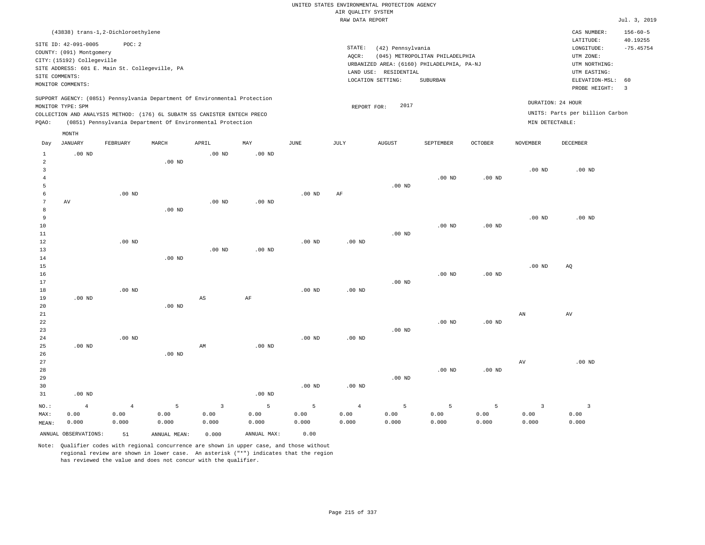| (43838) trans-1,2-Dichloroethylene                                                                                                                                                                                                                 |                                                                                                                                                                                 | CAS NUMBER:                                                                                                 | $156 - 60 - 5$                                     |
|----------------------------------------------------------------------------------------------------------------------------------------------------------------------------------------------------------------------------------------------------|---------------------------------------------------------------------------------------------------------------------------------------------------------------------------------|-------------------------------------------------------------------------------------------------------------|----------------------------------------------------|
| SITE ID: 42-091-0005<br>POC: 2<br>COUNTY: (091) Montgomery<br>CITY: (15192) Collegeville<br>SITE ADDRESS: 601 E. Main St. Collegeville, PA<br>SITE COMMENTS:<br>MONITOR COMMENTS:                                                                  | STATE:<br>(42) Pennsylvania<br>(045) METROPOLITAN PHILADELPHIA<br>AOCR:<br>URBANIZED AREA: (6160) PHILADELPHIA, PA-NJ<br>LAND USE: RESIDENTIAL<br>LOCATION SETTING:<br>SUBURBAN | LATITUDE:<br>LONGITUDE:<br>UTM ZONE:<br>UTM NORTHING:<br>UTM EASTING:<br>ELEVATION-MSL: 60<br>PROBE HEIGHT: | 40.19255<br>$-75.45754$<br>$\overline{\mathbf{3}}$ |
| SUPPORT AGENCY: (0851) Pennsylvania Department Of Environmental Protection<br>MONITOR TYPE: SPM<br>COLLECTION AND ANALYSIS METHOD: (176) 6L SUBATM SS CANISTER ENTECH PRECO<br>POAO:<br>(0851) Pennsylvania Department Of Environmental Protection | 2017<br>REPORT FOR:                                                                                                                                                             | DURATION: 24 HOUR<br>UNITS: Parts per billion Carbon<br>MIN DETECTABLE:                                     |                                                    |
| MONTH                                                                                                                                                                                                                                              |                                                                                                                                                                                 |                                                                                                             |                                                    |

| Day            | JANUARY              | FEBRUARY          | $\tt MARCH$       | APRIL                   | MAY            | $_{\rm JUNE}$ | JULY              | ${\tt AUGUST}$    | SEPTEMBER | OCTOBER           | NOVEMBER                | DECEMBER            |
|----------------|----------------------|-------------------|-------------------|-------------------------|----------------|---------------|-------------------|-------------------|-----------|-------------------|-------------------------|---------------------|
| $\mathbf{1}$   | $.00$ ND             |                   |                   | $.00$ ND                | $.00$ ND       |               |                   |                   |           |                   |                         |                     |
| $\overline{a}$ |                      |                   | .00 <sub>ND</sub> |                         |                |               |                   |                   |           |                   |                         |                     |
| 3              |                      |                   |                   |                         |                |               |                   |                   |           |                   | .00 $ND$                | $.00$ ND            |
| 4              |                      |                   |                   |                         |                |               |                   |                   | $.00$ ND  | $.00$ ND          |                         |                     |
| 5              |                      |                   |                   |                         |                |               |                   | .00 <sub>ND</sub> |           |                   |                         |                     |
| 6              |                      | $.00$ ND          |                   |                         |                | $.00$ ND      | $\rm{AF}$         |                   |           |                   |                         |                     |
| 7              | AV                   |                   |                   | $.00$ ND                | $.00$ ND       |               |                   |                   |           |                   |                         |                     |
| 8              |                      |                   | $.00$ ND          |                         |                |               |                   |                   |           |                   |                         |                     |
| 9              |                      |                   |                   |                         |                |               |                   |                   |           |                   | $.00$ ND                | $.00$ ND            |
| 10             |                      |                   |                   |                         |                |               |                   |                   | $.00$ ND  | .00 <sub>ND</sub> |                         |                     |
| $11\,$         |                      |                   |                   |                         |                |               |                   | $.00$ ND          |           |                   |                         |                     |
| 12             |                      | $.00$ ND          |                   |                         |                | $.00$ ND      | $.00$ ND          |                   |           |                   |                         |                     |
| 13             |                      |                   |                   | $.00$ ND                | $.00$ ND       |               |                   |                   |           |                   |                         |                     |
| 14             |                      |                   | $.00$ ND          |                         |                |               |                   |                   |           |                   |                         |                     |
| 15             |                      |                   |                   |                         |                |               |                   |                   |           |                   | .00 $ND$                | AQ                  |
| 16             |                      |                   |                   |                         |                |               |                   |                   | $.00$ ND  | $.00$ ND          |                         |                     |
| 17             |                      | .00 <sub>ND</sub> |                   |                         |                |               |                   | $.00$ ND          |           |                   |                         |                     |
| 18<br>19       | $.00~\mathrm{ND}$    |                   |                   | $\mathbb{A}\mathbb{S}$  | $\rm AF$       | .00 $ND$      | $.00$ ND          |                   |           |                   |                         |                     |
| 20             |                      |                   | .00 <sub>ND</sub> |                         |                |               |                   |                   |           |                   |                         |                     |
| 21             |                      |                   |                   |                         |                |               |                   |                   |           |                   | $\mathbf{A}\mathbf{N}$  | $\operatorname{AV}$ |
| 22             |                      |                   |                   |                         |                |               |                   |                   | $.00$ ND  | .00 <sub>ND</sub> |                         |                     |
| 23             |                      |                   |                   |                         |                |               |                   | .00 <sub>ND</sub> |           |                   |                         |                     |
| 24             |                      | $.00$ ND          |                   |                         |                | $.00$ ND      | $.00$ ND          |                   |           |                   |                         |                     |
| 25             | .00 $ND$             |                   |                   | AM                      | $.00$ ND       |               |                   |                   |           |                   |                         |                     |
| 26             |                      |                   | $.00$ ND          |                         |                |               |                   |                   |           |                   |                         |                     |
| 27             |                      |                   |                   |                         |                |               |                   |                   |           |                   | $\operatorname{AV}$     | $.00$ ND            |
| 28             |                      |                   |                   |                         |                |               |                   |                   | $.00$ ND  | .00 <sub>ND</sub> |                         |                     |
| 29             |                      |                   |                   |                         |                |               |                   | $.00$ ND          |           |                   |                         |                     |
| 30             |                      |                   |                   |                         |                | $.00$ ND      | .00 <sub>ND</sub> |                   |           |                   |                         |                     |
| 31             | $.00$ ND             |                   |                   |                         | $.00$ ND       |               |                   |                   |           |                   |                         |                     |
| $_{\rm NO.}$ : | $\overline{4}$       | $\bf{4}$          | $\mathsf S$       | $\overline{\mathbf{3}}$ | $\overline{5}$ | 5             | $\overline{4}$    | 5                 | 5         | 5                 | $\overline{\mathbf{3}}$ | $\overline{3}$      |
| MAX:           | 0.00                 | 0.00              | 0.00              | 0.00                    | 0.00           | 0.00          | 0.00              | 0.00              | 0.00      | 0.00              | 0.00                    | 0.00                |
| MEAN:          | 0.000                | 0.000             | 0.000             | 0.000                   | 0.000          | 0.000         | 0.000             | 0.000             | 0.000     | 0.000             | 0.000                   | 0.000               |
|                | ANNUAL OBSERVATIONS: | 51                | ANNUAL MEAN:      | 0.000                   | ANNUAL MAX:    | 0.00          |                   |                   |           |                   |                         |                     |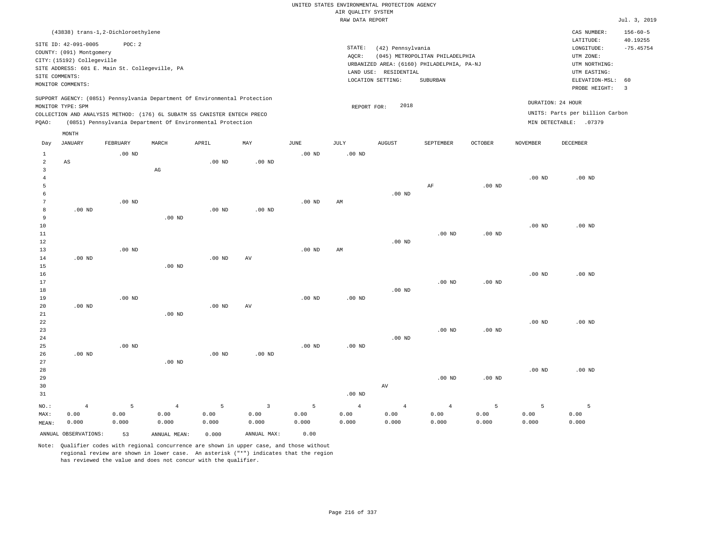|                |                                                |                   |                                                                            |          |                |                   | UNITED STATES ENVIRONMENTAL PROTECTION AGENCY |                       |                                            |                   |                   |                                 |                            |
|----------------|------------------------------------------------|-------------------|----------------------------------------------------------------------------|----------|----------------|-------------------|-----------------------------------------------|-----------------------|--------------------------------------------|-------------------|-------------------|---------------------------------|----------------------------|
|                |                                                |                   |                                                                            |          |                |                   | AIR QUALITY SYSTEM                            |                       |                                            |                   |                   |                                 |                            |
|                |                                                |                   |                                                                            |          |                |                   | RAW DATA REPORT                               |                       |                                            |                   |                   |                                 | Jul. 3, 2019               |
|                |                                                |                   |                                                                            |          |                |                   |                                               |                       |                                            |                   |                   |                                 |                            |
|                | (43838) trans-1,2-Dichloroethylene             |                   |                                                                            |          |                |                   |                                               |                       |                                            |                   |                   | CAS NUMBER:<br>LATITUDE:        | $156 - 60 - 5$<br>40.19255 |
|                | SITE ID: 42-091-0005                           | POC: 2            |                                                                            |          |                |                   | STATE:                                        |                       |                                            |                   |                   | LONGITUDE:                      | $-75.45754$                |
|                | COUNTY: (091) Montgomery                       |                   |                                                                            |          |                |                   | AOCR:                                         | (42) Pennsylvania     | (045) METROPOLITAN PHILADELPHIA            |                   |                   | UTM ZONE:                       |                            |
|                | CITY: (15192) Collegeville                     |                   |                                                                            |          |                |                   |                                               |                       |                                            |                   |                   | UTM NORTHING:                   |                            |
|                | SITE ADDRESS: 601 E. Main St. Collegeville, PA |                   |                                                                            |          |                |                   |                                               | LAND USE: RESIDENTIAL | URBANIZED AREA: (6160) PHILADELPHIA, PA-NJ |                   |                   | UTM EASTING:                    |                            |
|                | SITE COMMENTS:                                 |                   |                                                                            |          |                |                   |                                               | LOCATION SETTING:     | SUBURBAN                                   |                   |                   | ELEVATION-MSL:                  | 60                         |
|                | MONITOR COMMENTS:                              |                   |                                                                            |          |                |                   |                                               |                       |                                            |                   |                   | PROBE HEIGHT:                   | $\overline{\mathbf{3}}$    |
|                |                                                |                   | SUPPORT AGENCY: (0851) Pennsylvania Department Of Environmental Protection |          |                |                   |                                               |                       |                                            |                   |                   |                                 |                            |
|                | MONITOR TYPE: SPM                              |                   |                                                                            |          |                |                   | REPORT FOR:                                   | 2018                  |                                            |                   | DURATION: 24 HOUR |                                 |                            |
|                |                                                |                   | COLLECTION AND ANALYSIS METHOD: (176) 6L SUBATM SS CANISTER ENTECH PRECO   |          |                |                   |                                               |                       |                                            |                   |                   | UNITS: Parts per billion Carbon |                            |
| PQAO:          |                                                |                   | (0851) Pennsylvania Department Of Environmental Protection                 |          |                |                   |                                               |                       |                                            |                   |                   | MIN DETECTABLE: .07379          |                            |
|                | MONTH                                          |                   |                                                                            |          |                |                   |                                               |                       |                                            |                   |                   |                                 |                            |
| Day            | <b>JANUARY</b>                                 | FEBRUARY          | MARCH                                                                      | APRIL    | MAY            | JUNE              | JULY                                          | <b>AUGUST</b>         | SEPTEMBER                                  | <b>OCTOBER</b>    | <b>NOVEMBER</b>   | DECEMBER                        |                            |
| $\mathbf{1}$   |                                                | $.00$ ND          |                                                                            |          |                | $.00$ ND          | $.00$ ND                                      |                       |                                            |                   |                   |                                 |                            |
| $\overline{a}$ | $\mathbb{A}\mathbb{S}$                         |                   |                                                                            | $.00$ ND | $.00$ ND       |                   |                                               |                       |                                            |                   |                   |                                 |                            |
| $\overline{3}$ |                                                |                   | $\mathbb{A}\mathbb{G}$                                                     |          |                |                   |                                               |                       |                                            |                   |                   |                                 |                            |
| $\overline{4}$ |                                                |                   |                                                                            |          |                |                   |                                               |                       |                                            |                   | .00 <sub>ND</sub> | $.00$ ND                        |                            |
| 5              |                                                |                   |                                                                            |          |                |                   |                                               |                       | $\rm AF$                                   | .00 <sub>ND</sub> |                   |                                 |                            |
| 6              |                                                |                   |                                                                            |          |                |                   |                                               | $.00$ ND              |                                            |                   |                   |                                 |                            |
| $\overline{7}$ |                                                | $.00$ ND          |                                                                            |          |                | .00 <sub>ND</sub> | AM                                            |                       |                                            |                   |                   |                                 |                            |
| 8              | $.00$ ND                                       |                   |                                                                            | $.00$ ND | $.00$ ND       |                   |                                               |                       |                                            |                   |                   |                                 |                            |
| 9              |                                                |                   | $.00$ ND                                                                   |          |                |                   |                                               |                       |                                            |                   |                   |                                 |                            |
| $10$           |                                                |                   |                                                                            |          |                |                   |                                               |                       |                                            |                   | .00 <sub>ND</sub> | .00 <sub>ND</sub>               |                            |
| 11             |                                                |                   |                                                                            |          |                |                   |                                               |                       | $.00$ ND                                   | .00 <sub>ND</sub> |                   |                                 |                            |
| 12             |                                                |                   |                                                                            |          |                |                   |                                               | $.00$ ND              |                                            |                   |                   |                                 |                            |
| 13             |                                                | $.00$ ND          |                                                                            |          |                | .00 <sub>ND</sub> | AM                                            |                       |                                            |                   |                   |                                 |                            |
| 14             | $.00$ ND                                       |                   |                                                                            | $.00$ ND | AV             |                   |                                               |                       |                                            |                   |                   |                                 |                            |
| 15             |                                                |                   | $.00$ ND                                                                   |          |                |                   |                                               |                       |                                            |                   |                   |                                 |                            |
| 16             |                                                |                   |                                                                            |          |                |                   |                                               |                       |                                            |                   | $.00$ ND          | $.00$ ND                        |                            |
| $17$           |                                                |                   |                                                                            |          |                |                   |                                               |                       | $.00$ ND                                   | .00 <sub>ND</sub> |                   |                                 |                            |
| 18             |                                                |                   |                                                                            |          |                |                   |                                               | $.00$ ND              |                                            |                   |                   |                                 |                            |
| 19             |                                                | .00 <sub>ND</sub> |                                                                            |          |                | $.00$ ND          | $.00$ ND                                      |                       |                                            |                   |                   |                                 |                            |
| 20             | $.00$ ND                                       |                   |                                                                            | $.00$ ND | AV             |                   |                                               |                       |                                            |                   |                   |                                 |                            |
| 21             |                                                |                   | .00 <sub>ND</sub>                                                          |          |                |                   |                                               |                       |                                            |                   |                   |                                 |                            |
| 22             |                                                |                   |                                                                            |          |                |                   |                                               |                       |                                            |                   | $.00$ ND          | $.00$ ND                        |                            |
| 23             |                                                |                   |                                                                            |          |                |                   |                                               |                       | $.00$ ND                                   | .00 <sub>ND</sub> |                   |                                 |                            |
| 24             |                                                |                   |                                                                            |          |                |                   |                                               | $.00$ ND              |                                            |                   |                   |                                 |                            |
| 25             |                                                | $.00$ ND          |                                                                            |          |                | $.00$ ND          | $.00$ ND                                      |                       |                                            |                   |                   |                                 |                            |
| 26             | $.00$ ND                                       |                   |                                                                            | $.00$ ND | $.00$ ND       |                   |                                               |                       |                                            |                   |                   |                                 |                            |
| 27             |                                                |                   | .00 <sub>ND</sub>                                                          |          |                |                   |                                               |                       |                                            |                   |                   |                                 |                            |
| 28             |                                                |                   |                                                                            |          |                |                   |                                               |                       |                                            |                   | $.00$ ND          | $.00$ ND                        |                            |
| 29             |                                                |                   |                                                                            |          |                |                   |                                               |                       | $.00$ ND                                   | .00 <sub>ND</sub> |                   |                                 |                            |
| 30             |                                                |                   |                                                                            |          |                |                   |                                               | AV                    |                                            |                   |                   |                                 |                            |
| 31             |                                                |                   |                                                                            |          |                |                   | $.00$ ND                                      |                       |                                            |                   |                   |                                 |                            |
| NO.:           | $\overline{4}$                                 | 5                 | $\overline{4}$                                                             | 5        | $\overline{3}$ | 5                 | $\overline{4}$                                | $\overline{4}$        | $\overline{4}$                             | 5                 | 5                 | $\overline{5}$                  |                            |
| MAX:           | 0.00                                           | 0.00              | 0.00                                                                       | 0.00     | 0.00           | 0.00              | 0.00                                          | 0.00                  | 0.00                                       | 0.00              | 0.00              | 0.00                            |                            |
| MEAN:          | 0.000                                          | 0.000             | 0.000                                                                      | 0.000    | 0.000          | 0.000             | 0.000                                         | 0.000                 | 0.000                                      | 0.000             | 0.000             | 0.000                           |                            |
|                | ANNUAL OBSERVATIONS:                           | 53                | ANNUAL MEAN:                                                               | 0.000    | ANNUAL MAX:    | 0.00              |                                               |                       |                                            |                   |                   |                                 |                            |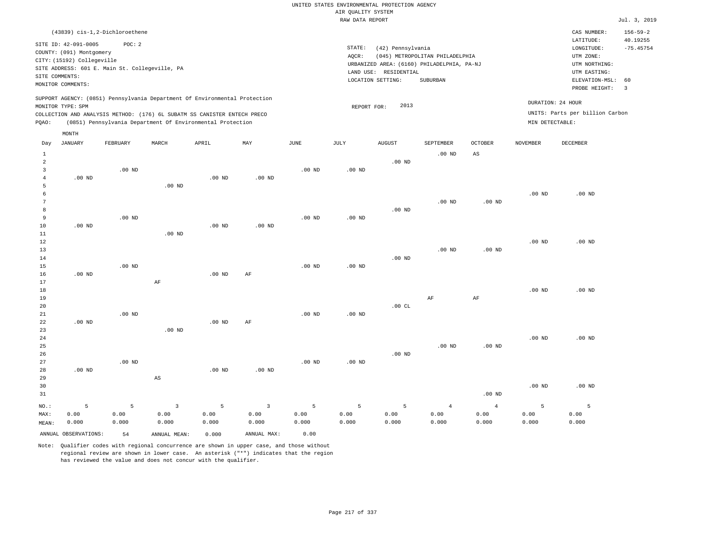|                                                         |                                                                                                                       |                                                                                                                                                                                                                      |                   |                   |          |                   | RAW DATA REPORT   |                                                                 |                                                                                           |                        |                   |                                                                                                          | Jul. 3, 2019                                             |
|---------------------------------------------------------|-----------------------------------------------------------------------------------------------------------------------|----------------------------------------------------------------------------------------------------------------------------------------------------------------------------------------------------------------------|-------------------|-------------------|----------|-------------------|-------------------|-----------------------------------------------------------------|-------------------------------------------------------------------------------------------|------------------------|-------------------|----------------------------------------------------------------------------------------------------------|----------------------------------------------------------|
|                                                         |                                                                                                                       | (43839) cis-1,2-Dichloroethene                                                                                                                                                                                       |                   |                   |          |                   |                   |                                                                 |                                                                                           |                        |                   | CAS NUMBER:                                                                                              | $156 - 59 - 2$                                           |
|                                                         | SITE ID: 42-091-0005<br>COUNTY: (091) Montgomery<br>CITY: (15192) Collegeville<br>SITE COMMENTS:<br>MONITOR COMMENTS: | POC: 2<br>SITE ADDRESS: 601 E. Main St. Collegeville, PA                                                                                                                                                             |                   |                   |          |                   | STATE:<br>AQCR:   | (42) Pennsylvania<br>LAND USE: RESIDENTIAL<br>LOCATION SETTING: | (045) METROPOLITAN PHILADELPHIA<br>URBANIZED AREA: (6160) PHILADELPHIA, PA-NJ<br>SUBURBAN |                        |                   | LATITUDE:<br>LONGITUDE:<br>UTM ZONE:<br>UTM NORTHING:<br>UTM EASTING:<br>ELEVATION-MSL:<br>PROBE HEIGHT: | 40.19255<br>$-75.45754$<br>60<br>$\overline{\mathbf{3}}$ |
| PQAO:                                                   | MONITOR TYPE: SPM                                                                                                     | SUPPORT AGENCY: (0851) Pennsylvania Department Of Environmental Protection<br>COLLECTION AND ANALYSIS METHOD: (176) 6L SUBATM SS CANISTER ENTECH PRECO<br>(0851) Pennsylvania Department Of Environmental Protection |                   |                   |          |                   | REPORT FOR:       | 2013                                                            |                                                                                           |                        | MIN DETECTABLE:   | DURATION: 24 HOUR<br>UNITS: Parts per billion Carbon                                                     |                                                          |
| Day                                                     | MONTH<br>JANUARY                                                                                                      | FEBRUARY                                                                                                                                                                                                             | MARCH             | APRIL             | MAY      | JUNE              | JULY              | <b>AUGUST</b>                                                   | SEPTEMBER                                                                                 | <b>OCTOBER</b>         | NOVEMBER          | DECEMBER                                                                                                 |                                                          |
| $\mathbf{1}$                                            |                                                                                                                       |                                                                                                                                                                                                                      |                   |                   |          |                   |                   |                                                                 | $.00$ ND                                                                                  | $\mathbb{A}\mathbb{S}$ |                   |                                                                                                          |                                                          |
| $\overline{a}$<br>$\overline{3}$<br>$\overline{4}$<br>5 | $.00$ ND                                                                                                              | .00 <sub>ND</sub>                                                                                                                                                                                                    | $.00$ ND          | $.00$ ND          | $.00$ ND | .00 <sub>ND</sub> | $.00$ ND          | $.00$ ND                                                        |                                                                                           |                        |                   |                                                                                                          |                                                          |
| 6<br>7<br>8<br>9                                        |                                                                                                                       | $.00$ ND                                                                                                                                                                                                             |                   |                   |          | .00 <sub>ND</sub> | .00 <sub>ND</sub> | $.00$ ND                                                        | $.00$ ND                                                                                  | $.00$ ND               | .00 <sub>ND</sub> | $.00$ ND                                                                                                 |                                                          |
| 10<br>11<br>12<br>13                                    | $.00$ ND                                                                                                              |                                                                                                                                                                                                                      | $.00$ ND          | $.00$ ND          | $.00$ ND |                   |                   |                                                                 | $.00$ ND                                                                                  | $.00$ ND               | .00 <sub>ND</sub> | $.00$ ND                                                                                                 |                                                          |
| 14<br>15<br>16<br>17                                    | $.00$ ND                                                                                                              | $.00$ ND                                                                                                                                                                                                             | AF                | $.00$ ND          | AF       | .00 <sub>ND</sub> | $.00$ ND          | $.00$ ND                                                        |                                                                                           |                        |                   |                                                                                                          |                                                          |
| 18<br>19<br>20<br>21                                    |                                                                                                                       | $.00$ ND                                                                                                                                                                                                             |                   |                   |          | $.00$ ND          | $.00$ ND          | .00CL                                                           | $\rm{AF}$                                                                                 | $\rm{AF}$              | .00 <sub>ND</sub> | $.00$ ND                                                                                                 |                                                          |
| 22<br>23<br>24                                          | .00 <sub>ND</sub>                                                                                                     |                                                                                                                                                                                                                      | .00 <sub>ND</sub> | .00 <sub>ND</sub> | AF       |                   |                   |                                                                 |                                                                                           |                        | .00 <sub>ND</sub> | $.00$ ND                                                                                                 |                                                          |
| 25<br>26<br>27<br>28                                    | $.00$ ND                                                                                                              | $.00$ ND                                                                                                                                                                                                             |                   | $.00$ ND          | $.00$ ND | $.00$ ND          | $.00$ ND          | $.00$ ND                                                        | $.00$ ND                                                                                  | $.00$ ND               |                   |                                                                                                          |                                                          |
| 29                                                      |                                                                                                                       |                                                                                                                                                                                                                      | AS                |                   |          |                   |                   |                                                                 |                                                                                           |                        |                   |                                                                                                          |                                                          |

30 31 NO.: MAX: MEAN: 5 0.00 0.000 .00 ND .00 ND .00 ND 5 0.00 0.000 3 0.00 0.000 5 0.00 0.000 3 0.00 0.000 5 0.00 0.000 5 0.00 0.000 5 0.00 0.000 4 0.00 0.000 4 0.00 0.000 5 0.00 0.000 5 0.00 0.000 ANNUAL OBSERVATIONS: 54 ANNUAL MEAN: 0.000 ANNUAL MAX: 0.00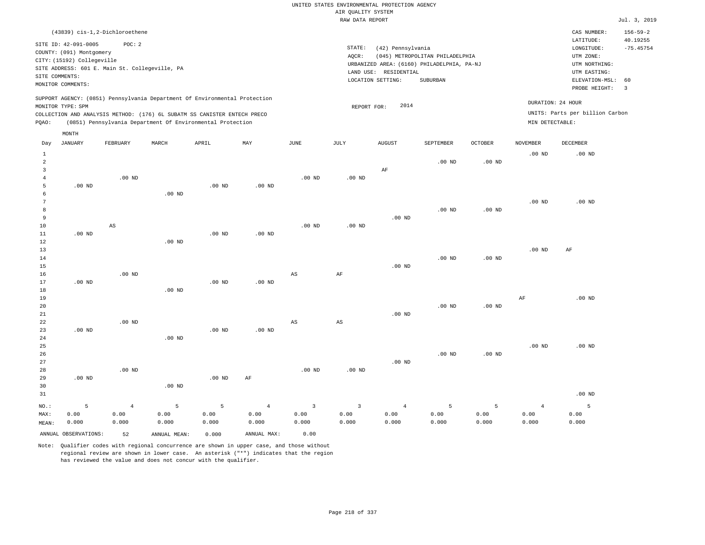| (43839) cis-1,2-Dichloroethene                                                                                                                                                                                                                     |                                                                                                                                                                                 | CAS NUMBER:                                                                                                 | $156 - 59 - 2$          |
|----------------------------------------------------------------------------------------------------------------------------------------------------------------------------------------------------------------------------------------------------|---------------------------------------------------------------------------------------------------------------------------------------------------------------------------------|-------------------------------------------------------------------------------------------------------------|-------------------------|
| SITE ID: 42-091-0005<br>POC:2<br>COUNTY: (091) Montgomery<br>CITY: (15192) Collegeville<br>SITE ADDRESS: 601 E. Main St. Collegeville, PA<br>SITE COMMENTS:<br>MONITOR COMMENTS:                                                                   | STATE:<br>(42) Pennsylvania<br>(045) METROPOLITAN PHILADELPHIA<br>AOCR:<br>URBANIZED AREA: (6160) PHILADELPHIA, PA-NJ<br>LAND USE: RESIDENTIAL<br>LOCATION SETTING:<br>SUBURBAN | LATITUDE:<br>LONGITUDE:<br>UTM ZONE:<br>UTM NORTHING:<br>UTM EASTING:<br>ELEVATION-MSL: 60<br>PROBE HEIGHT: | 40.19255<br>$-75.45754$ |
| SUPPORT AGENCY: (0851) Pennsylvania Department Of Environmental Protection<br>MONITOR TYPE: SPM<br>COLLECTION AND ANALYSIS METHOD: (176) 6L SUBATM SS CANISTER ENTECH PRECO<br>(0851) Pennsylvania Department Of Environmental Protection<br>POAO: | 2014<br>REPORT FOR:<br>MIN DETECTABLE:                                                                                                                                          | DURATION: 24 HOUR<br>UNITS: Parts per billion Carbon                                                        |                         |

| Day                                                   | <b>JANUARY</b>       | FEBRUARY                        | MARCH              | APRIL              | MAY                             | <b>JUNE</b>        | JULY                            | <b>AUGUST</b>                   | SEPTEMBER          | OCTOBER            | <b>NOVEMBER</b>                 | DECEMBER           |
|-------------------------------------------------------|----------------------|---------------------------------|--------------------|--------------------|---------------------------------|--------------------|---------------------------------|---------------------------------|--------------------|--------------------|---------------------------------|--------------------|
| $\mathbf{1}$<br>$\overline{a}$<br>3<br>$\overline{4}$ |                      | $.00$ ND                        |                    |                    |                                 | $.00$ ND           | .00 $ND$                        | $\rm AF$                        | $.00$ ND           | $.00$ ND           | $.00$ ND                        | .00 <sub>ND</sub>  |
| 5<br>6<br>7                                           | $.00$ ND             |                                 | $.00$ ND           | $.00$ ND           | $.00$ ND                        |                    |                                 |                                 |                    |                    | .00 $ND$                        | $.00$ ND           |
| 8<br>9<br>$10$<br>11                                  | $.00$ ND             | AS                              |                    | .00 $ND$           | $.00$ ND                        | $.00$ ND           | $.00$ ND                        | $.00$ ND                        | $.00$ ND           | .00 <sub>ND</sub>  |                                 |                    |
| 12<br>13<br>14                                        |                      |                                 | $.00$ ND           |                    |                                 |                    |                                 |                                 | $.00$ ND           | .00 <sub>ND</sub>  | .00 $ND$                        | $\rm AF$           |
| 15<br>16<br>17                                        | $.00$ ND             | $.00$ ND                        |                    | .00 $ND$           | $.00$ ND                        | AS                 | $\rm{AF}$                       | $.00$ ND                        |                    |                    |                                 |                    |
| 18<br>19<br>20                                        |                      |                                 | $.00$ ND           |                    |                                 |                    |                                 |                                 | $.00$ ND           | $.00$ ND           | $\rm{AF}$                       | $.00$ ND           |
| 21<br>22<br>23<br>24                                  | $.00$ ND             | $.00$ ND                        | $.00$ ND           | $.00$ ND           | $.00$ ND                        | AS                 | $\mathbb{A}\mathbb{S}$          | $.00$ ND                        |                    |                    |                                 |                    |
| 25<br>26<br>27                                        |                      |                                 |                    |                    |                                 |                    |                                 | $.00$ ND                        | $.00$ ND           | $.00$ ND           | $.00$ ND                        | $.00$ ND           |
| 28<br>29<br>30                                        | $.00$ ND             | $.00$ ND                        | $.00$ ND           | $.00$ ND           | $\rm{AF}$                       | $.00$ ND           | $.00$ ND                        |                                 |                    |                    |                                 |                    |
| 31                                                    |                      |                                 |                    |                    |                                 |                    |                                 |                                 |                    |                    |                                 | $.00$ ND           |
| $NO.$ :<br>MAX:<br>MEAN:                              | 5<br>0.00<br>0.000   | $\overline{4}$<br>0.00<br>0.000 | 5<br>0.00<br>0.000 | 5<br>0.00<br>0.000 | $\overline{4}$<br>0.00<br>0.000 | 3<br>0.00<br>0.000 | $\overline{3}$<br>0.00<br>0.000 | $\overline{4}$<br>0.00<br>0.000 | 5<br>0.00<br>0.000 | 5<br>0.00<br>0.000 | $\overline{4}$<br>0.00<br>0.000 | 5<br>0.00<br>0.000 |
|                                                       | ANNUAL OBSERVATIONS: | 52                              | ANNUAL MEAN:       | 0.000              | ANNUAL MAX:                     | 0.00               |                                 |                                 |                    |                    |                                 |                    |

Note: Qualifier codes with regional concurrence are shown in upper case, and those without regional review are shown in lower case. An asterisk ("\*") indicates that the region has reviewed the value and does not concur with the qualifier.

MONTH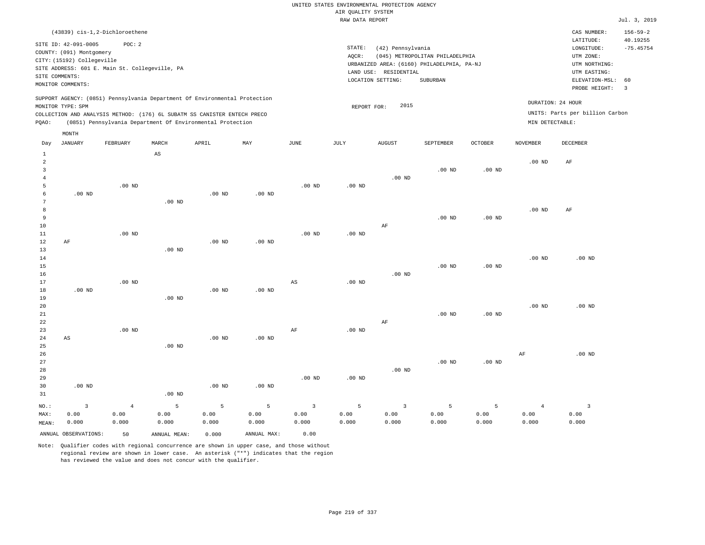| (43839) cis-1,2-Dichloroethene                                                                                                                                                                                                                     |                                                                                                                                                                                    | CAS NUMBER:                                                                                                 | $156 - 59 - 2$          |
|----------------------------------------------------------------------------------------------------------------------------------------------------------------------------------------------------------------------------------------------------|------------------------------------------------------------------------------------------------------------------------------------------------------------------------------------|-------------------------------------------------------------------------------------------------------------|-------------------------|
| SITE ID: 42-091-0005<br>POC:2<br>COUNTY: (091) Montgomery<br>CITY: (15192) Collegeville<br>SITE ADDRESS: 601 E. Main St. Collegeville, PA<br>SITE COMMENTS:<br>MONITOR COMMENTS:                                                                   | STATE:<br>(42) Pennsylvania<br>(045) METROPOLITAN PHILADELPHIA<br>AOCR:<br>URBANIZED AREA: (6160) PHILADELPHIA, PA-NJ<br>RESIDENTIAL<br>LAND USE:<br>LOCATION SETTING:<br>SUBURBAN | LATITUDE:<br>LONGITUDE:<br>UTM ZONE:<br>UTM NORTHING:<br>UTM EASTING:<br>ELEVATION-MSL: 60<br>PROBE HEIGHT: | 40.19255<br>$-75.45754$ |
| SUPPORT AGENCY: (0851) Pennsylvania Department Of Environmental Protection<br>MONITOR TYPE: SPM<br>COLLECTION AND ANALYSIS METHOD: (176) 6L SUBATM SS CANISTER ENTECH PRECO<br>(0851) Pennsylvania Department Of Environmental Protection<br>POAO: | 2015<br>REPORT FOR:                                                                                                                                                                | DURATION: 24 HOUR<br>UNITS: Parts per billion Carbon<br>MIN DETECTABLE:                                     |                         |

|                | MONTH                   |                |                        |                   |             |                        |                   |                         |           |                   |                 |                         |
|----------------|-------------------------|----------------|------------------------|-------------------|-------------|------------------------|-------------------|-------------------------|-----------|-------------------|-----------------|-------------------------|
| Day            | <b>JANUARY</b>          | FEBRUARY       | MARCH                  | APRIL             | MAY         | <b>JUNE</b>            | $\mathtt{JULY}$   | <b>AUGUST</b>           | SEPTEMBER | OCTOBER           | <b>NOVEMBER</b> | DECEMBER                |
| $\mathbf{1}$   |                         |                | $\mathbb{A}\mathbb{S}$ |                   |             |                        |                   |                         |           |                   |                 |                         |
| $\overline{c}$ |                         |                |                        |                   |             |                        |                   |                         |           |                   | $.00$ ND        | AF                      |
| 3              |                         |                |                        |                   |             |                        |                   |                         | $.00$ ND  | .00 <sub>ND</sub> |                 |                         |
| $\overline{4}$ |                         |                |                        |                   |             |                        |                   | $.00$ ND                |           |                   |                 |                         |
| 5              |                         | $.00$ ND       |                        |                   |             | $.00$ ND               | .00 <sub>ND</sub> |                         |           |                   |                 |                         |
| 6              | $.00$ ND                |                |                        | .00 <sub>ND</sub> | .00 $ND$    |                        |                   |                         |           |                   |                 |                         |
| 7              |                         |                | $.00$ ND               |                   |             |                        |                   |                         |           |                   |                 |                         |
| 8              |                         |                |                        |                   |             |                        |                   |                         |           |                   | $.00$ ND        | AF                      |
| 9              |                         |                |                        |                   |             |                        |                   |                         | $.00$ ND  | $.00$ ND          |                 |                         |
| 10             |                         |                |                        |                   |             |                        |                   | AF                      |           |                   |                 |                         |
| 11             |                         | $.00$ ND       |                        |                   |             | $.00$ ND               | $.00$ ND          |                         |           |                   |                 |                         |
| 12             | $\rm AF$                |                |                        | .00 <sub>ND</sub> | $.00$ ND    |                        |                   |                         |           |                   |                 |                         |
| 13<br>14       |                         |                | $.00$ ND               |                   |             |                        |                   |                         |           |                   | $.00$ ND        | $.00$ ND                |
| 15             |                         |                |                        |                   |             |                        |                   |                         | $.00$ ND  | $.00$ ND          |                 |                         |
| 16             |                         |                |                        |                   |             |                        |                   | $.00$ ND                |           |                   |                 |                         |
| 17             |                         | $.00$ ND       |                        |                   |             | $\mathbb{A}\mathbb{S}$ | .00 <sub>ND</sub> |                         |           |                   |                 |                         |
| 18             | $.00$ ND                |                |                        | .00 <sub>ND</sub> | .00 $ND$    |                        |                   |                         |           |                   |                 |                         |
| 19             |                         |                | $.00$ ND               |                   |             |                        |                   |                         |           |                   |                 |                         |
| 20             |                         |                |                        |                   |             |                        |                   |                         |           |                   | $.00$ ND        | $.00$ ND                |
| 21             |                         |                |                        |                   |             |                        |                   |                         | $.00$ ND  | $.00$ ND          |                 |                         |
| 22             |                         |                |                        |                   |             |                        |                   | AF                      |           |                   |                 |                         |
| 23             |                         | $.00$ ND       |                        |                   |             | $\rm{AF}$              | $.00$ ND          |                         |           |                   |                 |                         |
| 24             | $\mathbb{A}\mathbb{S}$  |                |                        | $.00$ ND          | $.00$ ND    |                        |                   |                         |           |                   |                 |                         |
| 25             |                         |                | $.00$ ND               |                   |             |                        |                   |                         |           |                   |                 |                         |
| 26             |                         |                |                        |                   |             |                        |                   |                         |           |                   | $\rm{AF}$       | $.00$ ND                |
| 27             |                         |                |                        |                   |             |                        |                   |                         | $.00$ ND  | $.00$ ND          |                 |                         |
| 28             |                         |                |                        |                   |             |                        |                   | $.00$ ND                |           |                   |                 |                         |
| 29             |                         |                |                        |                   |             | $.00$ ND               | .00 <sub>ND</sub> |                         |           |                   |                 |                         |
| 30             | $.00$ ND                |                |                        | .00 <sub>ND</sub> | $.00$ ND    |                        |                   |                         |           |                   |                 |                         |
| 31             |                         |                | $.00$ ND               |                   |             |                        |                   |                         |           |                   |                 |                         |
| NO.:           | $\overline{\mathbf{3}}$ | $\overline{4}$ | 5                      | $\mathsf S$       | 5           | $\overline{3}$         | 5                 | $\overline{\mathbf{3}}$ | 5         | 5                 | $\overline{4}$  | $\overline{\mathbf{3}}$ |
| MAX:           | 0.00                    | 0.00           | 0.00                   | 0.00              | 0.00        | 0.00                   | 0.00              | 0.00                    | 0.00      | 0.00              | 0.00            | 0.00                    |
| MEAN:          | 0.000                   | 0.000          | 0.000                  | 0.000             | 0.000       | 0.000                  | 0.000             | 0.000                   | 0.000     | 0.000             | 0.000           | 0.000                   |
|                | ANNUAL OBSERVATIONS:    | 50             | ANNUAL MEAN:           | 0.000             | ANNUAL MAX: | 0.00                   |                   |                         |           |                   |                 |                         |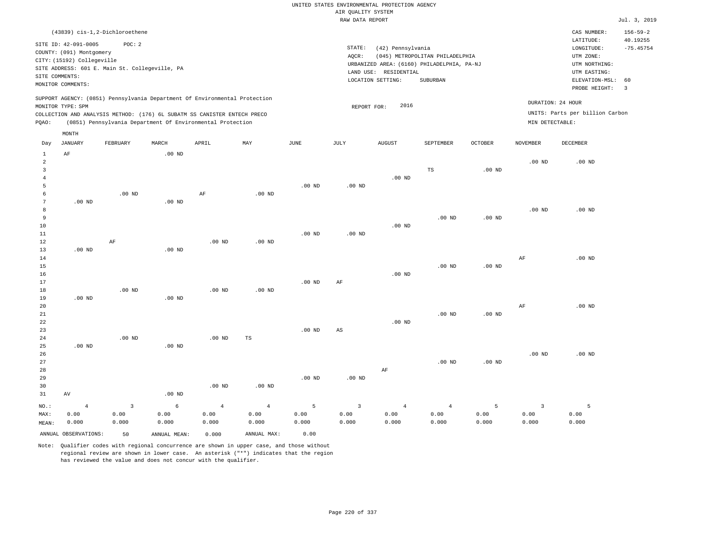| (43839) cis-1,2-Dichloroethene                                                                                                                                                                                                                              |                                                                                                                                                                                 | CAS NUMBER:                                                                                                 | $156 - 59 - 2$          |
|-------------------------------------------------------------------------------------------------------------------------------------------------------------------------------------------------------------------------------------------------------------|---------------------------------------------------------------------------------------------------------------------------------------------------------------------------------|-------------------------------------------------------------------------------------------------------------|-------------------------|
| SITE ID: 42-091-0005<br>POC:2<br>COUNTY: (091) Montgomery<br>CITY: (15192) Collegeville<br>SITE ADDRESS: 601 E. Main St. Collegeville, PA<br>SITE COMMENTS:<br>MONITOR COMMENTS:                                                                            | STATE:<br>(42) Pennsylvania<br>(045) METROPOLITAN PHILADELPHIA<br>AOCR:<br>URBANIZED AREA: (6160) PHILADELPHIA, PA-NJ<br>LAND USE: RESIDENTIAL<br>LOCATION SETTING:<br>SUBURBAN | LATITUDE:<br>LONGITUDE:<br>UTM ZONE:<br>UTM NORTHING:<br>UTM EASTING:<br>ELEVATION-MSL: 60<br>PROBE HEIGHT: | 40.19255<br>$-75.45754$ |
| SUPPORT AGENCY: (0851) Pennsylvania Department Of Environmental Protection<br>MONITOR TYPE: SPM<br>COLLECTION AND ANALYSIS METHOD: (176) 6L SUBATM SS CANISTER ENTECH PRECO<br>(0851) Pennsylvania Department Of Environmental Protection<br>POAO:<br>MONTH | 2016<br>REPORT FOR:                                                                                                                                                             | DURATION: 24 HOUR<br>UNITS: Parts per billion Carbon<br>MIN DETECTABLE:                                     |                         |
|                                                                                                                                                                                                                                                             |                                                                                                                                                                                 |                                                                                                             |                         |

| Day            | JANUARY              | FEBRUARY                | MARCH        | APRIL             | MAY         | JUNE     | JULY                   | AUGUST     | SEPTEMBER         | OCTOBER           | NOVEMBER       | DECEMBER    |
|----------------|----------------------|-------------------------|--------------|-------------------|-------------|----------|------------------------|------------|-------------------|-------------------|----------------|-------------|
| $\mathbf{1}$   | $\rm AF$             |                         | $.00$ ND     |                   |             |          |                        |            |                   |                   |                |             |
| $\overline{a}$ |                      |                         |              |                   |             |          |                        |            |                   |                   | $.00$ ND       | $.00$ ND    |
| 3              |                      |                         |              |                   |             |          |                        |            | $_{\rm TS}$       | .00 <sub>ND</sub> |                |             |
| $\overline{4}$ |                      |                         |              |                   |             |          |                        | $.00$ ND   |                   |                   |                |             |
| 5              |                      |                         |              |                   |             | $.00$ ND | $.00$ ND               |            |                   |                   |                |             |
| 6              |                      | $.00$ ND                |              | $\rm AF$          | $.00$ ND    |          |                        |            |                   |                   |                |             |
| 7              | $.00$ ND             |                         | $.00$ ND     |                   |             |          |                        |            |                   |                   |                |             |
| 8              |                      |                         |              |                   |             |          |                        |            |                   |                   | $.00$ ND       | $.00$ ND    |
| 9              |                      |                         |              |                   |             |          |                        |            | $.00$ ND          | .00 <sub>ND</sub> |                |             |
| $10$           |                      |                         |              |                   |             |          |                        | $.00$ ND   |                   |                   |                |             |
| $11\,$         |                      |                         |              |                   |             | $.00$ ND | $.00$ ND               |            |                   |                   |                |             |
| 12             |                      | $\rm AF$                |              | $.00$ ND          | $.00$ ND    |          |                        |            |                   |                   |                |             |
| 13             | $.00$ ND             |                         | $.00$ ND     |                   |             |          |                        |            |                   |                   |                |             |
| 14             |                      |                         |              |                   |             |          |                        |            |                   |                   | $\rm AF$       | $.00$ ND    |
| 15             |                      |                         |              |                   |             |          |                        |            | $.00$ ND          | $.00$ ND          |                |             |
| 16             |                      |                         |              |                   |             |          |                        | $.00$ ND   |                   |                   |                |             |
| $17\,$         |                      |                         |              |                   |             | $.00$ ND | $\rm AF$               |            |                   |                   |                |             |
| 18             |                      | $.00$ ND                |              | $.00$ ND          | $.00$ ND    |          |                        |            |                   |                   |                |             |
| 19             | $.00$ ND             |                         | $.00$ ND     |                   |             |          |                        |            |                   |                   |                |             |
| 20             |                      |                         |              |                   |             |          |                        |            |                   |                   | $\rm AF$       | $.00$ ND    |
| 21             |                      |                         |              |                   |             |          |                        |            | .00 <sub>ND</sub> | .00 <sub>ND</sub> |                |             |
| 22             |                      |                         |              |                   |             |          |                        | $.00$ ND   |                   |                   |                |             |
| 23             |                      |                         |              |                   |             | $.00$ ND | $\mathbb{A}\mathbb{S}$ |            |                   |                   |                |             |
| $2\sqrt{4}$    |                      | $.00$ ND                |              | .00 <sub>ND</sub> | TS          |          |                        |            |                   |                   |                |             |
| 25             | $.00$ ND             |                         | $.00$ ND     |                   |             |          |                        |            |                   |                   |                |             |
| 26             |                      |                         |              |                   |             |          |                        |            |                   |                   | $.00$ ND       | $.00$ ND    |
| 27             |                      |                         |              |                   |             |          |                        |            | $.00$ ND          | $.00$ ND          |                |             |
| 28             |                      |                         |              |                   |             |          |                        | $\rm AF$   |                   |                   |                |             |
| 29             |                      |                         |              |                   |             | $.00$ ND | $.00$ ND               |            |                   |                   |                |             |
| 30             |                      |                         |              | $.00$ ND          | $.00$ ND    |          |                        |            |                   |                   |                |             |
| 31             | AV                   |                         | $.00$ ND     |                   |             |          |                        |            |                   |                   |                |             |
| $_{\rm NO.}$ : | $\overline{4}$       | $\overline{\mathbf{3}}$ | 6            | $\sqrt{4}$        | $\,4$       | 5        | $\overline{3}$         | $\sqrt{4}$ | $\overline{4}$    | 5                 | $\overline{3}$ | $5^{\circ}$ |
| MAX:           | 0.00                 | 0.00                    | 0.00         | 0.00              | 0.00        | 0.00     | 0.00                   | 0.00       | 0.00              | 0.00              | 0.00           | 0.00        |
| MEAN:          | 0.000                | 0.000                   | 0.000        | 0.000             | 0.000       | 0.000    | 0.000                  | 0.000      | 0.000             | 0.000             | 0.000          | 0.000       |
|                | ANNUAL OBSERVATIONS: | 50                      | ANNUAL MEAN: | 0.000             | ANNUAL MAX: | 0.00     |                        |            |                   |                   |                |             |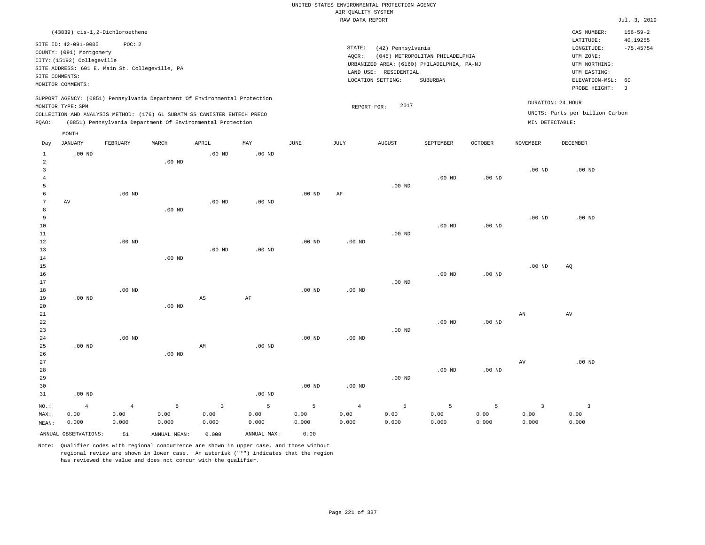#### RAW DATA REPORT **FOULD ASSESSED AT A REPORT**  $J$ ul. 3, 2019 UNITED STATES ENVIRONMENTAL PROTECTION AGENCY AIR QUALITY SYSTEM

|       |                            |                                                |          |                                                                                                                                                                                                                      |                   |          |        | IVAN DAIA REFURI                           |                                 |                |                                      |                                 | UUL. J, AUL    |
|-------|----------------------------|------------------------------------------------|----------|----------------------------------------------------------------------------------------------------------------------------------------------------------------------------------------------------------------------|-------------------|----------|--------|--------------------------------------------|---------------------------------|----------------|--------------------------------------|---------------------------------|----------------|
|       |                            | (43839) cis-1,2-Dichloroethene                 |          |                                                                                                                                                                                                                      |                   |          |        |                                            |                                 |                |                                      | CAS NUMBER:                     | $156 - 59 - 2$ |
|       | SITE ID: 42-091-0005       | POC: 2                                         |          |                                                                                                                                                                                                                      |                   |          |        |                                            |                                 |                |                                      | LATITUDE:                       | 40.19255       |
|       | COUNTY: (091) Montgomery   |                                                |          |                                                                                                                                                                                                                      |                   |          | STATE: | (42) Pennsylvania                          |                                 |                |                                      | LONGITUDE:                      | $-75.45754$    |
|       | CITY: (15192) Collegeville |                                                |          |                                                                                                                                                                                                                      |                   |          | AQCR:  |                                            | (045) METROPOLITAN PHILADELPHIA |                |                                      | UTM ZONE:                       |                |
|       |                            | SITE ADDRESS: 601 E. Main St. Collegeville, PA |          |                                                                                                                                                                                                                      |                   |          |        | URBANIZED AREA: (6160) PHILADELPHIA, PA-NJ |                                 |                |                                      | UTM NORTHING:                   |                |
|       | SITE COMMENTS:             |                                                |          |                                                                                                                                                                                                                      |                   |          |        | LAND USE: RESIDENTIAL                      |                                 |                |                                      | UTM EASTING:                    |                |
|       | MONITOR COMMENTS:          |                                                |          |                                                                                                                                                                                                                      |                   |          |        | LOCATION SETTING:                          | SUBURBAN                        |                |                                      | ELEVATION-MSL: 60               |                |
|       |                            |                                                |          |                                                                                                                                                                                                                      |                   |          |        |                                            |                                 |                |                                      | PROBE HEIGHT:                   | $\overline{3}$ |
| POAO: | MONITOR TYPE: SPM          |                                                |          | SUPPORT AGENCY: (0851) Pennsylvania Department Of Environmental Protection<br>COLLECTION AND ANALYSIS METHOD: (176) 6L SUBATM SS CANISTER ENTECH PRECO<br>(0851) Pennsylvania Department Of Environmental Protection |                   |          |        | 2017<br>REPORT FOR:                        |                                 |                | DURATION: 24 HOUR<br>MIN DETECTABLE: | UNITS: Parts per billion Carbon |                |
|       | MONTH                      |                                                |          |                                                                                                                                                                                                                      |                   |          |        |                                            |                                 |                |                                      |                                 |                |
| Day   | JANUARY                    | FEBRUARY                                       | MARCH    | APRIL                                                                                                                                                                                                                | MAY               | JUNE     | JULY   | <b>AUGUST</b>                              | SEPTEMBER                       | <b>OCTOBER</b> | <b>NOVEMBER</b>                      | DECEMBER                        |                |
| 1     | $.00$ ND                   |                                                |          | $.00$ ND                                                                                                                                                                                                             | $.00$ ND          |          |        |                                            |                                 |                |                                      |                                 |                |
|       |                            |                                                | $.00$ ND |                                                                                                                                                                                                                      |                   |          |        |                                            |                                 |                |                                      |                                 |                |
|       |                            |                                                |          |                                                                                                                                                                                                                      |                   |          |        |                                            |                                 |                | .00 <sub>ND</sub>                    | $.00$ ND                        |                |
|       |                            |                                                |          |                                                                                                                                                                                                                      |                   |          |        |                                            | $.00$ ND                        | $.00$ ND       |                                      |                                 |                |
|       |                            |                                                |          |                                                                                                                                                                                                                      |                   |          |        | $.00$ ND                                   |                                 |                |                                      |                                 |                |
|       |                            | $.00$ ND                                       |          |                                                                                                                                                                                                                      |                   | $.00$ ND | AF     |                                            |                                 |                |                                      |                                 |                |
|       | AV                         |                                                |          | $.00$ ND                                                                                                                                                                                                             | .00 <sub>ND</sub> |          |        |                                            |                                 |                |                                      |                                 |                |
|       |                            |                                                | $.00$ ND |                                                                                                                                                                                                                      |                   |          |        |                                            |                                 |                |                                      |                                 |                |
|       |                            |                                                |          |                                                                                                                                                                                                                      |                   |          |        |                                            |                                 |                | $.00$ ND                             | $.00$ ND                        |                |

10 11 12 13 14 15 16 17 18 19 20 21 22 .00 ND .00 ND .00 ND .00 ND .00 ND .00 ND AS .00 ND AF .00 ND .00 ND .00 ND .00 ND .00 ND .00 ND .00 ND .00 ND .00 ND .00 ND .00 ND .00 ND .00 ND AN AQ AV

| 23    |                |                |          |                |          |          |                | $.00$ ND |          |          |       |          |
|-------|----------------|----------------|----------|----------------|----------|----------|----------------|----------|----------|----------|-------|----------|
| 24    |                | $.00$ ND       |          |                |          | $.00$ ND | $.00$ ND       |          |          |          |       |          |
| 25    | $.00$ ND       |                |          | AM             | $.00$ ND |          |                |          |          |          |       |          |
| 26    |                |                | $.00$ ND |                |          |          |                |          |          |          |       |          |
| 27    |                |                |          |                |          |          |                |          |          |          | AV    | $.00$ ND |
| 28    |                |                |          |                |          |          |                |          | $.00$ ND | $.00$ ND |       |          |
| 29    |                |                |          |                |          |          |                | $.00$ ND |          |          |       |          |
| 30    |                |                |          |                |          | $.00$ ND | $.00$ ND       |          |          |          |       |          |
| 31    | $.00$ ND       |                |          |                | $.00$ ND |          |                |          |          |          |       |          |
| NO.:  | $\overline{4}$ | $\overline{4}$ | 5        | $\overline{3}$ | 5        | 5        | $\overline{4}$ | 5        | 5        | 5        | 3     | 3        |
| MAX:  | 0.00           | 0.00           | 0.00     | 0.00           | 0.00     | 0.00     | 0.00           | 0.00     | 0.00     | 0.00     | 0.00  | 0.00     |
| MEAN: | 0.000          | 0.000          | 0.000    | 0.000          | 0.000    | 0.000    | 0.000          | 0.000    | 0.000    | 0.000    | 0.000 | 0.000    |

ANNUAL OBSERVATIONS: 51 ANNUAL MEAN: 0.000 ANNUAL MAX: 0.00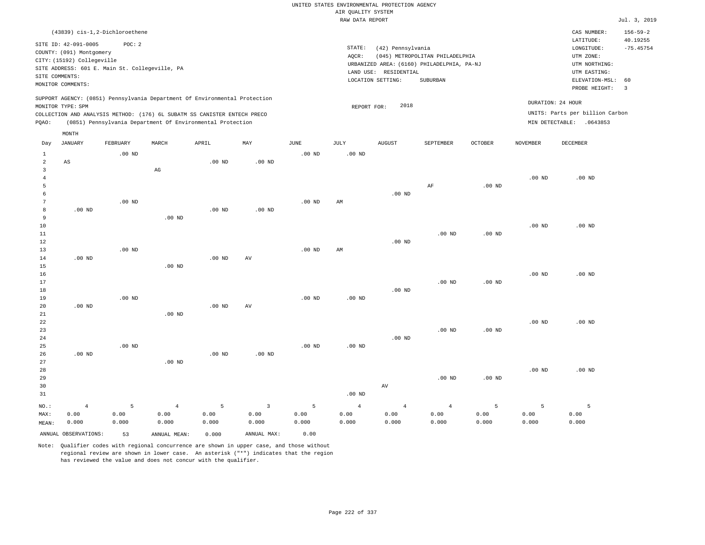|                                |                                                                                                                                  |                    |                                                                                                                                        |                    |                                          |                    | UNITED STATES ENVIRONMENTAL PROTECTION AGENCY<br>AIR OUALITY SYSTEM |                                            |                                                                               |                    |                    |                                                                      |                            |
|--------------------------------|----------------------------------------------------------------------------------------------------------------------------------|--------------------|----------------------------------------------------------------------------------------------------------------------------------------|--------------------|------------------------------------------|--------------------|---------------------------------------------------------------------|--------------------------------------------|-------------------------------------------------------------------------------|--------------------|--------------------|----------------------------------------------------------------------|----------------------------|
|                                |                                                                                                                                  |                    |                                                                                                                                        |                    |                                          |                    | RAW DATA REPORT                                                     |                                            |                                                                               |                    |                    |                                                                      | Jul. 3, 2019               |
|                                | (43839) cis-1,2-Dichloroethene                                                                                                   |                    |                                                                                                                                        |                    |                                          |                    |                                                                     |                                            |                                                                               |                    |                    | CAS NUMBER:<br>LATITUDE:                                             | $156 - 59 - 2$<br>40.19255 |
|                                | SITE ID: 42-091-0005<br>COUNTY: (091) Montgomery<br>CITY: (15192) Collegeville<br>SITE ADDRESS: 601 E. Main St. Collegeville, PA | POC: 2             |                                                                                                                                        |                    |                                          |                    | STATE:<br>AQCR:                                                     | (42) Pennsylvania<br>LAND USE: RESIDENTIAL | (045) METROPOLITAN PHILADELPHIA<br>URBANIZED AREA: (6160) PHILADELPHIA, PA-NJ |                    |                    | $\texttt{LONGITUDE}$ :<br>UTM ZONE:<br>UTM NORTHING:<br>UTM EASTING: | $-75.45754$                |
|                                | SITE COMMENTS:<br>MONITOR COMMENTS:                                                                                              |                    |                                                                                                                                        |                    |                                          |                    |                                                                     | LOCATION SETTING:                          | SUBURBAN                                                                      |                    |                    | ELEVATION-MSL:<br>PROBE HEIGHT:                                      | 60<br>$\overline{3}$       |
|                                | MONITOR TYPE: SPM                                                                                                                |                    | SUPPORT AGENCY: (0851) Pennsylvania Department Of Environmental Protection                                                             |                    |                                          |                    | REPORT FOR:                                                         | 2018                                       |                                                                               |                    | DURATION: 24 HOUR  |                                                                      |                            |
| PQAO:                          |                                                                                                                                  |                    | COLLECTION AND ANALYSIS METHOD: (176) 6L SUBATM SS CANISTER ENTECH PRECO<br>(0851) Pennsylvania Department Of Environmental Protection |                    |                                          |                    |                                                                     |                                            |                                                                               |                    |                    | UNITS: Parts per billion Carbon<br>MIN DETECTABLE: .0643853          |                            |
| Day                            | MONTH<br>JANUARY                                                                                                                 | FEBRUARY           | MARCH                                                                                                                                  | APRIL              | $\ensuremath{\text{MAX}}$                | JUNE               | JULY                                                                | <b>AUGUST</b>                              | SEPTEMBER                                                                     | OCTOBER            | NOVEMBER           | DECEMBER                                                             |                            |
| $\mathbf{1}$<br>$\overline{a}$ | AS                                                                                                                               | $.00$ ND           |                                                                                                                                        | $.00$ ND           | .00 <sub>ND</sub>                        | $.00$ ND           | $.00$ ND                                                            |                                            |                                                                               |                    |                    |                                                                      |                            |
| 3<br>4<br>5                    |                                                                                                                                  |                    | $_{\rm AG}$                                                                                                                            |                    |                                          |                    |                                                                     |                                            | AF                                                                            | $.00$ ND           | .00 <sub>ND</sub>  | $.00$ ND                                                             |                            |
| 6<br>$\overline{7}$<br>8       | .00 <sub>ND</sub>                                                                                                                | $.00$ ND           |                                                                                                                                        | $.00$ ND           | .00 <sub>ND</sub>                        | .00 <sub>ND</sub>  | AM                                                                  | .00 $ND$                                   |                                                                               |                    |                    |                                                                      |                            |
| 9<br>10<br>11                  |                                                                                                                                  |                    | $.00$ ND                                                                                                                               |                    |                                          |                    |                                                                     |                                            | .00 <sub>ND</sub>                                                             | $.00$ ND           | .00 <sub>ND</sub>  | $.00$ ND                                                             |                            |
| 12<br>13<br>14                 | $.00$ ND                                                                                                                         | $.00$ ND           |                                                                                                                                        | .00 <sub>ND</sub>  | AV                                       | .00 <sub>ND</sub>  | AM                                                                  | $.00$ ND                                   |                                                                               |                    |                    |                                                                      |                            |
| 15<br>16<br>17                 |                                                                                                                                  |                    | .00 <sub>ND</sub>                                                                                                                      |                    |                                          |                    |                                                                     |                                            | $.00$ ND                                                                      | .00 <sub>ND</sub>  | .00 <sub>ND</sub>  | $.00$ ND                                                             |                            |
| 18<br>19<br>20                 | $.00$ ND                                                                                                                         | $.00$ ND           |                                                                                                                                        | .00 <sub>ND</sub>  | AV                                       | $.00$ ND           | $.00$ ND                                                            | $.00$ ND                                   |                                                                               |                    |                    |                                                                      |                            |
| 21<br>22<br>23<br>24           |                                                                                                                                  |                    | $.00$ ND                                                                                                                               |                    |                                          |                    |                                                                     | $.00$ ND                                   | $.00$ ND                                                                      | $.00$ ND           | .00 <sub>ND</sub>  | $.00$ ND                                                             |                            |
| 25<br>26<br>27                 | $.00$ ND                                                                                                                         | $.00$ ND           | $.00$ ND                                                                                                                               | $.00$ ND           | $.00$ ND                                 | $.00$ ND           | $.00$ ND                                                            |                                            |                                                                               |                    |                    |                                                                      |                            |
| 28<br>29<br>30<br>31           |                                                                                                                                  |                    |                                                                                                                                        |                    |                                          |                    | $.00$ ND                                                            | $\operatorname{AV}$                        | .00 <sub>ND</sub>                                                             | .00 <sub>ND</sub>  | .00 <sub>ND</sub>  | $.00$ ND                                                             |                            |
| NO.:<br>MAX:<br>MEAN:          | $\overline{4}$<br>0.00<br>0.000                                                                                                  | 5<br>0.00<br>0.000 | $\overline{4}$<br>0.00<br>0.000                                                                                                        | 5<br>0.00<br>0.000 | $\overline{\mathbf{3}}$<br>0.00<br>0.000 | 5<br>0.00<br>0.000 | $\overline{4}$<br>0.00<br>0.000                                     | $\overline{4}$<br>0.00<br>0.000            | $\overline{4}$<br>0.00<br>0.000                                               | 5<br>0.00<br>0.000 | 5<br>0.00<br>0.000 | 5<br>0.00<br>0.000                                                   |                            |
|                                | ANNUAL OBSERVATIONS:                                                                                                             | 53                 | ANNUAL MEAN:                                                                                                                           | 0.000              | ANNUAL MAX:                              | 0.00               |                                                                     |                                            |                                                                               |                    |                    |                                                                      |                            |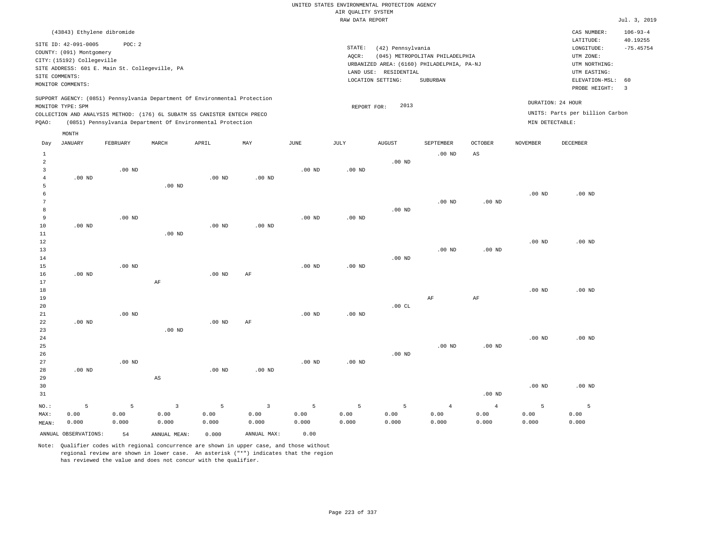|                |                            |                                                |          |                                                                            |                   |                   | RAW DATA REPORT   |                       |                                            |                   |                   |                                 | Jul. 3, 2019   |
|----------------|----------------------------|------------------------------------------------|----------|----------------------------------------------------------------------------|-------------------|-------------------|-------------------|-----------------------|--------------------------------------------|-------------------|-------------------|---------------------------------|----------------|
|                | (43843) Ethylene dibromide |                                                |          |                                                                            |                   |                   |                   |                       |                                            |                   |                   | CAS NUMBER:                     | $106 - 93 - 4$ |
|                | SITE ID: 42-091-0005       | POC: 2                                         |          |                                                                            |                   |                   |                   |                       |                                            |                   |                   | LATITUDE:                       | 40.19255       |
|                | COUNTY: (091) Montgomery   |                                                |          |                                                                            |                   |                   | STATE:            | (42) Pennsylvania     |                                            |                   |                   | LONGITUDE:                      | $-75.45754$    |
|                | CITY: (15192) Collegeville |                                                |          |                                                                            |                   |                   | AQCR:             |                       | (045) METROPOLITAN PHILADELPHIA            |                   |                   | UTM ZONE:                       |                |
|                |                            | SITE ADDRESS: 601 E. Main St. Collegeville, PA |          |                                                                            |                   |                   |                   |                       | URBANIZED AREA: (6160) PHILADELPHIA, PA-NJ |                   |                   | UTM NORTHING:                   |                |
|                | SITE COMMENTS:             |                                                |          |                                                                            |                   |                   |                   | LAND USE: RESIDENTIAL |                                            |                   |                   | UTM EASTING:                    |                |
|                | MONITOR COMMENTS:          |                                                |          |                                                                            |                   |                   |                   | LOCATION SETTING:     | SUBURBAN                                   |                   |                   | ELEVATION-MSL:                  | 60             |
|                |                            |                                                |          |                                                                            |                   |                   |                   |                       |                                            |                   |                   | PROBE HEIGHT:                   | $\overline{3}$ |
|                |                            |                                                |          | SUPPORT AGENCY: (0851) Pennsylvania Department Of Environmental Protection |                   |                   |                   |                       |                                            |                   |                   | DURATION: 24 HOUR               |                |
|                | MONITOR TYPE: SPM          |                                                |          |                                                                            |                   |                   | REPORT FOR:       | 2013                  |                                            |                   |                   | UNITS: Parts per billion Carbon |                |
|                |                            |                                                |          | COLLECTION AND ANALYSIS METHOD: (176) 6L SUBATM SS CANISTER ENTECH PRECO   |                   |                   |                   |                       |                                            |                   |                   |                                 |                |
| PQAO:          |                            |                                                |          | (0851) Pennsylvania Department Of Environmental Protection                 |                   |                   |                   |                       |                                            |                   | MIN DETECTABLE:   |                                 |                |
|                | MONTH                      |                                                |          |                                                                            |                   |                   |                   |                       |                                            |                   |                   |                                 |                |
| Day            | JANUARY                    | FEBRUARY                                       | MARCH    | APRIL                                                                      | MAY               | JUNE              | JULY              | AUGUST                | SEPTEMBER                                  | OCTOBER           | NOVEMBER          | DECEMBER                        |                |
| $\mathbf{1}$   |                            |                                                |          |                                                                            |                   |                   |                   |                       | .00 <sub>ND</sub>                          | AS                |                   |                                 |                |
| $\overline{a}$ |                            |                                                |          |                                                                            |                   |                   |                   | $.00$ ND              |                                            |                   |                   |                                 |                |
| 3              |                            | $.00$ ND                                       |          |                                                                            |                   | .00 <sub>ND</sub> | $.00$ ND          |                       |                                            |                   |                   |                                 |                |
| 4              | $.00$ ND                   |                                                |          | $.00$ ND                                                                   | .00 <sub>ND</sub> |                   |                   |                       |                                            |                   |                   |                                 |                |
| 5              |                            |                                                | $.00$ ND |                                                                            |                   |                   |                   |                       |                                            |                   |                   |                                 |                |
| 6              |                            |                                                |          |                                                                            |                   |                   |                   |                       |                                            |                   | $.00$ ND          | $.00$ ND                        |                |
| 7              |                            |                                                |          |                                                                            |                   |                   |                   |                       | $.00$ ND                                   | .00 <sub>ND</sub> |                   |                                 |                |
| 8              |                            |                                                |          |                                                                            |                   |                   |                   | $.00$ ND              |                                            |                   |                   |                                 |                |
| 9              |                            | $.00$ ND                                       |          |                                                                            |                   | .00 <sub>ND</sub> | .00 <sub>ND</sub> |                       |                                            |                   |                   |                                 |                |
| 10             | $.00$ ND                   |                                                |          | $.00$ ND                                                                   | $.00$ ND          |                   |                   |                       |                                            |                   |                   |                                 |                |
| 11             |                            |                                                | $.00$ ND |                                                                            |                   |                   |                   |                       |                                            |                   |                   |                                 |                |
| 12             |                            |                                                |          |                                                                            |                   |                   |                   |                       |                                            |                   | .00 <sub>ND</sub> | .00 <sub>ND</sub>               |                |
| 13             |                            |                                                |          |                                                                            |                   |                   |                   |                       | .00 <sub>ND</sub>                          | .00 <sub>ND</sub> |                   |                                 |                |
| 14             |                            |                                                |          |                                                                            |                   |                   |                   | .00 <sub>ND</sub>     |                                            |                   |                   |                                 |                |
| 15             |                            | $.00$ ND                                       |          |                                                                            |                   | .00 <sub>ND</sub> | $.00$ ND          |                       |                                            |                   |                   |                                 |                |
| 16             | $.00$ ND                   |                                                |          | $.00$ ND                                                                   | AF                |                   |                   |                       |                                            |                   |                   |                                 |                |
| 17             |                            |                                                | AF       |                                                                            |                   |                   |                   |                       |                                            |                   |                   |                                 |                |
| 18             |                            |                                                |          |                                                                            |                   |                   |                   |                       |                                            |                   | $.00$ ND          | $.00$ ND                        |                |
| 19             |                            |                                                |          |                                                                            |                   |                   |                   |                       | $\rm AF$                                   | $\rm AF$          |                   |                                 |                |
| 20             |                            |                                                |          |                                                                            |                   |                   |                   | .00CL                 |                                            |                   |                   |                                 |                |
| 21             |                            | $.00$ ND                                       |          |                                                                            |                   | .00 <sub>ND</sub> | $.00$ ND          |                       |                                            |                   |                   |                                 |                |
| 22             | $.00$ ND                   |                                                |          | .00 <sub>ND</sub>                                                          | AF                |                   |                   |                       |                                            |                   |                   |                                 |                |
| 23             |                            |                                                | $.00$ ND |                                                                            |                   |                   |                   |                       |                                            |                   |                   |                                 |                |
| 24             |                            |                                                |          |                                                                            |                   |                   |                   |                       |                                            |                   | $.00$ ND          | $.00$ ND                        |                |
| 25             |                            |                                                |          |                                                                            |                   |                   |                   |                       | $.00$ ND                                   | .00 <sub>ND</sub> |                   |                                 |                |
| 26             |                            |                                                |          |                                                                            |                   |                   |                   | $.00$ ND              |                                            |                   |                   |                                 |                |
| 27             |                            | $.00$ ND                                       |          |                                                                            |                   | .00 <sub>ND</sub> | $.00$ ND          |                       |                                            |                   |                   |                                 |                |

28 29 30 31 .00 ND NO.: MAX: MEAN: 5 0.00 0.000 AS .00 ND .00 ND .00 ND .00 ND .00 ND 5 0.00 0.000 3 0.00 0.000 5 0.00 0.000 3 0.00 0.000 5 0.00 0.000 5 0.00 0.000 5 0.00 0.000 4 0.00 0.000 4 0.00 0.000 5 0.00 0.000 5 0.00 0.000

ANNUAL OBSERVATIONS: 54 ANNUAL MEAN: 0.000 ANNUAL MAX: 0.00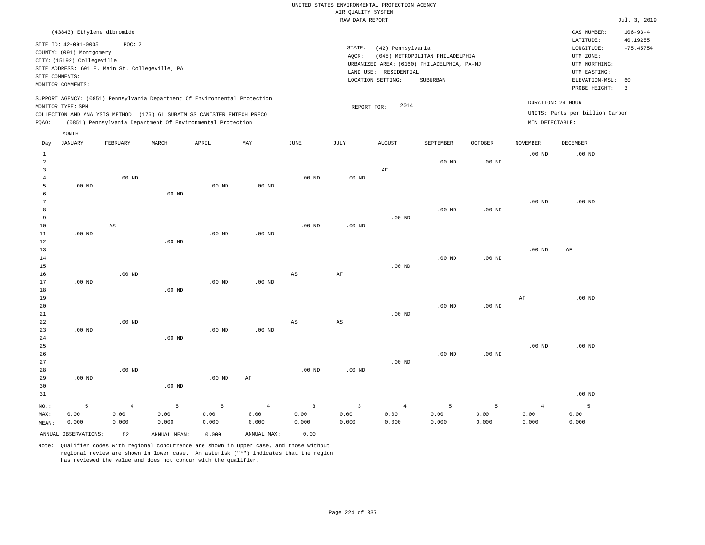| (43843) Ethylene dibromide                                                                                                                                                                                                                                  |                                                                                                                                                                                 | CAS NUMBER:                                                                                                 | $106 - 93 - 4$          |
|-------------------------------------------------------------------------------------------------------------------------------------------------------------------------------------------------------------------------------------------------------------|---------------------------------------------------------------------------------------------------------------------------------------------------------------------------------|-------------------------------------------------------------------------------------------------------------|-------------------------|
| SITE ID: 42-091-0005<br>POC:2<br>COUNTY: (091) Montgomery<br>CITY: (15192) Collegeville<br>SITE ADDRESS: 601 E. Main St. Collegeville, PA<br>SITE COMMENTS:<br>MONITOR COMMENTS:                                                                            | STATE:<br>(42) Pennsylvania<br>(045) METROPOLITAN PHILADELPHIA<br>AOCR:<br>URBANIZED AREA: (6160) PHILADELPHIA, PA-NJ<br>LAND USE: RESIDENTIAL<br>LOCATION SETTING:<br>SUBURBAN | LATITUDE:<br>LONGITUDE:<br>UTM ZONE:<br>UTM NORTHING:<br>UTM EASTING:<br>ELEVATION-MSL: 60<br>PROBE HEIGHT: | 40.19255<br>$-75.45754$ |
| SUPPORT AGENCY: (0851) Pennsylvania Department Of Environmental Protection<br>MONITOR TYPE: SPM<br>COLLECTION AND ANALYSIS METHOD: (176) 6L SUBATM SS CANISTER ENTECH PRECO<br>(0851) Pennsylvania Department Of Environmental Protection<br>POAO:<br>MONTH | 2014<br>REPORT FOR:<br>MIN DETECTABLE:                                                                                                                                          | DURATION: 24 HOUR<br>UNITS: Parts per billion Carbon                                                        |                         |

| Day            | JANUARY              | FEBRUARY       | MARCH             | APRIL    | MAY               | JUNE                    | $\mathtt{JULY}$   | AUGUST         | SEPTEMBER | <b>OCTOBER</b>    | NOVEMBER       | DECEMBER |
|----------------|----------------------|----------------|-------------------|----------|-------------------|-------------------------|-------------------|----------------|-----------|-------------------|----------------|----------|
| $\mathbf{1}$   |                      |                |                   |          |                   |                         |                   |                |           |                   | $.00$ ND       | $.00$ ND |
| $\overline{a}$ |                      |                |                   |          |                   |                         |                   |                | $.00$ ND  | $.00$ ND          |                |          |
| 3              |                      |                |                   |          |                   |                         |                   | $\rm AF$       |           |                   |                |          |
| $\overline{4}$ |                      | $.00$ ND       |                   |          |                   | $.00$ ND                | $.00$ ND          |                |           |                   |                |          |
| 5              | $.00$ ND             |                |                   | $.00$ ND | .00 <sub>ND</sub> |                         |                   |                |           |                   |                |          |
| 6              |                      |                | .00 <sub>ND</sub> |          |                   |                         |                   |                |           |                   |                |          |
| 7              |                      |                |                   |          |                   |                         |                   |                |           |                   | $.00$ ND       | $.00$ ND |
| 8              |                      |                |                   |          |                   |                         |                   |                | $.00$ ND  | .00 <sub>ND</sub> |                |          |
| 9              |                      |                |                   |          |                   |                         |                   | $.00$ ND       |           |                   |                |          |
| 10             |                      | AS             |                   |          |                   | $.00$ ND                | .00 <sub>ND</sub> |                |           |                   |                |          |
| 11             | $.00$ ND             |                |                   | $.00$ ND | .00 <sub>ND</sub> |                         |                   |                |           |                   |                |          |
| 12             |                      |                | .00 <sub>ND</sub> |          |                   |                         |                   |                |           |                   |                |          |
| 13             |                      |                |                   |          |                   |                         |                   |                |           |                   | $.00$ ND       | AF       |
| 14<br>15       |                      |                |                   |          |                   |                         |                   |                | $.00$ ND  | .00 <sub>ND</sub> |                |          |
| 16             |                      | $.00$ ND       |                   |          |                   | AS                      |                   | $.00$ ND       |           |                   |                |          |
| 17             | $.00$ ND             |                |                   | $.00$ ND | .00 <sub>ND</sub> |                         | AF                |                |           |                   |                |          |
| 18             |                      |                | .00 <sub>ND</sub> |          |                   |                         |                   |                |           |                   |                |          |
| 19             |                      |                |                   |          |                   |                         |                   |                |           |                   | AF             | $.00$ ND |
| 20             |                      |                |                   |          |                   |                         |                   |                | $.00$ ND  | .00 <sub>ND</sub> |                |          |
| 21             |                      |                |                   |          |                   |                         |                   | $.00$ ND       |           |                   |                |          |
| 22             |                      | $.00$ ND       |                   |          |                   | AS                      | AS                |                |           |                   |                |          |
| 23             | $.00$ ND             |                |                   | $.00$ ND | .00 <sub>ND</sub> |                         |                   |                |           |                   |                |          |
| 24             |                      |                | $.00$ ND          |          |                   |                         |                   |                |           |                   |                |          |
| 25             |                      |                |                   |          |                   |                         |                   |                |           |                   | $.00$ ND       | $.00$ ND |
| 26             |                      |                |                   |          |                   |                         |                   |                | $.00$ ND  | .00 <sub>ND</sub> |                |          |
| 27             |                      |                |                   |          |                   |                         |                   | $.00$ ND       |           |                   |                |          |
| 28             |                      | $.00$ ND       |                   |          |                   | $.00$ ND                | .00 <sub>ND</sub> |                |           |                   |                |          |
| 29             | $.00$ ND             |                |                   | .00 $ND$ | AF                |                         |                   |                |           |                   |                |          |
| 30             |                      |                | $.00$ ND          |          |                   |                         |                   |                |           |                   |                |          |
| 31             |                      |                |                   |          |                   |                         |                   |                |           |                   |                | $.00$ ND |
| $NO.$ :        | 5                    | $\overline{4}$ | 5                 | 5        | $\overline{4}$    | $\overline{\mathbf{3}}$ | $\overline{3}$    | $\overline{4}$ | 5         | 5                 | $\overline{4}$ | 5        |
| MAX:           | 0.00                 | 0.00           | 0.00              | 0.00     | 0.00              | 0.00                    | 0.00              | 0.00           | 0.00      | 0.00              | 0.00           | 0.00     |
| MEAN:          | 0.000                | 0.000          | 0.000             | 0.000    | 0.000             | 0.000                   | 0.000             | 0.000          | 0.000     | 0.000             | 0.000          | 0.000    |
|                | ANNUAL OBSERVATIONS: | 52             | ANNUAL MEAN:      | 0.000    | ANNUAL MAX:       | 0.00                    |                   |                |           |                   |                |          |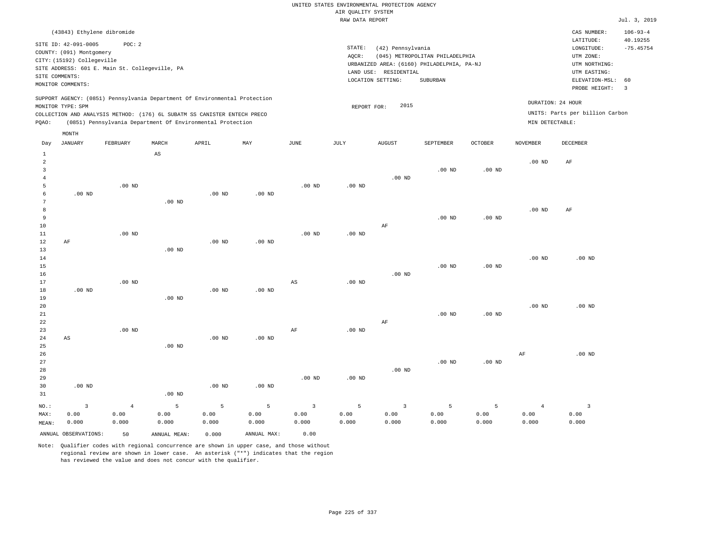| (43843) Ethylene dibromide                                                                                                                                                                                                                         |                                                                                                                                                                                    | CAS NUMBER:                                                                                                 | $106 - 93 - 4$          |
|----------------------------------------------------------------------------------------------------------------------------------------------------------------------------------------------------------------------------------------------------|------------------------------------------------------------------------------------------------------------------------------------------------------------------------------------|-------------------------------------------------------------------------------------------------------------|-------------------------|
| SITE ID: 42-091-0005<br>POC: 2<br>COUNTY: (091) Montgomery<br>CITY: (15192) Collegeville<br>SITE ADDRESS: 601 E. Main St. Collegeville, PA<br>SITE COMMENTS:<br>MONITOR COMMENTS:                                                                  | STATE:<br>(42) Pennsylvania<br>(045) METROPOLITAN PHILADELPHIA<br>AOCR:<br>URBANIZED AREA: (6160) PHILADELPHIA, PA-NJ<br>RESIDENTIAL<br>LAND USE:<br>LOCATION SETTING:<br>SUBURBAN | LATITUDE:<br>LONGITUDE:<br>UTM ZONE:<br>UTM NORTHING:<br>UTM EASTING:<br>ELEVATION-MSL: 60<br>PROBE HEIGHT: | 40.19255<br>$-75.45754$ |
| SUPPORT AGENCY: (0851) Pennsylvania Department Of Environmental Protection<br>MONITOR TYPE: SPM<br>COLLECTION AND ANALYSIS METHOD: (176) 6L SUBATM SS CANISTER ENTECH PRECO<br>(0851) Pennsylvania Department Of Environmental Protection<br>POAO: | 2015<br>REPORT FOR:                                                                                                                                                                | DURATION: 24 HOUR<br>UNITS: Parts per billion Carbon<br>MIN DETECTABLE:                                     |                         |

|                | MONTH                   |                |                        |                   |             |                        |                   |                         |           |                   |                 |                         |
|----------------|-------------------------|----------------|------------------------|-------------------|-------------|------------------------|-------------------|-------------------------|-----------|-------------------|-----------------|-------------------------|
| Day            | <b>JANUARY</b>          | FEBRUARY       | MARCH                  | APRIL             | MAY         | <b>JUNE</b>            | $\mathtt{JULY}$   | <b>AUGUST</b>           | SEPTEMBER | OCTOBER           | <b>NOVEMBER</b> | DECEMBER                |
| $\mathbf{1}$   |                         |                | $\mathbb{A}\mathbb{S}$ |                   |             |                        |                   |                         |           |                   |                 |                         |
| $\overline{c}$ |                         |                |                        |                   |             |                        |                   |                         |           |                   | $.00$ ND        | AF                      |
| 3              |                         |                |                        |                   |             |                        |                   |                         | $.00$ ND  | .00 <sub>ND</sub> |                 |                         |
| $\overline{4}$ |                         |                |                        |                   |             |                        |                   | $.00$ ND                |           |                   |                 |                         |
| 5              |                         | $.00$ ND       |                        |                   |             | $.00$ ND               | .00 <sub>ND</sub> |                         |           |                   |                 |                         |
| 6              | $.00$ ND                |                |                        | .00 <sub>ND</sub> | $.00$ ND    |                        |                   |                         |           |                   |                 |                         |
| 7              |                         |                | $.00$ ND               |                   |             |                        |                   |                         |           |                   |                 |                         |
| 8              |                         |                |                        |                   |             |                        |                   |                         |           |                   | $.00$ ND        | AF                      |
| 9              |                         |                |                        |                   |             |                        |                   |                         | $.00$ ND  | $.00$ ND          |                 |                         |
| 10             |                         |                |                        |                   |             |                        |                   | AF                      |           |                   |                 |                         |
| 11             |                         | $.00$ ND       |                        |                   |             | $.00$ ND               | $.00$ ND          |                         |           |                   |                 |                         |
| 12             | $\rm AF$                |                |                        | .00 <sub>ND</sub> | $.00$ ND    |                        |                   |                         |           |                   |                 |                         |
| 13<br>14       |                         |                | $.00$ ND               |                   |             |                        |                   |                         |           |                   | $.00$ ND        | $.00$ ND                |
| 15             |                         |                |                        |                   |             |                        |                   |                         | $.00$ ND  | $.00$ ND          |                 |                         |
| 16             |                         |                |                        |                   |             |                        |                   | .00 <sub>ND</sub>       |           |                   |                 |                         |
| 17             |                         | $.00$ ND       |                        |                   |             | $\mathbb{A}\mathbb{S}$ | .00 <sub>ND</sub> |                         |           |                   |                 |                         |
| 18             | $.00$ ND                |                |                        | .00 <sub>ND</sub> | $.00$ ND    |                        |                   |                         |           |                   |                 |                         |
| 19             |                         |                | $.00$ ND               |                   |             |                        |                   |                         |           |                   |                 |                         |
| 20             |                         |                |                        |                   |             |                        |                   |                         |           |                   | $.00$ ND        | $.00$ ND                |
| 21             |                         |                |                        |                   |             |                        |                   |                         | $.00$ ND  | $.00$ ND          |                 |                         |
| 22             |                         |                |                        |                   |             |                        |                   | AF                      |           |                   |                 |                         |
| 23             |                         | $.00$ ND       |                        |                   |             | $\rm{AF}$              | $.00$ ND          |                         |           |                   |                 |                         |
| 24             | $\mathbb{A}\mathbb{S}$  |                |                        | $.00$ ND          | $.00$ ND    |                        |                   |                         |           |                   |                 |                         |
| 25             |                         |                | $.00$ ND               |                   |             |                        |                   |                         |           |                   |                 |                         |
| 26             |                         |                |                        |                   |             |                        |                   |                         |           |                   | $\rm{AF}$       | $.00$ ND                |
| 27             |                         |                |                        |                   |             |                        |                   |                         | $.00$ ND  | $.00$ ND          |                 |                         |
| 28             |                         |                |                        |                   |             |                        |                   | $.00$ ND                |           |                   |                 |                         |
| 29             |                         |                |                        |                   |             | $.00$ ND               | .00 <sub>ND</sub> |                         |           |                   |                 |                         |
| 30             | $.00$ ND                |                |                        | .00 <sub>ND</sub> | $.00$ ND    |                        |                   |                         |           |                   |                 |                         |
| 31             |                         |                | $.00$ ND               |                   |             |                        |                   |                         |           |                   |                 |                         |
| NO.:           | $\overline{\mathbf{3}}$ | $\overline{4}$ | 5                      | $\mathsf S$       | 5           | $\overline{3}$         | 5                 | $\overline{\mathbf{3}}$ | 5         | 5                 | $\overline{4}$  | $\overline{\mathbf{3}}$ |
| MAX:           | 0.00                    | 0.00           | 0.00                   | 0.00              | 0.00        | 0.00                   | 0.00              | 0.00                    | 0.00      | 0.00              | 0.00            | 0.00                    |
| MEAN:          | 0.000                   | 0.000          | 0.000                  | 0.000             | 0.000       | 0.000                  | 0.000             | 0.000                   | 0.000     | 0.000             | 0.000           | 0.000                   |
|                | ANNUAL OBSERVATIONS:    | 50             | ANNUAL MEAN:           | 0.000             | ANNUAL MAX: | 0.00                   |                   |                         |           |                   |                 |                         |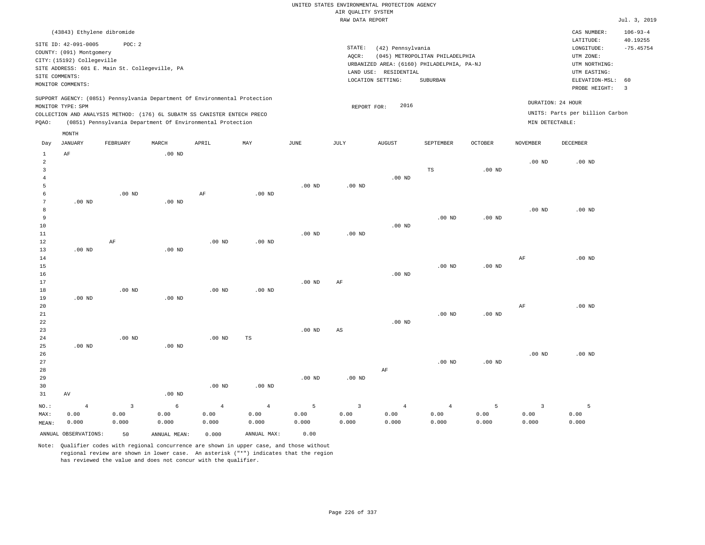#### RAW DATA REPORT **FOULD ASSESSED ASSESSED ASSESSED A**  $Jul. 3, 2019$ UNITED STATES ENVIRONMENTAL PROTECTION AGENCY AIR QUALITY SYSTEM

| (43843) Ethylene dibromide                                                                                                                                                                                                                                  |                                                                                                                                                                                 | CAS NUMBER:                                                                                                 | $106 - 93 - 4$          |
|-------------------------------------------------------------------------------------------------------------------------------------------------------------------------------------------------------------------------------------------------------------|---------------------------------------------------------------------------------------------------------------------------------------------------------------------------------|-------------------------------------------------------------------------------------------------------------|-------------------------|
| SITE ID: 42-091-0005<br>POC:2<br>COUNTY: (091) Montgomery<br>CITY: (15192) Collegeville<br>SITE ADDRESS: 601 E. Main St. Collegeville, PA<br>SITE COMMENTS:<br>MONITOR COMMENTS:                                                                            | STATE:<br>(42) Pennsylvania<br>(045) METROPOLITAN PHILADELPHIA<br>AOCR:<br>URBANIZED AREA: (6160) PHILADELPHIA, PA-NJ<br>LAND USE: RESIDENTIAL<br>LOCATION SETTING:<br>SUBURBAN | LATITUDE:<br>LONGITUDE:<br>UTM ZONE:<br>UTM NORTHING:<br>UTM EASTING:<br>ELEVATION-MSL: 60<br>PROBE HEIGHT: | 40.19255<br>$-75.45754$ |
| SUPPORT AGENCY: (0851) Pennsylvania Department Of Environmental Protection<br>MONITOR TYPE: SPM<br>COLLECTION AND ANALYSIS METHOD: (176) 6L SUBATM SS CANISTER ENTECH PRECO<br>(0851) Pennsylvania Department Of Environmental Protection<br>POAO:<br>MONTH | 2016<br>REPORT FOR:                                                                                                                                                             | DURATION: 24 HOUR<br>UNITS: Parts per billion Carbon<br>MIN DETECTABLE:                                     |                         |

| Day                      | JANUARY              | FEBRUARY     | $\tt MARCH$  | APRIL          | MAY            | $_{\rm JUNE}$ | JULY                   | AUGUST         | SEPTEMBER         | OCTOBER           | $\,$ NOVEMBER     | DECEMBER |
|--------------------------|----------------------|--------------|--------------|----------------|----------------|---------------|------------------------|----------------|-------------------|-------------------|-------------------|----------|
| 1<br>$\overline{c}$<br>3 | $\rm AF$             |              | $.00$ ND     |                |                |               |                        |                | $\mathbb{TS}$     | $.00$ ND          | .00 <sub>ND</sub> | $.00$ ND |
| $\sqrt{4}$               |                      |              |              |                |                |               |                        | $.00$ ND       |                   |                   |                   |          |
| 5                        |                      | .00 $ND$     |              |                |                | $.00$ ND      | $.00$ ND               |                |                   |                   |                   |          |
| 6<br>7                   | $.00~\mathrm{ND}$    |              | $.00$ ND     | $\rm{AF}$      | $.00$ ND       |               |                        |                |                   |                   |                   |          |
| 8                        |                      |              |              |                |                |               |                        |                |                   |                   | $.00$ ND          | $.00$ ND |
| 9                        |                      |              |              |                |                |               |                        |                | $.00$ ND          | .00 <sub>ND</sub> |                   |          |
| 10                       |                      |              |              |                |                |               |                        | $.00$ ND       |                   |                   |                   |          |
| 11                       |                      |              |              |                |                | $.00$ ND      | $.00$ ND               |                |                   |                   |                   |          |
| 12                       |                      | $\rm AF$     |              | $.00$ ND       | $.00$ ND       |               |                        |                |                   |                   |                   |          |
| 13                       | $.00$ ND             |              | .00 $ND$     |                |                |               |                        |                |                   |                   |                   |          |
| 14                       |                      |              |              |                |                |               |                        |                |                   |                   | $\rm{AF}$         | $.00$ ND |
| 15                       |                      |              |              |                |                |               |                        |                | $.00$ ND          | $.00$ ND          |                   |          |
| $16\,$                   |                      |              |              |                |                |               |                        | $.00$ ND       |                   |                   |                   |          |
| 17                       |                      |              |              |                |                | $.00$ ND      | AF                     |                |                   |                   |                   |          |
| 18                       |                      | $.00$ ND     |              | $.00$ ND       | $.00$ ND       |               |                        |                |                   |                   |                   |          |
| 19                       | $.00$ ND             |              | $.00$ ND     |                |                |               |                        |                |                   |                   |                   |          |
| 20                       |                      |              |              |                |                |               |                        |                |                   |                   | AF                | $.00$ ND |
| 21                       |                      |              |              |                |                |               |                        |                | $.00$ ND          | $.00$ ND          |                   |          |
| 22                       |                      |              |              |                |                |               |                        | $.00$ ND       |                   |                   |                   |          |
| 23                       |                      |              |              |                |                | $.00$ ND      | $\mathbb{A}\mathbb{S}$ |                |                   |                   |                   |          |
| 24                       |                      | $.00$ ND     |              | $.00$ ND       | TS             |               |                        |                |                   |                   |                   |          |
| 25                       | $.00$ ND             |              | $.00$ ND     |                |                |               |                        |                |                   |                   |                   |          |
| 26                       |                      |              |              |                |                |               |                        |                |                   |                   | $.00$ ND          | $.00$ ND |
| 27                       |                      |              |              |                |                |               |                        |                | .00 <sub>ND</sub> | .00 <sub>ND</sub> |                   |          |
| 28<br>29                 |                      |              |              |                |                | $.00$ ND      | $.00$ ND               | $\rm AF$       |                   |                   |                   |          |
| 30                       |                      |              |              | $.00$ ND       | $.00$ ND       |               |                        |                |                   |                   |                   |          |
| 31                       | AV                   |              | $.00$ ND     |                |                |               |                        |                |                   |                   |                   |          |
|                          |                      |              |              |                |                |               |                        |                |                   |                   |                   |          |
| $NO.$ :                  | $\overline{4}$       | $\mathbf{3}$ | $\epsilon$   | $\overline{4}$ | $\overline{4}$ | $\mathsf S$   | $\mathsf 3$            | $\overline{4}$ | $\overline{4}$    | 5                 | $\overline{3}$    | 5        |
| MAX:                     | 0.00                 | 0.00         | 0.00         | 0.00           | 0.00           | 0.00          | 0.00                   | 0.00           | 0.00              | 0.00              | 0.00              | 0.00     |
| MEAN:                    | 0.000                | 0.000        | 0.000        | 0.000          | 0.000          | 0.000         | 0.000                  | 0.000          | 0.000             | 0.000             | 0.000             | 0.000    |
|                          | ANNUAL OBSERVATIONS: | 50           | ANNUAL MEAN: | 0.000          | ANNUAL MAX:    | 0.00          |                        |                |                   |                   |                   |          |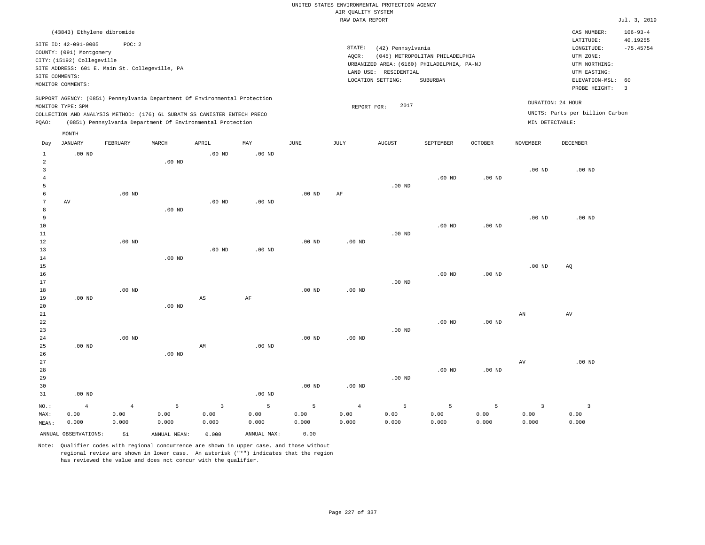|                                |                            |                                                |                   |                                                                            |                   |                   |                    | UNITED STATES ENVIRONMENTAL PROTECTION AGENCY |                                            |                |                   |                                 |                            |
|--------------------------------|----------------------------|------------------------------------------------|-------------------|----------------------------------------------------------------------------|-------------------|-------------------|--------------------|-----------------------------------------------|--------------------------------------------|----------------|-------------------|---------------------------------|----------------------------|
|                                |                            |                                                |                   |                                                                            |                   |                   | AIR QUALITY SYSTEM |                                               |                                            |                |                   |                                 |                            |
|                                |                            |                                                |                   |                                                                            |                   |                   | RAW DATA REPORT    |                                               |                                            |                |                   |                                 | Jul. 3, 2019               |
|                                | (43843) Ethylene dibromide |                                                |                   |                                                                            |                   |                   |                    |                                               |                                            |                |                   | CAS NUMBER:<br>LATITUDE:        | $106 - 93 - 4$<br>40.19255 |
|                                | SITE ID: 42-091-0005       | POC: 2                                         |                   |                                                                            |                   |                   | STATE:             | (42) Pennsylvania                             |                                            |                |                   | LONGITUDE:                      | $-75.45754$                |
|                                | COUNTY: (091) Montgomery   |                                                |                   |                                                                            |                   |                   | AQCR:              |                                               | (045) METROPOLITAN PHILADELPHIA            |                |                   | UTM ZONE:                       |                            |
|                                | CITY: (15192) Collegeville |                                                |                   |                                                                            |                   |                   |                    |                                               | URBANIZED AREA: (6160) PHILADELPHIA, PA-NJ |                |                   | UTM NORTHING:                   |                            |
|                                |                            | SITE ADDRESS: 601 E. Main St. Collegeville, PA |                   |                                                                            |                   |                   |                    | LAND USE: RESIDENTIAL                         |                                            |                |                   | UTM EASTING:                    |                            |
|                                | SITE COMMENTS:             |                                                |                   |                                                                            |                   |                   |                    | LOCATION SETTING:                             | SUBURBAN                                   |                |                   | ELEVATION-MSL:                  | 60                         |
|                                | MONITOR COMMENTS:          |                                                |                   |                                                                            |                   |                   |                    |                                               |                                            |                |                   | PROBE HEIGHT:                   | $\overline{3}$             |
|                                |                            |                                                |                   | SUPPORT AGENCY: (0851) Pennsylvania Department Of Environmental Protection |                   |                   |                    | 2017                                          |                                            |                |                   | DURATION: 24 HOUR               |                            |
|                                | MONITOR TYPE: SPM          |                                                |                   | COLLECTION AND ANALYSIS METHOD: (176) 6L SUBATM SS CANISTER ENTECH PRECO   |                   |                   | REPORT FOR:        |                                               |                                            |                |                   | UNITS: Parts per billion Carbon |                            |
| PQAO:                          |                            |                                                |                   | (0851) Pennsylvania Department Of Environmental Protection                 |                   |                   |                    |                                               |                                            |                | MIN DETECTABLE:   |                                 |                            |
|                                | MONTH                      |                                                |                   |                                                                            |                   |                   |                    |                                               |                                            |                |                   |                                 |                            |
| Day                            | <b>JANUARY</b>             | FEBRUARY                                       | MARCH             | APRIL                                                                      | MAY               | JUNE              | JULY               | <b>AUGUST</b>                                 | SEPTEMBER                                  | <b>OCTOBER</b> | <b>NOVEMBER</b>   | <b>DECEMBER</b>                 |                            |
| $\mathbf{1}$<br>$\overline{a}$ | $.00$ ND                   |                                                | .00 <sub>ND</sub> | $.00$ ND                                                                   | .00 <sub>ND</sub> |                   |                    |                                               |                                            |                |                   |                                 |                            |
| 3                              |                            |                                                |                   |                                                                            |                   |                   |                    |                                               |                                            |                | .00 <sub>ND</sub> | $.00$ ND                        |                            |
| $\overline{4}$                 |                            |                                                |                   |                                                                            |                   |                   |                    |                                               | $.00$ ND                                   | $.00$ ND       |                   |                                 |                            |
| 5                              |                            |                                                |                   |                                                                            |                   |                   |                    | .00 <sub>ND</sub>                             |                                            |                |                   |                                 |                            |
| 6                              |                            | $.00$ ND                                       |                   |                                                                            |                   | $.00$ ND          | AF                 |                                               |                                            |                |                   |                                 |                            |
| $\overline{7}$                 | AV                         |                                                |                   | .00 <sub>ND</sub>                                                          | .00 <sub>ND</sub> |                   |                    |                                               |                                            |                |                   |                                 |                            |
| 8                              |                            |                                                | $.00$ ND          |                                                                            |                   |                   |                    |                                               |                                            |                |                   |                                 |                            |
| 9                              |                            |                                                |                   |                                                                            |                   |                   |                    |                                               |                                            |                | .00 <sub>ND</sub> | $.00$ ND                        |                            |
| 10                             |                            |                                                |                   |                                                                            |                   |                   |                    |                                               | $.00$ ND                                   | $.00$ ND       |                   |                                 |                            |
| $1\,1$                         |                            |                                                |                   |                                                                            |                   |                   |                    | $.00$ ND                                      |                                            |                |                   |                                 |                            |
| 12                             |                            | $.00$ ND                                       |                   |                                                                            |                   | $.00$ ND          | $.00$ ND           |                                               |                                            |                |                   |                                 |                            |
| 13                             |                            |                                                |                   | $.00$ ND                                                                   | $.00$ ND          |                   |                    |                                               |                                            |                |                   |                                 |                            |
| 14                             |                            |                                                | $.00$ ND          |                                                                            |                   |                   |                    |                                               |                                            |                |                   |                                 |                            |
| 15                             |                            |                                                |                   |                                                                            |                   |                   |                    |                                               |                                            |                | .00 <sub>ND</sub> | AQ                              |                            |
| 16                             |                            |                                                |                   |                                                                            |                   |                   |                    |                                               | $.00$ ND                                   | $.00$ ND       |                   |                                 |                            |
| 17                             |                            |                                                |                   |                                                                            |                   |                   |                    | .00 <sub>ND</sub>                             |                                            |                |                   |                                 |                            |
| 18                             |                            | .00 <sub>ND</sub>                              |                   |                                                                            |                   | .00 <sub>ND</sub> | .00 <sub>ND</sub>  |                                               |                                            |                |                   |                                 |                            |
| 19                             | $.00$ ND                   |                                                |                   | $\mathbb{A}\mathbb{S}$                                                     | AF                |                   |                    |                                               |                                            |                |                   |                                 |                            |
| 20                             |                            |                                                | $.00$ ND          |                                                                            |                   |                   |                    |                                               |                                            |                |                   |                                 |                            |
| 21                             |                            |                                                |                   |                                                                            |                   |                   |                    |                                               |                                            |                | ${\tt AN}$        | AV                              |                            |
| 22                             |                            |                                                |                   |                                                                            |                   |                   |                    |                                               | $.00$ ND                                   | $.00$ ND       |                   |                                 |                            |
| 23                             |                            |                                                |                   |                                                                            |                   |                   |                    | $.00$ ND                                      |                                            |                |                   |                                 |                            |
| 24                             |                            | $.00$ ND                                       |                   |                                                                            |                   | $.00$ ND          | $.00$ ND           |                                               |                                            |                |                   |                                 |                            |
| 25                             | $.00$ ND                   |                                                |                   | AM                                                                         | $.00$ ND          |                   |                    |                                               |                                            |                |                   |                                 |                            |
| 26                             |                            |                                                | .00 <sub>ND</sub> |                                                                            |                   |                   |                    |                                               |                                            |                |                   |                                 |                            |
| 27                             |                            |                                                |                   |                                                                            |                   |                   |                    |                                               |                                            |                | $\hbox{AV}$       | $.00$ ND                        |                            |
| 28                             |                            |                                                |                   |                                                                            |                   |                   |                    |                                               | .00 <sub>ND</sub>                          | $.00$ ND       |                   |                                 |                            |
| 29                             |                            |                                                |                   |                                                                            |                   |                   |                    | .00 <sub>ND</sub>                             |                                            |                |                   |                                 |                            |
| 30                             |                            |                                                |                   |                                                                            |                   | .00 <sub>ND</sub> | .00 <sub>ND</sub>  |                                               |                                            |                |                   |                                 |                            |
| 31                             | $.00$ ND                   |                                                |                   |                                                                            | .00 <sub>ND</sub> |                   |                    |                                               |                                            |                |                   |                                 |                            |
| NO.:                           | $\overline{4}$             | $\overline{4}$                                 | 5                 | $\overline{3}$                                                             | 5                 | 5                 | $\overline{4}$     | 5                                             | 5                                          | 5              | $\overline{3}$    | $\overline{3}$                  |                            |
| MAX:                           | 0.00                       | 0.00                                           | 0.00              | 0.00                                                                       | 0.00              | 0.00              | 0.00               | 0.00                                          | 0.00                                       | 0.00           | 0.00              | 0.00                            |                            |
| MEAN:                          | 0.000                      | 0.000                                          | 0.000             | 0.000                                                                      | 0.000             | 0.000             | 0.000              | 0.000                                         | 0.000                                      | 0.000          | 0.000             | 0.000                           |                            |
|                                |                            |                                                |                   |                                                                            |                   |                   |                    |                                               |                                            |                |                   |                                 |                            |

ANNUAL OBSERVATIONS: 51 ANNUAL MEAN: 0.000 ANNUAL MAX: 0.00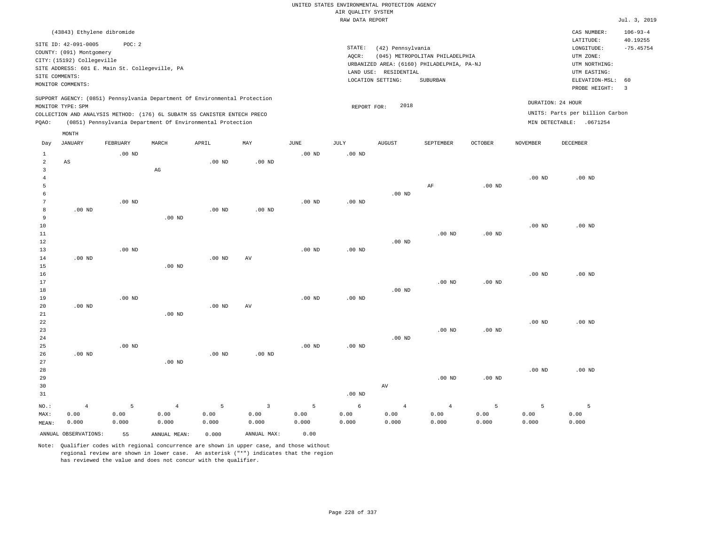|                                                           |                                                                                                                                                                                                       |                    |                                                                                                                                        |                    |                                 |                    | UNITED STATES ENVIRONMENTAL PROTECTION AGENCY |                                                                 |                                                                                           |                    |                    |                                                                                                                         |                                                                   |
|-----------------------------------------------------------|-------------------------------------------------------------------------------------------------------------------------------------------------------------------------------------------------------|--------------------|----------------------------------------------------------------------------------------------------------------------------------------|--------------------|---------------------------------|--------------------|-----------------------------------------------|-----------------------------------------------------------------|-------------------------------------------------------------------------------------------|--------------------|--------------------|-------------------------------------------------------------------------------------------------------------------------|-------------------------------------------------------------------|
|                                                           |                                                                                                                                                                                                       |                    |                                                                                                                                        |                    |                                 |                    | AIR QUALITY SYSTEM<br>RAW DATA REPORT         |                                                                 |                                                                                           |                    |                    |                                                                                                                         | Jul. 3, 2019                                                      |
|                                                           |                                                                                                                                                                                                       |                    |                                                                                                                                        |                    |                                 |                    |                                               |                                                                 |                                                                                           |                    |                    |                                                                                                                         |                                                                   |
|                                                           | (43843) Ethylene dibromide<br>SITE ID: 42-091-0005<br>COUNTY: (091) Montgomery<br>CITY: (15192) Collegeville<br>SITE ADDRESS: 601 E. Main St. Collegeville, PA<br>SITE COMMENTS:<br>MONITOR COMMENTS: | POC: 2             |                                                                                                                                        |                    |                                 |                    | STATE:<br>AQCR:                               | (42) Pennsylvania<br>LAND USE: RESIDENTIAL<br>LOCATION SETTING: | (045) METROPOLITAN PHILADELPHIA<br>URBANIZED AREA: (6160) PHILADELPHIA, PA-NJ<br>SUBURBAN |                    |                    | CAS NUMBER:<br>LATITUDE:<br>LONGITUDE:<br>UTM ZONE:<br>UTM NORTHING:<br>UTM EASTING:<br>ELEVATION-MSL:<br>PROBE HEIGHT: | $106 - 93 - 4$<br>40.19255<br>$-75.45754$<br>60<br>$\overline{3}$ |
|                                                           |                                                                                                                                                                                                       |                    | SUPPORT AGENCY: (0851) Pennsylvania Department Of Environmental Protection                                                             |                    |                                 |                    |                                               |                                                                 |                                                                                           |                    |                    |                                                                                                                         |                                                                   |
| PQAO:                                                     | MONITOR TYPE: SPM                                                                                                                                                                                     |                    | COLLECTION AND ANALYSIS METHOD: (176) 6L SUBATM SS CANISTER ENTECH PRECO<br>(0851) Pennsylvania Department Of Environmental Protection |                    |                                 |                    | REPORT FOR:                                   | 2018                                                            |                                                                                           |                    |                    | DURATION: 24 HOUR<br>UNITS: Parts per billion Carbon<br>MIN DETECTABLE: .0671254                                        |                                                                   |
|                                                           | MONTH                                                                                                                                                                                                 |                    |                                                                                                                                        |                    |                                 |                    |                                               |                                                                 |                                                                                           |                    |                    |                                                                                                                         |                                                                   |
| Day                                                       | <b>JANUARY</b>                                                                                                                                                                                        | FEBRUARY           | MARCH                                                                                                                                  | APRIL              | $_{\rm MAY}$                    | JUNE               | JULY                                          | <b>AUGUST</b>                                                   | SEPTEMBER                                                                                 | <b>OCTOBER</b>     | NOVEMBER           | DECEMBER                                                                                                                |                                                                   |
| $\mathbf{1}$<br>$\overline{a}$<br>$\overline{\mathbf{3}}$ | AS                                                                                                                                                                                                    | $.00$ ND           |                                                                                                                                        | .00 <sub>ND</sub>  | .00 <sub>ND</sub>               | $.00$ ND           | $.00$ ND                                      |                                                                 |                                                                                           |                    |                    |                                                                                                                         |                                                                   |
| $\overline{4}$<br>5                                       |                                                                                                                                                                                                       |                    | $_{\rm AG}$                                                                                                                            |                    |                                 |                    |                                               |                                                                 | AF                                                                                        | $.00$ ND           | $.00$ ND           | $.00$ ND                                                                                                                |                                                                   |
| 6<br>$7\phantom{.0}$<br>8                                 | .00 <sub>ND</sub>                                                                                                                                                                                     | $.00$ ND           |                                                                                                                                        | .00 <sub>ND</sub>  | .00 <sub>ND</sub>               | $.00$ ND           | $.00$ ND                                      | $.00$ ND                                                        |                                                                                           |                    |                    |                                                                                                                         |                                                                   |
| $\overline{9}$<br>10                                      |                                                                                                                                                                                                       |                    | $.00$ ND                                                                                                                               |                    |                                 |                    |                                               |                                                                 |                                                                                           |                    | .00 <sub>ND</sub>  | $.00$ ND                                                                                                                |                                                                   |
| $1\,1$<br>12<br>13                                        |                                                                                                                                                                                                       | $.00$ ND           |                                                                                                                                        |                    |                                 | $.00$ ND           | .00 <sub>ND</sub>                             | $.00$ ND                                                        | $.00$ ND                                                                                  | $.00$ ND           |                    |                                                                                                                         |                                                                   |
| 14<br>15                                                  | $.00$ ND                                                                                                                                                                                              |                    | $.00$ ND                                                                                                                               | .00 <sub>ND</sub>  | AV                              |                    |                                               |                                                                 |                                                                                           |                    |                    |                                                                                                                         |                                                                   |
| 16<br>17<br>$1\,8$                                        |                                                                                                                                                                                                       |                    |                                                                                                                                        |                    |                                 |                    |                                               | $.00$ ND                                                        | $.00$ ND                                                                                  | .00 <sub>ND</sub>  | .00 <sub>ND</sub>  | $.00$ ND                                                                                                                |                                                                   |
| 19<br>20<br>21                                            | $.00$ ND                                                                                                                                                                                              | $.00$ ND           | $.00$ ND                                                                                                                               | .00 <sub>ND</sub>  | AV                              | $.00$ ND           | $.00$ ND                                      |                                                                 |                                                                                           |                    |                    |                                                                                                                         |                                                                   |
| 22<br>23<br>24                                            |                                                                                                                                                                                                       |                    |                                                                                                                                        |                    |                                 |                    |                                               | $.00$ ND                                                        | $.00$ ND                                                                                  | $.00$ ND           | .00 <sub>ND</sub>  | .00 <sub>ND</sub>                                                                                                       |                                                                   |
| 25<br>26<br>27                                            | .00 <sub>ND</sub>                                                                                                                                                                                     | $.00$ ND           | $.00$ ND                                                                                                                               | .00 <sub>ND</sub>  | .00 <sub>ND</sub>               | $.00$ ND           | $.00$ ND                                      |                                                                 |                                                                                           |                    |                    |                                                                                                                         |                                                                   |
| 28<br>29<br>30                                            |                                                                                                                                                                                                       |                    |                                                                                                                                        |                    |                                 |                    |                                               | AV                                                              | $.00$ ND                                                                                  | $.00$ ND           | $.00$ ND           | $.00$ ND                                                                                                                |                                                                   |
| 31                                                        |                                                                                                                                                                                                       |                    |                                                                                                                                        |                    |                                 |                    | $.00$ ND                                      |                                                                 |                                                                                           |                    |                    |                                                                                                                         |                                                                   |
| NO.:<br>MAX:<br>MEAN:                                     | $\overline{4}$<br>0.00<br>0.000                                                                                                                                                                       | 5<br>0.00<br>0.000 | $\overline{4}$<br>0.00<br>0.000                                                                                                        | 5<br>0.00<br>0.000 | $\overline{3}$<br>0.00<br>0.000 | 5<br>0.00<br>0.000 | 6<br>0.00<br>0.000                            | $\overline{4}$<br>0.00<br>0.000                                 | $\overline{4}$<br>0.00<br>0.000                                                           | 5<br>0.00<br>0.000 | 5<br>0.00<br>0.000 | 5<br>0.00<br>0.000                                                                                                      |                                                                   |
|                                                           | ANNUAL OBSERVATIONS:                                                                                                                                                                                  | 55                 | ANNUAL MEAN:                                                                                                                           | 0.000              | ANNUAL MAX:                     | 0.00               |                                               |                                                                 |                                                                                           |                    |                    |                                                                                                                         |                                                                   |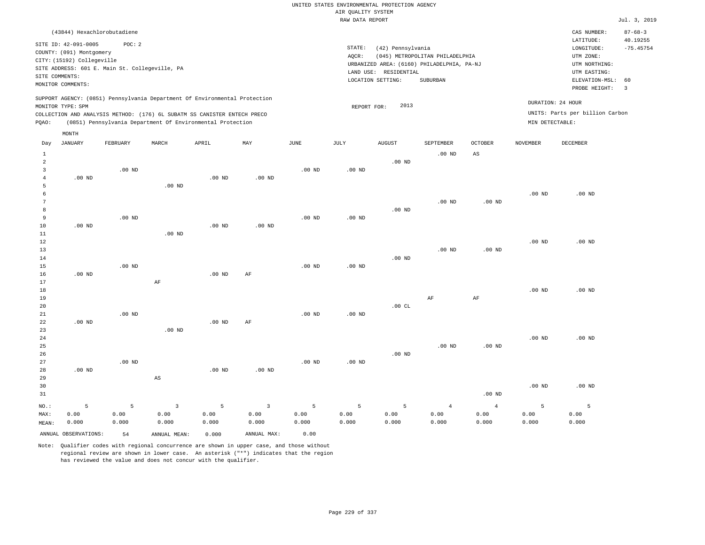|                 |                             |                                                |          |                                                                            |                   |                   | RAW DATA REPORT   |                       |                                            |                   |                   |                                 | Jul. 3, 2019   |
|-----------------|-----------------------------|------------------------------------------------|----------|----------------------------------------------------------------------------|-------------------|-------------------|-------------------|-----------------------|--------------------------------------------|-------------------|-------------------|---------------------------------|----------------|
|                 | (43844) Hexachlorobutadiene |                                                |          |                                                                            |                   |                   |                   |                       |                                            |                   |                   | CAS NUMBER:                     | $87 - 68 - 3$  |
|                 | SITE ID: 42-091-0005        | POC: 2                                         |          |                                                                            |                   |                   |                   |                       |                                            |                   |                   | LATITUDE:                       | 40.19255       |
|                 | COUNTY: (091) Montgomery    |                                                |          |                                                                            |                   |                   | STATE:            | (42) Pennsylvania     |                                            |                   |                   | LONGITUDE:                      | $-75.45754$    |
|                 | CITY: (15192) Collegeville  |                                                |          |                                                                            |                   |                   | AQCR:             |                       | (045) METROPOLITAN PHILADELPHIA            |                   |                   | UTM ZONE:                       |                |
|                 |                             | SITE ADDRESS: 601 E. Main St. Collegeville, PA |          |                                                                            |                   |                   |                   |                       | URBANIZED AREA: (6160) PHILADELPHIA, PA-NJ |                   |                   | UTM NORTHING:                   |                |
|                 | SITE COMMENTS:              |                                                |          |                                                                            |                   |                   |                   | LAND USE: RESIDENTIAL |                                            |                   |                   | UTM EASTING:                    |                |
|                 | MONITOR COMMENTS:           |                                                |          |                                                                            |                   |                   |                   | LOCATION SETTING:     | SUBURBAN                                   |                   |                   | ELEVATION-MSL:                  | 60             |
|                 |                             |                                                |          |                                                                            |                   |                   |                   |                       |                                            |                   |                   | PROBE HEIGHT:                   | $\overline{3}$ |
|                 |                             |                                                |          | SUPPORT AGENCY: (0851) Pennsylvania Department Of Environmental Protection |                   |                   |                   | 2013                  |                                            |                   |                   | DURATION: 24 HOUR               |                |
|                 | MONITOR TYPE: SPM           |                                                |          | COLLECTION AND ANALYSIS METHOD: (176) 6L SUBATM SS CANISTER ENTECH PRECO   |                   |                   | REPORT FOR:       |                       |                                            |                   |                   | UNITS: Parts per billion Carbon |                |
| PQAO:           |                             |                                                |          | (0851) Pennsylvania Department Of Environmental Protection                 |                   |                   |                   |                       |                                            |                   | MIN DETECTABLE:   |                                 |                |
|                 |                             |                                                |          |                                                                            |                   |                   |                   |                       |                                            |                   |                   |                                 |                |
| Day             | MONTH<br>JANUARY            | FEBRUARY                                       | MARCH    | APRIL                                                                      | MAY               | <b>JUNE</b>       | JULY              | <b>AUGUST</b>         | <b>SEPTEMBER</b>                           | <b>OCTOBER</b>    | <b>NOVEMBER</b>   | <b>DECEMBER</b>                 |                |
| 1               |                             |                                                |          |                                                                            |                   |                   |                   |                       | $.00$ ND                                   | AS                |                   |                                 |                |
| $\overline{a}$  |                             |                                                |          |                                                                            |                   |                   |                   | .00 <sub>ND</sub>     |                                            |                   |                   |                                 |                |
| $\overline{3}$  |                             | $.00$ ND                                       |          |                                                                            |                   | .00 <sub>ND</sub> | .00 <sub>ND</sub> |                       |                                            |                   |                   |                                 |                |
| $\overline{4}$  | $.00$ ND                    |                                                |          | $.00$ ND                                                                   | $.00$ ND          |                   |                   |                       |                                            |                   |                   |                                 |                |
| 5               |                             |                                                | $.00$ ND |                                                                            |                   |                   |                   |                       |                                            |                   |                   |                                 |                |
| 6               |                             |                                                |          |                                                                            |                   |                   |                   |                       |                                            |                   | .00 <sub>ND</sub> | $.00$ ND                        |                |
| $7\phantom{.0}$ |                             |                                                |          |                                                                            |                   |                   |                   |                       | $.00$ ND                                   | .00 <sub>ND</sub> |                   |                                 |                |
| 8               |                             |                                                |          |                                                                            |                   |                   |                   | $.00$ ND              |                                            |                   |                   |                                 |                |
| 9               |                             | $.00$ ND                                       |          |                                                                            |                   | $.00$ ND          | .00 <sub>ND</sub> |                       |                                            |                   |                   |                                 |                |
| 10              | $.00$ ND                    |                                                |          | .00 <sub>ND</sub>                                                          | .00 <sub>ND</sub> |                   |                   |                       |                                            |                   |                   |                                 |                |
| 11              |                             |                                                | $.00$ ND |                                                                            |                   |                   |                   |                       |                                            |                   |                   |                                 |                |
| 12              |                             |                                                |          |                                                                            |                   |                   |                   |                       |                                            |                   | .00 <sub>ND</sub> | $.00$ ND                        |                |
| 13              |                             |                                                |          |                                                                            |                   |                   |                   |                       | $.00$ ND                                   | .00 <sub>ND</sub> |                   |                                 |                |
| 14              |                             |                                                |          |                                                                            |                   |                   |                   | $.00$ ND              |                                            |                   |                   |                                 |                |
| 15              |                             | $.00$ ND                                       |          |                                                                            |                   | .00 <sub>ND</sub> | .00 <sub>ND</sub> |                       |                                            |                   |                   |                                 |                |
| 16<br>17        | $.00$ ND                    |                                                | AF       | $.00$ ND                                                                   | AF                |                   |                   |                       |                                            |                   |                   |                                 |                |
| 18              |                             |                                                |          |                                                                            |                   |                   |                   |                       |                                            |                   | .00 <sub>ND</sub> | .00 <sub>ND</sub>               |                |
| 19              |                             |                                                |          |                                                                            |                   |                   |                   |                       | AF                                         | AF                |                   |                                 |                |
| 20              |                             |                                                |          |                                                                            |                   |                   |                   | .00CL                 |                                            |                   |                   |                                 |                |
| 21              |                             | $.00$ ND                                       |          |                                                                            |                   | .00 <sub>ND</sub> | .00 <sub>ND</sub> |                       |                                            |                   |                   |                                 |                |
| 22              | $.00$ ND                    |                                                |          | .00 <sub>ND</sub>                                                          | AF                |                   |                   |                       |                                            |                   |                   |                                 |                |
| 23              |                             |                                                | $.00$ ND |                                                                            |                   |                   |                   |                       |                                            |                   |                   |                                 |                |
| 24              |                             |                                                |          |                                                                            |                   |                   |                   |                       |                                            |                   | .00 <sub>ND</sub> | $.00$ ND                        |                |
| 25              |                             |                                                |          |                                                                            |                   |                   |                   |                       | $.00$ ND                                   | .00 <sub>ND</sub> |                   |                                 |                |
| 26              |                             |                                                |          |                                                                            |                   |                   |                   | $.00$ ND              |                                            |                   |                   |                                 |                |
| 27              |                             | $.00$ ND                                       |          |                                                                            |                   | .00 <sub>ND</sub> | .00 <sub>ND</sub> |                       |                                            |                   |                   |                                 |                |
| 28              | $.00$ ND                    |                                                |          | $.00$ ND                                                                   | $.00$ ND          |                   |                   |                       |                                            |                   |                   |                                 |                |
| 29              |                             |                                                | AS       |                                                                            |                   |                   |                   |                       |                                            |                   |                   |                                 |                |
| 30              |                             |                                                |          |                                                                            |                   |                   |                   |                       |                                            |                   | .00 <sub>ND</sub> | $.00$ ND                        |                |

31 NO.: MAX: MEAN: 5 0.00 0.000 .00 ND 5 0.00 0.000 3 0.00 0.000 5 0.00 0.000 3 0.00 0.000 5 0.00 0.000 5 0.00 0.000 5 0.00 0.000 4 0.00 0.000 4 0.00 0.000 5 0.00 0.000 5 0.00 0.000 ANNUAL OBSERVATIONS: 54 ANNUAL MEAN: 0.000 ANNUAL MAX: 0.00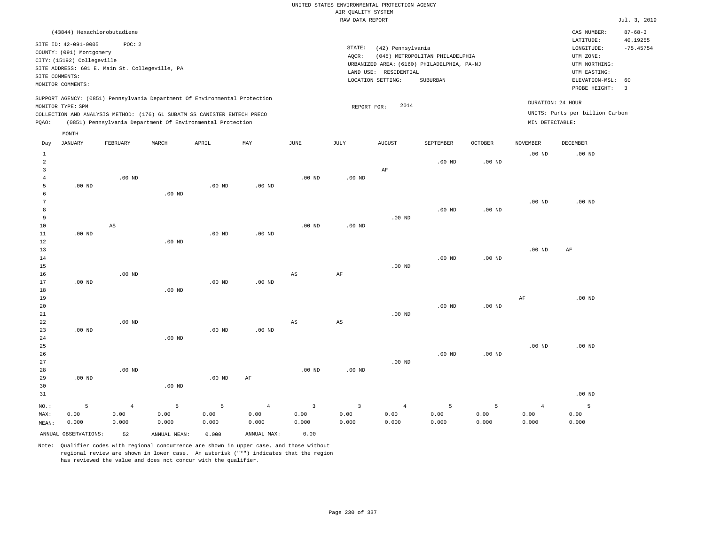| (43844) Hexachlorobutadiene                                                                                                                                                                                                                                 |                                                                                                                                                                                 | CAS NUMBER:                                                                                                 | $87 - 68 - 3$                                      |
|-------------------------------------------------------------------------------------------------------------------------------------------------------------------------------------------------------------------------------------------------------------|---------------------------------------------------------------------------------------------------------------------------------------------------------------------------------|-------------------------------------------------------------------------------------------------------------|----------------------------------------------------|
| SITE ID: 42-091-0005<br>POC:2<br>COUNTY: (091) Montgomery<br>CITY: (15192) Collegeville<br>SITE ADDRESS: 601 E. Main St. Collegeville, PA<br>SITE COMMENTS:<br>MONITOR COMMENTS:                                                                            | STATE:<br>(42) Pennsylvania<br>(045) METROPOLITAN PHILADELPHIA<br>AOCR:<br>URBANIZED AREA: (6160) PHILADELPHIA, PA-NJ<br>LAND USE: RESIDENTIAL<br>SUBURBAN<br>LOCATION SETTING: | LATITUDE:<br>LONGITUDE:<br>UTM ZONE:<br>UTM NORTHING:<br>UTM EASTING:<br>ELEVATION-MSL: 60<br>PROBE HEIGHT: | 40.19255<br>$-75.45754$<br>$\overline{\mathbf{3}}$ |
| SUPPORT AGENCY: (0851) Pennsylvania Department Of Environmental Protection<br>MONITOR TYPE: SPM<br>COLLECTION AND ANALYSIS METHOD: (176) 6L SUBATM SS CANISTER ENTECH PRECO<br>(0851) Pennsylvania Department Of Environmental Protection<br>POAO:<br>MONTH | DURATION: 24 HOUR<br>2014<br>REPORT FOR:<br>MIN DETECTABLE:                                                                                                                     | UNITS: Parts per billion Carbon                                                                             |                                                    |

| Day                     | JANUARY              | ${\tt FEBRUARY}$       | $\tt MARCH$  | APRIL    | MAY            | $_{\rm JUNE}$ | $\mathtt{JULY}$         | AUGUST         | SEPTEMBER      | $OCTOBER$ | NOVEMBER          | DECEMBER          |
|-------------------------|----------------------|------------------------|--------------|----------|----------------|---------------|-------------------------|----------------|----------------|-----------|-------------------|-------------------|
| 1                       |                      |                        |              |          |                |               |                         |                |                |           | .00 <sub>ND</sub> | $.00$ ND          |
| $\overline{\mathbf{c}}$ |                      |                        |              |          |                |               |                         |                | $.00$ ND       | $.00$ ND  |                   |                   |
| 3                       |                      |                        |              |          |                |               |                         | AF             |                |           |                   |                   |
| $\overline{4}$          |                      | $.00$ ND               |              |          |                | $.00$ ND      | .00 <sub>ND</sub>       |                |                |           |                   |                   |
| 5                       | $.00$ ND             |                        |              | $.00$ ND | $.00$ ND       |               |                         |                |                |           |                   |                   |
| 6                       |                      |                        | $.00$ ND     |          |                |               |                         |                |                |           |                   |                   |
| 7                       |                      |                        |              |          |                |               |                         |                |                |           | .00 <sub>ND</sub> | $.00$ ND          |
| 8                       |                      |                        |              |          |                |               |                         |                | $.00$ ND       | $.00$ ND  |                   |                   |
| 9                       |                      |                        |              |          |                |               |                         | $.00$ ND       |                |           |                   |                   |
| $10$                    |                      | $\mathbb{A}\mathbb{S}$ |              |          |                | $.00$ ND      | $.00$ ND                |                |                |           |                   |                   |
| $11\,$                  | $.00$ ND             |                        |              | $.00$ ND | $.00$ ND       |               |                         |                |                |           |                   |                   |
| 12                      |                      |                        | $.00$ ND     |          |                |               |                         |                |                |           |                   |                   |
| 13                      |                      |                        |              |          |                |               |                         |                |                |           | $.00$ ND          | $\rm AF$          |
| 14                      |                      |                        |              |          |                |               |                         |                | $.00$ ND       | $.00$ ND  |                   |                   |
| 15                      |                      |                        |              |          |                |               |                         | $.00$ ND       |                |           |                   |                   |
| 16                      |                      | $.00$ ND               |              |          |                | AS            | $\rm{AF}$               |                |                |           |                   |                   |
| 17                      | $.00$ ND             |                        |              | $.00$ ND | $.00$ ND       |               |                         |                |                |           |                   |                   |
| 18                      |                      |                        | $.00$ ND     |          |                |               |                         |                |                |           |                   |                   |
| 19                      |                      |                        |              |          |                |               |                         |                | $.00$ ND       |           | AF                | $.00$ ND          |
| 20<br>21                |                      |                        |              |          |                |               |                         | $.00$ ND       |                | $.00$ ND  |                   |                   |
| 22                      |                      | $.00$ ND               |              |          |                | AS            | $_{\rm AS}$             |                |                |           |                   |                   |
| 23                      | $.00$ ND             |                        |              | $.00$ ND | .00 $ND$       |               |                         |                |                |           |                   |                   |
| $2\,4$                  |                      |                        | $.00$ ND     |          |                |               |                         |                |                |           |                   |                   |
| 25                      |                      |                        |              |          |                |               |                         |                |                |           | $.00$ ND          | $.00$ ND          |
| 26                      |                      |                        |              |          |                |               |                         |                | $.00$ ND       | $.00$ ND  |                   |                   |
| 27                      |                      |                        |              |          |                |               |                         | $.00$ ND       |                |           |                   |                   |
| 28                      |                      | $.00$ ND               |              |          |                | $.00$ ND      | $.00$ ND                |                |                |           |                   |                   |
| 29                      | $.00$ ND             |                        |              | $.00$ ND | $\rm AF$       |               |                         |                |                |           |                   |                   |
| 30                      |                      |                        | $.00$ ND     |          |                |               |                         |                |                |           |                   |                   |
| 31                      |                      |                        |              |          |                |               |                         |                |                |           |                   | .00 <sub>ND</sub> |
| $_{\rm NO.}$ :          | 5                    | $\overline{4}$         | 5            | 5        | $\overline{4}$ | $\mathbf{3}$  | $\overline{\mathbf{3}}$ | $\overline{4}$ | $\overline{5}$ | 5         | $\overline{4}$    | 5                 |
| MAX:                    | 0.00                 | 0.00                   | 0.00         | 0.00     | 0.00           | 0.00          | 0.00                    | 0.00           | 0.00           | 0.00      | 0.00              | 0.00              |
| MEAN:                   | 0.000                | 0.000                  | 0.000        | 0.000    | 0.000          | 0.000         | 0.000                   | 0.000          | 0.000          | 0.000     | 0.000             | 0.000             |
|                         | ANNUAL OBSERVATIONS: | 52                     | ANNUAL MEAN: | 0.000    | ANNUAL MAX:    | 0.00          |                         |                |                |           |                   |                   |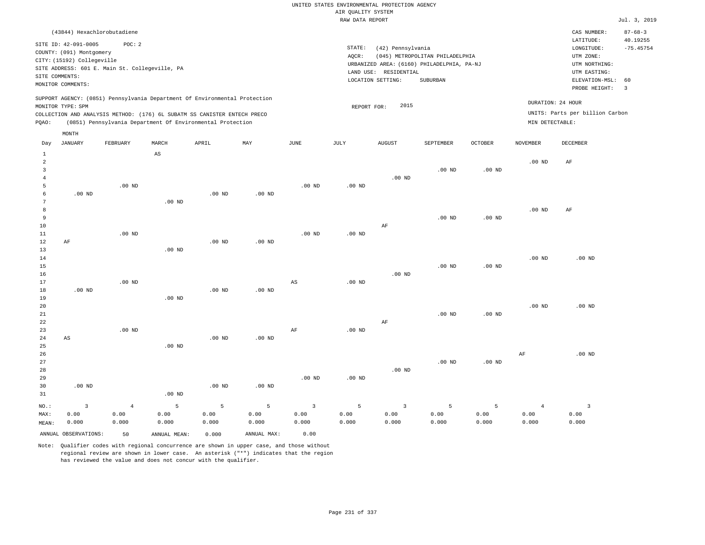| (43844) Hexachlorobutadiene                                                                                                                                                                                                                        |                                                                                                                                                                                    | CAS NUMBER:                                                                                                 | $87 - 68 - 3$                 |
|----------------------------------------------------------------------------------------------------------------------------------------------------------------------------------------------------------------------------------------------------|------------------------------------------------------------------------------------------------------------------------------------------------------------------------------------|-------------------------------------------------------------------------------------------------------------|-------------------------------|
| SITE ID: 42-091-0005<br>POC:2<br>COUNTY: (091) Montgomery<br>CITY: (15192) Collegeville<br>SITE ADDRESS: 601 E. Main St. Collegeville, PA<br>SITE COMMENTS:<br>MONITOR COMMENTS:                                                                   | STATE:<br>(42) Pennsylvania<br>(045) METROPOLITAN PHILADELPHIA<br>AOCR:<br>URBANIZED AREA: (6160) PHILADELPHIA, PA-NJ<br>RESIDENTIAL<br>LAND USE:<br>LOCATION SETTING:<br>SUBURBAN | LATITUDE:<br>LONGITUDE:<br>UTM ZONE:<br>UTM NORTHING:<br>UTM EASTING:<br>ELEVATION-MSL: 60<br>PROBE HEIGHT: | 40.19255<br>$-75.45754$<br>-3 |
| SUPPORT AGENCY: (0851) Pennsylvania Department Of Environmental Protection<br>MONITOR TYPE: SPM<br>COLLECTION AND ANALYSIS METHOD: (176) 6L SUBATM SS CANISTER ENTECH PRECO<br>(0851) Pennsylvania Department Of Environmental Protection<br>POAO: | 2015<br>REPORT FOR:                                                                                                                                                                | DURATION: 24 HOUR<br>UNITS: Parts per billion Carbon<br>MIN DETECTABLE:                                     |                               |
| MONTH                                                                                                                                                                                                                                              |                                                                                                                                                                                    |                                                                                                             |                               |

| Day            | $_{\rm JANUARY}$     | FEBRUARY | MARCH                  | APRIL             | $_{\rm MAY}$ | JUNE                    | $\mathtt{JULY}$   | ${\tt AUGUST}$ | SEPTEMBER | OCTOBER           | NOVEMBER       | DECEMBER       |
|----------------|----------------------|----------|------------------------|-------------------|--------------|-------------------------|-------------------|----------------|-----------|-------------------|----------------|----------------|
| $\mathbf{1}$   |                      |          | $\mathbb{A}\mathbb{S}$ |                   |              |                         |                   |                |           |                   |                |                |
| $\overline{c}$ |                      |          |                        |                   |              |                         |                   |                |           |                   | $.00$ ND       | AF             |
| 3              |                      |          |                        |                   |              |                         |                   |                | $.00$ ND  | .00 <sub>ND</sub> |                |                |
| $\overline{4}$ |                      |          |                        |                   |              |                         |                   | $.00$ ND       |           |                   |                |                |
| 5              |                      | .00 $ND$ |                        |                   |              | $.00$ ND                | $.00$ ND          |                |           |                   |                |                |
| 6              | $.00$ ND             |          |                        | .00 <sub>ND</sub> | .00 $ND$     |                         |                   |                |           |                   |                |                |
| 7              |                      |          | .00 <sub>ND</sub>      |                   |              |                         |                   |                |           |                   |                |                |
| 8              |                      |          |                        |                   |              |                         |                   |                |           |                   | $.00$ ND       | AF             |
| 9              |                      |          |                        |                   |              |                         |                   |                | $.00$ ND  | $.00$ ND          |                |                |
| $10$           |                      |          |                        |                   |              |                         |                   | AF             |           |                   |                |                |
| 11             |                      | $.00$ ND |                        |                   |              | $.00$ ND                | $.00$ ND          |                |           |                   |                |                |
| 12             | $\rm AF$             |          |                        | .00 <sub>ND</sub> | $.00$ ND     |                         |                   |                |           |                   |                |                |
| 13             |                      |          | $.00$ ND               |                   |              |                         |                   |                |           |                   |                |                |
| 14             |                      |          |                        |                   |              |                         |                   |                |           |                   | $.00$ ND       | $.00$ ND       |
| 15             |                      |          |                        |                   |              |                         |                   |                | $.00$ ND  | .00 <sub>ND</sub> |                |                |
| 16             |                      |          |                        |                   |              |                         |                   | $.00$ ND       |           |                   |                |                |
| 17             |                      | $.00$ ND |                        |                   |              | $_{\rm AS}$             | $.00$ ND          |                |           |                   |                |                |
| 18             | $.00$ ND             |          |                        | .00 <sub>ND</sub> | $.00$ ND     |                         |                   |                |           |                   |                |                |
| 19             |                      |          | .00 <sub>ND</sub>      |                   |              |                         |                   |                |           |                   |                |                |
| 20             |                      |          |                        |                   |              |                         |                   |                |           |                   | $.00$ ND       | $.00$ ND       |
| 21             |                      |          |                        |                   |              |                         |                   |                | $.00$ ND  | .00 $ND$          |                |                |
| 22             |                      |          |                        |                   |              |                         |                   | AF             |           |                   |                |                |
| 23             |                      | $.00$ ND |                        |                   |              | $\rm{AF}$               | .00 <sub>ND</sub> |                |           |                   |                |                |
| 24             | AS                   |          |                        | .00 <sub>ND</sub> | $.00$ ND     |                         |                   |                |           |                   |                |                |
| 25             |                      |          | $.00$ ND               |                   |              |                         |                   |                |           |                   |                |                |
| 26             |                      |          |                        |                   |              |                         |                   |                |           |                   | AF             | $.00$ ND       |
| 27             |                      |          |                        |                   |              |                         |                   |                | $.00$ ND  | .00 <sub>ND</sub> |                |                |
| 28             |                      |          |                        |                   |              |                         |                   | $.00$ ND       |           |                   |                |                |
| 29             |                      |          |                        |                   |              | .00 <sub>ND</sub>       | $.00$ ND          |                |           |                   |                |                |
| 30             | $.00$ ND             |          |                        | .00 <sub>ND</sub> | $.00$ ND     |                         |                   |                |           |                   |                |                |
| 31             |                      |          | $.00$ ND               |                   |              |                         |                   |                |           |                   |                |                |
| $_{\rm NO.}$ : | 3                    | $\,4$    | 5                      | 5                 | 5            | $\overline{\mathbf{3}}$ | 5                 | $\mathsf 3$    | 5         | 5                 | $\overline{4}$ | $\overline{3}$ |
| MAX:           | 0.00                 | 0.00     | 0.00                   | 0.00              | 0.00         | 0.00                    | 0.00              | 0.00           | 0.00      | 0.00              | 0.00           | 0.00           |
| MEAN:          | 0.000                | 0.000    | 0.000                  | 0.000             | 0.000        | 0.000                   | 0.000             | 0.000          | 0.000     | 0.000             | 0.000          | 0.000          |
|                | ANNUAL OBSERVATIONS: | 50       | ANNUAL MEAN:           | 0.000             | ANNUAL MAX:  | 0.00                    |                   |                |           |                   |                |                |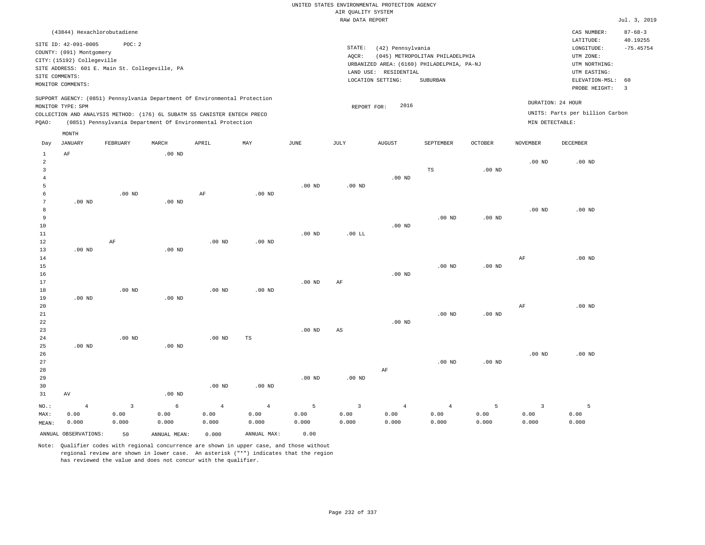| (43844) Hexachlorobutadiene                                                                                                                                                                                                                                 |                                                                                                                                                                                 | CAS NUMBER:                                                                                                 | $87 - 68 - 3$           |
|-------------------------------------------------------------------------------------------------------------------------------------------------------------------------------------------------------------------------------------------------------------|---------------------------------------------------------------------------------------------------------------------------------------------------------------------------------|-------------------------------------------------------------------------------------------------------------|-------------------------|
| SITE ID: 42-091-0005<br>POC: 2<br>COUNTY: (091) Montgomery<br>CITY: (15192) Collegeville<br>SITE ADDRESS: 601 E. Main St. Collegeville, PA<br>SITE COMMENTS:<br>MONITOR COMMENTS:                                                                           | STATE:<br>(42) Pennsylvania<br>(045) METROPOLITAN PHILADELPHIA<br>AOCR:<br>URBANIZED AREA: (6160) PHILADELPHIA, PA-NJ<br>LAND USE: RESIDENTIAL<br>SUBURBAN<br>LOCATION SETTING: | LATITUDE:<br>LONGITUDE:<br>UTM ZONE:<br>UTM NORTHING:<br>UTM EASTING:<br>ELEVATION-MSL: 60<br>PROBE HEIGHT: | 40.19255<br>$-75.45754$ |
| SUPPORT AGENCY: (0851) Pennsylvania Department Of Environmental Protection<br>MONITOR TYPE: SPM<br>COLLECTION AND ANALYSIS METHOD: (176) 6L SUBATM SS CANISTER ENTECH PRECO<br>(0851) Pennsylvania Department Of Environmental Protection<br>POAO:<br>MONTH | 2016<br>REPORT FOR:                                                                                                                                                             | DURATION: 24 HOUR<br>UNITS: Parts per billion Carbon<br>MIN DETECTABLE:                                     |                         |

| Day            | JANUARY              | FEBRUARY                | MARCH        | APRIL          | MAY            | JUNE     | JULY                   | AUGUST         | SEPTEMBER      | OCTOBER  | NOVEMBER                | DECEMBER    |
|----------------|----------------------|-------------------------|--------------|----------------|----------------|----------|------------------------|----------------|----------------|----------|-------------------------|-------------|
| $\mathbf{1}$   | $\rm AF$             |                         | $.00$ ND     |                |                |          |                        |                |                |          |                         |             |
| $\overline{a}$ |                      |                         |              |                |                |          |                        |                |                |          | $.00$ ND                | $.00$ ND    |
| 3              |                      |                         |              |                |                |          |                        |                | TS             | $.00$ ND |                         |             |
| $\overline{4}$ |                      |                         |              |                |                |          |                        | $.00$ ND       |                |          |                         |             |
| 5              |                      |                         |              |                |                | $.00$ ND | .00 $ND$               |                |                |          |                         |             |
| 6              |                      | $.00$ ND                |              | AF             | $.00$ ND       |          |                        |                |                |          |                         |             |
| $\overline{7}$ | $.00$ ND             |                         | $.00$ ND     |                |                |          |                        |                |                |          |                         |             |
| 8              |                      |                         |              |                |                |          |                        |                |                |          | $.00$ ND                | $.00$ ND    |
| 9              |                      |                         |              |                |                |          |                        |                | $.00$ ND       | $.00$ ND |                         |             |
| $10$           |                      |                         |              |                |                |          |                        | $.00$ ND       |                |          |                         |             |
| 11             |                      |                         |              |                |                | $.00$ ND | $.00$ LL               |                |                |          |                         |             |
| 12             |                      | $\rm{AF}$               |              | .00 $ND$       | .00 $ND$       |          |                        |                |                |          |                         |             |
| 13             | .00 $ND$             |                         | $.00$ ND     |                |                |          |                        |                |                |          |                         |             |
| 14             |                      |                         |              |                |                |          |                        |                |                |          | $\rm{AF}$               | $.00$ ND    |
| 15             |                      |                         |              |                |                |          |                        |                | $.00$ ND       | $.00$ ND |                         |             |
| $16$           |                      |                         |              |                |                |          |                        | $.00$ ND       |                |          |                         |             |
| $17\,$         |                      |                         |              |                |                | $.00$ ND | AF                     |                |                |          |                         |             |
| 18             |                      | $.00$ ND                |              | $.00$ ND       | $.00$ ND       |          |                        |                |                |          |                         |             |
| 19             | .00 $ND$             |                         | $.00$ ND     |                |                |          |                        |                |                |          |                         |             |
| 20             |                      |                         |              |                |                |          |                        |                |                |          | AF                      | $.00$ ND    |
| $2\sqrt{1}$    |                      |                         |              |                |                |          |                        |                | $.00$ ND       | $.00$ ND |                         |             |
| ${\bf 22}$     |                      |                         |              |                |                |          |                        | $.00$ ND       |                |          |                         |             |
| $23\,$         |                      |                         |              |                |                | $.00$ ND | $\mathbb{A}\mathbb{S}$ |                |                |          |                         |             |
| $2\,4$         |                      | .00 $ND$                |              | .00 $ND$       | $\mathbb{TS}$  |          |                        |                |                |          |                         |             |
| 25             | $.00$ ND             |                         | $.00$ ND     |                |                |          |                        |                |                |          |                         |             |
| 26             |                      |                         |              |                |                |          |                        |                |                |          | $.00$ ND                | $.00$ ND    |
| $2\,7$         |                      |                         |              |                |                |          |                        |                | $.00$ ND       | $.00$ ND |                         |             |
| 28             |                      |                         |              |                |                |          |                        | $\rm AF$       |                |          |                         |             |
| 29             |                      |                         |              |                |                | $.00$ ND | .00 $ND$               |                |                |          |                         |             |
| 30             |                      |                         |              | $.00$ ND       | $.00$ ND       |          |                        |                |                |          |                         |             |
| 31             | $\operatorname{AV}$  |                         | $.00$ ND     |                |                |          |                        |                |                |          |                         |             |
| $_{\rm NO.}$ : | $\overline{4}$       | $\overline{\mathbf{3}}$ | $\epsilon$   | $\overline{4}$ | $\overline{4}$ | 5        | $\overline{3}$         | $\overline{4}$ | $\overline{4}$ | 5        | $\overline{\mathbf{3}}$ | $5^{\circ}$ |
| MAX:           | 0.00                 | 0.00                    | 0.00         | 0.00           | 0.00           | 0.00     | 0.00                   | 0.00           | 0.00           | 0.00     | 0.00                    | 0.00        |
| MEAN:          | 0.000                | 0.000                   | 0.000        | 0.000          | 0.000          | 0.000    | 0.000                  | 0.000          | 0.000          | 0.000    | 0.000                   | 0.000       |
|                | ANNUAL OBSERVATIONS: | 50                      | ANNUAL MEAN: | 0.000          | ANNUAL MAX:    | 0.00     |                        |                |                |          |                         |             |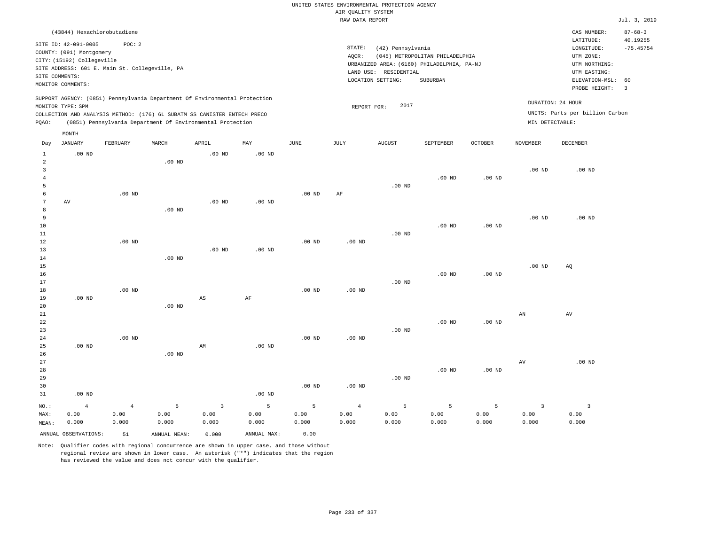|                     |                             |                                                |               |                                                                            |                   |                   |                    | UNITED STATES ENVIRONMENTAL PROTECTION AGENCY |                                            |                |                        |                                 |                         |
|---------------------|-----------------------------|------------------------------------------------|---------------|----------------------------------------------------------------------------|-------------------|-------------------|--------------------|-----------------------------------------------|--------------------------------------------|----------------|------------------------|---------------------------------|-------------------------|
|                     |                             |                                                |               |                                                                            |                   |                   | AIR QUALITY SYSTEM |                                               |                                            |                |                        |                                 |                         |
|                     |                             |                                                |               |                                                                            |                   |                   | RAW DATA REPORT    |                                               |                                            |                |                        |                                 | Jul. 3, 2019            |
|                     | (43844) Hexachlorobutadiene |                                                |               |                                                                            |                   |                   |                    |                                               |                                            |                |                        | CAS NUMBER:                     | $87 - 68 - 3$           |
|                     | SITE ID: 42-091-0005        | POC: 2                                         |               |                                                                            |                   |                   | STATE:             | (42) Pennsylvania                             |                                            |                |                        | LATITUDE:<br>LONGITUDE:         | 40.19255<br>$-75.45754$ |
|                     | COUNTY: (091) Montgomery    |                                                |               |                                                                            |                   |                   | AQCR:              |                                               | (045) METROPOLITAN PHILADELPHIA            |                |                        | UTM ZONE:                       |                         |
|                     | CITY: (15192) Collegeville  |                                                |               |                                                                            |                   |                   |                    |                                               | URBANIZED AREA: (6160) PHILADELPHIA, PA-NJ |                |                        | UTM NORTHING:                   |                         |
|                     |                             | SITE ADDRESS: 601 E. Main St. Collegeville, PA |               |                                                                            |                   |                   |                    | LAND USE: RESIDENTIAL                         |                                            |                |                        | UTM EASTING:                    |                         |
|                     | SITE COMMENTS:              |                                                |               |                                                                            |                   |                   |                    | LOCATION SETTING:                             | SUBURBAN                                   |                |                        | ELEVATION-MSL:                  | 60                      |
|                     | MONITOR COMMENTS:           |                                                |               |                                                                            |                   |                   |                    |                                               |                                            |                |                        | PROBE HEIGHT:                   | $\overline{3}$          |
|                     |                             |                                                |               | SUPPORT AGENCY: (0851) Pennsylvania Department Of Environmental Protection |                   |                   |                    |                                               |                                            |                |                        | DURATION: 24 HOUR               |                         |
|                     | MONITOR TYPE: SPM           |                                                |               |                                                                            |                   |                   | REPORT FOR:        | 2017                                          |                                            |                |                        |                                 |                         |
|                     |                             |                                                |               | COLLECTION AND ANALYSIS METHOD: (176) 6L SUBATM SS CANISTER ENTECH PRECO   |                   |                   |                    |                                               |                                            |                |                        | UNITS: Parts per billion Carbon |                         |
| PQAO:               |                             |                                                |               | (0851) Pennsylvania Department Of Environmental Protection                 |                   |                   |                    |                                               |                                            |                | MIN DETECTABLE:        |                                 |                         |
|                     | MONTH                       |                                                |               |                                                                            |                   |                   |                    |                                               |                                            |                |                        |                                 |                         |
| Day                 | <b>JANUARY</b>              | FEBRUARY                                       | MARCH         | APRIL                                                                      | $\texttt{MAX}$    | JUNE              | JULY               | <b>AUGUST</b>                                 | SEPTEMBER                                  | <b>OCTOBER</b> | <b>NOVEMBER</b>        | DECEMBER                        |                         |
| $\mathbf{1}$        | $.00$ ND                    |                                                |               | $.00$ ND                                                                   | $.00$ ND          |                   |                    |                                               |                                            |                |                        |                                 |                         |
| $\overline{a}$      |                             |                                                | $.00$ ND      |                                                                            |                   |                   |                    |                                               |                                            |                |                        |                                 |                         |
| $\overline{3}$      |                             |                                                |               |                                                                            |                   |                   |                    |                                               |                                            |                | .00 <sub>ND</sub>      | $.00$ ND                        |                         |
| $\overline{4}$<br>5 |                             |                                                |               |                                                                            |                   |                   |                    | $.00$ ND                                      | $.00$ ND                                   | $.00$ ND       |                        |                                 |                         |
| 6                   |                             | $.00$ ND                                       |               |                                                                            |                   | $.00$ ND          | AF                 |                                               |                                            |                |                        |                                 |                         |
| 7                   | $\,\mathrm{AV}$             |                                                |               | .00 <sub>ND</sub>                                                          | .00 <sub>ND</sub> |                   |                    |                                               |                                            |                |                        |                                 |                         |
| 8                   |                             |                                                | $.00$ ND      |                                                                            |                   |                   |                    |                                               |                                            |                |                        |                                 |                         |
| 9                   |                             |                                                |               |                                                                            |                   |                   |                    |                                               |                                            |                | .00 <sub>ND</sub>      | $.00$ ND                        |                         |
| 10                  |                             |                                                |               |                                                                            |                   |                   |                    |                                               | $.00$ ND                                   | $.00$ ND       |                        |                                 |                         |
| 11                  |                             |                                                |               |                                                                            |                   |                   |                    | .00 <sub>ND</sub>                             |                                            |                |                        |                                 |                         |
| 12                  |                             | $.00$ ND                                       |               |                                                                            |                   | .00 <sub>ND</sub> | .00 <sub>ND</sub>  |                                               |                                            |                |                        |                                 |                         |
| 13                  |                             |                                                |               | $.00$ ND                                                                   | $.00$ ND          |                   |                    |                                               |                                            |                |                        |                                 |                         |
| 14                  |                             |                                                | $.00$ ND      |                                                                            |                   |                   |                    |                                               |                                            |                |                        |                                 |                         |
| 15<br>16            |                             |                                                |               |                                                                            |                   |                   |                    |                                               | $.00$ ND                                   | $.00$ ND       | .00 <sub>ND</sub>      | AQ                              |                         |
| 17                  |                             |                                                |               |                                                                            |                   |                   |                    | $.00$ ND                                      |                                            |                |                        |                                 |                         |
| 18                  |                             | $.00$ ND                                       |               |                                                                            |                   | $.00$ ND          | .00 <sub>ND</sub>  |                                               |                                            |                |                        |                                 |                         |
| 19                  | .00 <sub>ND</sub>           |                                                |               | $\mathbb{A}\mathbb{S}$                                                     | $\rm AF$          |                   |                    |                                               |                                            |                |                        |                                 |                         |
| 20                  |                             |                                                | $.00$ ND      |                                                                            |                   |                   |                    |                                               |                                            |                |                        |                                 |                         |
| 21                  |                             |                                                |               |                                                                            |                   |                   |                    |                                               |                                            |                | $\mathbb{A}\mathbb{N}$ | $\operatorname{AV}$             |                         |
| 22                  |                             |                                                |               |                                                                            |                   |                   |                    |                                               | $.00$ ND                                   | $.00$ ND       |                        |                                 |                         |
| 23                  |                             |                                                |               |                                                                            |                   |                   |                    | .00 <sub>ND</sub>                             |                                            |                |                        |                                 |                         |
| 24                  |                             | $.00$ ND                                       |               |                                                                            |                   | .00 <sub>ND</sub> | .00 <sub>ND</sub>  |                                               |                                            |                |                        |                                 |                         |
| 25<br>26            | $.00$ ND                    |                                                | $.00$ ND      | AM                                                                         | $.00$ ND          |                   |                    |                                               |                                            |                |                        |                                 |                         |
| 27                  |                             |                                                |               |                                                                            |                   |                   |                    |                                               |                                            |                | $\operatorname{AV}$    | $.00$ ND                        |                         |
| 28                  |                             |                                                |               |                                                                            |                   |                   |                    |                                               | $.00$ ND                                   | $.00$ ND       |                        |                                 |                         |
| 29                  |                             |                                                |               |                                                                            |                   |                   |                    | .00 <sub>ND</sub>                             |                                            |                |                        |                                 |                         |
| 30                  |                             |                                                |               |                                                                            |                   | $.00$ ND          | $.00$ ND           |                                               |                                            |                |                        |                                 |                         |
| 31                  | $.00$ ND                    |                                                |               |                                                                            | .00 <sub>ND</sub> |                   |                    |                                               |                                            |                |                        |                                 |                         |
| $NO.$ :             | $\overline{4}$              | $\overline{4}$                                 | $\sqrt{5}$    | $\overline{3}$                                                             | $\mathsf S$       | 5                 | $\overline{4}$     | 5                                             | 5                                          | 5              | $\overline{3}$         | $\overline{3}$                  |                         |
| MAX:                | 0.00                        | 0.00                                           | 0.00          | 0.00                                                                       | 0.00              | 0.00              | 0.00               | 0.00                                          | 0.00                                       | 0.00           | 0.00                   | 0.00                            |                         |
| MEAN:               | 0.000                       | 0.000                                          | 0.000         | 0.000                                                                      | 0.000             | 0.000             | 0.000              | 0.000                                         | 0.000                                      | 0.000          | 0.000                  | 0.000                           |                         |
|                     | ANNUAL OBSERVATIONS:        | 51                                             | ANNUAL, MEAN: | 0.000                                                                      | ANNUAL MAX:       | 0.00              |                    |                                               |                                            |                |                        |                                 |                         |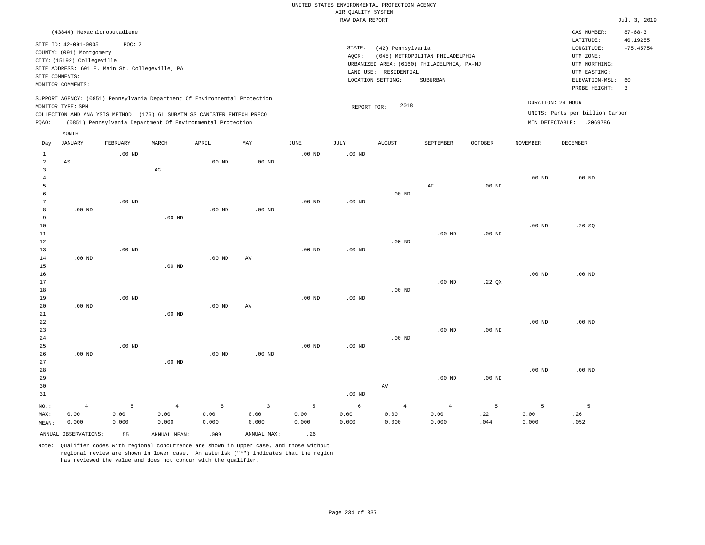|                                     |                                                                                                                                                                 |                   |                                                                            |                   |              |                   | UNITED STATES ENVIRONMENTAL PROTECTION AGENCY<br>AIR QUALITY SYSTEM |                       |                                                                               |                |                   |                                                                      |                                          |
|-------------------------------------|-----------------------------------------------------------------------------------------------------------------------------------------------------------------|-------------------|----------------------------------------------------------------------------|-------------------|--------------|-------------------|---------------------------------------------------------------------|-----------------------|-------------------------------------------------------------------------------|----------------|-------------------|----------------------------------------------------------------------|------------------------------------------|
|                                     |                                                                                                                                                                 |                   |                                                                            |                   |              |                   | RAW DATA REPORT                                                     |                       |                                                                               |                |                   |                                                                      | Jul. 3, 2019                             |
|                                     |                                                                                                                                                                 |                   |                                                                            |                   |              |                   |                                                                     |                       |                                                                               |                |                   |                                                                      |                                          |
|                                     | (43844) Hexachlorobutadiene<br>SITE ID: 42-091-0005<br>COUNTY: (091) Montgomery<br>CITY: (15192) Collegeville<br>SITE ADDRESS: 601 E. Main St. Collegeville, PA | POC: 2            |                                                                            |                   |              |                   | STATE:<br>AQCR:                                                     | (42) Pennsylvania     | (045) METROPOLITAN PHILADELPHIA<br>URBANIZED AREA: (6160) PHILADELPHIA, PA-NJ |                |                   | CAS NUMBER:<br>LATITUDE:<br>LONGITUDE:<br>UTM ZONE:<br>UTM NORTHING: | $87 - 68 - 3$<br>40.19255<br>$-75.45754$ |
| SITE COMMENTS:                      |                                                                                                                                                                 |                   |                                                                            |                   |              |                   |                                                                     | LAND USE: RESIDENTIAL |                                                                               |                |                   | UTM EASTING:                                                         |                                          |
|                                     | MONITOR COMMENTS:                                                                                                                                               |                   |                                                                            |                   |              |                   |                                                                     | LOCATION SETTING:     | SUBURBAN                                                                      |                |                   | ELEVATION-MSL:<br>PROBE HEIGHT:                                      | 60<br>$\overline{3}$                     |
|                                     | MONITOR TYPE: SPM                                                                                                                                               |                   | SUPPORT AGENCY: (0851) Pennsylvania Department Of Environmental Protection |                   |              |                   | REPORT FOR:                                                         | 2018                  |                                                                               |                |                   | DURATION: 24 HOUR                                                    |                                          |
|                                     |                                                                                                                                                                 |                   | COLLECTION AND ANALYSIS METHOD: (176) 6L SUBATM SS CANISTER ENTECH PRECO   |                   |              |                   |                                                                     |                       |                                                                               |                |                   | UNITS: Parts per billion Carbon                                      |                                          |
| PQAO:                               |                                                                                                                                                                 |                   | (0851) Pennsylvania Department Of Environmental Protection                 |                   |              |                   |                                                                     |                       |                                                                               |                |                   | MIN DETECTABLE: .2069786                                             |                                          |
|                                     | MONTH                                                                                                                                                           |                   |                                                                            |                   |              |                   |                                                                     |                       |                                                                               |                |                   |                                                                      |                                          |
| Day                                 | JANUARY                                                                                                                                                         | <b>FEBRUARY</b>   | MARCH                                                                      | APRIL             | MAY          | JUNE              | <b>JULY</b>                                                         | <b>AUGUST</b>         | SEPTEMBER                                                                     | <b>OCTOBER</b> | <b>NOVEMBER</b>   | <b>DECEMBER</b>                                                      |                                          |
| $\mathbf{1}$<br>$\overline{a}$      | AS                                                                                                                                                              | .00 <sub>ND</sub> |                                                                            | $.00$ ND          | $.00$ ND     | .00 <sub>ND</sub> | $.00$ ND                                                            |                       |                                                                               |                |                   |                                                                      |                                          |
| $\mathbf{3}$<br>$\overline{4}$<br>5 |                                                                                                                                                                 |                   | $_{\rm AG}$                                                                |                   |              |                   |                                                                     |                       | AF                                                                            | $.00$ ND       | .00 <sub>ND</sub> | $.00$ ND                                                             |                                          |
| 6                                   |                                                                                                                                                                 |                   |                                                                            |                   |              |                   |                                                                     | $.00$ ND              |                                                                               |                |                   |                                                                      |                                          |
| $\overline{7}$                      |                                                                                                                                                                 | $.00$ ND          |                                                                            |                   |              | $.00$ ND          | $.00$ ND                                                            |                       |                                                                               |                |                   |                                                                      |                                          |
| 8                                   | $.00$ ND                                                                                                                                                        |                   |                                                                            | $.00$ ND          | $.00$ ND     |                   |                                                                     |                       |                                                                               |                |                   |                                                                      |                                          |
| 9                                   |                                                                                                                                                                 |                   | $.00$ ND                                                                   |                   |              |                   |                                                                     |                       |                                                                               |                |                   |                                                                      |                                          |
| 10<br>11                            |                                                                                                                                                                 |                   |                                                                            |                   |              |                   |                                                                     |                       | $.00$ ND                                                                      | $.00$ ND       | .00 <sub>ND</sub> | .26S                                                                 |                                          |
| 12                                  |                                                                                                                                                                 |                   |                                                                            |                   |              |                   |                                                                     | $.00$ ND              |                                                                               |                |                   |                                                                      |                                          |
| 13                                  |                                                                                                                                                                 | $.00$ ND          |                                                                            |                   |              | $.00$ ND          | $.00$ ND                                                            |                       |                                                                               |                |                   |                                                                      |                                          |
| 14                                  | $.00$ ND                                                                                                                                                        |                   |                                                                            | $.00$ ND          | AV           |                   |                                                                     |                       |                                                                               |                |                   |                                                                      |                                          |
| 15                                  |                                                                                                                                                                 |                   | $.00$ ND                                                                   |                   |              |                   |                                                                     |                       |                                                                               |                |                   |                                                                      |                                          |
| 16                                  |                                                                                                                                                                 |                   |                                                                            |                   |              |                   |                                                                     |                       |                                                                               |                | $.00$ ND          | $.00$ ND                                                             |                                          |
| 17<br>18                            |                                                                                                                                                                 |                   |                                                                            |                   |              |                   |                                                                     | $.00$ ND              | $.00$ ND                                                                      | .22 QX         |                   |                                                                      |                                          |
| 19                                  |                                                                                                                                                                 | .00 <sub>ND</sub> |                                                                            |                   |              | $.00$ ND          | .00 <sub>ND</sub>                                                   |                       |                                                                               |                |                   |                                                                      |                                          |
| 20                                  | $.00$ ND                                                                                                                                                        |                   |                                                                            | $.00$ ND          | AV           |                   |                                                                     |                       |                                                                               |                |                   |                                                                      |                                          |
| 21                                  |                                                                                                                                                                 |                   | $.00$ ND                                                                   |                   |              |                   |                                                                     |                       |                                                                               |                |                   |                                                                      |                                          |
| 22                                  |                                                                                                                                                                 |                   |                                                                            |                   |              |                   |                                                                     |                       |                                                                               |                | .00 <sub>ND</sub> | $.00$ ND                                                             |                                          |
| 23                                  |                                                                                                                                                                 |                   |                                                                            |                   |              |                   |                                                                     |                       | $.00$ ND                                                                      | $.00$ ND       |                   |                                                                      |                                          |
| 24<br>25                            |                                                                                                                                                                 | .00 <sub>ND</sub> |                                                                            |                   |              | $.00$ ND          | .00 <sub>ND</sub>                                                   | $.00$ ND              |                                                                               |                |                   |                                                                      |                                          |
| 26                                  | $.00$ ND                                                                                                                                                        |                   |                                                                            | .00 <sub>ND</sub> | $.00$ ND     |                   |                                                                     |                       |                                                                               |                |                   |                                                                      |                                          |
| 27                                  |                                                                                                                                                                 |                   | .00 <sub>ND</sub>                                                          |                   |              |                   |                                                                     |                       |                                                                               |                |                   |                                                                      |                                          |
| 28                                  |                                                                                                                                                                 |                   |                                                                            |                   |              |                   |                                                                     |                       |                                                                               |                | .00 <sub>ND</sub> | $.00$ ND                                                             |                                          |
| 29                                  |                                                                                                                                                                 |                   |                                                                            |                   |              |                   |                                                                     |                       | $.00$ ND                                                                      | $.00$ ND       |                   |                                                                      |                                          |
| 30                                  |                                                                                                                                                                 |                   |                                                                            |                   |              |                   |                                                                     | AV                    |                                                                               |                |                   |                                                                      |                                          |
| 31                                  |                                                                                                                                                                 |                   |                                                                            |                   |              |                   | $.00$ ND                                                            |                       |                                                                               |                |                   |                                                                      |                                          |
| NO.:                                | $\overline{4}$                                                                                                                                                  | 5                 | $\overline{4}$                                                             | 5                 | $\mathbf{3}$ | 5                 | 6                                                                   | $\overline{4}$        | $\overline{4}$                                                                | 5              | 5                 | 5                                                                    |                                          |
| MAX:                                | 0.00                                                                                                                                                            | 0.00              | 0.00                                                                       | 0.00              | 0.00         | 0.00              | 0.00                                                                | 0.00                  | 0.00                                                                          | .22            | 0.00              | .26                                                                  |                                          |
| MEAN:                               | 0.000                                                                                                                                                           | 0.000             | 0.000                                                                      | 0.000             | 0.000        | 0.000             | 0.000                                                               | 0.000                 | 0.000                                                                         | .044           | 0.000             | .052                                                                 |                                          |
|                                     | ANNUAL OBSERVATIONS:                                                                                                                                            | 55                | ANNUAL MEAN:                                                               | .009              | ANNUAL MAX:  | .26               |                                                                     |                       |                                                                               |                |                   |                                                                      |                                          |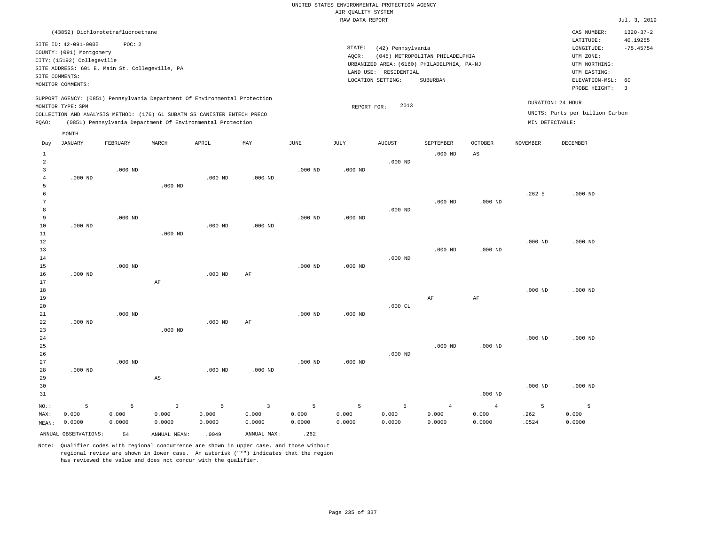|                |                                                                            |           |                                                            |           |                         |           | RAW DATA REPORT |                       |                                            |                |                 |                                 | Jul. 3, 2019    |
|----------------|----------------------------------------------------------------------------|-----------|------------------------------------------------------------|-----------|-------------------------|-----------|-----------------|-----------------------|--------------------------------------------|----------------|-----------------|---------------------------------|-----------------|
|                | (43852) Dichlorotetrafluoroethane                                          |           |                                                            |           |                         |           |                 |                       |                                            |                |                 | CAS NUMBER:                     | $1320 - 37 - 2$ |
|                |                                                                            |           |                                                            |           |                         |           |                 |                       |                                            |                |                 | LATITUDE:                       | 40.19255        |
|                | SITE ID: 42-091-0005<br>COUNTY: (091) Montgomery                           | POC: 2    |                                                            |           |                         |           | STATE:          | (42) Pennsylvania     |                                            |                |                 | $\texttt{LONGITUDE}$ :          | $-75.45754$     |
|                | CITY: (15192) Collegeville                                                 |           |                                                            |           |                         |           | AQCR:           |                       | (045) METROPOLITAN PHILADELPHIA            |                |                 | UTM ZONE:                       |                 |
|                | SITE ADDRESS: 601 E. Main St. Collegeville, PA                             |           |                                                            |           |                         |           |                 |                       | URBANIZED AREA: (6160) PHILADELPHIA, PA-NJ |                |                 | UTM NORTHING:                   |                 |
|                | SITE COMMENTS:                                                             |           |                                                            |           |                         |           |                 | LAND USE: RESIDENTIAL |                                            |                |                 | UTM EASTING:                    |                 |
|                | MONITOR COMMENTS:                                                          |           |                                                            |           |                         |           |                 | LOCATION SETTING:     | SUBURBAN                                   |                |                 | ELEVATION-MSL:                  | 60              |
|                |                                                                            |           |                                                            |           |                         |           |                 |                       |                                            |                |                 | PROBE HEIGHT:                   | $\overline{3}$  |
|                | SUPPORT AGENCY: (0851) Pennsylvania Department Of Environmental Protection |           |                                                            |           |                         |           |                 |                       |                                            |                |                 | DURATION: 24 HOUR               |                 |
|                | MONITOR TYPE: SPM                                                          |           |                                                            |           |                         |           | REPORT FOR:     | 2013                  |                                            |                |                 |                                 |                 |
|                | COLLECTION AND ANALYSIS METHOD: (176) 6L SUBATM SS CANISTER ENTECH PRECO   |           |                                                            |           |                         |           |                 |                       |                                            |                |                 | UNITS: Parts per billion Carbon |                 |
| PQAO:          |                                                                            |           | (0851) Pennsylvania Department Of Environmental Protection |           |                         |           |                 |                       |                                            |                | MIN DETECTABLE: |                                 |                 |
|                | MONTH                                                                      |           |                                                            |           |                         |           |                 |                       |                                            |                |                 |                                 |                 |
| Day            | <b>JANUARY</b>                                                             | FEBRUARY  | MARCH                                                      | APRIL     | MAY                     | JUNE      | JULY            | <b>AUGUST</b>         | SEPTEMBER                                  | <b>OCTOBER</b> | <b>NOVEMBER</b> | DECEMBER                        |                 |
| $\mathbf{1}$   |                                                                            |           |                                                            |           |                         |           |                 |                       | $.000$ ND                                  | $_{\rm AS}$    |                 |                                 |                 |
| $\overline{a}$ |                                                                            |           |                                                            |           |                         |           |                 | $.000$ ND             |                                            |                |                 |                                 |                 |
| 3              |                                                                            | $.000$ ND |                                                            |           |                         | $.000$ ND | $.000$ ND       |                       |                                            |                |                 |                                 |                 |
| $\overline{4}$ | $.000$ ND                                                                  |           |                                                            | $.000$ ND | $.000$ ND               |           |                 |                       |                                            |                |                 |                                 |                 |
| 5              |                                                                            |           | $.000$ ND                                                  |           |                         |           |                 |                       |                                            |                |                 |                                 |                 |
| 6              |                                                                            |           |                                                            |           |                         |           |                 |                       |                                            |                | .2625           | $.000$ ND                       |                 |
| 7              |                                                                            |           |                                                            |           |                         |           |                 |                       | $.000$ ND                                  | $.000$ ND      |                 |                                 |                 |
| 8              |                                                                            |           |                                                            |           |                         |           |                 | $.000$ ND             |                                            |                |                 |                                 |                 |
| 9              |                                                                            | $.000$ ND |                                                            |           |                         | $.000$ ND | $.000$ ND       |                       |                                            |                |                 |                                 |                 |
| 10             | $.000$ ND                                                                  |           |                                                            | $.000$ ND | $.000$ ND               |           |                 |                       |                                            |                |                 |                                 |                 |
| 11             |                                                                            |           | $.000$ ND                                                  |           |                         |           |                 |                       |                                            |                |                 |                                 |                 |
| 12             |                                                                            |           |                                                            |           |                         |           |                 |                       |                                            |                | $.000$ ND       | $.000$ ND                       |                 |
| 13             |                                                                            |           |                                                            |           |                         |           |                 |                       | $.000$ ND                                  | $.000$ ND      |                 |                                 |                 |
| 14             |                                                                            |           |                                                            |           |                         |           |                 | $.000$ ND             |                                            |                |                 |                                 |                 |
| 15             |                                                                            | $.000$ ND |                                                            |           |                         | $.000$ ND | $.000$ ND       |                       |                                            |                |                 |                                 |                 |
| 16<br>17       | $.000$ ND                                                                  |           |                                                            | $.000$ ND | AF                      |           |                 |                       |                                            |                |                 |                                 |                 |
| 18             |                                                                            |           | AF                                                         |           |                         |           |                 |                       |                                            |                | $.000$ ND       | $.000$ ND                       |                 |
| 19             |                                                                            |           |                                                            |           |                         |           |                 |                       | AF                                         | AF             |                 |                                 |                 |
| 20             |                                                                            |           |                                                            |           |                         |           |                 | $.000$ CL             |                                            |                |                 |                                 |                 |
| $21\,$         |                                                                            | $.000$ ND |                                                            |           |                         | $.000$ ND | $.000$ ND       |                       |                                            |                |                 |                                 |                 |
| 22             | $.000$ ND                                                                  |           |                                                            | $.000$ ND | AF                      |           |                 |                       |                                            |                |                 |                                 |                 |
| 23             |                                                                            |           | $.000$ ND                                                  |           |                         |           |                 |                       |                                            |                |                 |                                 |                 |
| 24             |                                                                            |           |                                                            |           |                         |           |                 |                       |                                            |                | $.000$ ND       | $.000$ ND                       |                 |
| 25             |                                                                            |           |                                                            |           |                         |           |                 |                       | $.000$ ND                                  | $.000$ ND      |                 |                                 |                 |
| 26             |                                                                            |           |                                                            |           |                         |           |                 | $.000$ ND             |                                            |                |                 |                                 |                 |
| 27             |                                                                            | $.000$ ND |                                                            |           |                         | $.000$ ND | $.000$ ND       |                       |                                            |                |                 |                                 |                 |
| 28             | $.000$ ND                                                                  |           |                                                            | $.000$ ND | $.000$ ND               |           |                 |                       |                                            |                |                 |                                 |                 |
| 29             |                                                                            |           | AS                                                         |           |                         |           |                 |                       |                                            |                |                 |                                 |                 |
| 30             |                                                                            |           |                                                            |           |                         |           |                 |                       |                                            |                | $.000$ ND       | $.000$ ND                       |                 |
| 31             |                                                                            |           |                                                            |           |                         |           |                 |                       |                                            | $.000$ ND      |                 |                                 |                 |
| NO.:           | 5                                                                          | 5         | $\overline{3}$                                             | 5         | $\overline{\mathbf{3}}$ | 5         | 5               | 5                     | $\overline{4}$                             | $\overline{4}$ | $\overline{5}$  | 5                               |                 |
| MAX:           | 0.000                                                                      | 0.000     | 0.000                                                      | 0.000     | 0.000                   | 0.000     | 0.000           | 0.000                 | 0.000                                      | 0.000          | .262            | 0.000                           |                 |
| MEAN:          | 0.0000                                                                     | 0.0000    | 0.0000                                                     | 0.0000    | 0.0000                  | 0.0000    | 0.0000          | 0.0000                | 0.0000                                     | 0.0000         | .0524           | 0.0000                          |                 |
|                | ANNUAL OBSERVATIONS:                                                       |           |                                                            |           | ANNUAL MAX:             | .262      |                 |                       |                                            |                |                 |                                 |                 |
|                |                                                                            | 54        | ANNUAL MEAN:                                               | .0049     |                         |           |                 |                       |                                            |                |                 |                                 |                 |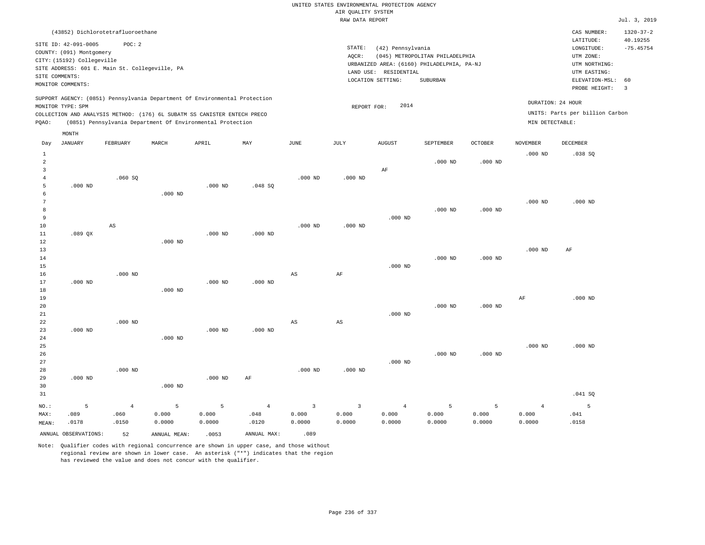|                |                                                                            |                |                                                            |           |                |                        | RAW DATA REPORT |                       |                                            |                |                 |                                 | Jul. 3, 2019    |
|----------------|----------------------------------------------------------------------------|----------------|------------------------------------------------------------|-----------|----------------|------------------------|-----------------|-----------------------|--------------------------------------------|----------------|-----------------|---------------------------------|-----------------|
|                | (43852) Dichlorotetrafluoroethane                                          |                |                                                            |           |                |                        |                 |                       |                                            |                |                 | CAS NUMBER:                     | $1320 - 37 - 2$ |
|                | SITE ID: 42-091-0005                                                       | POC: 2         |                                                            |           |                |                        |                 |                       |                                            |                |                 | LATITUDE:                       | 40.19255        |
|                | COUNTY: (091) Montgomery                                                   |                |                                                            |           |                |                        | STATE:          | (42) Pennsylvania     |                                            |                |                 | LONGITUDE:                      | $-75.45754$     |
|                | CITY: (15192) Collegeville                                                 |                |                                                            |           |                |                        | AOCR:           |                       | (045) METROPOLITAN PHILADELPHIA            |                |                 | UTM ZONE:                       |                 |
|                | SITE ADDRESS: 601 E. Main St. Collegeville, PA                             |                |                                                            |           |                |                        |                 |                       | URBANIZED AREA: (6160) PHILADELPHIA, PA-NJ |                |                 | UTM NORTHING:                   |                 |
|                | SITE COMMENTS:                                                             |                |                                                            |           |                |                        |                 | LAND USE: RESIDENTIAL |                                            |                |                 | UTM EASTING:                    |                 |
|                | MONITOR COMMENTS:                                                          |                |                                                            |           |                |                        |                 | LOCATION SETTING:     | <b>SUBURBAN</b>                            |                |                 | ELEVATION-MSL:                  | 60              |
|                |                                                                            |                |                                                            |           |                |                        |                 |                       |                                            |                |                 | PROBE HEIGHT:                   | $\overline{3}$  |
|                | SUPPORT AGENCY: (0851) Pennsylvania Department Of Environmental Protection |                |                                                            |           |                |                        |                 |                       |                                            |                |                 | DURATION: 24 HOUR               |                 |
|                | MONITOR TYPE: SPM                                                          |                |                                                            |           |                |                        | REPORT FOR:     | 2014                  |                                            |                |                 |                                 |                 |
|                | COLLECTION AND ANALYSIS METHOD: (176) 6L SUBATM SS CANISTER ENTECH PRECO   |                |                                                            |           |                |                        |                 |                       |                                            |                |                 | UNITS: Parts per billion Carbon |                 |
| PQAO:          |                                                                            |                | (0851) Pennsylvania Department Of Environmental Protection |           |                |                        |                 |                       |                                            |                | MIN DETECTABLE: |                                 |                 |
|                | MONTH                                                                      |                |                                                            |           |                |                        |                 |                       |                                            |                |                 |                                 |                 |
| Day            | <b>JANUARY</b>                                                             | FEBRUARY       | MARCH                                                      | APRIL     | MAY            | JUNE                   | JULY            | <b>AUGUST</b>         | SEPTEMBER                                  | <b>OCTOBER</b> | <b>NOVEMBER</b> | DECEMBER                        |                 |
| $\mathbf{1}$   |                                                                            |                |                                                            |           |                |                        |                 |                       |                                            |                | $.000$ ND       | .038SQ                          |                 |
| $\overline{a}$ |                                                                            |                |                                                            |           |                |                        |                 |                       | $.000$ ND                                  | $.000$ ND      |                 |                                 |                 |
| 3              |                                                                            |                |                                                            |           |                |                        |                 | AF                    |                                            |                |                 |                                 |                 |
| $\overline{4}$ |                                                                            | .060SQ         |                                                            |           |                | $.000$ ND              | $.000$ ND       |                       |                                            |                |                 |                                 |                 |
| 5              | $.000$ ND                                                                  |                |                                                            | $.000$ ND | .048SQ         |                        |                 |                       |                                            |                |                 |                                 |                 |
| 6              |                                                                            |                | $.000$ ND                                                  |           |                |                        |                 |                       |                                            |                |                 |                                 |                 |
| 7              |                                                                            |                |                                                            |           |                |                        |                 |                       |                                            |                | $.000$ ND       | $.000$ ND                       |                 |
| 8              |                                                                            |                |                                                            |           |                |                        |                 |                       | $.000$ ND                                  | $.000$ ND      |                 |                                 |                 |
| 9              |                                                                            |                |                                                            |           |                |                        |                 | $.000$ ND             |                                            |                |                 |                                 |                 |
| 10             |                                                                            | $_{\rm AS}$    |                                                            |           |                | $.000$ ND              | $.000$ ND       |                       |                                            |                |                 |                                 |                 |
| 11             | .089QX                                                                     |                |                                                            | $.000$ ND | $.000$ ND      |                        |                 |                       |                                            |                |                 |                                 |                 |
| 12             |                                                                            |                | $.000$ ND                                                  |           |                |                        |                 |                       |                                            |                |                 |                                 |                 |
| 13             |                                                                            |                |                                                            |           |                |                        |                 |                       |                                            |                | $.000$ ND       | $\rm AF$                        |                 |
| 14             |                                                                            |                |                                                            |           |                |                        |                 |                       | $.000$ ND                                  | $.000$ ND      |                 |                                 |                 |
| 15<br>16       |                                                                            | $.000$ ND      |                                                            |           |                |                        |                 | $.000$ ND             |                                            |                |                 |                                 |                 |
| 17             | $.000$ ND                                                                  |                |                                                            | $.000$ ND | $.000$ ND      | AS                     | $\rm AF$        |                       |                                            |                |                 |                                 |                 |
| 18             |                                                                            |                | $.000$ ND                                                  |           |                |                        |                 |                       |                                            |                |                 |                                 |                 |
| 19             |                                                                            |                |                                                            |           |                |                        |                 |                       |                                            |                | AF              | $.000$ ND                       |                 |
| 20             |                                                                            |                |                                                            |           |                |                        |                 |                       | $.000$ ND                                  | $.000$ ND      |                 |                                 |                 |
| 21             |                                                                            |                |                                                            |           |                |                        |                 | $.000$ ND             |                                            |                |                 |                                 |                 |
| 22             |                                                                            | $.000$ ND      |                                                            |           |                | $\mathbb{A}\mathbb{S}$ | AS              |                       |                                            |                |                 |                                 |                 |
| 23             | $.000$ ND                                                                  |                |                                                            | $.000$ ND | $.000$ ND      |                        |                 |                       |                                            |                |                 |                                 |                 |
| 24             |                                                                            |                | $.000$ ND                                                  |           |                |                        |                 |                       |                                            |                |                 |                                 |                 |
| 25             |                                                                            |                |                                                            |           |                |                        |                 |                       |                                            |                | $.000$ ND       | $.000$ ND                       |                 |
| 26             |                                                                            |                |                                                            |           |                |                        |                 |                       | $.000$ ND                                  | $.000$ ND      |                 |                                 |                 |
| 27             |                                                                            |                |                                                            |           |                |                        |                 | $.000$ ND             |                                            |                |                 |                                 |                 |
| 28             |                                                                            | $.000$ ND      |                                                            |           |                | $.000$ ND              | $.000$ ND       |                       |                                            |                |                 |                                 |                 |
| 29             | $.000$ ND                                                                  |                |                                                            | $.000$ ND | AF             |                        |                 |                       |                                            |                |                 |                                 |                 |
| 30             |                                                                            |                | $.000$ ND                                                  |           |                |                        |                 |                       |                                            |                |                 |                                 |                 |
| 31             |                                                                            |                |                                                            |           |                |                        |                 |                       |                                            |                |                 | .041 SQ                         |                 |
| NO.:           | 5                                                                          | $\overline{4}$ | 5                                                          | 5         | $\overline{4}$ | $\overline{3}$         | $\overline{3}$  | $\overline{4}$        | 5                                          | 5              | $\overline{4}$  | 5                               |                 |
| MAX:           | .089                                                                       | .060           | 0.000                                                      | 0.000     | .048           | 0.000                  | 0.000           | 0.000                 | 0.000                                      | 0.000          | 0.000           | .041                            |                 |
| MEAN:          | .0178                                                                      | .0150          | 0.0000                                                     | 0.0000    | .0120          | 0.0000                 | 0.0000          | 0.0000                | 0.0000                                     | 0.0000         | 0.0000          | .0158                           |                 |
|                | ANNUAL OBSERVATIONS:                                                       | 52             | ANNUAL MEAN:                                               | .0053     | ANNUAL MAX:    | .089                   |                 |                       |                                            |                |                 |                                 |                 |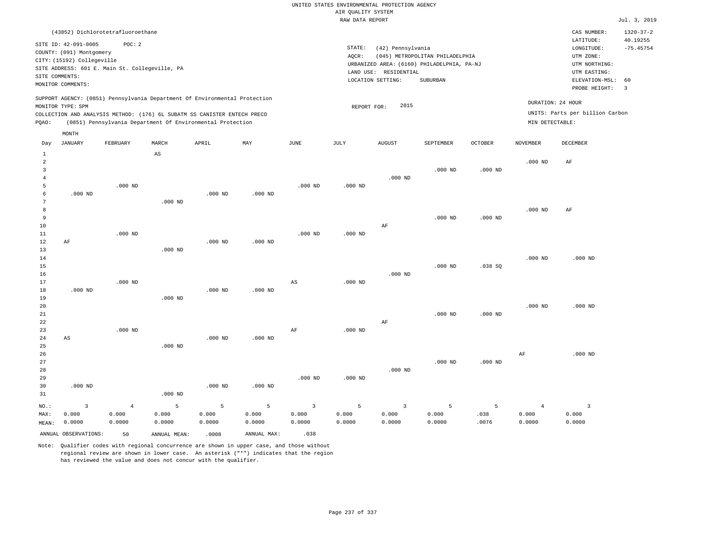|                                |                            |                                                |                                                                            |           |             |                         | RAW DATA REPORT |                                            |                                 |                |                 |                                 | Jul. 3, 2019    |
|--------------------------------|----------------------------|------------------------------------------------|----------------------------------------------------------------------------|-----------|-------------|-------------------------|-----------------|--------------------------------------------|---------------------------------|----------------|-----------------|---------------------------------|-----------------|
|                                |                            | (43852) Dichlorotetrafluoroethane              |                                                                            |           |             |                         |                 |                                            |                                 |                |                 | CAS NUMBER:                     | $1320 - 37 - 2$ |
|                                | SITE ID: 42-091-0005       | POC: 2                                         |                                                                            |           |             |                         |                 |                                            |                                 |                |                 | LATITUDE:                       | 40.19255        |
|                                | COUNTY: (091) Montgomery   |                                                |                                                                            |           |             |                         | STATE:          | (42) Pennsylvania                          |                                 |                |                 | LONGITUDE:                      | $-75.45754$     |
|                                | CITY: (15192) Collegeville |                                                |                                                                            |           |             |                         | AQCR:           |                                            | (045) METROPOLITAN PHILADELPHIA |                |                 | UTM ZONE:                       |                 |
|                                |                            | SITE ADDRESS: 601 E. Main St. Collegeville, PA |                                                                            |           |             |                         |                 | URBANIZED AREA: (6160) PHILADELPHIA, PA-NJ |                                 |                |                 | UTM NORTHING:                   |                 |
|                                | SITE COMMENTS:             |                                                |                                                                            |           |             |                         |                 | LAND USE: RESIDENTIAL                      |                                 |                |                 | UTM EASTING:                    |                 |
|                                | MONITOR COMMENTS:          |                                                |                                                                            |           |             |                         |                 | LOCATION SETTING:                          | SUBURBAN                        |                |                 | ELEVATION-MSL:                  | 60              |
|                                |                            |                                                |                                                                            |           |             |                         |                 |                                            |                                 |                |                 | PROBE HEIGHT:                   | $\overline{3}$  |
|                                |                            |                                                | SUPPORT AGENCY: (0851) Pennsylvania Department Of Environmental Protection |           |             |                         |                 |                                            |                                 |                |                 | DURATION: 24 HOUR               |                 |
|                                | MONITOR TYPE: SPM          |                                                |                                                                            |           |             |                         | REPORT FOR:     | 2015                                       |                                 |                |                 | UNITS: Parts per billion Carbon |                 |
|                                |                            |                                                | COLLECTION AND ANALYSIS METHOD: (176) 6L SUBATM SS CANISTER ENTECH PRECO   |           |             |                         |                 |                                            |                                 |                | MIN DETECTABLE: |                                 |                 |
| POAO:                          |                            |                                                | (0851) Pennsylvania Department Of Environmental Protection                 |           |             |                         |                 |                                            |                                 |                |                 |                                 |                 |
|                                | MONTH                      | FEBRUARY                                       | MARCH                                                                      |           | MAY         | <b>JUNE</b>             |                 |                                            |                                 | <b>OCTOBER</b> | <b>NOVEMBER</b> |                                 |                 |
| Day                            | JANUARY                    |                                                |                                                                            | APRIL     |             |                         | JULY            | AUGUST                                     | SEPTEMBER                       |                |                 | DECEMBER                        |                 |
| $\mathbf{1}$<br>$\overline{a}$ |                            |                                                | $_{\rm AS}$                                                                |           |             |                         |                 |                                            |                                 |                | $.000$ ND       | AF                              |                 |
| 3                              |                            |                                                |                                                                            |           |             |                         |                 |                                            | $.000$ ND                       | $.000$ ND      |                 |                                 |                 |
| $\overline{4}$                 |                            |                                                |                                                                            |           |             |                         |                 | $.000$ ND                                  |                                 |                |                 |                                 |                 |
| 5                              |                            | $.000$ ND                                      |                                                                            |           |             | $.000$ ND               | $.000$ ND       |                                            |                                 |                |                 |                                 |                 |
| 6                              | $.000$ ND                  |                                                |                                                                            | $.000$ ND | $.000$ ND   |                         |                 |                                            |                                 |                |                 |                                 |                 |
| 7                              |                            |                                                | $.000$ ND                                                                  |           |             |                         |                 |                                            |                                 |                |                 |                                 |                 |
| 8                              |                            |                                                |                                                                            |           |             |                         |                 |                                            |                                 |                | $.000$ ND       | AF                              |                 |
| $\overline{9}$                 |                            |                                                |                                                                            |           |             |                         |                 |                                            | $.000$ ND                       | $.000$ ND      |                 |                                 |                 |
| 10                             |                            |                                                |                                                                            |           |             |                         |                 | AF                                         |                                 |                |                 |                                 |                 |
| 11                             |                            | $.000$ ND                                      |                                                                            |           |             | $.000$ ND               | $.000$ ND       |                                            |                                 |                |                 |                                 |                 |
| 12                             | AF                         |                                                |                                                                            | $.000$ ND | $.000$ ND   |                         |                 |                                            |                                 |                |                 |                                 |                 |
| 13                             |                            |                                                | $.000$ ND                                                                  |           |             |                         |                 |                                            |                                 |                |                 |                                 |                 |
| 14                             |                            |                                                |                                                                            |           |             |                         |                 |                                            |                                 |                | $.000$ ND       | $.000$ ND                       |                 |
| 15                             |                            |                                                |                                                                            |           |             |                         |                 |                                            | $.000$ ND                       | .038S          |                 |                                 |                 |
| 16                             |                            |                                                |                                                                            |           |             |                         |                 | $.000$ ND                                  |                                 |                |                 |                                 |                 |
| 17                             |                            | $.000$ ND                                      |                                                                            |           |             | $\mathbb{A}\mathbb{S}$  | $.000$ ND       |                                            |                                 |                |                 |                                 |                 |
| 18<br>19                       | $.000$ ND                  |                                                | $.000$ ND                                                                  | $.000$ ND | $.000$ ND   |                         |                 |                                            |                                 |                |                 |                                 |                 |
| 20                             |                            |                                                |                                                                            |           |             |                         |                 |                                            |                                 |                | $.000$ ND       | $.000$ ND                       |                 |
| 21                             |                            |                                                |                                                                            |           |             |                         |                 |                                            | $.000$ ND                       | $.000$ ND      |                 |                                 |                 |
| 22                             |                            |                                                |                                                                            |           |             |                         |                 | AF                                         |                                 |                |                 |                                 |                 |
| 23                             |                            | $.000$ ND                                      |                                                                            |           |             | AF                      | $.000$ ND       |                                            |                                 |                |                 |                                 |                 |
| 24                             | AS                         |                                                |                                                                            | $.000$ ND | $.000$ ND   |                         |                 |                                            |                                 |                |                 |                                 |                 |
| 25                             |                            |                                                | $.000$ ND                                                                  |           |             |                         |                 |                                            |                                 |                |                 |                                 |                 |
| 26                             |                            |                                                |                                                                            |           |             |                         |                 |                                            |                                 |                | AF              | $.000$ ND                       |                 |
| 27                             |                            |                                                |                                                                            |           |             |                         |                 |                                            | $.000$ ND                       | $.000$ ND      |                 |                                 |                 |
| 28                             |                            |                                                |                                                                            |           |             |                         |                 | $.000$ ND                                  |                                 |                |                 |                                 |                 |
| 29                             |                            |                                                |                                                                            |           |             | $.000$ ND               | $.000$ ND       |                                            |                                 |                |                 |                                 |                 |
| 30                             | $.000$ ND                  |                                                |                                                                            | $.000$ ND | $.000$ ND   |                         |                 |                                            |                                 |                |                 |                                 |                 |
| 31                             |                            |                                                | $.000$ ND                                                                  |           |             |                         |                 |                                            |                                 |                |                 |                                 |                 |
| NO.:                           | $\overline{3}$             | $\overline{4}$                                 | 5                                                                          | 5         | 5           | $\overline{\mathbf{3}}$ | 5               | $\overline{3}$                             | 5                               | 5              | $\overline{4}$  | $\overline{\mathbf{3}}$         |                 |
| MAX:                           | 0.000                      | 0.000                                          | 0.000                                                                      | 0.000     | 0.000       | 0.000                   | 0.000           | 0.000                                      | 0.000                           | .038           | 0.000           | 0.000                           |                 |
| MEAN:                          | 0.0000                     | 0.0000                                         | 0.0000                                                                     | 0.0000    | 0.0000      | 0.0000                  | 0.0000          | 0.0000                                     | 0.0000                          | .0076          | 0.0000          | 0.0000                          |                 |
|                                | ANNUAL OBSERVATIONS:       | 50                                             | ANNUAL MEAN:                                                               | .0008     | ANNUAL MAX: | .038                    |                 |                                            |                                 |                |                 |                                 |                 |
|                                |                            |                                                |                                                                            |           |             |                         |                 |                                            |                                 |                |                 |                                 |                 |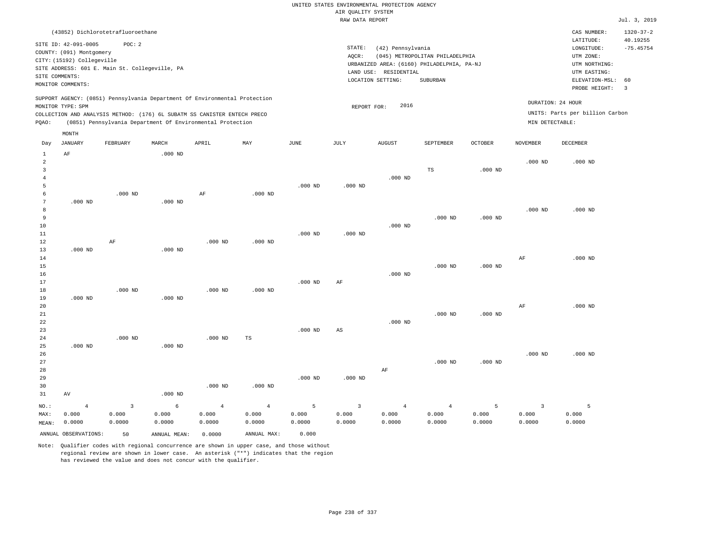|                      |                                                |                |                                                                            |                |                |             | RAW DATA REPORT |                       |                                            |                    |                         |                                 | Jul. 3, 2019    |
|----------------------|------------------------------------------------|----------------|----------------------------------------------------------------------------|----------------|----------------|-------------|-----------------|-----------------------|--------------------------------------------|--------------------|-------------------------|---------------------------------|-----------------|
|                      | (43852) Dichlorotetrafluoroethane              |                |                                                                            |                |                |             |                 |                       |                                            |                    |                         | CAS NUMBER:                     | $1320 - 37 - 2$ |
|                      | SITE ID: 42-091-0005                           | POC: 2         |                                                                            |                |                |             |                 |                       |                                            |                    |                         | LATITUDE:                       | 40.19255        |
|                      | COUNTY: (091) Montgomery                       |                |                                                                            |                |                |             | STATE:          | (42) Pennsylvania     |                                            |                    |                         | LONGITUDE:                      | $-75.45754$     |
|                      | CITY: (15192) Collegeville                     |                |                                                                            |                |                |             | AQCR:           |                       | (045) METROPOLITAN PHILADELPHIA            |                    |                         | UTM ZONE:                       |                 |
|                      | SITE ADDRESS: 601 E. Main St. Collegeville, PA |                |                                                                            |                |                |             |                 |                       | URBANIZED AREA: (6160) PHILADELPHIA, PA-NJ |                    |                         | UTM NORTHING:                   |                 |
|                      | SITE COMMENTS:                                 |                |                                                                            |                |                |             |                 | LAND USE: RESIDENTIAL |                                            |                    |                         | UTM EASTING:                    |                 |
|                      | MONITOR COMMENTS:                              |                |                                                                            |                |                |             |                 | LOCATION SETTING:     | SUBURBAN                                   |                    |                         | ELEVATION-MSL:                  | 60              |
|                      |                                                |                |                                                                            |                |                |             |                 |                       |                                            |                    |                         | PROBE HEIGHT:                   | $\overline{3}$  |
|                      |                                                |                | SUPPORT AGENCY: (0851) Pennsylvania Department Of Environmental Protection |                |                |             |                 |                       |                                            |                    |                         | DURATION: 24 HOUR               |                 |
|                      | MONITOR TYPE: SPM                              |                |                                                                            |                |                |             | REPORT FOR:     | 2016                  |                                            |                    |                         |                                 |                 |
|                      |                                                |                | COLLECTION AND ANALYSIS METHOD: (176) 6L SUBATM SS CANISTER ENTECH PRECO   |                |                |             |                 |                       |                                            |                    |                         | UNITS: Parts per billion Carbon |                 |
| POAO:                |                                                |                | (0851) Pennsylvania Department Of Environmental Protection                 |                |                |             |                 |                       |                                            |                    | MIN DETECTABLE:         |                                 |                 |
|                      | MONTH                                          |                |                                                                            |                |                |             |                 |                       |                                            |                    |                         |                                 |                 |
| Day                  | <b>JANUARY</b>                                 | FEBRUARY       | MARCH                                                                      | APRIL          | MAY            | <b>JUNE</b> | JULY            | AUGUST                | SEPTEMBER                                  | $\mathtt{OCTOBER}$ | <b>NOVEMBER</b>         | <b>DECEMBER</b>                 |                 |
| $\mathbf{1}$         | $\rm AF$                                       |                | $.000$ ND                                                                  |                |                |             |                 |                       |                                            |                    |                         |                                 |                 |
| $\overline{a}$       |                                                |                |                                                                            |                |                |             |                 |                       |                                            |                    | $.000$ ND               | $.000$ ND                       |                 |
| 3                    |                                                |                |                                                                            |                |                |             |                 |                       | $_{\rm TS}$                                | $.000$ ND          |                         |                                 |                 |
| $\overline{4}$       |                                                |                |                                                                            |                |                |             |                 | $.000$ ND             |                                            |                    |                         |                                 |                 |
| 5                    |                                                |                |                                                                            |                |                | $.000$ ND   | $.000$ ND       |                       |                                            |                    |                         |                                 |                 |
| 6                    |                                                | $.000$ ND      |                                                                            | $\rm{AF}$      | $.000$ ND      |             |                 |                       |                                            |                    |                         |                                 |                 |
| 7                    | $.000$ ND                                      |                | $.000$ ND                                                                  |                |                |             |                 |                       |                                            |                    |                         |                                 |                 |
| 8                    |                                                |                |                                                                            |                |                |             |                 |                       |                                            |                    | $.000$ ND               | $.000$ ND                       |                 |
| $\overline{9}$<br>10 |                                                |                |                                                                            |                |                |             |                 | $.000$ ND             | $.000$ ND                                  | $.000$ ND          |                         |                                 |                 |
|                      |                                                |                |                                                                            |                |                | $.000$ ND   |                 |                       |                                            |                    |                         |                                 |                 |
| 11<br>12             |                                                | AF             |                                                                            | $.000$ ND      | $.000$ ND      |             | $.000$ ND       |                       |                                            |                    |                         |                                 |                 |
| 13                   | $.000$ ND                                      |                | $.000$ ND                                                                  |                |                |             |                 |                       |                                            |                    |                         |                                 |                 |
| 14                   |                                                |                |                                                                            |                |                |             |                 |                       |                                            |                    | AF                      | $.000$ ND                       |                 |
| 15                   |                                                |                |                                                                            |                |                |             |                 |                       | $.000$ ND                                  | $.000$ ND          |                         |                                 |                 |
| 16                   |                                                |                |                                                                            |                |                |             |                 | $.000$ ND             |                                            |                    |                         |                                 |                 |
| 17                   |                                                |                |                                                                            |                |                | $.000$ ND   | AF              |                       |                                            |                    |                         |                                 |                 |
| 18                   |                                                | $.000$ ND      |                                                                            | $.000$ ND      | $.000$ ND      |             |                 |                       |                                            |                    |                         |                                 |                 |
| 19                   | $.000$ ND                                      |                | $.000$ ND                                                                  |                |                |             |                 |                       |                                            |                    |                         |                                 |                 |
| 20                   |                                                |                |                                                                            |                |                |             |                 |                       |                                            |                    | AF                      | $.000$ ND                       |                 |
| 21                   |                                                |                |                                                                            |                |                |             |                 |                       | $.000$ ND                                  | $.000$ ND          |                         |                                 |                 |
| 22                   |                                                |                |                                                                            |                |                |             |                 | $.000$ ND             |                                            |                    |                         |                                 |                 |
| 23                   |                                                |                |                                                                            |                |                | $.000$ ND   | $_{\rm AS}$     |                       |                                            |                    |                         |                                 |                 |
| 24                   |                                                | $.000$ ND      |                                                                            | $.000$ ND      | TS             |             |                 |                       |                                            |                    |                         |                                 |                 |
| 25                   | $.000$ ND                                      |                | $.000$ ND                                                                  |                |                |             |                 |                       |                                            |                    |                         |                                 |                 |
| 26                   |                                                |                |                                                                            |                |                |             |                 |                       |                                            |                    | $.000$ ND               | $.000$ ND                       |                 |
| 27                   |                                                |                |                                                                            |                |                |             |                 |                       | $.000$ ND                                  | $.000$ ND          |                         |                                 |                 |
| 28                   |                                                |                |                                                                            |                |                |             |                 | AF                    |                                            |                    |                         |                                 |                 |
| 29                   |                                                |                |                                                                            |                |                | $.000$ ND   | $.000$ ND       |                       |                                            |                    |                         |                                 |                 |
| 30                   |                                                |                |                                                                            | $.000$ ND      | $.000$ ND      |             |                 |                       |                                            |                    |                         |                                 |                 |
| 31                   | AV                                             |                | $.000$ ND                                                                  |                |                |             |                 |                       |                                            |                    |                         |                                 |                 |
| NO.:                 | $\overline{4}$                                 | $\overline{3}$ | 6                                                                          | $\overline{4}$ | $\overline{4}$ | 5           | $\overline{3}$  | $\overline{4}$        | $\overline{4}$                             | 5                  | $\overline{\mathbf{3}}$ | 5                               |                 |
| MAX:                 | 0.000                                          | 0.000          | 0.000                                                                      | 0.000          | 0.000          | 0.000       | 0.000           | 0.000                 | 0.000                                      | 0.000              | 0.000                   | 0.000                           |                 |
| MEAN:                | 0.0000                                         | 0.0000         | 0.0000                                                                     | 0.0000         | 0.0000         | 0.0000      | 0.0000          | 0.0000                | 0.0000                                     | 0.0000             | 0.0000                  | 0.0000                          |                 |
|                      | ANNUAL OBSERVATIONS:                           | 50             | ANNUAL MEAN:                                                               | 0.0000         | ANNUAL MAX:    | 0.000       |                 |                       |                                            |                    |                         |                                 |                 |
|                      |                                                |                |                                                                            |                |                |             |                 |                       |                                            |                    |                         |                                 |                 |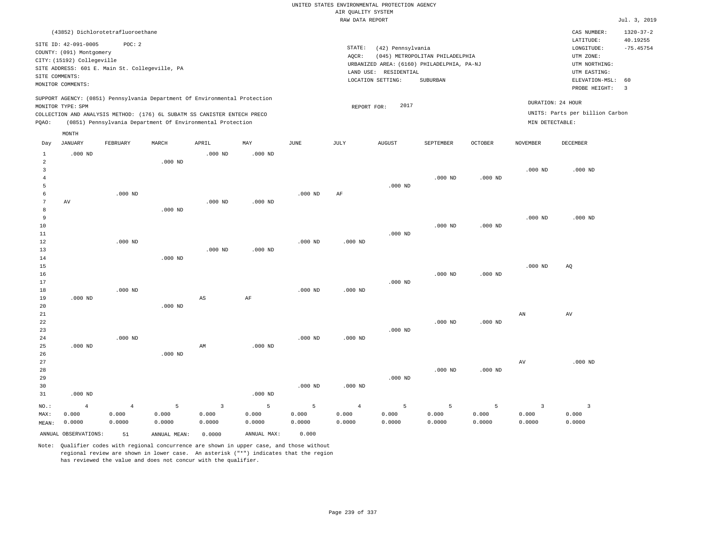|                |                            |                                                                            |            |                         |            |             |                         | UNITED STATES ENVIRONMENTAL PROTECTION AGENCY |                                 |                |                         |                                 |                 |
|----------------|----------------------------|----------------------------------------------------------------------------|------------|-------------------------|------------|-------------|-------------------------|-----------------------------------------------|---------------------------------|----------------|-------------------------|---------------------------------|-----------------|
|                |                            |                                                                            |            |                         |            |             | AIR QUALITY SYSTEM      |                                               |                                 |                |                         |                                 |                 |
|                |                            |                                                                            |            |                         |            |             | RAW DATA REPORT         |                                               |                                 |                |                         |                                 | Jul. 3, 2019    |
|                |                            |                                                                            |            |                         |            |             |                         |                                               |                                 |                |                         | CAS NUMBER:                     | $1320 - 37 - 2$ |
|                |                            | (43852) Dichlorotetrafluoroethane                                          |            |                         |            |             |                         |                                               |                                 |                |                         | LATITUDE:                       | 40.19255        |
|                | SITE ID: 42-091-0005       | POC: 2                                                                     |            |                         |            |             | STATE:                  | (42) Pennsylvania                             |                                 |                |                         | LONGITUDE:                      | $-75.45754$     |
|                | COUNTY: (091) Montgomery   |                                                                            |            |                         |            |             | AQCR:                   |                                               | (045) METROPOLITAN PHILADELPHIA |                |                         | UTM ZONE:                       |                 |
|                | CITY: (15192) Collegeville |                                                                            |            |                         |            |             |                         | URBANIZED AREA: (6160) PHILADELPHIA, PA-NJ    |                                 |                |                         | UTM NORTHING:                   |                 |
|                |                            | SITE ADDRESS: 601 E. Main St. Collegeville, PA                             |            |                         |            |             |                         | LAND USE: RESIDENTIAL                         |                                 |                |                         | UTM EASTING:                    |                 |
| SITE COMMENTS: |                            |                                                                            |            |                         |            |             |                         | LOCATION SETTING:                             | SUBURBAN                        |                |                         | ELEVATION-MSL:                  | 60              |
|                | MONITOR COMMENTS:          |                                                                            |            |                         |            |             |                         |                                               |                                 |                |                         | PROBE HEIGHT:                   | $\overline{3}$  |
|                |                            | SUPPORT AGENCY: (0851) Pennsylvania Department Of Environmental Protection |            |                         |            |             |                         |                                               |                                 |                |                         |                                 |                 |
|                | MONITOR TYPE: SPM          |                                                                            |            |                         |            |             | REPORT FOR:             | 2017                                          |                                 |                |                         | DURATION: 24 HOUR               |                 |
|                |                            | COLLECTION AND ANALYSIS METHOD: (176) 6L SUBATM SS CANISTER ENTECH PRECO   |            |                         |            |             |                         |                                               |                                 |                |                         | UNITS: Parts per billion Carbon |                 |
| PQAO:          |                            | (0851) Pennsylvania Department Of Environmental Protection                 |            |                         |            |             |                         |                                               |                                 |                | MIN DETECTABLE:         |                                 |                 |
|                | MONTH                      |                                                                            |            |                         |            |             |                         |                                               |                                 |                |                         |                                 |                 |
| Day            | <b>JANUARY</b>             | FEBRUARY                                                                   | MARCH      | APRIL                   | MAY        | <b>JUNE</b> | JULY                    | <b>AUGUST</b>                                 | SEPTEMBER                       | <b>OCTOBER</b> | <b>NOVEMBER</b>         | DECEMBER                        |                 |
| 1              | $.000$ ND                  |                                                                            |            | $.000$ ND               | $.000$ ND  |             |                         |                                               |                                 |                |                         |                                 |                 |
| $\overline{2}$ |                            |                                                                            | $.000$ ND  |                         |            |             |                         |                                               |                                 |                |                         |                                 |                 |
| 3              |                            |                                                                            |            |                         |            |             |                         |                                               |                                 |                | $.000$ ND               | $.000$ ND                       |                 |
| $\overline{4}$ |                            |                                                                            |            |                         |            |             |                         |                                               | $.000$ ND                       | $.000$ ND      |                         |                                 |                 |
| 5              |                            |                                                                            |            |                         |            |             |                         | $.000$ ND                                     |                                 |                |                         |                                 |                 |
| 6              |                            | $.000$ ND                                                                  |            |                         |            | $.000$ ND   | AF                      |                                               |                                 |                |                         |                                 |                 |
| 7              | AV                         |                                                                            |            | $.000$ ND               | $.000$ ND  |             |                         |                                               |                                 |                |                         |                                 |                 |
| 8              |                            |                                                                            | $.000$ ND  |                         |            |             |                         |                                               |                                 |                |                         |                                 |                 |
| 9              |                            |                                                                            |            |                         |            |             |                         |                                               |                                 |                | $.000$ ND               | $.000$ ND                       |                 |
| 10             |                            |                                                                            |            |                         |            |             |                         |                                               | $.000$ ND                       | $.000$ ND      |                         |                                 |                 |
| 11             |                            |                                                                            |            |                         |            |             |                         | $.000$ ND                                     |                                 |                |                         |                                 |                 |
| 12             |                            | $.000$ ND                                                                  |            |                         |            | $.000$ ND   | $.000$ ND               |                                               |                                 |                |                         |                                 |                 |
| 13             |                            |                                                                            |            | $.000$ ND               | $.000$ ND  |             |                         |                                               |                                 |                |                         |                                 |                 |
| 14             |                            |                                                                            | $.000$ ND  |                         |            |             |                         |                                               |                                 |                |                         |                                 |                 |
| 15             |                            |                                                                            |            |                         |            |             |                         |                                               |                                 |                | $.000$ ND               | AQ                              |                 |
| 16             |                            |                                                                            |            |                         |            |             |                         |                                               | $.000$ ND                       | $.000$ ND      |                         |                                 |                 |
| 17             |                            |                                                                            |            |                         |            |             |                         | $.000$ ND                                     |                                 |                |                         |                                 |                 |
| 18             |                            | $.000$ ND                                                                  |            |                         |            | $.000$ ND   | $.000$ ND               |                                               |                                 |                |                         |                                 |                 |
| 19             | $.000$ ND                  |                                                                            |            | $_{\rm AS}$             | $\rm{AF}$  |             |                         |                                               |                                 |                |                         |                                 |                 |
| 20             |                            |                                                                            | $.000$ ND  |                         |            |             |                         |                                               |                                 |                |                         |                                 |                 |
| 21             |                            |                                                                            |            |                         |            |             |                         |                                               |                                 |                | AN                      | AV                              |                 |
| 22             |                            |                                                                            |            |                         |            |             |                         |                                               | $.000$ ND                       | $.000$ ND      |                         |                                 |                 |
| 23             |                            |                                                                            |            |                         |            |             |                         | $.000$ ND                                     |                                 |                |                         |                                 |                 |
| 24             |                            | $.000$ ND                                                                  |            |                         |            | $.000$ ND   | $.000$ ND               |                                               |                                 |                |                         |                                 |                 |
| 25             | $.000$ ND                  |                                                                            |            | AM                      | $.000$ ND  |             |                         |                                               |                                 |                |                         |                                 |                 |
| 26             |                            |                                                                            | $.000$ ND  |                         |            |             |                         |                                               |                                 |                |                         |                                 |                 |
| 27             |                            |                                                                            |            |                         |            |             |                         |                                               |                                 |                | $\hbox{AV}$             | $.000$ ND                       |                 |
| 28             |                            |                                                                            |            |                         |            |             |                         |                                               | $.000$ ND                       | $.000$ ND      |                         |                                 |                 |
| 29<br>30       |                            |                                                                            |            |                         |            | $.000$ ND   | $.000$ ND               | $.000$ ND                                     |                                 |                |                         |                                 |                 |
| 31             | $.000$ ND                  |                                                                            |            |                         | $.000$ ND  |             |                         |                                               |                                 |                |                         |                                 |                 |
|                |                            |                                                                            |            |                         |            |             |                         |                                               |                                 |                |                         |                                 |                 |
| $NO.$ :        | $\overline{4}$<br>0.000    | $\overline{4}$<br>0.000                                                    | 5<br>0.000 | $\overline{3}$<br>0.000 | 5<br>0.000 | 5<br>0.000  | $\overline{4}$<br>0.000 | 5<br>0.000                                    | 5<br>0.000                      | 5<br>0.000     | $\overline{3}$<br>0.000 | $\overline{3}$<br>0.000         |                 |
| MAX:           | 0.0000                     | 0.0000                                                                     | 0.0000     | 0.0000                  | 0.0000     | 0.0000      | 0.0000                  | 0.0000                                        | 0.0000                          | 0.0000         | 0.0000                  | 0.0000                          |                 |
| MEAN:          |                            |                                                                            |            |                         |            |             |                         |                                               |                                 |                |                         |                                 |                 |

ANNUAL OBSERVATIONS: 51 ANNUAL MEAN: 0.0000 ANNUAL MAX: 0.000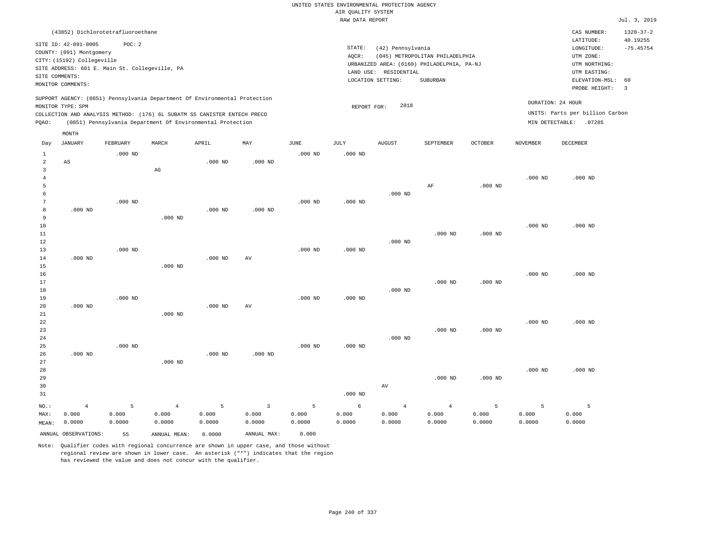RAW DATA REPORT Jul. 3, 2019 UNITED STATES ENVIRONMENTAL PROTECTION AGENCY AIR QUALITY SYSTEM (43852) Dichlorotetrafluoroethane STATE: (42) Pennsylvania CAS NUMBER: 1320-37-2 SITE ID: 42-091-0005 POC: 2 AQCR: (045) METROPOLITAN PHILADELPHIA COUNTY: (091) Montgomery CITY: (15192) Collegeville  $LONGITUDE: -75.45754$ LATITUDE: 40.19255 LOCATION SETTING: SUBURBAN SITE ADDRESS: 601 E. Main St. Collegeville, PA LAND USE: RESIDENTIAL SITE COMMENTS: MONITOR COMMENTS: PROBE HEIGHT: 3 ELEVATION-MSL: 60 URBANIZED AREA: (6160) PHILADELPHIA, PA-NJ (UTM NORTHING: UTM EASTING: UTM ZONE: SUPPORT AGENCY: (0851) Pennsylvania Department Of Environmental Protection MONITOR TYPE: SPM COLLECTION AND ANALYSIS METHOD: (176) 6L SUBATM SS CANISTER ENTECH PRECO REPORT FOR: 2018 UNITS: Parts per billion Carbon PQAO: (0851) Pennsylvania Department Of Environmental Protection DURATION: 24 HOUR MIN DETECTABLE: .07285 1 2 3 4 5 6 7 8 9 10 11 12 13 14 15 16 17 18 19  $20$ 21 22 23 24 25 26 27 28 29 30 31 AS .000 ND .000 ND .000 ND .000 ND NO.: MAX: MEAN: 4 0.000 0.0000 .000 ND .000 ND .000 ND .000 ND .000 ND AG .000 ND .000 ND .000 ND .000 ND .000 ND .000 ND .000 ND .000 ND .000 ND .000 ND .000 ND AV  $\Delta V$  .000 ND .000 ND .000 ND .000 ND .000 ND .000 ND .000 ND .000 ND .000 ND .000 ND .000 ND .000 ND .000 ND .000 ND .000 ND .000 ND AV AF .000 ND .000 ND .000 ND .000 ND .000 ND .000 ND .000 ND .000 ND .000 ND .000 ND .000 ND .000 ND .000 ND .000 ND .000 ND .000 ND .000 ND .000 ND .000 ND 5 0.000 0.0000 4 0.000 0.0000 5 0.000 0.0000 3 0.000 0.0000 5 0.000 0.0000 6 0.000 0.0000 4 0.000 0.0000 4 0.000 0.0000 5 0.000 0.0000 5 0.000 0.0000 5 0.000 0.0000 ANNUAL OBSERVATIONS: 55 ANNUAL MEAN: 0.0000 ANNUAL MAX: 0.000 Day JANUARY FEBRUARY MARCH APRIL MAY JUNE JULY AUGUST SEPTEMBER OCTOBER NOVEMBER DECEMBER MONTH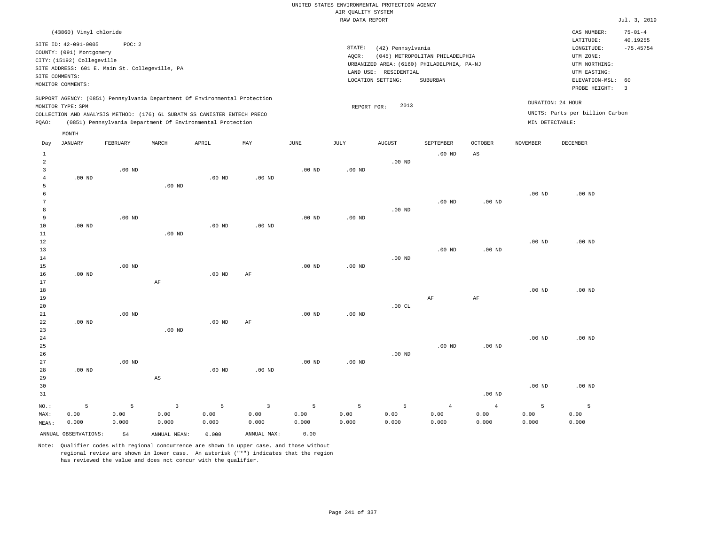|                                          |                                                                                                  |                                                          |          |                                                                                                                                                                                                                      |          |                   | RAW DATA REPORT   |                                            |                                                                               |                   |                   |                                                          | Jul. 3, 2019                  |
|------------------------------------------|--------------------------------------------------------------------------------------------------|----------------------------------------------------------|----------|----------------------------------------------------------------------------------------------------------------------------------------------------------------------------------------------------------------------|----------|-------------------|-------------------|--------------------------------------------|-------------------------------------------------------------------------------|-------------------|-------------------|----------------------------------------------------------|-------------------------------|
|                                          | (43860) Vinyl chloride                                                                           |                                                          |          |                                                                                                                                                                                                                      |          |                   |                   |                                            |                                                                               |                   |                   | CAS NUMBER:<br>LATITUDE:                                 | $75 - 01 - 4$<br>40.19255     |
|                                          | SITE ID: 42-091-0005<br>COUNTY: (091) Montgomery<br>CITY: (15192) Collegeville<br>SITE COMMENTS: | POC: 2<br>SITE ADDRESS: 601 E. Main St. Collegeville, PA |          |                                                                                                                                                                                                                      |          |                   | STATE:<br>AQCR:   | (42) Pennsylvania<br>LAND USE: RESIDENTIAL | (045) METROPOLITAN PHILADELPHIA<br>URBANIZED AREA: (6160) PHILADELPHIA, PA-NJ |                   |                   | LONGITUDE:<br>UTM ZONE:<br>UTM NORTHING:<br>UTM EASTING: | $-75.45754$                   |
|                                          | MONITOR COMMENTS:                                                                                |                                                          |          |                                                                                                                                                                                                                      |          |                   |                   | LOCATION SETTING:                          | SUBURBAN                                                                      |                   |                   | ELEVATION-MSL:<br>PROBE HEIGHT:                          | 60<br>$\overline{\mathbf{3}}$ |
| PQAO:                                    | MONITOR TYPE: SPM                                                                                |                                                          |          | SUPPORT AGENCY: (0851) Pennsylvania Department Of Environmental Protection<br>COLLECTION AND ANALYSIS METHOD: (176) 6L SUBATM SS CANISTER ENTECH PRECO<br>(0851) Pennsylvania Department Of Environmental Protection |          |                   | REPORT FOR:       | 2013                                       |                                                                               |                   | MIN DETECTABLE:   | DURATION: 24 HOUR<br>UNITS: Parts per billion Carbon     |                               |
|                                          | MONTH                                                                                            |                                                          |          |                                                                                                                                                                                                                      |          |                   |                   |                                            |                                                                               |                   |                   |                                                          |                               |
| Day                                      | JANUARY                                                                                          | FEBRUARY                                                 | MARCH    | APRIL                                                                                                                                                                                                                | MAY      | JUNE              | JULY              | AUGUST                                     | SEPTEMBER                                                                     | <b>OCTOBER</b>    | NOVEMBER          | DECEMBER                                                 |                               |
| $\mathbf{1}$<br>2<br>3<br>$\overline{4}$ | $.00$ ND                                                                                         | $.00$ ND                                                 |          | $.00$ ND                                                                                                                                                                                                             | $.00$ ND | $.00$ ND          | .00 <sub>ND</sub> | $.00$ ND                                   | .00 <sub>ND</sub>                                                             | AS                |                   |                                                          |                               |
| 5<br>6                                   |                                                                                                  |                                                          | $.00$ ND |                                                                                                                                                                                                                      |          |                   |                   |                                            | $.00$ ND                                                                      | $.00$ ND          | .00 <sub>ND</sub> | $.00$ ND                                                 |                               |
| 8<br>9<br>10                             | $.00$ ND                                                                                         | $.00$ ND                                                 |          | $.00$ ND                                                                                                                                                                                                             | $.00$ ND | $.00$ ND          | .00 <sub>ND</sub> | $.00$ ND                                   |                                                                               |                   |                   |                                                          |                               |
| 11<br>12<br>13                           |                                                                                                  |                                                          | $.00$ ND |                                                                                                                                                                                                                      |          |                   |                   |                                            | $.00$ ND                                                                      | .00 <sub>ND</sub> | .00 <sub>ND</sub> | $.00$ ND                                                 |                               |
| 14<br>15<br>16                           | $.00$ ND                                                                                         | $.00$ ND                                                 |          | $.00$ ND                                                                                                                                                                                                             | AF       | $.00$ ND          | $.00$ ND          | $.00$ ND                                   |                                                                               |                   |                   |                                                          |                               |
| 17<br>18<br>19                           |                                                                                                  |                                                          | AF       |                                                                                                                                                                                                                      |          |                   |                   |                                            | AF                                                                            | AF                | $.00$ ND          | $.00$ ND                                                 |                               |
| 20<br>21                                 |                                                                                                  | $.00$ ND                                                 |          |                                                                                                                                                                                                                      |          | .00 <sub>ND</sub> | .00 ND            | .00CL                                      |                                                                               |                   |                   |                                                          |                               |

 .00 ND .00 ND .00 ND AS .00 ND .00 ND .00 ND .00 ND .00 ND .00 ND .00 ND .00 ND .00 ND .00 ND .00 ND

| 31    |                      |       |              |       |             |       |                                               |           |          | $.00$ ND |       |       |
|-------|----------------------|-------|--------------|-------|-------------|-------|-----------------------------------------------|-----------|----------|----------|-------|-------|
| NO.:  | . .                  | -5    |              | $-5$  | $\sim$ 3    |       | $\sim$ 5 and $\sim$ 5 and $\sim$ 5 and $\sim$ | $-5$ $-5$ | $\sim$ 4 |          |       |       |
| MAX:  | 0.00                 | 0.00  | 0.00         | 0.00  | 0.00        | 0.00  | 0.00                                          | 0.00      | 0.00     | 0.00     | 0.00  | 0.00  |
| MEAN: | 0.000                | 0.000 | 0.000        | 0.000 | 0.000       | 0.000 | 0.000                                         | 0.000     | 0.000    | 0.000    | 0.000 | 0.000 |
|       | ANNUAL OBSERVATIONS: | 54    | ANNUAL MEAN: | 0.000 | ANNUAL MAX: | 0.00  |                                               |           |          |          |       |       |

Note: Qualifier codes with regional concurrence are shown in upper case, and those without regional review are shown in lower case. An asterisk ("\*") indicates that the region has reviewed the value and does not concur with the qualifier.

.00 ND AF

.00 ND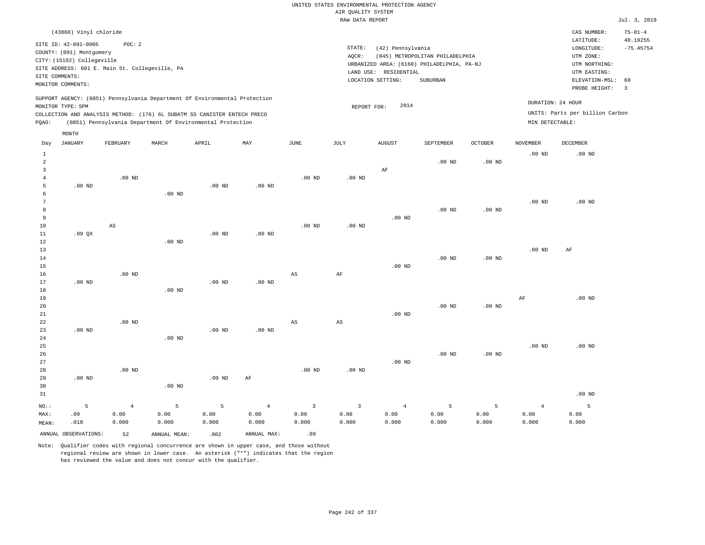| (43860) Vinyl chloride                                                                                                                                                                                                                                      |                                                                                                                                                                                    | CAS NUMBER:                                                                                                 | $75 - 01 - 4$           |
|-------------------------------------------------------------------------------------------------------------------------------------------------------------------------------------------------------------------------------------------------------------|------------------------------------------------------------------------------------------------------------------------------------------------------------------------------------|-------------------------------------------------------------------------------------------------------------|-------------------------|
| SITE ID: 42-091-0005<br>POC: 2<br>COUNTY: (091) Montgomery<br>CITY: (15192) Collegeville<br>SITE ADDRESS: 601 E. Main St. Collegeville, PA<br>SITE COMMENTS:<br>MONITOR COMMENTS:                                                                           | STATE:<br>(42) Pennsylvania<br>AOCR:<br>(045) METROPOLITAN PHILADELPHIA<br>URBANIZED AREA: (6160) PHILADELPHIA, PA-NJ<br>RESIDENTIAL<br>LAND USE:<br>LOCATION SETTING:<br>SUBURBAN | LATITUDE:<br>LONGITUDE:<br>UTM ZONE:<br>UTM NORTHING:<br>UTM EASTING:<br>ELEVATION-MSL: 60<br>PROBE HEIGHT: | 40.19255<br>$-75.45754$ |
| SUPPORT AGENCY: (0851) Pennsylvania Department Of Environmental Protection<br>MONITOR TYPE: SPM<br>COLLECTION AND ANALYSIS METHOD: (176) 6L SUBATM SS CANISTER ENTECH PRECO<br>(0851) Pennsylvania Department Of Environmental Protection<br>POAO:<br>MONTH | 2014<br>REPORT FOR:                                                                                                                                                                | DURATION: 24 HOUR<br>UNITS: Parts per billion Carbon<br>MIN DETECTABLE:                                     |                         |

| Day                                                   | <b>JANUARY</b>       | FEBRUARY       | $\tt MARCH$   | APRIL         | MAY           | $_{\rm JUNE}$           | $\mathtt{JULY}$         | AUGUST         | SEPTEMBER      | OCTOBER       | NOVEMBER          | ${\tt DECEMBER}$ |
|-------------------------------------------------------|----------------------|----------------|---------------|---------------|---------------|-------------------------|-------------------------|----------------|----------------|---------------|-------------------|------------------|
| $\mathbf{1}$<br>$\overline{a}$<br>3<br>$\overline{4}$ |                      | $.00$ ND       |               |               |               | $.00$ ND                | $.00$ ND                | $\rm AF$       | $.00$ ND       | $.00$ ND      | $.00$ ND          | $.00$ ND         |
| 5                                                     | $.00$ ND             |                |               | $.00$ ND      | $.00$ ND      |                         |                         |                |                |               |                   |                  |
| 6                                                     |                      |                | $.00$ ND      |               |               |                         |                         |                |                |               |                   |                  |
| $7\phantom{.0}$                                       |                      |                |               |               |               |                         |                         |                |                |               | $.00$ ND          | $.00$ ND         |
| 8                                                     |                      |                |               |               |               |                         |                         |                | $.00$ ND       | $.00$ ND      |                   |                  |
| 9<br>10                                               |                      | AS             |               |               |               | $.00$ ND                | .00 <sub>ND</sub>       | $.00$ ND       |                |               |                   |                  |
| 11                                                    | .09QX                |                |               | $.00$ ND      | $.00$ ND      |                         |                         |                |                |               |                   |                  |
| 12                                                    |                      |                | $.00$ ND      |               |               |                         |                         |                |                |               |                   |                  |
| 13                                                    |                      |                |               |               |               |                         |                         |                |                |               | $.00$ ND          | $\rm{AF}$        |
| 14                                                    |                      |                |               |               |               |                         |                         |                | $.00$ ND       | $.00$ ND      |                   |                  |
| 15                                                    |                      |                |               |               |               |                         |                         | $.00$ ND       |                |               |                   |                  |
| 16                                                    |                      | $.00$ ND       |               |               |               | $_{\rm AS}$             | $\rm{AF}$               |                |                |               |                   |                  |
| 17                                                    | $.00$ ND             |                |               | $.00$ ND      | $.00$ ND      |                         |                         |                |                |               |                   |                  |
| 18                                                    |                      |                | $.00$ ND      |               |               |                         |                         |                |                |               |                   | $.00$ ND         |
| 19<br>20                                              |                      |                |               |               |               |                         |                         |                | $.00$ ND       | $.00$ ND      | AF                |                  |
| $2\sqrt{1}$                                           |                      |                |               |               |               |                         |                         | $.00$ ND       |                |               |                   |                  |
| $2\sqrt{2}$                                           |                      | $.00$ ND       |               |               |               | AS                      | $_{\rm AS}$             |                |                |               |                   |                  |
| 23                                                    | $.00$ ND             |                |               | $.00$ ND      | $.00$ ND      |                         |                         |                |                |               |                   |                  |
| 24                                                    |                      |                | $.00$ ND      |               |               |                         |                         |                |                |               |                   |                  |
| 25                                                    |                      |                |               |               |               |                         |                         |                |                |               | .00 <sub>ND</sub> | $.00$ ND         |
| 26                                                    |                      |                |               |               |               |                         |                         |                | $.00$ ND       | $.00$ ND      |                   |                  |
| 27                                                    |                      |                |               |               |               |                         |                         | $.00$ ND       |                |               |                   |                  |
| 28                                                    |                      | $.00$ ND       |               | $.00$ ND      |               | $.00$ ND                | $.00$ ND                |                |                |               |                   |                  |
| 29<br>30                                              | $.00$ ND             |                | .00 $ND$      |               | $\rm AF$      |                         |                         |                |                |               |                   |                  |
| 31                                                    |                      |                |               |               |               |                         |                         |                |                |               |                   | $.00$ ND         |
|                                                       |                      |                |               |               |               |                         |                         |                |                |               |                   |                  |
| $NO.$ :                                               | 5                    | $\overline{4}$ | 5             | 5             | $\,4\,$       | $\overline{\mathbf{3}}$ | $\overline{\mathbf{3}}$ | $\overline{4}$ | $\overline{5}$ | 5             | $\overline{4}$    | $\overline{5}$   |
| MAX:                                                  | .09<br>.018          | 0.00<br>0.000  | 0.00<br>0.000 | 0.00<br>0.000 | 0.00<br>0.000 | 0.00<br>0.000           | 0.00<br>0.000           | 0.00<br>0.000  | 0.00<br>0.000  | 0.00<br>0.000 | 0.00<br>0.000     | 0.00<br>0.000    |
| MEAN:                                                 |                      |                |               |               |               |                         |                         |                |                |               |                   |                  |
|                                                       | ANNUAL OBSERVATIONS: | 52             | ANNUAL MEAN:  | .002          | ANNUAL MAX:   | .09                     |                         |                |                |               |                   |                  |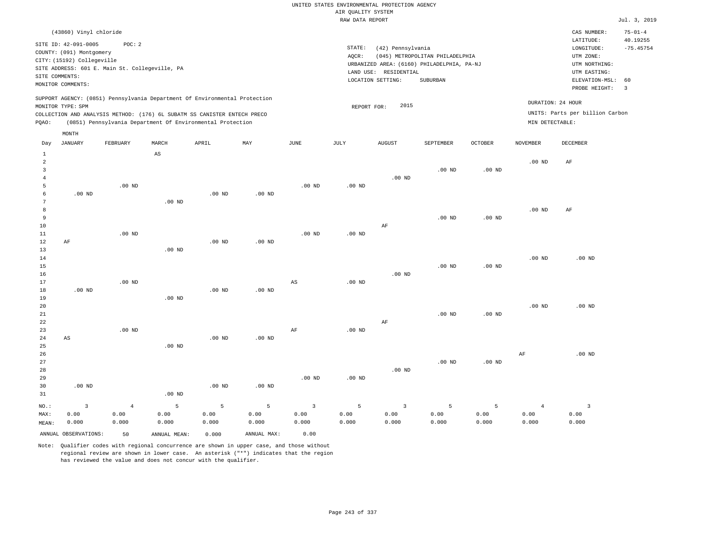| UNITED STATES ENVIRONMENTAL PROTECTION AGENCY |                                            |
|-----------------------------------------------|--------------------------------------------|
| AIR OUALITY SYSTEM                            |                                            |
| RAW DATA REPORT                               |                                            |
|                                               |                                            |
|                                               |                                            |
| STATE:                                        |                                            |
|                                               | (42) Pennsylvania                          |
| AOCR:                                         | (045) METROPOLITAN PHILADELPHIA            |
|                                               | URBANIZED AREA: (6160) PHILADELPHIA, PA-NJ |

LAND USE: RESIDENTIAL

REPORT FOR: 2015

LOCATION SETTING: SUBURBAN

Jul. 3, 2019

CAS NUMBER: 75-01-4

LONGITUDE: -75.45754 LATITUDE: 40.19255

PROBE HEIGHT: 3 ELEVATION-MSL: 60

UTM NORTHING: UTM EASTING:

UTM ZONE:

UNITS: Parts per billion Carbon

DURATION: 24 HOUR

COUNTY: (091) Montgomery CITY: (15192) Collegeville SITE ADDRESS: 601 E. Main St. Collegeville, PA SITE COMMENTS: MONITOR COMMENTS:

(43860) Vinyl chloride

SITE ID: 42-091-0005 POC: 2

SUPPORT AGENCY: (0851) Pennsylvania Department Of Environmental Protection MONITOR TYPE: SPM

COLLECTION AND ANALYSIS METHOD: (176) 6L SUBATM SS CANISTER ENTECH PRECO PQAO: (0851) Pennsylvania Department Of Environmental Protection MIN DETECTABLE:

|                | MONTH                   |            |                        |                   |             |                        |                   |                |           |          |                   |                         |
|----------------|-------------------------|------------|------------------------|-------------------|-------------|------------------------|-------------------|----------------|-----------|----------|-------------------|-------------------------|
| Day            | <b>JANUARY</b>          | FEBRUARY   | MARCH                  | APRIL             | MAY         | $_{\rm JUNE}$          | $\mathtt{JULY}$   | <b>AUGUST</b>  | SEPTEMBER | OCTOBER  | <b>NOVEMBER</b>   | DECEMBER                |
| $\mathbf{1}$   |                         |            | $\mathbb{A}\mathbb{S}$ |                   |             |                        |                   |                |           |          |                   |                         |
| $\overline{a}$ |                         |            |                        |                   |             |                        |                   |                |           |          | .00 <sub>ND</sub> | AF                      |
| 3              |                         |            |                        |                   |             |                        |                   |                | $.00$ ND  | $.00$ ND |                   |                         |
| $\overline{4}$ |                         |            |                        |                   |             |                        |                   | $.00$ ND       |           |          |                   |                         |
| 5              |                         | $.00$ ND   |                        |                   |             | $.00$ ND               | $.00$ ND          |                |           |          |                   |                         |
| 6              | $.00$ ND                |            |                        | $.00$ ND          | $.00$ ND    |                        |                   |                |           |          |                   |                         |
| 7              |                         |            | $.00$ ND               |                   |             |                        |                   |                |           |          |                   |                         |
| 8              |                         |            |                        |                   |             |                        |                   |                |           |          | $.00$ ND          | AF                      |
| 9              |                         |            |                        |                   |             |                        |                   |                | $.00$ ND  | $.00$ ND |                   |                         |
| 10             |                         |            |                        |                   |             |                        |                   | $\rm AF$       |           |          |                   |                         |
| $11\,$         |                         | $.00$ ND   |                        |                   |             | $.00$ ND               | $.00$ ND          |                |           |          |                   |                         |
| 12             | AF                      |            |                        | $.00$ ND          | $.00$ ND    |                        |                   |                |           |          |                   |                         |
| 13             |                         |            | $.00$ ND               |                   |             |                        |                   |                |           |          |                   |                         |
| 14<br>15       |                         |            |                        |                   |             |                        |                   |                | $.00$ ND  | $.00$ ND | $.00$ ND          | $.00$ ND                |
| 16             |                         |            |                        |                   |             |                        |                   | $.00$ ND       |           |          |                   |                         |
| 17             |                         | $.00$ ND   |                        |                   |             | $\mathbb{A}\mathbb{S}$ | $.00$ ND          |                |           |          |                   |                         |
| 18             | $.00$ ND                |            |                        | $.00$ ND          | .00 $ND$    |                        |                   |                |           |          |                   |                         |
| 19             |                         |            | $.00$ ND               |                   |             |                        |                   |                |           |          |                   |                         |
| 20             |                         |            |                        |                   |             |                        |                   |                |           |          | $.00$ ND          | $.00$ ND                |
| 21             |                         |            |                        |                   |             |                        |                   |                | $.00$ ND  | $.00$ ND |                   |                         |
| 22             |                         |            |                        |                   |             |                        |                   | AF             |           |          |                   |                         |
| 23             |                         | $.00$ ND   |                        |                   |             | $\rm AF$               | $.00$ ND          |                |           |          |                   |                         |
| $2\,4$         | $\mathbb{A}\mathbb{S}$  |            |                        | .00 <sub>ND</sub> | .00 $ND$    |                        |                   |                |           |          |                   |                         |
| 25             |                         |            | $.00$ ND               |                   |             |                        |                   |                |           |          |                   |                         |
| 26             |                         |            |                        |                   |             |                        |                   |                |           |          | AF                | $.00$ ND                |
| 27             |                         |            |                        |                   |             |                        |                   |                | $.00$ ND  | $.00$ ND |                   |                         |
| 28             |                         |            |                        |                   |             |                        |                   | $.00$ ND       |           |          |                   |                         |
| 29             |                         |            |                        |                   |             | $.00$ ND               | .00 <sub>ND</sub> |                |           |          |                   |                         |
| 30             | $.00$ ND                |            |                        | $.00$ ND          | $.00$ ND    |                        |                   |                |           |          |                   |                         |
| 31             |                         |            | $.00$ ND               |                   |             |                        |                   |                |           |          |                   |                         |
| NO.:           | $\overline{\mathbf{3}}$ | $\sqrt{4}$ | $\mathsf S$            | $\mathsf S$       | 5           | $\overline{3}$         | 5                 | $\overline{3}$ | 5         | 5        | $\overline{4}$    | $\overline{\mathbf{3}}$ |
| MAX:           | 0.00                    | 0.00       | 0.00                   | 0.00              | 0.00        | 0.00                   | 0.00              | 0.00           | 0.00      | 0.00     | 0.00              | 0.00                    |
| MEAN:          | 0.000                   | 0.000      | 0.000                  | 0.000             | 0.000       | 0.000                  | 0.000             | 0.000          | 0.000     | 0.000    | 0.000             | 0.000                   |
|                | ANNUAL OBSERVATIONS:    | 50         | ANNUAL MEAN:           | 0.000             | ANNUAL MAX: | 0.00                   |                   |                |           |          |                   |                         |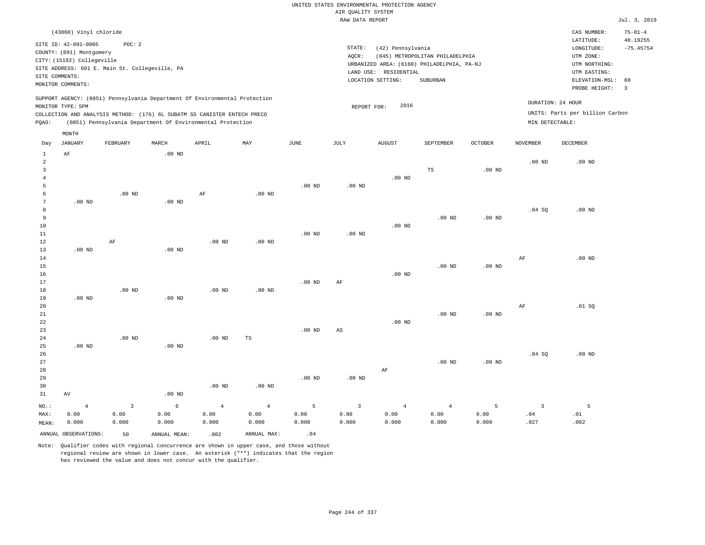| (43860) Vinyl chloride                                                                                                                                                                                                                             |                                                                                                                                                                                 | CAS NUMBER:                                                                                                 | $75 - 01 - 4$                                      |
|----------------------------------------------------------------------------------------------------------------------------------------------------------------------------------------------------------------------------------------------------|---------------------------------------------------------------------------------------------------------------------------------------------------------------------------------|-------------------------------------------------------------------------------------------------------------|----------------------------------------------------|
| SITE ID: 42-091-0005<br>POC:2<br>COUNTY: (091) Montgomery<br>CITY: (15192) Collegeville<br>SITE ADDRESS: 601 E. Main St. Collegeville, PA<br>SITE COMMENTS:<br>MONITOR COMMENTS:                                                                   | STATE:<br>(42) Pennsylvania<br>(045) METROPOLITAN PHILADELPHIA<br>AOCR:<br>URBANIZED AREA: (6160) PHILADELPHIA, PA-NJ<br>LAND USE: RESIDENTIAL<br>LOCATION SETTING:<br>SUBURBAN | LATITUDE:<br>LONGITUDE:<br>UTM ZONE:<br>UTM NORTHING:<br>UTM EASTING:<br>ELEVATION-MSL: 60<br>PROBE HEIGHT: | 40.19255<br>$-75.45754$<br>$\overline{\mathbf{3}}$ |
| SUPPORT AGENCY: (0851) Pennsylvania Department Of Environmental Protection<br>MONITOR TYPE: SPM<br>COLLECTION AND ANALYSIS METHOD: (176) 6L SUBATM SS CANISTER ENTECH PRECO<br>(0851) Pennsylvania Department Of Environmental Protection<br>POAO: | 2016<br>REPORT FOR:                                                                                                                                                             | DURATION: 24 HOUR<br>UNITS: Parts per billion Carbon<br>MIN DETECTABLE:                                     |                                                    |
| MONTH                                                                                                                                                                                                                                              |                                                                                                                                                                                 |                                                                                                             |                                                    |

| Day            | JANUARY              | FEBRUARY                | $\tt MARCH$  | APRIL          | $\ensuremath{\text{MAX}}$ | $_{\rm JUNE}$ | JULY                   | ${\tt AUGUST}$ | SEPTEMBER         | $\mathtt{OCTOBER}$ | NOVEMBER                | DECEMBER |
|----------------|----------------------|-------------------------|--------------|----------------|---------------------------|---------------|------------------------|----------------|-------------------|--------------------|-------------------------|----------|
| 1              | $\rm AF$             |                         | $.00$ ND     |                |                           |               |                        |                |                   |                    |                         |          |
| $\overline{c}$ |                      |                         |              |                |                           |               |                        |                |                   |                    | $.00$ ND                | $.00$ ND |
| 3              |                      |                         |              |                |                           |               |                        |                | TS                | .00 <sub>ND</sub>  |                         |          |
| $\overline{4}$ |                      |                         |              |                |                           |               |                        | .00 $ND$       |                   |                    |                         |          |
| 5              |                      |                         |              |                |                           | .00 $ND$      | .00 $ND$               |                |                   |                    |                         |          |
| 6              |                      | $.00$ ND                |              | AF             | $.00$ ND                  |               |                        |                |                   |                    |                         |          |
| 7              | .00 $ND$             |                         | $.00$ ND     |                |                           |               |                        |                |                   |                    |                         |          |
| 8              |                      |                         |              |                |                           |               |                        |                |                   |                    | .04 SQ                  | $.00$ ND |
| 9              |                      |                         |              |                |                           |               |                        |                | $.00$ ND          | $.00$ ND           |                         |          |
| $10$           |                      |                         |              |                |                           |               |                        | $.00$ ND       |                   |                    |                         |          |
| $11\,$         |                      |                         |              |                |                           | $.00$ ND      | $.00$ ND               |                |                   |                    |                         |          |
| 12             |                      | $\rm AF$                |              | $.00$ ND       | $.00$ ND                  |               |                        |                |                   |                    |                         |          |
| 13             | .00 $ND$             |                         | .00 $ND$     |                |                           |               |                        |                |                   |                    |                         |          |
| 14             |                      |                         |              |                |                           |               |                        |                |                   |                    | AF                      | $.00$ ND |
| $15\,$         |                      |                         |              |                |                           |               |                        |                | $.00$ ND          | $.00$ ND           |                         |          |
| $16$           |                      |                         |              |                |                           |               |                        | $.00$ ND       |                   |                    |                         |          |
| 17             |                      |                         |              |                |                           | $.00$ ND      | AF                     |                |                   |                    |                         |          |
| 18             |                      | .00 <sub>ND</sub>       |              | $.00$ ND       | $.00$ ND                  |               |                        |                |                   |                    |                         |          |
| 19             | .00 $ND$             |                         | .00 $ND$     |                |                           |               |                        |                |                   |                    |                         |          |
| $20\,$         |                      |                         |              |                |                           |               |                        |                |                   |                    | $\rm{AF}$               | .01 SQ   |
| $21\,$         |                      |                         |              |                |                           |               |                        |                | .00 <sub>ND</sub> | .00 <sub>ND</sub>  |                         |          |
| $_{\rm 22}$    |                      |                         |              |                |                           |               |                        | $.00$ ND       |                   |                    |                         |          |
| 23             |                      |                         |              |                |                           | .00 $ND$      | $\mathbb{A}\mathbb{S}$ |                |                   |                    |                         |          |
| $2\sqrt{4}$    |                      | .00 $ND$                |              | .00 $ND$       | TS                        |               |                        |                |                   |                    |                         |          |
| 25             | $.00$ ND             |                         | $.00$ ND     |                |                           |               |                        |                |                   |                    |                         |          |
| 26             |                      |                         |              |                |                           |               |                        |                |                   |                    | .04 SQ                  | $.00$ ND |
| 27             |                      |                         |              |                |                           |               |                        |                | .00 <sub>ND</sub> | $.00$ ND           |                         |          |
| 28             |                      |                         |              |                |                           |               |                        | $\rm{AF}$      |                   |                    |                         |          |
| 29             |                      |                         |              |                |                           | $.00$ ND      | .00 $ND$               |                |                   |                    |                         |          |
| 30             |                      |                         |              | .00 $ND$       | .00 <sub>ND</sub>         |               |                        |                |                   |                    |                         |          |
| 31             | AV                   |                         | $.00$ ND     |                |                           |               |                        |                |                   |                    |                         |          |
| $_{\rm NO.}$ : | $\sqrt{4}$           | $\overline{\mathbf{3}}$ | $\epsilon$   | $\overline{4}$ | $\,4$                     | $\mathsf S$   | $\overline{3}$         | $\overline{4}$ | $\overline{4}$    | 5                  | $\overline{\mathbf{3}}$ | 5        |
| MAX:           | 0.00                 | 0.00                    | 0.00         | 0.00           | 0.00                      | 0.00          | 0.00                   | 0.00           | 0.00              | 0.00               | .04                     | .01      |
| MEAN:          | 0.000                | 0.000                   | 0.000        | 0.000          | 0.000                     | 0.000         | 0.000                  | 0.000          | 0.000             | 0.000              | .027                    | .002     |
|                | ANNUAL OBSERVATIONS: | 50                      | ANNUAL MEAN: | .002           | ANNUAL MAX:               | .04           |                        |                |                   |                    |                         |          |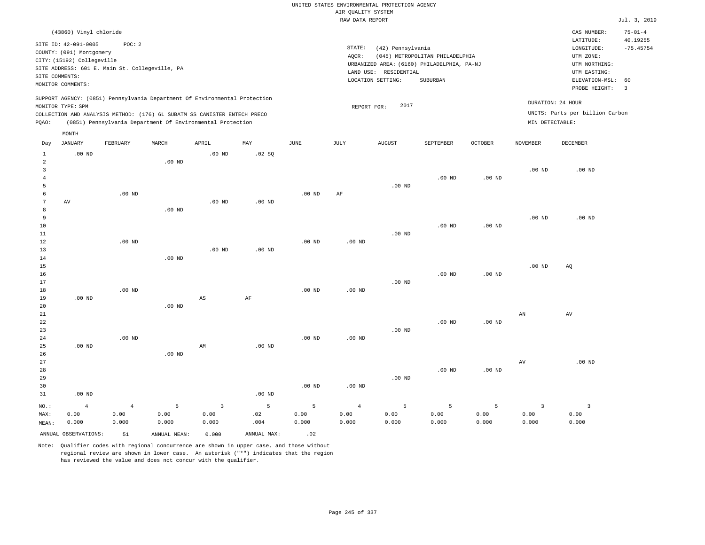|                                       |                                                                                                                                                 |                                                          |              |                                                                                                                                                                                                                      |                   |                   |                                       | UNITED STATES ENVIRONMENTAL PROTECTION AGENCY                   |                                                                                           |                   |                        |                                                                                                                         |                                                                  |
|---------------------------------------|-------------------------------------------------------------------------------------------------------------------------------------------------|----------------------------------------------------------|--------------|----------------------------------------------------------------------------------------------------------------------------------------------------------------------------------------------------------------------|-------------------|-------------------|---------------------------------------|-----------------------------------------------------------------|-------------------------------------------------------------------------------------------|-------------------|------------------------|-------------------------------------------------------------------------------------------------------------------------|------------------------------------------------------------------|
|                                       |                                                                                                                                                 |                                                          |              |                                                                                                                                                                                                                      |                   |                   | AIR QUALITY SYSTEM<br>RAW DATA REPORT |                                                                 |                                                                                           |                   |                        |                                                                                                                         |                                                                  |
|                                       |                                                                                                                                                 |                                                          |              |                                                                                                                                                                                                                      |                   |                   |                                       |                                                                 |                                                                                           |                   |                        |                                                                                                                         | Jul. 3, 2019                                                     |
|                                       | (43860) Vinyl chloride<br>SITE ID: 42-091-0005<br>COUNTY: (091) Montgomery<br>CITY: (15192) Collegeville<br>SITE COMMENTS:<br>MONITOR COMMENTS: | POC: 2<br>SITE ADDRESS: 601 E. Main St. Collegeville, PA |              |                                                                                                                                                                                                                      |                   |                   | STATE:<br>AQCR:                       | (42) Pennsylvania<br>LAND USE: RESIDENTIAL<br>LOCATION SETTING: | (045) METROPOLITAN PHILADELPHIA<br>URBANIZED AREA: (6160) PHILADELPHIA, PA-NJ<br>SUBURBAN |                   |                        | CAS NUMBER:<br>LATITUDE:<br>LONGITUDE:<br>UTM ZONE:<br>UTM NORTHING:<br>UTM EASTING:<br>ELEVATION-MSL:<br>PROBE HEIGHT: | $75 - 01 - 4$<br>40.19255<br>$-75.45754$<br>60<br>$\overline{3}$ |
| PQAO:                                 | MONITOR TYPE: SPM                                                                                                                               |                                                          |              | SUPPORT AGENCY: (0851) Pennsylvania Department Of Environmental Protection<br>COLLECTION AND ANALYSIS METHOD: (176) 6L SUBATM SS CANISTER ENTECH PRECO<br>(0851) Pennsylvania Department Of Environmental Protection |                   |                   | REPORT FOR:                           | 2017                                                            |                                                                                           |                   | MIN DETECTABLE:        | DURATION: 24 HOUR<br>UNITS: Parts per billion Carbon                                                                    |                                                                  |
|                                       | MONTH                                                                                                                                           |                                                          |              |                                                                                                                                                                                                                      |                   |                   |                                       |                                                                 |                                                                                           |                   |                        |                                                                                                                         |                                                                  |
| Day                                   | JANUARY                                                                                                                                         | FEBRUARY                                                 | MARCH        | APRIL                                                                                                                                                                                                                | MAY               | JUNE              | $_{\rm JULY}$                         | AUGUST                                                          | SEPTEMBER                                                                                 | <b>OCTOBER</b>    | <b>NOVEMBER</b>        | <b>DECEMBER</b>                                                                                                         |                                                                  |
| $\mathbf{1}$<br>$\overline{a}$        | $.00$ ND                                                                                                                                        |                                                          | $.00$ ND     | $.00$ ND                                                                                                                                                                                                             | .02 SQ            |                   |                                       |                                                                 |                                                                                           |                   |                        |                                                                                                                         |                                                                  |
| $\overline{3}$<br>$\overline{4}$<br>5 |                                                                                                                                                 |                                                          |              |                                                                                                                                                                                                                      |                   |                   |                                       | $.00$ ND                                                        | .00 <sub>ND</sub>                                                                         | .00 <sub>ND</sub> | $.00$ ND               | $.00$ ND                                                                                                                |                                                                  |
| 6<br>$7\phantom{.0}$<br>8             | AV                                                                                                                                              | $.00$ ND                                                 | $.00$ ND     | .00 <sub>ND</sub>                                                                                                                                                                                                    | .00 <sub>ND</sub> | $.00$ ND          | AF                                    |                                                                 |                                                                                           |                   |                        |                                                                                                                         |                                                                  |
| 9<br>$10$<br>11<br>12                 |                                                                                                                                                 | $.00$ ND                                                 |              |                                                                                                                                                                                                                      |                   | $.00$ ND          | $.00$ ND                              | $.00$ ND                                                        | .00 <sub>ND</sub>                                                                         | .00 <sub>ND</sub> | .00 <sub>ND</sub>      | $.00$ ND                                                                                                                |                                                                  |
| 13<br>14<br>15                        |                                                                                                                                                 |                                                          | $.00$ ND     | .00 <sub>ND</sub>                                                                                                                                                                                                    | $.00$ ND          |                   |                                       |                                                                 |                                                                                           |                   | .00 <sub>ND</sub>      | AQ                                                                                                                      |                                                                  |
| 16<br>17<br>18<br>19                  | $.00$ ND                                                                                                                                        | $.00$ ND                                                 |              | $_{\rm AS}$                                                                                                                                                                                                          | AF                | .00 <sub>ND</sub> | $.00$ ND                              | $.00$ ND                                                        | $.00$ ND                                                                                  | $.00$ ND          |                        |                                                                                                                         |                                                                  |
| 20<br>21<br>22<br>23                  |                                                                                                                                                 |                                                          | $.00$ ND     |                                                                                                                                                                                                                      |                   |                   |                                       | $.00$ ND                                                        | $.00$ ND                                                                                  | $.00$ ND          | AN                     | AV                                                                                                                      |                                                                  |
| 24<br>25<br>26<br>$2\,7$              | $.00$ ND                                                                                                                                        | .00 <sub>ND</sub>                                        | $.00$ ND     | AM                                                                                                                                                                                                                   | .00 <sub>ND</sub> | $.00$ ND          | $.00$ ND                              |                                                                 |                                                                                           |                   | AV                     | .00 <sub>ND</sub>                                                                                                       |                                                                  |
| 28<br>29<br>30<br>31                  | $.00$ ND                                                                                                                                        |                                                          |              |                                                                                                                                                                                                                      | $.00$ ND          | $.00$ ND          | $.00$ ND                              | $.00$ ND                                                        | $.00$ ND                                                                                  | $.00$ ND          |                        |                                                                                                                         |                                                                  |
| NO.:<br>MAX:                          | $\,4$<br>0.00                                                                                                                                   | $\,4$<br>0.00                                            | 5<br>0.00    | $\overline{\mathbf{3}}$<br>0.00                                                                                                                                                                                      | 5<br>.02          | 5<br>0.00         | $\overline{4}$<br>0.00                | 5<br>0.00                                                       | $\overline{5}$<br>0.00                                                                    | 5<br>0.00         | $\overline{3}$<br>0.00 | $\overline{\mathbf{3}}$<br>0.00                                                                                         |                                                                  |
| MEAN:                                 | 0.000                                                                                                                                           | 0.000                                                    | 0.000        | 0.000                                                                                                                                                                                                                | .004              | 0.000             | 0.000                                 | 0.000                                                           | 0.000                                                                                     | 0.000             | 0.000                  | 0.000                                                                                                                   |                                                                  |
|                                       | ANNUAL OBSERVATIONS:                                                                                                                            | 51                                                       | ANNUAL MEAN: | 0.000                                                                                                                                                                                                                | ANNUAL MAX:       | .02               |                                       |                                                                 |                                                                                           |                   |                        |                                                                                                                         |                                                                  |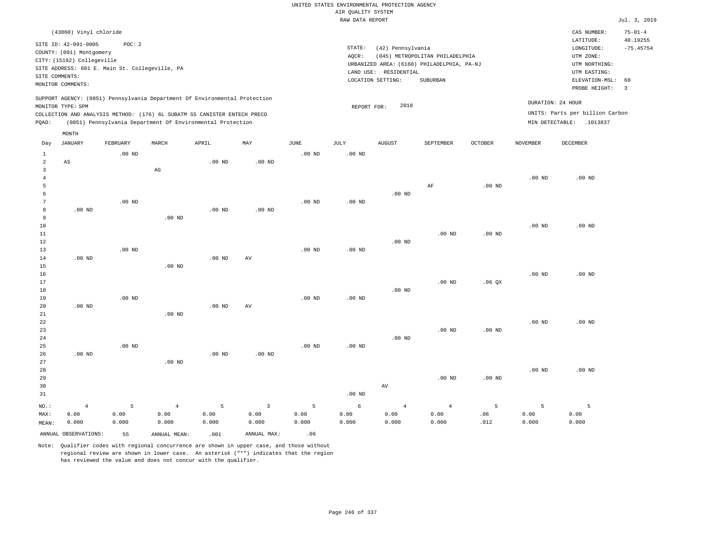|                |                                                |                   |                                                                            |                   |                |                   |                    | UNITED STATES ENVIRONMENTAL PROTECTION AGENCY |                                            |          |                   |                                 |                           |
|----------------|------------------------------------------------|-------------------|----------------------------------------------------------------------------|-------------------|----------------|-------------------|--------------------|-----------------------------------------------|--------------------------------------------|----------|-------------------|---------------------------------|---------------------------|
|                |                                                |                   |                                                                            |                   |                |                   | AIR QUALITY SYSTEM |                                               |                                            |          |                   |                                 |                           |
|                |                                                |                   |                                                                            |                   |                |                   | RAW DATA REPORT    |                                               |                                            |          |                   |                                 | Jul. 3, 2019              |
|                | (43860) Vinyl chloride<br>SITE ID: 42-091-0005 | POC: 2            |                                                                            |                   |                |                   |                    |                                               |                                            |          |                   | CAS NUMBER:<br>LATITUDE:        | $75 - 01 - 4$<br>40.19255 |
|                | COUNTY: (091) Montgomery                       |                   |                                                                            |                   |                |                   | STATE:             | (42) Pennsylvania                             |                                            |          |                   | LONGITUDE:                      | $-75.45754$               |
|                | CITY: (15192) Collegeville                     |                   |                                                                            |                   |                |                   | AOCR:              |                                               | (045) METROPOLITAN PHILADELPHIA            |          |                   | UTM ZONE:                       |                           |
|                | SITE ADDRESS: 601 E. Main St. Collegeville, PA |                   |                                                                            |                   |                |                   |                    |                                               | URBANIZED AREA: (6160) PHILADELPHIA, PA-NJ |          |                   | UTM NORTHING:                   |                           |
| SITE COMMENTS: |                                                |                   |                                                                            |                   |                |                   |                    | LAND USE: RESIDENTIAL                         |                                            |          |                   | UTM EASTING:                    |                           |
|                | MONITOR COMMENTS:                              |                   |                                                                            |                   |                |                   |                    | LOCATION SETTING:                             | <b>SUBURBAN</b>                            |          |                   | ELEVATION-MSL:<br>PROBE HEIGHT: | 60<br>$\overline{3}$      |
|                |                                                |                   | SUPPORT AGENCY: (0851) Pennsylvania Department Of Environmental Protection |                   |                |                   |                    | 2018                                          |                                            |          |                   | DURATION: 24 HOUR               |                           |
|                | MONITOR TYPE: SPM                              |                   | COLLECTION AND ANALYSIS METHOD: (176) 6L SUBATM SS CANISTER ENTECH PRECO   |                   |                |                   | REPORT FOR:        |                                               |                                            |          |                   | UNITS: Parts per billion Carbon |                           |
| PQAO:          |                                                |                   | (0851) Pennsylvania Department Of Environmental Protection                 |                   |                |                   |                    |                                               |                                            |          |                   | MIN DETECTABLE: .1013837        |                           |
|                | MONTH                                          |                   |                                                                            |                   |                |                   |                    |                                               |                                            |          |                   |                                 |                           |
| Day            | JANUARY                                        | FEBRUARY          | MARCH                                                                      | APRIL             | MAY            | JUNE              | JULY               | <b>AUGUST</b>                                 | SEPTEMBER                                  | OCTOBER  | NOVEMBER          | DECEMBER                        |                           |
| $\mathbf{1}$   |                                                | $.00$ ND          |                                                                            |                   |                | $.00$ ND          | $.00$ ND           |                                               |                                            |          |                   |                                 |                           |
| $\overline{2}$ | AS                                             |                   |                                                                            | .00 <sub>ND</sub> | $.00$ ND       |                   |                    |                                               |                                            |          |                   |                                 |                           |
| $\overline{3}$ |                                                |                   | AG                                                                         |                   |                |                   |                    |                                               |                                            |          |                   |                                 |                           |
| $\overline{4}$ |                                                |                   |                                                                            |                   |                |                   |                    |                                               |                                            |          | $.00$ ND          | $.00$ ND                        |                           |
| 5              |                                                |                   |                                                                            |                   |                |                   |                    |                                               | AF                                         | $.00$ ND |                   |                                 |                           |
| 6<br>7         |                                                |                   |                                                                            |                   |                |                   |                    | $.00$ ND                                      |                                            |          |                   |                                 |                           |
| 8              | $.00$ ND                                       | $.00$ ND          |                                                                            | $.00$ ND          | $.00$ ND       | $.00$ ND          | .00 <sub>ND</sub>  |                                               |                                            |          |                   |                                 |                           |
| 9              |                                                |                   | $.00$ ND                                                                   |                   |                |                   |                    |                                               |                                            |          |                   |                                 |                           |
| 10             |                                                |                   |                                                                            |                   |                |                   |                    |                                               |                                            |          | $.00$ ND          | $.00$ ND                        |                           |
| $11\,$         |                                                |                   |                                                                            |                   |                |                   |                    |                                               | $.00$ ND                                   | $.00$ ND |                   |                                 |                           |
| 12             |                                                |                   |                                                                            |                   |                |                   |                    | $.00$ ND                                      |                                            |          |                   |                                 |                           |
| 13             |                                                | $.00$ ND          |                                                                            |                   |                | $.00$ ND          | .00 <sub>ND</sub>  |                                               |                                            |          |                   |                                 |                           |
| 14             | $.00$ ND                                       |                   |                                                                            | $.00$ ND          | AV             |                   |                    |                                               |                                            |          |                   |                                 |                           |
| 15             |                                                |                   | $.00$ ND                                                                   |                   |                |                   |                    |                                               |                                            |          |                   |                                 |                           |
| 16             |                                                |                   |                                                                            |                   |                |                   |                    |                                               |                                            |          | $.00$ ND          | $.00$ ND                        |                           |
| 17             |                                                |                   |                                                                            |                   |                |                   |                    |                                               | .00 <sub>ND</sub>                          | .06QX    |                   |                                 |                           |
| 18             |                                                |                   |                                                                            |                   |                |                   |                    | $.00$ ND                                      |                                            |          |                   |                                 |                           |
| 19             |                                                | $.00$ ND          |                                                                            |                   |                | $.00$ ND          | $.00$ ND           |                                               |                                            |          |                   |                                 |                           |
| 20             | $.00$ ND                                       |                   |                                                                            | .00 <sub>ND</sub> | AV             |                   |                    |                                               |                                            |          |                   |                                 |                           |
| $21\,$         |                                                |                   | $.00$ ND                                                                   |                   |                |                   |                    |                                               |                                            |          |                   |                                 |                           |
| 22             |                                                |                   |                                                                            |                   |                |                   |                    |                                               |                                            |          | $.00$ ND          | $.00$ ND                        |                           |
| 23             |                                                |                   |                                                                            |                   |                |                   |                    |                                               | .00 <sub>ND</sub>                          | $.00$ ND |                   |                                 |                           |
| 24<br>25       |                                                | .00 <sub>ND</sub> |                                                                            |                   |                | .00 <sub>ND</sub> | .00 <sub>ND</sub>  | $.00$ ND                                      |                                            |          |                   |                                 |                           |
| 26             | $.00$ ND                                       |                   |                                                                            | $.00$ ND          | $.00$ ND       |                   |                    |                                               |                                            |          |                   |                                 |                           |
| 27             |                                                |                   | $.00$ ND                                                                   |                   |                |                   |                    |                                               |                                            |          |                   |                                 |                           |
| 28             |                                                |                   |                                                                            |                   |                |                   |                    |                                               |                                            |          | .00 <sub>ND</sub> | $.00$ ND                        |                           |
| 29             |                                                |                   |                                                                            |                   |                |                   |                    |                                               | $.00$ ND                                   | $.00$ ND |                   |                                 |                           |
| 30             |                                                |                   |                                                                            |                   |                |                   |                    | $\operatorname{AV}$                           |                                            |          |                   |                                 |                           |
| 31             |                                                |                   |                                                                            |                   |                |                   | .00 <sub>ND</sub>  |                                               |                                            |          |                   |                                 |                           |
|                |                                                |                   |                                                                            |                   |                |                   |                    |                                               |                                            |          |                   |                                 |                           |
| NO.:           | $\overline{4}$                                 | 5                 | $\overline{4}$                                                             | 5                 | $\overline{3}$ | 5                 | 6                  | $\overline{4}$                                | $\overline{4}$                             | 5        | 5                 | 5                               |                           |
| MAX:           | 0.00                                           | 0.00              | 0.00                                                                       | 0.00              | 0.00           | 0.00              | 0.00               | 0.00                                          | 0.00                                       | .06      | 0.00              | 0.00                            |                           |
| MEAN:          | 0.000                                          | 0.000             | 0.000                                                                      | 0.000             | 0.000          | 0.000             | 0.000              | 0.000                                         | 0.000                                      | .012     | 0.000             | 0.000                           |                           |
|                | ANNUAL OBSERVATIONS:                           | 55                | ANNUAL MEAN:                                                               | .001              | ANNUAL MAX:    | .06               |                    |                                               |                                            |          |                   |                                 |                           |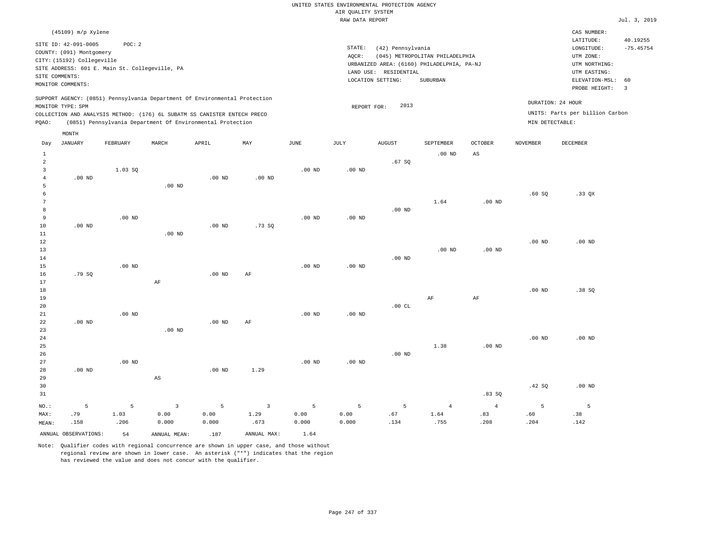|       | (45109) m/p Xylene                                                                                                    |                                                         |       |                                                                                                                                        |                                                                            |      |                              |                                                       |                                                                                           |                |                                      | CAS NUMBER:                                                                                                 |                              |
|-------|-----------------------------------------------------------------------------------------------------------------------|---------------------------------------------------------|-------|----------------------------------------------------------------------------------------------------------------------------------------|----------------------------------------------------------------------------|------|------------------------------|-------------------------------------------------------|-------------------------------------------------------------------------------------------|----------------|--------------------------------------|-------------------------------------------------------------------------------------------------------------|------------------------------|
|       | SITE ID: 42-091-0005<br>COUNTY: (091) Montgomery<br>CITY: (15192) Collegeville<br>SITE COMMENTS:<br>MONITOR COMMENTS: | POC:2<br>SITE ADDRESS: 601 E. Main St. Collegeville, PA |       |                                                                                                                                        |                                                                            |      | STATE:<br>AOCR:<br>LAND USE: | (42) Pennsylvania<br>RESIDENTIAL<br>LOCATION SETTING: | (045) METROPOLITAN PHILADELPHIA<br>URBANIZED AREA: (6160) PHILADELPHIA, PA-NJ<br>SUBURBAN |                |                                      | LATITUDE:<br>LONGITUDE:<br>UTM ZONE:<br>UTM NORTHING:<br>UTM EASTING:<br>ELEVATION-MSL: 60<br>PROBE HEIGHT: | 40.19255<br>$-75.45754$<br>3 |
| POAO: | MONITOR TYPE: SPM                                                                                                     |                                                         |       | COLLECTION AND ANALYSIS METHOD: (176) 6L SUBATM SS CANISTER ENTECH PRECO<br>(0851) Pennsylvania Department Of Environmental Protection | SUPPORT AGENCY: (0851) Pennsylvania Department Of Environmental Protection |      | REPORT FOR:                  | 2013                                                  |                                                                                           |                | DURATION: 24 HOUR<br>MIN DETECTABLE: | UNITS: Parts per billion Carbon                                                                             |                              |
| Day   | MONTH<br>JANUARY                                                                                                      | FEBRUARY                                                | MARCH | APRIL                                                                                                                                  | MAY                                                                        | JUNE | JULY                         | AUGUST                                                | SEPTEMBER                                                                                 | <b>OCTOBER</b> | NOVEMBER                             | DECEMBER                                                                                                    |                              |

| $\mathbf{1}$   |          |          |                         |                   |          |          |                |          | $.00$ ND       | $_{\rm AS}$    |                   |          |
|----------------|----------|----------|-------------------------|-------------------|----------|----------|----------------|----------|----------------|----------------|-------------------|----------|
| $\overline{a}$ |          |          |                         |                   |          |          |                | .67SQ    |                |                |                   |          |
| 3              |          | 1.03 SQ  |                         |                   |          | $.00$ ND | $.00$ ND       |          |                |                |                   |          |
| 4              | $.00$ ND |          |                         | .00 <sub>ND</sub> | $.00$ ND |          |                |          |                |                |                   |          |
| 5              |          |          | $.00$ ND                |                   |          |          |                |          |                |                |                   |          |
| 6              |          |          |                         |                   |          |          |                |          |                |                | .60SQ             | .33 QX   |
| 7              |          |          |                         |                   |          |          |                |          | 1.64           | $.00$ ND       |                   |          |
| 8              |          |          |                         |                   |          |          |                | $.00$ ND |                |                |                   |          |
| 9              |          | $.00$ ND |                         |                   |          | $.00$ ND | $.00$ ND       |          |                |                |                   |          |
| 10             | $.00$ ND |          |                         | .00 <sub>ND</sub> | .73SQ    |          |                |          |                |                |                   |          |
| 11             |          |          | $.00$ ND                |                   |          |          |                |          |                |                |                   |          |
| 12             |          |          |                         |                   |          |          |                |          |                |                | .00 <sub>ND</sub> | $.00$ ND |
| 13             |          |          |                         |                   |          |          |                |          | $.00$ ND       | .00 $ND$       |                   |          |
| 14             |          |          |                         |                   |          |          |                | $.00$ ND |                |                |                   |          |
| 15             |          | $.00$ ND |                         |                   |          | $.00$ ND | $.00$ ND       |          |                |                |                   |          |
| 16             | .79 SQ   |          |                         | .00 <sub>ND</sub> | $\rm AF$ |          |                |          |                |                |                   |          |
| 17             |          |          | $\rm AF$                |                   |          |          |                |          |                |                |                   |          |
| 18             |          |          |                         |                   |          |          |                |          |                |                | $.00$ ND          | .38SQ    |
| 19             |          |          |                         |                   |          |          |                |          | $\rm AF$       | $\rm{AF}$      |                   |          |
| 20             |          |          |                         |                   |          |          |                | .00 $CL$ |                |                |                   |          |
| 21             |          | .00 $ND$ |                         |                   |          | $.00$ ND | $.00$ ND       |          |                |                |                   |          |
| 22             | .00 $ND$ |          |                         | .00 $ND$          | $\rm AF$ |          |                |          |                |                |                   |          |
| 23             |          |          | $.00$ ND                |                   |          |          |                |          |                |                |                   |          |
| $2\sqrt{4}$    |          |          |                         |                   |          |          |                |          |                |                | $.00$ ND          | $.00$ ND |
| $25\,$         |          |          |                         |                   |          |          |                |          | 1.38           | $.00$ ND       |                   |          |
| 26             |          |          |                         |                   |          |          |                | .00 $ND$ |                |                |                   |          |
| 27             |          | $.00$ ND |                         |                   |          | $.00$ ND | $.00$ ND       |          |                |                |                   |          |
| 28             | .00 $ND$ |          |                         | .00 $ND$          | 1.29     |          |                |          |                |                |                   |          |
| 29             |          |          | $\mathbb{A}\mathbb{S}$  |                   |          |          |                |          |                |                |                   |          |
| 30             |          |          |                         |                   |          |          |                |          |                |                | .42 SQ            | $.00$ ND |
| 31             |          |          |                         |                   |          |          |                |          |                | .83SQ          |                   |          |
| $_{\rm NO.}$ : | 5        | 5        | $\overline{\mathbf{3}}$ | 5                 | 3        | 5        | $\overline{5}$ | 5        | $\overline{4}$ | $\overline{4}$ | 5                 | 5        |
| MAX:           | .79      | 1.03     | 0.00                    | 0.00              | 1.29     | 0.00     | 0.00           | .67      | 1.64           | .83            | .60               | .38      |
| MEAN:          | .158     | .206     | 0.000                   | 0.000             | .673     | 0.000    | 0.000          | .134     | .755           | .208           | .204              | .142     |

Note: Qualifier codes with regional concurrence are shown in upper case, and those without regional review are shown in lower case. An asterisk ("\*") indicates that the region has reviewed the value and does not concur with the qualifier.

ANNUAL OBSERVATIONS: 54 ANNUAL MEAN: .187 ANNUAL MAX: 1.64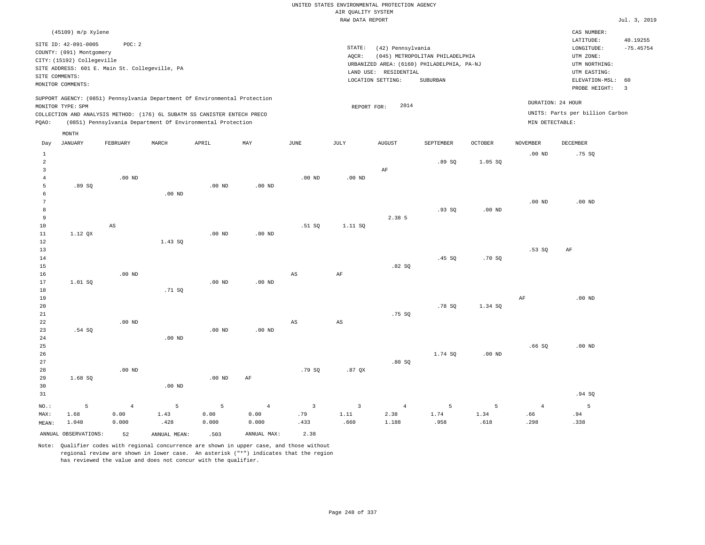| $(45109)$ m/p Xylene                                                                                                                                                                                                                               |                                                                                                                                                                                 | CAS NUMBER:                                                                                                                            |
|----------------------------------------------------------------------------------------------------------------------------------------------------------------------------------------------------------------------------------------------------|---------------------------------------------------------------------------------------------------------------------------------------------------------------------------------|----------------------------------------------------------------------------------------------------------------------------------------|
| SITE ID: 42-091-0005<br>POC:2<br>COUNTY: (091) Montgomery<br>CITY: (15192) Collegeville<br>SITE ADDRESS: 601 E. Main St. Collegeville, PA<br>SITE COMMENTS:<br>MONITOR COMMENTS:                                                                   | STATE:<br>(42) Pennsylvania<br>(045) METROPOLITAN PHILADELPHIA<br>AOCR:<br>URBANIZED AREA: (6160) PHILADELPHIA, PA-NJ<br>LAND USE: RESIDENTIAL<br>LOCATION SETTING:<br>SUBURBAN | 40.19255<br>LATITUDE:<br>$-75.45754$<br>LONGITUDE:<br>UTM ZONE:<br>UTM NORTHING:<br>UTM EASTING:<br>ELEVATION-MSL: 60<br>PROBE HEIGHT: |
| SUPPORT AGENCY: (0851) Pennsylvania Department Of Environmental Protection<br>MONITOR TYPE: SPM<br>COLLECTION AND ANALYSIS METHOD: (176) 6L SUBATM SS CANISTER ENTECH PRECO<br>(0851) Pennsylvania Department Of Environmental Protection<br>POAO: | 2014<br>REPORT FOR:                                                                                                                                                             | DURATION: 24 HOUR<br>UNITS: Parts per billion Carbon<br>MIN DETECTABLE:                                                                |

|                                                                    | MONTH                |                        |              |                   |                    |                        |                        |                        |           |                |                       |          |
|--------------------------------------------------------------------|----------------------|------------------------|--------------|-------------------|--------------------|------------------------|------------------------|------------------------|-----------|----------------|-----------------------|----------|
| Day                                                                | <b>JANUARY</b>       | FEBRUARY               | MARCH        | APRIL             | MAY                | $_{\rm JUNE}$          | $\mathtt{JULY}$        | AUGUST                 | SEPTEMBER | <b>OCTOBER</b> | <b>NOVEMBER</b>       | DECEMBER |
| $\mathbf{1}$<br>$\overline{a}$<br>$\overline{3}$<br>$\overline{4}$ |                      | .00 $ND$               |              |                   |                    | $.00$ ND               | .00 $ND$               | $\rm{AF}$              | .89 SQ    | 1.05 SQ        | $.00$ ND              | .75 SQ   |
| 5<br>6<br>$7\phantom{.0}$<br>8                                     | .89 SQ               |                        | $.00$ ND     | .00 <sub>ND</sub> | $.00$ ND           |                        |                        |                        | .93SQ     | $.00$ ND       | $.00$ ND              | $.00$ ND |
| 9<br>10<br>11<br>12                                                | 1.12 QX              | $\mathbb{A}\mathbb{S}$ | 1.43 SQ      | .00 <sub>ND</sub> | $.00$ ND           | .51 SQ                 | 1.11 SQ                | 2.38 5                 |           |                |                       |          |
| 13<br>14<br>15<br>16                                               |                      | $.00$ ND               |              |                   |                    | $\mathbb{A}\mathbb{S}$ | $\rm AF$               | .82SQ                  | .45 SQ    | .70SQ          | .53SQ                 | $\rm AF$ |
| 17<br>18<br>19<br>20                                               | 1.01 SQ              |                        | .71 SQ       | .00 <sub>ND</sub> | $.00$ ND           |                        |                        |                        | .78 SQ    | 1.34 SQ        | $\rm AF$              | $.00$ ND |
| 21<br>22<br>23<br>$2\,4$                                           | .54 SQ               | $.00$ ND               | .00 $ND$     | .00 <sub>ND</sub> | $.00$ ND           | $_{\rm AS}$            | $\mathbb{A}\mathbb{S}$ | .75 SQ                 |           |                |                       |          |
| 25<br>26<br>$2\,7$<br>28                                           |                      | $.00$ ND               |              |                   |                    | .79 SQ                 | .87QX                  | .80SQ                  | 1.74 SQ   | $.00$ ND       | .66SQ                 | $.00$ ND |
| 29<br>30<br>31                                                     | 1.68S                |                        | $.00$ ND     | $.00$ ND          | $\rm{AF}$          |                        |                        |                        |           |                |                       | .94 SQ   |
| NO.:<br>MAX:                                                       | 5<br>1.68            | $\overline{4}$<br>0.00 | 5<br>1.43    | 5<br>0.00         | $\sqrt{4}$<br>0.00 | $\overline{3}$<br>.79  | $\overline{3}$<br>1.11 | $\overline{4}$<br>2.38 | 5<br>1.74 | 5<br>1.34      | $\overline{4}$<br>.66 | 5<br>.94 |
| MEAN:                                                              | 1.048                | 0.000                  | .428         | 0.000             | 0.000              | .433                   | .660                   | 1.188                  | .958      | .618           | .298                  | .338     |
|                                                                    | ANNUAL OBSERVATIONS: | 52                     | ANNUAL MEAN: | .503              | ANNUAL MAX:        | 2.38                   |                        |                        |           |                |                       |          |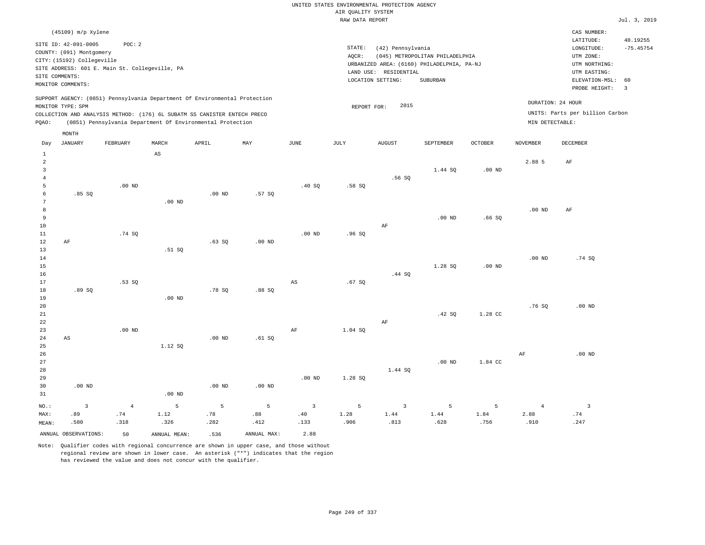#### RAW DATA REPORT **FOULD ASSESSED ASSESSED ASSESSED A**  $Jul. 3, 2019$ UNITED STATES ENVIRONMENTAL PROTECTION AGENCY AIR QUALITY SYSTEM

| (45109) m/p Xylene                                                                                                                                                                                                                                          |                                                                                                                                                                                 | CAS NUMBER:                                                                                                                                  |
|-------------------------------------------------------------------------------------------------------------------------------------------------------------------------------------------------------------------------------------------------------------|---------------------------------------------------------------------------------------------------------------------------------------------------------------------------------|----------------------------------------------------------------------------------------------------------------------------------------------|
| SITE ID: 42-091-0005<br>POC:2<br>COUNTY: (091) Montgomery<br>CITY: (15192) Collegeville<br>SITE ADDRESS: 601 E. Main St. Collegeville, PA<br>SITE COMMENTS:<br>MONITOR COMMENTS:                                                                            | STATE:<br>(42) Pennsylvania<br>(045) METROPOLITAN PHILADELPHIA<br>AOCR:<br>URBANIZED AREA: (6160) PHILADELPHIA, PA-NJ<br>LAND USE: RESIDENTIAL<br>LOCATION SETTING:<br>SUBURBAN | 40.19255<br>LATITUDE:<br>LONGITUDE:<br>$-75.45754$<br>UTM ZONE:<br>UTM NORTHING:<br>UTM EASTING:<br>ELEVATION-MSL: 60<br>PROBE HEIGHT:<br>-3 |
| SUPPORT AGENCY: (0851) Pennsylvania Department Of Environmental Protection<br>MONITOR TYPE: SPM<br>COLLECTION AND ANALYSIS METHOD: (176) 6L SUBATM SS CANISTER ENTECH PRECO<br>(0851) Pennsylvania Department Of Environmental Protection<br>POAO:<br>MONTH | 2015<br>REPORT FOR:                                                                                                                                                             | DURATION: 24 HOUR<br>UNITS: Parts per billion Carbon<br>MIN DETECTABLE:                                                                      |

| Day                                 | <b>JANUARY</b>          | FEBRUARY | MARCH                  | APRIL       | $_{\rm MAY}$ | $_{\rm JUNE}$           | $\mathtt{JULY}$ | <b>AUGUST</b>  | SEPTEMBER | $OCTOBER$         | NOVEMBER       | DECEMBER                |
|-------------------------------------|-------------------------|----------|------------------------|-------------|--------------|-------------------------|-----------------|----------------|-----------|-------------------|----------------|-------------------------|
| $\mathbf{1}$<br>$\overline{c}$<br>3 |                         |          | $\mathbb{A}\mathbb{S}$ |             |              |                         |                 |                | 1.44 SQ   | .00 <sub>ND</sub> | 2.88 5         | $\rm AF$                |
| $\overline{4}$                      |                         |          |                        |             |              |                         |                 | .56SQ          |           |                   |                |                         |
| 5<br>6                              | .85SQ                   | $.00$ ND |                        | $.00$ ND    | .57SQ        | .40SQ                   | .58SQ           |                |           |                   |                |                         |
| 7                                   |                         |          | $.00$ ND               |             |              |                         |                 |                |           |                   |                |                         |
| 8                                   |                         |          |                        |             |              |                         |                 |                |           |                   | $.00$ ND       | AF                      |
| 9                                   |                         |          |                        |             |              |                         |                 |                | $.00$ ND  | .66SQ             |                |                         |
| 10                                  |                         |          |                        |             |              |                         |                 | AF             |           |                   |                |                         |
| 11                                  |                         | .74 SQ   |                        |             |              | $.00$ ND                | .96SQ           |                |           |                   |                |                         |
| 12                                  | $\rm AF$                |          |                        | .63SQ       | $.00$ ND     |                         |                 |                |           |                   |                |                         |
| 13                                  |                         |          | .51 SQ                 |             |              |                         |                 |                |           |                   |                |                         |
| 14                                  |                         |          |                        |             |              |                         |                 |                |           |                   | $.00$ ND       | .74SQ                   |
| 15                                  |                         |          |                        |             |              |                         |                 |                | 1.28 SQ   | .00 <sub>ND</sub> |                |                         |
| $16$                                |                         |          |                        |             |              |                         |                 | .44 SQ         |           |                   |                |                         |
| 17                                  |                         | .53 SQ   |                        |             |              | $_{\rm AS}$             | .67SQ           |                |           |                   |                |                         |
| 18                                  | .89 SQ                  |          |                        | .78 SQ      | .88SQ        |                         |                 |                |           |                   |                |                         |
| 19                                  |                         |          | .00 <sub>ND</sub>      |             |              |                         |                 |                |           |                   |                |                         |
| 20                                  |                         |          |                        |             |              |                         |                 |                |           |                   | .76SQ          | $.00$ ND                |
| 21                                  |                         |          |                        |             |              |                         |                 |                | .42 SQ    | 1.28 CC           |                |                         |
| 22                                  |                         |          |                        |             |              |                         |                 | AF             |           |                   |                |                         |
| 23                                  |                         | $.00$ ND |                        |             |              | $\rm{AF}$               | 1.04 SQ         |                |           |                   |                |                         |
| $2\sqrt{4}$                         | $\mathbb{A}\mathbb{S}$  |          |                        | $.00$ ND    | .61 SQ       |                         |                 |                |           |                   |                |                         |
| 25                                  |                         |          | 1.12 SQ                |             |              |                         |                 |                |           |                   |                |                         |
| 26                                  |                         |          |                        |             |              |                         |                 |                |           |                   | AF             | $.00$ ND                |
| $2\,7$                              |                         |          |                        |             |              |                         |                 |                | $.00$ ND  | 1.84 CC           |                |                         |
| 28                                  |                         |          |                        |             |              |                         |                 | 1.44 SQ        |           |                   |                |                         |
| 29                                  |                         |          |                        |             |              | $.00$ ND                | 1.28 SQ         |                |           |                   |                |                         |
| 30                                  | $.00$ ND                |          |                        | $.00$ ND    | $.00$ ND     |                         |                 |                |           |                   |                |                         |
| 31                                  |                         |          | $.00$ ND               |             |              |                         |                 |                |           |                   |                |                         |
| $_{\rm NO.}$ :                      | $\overline{\mathbf{3}}$ | $\,4$    | $\mathsf S$            | $\mathsf S$ | 5            | $\overline{\mathbf{3}}$ | 5               | $\overline{3}$ | 5         | 5                 | $\overline{4}$ | $\overline{\mathbf{3}}$ |
| MAX:                                | .89                     | .74      | 1.12                   | .78         | .88          | $.40$                   | 1.28            | 1.44           | 1.44      | 1.84              | 2.88           | .74                     |
| $\texttt{MEAN}\colon$               | .580                    | .318     | .326                   | .282        | .412         | .133                    | .906            | .813           | .628      | .756              | .910           | .247                    |
|                                     | ANNUAL OBSERVATIONS:    | 50       | ANNUAL MEAN:           | .536        | ANNUAL MAX:  | 2.88                    |                 |                |           |                   |                |                         |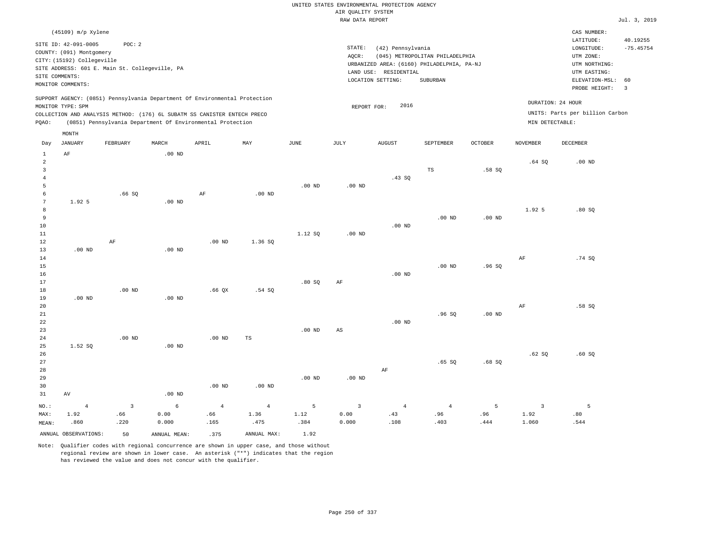| $(45109)$ m/p Xylene                                                                                                                                                                                                                                        |                                                                                                                                                                                    | CAS NUMBER:                                                                                                                            |  |
|-------------------------------------------------------------------------------------------------------------------------------------------------------------------------------------------------------------------------------------------------------------|------------------------------------------------------------------------------------------------------------------------------------------------------------------------------------|----------------------------------------------------------------------------------------------------------------------------------------|--|
| SITE ID: 42-091-0005<br>POC:2<br>COUNTY: (091) Montgomery<br>CITY: (15192) Collegeville<br>SITE ADDRESS: 601 E. Main St. Collegeville, PA<br>SITE COMMENTS:<br>MONITOR COMMENTS:                                                                            | STATE:<br>(42) Pennsylvania<br>AOCR:<br>(045) METROPOLITAN PHILADELPHIA<br>URBANIZED AREA: (6160) PHILADELPHIA, PA-NJ<br>RESIDENTIAL<br>LAND USE:<br>LOCATION SETTING:<br>SUBURBAN | LATITUDE:<br>40.19255<br>$-75.45754$<br>LONGITUDE:<br>UTM ZONE:<br>UTM NORTHING:<br>UTM EASTING:<br>ELEVATION-MSL: 60<br>PROBE HEIGHT: |  |
| SUPPORT AGENCY: (0851) Pennsylvania Department Of Environmental Protection<br>MONITOR TYPE: SPM<br>COLLECTION AND ANALYSIS METHOD: (176) 6L SUBATM SS CANISTER ENTECH PRECO<br>(0851) Pennsylvania Department Of Environmental Protection<br>POAO:<br>MONTH | DURATION: 24 HOUR<br>2016<br>REPORT FOR:<br>MIN DETECTABLE:                                                                                                                        | UNITS: Parts per billion Carbon                                                                                                        |  |

| Day            | JANUARY              | FEBRUARY       | MARCH        | APRIL      | MAY           | JUNE     | JULY                    | <b>AUGUST</b>  | SEPTEMBER      | OCTOBER  | NOVEMBER                | DECEMBER    |
|----------------|----------------------|----------------|--------------|------------|---------------|----------|-------------------------|----------------|----------------|----------|-------------------------|-------------|
| 1              | $\rm{AF}$            |                | $.00$ ND     |            |               |          |                         |                |                |          |                         |             |
| $\overline{a}$ |                      |                |              |            |               |          |                         |                |                |          | .64SQ                   | $.00$ ND    |
| $\overline{3}$ |                      |                |              |            |               |          |                         |                | $_{\rm TS}$    | .58 SQ   |                         |             |
| $\overline{4}$ |                      |                |              |            |               |          |                         | .43SQ          |                |          |                         |             |
| 5              |                      |                |              |            |               | $.00$ ND | $.00$ ND                |                |                |          |                         |             |
| 6              |                      | .66SQ          |              | $\rm{AF}$  | $.00$ ND      |          |                         |                |                |          |                         |             |
| 7              | 1.92 5               |                | $.00$ ND     |            |               |          |                         |                |                |          |                         |             |
| 8              |                      |                |              |            |               |          |                         |                |                |          | 1.92 5                  | .80SQ       |
| 9              |                      |                |              |            |               |          |                         |                | $.00$ ND       | $.00$ ND |                         |             |
| $10\,$         |                      |                |              |            |               |          |                         | $.00$ ND       |                |          |                         |             |
| $11\,$         |                      |                |              |            |               | 1.12 SQ  | $.00$ ND                |                |                |          |                         |             |
| $12\,$         |                      | $\rm AF$       |              | $.00$ ND   | 1.36 SQ       |          |                         |                |                |          |                         |             |
| 13             | $.00$ ND             |                | $.00$ ND     |            |               |          |                         |                |                |          |                         |             |
| 14             |                      |                |              |            |               |          |                         |                |                |          | $\rm{AF}$               | .74SQ       |
| $15\,$         |                      |                |              |            |               |          |                         |                | $.00$ ND       | .96SQ    |                         |             |
| $16\,$         |                      |                |              |            |               |          |                         | $.00$ ND       |                |          |                         |             |
| $17\,$         |                      |                |              |            |               | .80SQ    | AF                      |                |                |          |                         |             |
| $18\,$         |                      | $.00$ ND       |              | .66QX      | .54 SQ        |          |                         |                |                |          |                         |             |
| 19             | .00 $ND$             |                | .00 $ND$     |            |               |          |                         |                |                |          |                         |             |
| 20             |                      |                |              |            |               |          |                         |                |                |          | AF                      | .58SQ       |
| $2\sqrt{1}$    |                      |                |              |            |               |          |                         |                | .96SQ          | .00 $ND$ |                         |             |
| $_{\rm 22}$    |                      |                |              |            |               |          |                         | $.00$ ND       |                |          |                         |             |
| 23             |                      |                |              |            |               | $.00$ ND | $\mathbb{A}\mathbb{S}$  |                |                |          |                         |             |
| $2\sqrt{4}$    |                      | .00 $ND$       |              | .00 $ND$   | $\mathbb{TS}$ |          |                         |                |                |          |                         |             |
| 25             | 1.52 SQ              |                | $.00$ ND     |            |               |          |                         |                |                |          |                         |             |
| 26             |                      |                |              |            |               |          |                         |                |                |          | .62 SQ                  | .60SQ       |
| $2\,7$         |                      |                |              |            |               |          |                         |                | .65 SQ         | .68SQ    |                         |             |
| 28             |                      |                |              |            |               |          |                         | $\rm{AF}$      |                |          |                         |             |
| 29             |                      |                |              |            |               | $.00$ ND | .00 $ND$                |                |                |          |                         |             |
| 30             |                      |                |              | $.00$ ND   | $.00$ ND      |          |                         |                |                |          |                         |             |
| 31             | $\operatorname{AV}$  |                | .00 $ND$     |            |               |          |                         |                |                |          |                         |             |
| $_{\rm NO.}$ : | $\sqrt{4}$           | $\overline{3}$ | $\epsilon$   | $\sqrt{4}$ | $\,4$         | 5        | $\overline{\mathbf{3}}$ | $\overline{4}$ | $\overline{4}$ | 5        | $\overline{\mathbf{3}}$ | $5^{\circ}$ |
| MAX:           | 1.92                 | .66            | 0.00         | .66        | 1.36          | 1.12     | 0.00                    | .43            | .96            | .96      | 1.92                    | .80         |
| MEAN:          | .860                 | .220           | 0.000        | .165       | .475          | .384     | 0.000                   | .108           | .403           | .444     | 1.060                   | .544        |
|                | ANNUAL OBSERVATIONS: | 50             | ANNUAL MEAN: | .375       | ANNUAL MAX:   | 1.92     |                         |                |                |          |                         |             |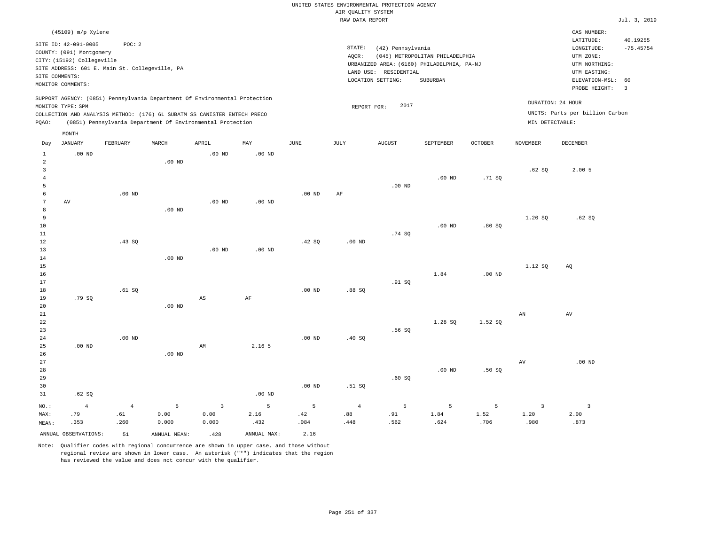|                |                            |                                                |                   |                                                                            |                   |                   |                    | UNITED STATES ENVIRONMENTAL PROTECTION AGENCY |                                            |                |                     |                                 |                |
|----------------|----------------------------|------------------------------------------------|-------------------|----------------------------------------------------------------------------|-------------------|-------------------|--------------------|-----------------------------------------------|--------------------------------------------|----------------|---------------------|---------------------------------|----------------|
|                |                            |                                                |                   |                                                                            |                   |                   | AIR OUALITY SYSTEM |                                               |                                            |                |                     |                                 |                |
|                |                            |                                                |                   |                                                                            |                   |                   | RAW DATA REPORT    |                                               |                                            |                |                     |                                 | Jul. 3, 2019   |
|                | (45109) m/p Xylene         |                                                |                   |                                                                            |                   |                   |                    |                                               |                                            |                |                     | CAS NUMBER:<br>LATITUDE:        | 40.19255       |
|                | SITE ID: 42-091-0005       | POC: 2                                         |                   |                                                                            |                   |                   | STATE:             | (42) Pennsylvania                             |                                            |                |                     | $\texttt{LONGITUDE}:$           | $-75.45754$    |
|                | COUNTY: (091) Montgomery   |                                                |                   |                                                                            |                   |                   | AOCR:              |                                               | (045) METROPOLITAN PHILADELPHIA            |                |                     | UTM ZONE:                       |                |
|                | CITY: (15192) Collegeville |                                                |                   |                                                                            |                   |                   |                    |                                               | URBANIZED AREA: (6160) PHILADELPHIA, PA-NJ |                |                     | UTM NORTHING:                   |                |
|                |                            | SITE ADDRESS: 601 E. Main St. Collegeville, PA |                   |                                                                            |                   |                   |                    | LAND USE: RESIDENTIAL                         |                                            |                |                     | UTM EASTING:                    |                |
|                | SITE COMMENTS:             |                                                |                   |                                                                            |                   |                   |                    | LOCATION SETTING:                             | SUBURBAN                                   |                |                     | ELEVATION-MSL:                  | 60             |
|                | MONITOR COMMENTS:          |                                                |                   |                                                                            |                   |                   |                    |                                               |                                            |                |                     | PROBE HEIGHT:                   | $\overline{3}$ |
|                | MONITOR TYPE: SPM          |                                                |                   | SUPPORT AGENCY: (0851) Pennsylvania Department Of Environmental Protection |                   |                   | REPORT FOR:        | 2017                                          |                                            |                |                     | DURATION: 24 HOUR               |                |
|                |                            |                                                |                   | COLLECTION AND ANALYSIS METHOD: (176) 6L SUBATM SS CANISTER ENTECH PRECO   |                   |                   |                    |                                               |                                            |                |                     | UNITS: Parts per billion Carbon |                |
| PQAO:          |                            |                                                |                   | (0851) Pennsylvania Department Of Environmental Protection                 |                   |                   |                    |                                               |                                            |                | MIN DETECTABLE:     |                                 |                |
|                | $\texttt{MONTH}$           |                                                |                   |                                                                            |                   |                   |                    |                                               |                                            |                |                     |                                 |                |
| Day            | <b>JANUARY</b>             | FEBRUARY                                       | MARCH             | APRIL                                                                      | $\texttt{MAX}$    | JUNE              | JULY               | <b>AUGUST</b>                                 | SEPTEMBER                                  | <b>OCTOBER</b> | <b>NOVEMBER</b>     | DECEMBER                        |                |
| $\mathbf{1}$   | $.00$ ND                   |                                                |                   | .00 <sub>ND</sub>                                                          | .00 <sub>ND</sub> |                   |                    |                                               |                                            |                |                     |                                 |                |
| $\overline{a}$ |                            |                                                | .00 <sub>ND</sub> |                                                                            |                   |                   |                    |                                               |                                            |                |                     |                                 |                |
| $\overline{3}$ |                            |                                                |                   |                                                                            |                   |                   |                    |                                               |                                            |                | .62S                | 2.005                           |                |
| $\overline{4}$ |                            |                                                |                   |                                                                            |                   |                   |                    |                                               | $.00$ ND                                   | .71SQ          |                     |                                 |                |
| 5              |                            |                                                |                   |                                                                            |                   |                   |                    | $.00$ ND                                      |                                            |                |                     |                                 |                |
| 6<br>7         | AV                         | $.00$ ND                                       |                   | $.00$ ND                                                                   | $.00$ ND          | $.00$ ND          | AF                 |                                               |                                            |                |                     |                                 |                |
| 8              |                            |                                                | $.00$ ND          |                                                                            |                   |                   |                    |                                               |                                            |                |                     |                                 |                |
| 9              |                            |                                                |                   |                                                                            |                   |                   |                    |                                               |                                            |                | 1.20 SO             | .62S                            |                |
| 10             |                            |                                                |                   |                                                                            |                   |                   |                    |                                               | $.00$ ND                                   | .80SQ          |                     |                                 |                |
| 11             |                            |                                                |                   |                                                                            |                   |                   |                    | .74SQ                                         |                                            |                |                     |                                 |                |
| 12             |                            | .43 SQ                                         |                   |                                                                            |                   | .42 SQ            | .00 <sub>ND</sub>  |                                               |                                            |                |                     |                                 |                |
| 13             |                            |                                                |                   | $.00$ ND                                                                   | $.00$ ND          |                   |                    |                                               |                                            |                |                     |                                 |                |
| 14             |                            |                                                | $.00$ ND          |                                                                            |                   |                   |                    |                                               |                                            |                |                     |                                 |                |
| 15             |                            |                                                |                   |                                                                            |                   |                   |                    |                                               |                                            |                | 1.12 SO             | AO                              |                |
| 16             |                            |                                                |                   |                                                                            |                   |                   |                    |                                               | 1.84                                       | $.00$ ND       |                     |                                 |                |
| 17             |                            |                                                |                   |                                                                            |                   |                   |                    | .91 S0                                        |                                            |                |                     |                                 |                |
| 18             |                            | .61 SQ                                         |                   |                                                                            |                   | .00 <sub>ND</sub> | .88 SO             |                                               |                                            |                |                     |                                 |                |
| 19             | .79 SO                     |                                                |                   | $_{\rm AS}$                                                                | AF                |                   |                    |                                               |                                            |                |                     |                                 |                |
| 20<br>$21\,$   |                            |                                                | .00 <sub>ND</sub> |                                                                            |                   |                   |                    |                                               |                                            |                | ${\tt AN}$          | AV                              |                |
| 22             |                            |                                                |                   |                                                                            |                   |                   |                    |                                               | 1.28 SQ                                    | 1.52 SQ        |                     |                                 |                |
| 23             |                            |                                                |                   |                                                                            |                   |                   |                    | .56SQ                                         |                                            |                |                     |                                 |                |
| 24             |                            | $.00$ ND                                       |                   |                                                                            |                   | .00 <sub>ND</sub> | .40 SQ             |                                               |                                            |                |                     |                                 |                |
| 25             | .00 <sub>ND</sub>          |                                                |                   | AM                                                                         | 2.16 5            |                   |                    |                                               |                                            |                |                     |                                 |                |
| 26             |                            |                                                | $.00$ ND          |                                                                            |                   |                   |                    |                                               |                                            |                |                     |                                 |                |
| 27             |                            |                                                |                   |                                                                            |                   |                   |                    |                                               |                                            |                | $\operatorname{AV}$ | $.00$ ND                        |                |
| 28             |                            |                                                |                   |                                                                            |                   |                   |                    |                                               | $.00$ ND                                   | .50S           |                     |                                 |                |
| 29             |                            |                                                |                   |                                                                            |                   |                   |                    | .60SQ                                         |                                            |                |                     |                                 |                |
| 30             |                            |                                                |                   |                                                                            |                   | $.00$ ND          | .51 SO             |                                               |                                            |                |                     |                                 |                |
| 31             | .62S                       |                                                |                   |                                                                            | .00 <sub>ND</sub> |                   |                    |                                               |                                            |                |                     |                                 |                |
| NO.:           | $\overline{4}$             | $\overline{4}$                                 | 5                 | $\overline{3}$                                                             | 5                 | 5                 | $\overline{4}$     | 5                                             | 5                                          | 5              | $\overline{3}$      | $\overline{3}$                  |                |
| MAX:           | .79                        | .61                                            | 0.00              | 0.00                                                                       | 2.16              | .42               | .88                | .91                                           | 1.84                                       | 1.52           | 1.20                | 2.00                            |                |
| MEAN:          | .353                       | .260                                           | 0.000             | 0.000                                                                      | .432              | .084              | .448               | .562                                          | .624                                       | .706           | .980                | .873                            |                |
|                |                            |                                                |                   |                                                                            |                   |                   |                    |                                               |                                            |                |                     |                                 |                |

ANNUAL OBSERVATIONS: 51 ANNUAL MEAN: .428 ANNUAL MAX: 2.16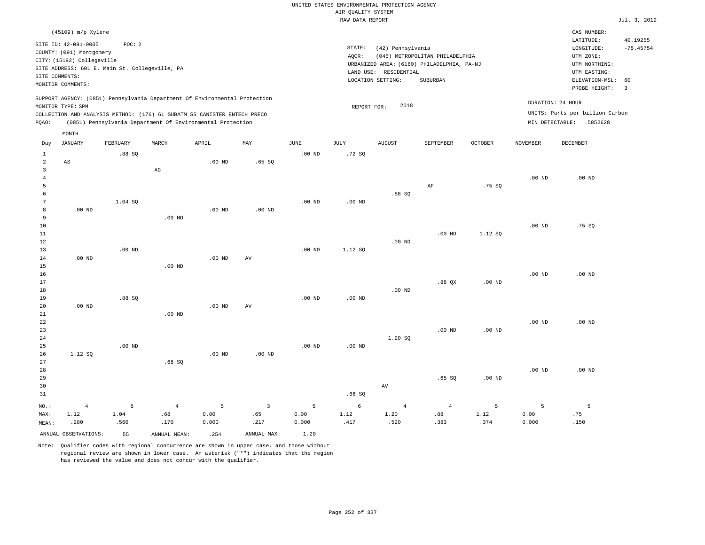|                                                  |                                                                                |                                                          |                                                                                                                                                        |                    |                               |                    |                                       | UNITED STATES ENVIRONMENTAL PROTECTION AGENCY |                                                                               |                   |                    |                                                                       |                         |
|--------------------------------------------------|--------------------------------------------------------------------------------|----------------------------------------------------------|--------------------------------------------------------------------------------------------------------------------------------------------------------|--------------------|-------------------------------|--------------------|---------------------------------------|-----------------------------------------------|-------------------------------------------------------------------------------|-------------------|--------------------|-----------------------------------------------------------------------|-------------------------|
|                                                  |                                                                                |                                                          |                                                                                                                                                        |                    |                               |                    | AIR QUALITY SYSTEM<br>RAW DATA REPORT |                                               |                                                                               |                   |                    |                                                                       | Jul. 3, 2019            |
|                                                  | (45109) m/p Xylene                                                             |                                                          |                                                                                                                                                        |                    |                               |                    |                                       |                                               |                                                                               |                   |                    | CAS NUMBER:                                                           |                         |
|                                                  | SITE ID: 42-091-0005<br>COUNTY: (091) Montgomery<br>CITY: (15192) Collegeville | POC: 2<br>SITE ADDRESS: 601 E. Main St. Collegeville, PA |                                                                                                                                                        |                    |                               |                    | STATE:<br>AQCR:                       | (42) Pennsylvania<br>LAND USE: RESIDENTIAL    | (045) METROPOLITAN PHILADELPHIA<br>URBANIZED AREA: (6160) PHILADELPHIA, PA-NJ |                   |                    | LATITUDE:<br>LONGITUDE:<br>UTM ZONE:<br>UTM NORTHING:<br>UTM EASTING: | 40.19255<br>$-75.45754$ |
|                                                  | SITE COMMENTS:                                                                 |                                                          |                                                                                                                                                        |                    |                               |                    |                                       | LOCATION SETTING:                             | SUBURBAN                                                                      |                   |                    | ELEVATION-MSL:                                                        | 60                      |
|                                                  | MONITOR COMMENTS:                                                              |                                                          |                                                                                                                                                        |                    |                               |                    |                                       |                                               |                                                                               |                   |                    | PROBE HEIGHT:                                                         | $\overline{3}$          |
|                                                  | MONITOR TYPE: SPM                                                              |                                                          | SUPPORT AGENCY: (0851) Pennsylvania Department Of Environmental Protection<br>COLLECTION AND ANALYSIS METHOD: (176) 6L SUBATM SS CANISTER ENTECH PRECO |                    |                               |                    | REPORT FOR:                           | 2018                                          |                                                                               |                   | DURATION: 24 HOUR  | UNITS: Parts per billion Carbon                                       |                         |
| PQAO:                                            |                                                                                |                                                          | (0851) Pennsylvania Department Of Environmental Protection                                                                                             |                    |                               |                    |                                       |                                               |                                                                               |                   |                    | MIN DETECTABLE: .5852628                                              |                         |
|                                                  | MONTH                                                                          |                                                          |                                                                                                                                                        |                    |                               |                    |                                       |                                               |                                                                               |                   |                    |                                                                       |                         |
| Day                                              | <b>JANUARY</b>                                                                 | FEBRUARY                                                 | MARCH                                                                                                                                                  | APRIL              | MAY                           | $_{\rm JUNE}$      | JULY                                  | <b>AUGUST</b>                                 | SEPTEMBER                                                                     | OCTOBER           | <b>NOVEMBER</b>    | <b>DECEMBER</b>                                                       |                         |
| $\mathbf{1}$<br>$\overline{a}$<br>$\overline{3}$ | $\mathbb{A}\mathbb{S}$                                                         | .88SQ                                                    | $_{\rm AG}$                                                                                                                                            | $.00$ ND           | .65SQ                         | $.00$ ND           | .72S                                  |                                               |                                                                               |                   |                    |                                                                       |                         |
| $\overline{4}$<br>5<br>6                         |                                                                                |                                                          |                                                                                                                                                        |                    |                               |                    |                                       | .88SQ                                         | AF                                                                            | .75S              | $.00$ ND           | $.00$ ND                                                              |                         |
| $7\phantom{.0}$<br>8<br>$\,9$                    | .00 <sub>ND</sub>                                                              | 1.04 SQ                                                  | $.00$ ND                                                                                                                                               | .00 <sub>ND</sub>  | .00 <sub>ND</sub>             | $.00$ ND           | $.00$ ND                              |                                               |                                                                               |                   |                    |                                                                       |                         |
| 10<br>11<br>12                                   |                                                                                |                                                          |                                                                                                                                                        |                    |                               |                    |                                       | $.00$ ND                                      | $.00$ ND                                                                      | 1.12 SO           | $.00$ ND           | .75 SO                                                                |                         |
| 13<br>14<br>15                                   | .00 <sub>ND</sub>                                                              | $.00$ ND                                                 | .00 <sub>ND</sub>                                                                                                                                      | .00 <sub>ND</sub>  | AV                            | .00 <sub>ND</sub>  | 1.12 SQ                               |                                               |                                                                               |                   |                    |                                                                       |                         |
| 16<br>17<br>18<br>19                             |                                                                                | .88 SO                                                   |                                                                                                                                                        |                    |                               | $.00$ ND           | $.00$ ND                              | $.00$ ND                                      | .88QX                                                                         | .00 <sub>ND</sub> | .00 <sub>ND</sub>  | $.00$ ND                                                              |                         |
| 20<br>21<br>22                                   | $.00$ ND                                                                       |                                                          | $.00$ ND                                                                                                                                               | $.00$ ND           | AV                            |                    |                                       |                                               |                                                                               |                   | .00 <sub>ND</sub>  | $.00$ ND                                                              |                         |
| 23<br>24<br>25<br>26                             | 1.12 SO                                                                        | $.00$ ND                                                 |                                                                                                                                                        | $.00$ ND           | .00 <sub>ND</sub>             | $.00$ ND           | .00 <sub>ND</sub>                     | 1.20 SQ                                       | $.00$ ND                                                                      | $.00$ ND          |                    |                                                                       |                         |
| 27<br>28<br>29<br>30                             |                                                                                |                                                          | .68SQ                                                                                                                                                  |                    |                               |                    |                                       | AV                                            | .65SQ                                                                         | $.00{\rm ~ND}$    | $.00$ ND           | $.00$ ND                                                              |                         |
| 31                                               |                                                                                |                                                          |                                                                                                                                                        |                    |                               |                    | .66SQ                                 |                                               |                                                                               |                   |                    |                                                                       |                         |
| NO.:<br>MAX:<br>MEAN:                            | $\overline{4}$<br>1.12<br>.280                                                 | 5<br>1.04<br>.560                                        | $\bf{4}$<br>.68<br>.170                                                                                                                                | 5<br>0.00<br>0.000 | $\overline{3}$<br>.65<br>.217 | 5<br>0.00<br>0.000 | 6<br>1.12<br>.417                     | $\overline{4}$<br>1.20<br>.520                | $\overline{4}$<br>.88<br>.383                                                 | 5<br>1.12<br>.374 | 5<br>0.00<br>0.000 | 5<br>.75<br>.150                                                      |                         |
|                                                  | ANNUAL OBSERVATIONS:                                                           | 55                                                       | ANNUAL, MEAN:                                                                                                                                          | .254               | ANNUAL MAX:                   | 1.20               |                                       |                                               |                                                                               |                   |                    |                                                                       |                         |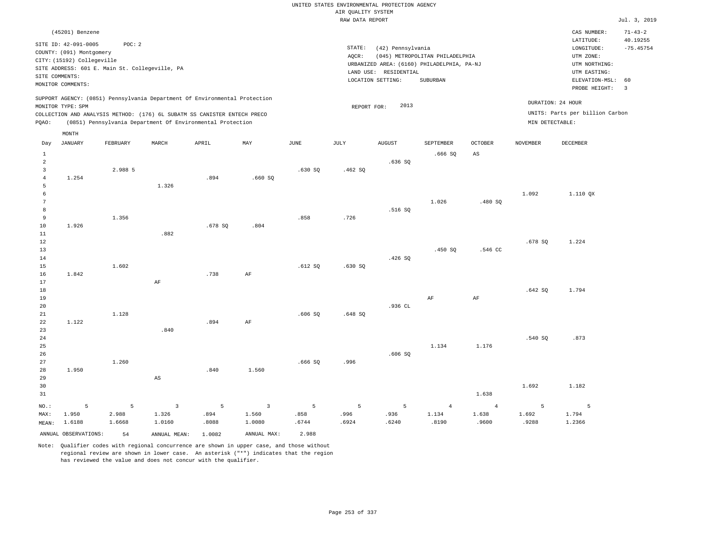|                                  |                            |          |                                                                            |        |                         |        |                     | UNITED STATES ENVIRONMENTAL PROTECTION AGENCY |                                            |                |                 |                                 |                               |
|----------------------------------|----------------------------|----------|----------------------------------------------------------------------------|--------|-------------------------|--------|---------------------|-----------------------------------------------|--------------------------------------------|----------------|-----------------|---------------------------------|-------------------------------|
|                                  |                            |          |                                                                            |        |                         |        | AIR QUALITY SYSTEM  |                                               |                                            |                |                 |                                 |                               |
|                                  |                            |          |                                                                            |        |                         |        | RAW DATA REPORT     |                                               |                                            |                |                 |                                 | Jul. 3, 2019                  |
|                                  | (45201) Benzene            |          |                                                                            |        |                         |        |                     |                                               |                                            |                |                 | CAS NUMBER:                     | $71 - 43 - 2$                 |
|                                  | SITE ID: 42-091-0005       | POC: 2   |                                                                            |        |                         |        | $\texttt{STATE}{}:$ | (42) Pennsylvania                             |                                            |                |                 | LATITUDE:<br>LONGITUDE:         | 40.19255<br>$-75.45754$       |
|                                  | COUNTY: (091) Montgomery   |          |                                                                            |        |                         |        | AQCR:               |                                               | (045) METROPOLITAN PHILADELPHIA            |                |                 | UTM ZONE:                       |                               |
|                                  | CITY: (15192) Collegeville |          |                                                                            |        |                         |        |                     |                                               | URBANIZED AREA: (6160) PHILADELPHIA, PA-NJ |                |                 | UTM NORTHING:                   |                               |
|                                  | SITE COMMENTS:             |          | SITE ADDRESS: 601 E. Main St. Collegeville, PA                             |        |                         |        |                     | LAND USE: RESIDENTIAL                         |                                            |                |                 | UTM EASTING:                    |                               |
|                                  | MONITOR COMMENTS:          |          |                                                                            |        |                         |        |                     | LOCATION SETTING:                             | SUBURBAN                                   |                |                 | ELEVATION-MSL:<br>PROBE HEIGHT: | 60<br>$\overline{\mathbf{3}}$ |
|                                  |                            |          | SUPPORT AGENCY: (0851) Pennsylvania Department Of Environmental Protection |        |                         |        |                     |                                               |                                            |                |                 |                                 |                               |
|                                  | MONITOR TYPE: SPM          |          |                                                                            |        |                         |        | REPORT FOR:         | 2013                                          |                                            |                |                 | DURATION: 24 HOUR               |                               |
|                                  |                            |          | COLLECTION AND ANALYSIS METHOD: (176) 6L SUBATM SS CANISTER ENTECH PRECO   |        |                         |        |                     |                                               |                                            |                |                 | UNITS: Parts per billion Carbon |                               |
| PQAO:                            |                            |          | (0851) Pennsylvania Department Of Environmental Protection                 |        |                         |        |                     |                                               |                                            |                | MIN DETECTABLE: |                                 |                               |
|                                  | MONTH                      |          |                                                                            |        |                         |        |                     |                                               |                                            |                |                 |                                 |                               |
| Day                              | <b>JANUARY</b>             | FEBRUARY | MARCH                                                                      | APRIL  | $\texttt{MAX}$          | JUNE   | $\mathtt{JULY}$     | <b>AUGUST</b>                                 | SEPTEMBER                                  | <b>OCTOBER</b> | <b>NOVEMBER</b> | DECEMBER                        |                               |
| $\mathbf{1}$                     |                            |          |                                                                            |        |                         |        |                     |                                               | .666SQ                                     | $_{\rm AS}$    |                 |                                 |                               |
| $\overline{a}$                   |                            |          |                                                                            |        |                         |        |                     | .636S                                         |                                            |                |                 |                                 |                               |
| $\overline{3}$<br>$\overline{4}$ | 1.254                      | 2.988 5  |                                                                            | .894   | .660SQ                  | .630SQ | .462S               |                                               |                                            |                |                 |                                 |                               |
| 5                                |                            |          | 1.326                                                                      |        |                         |        |                     |                                               |                                            |                |                 |                                 |                               |
| 6                                |                            |          |                                                                            |        |                         |        |                     |                                               |                                            |                | 1.092           | 1.110 QX                        |                               |
| 7                                |                            |          |                                                                            |        |                         |        |                     |                                               | 1.026                                      | .480SQ         |                 |                                 |                               |
| 8                                |                            |          |                                                                            |        |                         |        |                     | .516 SO                                       |                                            |                |                 |                                 |                               |
| $\overline{9}$                   |                            | 1.356    |                                                                            |        |                         | .858   | .726                |                                               |                                            |                |                 |                                 |                               |
| 10                               | 1.926                      |          |                                                                            | .678SQ | .804                    |        |                     |                                               |                                            |                |                 |                                 |                               |
| 11                               |                            |          | .882                                                                       |        |                         |        |                     |                                               |                                            |                |                 |                                 |                               |
| 12<br>13                         |                            |          |                                                                            |        |                         |        |                     |                                               | .450 SO                                    | .546 CC        | .678 SQ         | 1.224                           |                               |
| 14                               |                            |          |                                                                            |        |                         |        |                     | .426 SQ                                       |                                            |                |                 |                                 |                               |
| 15                               |                            | 1.602    |                                                                            |        |                         | .612S  | .630SQ              |                                               |                                            |                |                 |                                 |                               |
| 16                               | 1.842                      |          |                                                                            | .738   | AF                      |        |                     |                                               |                                            |                |                 |                                 |                               |
| 17                               |                            |          | AF                                                                         |        |                         |        |                     |                                               |                                            |                |                 |                                 |                               |
| 18                               |                            |          |                                                                            |        |                         |        |                     |                                               |                                            |                | .642SQ          | 1.794                           |                               |
| 19                               |                            |          |                                                                            |        |                         |        |                     |                                               | AF                                         | $\rm{AF}$      |                 |                                 |                               |
| 20<br>21                         |                            | 1.128    |                                                                            |        |                         | .606SQ |                     | .936 CL                                       |                                            |                |                 |                                 |                               |
| 22                               | 1.122                      |          |                                                                            | .894   | AF                      |        | .648 SQ             |                                               |                                            |                |                 |                                 |                               |
| 23                               |                            |          | .840                                                                       |        |                         |        |                     |                                               |                                            |                |                 |                                 |                               |
| $2\sqrt{4}$                      |                            |          |                                                                            |        |                         |        |                     |                                               |                                            |                | .540 SQ         | .873                            |                               |
| 25                               |                            |          |                                                                            |        |                         |        |                     |                                               | 1.134                                      | 1.176          |                 |                                 |                               |
| 26                               |                            |          |                                                                            |        |                         |        |                     | .606SQ                                        |                                            |                |                 |                                 |                               |
| 27                               |                            | 1.260    |                                                                            |        |                         | .666SQ | .996                |                                               |                                            |                |                 |                                 |                               |
| 28                               | 1.950                      |          |                                                                            | .840   | 1.560                   |        |                     |                                               |                                            |                |                 |                                 |                               |
| 29                               |                            |          | $\mathbb{A}\mathbb{S}$                                                     |        |                         |        |                     |                                               |                                            |                |                 |                                 |                               |
| 30                               |                            |          |                                                                            |        |                         |        |                     |                                               |                                            | 1.638          | 1.692           | 1.182                           |                               |
| 31                               |                            |          |                                                                            |        |                         |        |                     |                                               |                                            |                |                 |                                 |                               |
| NO.:                             | 5                          | 5        | $\overline{3}$                                                             | 5      | $\overline{\mathbf{3}}$ | 5      | 5                   | 5                                             | $\overline{4}$                             | $\overline{4}$ | 5               | $\overline{5}$                  |                               |
| MAX:                             | 1.950                      | 2.988    | 1.326                                                                      | .894   | 1.560                   | .858   | .996                | .936                                          | 1.134                                      | 1.638          | 1.692           | 1.794                           |                               |
| MEAN:                            | 1.6188                     | 1.6668   | 1.0160                                                                     | .8088  | 1.0080                  | .6744  | .6924               | .6240                                         | .8190                                      | .9600          | .9288           | 1.2366                          |                               |
|                                  | ANNUAL OBSERVATIONS:       | 54       | ANNUAL MEAN: 1.0082                                                        |        | ANNUAL MAX:             | 2.988  |                     |                                               |                                            |                |                 |                                 |                               |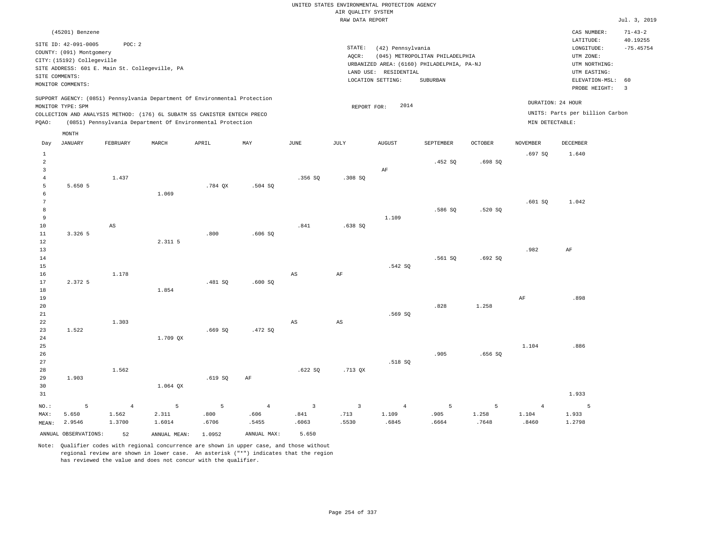|                                  |                                                |             |                                                                                                                                        |         |                |                        |                        | UNITED STATES ENVIRONMENTAL PROTECTION AGENCY |                                            |         |                 |                                 |                |
|----------------------------------|------------------------------------------------|-------------|----------------------------------------------------------------------------------------------------------------------------------------|---------|----------------|------------------------|------------------------|-----------------------------------------------|--------------------------------------------|---------|-----------------|---------------------------------|----------------|
|                                  |                                                |             |                                                                                                                                        |         |                |                        | AIR QUALITY SYSTEM     |                                               |                                            |         |                 |                                 |                |
|                                  |                                                |             |                                                                                                                                        |         |                |                        | RAW DATA REPORT        |                                               |                                            |         |                 |                                 | Jul. 3, 2019   |
|                                  | (45201) Benzene                                |             |                                                                                                                                        |         |                |                        |                        |                                               |                                            |         |                 | CAS NUMBER:                     | $71 - 43 - 2$  |
|                                  | SITE ID: 42-091-0005                           | POC: 2      |                                                                                                                                        |         |                |                        |                        |                                               |                                            |         |                 | LATITUDE:                       | 40.19255       |
|                                  | COUNTY: (091) Montgomery                       |             |                                                                                                                                        |         |                |                        | STATE:                 | (42) Pennsylvania                             |                                            |         |                 | LONGITUDE:                      | $-75.45754$    |
|                                  | CITY: (15192) Collegeville                     |             |                                                                                                                                        |         |                |                        | AQCR:                  |                                               | (045) METROPOLITAN PHILADELPHIA            |         |                 | UTM ZONE:<br>UTM NORTHING:      |                |
|                                  | SITE ADDRESS: 601 E. Main St. Collegeville, PA |             |                                                                                                                                        |         |                |                        |                        | LAND USE: RESIDENTIAL                         | URBANIZED AREA: (6160) PHILADELPHIA, PA-NJ |         |                 | UTM EASTING:                    |                |
| SITE COMMENTS:                   |                                                |             |                                                                                                                                        |         |                |                        |                        | LOCATION SETTING:                             | SUBURBAN                                   |         |                 | ELEVATION-MSL:                  | 60             |
|                                  | MONITOR COMMENTS:                              |             |                                                                                                                                        |         |                |                        |                        |                                               |                                            |         |                 | PROBE HEIGHT:                   | $\overline{3}$ |
|                                  | MONITOR TYPE: SPM                              |             | SUPPORT AGENCY: (0851) Pennsylvania Department Of Environmental Protection                                                             |         |                |                        | REPORT FOR:            | 2014                                          |                                            |         |                 | DURATION: 24 HOUR               |                |
| PQAO:                            |                                                |             | COLLECTION AND ANALYSIS METHOD: (176) 6L SUBATM SS CANISTER ENTECH PRECO<br>(0851) Pennsylvania Department Of Environmental Protection |         |                |                        |                        |                                               |                                            |         | MIN DETECTABLE: | UNITS: Parts per billion Carbon |                |
|                                  | MONTH                                          |             |                                                                                                                                        |         |                |                        |                        |                                               |                                            |         |                 |                                 |                |
| Day                              | <b>JANUARY</b>                                 | FEBRUARY    | MARCH                                                                                                                                  | APRIL   | MAY            | <b>JUNE</b>            | JULY                   | <b>AUGUST</b>                                 | SEPTEMBER                                  | OCTOBER | <b>NOVEMBER</b> | <b>DECEMBER</b>                 |                |
| $\mathbf{1}$                     |                                                |             |                                                                                                                                        |         |                |                        |                        |                                               |                                            |         | .697 SO         | 1.640                           |                |
| $\overline{a}$<br>$\overline{3}$ |                                                |             |                                                                                                                                        |         |                |                        |                        |                                               | .452 SQ                                    | .698SQ  |                 |                                 |                |
| $\overline{4}$                   |                                                | 1.437       |                                                                                                                                        |         |                | .356SQ                 | .308SQ                 | AF                                            |                                            |         |                 |                                 |                |
| 5                                | 5.650 5                                        |             |                                                                                                                                        | .784 OX | $.504$ SO      |                        |                        |                                               |                                            |         |                 |                                 |                |
| 6                                |                                                |             | 1.069                                                                                                                                  |         |                |                        |                        |                                               |                                            |         |                 |                                 |                |
| $\overline{7}$                   |                                                |             |                                                                                                                                        |         |                |                        |                        |                                               |                                            |         | .601SQ          | 1.042                           |                |
| 8                                |                                                |             |                                                                                                                                        |         |                |                        |                        |                                               | .586 SQ                                    | .520 SO |                 |                                 |                |
| 9                                |                                                |             |                                                                                                                                        |         |                |                        |                        | 1.109                                         |                                            |         |                 |                                 |                |
| $10$                             |                                                | $_{\rm AS}$ |                                                                                                                                        |         |                | .841                   | .638SQ                 |                                               |                                            |         |                 |                                 |                |
| 11                               | 3.326 5                                        |             |                                                                                                                                        | .800    | .606SQ         |                        |                        |                                               |                                            |         |                 |                                 |                |
| $1\,2$                           |                                                |             | 2.311 5                                                                                                                                |         |                |                        |                        |                                               |                                            |         |                 |                                 |                |
| 13<br>$14$                       |                                                |             |                                                                                                                                        |         |                |                        |                        |                                               | .561SQ                                     | .692SQ  | .982            | AF                              |                |
| 15                               |                                                |             |                                                                                                                                        |         |                |                        |                        | .542 SQ                                       |                                            |         |                 |                                 |                |
| 16                               |                                                | 1.178       |                                                                                                                                        |         |                | $\mathbb{A}\mathbb{S}$ | AF                     |                                               |                                            |         |                 |                                 |                |
| 17                               | 2.372 5                                        |             |                                                                                                                                        | .481SQ  | .600 SQ        |                        |                        |                                               |                                            |         |                 |                                 |                |
| $1\,8$                           |                                                |             | 1.854                                                                                                                                  |         |                |                        |                        |                                               |                                            |         |                 |                                 |                |
| 19                               |                                                |             |                                                                                                                                        |         |                |                        |                        |                                               |                                            |         | AF              | .898                            |                |
| 20                               |                                                |             |                                                                                                                                        |         |                |                        |                        |                                               | .828                                       | 1.258   |                 |                                 |                |
| 21                               |                                                |             |                                                                                                                                        |         |                |                        |                        | .569 SO                                       |                                            |         |                 |                                 |                |
| 22                               |                                                | 1.303       |                                                                                                                                        |         |                | $\mathbb{A}\mathbb{S}$ | $\mathbb{A}\mathbb{S}$ |                                               |                                            |         |                 |                                 |                |
| 23                               | 1.522                                          |             |                                                                                                                                        | .669SQ  | .472 SQ        |                        |                        |                                               |                                            |         |                 |                                 |                |
| 24<br>25                         |                                                |             | 1.709 QX                                                                                                                               |         |                |                        |                        |                                               |                                            |         | 1.104           | .886                            |                |
| 26                               |                                                |             |                                                                                                                                        |         |                |                        |                        |                                               | .905                                       | .656SQ  |                 |                                 |                |
| 27                               |                                                |             |                                                                                                                                        |         |                |                        |                        | .518 SO                                       |                                            |         |                 |                                 |                |
| 28                               |                                                | 1.562       |                                                                                                                                        |         |                | .622SQ                 | .713 QX                |                                               |                                            |         |                 |                                 |                |
| 29                               | 1.903                                          |             |                                                                                                                                        | .619 SO | AF             |                        |                        |                                               |                                            |         |                 |                                 |                |
| 30                               |                                                |             | 1.064 QX                                                                                                                               |         |                |                        |                        |                                               |                                            |         |                 |                                 |                |
| 31                               |                                                |             |                                                                                                                                        |         |                |                        |                        |                                               |                                            |         |                 | 1.933                           |                |
| NO.:                             | 5                                              | $\sqrt{4}$  | $\overline{5}$                                                                                                                         | 5       | $\overline{4}$ | $\overline{3}$         | $\overline{3}$         | $\overline{4}$                                | 5                                          | 5       | $\overline{4}$  | 5                               |                |
| MAX:                             | 5.650                                          | 1.562       | 2.311                                                                                                                                  | .800    | .606           | .841                   | .713                   | 1.109                                         | .905                                       | 1.258   | 1.104           | 1.933                           |                |
| MEAN:                            | 2.9546                                         | 1.3700      | 1.6014                                                                                                                                 | .6706   | .5455          | .6063                  | .5530                  | .6845                                         | .6664                                      | .7648   | .8460           | 1.2798                          |                |
|                                  | ANNUAL OBSERVATIONS:                           | 52          | ANNUAL MEAN: 1.0952                                                                                                                    |         | ANNUAL MAX:    | 5.650                  |                        |                                               |                                            |         |                 |                                 |                |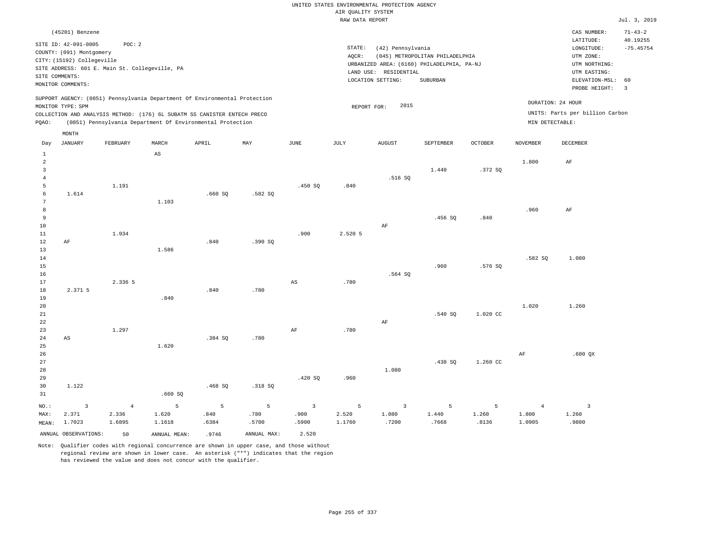|                         |                                                |            |                                                                            |                 |                |                |                    | UNITED STATES ENVIRONMENTAL PROTECTION AGENCY                       |                                 |                |                 |                                 |                         |
|-------------------------|------------------------------------------------|------------|----------------------------------------------------------------------------|-----------------|----------------|----------------|--------------------|---------------------------------------------------------------------|---------------------------------|----------------|-----------------|---------------------------------|-------------------------|
|                         |                                                |            |                                                                            |                 |                |                | AIR QUALITY SYSTEM |                                                                     |                                 |                |                 |                                 |                         |
|                         |                                                |            |                                                                            |                 |                |                | RAW DATA REPORT    |                                                                     |                                 |                |                 |                                 | Jul. 3, 2019            |
|                         | (45201) Benzene                                |            |                                                                            |                 |                |                |                    |                                                                     |                                 |                |                 | CAS NUMBER:                     | $71 - 43 - 2$           |
|                         | SITE ID: 42-091-0005                           | POC: 2     |                                                                            |                 |                |                |                    |                                                                     |                                 |                |                 | LATITUDE:                       | 40.19255                |
|                         | COUNTY: (091) Montgomery                       |            |                                                                            |                 |                |                | STATE:             | (42) Pennsylvania                                                   |                                 |                |                 | $\texttt{LONGITUDE}$ :          | $-75.45754$             |
|                         | CITY: (15192) Collegeville                     |            |                                                                            |                 |                |                | AOCR:              |                                                                     | (045) METROPOLITAN PHILADELPHIA |                |                 | UTM ZONE:                       |                         |
|                         | SITE ADDRESS: 601 E. Main St. Collegeville, PA |            |                                                                            |                 |                |                |                    | URBANIZED AREA: (6160) PHILADELPHIA, PA-NJ<br>LAND USE: RESIDENTIAL |                                 |                |                 | UTM NORTHING:<br>UTM EASTING:   |                         |
| SITE COMMENTS:          |                                                |            |                                                                            |                 |                |                |                    | LOCATION SETTING:                                                   | SUBURBAN                        |                |                 | ELEVATION-MSL:                  | 60                      |
|                         | MONITOR COMMENTS:                              |            |                                                                            |                 |                |                |                    |                                                                     |                                 |                |                 | PROBE HEIGHT:                   | $\overline{\mathbf{3}}$ |
|                         |                                                |            | SUPPORT AGENCY: (0851) Pennsylvania Department Of Environmental Protection |                 |                |                |                    |                                                                     |                                 |                |                 |                                 |                         |
|                         | MONITOR TYPE: SPM                              |            |                                                                            |                 |                |                | REPORT FOR:        | 2015                                                                |                                 |                |                 | DURATION: 24 HOUR               |                         |
|                         |                                                |            | COLLECTION AND ANALYSIS METHOD: (176) 6L SUBATM SS CANISTER ENTECH PRECO   |                 |                |                |                    |                                                                     |                                 |                |                 | UNITS: Parts per billion Carbon |                         |
| PQAO:                   |                                                |            | (0851) Pennsylvania Department Of Environmental Protection                 |                 |                |                |                    |                                                                     |                                 |                | MIN DETECTABLE: |                                 |                         |
|                         | MONTH                                          |            |                                                                            |                 |                |                |                    |                                                                     |                                 |                |                 |                                 |                         |
| Day                     | <b>JANUARY</b>                                 | FEBRUARY   | MARCH                                                                      | APRIL           | MAY            | <b>JUNE</b>    | JULY               | <b>AUGUST</b>                                                       | SEPTEMBER                       | <b>OCTOBER</b> | <b>NOVEMBER</b> | DECEMBER                        |                         |
| $1\,$                   |                                                |            | $\mathbb{A}\mathbb{S}$                                                     |                 |                |                |                    |                                                                     |                                 |                |                 |                                 |                         |
| 2                       |                                                |            |                                                                            |                 |                |                |                    |                                                                     |                                 |                | 1,800           | $\rm{AF}$                       |                         |
| $\overline{\mathbf{3}}$ |                                                |            |                                                                            |                 |                |                |                    |                                                                     | 1.440                           | .372S          |                 |                                 |                         |
| $\overline{4}$          |                                                |            |                                                                            |                 |                |                |                    | .516SQ                                                              |                                 |                |                 |                                 |                         |
| 5<br>6                  |                                                | 1.191      |                                                                            |                 |                | .450 SQ        | .840               |                                                                     |                                 |                |                 |                                 |                         |
| 7                       | 1.614                                          |            | 1.103                                                                      | .660SQ          | .582S          |                |                    |                                                                     |                                 |                |                 |                                 |                         |
| $^{\rm 8}$              |                                                |            |                                                                            |                 |                |                |                    |                                                                     |                                 |                | .960            | $\rm AF$                        |                         |
| 9                       |                                                |            |                                                                            |                 |                |                |                    |                                                                     | .456 SO                         | .840           |                 |                                 |                         |
| $10$                    |                                                |            |                                                                            |                 |                |                |                    | $\rm AF$                                                            |                                 |                |                 |                                 |                         |
| 11                      |                                                | 1.934      |                                                                            |                 |                | .900           | 2.520 5            |                                                                     |                                 |                |                 |                                 |                         |
| 12                      | $\rm{AF}$                                      |            |                                                                            | .840            | .390 SO        |                |                    |                                                                     |                                 |                |                 |                                 |                         |
| 13                      |                                                |            | 1.586                                                                      |                 |                |                |                    |                                                                     |                                 |                |                 |                                 |                         |
| 14                      |                                                |            |                                                                            |                 |                |                |                    |                                                                     |                                 |                | .582 SO         | 1.080                           |                         |
| 15                      |                                                |            |                                                                            |                 |                |                |                    |                                                                     | .960                            | .576 SQ        |                 |                                 |                         |
| 16<br>17                |                                                | 2.336 5    |                                                                            |                 |                | AS             | .780               | .564 SQ                                                             |                                 |                |                 |                                 |                         |
| 18                      | 2.371 5                                        |            |                                                                            | .840            | .780           |                |                    |                                                                     |                                 |                |                 |                                 |                         |
| 19                      |                                                |            | .840                                                                       |                 |                |                |                    |                                                                     |                                 |                |                 |                                 |                         |
| 20                      |                                                |            |                                                                            |                 |                |                |                    |                                                                     |                                 |                | 1.020           | 1.260                           |                         |
| $21\,$                  |                                                |            |                                                                            |                 |                |                |                    |                                                                     | .540 SQ                         | 1.020 CC       |                 |                                 |                         |
| 22                      |                                                |            |                                                                            |                 |                |                |                    | AF                                                                  |                                 |                |                 |                                 |                         |
| 23                      |                                                | 1.297      |                                                                            |                 |                | $\rm{AF}$      | .780               |                                                                     |                                 |                |                 |                                 |                         |
| 24                      | AS                                             |            |                                                                            | .384 SO         | .780           |                |                    |                                                                     |                                 |                |                 |                                 |                         |
| 25<br>26                |                                                |            | 1.620                                                                      |                 |                |                |                    |                                                                     |                                 |                |                 |                                 |                         |
| 27                      |                                                |            |                                                                            |                 |                |                |                    |                                                                     | .438 SO                         | 1.260 CC       | $\rm AF$        | $.600$ QX                       |                         |
| 28                      |                                                |            |                                                                            |                 |                |                |                    | 1.080                                                               |                                 |                |                 |                                 |                         |
| 29                      |                                                |            |                                                                            |                 |                | .420 SQ        | .960               |                                                                     |                                 |                |                 |                                 |                         |
| 30                      | 1.122                                          |            |                                                                            | .468SQ          | .318 SQ        |                |                    |                                                                     |                                 |                |                 |                                 |                         |
| 31                      |                                                |            | .660SQ                                                                     |                 |                |                |                    |                                                                     |                                 |                |                 |                                 |                         |
| NO.:                    | $\overline{\mathbf{3}}$                        | $\sqrt{4}$ | $\overline{5}$                                                             | $5\phantom{.0}$ | $\overline{5}$ | $\overline{3}$ | 5                  | $\mathbf{3}$                                                        | 5                               | 5              | $\overline{4}$  | $\overline{\mathbf{3}}$         |                         |
| MAX:                    | 2.371                                          | 2.336      | 1.620                                                                      | .840            | .780           | .900           | 2.520              | 1.080                                                               | 1.440                           | 1.260          | 1.800           | 1.260                           |                         |
| MEAN:                   | 1.7023                                         | 1.6895     | 1.1618                                                                     | .6384           | .5700          | .5900          | 1.1760             | .7200                                                               | .7668                           | .8136          | 1.0905          | .9800                           |                         |
|                         | ANNUAL OBSERVATIONS:                           | 50         | ANNUAL MEAN:                                                               | .9746           | ANNUAL MAX:    | 2.520          |                    |                                                                     |                                 |                |                 |                                 |                         |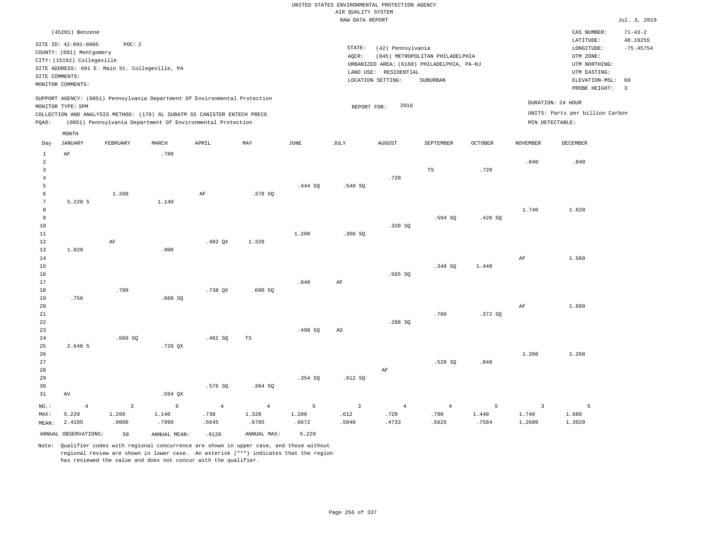# UNITED STATES ENVIRONMENTAL PROTECTION AGENCY AIR QUALITY SYSTEM

|                      |                                                  |                |                                                                                                                                        |                |                |         | RAW DATA REPORT     |                       |                                            |                |                 |                                 | Jul. 3, 2019   |
|----------------------|--------------------------------------------------|----------------|----------------------------------------------------------------------------------------------------------------------------------------|----------------|----------------|---------|---------------------|-----------------------|--------------------------------------------|----------------|-----------------|---------------------------------|----------------|
|                      | (45201) Benzene                                  |                |                                                                                                                                        |                |                |         |                     |                       |                                            |                |                 | CAS NUMBER:                     | $71 - 43 - 2$  |
|                      |                                                  |                |                                                                                                                                        |                |                |         |                     |                       |                                            |                |                 | LATITUDE:                       | 40.19255       |
|                      | SITE ID: 42-091-0005<br>COUNTY: (091) Montgomery | POC: 2         |                                                                                                                                        |                |                |         | $\texttt{STATE}{}:$ | (42) Pennsylvania     |                                            |                |                 | LONGITUDE:                      | $-75.45754$    |
|                      | CITY: (15192) Collegeville                       |                |                                                                                                                                        |                |                |         | AQCR:               |                       | (045) METROPOLITAN PHILADELPHIA            |                |                 | UTM ZONE:                       |                |
|                      | SITE ADDRESS: 601 E. Main St. Collegeville, PA   |                |                                                                                                                                        |                |                |         |                     |                       | URBANIZED AREA: (6160) PHILADELPHIA, PA-NJ |                |                 | UTM NORTHING:                   |                |
|                      | SITE COMMENTS:                                   |                |                                                                                                                                        |                |                |         |                     | LAND USE: RESIDENTIAL |                                            |                |                 | UTM EASTING:                    |                |
|                      | MONITOR COMMENTS:                                |                |                                                                                                                                        |                |                |         |                     | LOCATION SETTING:     | SUBURBAN                                   |                |                 | ELEVATION-MSL: 60               |                |
|                      |                                                  |                |                                                                                                                                        |                |                |         |                     |                       |                                            |                |                 | PROBE HEIGHT:                   | $\overline{3}$ |
|                      |                                                  |                | SUPPORT AGENCY: (0851) Pennsylvania Department Of Environmental Protection                                                             |                |                |         |                     |                       |                                            |                |                 | DURATION: 24 HOUR               |                |
|                      | MONITOR TYPE: SPM                                |                |                                                                                                                                        |                |                |         | REPORT FOR:         | 2016                  |                                            |                |                 | UNITS: Parts per billion Carbon |                |
| PQAO:                |                                                  |                | COLLECTION AND ANALYSIS METHOD: (176) 6L SUBATM SS CANISTER ENTECH PRECO<br>(0851) Pennsylvania Department Of Environmental Protection |                |                |         |                     |                       |                                            |                |                 | MIN DETECTABLE:                 |                |
|                      |                                                  |                |                                                                                                                                        |                |                |         |                     |                       |                                            |                |                 |                                 |                |
|                      | $\texttt{MONTH}$                                 |                |                                                                                                                                        |                |                |         |                     |                       |                                            |                |                 |                                 |                |
| Day                  | JANUARY                                          | FEBRUARY       | MARCH                                                                                                                                  | APRIL          | MAY            | JUNE    | JULY                | <b>AUGUST</b>         | SEPTEMBER                                  | <b>OCTOBER</b> | <b>NOVEMBER</b> | DECEMBER                        |                |
| $\mathbf{1}$         | $\rm AF$                                         |                | .780                                                                                                                                   |                |                |         |                     |                       |                                            |                |                 |                                 |                |
| $\overline{a}$       |                                                  |                |                                                                                                                                        |                |                |         |                     |                       |                                            |                | .840            | .840                            |                |
| 3                    |                                                  |                |                                                                                                                                        |                |                |         |                     |                       | TS                                         | .720           |                 |                                 |                |
| $\overline{4}$       |                                                  |                |                                                                                                                                        |                |                |         |                     | .720                  |                                            |                |                 |                                 |                |
| 5                    |                                                  |                |                                                                                                                                        |                |                | .444 SQ | .540 SQ             |                       |                                            |                |                 |                                 |                |
| 6<br>$7\phantom{.0}$ |                                                  | 1.260          |                                                                                                                                        | $\rm{AF}$      | .378 SQ        |         |                     |                       |                                            |                |                 |                                 |                |
| 8                    | 5.220 5                                          |                | 1.140                                                                                                                                  |                |                |         |                     |                       |                                            |                | 1.740           | 1.620                           |                |
| 9                    |                                                  |                |                                                                                                                                        |                |                |         |                     |                       | .594 SQ                                    | .420 SQ        |                 |                                 |                |
| 10                   |                                                  |                |                                                                                                                                        |                |                |         |                     | .320S                 |                                            |                |                 |                                 |                |
| 11                   |                                                  |                |                                                                                                                                        |                |                | 1.200   | .360SQ              |                       |                                            |                |                 |                                 |                |
| 12                   |                                                  | $\rm AF$       |                                                                                                                                        | $.482$ QX      | 1.320          |         |                     |                       |                                            |                |                 |                                 |                |
| 13                   | 1.020                                            |                | .900                                                                                                                                   |                |                |         |                     |                       |                                            |                |                 |                                 |                |
| 14                   |                                                  |                |                                                                                                                                        |                |                |         |                     |                       |                                            |                | AF              | 1.560                           |                |
| 15                   |                                                  |                |                                                                                                                                        |                |                |         |                     |                       | .348 SQ                                    | 1.440          |                 |                                 |                |
| 16                   |                                                  |                |                                                                                                                                        |                |                |         |                     | .565 SO               |                                            |                |                 |                                 |                |
| 17                   |                                                  |                |                                                                                                                                        |                |                | .840    | AF                  |                       |                                            |                |                 |                                 |                |
| 18<br>19             | .756                                             | .780           | .660SQ                                                                                                                                 | .738 QX        | .600 SQ        |         |                     |                       |                                            |                |                 |                                 |                |
| 20                   |                                                  |                |                                                                                                                                        |                |                |         |                     |                       |                                            |                | AF              | 1.680                           |                |
| 21                   |                                                  |                |                                                                                                                                        |                |                |         |                     |                       | .780                                       | .372S          |                 |                                 |                |
| 22                   |                                                  |                |                                                                                                                                        |                |                |         |                     | .288 SO               |                                            |                |                 |                                 |                |
| 23                   |                                                  |                |                                                                                                                                        |                |                | .498 SQ | AS                  |                       |                                            |                |                 |                                 |                |
| 24                   |                                                  | .660SQ         |                                                                                                                                        | .462SQ         | TS             |         |                     |                       |                                            |                |                 |                                 |                |
| 25                   | 2.646 5                                          |                | $.720$ QX                                                                                                                              |                |                |         |                     |                       |                                            |                |                 |                                 |                |
| 26                   |                                                  |                |                                                                                                                                        |                |                |         |                     |                       |                                            |                | 1.200           | 1.260                           |                |
| 27                   |                                                  |                |                                                                                                                                        |                |                |         |                     |                       | .528S                                      | .840           |                 |                                 |                |
| 28                   |                                                  |                |                                                                                                                                        |                |                |         |                     | AF                    |                                            |                |                 |                                 |                |
| 29                   |                                                  |                |                                                                                                                                        |                |                | .354 SQ | .612S               |                       |                                            |                |                 |                                 |                |
| 30                   |                                                  |                |                                                                                                                                        | .576 SQ        | .384SQ         |         |                     |                       |                                            |                |                 |                                 |                |
| 31                   | AV                                               |                | $.594$ QX                                                                                                                              |                |                |         |                     |                       |                                            |                |                 |                                 |                |
| NO.:                 | $\overline{4}$                                   | $\overline{3}$ | 6                                                                                                                                      | $\overline{4}$ | $\overline{4}$ | 5       | $\overline{3}$      | $\overline{4}$        | $\overline{4}$                             | 5              | $\overline{3}$  | 5                               |                |
| MAX:                 | 5.220                                            | 1.260          | 1.140                                                                                                                                  | .738           | 1.320          | 1.200   | .612                | .720                  | .780                                       | 1.440          | 1.740           | 1.680                           |                |
| MEAN:                | 2.4105                                           | .9000          | .7990                                                                                                                                  | .5645          | .6705          | .6672   | .5040               | .4733                 | .5625                                      | .7584          | 1.2600          | 1.3920                          |                |
|                      | ANNUAL OBSERVATIONS:                             | 50             | ANNUAL MEAN:                                                                                                                           | .9120          | ANNUAL MAX:    | 5.220   |                     |                       |                                            |                |                 |                                 |                |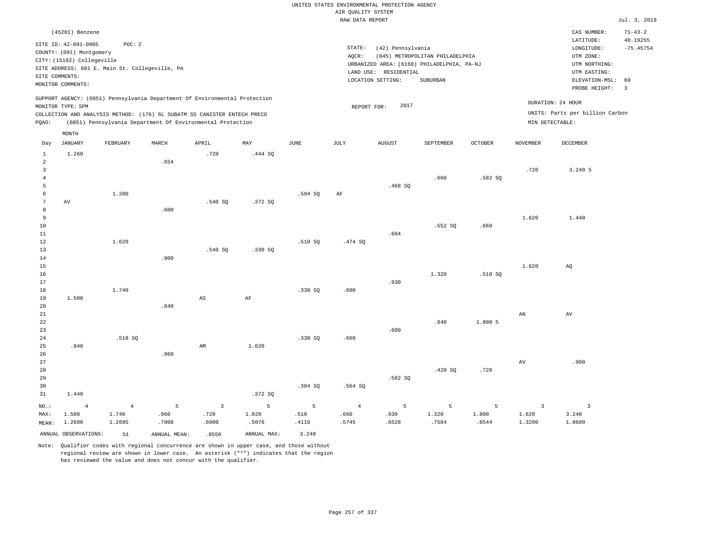|                                                                    |                                                                                                                                  |                                   |                    |                                                                                                                                                                                                                      |                     |                    | AIR OUALITY SYSTEM              | UNITED STATES ENVIRONMENTAL PROTECTION AGENCY                   |                                 |                     |                                            |                                                      |                           |
|--------------------------------------------------------------------|----------------------------------------------------------------------------------------------------------------------------------|-----------------------------------|--------------------|----------------------------------------------------------------------------------------------------------------------------------------------------------------------------------------------------------------------|---------------------|--------------------|---------------------------------|-----------------------------------------------------------------|---------------------------------|---------------------|--------------------------------------------|------------------------------------------------------|---------------------------|
|                                                                    |                                                                                                                                  |                                   |                    |                                                                                                                                                                                                                      |                     |                    | RAW DATA REPORT                 |                                                                 |                                 |                     |                                            |                                                      | Jul. 3, 2019              |
|                                                                    | (45201) Benzene                                                                                                                  |                                   |                    |                                                                                                                                                                                                                      |                     |                    |                                 |                                                                 |                                 |                     |                                            | CAS NUMBER:<br>LATITUDE:                             | $71 - 43 - 2$<br>40.19255 |
|                                                                    | SITE ID: 42-091-0005<br>COUNTY: (091) Montgomery<br>CITY: (15192) Collegeville<br>SITE ADDRESS: 601 E. Main St. Collegeville, PA | POC: 2                            |                    |                                                                                                                                                                                                                      |                     |                    | STATE:<br>AQCR:                 | (42) Pennsylvania<br>URBANIZED AREA: (6160) PHILADELPHIA, PA-NJ | (045) METROPOLITAN PHILADELPHIA |                     |                                            | LONGITUDE:<br>UTM ZONE:<br>UTM NORTHING:             | $-75.45754$               |
| SITE COMMENTS:                                                     | MONITOR COMMENTS:                                                                                                                |                                   |                    |                                                                                                                                                                                                                      |                     |                    |                                 | LAND USE: RESIDENTIAL<br>LOCATION SETTING:                      | SUBURBAN                        |                     |                                            | UTM EASTING:<br>ELEVATION-MSL:<br>PROBE HEIGHT:      | 60<br>$\overline{3}$      |
| PQAO:                                                              | MONITOR TYPE: SPM                                                                                                                |                                   |                    | SUPPORT AGENCY: (0851) Pennsylvania Department Of Environmental Protection<br>COLLECTION AND ANALYSIS METHOD: (176) 6L SUBATM SS CANISTER ENTECH PRECO<br>(0851) Pennsylvania Department Of Environmental Protection |                     |                    | REPORT FOR:                     | 2017                                                            |                                 |                     | MIN DETECTABLE:                            | DURATION: 24 HOUR<br>UNITS: Parts per billion Carbon |                           |
| Day                                                                | MONTH<br><b>JANUARY</b>                                                                                                          | <b>FEBRUARY</b>                   | MARCH              | APRIL                                                                                                                                                                                                                | MAY                 | <b>JUNE</b>        | JULY                            | <b>AUGUST</b>                                                   | SEPTEMBER                       | <b>OCTOBER</b>      | <b>NOVEMBER</b>                            | DECEMBER                                             |                           |
| $\mathbf{1}$<br>$\overline{a}$<br>$\overline{3}$<br>$\overline{4}$ | 1.260                                                                                                                            |                                   | .654               | .720                                                                                                                                                                                                                 | .444 SQ             |                    |                                 |                                                                 | .660                            | .582S               | .720                                       | 3.240 5                                              |                           |
| 5<br>6<br>7<br>8                                                   | AV                                                                                                                               | 1.200                             | .600               | .540 SO                                                                                                                                                                                                              | .372 SQ             | .504 SQ            | AF                              | .468 SO                                                         |                                 |                     |                                            |                                                      |                           |
| 9<br>$10$<br>11<br>12                                              |                                                                                                                                  | 1.620                             |                    |                                                                                                                                                                                                                      |                     | .510 SO            | .474 SQ                         | .684                                                            | .552 SQ                         | .660                | 1.620                                      | 1.440                                                |                           |
| 13<br>$14$<br>15<br>16                                             |                                                                                                                                  |                                   | .900               | .540 SQ                                                                                                                                                                                                              | .330 SQ             |                    |                                 |                                                                 | 1.320                           | .510 SO             | 1.620                                      | AQ                                                   |                           |
| 17<br>18<br>19<br>20                                               | 1.500                                                                                                                            | 1.740                             | .840               | $\mathbb{A}\mathbb{S}$                                                                                                                                                                                               | AF                  | .330S              | .600                            | .930                                                            |                                 |                     |                                            |                                                      |                           |
| 21<br>22<br>23<br>$2\,4$                                           |                                                                                                                                  | .518 SQ                           |                    |                                                                                                                                                                                                                      |                     | .330 SQ            | .660                            | .600                                                            | .840                            | 1.800 5             | $\mathbf{A}\mathbf{N}$                     | $\operatorname{AV}$                                  |                           |
| 25<br>26<br>27<br>28                                               | .840                                                                                                                             |                                   | .960               | AM                                                                                                                                                                                                                   | 1.020               |                    |                                 |                                                                 | .420 SO                         | .720                | $\hbox{AV}$                                | .900                                                 |                           |
| 29<br>30<br>31                                                     | 1.440                                                                                                                            |                                   |                    |                                                                                                                                                                                                                      | .372 SQ             | .384 SO            | .564 SQ                         | .582 SQ                                                         |                                 |                     |                                            |                                                      |                           |
| NO.:<br>MAX:<br>MEAN:                                              | $\overline{4}$<br>1.500<br>1.2600                                                                                                | $\overline{4}$<br>1.740<br>1.2695 | 5<br>.960<br>.7908 | $\overline{3}$<br>.720<br>.6000                                                                                                                                                                                      | 5<br>1.020<br>.5076 | 5<br>.510<br>.4116 | $\overline{4}$<br>.660<br>.5745 | 5<br>.930<br>.6528                                              | 5<br>1.320<br>.7584             | 5<br>1.800<br>.8544 | $\overline{\mathbf{3}}$<br>1.620<br>1.3200 | $\overline{\mathbf{3}}$<br>3.240<br>1.8600           |                           |
|                                                                    | ANNUAL OBSERVATIONS:                                                                                                             | 51                                | ANNUAL, MEAN:      | 8556                                                                                                                                                                                                                 | ANNUAL MAX:         | 3.240              |                                 |                                                                 |                                 |                     |                                            |                                                      |                           |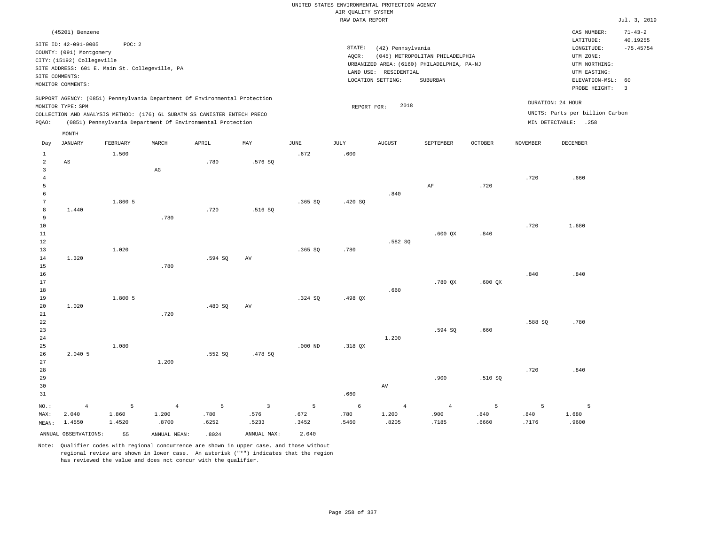|                                                  |                                                                                                                                                 |                      |                                  |                                                                                                                                                                                                                      |                                 |                    |                                       | UNITED STATES ENVIRONMENTAL PROTECTION AGENCY                   |                                                                                                  |                    |                    |                                                                                             |                                     |
|--------------------------------------------------|-------------------------------------------------------------------------------------------------------------------------------------------------|----------------------|----------------------------------|----------------------------------------------------------------------------------------------------------------------------------------------------------------------------------------------------------------------|---------------------------------|--------------------|---------------------------------------|-----------------------------------------------------------------|--------------------------------------------------------------------------------------------------|--------------------|--------------------|---------------------------------------------------------------------------------------------|-------------------------------------|
|                                                  |                                                                                                                                                 |                      |                                  |                                                                                                                                                                                                                      |                                 |                    | AIR QUALITY SYSTEM<br>RAW DATA REPORT |                                                                 |                                                                                                  |                    |                    |                                                                                             | Jul. 3, 2019                        |
|                                                  | (45201) Benzene<br>SITE ID: 42-091-0005                                                                                                         | POC: 2               |                                  |                                                                                                                                                                                                                      |                                 |                    |                                       |                                                                 |                                                                                                  |                    |                    | CAS NUMBER:<br>LATITUDE:                                                                    | $71 - 43 - 2$<br>40.19255           |
|                                                  | COUNTY: (091) Montgomery<br>CITY: (15192) Collegeville<br>SITE ADDRESS: 601 E. Main St. Collegeville, PA<br>SITE COMMENTS:<br>MONITOR COMMENTS: |                      |                                  |                                                                                                                                                                                                                      |                                 |                    | STATE:<br>AQCR:                       | (42) Pennsylvania<br>LAND USE: RESIDENTIAL<br>LOCATION SETTING: | (045) METROPOLITAN PHILADELPHIA<br>URBANIZED AREA: (6160) PHILADELPHIA, PA-NJ<br><b>SUBURBAN</b> |                    |                    | LONGITUDE:<br>UTM ZONE:<br>UTM NORTHING:<br>UTM EASTING:<br>ELEVATION-MSL:<br>PROBE HEIGHT: | $-75.45754$<br>60<br>$\overline{3}$ |
| PQAO:                                            | MONITOR TYPE: SPM                                                                                                                               |                      |                                  | SUPPORT AGENCY: (0851) Pennsylvania Department Of Environmental Protection<br>COLLECTION AND ANALYSIS METHOD: (176) 6L SUBATM SS CANISTER ENTECH PRECO<br>(0851) Pennsylvania Department Of Environmental Protection |                                 |                    | REPORT FOR:                           | 2018                                                            |                                                                                                  |                    |                    | DURATION: 24 HOUR<br>UNITS: Parts per billion Carbon<br>MIN DETECTABLE: .258                |                                     |
|                                                  | MONTH                                                                                                                                           |                      |                                  |                                                                                                                                                                                                                      |                                 |                    |                                       |                                                                 |                                                                                                  |                    |                    |                                                                                             |                                     |
| Day                                              | <b>JANUARY</b>                                                                                                                                  | FEBRUARY             | MARCH                            | APRIL                                                                                                                                                                                                                | MAY                             | <b>JUNE</b>        | <b>JULY</b>                           | AUGUST                                                          | <b>SEPTEMBER</b>                                                                                 | <b>OCTOBER</b>     | <b>NOVEMBER</b>    | <b>DECEMBER</b>                                                                             |                                     |
| $\mathbf{1}$<br>$\overline{a}$<br>$\overline{3}$ | AS                                                                                                                                              | 1.500                | $_{\rm AG}$                      | .780                                                                                                                                                                                                                 | .576 SQ                         | .672               | .600                                  |                                                                 |                                                                                                  |                    |                    |                                                                                             |                                     |
| $\overline{4}$<br>5<br>6                         |                                                                                                                                                 |                      |                                  |                                                                                                                                                                                                                      |                                 |                    |                                       | .840                                                            | $\rm AF$                                                                                         | .720               | .720               | .660                                                                                        |                                     |
| 7<br>8<br>9                                      | 1.440                                                                                                                                           | 1.860 5              | .780                             | .720                                                                                                                                                                                                                 | .516S                           | .365 SQ            | .420 SQ                               |                                                                 |                                                                                                  |                    |                    |                                                                                             |                                     |
| $10$<br>$1\,1$<br>$1\,2$                         |                                                                                                                                                 |                      |                                  |                                                                                                                                                                                                                      |                                 |                    |                                       | .582 SQ                                                         | $.600$ $OX$                                                                                      | .840               | .720               | 1.680                                                                                       |                                     |
| 13<br>14<br>15                                   | 1.320                                                                                                                                           | 1.020                | .780                             | .594 SQ                                                                                                                                                                                                              | AV                              | .365 SQ            | .780                                  |                                                                 |                                                                                                  |                    |                    |                                                                                             |                                     |
| 16<br>17<br>18                                   |                                                                                                                                                 |                      |                                  |                                                                                                                                                                                                                      |                                 |                    |                                       | .660                                                            | $.780$ QX                                                                                        | $.600$ QX          | .840               | .840                                                                                        |                                     |
| 19<br>20<br>21<br>22                             | 1.020                                                                                                                                           | 1.800 5              | .720                             | .480 SQ                                                                                                                                                                                                              | AV                              | .324 SQ            | .498 QX                               |                                                                 |                                                                                                  |                    | .588 SQ            | .780                                                                                        |                                     |
| 23<br>24<br>25                                   |                                                                                                                                                 | 1.080                |                                  |                                                                                                                                                                                                                      |                                 | $.000$ ND          | .318 QX                               | 1.200                                                           | .594 SQ                                                                                          | .660               |                    |                                                                                             |                                     |
| 26<br>27<br>28                                   | 2.040 5                                                                                                                                         |                      | 1.200                            | .552 SQ                                                                                                                                                                                                              | .478 SQ                         |                    |                                       |                                                                 |                                                                                                  |                    | .720               | .840                                                                                        |                                     |
| 29<br>30<br>31                                   |                                                                                                                                                 |                      |                                  |                                                                                                                                                                                                                      |                                 |                    | .660                                  | AV                                                              | .900                                                                                             | .510S              |                    |                                                                                             |                                     |
| NO.:<br>MAX:<br>MEAN:                            | $\overline{4}$<br>2.040<br>1.4550                                                                                                               | 5<br>1.860<br>1.4520 | $\overline{4}$<br>1.200<br>.8700 | 5<br>.780<br>.6252                                                                                                                                                                                                   | $\overline{3}$<br>.576<br>.5233 | 5<br>.672<br>.3452 | 6<br>.780<br>.5460                    | $\overline{4}$<br>1.200<br>.8205                                | $\overline{4}$<br>.900<br>.7185                                                                  | 5<br>.840<br>.6660 | 5<br>.840<br>.7176 | 5<br>1.680<br>.9600                                                                         |                                     |
|                                                  | ANNUAL OBSERVATIONS:                                                                                                                            | 55                   | ANNUAL MEAN:                     | .8024                                                                                                                                                                                                                | ANNUAL MAX:                     | 2.040              |                                       |                                                                 |                                                                                                  |                    |                    |                                                                                             |                                     |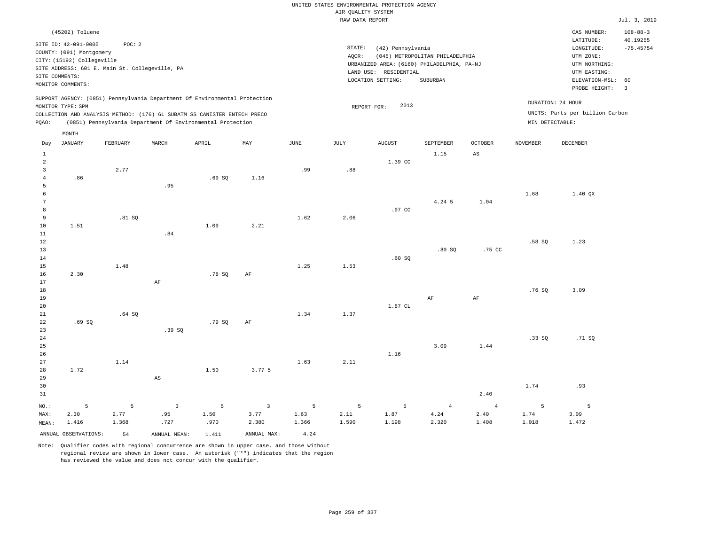| (45202) Toluene                                                                                                                                                                                                                                    |                                                                                                                                                                                 | CAS NUMBER:                                                                                                 | $108 - 88 - 3$                |
|----------------------------------------------------------------------------------------------------------------------------------------------------------------------------------------------------------------------------------------------------|---------------------------------------------------------------------------------------------------------------------------------------------------------------------------------|-------------------------------------------------------------------------------------------------------------|-------------------------------|
| SITE ID: 42-091-0005<br>POC:2<br>COUNTY: (091) Montgomery<br>CITY: (15192) Collegeville<br>SITE ADDRESS: 601 E. Main St. Collegeville, PA<br>SITE COMMENTS:<br>MONITOR COMMENTS:                                                                   | STATE:<br>(42) Pennsylvania<br>(045) METROPOLITAN PHILADELPHIA<br>AOCR:<br>URBANIZED AREA: (6160) PHILADELPHIA, PA-NJ<br>LAND USE: RESIDENTIAL<br>LOCATION SETTING:<br>SUBURBAN | LATITUDE:<br>LONGITUDE:<br>UTM ZONE:<br>UTM NORTHING:<br>UTM EASTING:<br>ELEVATION-MSL: 60<br>PROBE HEIGHT: | 40.19255<br>$-75.45754$<br>-3 |
| SUPPORT AGENCY: (0851) Pennsylvania Department Of Environmental Protection<br>MONITOR TYPE: SPM<br>COLLECTION AND ANALYSIS METHOD: (176) 6L SUBATM SS CANISTER ENTECH PRECO<br>(0851) Pennsylvania Department Of Environmental Protection<br>POAO: | 2013<br>REPORT FOR:                                                                                                                                                             | DURATION: 24 HOUR<br>UNITS: Parts per billion Carbon<br>MIN DETECTABLE:                                     |                               |
| MONTH                                                                                                                                                                                                                                              |                                                                                                                                                                                 |                                                                                                             |                               |

| Day             | JANUARY              | FEBRUARY       | MARCH                    | APRIL           | $\ensuremath{\text{MAX}}$ | $_{\rm JUNE}$ | $\mathtt{JULY}$ | ${\tt AUGUST}$  | SEPTEMBER      | $OCTOBER$              | $\,$ NOVEMBER            | DECEMBER       |
|-----------------|----------------------|----------------|--------------------------|-----------------|---------------------------|---------------|-----------------|-----------------|----------------|------------------------|--------------------------|----------------|
| $\mathbf{1}$    |                      |                |                          |                 |                           |               |                 |                 | 1.15           | $\mathbb{A}\mathbb{S}$ |                          |                |
| $\overline{a}$  |                      |                |                          |                 |                           |               |                 | 1.39 CC         |                |                        |                          |                |
| 3               |                      | 2.77           |                          |                 |                           | .99           | .88             |                 |                |                        |                          |                |
| $\overline{4}$  | .86                  |                |                          | .69SQ           | 1.16                      |               |                 |                 |                |                        |                          |                |
| 5               |                      |                | .95                      |                 |                           |               |                 |                 |                |                        |                          |                |
| 6               |                      |                |                          |                 |                           |               |                 |                 |                |                        | 1.68                     | $1.40$ QX      |
| $7\phantom{.0}$ |                      |                |                          |                 |                           |               |                 |                 | 4.24 5         | 1.04                   |                          |                |
| $^{\rm 8}$      |                      |                |                          |                 |                           |               |                 | .97 CC          |                |                        |                          |                |
| 9               |                      | .81 SQ         |                          |                 |                           | 1.62          | 2.06            |                 |                |                        |                          |                |
| 10              | 1.51                 |                |                          | 1.09            | 2.21                      |               |                 |                 |                |                        |                          |                |
| $11\,$          |                      |                | .84                      |                 |                           |               |                 |                 |                |                        |                          |                |
| 12              |                      |                |                          |                 |                           |               |                 |                 |                |                        | .58S                     | 1.23           |
| 13              |                      |                |                          |                 |                           |               |                 |                 | .80S           | .75 CC                 |                          |                |
| 14              |                      |                |                          |                 |                           |               |                 | .60SQ           |                |                        |                          |                |
| 15              |                      | 1.48           |                          |                 |                           | 1.25          | 1.53            |                 |                |                        |                          |                |
| 16              | 2.30                 |                |                          | .78S            | $\rm{AF}$                 |               |                 |                 |                |                        |                          |                |
| 17              |                      |                | $\rm{AF}$                |                 |                           |               |                 |                 |                |                        |                          |                |
| 18              |                      |                |                          |                 |                           |               |                 |                 |                |                        | .76 SQ                   | 3.09           |
| 19              |                      |                |                          |                 |                           |               |                 |                 | $\rm AF$       | $\rm{AF}$              |                          |                |
| 20              |                      |                |                          |                 |                           |               |                 | $1.87$ $\,$ CL  |                |                        |                          |                |
| 21              |                      | .64SQ          |                          |                 |                           | 1.34          | 1.37            |                 |                |                        |                          |                |
| 22              | .69SQ                |                |                          | .79SQ           | $\rm{AF}$                 |               |                 |                 |                |                        |                          |                |
| 23              |                      |                | .39 SQ                   |                 |                           |               |                 |                 |                |                        |                          |                |
| 24              |                      |                |                          |                 |                           |               |                 |                 |                |                        | .33 SQ                   | .71 SQ         |
| 25<br>26        |                      |                |                          |                 |                           |               |                 | 1.16            | 3.09           | 1.44                   |                          |                |
| 27              |                      | 1.14           |                          |                 |                           | 1.63          | 2.11            |                 |                |                        |                          |                |
| 28              | 1.72                 |                |                          | 1.50            | 3.77 5                    |               |                 |                 |                |                        |                          |                |
| 29              |                      |                | $\mathbb{A}\mathbb{S}$   |                 |                           |               |                 |                 |                |                        |                          |                |
| 30              |                      |                |                          |                 |                           |               |                 |                 |                |                        | 1.74                     | .93            |
| 31              |                      |                |                          |                 |                           |               |                 |                 |                | 2.40                   |                          |                |
|                 |                      |                |                          |                 |                           |               |                 |                 |                |                        |                          |                |
| $_{\rm NO.}$ :  | 5                    | $\overline{5}$ | $\overline{\phantom{a}}$ | $5\phantom{.0}$ | $\overline{\mathbf{3}}$   | 5             | $5\phantom{.0}$ | $5\phantom{.0}$ | $\overline{4}$ | $\overline{4}$         | $\overline{\phantom{0}}$ | $\overline{5}$ |
| MAX:            | 2.30                 | 2.77           | .95                      | 1.50            | 3.77                      | 1.63          | 2.11            | 1.87            | $4\,\ldotp 24$ | 2.40                   | 1.74                     | 3.09           |
| MEAN:           | 1.416                | 1.368          | .727                     | .970            | 2.380                     | 1.366         | 1.590           | 1.198           | 2.320          | 1.408                  | 1.018                    | 1.472          |
|                 | ANNUAL OBSERVATIONS: | 54             | ANNUAL MEAN:             | 1.411           | ANNUAL MAX:               | 4.24          |                 |                 |                |                        |                          |                |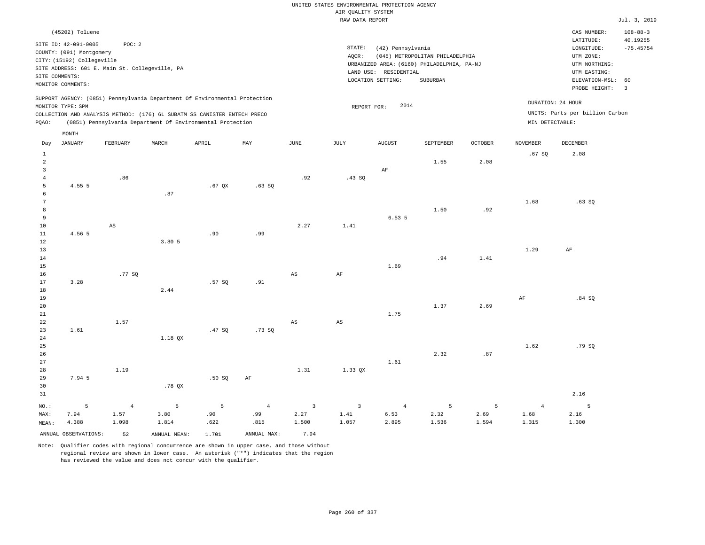# UNITED STATES ENVIRONMENTAL PROTECTION AGENCY AIR QUALITY SYSTEM

|       |                            |                                                |       |                                                                            |       |      | RAW DATA REPORT |                       |                                            |                |                 |                                 | Jul. 3, 2019   |
|-------|----------------------------|------------------------------------------------|-------|----------------------------------------------------------------------------|-------|------|-----------------|-----------------------|--------------------------------------------|----------------|-----------------|---------------------------------|----------------|
|       | (45202) Toluene            |                                                |       |                                                                            |       |      |                 |                       |                                            |                |                 | CAS NUMBER:                     | $108 - 88 - 3$ |
|       |                            |                                                |       |                                                                            |       |      |                 |                       |                                            |                |                 | LATITUDE:                       | 40.19255       |
|       | SITE ID: 42-091-0005       | POC: 2                                         |       |                                                                            |       |      | STATE:          | (42) Pennsylvania     |                                            |                |                 | LONGITUDE:                      | $-75.45754$    |
|       | COUNTY: (091) Montgomery   |                                                |       |                                                                            |       |      | AOCR:           |                       | (045) METROPOLITAN PHILADELPHIA            |                |                 | UTM ZONE:                       |                |
|       | CITY: (15192) Collegeville |                                                |       |                                                                            |       |      |                 |                       | URBANIZED AREA: (6160) PHILADELPHIA, PA-NJ |                |                 | UTM NORTHING:                   |                |
|       |                            | SITE ADDRESS: 601 E. Main St. Collegeville, PA |       |                                                                            |       |      |                 | LAND USE: RESIDENTIAL |                                            |                |                 | UTM EASTING:                    |                |
|       | SITE COMMENTS:             |                                                |       |                                                                            |       |      |                 | LOCATION SETTING:     | SUBURBAN                                   |                |                 | ELEVATION-MSL: 60               |                |
|       | MONITOR COMMENTS:          |                                                |       |                                                                            |       |      |                 |                       |                                            |                |                 | PROBE HEIGHT: 3                 |                |
|       |                            |                                                |       | SUPPORT AGENCY: (0851) Pennsylvania Department Of Environmental Protection |       |      |                 |                       |                                            |                |                 | DURATION: 24 HOUR               |                |
|       | MONITOR TYPE: SPM          |                                                |       |                                                                            |       |      | REPORT FOR:     | 2014                  |                                            |                |                 |                                 |                |
|       |                            |                                                |       | COLLECTION AND ANALYSIS METHOD: (176) 6L SUBATM SS CANISTER ENTECH PRECO   |       |      |                 |                       |                                            |                |                 | UNITS: Parts per billion Carbon |                |
| PQAO: |                            |                                                |       | (0851) Pennsylvania Department Of Environmental Protection                 |       |      |                 |                       |                                            |                | MIN DETECTABLE: |                                 |                |
|       | MONTH                      |                                                |       |                                                                            |       |      |                 |                       |                                            |                |                 |                                 |                |
| Day   | <b>JANUARY</b>             | FEBRUARY                                       | MARCH | APRIL                                                                      | MAY   | JUNE | JULY            | <b>AUGUST</b>         | SEPTEMBER                                  | <b>OCTOBER</b> | <b>NOVEMBER</b> | <b>DECEMBER</b>                 |                |
|       |                            |                                                |       |                                                                            |       |      |                 |                       |                                            |                | .67SQ           | 2.08                            |                |
| 2     |                            |                                                |       |                                                                            |       |      |                 |                       | 1.55                                       | 2.08           |                 |                                 |                |
| 3     |                            |                                                |       |                                                                            |       |      |                 | AF                    |                                            |                |                 |                                 |                |
|       |                            | .86                                            |       |                                                                            |       | .92  | .43SQ           |                       |                                            |                |                 |                                 |                |
|       | 4.55 5                     |                                                |       | $.67$ QX                                                                   | .63SQ |      |                 |                       |                                            |                |                 |                                 |                |
| Б     |                            |                                                | .87   |                                                                            |       |      |                 |                       |                                            |                |                 |                                 |                |
|       |                            |                                                |       |                                                                            |       |      |                 |                       |                                            |                | 1.68            | .63SQ                           |                |
| 8     |                            |                                                |       |                                                                            |       |      |                 |                       | 1.50                                       | .92            |                 |                                 |                |
| 9     |                            |                                                |       |                                                                            |       |      |                 | 6.535                 |                                            |                |                 |                                 |                |
| 10    |                            | AS                                             |       |                                                                            |       | 2.27 | 1.41            |                       |                                            |                |                 |                                 |                |
| 11    | 4.56 5                     |                                                |       | .90                                                                        | .99   |      |                 |                       |                                            |                |                 |                                 |                |
| 12    |                            |                                                | 3.805 |                                                                            |       |      |                 |                       |                                            |                |                 |                                 |                |
| 13    |                            |                                                |       |                                                                            |       |      |                 |                       |                                            |                | 1.29            | AF                              |                |

14 15 16 17 18 19 20 3.28 .77 SQ 2.44 .57 SQ .91 AS AF 1.69 .94 1.37 1.41 2.69 AF .84 SQ

1.75

| 22      |        | 1.57 |         |       |        | AS   | AS                      |                |      |      |      |        |
|---------|--------|------|---------|-------|--------|------|-------------------------|----------------|------|------|------|--------|
| 23      | 1.61   |      |         | .47SQ | .73 SQ |      |                         |                |      |      |      |        |
| 24      |        |      | 1.18 QX |       |        |      |                         |                |      |      |      |        |
| 25      |        |      |         |       |        |      |                         |                |      |      | 1.62 | .79 SQ |
| 26      |        |      |         |       |        |      |                         |                | 2.32 | .87  |      |        |
| 27      |        |      |         |       |        |      |                         | 1.61           |      |      |      |        |
| 28      |        | 1.19 |         |       |        | 1.31 | 1.33 QX                 |                |      |      |      |        |
| 29      | 7.94 5 |      |         | .50S  | AF     |      |                         |                |      |      |      |        |
| 30      |        |      | .78 QX  |       |        |      |                         |                |      |      |      |        |
| 31      |        |      |         |       |        |      |                         |                |      |      |      | 2.16   |
| $NO.$ : | 5      |      | 5       | 5     | 4      | 3    | $\overline{\mathbf{3}}$ | $\overline{4}$ | 5    | 5    |      | 5      |
| MAX:    | 7.94   | 1.57 | 3.80    | .90   | .99    | 2.27 | 1.41                    | 6.53           | 2.32 | 2.69 | 1.68 | 2.16   |

|  | . NU. • 1990 - 1990 - 1991 - 1991 - 1991 - 1991 - 1991 - 1991 - 1991 - 1991 - 1991 - 1991 - 1991 - 1991 - 1991 |             |      |  |  |       |
|--|----------------------------------------------------------------------------------------------------------------|-------------|------|--|--|-------|
|  | MAX: 7.94 1.57 3.80 .90 .99 2.27 1.41 6.53 2.32 2.69 1.68 2.16                                                 |             |      |  |  |       |
|  | MEAN: 4.388 1.098 1.814 .622 .815 1.500 1.057 2.895 1.536 1.594 1.315                                          |             |      |  |  | 1.300 |
|  | ANNUAL OBSERVATIONS: 52 ANNUAL MEAN: 1.701                                                                     | ANNUAL MAX: | 7.94 |  |  |       |

Note: Qualifier codes with regional concurrence are shown in upper case, and those without regional review are shown in lower case. An asterisk ("\*") indicates that the region has reviewed the value and does not concur with the qualifier.

21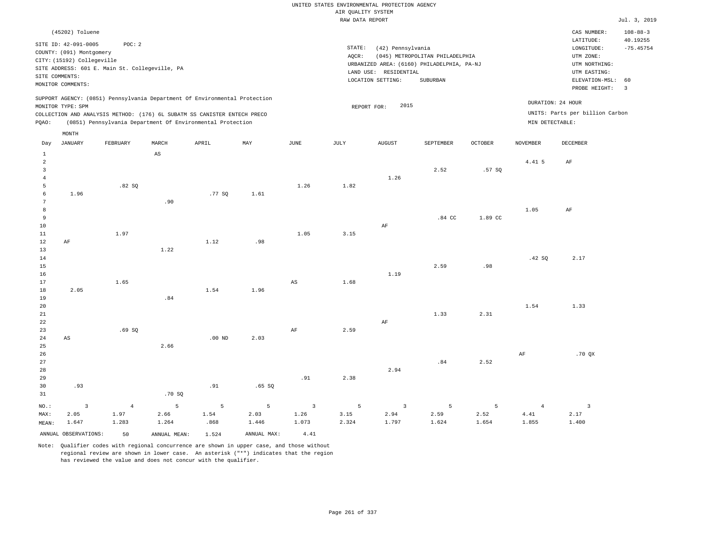|                     |                                                                              |                |                                                                                                                                        |                   |             |                         |                    | UNITED STATES ENVIRONMENTAL PROTECTION AGENCY |                                            |                |                 |                                 |                            |
|---------------------|------------------------------------------------------------------------------|----------------|----------------------------------------------------------------------------------------------------------------------------------------|-------------------|-------------|-------------------------|--------------------|-----------------------------------------------|--------------------------------------------|----------------|-----------------|---------------------------------|----------------------------|
|                     |                                                                              |                |                                                                                                                                        |                   |             |                         | AIR QUALITY SYSTEM |                                               |                                            |                |                 |                                 |                            |
|                     |                                                                              |                |                                                                                                                                        |                   |             |                         | RAW DATA REPORT    |                                               |                                            |                |                 |                                 | Jul. 3, 2019               |
|                     | (45202) Toluene                                                              |                |                                                                                                                                        |                   |             |                         |                    |                                               |                                            |                |                 | CAS NUMBER:<br>LATITUDE:        | $108 - 88 - 3$<br>40.19255 |
|                     | SITE ID: 42-091-0005                                                         | POC: 2         |                                                                                                                                        |                   |             |                         | STATE:             | (42) Pennsylvania                             |                                            |                |                 | LONGITUDE:                      | $-75.45754$                |
|                     | COUNTY: (091) Montgomery                                                     |                |                                                                                                                                        |                   |             |                         | AQCR:              |                                               | (045) METROPOLITAN PHILADELPHIA            |                |                 | UTM ZONE:                       |                            |
|                     | CITY: (15192) Collegeville<br>SITE ADDRESS: 601 E. Main St. Collegeville, PA |                |                                                                                                                                        |                   |             |                         |                    |                                               | URBANIZED AREA: (6160) PHILADELPHIA, PA-NJ |                |                 | UTM NORTHING:                   |                            |
| SITE COMMENTS:      |                                                                              |                |                                                                                                                                        |                   |             |                         |                    | LAND USE: RESIDENTIAL                         |                                            |                |                 | UTM EASTING:                    |                            |
|                     | MONITOR COMMENTS:                                                            |                |                                                                                                                                        |                   |             |                         |                    | LOCATION SETTING:                             | SUBURBAN                                   |                |                 | ELEVATION-MSL:<br>PROBE HEIGHT: | 60<br>$\overline{3}$       |
|                     |                                                                              |                | SUPPORT AGENCY: (0851) Pennsylvania Department Of Environmental Protection                                                             |                   |             |                         |                    |                                               |                                            |                |                 | DURATION: 24 HOUR               |                            |
|                     | MONITOR TYPE: SPM                                                            |                |                                                                                                                                        |                   |             |                         | REPORT FOR:        | 2015                                          |                                            |                |                 | UNITS: Parts per billion Carbon |                            |
| PQAO:               |                                                                              |                | COLLECTION AND ANALYSIS METHOD: (176) 6L SUBATM SS CANISTER ENTECH PRECO<br>(0851) Pennsylvania Department Of Environmental Protection |                   |             |                         |                    |                                               |                                            |                | MIN DETECTABLE: |                                 |                            |
|                     | MONTH                                                                        |                |                                                                                                                                        |                   |             |                         |                    |                                               |                                            |                |                 |                                 |                            |
| Day<br>$\mathbf{1}$ | <b>JANUARY</b>                                                               | FEBRUARY       | MARCH<br>$\mathbb{A}\mathbb{S}$                                                                                                        | APRIL             | MAY         | <b>JUNE</b>             | JULY               | <b>AUGUST</b>                                 | SEPTEMBER                                  | <b>OCTOBER</b> | <b>NOVEMBER</b> | DECEMBER                        |                            |
| $\overline{a}$      |                                                                              |                |                                                                                                                                        |                   |             |                         |                    |                                               |                                            |                | 4.41 5          | $\rm{AF}$                       |                            |
| $\overline{3}$      |                                                                              |                |                                                                                                                                        |                   |             |                         |                    |                                               | 2.52                                       | .57SQ          |                 |                                 |                            |
| $\overline{4}$      |                                                                              |                |                                                                                                                                        |                   |             |                         |                    | 1.26                                          |                                            |                |                 |                                 |                            |
| 5                   |                                                                              | .82SQ          |                                                                                                                                        |                   |             | 1.26                    | 1.82               |                                               |                                            |                |                 |                                 |                            |
| 6                   | 1.96                                                                         |                |                                                                                                                                        | .77SQ             | 1.61        |                         |                    |                                               |                                            |                |                 |                                 |                            |
| $\overline{7}$      |                                                                              |                | .90                                                                                                                                    |                   |             |                         |                    |                                               |                                            |                |                 |                                 |                            |
| 8                   |                                                                              |                |                                                                                                                                        |                   |             |                         |                    |                                               |                                            |                | 1.05            | $\rm AF$                        |                            |
| 9                   |                                                                              |                |                                                                                                                                        |                   |             |                         |                    |                                               | .84 CC                                     | 1.89 CC        |                 |                                 |                            |
| 10                  |                                                                              |                |                                                                                                                                        |                   |             |                         |                    | AF                                            |                                            |                |                 |                                 |                            |
| 11<br>12            | $\rm{AF}$                                                                    | 1.97           |                                                                                                                                        | 1.12              | .98         | 1.05                    | 3.15               |                                               |                                            |                |                 |                                 |                            |
| 13                  |                                                                              |                | 1.22                                                                                                                                   |                   |             |                         |                    |                                               |                                            |                |                 |                                 |                            |
| 14                  |                                                                              |                |                                                                                                                                        |                   |             |                         |                    |                                               |                                            |                | .42SQ           | 2.17                            |                            |
| 15                  |                                                                              |                |                                                                                                                                        |                   |             |                         |                    |                                               | 2.59                                       | .98            |                 |                                 |                            |
| 16                  |                                                                              |                |                                                                                                                                        |                   |             |                         |                    | 1.19                                          |                                            |                |                 |                                 |                            |
| 17                  |                                                                              | 1.65           |                                                                                                                                        |                   |             | $\mathbb{A}\mathbb{S}$  | 1.68               |                                               |                                            |                |                 |                                 |                            |
| 18                  | 2.05                                                                         |                |                                                                                                                                        | 1.54              | 1.96        |                         |                    |                                               |                                            |                |                 |                                 |                            |
| 19                  |                                                                              |                | .84                                                                                                                                    |                   |             |                         |                    |                                               |                                            |                |                 |                                 |                            |
| 20                  |                                                                              |                |                                                                                                                                        |                   |             |                         |                    |                                               |                                            |                | 1.54            | 1.33                            |                            |
| $2\sqrt{1}$         |                                                                              |                |                                                                                                                                        |                   |             |                         |                    |                                               | 1.33                                       | 2.31           |                 |                                 |                            |
| 22                  |                                                                              |                |                                                                                                                                        |                   |             |                         |                    | $\rm{AF}$                                     |                                            |                |                 |                                 |                            |
| 23<br>$2\sqrt{4}$   |                                                                              | .69SQ          |                                                                                                                                        |                   |             | AF                      | 2.59               |                                               |                                            |                |                 |                                 |                            |
| 25                  | $\mathbb{A}\mathbb{S}$                                                       |                | 2.66                                                                                                                                   | .00 <sub>ND</sub> | 2.03        |                         |                    |                                               |                                            |                |                 |                                 |                            |
| 26                  |                                                                              |                |                                                                                                                                        |                   |             |                         |                    |                                               |                                            |                | $\rm{AF}$       | .70QX                           |                            |
| 27                  |                                                                              |                |                                                                                                                                        |                   |             |                         |                    |                                               | .84                                        | 2.52           |                 |                                 |                            |
| 28                  |                                                                              |                |                                                                                                                                        |                   |             |                         |                    | 2.94                                          |                                            |                |                 |                                 |                            |
| 29                  |                                                                              |                |                                                                                                                                        |                   |             | .91                     | 2.38               |                                               |                                            |                |                 |                                 |                            |
| 30                  | .93                                                                          |                |                                                                                                                                        | .91               | .65SQ       |                         |                    |                                               |                                            |                |                 |                                 |                            |
| 31                  |                                                                              |                | .70SQ                                                                                                                                  |                   |             |                         |                    |                                               |                                            |                |                 |                                 |                            |
| NO.:                | $\overline{\mathbf{3}}$                                                      | $\overline{4}$ | 5                                                                                                                                      | 5                 | 5           | $\overline{\mathbf{3}}$ | 5                  | $\overline{3}$                                | 5                                          | 5              | $\overline{4}$  | $\overline{\mathbf{3}}$         |                            |
| MAX:                | 2.05                                                                         | 1.97           | 2.66                                                                                                                                   | 1.54              | 2.03        | 1.26                    | 3.15               | 2.94                                          | 2.59                                       | 2.52           | 4.41            | 2.17                            |                            |
| MEAN:               | 1.647                                                                        | 1.283          | 1.264                                                                                                                                  | .868              | 1.446       | 1.073                   | 2.324              | 1.797                                         | 1.624                                      | 1.654          | 1.855           | 1.400                           |                            |
|                     | ANNUAL OBSERVATIONS:                                                         | 50             | ANNUAL, MEAN:                                                                                                                          | 1.524             | ANNUAL MAX: | 4.41                    |                    |                                               |                                            |                |                 |                                 |                            |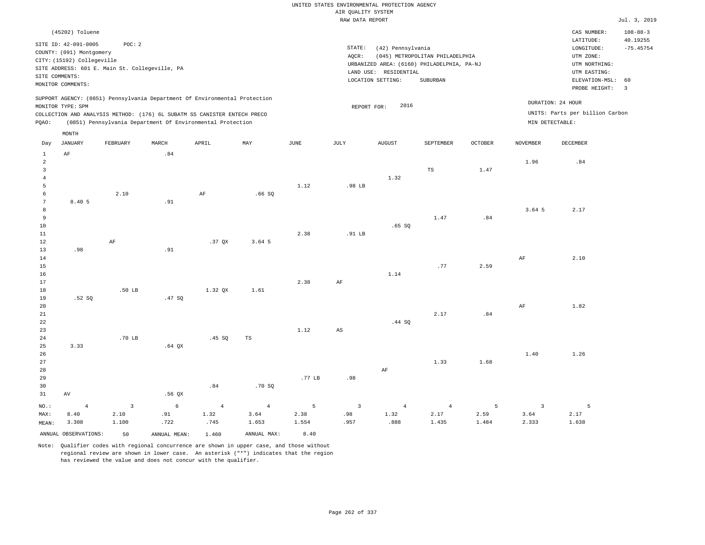| (45202) Toluene                                                            |       |              |      |        |                                            |                                 |                |                   | CAS NUMBER:                     | $108 - 88 - 3$ |
|----------------------------------------------------------------------------|-------|--------------|------|--------|--------------------------------------------|---------------------------------|----------------|-------------------|---------------------------------|----------------|
| SITE ID: 42-091-0005<br>POC:2                                              |       |              |      |        |                                            |                                 |                |                   | LATITUDE:                       | 40.19255       |
| COUNTY: (091) Montgomery                                                   |       |              |      | STATE: | (42) Pennsylvania                          |                                 |                |                   | LONGITUDE:                      | $-75.45754$    |
| CITY: (15192) Collegeville                                                 |       |              |      | AQCR:  |                                            | (045) METROPOLITAN PHILADELPHIA |                |                   | UTM ZONE:                       |                |
| SITE ADDRESS: 601 E. Main St. Collegeville, PA                             |       |              |      |        | URBANIZED AREA: (6160) PHILADELPHIA, PA-NJ |                                 |                |                   | UTM NORTHING:                   |                |
| SITE COMMENTS:                                                             |       |              |      |        | LAND USE: RESIDENTIAL                      |                                 |                |                   | UTM EASTING:                    |                |
| MONITOR COMMENTS:                                                          |       |              |      |        | LOCATION SETTING:                          | SUBURBAN                        |                |                   | ELEVATION-MSL: 60               |                |
|                                                                            |       |              |      |        |                                            |                                 |                |                   | PROBE HEIGHT:                   | 3              |
| SUPPORT AGENCY: (0851) Pennsylvania Department Of Environmental Protection |       |              |      |        |                                            |                                 |                | DURATION: 24 HOUR |                                 |                |
| MONITOR TYPE: SPM                                                          |       |              |      |        | 2016<br>REPORT FOR:                        |                                 |                |                   |                                 |                |
| COLLECTION AND ANALYSIS METHOD: (176) 6L SUBATM SS CANISTER ENTECH PRECO   |       |              |      |        |                                            |                                 |                |                   | UNITS: Parts per billion Carbon |                |
| (0851) Pennsylvania Department Of Environmental Protection<br>POAO:        |       |              |      |        |                                            |                                 |                | MIN DETECTABLE:   |                                 |                |
| MONTH                                                                      |       |              |      |        |                                            |                                 |                |                   |                                 |                |
| JANUARY<br>FEBRUARY<br>Day                                                 | MARCH | MAY<br>APRIL | JUNE | JULY   | <b>AUGUST</b>                              | SEPTEMBER                       | <b>OCTOBER</b> | NOVEMBER          | DECEMBER                        |                |

| $\mathbf{1}$            | $\rm AF$             |                         | .84          |                |                |                |                            |                |                |                |                         |                          |
|-------------------------|----------------------|-------------------------|--------------|----------------|----------------|----------------|----------------------------|----------------|----------------|----------------|-------------------------|--------------------------|
| $\overline{a}$          |                      |                         |              |                |                |                |                            |                |                |                | 1.96                    | .84                      |
| $\overline{\mathbf{3}}$ |                      |                         |              |                |                |                |                            |                | TS             | 1.47           |                         |                          |
| $\overline{4}$          |                      |                         |              |                |                |                |                            | 1.32           |                |                |                         |                          |
| 5                       |                      |                         |              |                |                | 1.12           | .98 LB                     |                |                |                |                         |                          |
| 6                       |                      | 2.10                    |              | $\rm AF$       | .66SQ          |                |                            |                |                |                |                         |                          |
| 7<br>8                  | 8.40 5               |                         | .91          |                |                |                |                            |                |                |                | 3.64 5                  | 2.17                     |
| 9                       |                      |                         |              |                |                |                |                            |                | 1.47           | .84            |                         |                          |
| $10$                    |                      |                         |              |                |                |                |                            | .65SQ          |                |                |                         |                          |
| 11                      |                      |                         |              |                |                | 2.38           | .91 $LB$                   |                |                |                |                         |                          |
| 12                      |                      | AF                      |              | .37 QX         | 3.64 5         |                |                            |                |                |                |                         |                          |
| 13                      | .98                  |                         | .91          |                |                |                |                            |                |                |                |                         |                          |
| $14\,$                  |                      |                         |              |                |                |                |                            |                |                |                | $\rm{AF}$               | 2.10                     |
| 15                      |                      |                         |              |                |                |                |                            |                | .77            | 2.59           |                         |                          |
| 16                      |                      |                         |              |                |                |                |                            | 1.14           |                |                |                         |                          |
| 17                      |                      |                         |              |                |                | 2.38           | $\rm{AF}$                  |                |                |                |                         |                          |
| 18                      |                      | .50 LB                  |              | 1.32 QX        | 1.61           |                |                            |                |                |                |                         |                          |
| 19                      | .52SQ                |                         | .47 SQ       |                |                |                |                            |                |                |                |                         |                          |
| $20\,$                  |                      |                         |              |                |                |                |                            |                |                |                | $\rm{AF}$               | 1.82                     |
| 21                      |                      |                         |              |                |                |                |                            |                | 2.17           | .84            |                         |                          |
| 22                      |                      |                         |              |                |                |                |                            | .44 SQ         |                |                |                         |                          |
| 23                      |                      |                         |              |                |                | 1.12           | $\mathbb{A}\mathbb{S}$     |                |                |                |                         |                          |
| 24                      |                      | .70 LB                  |              | .45SQ          | $_{\rm TS}$    |                |                            |                |                |                |                         |                          |
| 25<br>26                | 3.33                 |                         | $.64$ QX     |                |                |                |                            |                |                |                | 1.40                    | 1.26                     |
| 27                      |                      |                         |              |                |                |                |                            |                | 1.33           | 1.68           |                         |                          |
| 28                      |                      |                         |              |                |                |                |                            | $\rm{AF}$      |                |                |                         |                          |
| 29                      |                      |                         |              |                |                | .77 LB         | .98                        |                |                |                |                         |                          |
| 30                      |                      |                         |              | .84            | .70S           |                |                            |                |                |                |                         |                          |
| 31                      | $\,\mathrm{AV}$      |                         | .56QX        |                |                |                |                            |                |                |                |                         |                          |
| $_{\rm NO.}$ :          | $\overline{4}$       | $\overline{\mathbf{3}}$ | $\epsilon$   | $\overline{4}$ | $\overline{4}$ | $\overline{5}$ | $\overline{\phantom{a}}$ 3 | $\overline{4}$ | $\overline{4}$ | $\overline{5}$ | $\overline{\mathbf{3}}$ | $\overline{\phantom{0}}$ |
| MAX:                    | 8.40                 | 2.10                    | .91          | 1.32           | 3.64           | 2.38           | .98                        | 1.32           | 2.17           | 2.59           | 3.64                    | 2.17                     |
| MEAN:                   | 3.308                | 1.100                   | .722         | .745           | 1.653          | 1.554          | .957                       | .888           | 1.435          | 1.484          | 2.333                   | 1.638                    |
|                         | ANNUAL OBSERVATIONS: | 50                      | ANNUAL MEAN: | 1.460          | ANNUAL MAX:    | 8.40           |                            |                |                |                |                         |                          |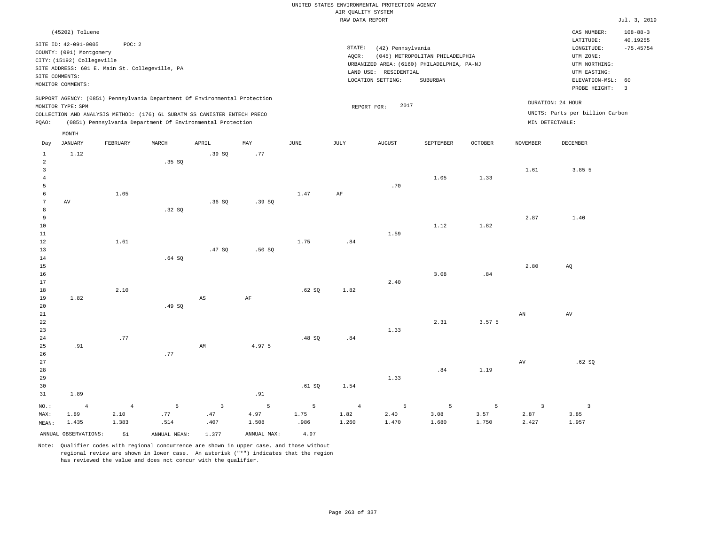|                                                                         |                                                                                                     |                        |                                                                                                                                                        |                                |                      |               |                                       | UNITED STATES ENVIRONMENTAL PROTECTION AGENCY                   |                                                                                           |                |                                 |                                                                                                          |                                                 |
|-------------------------------------------------------------------------|-----------------------------------------------------------------------------------------------------|------------------------|--------------------------------------------------------------------------------------------------------------------------------------------------------|--------------------------------|----------------------|---------------|---------------------------------------|-----------------------------------------------------------------|-------------------------------------------------------------------------------------------|----------------|---------------------------------|----------------------------------------------------------------------------------------------------------|-------------------------------------------------|
|                                                                         |                                                                                                     |                        |                                                                                                                                                        |                                |                      |               | AIR QUALITY SYSTEM<br>RAW DATA REPORT |                                                                 |                                                                                           |                |                                 |                                                                                                          | Jul. 3, 2019                                    |
|                                                                         | (45202) Toluene                                                                                     |                        |                                                                                                                                                        |                                |                      |               |                                       |                                                                 |                                                                                           |                |                                 | CAS NUMBER:                                                                                              | $108 - 88 - 3$                                  |
| SITE COMMENTS:                                                          | SITE ID: 42-091-0005<br>COUNTY: (091) Montgomery<br>CITY: (15192) Collegeville<br>MONITOR COMMENTS: | POC: 2                 | SITE ADDRESS: 601 E. Main St. Collegeville, PA                                                                                                         |                                |                      |               | STATE:<br>AQCR:                       | (42) Pennsylvania<br>LAND USE: RESIDENTIAL<br>LOCATION SETTING: | (045) METROPOLITAN PHILADELPHIA<br>URBANIZED AREA: (6160) PHILADELPHIA, PA-NJ<br>SUBURBAN |                |                                 | LATITUDE:<br>LONGITUDE:<br>UTM ZONE:<br>UTM NORTHING:<br>UTM EASTING:<br>ELEVATION-MSL:<br>PROBE HEIGHT: | 40.19255<br>$-75.45754$<br>60<br>$\overline{3}$ |
|                                                                         | MONITOR TYPE: SPM                                                                                   |                        | SUPPORT AGENCY: (0851) Pennsylvania Department Of Environmental Protection<br>COLLECTION AND ANALYSIS METHOD: (176) 6L SUBATM SS CANISTER ENTECH PRECO |                                |                      |               |                                       | 2017<br>REPORT FOR:                                             |                                                                                           |                |                                 | DURATION: 24 HOUR<br>UNITS: Parts per billion Carbon                                                     |                                                 |
| PQAO:                                                                   |                                                                                                     |                        | (0851) Pennsylvania Department Of Environmental Protection                                                                                             |                                |                      |               |                                       |                                                                 |                                                                                           |                | MIN DETECTABLE:                 |                                                                                                          |                                                 |
| Day                                                                     | $\texttt{MONTH}$<br><b>JANUARY</b>                                                                  | FEBRUARY               | MARCH                                                                                                                                                  | APRIL                          | MAY                  | $_{\rm JUNE}$ | JULY                                  | <b>AUGUST</b>                                                   | SEPTEMBER                                                                                 | <b>OCTOBER</b> | <b>NOVEMBER</b>                 | DECEMBER                                                                                                 |                                                 |
| $\mathbf{1}$<br>$\overline{a}$<br>$\overline{\mathbf{3}}$<br>$\sqrt{4}$ | 1.12                                                                                                |                        | .35SQ                                                                                                                                                  | .39SQ                          | .77                  |               |                                       |                                                                 | 1.05                                                                                      | 1.33           | 1.61                            | 3.85 5                                                                                                   |                                                 |
| $\overline{5}$<br>6<br>$7\phantom{.0}$                                  | AV                                                                                                  | 1.05                   |                                                                                                                                                        | .36S                           | .39SQ                | 1.47          | $\rm{AF}$                             | .70                                                             |                                                                                           |                |                                 |                                                                                                          |                                                 |
| $\mathbf{a}$<br>$\overline{9}$<br>10<br>$1\,1$                          |                                                                                                     |                        | .32SQ                                                                                                                                                  |                                |                      |               |                                       | 1.59                                                            | 1.12                                                                                      | 1.82           | 2.87                            | 1.40                                                                                                     |                                                 |
| 12<br>13<br>14<br>15                                                    |                                                                                                     | 1.61                   | .64SQ                                                                                                                                                  | .47 SQ                         | .50SQ                | 1.75          | .84                                   |                                                                 |                                                                                           |                | 2.80                            | AQ                                                                                                       |                                                 |
| 16<br>17<br>$1\,8$<br>19                                                | 1.82                                                                                                | 2.10                   |                                                                                                                                                        | AS                             | AF                   | .62SQ         | 1.82                                  | 2.40                                                            | 3.08                                                                                      | .84            |                                 |                                                                                                          |                                                 |
| 20<br>21<br>22<br>23                                                    |                                                                                                     |                        | .49SQ                                                                                                                                                  |                                |                      |               |                                       | 1.33                                                            | 2.31                                                                                      | 3.57 5         | AN                              | AV                                                                                                       |                                                 |
| 24<br>25<br>26<br>27                                                    | .91                                                                                                 | .77                    | .77                                                                                                                                                    | AM                             | 4.97 5               | .48SQ         | .84                                   |                                                                 |                                                                                           |                | AV                              | .62SQ                                                                                                    |                                                 |
| 28<br>29<br>30<br>31                                                    | 1.89                                                                                                |                        |                                                                                                                                                        |                                | .91                  | .61SQ         | 1.54                                  | 1.33                                                            | .84                                                                                       | 1.19           |                                 |                                                                                                          |                                                 |
| NO.:<br>MAX:                                                            | $\overline{4}$<br>1.89                                                                              | $\overline{4}$<br>2.10 | 5<br>.77                                                                                                                                               | $\overline{\mathbf{3}}$<br>.47 | $\mathsf S$<br>4.97  | 5<br>1.75     | $\overline{4}$<br>1.82                | 5<br>2.40                                                       | 5<br>3.08                                                                                 | 5<br>3.57      | $\overline{\mathbf{3}}$<br>2.87 | $\overline{\mathbf{3}}$<br>3.85                                                                          |                                                 |
| MEAN:                                                                   | 1.435<br>ANNUAL OBSERVATIONS:                                                                       | 1.383<br>51            | .514<br>ANNUAL, MEAN:                                                                                                                                  | .407<br>1.377                  | 1.508<br>ANNUAL MAX: | .986<br>4.97  | 1.260                                 | 1.470                                                           | 1.680                                                                                     | 1.750          | 2.427                           | 1.957                                                                                                    |                                                 |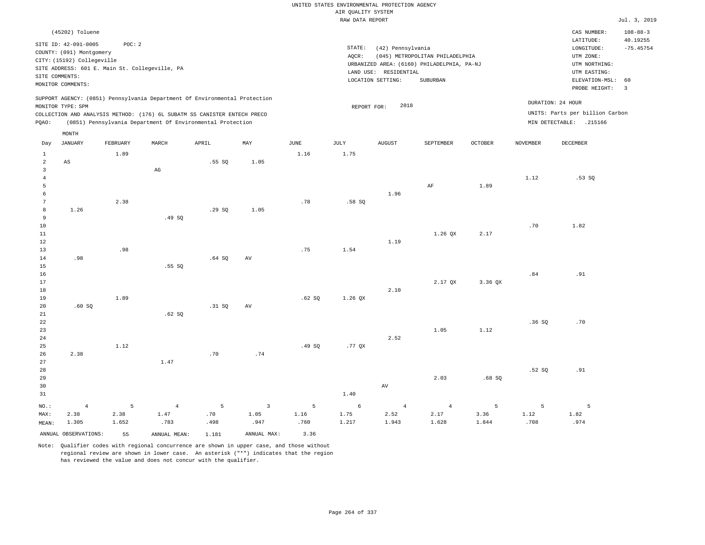|                         |                                                |          |                                                                            |        |                |                       | UNITED STATES ENVIRONMENTAL PROTECTION AGENCY |                       |                                            |         |                 |                                 |                            |
|-------------------------|------------------------------------------------|----------|----------------------------------------------------------------------------|--------|----------------|-----------------------|-----------------------------------------------|-----------------------|--------------------------------------------|---------|-----------------|---------------------------------|----------------------------|
|                         |                                                |          |                                                                            |        |                |                       | AIR QUALITY SYSTEM                            |                       |                                            |         |                 |                                 |                            |
|                         |                                                |          |                                                                            |        |                |                       | RAW DATA REPORT                               |                       |                                            |         |                 |                                 | Jul. 3, 2019               |
|                         | (45202) Toluene<br>SITE ID: 42-091-0005        | POC: 2   |                                                                            |        |                |                       |                                               |                       |                                            |         |                 | CAS NUMBER:<br>LATITUDE:        | $108 - 88 - 3$<br>40.19255 |
|                         | COUNTY: (091) Montgomery                       |          |                                                                            |        |                |                       | $\texttt{STATE}$ :                            | (42) Pennsylvania     |                                            |         |                 | LONGITUDE:                      | $-75.45754$                |
|                         | CITY: (15192) Collegeville                     |          |                                                                            |        |                |                       | AQCR:                                         |                       | (045) METROPOLITAN PHILADELPHIA            |         |                 | UTM ZONE:                       |                            |
|                         | SITE ADDRESS: 601 E. Main St. Collegeville, PA |          |                                                                            |        |                |                       |                                               |                       | URBANIZED AREA: (6160) PHILADELPHIA, PA-NJ |         |                 | UTM NORTHING:                   |                            |
| SITE COMMENTS:          |                                                |          |                                                                            |        |                |                       |                                               | LAND USE: RESIDENTIAL | SUBURBAN                                   |         |                 | UTM EASTING:                    | 60                         |
|                         | MONITOR COMMENTS:                              |          |                                                                            |        |                |                       |                                               | LOCATION SETTING:     |                                            |         |                 | ELEVATION-MSL:<br>PROBE HEIGHT: | $\overline{3}$             |
|                         | MONITOR TYPE: SPM                              |          | SUPPORT AGENCY: (0851) Pennsylvania Department Of Environmental Protection |        |                |                       | REPORT FOR:                                   | 2018                  |                                            |         |                 | DURATION: 24 HOUR               |                            |
|                         |                                                |          | COLLECTION AND ANALYSIS METHOD: (176) 6L SUBATM SS CANISTER ENTECH PRECO   |        |                |                       |                                               |                       |                                            |         |                 | UNITS: Parts per billion Carbon |                            |
| PQAO:                   |                                                |          | (0851) Pennsylvania Department Of Environmental Protection                 |        |                |                       |                                               |                       |                                            |         |                 | MIN DETECTABLE: .215166         |                            |
|                         | MONTH                                          |          |                                                                            |        |                |                       |                                               |                       |                                            |         |                 |                                 |                            |
| Day                     | <b>JANUARY</b>                                 | FEBRUARY | MARCH                                                                      | APRIL  | MAY            | $\operatorname{JUNE}$ | <b>JULY</b>                                   | <b>AUGUST</b>         | SEPTEMBER                                  | OCTOBER | <b>NOVEMBER</b> | <b>DECEMBER</b>                 |                            |
| $\mathbf{1}$<br>2       | AS                                             | 1.89     |                                                                            | .55SQ  | 1.05           | 1.16                  | 1.75                                          |                       |                                            |         |                 |                                 |                            |
| $\overline{\mathbf{3}}$ |                                                |          | $\mathbb{A}\mathbb{G}$                                                     |        |                |                       |                                               |                       |                                            |         |                 |                                 |                            |
| $\,4\,$                 |                                                |          |                                                                            |        |                |                       |                                               |                       |                                            |         | 1.12            | .53SQ                           |                            |
| $\overline{5}$          |                                                |          |                                                                            |        |                |                       |                                               |                       | AF                                         | 1.89    |                 |                                 |                            |
| 6                       |                                                |          |                                                                            |        |                |                       |                                               | 1.96                  |                                            |         |                 |                                 |                            |
| $7\phantom{.0}$         |                                                | 2.38     |                                                                            |        |                | .78                   | .58S                                          |                       |                                            |         |                 |                                 |                            |
| 8                       | 1.26                                           |          |                                                                            | .29S   | 1.05           |                       |                                               |                       |                                            |         |                 |                                 |                            |
| 9                       |                                                |          | .49SQ                                                                      |        |                |                       |                                               |                       |                                            |         |                 |                                 |                            |
| 10                      |                                                |          |                                                                            |        |                |                       |                                               |                       |                                            |         | .70             | 1.82                            |                            |
| $11\,$                  |                                                |          |                                                                            |        |                |                       |                                               |                       | 1.26 QX                                    | 2.17    |                 |                                 |                            |
| 12                      |                                                |          |                                                                            |        |                |                       |                                               | 1.19                  |                                            |         |                 |                                 |                            |
| 13                      |                                                | .98      |                                                                            |        |                | .75                   | 1.54                                          |                       |                                            |         |                 |                                 |                            |
| 14<br>15                | .98                                            |          | .55SQ                                                                      | .64S   | AV             |                       |                                               |                       |                                            |         |                 |                                 |                            |
| 16                      |                                                |          |                                                                            |        |                |                       |                                               |                       |                                            |         | .84             | .91                             |                            |
| 17                      |                                                |          |                                                                            |        |                |                       |                                               |                       | 2.17 QX                                    | 3.36 QX |                 |                                 |                            |
| $1\,8$                  |                                                |          |                                                                            |        |                |                       |                                               | 2.10                  |                                            |         |                 |                                 |                            |
| 19                      |                                                | 1.89     |                                                                            |        |                | .62S                  | 1.26 QX                                       |                       |                                            |         |                 |                                 |                            |
| 20                      | .60SQ                                          |          |                                                                            | .31 SQ | AV             |                       |                                               |                       |                                            |         |                 |                                 |                            |
| 21                      |                                                |          | .62S                                                                       |        |                |                       |                                               |                       |                                            |         |                 |                                 |                            |
| 22                      |                                                |          |                                                                            |        |                |                       |                                               |                       |                                            |         | .36SQ           | .70                             |                            |
| 23                      |                                                |          |                                                                            |        |                |                       |                                               |                       | 1.05                                       | 1.12    |                 |                                 |                            |
| 24                      |                                                |          |                                                                            |        |                |                       |                                               | 2.52                  |                                            |         |                 |                                 |                            |
| 25                      |                                                | 1.12     |                                                                            |        |                | .49SQ                 | $.77$ QX                                      |                       |                                            |         |                 |                                 |                            |
| 26<br>27                | 2.38                                           |          | 1.47                                                                       | .70    | .74            |                       |                                               |                       |                                            |         |                 |                                 |                            |
| 28                      |                                                |          |                                                                            |        |                |                       |                                               |                       |                                            |         | .52S            | .91                             |                            |
| 29                      |                                                |          |                                                                            |        |                |                       |                                               |                       | 2.03                                       | .68S    |                 |                                 |                            |
| 30                      |                                                |          |                                                                            |        |                |                       |                                               | $\operatorname{AV}$   |                                            |         |                 |                                 |                            |
| 31                      |                                                |          |                                                                            |        |                |                       | 1.40                                          |                       |                                            |         |                 |                                 |                            |
| NO.:                    | $\overline{4}$                                 | 5        | $\overline{4}$                                                             | 5      | $\overline{3}$ | 5                     | 6                                             | $\overline{4}$        | $\overline{4}$                             | 5       | 5               | 5                               |                            |
| MAX:                    | 2.38                                           | 2.38     | 1.47                                                                       | .70    | 1.05           | 1.16                  | 1.75                                          | 2.52                  | 2.17                                       | 3.36    | 1.12            | 1.82                            |                            |
| MEAN:                   | 1.305                                          | 1.652    | .783                                                                       | .498   | .947           | .760                  | 1.217                                         | 1.943                 | 1.628                                      | 1.844   | .708            | .974                            |                            |
|                         | ANNUAL OBSERVATIONS:                           | 55       | ANNUAL MEAN:                                                               | 1.181  | ANNUAL MAX:    | 3.36                  |                                               |                       |                                            |         |                 |                                 |                            |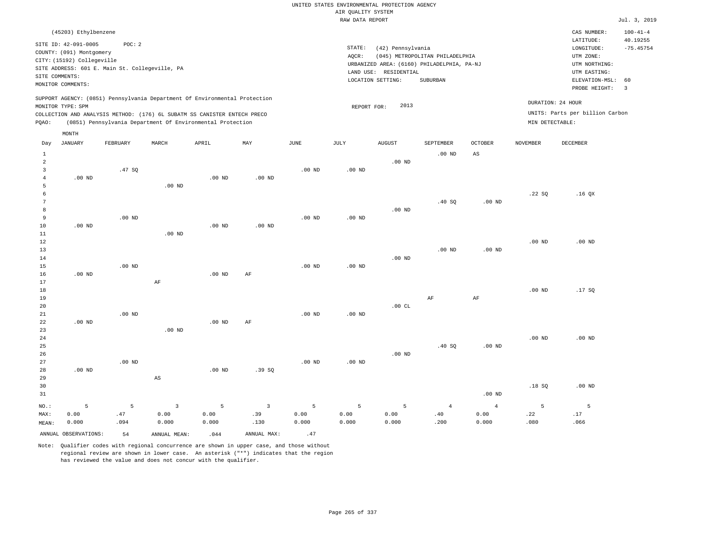|                | (45203) Ethylbenzene       |                                                |                        |                                                                            |                         |                   |                   |                                            |                                            |                   |                   | CAS NUMBER:                     | $100 - 41 - 4$          |
|----------------|----------------------------|------------------------------------------------|------------------------|----------------------------------------------------------------------------|-------------------------|-------------------|-------------------|--------------------------------------------|--------------------------------------------|-------------------|-------------------|---------------------------------|-------------------------|
|                | SITE ID: 42-091-0005       | POC: 2                                         |                        |                                                                            |                         |                   |                   |                                            |                                            |                   |                   | LATITUDE:                       | 40.19255                |
|                | COUNTY: (091) Montgomery   |                                                |                        |                                                                            |                         |                   | STATE:            | (42) Pennsylvania                          |                                            |                   |                   | LONGITUDE:                      | $-75.45754$             |
|                | CITY: (15192) Collegeville |                                                |                        |                                                                            |                         |                   | AQCR:             |                                            | (045) METROPOLITAN PHILADELPHIA            |                   |                   | UTM ZONE:                       |                         |
|                |                            | SITE ADDRESS: 601 E. Main St. Collegeville, PA |                        |                                                                            |                         |                   |                   |                                            | URBANIZED AREA: (6160) PHILADELPHIA, PA-NJ |                   |                   | UTM NORTHING:                   |                         |
|                | SITE COMMENTS:             |                                                |                        |                                                                            |                         |                   |                   | LAND USE: RESIDENTIAL<br>LOCATION SETTING: | SUBURBAN                                   |                   |                   | UTM EASTING:<br>ELEVATION-MSL:  | 60                      |
|                | MONITOR COMMENTS:          |                                                |                        |                                                                            |                         |                   |                   |                                            |                                            |                   |                   | PROBE HEIGHT:                   | $\overline{\mathbf{3}}$ |
|                |                            |                                                |                        | SUPPORT AGENCY: (0851) Pennsylvania Department Of Environmental Protection |                         |                   |                   |                                            |                                            |                   |                   |                                 |                         |
|                | MONITOR TYPE: SPM          |                                                |                        |                                                                            |                         |                   | REPORT FOR:       | 2013                                       |                                            |                   |                   | DURATION: 24 HOUR               |                         |
|                |                            |                                                |                        | COLLECTION AND ANALYSIS METHOD: (176) 6L SUBATM SS CANISTER ENTECH PRECO   |                         |                   |                   |                                            |                                            |                   |                   | UNITS: Parts per billion Carbon |                         |
| PQAO:          |                            |                                                |                        | (0851) Pennsylvania Department Of Environmental Protection                 |                         |                   |                   |                                            |                                            |                   | MIN DETECTABLE:   |                                 |                         |
|                | MONTH                      |                                                |                        |                                                                            |                         |                   |                   |                                            |                                            |                   |                   |                                 |                         |
| Day            | <b>JANUARY</b>             | FEBRUARY                                       | MARCH                  | APRIL                                                                      | MAY                     | JUNE              | JULY              | <b>AUGUST</b>                              | SEPTEMBER                                  | <b>OCTOBER</b>    | <b>NOVEMBER</b>   | DECEMBER                        |                         |
| $1\,$          |                            |                                                |                        |                                                                            |                         |                   |                   |                                            | $.00$ ND                                   | AS                |                   |                                 |                         |
| $\overline{a}$ |                            |                                                |                        |                                                                            |                         |                   |                   | .00 <sub>ND</sub>                          |                                            |                   |                   |                                 |                         |
| 3              |                            | .47SQ                                          |                        |                                                                            |                         | .00 <sub>ND</sub> | .00 <sub>ND</sub> |                                            |                                            |                   |                   |                                 |                         |
| $\overline{4}$ | $.00$ ND                   |                                                |                        | $.00$ ND                                                                   | $.00$ ND                |                   |                   |                                            |                                            |                   |                   |                                 |                         |
| 5              |                            |                                                | $.00$ ND               |                                                                            |                         |                   |                   |                                            |                                            |                   |                   |                                 |                         |
| 6              |                            |                                                |                        |                                                                            |                         |                   |                   |                                            |                                            |                   | .22SQ             | .16QX                           |                         |
| 7              |                            |                                                |                        |                                                                            |                         |                   |                   |                                            | .40SQ                                      | .00 <sub>ND</sub> |                   |                                 |                         |
| 8<br>9         |                            | $.00$ ND                                       |                        |                                                                            |                         | .00 <sub>ND</sub> | $.00$ ND          | $.00$ ND                                   |                                            |                   |                   |                                 |                         |
| 10             | $.00$ ND                   |                                                |                        | $.00$ ND                                                                   | $.00$ ND                |                   |                   |                                            |                                            |                   |                   |                                 |                         |
| $11\,$         |                            |                                                | $.00$ ND               |                                                                            |                         |                   |                   |                                            |                                            |                   |                   |                                 |                         |
| 12             |                            |                                                |                        |                                                                            |                         |                   |                   |                                            |                                            |                   | .00 <sub>ND</sub> | $.00$ ND                        |                         |
| 13             |                            |                                                |                        |                                                                            |                         |                   |                   |                                            | .00 <sub>ND</sub>                          | .00 <sub>ND</sub> |                   |                                 |                         |
| 14             |                            |                                                |                        |                                                                            |                         |                   |                   | $.00$ ND                                   |                                            |                   |                   |                                 |                         |
| 15             |                            | $.00$ ND                                       |                        |                                                                            |                         | $.00$ ND          | $.00$ ND          |                                            |                                            |                   |                   |                                 |                         |
| 16             | $.00$ ND                   |                                                |                        | $.00$ ND                                                                   | $\rm{AF}$               |                   |                   |                                            |                                            |                   |                   |                                 |                         |
| 17             |                            |                                                | AF                     |                                                                            |                         |                   |                   |                                            |                                            |                   |                   |                                 |                         |
| 18             |                            |                                                |                        |                                                                            |                         |                   |                   |                                            |                                            |                   | $.00$ ND          | .17SQ                           |                         |
| 19<br>20       |                            |                                                |                        |                                                                            |                         |                   |                   | .00 $CL$                                   | $\rm{AF}$                                  | $\rm{AF}$         |                   |                                 |                         |
| 21             |                            | $.00$ ND                                       |                        |                                                                            |                         | .00 <sub>ND</sub> | $.00$ ND          |                                            |                                            |                   |                   |                                 |                         |
| 22             | $.00$ ND                   |                                                |                        | .00 <sub>ND</sub>                                                          | AF                      |                   |                   |                                            |                                            |                   |                   |                                 |                         |
| 23             |                            |                                                | $.00$ ND               |                                                                            |                         |                   |                   |                                            |                                            |                   |                   |                                 |                         |
| 24             |                            |                                                |                        |                                                                            |                         |                   |                   |                                            |                                            |                   | .00 <sub>ND</sub> | .00 <sub>ND</sub>               |                         |
| 25             |                            |                                                |                        |                                                                            |                         |                   |                   |                                            | .40SQ                                      | .00 <sub>ND</sub> |                   |                                 |                         |
| 26             |                            |                                                |                        |                                                                            |                         |                   |                   | $.00$ ND                                   |                                            |                   |                   |                                 |                         |
| 27             |                            | $.00$ ND                                       |                        |                                                                            |                         | $.00$ ND          | $.00$ ND          |                                            |                                            |                   |                   |                                 |                         |
| 28             | $.00$ ND                   |                                                |                        | $.00$ ND                                                                   | .39SQ                   |                   |                   |                                            |                                            |                   |                   |                                 |                         |
| 29             |                            |                                                | $\mathbb{A}\mathbb{S}$ |                                                                            |                         |                   |                   |                                            |                                            |                   |                   |                                 |                         |
| 30             |                            |                                                |                        |                                                                            |                         |                   |                   |                                            |                                            |                   | .18S              | $.00$ ND                        |                         |
| 31             |                            |                                                |                        |                                                                            |                         |                   |                   |                                            |                                            | $.00$ ND          |                   |                                 |                         |
| NO.:           | 5                          | 5                                              | $\overline{3}$         | 5                                                                          | $\overline{\mathbf{3}}$ | 5                 | 5                 | 5                                          | $\overline{4}$                             | $\overline{4}$    | 5                 | 5                               |                         |
| MAX:           | 0.00                       | .47                                            | 0.00                   | 0.00                                                                       | .39                     | 0.00              | 0.00              | 0.00                                       | .40                                        | 0.00              | .22               | .17                             |                         |

Note: Qualifier codes with regional concurrence are shown in upper case, and those without regional review are shown in lower case. An asterisk ("\*") indicates that the region

ANNUAL OBSERVATIONS:  $54$  ANNUAL MEAN: .044 ANNUAL MAX: .47

0.000

.130

0.000

has reviewed the value and does not concur with the qualifier.

0.000

.094

MEAN: 0.000

0.000

0.000

.200

0.000

.080

.066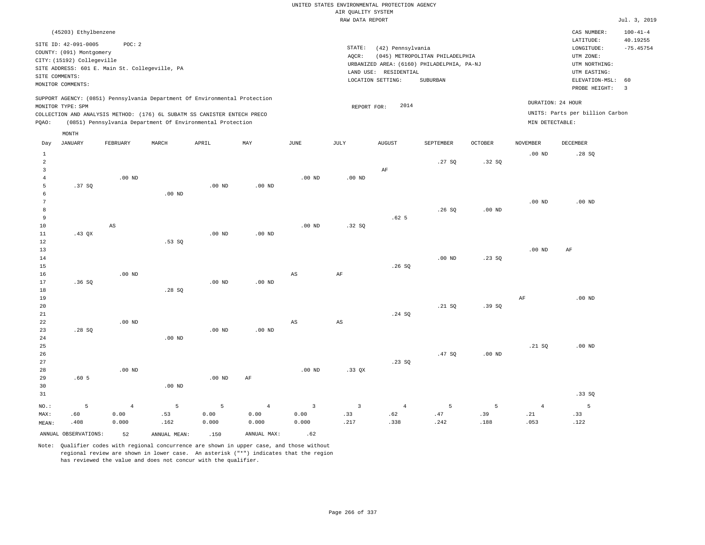|  | UNITED STATES ENVIRONMENTAL PROTECTION AGENCY |  |
|--|-----------------------------------------------|--|
|  | AIR OUALITY SYSTEM                            |  |
|  | RAW DATA REPORT                               |  |

Jul. 3, 2019

| (45203) Ethylbenzene                                                                                                                                                                                                                                        |                                                                                                                                                                                 | CAS NUMBER:                                                                                                 | $100 - 41 - 4$          |
|-------------------------------------------------------------------------------------------------------------------------------------------------------------------------------------------------------------------------------------------------------------|---------------------------------------------------------------------------------------------------------------------------------------------------------------------------------|-------------------------------------------------------------------------------------------------------------|-------------------------|
| SITE ID: 42-091-0005<br>POC: 2<br>COUNTY: (091) Montgomery<br>CITY: (15192) Collegeville<br>SITE ADDRESS: 601 E. Main St. Collegeville, PA<br>SITE COMMENTS:<br>MONITOR COMMENTS:                                                                           | STATE:<br>(42) Pennsylvania<br>(045) METROPOLITAN PHILADELPHIA<br>AOCR:<br>URBANIZED AREA: (6160) PHILADELPHIA, PA-NJ<br>LAND USE: RESIDENTIAL<br>LOCATION SETTING:<br>SUBURBAN | LATITUDE:<br>LONGITUDE:<br>UTM ZONE:<br>UTM NORTHING:<br>UTM EASTING:<br>ELEVATION-MSL: 60<br>PROBE HEIGHT: | 40.19255<br>$-75.45754$ |
| SUPPORT AGENCY: (0851) Pennsylvania Department Of Environmental Protection<br>MONITOR TYPE: SPM<br>COLLECTION AND ANALYSIS METHOD: (176) 6L SUBATM SS CANISTER ENTECH PRECO<br>(0851) Pennsylvania Department Of Environmental Protection<br>POAO:<br>MONTH | 2014<br>REPORT FOR:<br>MIN DETECTABLE:                                                                                                                                          | DURATION: 24 HOUR<br>UNITS: Parts per billion Carbon                                                        |                         |

| Day                            | JANUARY              | FEBRUARY          | $\tt MARCH$    | APRIL    | $\ensuremath{\text{MAX}}$ | JUNE                   | $\mathtt{JULY}$        | ${\tt AUGUST}$   | SEPTEMBER                                                  | OCTOBER  | NOVEMBER       | $\tt DECEMBER$ |
|--------------------------------|----------------------|-------------------|----------------|----------|---------------------------|------------------------|------------------------|------------------|------------------------------------------------------------|----------|----------------|----------------|
| $\mathbf{1}$<br>$\overline{a}$ |                      |                   |                |          |                           |                        |                        |                  | .27SQ                                                      | .32SQ    | $.00$ ND       | .28SQ          |
| 3                              |                      |                   |                |          |                           |                        |                        | $\rm AF$         |                                                            |          |                |                |
| 4                              |                      | $.00$ ND          |                |          |                           | $.00$ ND               | $.00$ ND               |                  |                                                            |          |                |                |
| 5                              | .37SQ                |                   |                | $.00$ ND | $.00$ ND                  |                        |                        |                  |                                                            |          |                |                |
| 6                              |                      |                   | $.00$ ND       |          |                           |                        |                        |                  |                                                            |          |                |                |
| 7                              |                      |                   |                |          |                           |                        |                        |                  |                                                            |          | $.00$ ND       | $.00$ ND       |
| 8                              |                      |                   |                |          |                           |                        |                        |                  | .26SQ                                                      | .00 $ND$ |                |                |
| 9                              |                      |                   |                |          |                           |                        |                        | .62 <sub>5</sub> |                                                            |          |                |                |
| 10                             |                      | AS                |                |          |                           | $.00$ ND               | .32SQ                  |                  |                                                            |          |                |                |
| 11                             | $.43$ QX             |                   |                | $.00$ ND | $.00$ ND                  |                        |                        |                  |                                                            |          |                |                |
| 12                             |                      |                   | .53SQ          |          |                           |                        |                        |                  |                                                            |          |                |                |
| 13                             |                      |                   |                |          |                           |                        |                        |                  |                                                            |          | $.00$ ND       | AF             |
| 14                             |                      |                   |                |          |                           |                        |                        |                  | $.00$ ND                                                   | .23SQ    |                |                |
| 15                             |                      |                   |                |          |                           |                        |                        | .26SQ            |                                                            |          |                |                |
| 16                             |                      | .00 <sub>ND</sub> |                |          |                           | $_{\rm AS}$            | $\rm{AF}$              |                  |                                                            |          |                |                |
| 17                             | .36SQ                |                   |                | .00 $ND$ | $.00$ ND                  |                        |                        |                  |                                                            |          |                |                |
| 18                             |                      |                   | .28SQ          |          |                           |                        |                        |                  |                                                            |          |                |                |
| 19                             |                      |                   |                |          |                           |                        |                        |                  |                                                            |          | $\rm{AF}$      | $.00$ ND       |
| 20                             |                      |                   |                |          |                           |                        |                        |                  | .21 SQ                                                     | .39SQ    |                |                |
| 21                             |                      |                   |                |          |                           |                        |                        | .24 SQ           |                                                            |          |                |                |
| $2\sqrt{2}$                    |                      | $.00$ ND          |                |          |                           | $\mathbb{A}\mathbb{S}$ | $\mathbb{A}\mathbb{S}$ |                  |                                                            |          |                |                |
| 23                             | .28SQ                |                   |                | $.00$ ND | $.00$ ND                  |                        |                        |                  |                                                            |          |                |                |
| 24                             |                      |                   | $.00$ ND       |          |                           |                        |                        |                  |                                                            |          |                |                |
| 25                             |                      |                   |                |          |                           |                        |                        |                  |                                                            |          | .21 SQ         | $.00$ ND       |
| $26\,$                         |                      |                   |                |          |                           |                        |                        |                  | .47 SQ                                                     | $.00$ ND |                |                |
| $2\,7$                         |                      |                   |                |          |                           |                        |                        | .23SQ            |                                                            |          |                |                |
| 28                             |                      | $.00$ ND          |                |          |                           | $.00$ ND               | .33 QX                 |                  |                                                            |          |                |                |
| 29                             | .60 <sub>5</sub>     |                   |                | .00 $ND$ | $\rm AF$                  |                        |                        |                  |                                                            |          |                |                |
| 30                             |                      |                   | $.00$ ND       |          |                           |                        |                        |                  |                                                            |          |                |                |
| 31                             |                      |                   |                |          |                           |                        |                        |                  |                                                            |          |                | .33SQ          |
| $NO.$ :                        | 5                    | $\overline{4}$    | $\overline{5}$ | 5        | $\overline{4}$            | $\overline{3}$         | $\overline{3}$         | $\overline{4}$   | 5                                                          | 5        | $\overline{4}$ | 5              |
| MAX:                           | .60                  | 0.00              | .53            | 0.00     | 0.00                      | 0.00                   | .33                    | .62              | $\footnotesize{\begin{array}{c} \texttt{-47} \end{array}}$ | .39      | .21            | .33            |
| MEAN:                          | .408                 | 0.000             | .162           | 0.000    | 0.000                     | 0.000                  | .217                   | .338             | .242                                                       | .188     | .053           | .122           |
|                                | ANNUAL OBSERVATIONS: | 52                | ANNUAL MEAN:   | .150     | ANNUAL MAX:               | .62                    |                        |                  |                                                            |          |                |                |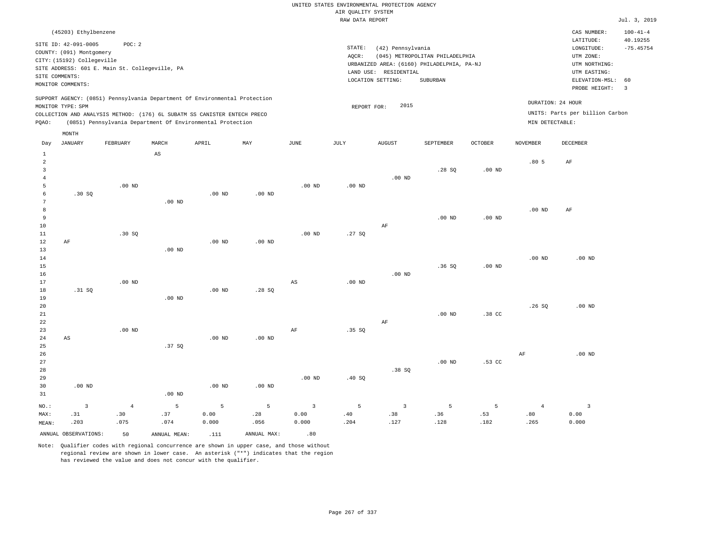| (45203) Ethylbenzene                                                                                                                                                                                                                               |                                                                                                                                                                                    | $100 - 41 - 4$<br>CAS NUMBER:                                                                                                                |  |
|----------------------------------------------------------------------------------------------------------------------------------------------------------------------------------------------------------------------------------------------------|------------------------------------------------------------------------------------------------------------------------------------------------------------------------------------|----------------------------------------------------------------------------------------------------------------------------------------------|--|
| SITE ID: 42-091-0005<br>POC: 2<br>COUNTY: (091) Montgomery<br>CITY: (15192) Collegeville<br>SITE ADDRESS: 601 E. Main St. Collegeville, PA<br>SITE COMMENTS:<br>MONITOR COMMENTS:                                                                  | STATE:<br>(42) Pennsylvania<br>(045) METROPOLITAN PHILADELPHIA<br>AOCR:<br>URBANIZED AREA: (6160) PHILADELPHIA, PA-NJ<br>RESIDENTIAL<br>LAND USE:<br>SUBURBAN<br>LOCATION SETTING: | LATITUDE:<br>40.19255<br>$-75.45754$<br>LONGITUDE:<br>UTM ZONE:<br>UTM NORTHING:<br>UTM EASTING:<br>ELEVATION-MSL: 60<br>PROBE HEIGHT:<br>-3 |  |
| SUPPORT AGENCY: (0851) Pennsylvania Department Of Environmental Protection<br>MONITOR TYPE: SPM<br>COLLECTION AND ANALYSIS METHOD: (176) 6L SUBATM SS CANISTER ENTECH PRECO<br>(0851) Pennsylvania Department Of Environmental Protection<br>POAO: | 2015<br>REPORT FOR:                                                                                                                                                                | DURATION: 24 HOUR<br>UNITS: Parts per billion Carbon<br>MIN DETECTABLE:                                                                      |  |
| MONTH                                                                                                                                                                                                                                              |                                                                                                                                                                                    |                                                                                                                                              |  |

| Day            | <b>JANUARY</b>       | FEBRUARY          | $\tt MARCH$            | APRIL    | $\ensuremath{\text{MAX}}$ | $_{\rm JUNE}$           | JULY                    | ${\tt AUGUST}$          | SEPTEMBER         | OCTOBER  | NOVEMBER                    | DECEMBER                |
|----------------|----------------------|-------------------|------------------------|----------|---------------------------|-------------------------|-------------------------|-------------------------|-------------------|----------|-----------------------------|-------------------------|
| 1              |                      |                   | $\mathbb{A}\mathbb{S}$ |          |                           |                         |                         |                         |                   |          |                             |                         |
| $\overline{c}$ |                      |                   |                        |          |                           |                         |                         |                         |                   |          | .805                        | AF                      |
| 3              |                      |                   |                        |          |                           |                         |                         |                         | .28SQ             | .00 $ND$ |                             |                         |
| $\overline{4}$ |                      |                   |                        |          |                           |                         |                         | $.00$ ND                |                   |          |                             |                         |
| 5              |                      | $.00$ ND          |                        |          |                           | $.00$ ND                | $.00$ ND                |                         |                   |          |                             |                         |
| 6              | .30SQ                |                   |                        | $.00$ ND | $.00$ ND                  |                         |                         |                         |                   |          |                             |                         |
| 7              |                      |                   | .00 <sub>ND</sub>      |          |                           |                         |                         |                         |                   |          |                             |                         |
| 8              |                      |                   |                        |          |                           |                         |                         |                         |                   |          | .00 $ND$                    | AF                      |
| 9              |                      |                   |                        |          |                           |                         |                         |                         | .00 <sub>ND</sub> | .00 $ND$ |                             |                         |
| 10             |                      |                   |                        |          |                           |                         |                         | AF                      |                   |          |                             |                         |
| 11             |                      | .30 SQ            |                        |          |                           | $.00$ ND                | .27SQ                   |                         |                   |          |                             |                         |
| 12             | AF                   |                   |                        | $.00$ ND | $.00$ ND                  |                         |                         |                         |                   |          |                             |                         |
| 13             |                      |                   | $.00$ ND               |          |                           |                         |                         |                         |                   |          |                             |                         |
| 14             |                      |                   |                        |          |                           |                         |                         |                         |                   |          | .00 $ND$                    | $.00~\mathrm{ND}$       |
| $15\,$         |                      |                   |                        |          |                           |                         |                         |                         | .36SQ             | $.00$ ND |                             |                         |
| 16             |                      |                   |                        |          |                           |                         |                         | $.00$ ND                |                   |          |                             |                         |
| 17             |                      | .00 <sub>ND</sub> |                        |          |                           | $\mathbb{A}\mathbb{S}$  | $.00$ ND                |                         |                   |          |                             |                         |
| 18             | .31 SQ               |                   |                        | $.00$ ND | .28 SQ                    |                         |                         |                         |                   |          |                             |                         |
| 19             |                      |                   | $.00$ ND               |          |                           |                         |                         |                         |                   |          |                             |                         |
| $20\,$         |                      |                   |                        |          |                           |                         |                         |                         |                   |          | .26SQ                       | $.00$ ND                |
| $2\sqrt{1}$    |                      |                   |                        |          |                           |                         |                         |                         | .00 <sub>ND</sub> | .38 CC   |                             |                         |
| $^{\rm 22}$    |                      |                   |                        |          |                           |                         |                         | $\rm AF$                |                   |          |                             |                         |
| 23             |                      | $.00$ ND          |                        |          |                           | $\rm{AF}$               | .35 SQ                  |                         |                   |          |                             |                         |
| 24             | AS                   |                   |                        | $.00$ ND | $.00$ ND                  |                         |                         |                         |                   |          |                             |                         |
| 25             |                      |                   | .37 SQ                 |          |                           |                         |                         |                         |                   |          |                             |                         |
| 26             |                      |                   |                        |          |                           |                         |                         |                         |                   |          | $\rm{AF}$                   | $.00$ ND                |
| 27             |                      |                   |                        |          |                           |                         |                         |                         | .00 <sub>ND</sub> | .53 CC   |                             |                         |
| 28             |                      |                   |                        |          |                           |                         |                         | .38 SQ                  |                   |          |                             |                         |
| 29             |                      |                   |                        |          |                           | .00 $ND$                | .40 SQ                  |                         |                   |          |                             |                         |
| 30             | $.00$ ND             |                   |                        | $.00$ ND | $.00$ ND                  |                         |                         |                         |                   |          |                             |                         |
| 31             |                      |                   | $.00$ ND               |          |                           |                         |                         |                         |                   |          |                             |                         |
| $_{\rm NO.}$ : | $\mathbf{3}$         | $\,4$             | 5                      | 5        | $\sqrt{5}$                | $\overline{\mathbf{3}}$ | 5                       | $\overline{\mathbf{3}}$ | 5                 | 5        | $\overline{4}$              | $\overline{\mathbf{3}}$ |
| MAX:           | .31                  | .30               | .37                    | 0.00     | .28                       | 0.00                    | $\boldsymbol{\cdot}$ 40 | .38                     | .36               | .53      | $\boldsymbol{\mathsf{.}}80$ | 0.00                    |
| MEAN:          | .203                 | .075              | .074                   | 0.000    | .056                      | 0.000                   | .204                    | .127                    | .128              | .182     | .265                        | 0.000                   |
|                | ANNUAL OBSERVATIONS: | 50                | ANNUAL MEAN:           | .111     | ANNUAL MAX:               | .80                     |                         |                         |                   |          |                             |                         |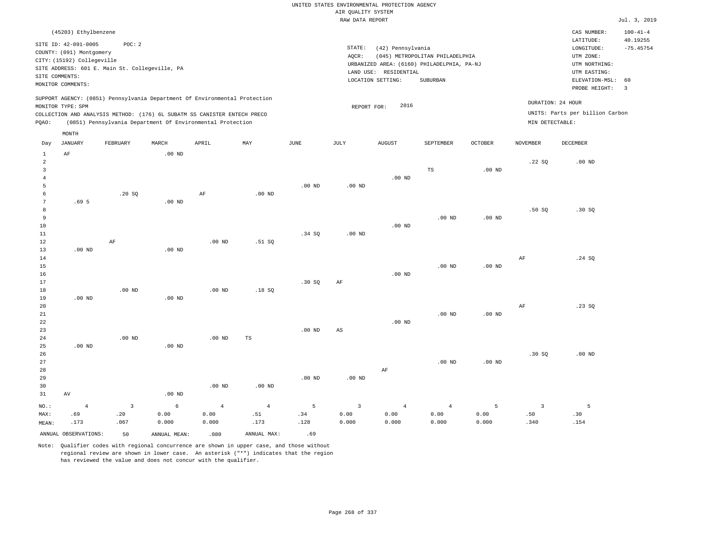|                | (45203) Ethylbenzene       |                                                |          |                                                                                                                                                                                                                      |     |      |                 |                          |                                            |                |                 | CAS NUMBER:                                                             | $100 - 41 - 4$ |
|----------------|----------------------------|------------------------------------------------|----------|----------------------------------------------------------------------------------------------------------------------------------------------------------------------------------------------------------------------|-----|------|-----------------|--------------------------|--------------------------------------------|----------------|-----------------|-------------------------------------------------------------------------|----------------|
|                | SITE ID: 42-091-0005       | POC:2                                          |          |                                                                                                                                                                                                                      |     |      |                 |                          |                                            |                |                 | LATITUDE:                                                               | 40.19255       |
|                | COUNTY: (091) Montgomery   |                                                |          |                                                                                                                                                                                                                      |     |      | STATE:<br>AQCR: | (42) Pennsylvania        | (045) METROPOLITAN PHILADELPHIA            |                |                 | LONGITUDE:<br>UTM ZONE:                                                 | $-75.45754$    |
|                | CITY: (15192) Collegeville |                                                |          |                                                                                                                                                                                                                      |     |      |                 |                          | URBANIZED AREA: (6160) PHILADELPHIA, PA-NJ |                |                 | UTM NORTHING:                                                           |                |
| SITE COMMENTS: |                            | SITE ADDRESS: 601 E. Main St. Collegeville, PA |          |                                                                                                                                                                                                                      |     |      |                 | RESIDENTIAL<br>LAND USE: |                                            |                |                 | UTM EASTING:                                                            |                |
|                | MONITOR COMMENTS:          |                                                |          |                                                                                                                                                                                                                      |     |      |                 | LOCATION SETTING:        | SUBURBAN                                   |                |                 | ELEVATION-MSL: 60<br>PROBE HEIGHT:                                      | - 3            |
| POAO:          | MONITOR TYPE: SPM          |                                                |          | SUPPORT AGENCY: (0851) Pennsylvania Department Of Environmental Protection<br>COLLECTION AND ANALYSIS METHOD: (176) 6L SUBATM SS CANISTER ENTECH PRECO<br>(0851) Pennsylvania Department Of Environmental Protection |     |      |                 | 2016<br>REPORT FOR:      |                                            |                |                 | DURATION: 24 HOUR<br>UNITS: Parts per billion Carbon<br>MIN DETECTABLE: |                |
|                | MONTH                      |                                                |          |                                                                                                                                                                                                                      |     |      |                 |                          |                                            |                |                 |                                                                         |                |
| Day            | JANUARY                    | FEBRUARY                                       | MARCH    | APRIL                                                                                                                                                                                                                | MAY | JUNE | JULY            | <b>AUGUST</b>            | SEPTEMBER                                  | <b>OCTOBER</b> | <b>NOVEMBER</b> | DECEMBER                                                                |                |
|                | AF                         |                                                | $.00$ ND |                                                                                                                                                                                                                      |     |      |                 |                          |                                            |                |                 |                                                                         |                |
|                |                            |                                                |          |                                                                                                                                                                                                                      |     |      |                 |                          |                                            |                | .22S            | $.00$ ND                                                                |                |

| 3       |                  |              |                   |                |                   |                   |                         |            | $\mathbb{TS}$  | .00 $ND$          |                |          |
|---------|------------------|--------------|-------------------|----------------|-------------------|-------------------|-------------------------|------------|----------------|-------------------|----------------|----------|
| 4       |                  |              |                   |                |                   |                   |                         | $.00$ ND   |                |                   |                |          |
| 5       |                  |              |                   |                |                   | .00 <sub>ND</sub> | $.00$ ND                |            |                |                   |                |          |
| 6       |                  | .20 SQ       |                   | $\rm{AF}$      | .00 <sub>ND</sub> |                   |                         |            |                |                   |                |          |
| 7       | .69 <sub>5</sub> |              | $.00$ ND          |                |                   |                   |                         |            |                |                   |                |          |
| 8       |                  |              |                   |                |                   |                   |                         |            |                |                   | .50SQ          | .30 SQ   |
| 9       |                  |              |                   |                |                   |                   |                         |            | $.00$ ND       | .00 $ND$          |                |          |
| 10      |                  |              |                   |                |                   |                   |                         | $.00$ ND   |                |                   |                |          |
| 11      |                  |              |                   |                |                   | .34 SQ            | .00 $ND$                |            |                |                   |                |          |
| 12      |                  | AF           |                   | $.00$ ND       | .51 SQ            |                   |                         |            |                |                   |                |          |
| 13      | $.00$ ND         |              | $.00$ ND          |                |                   |                   |                         |            |                |                   |                |          |
| 14      |                  |              |                   |                |                   |                   |                         |            |                |                   | $\rm{AF}$      | .24 SQ   |
| 15      |                  |              |                   |                |                   |                   |                         |            | $.00$ ND       | $.00$ ND          |                |          |
| 16      |                  |              |                   |                |                   |                   |                         | $.00$ ND   |                |                   |                |          |
| 17      |                  |              |                   |                |                   | .30SQ             | $\rm{AF}$               |            |                |                   |                |          |
| 18      |                  | $.00$ ND     |                   | $.00$ ND       | .18SQ             |                   |                         |            |                |                   |                |          |
| 19      | $.00$ ND         |              | .00 <sub>ND</sub> |                |                   |                   |                         |            |                |                   |                |          |
| 20      |                  |              |                   |                |                   |                   |                         |            |                |                   | $\rm{AF}$      | .23 SQ   |
| 21      |                  |              |                   |                |                   |                   |                         |            | $.00$ ND       | $.00~\mathrm{ND}$ |                |          |
| 22      |                  |              |                   |                |                   |                   |                         | $.00$ ND   |                |                   |                |          |
| 23      |                  |              |                   |                |                   | $.00$ ND          | $_{\rm AS}$             |            |                |                   |                |          |
| 24      |                  | $.00$ ND     |                   | $.00$ ND       | TS                |                   |                         |            |                |                   |                |          |
| 25      | $.00$ ND         |              | .00 <sub>ND</sub> |                |                   |                   |                         |            |                |                   |                |          |
| 26      |                  |              |                   |                |                   |                   |                         |            |                |                   | .30SQ          | $.00$ ND |
| 27      |                  |              |                   |                |                   |                   |                         |            | $.00$ ND       | .00 $ND$          |                |          |
| 28      |                  |              |                   |                |                   |                   |                         | $\rm AF$   |                |                   |                |          |
| 29      |                  |              |                   |                |                   | $.00$ ND          | .00 $ND$                |            |                |                   |                |          |
| 30      |                  |              |                   | $.00$ ND       | $.00$ ND          |                   |                         |            |                |                   |                |          |
| 31      | AV               |              | $.00$ ND          |                |                   |                   |                         |            |                |                   |                |          |
| $NO.$ : | $\overline{4}$   | $\mathbf{3}$ | 6                 | $\overline{4}$ | $\overline{4}$    | 5                 | $\overline{\mathbf{3}}$ | $\sqrt{4}$ | $\overline{4}$ | 5                 | $\overline{3}$ | 5        |
| MAX:    | .69              | .20          | 0.00              | 0.00           | .51               | .34               | 0.00                    | 0.00       | 0.00           | 0.00              | .50            | .30      |
| MEAN:   | .173             | .067         | 0.000             | 0.000          | .173              | .128              | 0.000                   | 0.000      | 0.000          | 0.000             | .340           | .154     |

ANNUAL OBSERVATIONS: 50 ANNUAL MEAN: .080 ANNUAL MAX: .69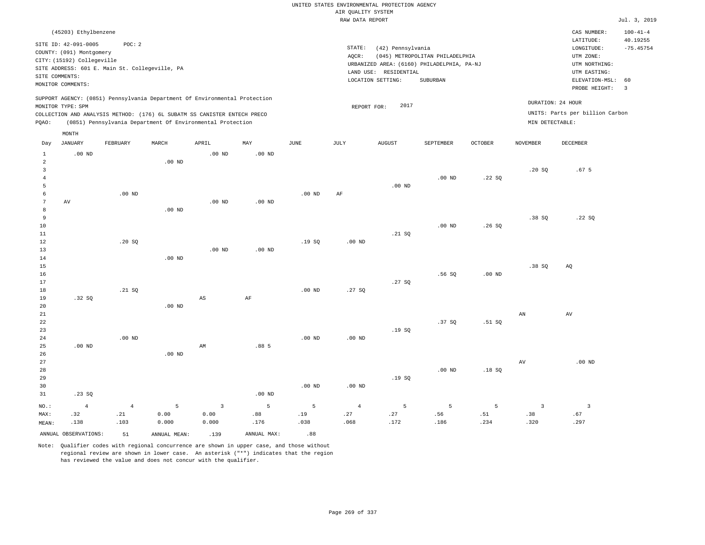|                                                           |                                                                                                                                               |                                                          |                                                                                                                                        |                   |             |                   |                                       | UNITED STATES ENVIRONMENTAL PROTECTION AGENCY         |                                                                                           |                   |                 |                                                                                                                         |                                                                   |
|-----------------------------------------------------------|-----------------------------------------------------------------------------------------------------------------------------------------------|----------------------------------------------------------|----------------------------------------------------------------------------------------------------------------------------------------|-------------------|-------------|-------------------|---------------------------------------|-------------------------------------------------------|-------------------------------------------------------------------------------------------|-------------------|-----------------|-------------------------------------------------------------------------------------------------------------------------|-------------------------------------------------------------------|
|                                                           |                                                                                                                                               |                                                          |                                                                                                                                        |                   |             |                   | AIR QUALITY SYSTEM<br>RAW DATA REPORT |                                                       |                                                                                           |                   |                 |                                                                                                                         | Jul. 3, 2019                                                      |
|                                                           |                                                                                                                                               |                                                          |                                                                                                                                        |                   |             |                   |                                       |                                                       |                                                                                           |                   |                 |                                                                                                                         |                                                                   |
|                                                           | (45203) Ethylbenzene<br>SITE ID: 42-091-0005<br>COUNTY: (091) Montgomery<br>CITY: (15192) Collegeville<br>SITE COMMENTS:<br>MONITOR COMMENTS: | POC: 2<br>SITE ADDRESS: 601 E. Main St. Collegeville, PA |                                                                                                                                        |                   |             |                   | STATE:<br>AQCR:<br>LAND USE:          | (42) Pennsylvania<br>RESIDENTIAL<br>LOCATION SETTING: | (045) METROPOLITAN PHILADELPHIA<br>URBANIZED AREA: (6160) PHILADELPHIA, PA-NJ<br>SUBURBAN |                   |                 | CAS NUMBER:<br>LATITUDE:<br>LONGITUDE:<br>UTM ZONE:<br>UTM NORTHING:<br>UTM EASTING:<br>ELEVATION-MSL:<br>PROBE HEIGHT: | $100 - 41 - 4$<br>40.19255<br>$-75.45754$<br>60<br>$\overline{3}$ |
|                                                           |                                                                                                                                               |                                                          | SUPPORT AGENCY: (0851) Pennsylvania Department Of Environmental Protection                                                             |                   |             |                   |                                       |                                                       |                                                                                           |                   |                 |                                                                                                                         |                                                                   |
| PQAO:                                                     | MONITOR TYPE: SPM                                                                                                                             |                                                          | COLLECTION AND ANALYSIS METHOD: (176) 6L SUBATM SS CANISTER ENTECH PRECO<br>(0851) Pennsylvania Department Of Environmental Protection |                   |             |                   |                                       | 2017<br>REPORT FOR:                                   |                                                                                           |                   | MIN DETECTABLE: | DURATION: 24 HOUR<br>UNITS: Parts per billion Carbon                                                                    |                                                                   |
|                                                           | MONTH                                                                                                                                         |                                                          |                                                                                                                                        | APRIL             | MAY         |                   |                                       |                                                       |                                                                                           |                   |                 |                                                                                                                         |                                                                   |
| Day                                                       | <b>JANUARY</b>                                                                                                                                | FEBRUARY                                                 | MARCH                                                                                                                                  |                   |             | <b>JUNE</b>       | <b>JULY</b>                           | <b>AUGUST</b>                                         | SEPTEMBER                                                                                 | <b>OCTOBER</b>    | <b>NOVEMBER</b> | DECEMBER                                                                                                                |                                                                   |
| $\mathbf{1}$<br>$\overline{2}$<br>$\overline{\mathbf{3}}$ | $.00$ ND                                                                                                                                      |                                                          | $.00$ ND                                                                                                                               | .00 <sub>ND</sub> | $.00$ ND    |                   |                                       |                                                       |                                                                                           |                   | .20SQ           | .67 <sub>5</sub>                                                                                                        |                                                                   |
| $\overline{4}$                                            |                                                                                                                                               |                                                          |                                                                                                                                        |                   |             |                   |                                       |                                                       | $.00$ ND                                                                                  | .22SQ             |                 |                                                                                                                         |                                                                   |
| $\overline{5}$                                            |                                                                                                                                               |                                                          |                                                                                                                                        |                   |             |                   |                                       | $.00$ ND                                              |                                                                                           |                   |                 |                                                                                                                         |                                                                   |
| 6<br>7<br>8                                               | AV                                                                                                                                            | $.00$ ND                                                 | $.00$ ND                                                                                                                               | $.00$ ND          | $.00$ ND    | $.00$ ND          | AF                                    |                                                       |                                                                                           |                   |                 |                                                                                                                         |                                                                   |
| $\overline{9}$                                            |                                                                                                                                               |                                                          |                                                                                                                                        |                   |             |                   |                                       |                                                       |                                                                                           |                   | .38SQ           | .22SQ                                                                                                                   |                                                                   |
| 10<br>11                                                  |                                                                                                                                               |                                                          |                                                                                                                                        |                   |             |                   |                                       | .21 SQ                                                | $.00$ ND                                                                                  | .26S              |                 |                                                                                                                         |                                                                   |
| $1\,2$                                                    |                                                                                                                                               | .20S                                                     |                                                                                                                                        |                   |             | .19S              | $.00$ ND                              |                                                       |                                                                                           |                   |                 |                                                                                                                         |                                                                   |
| 13                                                        |                                                                                                                                               |                                                          |                                                                                                                                        | .00 <sub>ND</sub> | $.00$ ND    |                   |                                       |                                                       |                                                                                           |                   |                 |                                                                                                                         |                                                                   |
| 14                                                        |                                                                                                                                               |                                                          | $.00$ ND                                                                                                                               |                   |             |                   |                                       |                                                       |                                                                                           |                   |                 |                                                                                                                         |                                                                   |
| 15<br>16                                                  |                                                                                                                                               |                                                          |                                                                                                                                        |                   |             |                   |                                       |                                                       | .56SQ                                                                                     | .00 <sub>ND</sub> | .38S            | AQ                                                                                                                      |                                                                   |
| 17                                                        |                                                                                                                                               |                                                          |                                                                                                                                        |                   |             |                   |                                       | .27S                                                  |                                                                                           |                   |                 |                                                                                                                         |                                                                   |
| 18                                                        |                                                                                                                                               | .21 SQ                                                   |                                                                                                                                        |                   |             | .00 <sub>ND</sub> | .27S                                  |                                                       |                                                                                           |                   |                 |                                                                                                                         |                                                                   |
| 19                                                        | .32SQ                                                                                                                                         |                                                          |                                                                                                                                        | $_{\rm AS}$       | $\rm AF$    |                   |                                       |                                                       |                                                                                           |                   |                 |                                                                                                                         |                                                                   |
| $20$<br>21                                                |                                                                                                                                               |                                                          | $.00$ ND                                                                                                                               |                   |             |                   |                                       |                                                       |                                                                                           |                   | AN              | AV                                                                                                                      |                                                                   |
| 22                                                        |                                                                                                                                               |                                                          |                                                                                                                                        |                   |             |                   |                                       |                                                       | .37 SO                                                                                    | .51 SQ            |                 |                                                                                                                         |                                                                   |
| 23                                                        |                                                                                                                                               |                                                          |                                                                                                                                        |                   |             |                   |                                       | .19SQ                                                 |                                                                                           |                   |                 |                                                                                                                         |                                                                   |
| 24                                                        |                                                                                                                                               | $.00$ ND                                                 |                                                                                                                                        |                   |             | .00 <sub>ND</sub> | $.00$ ND                              |                                                       |                                                                                           |                   |                 |                                                                                                                         |                                                                   |
| 25<br>26                                                  | $.00$ ND                                                                                                                                      |                                                          | $.00$ ND                                                                                                                               | AM                | .885        |                   |                                       |                                                       |                                                                                           |                   |                 |                                                                                                                         |                                                                   |
| 27                                                        |                                                                                                                                               |                                                          |                                                                                                                                        |                   |             |                   |                                       |                                                       |                                                                                           |                   | AV              | .00 <sub>ND</sub>                                                                                                       |                                                                   |
| 28                                                        |                                                                                                                                               |                                                          |                                                                                                                                        |                   |             |                   |                                       |                                                       | $.00$ ND                                                                                  | .18S              |                 |                                                                                                                         |                                                                   |
| 29                                                        |                                                                                                                                               |                                                          |                                                                                                                                        |                   |             |                   |                                       | .19SQ                                                 |                                                                                           |                   |                 |                                                                                                                         |                                                                   |
| 30                                                        |                                                                                                                                               |                                                          |                                                                                                                                        |                   |             | $.00$ ND          | $.00$ ND                              |                                                       |                                                                                           |                   |                 |                                                                                                                         |                                                                   |
| 31                                                        | .23SQ                                                                                                                                         |                                                          |                                                                                                                                        |                   | $.00$ ND    |                   |                                       |                                                       |                                                                                           |                   |                 |                                                                                                                         |                                                                   |
| $NO.$ :                                                   | $\overline{4}$                                                                                                                                | $\overline{4}$                                           | 5                                                                                                                                      | $\overline{3}$    | 5           | 5                 | $\overline{4}$                        | 5                                                     | 5                                                                                         | 5                 | $\overline{3}$  | $\overline{\mathbf{3}}$                                                                                                 |                                                                   |
| MAX:                                                      | .32<br>.138                                                                                                                                   | .21<br>.103                                              | 0.00<br>0.000                                                                                                                          | 0.00<br>0.000     | .88<br>.176 | .19<br>.038       | .27<br>.068                           | .27<br>.172                                           | .56<br>.186                                                                               | .51<br>.234       | .38<br>.320     | .67<br>.297                                                                                                             |                                                                   |
| MEAN:                                                     |                                                                                                                                               |                                                          |                                                                                                                                        |                   |             |                   |                                       |                                                       |                                                                                           |                   |                 |                                                                                                                         |                                                                   |
|                                                           | ANNUAL OBSERVATIONS:                                                                                                                          | 51                                                       | ANNUAL MEAN:                                                                                                                           | .139              | ANNUAL MAX: | .88               |                                       |                                                       |                                                                                           |                   |                 |                                                                                                                         |                                                                   |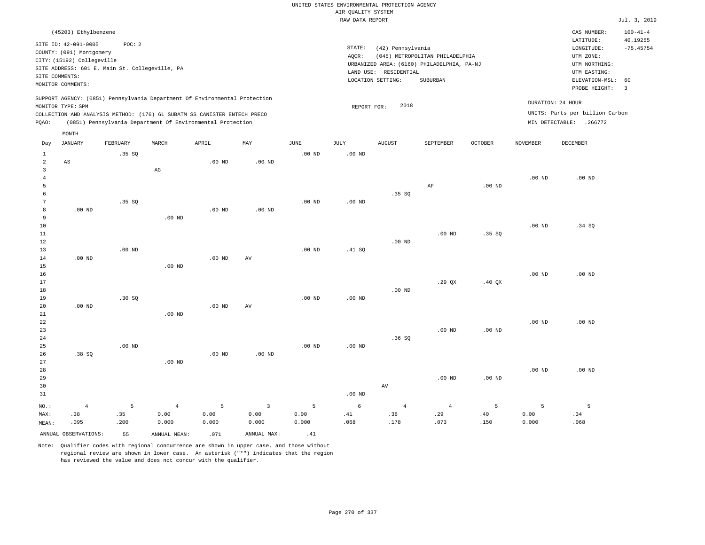|                |                                                |                   |                                                                            |                   |                |                   | UNITED STATES ENVIRONMENTAL PROTECTION AGENCY |                       |                                                                               |          |                   |                                 |                            |
|----------------|------------------------------------------------|-------------------|----------------------------------------------------------------------------|-------------------|----------------|-------------------|-----------------------------------------------|-----------------------|-------------------------------------------------------------------------------|----------|-------------------|---------------------------------|----------------------------|
|                |                                                |                   |                                                                            |                   |                |                   | AIR QUALITY SYSTEM                            |                       |                                                                               |          |                   |                                 |                            |
|                |                                                |                   |                                                                            |                   |                |                   | RAW DATA REPORT                               |                       |                                                                               |          |                   |                                 | Jul. 3, 2019               |
|                | (45203) Ethylbenzene<br>SITE ID: 42-091-0005   | POC: 2            |                                                                            |                   |                |                   | STATE:                                        |                       |                                                                               |          |                   | CAS NUMBER:<br>LATITUDE:        | $100 - 41 - 4$<br>40.19255 |
|                | COUNTY: (091) Montgomery                       |                   |                                                                            |                   |                |                   | AOCR:                                         | (42) Pennsylvania     |                                                                               |          |                   | LONGITUDE:<br>UTM ZONE:         | $-75.45754$                |
|                | CITY: (15192) Collegeville                     |                   |                                                                            |                   |                |                   |                                               |                       | (045) METROPOLITAN PHILADELPHIA<br>URBANIZED AREA: (6160) PHILADELPHIA, PA-NJ |          |                   | UTM NORTHING:                   |                            |
|                | SITE ADDRESS: 601 E. Main St. Collegeville, PA |                   |                                                                            |                   |                |                   |                                               | LAND USE: RESIDENTIAL |                                                                               |          |                   | UTM EASTING:                    |                            |
|                | SITE COMMENTS:                                 |                   |                                                                            |                   |                |                   |                                               | LOCATION SETTING:     | <b>SUBURBAN</b>                                                               |          |                   | ELEVATION-MSL:                  | 60                         |
|                | MONITOR COMMENTS:                              |                   |                                                                            |                   |                |                   |                                               |                       |                                                                               |          |                   | PROBE HEIGHT:                   | $\overline{3}$             |
|                | MONITOR TYPE: SPM                              |                   | SUPPORT AGENCY: (0851) Pennsylvania Department Of Environmental Protection |                   |                |                   | REPORT FOR:                                   | 2018                  |                                                                               |          |                   | DURATION: 24 HOUR               |                            |
|                |                                                |                   | COLLECTION AND ANALYSIS METHOD: (176) 6L SUBATM SS CANISTER ENTECH PRECO   |                   |                |                   |                                               |                       |                                                                               |          |                   | UNITS: Parts per billion Carbon |                            |
| PQAO:          |                                                |                   | (0851) Pennsylvania Department Of Environmental Protection                 |                   |                |                   |                                               |                       |                                                                               |          |                   | MIN DETECTABLE: .266772         |                            |
| Day            | MONTH<br>JANUARY                               | FEBRUARY          | MARCH                                                                      | APRIL             | MAY            | JUNE              | JULY                                          | <b>AUGUST</b>         | SEPTEMBER                                                                     | OCTOBER  | NOVEMBER          | DECEMBER                        |                            |
| $\mathbf{1}$   |                                                | .35S              |                                                                            |                   |                | $.00$ ND          | $.00$ ND                                      |                       |                                                                               |          |                   |                                 |                            |
| $\overline{2}$ | AS                                             |                   |                                                                            | .00 <sub>ND</sub> | $.00$ ND       |                   |                                               |                       |                                                                               |          |                   |                                 |                            |
| $\overline{3}$ |                                                |                   | AG                                                                         |                   |                |                   |                                               |                       |                                                                               |          |                   |                                 |                            |
| $\overline{4}$ |                                                |                   |                                                                            |                   |                |                   |                                               |                       |                                                                               |          | $.00$ ND          | $.00$ ND                        |                            |
| 5              |                                                |                   |                                                                            |                   |                |                   |                                               |                       | AF                                                                            | $.00$ ND |                   |                                 |                            |
| 6              |                                                |                   |                                                                            |                   |                |                   |                                               | .35 SQ                |                                                                               |          |                   |                                 |                            |
| 7              |                                                | .35 SO            |                                                                            |                   |                | $.00$ ND          | .00 <sub>ND</sub>                             |                       |                                                                               |          |                   |                                 |                            |
| 8              | $.00$ ND                                       |                   |                                                                            | $.00$ ND          | $.00$ ND       |                   |                                               |                       |                                                                               |          |                   |                                 |                            |
| 9              |                                                |                   | $.00$ ND                                                                   |                   |                |                   |                                               |                       |                                                                               |          |                   |                                 |                            |
| 10             |                                                |                   |                                                                            |                   |                |                   |                                               |                       |                                                                               |          | $.00$ ND          | .34 SQ                          |                            |
| 11             |                                                |                   |                                                                            |                   |                |                   |                                               |                       | $.00$ ND                                                                      | .35SQ    |                   |                                 |                            |
| 12             |                                                |                   |                                                                            |                   |                |                   |                                               | $.00$ ND              |                                                                               |          |                   |                                 |                            |
| 13             |                                                | $.00$ ND          |                                                                            | $.00$ ND          | AV             | $.00$ ND          | .41 SQ                                        |                       |                                                                               |          |                   |                                 |                            |
| 14<br>15       | $.00$ ND                                       |                   | $.00$ ND                                                                   |                   |                |                   |                                               |                       |                                                                               |          |                   |                                 |                            |
| 16             |                                                |                   |                                                                            |                   |                |                   |                                               |                       |                                                                               |          | $.00$ ND          | $.00$ ND                        |                            |
| 17             |                                                |                   |                                                                            |                   |                |                   |                                               |                       | .29 QX                                                                        | .40 QX   |                   |                                 |                            |
| 18             |                                                |                   |                                                                            |                   |                |                   |                                               | $.00$ ND              |                                                                               |          |                   |                                 |                            |
| 19             |                                                | .30 SQ            |                                                                            |                   |                | $.00$ ND          | $.00$ ND                                      |                       |                                                                               |          |                   |                                 |                            |
| 20             | $.00$ ND                                       |                   |                                                                            | .00 <sub>ND</sub> | AV             |                   |                                               |                       |                                                                               |          |                   |                                 |                            |
| $21\,$         |                                                |                   | $.00$ ND                                                                   |                   |                |                   |                                               |                       |                                                                               |          |                   |                                 |                            |
| 22             |                                                |                   |                                                                            |                   |                |                   |                                               |                       |                                                                               |          | $.00$ ND          | $.00$ ND                        |                            |
| 23             |                                                |                   |                                                                            |                   |                |                   |                                               |                       | .00 <sub>ND</sub>                                                             | $.00$ ND |                   |                                 |                            |
| 24             |                                                |                   |                                                                            |                   |                |                   |                                               | .36S                  |                                                                               |          |                   |                                 |                            |
| 25             |                                                | .00 <sub>ND</sub> |                                                                            |                   |                | .00 <sub>ND</sub> | .00 <sub>ND</sub>                             |                       |                                                                               |          |                   |                                 |                            |
| 26             | .38SQ                                          |                   |                                                                            | $.00$ ND          | $.00$ ND       |                   |                                               |                       |                                                                               |          |                   |                                 |                            |
| 27             |                                                |                   | $.00$ ND                                                                   |                   |                |                   |                                               |                       |                                                                               |          |                   |                                 |                            |
| 28<br>29       |                                                |                   |                                                                            |                   |                |                   |                                               |                       | $.00$ ND                                                                      | $.00$ ND | .00 <sub>ND</sub> | $.00$ ND                        |                            |
| 30             |                                                |                   |                                                                            |                   |                |                   |                                               | $\operatorname{AV}$   |                                                                               |          |                   |                                 |                            |
| 31             |                                                |                   |                                                                            |                   |                |                   | .00 <sub>ND</sub>                             |                       |                                                                               |          |                   |                                 |                            |
|                |                                                |                   |                                                                            |                   |                |                   |                                               |                       |                                                                               |          |                   |                                 |                            |
| NO.:           | $\overline{4}$                                 | 5                 | $\overline{4}$                                                             | 5                 | $\overline{3}$ | 5                 | 6                                             | $\overline{4}$        | $\overline{4}$                                                                | 5        | 5                 | 5                               |                            |
| MAX:           | .38                                            | .35               | 0.00                                                                       | 0.00              | 0.00           | 0.00              | .41                                           | .36                   | .29                                                                           | .40      | 0.00              | .34                             |                            |
| MEAN:          | .095                                           | .200              | 0.000                                                                      | 0.000             | 0.000          | 0.000             | .068                                          | .178                  | .073                                                                          | .150     | 0.000             | .068                            |                            |
|                | ANNUAL OBSERVATIONS:                           | 55                | ANNUAL MEAN:                                                               | .071              | ANNUAL MAX:    | .41               |                                               |                       |                                                                               |          |                   |                                 |                            |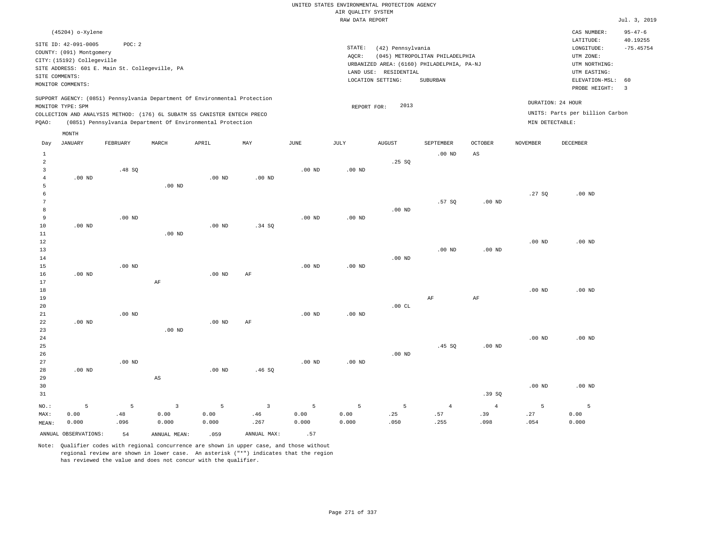| UNITED STATES ENVIRONMENTAL PROTECTION AGENCY |              |
|-----------------------------------------------|--------------|
| AIR OUALITY SYSTEM                            |              |
| RAW DATA REPORT                               | Jul. 3, 2019 |

|                         | (45204) o-Xylene                                 |                                                |                                                                            |                   |                         |                         |                   |                                            |                                 |                   |                   | CAS NUMBER:<br>LATITUDE:        | $95 - 47 - 6$<br>40.19255 |
|-------------------------|--------------------------------------------------|------------------------------------------------|----------------------------------------------------------------------------|-------------------|-------------------------|-------------------------|-------------------|--------------------------------------------|---------------------------------|-------------------|-------------------|---------------------------------|---------------------------|
|                         | SITE ID: 42-091-0005<br>COUNTY: (091) Montgomery | POC: 2                                         |                                                                            |                   |                         |                         | STATE:<br>AQCR:   | (42) Pennsylvania                          | (045) METROPOLITAN PHILADELPHIA |                   |                   | LONGITUDE:<br>UTM ZONE:         | $-75.45754$               |
|                         | CITY: (15192) Collegeville                       |                                                |                                                                            |                   |                         |                         |                   | URBANIZED AREA: (6160) PHILADELPHIA, PA-NJ |                                 |                   |                   | UTM NORTHING:                   |                           |
|                         |                                                  | SITE ADDRESS: 601 E. Main St. Collegeville, PA |                                                                            |                   |                         |                         |                   | LAND USE: RESIDENTIAL                      |                                 |                   |                   | UTM EASTING:                    |                           |
| SITE COMMENTS:          | MONITOR COMMENTS:                                |                                                |                                                                            |                   |                         |                         |                   | LOCATION SETTING:                          | SUBURBAN                        |                   |                   | ELEVATION-MSL:                  | 60                        |
|                         |                                                  |                                                |                                                                            |                   |                         |                         |                   |                                            |                                 |                   |                   | PROBE HEIGHT:                   | $\overline{3}$            |
|                         | MONITOR TYPE: SPM                                |                                                | SUPPORT AGENCY: (0851) Pennsylvania Department Of Environmental Protection |                   |                         |                         | REPORT FOR:       | 2013                                       |                                 |                   | DURATION: 24 HOUR |                                 |                           |
|                         |                                                  |                                                | COLLECTION AND ANALYSIS METHOD: (176) 6L SUBATM SS CANISTER ENTECH PRECO   |                   |                         |                         |                   |                                            |                                 |                   |                   | UNITS: Parts per billion Carbon |                           |
| PQAO:                   |                                                  |                                                | (0851) Pennsylvania Department Of Environmental Protection                 |                   |                         |                         |                   |                                            |                                 |                   | MIN DETECTABLE:   |                                 |                           |
|                         | MONTH                                            |                                                |                                                                            |                   |                         |                         |                   |                                            |                                 |                   |                   |                                 |                           |
| Day                     | <b>JANUARY</b>                                   | FEBRUARY                                       | MARCH                                                                      | APRIL             | MAY                     | <b>JUNE</b>             | JULY              | <b>AUGUST</b>                              | SEPTEMBER                       | <b>OCTOBER</b>    | <b>NOVEMBER</b>   | DECEMBER                        |                           |
| 1                       |                                                  |                                                |                                                                            |                   |                         |                         |                   |                                            | $.00$ ND                        | AS                |                   |                                 |                           |
| $\sqrt{2}$              |                                                  |                                                |                                                                            |                   |                         |                         |                   | .25 SQ                                     |                                 |                   |                   |                                 |                           |
| $\overline{\mathbf{3}}$ |                                                  | .48SQ                                          |                                                                            |                   |                         | $.00$ ND                | $.00$ ND          |                                            |                                 |                   |                   |                                 |                           |
| $\overline{4}$          | $.00$ ND                                         |                                                |                                                                            | .00 <sub>ND</sub> | $.00$ ND                |                         |                   |                                            |                                 |                   |                   |                                 |                           |
| 5                       |                                                  |                                                | $.00$ ND                                                                   |                   |                         |                         |                   |                                            |                                 |                   |                   |                                 |                           |
| 6                       |                                                  |                                                |                                                                            |                   |                         |                         |                   |                                            |                                 |                   | .27SQ             | $.00$ ND                        |                           |
| 7                       |                                                  |                                                |                                                                            |                   |                         |                         |                   |                                            | .57SQ                           | .00 <sub>ND</sub> |                   |                                 |                           |
| 8<br>9                  |                                                  | $.00$ ND                                       |                                                                            |                   |                         | $.00$ ND                | $.00$ ND          | $.00$ ND                                   |                                 |                   |                   |                                 |                           |
| 10                      | $.00$ ND                                         |                                                |                                                                            | $.00$ ND          | .34 SO                  |                         |                   |                                            |                                 |                   |                   |                                 |                           |
| 11                      |                                                  |                                                | $.00$ ND                                                                   |                   |                         |                         |                   |                                            |                                 |                   |                   |                                 |                           |
| 12                      |                                                  |                                                |                                                                            |                   |                         |                         |                   |                                            |                                 |                   | .00 <sub>ND</sub> | .00 <sub>ND</sub>               |                           |
| 13                      |                                                  |                                                |                                                                            |                   |                         |                         |                   |                                            | $.00$ ND                        | .00 <sub>ND</sub> |                   |                                 |                           |
| 14                      |                                                  |                                                |                                                                            |                   |                         |                         |                   | $.00$ ND                                   |                                 |                   |                   |                                 |                           |
| 15                      |                                                  | $.00$ ND                                       |                                                                            |                   |                         | $.00$ ND                | $.00$ ND          |                                            |                                 |                   |                   |                                 |                           |
| 16                      | $.00$ ND                                         |                                                |                                                                            | $.00$ ND          | AF                      |                         |                   |                                            |                                 |                   |                   |                                 |                           |
| 17                      |                                                  |                                                | AF                                                                         |                   |                         |                         |                   |                                            |                                 |                   |                   |                                 |                           |
| 18                      |                                                  |                                                |                                                                            |                   |                         |                         |                   |                                            |                                 |                   | $.00$ ND          | .00 <sub>ND</sub>               |                           |
| 19                      |                                                  |                                                |                                                                            |                   |                         |                         |                   |                                            | $\rm AF$                        | $\rm{AF}$         |                   |                                 |                           |
| 20                      |                                                  |                                                |                                                                            |                   |                         |                         |                   | .00CL                                      |                                 |                   |                   |                                 |                           |
| 21<br>22                | $.00$ ND                                         | $.00$ ND                                       |                                                                            | $.00$ ND          | AF                      | $.00$ ND                | .00 <sub>ND</sub> |                                            |                                 |                   |                   |                                 |                           |
| 23                      |                                                  |                                                | $.00$ ND                                                                   |                   |                         |                         |                   |                                            |                                 |                   |                   |                                 |                           |
| 24                      |                                                  |                                                |                                                                            |                   |                         |                         |                   |                                            |                                 |                   | $.00$ ND          | $.00$ ND                        |                           |
| 25                      |                                                  |                                                |                                                                            |                   |                         |                         |                   |                                            | .45 SQ                          | .00 <sub>ND</sub> |                   |                                 |                           |
| 26                      |                                                  |                                                |                                                                            |                   |                         |                         |                   | $.00$ ND                                   |                                 |                   |                   |                                 |                           |
| 27                      |                                                  | $.00$ ND                                       |                                                                            |                   |                         | $.00$ ND                | $.00$ ND          |                                            |                                 |                   |                   |                                 |                           |
| 28                      | .00 <sub>ND</sub>                                |                                                |                                                                            | .00 <sub>ND</sub> | .46SQ                   |                         |                   |                                            |                                 |                   |                   |                                 |                           |
| 29                      |                                                  |                                                | $_{\rm AS}$                                                                |                   |                         |                         |                   |                                            |                                 |                   |                   |                                 |                           |
| 30                      |                                                  |                                                |                                                                            |                   |                         |                         |                   |                                            |                                 |                   | $.00$ ND          | $.00$ ND                        |                           |
| 31                      |                                                  |                                                |                                                                            |                   |                         |                         |                   |                                            |                                 | .39 SQ            |                   |                                 |                           |
| NO.:                    | 5                                                | 5                                              | $\overline{\mathbf{3}}$                                                    | 5                 | $\overline{\mathbf{3}}$ | 5                       | 5                 | 5                                          | $\,4\,$                         | $\overline{4}$    | 5                 | 5                               |                           |
| MAX:                    | 0.00                                             | .48                                            | 0.00                                                                       | 0.00              | .46                     | 0.00                    | 0.00              | .25                                        | .57                             | .39               | .27               | 0.00                            |                           |
| MEAN:                   | 0.000                                            | .096                                           | 0.000                                                                      | 0.000             | .267                    | 0.000                   | 0.000             | .050                                       | .255                            | .098              | .054              | 0.000                           |                           |
|                         | ANNUAL OBSERVATIONS:                             | 54                                             | ANNUAL MEAN:                                                               | .059              | ANNUAL MAX:             | .57                     |                   |                                            |                                 |                   |                   |                                 |                           |
|                         |                                                  | $\sim$ $\sim$                                  |                                                                            |                   |                         | $\sim$ $\sim$<br>$\sim$ |                   |                                            |                                 |                   |                   |                                 |                           |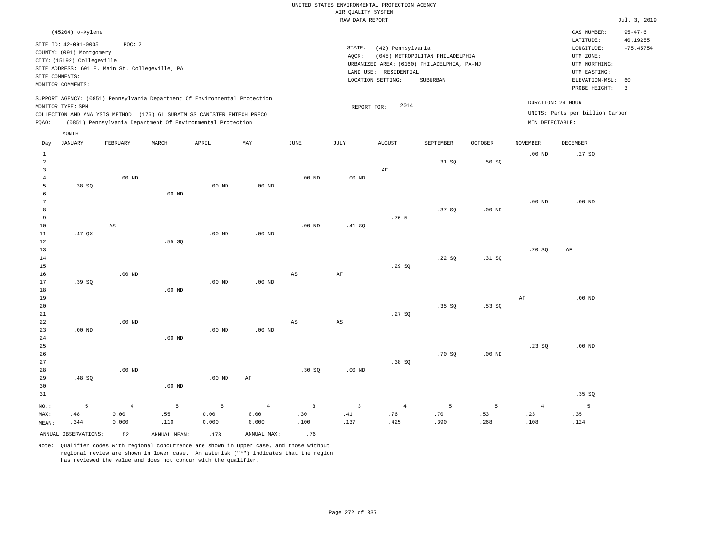|                                                  |                                                                                                    |                                                                                                                                                                                                                      |                   |                    |                                 |                                        | AIR QUALITY SYSTEM            | UNITED STATES ENVIRONMENTAL PROTECTION AGENCY |                                                        |                   |                               |                                                                  |                                          |
|--------------------------------------------------|----------------------------------------------------------------------------------------------------|----------------------------------------------------------------------------------------------------------------------------------------------------------------------------------------------------------------------|-------------------|--------------------|---------------------------------|----------------------------------------|-------------------------------|-----------------------------------------------|--------------------------------------------------------|-------------------|-------------------------------|------------------------------------------------------------------|------------------------------------------|
|                                                  |                                                                                                    |                                                                                                                                                                                                                      |                   |                    |                                 |                                        | RAW DATA REPORT               |                                               |                                                        |                   |                               |                                                                  | Jul. 3, 2019                             |
|                                                  | (45204) o-Xylene<br>SITE ID: 42-091-0005<br>COUNTY: (091) Montgomery<br>CITY: (15192) Collegeville | POC: 2                                                                                                                                                                                                               |                   |                    |                                 |                                        | STATE:<br>AQCR:               | (42) Pennsylvania                             | (045) METROPOLITAN PHILADELPHIA                        |                   |                               | CAS NUMBER:<br>LATITUDE:<br>LONGITUDE:<br>UTM ZONE:              | $95 - 47 - 6$<br>40.19255<br>$-75.45754$ |
|                                                  | SITE COMMENTS:<br>MONITOR COMMENTS:                                                                | SITE ADDRESS: 601 E. Main St. Collegeville, PA                                                                                                                                                                       |                   |                    |                                 |                                        |                               | LAND USE: RESIDENTIAL<br>LOCATION SETTING:    | URBANIZED AREA: (6160) PHILADELPHIA, PA-NJ<br>SUBURBAN |                   |                               | UTM NORTHING:<br>UTM EASTING:<br>ELEVATION-MSL:<br>PROBE HEIGHT: | 60<br>$\overline{3}$                     |
| PQAO:                                            | MONITOR TYPE: SPM                                                                                  | SUPPORT AGENCY: (0851) Pennsylvania Department Of Environmental Protection<br>COLLECTION AND ANALYSIS METHOD: (176) 6L SUBATM SS CANISTER ENTECH PRECO<br>(0851) Pennsylvania Department Of Environmental Protection |                   |                    |                                 |                                        | REPORT FOR:                   | 2014                                          |                                                        |                   | MIN DETECTABLE:               | DURATION: 24 HOUR<br>UNITS: Parts per billion Carbon             |                                          |
| Day                                              | MONTH<br><b>JANUARY</b>                                                                            | FEBRUARY                                                                                                                                                                                                             | MARCH             | APRIL              | MAY                             | <b>JUNE</b>                            | <b>JULY</b>                   | <b>AUGUST</b>                                 | SEPTEMBER                                              | <b>OCTOBER</b>    | <b>NOVEMBER</b>               | DECEMBER                                                         |                                          |
| $\mathbf{1}$<br>$\overline{2}$<br>$\overline{3}$ |                                                                                                    |                                                                                                                                                                                                                      |                   |                    |                                 |                                        |                               | AF                                            | .31 S0                                                 | .50S              | .00 <sub>ND</sub>             | .27SQ                                                            |                                          |
| $\overline{4}$<br>5<br>6                         | .38SQ                                                                                              | $.00$ ND                                                                                                                                                                                                             | .00 <sub>ND</sub> | .00 <sub>ND</sub>  | $.00$ ND                        | .00 <sub>ND</sub>                      | .00 <sub>ND</sub>             |                                               |                                                        |                   |                               |                                                                  |                                          |
| $7\phantom{.0}$<br>8<br>$\,9$<br>10              |                                                                                                    | AS                                                                                                                                                                                                                   |                   |                    |                                 | $.00$ ND                               | .41 SO                        | .76 <sub>5</sub>                              | .37SQ                                                  | .00 <sub>ND</sub> | .00 <sub>ND</sub>             | $.00$ ND                                                         |                                          |
| $11\,$<br>12<br>13<br>14                         | .47 QX                                                                                             |                                                                                                                                                                                                                      | .55SQ             | .00 <sub>ND</sub>  | .00 <sub>ND</sub>               |                                        |                               |                                               | .22S                                                   | .31 SQ            | .20S                          | AF                                                               |                                          |
| 15<br>16<br>17<br>18                             | .39SQ                                                                                              | $.00$ ND                                                                                                                                                                                                             | .00 <sub>ND</sub> | $.00$ ND           | .00 <sub>ND</sub>               | AS                                     | AF                            | .29SQ                                         |                                                        |                   |                               |                                                                  |                                          |
| 19<br>20<br>21<br>22                             |                                                                                                    | $.00$ ND                                                                                                                                                                                                             |                   |                    |                                 | AS                                     | $\mathbb{A}\mathbb{S}$        | .27SQ                                         | .35S                                                   | .53S              | $\rm{AF}$                     | $.00$ ND                                                         |                                          |
| 23<br>24<br>25                                   | $.00$ ND                                                                                           |                                                                                                                                                                                                                      | $.00$ ND          | $.00$ ND           | $.00$ ND                        |                                        |                               |                                               |                                                        |                   | .23SQ                         | $.00$ ND                                                         |                                          |
| 26<br>27<br>28<br>29<br>30                       | .48SQ                                                                                              | $.00$ ND                                                                                                                                                                                                             | $.00$ ND          | .00 <sub>ND</sub>  | $\rm AF$                        | .30S                                   | $.00$ ND                      | .38SQ                                         | .70 SO                                                 | .00 <sub>ND</sub> |                               |                                                                  |                                          |
| 31                                               |                                                                                                    |                                                                                                                                                                                                                      |                   |                    |                                 |                                        |                               |                                               |                                                        |                   |                               | .35 SQ                                                           |                                          |
| NO.:<br>MAX:<br>MEAN:                            | 5<br>.48<br>.344                                                                                   | $\overline{4}$<br>0.00<br>0.000                                                                                                                                                                                      | 5<br>.55<br>.110  | 5<br>0.00<br>0.000 | $\overline{4}$<br>0.00<br>0.000 | $\overline{\mathbf{3}}$<br>.30<br>.100 | $\overline{3}$<br>.41<br>.137 | $\overline{4}$<br>.76<br>.425                 | 5<br>.70<br>.390                                       | 5<br>.53<br>.268  | $\overline{4}$<br>.23<br>.108 | $5\overline{5}$<br>.35<br>.124                                   |                                          |

ANNUAL OBSERVATIONS:  $52$  ANNUAL MEAN: .173 ANNUAL MAX: .76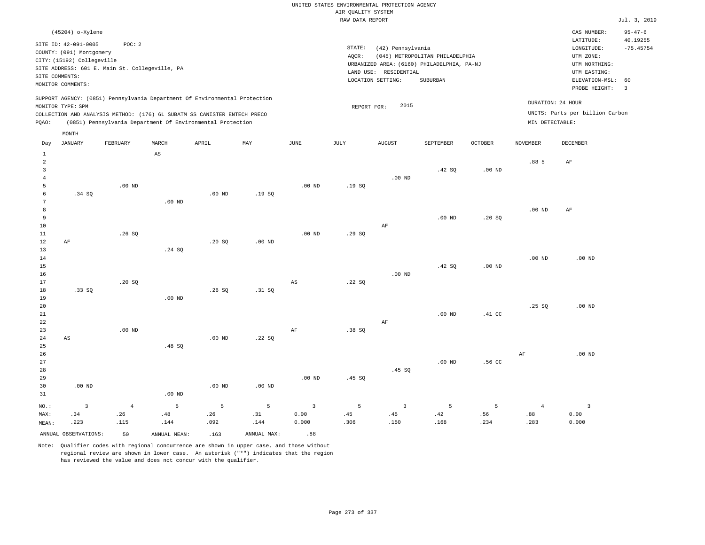|                     |                                          |                                                |                                 |                                                                            |                   |                   | AIR QUALITY SYSTEM | UNITED STATES ENVIRONMENTAL PROTECTION AGENCY |                                            |                   |                   |                                 |                         |
|---------------------|------------------------------------------|------------------------------------------------|---------------------------------|----------------------------------------------------------------------------|-------------------|-------------------|--------------------|-----------------------------------------------|--------------------------------------------|-------------------|-------------------|---------------------------------|-------------------------|
|                     |                                          |                                                |                                 |                                                                            |                   |                   | RAW DATA REPORT    |                                               |                                            |                   |                   |                                 | Jul. 3, 2019            |
|                     |                                          |                                                |                                 |                                                                            |                   |                   |                    |                                               |                                            |                   |                   | CAS NUMBER:                     | $95 - 47 - 6$           |
|                     | (45204) o-Xylene<br>SITE ID: 42-091-0005 | POC: 2                                         |                                 |                                                                            |                   |                   | STATE:             | (42) Pennsylvania                             |                                            |                   |                   | LATITUDE:<br>LONGITUDE:         | 40.19255<br>$-75.45754$ |
|                     | COUNTY: (091) Montgomery                 |                                                |                                 |                                                                            |                   |                   | AQCR:              |                                               | (045) METROPOLITAN PHILADELPHIA            |                   |                   | UTM ZONE:                       |                         |
|                     | CITY: (15192) Collegeville               |                                                |                                 |                                                                            |                   |                   |                    |                                               | URBANIZED AREA: (6160) PHILADELPHIA, PA-NJ |                   |                   | UTM NORTHING:                   |                         |
|                     |                                          | SITE ADDRESS: 601 E. Main St. Collegeville, PA |                                 |                                                                            |                   |                   |                    | LAND USE: RESIDENTIAL                         |                                            |                   |                   | UTM EASTING:                    |                         |
| SITE COMMENTS:      |                                          |                                                |                                 |                                                                            |                   |                   |                    | LOCATION SETTING:                             | SUBURBAN                                   |                   |                   | ELEVATION-MSL:                  | 60                      |
|                     | MONITOR COMMENTS:                        |                                                |                                 |                                                                            |                   |                   |                    |                                               |                                            |                   |                   | PROBE HEIGHT:                   | $\overline{3}$          |
|                     | MONITOR TYPE: SPM                        |                                                |                                 | SUPPORT AGENCY: (0851) Pennsylvania Department Of Environmental Protection |                   |                   | REPORT FOR:        | 2015                                          |                                            |                   |                   | DURATION: 24 HOUR               |                         |
|                     |                                          |                                                |                                 | COLLECTION AND ANALYSIS METHOD: (176) 6L SUBATM SS CANISTER ENTECH PRECO   |                   |                   |                    |                                               |                                            |                   |                   | UNITS: Parts per billion Carbon |                         |
| PQAO:               |                                          |                                                |                                 | (0851) Pennsylvania Department Of Environmental Protection                 |                   |                   |                    |                                               |                                            |                   | MIN DETECTABLE:   |                                 |                         |
|                     | MONTH                                    |                                                |                                 |                                                                            |                   |                   |                    |                                               |                                            |                   |                   |                                 |                         |
| Day<br>$\mathbf{1}$ | <b>JANUARY</b>                           | FEBRUARY                                       | MARCH<br>$\mathbb{A}\mathbb{S}$ | APRIL                                                                      | MAY               | <b>JUNE</b>       | JULY               | <b>AUGUST</b>                                 | SEPTEMBER                                  | <b>OCTOBER</b>    | <b>NOVEMBER</b>   | DECEMBER                        |                         |
| $\overline{2}$      |                                          |                                                |                                 |                                                                            |                   |                   |                    |                                               |                                            |                   | .885              | $\rm{AF}$                       |                         |
| $\overline{3}$      |                                          |                                                |                                 |                                                                            |                   |                   |                    |                                               | .42 SQ                                     | .00 <sub>ND</sub> |                   |                                 |                         |
| $\overline{4}$      |                                          |                                                |                                 |                                                                            |                   |                   |                    | $.00$ ND                                      |                                            |                   |                   |                                 |                         |
| 5                   |                                          | .00 <sub>ND</sub>                              |                                 |                                                                            |                   | $.00$ ND          | .19SQ              |                                               |                                            |                   |                   |                                 |                         |
| 6                   | .34 SQ                                   |                                                |                                 | $.00$ ND                                                                   | .19S              |                   |                    |                                               |                                            |                   |                   |                                 |                         |
| $\overline{7}$      |                                          |                                                | $.00$ ND                        |                                                                            |                   |                   |                    |                                               |                                            |                   |                   |                                 |                         |
| 8                   |                                          |                                                |                                 |                                                                            |                   |                   |                    |                                               |                                            |                   | $.00$ ND          | AF                              |                         |
| $\overline{9}$      |                                          |                                                |                                 |                                                                            |                   |                   |                    |                                               | $.00$ ND                                   | .20S              |                   |                                 |                         |
| 10                  |                                          |                                                |                                 |                                                                            |                   |                   |                    | AF                                            |                                            |                   |                   |                                 |                         |
| $1\,1$<br>12        | AF                                       | .26SQ                                          |                                 | .20SQ                                                                      | .00 <sub>ND</sub> | .00 <sub>ND</sub> | .29SQ              |                                               |                                            |                   |                   |                                 |                         |
| 13                  |                                          |                                                | .24 SQ                          |                                                                            |                   |                   |                    |                                               |                                            |                   |                   |                                 |                         |
| $1\,4$              |                                          |                                                |                                 |                                                                            |                   |                   |                    |                                               |                                            |                   | .00 <sub>ND</sub> | $.00$ ND                        |                         |
| 15                  |                                          |                                                |                                 |                                                                            |                   |                   |                    |                                               | .42 SQ                                     | $.00$ ND          |                   |                                 |                         |
| 16                  |                                          |                                                |                                 |                                                                            |                   |                   |                    | $.00$ ND                                      |                                            |                   |                   |                                 |                         |
| 17                  |                                          | .20SQ                                          |                                 |                                                                            |                   | AS                | .22SQ              |                                               |                                            |                   |                   |                                 |                         |
| $1\,8$              | .33SQ                                    |                                                |                                 | .26SQ                                                                      | .31 SQ            |                   |                    |                                               |                                            |                   |                   |                                 |                         |
| 19                  |                                          |                                                | $.00$ ND                        |                                                                            |                   |                   |                    |                                               |                                            |                   |                   |                                 |                         |
| 20                  |                                          |                                                |                                 |                                                                            |                   |                   |                    |                                               |                                            |                   | .25 S             | $.00$ ND                        |                         |
| 21                  |                                          |                                                |                                 |                                                                            |                   |                   |                    |                                               | .00 <sub>ND</sub>                          | .41 <sub>C</sub>  |                   |                                 |                         |
| 22                  |                                          |                                                |                                 |                                                                            |                   |                   |                    | AF                                            |                                            |                   |                   |                                 |                         |
| 23<br>24            | $\mathbb{A}\mathbb{S}$                   | $.00$ ND                                       |                                 | .00 <sub>ND</sub>                                                          | .22SQ             | AF                | .38 SQ             |                                               |                                            |                   |                   |                                 |                         |
| 25                  |                                          |                                                | .48 SQ                          |                                                                            |                   |                   |                    |                                               |                                            |                   |                   |                                 |                         |
| 26                  |                                          |                                                |                                 |                                                                            |                   |                   |                    |                                               |                                            |                   | AF                | $.00$ ND                        |                         |
| 27                  |                                          |                                                |                                 |                                                                            |                   |                   |                    |                                               | .00 <sub>ND</sub>                          | .56 CC            |                   |                                 |                         |
| 28                  |                                          |                                                |                                 |                                                                            |                   |                   |                    | .45SQ                                         |                                            |                   |                   |                                 |                         |
| 29                  |                                          |                                                |                                 |                                                                            |                   | .00 <sub>ND</sub> | .45SQ              |                                               |                                            |                   |                   |                                 |                         |
| 30                  | $.00$ ND                                 |                                                |                                 | $.00$ ND                                                                   | .00 <sub>ND</sub> |                   |                    |                                               |                                            |                   |                   |                                 |                         |
| 31                  |                                          |                                                | .00 <sub>ND</sub>               |                                                                            |                   |                   |                    |                                               |                                            |                   |                   |                                 |                         |
| NO.:                | $\overline{\mathbf{3}}$                  | $\sqrt{4}$                                     | 5                               | 5                                                                          | $\overline{5}$    | $\overline{3}$    | 5                  | $\mathbf{3}$                                  | 5                                          | 5                 | $\overline{4}$    | $\overline{\mathbf{3}}$         |                         |
| MAX:                | .34                                      | .26                                            | .48                             | .26                                                                        | .31               | 0.00              | .45                | .45                                           | .42                                        | .56               | .88               | 0.00                            |                         |
| MEAN:               | .223                                     | .115                                           | .144                            | .092                                                                       | .144              | 0.000             | .306               | .150                                          | .168                                       | .234              | .283              | 0.000                           |                         |
|                     | ANNUAL OBSERVATIONS:                     | 50                                             | ANNUAL, MEAN:                   | .163                                                                       | ANNUAL MAX:       | .88               |                    |                                               |                                            |                   |                   |                                 |                         |

Note: Qualifier codes with regional concurrence are shown in upper case, and those without regional review are shown in lower case. An asterisk ("\*") indicates that the region

has reviewed the value and does not concur with the qualifier.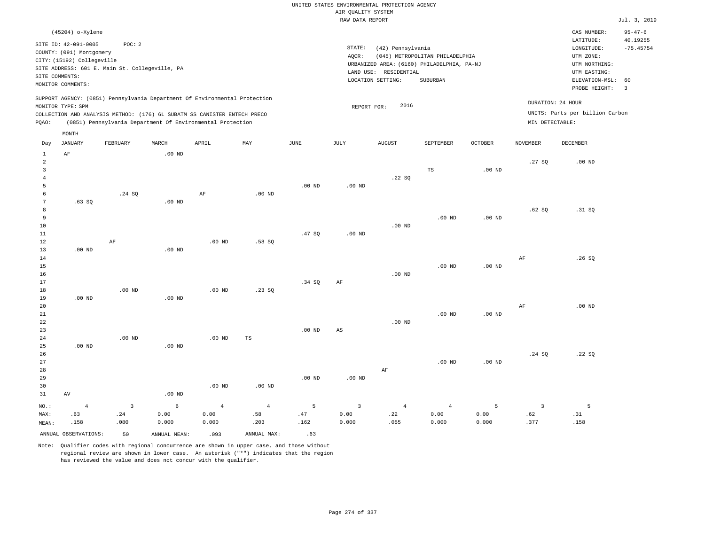|                |                                     |                                                |                                                                            |                   |                   |                   |                    | UNITED STATES ENVIRONMENTAL PROTECTION AGENCY |                                            |                   |                         |                                     |                         |
|----------------|-------------------------------------|------------------------------------------------|----------------------------------------------------------------------------|-------------------|-------------------|-------------------|--------------------|-----------------------------------------------|--------------------------------------------|-------------------|-------------------------|-------------------------------------|-------------------------|
|                |                                     |                                                |                                                                            |                   |                   |                   | AIR QUALITY SYSTEM |                                               |                                            |                   |                         |                                     |                         |
|                |                                     |                                                |                                                                            |                   |                   |                   | RAW DATA REPORT    |                                               |                                            |                   |                         |                                     | Jul. 3, 2019            |
|                | (45204) o-Xylene                    |                                                |                                                                            |                   |                   |                   |                    |                                               |                                            |                   |                         | CAS NUMBER:                         | $95 - 47 - 6$           |
|                | SITE ID: 42-091-0005                | POC: 2                                         |                                                                            |                   |                   |                   | STATE:             | (42) Pennsylvania                             |                                            |                   |                         | LATITUDE:<br>$\texttt{LONGITUDE}$ : | 40.19255<br>$-75.45754$ |
|                | COUNTY: (091) Montgomery            |                                                |                                                                            |                   |                   |                   | AOCR:              |                                               | (045) METROPOLITAN PHILADELPHIA            |                   |                         | UTM ZONE:                           |                         |
|                | CITY: (15192) Collegeville          |                                                |                                                                            |                   |                   |                   |                    |                                               | URBANIZED AREA: (6160) PHILADELPHIA, PA-NJ |                   |                         | UTM NORTHING:                       |                         |
|                |                                     | SITE ADDRESS: 601 E. Main St. Collegeville, PA |                                                                            |                   |                   |                   |                    | LAND USE: RESIDENTIAL                         |                                            |                   |                         | UTM EASTING:                        |                         |
|                | SITE COMMENTS:<br>MONITOR COMMENTS: |                                                |                                                                            |                   |                   |                   |                    | LOCATION SETTING:                             | SUBURBAN                                   |                   |                         | ELEVATION-MSL:                      | 60                      |
|                |                                     |                                                |                                                                            |                   |                   |                   |                    |                                               |                                            |                   |                         | PROBE HEIGHT:                       | $\overline{3}$          |
|                |                                     |                                                | SUPPORT AGENCY: (0851) Pennsylvania Department Of Environmental Protection |                   |                   |                   |                    |                                               |                                            |                   |                         | DURATION: 24 HOUR                   |                         |
|                | MONITOR TYPE: SPM                   |                                                |                                                                            |                   |                   |                   | REPORT FOR:        | 2016                                          |                                            |                   |                         |                                     |                         |
|                |                                     |                                                | COLLECTION AND ANALYSIS METHOD: (176) 6L SUBATM SS CANISTER ENTECH PRECO   |                   |                   |                   |                    |                                               |                                            |                   |                         | UNITS: Parts per billion Carbon     |                         |
| PQAO:          |                                     |                                                | (0851) Pennsylvania Department Of Environmental Protection                 |                   |                   |                   |                    |                                               |                                            |                   | MIN DETECTABLE:         |                                     |                         |
|                | MONTH                               |                                                |                                                                            |                   |                   |                   |                    |                                               |                                            |                   |                         |                                     |                         |
| Day            | <b>JANUARY</b>                      | FEBRUARY                                       | MARCH                                                                      | APRIL             | MAY               | <b>JUNE</b>       | JULY               | <b>AUGUST</b>                                 | SEPTEMBER                                  | <b>OCTOBER</b>    | <b>NOVEMBER</b>         | <b>DECEMBER</b>                     |                         |
| $\mathbf{1}$   | AF                                  |                                                | .00 <sub>ND</sub>                                                          |                   |                   |                   |                    |                                               |                                            |                   |                         |                                     |                         |
| $\overline{a}$ |                                     |                                                |                                                                            |                   |                   |                   |                    |                                               |                                            |                   | .27SQ                   | .00 <sub>ND</sub>                   |                         |
| 3              |                                     |                                                |                                                                            |                   |                   |                   |                    |                                               | $_{\rm TS}$                                | .00 <sub>ND</sub> |                         |                                     |                         |
| $\overline{4}$ |                                     |                                                |                                                                            |                   |                   |                   |                    | .22SQ                                         |                                            |                   |                         |                                     |                         |
| 5<br>6         |                                     | .24 S0                                         |                                                                            | AF                | $.00$ ND          | $.00$ ND          | .00 <sub>ND</sub>  |                                               |                                            |                   |                         |                                     |                         |
| $\overline{7}$ | .63SQ                               |                                                | .00 <sub>ND</sub>                                                          |                   |                   |                   |                    |                                               |                                            |                   |                         |                                     |                         |
| 8              |                                     |                                                |                                                                            |                   |                   |                   |                    |                                               |                                            |                   | .62S                    | .31 S0                              |                         |
| 9              |                                     |                                                |                                                                            |                   |                   |                   |                    |                                               | .00 <sub>ND</sub>                          | .00 <sub>ND</sub> |                         |                                     |                         |
| $10$           |                                     |                                                |                                                                            |                   |                   |                   |                    | $.00$ ND                                      |                                            |                   |                         |                                     |                         |
| $11\,$         |                                     |                                                |                                                                            |                   |                   | .47SQ             | .00 <sub>ND</sub>  |                                               |                                            |                   |                         |                                     |                         |
| 12             |                                     | AF                                             |                                                                            | $.00$ ND          | .58SQ             |                   |                    |                                               |                                            |                   |                         |                                     |                         |
| 13             | $.00$ ND                            |                                                | $.00$ ND                                                                   |                   |                   |                   |                    |                                               |                                            |                   |                         |                                     |                         |
| 14<br>15       |                                     |                                                |                                                                            |                   |                   |                   |                    |                                               | $.00$ ND                                   | $.00$ ND          | AF                      | .26SQ                               |                         |
| 16             |                                     |                                                |                                                                            |                   |                   |                   |                    | $.00$ ND                                      |                                            |                   |                         |                                     |                         |
| 17             |                                     |                                                |                                                                            |                   |                   | .34S              | AF                 |                                               |                                            |                   |                         |                                     |                         |
| 18             |                                     | $.00$ ND                                       |                                                                            | .00 <sub>ND</sub> | .23 S0            |                   |                    |                                               |                                            |                   |                         |                                     |                         |
| 19             | $.00$ ND                            |                                                | .00 <sub>ND</sub>                                                          |                   |                   |                   |                    |                                               |                                            |                   |                         |                                     |                         |
| 20             |                                     |                                                |                                                                            |                   |                   |                   |                    |                                               |                                            |                   | AF                      | $.00$ ND                            |                         |
| $2\sqrt{1}$    |                                     |                                                |                                                                            |                   |                   |                   |                    |                                               | $.00$ ND                                   | .00 <sub>ND</sub> |                         |                                     |                         |
| $\bf{22}$      |                                     |                                                |                                                                            |                   |                   |                   |                    | $.00$ ND                                      |                                            |                   |                         |                                     |                         |
| 23<br>24       |                                     | $.00$ ND                                       |                                                                            | $.00$ ND          | TS                | $.00$ ND          | $_{\rm AS}$        |                                               |                                            |                   |                         |                                     |                         |
| 25             | $.00$ ND                            |                                                | $.00$ ND                                                                   |                   |                   |                   |                    |                                               |                                            |                   |                         |                                     |                         |
| 26             |                                     |                                                |                                                                            |                   |                   |                   |                    |                                               |                                            |                   | .24SQ                   | .22SQ                               |                         |
| 27             |                                     |                                                |                                                                            |                   |                   |                   |                    |                                               | .00 <sub>ND</sub>                          | .00 <sub>ND</sub> |                         |                                     |                         |
| $2\,8$         |                                     |                                                |                                                                            |                   |                   |                   |                    | $\rm AF$                                      |                                            |                   |                         |                                     |                         |
| 29             |                                     |                                                |                                                                            |                   |                   | .00 <sub>ND</sub> | .00 <sub>ND</sub>  |                                               |                                            |                   |                         |                                     |                         |
| 30             |                                     |                                                |                                                                            | .00 <sub>ND</sub> | .00 <sub>ND</sub> |                   |                    |                                               |                                            |                   |                         |                                     |                         |
| 31             | AV                                  |                                                | .00 <sub>ND</sub>                                                          |                   |                   |                   |                    |                                               |                                            |                   |                         |                                     |                         |
| NO.:           | $\overline{4}$                      | $\overline{3}$                                 | $\epsilon$                                                                 | $\overline{4}$    | $\overline{4}$    | 5                 | $\overline{3}$     | $\sqrt{4}$                                    | $\overline{4}$                             | 5                 | $\overline{\mathbf{3}}$ | 5                                   |                         |
| MAX:           | .63                                 | .24                                            | 0.00                                                                       | 0.00              | .58               | .47               | 0.00               | .22                                           | 0.00                                       | 0.00              | .62                     | .31                                 |                         |
| MEAN:          | .158                                | .080                                           | 0.000                                                                      | 0.000             | .203              | .162              | 0.000              | .055                                          | 0.000                                      | 0.000             | .377                    | .158                                |                         |
|                | ANNUAL OBSERVATIONS:                | 50                                             | ANNUAL, MEAN:                                                              | .093              | ANNUAL MAX:       | .63               |                    |                                               |                                            |                   |                         |                                     |                         |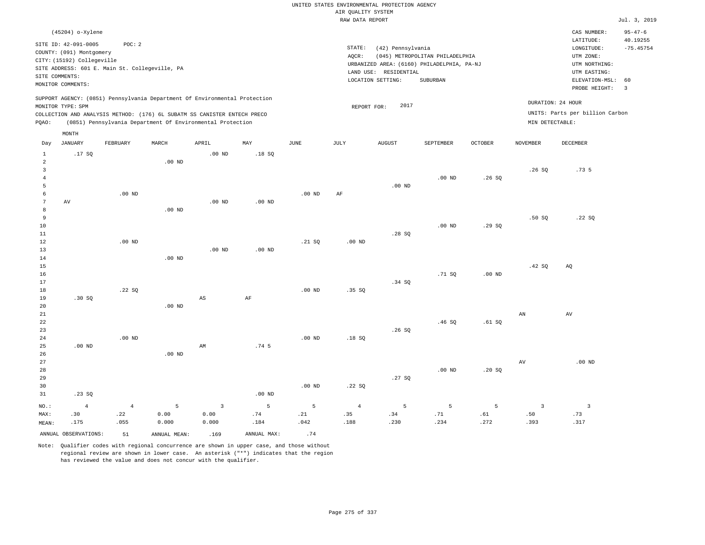|                                  |                                                                  |                   |                                                                            |                        |                  |                   |                    | UNITED STATES ENVIRONMENTAL PROTECTION AGENCY |                                            |          |                   |                                                    |                                          |
|----------------------------------|------------------------------------------------------------------|-------------------|----------------------------------------------------------------------------|------------------------|------------------|-------------------|--------------------|-----------------------------------------------|--------------------------------------------|----------|-------------------|----------------------------------------------------|------------------------------------------|
|                                  |                                                                  |                   |                                                                            |                        |                  |                   | AIR QUALITY SYSTEM |                                               |                                            |          |                   |                                                    |                                          |
|                                  |                                                                  |                   |                                                                            |                        |                  |                   | RAW DATA REPORT    |                                               |                                            |          |                   |                                                    | Jul. 3, 2019                             |
|                                  | (45204) o-Xylene<br>SITE ID: 42-091-0005                         | POC: 2            |                                                                            |                        |                  |                   | $\texttt{STATE}$ : | (42) Pennsylvania                             |                                            |          |                   | CAS NUMBER:<br>LATITUDE:<br>$\texttt{LONGITUDE}$ : | $95 - 47 - 6$<br>40.19255<br>$-75.45754$ |
|                                  | COUNTY: (091) Montgomery                                         |                   |                                                                            |                        |                  |                   | AQCR:              |                                               | (045) METROPOLITAN PHILADELPHIA            |          |                   | UTM ZONE:                                          |                                          |
|                                  | CITY: (15192) Collegeville                                       |                   |                                                                            |                        |                  |                   |                    |                                               | URBANIZED AREA: (6160) PHILADELPHIA, PA-NJ |          |                   | UTM NORTHING:                                      |                                          |
|                                  | SITE ADDRESS: 601 E. Main St. Collegeville, PA<br>SITE COMMENTS: |                   |                                                                            |                        |                  |                   |                    | LAND USE: RESIDENTIAL                         |                                            |          |                   | UTM EASTING:                                       |                                          |
|                                  | MONITOR COMMENTS:                                                |                   |                                                                            |                        |                  |                   |                    | LOCATION SETTING:                             | SUBURBAN                                   |          |                   | ELEVATION-MSL:                                     | 60<br>$\overline{3}$                     |
|                                  | MONITOR TYPE: SPM                                                |                   | SUPPORT AGENCY: (0851) Pennsylvania Department Of Environmental Protection |                        |                  |                   |                    | 2017<br>REPORT FOR:                           |                                            |          | DURATION: 24 HOUR | PROBE HEIGHT:                                      |                                          |
|                                  |                                                                  |                   | COLLECTION AND ANALYSIS METHOD: (176) 6L SUBATM SS CANISTER ENTECH PRECO   |                        |                  |                   |                    |                                               |                                            |          |                   | UNITS: Parts per billion Carbon                    |                                          |
| PQAO:                            |                                                                  |                   | (0851) Pennsylvania Department Of Environmental Protection                 |                        |                  |                   |                    |                                               |                                            |          | MIN DETECTABLE:   |                                                    |                                          |
| Day                              | MONTH<br>JANUARY                                                 | FEBRUARY          | MARCH                                                                      | APRIL                  | MAY              | $\mathtt{JUNE}$   | <b>JULY</b>        | <b>AUGUST</b>                                 | SEPTEMBER                                  | OCTOBER  | <b>NOVEMBER</b>   | <b>DECEMBER</b>                                    |                                          |
| $\mathbf{1}$                     | .17SQ                                                            |                   |                                                                            | $.00$ ND               | .18SQ            |                   |                    |                                               |                                            |          |                   |                                                    |                                          |
| $\sqrt{2}$                       |                                                                  |                   | .00 <sub>ND</sub>                                                          |                        |                  |                   |                    |                                               |                                            |          |                   |                                                    |                                          |
| $\overline{3}$<br>$\overline{4}$ |                                                                  |                   |                                                                            |                        |                  |                   |                    |                                               | $.00$ ND                                   | .26SQ    | .26S              | .73 <sub>5</sub>                                   |                                          |
| 5                                |                                                                  |                   |                                                                            |                        |                  |                   |                    | $.00$ ND                                      |                                            |          |                   |                                                    |                                          |
| 6                                |                                                                  | $.00$ ND          |                                                                            |                        |                  | $.00$ ND          | AF                 |                                               |                                            |          |                   |                                                    |                                          |
| $\overline{7}$                   | AV                                                               |                   |                                                                            | .00 <sub>ND</sub>      | $.00$ ND         |                   |                    |                                               |                                            |          |                   |                                                    |                                          |
| 8                                |                                                                  |                   | .00 <sub>ND</sub>                                                          |                        |                  |                   |                    |                                               |                                            |          |                   |                                                    |                                          |
| $\overline{9}$                   |                                                                  |                   |                                                                            |                        |                  |                   |                    |                                               |                                            |          | .50S              | .22 S0                                             |                                          |
| 10                               |                                                                  |                   |                                                                            |                        |                  |                   |                    |                                               | .00 <sub>ND</sub>                          | .29SQ    |                   |                                                    |                                          |
| $11\,$                           |                                                                  | .00 <sub>ND</sub> |                                                                            |                        |                  |                   |                    | .28SQ                                         |                                            |          |                   |                                                    |                                          |
| 12<br>13                         |                                                                  |                   |                                                                            | .00 <sub>ND</sub>      | $.00$ ND         | .21 SQ            | $.00$ ND           |                                               |                                            |          |                   |                                                    |                                          |
| 14                               |                                                                  |                   | $.00$ ND                                                                   |                        |                  |                   |                    |                                               |                                            |          |                   |                                                    |                                          |
| 15                               |                                                                  |                   |                                                                            |                        |                  |                   |                    |                                               |                                            |          | .42 SQ            | AQ                                                 |                                          |
| 16                               |                                                                  |                   |                                                                            |                        |                  |                   |                    |                                               | .71 S0                                     | $.00$ ND |                   |                                                    |                                          |
| 17                               |                                                                  |                   |                                                                            |                        |                  |                   |                    | .34 SO                                        |                                            |          |                   |                                                    |                                          |
| 18                               |                                                                  | .22SQ             |                                                                            |                        |                  | .00 <sub>ND</sub> | .35 SQ             |                                               |                                            |          |                   |                                                    |                                          |
| 19                               | .30 SQ                                                           |                   |                                                                            | $\mathbb{A}\mathbb{S}$ | $\rm AF$         |                   |                    |                                               |                                            |          |                   |                                                    |                                          |
| 20                               |                                                                  |                   | $.00$ ND                                                                   |                        |                  |                   |                    |                                               |                                            |          |                   |                                                    |                                          |
| 21<br>22                         |                                                                  |                   |                                                                            |                        |                  |                   |                    |                                               | .46S                                       | .61S     | AN                | AV                                                 |                                          |
| 23                               |                                                                  |                   |                                                                            |                        |                  |                   |                    | .26SQ                                         |                                            |          |                   |                                                    |                                          |
| 24                               |                                                                  | $.00$ ND          |                                                                            |                        |                  | $.00$ ND          | .18S               |                                               |                                            |          |                   |                                                    |                                          |
| 25                               | $.00$ ND                                                         |                   |                                                                            | AM                     | .74 <sub>5</sub> |                   |                    |                                               |                                            |          |                   |                                                    |                                          |
| 26                               |                                                                  |                   | $.00$ ND                                                                   |                        |                  |                   |                    |                                               |                                            |          |                   |                                                    |                                          |
| 27                               |                                                                  |                   |                                                                            |                        |                  |                   |                    |                                               |                                            |          | AV                | $.00$ ND                                           |                                          |
| 28                               |                                                                  |                   |                                                                            |                        |                  |                   |                    |                                               | $.00$ ND                                   | .20SQ    |                   |                                                    |                                          |
| 29                               |                                                                  |                   |                                                                            |                        |                  |                   |                    | .27SQ                                         |                                            |          |                   |                                                    |                                          |
| 30                               |                                                                  |                   |                                                                            |                        |                  | .00 <sub>ND</sub> | .22SQ              |                                               |                                            |          |                   |                                                    |                                          |
| 31                               | .23SQ                                                            |                   |                                                                            |                        | $.00$ ND         |                   |                    |                                               |                                            |          |                   |                                                    |                                          |
| NO.:                             | $\overline{4}$                                                   | $\overline{4}$    | 5                                                                          | $\overline{3}$         | 5                | 5                 | $\overline{4}$     | 5                                             | 5                                          | 5        | $\overline{3}$    | $\overline{\mathbf{3}}$                            |                                          |
| MAX:                             | .30                                                              | .22               | 0.00                                                                       | 0.00                   | .74              | .21               | .35                | .34                                           | .71                                        | .61      | .50               | .73                                                |                                          |
| MEAN:                            | .175                                                             | .055              | 0.000                                                                      | 0.000                  | .184             | .042              | .188               | .230                                          | .234                                       | .272     | .393              | .317                                               |                                          |
|                                  | ANNUAL OBSERVATIONS:                                             | 51                | ANNUAL, MEAN:                                                              | .169                   | ANNUAL MAX:      | .74               |                    |                                               |                                            |          |                   |                                                    |                                          |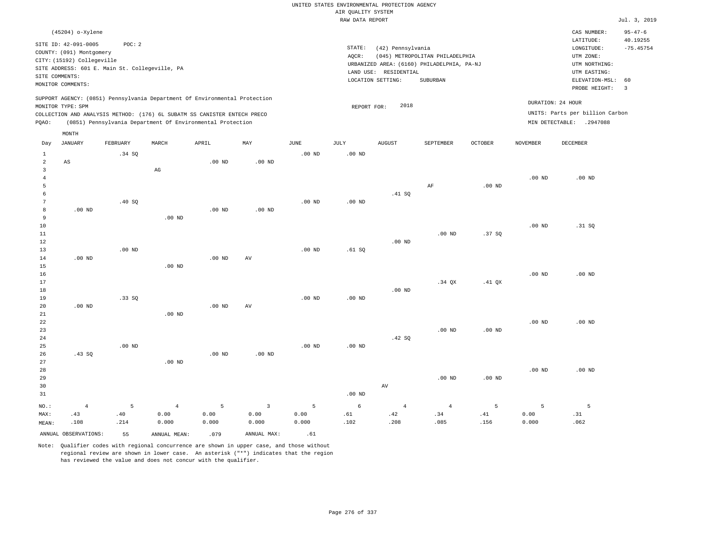|                     |                            |                                                |                                                                            |                   |                   |                       | UNITED STATES ENVIRONMENTAL PROTECTION AGENCY |                       |                                            |          |                   |                                 |                               |
|---------------------|----------------------------|------------------------------------------------|----------------------------------------------------------------------------|-------------------|-------------------|-----------------------|-----------------------------------------------|-----------------------|--------------------------------------------|----------|-------------------|---------------------------------|-------------------------------|
|                     |                            |                                                |                                                                            |                   |                   |                       | AIR QUALITY SYSTEM                            |                       |                                            |          |                   |                                 |                               |
|                     |                            |                                                |                                                                            |                   |                   |                       | RAW DATA REPORT                               |                       |                                            |          |                   |                                 | Jul. 3, 2019                  |
|                     | (45204) o-Xylene           |                                                |                                                                            |                   |                   |                       |                                               |                       |                                            |          |                   | CAS NUMBER:<br>LATITUDE:        | $95 - 47 - 6$<br>40.19255     |
|                     | SITE ID: 42-091-0005       | POC: 2                                         |                                                                            |                   |                   |                       | STATE:                                        | (42) Pennsylvania     |                                            |          |                   | LONGITUDE:                      | $-75.45754$                   |
|                     | COUNTY: (091) Montgomery   |                                                |                                                                            |                   |                   |                       | AQCR:                                         |                       | (045) METROPOLITAN PHILADELPHIA            |          |                   | UTM ZONE:                       |                               |
|                     | CITY: (15192) Collegeville | SITE ADDRESS: 601 E. Main St. Collegeville, PA |                                                                            |                   |                   |                       |                                               |                       | URBANIZED AREA: (6160) PHILADELPHIA, PA-NJ |          |                   | UTM NORTHING:                   |                               |
|                     | SITE COMMENTS:             |                                                |                                                                            |                   |                   |                       |                                               | LAND USE: RESIDENTIAL |                                            |          |                   | UTM EASTING:                    |                               |
|                     | MONITOR COMMENTS:          |                                                |                                                                            |                   |                   |                       |                                               | LOCATION SETTING:     | SUBURBAN                                   |          |                   | ELEVATION-MSL:<br>PROBE HEIGHT: | 60<br>$\overline{\mathbf{3}}$ |
|                     | MONITOR TYPE: SPM          |                                                | SUPPORT AGENCY: (0851) Pennsylvania Department Of Environmental Protection |                   |                   |                       | REPORT FOR:                                   | 2018                  |                                            |          |                   | DURATION: 24 HOUR               |                               |
|                     |                            |                                                | COLLECTION AND ANALYSIS METHOD: (176) 6L SUBATM SS CANISTER ENTECH PRECO   |                   |                   |                       |                                               |                       |                                            |          |                   | UNITS: Parts per billion Carbon |                               |
| PQAO:               |                            |                                                | (0851) Pennsylvania Department Of Environmental Protection                 |                   |                   |                       |                                               |                       |                                            |          |                   | MIN DETECTABLE: .2947088        |                               |
|                     | MONTH                      |                                                |                                                                            |                   |                   |                       |                                               |                       |                                            |          |                   |                                 |                               |
| Day                 | <b>JANUARY</b>             | FEBRUARY                                       | MARCH                                                                      | APRIL             | MAY               | $\operatorname{JUNE}$ | <b>JULY</b>                                   | <b>AUGUST</b>         | SEPTEMBER                                  | OCTOBER  | <b>NOVEMBER</b>   | <b>DECEMBER</b>                 |                               |
| $\mathbf{1}$        |                            | .34 SQ                                         |                                                                            |                   |                   | $.00$ ND              | $.00$ ND                                      |                       |                                            |          |                   |                                 |                               |
| $\sqrt{2}$          | AS                         |                                                |                                                                            | .00 <sub>ND</sub> | .00 <sub>ND</sub> |                       |                                               |                       |                                            |          |                   |                                 |                               |
| 3                   |                            |                                                | $\mathbb{A}\mathbb{G}$                                                     |                   |                   |                       |                                               |                       |                                            |          |                   |                                 |                               |
| $\overline{4}$<br>5 |                            |                                                |                                                                            |                   |                   |                       |                                               |                       | AF                                         | $.00$ ND | .00 <sub>ND</sub> | $.00$ ND                        |                               |
| 6                   |                            |                                                |                                                                            |                   |                   |                       |                                               | .41 S0                |                                            |          |                   |                                 |                               |
| $\sqrt{7}$          |                            | .40 SQ                                         |                                                                            |                   |                   | .00 <sub>ND</sub>     | $.00$ ND                                      |                       |                                            |          |                   |                                 |                               |
| 8                   | $.00$ ND                   |                                                |                                                                            | $.00$ ND          | $.00$ ND          |                       |                                               |                       |                                            |          |                   |                                 |                               |
| 9                   |                            |                                                | .00 <sub>ND</sub>                                                          |                   |                   |                       |                                               |                       |                                            |          |                   |                                 |                               |
| 10                  |                            |                                                |                                                                            |                   |                   |                       |                                               |                       |                                            |          | .00 <sub>ND</sub> | .31 SQ                          |                               |
| 11                  |                            |                                                |                                                                            |                   |                   |                       |                                               |                       | $.00$ ND                                   | .37SQ    |                   |                                 |                               |
| 12                  |                            |                                                |                                                                            |                   |                   |                       |                                               | $.00$ ND              |                                            |          |                   |                                 |                               |
| 13                  |                            | .00 <sub>ND</sub>                              |                                                                            |                   |                   | $.00$ ND              | .61 SQ                                        |                       |                                            |          |                   |                                 |                               |
| 14                  | $.00$ ND                   |                                                |                                                                            | $.00$ ND          | AV                |                       |                                               |                       |                                            |          |                   |                                 |                               |
| 15                  |                            |                                                | .00 <sub>ND</sub>                                                          |                   |                   |                       |                                               |                       |                                            |          |                   |                                 |                               |
| 16                  |                            |                                                |                                                                            |                   |                   |                       |                                               |                       |                                            |          | $.00$ ND          | $.00$ ND                        |                               |
| 17                  |                            |                                                |                                                                            |                   |                   |                       |                                               |                       | $.34$ $OX$                                 | $.41$ QX |                   |                                 |                               |
| 18<br>19            |                            | .33SQ                                          |                                                                            |                   |                   | .00 <sub>ND</sub>     | $.00$ ND                                      | $.00$ ND              |                                            |          |                   |                                 |                               |
| 20                  | .00 <sub>ND</sub>          |                                                |                                                                            | .00 <sub>ND</sub> | AV                |                       |                                               |                       |                                            |          |                   |                                 |                               |
| 21                  |                            |                                                | $.00$ ND                                                                   |                   |                   |                       |                                               |                       |                                            |          |                   |                                 |                               |
| 22                  |                            |                                                |                                                                            |                   |                   |                       |                                               |                       |                                            |          | .00 <sub>ND</sub> | $.00$ ND                        |                               |
| 23                  |                            |                                                |                                                                            |                   |                   |                       |                                               |                       | .00 <sub>ND</sub>                          | $.00$ ND |                   |                                 |                               |
| 24                  |                            |                                                |                                                                            |                   |                   |                       |                                               | .42 S0                |                                            |          |                   |                                 |                               |
| 25                  |                            | $.00$ ND                                       |                                                                            |                   |                   | $.00$ ND              | $.00$ ND                                      |                       |                                            |          |                   |                                 |                               |
| 26                  | .43SQ                      |                                                |                                                                            | $.00$ ND          | $.00$ ND          |                       |                                               |                       |                                            |          |                   |                                 |                               |
| 27                  |                            |                                                | $.00$ ND                                                                   |                   |                   |                       |                                               |                       |                                            |          |                   |                                 |                               |
| 28                  |                            |                                                |                                                                            |                   |                   |                       |                                               |                       |                                            |          | .00 <sub>ND</sub> | $.00$ ND                        |                               |
| 29                  |                            |                                                |                                                                            |                   |                   |                       |                                               |                       | $.00$ ND                                   | $.00$ ND |                   |                                 |                               |
| 30                  |                            |                                                |                                                                            |                   |                   |                       |                                               | $\operatorname{AV}$   |                                            |          |                   |                                 |                               |
| 31                  |                            |                                                |                                                                            |                   |                   |                       | .00 <sub>ND</sub>                             |                       |                                            |          |                   |                                 |                               |
| NO.:                | $\overline{4}$             | 5                                              | $\overline{4}$                                                             | 5                 | $\overline{3}$    | 5                     | 6                                             | $\overline{4}$        | $\overline{4}$                             | 5        | 5                 | 5                               |                               |
| MAX:                | .43                        | .40                                            | 0.00                                                                       | 0.00              | 0.00              | 0.00                  | .61                                           | .42                   | .34                                        | .41      | 0.00              | .31                             |                               |
| MEAN:               | .108                       | .214                                           | 0.000                                                                      | 0.000             | 0.000             | 0.000                 | .102                                          | .208                  | .085                                       | .156     | 0.000             | .062                            |                               |
|                     | ANNUAL OBSERVATIONS:       | 55                                             | ANNUAL MEAN:                                                               | .079              | ANNUAL MAX:       | .61                   |                                               |                       |                                            |          |                   |                                 |                               |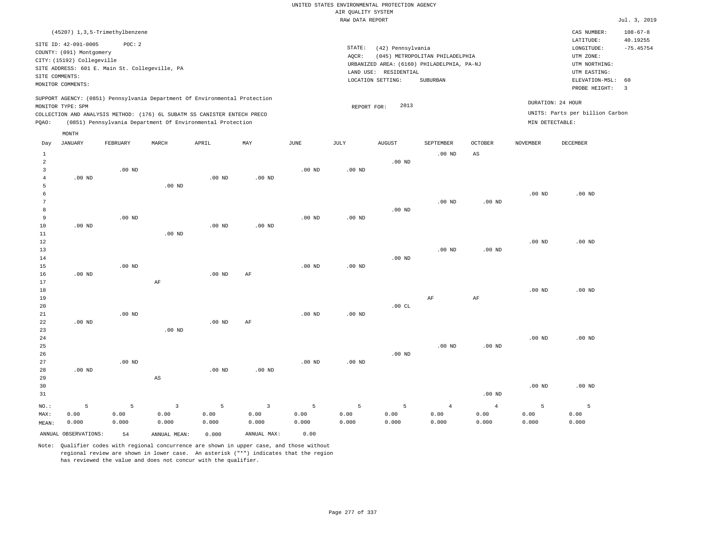# UNITED STATES ENVIRONMENTAL PROTECTION AGENCY AIR QUALITY SYSTEM

|                                     |                                                                                                                       |                                                          |                        |                                                                                                                                                                                                                      |                   |                   | RAW DATA REPORT   |                                                                 |                                                                                           |                   |                   |                                                                                                          | Jul. 3, 2019                                             |
|-------------------------------------|-----------------------------------------------------------------------------------------------------------------------|----------------------------------------------------------|------------------------|----------------------------------------------------------------------------------------------------------------------------------------------------------------------------------------------------------------------|-------------------|-------------------|-------------------|-----------------------------------------------------------------|-------------------------------------------------------------------------------------------|-------------------|-------------------|----------------------------------------------------------------------------------------------------------|----------------------------------------------------------|
|                                     |                                                                                                                       | (45207) 1, 3, 5-Trimethylbenzene                         |                        |                                                                                                                                                                                                                      |                   |                   |                   |                                                                 |                                                                                           |                   |                   | CAS NUMBER:                                                                                              | $108 - 67 - 8$                                           |
|                                     | SITE ID: 42-091-0005<br>COUNTY: (091) Montgomery<br>CITY: (15192) Collegeville<br>SITE COMMENTS:<br>MONITOR COMMENTS: | POC: 2<br>SITE ADDRESS: 601 E. Main St. Collegeville, PA |                        |                                                                                                                                                                                                                      |                   |                   | STATE:<br>AOCR:   | (42) Pennsylvania<br>LAND USE: RESIDENTIAL<br>LOCATION SETTING: | (045) METROPOLITAN PHILADELPHIA<br>URBANIZED AREA: (6160) PHILADELPHIA, PA-NJ<br>SUBURBAN |                   |                   | LATITUDE:<br>LONGITUDE:<br>UTM ZONE:<br>UTM NORTHING:<br>UTM EASTING:<br>ELEVATION-MSL:<br>PROBE HEIGHT: | 40.19255<br>$-75.45754$<br>60<br>$\overline{\mathbf{3}}$ |
| POAO:                               | MONITOR TYPE: SPM                                                                                                     |                                                          |                        | SUPPORT AGENCY: (0851) Pennsylvania Department Of Environmental Protection<br>COLLECTION AND ANALYSIS METHOD: (176) 6L SUBATM SS CANISTER ENTECH PRECO<br>(0851) Pennsylvania Department Of Environmental Protection |                   |                   | REPORT FOR:       | 2013                                                            |                                                                                           |                   | MIN DETECTABLE:   | DURATION: 24 HOUR<br>UNITS: Parts per billion Carbon                                                     |                                                          |
|                                     | MONTH                                                                                                                 |                                                          |                        |                                                                                                                                                                                                                      |                   |                   |                   |                                                                 |                                                                                           |                   |                   |                                                                                                          |                                                          |
| Day                                 | JANUARY                                                                                                               | FEBRUARY                                                 | MARCH                  | APRIL                                                                                                                                                                                                                | MAY               | JUNE              | JULY              | <b>AUGUST</b>                                                   | SEPTEMBER                                                                                 | <b>OCTOBER</b>    | <b>NOVEMBER</b>   | <b>DECEMBER</b>                                                                                          |                                                          |
| $\mathbf{1}$<br>$\overline{a}$<br>3 |                                                                                                                       | $.00$ ND                                                 |                        |                                                                                                                                                                                                                      |                   | $.00$ ND          | .00 <sub>ND</sub> | .00 <sub>ND</sub>                                               | $.00$ ND                                                                                  | AS                |                   |                                                                                                          |                                                          |
| $\overline{4}$<br>5<br>6            | $.00$ ND                                                                                                              |                                                          | $.00$ ND               | .00 <sub>ND</sub>                                                                                                                                                                                                    | .00 <sub>ND</sub> |                   |                   |                                                                 |                                                                                           |                   | .00 <sub>ND</sub> | $.00$ ND                                                                                                 |                                                          |
| $7\phantom{.0}$<br>8<br>9           |                                                                                                                       | $.00$ ND                                                 |                        |                                                                                                                                                                                                                      |                   | $.00$ ND          | $.00$ ND          | $.00$ ND                                                        | $.00$ ND                                                                                  | .00 <sub>ND</sub> |                   |                                                                                                          |                                                          |
| 10<br>11<br>12                      | $.00$ ND                                                                                                              |                                                          | $.00$ ND               | $.00$ ND                                                                                                                                                                                                             | $.00$ ND          |                   |                   |                                                                 |                                                                                           |                   | .00 <sub>ND</sub> | $.00$ ND                                                                                                 |                                                          |
| 13<br>14<br>15                      |                                                                                                                       | .00 <sub>ND</sub>                                        |                        |                                                                                                                                                                                                                      |                   | .00 <sub>ND</sub> | .00 <sub>ND</sub> | $.00$ ND                                                        | $.00$ ND                                                                                  | $.00$ ND          |                   |                                                                                                          |                                                          |
| 16<br>17<br>18<br>19                | $.00$ ND                                                                                                              |                                                          | AF                     | $.00$ ND                                                                                                                                                                                                             | AF                |                   |                   |                                                                 | $\rm AF$                                                                                  | AF                | .00 <sub>ND</sub> | $.00$ ND                                                                                                 |                                                          |
| 20<br>21<br>22                      | $.00$ ND                                                                                                              | $.00$ ND                                                 |                        | $.00$ ND                                                                                                                                                                                                             | AF                | $.00$ ND          | $.00$ ND          | .00CL                                                           |                                                                                           |                   |                   |                                                                                                          |                                                          |
| 23<br>24<br>25                      |                                                                                                                       |                                                          | $.00$ ND               |                                                                                                                                                                                                                      |                   |                   |                   |                                                                 | $.00$ ND                                                                                  | .00 <sub>ND</sub> | .00 <sub>ND</sub> | .00 <sub>ND</sub>                                                                                        |                                                          |
| 26<br>27<br>28                      | $.00$ ND                                                                                                              | $.00$ ND                                                 |                        | $.00$ ND                                                                                                                                                                                                             | $.00$ ND          | $.00$ ND          | $.00$ ND          | $.00$ ND                                                        |                                                                                           |                   |                   |                                                                                                          |                                                          |
| 29<br>30<br>31                      |                                                                                                                       |                                                          | $\mathbb{A}\mathbb{S}$ |                                                                                                                                                                                                                      |                   |                   |                   |                                                                 |                                                                                           | $.00$ ND          | .00 <sub>ND</sub> | $.00$ ND                                                                                                 |                                                          |

| --    |                      |           |              |       |                     |                                      |                                         |         |       |          |       |       |
|-------|----------------------|-----------|--------------|-------|---------------------|--------------------------------------|-----------------------------------------|---------|-------|----------|-------|-------|
| NO.:  |                      | $-5$ $-5$ |              |       | $3 \quad 5 \quad 3$ | $\sim$ $\sim$ 5 $\sim$ $\sim$ $\sim$ | <b>1999 - 1999 - 1999 - 1999 - 1999</b> | $5 - 5$ | 4     | $\sim$ 4 |       |       |
| MAX:  | 0.00                 | 0.00      | 0.00         | 0.00  | 0.00                | 0.00                                 | 0.00                                    | 0.00    | 0.00  | 0.00     | 0.00  | 0.00  |
| MEAN: | 0.000                | 0.000     | 0.000        | 0.000 | 0.000               | 0.000                                | 0.000                                   | 0.000   | 0.000 | 0.000    | 0.000 | 0.000 |
|       | ANNUAL OBSERVATIONS: | 54        | ANNUAL MEAN: | 0.000 | ANNUAL MAX:         | 0.00                                 |                                         |         |       |          |       |       |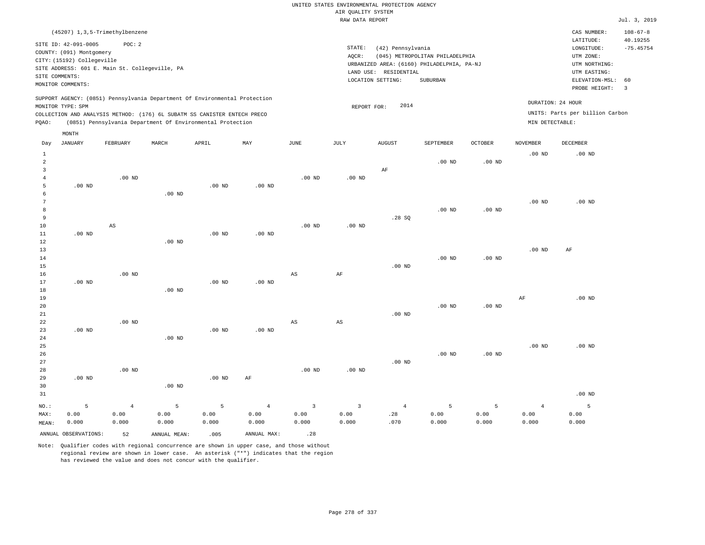| (45207) 1,3,5-Trimethylbenzene                                                                                                                                                                                                                              |                                                                                                                                                                                 | CAS NUMBER:                                                                                                 | $108 - 67 - 8$                                     |
|-------------------------------------------------------------------------------------------------------------------------------------------------------------------------------------------------------------------------------------------------------------|---------------------------------------------------------------------------------------------------------------------------------------------------------------------------------|-------------------------------------------------------------------------------------------------------------|----------------------------------------------------|
| SITE ID: 42-091-0005<br>POC: 2<br>COUNTY: (091) Montgomery<br>CITY: (15192) Collegeville<br>SITE ADDRESS: 601 E. Main St. Collegeville, PA<br>SITE COMMENTS:<br>MONITOR COMMENTS:                                                                           | STATE:<br>(42) Pennsylvania<br>(045) METROPOLITAN PHILADELPHIA<br>AOCR:<br>URBANIZED AREA: (6160) PHILADELPHIA, PA-NJ<br>LAND USE: RESIDENTIAL<br>LOCATION SETTING:<br>SUBURBAN | LATITUDE:<br>LONGITUDE:<br>UTM ZONE:<br>UTM NORTHING:<br>UTM EASTING:<br>ELEVATION-MSL: 60<br>PROBE HEIGHT: | 40.19255<br>$-75.45754$<br>$\overline{\mathbf{3}}$ |
| SUPPORT AGENCY: (0851) Pennsylvania Department Of Environmental Protection<br>MONITOR TYPE: SPM<br>COLLECTION AND ANALYSIS METHOD: (176) 6L SUBATM SS CANISTER ENTECH PRECO<br>(0851) Pennsylvania Department Of Environmental Protection<br>POAO:<br>MONTH | 2014<br>REPORT FOR:                                                                                                                                                             | DURATION: 24 HOUR<br>UNITS: Parts per billion Carbon<br>MIN DETECTABLE:                                     |                                                    |

| Day            | <b>JANUARY</b>       | FEBRUARY   | $\tt MARCH$  | APRIL    | MAY            | JUNE           | $\mathtt{JULY}$ | AUGUST         | SEPTEMBER | $\mathtt{OCTOBER}$ | NOVEMBER       | DECEMBER       |
|----------------|----------------------|------------|--------------|----------|----------------|----------------|-----------------|----------------|-----------|--------------------|----------------|----------------|
| $\mathbf{1}$   |                      |            |              |          |                |                |                 |                |           |                    | $.00$ ND       | $.00$ ND       |
| $\overline{a}$ |                      |            |              |          |                |                |                 |                | $.00$ ND  | .00 <sub>ND</sub>  |                |                |
| 3              |                      |            |              |          |                |                |                 | $\rm AF$       |           |                    |                |                |
| 4              |                      | $.00$ ND   |              |          |                | $.00$ ND       | $.00$ ND        |                |           |                    |                |                |
| 5              | $.00$ ND             |            |              | $.00$ ND | $.00{\rm ~ND}$ |                |                 |                |           |                    |                |                |
| 6              |                      |            | $.00$ ND     |          |                |                |                 |                |           |                    |                |                |
| 7              |                      |            |              |          |                |                |                 |                |           |                    | $.00$ ND       | $.00$ ND       |
| 8              |                      |            |              |          |                |                |                 |                | $.00$ ND  | .00 <sub>ND</sub>  |                |                |
| 9              |                      |            |              |          |                |                |                 | .28SQ          |           |                    |                |                |
| 10             |                      | AS         |              |          |                | $.00$ ND       | $.00$ ND        |                |           |                    |                |                |
| 11             | $.00$ ND             |            |              | $.00$ ND | $.00$ ND       |                |                 |                |           |                    |                |                |
| 12             |                      |            | $.00$ ND     |          |                |                |                 |                |           |                    |                |                |
| 13             |                      |            |              |          |                |                |                 |                |           |                    | $.00$ ND       | $\rm AF$       |
| 14             |                      |            |              |          |                |                |                 |                | $.00$ ND  | $.00$ ND           |                |                |
| 15             |                      |            |              |          |                |                |                 | $.00$ ND       |           |                    |                |                |
| $16$           |                      | $.00$ ND   |              |          |                | AS             | $\rm{AF}$       |                |           |                    |                |                |
| 17             | .00 $ND$             |            |              | .00 $ND$ | $.00$ ND       |                |                 |                |           |                    |                |                |
| 18             |                      |            | $.00$ ND     |          |                |                |                 |                |           |                    |                |                |
| 19             |                      |            |              |          |                |                |                 |                |           |                    | $\rm{AF}$      | $.00$ ND       |
| 20             |                      |            |              |          |                |                |                 |                | $.00$ ND  | .00 <sub>ND</sub>  |                |                |
| 21             |                      | $.00$ ND   |              |          |                |                |                 | $.00$ ND       |           |                    |                |                |
| 22<br>23       | $.00$ ND             |            |              | $.00$ ND | $.00$ ND       | AS             | AS              |                |           |                    |                |                |
| 24             |                      |            | $.00$ ND     |          |                |                |                 |                |           |                    |                |                |
| 25             |                      |            |              |          |                |                |                 |                |           |                    | $.00$ ND       | $.00$ ND       |
| 26             |                      |            |              |          |                |                |                 |                | $.00$ ND  | $.00$ ND           |                |                |
| 27             |                      |            |              |          |                |                |                 | $.00$ ND       |           |                    |                |                |
| 28             |                      | $.00$ ND   |              |          |                | $.00$ ND       | $.00$ ND        |                |           |                    |                |                |
| 29             | $.00$ ND             |            |              | $.00$ ND | $\rm AF$       |                |                 |                |           |                    |                |                |
| 30             |                      |            | $.00$ ND     |          |                |                |                 |                |           |                    |                |                |
| 31             |                      |            |              |          |                |                |                 |                |           |                    |                | $.00$ ND       |
| $NO.$ :        | 5                    | $\sqrt{4}$ | 5            | 5        | $\overline{4}$ | $\overline{3}$ | $\overline{3}$  | $\overline{4}$ | 5         | 5                  | $\overline{4}$ | $\overline{5}$ |
| MAX:           | 0.00                 | 0.00       | 0.00         | 0.00     | 0.00           | 0.00           | 0.00            | .28            | 0.00      | 0.00               | 0.00           | 0.00           |
| MEAN:          | 0.000                | 0.000      | 0.000        | 0.000    | 0.000          | 0.000          | 0.000           | .070           | 0.000     | 0.000              | 0.000          | 0.000          |
|                | ANNUAL OBSERVATIONS: | 52         | ANNUAL MEAN: | .005     | ANNUAL MAX:    | .28            |                 |                |           |                    |                |                |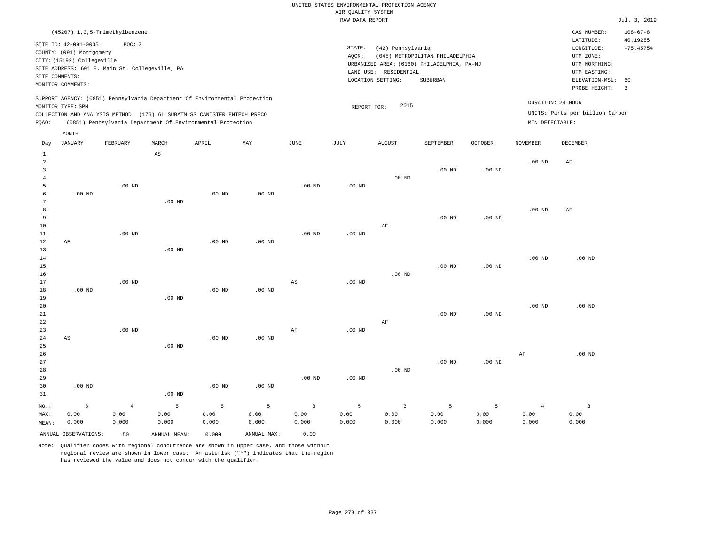| (45207) 1,3,5-Trimethylbenzene                                                                                                                                                                                                                     |                                                                                                                                                                                    | CAS NUMBER:                                                                                                 | $108 - 67 - 8$          |
|----------------------------------------------------------------------------------------------------------------------------------------------------------------------------------------------------------------------------------------------------|------------------------------------------------------------------------------------------------------------------------------------------------------------------------------------|-------------------------------------------------------------------------------------------------------------|-------------------------|
| SITE ID: 42-091-0005<br>POC: 2<br>COUNTY: (091) Montgomery<br>CITY: (15192) Collegeville<br>SITE ADDRESS: 601 E. Main St. Collegeville, PA<br>SITE COMMENTS:<br>MONITOR COMMENTS:                                                                  | STATE:<br>(42) Pennsylvania<br>(045) METROPOLITAN PHILADELPHIA<br>AOCR:<br>URBANIZED AREA: (6160) PHILADELPHIA, PA-NJ<br>RESIDENTIAL<br>LAND USE:<br>LOCATION SETTING:<br>SUBURBAN | LATITUDE:<br>LONGITUDE:<br>UTM ZONE:<br>UTM NORTHING:<br>UTM EASTING:<br>ELEVATION-MSL: 60<br>PROBE HEIGHT: | 40.19255<br>$-75.45754$ |
| SUPPORT AGENCY: (0851) Pennsylvania Department Of Environmental Protection<br>MONITOR TYPE: SPM<br>COLLECTION AND ANALYSIS METHOD: (176) 6L SUBATM SS CANISTER ENTECH PRECO<br>(0851) Pennsylvania Department Of Environmental Protection<br>POAO: | 2015<br>REPORT FOR:                                                                                                                                                                | DURATION: 24 HOUR<br>UNITS: Parts per billion Carbon<br>MIN DETECTABLE:                                     |                         |

|                | MONTH                  |                |                        |                   |             |                |          |                |                   |          |                |                 |
|----------------|------------------------|----------------|------------------------|-------------------|-------------|----------------|----------|----------------|-------------------|----------|----------------|-----------------|
| Day            | <b>JANUARY</b>         | FEBRUARY       | MARCH                  | APRIL             | MAY         | JUNE           | JULY     | <b>AUGUST</b>  | SEPTEMBER         | OCTOBER  | NOVEMBER       | <b>DECEMBER</b> |
| $\mathbf{1}$   |                        |                | $\mathbb{A}\mathbb{S}$ |                   |             |                |          |                |                   |          |                |                 |
| $\overline{a}$ |                        |                |                        |                   |             |                |          |                |                   |          | $.00$ ND       | $\rm{AF}$       |
| 3              |                        |                |                        |                   |             |                |          |                | .00 <sub>ND</sub> | $.00$ ND |                |                 |
| $\overline{4}$ |                        |                |                        |                   |             |                |          | $.00$ ND       |                   |          |                |                 |
| 5              |                        | $.00$ ND       |                        |                   |             | $.00$ ND       | $.00$ ND |                |                   |          |                |                 |
| 6              | $.00$ ND               |                |                        | .00 <sub>ND</sub> | $.00$ ND    |                |          |                |                   |          |                |                 |
| 7              |                        |                | $.00$ ND               |                   |             |                |          |                |                   |          |                |                 |
| 8              |                        |                |                        |                   |             |                |          |                |                   |          | $.00$ ND       | AF              |
| 9              |                        |                |                        |                   |             |                |          |                | $.00$ ND          | $.00$ ND |                |                 |
| 10             |                        |                |                        |                   |             |                |          | $\rm AF$       |                   |          |                |                 |
| 11             |                        | $.00$ ND       |                        |                   |             | $.00$ ND       | $.00$ ND |                |                   |          |                |                 |
| 12             | AF                     |                |                        | $.00$ ND          | $.00$ ND    |                |          |                |                   |          |                |                 |
| 13             |                        |                | $.00$ ND               |                   |             |                |          |                |                   |          |                |                 |
| 14             |                        |                |                        |                   |             |                |          |                |                   |          | $.00$ ND       | $.00$ ND        |
| 15<br>16       |                        |                |                        |                   |             |                |          | $.00$ ND       | $.00$ ND          | $.00$ ND |                |                 |
| 17             |                        | $.00$ ND       |                        |                   |             | AS             | $.00$ ND |                |                   |          |                |                 |
| 18             | $.00$ ND               |                |                        | $.00$ ND          | $.00$ ND    |                |          |                |                   |          |                |                 |
| 19             |                        |                | $.00$ ND               |                   |             |                |          |                |                   |          |                |                 |
| 20             |                        |                |                        |                   |             |                |          |                |                   |          | $.00$ ND       | $.00$ ND        |
| 21             |                        |                |                        |                   |             |                |          |                | $.00$ ND          | $.00$ ND |                |                 |
| 22             |                        |                |                        |                   |             |                |          | $\rm{AF}$      |                   |          |                |                 |
| 23             |                        | $.00$ ND       |                        |                   |             | $\rm AF$       | $.00$ ND |                |                   |          |                |                 |
| 24             | $\mathbb{A}\mathbb{S}$ |                |                        | .00 <sub>ND</sub> | $.00$ ND    |                |          |                |                   |          |                |                 |
| 25             |                        |                | $.00$ ND               |                   |             |                |          |                |                   |          |                |                 |
| 26             |                        |                |                        |                   |             |                |          |                |                   |          | $\rm{AF}$      | $.00$ ND        |
| 27             |                        |                |                        |                   |             |                |          |                | $.00$ ND          | $.00$ ND |                |                 |
| 28             |                        |                |                        |                   |             |                |          | $.00$ ND       |                   |          |                |                 |
| 29             |                        |                |                        |                   |             | $.00$ ND       | $.00$ ND |                |                   |          |                |                 |
| 30             | $.00$ ND               |                |                        | .00 <sub>ND</sub> | $.00$ ND    |                |          |                |                   |          |                |                 |
| 31             |                        |                | $.00$ ND               |                   |             |                |          |                |                   |          |                |                 |
| $NO.$ :        | $\overline{3}$         | $\overline{4}$ | 5                      | 5                 | 5           | $\overline{3}$ | 5        | $\overline{3}$ | 5                 | 5        | $\overline{4}$ | $\overline{3}$  |
| MAX:           | 0.00                   | 0.00           | 0.00                   | 0.00              | 0.00        | 0.00           | 0.00     | 0.00           | 0.00              | 0.00     | 0.00           | 0.00            |
| MEAN:          | 0.000                  | 0.000          | 0.000                  | 0.000             | 0.000       | 0.000          | 0.000    | 0.000          | 0.000             | 0.000    | 0.000          | 0.000           |
|                | ANNUAL OBSERVATIONS:   | 50             | ANNUAL MEAN:           | 0.000             | ANNUAL MAX: | 0.00           |          |                |                   |          |                |                 |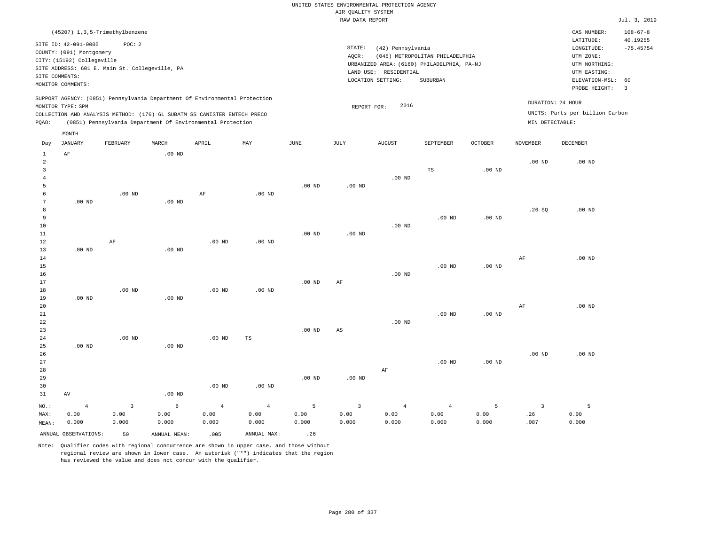| (45207) 1,3,5-Trimethylbenzene                                                                                                                                                                                                                              |                                                                                                                                                                                 | $108 - 67 - 8$<br>CAS NUMBER:                                                                                                          |  |
|-------------------------------------------------------------------------------------------------------------------------------------------------------------------------------------------------------------------------------------------------------------|---------------------------------------------------------------------------------------------------------------------------------------------------------------------------------|----------------------------------------------------------------------------------------------------------------------------------------|--|
| SITE ID: 42-091-0005<br>POC:2<br>COUNTY: (091) Montgomery<br>CITY: (15192) Collegeville<br>SITE ADDRESS: 601 E. Main St. Collegeville, PA<br>SITE COMMENTS:<br>MONITOR COMMENTS:                                                                            | STATE:<br>(42) Pennsylvania<br>(045) METROPOLITAN PHILADELPHIA<br>AOCR:<br>URBANIZED AREA: (6160) PHILADELPHIA, PA-NJ<br>LAND USE: RESIDENTIAL<br>LOCATION SETTING:<br>SUBURBAN | LATITUDE:<br>40.19255<br>$-75.45754$<br>LONGITUDE:<br>UTM ZONE:<br>UTM NORTHING:<br>UTM EASTING:<br>ELEVATION-MSL: 60<br>PROBE HEIGHT: |  |
| SUPPORT AGENCY: (0851) Pennsylvania Department Of Environmental Protection<br>MONITOR TYPE: SPM<br>COLLECTION AND ANALYSIS METHOD: (176) 6L SUBATM SS CANISTER ENTECH PRECO<br>(0851) Pennsylvania Department Of Environmental Protection<br>POAO:<br>MONTH | 2016<br>REPORT FOR:                                                                                                                                                             | DURATION: 24 HOUR<br>UNITS: Parts per billion Carbon<br>MIN DETECTABLE:                                                                |  |

| Day            | JANUARY              | FEBRUARY                | MARCH        | APRIL          | MAY            | JUNE        | JULY        | AUGUST         | SEPTEMBER      | OCTOBER  | NOVEMBER                | DECEMBER |
|----------------|----------------------|-------------------------|--------------|----------------|----------------|-------------|-------------|----------------|----------------|----------|-------------------------|----------|
| $\mathbf{1}$   | $\rm AF$             |                         | $.00$ ND     |                |                |             |             |                |                |          |                         |          |
| $\overline{c}$ |                      |                         |              |                |                |             |             |                |                |          | $.00$ ND                | $.00$ ND |
| 3              |                      |                         |              |                |                |             |             |                | $_{\rm TS}$    | $.00$ ND |                         |          |
| $\overline{4}$ |                      |                         |              |                |                |             |             | $.00$ ND       |                |          |                         |          |
| 5              |                      |                         |              |                |                | $.00$ ND    | $.00$ ND    |                |                |          |                         |          |
| 6              |                      | $.00$ ND                |              | $\rm AF$       | $.00$ ND       |             |             |                |                |          |                         |          |
| 7              | $.00$ ND             |                         | $.00$ ND     |                |                |             |             |                |                |          |                         |          |
| 8              |                      |                         |              |                |                |             |             |                |                |          | .26SQ                   | $.00$ ND |
| 9              |                      |                         |              |                |                |             |             |                | $.00$ ND       | $.00$ ND |                         |          |
| 10             |                      |                         |              |                |                |             |             | $.00$ ND       |                |          |                         |          |
| $11\,$         |                      |                         |              |                |                | $.00$ ND    | $.00$ ND    |                |                |          |                         |          |
| 12             |                      | $\rm AF$                |              | .00 $ND$       | $.00$ ND       |             |             |                |                |          |                         |          |
| 13             | $.00$ ND             |                         | $.00$ ND     |                |                |             |             |                |                |          |                         |          |
| 14             |                      |                         |              |                |                |             |             |                |                |          | $\rm{AF}$               | $.00$ ND |
| 15             |                      |                         |              |                |                |             |             |                | $.00$ ND       | .00 $ND$ |                         |          |
| $16\,$         |                      |                         |              |                |                |             |             | $.00$ ND       |                |          |                         |          |
| 17             |                      |                         |              |                |                | $.00$ ND    | $\rm{AF}$   |                |                |          |                         |          |
| 18             |                      | .00 $ND$                |              | .00 $ND$       | $.00$ ND       |             |             |                |                |          |                         |          |
| 19             | $.00$ ND             |                         | $.00$ ND     |                |                |             |             |                |                |          |                         |          |
| 20             |                      |                         |              |                |                |             |             |                |                |          | $\rm{AF}$               | $.00$ ND |
| $21\,$         |                      |                         |              |                |                |             |             |                | $.00$ ND       | .00 $ND$ |                         |          |
| ${\bf 22}$     |                      |                         |              |                |                |             |             | $.00$ ND       |                |          |                         |          |
| 23             |                      |                         |              |                |                | $.00$ ND    | AS          |                |                |          |                         |          |
| $2\sqrt{4}$    |                      | .00 $ND$                |              | $.00$ ND       | TS             |             |             |                |                |          |                         |          |
| 25             | $.00$ ND             |                         | $.00$ ND     |                |                |             |             |                |                |          |                         |          |
| 26             |                      |                         |              |                |                |             |             |                |                |          | $.00$ ND                | $.00$ ND |
| $2\,7$         |                      |                         |              |                |                |             |             |                | $.00$ ND       | $.00$ ND |                         |          |
| 28             |                      |                         |              |                |                |             |             | $\rm AF$       |                |          |                         |          |
| 29             |                      |                         |              |                |                | $.00$ ND    | $.00$ ND    |                |                |          |                         |          |
| 30             |                      |                         |              | .00 $ND$       | .00 $ND$       |             |             |                |                |          |                         |          |
| 31             | AV                   |                         | $.00$ ND     |                |                |             |             |                |                |          |                         |          |
| $_{\rm NO.}$ : | $\overline{4}$       | $\overline{\mathbf{3}}$ | $\epsilon$   | $\overline{4}$ | $\overline{4}$ | $\mathsf S$ | $\mathsf 3$ | $\overline{4}$ | $\overline{4}$ | 5        | $\overline{\mathbf{3}}$ | 5        |
| MAX:           | 0.00                 | 0.00                    | 0.00         | 0.00           | 0.00           | 0.00        | 0.00        | 0.00           | 0.00           | 0.00     | .26                     | 0.00     |
| MEAN:          | 0.000                | 0.000                   | 0.000        | 0.000          | 0.000          | 0.000       | 0.000       | 0.000          | 0.000          | 0.000    | .087                    | 0.000    |
|                | ANNUAL OBSERVATIONS: | 50                      | ANNUAL MEAN: | .005           | ANNUAL MAX:    | .26         |             |                |                |          |                         |          |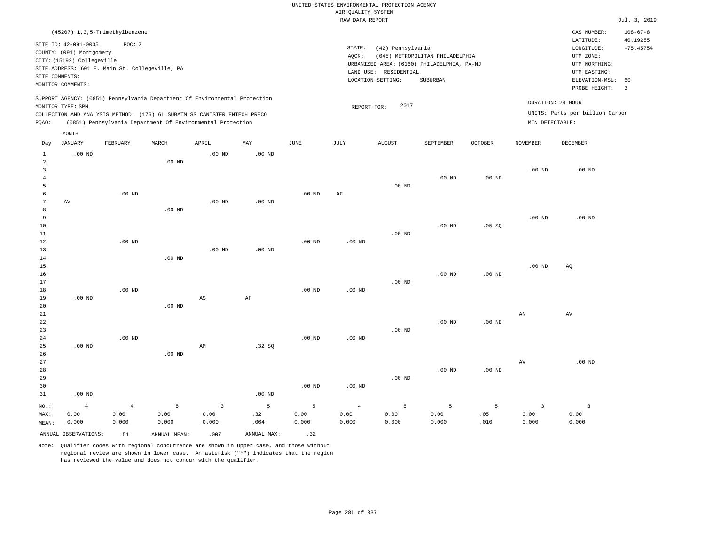|                                                                                   |                                                                                                  |                                                                                            |                                 |                                                                                                                                                                                                                      |                               |                    | AIR QUALITY SYSTEM              | UNITED STATES ENVIRONMENTAL PROTECTION AGENCY                                                                 |                                             |                  |                                 |                                                                                                                    |                                                 |
|-----------------------------------------------------------------------------------|--------------------------------------------------------------------------------------------------|--------------------------------------------------------------------------------------------|---------------------------------|----------------------------------------------------------------------------------------------------------------------------------------------------------------------------------------------------------------------|-------------------------------|--------------------|---------------------------------|---------------------------------------------------------------------------------------------------------------|---------------------------------------------|------------------|---------------------------------|--------------------------------------------------------------------------------------------------------------------|-------------------------------------------------|
|                                                                                   |                                                                                                  |                                                                                            |                                 |                                                                                                                                                                                                                      |                               |                    | RAW DATA REPORT                 |                                                                                                               |                                             |                  |                                 |                                                                                                                    | Jul. 3, 2019                                    |
|                                                                                   | SITE ID: 42-091-0005<br>COUNTY: (091) Montgomery<br>CITY: (15192) Collegeville<br>SITE COMMENTS: | (45207) 1,3,5-Trimethylbenzene<br>POC: 2<br>SITE ADDRESS: 601 E. Main St. Collegeville, PA |                                 |                                                                                                                                                                                                                      |                               |                    | STATE:<br>AQCR:                 | (42) Pennsylvania<br>URBANIZED AREA: (6160) PHILADELPHIA, PA-NJ<br>LAND USE: RESIDENTIAL<br>LOCATION SETTING: | (045) METROPOLITAN PHILADELPHIA<br>SUBURBAN |                  |                                 | CAS NUMBER:<br>LATITUDE:<br>$\texttt{LONGITUDE}$ :<br>UTM ZONE:<br>UTM NORTHING:<br>UTM EASTING:<br>ELEVATION-MSL: | $108 - 67 - 8$<br>40.19255<br>$-75.45754$<br>60 |
|                                                                                   | MONITOR COMMENTS:                                                                                |                                                                                            |                                 |                                                                                                                                                                                                                      |                               |                    |                                 |                                                                                                               |                                             |                  |                                 | PROBE HEIGHT:                                                                                                      | $\overline{3}$                                  |
| PQAO:                                                                             | MONITOR TYPE: SPM                                                                                |                                                                                            |                                 | SUPPORT AGENCY: (0851) Pennsylvania Department Of Environmental Protection<br>COLLECTION AND ANALYSIS METHOD: (176) 6L SUBATM SS CANISTER ENTECH PRECO<br>(0851) Pennsylvania Department Of Environmental Protection |                               |                    | REPORT FOR:                     | 2017                                                                                                          |                                             |                  | MIN DETECTABLE:                 | DURATION: 24 HOUR<br>UNITS: Parts per billion Carbon                                                               |                                                 |
|                                                                                   | MONTH                                                                                            |                                                                                            |                                 |                                                                                                                                                                                                                      |                               |                    |                                 |                                                                                                               |                                             |                  |                                 |                                                                                                                    |                                                 |
| $_{\rm Day}$                                                                      | <b>JANUARY</b>                                                                                   | FEBRUARY                                                                                   | MARCH                           | APRIL                                                                                                                                                                                                                | MAY                           | <b>JUNE</b>        | JULY                            | <b>AUGUST</b>                                                                                                 | SEPTEMBER                                   | OCTOBER          | <b>NOVEMBER</b>                 | DECEMBER                                                                                                           |                                                 |
| $\mathbf{1}$<br>2<br>$\overline{\mathbf{3}}$<br>$\overline{4}$<br>5<br>$\sqrt{6}$ | $.00$ ND                                                                                         | .00 <sub>ND</sub>                                                                          | .00 <sub>ND</sub>               | $.00$ ND                                                                                                                                                                                                             | $.00$ ND                      | .00 <sub>ND</sub>  | $\rm{AF}$                       | $.00$ ND                                                                                                      | $.00$ ND                                    | $.00$ ND         | .00 <sub>ND</sub>               | $.00$ ND                                                                                                           |                                                 |
| $\overline{7}$<br>8<br>$\overline{9}$<br>$10$<br>11<br>12<br>13                   | AV                                                                                               | $.00$ ND                                                                                   | .00 <sub>ND</sub>               | .00 <sub>ND</sub><br>.00 <sub>ND</sub>                                                                                                                                                                               | $.00$ ND<br>$.00$ ND          | $.00$ ND           | $.00$ ND                        | $.00$ ND                                                                                                      | $.00$ ND                                    | .05SQ            | .00 <sub>ND</sub>               | $.00$ ND                                                                                                           |                                                 |
| 14<br>15<br>16<br>17<br>18<br>19                                                  | $.00$ ND                                                                                         | $.00$ ND                                                                                   | $.00$ ND                        | $\mathbb{A}\mathbb{S}$                                                                                                                                                                                               | $\rm AF$                      | $.00$ ND           | .00 <sub>ND</sub>               | $.00$ ND                                                                                                      | .00 <sub>ND</sub>                           | $.00$ ND         | .00 <sub>ND</sub>               | AQ                                                                                                                 |                                                 |
| 20<br>21<br>22<br>23<br>24<br>25                                                  | $.00$ ND                                                                                         | .00 <sub>ND</sub>                                                                          | $.00$ ND                        | AM                                                                                                                                                                                                                   | .32 SQ                        | .00 <sub>ND</sub>  | .00 <sub>ND</sub>               | $.00$ ND                                                                                                      | .00 <sub>ND</sub>                           | $.00$ ND         | AN                              | AV                                                                                                                 |                                                 |
| 26<br>27<br>28<br>29<br>30<br>31                                                  | $.00$ ND                                                                                         |                                                                                            | $.00$ ND                        |                                                                                                                                                                                                                      | .00 <sub>ND</sub>             | .00 <sub>ND</sub>  | $.00$ ND                        | $.00$ ND                                                                                                      | .00 <sub>ND</sub>                           | $.00$ ND         | AV                              | .00 <sub>ND</sub>                                                                                                  |                                                 |
| NO.:<br>MAX:<br>MEAN:                                                             | $\overline{4}$<br>0.00<br>0.000                                                                  | $\overline{4}$<br>0.00<br>0.000                                                            | $\overline{5}$<br>0.00<br>0.000 | $\overline{3}$<br>0.00<br>0.000                                                                                                                                                                                      | $\overline{5}$<br>.32<br>.064 | 5<br>0.00<br>0.000 | $\overline{4}$<br>0.00<br>0.000 | 5<br>0.00<br>0.000                                                                                            | 5<br>0.00<br>0.000                          | 5<br>.05<br>.010 | $\overline{3}$<br>0.00<br>0.000 | $\overline{\mathbf{3}}$<br>0.00<br>0.000                                                                           |                                                 |

ANNUAL OBSERVATIONS:  $51$  ANNUAL MEAN: .007 ANNUAL MAX: .32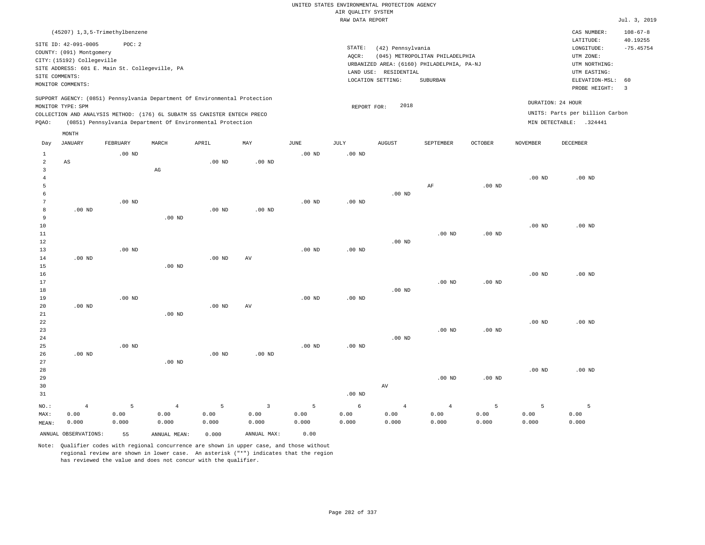|                |                                                                                                                                                    |                   |                                                                            |                   |                                 |           | UNITED STATES ENVIRONMENTAL PROTECTION AGENCY<br>AIR OUALITY SYSTEM |                                                                 |                                                                                           |                   |                   |                                                                                        |                            |
|----------------|----------------------------------------------------------------------------------------------------------------------------------------------------|-------------------|----------------------------------------------------------------------------|-------------------|---------------------------------|-----------|---------------------------------------------------------------------|-----------------------------------------------------------------|-------------------------------------------------------------------------------------------|-------------------|-------------------|----------------------------------------------------------------------------------------|----------------------------|
|                |                                                                                                                                                    |                   |                                                                            |                   |                                 |           | RAW DATA REPORT                                                     |                                                                 |                                                                                           |                   |                   |                                                                                        | Jul. 3, 2019               |
|                | (45207) 1, 3, 5-Trimethylbenzene                                                                                                                   |                   |                                                                            |                   |                                 |           |                                                                     |                                                                 |                                                                                           |                   |                   | CAS NUMBER:<br>LATITUDE:                                                               | $108 - 67 - 8$<br>40.19255 |
|                | SITE ID: 42-091-0005<br>COUNTY: (091) Montgomery<br>CITY: (15192) Collegeville<br>SITE ADDRESS: 601 E. Main St. Collegeville, PA<br>SITE COMMENTS: | POC: 2            |                                                                            |                   |                                 |           | STATE:<br>AQCR:                                                     | (42) Pennsylvania<br>LAND USE: RESIDENTIAL<br>LOCATION SETTING: | (045) METROPOLITAN PHILADELPHIA<br>URBANIZED AREA: (6160) PHILADELPHIA, PA-NJ<br>SUBURBAN |                   |                   | $\texttt{LONGITUDE}$ :<br>UTM ZONE:<br>UTM NORTHING:<br>UTM EASTING:<br>ELEVATION-MSL: | $-75.45754$<br>60          |
|                | MONITOR COMMENTS:                                                                                                                                  |                   |                                                                            |                   |                                 |           |                                                                     |                                                                 |                                                                                           |                   |                   | PROBE HEIGHT:                                                                          | $\overline{3}$             |
|                | MONITOR TYPE: SPM                                                                                                                                  |                   | SUPPORT AGENCY: (0851) Pennsylvania Department Of Environmental Protection |                   |                                 |           | REPORT FOR:                                                         | 2018                                                            |                                                                                           |                   |                   | DURATION: 24 HOUR                                                                      |                            |
|                |                                                                                                                                                    |                   | COLLECTION AND ANALYSIS METHOD: (176) 6L SUBATM SS CANISTER ENTECH PRECO   |                   |                                 |           |                                                                     |                                                                 |                                                                                           |                   |                   | UNITS: Parts per billion Carbon                                                        |                            |
| PQAO:          |                                                                                                                                                    |                   | (0851) Pennsylvania Department Of Environmental Protection                 |                   |                                 |           |                                                                     |                                                                 |                                                                                           |                   |                   | MIN DETECTABLE: .324441                                                                |                            |
|                | MONTH                                                                                                                                              |                   |                                                                            |                   |                                 |           |                                                                     |                                                                 |                                                                                           |                   |                   |                                                                                        |                            |
| Day            | JANUARY                                                                                                                                            | FEBRUARY          | MARCH                                                                      | APRIL             | $\ensuremath{\text{MAX}}$       | JUNE      | JULY                                                                | <b>AUGUST</b>                                                   | SEPTEMBER                                                                                 | OCTOBER           | NOVEMBER          | DECEMBER                                                                               |                            |
| $\mathbf{1}$   |                                                                                                                                                    | $.00$ ND          |                                                                            |                   |                                 | $.00$ ND  | .00 <sub>ND</sub>                                                   |                                                                 |                                                                                           |                   |                   |                                                                                        |                            |
| $\overline{a}$ | $\mathbb{A}\mathbb{S}$                                                                                                                             |                   |                                                                            | $.00$ ND          | .00 <sub>ND</sub>               |           |                                                                     |                                                                 |                                                                                           |                   |                   |                                                                                        |                            |
| 3              |                                                                                                                                                    |                   | $_{\rm AG}$                                                                |                   |                                 |           |                                                                     |                                                                 |                                                                                           |                   |                   |                                                                                        |                            |
| 4<br>5         |                                                                                                                                                    |                   |                                                                            |                   |                                 |           |                                                                     |                                                                 | AF                                                                                        | $.00$ ND          | .00 <sub>ND</sub> | $.00$ ND                                                                               |                            |
| 6              |                                                                                                                                                    |                   |                                                                            |                   |                                 |           |                                                                     | $.00$ ND                                                        |                                                                                           |                   |                   |                                                                                        |                            |
| $\overline{7}$ |                                                                                                                                                    | $.00$ ND          |                                                                            |                   |                                 | $.00$ ND  | .00 <sub>ND</sub>                                                   |                                                                 |                                                                                           |                   |                   |                                                                                        |                            |
| 8              | .00 <sub>ND</sub>                                                                                                                                  |                   |                                                                            | $.00$ ND          | .00 <sub>ND</sub>               |           |                                                                     |                                                                 |                                                                                           |                   |                   |                                                                                        |                            |
| 9              |                                                                                                                                                    |                   | $.00$ ND                                                                   |                   |                                 |           |                                                                     |                                                                 |                                                                                           |                   |                   |                                                                                        |                            |
| 10             |                                                                                                                                                    |                   |                                                                            |                   |                                 |           |                                                                     |                                                                 |                                                                                           |                   | .00 <sub>ND</sub> | $.00$ ND                                                                               |                            |
| 11             |                                                                                                                                                    |                   |                                                                            |                   |                                 |           |                                                                     |                                                                 | .00 <sub>ND</sub>                                                                         | $.00$ ND          |                   |                                                                                        |                            |
| 12             |                                                                                                                                                    |                   |                                                                            |                   |                                 |           |                                                                     | $.00$ ND                                                        |                                                                                           |                   |                   |                                                                                        |                            |
| 13             |                                                                                                                                                    | .00 <sub>ND</sub> |                                                                            |                   |                                 | $.00$ ND  | .00 <sub>ND</sub>                                                   |                                                                 |                                                                                           |                   |                   |                                                                                        |                            |
| 14             | $.00$ ND                                                                                                                                           |                   |                                                                            | .00 <sub>ND</sub> | AV                              |           |                                                                     |                                                                 |                                                                                           |                   |                   |                                                                                        |                            |
| 15             |                                                                                                                                                    |                   | .00 <sub>ND</sub>                                                          |                   |                                 |           |                                                                     |                                                                 |                                                                                           |                   |                   |                                                                                        |                            |
| 16             |                                                                                                                                                    |                   |                                                                            |                   |                                 |           |                                                                     |                                                                 |                                                                                           |                   | $.00$ ND          | $.00$ ND                                                                               |                            |
| 17<br>18       |                                                                                                                                                    |                   |                                                                            |                   |                                 |           |                                                                     | $.00$ ND                                                        | $.00$ ND                                                                                  | .00 <sub>ND</sub> |                   |                                                                                        |                            |
| 19             |                                                                                                                                                    | $.00$ ND          |                                                                            |                   |                                 | $.00$ ND  | $.00$ ND                                                            |                                                                 |                                                                                           |                   |                   |                                                                                        |                            |
| 20             | $.00$ ND                                                                                                                                           |                   |                                                                            | .00 <sub>ND</sub> | $\hbox{AV}$                     |           |                                                                     |                                                                 |                                                                                           |                   |                   |                                                                                        |                            |
| 21             |                                                                                                                                                    |                   | $.00$ ND                                                                   |                   |                                 |           |                                                                     |                                                                 |                                                                                           |                   |                   |                                                                                        |                            |
| 22             |                                                                                                                                                    |                   |                                                                            |                   |                                 |           |                                                                     |                                                                 |                                                                                           |                   | .00 <sub>ND</sub> | $.00$ ND                                                                               |                            |
| 23             |                                                                                                                                                    |                   |                                                                            |                   |                                 |           |                                                                     |                                                                 | $.00$ ND                                                                                  | $.00$ ND          |                   |                                                                                        |                            |
| 24             |                                                                                                                                                    |                   |                                                                            |                   |                                 |           |                                                                     | $.00$ ND                                                        |                                                                                           |                   |                   |                                                                                        |                            |
| 25             |                                                                                                                                                    | $.00$ ND          |                                                                            |                   |                                 | $.00$ ND  | $.00$ ND                                                            |                                                                 |                                                                                           |                   |                   |                                                                                        |                            |
| 26             | $.00$ ND                                                                                                                                           |                   |                                                                            | $.00$ ND          | $.00$ ND                        |           |                                                                     |                                                                 |                                                                                           |                   |                   |                                                                                        |                            |
| 27<br>28       |                                                                                                                                                    |                   | .00 <sub>ND</sub>                                                          |                   |                                 |           |                                                                     |                                                                 |                                                                                           |                   | .00 <sub>ND</sub> | $.00$ ND                                                                               |                            |
| 29             |                                                                                                                                                    |                   |                                                                            |                   |                                 |           |                                                                     |                                                                 | .00 <sub>ND</sub>                                                                         | .00 <sub>ND</sub> |                   |                                                                                        |                            |
| 30             |                                                                                                                                                    |                   |                                                                            |                   |                                 |           |                                                                     | $\operatorname{AV}$                                             |                                                                                           |                   |                   |                                                                                        |                            |
| 31             |                                                                                                                                                    |                   |                                                                            |                   |                                 |           | $.00$ ND                                                            |                                                                 |                                                                                           |                   |                   |                                                                                        |                            |
|                |                                                                                                                                                    |                   |                                                                            |                   |                                 |           |                                                                     |                                                                 |                                                                                           |                   |                   |                                                                                        |                            |
| NO.:           | $\overline{4}$<br>0.00                                                                                                                             | 5<br>0.00         | $\sqrt{4}$<br>0.00                                                         | 5<br>0.00         | $\overline{\mathbf{3}}$<br>0.00 | 5<br>0.00 | $\epsilon$<br>0.00                                                  | $\overline{4}$<br>0.00                                          | $\overline{4}$<br>0.00                                                                    | 5<br>0.00         | 5<br>0.00         | 5<br>0.00                                                                              |                            |
| MAX:<br>MEAN:  | 0.000                                                                                                                                              | 0.000             | 0.000                                                                      | 0.000             | 0.000                           | 0.000     | 0.000                                                               | 0.000                                                           | 0.000                                                                                     | 0.000             | 0.000             | 0.000                                                                                  |                            |
|                |                                                                                                                                                    |                   |                                                                            |                   |                                 |           |                                                                     |                                                                 |                                                                                           |                   |                   |                                                                                        |                            |
|                | ANNUAL OBSERVATIONS:                                                                                                                               | 55                | ANNUAL MEAN:                                                               | 0.000             | ANNUAL MAX:                     | 0.00      |                                                                     |                                                                 |                                                                                           |                   |                   |                                                                                        |                            |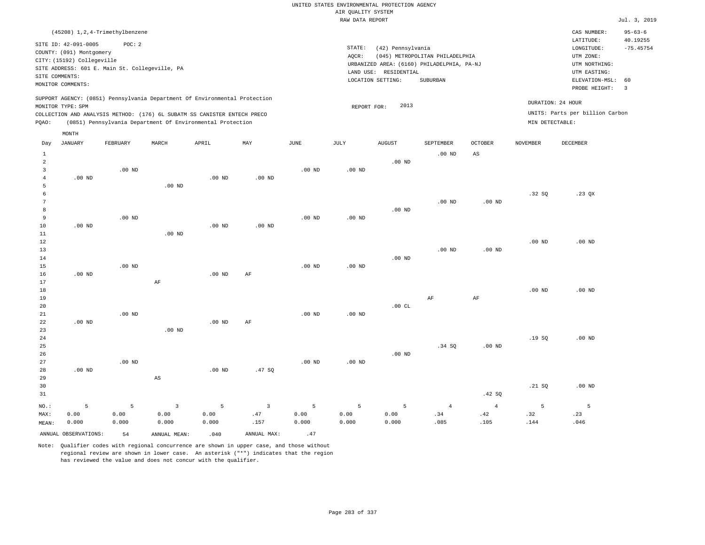# UNITED STATES ENVIRONMENTAL PROTECTION AGENCY AIR QUALITY SYSTEM

|                                                       |                                                                                                                       |                                                          |          |                                                                                                                                                                                                                      |          |                   | RAW DATA REPORT   |                                                                 |                                                                                           |                        |                 |                                                                                                          | Jul. 3, 2019                                    |
|-------------------------------------------------------|-----------------------------------------------------------------------------------------------------------------------|----------------------------------------------------------|----------|----------------------------------------------------------------------------------------------------------------------------------------------------------------------------------------------------------------------|----------|-------------------|-------------------|-----------------------------------------------------------------|-------------------------------------------------------------------------------------------|------------------------|-----------------|----------------------------------------------------------------------------------------------------------|-------------------------------------------------|
|                                                       |                                                                                                                       | (45208) 1, 2, 4-Trimethylbenzene                         |          |                                                                                                                                                                                                                      |          |                   |                   |                                                                 |                                                                                           |                        |                 | CAS NUMBER:                                                                                              | $95 - 63 - 6$                                   |
|                                                       | SITE ID: 42-091-0005<br>COUNTY: (091) Montgomery<br>CITY: (15192) Collegeville<br>SITE COMMENTS:<br>MONITOR COMMENTS: | POC: 2<br>SITE ADDRESS: 601 E. Main St. Collegeville, PA |          |                                                                                                                                                                                                                      |          |                   | STATE:<br>AQCR:   | (42) Pennsylvania<br>LAND USE: RESIDENTIAL<br>LOCATION SETTING: | (045) METROPOLITAN PHILADELPHIA<br>URBANIZED AREA: (6160) PHILADELPHIA, PA-NJ<br>SUBURBAN |                        |                 | LATITUDE:<br>LONGITUDE:<br>UTM ZONE:<br>UTM NORTHING:<br>UTM EASTING:<br>ELEVATION-MSL:<br>PROBE HEIGHT: | 40.19255<br>$-75.45754$<br>60<br>$\overline{3}$ |
| PQAO:                                                 | MONITOR TYPE: SPM                                                                                                     |                                                          |          | SUPPORT AGENCY: (0851) Pennsylvania Department Of Environmental Protection<br>COLLECTION AND ANALYSIS METHOD: (176) 6L SUBATM SS CANISTER ENTECH PRECO<br>(0851) Pennsylvania Department Of Environmental Protection |          |                   | REPORT FOR:       | 2013                                                            |                                                                                           |                        | MIN DETECTABLE: | DURATION: 24 HOUR<br>UNITS: Parts per billion Carbon                                                     |                                                 |
|                                                       | MONTH                                                                                                                 |                                                          |          |                                                                                                                                                                                                                      |          |                   |                   |                                                                 |                                                                                           |                        |                 |                                                                                                          |                                                 |
| Day                                                   | JANUARY                                                                                                               | FEBRUARY                                                 | MARCH    | APRIL                                                                                                                                                                                                                | MAY      | <b>JUNE</b>       | JULY              | <b>AUGUST</b>                                                   | SEPTEMBER                                                                                 | <b>OCTOBER</b>         | <b>NOVEMBER</b> | DECEMBER                                                                                                 |                                                 |
| $\mathbf{1}$<br>$\overline{a}$<br>3<br>$\overline{4}$ | $.00$ ND                                                                                                              | $.00$ ND                                                 |          | $.00$ ND                                                                                                                                                                                                             | $.00$ ND | $.00$ ND          | $.00$ ND          | $.00$ ND                                                        | $.00$ ND                                                                                  | $\mathbb{A}\mathbb{S}$ |                 |                                                                                                          |                                                 |
| 5<br>6<br>$\overline{7}$                              |                                                                                                                       |                                                          | $.00$ ND |                                                                                                                                                                                                                      |          |                   |                   |                                                                 | $.00$ ND                                                                                  | .00 <sub>ND</sub>      | .32S            | $.23$ $OX$                                                                                               |                                                 |
| 8<br>9<br>10<br>11                                    | $.00$ ND                                                                                                              | $.00$ ND                                                 | $.00$ ND | $.00$ ND                                                                                                                                                                                                             | $.00$ ND | $.00$ ND          | $.00$ ND          | $.00$ ND                                                        |                                                                                           |                        |                 |                                                                                                          |                                                 |
| 12<br>13<br>14                                        |                                                                                                                       |                                                          |          |                                                                                                                                                                                                                      |          |                   |                   | $.00$ ND                                                        | $.00$ ND                                                                                  | .00 <sub>ND</sub>      | $.00$ ND        | $.00$ ND                                                                                                 |                                                 |
| 15<br>16<br>17                                        | .00 <sub>ND</sub>                                                                                                     | $.00$ ND                                                 | AF       | $.00$ ND                                                                                                                                                                                                             | AF       | .00 <sub>ND</sub> | .00 <sub>ND</sub> |                                                                 |                                                                                           |                        |                 |                                                                                                          |                                                 |
| 18<br>19<br>20<br>21                                  |                                                                                                                       | $.00$ ND                                                 |          |                                                                                                                                                                                                                      |          | .00 <sub>ND</sub> | $.00$ ND          | .00CL                                                           | AF                                                                                        | $\rm AF$               | $.00$ ND        | $.00$ ND                                                                                                 |                                                 |
| 22<br>23<br>24<br>25                                  | .00 <sub>ND</sub>                                                                                                     |                                                          | $.00$ ND | $.00$ ND                                                                                                                                                                                                             | AF       |                   |                   |                                                                 | .34 SQ                                                                                    | .00 <sub>ND</sub>      | .19SQ           | $.00$ ND                                                                                                 |                                                 |

Note: Qualifier codes with regional concurrence are shown in upper case, and those without regional review are shown in lower case. An asterisk ("\*") indicates that the region has reviewed the value and does not concur with the qualifier.

3 0.00 0.000

ANNUAL OBSERVATIONS:  $54$  ANNUAL MEAN: .040 ANNUAL MAX: .47

.00 ND

5 0.00 0.000

.47 SQ

3 .47 .157

.00 ND

5 0.00 0.000

NO.: MAX: MEAN: .00 ND

.00 ND

5 0.00 0.000

AS

5 0.00 0.000

.00 ND

5 0.00 0.000

.00 ND

5 0.00 0.000

.42 SQ

4 .42 .105

4 .34 .085

.21 SQ

5 .32 .144

.00 ND

5 .23 .046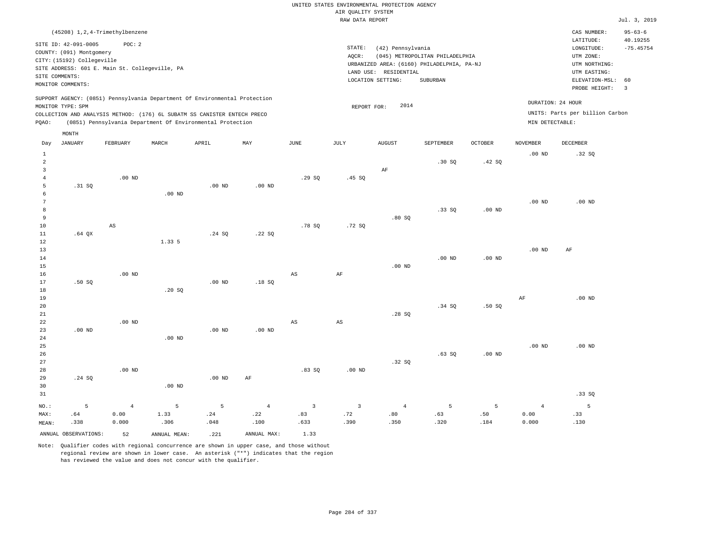| (45208) 1, 2, 4-Trimethylbenzene                                                                                                                                                                                                                            |                                                                                                                                                                                 | CAS NUMBER:                                                                                                 | $95 - 63 - 6$                 |
|-------------------------------------------------------------------------------------------------------------------------------------------------------------------------------------------------------------------------------------------------------------|---------------------------------------------------------------------------------------------------------------------------------------------------------------------------------|-------------------------------------------------------------------------------------------------------------|-------------------------------|
| SITE ID: 42-091-0005<br>POC:2<br>COUNTY: (091) Montgomery<br>CITY: (15192) Collegeville<br>SITE ADDRESS: 601 E. Main St. Collegeville, PA<br>SITE COMMENTS:<br>MONITOR COMMENTS:                                                                            | STATE:<br>(42) Pennsylvania<br>AOCR:<br>(045) METROPOLITAN PHILADELPHIA<br>URBANIZED AREA: (6160) PHILADELPHIA, PA-NJ<br>LAND USE: RESIDENTIAL<br>LOCATION SETTING:<br>SUBURBAN | LATITUDE:<br>LONGITUDE:<br>UTM ZONE:<br>UTM NORTHING:<br>UTM EASTING:<br>ELEVATION-MSL: 60<br>PROBE HEIGHT: | 40.19255<br>$-75.45754$<br>-3 |
| SUPPORT AGENCY: (0851) Pennsylvania Department Of Environmental Protection<br>MONITOR TYPE: SPM<br>COLLECTION AND ANALYSIS METHOD: (176) 6L SUBATM SS CANISTER ENTECH PRECO<br>(0851) Pennsylvania Department Of Environmental Protection<br>POAO:<br>MONTH | 2014<br>REPORT FOR:<br>MIN DETECTABLE:                                                                                                                                          | DURATION: 24 HOUR<br>UNITS: Parts per billion Carbon                                                        |                               |

| Day               | <b>JANUARY</b>       | FEBRUARY       | $\tt MARCH$    | APRIL       | MAY         | $_{\rm JUNE}$           | $\mathtt{JULY}$ | AUGUST   | SEPTEMBER | $\mathtt{OCTOBER}$ | NOVEMBER       | ${\tt DECEMBER}$ |
|-------------------|----------------------|----------------|----------------|-------------|-------------|-------------------------|-----------------|----------|-----------|--------------------|----------------|------------------|
| $\mathbf{1}$      |                      |                |                |             |             |                         |                 |          |           |                    | $.00$ ND       | .32 SQ           |
| $\overline{a}$    |                      |                |                |             |             |                         |                 |          | .30SQ     | .42 SQ             |                |                  |
| 3                 |                      |                |                |             |             |                         |                 | $\rm AF$ |           |                    |                |                  |
| $\overline{4}$    |                      | .00 $ND$       |                |             |             | .29SQ                   | .45S            |          |           |                    |                |                  |
| 5                 | .31 SQ               |                |                | .00 $ND$    | $.00$ ND    |                         |                 |          |           |                    |                |                  |
| 6                 |                      |                | $.00$ ND       |             |             |                         |                 |          |           |                    |                |                  |
| 7                 |                      |                |                |             |             |                         |                 |          |           |                    | $.00$ ND       | $.00$ ND         |
| 8                 |                      |                |                |             |             |                         |                 |          | .33SQ     | $.00$ ND           |                |                  |
| 9                 |                      |                |                |             |             |                         |                 | .80SQ    |           |                    |                |                  |
| $10$              |                      | AS             |                |             |             | .78S                    | .72SQ           |          |           |                    |                |                  |
| 11                | $.64$ QX             |                |                | .24 SQ      | .22SQ       |                         |                 |          |           |                    |                |                  |
| 12                |                      |                | 1.33 5         |             |             |                         |                 |          |           |                    |                |                  |
| 13                |                      |                |                |             |             |                         |                 |          |           |                    | $.00$ ND       | AF               |
| 14                |                      |                |                |             |             |                         |                 |          | $.00$ ND  | $.00$ ND           |                |                  |
| 15                |                      |                |                |             |             |                         |                 | $.00$ ND |           |                    |                |                  |
| 16                |                      | $.00$ ND       |                |             |             | AS                      | $\rm AF$        |          |           |                    |                |                  |
| 17                | .50S                 |                |                | $.00$ ND    | .18SQ       |                         |                 |          |           |                    |                |                  |
| 18                |                      |                | .20SQ          |             |             |                         |                 |          |           |                    |                |                  |
| 19                |                      |                |                |             |             |                         |                 |          |           |                    | $\rm{AF}$      | $.00$ ND         |
| 20                |                      |                |                |             |             |                         |                 |          | .34 SQ    | .50SQ              |                |                  |
| $21\,$            |                      | $.00$ ND       |                |             |             |                         |                 | .28SQ    |           |                    |                |                  |
| $2\sqrt{2}$<br>23 | $.00$ ND             |                |                | $.00$ ND    | $.00$ ND    | AS                      | $_{\rm AS}$     |          |           |                    |                |                  |
| 24                |                      |                | $.00$ ND       |             |             |                         |                 |          |           |                    |                |                  |
| $25\,$            |                      |                |                |             |             |                         |                 |          |           |                    | $.00$ ND       | $.00$ ND         |
| 26                |                      |                |                |             |             |                         |                 |          | .63SQ     | $.00$ ND           |                |                  |
| 27                |                      |                |                |             |             |                         |                 | .32SQ    |           |                    |                |                  |
| 28                |                      | $.00$ ND       |                |             |             | .83SQ                   | $.00$ ND        |          |           |                    |                |                  |
| 29                | .24 SQ               |                |                | .00 $ND$    | $\rm AF$    |                         |                 |          |           |                    |                |                  |
| 30                |                      |                | .00 $ND$       |             |             |                         |                 |          |           |                    |                |                  |
| 31                |                      |                |                |             |             |                         |                 |          |           |                    |                | .33SQ            |
|                   |                      |                |                |             |             |                         |                 |          |           |                    |                |                  |
| $_{\rm NO.}$ :    | 5                    | $\overline{4}$ | $\overline{5}$ | $\mathsf S$ | $\,4$       | $\overline{\mathbf{3}}$ | $\overline{3}$  | $\bf{4}$ | 5         | $\overline{5}$     | $\overline{4}$ | $\overline{5}$   |
| MAX:              | .64                  | 0.00           | 1.33           | .24         | .22         | .83                     | .72             | .80      | .63       | .50                | 0.00           | .33              |
| MEAN:             | .338                 | 0.000          | .306           | .048        | .100        | .633                    | .390            | .350     | .320      | .184               | 0.000          | .130             |
|                   | ANNUAL OBSERVATIONS: | 52             | ANNUAL MEAN:   | .221        | ANNUAL MAX: | 1.33                    |                 |          |           |                    |                |                  |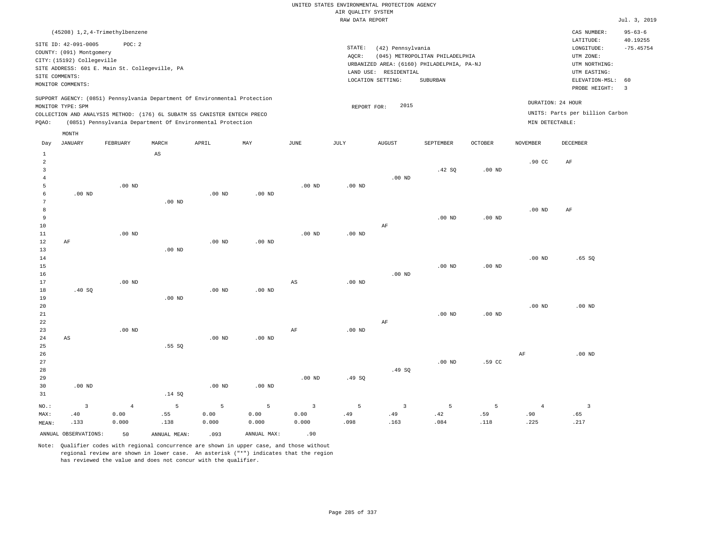| (45208) 1, 2, 4-Trimethylbenzene                                                                                                                                                     |                                                            |       |     |      |                 |                                                                                                                  |                                             |                |                                      | CAS NUMBER:                                  | $95 - 63 - 6$ |
|--------------------------------------------------------------------------------------------------------------------------------------------------------------------------------------|------------------------------------------------------------|-------|-----|------|-----------------|------------------------------------------------------------------------------------------------------------------|---------------------------------------------|----------------|--------------------------------------|----------------------------------------------|---------------|
| SITE ID: 42-091-0005<br>COUNTY: (091) Montgomery<br>CITY: (15192) Collegeville<br>SITE ADDRESS: 601 E. Main St. Collegeville, PA<br>SITE COMMENTS:<br>MONITOR COMMENTS:              | POC:2                                                      |       |     |      | STATE:<br>AOCR: | (42) Pennsylvania<br>URBANIZED AREA: (6160) PHILADELPHIA, PA-NJ<br>LAND USE:<br>RESIDENTIAL<br>LOCATION SETTING: | (045) METROPOLITAN PHILADELPHIA<br>SUBURBAN |                |                                      | 40.19255<br>$-75.45754$<br>ELEVATION-MSL: 60 |               |
|                                                                                                                                                                                      |                                                            |       |     |      |                 |                                                                                                                  |                                             |                |                                      | PROBE HEIGHT:                                | 3             |
| SUPPORT AGENCY: (0851) Pennsylvania Department Of Environmental Protection<br>MONITOR TYPE: SPM<br>COLLECTION AND ANALYSIS METHOD: (176) 6L SUBATM SS CANISTER ENTECH PRECO<br>POAO: | (0851) Pennsylvania Department Of Environmental Protection |       |     |      |                 | 2015<br>REPORT FOR:                                                                                              |                                             |                | DURATION: 24 HOUR<br>MIN DETECTABLE: | UNITS: Parts per billion Carbon              |               |
| MONTH<br>JANUARY<br>FEBRUARY<br>Day                                                                                                                                                  | MARCH                                                      | APRIL | MAY | JUNE | JULY            | <b>AUGUST</b>                                                                                                    | SEPTEMBER                                   | <b>OCTOBER</b> | <b>NOVEMBER</b>                      | DECEMBER                                     |               |
|                                                                                                                                                                                      |                                                            |       |     |      |                 |                                                                                                                  |                                             |                |                                      |                                              |               |

| 1                       |                        |          | $\mathbb{A}\mathbb{S}$ |                   |                |                         |          |                |                   |          |                  |                         |
|-------------------------|------------------------|----------|------------------------|-------------------|----------------|-------------------------|----------|----------------|-------------------|----------|------------------|-------------------------|
| $\overline{\mathbf{c}}$ |                        |          |                        |                   |                |                         |          |                |                   |          | .90 <sub>c</sub> | $\rm AF$                |
| 3<br>$\overline{4}$     |                        |          |                        |                   |                |                         |          | $.00$ ND       | .42 SQ            | .00 $ND$ |                  |                         |
| 5                       |                        | .00 $ND$ |                        |                   |                | $.00$ ND                | .00 $ND$ |                |                   |          |                  |                         |
| 6                       | .00 <sub>ND</sub>      |          |                        | .00 <sub>ND</sub> | $.00$ ND       |                         |          |                |                   |          |                  |                         |
| 7                       |                        |          | $.00$ ND               |                   |                |                         |          |                |                   |          |                  |                         |
| 8                       |                        |          |                        |                   |                |                         |          |                |                   |          | $.00$ ND         | $\rm AF$                |
| 9                       |                        |          |                        |                   |                |                         |          |                | .00 <sub>ND</sub> | $.00$ ND |                  |                         |
| 10                      |                        |          |                        |                   |                |                         |          | $\rm AF$       |                   |          |                  |                         |
| $11\,$                  |                        | $.00$ ND |                        |                   |                | $.00$ ND                | .00 $ND$ |                |                   |          |                  |                         |
| 12                      | $\rm AF$               |          |                        | $.00$ ND          | $.00$ ND       |                         |          |                |                   |          |                  |                         |
| 13                      |                        |          | $.00$ ND               |                   |                |                         |          |                |                   |          |                  |                         |
| 14                      |                        |          |                        |                   |                |                         |          |                |                   |          | $.00$ ND         | .65SQ                   |
| 15                      |                        |          |                        |                   |                |                         |          |                | .00 <sub>ND</sub> | $.00$ ND |                  |                         |
| 16                      |                        |          |                        |                   |                |                         |          | .00 $ND$       |                   |          |                  |                         |
| 17                      |                        | $.00$ ND |                        |                   |                | $_{\rm AS}$             | $.00$ ND |                |                   |          |                  |                         |
| 18<br>19                | .40 $SQ$               |          | $.00$ ND               | $.00$ ND          | $.00$ ND       |                         |          |                |                   |          |                  |                         |
| 20                      |                        |          |                        |                   |                |                         |          |                |                   |          | $.00$ ND         | $.00$ ND                |
| 21                      |                        |          |                        |                   |                |                         |          |                | .00 <sub>ND</sub> | $.00$ ND |                  |                         |
| 22                      |                        |          |                        |                   |                |                         |          | $\rm AF$       |                   |          |                  |                         |
| 23                      |                        | $.00$ ND |                        |                   |                | $\rm{AF}$               | .00 $ND$ |                |                   |          |                  |                         |
| $2\,4$                  | $\mathbb{A}\mathbb{S}$ |          |                        | .00 <sub>ND</sub> | .00 $ND$       |                         |          |                |                   |          |                  |                         |
| 25                      |                        |          | .55SQ                  |                   |                |                         |          |                |                   |          |                  |                         |
| $26\,$                  |                        |          |                        |                   |                |                         |          |                |                   |          | $\rm{AF}$        | $.00$ ND                |
| 27                      |                        |          |                        |                   |                |                         |          |                | .00 <sub>ND</sub> | .59 CC   |                  |                         |
| 28                      |                        |          |                        |                   |                |                         |          | .49 SQ         |                   |          |                  |                         |
| 29                      |                        |          |                        |                   |                | $.00$ ND                | .49SQ    |                |                   |          |                  |                         |
| 30                      | $.00$ ND               |          |                        | $.00$ ND          | $.00$ ND       |                         |          |                |                   |          |                  |                         |
| $3\,1$                  |                        |          | .14 SQ                 |                   |                |                         |          |                |                   |          |                  |                         |
| $_{\rm NO.}$ :          | $\mathsf 3$            | $\bf{4}$ | $\mathsf S$            | $\overline{5}$    | $\overline{5}$ | $\overline{\mathbf{3}}$ | 5        | $\overline{3}$ | 5                 | 5        | $\overline{4}$   | $\overline{\mathbf{3}}$ |
| MAX:                    | .40                    | 0.00     | .55                    | 0.00              | 0.00           | 0.00                    | .49      | .49            | .42               | .59      | .90              | .65                     |
| MEAN:                   | .133                   | 0.000    | .138                   | 0.000             | 0.000          | 0.000                   | .098     | .163           | .084              | .118     | .225             | .217                    |
|                         | ANNUAL OBSERVATIONS:   | 50       | ANNUAL MEAN:           | .093              | ANNUAL MAX:    | .90                     |          |                |                   |          |                  |                         |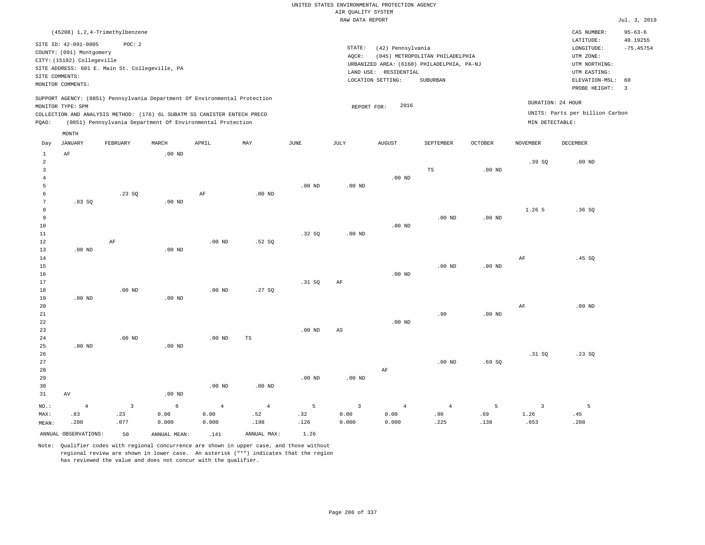| (45208) 1, 2, 4-Trimethylbenzene                                                                                                                                                                                                                            |                                                                                                                                                                                 | CAS NUMBER:                                                                                                 | $95 - 63 - 6$                 |
|-------------------------------------------------------------------------------------------------------------------------------------------------------------------------------------------------------------------------------------------------------------|---------------------------------------------------------------------------------------------------------------------------------------------------------------------------------|-------------------------------------------------------------------------------------------------------------|-------------------------------|
| SITE ID: 42-091-0005<br>POC:2<br>COUNTY: (091) Montgomery<br>CITY: (15192) Collegeville<br>SITE ADDRESS: 601 E. Main St. Collegeville, PA<br>SITE COMMENTS:<br>MONITOR COMMENTS:                                                                            | STATE:<br>(42) Pennsylvania<br>(045) METROPOLITAN PHILADELPHIA<br>AOCR:<br>URBANIZED AREA: (6160) PHILADELPHIA, PA-NJ<br>LAND USE: RESIDENTIAL<br>LOCATION SETTING:<br>SUBURBAN | LATITUDE:<br>LONGITUDE:<br>UTM ZONE:<br>UTM NORTHING:<br>UTM EASTING:<br>ELEVATION-MSL: 60<br>PROBE HEIGHT: | 40.19255<br>$-75.45754$<br>-3 |
| SUPPORT AGENCY: (0851) Pennsylvania Department Of Environmental Protection<br>MONITOR TYPE: SPM<br>COLLECTION AND ANALYSIS METHOD: (176) 6L SUBATM SS CANISTER ENTECH PRECO<br>(0851) Pennsylvania Department Of Environmental Protection<br>POAO:<br>MONTH | 2016<br>REPORT FOR:                                                                                                                                                             | DURATION: 24 HOUR<br>UNITS: Parts per billion Carbon<br>MIN DETECTABLE:                                     |                               |

| Day            | JANUARY              | FEBRUARY                | MARCH        | APRIL          | MAY               | JUNE        | JULY                    | AUGUST         | SEPTEMBER      | OCTOBER           | NOVEMBER       | DECEMBER |
|----------------|----------------------|-------------------------|--------------|----------------|-------------------|-------------|-------------------------|----------------|----------------|-------------------|----------------|----------|
| $\mathbf{1}$   | $\rm AF$             |                         | $.00$ ND     |                |                   |             |                         |                |                |                   |                |          |
| $\overline{c}$ |                      |                         |              |                |                   |             |                         |                |                |                   | .39SQ          | $.00$ ND |
| 3              |                      |                         |              |                |                   |             |                         |                | $\mathbb{TS}$  | .00 <sub>ND</sub> |                |          |
| $\overline{4}$ |                      |                         |              |                |                   |             |                         | $.00$ ND       |                |                   |                |          |
| 5              |                      |                         |              |                |                   | $.00$ ND    | $.00$ ND                |                |                |                   |                |          |
| 6              |                      | .23SQ                   |              | $\rm AF$       | $.00$ ND          |             |                         |                |                |                   |                |          |
| 7              | .83SQ                |                         | $.00$ ND     |                |                   |             |                         |                |                |                   |                |          |
| 8              |                      |                         |              |                |                   |             |                         |                |                |                   | 1.26 5         | .36SQ    |
| 9              |                      |                         |              |                |                   |             |                         |                | $.00$ ND       | .00 <sub>ND</sub> |                |          |
| 10             |                      |                         |              |                |                   |             |                         | $.00$ ND       |                |                   |                |          |
| $11\,$         |                      |                         |              |                |                   | .32SQ       | $.00$ ND                |                |                |                   |                |          |
| 12             |                      | $\rm{AF}$               |              | $.00$ ND       | .52SQ             |             |                         |                |                |                   |                |          |
| 13             | $.00$ ND             |                         | $.00$ ND     |                |                   |             |                         |                |                |                   |                |          |
| 14             |                      |                         |              |                |                   |             |                         |                |                |                   | $\rm AF$       | .45 SQ   |
| 15             |                      |                         |              |                |                   |             |                         |                | $.00$ ND       | $.00$ ND          |                |          |
| $16\,$         |                      |                         |              |                |                   |             |                         | $.00$ ND       |                |                   |                |          |
| 17             |                      |                         |              |                |                   | .31 SQ      | AF                      |                |                |                   |                |          |
| 18             |                      | .00 $ND$                |              | .00 $ND$       | .27SQ             |             |                         |                |                |                   |                |          |
| 19             | $.00$ ND             |                         | $.00$ ND     |                |                   |             |                         |                |                |                   |                |          |
| 20             |                      |                         |              |                |                   |             |                         |                |                |                   | $\rm{AF}$      | $.00$ ND |
| $21\,$         |                      |                         |              |                |                   |             |                         |                | .90            | .00 <sub>ND</sub> |                |          |
| $^{\rm 22}$    |                      |                         |              |                |                   |             |                         | $.00$ ND       |                |                   |                |          |
| $23$           |                      |                         |              |                |                   | $.00$ ND    | AS                      |                |                |                   |                |          |
| $2\sqrt{4}$    |                      | .00 $ND$                |              | $.00$ ND       | TS                |             |                         |                |                |                   |                |          |
| 25             | $.00$ ND             |                         | $.00$ ND     |                |                   |             |                         |                |                |                   |                |          |
| 26             |                      |                         |              |                |                   |             |                         |                |                |                   | .31 SQ         | .23SQ    |
| 27             |                      |                         |              |                |                   |             |                         |                | $.00$ ND       | .69SQ             |                |          |
| 28             |                      |                         |              |                |                   |             |                         | $\rm AF$       |                |                   |                |          |
| 29             |                      |                         |              |                |                   | $.00$ ND    | $.00$ ND                |                |                |                   |                |          |
| 30             |                      |                         |              | $.00$ ND       | .00 <sub>ND</sub> |             |                         |                |                |                   |                |          |
| 31             | AV                   |                         | $.00$ ND     |                |                   |             |                         |                |                |                   |                |          |
| $_{\rm NO.}$ : | $\overline{4}$       | $\overline{\mathbf{3}}$ | $\epsilon$   | $\overline{4}$ | $\overline{4}$    | $\mathsf S$ | $\overline{\mathbf{3}}$ | $\overline{4}$ | $\overline{4}$ | 5                 | $\overline{3}$ | 5        |
| MAX:           | .83                  | .23                     | 0.00         | 0.00           | .52               | .32         | 0.00                    | 0.00           | .90            | .69               | 1.26           | .45      |
| MEAN:          | .208                 | .077                    | 0.000        | 0.000          | .198              | .126        | 0.000                   | 0.000          | .225           | .138              | .653           | .208     |
|                | ANNUAL OBSERVATIONS: | 50                      | ANNUAL MEAN: | .141           | ANNUAL MAX:       | 1.26        |                         |                |                |                   |                |          |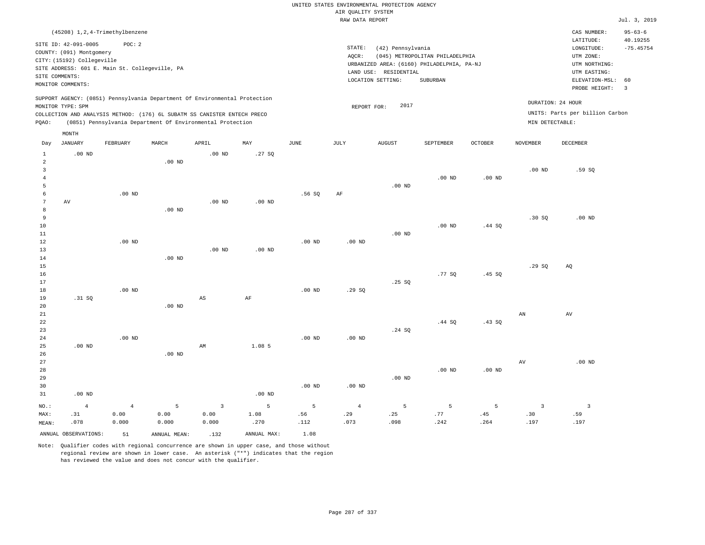|                               |                                                                                                  |                                                          |                    |                                                                                                                                                                                                                      |                   |                                                                                                                                                                                                                                                                                       | AIR QUALITY SYSTEM            | UNITED STATES ENVIRONMENTAL PROTECTION AGENCY |                   |                  |                                        |                                                      |                           |
|-------------------------------|--------------------------------------------------------------------------------------------------|----------------------------------------------------------|--------------------|----------------------------------------------------------------------------------------------------------------------------------------------------------------------------------------------------------------------|-------------------|---------------------------------------------------------------------------------------------------------------------------------------------------------------------------------------------------------------------------------------------------------------------------------------|-------------------------------|-----------------------------------------------|-------------------|------------------|----------------------------------------|------------------------------------------------------|---------------------------|
|                               |                                                                                                  |                                                          |                    |                                                                                                                                                                                                                      |                   |                                                                                                                                                                                                                                                                                       | RAW DATA REPORT               |                                               |                   |                  |                                        |                                                      | Jul. 3, 2019              |
|                               |                                                                                                  | (45208) 1, 2, 4-Trimethylbenzene                         |                    |                                                                                                                                                                                                                      |                   |                                                                                                                                                                                                                                                                                       |                               |                                               |                   |                  |                                        | CAS NUMBER:<br>LATITUDE:                             | $95 - 63 - 6$<br>40.19255 |
|                               | SITE ID: 42-091-0005<br>COUNTY: (091) Montgomery<br>CITY: (15192) Collegeville<br>SITE COMMENTS: | POC: 2<br>SITE ADDRESS: 601 E. Main St. Collegeville, PA |                    |                                                                                                                                                                                                                      |                   | $\texttt{STATE}$ :<br>(42) Pennsylvania<br>$\texttt{LONGITUDE}$ :<br>UTM ZONE:<br>AQCR:<br>(045) METROPOLITAN PHILADELPHIA<br>URBANIZED AREA: (6160) PHILADELPHIA, PA-NJ<br>UTM NORTHING:<br>LAND USE: RESIDENTIAL<br>UTM EASTING:<br>LOCATION SETTING:<br>SUBURBAN<br>ELEVATION-MSL: |                               |                                               |                   |                  |                                        |                                                      | $-75.45754$<br>60         |
|                               | MONITOR COMMENTS:                                                                                |                                                          |                    |                                                                                                                                                                                                                      |                   |                                                                                                                                                                                                                                                                                       |                               |                                               |                   |                  |                                        | PROBE HEIGHT:                                        | $\overline{3}$            |
| PQAO:                         | MONITOR TYPE: SPM                                                                                |                                                          |                    | SUPPORT AGENCY: (0851) Pennsylvania Department Of Environmental Protection<br>COLLECTION AND ANALYSIS METHOD: (176) 6L SUBATM SS CANISTER ENTECH PRECO<br>(0851) Pennsylvania Department Of Environmental Protection |                   |                                                                                                                                                                                                                                                                                       | REPORT FOR:                   | 2017                                          |                   |                  | MIN DETECTABLE:                        | DURATION: 24 HOUR<br>UNITS: Parts per billion Carbon |                           |
| Day                           | MONTH<br><b>JANUARY</b>                                                                          | FEBRUARY                                                 | MARCH              | APRIL                                                                                                                                                                                                                | MAY               | $_{\rm JUNE}$                                                                                                                                                                                                                                                                         | JULY                          | <b>AUGUST</b>                                 | SEPTEMBER         | <b>OCTOBER</b>   | <b>NOVEMBER</b>                        | DECEMBER                                             |                           |
| $\mathbf{1}$<br>2             | $.00$ ND                                                                                         |                                                          |                    | .00 <sub>ND</sub>                                                                                                                                                                                                    | .27SQ             |                                                                                                                                                                                                                                                                                       |                               |                                               |                   |                  |                                        |                                                      |                           |
| 3<br>$\overline{4}$<br>5      |                                                                                                  |                                                          | $.00$ ND           |                                                                                                                                                                                                                      |                   |                                                                                                                                                                                                                                                                                       |                               | $.00$ ND                                      | $.00$ ND          | $.00$ ND         | .00 <sub>ND</sub>                      | .59SQ                                                |                           |
| 6<br>7<br>8                   | AV                                                                                               | $.00$ ND                                                 | $.00$ ND           | $.00$ ND                                                                                                                                                                                                             | .00 <sub>ND</sub> | .56SQ                                                                                                                                                                                                                                                                                 | AF                            |                                               |                   |                  |                                        |                                                      |                           |
| 9<br>10<br>$1\,1$<br>12<br>13 |                                                                                                  | $.00$ ND                                                 |                    | $.00$ ND                                                                                                                                                                                                             |                   | .00 <sub>ND</sub>                                                                                                                                                                                                                                                                     | $.00$ ND                      | $.00$ ND                                      | $.00$ ND          | .44 SQ           | .30S                                   | $.00$ ND                                             |                           |
| 14<br>$15$<br>16<br>17        |                                                                                                  |                                                          | $.00$ ND           |                                                                                                                                                                                                                      | $.00$ ND          |                                                                                                                                                                                                                                                                                       |                               | .25SQ                                         | .77 SO            | .45 S            | .29SQ                                  | AQ                                                   |                           |
| $1\,8$<br>19<br>20            | .31 SQ                                                                                           | $.00$ ND                                                 | $.00$ ND           | $\mathbb{A}\mathbb{S}$                                                                                                                                                                                               | AF                | .00 <sub>ND</sub>                                                                                                                                                                                                                                                                     | .29SQ                         |                                               |                   |                  |                                        |                                                      |                           |
| 21<br>22<br>23<br>24          |                                                                                                  | $.00$ ND                                                 |                    |                                                                                                                                                                                                                      |                   | $.00$ ND                                                                                                                                                                                                                                                                              | .00 <sub>ND</sub>             | .24 S0                                        | .44 SQ            | .43SQ            | AN                                     | AV                                                   |                           |
| 25<br>26<br>27                | $.00$ ND                                                                                         |                                                          | $.00$ ND           | AM                                                                                                                                                                                                                   | 1.085             |                                                                                                                                                                                                                                                                                       |                               |                                               |                   |                  | $\hbox{AV}$                            | $.00$ ND                                             |                           |
| 28<br>29<br>30<br>31          | $.00$ ND                                                                                         |                                                          |                    |                                                                                                                                                                                                                      | .00 <sub>ND</sub> | $.00$ ND                                                                                                                                                                                                                                                                              | $.00$ ND                      | $.00$ ND                                      | .00 <sub>ND</sub> | $.00$ ND         |                                        |                                                      |                           |
| NO.:<br>MAX:<br>MEAN:         | $\overline{4}$<br>.31<br>.078                                                                    | $\overline{4}$<br>0.00<br>0.000                          | 5<br>0.00<br>0.000 | $\overline{3}$<br>0.00<br>0.000                                                                                                                                                                                      | 5<br>1.08<br>.270 | 5<br>.56<br>.112                                                                                                                                                                                                                                                                      | $\overline{4}$<br>.29<br>.073 | 5<br>.25<br>.098                              | 5<br>.77<br>.242  | 5<br>.45<br>.264 | $\overline{\mathbf{3}}$<br>.30<br>.197 | $\overline{\mathbf{3}}$<br>.59<br>.197               |                           |
|                               | ANNUAL OBSERVATIONS:                                                                             | 51                                                       | ANNUAL, MEAN:      | .132                                                                                                                                                                                                                 | ANNUAL MAX:       | 1.08                                                                                                                                                                                                                                                                                  |                               |                                               |                   |                  |                                        |                                                      |                           |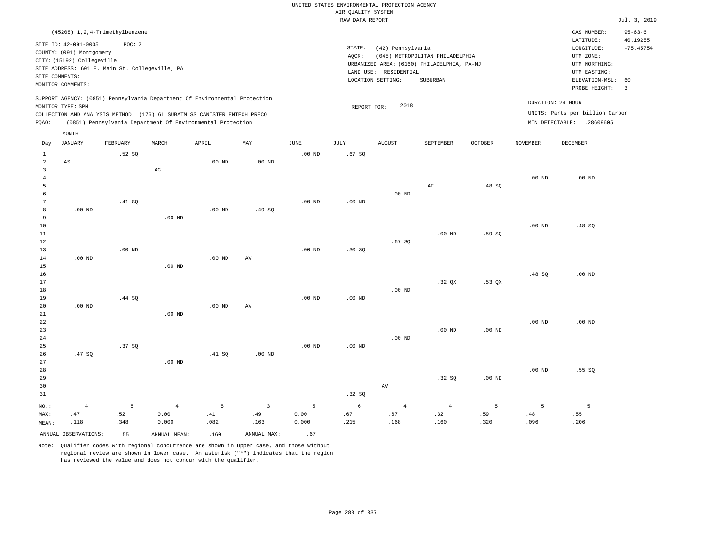|                                                |                                                                                                                                                                                        |                  |                                 |                                                                                                                                                                                                                      |                             |                    | UNITED STATES ENVIRONMENTAL PROTECTION AGENCY<br>AIR OUALITY SYSTEM |                                            |                                                                               |                  |                   |                                                                                                    |                                          |
|------------------------------------------------|----------------------------------------------------------------------------------------------------------------------------------------------------------------------------------------|------------------|---------------------------------|----------------------------------------------------------------------------------------------------------------------------------------------------------------------------------------------------------------------|-----------------------------|--------------------|---------------------------------------------------------------------|--------------------------------------------|-------------------------------------------------------------------------------|------------------|-------------------|----------------------------------------------------------------------------------------------------|------------------------------------------|
|                                                |                                                                                                                                                                                        |                  |                                 |                                                                                                                                                                                                                      |                             |                    | RAW DATA REPORT                                                     |                                            |                                                                               |                  |                   |                                                                                                    | Jul. 3, 2019                             |
|                                                |                                                                                                                                                                                        |                  |                                 |                                                                                                                                                                                                                      |                             |                    |                                                                     |                                            |                                                                               |                  |                   |                                                                                                    |                                          |
|                                                | (45208) 1, 2, 4-Trimethylbenzene<br>SITE ID: 42-091-0005<br>COUNTY: (091) Montgomery<br>CITY: (15192) Collegeville<br>SITE ADDRESS: 601 E. Main St. Collegeville, PA<br>SITE COMMENTS: | POC: 2           |                                 |                                                                                                                                                                                                                      |                             |                    | STATE:<br>AOCR:                                                     | (42) Pennsylvania<br>LAND USE: RESIDENTIAL | (045) METROPOLITAN PHILADELPHIA<br>URBANIZED AREA: (6160) PHILADELPHIA, PA-NJ |                  |                   | CAS NUMBER:<br>LATITUDE:<br>LONGITUDE:<br>UTM ZONE:<br>UTM NORTHING:<br>UTM EASTING:               | $95 - 63 - 6$<br>40.19255<br>$-75.45754$ |
|                                                | MONITOR COMMENTS:                                                                                                                                                                      |                  |                                 |                                                                                                                                                                                                                      |                             |                    |                                                                     | LOCATION SETTING:                          | SUBURBAN                                                                      |                  |                   | ELEVATION-MSL:                                                                                     | 60                                       |
| PQAO:                                          | MONITOR TYPE: SPM                                                                                                                                                                      |                  |                                 | SUPPORT AGENCY: (0851) Pennsylvania Department Of Environmental Protection<br>COLLECTION AND ANALYSIS METHOD: (176) 6L SUBATM SS CANISTER ENTECH PRECO<br>(0851) Pennsylvania Department Of Environmental Protection |                             |                    | REPORT FOR:                                                         | 2018                                       |                                                                               |                  |                   | PROBE HEIGHT:<br>DURATION: 24 HOUR<br>UNITS: Parts per billion Carbon<br>MIN DETECTABLE: .28609605 | $\overline{3}$                           |
|                                                | MONTH                                                                                                                                                                                  |                  |                                 |                                                                                                                                                                                                                      |                             |                    |                                                                     |                                            |                                                                               |                  |                   |                                                                                                    |                                          |
| Day                                            | JANUARY                                                                                                                                                                                | <b>FEBRUARY</b>  | MARCH                           | APRIL                                                                                                                                                                                                                | MAY                         | JUNE               | <b>JULY</b>                                                         | <b>AUGUST</b>                              | SEPTEMBER                                                                     | <b>OCTOBER</b>   | <b>NOVEMBER</b>   | <b>DECEMBER</b>                                                                                    |                                          |
| $\mathbf{1}$<br>$\overline{a}$<br>$\mathbf{3}$ | AS                                                                                                                                                                                     | .52 SQ           | $_{\rm AG}$                     | $.00$ ND                                                                                                                                                                                                             | $.00$ ND                    | $.00$ ND           | .67SQ                                                               |                                            |                                                                               |                  |                   |                                                                                                    |                                          |
| $\overline{4}$<br>5<br>6                       |                                                                                                                                                                                        |                  |                                 |                                                                                                                                                                                                                      |                             |                    |                                                                     | $.00$ ND                                   | AF                                                                            | .48SQ            | .00 <sub>ND</sub> | $.00$ ND                                                                                           |                                          |
| 7<br>8<br>9<br>10                              | $.00$ ND                                                                                                                                                                               | .41 SO           | $.00$ ND                        | $.00$ ND                                                                                                                                                                                                             | .49S                        | $.00$ ND           | $.00$ ND                                                            |                                            |                                                                               |                  | .00 <sub>ND</sub> | .48 SQ                                                                                             |                                          |
| 11<br>12<br>13                                 |                                                                                                                                                                                        | $.00$ ND         |                                 |                                                                                                                                                                                                                      |                             | .00 <sub>ND</sub>  | .30S                                                                | .67SQ                                      | $.00$ ND                                                                      | .59 SO           |                   |                                                                                                    |                                          |
| 14<br>15<br>16<br>17                           | $.00$ ND                                                                                                                                                                               |                  | $.00$ ND                        | $.00$ ND                                                                                                                                                                                                             | AV                          |                    |                                                                     |                                            | .32 <sub>OX</sub>                                                             | $.53$ QX         | .48SQ             | $.00$ ND                                                                                           |                                          |
| 18<br>19<br>20                                 | $.00$ ND                                                                                                                                                                               | .44 SQ           |                                 | $.00$ ND                                                                                                                                                                                                             | AV                          | $.00$ ND           | .00 <sub>ND</sub>                                                   | .00 <sub>ND</sub>                          |                                                                               |                  |                   |                                                                                                    |                                          |
| 21<br>22<br>23<br>24                           |                                                                                                                                                                                        |                  | $.00$ ND                        |                                                                                                                                                                                                                      |                             |                    |                                                                     | $.00$ ND                                   | $.00$ ND                                                                      | $.00$ ND         | .00 <sub>ND</sub> | $.00$ ND                                                                                           |                                          |
| 25<br>26<br>27<br>28                           | .47SQ                                                                                                                                                                                  | .37SQ            | .00 <sub>ND</sub>               | .41 SQ                                                                                                                                                                                                               | $.00$ ND                    | .00 <sub>ND</sub>  | .00 <sub>ND</sub>                                                   |                                            |                                                                               |                  | $.00$ ND          | .55SQ                                                                                              |                                          |
| 29<br>30<br>31                                 |                                                                                                                                                                                        |                  |                                 |                                                                                                                                                                                                                      |                             |                    | .32 S                                                               | AV                                         | .32S                                                                          | $.00$ ND         |                   |                                                                                                    |                                          |
| NO.:<br>MAX:<br>MEAN:                          | $\overline{4}$<br>.47<br>.118                                                                                                                                                          | 5<br>.52<br>.348 | $\overline{4}$<br>0.00<br>0.000 | $\overline{5}$<br>.41<br>.082                                                                                                                                                                                        | $\mathbf{3}$<br>.49<br>.163 | 5<br>0.00<br>0.000 | 6<br>.67<br>.215                                                    | $\overline{4}$<br>.67<br>.168              | $\overline{4}$<br>.32<br>.160                                                 | 5<br>.59<br>.320 | 5<br>.48<br>.096  | 5<br>.55<br>.206                                                                                   |                                          |
|                                                | ANNUAL OBSERVATIONS:                                                                                                                                                                   | 55               | ANNUAL MEAN:                    | .160                                                                                                                                                                                                                 | ANNUAL MAX:                 | .67                |                                                                     |                                            |                                                                               |                  |                   |                                                                                                    |                                          |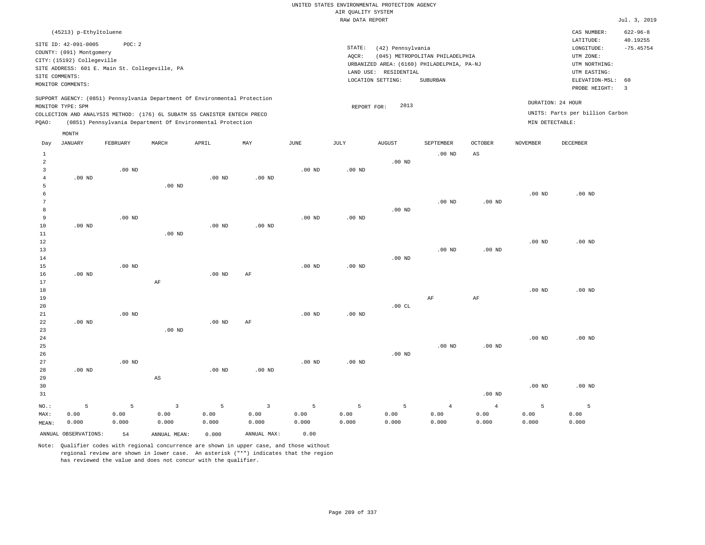## UNITED STATES ENVIRONMENTAL PROTECTION AGENCY AIR QUALITY SYSTEM

|                |                            |                                                |          |                                                                            |          |                   | RAW DATA REPORT   |                       |                                            |                   |                   |                                 | Jul. 3, 2019               |
|----------------|----------------------------|------------------------------------------------|----------|----------------------------------------------------------------------------|----------|-------------------|-------------------|-----------------------|--------------------------------------------|-------------------|-------------------|---------------------------------|----------------------------|
|                | (45213) p-Ethyltoluene     |                                                |          |                                                                            |          |                   |                   |                       |                                            |                   |                   | CAS NUMBER:<br>LATITUDE:        | $622 - 96 - 8$<br>40.19255 |
|                | SITE ID: 42-091-0005       | POC: 2                                         |          |                                                                            |          |                   | STATE:            | (42) Pennsylvania     |                                            |                   |                   | LONGITUDE:                      | $-75.45754$                |
|                | COUNTY: (091) Montgomery   |                                                |          |                                                                            |          |                   | AOCR:             |                       | (045) METROPOLITAN PHILADELPHIA            |                   |                   | UTM ZONE:                       |                            |
|                | CITY: (15192) Collegeville |                                                |          |                                                                            |          |                   |                   |                       | URBANIZED AREA: (6160) PHILADELPHIA, PA-NJ |                   |                   | UTM NORTHING:                   |                            |
|                |                            | SITE ADDRESS: 601 E. Main St. Collegeville, PA |          |                                                                            |          |                   |                   | LAND USE: RESIDENTIAL |                                            |                   |                   | UTM EASTING:                    |                            |
|                | SITE COMMENTS:             |                                                |          |                                                                            |          |                   |                   | LOCATION SETTING:     | SUBURBAN                                   |                   |                   | ELEVATION-MSL:                  | 60                         |
|                | MONITOR COMMENTS:          |                                                |          |                                                                            |          |                   |                   |                       |                                            |                   |                   | PROBE HEIGHT:                   | $\overline{\phantom{a}}$   |
|                |                            |                                                |          | SUPPORT AGENCY: (0851) Pennsylvania Department Of Environmental Protection |          |                   |                   |                       |                                            |                   |                   |                                 |                            |
|                | MONITOR TYPE: SPM          |                                                |          |                                                                            |          |                   | REPORT FOR:       | 2013                  |                                            |                   |                   | DURATION: 24 HOUR               |                            |
|                |                            |                                                |          | COLLECTION AND ANALYSIS METHOD: (176) 6L SUBATM SS CANISTER ENTECH PRECO   |          |                   |                   |                       |                                            |                   |                   | UNITS: Parts per billion Carbon |                            |
| PQAO:          |                            |                                                |          | (0851) Pennsylvania Department Of Environmental Protection                 |          |                   |                   |                       |                                            |                   | MIN DETECTABLE:   |                                 |                            |
|                | MONTH                      |                                                |          |                                                                            |          |                   |                   |                       |                                            |                   |                   |                                 |                            |
| Day            | <b>JANUARY</b>             | FEBRUARY                                       | MARCH    | APRIL                                                                      | MAY      | <b>JUNE</b>       | JULY              | <b>AUGUST</b>         | SEPTEMBER                                  | <b>OCTOBER</b>    | <b>NOVEMBER</b>   | DECEMBER                        |                            |
| $\mathbf{1}$   |                            |                                                |          |                                                                            |          |                   |                   |                       | $.00$ ND                                   | AS                |                   |                                 |                            |
| $\overline{a}$ |                            |                                                |          |                                                                            |          |                   |                   | $.00$ ND              |                                            |                   |                   |                                 |                            |
| 3              |                            | $.00$ ND                                       |          |                                                                            |          | $.00$ ND          | $.00$ ND          |                       |                                            |                   |                   |                                 |                            |
| $\overline{4}$ | $.00$ ND                   |                                                |          | $.00$ ND                                                                   | $.00$ ND |                   |                   |                       |                                            |                   |                   |                                 |                            |
| 5              |                            |                                                | $.00$ ND |                                                                            |          |                   |                   |                       |                                            |                   |                   |                                 |                            |
| 6              |                            |                                                |          |                                                                            |          |                   |                   |                       |                                            |                   | $.00$ ND          | $.00$ ND                        |                            |
| 7              |                            |                                                |          |                                                                            |          |                   |                   |                       | $.00$ ND                                   | .00 <sub>ND</sub> |                   |                                 |                            |
| 8              |                            |                                                |          |                                                                            |          |                   |                   | $.00$ ND              |                                            |                   |                   |                                 |                            |
| 9              |                            | $.00$ ND                                       |          |                                                                            |          | .00 <sub>ND</sub> | .00 <sub>ND</sub> |                       |                                            |                   |                   |                                 |                            |
| 10             | $.00$ ND                   |                                                |          | $.00$ ND                                                                   | $.00$ ND |                   |                   |                       |                                            |                   |                   |                                 |                            |
| 11             |                            |                                                | $.00$ ND |                                                                            |          |                   |                   |                       |                                            |                   |                   |                                 |                            |
| 12<br>13       |                            |                                                |          |                                                                            |          |                   |                   |                       | $.00$ ND                                   | .00 <sub>ND</sub> | $.00$ ND          | $.00$ ND                        |                            |
| 14             |                            |                                                |          |                                                                            |          |                   |                   | $.00$ ND              |                                            |                   |                   |                                 |                            |
| 15             |                            | $.00$ ND                                       |          |                                                                            |          | .00 <sub>ND</sub> | $.00$ ND          |                       |                                            |                   |                   |                                 |                            |
| 16             | $.00$ ND                   |                                                |          | .00 <sub>ND</sub>                                                          | AF       |                   |                   |                       |                                            |                   |                   |                                 |                            |
| 17             |                            |                                                | AF       |                                                                            |          |                   |                   |                       |                                            |                   |                   |                                 |                            |
| 18             |                            |                                                |          |                                                                            |          |                   |                   |                       |                                            |                   | .00 <sub>ND</sub> | $.00$ ND                        |                            |
| 19             |                            |                                                |          |                                                                            |          |                   |                   |                       | AF                                         | $\rm AF$          |                   |                                 |                            |
| 20             |                            |                                                |          |                                                                            |          |                   |                   | .00CL                 |                                            |                   |                   |                                 |                            |
| 21             |                            | $.00$ ND                                       |          |                                                                            |          | .00 <sub>ND</sub> | $.00$ ND          |                       |                                            |                   |                   |                                 |                            |
| 22             | $.00$ ND                   |                                                |          | $.00$ ND                                                                   | AF       |                   |                   |                       |                                            |                   |                   |                                 |                            |
| 23             |                            |                                                | $.00$ ND |                                                                            |          |                   |                   |                       |                                            |                   |                   |                                 |                            |
| 24             |                            |                                                |          |                                                                            |          |                   |                   |                       |                                            |                   | .00 <sub>ND</sub> | $.00$ ND                        |                            |
| 25             |                            |                                                |          |                                                                            |          |                   |                   |                       | .00 <sub>ND</sub>                          | $.00$ ND          |                   |                                 |                            |

26 27 28 29 30 31 .00 ND NO.: MAX: MEAN: 5 0.00 0.000 .00 ND AS .00 ND .00 ND .00 ND .00 ND .00 ND .00 ND .00 ND .00 ND 5 0.00 0.000 3 0.00 0.000 5 0.00 0.000 3 0.00 0.000 5 0.00 0.000 5 0.00 0.000 5 0.00 0.000 4 0.00 0.000 4 0.00 0.000 5 0.00 0.000 5 0.00 0.000

ANNUAL OBSERVATIONS: 54 ANNUAL MEAN: 0.000 ANNUAL MAX: 0.00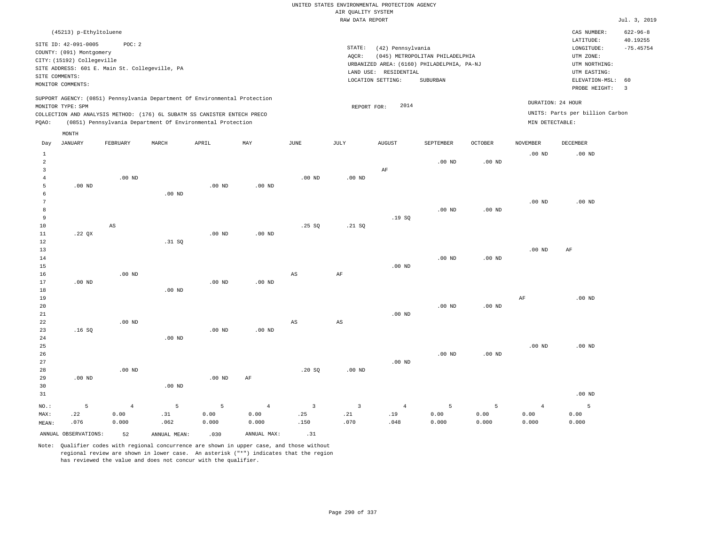| (45213) p-Ethyltoluene                                                                                                                                                                                                                                      |                                                                                                                                                                                    | CAS NUMBER:                                                                                                 | $622 - 96 - 8$          |
|-------------------------------------------------------------------------------------------------------------------------------------------------------------------------------------------------------------------------------------------------------------|------------------------------------------------------------------------------------------------------------------------------------------------------------------------------------|-------------------------------------------------------------------------------------------------------------|-------------------------|
| SITE ID: 42-091-0005<br>POC:2<br>COUNTY: (091) Montgomery<br>CITY: (15192) Collegeville<br>SITE ADDRESS: 601 E. Main St. Collegeville, PA<br>SITE COMMENTS:<br>MONITOR COMMENTS:                                                                            | STATE:<br>(42) Pennsylvania<br>(045) METROPOLITAN PHILADELPHIA<br>AOCR:<br>URBANIZED AREA: (6160) PHILADELPHIA, PA-NJ<br>RESIDENTIAL<br>LAND USE:<br>SUBURBAN<br>LOCATION SETTING: | LATITUDE:<br>LONGITUDE:<br>UTM ZONE:<br>UTM NORTHING:<br>UTM EASTING:<br>ELEVATION-MSL: 60<br>PROBE HEIGHT: | 40.19255<br>$-75.45754$ |
| SUPPORT AGENCY: (0851) Pennsylvania Department Of Environmental Protection<br>MONITOR TYPE: SPM<br>COLLECTION AND ANALYSIS METHOD: (176) 6L SUBATM SS CANISTER ENTECH PRECO<br>(0851) Pennsylvania Department Of Environmental Protection<br>POAO:<br>MONTH | DURATION: 24 HOUR<br>2014<br>REPORT FOR:<br>MIN DETECTABLE:                                                                                                                        | UNITS: Parts per billion Carbon                                                                             |                         |

| Day                                                   | <b>JANUARY</b>       | FEBRUARY                        | MARCH            | APRIL              | MAY                      | $_{\rm JUNE}$                          | JULY                          | <b>AUGUST</b>                 | SEPTEMBER          | OCTOBER            | <b>NOVEMBER</b>                 | DECEMBER           |
|-------------------------------------------------------|----------------------|---------------------------------|------------------|--------------------|--------------------------|----------------------------------------|-------------------------------|-------------------------------|--------------------|--------------------|---------------------------------|--------------------|
| $\mathbf{1}$<br>$\overline{a}$<br>3<br>$\overline{4}$ |                      | $.00$ ND                        |                  |                    |                          | $.00$ ND                               | $.00$ ND                      | $\rm AF$                      | $.00$ ND           | .00 <sub>ND</sub>  | $.00$ ND                        | $.00$ ND           |
| 5<br>6<br>7                                           | $.00$ ND             |                                 | $.00$ ND         | $.00$ ND           | $.00$ ND                 |                                        |                               |                               |                    |                    | $.00$ ND                        | $.00$ ND           |
| 8<br>9<br>10                                          |                      | AS                              |                  |                    |                          | .25SQ                                  | .21 SQ                        | .19SQ                         | $.00$ ND           | .00 <sub>ND</sub>  |                                 |                    |
| 11<br>12<br>13<br>14                                  | .22 $QX$             |                                 | .31 SQ           | $.00$ ND           | .00 <sub>ND</sub>        |                                        |                               |                               | $.00$ ND           | .00 <sub>ND</sub>  | $.00$ ND                        | AF                 |
| 15<br>16<br>17                                        | $.00$ ND             | $.00$ ND                        |                  | $.00$ ND           | $.00$ ND                 | $_{\rm AS}$                            | $\rm{AF}$                     | $.00$ ND                      |                    |                    |                                 |                    |
| 18<br>19<br>20                                        |                      |                                 | $.00$ ND         |                    |                          |                                        |                               |                               | $.00$ ND           | .00 <sub>ND</sub>  | $\rm AF$                        | $.00$ ND           |
| 21<br>$2\sqrt{2}$<br>23<br>24                         | .16SQ                | $.00$ ND                        | $.00$ ND         | $.00$ ND           | $.00$ ND                 | $_{\rm AS}$                            | $\mathbb{A}\mathbb{S}$        | $.00$ ND                      |                    |                    |                                 |                    |
| $25\,$<br>26<br>27                                    |                      |                                 |                  |                    |                          |                                        |                               | $.00$ ND                      | $.00$ ND           | $.00$ ND           | $.00$ ND                        | .00 $ND$           |
| 28<br>29<br>30                                        | $.00$ ND             | $.00$ ND                        | $.00$ ND         | $.00$ ND           | $\rm AF$                 | .20S                                   | .00 <sub>ND</sub>             |                               |                    |                    |                                 |                    |
| 31                                                    |                      |                                 |                  |                    |                          |                                        |                               |                               |                    |                    |                                 | $.00$ ND           |
| $NO.$ :<br>MAX:<br>MEAN:                              | 5<br>.22<br>.076     | $\overline{4}$<br>0.00<br>0.000 | 5<br>.31<br>.062 | 5<br>0.00<br>0.000 | $\,4\,$<br>0.00<br>0.000 | $\overline{\mathbf{3}}$<br>.25<br>.150 | $\overline{3}$<br>.21<br>.070 | $\overline{4}$<br>.19<br>.048 | 5<br>0.00<br>0.000 | 5<br>0.00<br>0.000 | $\overline{4}$<br>0.00<br>0.000 | 5<br>0.00<br>0.000 |
|                                                       | ANNUAL OBSERVATIONS: | 52                              | ANNUAL MEAN:     | .030               | ANNUAL MAX:              | .31                                    |                               |                               |                    |                    |                                 |                    |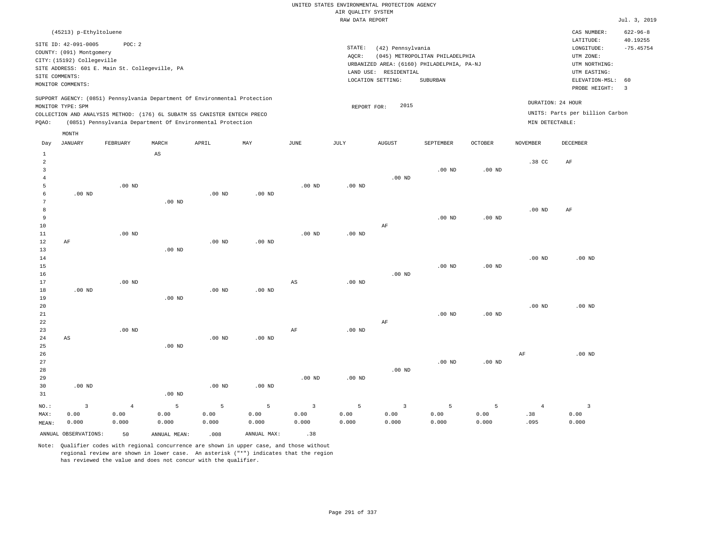| (45213) p-Ethyltoluene                                                                                                                                                                                                                                      |                                                                                                                                                                                 | CAS NUMBER:                                                                                                 | $622 - 96 - 8$                                     |
|-------------------------------------------------------------------------------------------------------------------------------------------------------------------------------------------------------------------------------------------------------------|---------------------------------------------------------------------------------------------------------------------------------------------------------------------------------|-------------------------------------------------------------------------------------------------------------|----------------------------------------------------|
| SITE ID: 42-091-0005<br>POC:2<br>COUNTY: (091) Montgomery<br>CITY: (15192) Collegeville<br>SITE ADDRESS: 601 E. Main St. Collegeville, PA<br>SITE COMMENTS:<br>MONITOR COMMENTS:                                                                            | STATE:<br>(42) Pennsylvania<br>(045) METROPOLITAN PHILADELPHIA<br>AOCR:<br>URBANIZED AREA: (6160) PHILADELPHIA, PA-NJ<br>LAND USE: RESIDENTIAL<br>LOCATION SETTING:<br>SUBURBAN | LATITUDE:<br>LONGITUDE:<br>UTM ZONE:<br>UTM NORTHING:<br>UTM EASTING:<br>ELEVATION-MSL: 60<br>PROBE HEIGHT: | 40.19255<br>$-75.45754$<br>$\overline{\mathbf{3}}$ |
| SUPPORT AGENCY: (0851) Pennsylvania Department Of Environmental Protection<br>MONITOR TYPE: SPM<br>COLLECTION AND ANALYSIS METHOD: (176) 6L SUBATM SS CANISTER ENTECH PRECO<br>(0851) Pennsylvania Department Of Environmental Protection<br>POAO:<br>MONTH | 2015<br>REPORT FOR:                                                                                                                                                             | DURATION: 24 HOUR<br>UNITS: Parts per billion Carbon<br>MIN DETECTABLE:                                     |                                                    |
|                                                                                                                                                                                                                                                             |                                                                                                                                                                                 |                                                                                                             |                                                    |

| Day            | JANUARY                 | FEBRUARY   | MARCH                  | APRIL             | MAY         | JUNE              | JULY              | AUGUST         | SEPTEMBER | OCTOBER           | NOVEMBER          | DECEMBER       |
|----------------|-------------------------|------------|------------------------|-------------------|-------------|-------------------|-------------------|----------------|-----------|-------------------|-------------------|----------------|
| $\mathbf{1}$   |                         |            | $\mathbb{A}\mathbb{S}$ |                   |             |                   |                   |                |           |                   |                   |                |
| $\overline{a}$ |                         |            |                        |                   |             |                   |                   |                |           |                   | .38 CC            | AF             |
| $\overline{3}$ |                         |            |                        |                   |             |                   |                   |                | $.00$ ND  | .00 <sub>ND</sub> |                   |                |
| $\overline{4}$ |                         |            |                        |                   |             |                   |                   | $.00$ ND       |           |                   |                   |                |
| 5              |                         | $.00$ ND   |                        |                   |             | .00 <sub>ND</sub> | $.00$ ND          |                |           |                   |                   |                |
| 6              | $.00$ ND                |            |                        | .00 <sub>ND</sub> | $.00$ ND    |                   |                   |                |           |                   |                   |                |
| $\overline{7}$ |                         |            | $.00$ ND               |                   |             |                   |                   |                |           |                   |                   |                |
| $\,8\,$        |                         |            |                        |                   |             |                   |                   |                |           |                   | $.00$ ND          | AF             |
| 9              |                         |            |                        |                   |             |                   |                   |                | $.00$ ND  | $.00$ ND          |                   |                |
| 10             |                         |            |                        |                   |             |                   |                   | $\rm AF$       |           |                   |                   |                |
| 11             |                         | $.00$ ND   |                        |                   |             | .00 <sub>ND</sub> | .00 $ND$          |                |           |                   |                   |                |
| 12             | $\rm{AF}$               |            |                        | .00 <sub>ND</sub> | $.00$ ND    |                   |                   |                |           |                   |                   |                |
| 13             |                         |            | $.00$ ND               |                   |             |                   |                   |                |           |                   |                   |                |
| 14             |                         |            |                        |                   |             |                   |                   |                |           |                   | .00 <sub>ND</sub> | $.00$ ND       |
| 15             |                         |            |                        |                   |             |                   |                   |                | $.00$ ND  | $.00$ ND          |                   |                |
| 16             |                         |            |                        |                   |             |                   |                   | $.00$ ND       |           |                   |                   |                |
| 17             |                         | $.00$ ND   |                        |                   |             | AS                | $.00$ ND          |                |           |                   |                   |                |
| 18             | $.00$ ND                |            |                        | .00 <sub>ND</sub> | $.00$ ND    |                   |                   |                |           |                   |                   |                |
| 19             |                         |            | $.00$ ND               |                   |             |                   |                   |                |           |                   |                   |                |
| 20             |                         |            |                        |                   |             |                   |                   |                |           |                   | $.00$ ND          | $.00$ ND       |
| 21             |                         |            |                        |                   |             |                   |                   |                | $.00$ ND  | .00 <sub>ND</sub> |                   |                |
| 22             |                         |            |                        |                   |             |                   |                   | $\rm AF$       |           |                   |                   |                |
| 23             |                         | $.00$ ND   |                        |                   |             | $\rm AF$          | .00 <sub>ND</sub> |                |           |                   |                   |                |
| $2\,4$         | $\mathbb{A}\mathbb{S}$  |            |                        | .00 <sub>ND</sub> | $.00$ ND    |                   |                   |                |           |                   |                   |                |
| $_{\rm 25}$    |                         |            | $.00$ ND               |                   |             |                   |                   |                |           |                   |                   |                |
| 26             |                         |            |                        |                   |             |                   |                   |                |           |                   | $\rm{AF}$         | $.00$ ND       |
| 27             |                         |            |                        |                   |             |                   |                   |                | $.00$ ND  | $.00~\mathrm{ND}$ |                   |                |
| 28             |                         |            |                        |                   |             |                   |                   | $.00$ ND       |           |                   |                   |                |
| 29             |                         |            |                        |                   |             | $.00$ ND          | .00 <sub>ND</sub> |                |           |                   |                   |                |
| 30             | $.00$ ND                |            |                        | $.00$ ND          | $.00$ ND    |                   |                   |                |           |                   |                   |                |
| 31             |                         |            | $.00$ ND               |                   |             |                   |                   |                |           |                   |                   |                |
| $_{\rm NO.}$ : | $\overline{\mathbf{3}}$ | $\sqrt{4}$ | 5                      | 5                 | 5           | $\overline{3}$    | 5                 | $\overline{3}$ | 5         | 5                 | $\overline{4}$    | $\overline{3}$ |
| MAX:           | 0.00                    | 0.00       | 0.00                   | 0.00              | 0.00        | 0.00              | 0.00              | 0.00           | 0.00      | 0.00              | .38               | 0.00           |
| MEAN:          | 0.000                   | 0.000      | 0.000                  | 0.000             | 0.000       | 0.000             | 0.000             | 0.000          | 0.000     | 0.000             | .095              | 0.000          |
|                | ANNUAL OBSERVATIONS:    | 50         | ANNUAL MEAN:           | .008              | ANNUAL MAX: | .38               |                   |                |           |                   |                   |                |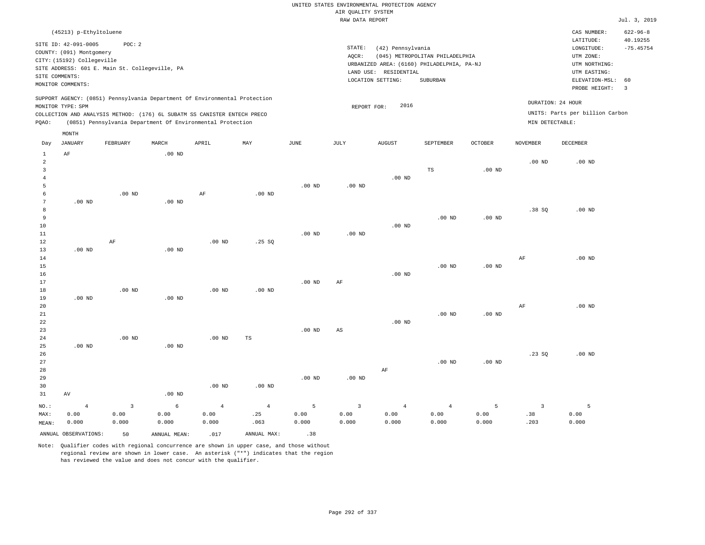|                                                                                                                                                                                 |                                      | $622 - 96 - 8$                                                                                                                           |
|---------------------------------------------------------------------------------------------------------------------------------------------------------------------------------|--------------------------------------|------------------------------------------------------------------------------------------------------------------------------------------|
| STATE:<br>(42) Pennsylvania<br>(045) METROPOLITAN PHILADELPHIA<br>AOCR:<br>URBANIZED AREA: (6160) PHILADELPHIA, PA-NJ<br>LAND USE: RESIDENTIAL<br>LOCATION SETTING:<br>SUBURBAN |                                      | 40.19255<br>$-75.45754$<br>ELEVATION-MSL: 60                                                                                             |
| 2016<br>REPORT FOR:                                                                                                                                                             | DURATION: 24 HOUR<br>MIN DETECTABLE: |                                                                                                                                          |
|                                                                                                                                                                                 |                                      | CAS NUMBER:<br>LATITUDE:<br>LONGITUDE:<br>UTM ZONE:<br>UTM NORTHING:<br>UTM EASTING:<br>PROBE HEIGHT:<br>UNITS: Parts per billion Carbon |

| Day            | JANUARY              | FEBRUARY                | MARCH        | APRIL          | MAY         | JUNE     | JULY        | AUGUST         | SEPTEMBER      | OCTOBER  | NOVEMBER                | DECEMBER          |
|----------------|----------------------|-------------------------|--------------|----------------|-------------|----------|-------------|----------------|----------------|----------|-------------------------|-------------------|
| $\mathbf{1}$   | $\rm AF$             |                         | $.00$ ND     |                |             |          |             |                |                |          |                         |                   |
| $\overline{a}$ |                      |                         |              |                |             |          |             |                |                |          | $.00$ ND                | $.00$ ND          |
| 3              |                      |                         |              |                |             |          |             |                | $_{\rm TS}$    | $.00$ ND |                         |                   |
| $\overline{4}$ |                      |                         |              |                |             |          |             | $.00$ ND       |                |          |                         |                   |
| 5              |                      |                         |              |                |             | $.00$ ND | $.00$ ND    |                |                |          |                         |                   |
| 6              |                      | $.00$ ND                |              | $\rm AF$       | $.00$ ND    |          |             |                |                |          |                         |                   |
| 7              | $.00$ ND             |                         | $.00$ ND     |                |             |          |             |                |                |          |                         |                   |
| 8              |                      |                         |              |                |             |          |             |                |                |          | .38SQ                   | $.00~\mathrm{ND}$ |
| 9              |                      |                         |              |                |             |          |             |                | $.00$ ND       | $.00$ ND |                         |                   |
| 10             |                      |                         |              |                |             |          |             | $.00$ ND       |                |          |                         |                   |
| $11\,$         |                      |                         |              |                |             | $.00$ ND | $.00$ ND    |                |                |          |                         |                   |
| 12             |                      | $\rm AF$                |              | $.00$ ND       | .25 SQ      |          |             |                |                |          |                         |                   |
| 13             | $.00$ ND             |                         | $.00$ ND     |                |             |          |             |                |                |          |                         |                   |
| 14             |                      |                         |              |                |             |          |             |                |                |          | $\rm{AF}$               | $.00$ ND          |
| 15             |                      |                         |              |                |             |          |             |                | $.00$ ND       | $.00$ ND |                         |                   |
| $16$           |                      |                         |              |                |             |          |             | $.00$ ND       |                |          |                         |                   |
| 17             |                      |                         |              |                |             | $.00$ ND | AF          |                |                |          |                         |                   |
| 18             |                      | $.00$ ND                |              | $.00$ ND       | $.00$ ND    |          |             |                |                |          |                         |                   |
| 19             | $.00$ ND             |                         | $.00$ ND     |                |             |          |             |                |                |          |                         |                   |
| 20             |                      |                         |              |                |             |          |             |                |                |          | $\rm{AF}$               | $.00$ ND          |
| 21             |                      |                         |              |                |             |          |             |                | $.00$ ND       | $.00$ ND |                         |                   |
| 22             |                      |                         |              |                |             |          |             | $.00$ ND       |                |          |                         |                   |
| 23<br>24       |                      | $.00$ ND                |              | $.00$ ND       | $_{\rm TS}$ | $.00$ ND | $_{\rm AS}$ |                |                |          |                         |                   |
| 25             | $.00$ ND             |                         | $.00$ ND     |                |             |          |             |                |                |          |                         |                   |
| 26             |                      |                         |              |                |             |          |             |                |                |          | .23SQ                   | $.00$ ND          |
| 27             |                      |                         |              |                |             |          |             |                | $.00$ ND       | $.00$ ND |                         |                   |
| 28             |                      |                         |              |                |             |          |             | $\rm AF$       |                |          |                         |                   |
| 29             |                      |                         |              |                |             | $.00$ ND | $.00$ ND    |                |                |          |                         |                   |
| 30             |                      |                         |              | $.00$ ND       | $.00$ ND    |          |             |                |                |          |                         |                   |
| 31             | AV                   |                         | $.00$ ND     |                |             |          |             |                |                |          |                         |                   |
|                |                      |                         |              |                |             |          |             |                |                |          |                         |                   |
| $_{\rm NO.}$ : | $\overline{4}$       | $\overline{\mathbf{3}}$ | $\epsilon$   | $\overline{4}$ | $\,4$       | 5        | $\mathsf 3$ | $\overline{4}$ | $\overline{4}$ | 5        | $\overline{\mathbf{3}}$ | 5                 |
| MAX:           | 0.00                 | 0.00                    | 0.00         | 0.00           | .25         | 0.00     | 0.00        | 0.00           | 0.00           | 0.00     | .38                     | 0.00              |
| MEAN:          | 0.000                | 0.000                   | 0.000        | 0.000          | .063        | 0.000    | 0.000       | 0.000          | 0.000          | 0.000    | .203                    | 0.000             |
|                | ANNUAL OBSERVATIONS: | 50                      | ANNUAL MEAN: | .017           | ANNUAL MAX: | .38      |             |                |                |          |                         |                   |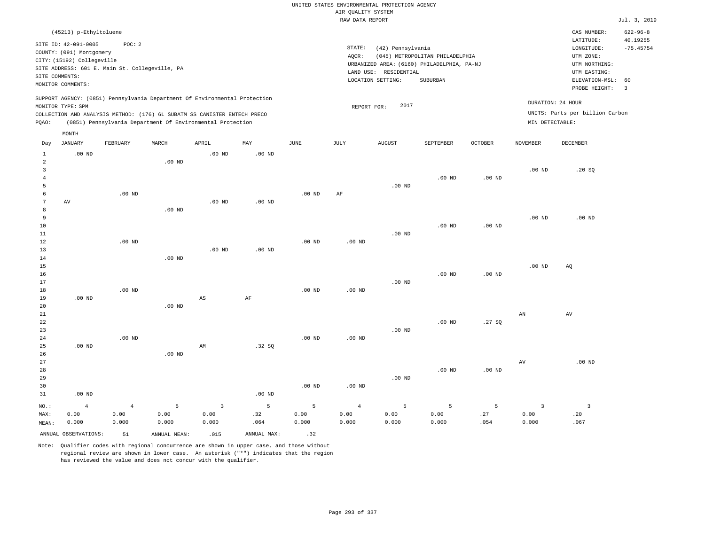|                                    |                                                                                       |                                 |                                                                                                                                                                                                                      |                                          |                   |                                 | AIR QUALITY SYSTEM          | UNITED STATES ENVIRONMENTAL PROTECTION AGENCY |                                                                               |                   |                                          |                                                      |                            |
|------------------------------------|---------------------------------------------------------------------------------------|---------------------------------|----------------------------------------------------------------------------------------------------------------------------------------------------------------------------------------------------------------------|------------------------------------------|-------------------|---------------------------------|-----------------------------|-----------------------------------------------|-------------------------------------------------------------------------------|-------------------|------------------------------------------|------------------------------------------------------|----------------------------|
|                                    |                                                                                       |                                 |                                                                                                                                                                                                                      |                                          |                   |                                 | RAW DATA REPORT             |                                               |                                                                               |                   |                                          |                                                      | Jul. 3, 2019               |
|                                    | (45213) p-Ethyltoluene                                                                |                                 |                                                                                                                                                                                                                      |                                          |                   |                                 |                             |                                               |                                                                               |                   |                                          | CAS NUMBER:<br>LATITUDE:                             | $622 - 96 - 8$<br>40.19255 |
|                                    | SITE ID: 42-091-0005<br>COUNTY: (091) Montgomery<br>CITY: (15192) Collegeville        | POC: 2                          |                                                                                                                                                                                                                      |                                          |                   |                                 | STATE:<br>AQCR:             | (42) Pennsylvania                             | (045) METROPOLITAN PHILADELPHIA<br>URBANIZED AREA: (6160) PHILADELPHIA, PA-NJ |                   |                                          | $\texttt{LONGITUDE}$ :<br>UTM ZONE:<br>UTM NORTHING: | $-75.45754$                |
|                                    | SITE ADDRESS: 601 E. Main St. Collegeville, PA<br>SITE COMMENTS:<br>MONITOR COMMENTS: |                                 |                                                                                                                                                                                                                      |                                          |                   |                                 |                             | LAND USE: RESIDENTIAL<br>LOCATION SETTING:    | SUBURBAN                                                                      |                   |                                          | UTM EASTING:<br>ELEVATION-MSL:<br>PROBE HEIGHT:      | 60<br>$\overline{3}$       |
| PQAO:                              | MONITOR TYPE: SPM                                                                     |                                 | SUPPORT AGENCY: (0851) Pennsylvania Department Of Environmental Protection<br>COLLECTION AND ANALYSIS METHOD: (176) 6L SUBATM SS CANISTER ENTECH PRECO<br>(0851) Pennsylvania Department Of Environmental Protection |                                          |                   |                                 | REPORT FOR:                 | 2017                                          |                                                                               |                   | MIN DETECTABLE:                          | DURATION: 24 HOUR<br>UNITS: Parts per billion Carbon |                            |
|                                    | MONTH                                                                                 |                                 |                                                                                                                                                                                                                      |                                          |                   |                                 |                             |                                               |                                                                               |                   |                                          |                                                      |                            |
| Day                                | <b>JANUARY</b>                                                                        | FEBRUARY                        | MARCH                                                                                                                                                                                                                | APRIL                                    | MAY               | <b>JUNE</b>                     | <b>JULY</b>                 | <b>AUGUST</b>                                 | SEPTEMBER                                                                     | <b>OCTOBER</b>    | <b>NOVEMBER</b>                          | DECEMBER                                             |                            |
| $\mathbf 1$<br>2<br>$\overline{3}$ | $.00$ ND                                                                              |                                 | $.00$ ND                                                                                                                                                                                                             | .00 <sub>ND</sub>                        | .00 <sub>ND</sub> |                                 |                             |                                               |                                                                               |                   | .00 <sub>ND</sub>                        | .20SQ                                                |                            |
| $\overline{4}$<br>5                |                                                                                       |                                 |                                                                                                                                                                                                                      |                                          |                   |                                 |                             | .00 <sub>ND</sub>                             | .00 <sub>ND</sub>                                                             | $.00$ ND          |                                          |                                                      |                            |
| 6<br>7<br>8                        | AV                                                                                    | $.00$ ND                        | $.00$ ND                                                                                                                                                                                                             | .00 <sub>ND</sub>                        | .00 <sub>ND</sub> | $.00$ ND                        | AF                          |                                               |                                                                               |                   |                                          |                                                      |                            |
| 9<br>$10$<br>$11\,$                |                                                                                       |                                 |                                                                                                                                                                                                                      |                                          |                   |                                 |                             | $.00$ ND                                      | $.00$ ND                                                                      | $.00$ ND          | .00 <sub>ND</sub>                        | $.00$ ND                                             |                            |
| 12<br>13<br>14                     |                                                                                       | $.00$ ND                        | .00 <sub>ND</sub>                                                                                                                                                                                                    | .00 <sub>ND</sub>                        | $.00$ ND          | $.00$ ND                        | .00 <sub>ND</sub>           |                                               |                                                                               |                   |                                          |                                                      |                            |
| 15<br>16<br>17                     |                                                                                       |                                 |                                                                                                                                                                                                                      |                                          |                   |                                 |                             | $.00$ ND                                      | $.00$ ND                                                                      | .00 <sub>ND</sub> | .00 <sub>ND</sub>                        | AQ                                                   |                            |
| $1\,8$<br>19<br>20                 | $.00$ ND                                                                              | $.00$ ND                        | $.00$ ND                                                                                                                                                                                                             | $\mathbb{A}\mathbb{S}$                   | $\rm{AF}$         | .00 <sub>ND</sub>               | .00 <sub>ND</sub>           |                                               |                                                                               |                   |                                          |                                                      |                            |
| 21<br>${\bf 22}$<br>23             |                                                                                       |                                 |                                                                                                                                                                                                                      |                                          |                   |                                 |                             | $.00$ ND                                      | $.00$ ND                                                                      | .27SQ             | AN                                       | AV                                                   |                            |
| 24<br>25<br>26                     | .00 <sub>ND</sub>                                                                     | $.00$ ND                        | .00 <sub>ND</sub>                                                                                                                                                                                                    | AM                                       | .32S              | $.00$ ND                        | $.00$ ND                    |                                               |                                                                               |                   |                                          |                                                      |                            |
| 27<br>28<br>29                     |                                                                                       |                                 |                                                                                                                                                                                                                      |                                          |                   |                                 |                             | $.00$ ND                                      | .00 <sub>ND</sub>                                                             | .00 <sub>ND</sub> | $\hbox{AV}$                              | $.00$ ND                                             |                            |
| 30<br>31                           | $.00$ ND                                                                              |                                 |                                                                                                                                                                                                                      |                                          | $.00$ ND          | $.00$ ND                        | $.00$ ND                    |                                               |                                                                               |                   |                                          |                                                      |                            |
| NO.:<br>MAX:<br>MEAN:              | $\overline{4}$<br>0.00<br>0.000                                                       | $\overline{4}$<br>0.00<br>0.000 | 5<br>0.00<br>0.000                                                                                                                                                                                                   | $\overline{\mathbf{3}}$<br>0.00<br>0.000 | 5<br>.32<br>.064  | $\overline{5}$<br>0.00<br>0.000 | $\sqrt{4}$<br>0.00<br>0.000 | 5<br>0.00<br>0.000                            | 5<br>0.00<br>0.000                                                            | 5<br>.27<br>.054  | $\overline{\mathbf{3}}$<br>0.00<br>0.000 | $\overline{\mathbf{3}}$<br>.20<br>.067               |                            |
|                                    | ANNUAL OBSERVATIONS:                                                                  | 51                              | ANNUAL, MEAN:                                                                                                                                                                                                        | .015                                     | ANNUAL MAX:       | .32                             |                             |                                               |                                                                               |                   |                                          |                                                      |                            |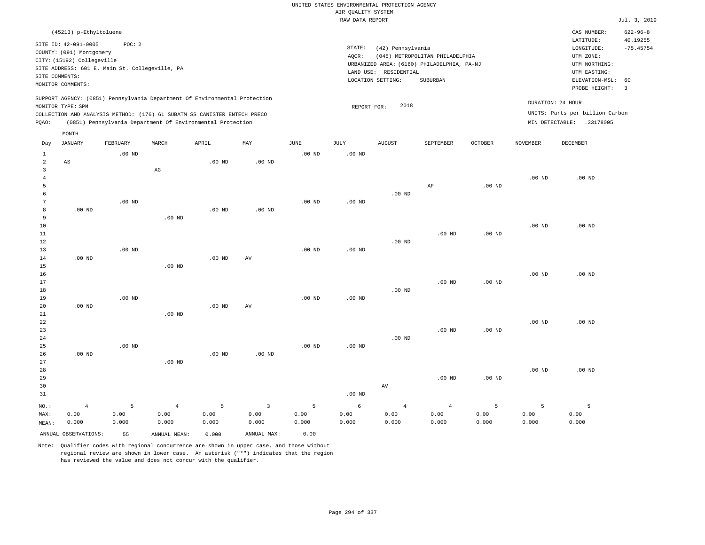|                                |                                                                                                                                                       |                   |                   |                                                                                                                                        |              |                   | UNITED STATES ENVIRONMENTAL PROTECTION AGENCY<br>AIR QUALITY SYSTEM |                                                                 |                                                                                           |                   |                   |                                                                                         |                               |
|--------------------------------|-------------------------------------------------------------------------------------------------------------------------------------------------------|-------------------|-------------------|----------------------------------------------------------------------------------------------------------------------------------------|--------------|-------------------|---------------------------------------------------------------------|-----------------------------------------------------------------|-------------------------------------------------------------------------------------------|-------------------|-------------------|-----------------------------------------------------------------------------------------|-------------------------------|
|                                |                                                                                                                                                       |                   |                   |                                                                                                                                        |              |                   | RAW DATA REPORT                                                     |                                                                 |                                                                                           |                   |                   |                                                                                         | Jul. 3, 2019                  |
|                                | (45213) p-Ethyltoluene                                                                                                                                |                   |                   |                                                                                                                                        |              |                   |                                                                     |                                                                 |                                                                                           |                   |                   | CAS NUMBER:                                                                             | $622 - 96 - 8$                |
| SITE COMMENTS:                 | SITE ID: 42-091-0005<br>COUNTY: (091) Montgomery<br>CITY: (15192) Collegeville<br>SITE ADDRESS: 601 E. Main St. Collegeville, PA<br>MONITOR COMMENTS: | POC: 2            |                   |                                                                                                                                        |              |                   | STATE:<br>AOCR:                                                     | (42) Pennsylvania<br>LAND USE: RESIDENTIAL<br>LOCATION SETTING: | (045) METROPOLITAN PHILADELPHIA<br>URBANIZED AREA: (6160) PHILADELPHIA, PA-NJ<br>SUBURBAN |                   |                   | LATITUDE:<br>LONGITUDE:<br>UTM ZONE:<br>UTM NORTHING:<br>UTM EASTING:<br>ELEVATION-MSL: | 40.19255<br>$-75.45754$<br>60 |
|                                |                                                                                                                                                       |                   |                   | SUPPORT AGENCY: (0851) Pennsylvania Department Of Environmental Protection                                                             |              |                   |                                                                     |                                                                 |                                                                                           |                   |                   | PROBE HEIGHT:                                                                           | $\overline{3}$                |
|                                | MONITOR TYPE: SPM                                                                                                                                     |                   |                   |                                                                                                                                        |              |                   | REPORT FOR:                                                         | 2018                                                            |                                                                                           |                   |                   | DURATION: 24 HOUR                                                                       |                               |
| PQAO:                          |                                                                                                                                                       |                   |                   | COLLECTION AND ANALYSIS METHOD: (176) 6L SUBATM SS CANISTER ENTECH PRECO<br>(0851) Pennsylvania Department Of Environmental Protection |              |                   |                                                                     |                                                                 |                                                                                           |                   |                   | UNITS: Parts per billion Carbon<br>MIN DETECTABLE: .33178005                            |                               |
|                                | MONTH                                                                                                                                                 |                   |                   |                                                                                                                                        |              |                   |                                                                     |                                                                 |                                                                                           |                   |                   |                                                                                         |                               |
| Day                            | JANUARY                                                                                                                                               | <b>FEBRUARY</b>   | MARCH             | APRIL                                                                                                                                  | MAY          | JUNE              | <b>JULY</b>                                                         | <b>AUGUST</b>                                                   | SEPTEMBER                                                                                 | <b>OCTOBER</b>    | <b>NOVEMBER</b>   | <b>DECEMBER</b>                                                                         |                               |
| $\mathbf{1}$<br>$\overline{a}$ | AS                                                                                                                                                    | .00 <sub>ND</sub> |                   | $.00$ ND                                                                                                                               | $.00$ ND     | .00 <sub>ND</sub> | $.00$ ND                                                            |                                                                 |                                                                                           |                   |                   |                                                                                         |                               |
| $\mathbf{3}$<br>$\overline{4}$ |                                                                                                                                                       |                   | $_{\rm AG}$       |                                                                                                                                        |              |                   |                                                                     |                                                                 |                                                                                           |                   | .00 <sub>ND</sub> | $.00$ ND                                                                                |                               |
| 5                              |                                                                                                                                                       |                   |                   |                                                                                                                                        |              |                   |                                                                     |                                                                 | AF                                                                                        | .00 <sub>ND</sub> |                   |                                                                                         |                               |
| 6                              |                                                                                                                                                       |                   |                   |                                                                                                                                        |              |                   |                                                                     | $.00$ ND                                                        |                                                                                           |                   |                   |                                                                                         |                               |
| 7                              |                                                                                                                                                       | .00 <sub>ND</sub> |                   |                                                                                                                                        |              | $.00$ ND          | $.00$ ND                                                            |                                                                 |                                                                                           |                   |                   |                                                                                         |                               |
| 8                              | $.00$ ND                                                                                                                                              |                   |                   | $.00$ ND                                                                                                                               | $.00$ ND     |                   |                                                                     |                                                                 |                                                                                           |                   |                   |                                                                                         |                               |
| 9                              |                                                                                                                                                       |                   | $.00$ ND          |                                                                                                                                        |              |                   |                                                                     |                                                                 |                                                                                           |                   |                   |                                                                                         |                               |
| 10<br>11                       |                                                                                                                                                       |                   |                   |                                                                                                                                        |              |                   |                                                                     |                                                                 | $.00$ ND                                                                                  | $.00$ ND          | .00 <sub>ND</sub> | $.00$ ND                                                                                |                               |
| 12                             |                                                                                                                                                       |                   |                   |                                                                                                                                        |              |                   |                                                                     | $.00$ ND                                                        |                                                                                           |                   |                   |                                                                                         |                               |
| 13                             |                                                                                                                                                       | $.00$ ND          |                   |                                                                                                                                        |              | $.00$ ND          | $.00$ ND                                                            |                                                                 |                                                                                           |                   |                   |                                                                                         |                               |
| 14                             | $.00$ ND                                                                                                                                              |                   |                   | $.00$ ND                                                                                                                               | AV           |                   |                                                                     |                                                                 |                                                                                           |                   |                   |                                                                                         |                               |
| 15                             |                                                                                                                                                       |                   | $.00$ ND          |                                                                                                                                        |              |                   |                                                                     |                                                                 |                                                                                           |                   |                   |                                                                                         |                               |
| 16                             |                                                                                                                                                       |                   |                   |                                                                                                                                        |              |                   |                                                                     |                                                                 |                                                                                           |                   | $.00$ ND          | $.00$ ND                                                                                |                               |
| 17                             |                                                                                                                                                       |                   |                   |                                                                                                                                        |              |                   |                                                                     |                                                                 | $.00$ ND                                                                                  | $.00$ ND          |                   |                                                                                         |                               |
| 18                             |                                                                                                                                                       |                   |                   |                                                                                                                                        |              |                   |                                                                     | $.00$ ND                                                        |                                                                                           |                   |                   |                                                                                         |                               |
| 19                             |                                                                                                                                                       | .00 <sub>ND</sub> |                   |                                                                                                                                        |              | $.00$ ND          | .00 <sub>ND</sub>                                                   |                                                                 |                                                                                           |                   |                   |                                                                                         |                               |
| 20<br>21                       | $.00$ ND                                                                                                                                              |                   | $.00$ ND          | $.00$ ND                                                                                                                               | AV           |                   |                                                                     |                                                                 |                                                                                           |                   |                   |                                                                                         |                               |
| 22                             |                                                                                                                                                       |                   |                   |                                                                                                                                        |              |                   |                                                                     |                                                                 |                                                                                           |                   | .00 <sub>ND</sub> | $.00$ ND                                                                                |                               |
| 23                             |                                                                                                                                                       |                   |                   |                                                                                                                                        |              |                   |                                                                     |                                                                 | $.00$ ND                                                                                  | $.00$ ND          |                   |                                                                                         |                               |
| 24                             |                                                                                                                                                       |                   |                   |                                                                                                                                        |              |                   |                                                                     | $.00$ ND                                                        |                                                                                           |                   |                   |                                                                                         |                               |
| 25                             |                                                                                                                                                       | .00 <sub>ND</sub> |                   |                                                                                                                                        |              | .00 <sub>ND</sub> | .00 <sub>ND</sub>                                                   |                                                                 |                                                                                           |                   |                   |                                                                                         |                               |
| 26                             | $.00$ ND                                                                                                                                              |                   |                   | .00 <sub>ND</sub>                                                                                                                      | $.00$ ND     |                   |                                                                     |                                                                 |                                                                                           |                   |                   |                                                                                         |                               |
| 27                             |                                                                                                                                                       |                   | .00 <sub>ND</sub> |                                                                                                                                        |              |                   |                                                                     |                                                                 |                                                                                           |                   |                   |                                                                                         |                               |
| 28                             |                                                                                                                                                       |                   |                   |                                                                                                                                        |              |                   |                                                                     |                                                                 |                                                                                           |                   | .00 <sub>ND</sub> | $.00$ ND                                                                                |                               |
| 29                             |                                                                                                                                                       |                   |                   |                                                                                                                                        |              |                   |                                                                     |                                                                 | $.00$ ND                                                                                  | $.00$ ND          |                   |                                                                                         |                               |
| 30<br>31                       |                                                                                                                                                       |                   |                   |                                                                                                                                        |              |                   | $.00$ ND                                                            | AV                                                              |                                                                                           |                   |                   |                                                                                         |                               |
|                                |                                                                                                                                                       |                   |                   |                                                                                                                                        |              |                   |                                                                     |                                                                 |                                                                                           |                   |                   |                                                                                         |                               |
| NO.:                           | $\overline{4}$                                                                                                                                        | 5                 | $\overline{4}$    | 5                                                                                                                                      | $\mathbf{3}$ | 5                 | 6                                                                   | $\overline{4}$                                                  | $\overline{4}$                                                                            | 5                 | 5                 | 5                                                                                       |                               |
| MAX:                           | 0.00                                                                                                                                                  | 0.00              | 0.00              | 0.00                                                                                                                                   | 0.00         | 0.00              | 0.00                                                                | 0.00                                                            | 0.00                                                                                      | 0.00              | 0.00              | 0.00                                                                                    |                               |
| MEAN:                          | 0.000                                                                                                                                                 | 0.000             | 0.000             | 0.000                                                                                                                                  | 0.000        | 0.000             | 0.000                                                               | 0.000                                                           | 0.000                                                                                     | 0.000             | 0.000             | 0.000                                                                                   |                               |
|                                | ANNUAL OBSERVATIONS:                                                                                                                                  | 55                | ANNUAL MEAN:      | 0.000                                                                                                                                  | ANNUAL MAX:  | 0.00              |                                                                     |                                                                 |                                                                                           |                   |                   |                                                                                         |                               |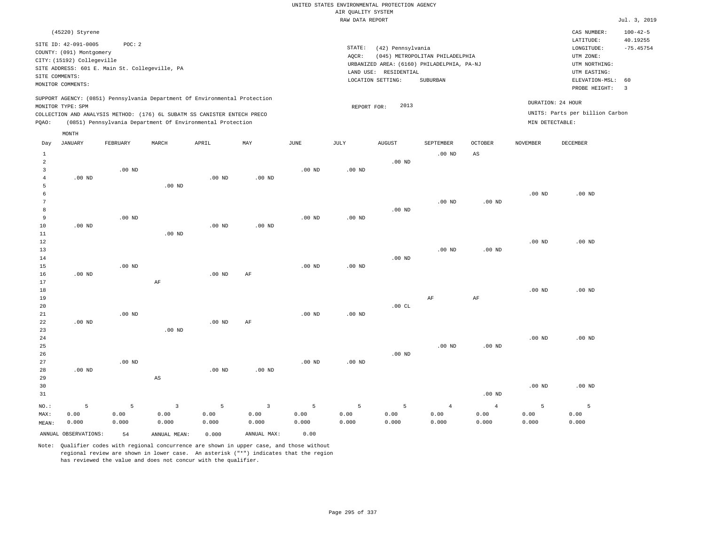## UNITED STATES ENVIRONMENTAL PROTECTION AGENCY AIR QUALITY SYSTEM

|                     |                                                                                                                       |                                                          |                        |                                                                            |                |                   | RAW DATA REPORT   |                                                                 |                                                                                           |                   |                   |                                                                                                          | Jul. 3, 2019                                             |
|---------------------|-----------------------------------------------------------------------------------------------------------------------|----------------------------------------------------------|------------------------|----------------------------------------------------------------------------|----------------|-------------------|-------------------|-----------------------------------------------------------------|-------------------------------------------------------------------------------------------|-------------------|-------------------|----------------------------------------------------------------------------------------------------------|----------------------------------------------------------|
|                     | (45220) Styrene                                                                                                       |                                                          |                        |                                                                            |                |                   |                   |                                                                 |                                                                                           |                   |                   | CAS NUMBER:                                                                                              | $100 - 42 - 5$                                           |
|                     | SITE ID: 42-091-0005<br>COUNTY: (091) Montgomery<br>CITY: (15192) Collegeville<br>SITE COMMENTS:<br>MONITOR COMMENTS: | POC: 2<br>SITE ADDRESS: 601 E. Main St. Collegeville, PA |                        |                                                                            |                |                   | STATE:<br>AQCR:   | (42) Pennsylvania<br>LAND USE: RESIDENTIAL<br>LOCATION SETTING: | (045) METROPOLITAN PHILADELPHIA<br>URBANIZED AREA: (6160) PHILADELPHIA, PA-NJ<br>SUBURBAN |                   |                   | LATITUDE:<br>LONGITUDE:<br>UTM ZONE:<br>UTM NORTHING:<br>UTM EASTING:<br>ELEVATION-MSL:<br>PROBE HEIGHT: | 40.19255<br>$-75.45754$<br>60<br>$\overline{\mathbf{3}}$ |
|                     |                                                                                                                       |                                                          |                        | SUPPORT AGENCY: (0851) Pennsylvania Department Of Environmental Protection |                |                   |                   | 2013                                                            |                                                                                           |                   |                   | DURATION: 24 HOUR                                                                                        |                                                          |
|                     | MONITOR TYPE: SPM                                                                                                     |                                                          |                        | COLLECTION AND ANALYSIS METHOD: (176) 6L SUBATM SS CANISTER ENTECH PRECO   |                |                   | REPORT FOR:       |                                                                 |                                                                                           |                   |                   | UNITS: Parts per billion Carbon                                                                          |                                                          |
| PQAO:               |                                                                                                                       |                                                          |                        | (0851) Pennsylvania Department Of Environmental Protection                 |                |                   |                   |                                                                 |                                                                                           |                   | MIN DETECTABLE:   |                                                                                                          |                                                          |
|                     | MONTH                                                                                                                 |                                                          |                        |                                                                            |                |                   |                   |                                                                 |                                                                                           |                   |                   |                                                                                                          |                                                          |
| Day                 | <b>JANUARY</b>                                                                                                        | FEBRUARY                                                 | MARCH                  | APRIL                                                                      | MAY            | $\mathtt{JUNE}$   | JULY              | <b>AUGUST</b>                                                   | SEPTEMBER                                                                                 | OCTOBER           | <b>NOVEMBER</b>   | DECEMBER                                                                                                 |                                                          |
| $\mathbf{1}$        |                                                                                                                       |                                                          |                        |                                                                            |                |                   |                   |                                                                 | $.00$ ND                                                                                  | $_{\rm AS}$       |                   |                                                                                                          |                                                          |
| $\overline{a}$      |                                                                                                                       |                                                          |                        |                                                                            |                |                   |                   | $.00$ ND                                                        |                                                                                           |                   |                   |                                                                                                          |                                                          |
| 3                   |                                                                                                                       | $.00$ ND                                                 |                        |                                                                            |                | $.00$ ND          | $.00$ ND          |                                                                 |                                                                                           |                   |                   |                                                                                                          |                                                          |
| $\overline{4}$<br>5 | $.00$ ND                                                                                                              |                                                          | $.00$ ND               | $.00$ ND                                                                   | $.00$ ND       |                   |                   |                                                                 |                                                                                           |                   |                   |                                                                                                          |                                                          |
| 6                   |                                                                                                                       |                                                          |                        |                                                                            |                |                   |                   |                                                                 |                                                                                           |                   | $.00$ ND          | .00 <sub>ND</sub>                                                                                        |                                                          |
| 7                   |                                                                                                                       |                                                          |                        |                                                                            |                |                   |                   |                                                                 | $.00$ ND                                                                                  | $.00$ ND          |                   |                                                                                                          |                                                          |
| 8                   |                                                                                                                       |                                                          |                        |                                                                            |                |                   |                   | $.00$ ND                                                        |                                                                                           |                   |                   |                                                                                                          |                                                          |
| 9                   |                                                                                                                       | $.00$ ND                                                 |                        |                                                                            |                | $.00$ ND          | $.00$ ND          |                                                                 |                                                                                           |                   |                   |                                                                                                          |                                                          |
| 10<br>11            | $.00$ ND                                                                                                              |                                                          | $.00$ ND               | $.00$ ND                                                                   | $.00$ ND       |                   |                   |                                                                 |                                                                                           |                   |                   |                                                                                                          |                                                          |
| 12                  |                                                                                                                       |                                                          |                        |                                                                            |                |                   |                   |                                                                 |                                                                                           |                   | .00 <sub>ND</sub> | $.00$ ND                                                                                                 |                                                          |
| 13                  |                                                                                                                       |                                                          |                        |                                                                            |                |                   |                   |                                                                 | $.00$ ND                                                                                  | .00 <sub>ND</sub> |                   |                                                                                                          |                                                          |
| 14                  |                                                                                                                       |                                                          |                        |                                                                            |                |                   |                   | $.00$ ND                                                        |                                                                                           |                   |                   |                                                                                                          |                                                          |
| 15                  |                                                                                                                       | $.00$ ND                                                 |                        |                                                                            |                | $.00$ ND          | $.00$ ND          |                                                                 |                                                                                           |                   |                   |                                                                                                          |                                                          |
| 16<br>17            | $.00$ ND                                                                                                              |                                                          | AF                     | $.00$ ND                                                                   | AF             |                   |                   |                                                                 |                                                                                           |                   |                   |                                                                                                          |                                                          |
| 18                  |                                                                                                                       |                                                          |                        |                                                                            |                |                   |                   |                                                                 |                                                                                           |                   | .00 <sub>ND</sub> | $.00$ ND                                                                                                 |                                                          |
| 19                  |                                                                                                                       |                                                          |                        |                                                                            |                |                   |                   |                                                                 | $\rm{AF}$                                                                                 | $\rm{AF}$         |                   |                                                                                                          |                                                          |
| 20                  |                                                                                                                       |                                                          |                        |                                                                            |                |                   |                   | .00 $CL$                                                        |                                                                                           |                   |                   |                                                                                                          |                                                          |
| 21                  |                                                                                                                       | $.00$ ND                                                 |                        |                                                                            |                | $.00$ ND          | $.00$ ND          |                                                                 |                                                                                           |                   |                   |                                                                                                          |                                                          |
| 22                  | $.00$ ND                                                                                                              |                                                          |                        | $.00$ ND                                                                   | AF             |                   |                   |                                                                 |                                                                                           |                   |                   |                                                                                                          |                                                          |
| 23<br>24            |                                                                                                                       |                                                          | .00 <sub>ND</sub>      |                                                                            |                |                   |                   |                                                                 |                                                                                           |                   | $.00$ ND          | $.00$ ND                                                                                                 |                                                          |
| 25                  |                                                                                                                       |                                                          |                        |                                                                            |                |                   |                   |                                                                 | $.00$ ND                                                                                  | $.00$ ND          |                   |                                                                                                          |                                                          |
| 26                  |                                                                                                                       |                                                          |                        |                                                                            |                |                   |                   | $.00$ ND                                                        |                                                                                           |                   |                   |                                                                                                          |                                                          |
| 27                  |                                                                                                                       | $.00$ ND                                                 |                        |                                                                            |                | .00 <sub>ND</sub> | .00 <sub>ND</sub> |                                                                 |                                                                                           |                   |                   |                                                                                                          |                                                          |
| 28                  | $.00$ ND                                                                                                              |                                                          |                        | $.00$ ND                                                                   | $.00$ ND       |                   |                   |                                                                 |                                                                                           |                   |                   |                                                                                                          |                                                          |
| 29                  |                                                                                                                       |                                                          | $\mathbb{A}\mathbb{S}$ |                                                                            |                |                   |                   |                                                                 |                                                                                           |                   |                   |                                                                                                          |                                                          |
| 30<br>31            |                                                                                                                       |                                                          |                        |                                                                            |                |                   |                   |                                                                 |                                                                                           | .00 <sub>ND</sub> | .00 <sub>ND</sub> | .00 <sub>ND</sub>                                                                                        |                                                          |
|                     |                                                                                                                       |                                                          |                        |                                                                            |                |                   |                   |                                                                 |                                                                                           |                   |                   |                                                                                                          |                                                          |
| NO.:                | 5                                                                                                                     | 5                                                        | 3                      | 5                                                                          | $\overline{3}$ | 5                 | 5                 | 5                                                               | $\overline{4}$                                                                            | $\overline{4}$    | 5                 | 5                                                                                                        |                                                          |

ANNUAL OBSERVATIONS: 54 ANNUAL MEAN: 0.000 ANNUAL MAX: 0.00

 0.00 0.000

MAX: MEAN:

 0.00 0.000  0.00 0.000

Note: Qualifier codes with regional concurrence are shown in upper case, and those without regional review are shown in lower case. An asterisk ("\*") indicates that the region has reviewed the value and does not concur with the qualifier.

 0.00 0.000  0.00 0.000  0.00 0.000  0.00 0.000  0.00 0.000  0.00 0.000  0.00 0.000  0.00 0.000  0.00 0.000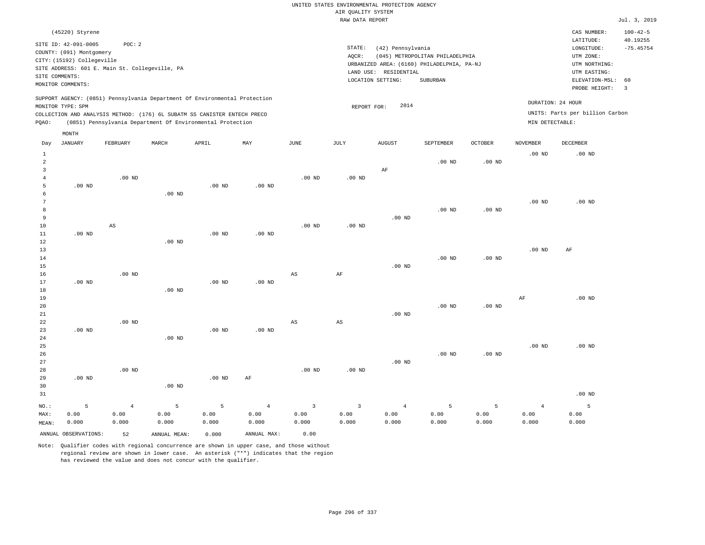|                | (45220) Styrene            |                                                                            |       |       |     |      |      |                   |                   |                                            |         |                   | CAS NUMBER:                     | $100 - 42 - 5$          |
|----------------|----------------------------|----------------------------------------------------------------------------|-------|-------|-----|------|------|-------------------|-------------------|--------------------------------------------|---------|-------------------|---------------------------------|-------------------------|
|                |                            |                                                                            |       |       |     |      |      |                   |                   |                                            |         |                   |                                 |                         |
|                | SITE ID: 42-091-0005       | POC: 2                                                                     |       |       |     |      |      |                   |                   |                                            |         |                   | LATITUDE:                       | 40.19255                |
|                | COUNTY: (091) Montgomery   |                                                                            |       |       |     |      |      | STATE:            | (42) Pennsylvania |                                            |         |                   | LONGITUDE:                      | $-75.45754$             |
|                |                            |                                                                            |       |       |     |      |      | AOCR:             |                   | (045) METROPOLITAN PHILADELPHIA            |         |                   | UTM ZONE:                       |                         |
|                | CITY: (15192) Collegeville |                                                                            |       |       |     |      |      |                   |                   | URBANIZED AREA: (6160) PHILADELPHIA, PA-NJ |         |                   | UTM NORTHING:                   |                         |
|                |                            | SITE ADDRESS: 601 E. Main St. Collegeville, PA                             |       |       |     |      |      | LAND USE:         | RESIDENTIAL       |                                            |         |                   | UTM EASTING:                    |                         |
| SITE COMMENTS: |                            |                                                                            |       |       |     |      |      |                   |                   |                                            |         |                   |                                 |                         |
|                | MONITOR COMMENTS:          |                                                                            |       |       |     |      |      | LOCATION SETTING: |                   | SUBURBAN                                   |         |                   | ELEVATION-MSL: 60               |                         |
|                |                            |                                                                            |       |       |     |      |      |                   |                   |                                            |         |                   | PROBE HEIGHT:                   | $\overline{\mathbf{3}}$ |
|                |                            | SUPPORT AGENCY: (0851) Pennsylvania Department Of Environmental Protection |       |       |     |      |      |                   |                   |                                            |         |                   |                                 |                         |
|                | MONITOR TYPE: SPM          |                                                                            |       |       |     |      |      | REPORT FOR:       | 2014              |                                            |         | DURATION: 24 HOUR |                                 |                         |
|                |                            | COLLECTION AND ANALYSIS METHOD: (176) 6L SUBATM SS CANISTER ENTECH PRECO   |       |       |     |      |      |                   |                   |                                            |         |                   | UNITS: Parts per billion Carbon |                         |
| POAO:          |                            | (0851) Pennsylvania Department Of Environmental Protection                 |       |       |     |      |      |                   |                   |                                            |         | MIN DETECTABLE:   |                                 |                         |
|                | MONTH                      |                                                                            |       |       |     |      |      |                   |                   |                                            |         |                   |                                 |                         |
|                |                            |                                                                            |       |       |     |      |      |                   |                   |                                            |         |                   |                                 |                         |
| Day            | JANUARY                    | FEBRUARY                                                                   | MARCH | APRIL | MAY | JUNE | JULY | AUGUST            |                   | SEPTEMBER                                  | OCTOBER | NOVEMBER          | DECEMBER                        |                         |

| $1\,$          |                      |                |              |          |                |                        |                         |                |          |          | $.00$ ND       | .00 <sub>ND</sub> |
|----------------|----------------------|----------------|--------------|----------|----------------|------------------------|-------------------------|----------------|----------|----------|----------------|-------------------|
| $\overline{c}$ |                      |                |              |          |                |                        |                         |                | $.00$ ND | $.00$ ND |                |                   |
| $\overline{3}$ |                      |                |              |          |                |                        |                         | $\rm AF$       |          |          |                |                   |
| 4              |                      | $.00$ ND       |              |          |                | $.00$ ND               | $.00$ ND                |                |          |          |                |                   |
| 5              | $.00$ ND             |                |              | $.00$ ND | $.00$ ND       |                        |                         |                |          |          |                |                   |
| 6              |                      |                | $.00$ ND     |          |                |                        |                         |                |          |          |                |                   |
| 7              |                      |                |              |          |                |                        |                         |                |          |          | $.00$ ND       | $.00$ ND          |
| 8              |                      |                |              |          |                |                        |                         |                | $.00$ ND | .00 $ND$ |                |                   |
| 9              |                      |                |              |          |                |                        |                         | $.00$ ND       |          |          |                |                   |
| $10$<br>11     | $.00$ ND             | AS             |              | $.00$ ND | $.00$ ND       | .00 <sub>ND</sub>      | .00 $ND$                |                |          |          |                |                   |
| 12             |                      |                | $.00$ ND     |          |                |                        |                         |                |          |          |                |                   |
| 13             |                      |                |              |          |                |                        |                         |                |          |          | .00 $ND$       | $\rm{AF}$         |
| 14             |                      |                |              |          |                |                        |                         |                | $.00$ ND | .00 $ND$ |                |                   |
| 15             |                      |                |              |          |                |                        |                         | $.00$ ND       |          |          |                |                   |
| 16             |                      | $.00$ ND       |              |          |                | $\mathbb{A}\mathbb{S}$ | $\rm{AF}$               |                |          |          |                |                   |
| 17             | $.00$ ND             |                |              | $.00$ ND | $.00$ ND       |                        |                         |                |          |          |                |                   |
| 18             |                      |                | $.00$ ND     |          |                |                        |                         |                |          |          |                |                   |
| 19             |                      |                |              |          |                |                        |                         |                |          |          | $\rm{AF}$      | $.00$ ND          |
| 20             |                      |                |              |          |                |                        |                         |                | $.00$ ND | $.00$ ND |                |                   |
| 21             |                      |                |              |          |                |                        |                         | $.00$ ND       |          |          |                |                   |
| 22             |                      | $.00$ ND       |              |          |                | $_{\rm AS}$            | $\mathbb{A}\mathbb{S}$  |                |          |          |                |                   |
| 23             | $.00$ ND             |                |              | $.00$ ND | $.00$ ND       |                        |                         |                |          |          |                |                   |
| 24             |                      |                | $.00$ ND     |          |                |                        |                         |                |          |          |                |                   |
| 25             |                      |                |              |          |                |                        |                         |                |          |          | $.00$ ND       | $.00$ ND          |
| 26             |                      |                |              |          |                |                        |                         |                | $.00$ ND | .00 $ND$ |                |                   |
| 27             |                      |                |              |          |                |                        |                         | .00 $ND$       |          |          |                |                   |
| 28             |                      | $.00$ ND       |              |          |                | $.00$ ND               | $.00$ ND                |                |          |          |                |                   |
| 29             | $.00$ ND             |                |              | $.00$ ND | $\rm AF$       |                        |                         |                |          |          |                |                   |
| 30             |                      |                | $.00$ ND     |          |                |                        |                         |                |          |          |                |                   |
| 31             |                      |                |              |          |                |                        |                         |                |          |          |                | $.00$ ND          |
| $NO.$ :        | 5                    | $\overline{4}$ | 5            | 5        | $\overline{4}$ | $\overline{3}$         | $\overline{\mathbf{3}}$ | $\overline{4}$ | 5        | 5        | $\overline{4}$ | 5                 |
| MAX:           | 0.00                 | 0.00           | 0.00         | 0.00     | 0.00           | 0.00                   | 0.00                    | 0.00           | 0.00     | 0.00     | 0.00           | 0.00              |
| MEAN:          | 0.000                | 0.000          | 0.000        | 0.000    | 0.000          | 0.000                  | 0.000                   | 0.000          | 0.000    | 0.000    | 0.000          | 0.000             |
|                | ANNUAL OBSERVATIONS: | 52             | ANNUAL MEAN: | 0.000    | ANNUAL MAX:    | 0.00                   |                         |                |          |          |                |                   |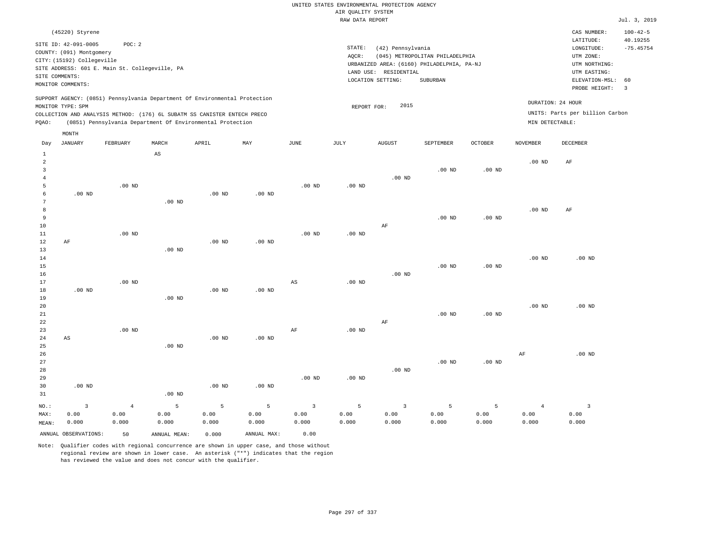# UNITED STATES ENVIRONMENTAL PROTECTION AGENCY AIR QUALITY SYSTEM

|       |                            |                                                |       |                                                                                                                                                                                                                      |                   |                   | RAW DATA REPORT   |                   |                                            |                   |                                      |                                 | Jul. 3, 2019                   |
|-------|----------------------------|------------------------------------------------|-------|----------------------------------------------------------------------------------------------------------------------------------------------------------------------------------------------------------------------|-------------------|-------------------|-------------------|-------------------|--------------------------------------------|-------------------|--------------------------------------|---------------------------------|--------------------------------|
|       | (45220) Styrene            |                                                |       |                                                                                                                                                                                                                      |                   |                   |                   |                   |                                            |                   |                                      | CAS NUMBER:                     | $100 - 42 - 5$                 |
|       | SITE ID: 42-091-0005       | POC:2                                          |       |                                                                                                                                                                                                                      |                   |                   | STATE:            | (42) Pennsylvania |                                            |                   |                                      | LATITUDE:<br>LONGITUDE:         | 40.19255<br>$-75.45754$        |
|       | COUNTY: (091) Montgomery   |                                                |       |                                                                                                                                                                                                                      |                   |                   | AQCR:             |                   | (045) METROPOLITAN PHILADELPHIA            |                   |                                      | UTM ZONE:                       |                                |
|       | CITY: (15192) Collegeville | SITE ADDRESS: 601 E. Main St. Collegeville, PA |       |                                                                                                                                                                                                                      |                   |                   |                   |                   | URBANIZED AREA: (6160) PHILADELPHIA, PA-NJ |                   |                                      | UTM NORTHING:                   |                                |
|       | SITE COMMENTS:             |                                                |       |                                                                                                                                                                                                                      |                   |                   | LAND USE:         | RESIDENTIAL       |                                            |                   |                                      | UTM EASTING:                    |                                |
|       | MONITOR COMMENTS:          |                                                |       |                                                                                                                                                                                                                      |                   |                   |                   | LOCATION SETTING: | SUBURBAN                                   |                   |                                      | ELEVATION-MSL:<br>PROBE HEIGHT: | 60<br>$\overline{\phantom{a}}$ |
| POAO: | MONITOR TYPE: SPM          |                                                |       | SUPPORT AGENCY: (0851) Pennsylvania Department Of Environmental Protection<br>COLLECTION AND ANALYSIS METHOD: (176) 6L SUBATM SS CANISTER ENTECH PRECO<br>(0851) Pennsylvania Department Of Environmental Protection |                   |                   | REPORT FOR:       | 2015              |                                            |                   | DURATION: 24 HOUR<br>MIN DETECTABLE: | UNITS: Parts per billion Carbon |                                |
| Day   | MONTH<br>JANUARY           | FEBRUARY                                       | MARCH | APRIL                                                                                                                                                                                                                | MAY               | JUNE              | JULY              | AUGUST            | SEPTEMBER                                  | <b>OCTOBER</b>    | NOVEMBER                             | DECEMBER                        |                                |
|       |                            |                                                | AS    |                                                                                                                                                                                                                      |                   |                   |                   |                   |                                            |                   |                                      |                                 |                                |
| 2     |                            |                                                |       |                                                                                                                                                                                                                      |                   |                   |                   |                   |                                            |                   | .00 <sub>ND</sub>                    | AF                              |                                |
|       |                            |                                                |       |                                                                                                                                                                                                                      |                   |                   |                   | $.00$ ND          | $.00$ ND                                   | .00 <sub>ND</sub> |                                      |                                 |                                |
|       |                            | $.00$ ND                                       |       |                                                                                                                                                                                                                      |                   | .00 <sub>ND</sub> | .00 <sub>ND</sub> |                   |                                            |                   |                                      |                                 |                                |
|       | $.00$ ND                   |                                                |       | $.00$ ND                                                                                                                                                                                                             | .00 <sub>ND</sub> |                   |                   |                   |                                            |                   |                                      |                                 |                                |

| 7  |    |          | $.00$ ND |          |          |          |          |          |          |          |          |          |
|----|----|----------|----------|----------|----------|----------|----------|----------|----------|----------|----------|----------|
| 8  |    |          |          |          |          |          |          |          |          |          | $.00$ ND | AF       |
| 9  |    |          |          |          |          |          |          |          | $.00$ ND | $.00$ ND |          |          |
| 10 |    |          |          |          |          |          |          | AF       |          |          |          |          |
| 11 |    | $.00$ ND |          |          |          | $.00$ ND | $.00$ ND |          |          |          |          |          |
| 12 | AF |          |          | $.00$ ND | $.00$ ND |          |          |          |          |          |          |          |
| 13 |    |          | $.00$ ND |          |          |          |          |          |          |          |          |          |
| 14 |    |          |          |          |          |          |          |          |          |          | $.00$ ND | $.00$ ND |
| 15 |    |          |          |          |          |          |          |          | $.00$ ND | $.00$ ND |          |          |
| 16 |    |          |          |          |          |          |          | $.00$ ND |          |          |          |          |

| 17     |          | $.00$ ND |                   |          |          | AS | $.00$ ND |    |          |          |          |          |
|--------|----------|----------|-------------------|----------|----------|----|----------|----|----------|----------|----------|----------|
| 18     | $.00$ ND |          |                   | $.00$ ND | $.00$ ND |    |          |    |          |          |          |          |
| 19     |          |          | .00 <sub>ND</sub> |          |          |    |          |    |          |          |          |          |
| 20     |          |          |                   |          |          |    |          |    |          |          | $.00$ ND | $.00$ ND |
| $21\,$ |          |          |                   |          |          |    |          |    | $.00$ ND | $.00$ ND |          |          |
| 22     |          |          |                   |          |          |    |          | AF |          |          |          |          |
| 23     |          | $.00$ ND |                   |          |          | AF | $.00$ ND |    |          |          |          |          |
| 24     | AS       |          |                   | $.00$ ND | $.00$ ND |    |          |    |          |          |          |          |
| 25     |          |          | .00 <sub>ND</sub> |          |          |    |          |    |          |          |          |          |

| ________ |          | .        |          |          |          |          |          |          |          |    |          |
|----------|----------|----------|----------|----------|----------|----------|----------|----------|----------|----|----------|
| 26       |          |          |          |          |          |          |          |          |          | AF | $.00$ ND |
| 27       |          |          |          |          |          |          |          | $.00$ ND | $.00$ ND |    |          |
| 28       |          |          |          |          |          |          | $.00$ ND |          |          |    |          |
| 29       |          |          |          |          | $.00$ ND | .00 $ND$ |          |          |          |    |          |
| 30       | $.00$ ND |          | $.00$ ND | $.00$ ND |          |          |          |          |          |    |          |
| 31       |          | $.00$ ND |          |          |          |          |          |          |          |    |          |

| NO.:  | $\sim$ 3             | $\sim$ 4 and $\sim$ 4 and $\sim$ | <b>San Adams Strategies Strategies</b> |       | 5 5 3 5 3 5 5 5 |       |       |       |       |       |       |       |
|-------|----------------------|----------------------------------|----------------------------------------|-------|-----------------|-------|-------|-------|-------|-------|-------|-------|
| MAX:  | 0.00                 | 0.00                             | 0.00                                   | 0.00  | 0.00            | 0.00  | 0.00  | 0.00  | 0.00  | 0.00  | 0.00  | 0.00  |
| MEAN: | 0.000                | 0.000                            | 0.000                                  | 0.000 | 0.000           | 0.000 | 0.000 | 0.000 | 0.000 | 0.000 | 0.000 | 0.000 |
|       | ANNUAL OBSERVATIONS: | 50                               | ANNUAL MEAN:                           | 0.000 | ANNUAL MAX:     | 0.00  |       |       |       |       |       |       |

Note: Qualifier codes with regional concurrence are shown in upper case, and those without regional review are shown in lower case. An asterisk ("\*") indicates that the region has reviewed the value and does not concur with the qualifier.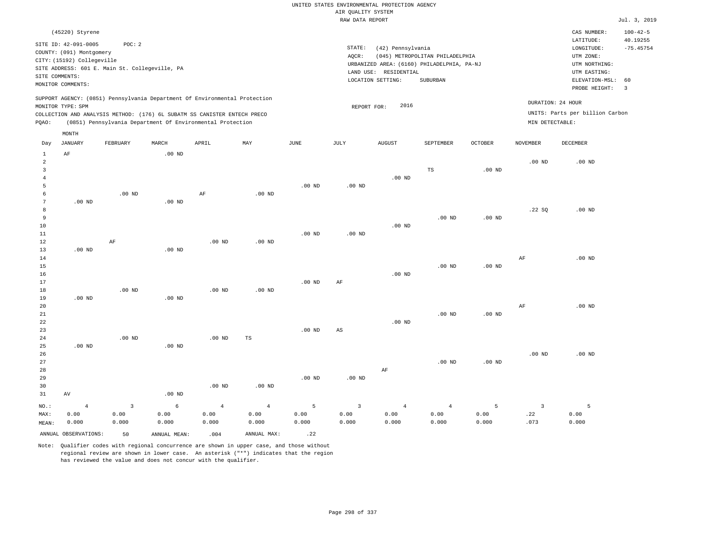|       | (45220) Styrene                                                   |                                                                                                                                        |                   |       |                                                                            |          |                    |                                                                                |                                 |                |                             | CAS NUMBER:                                                      | $100 - 42 - 5$          |
|-------|-------------------------------------------------------------------|----------------------------------------------------------------------------------------------------------------------------------------|-------------------|-------|----------------------------------------------------------------------------|----------|--------------------|--------------------------------------------------------------------------------|---------------------------------|----------------|-----------------------------|------------------------------------------------------------------|-------------------------|
|       | SITE ID: 42-091-0005<br>COUNTY: (091) Montgomery                  | POC:2                                                                                                                                  |                   |       |                                                                            |          | STATE:             | (42) Pennsylvania                                                              | (045) METROPOLITAN PHILADELPHIA |                |                             | LATITUDE:<br>LONGITUDE:<br>UTM ZONE:                             | 40.19255<br>$-75.45754$ |
|       | CITY: (15192) Collegeville<br>SITE COMMENTS:<br>MONITOR COMMENTS: | SITE ADDRESS: 601 E. Main St. Collegeville, PA                                                                                         |                   |       |                                                                            |          | AQCR:<br>LAND USE: | URBANIZED AREA: (6160) PHILADELPHIA, PA-NJ<br>RESIDENTIAL<br>LOCATION SETTING: | SUBURBAN                        |                |                             | UTM NORTHING:<br>UTM EASTING:<br>ELEVATION-MSL:<br>PROBE HEIGHT: | 60<br>-3                |
| POAO: | MONITOR TYPE: SPM                                                 | COLLECTION AND ANALYSIS METHOD: (176) 6L SUBATM SS CANISTER ENTECH PRECO<br>(0851) Pennsylvania Department Of Environmental Protection |                   |       | SUPPORT AGENCY: (0851) Pennsylvania Department Of Environmental Protection |          |                    | 2016<br>REPORT FOR:                                                            |                                 |                | MIN DETECTABLE:             | DURATION: 24 HOUR<br>UNITS: Parts per billion Carbon             |                         |
|       | MONTH                                                             |                                                                                                                                        |                   |       |                                                                            |          |                    |                                                                                |                                 |                |                             |                                                                  |                         |
| Day   | JANUARY<br>AF                                                     | FEBRUARY                                                                                                                               | MARCH<br>$.00$ ND | APRIL | MAY                                                                        | JUNE     | JULY               | <b>AUGUST</b>                                                                  | SEPTEMBER                       | <b>OCTOBER</b> | <b>NOVEMBER</b><br>$.00$ ND | <b>DECEMBER</b><br>$.00$ ND                                      |                         |
|       |                                                                   |                                                                                                                                        |                   |       |                                                                            |          |                    | $.00$ ND                                                                       | TS                              | $.00$ ND       |                             |                                                                  |                         |
|       |                                                                   |                                                                                                                                        |                   |       |                                                                            | $.00$ ND | $.00$ ND           |                                                                                |                                 |                |                             |                                                                  |                         |

| 6               |          | $.00$ ND |          | AF       | $.00$ ND |          |          |          |          |          |       |          |
|-----------------|----------|----------|----------|----------|----------|----------|----------|----------|----------|----------|-------|----------|
| $7\overline{ }$ | $.00$ ND |          | $.00$ ND |          |          |          |          |          |          |          |       |          |
| 8               |          |          |          |          |          |          |          |          |          |          | .22SQ | $.00$ ND |
| 9               |          |          |          |          |          |          |          |          | $.00$ ND | $.00$ ND |       |          |
| 10              |          |          |          |          |          |          |          | $.00$ ND |          |          |       |          |
| $11\,$          |          |          |          |          |          | $.00$ ND | $.00$ ND |          |          |          |       |          |
| $1\,2$          |          | AF       |          | $.00$ ND | $.00$ ND |          |          |          |          |          |       |          |
| 13              | $.00$ ND |          | $.00$ ND |          |          |          |          |          |          |          |       |          |
| 14              |          |          |          |          |          |          |          |          |          |          | AF    | $.00$ ND |
| 15              |          |          |          |          |          |          |          |          | $.00$ ND | $.00$ ND |       |          |
| 16              |          |          |          |          |          |          |          | $.00$ ND |          |          |       |          |
| 17              |          |          |          |          |          | $.00$ ND | AF       |          |          |          |       |          |
| 18              |          | $.00$ ND |          | $.00$ ND | $.00$ ND |          |          |          |          |          |       |          |
| 19              | $.00$ ND |          | $.00$ ND |          |          |          |          |          |          |          |       |          |

| 20 |          |                   |           |          |    |          |          |          | $\rm{AF}$ | $.00$ ND |
|----|----------|-------------------|-----------|----------|----|----------|----------|----------|-----------|----------|
| 21 |          |                   |           |          |    |          | $.00$ ND | $.00$ ND |           |          |
| 22 |          |                   |           |          |    | $.00$ ND |          |          |           |          |
| 23 |          |                   |           | $.00$ ND | AS |          |          |          |           |          |
| 24 | $.00$ ND | .00 <sub>ND</sub> | <b>TS</b> |          |    |          |          |          |           |          |

| 25      | $.00$ ND |       | .00 <sub>ND</sub> |          |          |          |          |       |          |          |          |          |
|---------|----------|-------|-------------------|----------|----------|----------|----------|-------|----------|----------|----------|----------|
| 26      |          |       |                   |          |          |          |          |       |          |          | $.00$ ND | $.00$ ND |
| 27      |          |       |                   |          |          |          |          |       | $.00$ ND | $.00$ ND |          |          |
| 28      |          |       |                   |          |          |          |          | AF    |          |          |          |          |
| 29      |          |       |                   |          |          | $.00$ ND | $.00$ ND |       |          |          |          |          |
| 30      |          |       |                   | $.00$ ND | $.00$ ND |          |          |       |          |          |          |          |
| 31      | AV       |       | $.00$ ND          |          |          |          |          |       |          |          |          |          |
| $NO.$ : | 4        |       | 6                 |          | 4        |          |          | 4     | 4        | 5        |          |          |
| MAX:    | 0.00     | 0.00  | 0.00              | 0.00     | 0.00     | 0.00     | 0.00     | 0.00  | 0.00     | 0.00     | .22      | 0.00     |
| MEAN:   | 0.000    | 0.000 | 0.000             | 0.000    | 0.000    | 0.000    | 0.000    | 0.000 | 0.000    | 0.000    | .073     | 0.000    |

Note: Qualifier codes with regional concurrence are shown in upper case, and those without regional review are shown in lower case. An asterisk ("\*") indicates that the region has reviewed the value and does not concur with the qualifier.

ANNUAL OBSERVATIONS: 50 ANNUAL MEAN: .004 ANNUAL MAX: .22

MEAN: 0.000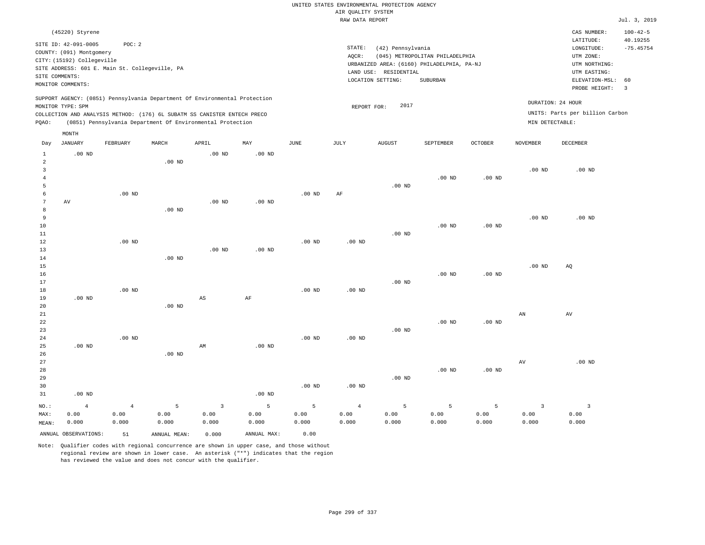| AIR QUALITY SYSTEM<br>Jul. 3, 2019<br>RAW DATA REPORT<br>(45220) Styrene<br>CAS NUMBER:<br>$100 - 42 - 5$<br>LATITUDE:<br>40.19255<br>SITE ID: 42-091-0005<br>POC: 2<br>STATE:<br>(42) Pennsylvania<br>$-75.45754$<br>$\texttt{LONGITUDE}$ :<br>COUNTY: (091) Montgomery<br>AQCR:<br>(045) METROPOLITAN PHILADELPHIA<br>UTM ZONE:<br>CITY: (15192) Collegeville<br>URBANIZED AREA: (6160) PHILADELPHIA, PA-NJ<br>UTM NORTHING:<br>SITE ADDRESS: 601 E. Main St. Collegeville, PA<br>LAND USE: RESIDENTIAL<br>UTM EASTING:<br>SITE COMMENTS:<br>LOCATION SETTING:<br>SUBURBAN<br>ELEVATION-MSL:<br>60<br>MONITOR COMMENTS:<br>PROBE HEIGHT:<br>$\overline{3}$<br>SUPPORT AGENCY: (0851) Pennsylvania Department Of Environmental Protection<br>DURATION: 24 HOUR<br>2017<br>MONITOR TYPE: SPM<br>REPORT FOR:<br>UNITS: Parts per billion Carbon<br>COLLECTION AND ANALYSIS METHOD: (176) 6L SUBATM SS CANISTER ENTECH PRECO<br>PQAO:<br>(0851) Pennsylvania Department Of Environmental Protection<br>MIN DETECTABLE:<br>MONTH<br><b>JANUARY</b><br>FEBRUARY<br>MARCH<br>APRIL<br>MAY<br>$_{\rm JUNE}$<br>JULY<br><b>AUGUST</b><br>SEPTEMBER<br><b>OCTOBER</b><br><b>NOVEMBER</b><br>DECEMBER<br>Day<br>.00 <sub>ND</sub><br>$.00$ ND<br>.00 <sub>ND</sub><br>$\mathbf{1}$<br>2<br>$.00$ ND<br>3<br>.00 <sub>ND</sub><br>$.00$ ND<br>$\overline{4}$<br>.00 <sub>ND</sub><br>$.00$ ND<br>$.00$ ND<br>5<br>6<br>.00 <sub>ND</sub><br>.00 <sub>ND</sub><br>AF<br>7<br>AV<br>.00 <sub>ND</sub><br>.00 <sub>ND</sub><br>8<br>$.00$ ND<br>9<br>.00 <sub>ND</sub><br>$.00$ ND<br>10<br>$.00$ ND<br>$.00$ ND<br>11<br>.00 <sub>ND</sub><br>$.00$ ND<br>12<br>$.00$ ND<br>$.00$ ND<br>13<br>$.00$ ND<br>.00 <sub>ND</sub><br>.00 <sub>ND</sub><br>14 |
|--------------------------------------------------------------------------------------------------------------------------------------------------------------------------------------------------------------------------------------------------------------------------------------------------------------------------------------------------------------------------------------------------------------------------------------------------------------------------------------------------------------------------------------------------------------------------------------------------------------------------------------------------------------------------------------------------------------------------------------------------------------------------------------------------------------------------------------------------------------------------------------------------------------------------------------------------------------------------------------------------------------------------------------------------------------------------------------------------------------------------------------------------------------------------------------------------------------------------------------------------------------------------------------------------------------------------------------------------------------------------------------------------------------------------------------------------------------------------------------------------------------------------------------------------------------------------------------------------------------------------------------------------------------------------------------------------------------------------------------------|
|                                                                                                                                                                                                                                                                                                                                                                                                                                                                                                                                                                                                                                                                                                                                                                                                                                                                                                                                                                                                                                                                                                                                                                                                                                                                                                                                                                                                                                                                                                                                                                                                                                                                                                                                            |
|                                                                                                                                                                                                                                                                                                                                                                                                                                                                                                                                                                                                                                                                                                                                                                                                                                                                                                                                                                                                                                                                                                                                                                                                                                                                                                                                                                                                                                                                                                                                                                                                                                                                                                                                            |
|                                                                                                                                                                                                                                                                                                                                                                                                                                                                                                                                                                                                                                                                                                                                                                                                                                                                                                                                                                                                                                                                                                                                                                                                                                                                                                                                                                                                                                                                                                                                                                                                                                                                                                                                            |
|                                                                                                                                                                                                                                                                                                                                                                                                                                                                                                                                                                                                                                                                                                                                                                                                                                                                                                                                                                                                                                                                                                                                                                                                                                                                                                                                                                                                                                                                                                                                                                                                                                                                                                                                            |
|                                                                                                                                                                                                                                                                                                                                                                                                                                                                                                                                                                                                                                                                                                                                                                                                                                                                                                                                                                                                                                                                                                                                                                                                                                                                                                                                                                                                                                                                                                                                                                                                                                                                                                                                            |
|                                                                                                                                                                                                                                                                                                                                                                                                                                                                                                                                                                                                                                                                                                                                                                                                                                                                                                                                                                                                                                                                                                                                                                                                                                                                                                                                                                                                                                                                                                                                                                                                                                                                                                                                            |
|                                                                                                                                                                                                                                                                                                                                                                                                                                                                                                                                                                                                                                                                                                                                                                                                                                                                                                                                                                                                                                                                                                                                                                                                                                                                                                                                                                                                                                                                                                                                                                                                                                                                                                                                            |
|                                                                                                                                                                                                                                                                                                                                                                                                                                                                                                                                                                                                                                                                                                                                                                                                                                                                                                                                                                                                                                                                                                                                                                                                                                                                                                                                                                                                                                                                                                                                                                                                                                                                                                                                            |
|                                                                                                                                                                                                                                                                                                                                                                                                                                                                                                                                                                                                                                                                                                                                                                                                                                                                                                                                                                                                                                                                                                                                                                                                                                                                                                                                                                                                                                                                                                                                                                                                                                                                                                                                            |
|                                                                                                                                                                                                                                                                                                                                                                                                                                                                                                                                                                                                                                                                                                                                                                                                                                                                                                                                                                                                                                                                                                                                                                                                                                                                                                                                                                                                                                                                                                                                                                                                                                                                                                                                            |
|                                                                                                                                                                                                                                                                                                                                                                                                                                                                                                                                                                                                                                                                                                                                                                                                                                                                                                                                                                                                                                                                                                                                                                                                                                                                                                                                                                                                                                                                                                                                                                                                                                                                                                                                            |
|                                                                                                                                                                                                                                                                                                                                                                                                                                                                                                                                                                                                                                                                                                                                                                                                                                                                                                                                                                                                                                                                                                                                                                                                                                                                                                                                                                                                                                                                                                                                                                                                                                                                                                                                            |
|                                                                                                                                                                                                                                                                                                                                                                                                                                                                                                                                                                                                                                                                                                                                                                                                                                                                                                                                                                                                                                                                                                                                                                                                                                                                                                                                                                                                                                                                                                                                                                                                                                                                                                                                            |
|                                                                                                                                                                                                                                                                                                                                                                                                                                                                                                                                                                                                                                                                                                                                                                                                                                                                                                                                                                                                                                                                                                                                                                                                                                                                                                                                                                                                                                                                                                                                                                                                                                                                                                                                            |
|                                                                                                                                                                                                                                                                                                                                                                                                                                                                                                                                                                                                                                                                                                                                                                                                                                                                                                                                                                                                                                                                                                                                                                                                                                                                                                                                                                                                                                                                                                                                                                                                                                                                                                                                            |
|                                                                                                                                                                                                                                                                                                                                                                                                                                                                                                                                                                                                                                                                                                                                                                                                                                                                                                                                                                                                                                                                                                                                                                                                                                                                                                                                                                                                                                                                                                                                                                                                                                                                                                                                            |
|                                                                                                                                                                                                                                                                                                                                                                                                                                                                                                                                                                                                                                                                                                                                                                                                                                                                                                                                                                                                                                                                                                                                                                                                                                                                                                                                                                                                                                                                                                                                                                                                                                                                                                                                            |
|                                                                                                                                                                                                                                                                                                                                                                                                                                                                                                                                                                                                                                                                                                                                                                                                                                                                                                                                                                                                                                                                                                                                                                                                                                                                                                                                                                                                                                                                                                                                                                                                                                                                                                                                            |
|                                                                                                                                                                                                                                                                                                                                                                                                                                                                                                                                                                                                                                                                                                                                                                                                                                                                                                                                                                                                                                                                                                                                                                                                                                                                                                                                                                                                                                                                                                                                                                                                                                                                                                                                            |
|                                                                                                                                                                                                                                                                                                                                                                                                                                                                                                                                                                                                                                                                                                                                                                                                                                                                                                                                                                                                                                                                                                                                                                                                                                                                                                                                                                                                                                                                                                                                                                                                                                                                                                                                            |
|                                                                                                                                                                                                                                                                                                                                                                                                                                                                                                                                                                                                                                                                                                                                                                                                                                                                                                                                                                                                                                                                                                                                                                                                                                                                                                                                                                                                                                                                                                                                                                                                                                                                                                                                            |
|                                                                                                                                                                                                                                                                                                                                                                                                                                                                                                                                                                                                                                                                                                                                                                                                                                                                                                                                                                                                                                                                                                                                                                                                                                                                                                                                                                                                                                                                                                                                                                                                                                                                                                                                            |
| $15$<br>.00 <sub>ND</sub><br>AQ                                                                                                                                                                                                                                                                                                                                                                                                                                                                                                                                                                                                                                                                                                                                                                                                                                                                                                                                                                                                                                                                                                                                                                                                                                                                                                                                                                                                                                                                                                                                                                                                                                                                                                            |
| 16<br>$.00$ ND<br>$.00$ ND                                                                                                                                                                                                                                                                                                                                                                                                                                                                                                                                                                                                                                                                                                                                                                                                                                                                                                                                                                                                                                                                                                                                                                                                                                                                                                                                                                                                                                                                                                                                                                                                                                                                                                                 |
| 17<br>$.00$ ND                                                                                                                                                                                                                                                                                                                                                                                                                                                                                                                                                                                                                                                                                                                                                                                                                                                                                                                                                                                                                                                                                                                                                                                                                                                                                                                                                                                                                                                                                                                                                                                                                                                                                                                             |
| $.00$ ND<br>18<br>.00 <sub>ND</sub><br>.00 <sub>ND</sub><br>19<br>$.00$ ND<br>$\mathbb{A}\mathbb{S}$<br>$\rm AF$                                                                                                                                                                                                                                                                                                                                                                                                                                                                                                                                                                                                                                                                                                                                                                                                                                                                                                                                                                                                                                                                                                                                                                                                                                                                                                                                                                                                                                                                                                                                                                                                                           |
| 20<br>.00 <sub>ND</sub>                                                                                                                                                                                                                                                                                                                                                                                                                                                                                                                                                                                                                                                                                                                                                                                                                                                                                                                                                                                                                                                                                                                                                                                                                                                                                                                                                                                                                                                                                                                                                                                                                                                                                                                    |
| 21<br>AN<br>AV                                                                                                                                                                                                                                                                                                                                                                                                                                                                                                                                                                                                                                                                                                                                                                                                                                                                                                                                                                                                                                                                                                                                                                                                                                                                                                                                                                                                                                                                                                                                                                                                                                                                                                                             |
| 22<br>$.00$ ND<br>$.00$ ND                                                                                                                                                                                                                                                                                                                                                                                                                                                                                                                                                                                                                                                                                                                                                                                                                                                                                                                                                                                                                                                                                                                                                                                                                                                                                                                                                                                                                                                                                                                                                                                                                                                                                                                 |
| 23<br>$.00$ ND                                                                                                                                                                                                                                                                                                                                                                                                                                                                                                                                                                                                                                                                                                                                                                                                                                                                                                                                                                                                                                                                                                                                                                                                                                                                                                                                                                                                                                                                                                                                                                                                                                                                                                                             |
| $.00$ ND<br>.00 <sub>ND</sub><br>.00 <sub>ND</sub><br>24<br>25<br>.00 <sub>ND</sub><br>AM<br>.00 <sub>ND</sub>                                                                                                                                                                                                                                                                                                                                                                                                                                                                                                                                                                                                                                                                                                                                                                                                                                                                                                                                                                                                                                                                                                                                                                                                                                                                                                                                                                                                                                                                                                                                                                                                                             |
| 26<br>$.00$ ND                                                                                                                                                                                                                                                                                                                                                                                                                                                                                                                                                                                                                                                                                                                                                                                                                                                                                                                                                                                                                                                                                                                                                                                                                                                                                                                                                                                                                                                                                                                                                                                                                                                                                                                             |
| 27<br>$\hbox{AV}$<br>$.00$ ND                                                                                                                                                                                                                                                                                                                                                                                                                                                                                                                                                                                                                                                                                                                                                                                                                                                                                                                                                                                                                                                                                                                                                                                                                                                                                                                                                                                                                                                                                                                                                                                                                                                                                                              |
| 28<br>.00 <sub>ND</sub><br>$.00$ ND                                                                                                                                                                                                                                                                                                                                                                                                                                                                                                                                                                                                                                                                                                                                                                                                                                                                                                                                                                                                                                                                                                                                                                                                                                                                                                                                                                                                                                                                                                                                                                                                                                                                                                        |
| 29<br>$.00$ ND                                                                                                                                                                                                                                                                                                                                                                                                                                                                                                                                                                                                                                                                                                                                                                                                                                                                                                                                                                                                                                                                                                                                                                                                                                                                                                                                                                                                                                                                                                                                                                                                                                                                                                                             |
| 30<br>$.00$ ND<br>$.00$ ND<br>.00 <sub>ND</sub><br>31<br>$.00$ ND                                                                                                                                                                                                                                                                                                                                                                                                                                                                                                                                                                                                                                                                                                                                                                                                                                                                                                                                                                                                                                                                                                                                                                                                                                                                                                                                                                                                                                                                                                                                                                                                                                                                          |
|                                                                                                                                                                                                                                                                                                                                                                                                                                                                                                                                                                                                                                                                                                                                                                                                                                                                                                                                                                                                                                                                                                                                                                                                                                                                                                                                                                                                                                                                                                                                                                                                                                                                                                                                            |
| 5<br>$\overline{3}$<br>5<br>5<br>$\overline{5}$<br>5<br>5<br>$\overline{\mathbf{3}}$<br>$\overline{\mathbf{3}}$<br>NO.:<br>$\overline{4}$<br>$\overline{4}$<br>$\overline{4}$<br>MAX:<br>0.00<br>0.00<br>0.00<br>0.00<br>0.00<br>0.00<br>0.00<br>0.00<br>0.00<br>0.00<br>0.00<br>0.00                                                                                                                                                                                                                                                                                                                                                                                                                                                                                                                                                                                                                                                                                                                                                                                                                                                                                                                                                                                                                                                                                                                                                                                                                                                                                                                                                                                                                                                      |
| 0.000<br>0.000<br>0.000<br>0.000<br>0.000<br>0.000<br>0.000<br>0.000<br>0.000<br>0.000<br>0.000<br>0.000<br>MEAN:                                                                                                                                                                                                                                                                                                                                                                                                                                                                                                                                                                                                                                                                                                                                                                                                                                                                                                                                                                                                                                                                                                                                                                                                                                                                                                                                                                                                                                                                                                                                                                                                                          |
| ANNUAL OBSERVATIONS:<br>ANNUAL MAX:<br>0.00<br>ANNUAL, MEAN:<br>0.000<br>51                                                                                                                                                                                                                                                                                                                                                                                                                                                                                                                                                                                                                                                                                                                                                                                                                                                                                                                                                                                                                                                                                                                                                                                                                                                                                                                                                                                                                                                                                                                                                                                                                                                                |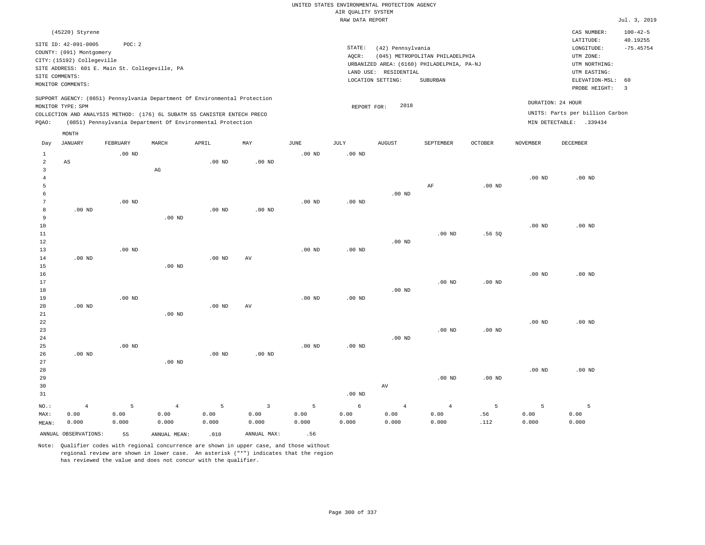|                |                                                                                                 |          |                                                            |                   |                   |                   | UNITED STATES ENVIRONMENTAL PROTECTION AGENCY |                       |                                            |          |                   |                                        |                                           |
|----------------|-------------------------------------------------------------------------------------------------|----------|------------------------------------------------------------|-------------------|-------------------|-------------------|-----------------------------------------------|-----------------------|--------------------------------------------|----------|-------------------|----------------------------------------|-------------------------------------------|
|                |                                                                                                 |          |                                                            |                   |                   |                   | AIR QUALITY SYSTEM                            |                       |                                            |          |                   |                                        |                                           |
|                |                                                                                                 |          |                                                            |                   |                   |                   | RAW DATA REPORT                               |                       |                                            |          |                   |                                        | Jul. 3, 2019                              |
|                | (45220) Styrene<br>SITE ID: 42-091-0005                                                         | POC: 2   |                                                            |                   |                   |                   | STATE:                                        | (42) Pennsylvania     |                                            |          |                   | CAS NUMBER:<br>LATITUDE:<br>LONGITUDE: | $100 - 42 - 5$<br>40.19255<br>$-75.45754$ |
|                | COUNTY: (091) Montgomery                                                                        |          |                                                            |                   |                   |                   | AOCR:                                         |                       | (045) METROPOLITAN PHILADELPHIA            |          |                   | UTM ZONE:                              |                                           |
|                | CITY: (15192) Collegeville                                                                      |          |                                                            |                   |                   |                   |                                               |                       | URBANIZED AREA: (6160) PHILADELPHIA, PA-NJ |          |                   | UTM NORTHING:                          |                                           |
|                | SITE ADDRESS: 601 E. Main St. Collegeville, PA                                                  |          |                                                            |                   |                   |                   |                                               | LAND USE: RESIDENTIAL |                                            |          |                   | UTM EASTING:                           |                                           |
| SITE COMMENTS: |                                                                                                 |          |                                                            |                   |                   |                   |                                               | LOCATION SETTING:     | <b>SUBURBAN</b>                            |          |                   | ELEVATION-MSL:                         | 60                                        |
|                | MONITOR COMMENTS:                                                                               |          |                                                            |                   |                   |                   |                                               |                       |                                            |          |                   | PROBE HEIGHT:                          | $\overline{3}$                            |
|                | SUPPORT AGENCY: (0851) Pennsylvania Department Of Environmental Protection<br>MONITOR TYPE: SPM |          |                                                            |                   |                   |                   | REPORT FOR:                                   | 2018                  |                                            |          |                   | DURATION: 24 HOUR                      |                                           |
|                | COLLECTION AND ANALYSIS METHOD: (176) 6L SUBATM SS CANISTER ENTECH PRECO                        |          |                                                            |                   |                   |                   |                                               |                       |                                            |          |                   | UNITS: Parts per billion Carbon        |                                           |
| PQAO:          |                                                                                                 |          | (0851) Pennsylvania Department Of Environmental Protection |                   |                   |                   |                                               |                       |                                            |          |                   | MIN DETECTABLE: .339434                |                                           |
| Day            | MONTH<br>JANUARY                                                                                | FEBRUARY | MARCH                                                      | APRIL             | MAY               | JUNE              | JULY                                          | <b>AUGUST</b>         | SEPTEMBER                                  | OCTOBER  | NOVEMBER          | DECEMBER                               |                                           |
| $\mathbf{1}$   |                                                                                                 | $.00$ ND |                                                            |                   |                   | $.00$ ND          | $.00$ ND                                      |                       |                                            |          |                   |                                        |                                           |
| $\overline{2}$ | AS                                                                                              |          |                                                            | .00 <sub>ND</sub> | .00 <sub>ND</sub> |                   |                                               |                       |                                            |          |                   |                                        |                                           |
| $\overline{3}$ |                                                                                                 |          | AG                                                         |                   |                   |                   |                                               |                       |                                            |          |                   |                                        |                                           |
| $\overline{4}$ |                                                                                                 |          |                                                            |                   |                   |                   |                                               |                       |                                            |          | $.00$ ND          | $.00$ ND                               |                                           |
| 5              |                                                                                                 |          |                                                            |                   |                   |                   |                                               |                       | AF                                         | $.00$ ND |                   |                                        |                                           |
| 6              |                                                                                                 |          |                                                            |                   |                   |                   |                                               | $.00$ ND              |                                            |          |                   |                                        |                                           |
| 7              |                                                                                                 | $.00$ ND |                                                            |                   |                   | $.00$ ND          | .00 <sub>ND</sub>                             |                       |                                            |          |                   |                                        |                                           |
| 8              | $.00$ ND                                                                                        |          |                                                            | $.00$ ND          | $.00$ ND          |                   |                                               |                       |                                            |          |                   |                                        |                                           |
| 9              |                                                                                                 |          | $.00$ ND                                                   |                   |                   |                   |                                               |                       |                                            |          |                   |                                        |                                           |
| 10             |                                                                                                 |          |                                                            |                   |                   |                   |                                               |                       |                                            |          | .00 <sub>ND</sub> | $.00$ ND                               |                                           |
| $11\,$         |                                                                                                 |          |                                                            |                   |                   |                   |                                               |                       | $.00$ ND                                   | .56SQ    |                   |                                        |                                           |
| 12             |                                                                                                 |          |                                                            |                   |                   |                   |                                               | $.00$ ND              |                                            |          |                   |                                        |                                           |
| 13             |                                                                                                 | $.00$ ND |                                                            |                   |                   | $.00$ ND          | .00 <sub>ND</sub>                             |                       |                                            |          |                   |                                        |                                           |
| 14             | $.00$ ND                                                                                        |          |                                                            | $.00$ ND          | AV                |                   |                                               |                       |                                            |          |                   |                                        |                                           |
| 15<br>16       |                                                                                                 |          | $.00$ ND                                                   |                   |                   |                   |                                               |                       |                                            |          | $.00$ ND          | $.00$ ND                               |                                           |
| 17             |                                                                                                 |          |                                                            |                   |                   |                   |                                               |                       | $.00$ ND                                   | $.00$ ND |                   |                                        |                                           |
| 18             |                                                                                                 |          |                                                            |                   |                   |                   |                                               | $.00$ ND              |                                            |          |                   |                                        |                                           |
| 19             |                                                                                                 | $.00$ ND |                                                            |                   |                   | $.00$ ND          | $.00$ ND                                      |                       |                                            |          |                   |                                        |                                           |
| 20             | $.00$ ND                                                                                        |          |                                                            | .00 <sub>ND</sub> | AV                |                   |                                               |                       |                                            |          |                   |                                        |                                           |
| 21             |                                                                                                 |          | $.00$ ND                                                   |                   |                   |                   |                                               |                       |                                            |          |                   |                                        |                                           |
| 22             |                                                                                                 |          |                                                            |                   |                   |                   |                                               |                       |                                            |          | $.00$ ND          | $.00$ ND                               |                                           |
| 23             |                                                                                                 |          |                                                            |                   |                   |                   |                                               |                       | $.00$ ND                                   | $.00$ ND |                   |                                        |                                           |
| 24             |                                                                                                 |          |                                                            |                   |                   |                   |                                               | $.00$ ND              |                                            |          |                   |                                        |                                           |
| 25             |                                                                                                 | $.00$ ND |                                                            |                   |                   | .00 <sub>ND</sub> | .00 <sub>ND</sub>                             |                       |                                            |          |                   |                                        |                                           |
| 26             | $.00$ ND                                                                                        |          |                                                            | $.00$ ND          | $.00$ ND          |                   |                                               |                       |                                            |          |                   |                                        |                                           |
| 27             |                                                                                                 |          | $.00$ ND                                                   |                   |                   |                   |                                               |                       |                                            |          |                   |                                        |                                           |
| 28             |                                                                                                 |          |                                                            |                   |                   |                   |                                               |                       |                                            |          | .00 <sub>ND</sub> | $.00$ ND                               |                                           |
| 29             |                                                                                                 |          |                                                            |                   |                   |                   |                                               |                       | $.00$ ND                                   | $.00$ ND |                   |                                        |                                           |
| 30             |                                                                                                 |          |                                                            |                   |                   |                   |                                               | $\operatorname{AV}$   |                                            |          |                   |                                        |                                           |
| 31             |                                                                                                 |          |                                                            |                   |                   |                   | .00 <sub>ND</sub>                             |                       |                                            |          |                   |                                        |                                           |
| NO.:           | $\overline{4}$                                                                                  | 5        | $\overline{4}$                                             | 5                 | $\overline{3}$    | 5                 | 6                                             | $\overline{4}$        | $\overline{4}$                             | 5        | 5                 | 5                                      |                                           |
| MAX:           | 0.00                                                                                            | 0.00     | 0.00                                                       | 0.00              | 0.00              | 0.00              | 0.00                                          | 0.00                  | 0.00                                       | .56      | 0.00              | 0.00                                   |                                           |
| MEAN:          | 0.000                                                                                           | 0.000    | 0.000                                                      | 0.000             | 0.000             | 0.000             | 0.000                                         | 0.000                 | 0.000                                      | .112     | 0.000             | 0.000                                  |                                           |
|                | ANNUAL OBSERVATIONS:                                                                            | 55       | ANNUAL MEAN:                                               | .010              | ANNUAL MAX:       | .56               |                                               |                       |                                            |          |                   |                                        |                                           |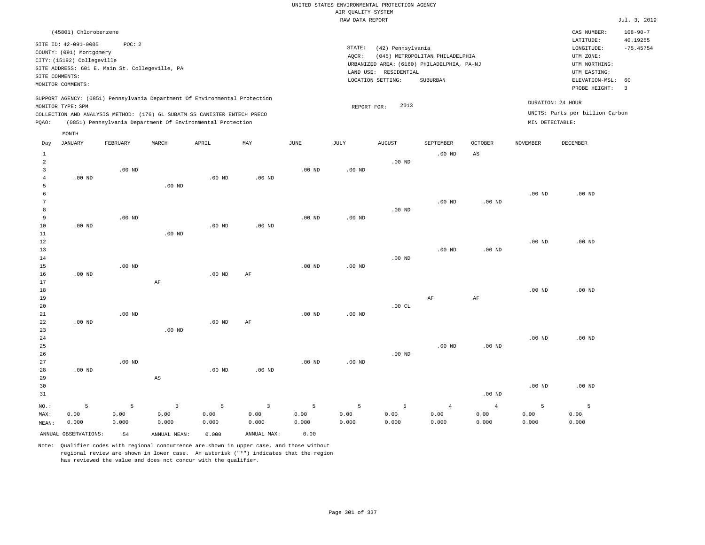|                      | (45801) Chlorobenzene      |                                                |                        |                                                                            |                   |                   |                   |                       |                                            |                        |                   | CAS NUMBER:                     | $108 - 90 - 7$          |
|----------------------|----------------------------|------------------------------------------------|------------------------|----------------------------------------------------------------------------|-------------------|-------------------|-------------------|-----------------------|--------------------------------------------|------------------------|-------------------|---------------------------------|-------------------------|
|                      | SITE ID: 42-091-0005       | POC: 2                                         |                        |                                                                            |                   |                   |                   |                       |                                            |                        |                   | LATITUDE:                       | 40.19255                |
|                      | COUNTY: (091) Montgomery   |                                                |                        |                                                                            |                   |                   | STATE:            | (42) Pennsylvania     |                                            |                        |                   | LONGITUDE:                      | $-75.45754$             |
|                      | CITY: (15192) Collegeville |                                                |                        |                                                                            |                   |                   | AQCR:             |                       | (045) METROPOLITAN PHILADELPHIA            |                        |                   | UTM ZONE:                       |                         |
|                      |                            | SITE ADDRESS: 601 E. Main St. Collegeville, PA |                        |                                                                            |                   |                   |                   | LAND USE: RESIDENTIAL | URBANIZED AREA: (6160) PHILADELPHIA, PA-NJ |                        |                   | UTM NORTHING:<br>UTM EASTING:   |                         |
|                      | SITE COMMENTS:             |                                                |                        |                                                                            |                   |                   |                   | LOCATION SETTING:     | SUBURBAN                                   |                        |                   | ELEVATION-MSL:                  | 60                      |
|                      | MONITOR COMMENTS:          |                                                |                        |                                                                            |                   |                   |                   |                       |                                            |                        |                   | PROBE HEIGHT:                   | $\overline{\mathbf{3}}$ |
|                      |                            |                                                |                        | SUPPORT AGENCY: (0851) Pennsylvania Department Of Environmental Protection |                   |                   |                   |                       |                                            |                        |                   | DURATION: 24 HOUR               |                         |
|                      | MONITOR TYPE: SPM          |                                                |                        |                                                                            |                   |                   | REPORT FOR:       | 2013                  |                                            |                        |                   |                                 |                         |
|                      |                            |                                                |                        | COLLECTION AND ANALYSIS METHOD: (176) 6L SUBATM SS CANISTER ENTECH PRECO   |                   |                   |                   |                       |                                            |                        |                   | UNITS: Parts per billion Carbon |                         |
| PQAO:                |                            |                                                |                        | (0851) Pennsylvania Department Of Environmental Protection                 |                   |                   |                   |                       |                                            |                        | MIN DETECTABLE:   |                                 |                         |
|                      | MONTH                      |                                                |                        |                                                                            |                   |                   |                   |                       |                                            |                        |                   |                                 |                         |
| Day                  | JANUARY                    | FEBRUARY                                       | MARCH                  | APRIL                                                                      | MAY               | JUNE              | JULY              | <b>AUGUST</b>         | SEPTEMBER                                  | <b>OCTOBER</b>         | <b>NOVEMBER</b>   | DECEMBER                        |                         |
| $\mathbf{1}$         |                            |                                                |                        |                                                                            |                   |                   |                   |                       | $.00$ ND                                   | $\mathbb{A}\mathbb{S}$ |                   |                                 |                         |
| $\overline{a}$       |                            |                                                |                        |                                                                            |                   |                   |                   | $.00$ ND              |                                            |                        |                   |                                 |                         |
| $\overline{3}$       |                            | $.00$ ND                                       |                        |                                                                            |                   | $.00$ ND          | $.00$ ND          |                       |                                            |                        |                   |                                 |                         |
| $\overline{4}$       | $.00$ ND                   |                                                |                        | $.00$ ND                                                                   | .00 <sub>ND</sub> |                   |                   |                       |                                            |                        |                   |                                 |                         |
| 5                    |                            |                                                | $.00$ ND               |                                                                            |                   |                   |                   |                       |                                            |                        |                   |                                 |                         |
| 6<br>$7\phantom{.0}$ |                            |                                                |                        |                                                                            |                   |                   |                   |                       |                                            |                        | .00 <sub>ND</sub> | $.00$ ND                        |                         |
| 8                    |                            |                                                |                        |                                                                            |                   |                   |                   | $.00$ ND              | $.00$ ND                                   | .00 <sub>ND</sub>      |                   |                                 |                         |
| 9                    |                            | .00 <sub>ND</sub>                              |                        |                                                                            |                   | .00 <sub>ND</sub> | $.00$ ND          |                       |                                            |                        |                   |                                 |                         |
| 10                   | $.00$ ND                   |                                                |                        | $.00$ ND                                                                   | $.00$ ND          |                   |                   |                       |                                            |                        |                   |                                 |                         |
| 11                   |                            |                                                | $.00$ ND               |                                                                            |                   |                   |                   |                       |                                            |                        |                   |                                 |                         |
| 12                   |                            |                                                |                        |                                                                            |                   |                   |                   |                       |                                            |                        | $.00$ ND          | $.00$ ND                        |                         |
| 13                   |                            |                                                |                        |                                                                            |                   |                   |                   |                       | $.00$ ND                                   | .00 <sub>ND</sub>      |                   |                                 |                         |
| 14                   |                            |                                                |                        |                                                                            |                   |                   |                   | $.00$ ND              |                                            |                        |                   |                                 |                         |
| 15                   |                            | .00 <sub>ND</sub>                              |                        |                                                                            |                   | .00 <sub>ND</sub> | $.00$ ND          |                       |                                            |                        |                   |                                 |                         |
| 16                   | $.00$ ND                   |                                                |                        | $.00$ ND                                                                   | AF                |                   |                   |                       |                                            |                        |                   |                                 |                         |
| 17                   |                            |                                                | AF                     |                                                                            |                   |                   |                   |                       |                                            |                        |                   |                                 |                         |
| 18                   |                            |                                                |                        |                                                                            |                   |                   |                   |                       |                                            |                        | .00 <sub>ND</sub> | $.00$ ND                        |                         |
| 19<br>20             |                            |                                                |                        |                                                                            |                   |                   |                   | .00 $CL$              | $\rm{AF}$                                  | $\rm{AF}$              |                   |                                 |                         |
| 21                   |                            | $.00$ ND                                       |                        |                                                                            |                   | $.00$ ND          | $.00$ ND          |                       |                                            |                        |                   |                                 |                         |
| 22                   | $.00$ ND                   |                                                |                        | $.00$ ND                                                                   | AF                |                   |                   |                       |                                            |                        |                   |                                 |                         |
| 23                   |                            |                                                | $.00$ ND               |                                                                            |                   |                   |                   |                       |                                            |                        |                   |                                 |                         |
| 24                   |                            |                                                |                        |                                                                            |                   |                   |                   |                       |                                            |                        | $.00$ ND          | $.00$ ND                        |                         |
| 25                   |                            |                                                |                        |                                                                            |                   |                   |                   |                       | .00 <sub>ND</sub>                          | .00 <sub>ND</sub>      |                   |                                 |                         |
| 26                   |                            |                                                |                        |                                                                            |                   |                   |                   | .00 <sub>ND</sub>     |                                            |                        |                   |                                 |                         |
| 27                   |                            | $.00$ ND                                       |                        |                                                                            |                   | .00 <sub>ND</sub> | .00 <sub>ND</sub> |                       |                                            |                        |                   |                                 |                         |
| 28                   | $.00$ ND                   |                                                |                        | $.00$ ND                                                                   | $.00$ ND          |                   |                   |                       |                                            |                        |                   |                                 |                         |
| 29                   |                            |                                                | $\mathbb{A}\mathbb{S}$ |                                                                            |                   |                   |                   |                       |                                            |                        |                   |                                 |                         |
| 30                   |                            |                                                |                        |                                                                            |                   |                   |                   |                       |                                            |                        | .00 <sub>ND</sub> | $.00$ ND                        |                         |
| 31                   |                            |                                                |                        |                                                                            |                   |                   |                   |                       |                                            | $.00$ ND               |                   |                                 |                         |
| NO.:                 | 5                          | 5                                              | $\overline{3}$         | 5                                                                          | $\overline{3}$    | 5                 | 5                 | 5                     | $\overline{4}$                             | 4                      | 5                 | 5                               |                         |
| MAX:                 | 0.00                       | 0.00                                           | 0.00                   | 0.00                                                                       | 0.00              | 0.00              | 0.00              | 0.00                  | 0.00                                       | 0.00                   | 0.00              | 0.00                            |                         |

ANNUAL OBSERVATIONS: 54 ANNUAL MEAN: 0.000 ANNUAL MAX: 0.00 Note: Qualifier codes with regional concurrence are shown in upper case, and those without

0.000

0.000

0.000

regional review are shown in lower case. An asterisk ("\*") indicates that the region

has reviewed the value and does not concur with the qualifier.

0.000

0.000

MEAN: 0.000

0.000 0.000

0.000

0.000

0.000

0.000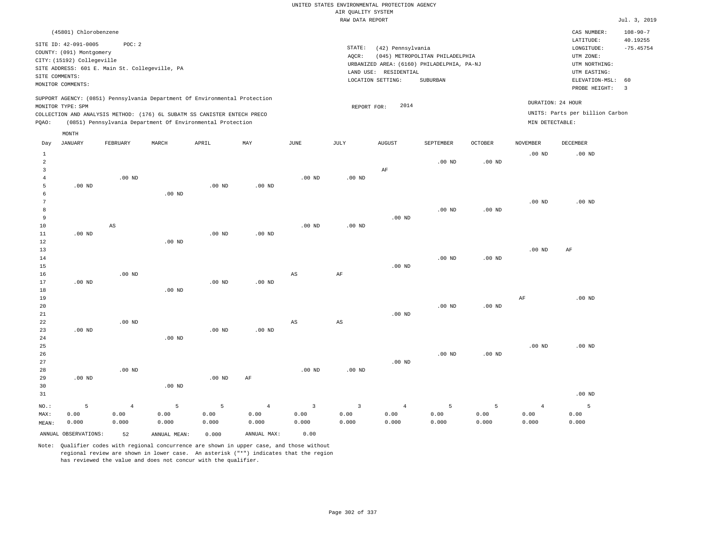| (45801) Chlorobenzene                                                                                                                                                                                                                                       |                                                                                                                                                                                 | CAS NUMBER:                                                                                                 | $108 - 90 - 7$          |
|-------------------------------------------------------------------------------------------------------------------------------------------------------------------------------------------------------------------------------------------------------------|---------------------------------------------------------------------------------------------------------------------------------------------------------------------------------|-------------------------------------------------------------------------------------------------------------|-------------------------|
| POC: 2<br>SITE ID: 42-091-0005<br>COUNTY: (091) Montgomery<br>CITY: (15192) Collegeville<br>SITE ADDRESS: 601 E. Main St. Collegeville, PA<br>SITE COMMENTS:<br>MONITOR COMMENTS:                                                                           | STATE:<br>(42) Pennsylvania<br>(045) METROPOLITAN PHILADELPHIA<br>AQCR:<br>URBANIZED AREA: (6160) PHILADELPHIA, PA-NJ<br>LAND USE: RESIDENTIAL<br>LOCATION SETTING:<br>SUBURBAN | LATITUDE:<br>LONGITUDE:<br>UTM ZONE:<br>UTM NORTHING:<br>UTM EASTING:<br>ELEVATION-MSL: 60<br>PROBE HEIGHT: | 40.19255<br>$-75.45754$ |
| SUPPORT AGENCY: (0851) Pennsylvania Department Of Environmental Protection<br>MONITOR TYPE: SPM<br>COLLECTION AND ANALYSIS METHOD: (176) 6L SUBATM SS CANISTER ENTECH PRECO<br>(0851) Pennsylvania Department Of Environmental Protection<br>POAO:<br>MONTH | 2014<br>REPORT FOR:<br>MIN DETECTABLE:                                                                                                                                          | DURATION: 24 HOUR<br>UNITS: Parts per billion Carbon                                                        |                         |

| Day               | JANUARY              | FEBRUARY       | MARCH             | APRIL    | MAY            | $_{\rm JUNE}$           | JULY                   | <b>AUGUST</b>  | SEPTEMBER         | $\mathtt{OCTOBER}$ | NOVEMBER       | DECEMBER |
|-------------------|----------------------|----------------|-------------------|----------|----------------|-------------------------|------------------------|----------------|-------------------|--------------------|----------------|----------|
| $\mathbf{1}$      |                      |                |                   |          |                |                         |                        |                |                   |                    | $.00$ ND       | $.00$ ND |
| $\sqrt{2}$        |                      |                |                   |          |                |                         |                        |                | $.00$ ND          | $.00$ ND           |                |          |
| 3                 |                      |                |                   |          |                |                         |                        | AF             |                   |                    |                |          |
| 4                 |                      | $.00$ ND       |                   |          |                | $.00$ ND                | $.00$ ND               |                |                   |                    |                |          |
| 5                 | $.00$ ND             |                |                   | $.00$ ND | $.00$ ND       |                         |                        |                |                   |                    |                |          |
| 6                 |                      |                | .00 <sub>ND</sub> |          |                |                         |                        |                |                   |                    |                |          |
| 7                 |                      |                |                   |          |                |                         |                        |                |                   |                    | $.00$ ND       | $.00$ ND |
| 8                 |                      |                |                   |          |                |                         |                        |                | $.00$ ND          | $.00$ ND           |                |          |
| 9                 |                      |                |                   |          |                |                         |                        | $.00$ ND       |                   |                    |                |          |
| $10$              |                      | $_{\rm AS}$    |                   |          |                | $.00$ ND                | $.00$ ND               |                |                   |                    |                |          |
| $11\,$            | $.00$ ND             |                |                   | $.00$ ND | $.00$ ND       |                         |                        |                |                   |                    |                |          |
| 12                |                      |                | .00 <sub>ND</sub> |          |                |                         |                        |                |                   |                    |                |          |
| 13                |                      |                |                   |          |                |                         |                        |                |                   |                    | .00 $ND$       | AF       |
| 14                |                      |                |                   |          |                |                         |                        |                | $.00$ ND          | $.00$ ND           |                |          |
| 15                |                      |                |                   |          |                |                         |                        | $.00$ ND       |                   |                    |                |          |
| 16                |                      | $.00$ ND       |                   |          |                | $_{\rm AS}$             | $\rm AF$               |                |                   |                    |                |          |
| 17                | $.00$ ND             |                |                   | $.00$ ND | $.00$ ND       |                         |                        |                |                   |                    |                |          |
| 18                |                      |                | .00 <sub>ND</sub> |          |                |                         |                        |                |                   |                    |                |          |
| 19                |                      |                |                   |          |                |                         |                        |                |                   |                    | $\rm{AF}$      | $.00$ ND |
| $20\,$            |                      |                |                   |          |                |                         |                        |                | .00 <sub>ND</sub> | $.00$ ND           |                |          |
| $2\sqrt{1}$       |                      |                |                   |          |                |                         |                        | $.00$ ND       |                   |                    |                |          |
| $2\sqrt{2}$       |                      | $.00$ ND       |                   |          |                | $\mathbb{A}\mathbb{S}$  | $\mathbb{A}\mathbb{S}$ |                |                   |                    |                |          |
| 23                | $.00$ ND             |                | .00 <sub>ND</sub> | $.00$ ND | $.00$ ND       |                         |                        |                |                   |                    |                |          |
| $2\sqrt{4}$<br>25 |                      |                |                   |          |                |                         |                        |                |                   |                    | $.00$ ND       | $.00$ ND |
| 26                |                      |                |                   |          |                |                         |                        |                | $.00$ ND          | $.00$ ND           |                |          |
| 27                |                      |                |                   |          |                |                         |                        | $.00$ ND       |                   |                    |                |          |
| 28                |                      | $.00$ ND       |                   |          |                | $.00$ ND                | $.00$ ND               |                |                   |                    |                |          |
| 29                | $.00$ ND             |                |                   | $.00$ ND | AF             |                         |                        |                |                   |                    |                |          |
| 30                |                      |                | .00 <sub>ND</sub> |          |                |                         |                        |                |                   |                    |                |          |
| 31                |                      |                |                   |          |                |                         |                        |                |                   |                    |                | $.00$ ND |
|                   |                      |                |                   |          |                |                         |                        |                |                   |                    |                |          |
| $NO.$ :           | 5                    | $\overline{4}$ | 5                 | 5        | $\overline{4}$ | $\overline{\mathbf{3}}$ | 3                      | $\overline{4}$ | 5                 | 5                  | $\overline{4}$ | 5        |
| MAX:              | 0.00                 | 0.00           | 0.00              | 0.00     | 0.00           | 0.00                    | 0.00                   | 0.00           | 0.00              | 0.00               | 0.00           | 0.00     |
| MEAN:             | 0.000                | 0.000          | 0.000             | 0.000    | 0.000          | 0.000                   | 0.000                  | 0.000          | 0.000             | 0.000              | 0.000          | 0.000    |
|                   | ANNUAL OBSERVATIONS: | 52             | ANNUAL MEAN:      | 0.000    | ANNUAL MAX:    | 0.00                    |                        |                |                   |                    |                |          |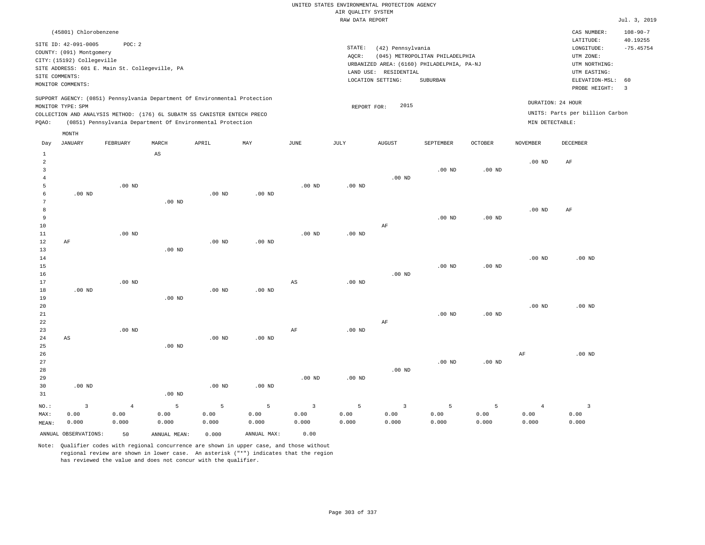#### RAW DATA REPORT **FOULD ASSESSED ASSESSED ASSESSED.** The set of the set of the set of the set of the set of the set of the set of the set of the set of the set of the set of the set of the set of the set of the set of the s UNITED STATES ENVIRONMENTAL PROTECTION AGENCY AIR QUALITY SYSTEM

| (45801) Chlorobenzene                                                                                                                                                                                                                              |                                                                                                                                                                                 | CAS NUMBER:                                                                                                 | $108 - 90 - 7$                |
|----------------------------------------------------------------------------------------------------------------------------------------------------------------------------------------------------------------------------------------------------|---------------------------------------------------------------------------------------------------------------------------------------------------------------------------------|-------------------------------------------------------------------------------------------------------------|-------------------------------|
| SITE ID: 42-091-0005<br>POC:2<br>COUNTY: (091) Montgomery<br>CITY: (15192) Collegeville<br>SITE ADDRESS: 601 E. Main St. Collegeville, PA<br>SITE COMMENTS:<br>MONITOR COMMENTS:                                                                   | STATE:<br>(42) Pennsylvania<br>(045) METROPOLITAN PHILADELPHIA<br>AOCR:<br>URBANIZED AREA: (6160) PHILADELPHIA, PA-NJ<br>LAND USE: RESIDENTIAL<br>LOCATION SETTING:<br>SUBURBAN | LATITUDE:<br>LONGITUDE:<br>UTM ZONE:<br>UTM NORTHING:<br>UTM EASTING:<br>ELEVATION-MSL: 60<br>PROBE HEIGHT: | 40.19255<br>$-75.45754$<br>-3 |
| SUPPORT AGENCY: (0851) Pennsylvania Department Of Environmental Protection<br>MONITOR TYPE: SPM<br>COLLECTION AND ANALYSIS METHOD: (176) 6L SUBATM SS CANISTER ENTECH PRECO<br>(0851) Pennsylvania Department Of Environmental Protection<br>POAO: | 2015<br>REPORT FOR:                                                                                                                                                             | DURATION: 24 HOUR<br>UNITS: Parts per billion Carbon<br>MIN DETECTABLE:                                     |                               |
| MONTH                                                                                                                                                                                                                                              |                                                                                                                                                                                 |                                                                                                             |                               |

| Day            | <b>JANUARY</b>       | FEBRUARY       | MARCH                  | APRIL             | MAY         | $_{\rm JUNE}$           | $\mathtt{JULY}$   | AUGUST                  | SEPTEMBER | OCTOBER           | NOVEMBER          | DECEMBER       |
|----------------|----------------------|----------------|------------------------|-------------------|-------------|-------------------------|-------------------|-------------------------|-----------|-------------------|-------------------|----------------|
| $\mathbf{1}$   |                      |                | $\mathbb{A}\mathbb{S}$ |                   |             |                         |                   |                         |           |                   |                   |                |
| $\overline{a}$ |                      |                |                        |                   |             |                         |                   |                         |           |                   | .00 <sub>ND</sub> | AF             |
| 3              |                      |                |                        |                   |             |                         |                   |                         | $.00$ ND  | .00 <sub>ND</sub> |                   |                |
| $\overline{4}$ |                      |                |                        |                   |             |                         |                   | $.00$ ND                |           |                   |                   |                |
| 5              |                      | $.00$ ND       |                        |                   |             | $.00$ ND                | .00 <sub>ND</sub> |                         |           |                   |                   |                |
| 6              | $.00$ ND             |                |                        | $.00$ ND          | $.00$ ND    |                         |                   |                         |           |                   |                   |                |
| 7              |                      |                | $.00$ ND               |                   |             |                         |                   |                         |           |                   |                   |                |
| 8              |                      |                |                        |                   |             |                         |                   |                         |           |                   | $.00$ ND          | AF             |
| 9              |                      |                |                        |                   |             |                         |                   |                         | $.00$ ND  | .00 <sub>ND</sub> |                   |                |
| 10             |                      |                |                        |                   |             |                         |                   | AF                      |           |                   |                   |                |
| $11\,$         |                      | $.00$ ND       |                        |                   |             | $.00$ ND                | $.00$ ND          |                         |           |                   |                   |                |
| 12             | $\rm AF$             |                |                        | $.00$ ND          | $.00$ ND    |                         |                   |                         |           |                   |                   |                |
| 13             |                      |                | $.00$ ND               |                   |             |                         |                   |                         |           |                   |                   |                |
| 14             |                      |                |                        |                   |             |                         |                   |                         |           |                   | $.00$ ND          | $.00$ ND       |
| 15             |                      |                |                        |                   |             |                         |                   |                         | $.00$ ND  | .00 <sub>ND</sub> |                   |                |
| 16             |                      |                |                        |                   |             |                         |                   | $.00$ ND                |           |                   |                   |                |
| 17             |                      | $.00$ ND       |                        |                   |             | AS                      | $.00$ ND          |                         |           |                   |                   |                |
| 18             | $.00$ ND             |                |                        | $.00$ ND          | $.00$ ND    |                         |                   |                         |           |                   |                   |                |
| 19             |                      |                | $.00$ ND               |                   |             |                         |                   |                         |           |                   |                   | $.00$ ND       |
| 20<br>21       |                      |                |                        |                   |             |                         |                   |                         | $.00$ ND  | $.00$ ND          | $.00$ ND          |                |
| 22             |                      |                |                        |                   |             |                         |                   | AF                      |           |                   |                   |                |
| 23             |                      | $.00$ ND       |                        |                   |             | $\rm AF$                | $.00$ ND          |                         |           |                   |                   |                |
| 24             | AS                   |                |                        | $.00$ ND          | $.00$ ND    |                         |                   |                         |           |                   |                   |                |
| 25             |                      |                | $.00$ ND               |                   |             |                         |                   |                         |           |                   |                   |                |
| 26             |                      |                |                        |                   |             |                         |                   |                         |           |                   | AF                | $.00$ ND       |
| 27             |                      |                |                        |                   |             |                         |                   |                         | $.00$ ND  | .00 <sub>ND</sub> |                   |                |
| 28             |                      |                |                        |                   |             |                         |                   | $.00$ ND                |           |                   |                   |                |
| 29             |                      |                |                        |                   |             | $.00$ ND                | $.00$ ND          |                         |           |                   |                   |                |
| 30             | $.00$ ND             |                |                        | .00 <sub>ND</sub> | $.00$ ND    |                         |                   |                         |           |                   |                   |                |
| 31             |                      |                | $.00$ ND               |                   |             |                         |                   |                         |           |                   |                   |                |
| $NO.$ :        | $\mathsf 3$          | $\overline{4}$ | $\mathsf S$            | 5                 | 5           | $\overline{\mathbf{3}}$ | 5                 | $\overline{\mathbf{3}}$ | 5         | 5                 | $\overline{4}$    | $\overline{3}$ |
| MAX:           | 0.00                 | 0.00           | 0.00                   | 0.00              | 0.00        | 0.00                    | 0.00              | 0.00                    | 0.00      | 0.00              | 0.00              | 0.00           |
| MEAN:          | 0.000                | 0.000          | 0.000                  | 0.000             | 0.000       | 0.000                   | 0.000             | 0.000                   | 0.000     | 0.000             | 0.000             | 0.000          |
|                | ANNUAL OBSERVATIONS: | 50             | ANNUAL MEAN:           | 0.000             | ANNUAL MAX: | 0.00                    |                   |                         |           |                   |                   |                |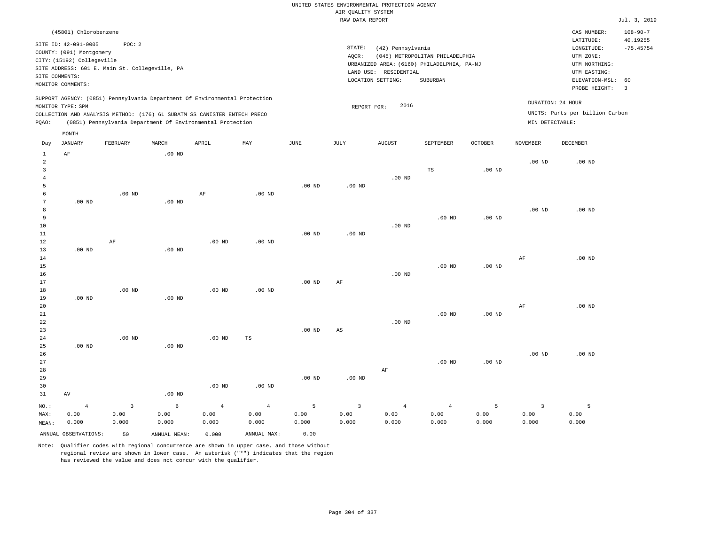|                | (45801) Chlorobenzene      |                                                                          |       |       |                                                                            |      |      |                                            |             |                                 |                |                 | CAS NUMBER:                     | $108 - 90 - 7$ |
|----------------|----------------------------|--------------------------------------------------------------------------|-------|-------|----------------------------------------------------------------------------|------|------|--------------------------------------------|-------------|---------------------------------|----------------|-----------------|---------------------------------|----------------|
|                | SITE ID: 42-091-0005       | POC:2                                                                    |       |       |                                                                            |      |      |                                            |             |                                 |                |                 | LATITUDE:                       | 40.19255       |
|                | COUNTY: (091) Montgomery   |                                                                          |       |       |                                                                            |      |      | STATE:<br>(42) Pennsylvania                |             |                                 |                |                 | LONGITUDE:                      | $-75.45754$    |
|                |                            |                                                                          |       |       |                                                                            |      |      | AOCR:                                      |             | (045) METROPOLITAN PHILADELPHIA |                |                 | UTM ZONE:                       |                |
|                | CITY: (15192) Collegeville |                                                                          |       |       |                                                                            |      |      | URBANIZED AREA: (6160) PHILADELPHIA, PA-NJ |             |                                 |                |                 | UTM NORTHING:                   |                |
|                |                            | SITE ADDRESS: 601 E. Main St. Collegeville, PA                           |       |       |                                                                            |      |      |                                            |             |                                 |                |                 |                                 |                |
| SITE COMMENTS: |                            |                                                                          |       |       |                                                                            |      |      | LAND USE:                                  | RESIDENTIAL |                                 |                |                 | UTM EASTING:                    |                |
|                | MONITOR COMMENTS:          |                                                                          |       |       |                                                                            |      |      | LOCATION SETTING:                          |             | SUBURBAN                        |                |                 | ELEVATION-MSL: 60               |                |
|                |                            |                                                                          |       |       |                                                                            |      |      |                                            |             |                                 |                |                 | PROBE HEIGHT:                   | $\mathbf{3}$   |
|                |                            |                                                                          |       |       | SUPPORT AGENCY: (0851) Pennsylvania Department Of Environmental Protection |      |      |                                            |             |                                 |                |                 |                                 |                |
|                | MONITOR TYPE: SPM          |                                                                          |       |       |                                                                            |      |      | REPORT FOR:                                | 2016        |                                 |                |                 | DURATION: 24 HOUR               |                |
|                |                            | COLLECTION AND ANALYSIS METHOD: (176) 6L SUBATM SS CANISTER ENTECH PRECO |       |       |                                                                            |      |      |                                            |             |                                 |                |                 | UNITS: Parts per billion Carbon |                |
| POAO:          |                            | (0851) Pennsylvania Department Of Environmental Protection               |       |       |                                                                            |      |      |                                            |             |                                 |                | MIN DETECTABLE: |                                 |                |
|                | MONTH                      |                                                                          |       |       |                                                                            |      |      |                                            |             |                                 |                |                 |                                 |                |
|                |                            |                                                                          |       |       |                                                                            |      |      |                                            |             |                                 |                |                 |                                 |                |
| Day            | JANUARY                    | FEBRUARY                                                                 | MARCH | APRIL | MAY                                                                        | JUNE | JULY | <b>AUGUST</b>                              |             | SEPTEMBER                       | <b>OCTOBER</b> | NOVEMBER        | DECEMBER                        |                |

| $1\,$           | $\rm AF$             |                         | .00 $ND$     |            |                |          |                         |                |          |                   |                |          |
|-----------------|----------------------|-------------------------|--------------|------------|----------------|----------|-------------------------|----------------|----------|-------------------|----------------|----------|
| $\overline{c}$  |                      |                         |              |            |                |          |                         |                |          |                   | $.00$ ND       | $.00$ ND |
| 3               |                      |                         |              |            |                |          |                         |                | TS       | .00 <sub>ND</sub> |                |          |
| $\overline{4}$  |                      |                         |              |            |                | $.00$ ND |                         | .00 $ND$       |          |                   |                |          |
| 5<br>6          |                      | $.00~\mathrm{ND}$       |              | $\rm AF$   |                |          | .00 $ND$                |                |          |                   |                |          |
| $7\phantom{.0}$ | .00 $ND$             |                         | $.00$ ND     |            | $.00$ ND       |          |                         |                |          |                   |                |          |
| 8               |                      |                         |              |            |                |          |                         |                |          |                   | $.00$ ND       | $.00$ ND |
| 9               |                      |                         |              |            |                |          |                         |                | $.00$ ND | $.00$ ND          |                |          |
| 10              |                      |                         |              |            |                |          |                         | $.00$ ND       |          |                   |                |          |
| $11\,$          |                      |                         |              |            |                | $.00$ ND | $.00$ ND                |                |          |                   |                |          |
| 12              |                      | $\rm AF$                |              | $.00$ ND   | $.00$ ND       |          |                         |                |          |                   |                |          |
| 13              | $.00$ ND             |                         | $.00$ ND     |            |                |          |                         |                |          |                   |                |          |
| $14\,$          |                      |                         |              |            |                |          |                         |                |          |                   | AF             | $.00$ ND |
| 15              |                      |                         |              |            |                |          |                         |                | $.00$ ND | $.00$ ND          |                |          |
| 16              |                      |                         |              |            |                |          |                         | $.00$ ND       |          |                   |                |          |
| $17\,$          |                      |                         |              |            |                | $.00$ ND | AF                      |                |          |                   |                |          |
| 18              |                      | $.00$ ND                |              | $.00$ ND   | $.00$ ND       |          |                         |                |          |                   |                |          |
| 19              | $.00$ ND             |                         | $.00$ ND     |            |                |          |                         |                |          |                   |                |          |
| 20              |                      |                         |              |            |                |          |                         |                |          |                   | $\rm{AF}$      | $.00$ ND |
| 21              |                      |                         |              |            |                |          |                         |                | $.00$ ND | $.00$ ND          |                |          |
| 22              |                      |                         |              |            |                |          |                         | $.00$ ND       |          |                   |                |          |
| 23              |                      |                         |              |            |                | $.00$ ND | $_{\rm AS}$             |                |          |                   |                |          |
| 24              |                      | $.00$ ND                |              | $.00$ ND   | $_{\rm TS}$    |          |                         |                |          |                   |                |          |
| 25              | $.00$ ND             |                         | .00 $ND$     |            |                |          |                         |                |          |                   |                |          |
| 26              |                      |                         |              |            |                |          |                         |                |          |                   | $.00$ ND       | $.00$ ND |
| 27              |                      |                         |              |            |                |          |                         |                | $.00$ ND | $.00$ ND          |                |          |
| 28              |                      |                         |              |            |                |          |                         | $\rm AF$       |          |                   |                |          |
| 29              |                      |                         |              |            |                | $.00$ ND | .00 $ND$                |                |          |                   |                |          |
| 30              |                      |                         |              | .00 $ND$   | $.00$ ND       |          |                         |                |          |                   |                |          |
| 31              | $\,\mathrm{AV}$      |                         | $.00$ ND     |            |                |          |                         |                |          |                   |                |          |
| $_{\rm NO.}$ :  | $\overline{4}$       | $\overline{\mathbf{3}}$ | $\epsilon$   | $\sqrt{4}$ | $\overline{4}$ | 5        | $\overline{\mathbf{3}}$ | $\overline{4}$ | $\,4$    | $\overline{5}$    | $\overline{3}$ | 5        |
| MAX:            | 0.00                 | 0.00                    | 0.00         | 0.00       | 0.00           | 0.00     | 0.00                    | 0.00           | 0.00     | 0.00              | 0.00           | 0.00     |
| MEAN:           | 0.000                | 0.000                   | 0.000        | 0.000      | 0.000          | 0.000    | 0.000                   | 0.000          | 0.000    | 0.000             | 0.000          | 0.000    |
|                 | ANNUAL OBSERVATIONS: | 50                      | ANNUAL MEAN: | 0.000      | ANNUAL MAX:    | 0.00     |                         |                |          |                   |                |          |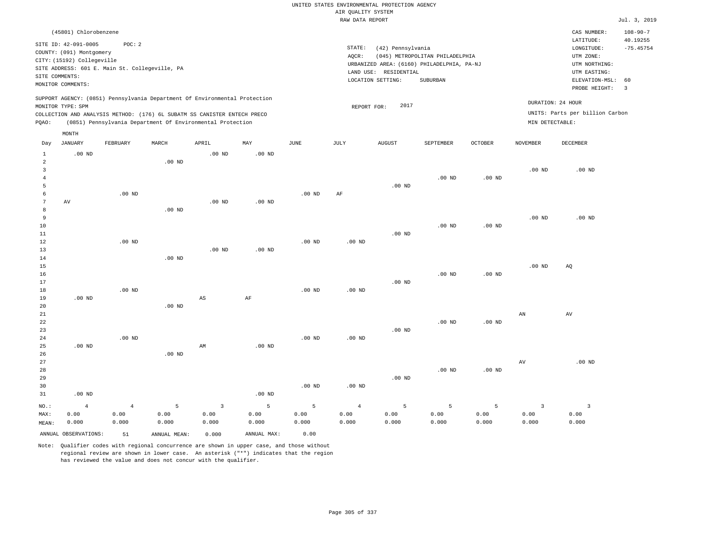|                                  |                            |                                                |                   |                                                                            |                   |                   | AIR QUALITY SYSTEM | UNITED STATES ENVIRONMENTAL PROTECTION AGENCY |                                            |                   |                 |                                 |                            |
|----------------------------------|----------------------------|------------------------------------------------|-------------------|----------------------------------------------------------------------------|-------------------|-------------------|--------------------|-----------------------------------------------|--------------------------------------------|-------------------|-----------------|---------------------------------|----------------------------|
|                                  |                            |                                                |                   |                                                                            |                   |                   | RAW DATA REPORT    |                                               |                                            |                   |                 |                                 | Jul. 3, 2019               |
|                                  | (45801) Chlorobenzene      |                                                |                   |                                                                            |                   |                   |                    |                                               |                                            |                   |                 | CAS NUMBER:<br>LATITUDE:        | $108 - 90 - 7$<br>40.19255 |
|                                  | SITE ID: 42-091-0005       | POC: 2                                         |                   |                                                                            |                   |                   | STATE:             | (42) Pennsylvania                             |                                            |                   |                 | LONGITUDE:                      | $-75.45754$                |
|                                  | COUNTY: (091) Montgomery   |                                                |                   |                                                                            |                   |                   | AOCR:              |                                               | (045) METROPOLITAN PHILADELPHIA            |                   |                 | UTM ZONE:                       |                            |
|                                  | CITY: (15192) Collegeville |                                                |                   |                                                                            |                   |                   |                    |                                               | URBANIZED AREA: (6160) PHILADELPHIA, PA-NJ |                   |                 | UTM NORTHING:                   |                            |
|                                  |                            | SITE ADDRESS: 601 E. Main St. Collegeville, PA |                   |                                                                            |                   |                   |                    | LAND USE: RESIDENTIAL                         |                                            |                   |                 | UTM EASTING:                    |                            |
|                                  | SITE COMMENTS:             |                                                |                   |                                                                            |                   |                   |                    | LOCATION SETTING:                             | SUBURBAN                                   |                   |                 | ELEVATION-MSL:                  | 60                         |
|                                  | MONITOR COMMENTS:          |                                                |                   |                                                                            |                   |                   |                    |                                               |                                            |                   |                 | PROBE HEIGHT:                   | $\overline{3}$             |
|                                  | MONITOR TYPE: SPM          |                                                |                   | SUPPORT AGENCY: (0851) Pennsylvania Department Of Environmental Protection |                   |                   |                    | 2017<br>REPORT FOR:                           |                                            |                   |                 | DURATION: 24 HOUR               |                            |
|                                  |                            |                                                |                   | COLLECTION AND ANALYSIS METHOD: (176) 6L SUBATM SS CANISTER ENTECH PRECO   |                   |                   |                    |                                               |                                            |                   |                 | UNITS: Parts per billion Carbon |                            |
| PQAO:                            |                            |                                                |                   | (0851) Pennsylvania Department Of Environmental Protection                 |                   |                   |                    |                                               |                                            |                   | MIN DETECTABLE: |                                 |                            |
|                                  | MONTH                      |                                                |                   |                                                                            |                   |                   |                    |                                               |                                            |                   |                 |                                 |                            |
| Day                              | <b>JANUARY</b>             | FEBRUARY                                       | MARCH             | APRIL                                                                      | MAY               | <b>JUNE</b>       | <b>JULY</b>        | <b>AUGUST</b>                                 | SEPTEMBER                                  | OCTOBER           | <b>NOVEMBER</b> | <b>DECEMBER</b>                 |                            |
| $1\,$                            | $.00$ ND                   |                                                |                   | .00 <sub>ND</sub>                                                          | .00 <sub>ND</sub> |                   |                    |                                               |                                            |                   |                 |                                 |                            |
| $\overline{a}$                   |                            |                                                | $.00$ ND          |                                                                            |                   |                   |                    |                                               |                                            |                   |                 |                                 |                            |
| $\overline{3}$<br>$\overline{4}$ |                            |                                                |                   |                                                                            |                   |                   |                    |                                               | .00 <sub>ND</sub>                          | $.00$ ND          | $.00$ ND        | $.00$ ND                        |                            |
| 5                                |                            |                                                |                   |                                                                            |                   |                   |                    | $.00$ ND                                      |                                            |                   |                 |                                 |                            |
| 6                                |                            | $.00$ ND                                       |                   |                                                                            |                   | $.00$ ND          | AF                 |                                               |                                            |                   |                 |                                 |                            |
| 7                                | $\operatorname{AV}$        |                                                |                   | .00 <sub>ND</sub>                                                          | $.00$ ND          |                   |                    |                                               |                                            |                   |                 |                                 |                            |
| 8                                |                            |                                                | .00 <sub>ND</sub> |                                                                            |                   |                   |                    |                                               |                                            |                   |                 |                                 |                            |
| 9                                |                            |                                                |                   |                                                                            |                   |                   |                    |                                               |                                            |                   | $.00$ ND        | $.00$ ND                        |                            |
| 10                               |                            |                                                |                   |                                                                            |                   |                   |                    |                                               | $.00$ ND                                   | $.00$ ND          |                 |                                 |                            |
| $1\,1$                           |                            |                                                |                   |                                                                            |                   |                   |                    | $.00$ ND                                      |                                            |                   |                 |                                 |                            |
| 12                               |                            | $.00$ ND                                       |                   |                                                                            |                   | $.00$ ND          | $.00$ ND           |                                               |                                            |                   |                 |                                 |                            |
| 13                               |                            |                                                |                   | $.00$ ND                                                                   | $.00$ ND          |                   |                    |                                               |                                            |                   |                 |                                 |                            |
| $1\,4$                           |                            |                                                | $.00$ ND          |                                                                            |                   |                   |                    |                                               |                                            |                   |                 |                                 |                            |
| 15                               |                            |                                                |                   |                                                                            |                   |                   |                    |                                               |                                            |                   | $.00$ ND        | AQ                              |                            |
| 16                               |                            |                                                |                   |                                                                            |                   |                   |                    |                                               | .00 <sub>ND</sub>                          | $.00$ ND          |                 |                                 |                            |
| $17$                             |                            |                                                |                   |                                                                            |                   |                   |                    | $.00$ ND                                      |                                            |                   |                 |                                 |                            |
| 18                               |                            | $.00$ ND                                       |                   |                                                                            |                   | $.00$ ND          | $.00$ ND           |                                               |                                            |                   |                 |                                 |                            |
| 19                               | $.00$ ND                   |                                                |                   | $\mathbb{A}\mathbb{S}$                                                     | $\rm{AF}$         |                   |                    |                                               |                                            |                   |                 |                                 |                            |
| 20                               |                            |                                                | .00 <sub>ND</sub> |                                                                            |                   |                   |                    |                                               |                                            |                   |                 |                                 |                            |
| 21                               |                            |                                                |                   |                                                                            |                   |                   |                    |                                               |                                            |                   | AN              | AV                              |                            |
| 22                               |                            |                                                |                   |                                                                            |                   |                   |                    |                                               | $.00$ ND                                   | .00 <sub>ND</sub> |                 |                                 |                            |
| 23                               |                            |                                                |                   |                                                                            |                   |                   |                    | $.00$ ND                                      |                                            |                   |                 |                                 |                            |
| 24<br>25                         | $.00$ ND                   | .00 <sub>ND</sub>                              |                   | AM                                                                         | $.00$ ND          | .00 <sub>ND</sub> | .00 <sub>ND</sub>  |                                               |                                            |                   |                 |                                 |                            |
| 26                               |                            |                                                | .00 <sub>ND</sub> |                                                                            |                   |                   |                    |                                               |                                            |                   |                 |                                 |                            |
| 27                               |                            |                                                |                   |                                                                            |                   |                   |                    |                                               |                                            |                   | AV              | $.00$ ND                        |                            |
| 28                               |                            |                                                |                   |                                                                            |                   |                   |                    |                                               | .00 <sub>ND</sub>                          | $.00$ ND          |                 |                                 |                            |
| 29                               |                            |                                                |                   |                                                                            |                   |                   |                    | $.00$ ND                                      |                                            |                   |                 |                                 |                            |
| 30                               |                            |                                                |                   |                                                                            |                   | $.00$ ND          | $.00$ ND           |                                               |                                            |                   |                 |                                 |                            |
| 31                               | $.00$ ND                   |                                                |                   |                                                                            | .00 <sub>ND</sub> |                   |                    |                                               |                                            |                   |                 |                                 |                            |
|                                  |                            |                                                |                   |                                                                            |                   |                   |                    |                                               |                                            |                   |                 |                                 |                            |
| $NO.$ :                          | $\overline{4}$             | $\sqrt{4}$                                     | $\overline{5}$    | $\overline{3}$                                                             | $\overline{5}$    | 5                 | $\overline{4}$     | $5\phantom{.0}$                               | 5                                          | 5                 | $\overline{3}$  | $\overline{\mathbf{3}}$         |                            |
| MAX:                             | 0.00                       | 0.00                                           | 0.00              | 0.00                                                                       | 0.00              | 0.00              | 0.00               | 0.00                                          | 0.00                                       | 0.00              | 0.00            | 0.00                            |                            |
| MEAN:                            | 0.000                      | 0.000                                          | 0.000             | 0.000                                                                      | 0.000             | 0.000             | 0.000              | 0.000                                         | 0.000                                      | 0.000             | 0.000           | 0.000                           |                            |
|                                  | ANNUAL OBSERVATIONS:       | 51                                             | ANNUAL MEAN:      | 0.000                                                                      | ANNUAL MAX:       | 0.00              |                    |                                               |                                            |                   |                 |                                 |                            |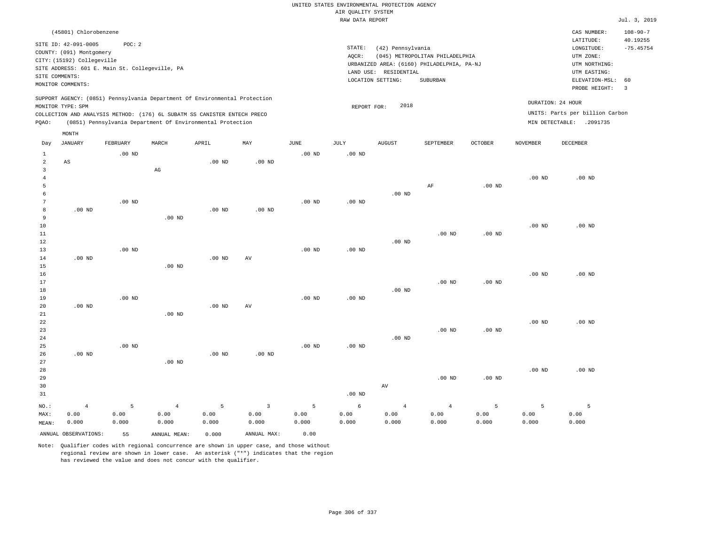| AIR QUALITY SYSTEM<br>RAW DATA REPORT<br>(45801) Chlorobenzene<br>CAS NUMBER:<br>$108 - 90 - 7$<br>LATITUDE:<br>40.19255<br>POC: 2<br>SITE ID: 42-091-0005<br>STATE:<br>(42) Pennsylvania<br>LONGITUDE:<br>COUNTY: (091) Montgomery<br>AQCR:<br>(045) METROPOLITAN PHILADELPHIA<br>UTM ZONE:<br>CITY: (15192) Collegeville<br>URBANIZED AREA: (6160) PHILADELPHIA, PA-NJ<br>UTM NORTHING:<br>SITE ADDRESS: 601 E. Main St. Collegeville, PA<br>LAND USE: RESIDENTIAL<br>UTM EASTING:<br>SITE COMMENTS:<br>LOCATION SETTING:<br>SUBURBAN<br>ELEVATION-MSL:<br>60<br>MONITOR COMMENTS:<br>$\overline{3}$<br>PROBE HEIGHT:<br>SUPPORT AGENCY: (0851) Pennsylvania Department Of Environmental Protection<br>DURATION: 24 HOUR<br>2018<br>MONITOR TYPE: SPM<br>REPORT FOR:<br>UNITS: Parts per billion Carbon<br>COLLECTION AND ANALYSIS METHOD: (176) 6L SUBATM SS CANISTER ENTECH PRECO<br>PQAO:<br>(0851) Pennsylvania Department Of Environmental Protection<br>MIN DETECTABLE: .2091735<br>MONTH<br><b>JANUARY</b><br>FEBRUARY<br>MARCH<br>APRIL<br>MAY<br>JUNE<br><b>JULY</b><br><b>AUGUST</b><br>SEPTEMBER<br><b>OCTOBER</b><br><b>NOVEMBER</b><br><b>DECEMBER</b><br>Day<br>$.00$ ND<br>.00 <sub>ND</sub><br>1<br>.00 <sub>ND</sub><br>$\overline{a}$<br>$_{\rm AS}$<br>$.00$ ND<br>$.00$ ND<br>$\overline{3}$<br>$\mathbb{A}\mathbb{G}$<br>$\overline{4}$<br>.00 <sub>ND</sub><br>$.00$ ND<br>5<br>$\rm AF$<br>$.00$ ND<br>6<br>$.00$ ND<br>7<br>$.00$ ND<br>$.00$ ND<br>$.00$ ND<br>8<br>$.00$ ND<br>$.00$ ND<br>$.00$ ND<br>$\mathsf{q}$<br>$.00$ ND<br>10<br>.00 <sub>ND</sub><br>$.00$ ND<br>11<br>$.00$ ND<br>$.00$ ND<br>$.00$ ND<br>12<br>$.00$ ND<br>13<br>$.00$ ND<br>$.00$ ND<br>$.00$ ND<br>$.00$ ND<br>$\operatorname{AV}$<br>14<br>$.00$ ND<br>15<br>$.00$ ND<br>16<br>$.00$ ND<br>17<br>$.00$ ND<br>$.00$ ND<br>18<br>.00 <sub>ND</sub><br>.00 <sub>ND</sub><br>$.00$ ND<br>.00 <sub>ND</sub><br>19<br>20<br>$.00$ ND<br>$.00$ ND<br>AV<br>21<br>$.00$ ND<br>22<br>$.00$ ND<br>$.00$ ND<br>23<br>$.00$ ND<br>.00 <sub>ND</sub><br>24<br>$.00$ ND<br>$.00$ ND<br>$.00$ ND<br>.00 <sub>ND</sub><br>25<br>26<br>$.00$ ND<br>$.00$ ND<br>$.00$ ND<br>27<br>.00 <sub>ND</sub><br>$.00$ ND<br>28<br>$.00$ ND<br>29<br>$.00$ ND<br>$.00$ ND<br>AV<br>30<br>31<br>$.00$ ND<br>$\sqrt{4}$<br>5<br>$\overline{4}$<br>5<br>$\overline{3}$<br>5<br>6<br>$\overline{4}$<br>5<br>5<br>5<br>NO.:<br>$\overline{4}$<br>0.00<br>0.00<br>0.00<br>0.00<br>0.00<br>0.00<br>0.00<br>0.00<br>0.00<br>0.00<br>0.00<br>0.00<br>MAX:<br>0.000<br>0.000<br>0.000<br>0.000<br>0.000<br>0.000<br>0.000<br>0.000<br>0.000<br>0.000<br>0.000<br>0.000<br>MEAN: |  |    |              |       |             |      | UNITED STATES ENVIRONMENTAL PROTECTION AGENCY |  |  |              |
|-----------------------------------------------------------------------------------------------------------------------------------------------------------------------------------------------------------------------------------------------------------------------------------------------------------------------------------------------------------------------------------------------------------------------------------------------------------------------------------------------------------------------------------------------------------------------------------------------------------------------------------------------------------------------------------------------------------------------------------------------------------------------------------------------------------------------------------------------------------------------------------------------------------------------------------------------------------------------------------------------------------------------------------------------------------------------------------------------------------------------------------------------------------------------------------------------------------------------------------------------------------------------------------------------------------------------------------------------------------------------------------------------------------------------------------------------------------------------------------------------------------------------------------------------------------------------------------------------------------------------------------------------------------------------------------------------------------------------------------------------------------------------------------------------------------------------------------------------------------------------------------------------------------------------------------------------------------------------------------------------------------------------------------------------------------------------------------------------------------------------------------------------------------------------------------------------------------------------------------------------------------------------------------------------------------------------------------------------------------------------------------------------------------------------------------------------------------------------------------------------------------------------------------------------------------------------------------------------------------------------------------------------------|--|----|--------------|-------|-------------|------|-----------------------------------------------|--|--|--------------|
|                                                                                                                                                                                                                                                                                                                                                                                                                                                                                                                                                                                                                                                                                                                                                                                                                                                                                                                                                                                                                                                                                                                                                                                                                                                                                                                                                                                                                                                                                                                                                                                                                                                                                                                                                                                                                                                                                                                                                                                                                                                                                                                                                                                                                                                                                                                                                                                                                                                                                                                                                                                                                                                     |  |    |              |       |             |      |                                               |  |  | Jul. 3, 2019 |
|                                                                                                                                                                                                                                                                                                                                                                                                                                                                                                                                                                                                                                                                                                                                                                                                                                                                                                                                                                                                                                                                                                                                                                                                                                                                                                                                                                                                                                                                                                                                                                                                                                                                                                                                                                                                                                                                                                                                                                                                                                                                                                                                                                                                                                                                                                                                                                                                                                                                                                                                                                                                                                                     |  |    |              |       |             |      |                                               |  |  |              |
|                                                                                                                                                                                                                                                                                                                                                                                                                                                                                                                                                                                                                                                                                                                                                                                                                                                                                                                                                                                                                                                                                                                                                                                                                                                                                                                                                                                                                                                                                                                                                                                                                                                                                                                                                                                                                                                                                                                                                                                                                                                                                                                                                                                                                                                                                                                                                                                                                                                                                                                                                                                                                                                     |  |    |              |       |             |      |                                               |  |  | $-75.45754$  |
|                                                                                                                                                                                                                                                                                                                                                                                                                                                                                                                                                                                                                                                                                                                                                                                                                                                                                                                                                                                                                                                                                                                                                                                                                                                                                                                                                                                                                                                                                                                                                                                                                                                                                                                                                                                                                                                                                                                                                                                                                                                                                                                                                                                                                                                                                                                                                                                                                                                                                                                                                                                                                                                     |  |    |              |       |             |      |                                               |  |  |              |
|                                                                                                                                                                                                                                                                                                                                                                                                                                                                                                                                                                                                                                                                                                                                                                                                                                                                                                                                                                                                                                                                                                                                                                                                                                                                                                                                                                                                                                                                                                                                                                                                                                                                                                                                                                                                                                                                                                                                                                                                                                                                                                                                                                                                                                                                                                                                                                                                                                                                                                                                                                                                                                                     |  |    |              |       |             |      |                                               |  |  |              |
|                                                                                                                                                                                                                                                                                                                                                                                                                                                                                                                                                                                                                                                                                                                                                                                                                                                                                                                                                                                                                                                                                                                                                                                                                                                                                                                                                                                                                                                                                                                                                                                                                                                                                                                                                                                                                                                                                                                                                                                                                                                                                                                                                                                                                                                                                                                                                                                                                                                                                                                                                                                                                                                     |  |    |              |       |             |      |                                               |  |  |              |
|                                                                                                                                                                                                                                                                                                                                                                                                                                                                                                                                                                                                                                                                                                                                                                                                                                                                                                                                                                                                                                                                                                                                                                                                                                                                                                                                                                                                                                                                                                                                                                                                                                                                                                                                                                                                                                                                                                                                                                                                                                                                                                                                                                                                                                                                                                                                                                                                                                                                                                                                                                                                                                                     |  |    |              |       |             |      |                                               |  |  |              |
|                                                                                                                                                                                                                                                                                                                                                                                                                                                                                                                                                                                                                                                                                                                                                                                                                                                                                                                                                                                                                                                                                                                                                                                                                                                                                                                                                                                                                                                                                                                                                                                                                                                                                                                                                                                                                                                                                                                                                                                                                                                                                                                                                                                                                                                                                                                                                                                                                                                                                                                                                                                                                                                     |  |    |              |       |             |      |                                               |  |  |              |
|                                                                                                                                                                                                                                                                                                                                                                                                                                                                                                                                                                                                                                                                                                                                                                                                                                                                                                                                                                                                                                                                                                                                                                                                                                                                                                                                                                                                                                                                                                                                                                                                                                                                                                                                                                                                                                                                                                                                                                                                                                                                                                                                                                                                                                                                                                                                                                                                                                                                                                                                                                                                                                                     |  |    |              |       |             |      |                                               |  |  |              |
|                                                                                                                                                                                                                                                                                                                                                                                                                                                                                                                                                                                                                                                                                                                                                                                                                                                                                                                                                                                                                                                                                                                                                                                                                                                                                                                                                                                                                                                                                                                                                                                                                                                                                                                                                                                                                                                                                                                                                                                                                                                                                                                                                                                                                                                                                                                                                                                                                                                                                                                                                                                                                                                     |  |    |              |       |             |      |                                               |  |  |              |
|                                                                                                                                                                                                                                                                                                                                                                                                                                                                                                                                                                                                                                                                                                                                                                                                                                                                                                                                                                                                                                                                                                                                                                                                                                                                                                                                                                                                                                                                                                                                                                                                                                                                                                                                                                                                                                                                                                                                                                                                                                                                                                                                                                                                                                                                                                                                                                                                                                                                                                                                                                                                                                                     |  |    |              |       |             |      |                                               |  |  |              |
|                                                                                                                                                                                                                                                                                                                                                                                                                                                                                                                                                                                                                                                                                                                                                                                                                                                                                                                                                                                                                                                                                                                                                                                                                                                                                                                                                                                                                                                                                                                                                                                                                                                                                                                                                                                                                                                                                                                                                                                                                                                                                                                                                                                                                                                                                                                                                                                                                                                                                                                                                                                                                                                     |  |    |              |       |             |      |                                               |  |  |              |
|                                                                                                                                                                                                                                                                                                                                                                                                                                                                                                                                                                                                                                                                                                                                                                                                                                                                                                                                                                                                                                                                                                                                                                                                                                                                                                                                                                                                                                                                                                                                                                                                                                                                                                                                                                                                                                                                                                                                                                                                                                                                                                                                                                                                                                                                                                                                                                                                                                                                                                                                                                                                                                                     |  |    |              |       |             |      |                                               |  |  |              |
|                                                                                                                                                                                                                                                                                                                                                                                                                                                                                                                                                                                                                                                                                                                                                                                                                                                                                                                                                                                                                                                                                                                                                                                                                                                                                                                                                                                                                                                                                                                                                                                                                                                                                                                                                                                                                                                                                                                                                                                                                                                                                                                                                                                                                                                                                                                                                                                                                                                                                                                                                                                                                                                     |  |    |              |       |             |      |                                               |  |  |              |
|                                                                                                                                                                                                                                                                                                                                                                                                                                                                                                                                                                                                                                                                                                                                                                                                                                                                                                                                                                                                                                                                                                                                                                                                                                                                                                                                                                                                                                                                                                                                                                                                                                                                                                                                                                                                                                                                                                                                                                                                                                                                                                                                                                                                                                                                                                                                                                                                                                                                                                                                                                                                                                                     |  |    |              |       |             |      |                                               |  |  |              |
|                                                                                                                                                                                                                                                                                                                                                                                                                                                                                                                                                                                                                                                                                                                                                                                                                                                                                                                                                                                                                                                                                                                                                                                                                                                                                                                                                                                                                                                                                                                                                                                                                                                                                                                                                                                                                                                                                                                                                                                                                                                                                                                                                                                                                                                                                                                                                                                                                                                                                                                                                                                                                                                     |  |    |              |       |             |      |                                               |  |  |              |
|                                                                                                                                                                                                                                                                                                                                                                                                                                                                                                                                                                                                                                                                                                                                                                                                                                                                                                                                                                                                                                                                                                                                                                                                                                                                                                                                                                                                                                                                                                                                                                                                                                                                                                                                                                                                                                                                                                                                                                                                                                                                                                                                                                                                                                                                                                                                                                                                                                                                                                                                                                                                                                                     |  |    |              |       |             |      |                                               |  |  |              |
| ANNUAL OBSERVATIONS:                                                                                                                                                                                                                                                                                                                                                                                                                                                                                                                                                                                                                                                                                                                                                                                                                                                                                                                                                                                                                                                                                                                                                                                                                                                                                                                                                                                                                                                                                                                                                                                                                                                                                                                                                                                                                                                                                                                                                                                                                                                                                                                                                                                                                                                                                                                                                                                                                                                                                                                                                                                                                                |  | 55 | ANNUAL MEAN: | 0.000 | ANNUAL MAX: | 0.00 |                                               |  |  |              |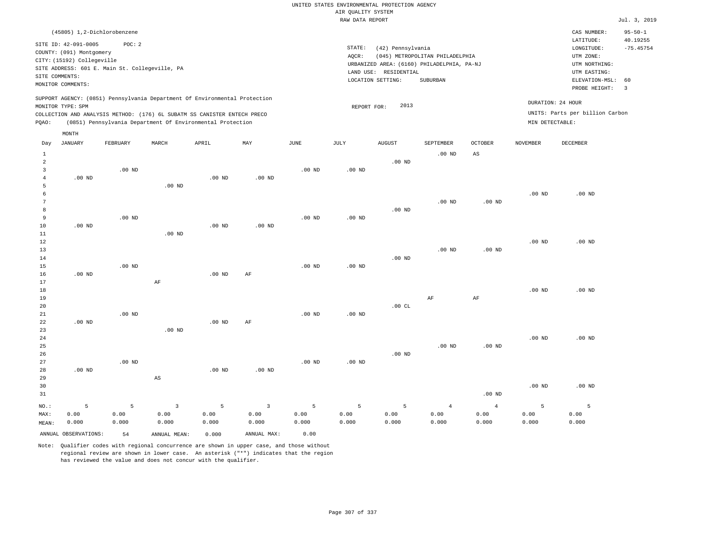## UNITED STATES ENVIRONMENTAL PROTECTION AGENCY AIR QUALITY SYSTEM

|                     |                             |                                                |          |                                                                            |                   |                   | RAW DATA REPORT   |                       |                                            |                        |                   |                                 | Jul. 3, 2019            |
|---------------------|-----------------------------|------------------------------------------------|----------|----------------------------------------------------------------------------|-------------------|-------------------|-------------------|-----------------------|--------------------------------------------|------------------------|-------------------|---------------------------------|-------------------------|
|                     | (45805) 1,2-Dichlorobenzene |                                                |          |                                                                            |                   |                   |                   |                       |                                            |                        |                   | CAS NUMBER:                     | $95 - 50 - 1$           |
|                     | SITE ID: 42-091-0005        | POC: 2                                         |          |                                                                            |                   |                   |                   |                       |                                            |                        |                   | LATITUDE:                       | 40.19255                |
|                     | COUNTY: (091) Montgomery    |                                                |          |                                                                            |                   |                   | STATE:            | (42) Pennsylvania     |                                            |                        |                   | LONGITUDE:                      | $-75.45754$             |
|                     | CITY: (15192) Collegeville  |                                                |          |                                                                            |                   |                   | AQCR:             |                       | (045) METROPOLITAN PHILADELPHIA            |                        |                   | UTM ZONE:                       |                         |
|                     |                             | SITE ADDRESS: 601 E. Main St. Collegeville, PA |          |                                                                            |                   |                   |                   |                       | URBANIZED AREA: (6160) PHILADELPHIA, PA-NJ |                        |                   | UTM NORTHING:                   |                         |
|                     | SITE COMMENTS:              |                                                |          |                                                                            |                   |                   |                   | LAND USE: RESIDENTIAL |                                            |                        |                   | UTM EASTING:                    |                         |
|                     | MONITOR COMMENTS:           |                                                |          |                                                                            |                   |                   |                   | LOCATION SETTING:     | SUBURBAN                                   |                        |                   | ELEVATION-MSL:                  | 60                      |
|                     |                             |                                                |          |                                                                            |                   |                   |                   |                       |                                            |                        |                   | PROBE HEIGHT:                   | $\overline{\mathbf{3}}$ |
|                     |                             |                                                |          | SUPPORT AGENCY: (0851) Pennsylvania Department Of Environmental Protection |                   |                   |                   |                       |                                            |                        |                   | DURATION: 24 HOUR               |                         |
|                     | MONITOR TYPE: SPM           |                                                |          |                                                                            |                   |                   | REPORT FOR:       | 2013                  |                                            |                        |                   | UNITS: Parts per billion Carbon |                         |
|                     |                             |                                                |          | COLLECTION AND ANALYSIS METHOD: (176) 6L SUBATM SS CANISTER ENTECH PRECO   |                   |                   |                   |                       |                                            |                        |                   |                                 |                         |
| POAO:               |                             |                                                |          | (0851) Pennsylvania Department Of Environmental Protection                 |                   |                   |                   |                       |                                            |                        | MIN DETECTABLE:   |                                 |                         |
|                     | MONTH                       |                                                |          |                                                                            |                   |                   |                   |                       |                                            |                        |                   |                                 |                         |
| Day                 | JANUARY                     | FEBRUARY                                       | MARCH    | APRIL                                                                      | MAY               | <b>JUNE</b>       | JULY              | AUGUST                | SEPTEMBER                                  | <b>OCTOBER</b>         | NOVEMBER          | DECEMBER                        |                         |
| $\mathbf{1}$        |                             |                                                |          |                                                                            |                   |                   |                   |                       | $.00$ ND                                   | $\mathbb{A}\mathbb{S}$ |                   |                                 |                         |
| $\overline{2}$      |                             |                                                |          |                                                                            |                   |                   |                   | $.00$ ND              |                                            |                        |                   |                                 |                         |
| $\overline{3}$      |                             | $.00$ ND                                       |          |                                                                            |                   | .00 <sub>ND</sub> | $.00$ ND          |                       |                                            |                        |                   |                                 |                         |
| $\overline{4}$<br>5 | $.00$ ND                    |                                                | $.00$ ND | $.00$ ND                                                                   | $.00$ ND          |                   |                   |                       |                                            |                        |                   |                                 |                         |
| 6                   |                             |                                                |          |                                                                            |                   |                   |                   |                       |                                            |                        | .00 <sub>ND</sub> | $.00$ ND                        |                         |
| $7\phantom{.0}$     |                             |                                                |          |                                                                            |                   |                   |                   |                       | $.00$ ND                                   | .00 <sub>ND</sub>      |                   |                                 |                         |
| 8                   |                             |                                                |          |                                                                            |                   |                   |                   | $.00$ ND              |                                            |                        |                   |                                 |                         |
| $\overline{9}$      |                             | $.00$ ND                                       |          |                                                                            |                   | .00 <sub>ND</sub> | .00 <sub>ND</sub> |                       |                                            |                        |                   |                                 |                         |
| 10                  | .00 <sub>ND</sub>           |                                                |          | $.00$ ND                                                                   | .00 <sub>ND</sub> |                   |                   |                       |                                            |                        |                   |                                 |                         |
| 11                  |                             |                                                | $.00$ ND |                                                                            |                   |                   |                   |                       |                                            |                        |                   |                                 |                         |
| 12                  |                             |                                                |          |                                                                            |                   |                   |                   |                       |                                            |                        | .00 <sub>ND</sub> | $.00$ ND                        |                         |
| 13                  |                             |                                                |          |                                                                            |                   |                   |                   |                       | .00 <sub>ND</sub>                          | .00 <sub>ND</sub>      |                   |                                 |                         |
| 14                  |                             |                                                |          |                                                                            |                   |                   |                   | $.00$ ND              |                                            |                        |                   |                                 |                         |
| 15                  |                             | .00 <sub>ND</sub>                              |          |                                                                            |                   | .00 <sub>ND</sub> | .00 <sub>ND</sub> |                       |                                            |                        |                   |                                 |                         |
| 16                  | $.00$ ND                    |                                                |          | $.00$ ND                                                                   | AF                |                   |                   |                       |                                            |                        |                   |                                 |                         |
| 17                  |                             |                                                | AF       |                                                                            |                   |                   |                   |                       |                                            |                        |                   |                                 |                         |
| 18                  |                             |                                                |          |                                                                            |                   |                   |                   |                       |                                            |                        | .00 <sub>ND</sub> | $.00$ ND                        |                         |
| 19                  |                             |                                                |          |                                                                            |                   |                   |                   |                       | AF                                         | AF                     |                   |                                 |                         |
| 20                  |                             |                                                |          |                                                                            |                   |                   |                   | .00CL                 |                                            |                        |                   |                                 |                         |
| 21                  |                             | .00 <sub>ND</sub>                              |          |                                                                            |                   | .00 <sub>ND</sub> | .00 <sub>ND</sub> |                       |                                            |                        |                   |                                 |                         |
| 22                  | $.00$ ND                    |                                                |          | $.00$ ND                                                                   | AF                |                   |                   |                       |                                            |                        |                   |                                 |                         |
| 23                  |                             |                                                | $.00$ ND |                                                                            |                   |                   |                   |                       |                                            |                        |                   |                                 |                         |
| 24<br>25            |                             |                                                |          |                                                                            |                   |                   |                   |                       | $.00$ ND                                   | .00 <sub>ND</sub>      | .00 <sub>ND</sub> | $.00$ ND                        |                         |
| 26                  |                             |                                                |          |                                                                            |                   |                   |                   | $.00$ ND              |                                            |                        |                   |                                 |                         |
| 27                  |                             | $.00$ ND                                       |          |                                                                            |                   | .00 <sub>ND</sub> | .00 <sub>ND</sub> |                       |                                            |                        |                   |                                 |                         |
| 28                  | $.00$ ND                    |                                                |          | $.00$ ND                                                                   | $.00$ ND          |                   |                   |                       |                                            |                        |                   |                                 |                         |
| 29                  |                             |                                                | AS       |                                                                            |                   |                   |                   |                       |                                            |                        |                   |                                 |                         |
| 30                  |                             |                                                |          |                                                                            |                   |                   |                   |                       |                                            |                        | $.00$ ND          | $.00$ ND                        |                         |
|                     |                             |                                                |          |                                                                            |                   |                   |                   |                       |                                            |                        |                   |                                 |                         |

| 31    |                      |       |              |       |             |       |       |       |       | $.00$ ND |       |       |
|-------|----------------------|-------|--------------|-------|-------------|-------|-------|-------|-------|----------|-------|-------|
| NO.:  |                      |       |              | $5 -$ |             | 5.    |       |       | 4     |          |       |       |
| MAX:  | 0.00                 | 0.00  | 0.00         | 0.00  | 0.00        | 0.00  | 0.00  | 0.00  | 0.00  | 0.00     | 0.00  | 0.00  |
| MEAN: | 0.000                | 0.000 | 0.000        | 0.000 | 0.000       | 0.000 | 0.000 | 0.000 | 0.000 | 0.000    | 0.000 | 0.000 |
|       | ANNUAL OBSERVATIONS: | 54    | ANNUAL MEAN: | 0.000 | ANNUAL MAX: | 0.00  |       |       |       |          |       |       |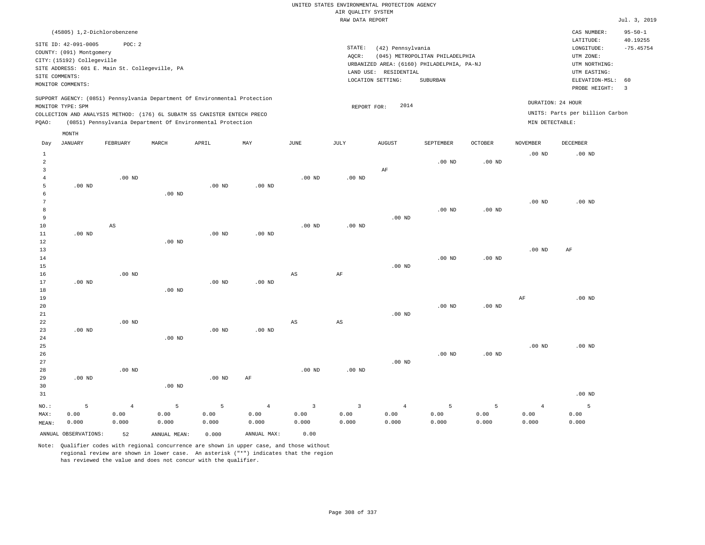| (45805) 1,2-Dichlorobenzene                                                                                                                                                                                                                                 |                                                                                                                                                                                 | CAS NUMBER:                                                                                                 | $95 - 50 - 1$                                      |
|-------------------------------------------------------------------------------------------------------------------------------------------------------------------------------------------------------------------------------------------------------------|---------------------------------------------------------------------------------------------------------------------------------------------------------------------------------|-------------------------------------------------------------------------------------------------------------|----------------------------------------------------|
| SITE ID: 42-091-0005<br>POC:2<br>COUNTY: (091) Montgomery<br>CITY: (15192) Collegeville<br>SITE ADDRESS: 601 E. Main St. Collegeville, PA<br>SITE COMMENTS:<br>MONITOR COMMENTS:                                                                            | STATE:<br>(42) Pennsylvania<br>AQCR:<br>(045) METROPOLITAN PHILADELPHIA<br>URBANIZED AREA: (6160) PHILADELPHIA, PA-NJ<br>LAND USE: RESIDENTIAL<br>LOCATION SETTING:<br>SUBURBAN | LATITUDE:<br>LONGITUDE:<br>UTM ZONE:<br>UTM NORTHING:<br>UTM EASTING:<br>ELEVATION-MSL: 60<br>PROBE HEIGHT: | 40.19255<br>$-75.45754$<br>$\overline{\mathbf{3}}$ |
| SUPPORT AGENCY: (0851) Pennsylvania Department Of Environmental Protection<br>MONITOR TYPE: SPM<br>COLLECTION AND ANALYSIS METHOD: (176) 6L SUBATM SS CANISTER ENTECH PRECO<br>(0851) Pennsylvania Department Of Environmental Protection<br>POAO:<br>MONTH | DURATION: 24 HOUR<br>2014<br>REPORT FOR:<br>MIN DETECTABLE:                                                                                                                     | UNITS: Parts per billion Carbon                                                                             |                                                    |

| Day            | JANUARY              | FEBRUARY               | MARCH          | APRIL    | MAY               | JUNE                    | JULY                   | AUGUST         | SEPTEMBER         | OCTOBER  | NOVEMBER       | DECEMBER          |
|----------------|----------------------|------------------------|----------------|----------|-------------------|-------------------------|------------------------|----------------|-------------------|----------|----------------|-------------------|
| $\mathbf{1}$   |                      |                        |                |          |                   |                         |                        |                |                   |          | $.00$ ND       | $.00$ ND          |
| $\overline{a}$ |                      |                        |                |          |                   |                         |                        |                | .00 <sub>ND</sub> | $.00$ ND |                |                   |
| 3              |                      |                        |                |          |                   |                         |                        | $\rm AF$       |                   |          |                |                   |
| $\overline{4}$ |                      | $.00$ ND               |                |          |                   | $.00$ ND                | .00 $ND$               |                |                   |          |                |                   |
| 5              | $.00$ ND             |                        |                | $.00$ ND | $.00$ ND          |                         |                        |                |                   |          |                |                   |
| 6              |                      |                        | $.00$ ND       |          |                   |                         |                        |                |                   |          |                |                   |
| 7              |                      |                        |                |          |                   |                         |                        |                |                   |          | $.00$ ND       | $.00$ ND          |
| 8              |                      |                        |                |          |                   |                         |                        |                | $.00$ ND          | $.00$ ND |                |                   |
| 9              |                      |                        |                |          |                   |                         |                        | $.00$ ND       |                   |          |                |                   |
| 10             |                      | $\mathbb{A}\mathbb{S}$ |                |          |                   | $.00$ ND                | $.00$ ND               |                |                   |          |                |                   |
| 11             | $.00$ ND             |                        |                | $.00$ ND | $.00$ ND          |                         |                        |                |                   |          |                |                   |
| 12             |                      |                        | $.00$ ND       |          |                   |                         |                        |                |                   |          |                |                   |
| 13             |                      |                        |                |          |                   |                         |                        |                |                   |          | $.00$ ND       | AF                |
| 14             |                      |                        |                |          |                   |                         |                        |                | $.00$ ND          | $.00$ ND |                |                   |
| 15             |                      |                        |                |          |                   |                         |                        | $.00$ ND       |                   |          |                |                   |
| 16             |                      | $.00$ ND               |                |          |                   | $_{\rm AS}$             | $\rm{AF}$              |                |                   |          |                |                   |
| 17             | $.00$ ND             |                        |                | $.00$ ND | .00 <sub>ND</sub> |                         |                        |                |                   |          |                |                   |
| 18             |                      |                        | $.00$ ND       |          |                   |                         |                        |                |                   |          |                |                   |
| 19             |                      |                        |                |          |                   |                         |                        |                |                   |          | $\rm{AF}$      | $.00$ ND          |
| 20             |                      |                        |                |          |                   |                         |                        |                | $.00$ ND          | $.00$ ND |                |                   |
| 21             |                      |                        |                |          |                   |                         |                        | $.00$ ND       |                   |          |                |                   |
| 22             | $.00$ ND             | $.00$ ND               |                | $.00$ ND | $.00$ ND          | $_{\rm AS}$             | $\mathbb{A}\mathbb{S}$ |                |                   |          |                |                   |
| 23<br>24       |                      |                        | $.00$ ND       |          |                   |                         |                        |                |                   |          |                |                   |
| 25             |                      |                        |                |          |                   |                         |                        |                |                   |          | $.00$ ND       | .00 <sub>ND</sub> |
| 26             |                      |                        |                |          |                   |                         |                        |                | $.00$ ND          | .00 $ND$ |                |                   |
| 27             |                      |                        |                |          |                   |                         |                        | $.00$ ND       |                   |          |                |                   |
| 28             |                      | $.00$ ND               |                |          |                   | $.00$ ND                | $.00$ ND               |                |                   |          |                |                   |
| 29             | $.00$ ND             |                        |                | $.00$ ND | $\rm{AF}$         |                         |                        |                |                   |          |                |                   |
| 30             |                      |                        | $.00$ ND       |          |                   |                         |                        |                |                   |          |                |                   |
| 31             |                      |                        |                |          |                   |                         |                        |                |                   |          |                | $.00$ ND          |
|                |                      |                        |                |          |                   |                         |                        |                |                   |          |                |                   |
| $_{\rm NO.}$ : | 5                    | $\overline{4}$         | $\overline{5}$ | 5        | $\overline{4}$    | $\overline{\mathbf{3}}$ | $\mathbf{3}$           | $\overline{4}$ | 5                 | 5        | $\overline{4}$ | 5                 |
| MAX:           | 0.00                 | 0.00                   | 0.00           | 0.00     | 0.00              | 0.00                    | 0.00                   | 0.00           | 0.00              | 0.00     | 0.00           | 0.00              |
| MEAN:          | 0.000                | 0.000                  | 0.000          | 0.000    | 0.000             | 0.000                   | 0.000                  | 0.000          | 0.000             | 0.000    | 0.000          | 0.000             |
|                | ANNUAL OBSERVATIONS: | 52                     | ANNUAL MEAN:   | 0.000    | ANNUAL MAX:       | 0.00                    |                        |                |                   |          |                |                   |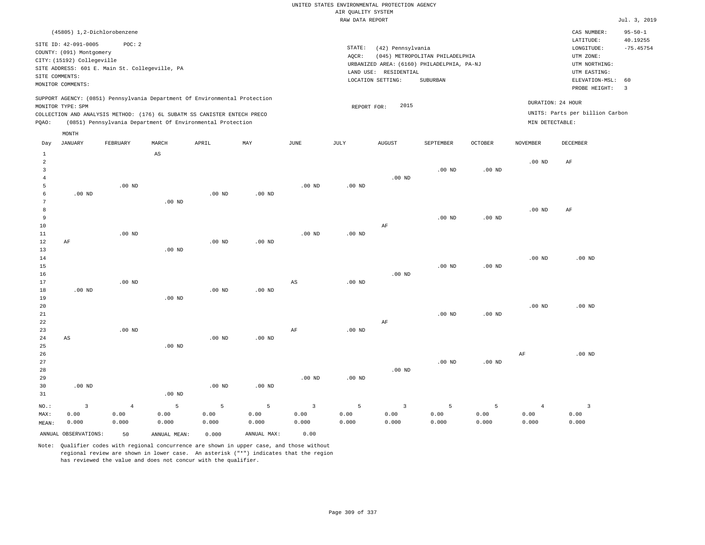| (45805) 1,2-Dichlorobenzene                                                                                                                                                                                                                        |                                                                                                                                                                                 | CAS NUMBER:                                                                                                 | $95 - 50 - 1$           |
|----------------------------------------------------------------------------------------------------------------------------------------------------------------------------------------------------------------------------------------------------|---------------------------------------------------------------------------------------------------------------------------------------------------------------------------------|-------------------------------------------------------------------------------------------------------------|-------------------------|
| SITE ID: 42-091-0005<br>POC: 2<br>COUNTY: (091) Montgomery<br>CITY: (15192) Collegeville<br>SITE ADDRESS: 601 E. Main St. Collegeville, PA<br>SITE COMMENTS:<br>MONITOR COMMENTS:                                                                  | STATE:<br>(42) Pennsylvania<br>(045) METROPOLITAN PHILADELPHIA<br>AOCR:<br>URBANIZED AREA: (6160) PHILADELPHIA, PA-NJ<br>LAND USE: RESIDENTIAL<br>LOCATION SETTING:<br>SUBURBAN | LATITUDE:<br>LONGITUDE:<br>UTM ZONE:<br>UTM NORTHING:<br>UTM EASTING:<br>ELEVATION-MSL: 60<br>PROBE HEIGHT: | 40.19255<br>$-75.45754$ |
| SUPPORT AGENCY: (0851) Pennsylvania Department Of Environmental Protection<br>MONITOR TYPE: SPM<br>COLLECTION AND ANALYSIS METHOD: (176) 6L SUBATM SS CANISTER ENTECH PRECO<br>(0851) Pennsylvania Department Of Environmental Protection<br>POAO: | 2015<br>REPORT FOR:                                                                                                                                                             | DURATION: 24 HOUR<br>UNITS: Parts per billion Carbon<br>MIN DETECTABLE:                                     |                         |
| MONTH                                                                                                                                                                                                                                              |                                                                                                                                                                                 |                                                                                                             |                         |

| Day            | JANUARY                 | FEBRUARY   | MARCH                  | APRIL             | $\ensuremath{\text{MAX}}$ | JUNE           | $_{\rm JULY}$ | AUGUST         | SEPTEMBER | OCTOBER  | NOVEMBER          | DECEMBER                |
|----------------|-------------------------|------------|------------------------|-------------------|---------------------------|----------------|---------------|----------------|-----------|----------|-------------------|-------------------------|
| $\mathbf{1}$   |                         |            | $\mathbb{A}\mathbb{S}$ |                   |                           |                |               |                |           |          |                   |                         |
| $\,2$          |                         |            |                        |                   |                           |                |               |                |           |          | $.00$ ND          | $\rm{AF}$               |
| 3              |                         |            |                        |                   |                           |                |               |                | $.00$ ND  | $.00$ ND |                   |                         |
| $\overline{4}$ |                         |            |                        |                   |                           |                |               | $.00$ ND       |           |          |                   |                         |
| 5              |                         | $.00$ ND   |                        |                   |                           | $.00$ ND       | $.00$ ND      |                |           |          |                   |                         |
| 6              | $.00$ ND                |            |                        | .00 <sub>ND</sub> | $.00$ ND                  |                |               |                |           |          |                   |                         |
| 7              |                         |            | $.00$ ND               |                   |                           |                |               |                |           |          |                   |                         |
| 8              |                         |            |                        |                   |                           |                |               |                |           |          | .00 <sub>ND</sub> | AF                      |
| 9              |                         |            |                        |                   |                           |                |               |                | $.00$ ND  | $.00$ ND |                   |                         |
| $10$           |                         |            |                        |                   |                           |                |               | $\rm AF$       |           |          |                   |                         |
| 11             |                         | $.00$ ND   |                        |                   |                           | $.00$ ND       | .00 $ND$      |                |           |          |                   |                         |
| 12             | $\rm AF$                |            |                        | $.00$ ND          | $.00$ ND                  |                |               |                |           |          |                   |                         |
| 13             |                         |            | .00 <sub>ND</sub>      |                   |                           |                |               |                |           |          |                   |                         |
| 14             |                         |            |                        |                   |                           |                |               |                |           |          | $.00$ ND          | $.00$ ND                |
| 15             |                         |            |                        |                   |                           |                |               |                | $.00$ ND  | $.00$ ND |                   |                         |
| 16             |                         |            |                        |                   |                           |                |               | $.00$ ND       |           |          |                   |                         |
| 17             |                         | $.00$ ND   |                        |                   |                           | AS             | $.00$ ND      |                |           |          |                   |                         |
| 18             | $.00$ ND                |            |                        | .00 <sub>ND</sub> | $.00$ ND                  |                |               |                |           |          |                   |                         |
| 19             |                         |            | $.00$ ND               |                   |                           |                |               |                |           |          |                   |                         |
| 20             |                         |            |                        |                   |                           |                |               |                |           |          | $.00$ ND          | $.00$ ND                |
| 21             |                         |            |                        |                   |                           |                |               |                | $.00$ ND  | $.00$ ND |                   |                         |
| 22             |                         |            |                        |                   |                           |                |               | $\rm{AF}$      |           |          |                   |                         |
| 23             |                         | $.00$ ND   |                        |                   |                           | $\rm AF$       | $.00$ ND      |                |           |          |                   |                         |
| $2\,4$         | AS                      |            |                        | .00 <sub>ND</sub> | $.00$ ND                  |                |               |                |           |          |                   |                         |
| $_{\rm 25}$    |                         |            | $.00$ ND               |                   |                           |                |               |                |           |          |                   |                         |
| $26\,$         |                         |            |                        |                   |                           |                |               |                |           |          | $\rm AF$          | $.00$ ND                |
| 27             |                         |            |                        |                   |                           |                |               |                | $.00$ ND  | .00 $ND$ |                   |                         |
| 28             |                         |            |                        |                   |                           |                |               | $.00$ ND       |           |          |                   |                         |
| 29             |                         |            |                        |                   |                           | $.00$ ND       | $.00$ ND      |                |           |          |                   |                         |
| 30             | $.00$ ND                |            |                        | .00 $ND$          | .00 <sub>ND</sub>         |                |               |                |           |          |                   |                         |
| 31             |                         |            | $.00$ ND               |                   |                           |                |               |                |           |          |                   |                         |
| $_{\rm NO.}$ : | $\overline{\mathbf{3}}$ | $\sqrt{4}$ | 5                      | $\mathsf S$       | $\overline{5}$            | $\overline{3}$ | 5             | $\overline{3}$ | 5         | 5        | $\overline{4}$    | $\overline{\mathbf{3}}$ |
| MAX:           | 0.00                    | 0.00       | 0.00                   | 0.00              | 0.00                      | 0.00           | 0.00          | 0.00           | 0.00      | 0.00     | 0.00              | 0.00                    |
| MEAN:          | 0.000                   | 0.000      | 0.000                  | 0.000             | 0.000                     | 0.000          | 0.000         | 0.000          | 0.000     | 0.000    | 0.000             | 0.000                   |
|                | ANNUAL OBSERVATIONS:    | 50         | ANNUAL MEAN:           | 0.000             | ANNUAL MAX:               | 0.00           |               |                |           |          |                   |                         |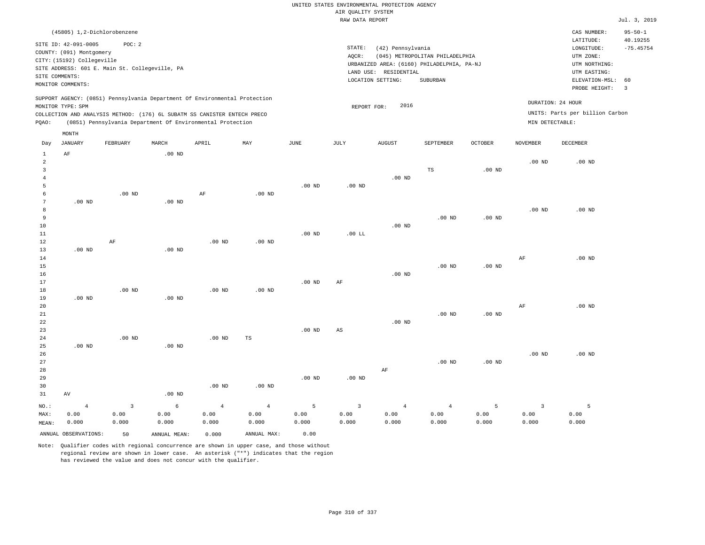| (45805) 1,2-Dichlorobenzene                                                                                                                                                                                                                                 |                                                                                                                                                                                 | CAS NUMBER:<br>$95 - 50 - 1$                                                                                                           |
|-------------------------------------------------------------------------------------------------------------------------------------------------------------------------------------------------------------------------------------------------------------|---------------------------------------------------------------------------------------------------------------------------------------------------------------------------------|----------------------------------------------------------------------------------------------------------------------------------------|
| SITE ID: 42-091-0005<br>POC:2<br>COUNTY: (091) Montgomery<br>CITY: (15192) Collegeville<br>SITE ADDRESS: 601 E. Main St. Collegeville, PA<br>SITE COMMENTS:<br>MONITOR COMMENTS:                                                                            | STATE:<br>(42) Pennsylvania<br>(045) METROPOLITAN PHILADELPHIA<br>AOCR:<br>URBANIZED AREA: (6160) PHILADELPHIA, PA-NJ<br>LAND USE: RESIDENTIAL<br>LOCATION SETTING:<br>SUBURBAN | 40.19255<br>LATITUDE:<br>$-75.45754$<br>LONGITUDE:<br>UTM ZONE:<br>UTM NORTHING:<br>UTM EASTING:<br>ELEVATION-MSL: 60<br>PROBE HEIGHT: |
| SUPPORT AGENCY: (0851) Pennsylvania Department Of Environmental Protection<br>MONITOR TYPE: SPM<br>COLLECTION AND ANALYSIS METHOD: (176) 6L SUBATM SS CANISTER ENTECH PRECO<br>(0851) Pennsylvania Department Of Environmental Protection<br>POAO:<br>MONTH | 2016<br>REPORT FOR:                                                                                                                                                             | DURATION: 24 HOUR<br>UNITS: Parts per billion Carbon<br>MIN DETECTABLE:                                                                |

| Day            | JANUARY              | FEBRUARY                | MARCH        | APRIL          | MAY            | JUNE     | JULY                   | AUGUST         | SEPTEMBER         | OCTOBER  | NOVEMBER                | DECEMBER |
|----------------|----------------------|-------------------------|--------------|----------------|----------------|----------|------------------------|----------------|-------------------|----------|-------------------------|----------|
| $\mathbf{1}$   | $\rm AF$             |                         | $.00$ ND     |                |                |          |                        |                |                   |          |                         |          |
| $\overline{c}$ |                      |                         |              |                |                |          |                        |                |                   |          | $.00$ ND                | $.00$ ND |
| 3              |                      |                         |              |                |                |          |                        |                | TS                | $.00$ ND |                         |          |
| $\overline{4}$ |                      |                         |              |                |                |          |                        | $.00$ ND       |                   |          |                         |          |
| 5              |                      |                         |              |                |                | $.00$ ND | $.00$ ND               |                |                   |          |                         |          |
| 6              |                      | $.00$ ND                |              | $\rm{AF}$      | $.00$ ND       |          |                        |                |                   |          |                         |          |
| 7              | $.00$ ND             |                         | $.00$ ND     |                |                |          |                        |                |                   |          |                         |          |
| 8              |                      |                         |              |                |                |          |                        |                |                   |          | $.00$ ND                | $.00$ ND |
| 9              |                      |                         |              |                |                |          |                        |                | .00 <sub>ND</sub> | $.00$ ND |                         |          |
| 10             |                      |                         |              |                |                |          |                        | $.00$ ND       |                   |          |                         |          |
| $11\,$         |                      |                         |              |                |                | $.00$ ND | $.00$ LL               |                |                   |          |                         |          |
| 12             |                      | $\rm AF$                |              | $.00$ ND       | $.00$ ND       |          |                        |                |                   |          |                         |          |
| 13             | $.00$ ND             |                         | $.00$ ND     |                |                |          |                        |                |                   |          |                         |          |
| 14             |                      |                         |              |                |                |          |                        |                |                   |          | $\rm{AF}$               | $.00$ ND |
| 15             |                      |                         |              |                |                |          |                        |                | .00 <sub>ND</sub> | $.00$ ND |                         |          |
| $16$           |                      |                         |              |                |                |          |                        | $.00$ ND       |                   |          |                         |          |
| 17             |                      |                         |              |                |                | $.00$ ND | AF                     |                |                   |          |                         |          |
| 18             |                      | $.00$ ND                |              | $.00$ ND       | $.00$ ND       |          |                        |                |                   |          |                         |          |
| 19             | $.00$ ND             |                         | $.00$ ND     |                |                |          |                        |                |                   |          |                         |          |
| 20             |                      |                         |              |                |                |          |                        |                |                   |          | $\rm{AF}$               | $.00$ ND |
| $21\,$         |                      |                         |              |                |                |          |                        |                | .00 <sub>ND</sub> | $.00$ ND |                         |          |
| 22             |                      |                         |              |                |                |          |                        | $.00$ ND       |                   |          |                         |          |
| 23             |                      |                         |              |                |                | $.00$ ND | $\mathbb{A}\mathbb{S}$ |                |                   |          |                         |          |
| $2\sqrt{4}$    |                      | $.00$ ND                |              | .00 $ND$       | $_{\rm TS}$    |          |                        |                |                   |          |                         |          |
| 25             | $.00$ ND             |                         | $.00$ ND     |                |                |          |                        |                |                   |          |                         |          |
| 26             |                      |                         |              |                |                |          |                        |                |                   |          | .00 <sub>ND</sub>       | $.00$ ND |
| 27             |                      |                         |              |                |                |          |                        |                | .00 <sub>ND</sub> | $.00$ ND |                         |          |
| 28             |                      |                         |              |                |                |          |                        | $\rm AF$       |                   |          |                         |          |
| 29             |                      |                         |              |                |                | $.00$ ND | $.00$ ND               |                |                   |          |                         |          |
| 30             |                      |                         |              | .00 $ND$       | .00 $ND$       |          |                        |                |                   |          |                         |          |
| 31             | AV                   |                         | $.00$ ND     |                |                |          |                        |                |                   |          |                         |          |
| $_{\rm NO.}$ : | $\overline{4}$       | $\overline{\mathbf{3}}$ | $\epsilon$   | $\overline{4}$ | $\overline{4}$ | 5        | $\overline{3}$         | $\overline{4}$ | $\overline{4}$    | 5        | $\overline{\mathbf{3}}$ | 5        |
| MAX:           | 0.00                 | 0.00                    | 0.00         | 0.00           | 0.00           | 0.00     | 0.00                   | 0.00           | 0.00              | 0.00     | 0.00                    | 0.00     |
| MEAN:          | 0.000                | 0.000                   | 0.000        | 0.000          | 0.000          | 0.000    | 0.000                  | 0.000          | 0.000             | 0.000    | 0.000                   | 0.000    |
|                | ANNUAL OBSERVATIONS: | 50                      | ANNUAL MEAN: | 0.000          | ANNUAL MAX:    | 0.00     |                        |                |                   |          |                         |          |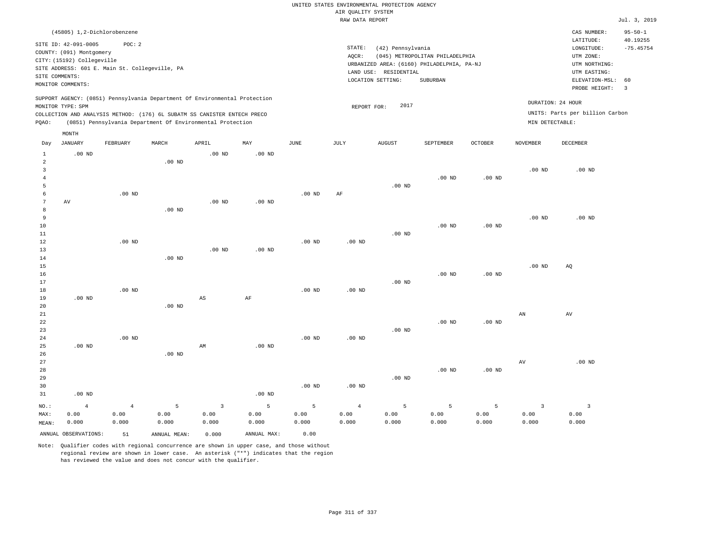|                                |                                                        |                                                |                   |                                                                            |                   |                   |                    | UNITED STATES ENVIRONMENTAL PROTECTION AGENCY |                                            |                   |                         |                                 |                           |
|--------------------------------|--------------------------------------------------------|------------------------------------------------|-------------------|----------------------------------------------------------------------------|-------------------|-------------------|--------------------|-----------------------------------------------|--------------------------------------------|-------------------|-------------------------|---------------------------------|---------------------------|
|                                |                                                        |                                                |                   |                                                                            |                   |                   | AIR QUALITY SYSTEM |                                               |                                            |                   |                         |                                 |                           |
|                                |                                                        |                                                |                   |                                                                            |                   |                   | RAW DATA REPORT    |                                               |                                            |                   |                         |                                 | Jul. 3, 2019              |
|                                | (45805) 1,2-Dichlorobenzene                            |                                                |                   |                                                                            |                   |                   |                    |                                               |                                            |                   |                         | CAS NUMBER:<br>LATITUDE:        | $95 - 50 - 1$<br>40.19255 |
|                                | SITE ID: 42-091-0005                                   | POC: 2                                         |                   |                                                                            |                   |                   | STATE:             | (42) Pennsylvania                             |                                            |                   |                         | LONGITUDE:                      | $-75.45754$               |
|                                | COUNTY: (091) Montgomery<br>CITY: (15192) Collegeville |                                                |                   |                                                                            |                   |                   | AQCR:              |                                               | (045) METROPOLITAN PHILADELPHIA            |                   |                         | UTM ZONE:                       |                           |
|                                |                                                        | SITE ADDRESS: 601 E. Main St. Collegeville, PA |                   |                                                                            |                   |                   |                    |                                               | URBANIZED AREA: (6160) PHILADELPHIA, PA-NJ |                   |                         | UTM NORTHING:                   |                           |
|                                | SITE COMMENTS:                                         |                                                |                   |                                                                            |                   |                   |                    | LAND USE: RESIDENTIAL                         |                                            |                   |                         | UTM EASTING:                    |                           |
|                                | MONITOR COMMENTS:                                      |                                                |                   |                                                                            |                   |                   |                    | LOCATION SETTING:                             | SUBURBAN                                   |                   |                         | ELEVATION-MSL:<br>PROBE HEIGHT: | 60<br>$\overline{3}$      |
|                                | MONITOR TYPE: SPM                                      |                                                |                   | SUPPORT AGENCY: (0851) Pennsylvania Department Of Environmental Protection |                   |                   | REPORT FOR:        | 2017                                          |                                            |                   |                         | DURATION: 24 HOUR               |                           |
|                                |                                                        |                                                |                   | COLLECTION AND ANALYSIS METHOD: (176) 6L SUBATM SS CANISTER ENTECH PRECO   |                   |                   |                    |                                               |                                            |                   |                         | UNITS: Parts per billion Carbon |                           |
| PQAO:                          |                                                        |                                                |                   | (0851) Pennsylvania Department Of Environmental Protection                 |                   |                   |                    |                                               |                                            |                   | MIN DETECTABLE:         |                                 |                           |
|                                | MONTH                                                  |                                                |                   |                                                                            |                   |                   |                    |                                               |                                            |                   |                         |                                 |                           |
| Day                            | <b>JANUARY</b>                                         | FEBRUARY                                       | MARCH             | APRIL                                                                      | MAY               | $_{\rm JUNE}$     | <b>JULY</b>        | <b>AUGUST</b>                                 | SEPTEMBER                                  | <b>OCTOBER</b>    | <b>NOVEMBER</b>         | DECEMBER                        |                           |
| $\mathbf{1}$<br>$\overline{a}$ | $.00$ ND                                               |                                                | .00 <sub>ND</sub> | $.00$ ND                                                                   | .00 <sub>ND</sub> |                   |                    |                                               |                                            |                   |                         |                                 |                           |
| $\overline{3}$                 |                                                        |                                                |                   |                                                                            |                   |                   |                    |                                               |                                            |                   | .00 <sub>ND</sub>       | $.00$ ND                        |                           |
| $\overline{4}$                 |                                                        |                                                |                   |                                                                            |                   |                   |                    |                                               | $.00$ ND                                   | $.00$ ND          |                         |                                 |                           |
| 5                              |                                                        |                                                |                   |                                                                            |                   |                   |                    | $.00$ ND                                      |                                            |                   |                         |                                 |                           |
| 6                              |                                                        | $.00$ ND                                       |                   |                                                                            |                   | .00 <sub>ND</sub> | AF                 |                                               |                                            |                   |                         |                                 |                           |
| $\overline{7}$                 | AV                                                     |                                                |                   | $.00$ ND                                                                   | $.00$ ND          |                   |                    |                                               |                                            |                   |                         |                                 |                           |
| 8                              |                                                        |                                                | $.00$ ND          |                                                                            |                   |                   |                    |                                               |                                            |                   |                         |                                 |                           |
| 9<br>10                        |                                                        |                                                |                   |                                                                            |                   |                   |                    |                                               | $.00$ ND                                   | $.00$ ND          | .00 <sub>ND</sub>       | $.00$ ND                        |                           |
| 11                             |                                                        |                                                |                   |                                                                            |                   |                   |                    | $.00$ ND                                      |                                            |                   |                         |                                 |                           |
| 12                             |                                                        | .00 <sub>ND</sub>                              |                   |                                                                            |                   | .00 <sub>ND</sub> | .00 <sub>ND</sub>  |                                               |                                            |                   |                         |                                 |                           |
| 13                             |                                                        |                                                |                   | .00 <sub>ND</sub>                                                          | .00 <sub>ND</sub> |                   |                    |                                               |                                            |                   |                         |                                 |                           |
| 14                             |                                                        |                                                | $.00$ ND          |                                                                            |                   |                   |                    |                                               |                                            |                   |                         |                                 |                           |
| 15                             |                                                        |                                                |                   |                                                                            |                   |                   |                    |                                               |                                            |                   | .00 <sub>ND</sub>       | AQ                              |                           |
| 16                             |                                                        |                                                |                   |                                                                            |                   |                   |                    |                                               | $.00$ ND                                   | $.00$ ND          |                         |                                 |                           |
| 17                             |                                                        |                                                |                   |                                                                            |                   |                   |                    | $.00$ ND                                      |                                            |                   |                         |                                 |                           |
| 18<br>19                       | $.00$ ND                                               | $.00$ ND                                       |                   | $\mathbb{A}\mathbb{S}$                                                     | $\rm AF$          | $.00$ ND          | $.00$ ND           |                                               |                                            |                   |                         |                                 |                           |
| 20                             |                                                        |                                                | $.00$ ND          |                                                                            |                   |                   |                    |                                               |                                            |                   |                         |                                 |                           |
| 21                             |                                                        |                                                |                   |                                                                            |                   |                   |                    |                                               |                                            |                   | AN                      | AV                              |                           |
| 22                             |                                                        |                                                |                   |                                                                            |                   |                   |                    |                                               | $.00$ ND                                   | .00 <sub>ND</sub> |                         |                                 |                           |
| 23                             |                                                        |                                                |                   |                                                                            |                   |                   |                    | $.00$ ND                                      |                                            |                   |                         |                                 |                           |
| 24                             |                                                        | $.00$ ND                                       |                   |                                                                            |                   | .00 <sub>ND</sub> | .00 <sub>ND</sub>  |                                               |                                            |                   |                         |                                 |                           |
| 25                             | $.00$ ND                                               |                                                |                   | AM                                                                         | $.00$ ND          |                   |                    |                                               |                                            |                   |                         |                                 |                           |
| 26<br>27                       |                                                        |                                                | $.00$ ND          |                                                                            |                   |                   |                    |                                               |                                            |                   |                         |                                 |                           |
| 28                             |                                                        |                                                |                   |                                                                            |                   |                   |                    |                                               | .00 <sub>ND</sub>                          | $.00$ ND          | $\operatorname{AV}$     | .00 <sub>ND</sub>               |                           |
| 29                             |                                                        |                                                |                   |                                                                            |                   |                   |                    | $.00$ ND                                      |                                            |                   |                         |                                 |                           |
| 30                             |                                                        |                                                |                   |                                                                            |                   | $.00$ ND          | $.00$ ND           |                                               |                                            |                   |                         |                                 |                           |
| 31                             | $.00$ ND                                               |                                                |                   |                                                                            | .00 <sub>ND</sub> |                   |                    |                                               |                                            |                   |                         |                                 |                           |
| NO.:                           | $\overline{4}$                                         | $\overline{4}$                                 | 5                 | $\overline{3}$                                                             | 5                 | 5                 | $\overline{4}$     | 5                                             | $\overline{5}$                             | 5                 | $\overline{\mathbf{3}}$ | $\overline{\mathbf{3}}$         |                           |
| MAX:                           | 0.00                                                   | 0.00                                           | 0.00              | 0.00                                                                       | 0.00              | 0.00              | 0.00               | 0.00                                          | 0.00                                       | 0.00              | 0.00                    | 0.00                            |                           |
| MEAN:                          | 0.000                                                  | 0.000                                          | 0.000             | 0.000                                                                      | 0.000             | 0.000             | 0.000              | 0.000                                         | 0.000                                      | 0.000             | 0.000                   | 0.000                           |                           |
|                                | ANNUAL OBSERVATIONS:                                   | 51                                             | ANNUAL, MEAN:     | 0.000                                                                      | ANNUAL MAX:       | 0.00              |                    |                                               |                                            |                   |                         |                                 |                           |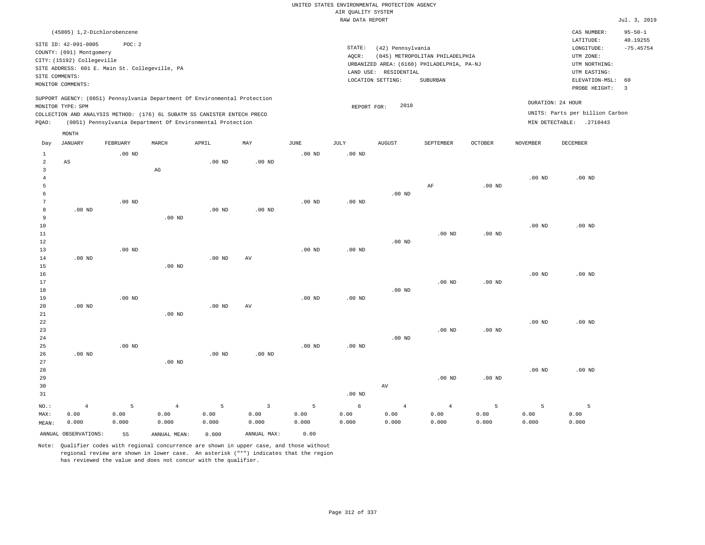|                                     |                                                                                                                                                                 |                    |                                                                                                                                                        |                    |                               |                    | UNITED STATES ENVIRONMENTAL PROTECTION AGENCY<br>AIR QUALITY SYSTEM |                                            |                                                                               |                    |                    |                                                                                      |                                          |
|-------------------------------------|-----------------------------------------------------------------------------------------------------------------------------------------------------------------|--------------------|--------------------------------------------------------------------------------------------------------------------------------------------------------|--------------------|-------------------------------|--------------------|---------------------------------------------------------------------|--------------------------------------------|-------------------------------------------------------------------------------|--------------------|--------------------|--------------------------------------------------------------------------------------|------------------------------------------|
|                                     |                                                                                                                                                                 |                    |                                                                                                                                                        |                    |                               |                    | RAW DATA REPORT                                                     |                                            |                                                                               |                    |                    |                                                                                      | Jul. 3, 2019                             |
|                                     |                                                                                                                                                                 |                    |                                                                                                                                                        |                    |                               |                    |                                                                     |                                            |                                                                               |                    |                    |                                                                                      |                                          |
| SITE COMMENTS:                      | (45805) 1,2-Dichlorobenzene<br>SITE ID: 42-091-0005<br>COUNTY: (091) Montgomery<br>CITY: (15192) Collegeville<br>SITE ADDRESS: 601 E. Main St. Collegeville, PA | POC: 2             |                                                                                                                                                        |                    |                               |                    | STATE:<br>AOCR:                                                     | (42) Pennsylvania<br>LAND USE: RESIDENTIAL | (045) METROPOLITAN PHILADELPHIA<br>URBANIZED AREA: (6160) PHILADELPHIA, PA-NJ |                    |                    | CAS NUMBER:<br>LATITUDE:<br>LONGITUDE:<br>UTM ZONE:<br>UTM NORTHING:<br>UTM EASTING: | $95 - 50 - 1$<br>40.19255<br>$-75.45754$ |
|                                     | MONITOR COMMENTS:                                                                                                                                               |                    |                                                                                                                                                        |                    |                               |                    |                                                                     | LOCATION SETTING:                          | SUBURBAN                                                                      |                    |                    | ELEVATION-MSL:                                                                       | 60                                       |
|                                     |                                                                                                                                                                 |                    |                                                                                                                                                        |                    |                               |                    |                                                                     |                                            |                                                                               |                    |                    | PROBE HEIGHT:                                                                        | $\overline{3}$                           |
|                                     | MONITOR TYPE: SPM                                                                                                                                               |                    | SUPPORT AGENCY: (0851) Pennsylvania Department Of Environmental Protection<br>COLLECTION AND ANALYSIS METHOD: (176) 6L SUBATM SS CANISTER ENTECH PRECO |                    |                               |                    | REPORT FOR:                                                         | 2018                                       |                                                                               |                    |                    | DURATION: 24 HOUR<br>UNITS: Parts per billion Carbon                                 |                                          |
| PQAO:                               |                                                                                                                                                                 |                    | (0851) Pennsylvania Department Of Environmental Protection                                                                                             |                    |                               |                    |                                                                     |                                            |                                                                               |                    |                    | MIN DETECTABLE: .2710443                                                             |                                          |
|                                     | MONTH                                                                                                                                                           |                    |                                                                                                                                                        |                    |                               |                    |                                                                     |                                            |                                                                               |                    |                    |                                                                                      |                                          |
| Day                                 | JANUARY                                                                                                                                                         | <b>FEBRUARY</b>    | MARCH                                                                                                                                                  | APRIL              | MAY                           | JUNE               | <b>JULY</b>                                                         | <b>AUGUST</b>                              | SEPTEMBER                                                                     | <b>OCTOBER</b>     | <b>NOVEMBER</b>    | <b>DECEMBER</b>                                                                      |                                          |
| $\mathbf{1}$<br>$\overline{a}$      | AS                                                                                                                                                              | .00 <sub>ND</sub>  |                                                                                                                                                        | $.00$ ND           | $.00$ ND                      | .00 <sub>ND</sub>  | $.00$ ND                                                            |                                            |                                                                               |                    |                    |                                                                                      |                                          |
| $\mathbf{3}$<br>$\overline{4}$<br>5 |                                                                                                                                                                 |                    | $_{\rm AG}$                                                                                                                                            |                    |                               |                    |                                                                     |                                            | AF                                                                            | $.00$ ND           | .00 <sub>ND</sub>  | $.00$ ND                                                                             |                                          |
| 6<br>7<br>8                         | $.00$ ND                                                                                                                                                        | .00 <sub>ND</sub>  |                                                                                                                                                        | $.00$ ND           | $.00$ ND                      | $.00$ ND           | $.00$ ND                                                            | $.00$ ND                                   |                                                                               |                    |                    |                                                                                      |                                          |
| 9<br>10<br>11                       |                                                                                                                                                                 |                    | $.00$ ND                                                                                                                                               |                    |                               |                    |                                                                     |                                            | $.00$ ND                                                                      | $.00$ ND           | .00 <sub>ND</sub>  | $.00$ ND                                                                             |                                          |
| 12<br>13<br>14                      | $.00$ ND                                                                                                                                                        | $.00$ ND           |                                                                                                                                                        | $.00$ ND           | AV                            | $.00$ ND           | $.00$ ND                                                            | $.00$ ND                                   |                                                                               |                    |                    |                                                                                      |                                          |
| 15<br>16<br>17<br>18                |                                                                                                                                                                 |                    | $.00$ ND                                                                                                                                               |                    |                               |                    |                                                                     | $.00$ ND                                   | $.00$ ND                                                                      | $.00$ ND           | $.00$ ND           | $.00$ ND                                                                             |                                          |
| 19<br>20<br>21                      | $.00$ ND                                                                                                                                                        | .00 <sub>ND</sub>  | $.00$ ND                                                                                                                                               | $.00$ ND           | AV                            | $.00$ ND           | .00 <sub>ND</sub>                                                   |                                            |                                                                               |                    |                    |                                                                                      |                                          |
| 22<br>23<br>24                      |                                                                                                                                                                 |                    |                                                                                                                                                        |                    |                               |                    |                                                                     | $.00$ ND                                   | $.00$ ND                                                                      | $.00$ ND           | .00 <sub>ND</sub>  | $.00$ ND                                                                             |                                          |
| 25<br>26<br>27<br>28                | $.00$ ND                                                                                                                                                        | .00 <sub>ND</sub>  | .00 <sub>ND</sub>                                                                                                                                      | .00 <sub>ND</sub>  | $.00$ ND                      | .00 <sub>ND</sub>  | .00 <sub>ND</sub>                                                   |                                            |                                                                               |                    | .00 <sub>ND</sub>  | $.00$ ND                                                                             |                                          |
| 29<br>30<br>31                      |                                                                                                                                                                 |                    |                                                                                                                                                        |                    |                               |                    | $.00$ ND                                                            | AV                                         | $.00$ ND                                                                      | $.00$ ND           |                    |                                                                                      |                                          |
| NO.:<br>MAX:<br>MEAN:               | $\overline{4}$<br>0.00<br>0.000                                                                                                                                 | 5<br>0.00<br>0.000 | $\overline{4}$<br>0.00<br>0.000                                                                                                                        | 5<br>0.00<br>0.000 | $\mathbf{3}$<br>0.00<br>0.000 | 5<br>0.00<br>0.000 | 6<br>0.00<br>0.000                                                  | $\overline{4}$<br>0.00<br>0.000            | $\overline{4}$<br>0.00<br>0.000                                               | 5<br>0.00<br>0.000 | 5<br>0.00<br>0.000 | 5<br>0.00<br>0.000                                                                   |                                          |
|                                     | ANNUAL OBSERVATIONS:                                                                                                                                            | 55                 | ANNUAL MEAN:                                                                                                                                           | 0.000              | ANNUAL MAX:                   | 0.00               |                                                                     |                                            |                                                                               |                    |                    |                                                                                      |                                          |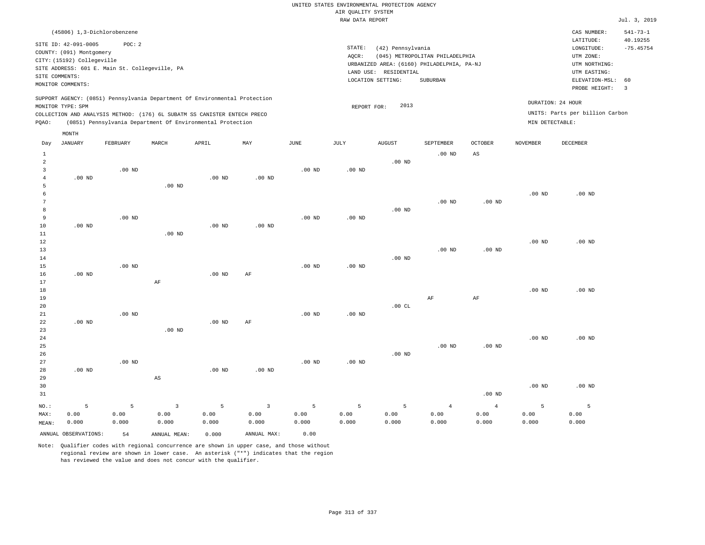## UNITED STATES ENVIRONMENTAL PROTECTION AGENCY AIR QUALITY SYSTEM

|                     |                                                                                                                       |                                                          |                        |                                                                            |                |                   | RAW DATA REPORT                                                                                                                                                                 |               |                   |                   |                   |                                 | Jul. 3, 2019                                                                                                                 |
|---------------------|-----------------------------------------------------------------------------------------------------------------------|----------------------------------------------------------|------------------------|----------------------------------------------------------------------------|----------------|-------------------|---------------------------------------------------------------------------------------------------------------------------------------------------------------------------------|---------------|-------------------|-------------------|-------------------|---------------------------------|------------------------------------------------------------------------------------------------------------------------------|
|                     | (45806) 1,3-Dichlorobenzene                                                                                           |                                                          |                        |                                                                            |                |                   |                                                                                                                                                                                 |               |                   |                   |                   | CAS NUMBER:<br>LATITUDE:        | $541 - 73 - 1$                                                                                                               |
|                     | SITE ID: 42-091-0005<br>COUNTY: (091) Montgomery<br>CITY: (15192) Collegeville<br>SITE COMMENTS:<br>MONITOR COMMENTS: | POC: 2<br>SITE ADDRESS: 601 E. Main St. Collegeville, PA |                        |                                                                            |                |                   | STATE:<br>(42) Pennsylvania<br>AQCR:<br>(045) METROPOLITAN PHILADELPHIA<br>URBANIZED AREA: (6160) PHILADELPHIA, PA-NJ<br>LAND USE: RESIDENTIAL<br>SUBURBAN<br>LOCATION SETTING: |               |                   |                   |                   |                                 | 40.19255<br>$-75.45754$<br>UTM NORTHING:<br>UTM EASTING:<br>ELEVATION-MSL:<br>60<br>PROBE HEIGHT:<br>$\overline{\mathbf{3}}$ |
|                     |                                                                                                                       |                                                          |                        | SUPPORT AGENCY: (0851) Pennsylvania Department Of Environmental Protection |                |                   |                                                                                                                                                                                 | 2013          |                   |                   |                   | DURATION: 24 HOUR               |                                                                                                                              |
|                     | MONITOR TYPE: SPM                                                                                                     |                                                          |                        | COLLECTION AND ANALYSIS METHOD: (176) 6L SUBATM SS CANISTER ENTECH PRECO   |                |                   | REPORT FOR:                                                                                                                                                                     |               |                   |                   |                   | UNITS: Parts per billion Carbon |                                                                                                                              |
| PQAO:               |                                                                                                                       |                                                          |                        | (0851) Pennsylvania Department Of Environmental Protection                 |                |                   |                                                                                                                                                                                 |               |                   |                   | MIN DETECTABLE:   |                                 |                                                                                                                              |
|                     | MONTH                                                                                                                 |                                                          |                        |                                                                            |                |                   |                                                                                                                                                                                 |               |                   |                   |                   |                                 |                                                                                                                              |
| Day                 | <b>JANUARY</b>                                                                                                        | FEBRUARY                                                 | MARCH                  | APRIL                                                                      | MAY            | $\mathtt{JUNE}$   | JULY                                                                                                                                                                            | <b>AUGUST</b> | SEPTEMBER         | OCTOBER           | <b>NOVEMBER</b>   | DECEMBER                        |                                                                                                                              |
| $\mathbf{1}$        |                                                                                                                       |                                                          |                        |                                                                            |                |                   |                                                                                                                                                                                 |               | $.00$ ND          | $_{\rm AS}$       |                   |                                 |                                                                                                                              |
| $\overline{a}$      |                                                                                                                       |                                                          |                        |                                                                            |                |                   |                                                                                                                                                                                 | $.00$ ND      |                   |                   |                   |                                 |                                                                                                                              |
| 3                   |                                                                                                                       | $.00$ ND                                                 |                        |                                                                            |                | $.00$ ND          | $.00$ ND                                                                                                                                                                        |               |                   |                   |                   |                                 |                                                                                                                              |
| $\overline{4}$<br>5 | $.00$ ND                                                                                                              |                                                          | $.00$ ND               | $.00$ ND                                                                   | $.00$ ND       |                   |                                                                                                                                                                                 |               |                   |                   |                   |                                 |                                                                                                                              |
| 6                   |                                                                                                                       |                                                          |                        |                                                                            |                |                   |                                                                                                                                                                                 |               |                   |                   | .00 <sub>ND</sub> | .00 <sub>ND</sub>               |                                                                                                                              |
| 7                   |                                                                                                                       |                                                          |                        |                                                                            |                |                   |                                                                                                                                                                                 |               | .00 <sub>ND</sub> | $.00$ ND          |                   |                                 |                                                                                                                              |
| 8                   |                                                                                                                       |                                                          |                        |                                                                            |                |                   |                                                                                                                                                                                 | $.00$ ND      |                   |                   |                   |                                 |                                                                                                                              |
| 9                   |                                                                                                                       | $.00$ ND                                                 |                        |                                                                            |                | $.00$ ND          | $.00$ ND                                                                                                                                                                        |               |                   |                   |                   |                                 |                                                                                                                              |
| 10<br>11            | $.00$ ND                                                                                                              |                                                          | $.00$ ND               | $.00$ ND                                                                   | $.00$ ND       |                   |                                                                                                                                                                                 |               |                   |                   |                   |                                 |                                                                                                                              |
| 12                  |                                                                                                                       |                                                          |                        |                                                                            |                |                   |                                                                                                                                                                                 |               |                   |                   | .00 <sub>ND</sub> | $.00$ ND                        |                                                                                                                              |
| 13                  |                                                                                                                       |                                                          |                        |                                                                            |                |                   |                                                                                                                                                                                 |               | $.00$ ND          | .00 <sub>ND</sub> |                   |                                 |                                                                                                                              |
| 14                  |                                                                                                                       |                                                          |                        |                                                                            |                |                   |                                                                                                                                                                                 | $.00$ ND      |                   |                   |                   |                                 |                                                                                                                              |
| 15                  |                                                                                                                       | $.00$ ND                                                 |                        |                                                                            |                | $.00$ ND          | $.00$ ND                                                                                                                                                                        |               |                   |                   |                   |                                 |                                                                                                                              |
| 16                  | $.00$ ND                                                                                                              |                                                          |                        | $.00$ ND                                                                   | AF             |                   |                                                                                                                                                                                 |               |                   |                   |                   |                                 |                                                                                                                              |
| 17<br>18            |                                                                                                                       |                                                          | AF                     |                                                                            |                |                   |                                                                                                                                                                                 |               |                   |                   | .00 <sub>ND</sub> | $.00$ ND                        |                                                                                                                              |
| 19                  |                                                                                                                       |                                                          |                        |                                                                            |                |                   |                                                                                                                                                                                 |               | AF                | $\rm{AF}$         |                   |                                 |                                                                                                                              |
| 20                  |                                                                                                                       |                                                          |                        |                                                                            |                |                   |                                                                                                                                                                                 | .00 $CL$      |                   |                   |                   |                                 |                                                                                                                              |
| 21                  |                                                                                                                       | $.00$ ND                                                 |                        |                                                                            |                | $.00$ ND          | $.00$ ND                                                                                                                                                                        |               |                   |                   |                   |                                 |                                                                                                                              |
| 22                  | $.00$ ND                                                                                                              |                                                          |                        | $.00$ ND                                                                   | AF             |                   |                                                                                                                                                                                 |               |                   |                   |                   |                                 |                                                                                                                              |
| 23                  |                                                                                                                       |                                                          | .00 <sub>ND</sub>      |                                                                            |                |                   |                                                                                                                                                                                 |               |                   |                   |                   |                                 |                                                                                                                              |
| 24<br>25            |                                                                                                                       |                                                          |                        |                                                                            |                |                   |                                                                                                                                                                                 |               | $.00$ ND          | $.00$ ND          | $.00$ ND          | $.00$ ND                        |                                                                                                                              |
| 26                  |                                                                                                                       |                                                          |                        |                                                                            |                |                   |                                                                                                                                                                                 | $.00$ ND      |                   |                   |                   |                                 |                                                                                                                              |
| 27                  |                                                                                                                       | $.00$ ND                                                 |                        |                                                                            |                | .00 <sub>ND</sub> | $.00$ ND                                                                                                                                                                        |               |                   |                   |                   |                                 |                                                                                                                              |
| 28                  | $.00$ ND                                                                                                              |                                                          |                        | $.00$ ND                                                                   | $.00$ ND       |                   |                                                                                                                                                                                 |               |                   |                   |                   |                                 |                                                                                                                              |
| 29                  |                                                                                                                       |                                                          | $\mathbb{A}\mathbb{S}$ |                                                                            |                |                   |                                                                                                                                                                                 |               |                   |                   |                   |                                 |                                                                                                                              |
| 30                  |                                                                                                                       |                                                          |                        |                                                                            |                |                   |                                                                                                                                                                                 |               |                   |                   | .00 <sub>ND</sub> | .00 <sub>ND</sub>               |                                                                                                                              |
| 31                  |                                                                                                                       |                                                          |                        |                                                                            |                |                   |                                                                                                                                                                                 |               |                   | .00 <sub>ND</sub> |                   |                                 |                                                                                                                              |
| NO.:                | 5                                                                                                                     | 5                                                        | 3                      | 5                                                                          | $\overline{3}$ | 5                 | 5                                                                                                                                                                               | 5             | $\overline{4}$    | $\overline{4}$    | 5                 | 5                               |                                                                                                                              |

ANNUAL OBSERVATIONS: 54 ANNUAL MEAN: 0.000 ANNUAL MAX: 0.00

 0.00 0.000

MAX: MEAN:

 0.00 0.000  0.00 0.000

Note: Qualifier codes with regional concurrence are shown in upper case, and those without regional review are shown in lower case. An asterisk ("\*") indicates that the region has reviewed the value and does not concur with the qualifier.

 0.00 0.000  0.00 0.000  0.00 0.000  0.00 0.000  0.00 0.000  0.00 0.000  0.00 0.000  0.00 0.000  0.00 0.000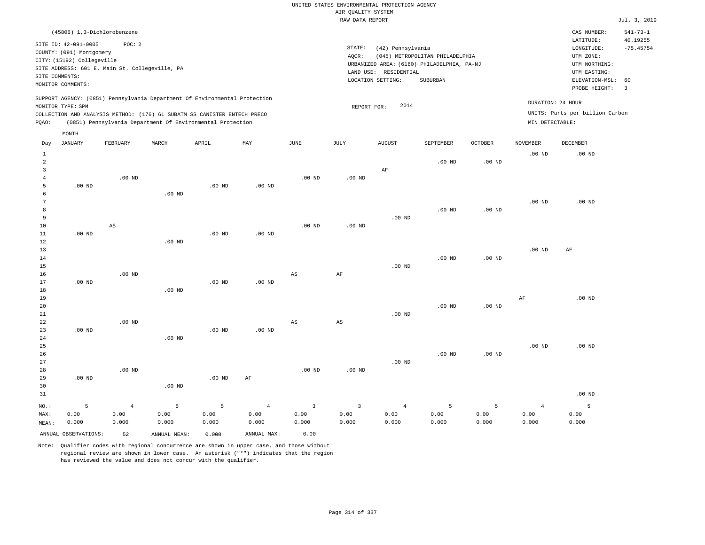| (45806) 1,3-Dichlorobenzene                                                                                                                                                                                                                                 |                                                                                                                                                                                 | CAS NUMBER:                                                                                                 | $541 - 73 - 1$                                     |
|-------------------------------------------------------------------------------------------------------------------------------------------------------------------------------------------------------------------------------------------------------------|---------------------------------------------------------------------------------------------------------------------------------------------------------------------------------|-------------------------------------------------------------------------------------------------------------|----------------------------------------------------|
| SITE ID: 42-091-0005<br>POC: 2<br>COUNTY: (091) Montgomery<br>CITY: (15192) Collegeville<br>SITE ADDRESS: 601 E. Main St. Collegeville, PA<br>SITE COMMENTS:<br>MONITOR COMMENTS:                                                                           | STATE:<br>(42) Pennsylvania<br>(045) METROPOLITAN PHILADELPHIA<br>AOCR:<br>URBANIZED AREA: (6160) PHILADELPHIA, PA-NJ<br>LAND USE: RESIDENTIAL<br>LOCATION SETTING:<br>SUBURBAN | LATITUDE:<br>LONGITUDE:<br>UTM ZONE:<br>UTM NORTHING:<br>UTM EASTING:<br>ELEVATION-MSL: 60<br>PROBE HEIGHT: | 40.19255<br>$-75.45754$<br>$\overline{\mathbf{3}}$ |
| SUPPORT AGENCY: (0851) Pennsylvania Department Of Environmental Protection<br>MONITOR TYPE: SPM<br>COLLECTION AND ANALYSIS METHOD: (176) 6L SUBATM SS CANISTER ENTECH PRECO<br>(0851) Pennsylvania Department Of Environmental Protection<br>POAO:<br>MONTH | 2014<br>REPORT FOR:                                                                                                                                                             | DURATION: 24 HOUR<br>UNITS: Parts per billion Carbon<br>MIN DETECTABLE:                                     |                                                    |

| Day            | <b>JANUARY</b>       | FEBRUARY       | $\tt MARCH$    | APRIL    | MAY            | $_{\rm JUNE}$           | $\mathtt{JULY}$        | AUGUST         | SEPTEMBER | OCTOBER  | NOVEMBER       | DECEMBER |
|----------------|----------------------|----------------|----------------|----------|----------------|-------------------------|------------------------|----------------|-----------|----------|----------------|----------|
| 1              |                      |                |                |          |                |                         |                        |                |           |          | $.00$ ND       | $.00$ ND |
| $\overline{a}$ |                      |                |                |          |                |                         |                        |                | $.00$ ND  | .00 $ND$ |                |          |
| 3              |                      |                |                |          |                |                         |                        | $\rm{AF}$      |           |          |                |          |
| $\overline{4}$ |                      | $.00$ ND       |                |          |                | $.00$ ND                | .00 $ND$               |                |           |          |                |          |
| 5              | $.00$ ND             |                |                | $.00$ ND | .00 $ND$       |                         |                        |                |           |          |                |          |
| 6              |                      |                | $.00$ ND       |          |                |                         |                        |                |           |          |                |          |
| 7              |                      |                |                |          |                |                         |                        |                |           |          | $.00$ ND       | $.00$ ND |
| 8              |                      |                |                |          |                |                         |                        |                | $.00$ ND  | $.00$ ND |                |          |
| 9              |                      |                |                |          |                |                         |                        | $.00$ ND       |           |          |                |          |
| $10$           |                      | AS             |                |          |                | $.00$ ND                | $.00$ ND               |                |           |          |                |          |
| 11             | $.00$ ND             |                |                | $.00$ ND | $.00$ ND       |                         |                        |                |           |          |                |          |
| 12             |                      |                | $.00$ ND       |          |                |                         |                        |                |           |          |                |          |
| 13             |                      |                |                |          |                |                         |                        |                |           |          | $.00$ ND       | AF       |
| 14             |                      |                |                |          |                |                         |                        |                | $.00$ ND  | $.00$ ND |                |          |
| 15             |                      |                |                |          |                |                         |                        | $.00$ ND       |           |          |                |          |
| 16             |                      | $.00$ ND       |                |          |                | $_{\rm AS}$             | $\rm{AF}$              |                |           |          |                |          |
| 17             | $.00$ ND             |                |                | $.00$ ND | $.00$ ND       |                         |                        |                |           |          |                |          |
| 18             |                      |                | $.00$ ND       |          |                |                         |                        |                |           |          |                |          |
| 19             |                      |                |                |          |                |                         |                        |                |           |          | AF             | $.00$ ND |
| $20\,$         |                      |                |                |          |                |                         |                        |                | $.00$ ND  | $.00$ ND |                |          |
| $2\sqrt{1}$    |                      |                |                |          |                |                         |                        | $.00$ ND       |           |          |                |          |
| $_{\rm 22}$    |                      | $.00$ ND       |                |          |                | $_{\rm AS}$             | $\mathbb{A}\mathbb{S}$ |                |           |          |                |          |
| 23             | $.00$ ND             |                |                | $.00$ ND | $.00$ ND       |                         |                        |                |           |          |                |          |
| 24             |                      |                | $.00$ ND       |          |                |                         |                        |                |           |          |                |          |
| 25             |                      |                |                |          |                |                         |                        |                |           |          | $.00$ ND       | $.00$ ND |
| 26             |                      |                |                |          |                |                         |                        |                | $.00$ ND  | $.00$ ND |                |          |
| $2\,7$         |                      |                |                |          |                |                         |                        | $.00$ ND       |           |          |                |          |
| 28             |                      | $.00$ ND       |                |          |                | $.00$ ND                | $.00$ ND               |                |           |          |                |          |
| 29             | .00 $ND$             |                |                | .00 $ND$ | AF             |                         |                        |                |           |          |                |          |
| 30             |                      |                | $.00$ ND       |          |                |                         |                        |                |           |          |                |          |
| 31             |                      |                |                |          |                |                         |                        |                |           |          |                | $.00$ ND |
| $NO.$ :        | 5                    | $\overline{4}$ | $\overline{5}$ | 5        | $\overline{4}$ | $\overline{\mathbf{3}}$ | $\overline{3}$         | $\overline{4}$ | 5         | 5        | $\overline{4}$ | 5        |
| MAX:           | 0.00                 | 0.00           | 0.00           | 0.00     | 0.00           | 0.00                    | 0.00                   | 0.00           | 0.00      | 0.00     | 0.00           | 0.00     |
| MEAN:          | 0.000                | 0.000          | 0.000          | 0.000    | 0.000          | 0.000                   | 0.000                  | 0.000          | 0.000     | 0.000    | 0.000          | 0.000    |
|                | ANNUAL OBSERVATIONS: | 52             | ANNUAL MEAN:   | 0.000    | ANNUAL MAX:    | 0.00                    |                        |                |           |          |                |          |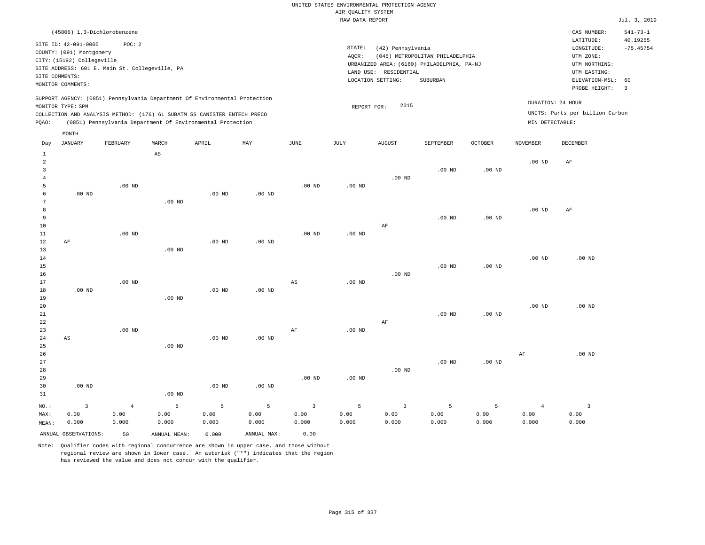| (45806) 1,3-Dichlorobenzene                                                                                                                                                                                                                        |                                                                                                                                                                                 | CAS NUMBER:                                                                                                 | $541 - 73 - 1$          |
|----------------------------------------------------------------------------------------------------------------------------------------------------------------------------------------------------------------------------------------------------|---------------------------------------------------------------------------------------------------------------------------------------------------------------------------------|-------------------------------------------------------------------------------------------------------------|-------------------------|
| SITE ID: 42-091-0005<br>POC:2<br>COUNTY: (091) Montgomery<br>CITY: (15192) Collegeville<br>SITE ADDRESS: 601 E. Main St. Collegeville, PA<br>SITE COMMENTS:<br>MONITOR COMMENTS:                                                                   | STATE:<br>(42) Pennsylvania<br>(045) METROPOLITAN PHILADELPHIA<br>AOCR:<br>URBANIZED AREA: (6160) PHILADELPHIA, PA-NJ<br>LAND USE: RESIDENTIAL<br>LOCATION SETTING:<br>SUBURBAN | LATITUDE:<br>LONGITUDE:<br>UTM ZONE:<br>UTM NORTHING:<br>UTM EASTING:<br>ELEVATION-MSL: 60<br>PROBE HEIGHT: | 40.19255<br>$-75.45754$ |
| SUPPORT AGENCY: (0851) Pennsylvania Department Of Environmental Protection<br>MONITOR TYPE: SPM<br>COLLECTION AND ANALYSIS METHOD: (176) 6L SUBATM SS CANISTER ENTECH PRECO<br>(0851) Pennsylvania Department Of Environmental Protection<br>POAO: | 2015<br>REPORT FOR:                                                                                                                                                             | DURATION: 24 HOUR<br>UNITS: Parts per billion Carbon<br>MIN DETECTABLE:                                     |                         |
| MONTH                                                                                                                                                                                                                                              |                                                                                                                                                                                 |                                                                                                             |                         |

| Day            | JANUARY                | FEBRUARY   | MARCH                  | APRIL             | MAY         | $_{\rm JUNE}$           | JULY              | <b>AUGUST</b>     | SEPTEMBER | OCTOBER  | <b>NOVEMBER</b> | DECEMBER                |
|----------------|------------------------|------------|------------------------|-------------------|-------------|-------------------------|-------------------|-------------------|-----------|----------|-----------------|-------------------------|
| $\mathbf{1}$   |                        |            | $\mathbb{A}\mathbb{S}$ |                   |             |                         |                   |                   |           |          |                 |                         |
| $\overline{a}$ |                        |            |                        |                   |             |                         |                   |                   |           |          | $.00$ ND        | AF                      |
| 3              |                        |            |                        |                   |             |                         |                   |                   | $.00$ ND  | $.00$ ND |                 |                         |
| $\overline{4}$ |                        |            |                        |                   |             |                         |                   | .00 <sub>ND</sub> |           |          |                 |                         |
| 5              |                        | $.00$ ND   |                        |                   |             | .00 <sub>ND</sub>       | .00 <sub>ND</sub> |                   |           |          |                 |                         |
| 6              | $.00$ ND               |            |                        | .00 <sub>ND</sub> | .00 $ND$    |                         |                   |                   |           |          |                 |                         |
| 7              |                        |            | $.00$ ND               |                   |             |                         |                   |                   |           |          |                 |                         |
| 8              |                        |            |                        |                   |             |                         |                   |                   |           |          | $.00$ ND        | AF                      |
| 9              |                        |            |                        |                   |             |                         |                   |                   | $.00$ ND  | .00 $ND$ |                 |                         |
| 10             |                        |            |                        |                   |             |                         |                   | $\rm AF$          |           |          |                 |                         |
| $11\,$         |                        | $.00$ ND   |                        |                   |             | .00 <sub>ND</sub>       | $.00$ ND          |                   |           |          |                 |                         |
| 12             | AF                     |            |                        | .00 $ND$          | .00 $ND$    |                         |                   |                   |           |          |                 |                         |
| 13             |                        |            | $.00$ ND               |                   |             |                         |                   |                   |           |          | $.00$ ND        | $.00$ ND                |
| 14<br>15       |                        |            |                        |                   |             |                         |                   |                   | $.00$ ND  | .00 $ND$ |                 |                         |
| $16$           |                        |            |                        |                   |             |                         |                   | $.00$ ND          |           |          |                 |                         |
| 17             |                        | $.00$ ND   |                        |                   |             | AS                      | $.00$ ND          |                   |           |          |                 |                         |
| 18             | $.00$ ND               |            |                        | .00 <sub>ND</sub> | $.00$ ND    |                         |                   |                   |           |          |                 |                         |
| 19             |                        |            | $.00$ ND               |                   |             |                         |                   |                   |           |          |                 |                         |
| 20             |                        |            |                        |                   |             |                         |                   |                   |           |          | .00 $ND$        | $.00$ ND                |
| $2\sqrt{1}$    |                        |            |                        |                   |             |                         |                   |                   | $.00$ ND  | .00 $ND$ |                 |                         |
| 22             |                        |            |                        |                   |             |                         |                   | AF                |           |          |                 |                         |
| 23             |                        | $.00$ ND   |                        |                   |             | $\rm{AF}$               | $.00$ ND          |                   |           |          |                 |                         |
| 24             | $\mathbb{A}\mathbb{S}$ |            |                        | .00 <sub>ND</sub> | $.00$ ND    |                         |                   |                   |           |          |                 |                         |
| 25             |                        |            | $.00$ ND               |                   |             |                         |                   |                   |           |          |                 |                         |
| 26             |                        |            |                        |                   |             |                         |                   |                   |           |          | $\rm{AF}$       | $.00$ ND                |
| 27             |                        |            |                        |                   |             |                         |                   |                   | $.00$ ND  | $.00$ ND |                 |                         |
| 28             |                        |            |                        |                   |             |                         |                   | $.00$ ND          |           |          |                 |                         |
| 29             |                        |            |                        |                   |             | $.00$ ND                | .00 <sub>ND</sub> |                   |           |          |                 |                         |
| 30             | $.00$ ND               |            |                        | $.00$ ND          | $.00$ ND    |                         |                   |                   |           |          |                 |                         |
| 31             |                        |            | $.00$ ND               |                   |             |                         |                   |                   |           |          |                 |                         |
| $NO.$ :        | $\mathsf 3$            | $\sqrt{4}$ | 5                      | 5                 | 5           | $\overline{\mathbf{3}}$ | 5                 | $\overline{3}$    | 5         | 5        | $\overline{4}$  | $\overline{\mathbf{3}}$ |
| MAX:           | 0.00                   | 0.00       | 0.00                   | 0.00              | 0.00        | 0.00                    | 0.00              | 0.00              | 0.00      | 0.00     | 0.00            | 0.00                    |
| MEAN:          | 0.000                  | 0.000      | 0.000                  | 0.000             | 0.000       | 0.000                   | 0.000             | 0.000             | 0.000     | 0.000    | 0.000           | 0.000                   |
|                | ANNUAL OBSERVATIONS:   | 50         | ANNUAL MEAN:           | 0.000             | ANNUAL MAX: | 0.00                    |                   |                   |           |          |                 |                         |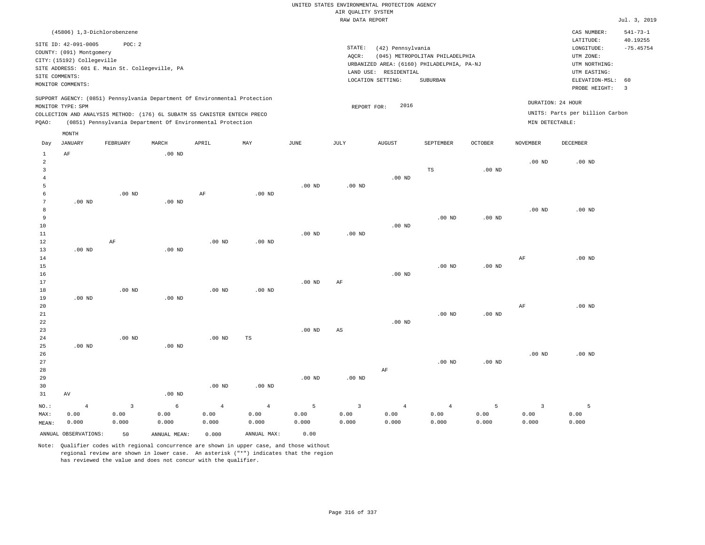|                                     | (45806) 1,3-Dichlorobenzene                                                                                                                                                                                          |          |       |       |     |      |                              |                                                                                                     |                                             |                |                                      | CAS NUMBER:                                                                                                 | $541 - 73 - 1$                |
|-------------------------------------|----------------------------------------------------------------------------------------------------------------------------------------------------------------------------------------------------------------------|----------|-------|-------|-----|------|------------------------------|-----------------------------------------------------------------------------------------------------|---------------------------------------------|----------------|--------------------------------------|-------------------------------------------------------------------------------------------------------------|-------------------------------|
| SITE COMMENTS:<br>MONITOR COMMENTS: | SITE ID: 42-091-0005<br>COUNTY: (091) Montgomery<br>CITY: (15192) Collegeville<br>SITE ADDRESS: 601 E. Main St. Collegeville, PA                                                                                     | POC: 2   |       |       |     |      | STATE:<br>AOCR:<br>LAND USE: | (42) Pennsylvania<br>URBANIZED AREA: (6160) PHILADELPHIA, PA-NJ<br>RESIDENTIAL<br>LOCATION SETTING: | (045) METROPOLITAN PHILADELPHIA<br>SUBURBAN |                |                                      | LATITUDE:<br>LONGITUDE:<br>UTM ZONE:<br>UTM NORTHING:<br>UTM EASTING:<br>ELEVATION-MSL: 60<br>PROBE HEIGHT: | 40.19255<br>$-75.45754$<br>-3 |
| MONITOR TYPE: SPM<br>POAO:          | SUPPORT AGENCY: (0851) Pennsylvania Department Of Environmental Protection<br>COLLECTION AND ANALYSIS METHOD: (176) 6L SUBATM SS CANISTER ENTECH PRECO<br>(0851) Pennsylvania Department Of Environmental Protection |          |       |       |     |      | REPORT FOR:                  | 2016                                                                                                |                                             |                | DURATION: 24 HOUR<br>MIN DETECTABLE: | UNITS: Parts per billion Carbon                                                                             |                               |
| Day                                 | MONTH<br>JANUARY                                                                                                                                                                                                     | FEBRUARY | MARCH | APRIL | MAY | JUNE | JULY                         | <b>AUGUST</b>                                                                                       | SEPTEMBER                                   | <b>OCTOBER</b> | NOVEMBER                             | DECEMBER                                                                                                    |                               |

|                 | ANNUAL OBSERVATIONS: | 50                      | ANNUAL MEAN:  | 0.000             | ANNUAL MAX:    | 0.00          |                |                |                |                   |                |                |
|-----------------|----------------------|-------------------------|---------------|-------------------|----------------|---------------|----------------|----------------|----------------|-------------------|----------------|----------------|
| MAX:<br>MEAN:   | 0.00<br>0.000        | 0.00<br>0.000           | 0.00<br>0.000 | 0.00<br>0.000     | 0.00<br>0.000  | 0.00<br>0.000 | 0.00<br>0.000  | 0.00<br>0.000  | 0.00<br>0.000  | 0.00<br>0.000     | 0.00<br>0.000  | 0.00<br>0.000  |
| $_{\rm NO.}$ :  | $\overline{4}$       | $\overline{\mathbf{3}}$ | $\epsilon$    | $\overline{4}$    | $\overline{4}$ | 5             | $\overline{3}$ | $\overline{4}$ | $\overline{4}$ | 5                 | $\overline{3}$ | $\overline{5}$ |
| 31              | $\,\mathrm{AV}$      |                         | $.00$ ND      |                   |                |               |                |                |                |                   |                |                |
| 30              |                      |                         |               | .00 <sub>ND</sub> | .00 $ND$       |               |                |                |                |                   |                |                |
| 29              |                      |                         |               |                   |                | $.00$ ND      | .00 $ND$       |                |                |                   |                |                |
| 28              |                      |                         |               |                   |                |               |                | AF             |                |                   |                |                |
| 27              |                      |                         |               |                   |                |               |                |                | $.00$ ND       | $.00$ ND          |                |                |
| 26              |                      |                         |               |                   |                |               |                |                |                |                   | $.00$ ND       | $.00$ ND       |
| 25              | $.00$ ND             |                         | $.00$ ND      |                   |                |               |                |                |                |                   |                |                |
| $2\,4$          |                      | $.00$ ND                |               | .00 <sub>ND</sub> | $\mathbb{TS}$  |               |                |                |                |                   |                |                |
| 23              |                      |                         |               |                   |                | $.00$ ND      | AS             |                |                |                   |                |                |
| 22              |                      |                         |               |                   |                |               |                | $.00$ ND       |                |                   |                |                |
| 21              |                      |                         |               |                   |                |               |                |                | $.00$ ND       | .00 $ND$          |                |                |
| 20              |                      |                         |               |                   |                |               |                |                |                |                   | $\rm{AF}$      | $.00$ ND       |
| 19              | $.00$ ND             |                         | .00 $ND$      |                   |                |               |                |                |                |                   |                |                |
| 18              |                      | $.00$ ND                |               | $.00$ ND          | .00 $ND$       |               |                |                |                |                   |                |                |
| 17              |                      |                         |               |                   |                | $.00$ ND      | $\rm{AF}$      |                |                |                   |                |                |
| $16\,$          |                      |                         |               |                   |                |               |                | .00 $ND$       |                |                   |                |                |
| $15\,$          |                      |                         |               |                   |                |               |                |                | $.00$ ND       | $.00$ ND          |                |                |
| $14\,$          |                      |                         |               |                   |                |               |                |                |                |                   | AF             | $.00$ ND       |
| $13$            | $.00$ ND             |                         | .00 $ND$      |                   |                |               |                |                |                |                   |                |                |
| $1\,2$          |                      | $\rm AF$                |               | .00 <sub>ND</sub> | $.00$ ND       |               |                |                |                |                   |                |                |
| $11\,$          |                      |                         |               |                   |                | .00 $ND$      | $.00$ ND       |                |                |                   |                |                |
| 10              |                      |                         |               |                   |                |               |                | $.00$ ND       |                |                   |                |                |
| 8<br>9          |                      |                         |               |                   |                |               |                |                | $.00$ ND       | .00 <sub>ND</sub> | $.00$ ND       | $.00$ ND       |
| $7\phantom{.0}$ | $.00$ ND             |                         | $.00$ ND      |                   |                |               |                |                |                |                   |                |                |
| 6               |                      | $.00$ ND                |               | AF                | $.00$ ND       |               |                |                |                |                   |                |                |
| 5               |                      |                         |               |                   |                | $.00$ ND      | $.00$ ND       |                |                |                   |                |                |
| $\overline{4}$  |                      |                         |               |                   |                |               |                | $.00$ ND       |                |                   |                |                |
| $\overline{3}$  |                      |                         |               |                   |                |               |                |                | $_{\rm TS}$    | $.00$ ND          |                |                |
| $\sqrt{2}$      |                      |                         |               |                   |                |               |                |                |                |                   | $.00$ ND       | $.00$ ND       |
| $\mathbf{1}$    | $\rm{AF}$            |                         | .00 $ND$      |                   |                |               |                |                |                |                   |                |                |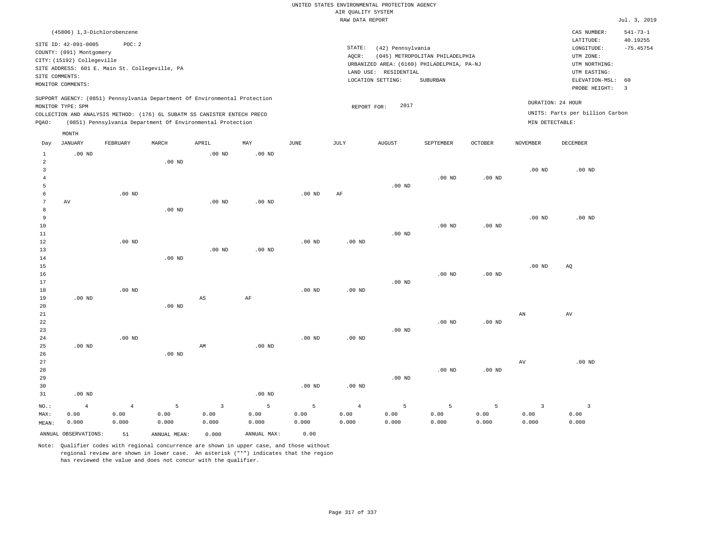|                |                                     |                                                |               |                                                                            |                   |                   |                    | UNITED STATES ENVIRONMENTAL PROTECTION AGENCY |                                            |                |                        |                                 |                            |
|----------------|-------------------------------------|------------------------------------------------|---------------|----------------------------------------------------------------------------|-------------------|-------------------|--------------------|-----------------------------------------------|--------------------------------------------|----------------|------------------------|---------------------------------|----------------------------|
|                |                                     |                                                |               |                                                                            |                   |                   | AIR QUALITY SYSTEM |                                               |                                            |                |                        |                                 |                            |
|                |                                     |                                                |               |                                                                            |                   |                   | RAW DATA REPORT    |                                               |                                            |                |                        |                                 | Jul. 3, 2019               |
|                | (45806) 1,3-Dichlorobenzene         |                                                |               |                                                                            |                   |                   |                    |                                               |                                            |                |                        | CAS NUMBER:<br>LATITUDE:        | $541 - 73 - 1$<br>40.19255 |
|                | SITE ID: 42-091-0005                | POC: 2                                         |               |                                                                            |                   |                   | STATE:             | (42) Pennsylvania                             |                                            |                |                        | LONGITUDE:                      | $-75.45754$                |
|                | COUNTY: (091) Montgomery            |                                                |               |                                                                            |                   |                   | AQCR:              |                                               | (045) METROPOLITAN PHILADELPHIA            |                |                        | UTM ZONE:                       |                            |
|                | CITY: (15192) Collegeville          |                                                |               |                                                                            |                   |                   |                    |                                               | URBANIZED AREA: (6160) PHILADELPHIA, PA-NJ |                |                        | UTM NORTHING:                   |                            |
|                |                                     | SITE ADDRESS: 601 E. Main St. Collegeville, PA |               |                                                                            |                   |                   |                    | LAND USE: RESIDENTIAL                         |                                            |                |                        | UTM EASTING:                    |                            |
|                | SITE COMMENTS:<br>MONITOR COMMENTS: |                                                |               |                                                                            |                   |                   |                    | LOCATION SETTING:                             | SUBURBAN                                   |                |                        | ELEVATION-MSL:                  | 60                         |
|                |                                     |                                                |               |                                                                            |                   |                   |                    |                                               |                                            |                |                        | PROBE HEIGHT:                   | $\overline{3}$             |
|                |                                     |                                                |               | SUPPORT AGENCY: (0851) Pennsylvania Department Of Environmental Protection |                   |                   |                    |                                               |                                            |                |                        | DURATION: 24 HOUR               |                            |
|                | MONITOR TYPE: SPM                   |                                                |               |                                                                            |                   |                   | REPORT FOR:        | 2017                                          |                                            |                |                        |                                 |                            |
|                |                                     |                                                |               | COLLECTION AND ANALYSIS METHOD: (176) 6L SUBATM SS CANISTER ENTECH PRECO   |                   |                   |                    |                                               |                                            |                |                        | UNITS: Parts per billion Carbon |                            |
| PQAO:          |                                     |                                                |               | (0851) Pennsylvania Department Of Environmental Protection                 |                   |                   |                    |                                               |                                            |                | MIN DETECTABLE:        |                                 |                            |
|                | MONTH                               |                                                |               |                                                                            |                   |                   |                    |                                               |                                            |                |                        |                                 |                            |
| Day            | <b>JANUARY</b>                      | FEBRUARY                                       | MARCH         | APRIL                                                                      | $\texttt{MAX}$    | JUNE              | JULY               | <b>AUGUST</b>                                 | SEPTEMBER                                  | <b>OCTOBER</b> | <b>NOVEMBER</b>        | DECEMBER                        |                            |
| $\mathbf{1}$   | $.00$ ND                            |                                                |               | $.00$ ND                                                                   | $.00$ ND          |                   |                    |                                               |                                            |                |                        |                                 |                            |
| $\overline{a}$ |                                     |                                                | $.00$ ND      |                                                                            |                   |                   |                    |                                               |                                            |                |                        |                                 |                            |
| $\overline{3}$ |                                     |                                                |               |                                                                            |                   |                   |                    |                                               |                                            |                | .00 <sub>ND</sub>      | .00 <sub>ND</sub>               |                            |
| $\overline{4}$ |                                     |                                                |               |                                                                            |                   |                   |                    |                                               | $.00$ ND                                   | $.00$ ND       |                        |                                 |                            |
| 5              |                                     |                                                |               |                                                                            |                   |                   |                    | $.00$ ND                                      |                                            |                |                        |                                 |                            |
| 6              |                                     | $.00$ ND                                       |               |                                                                            |                   | $.00$ ND          | AF                 |                                               |                                            |                |                        |                                 |                            |
| 7              | $\,\mathrm{AV}$                     |                                                |               | .00 <sub>ND</sub>                                                          | .00 <sub>ND</sub> |                   |                    |                                               |                                            |                |                        |                                 |                            |
| 8              |                                     |                                                | $.00$ ND      |                                                                            |                   |                   |                    |                                               |                                            |                |                        |                                 |                            |
| 9              |                                     |                                                |               |                                                                            |                   |                   |                    |                                               |                                            |                | .00 <sub>ND</sub>      | $.00$ ND                        |                            |
| 10<br>11       |                                     |                                                |               |                                                                            |                   |                   |                    | .00 <sub>ND</sub>                             | $.00$ ND                                   | $.00$ ND       |                        |                                 |                            |
| 12             |                                     | $.00$ ND                                       |               |                                                                            |                   | .00 <sub>ND</sub> | .00 <sub>ND</sub>  |                                               |                                            |                |                        |                                 |                            |
| 13             |                                     |                                                |               | $.00$ ND                                                                   | $.00$ ND          |                   |                    |                                               |                                            |                |                        |                                 |                            |
| 14             |                                     |                                                | $.00$ ND      |                                                                            |                   |                   |                    |                                               |                                            |                |                        |                                 |                            |
| 15             |                                     |                                                |               |                                                                            |                   |                   |                    |                                               |                                            |                | .00 <sub>ND</sub>      | AQ                              |                            |
| 16             |                                     |                                                |               |                                                                            |                   |                   |                    |                                               | $.00$ ND                                   | $.00$ ND       |                        |                                 |                            |
| 17             |                                     |                                                |               |                                                                            |                   |                   |                    | $.00$ ND                                      |                                            |                |                        |                                 |                            |
| 18             |                                     | $.00$ ND                                       |               |                                                                            |                   | $.00$ ND          | .00 <sub>ND</sub>  |                                               |                                            |                |                        |                                 |                            |
| 19             | .00 <sub>ND</sub>                   |                                                |               | $\mathbb{A}\mathbb{S}$                                                     | $\rm AF$          |                   |                    |                                               |                                            |                |                        |                                 |                            |
| 20<br>21       |                                     |                                                | $.00$ ND      |                                                                            |                   |                   |                    |                                               |                                            |                |                        | $\operatorname{AV}$             |                            |
| 22             |                                     |                                                |               |                                                                            |                   |                   |                    |                                               | $.00$ ND                                   | $.00$ ND       | $\mathbb{A}\mathbb{N}$ |                                 |                            |
| 23             |                                     |                                                |               |                                                                            |                   |                   |                    | .00 <sub>ND</sub>                             |                                            |                |                        |                                 |                            |
| 24             |                                     | $.00$ ND                                       |               |                                                                            |                   | .00 <sub>ND</sub> | .00 <sub>ND</sub>  |                                               |                                            |                |                        |                                 |                            |
| 25             | $.00$ ND                            |                                                |               | AM                                                                         | $.00$ ND          |                   |                    |                                               |                                            |                |                        |                                 |                            |
| 26             |                                     |                                                | $.00$ ND      |                                                                            |                   |                   |                    |                                               |                                            |                |                        |                                 |                            |
| 27             |                                     |                                                |               |                                                                            |                   |                   |                    |                                               |                                            |                | $\operatorname{AV}$    | $.00$ ND                        |                            |
| 28             |                                     |                                                |               |                                                                            |                   |                   |                    |                                               | $.00$ ND                                   | $.00$ ND       |                        |                                 |                            |
| 29             |                                     |                                                |               |                                                                            |                   |                   |                    | .00 <sub>ND</sub>                             |                                            |                |                        |                                 |                            |
| 30             |                                     |                                                |               |                                                                            |                   | $.00$ ND          | $.00$ ND           |                                               |                                            |                |                        |                                 |                            |
| 31             | $.00$ ND                            |                                                |               |                                                                            | .00 <sub>ND</sub> |                   |                    |                                               |                                            |                |                        |                                 |                            |
| $NO.$ :        | $\overline{4}$                      | $\overline{4}$                                 | $\sqrt{5}$    | $\overline{3}$                                                             | $\mathsf S$       | 5                 | $\overline{4}$     | 5                                             | 5                                          | 5              | $\overline{3}$         | $\overline{3}$                  |                            |
| MAX:           | 0.00                                | 0.00                                           | 0.00          | 0.00                                                                       | 0.00              | 0.00              | 0.00               | 0.00                                          | 0.00                                       | 0.00           | 0.00                   | 0.00                            |                            |
| MEAN:          | 0.000                               | 0.000                                          | 0.000         | 0.000                                                                      | 0.000             | 0.000             | 0.000              | 0.000                                         | 0.000                                      | 0.000          | 0.000                  | 0.000                           |                            |
|                | ANNUAL OBSERVATIONS:                | 51                                             | ANNUAL, MEAN: | 0.000                                                                      | ANNUAL MAX:       | 0.00              |                    |                                               |                                            |                |                        |                                 |                            |

Note: Qualifier codes with regional concurrence are shown in upper case, and those without regional review are shown in lower case. An asterisk ("\*") indicates that the region

has reviewed the value and does not concur with the qualifier.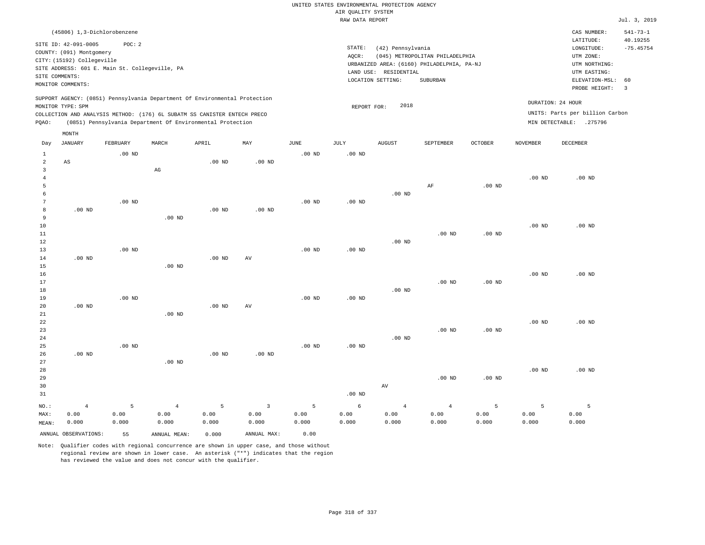|                                       |                                                                                                                                    |                                                          |                                                                                                                                        |                    |                                 |                    |                                       | UNITED STATES ENVIRONMENTAL PROTECTION AGENCY                   |                                                                                           |                    |                    |                                                                                                                         |                                                                   |
|---------------------------------------|------------------------------------------------------------------------------------------------------------------------------------|----------------------------------------------------------|----------------------------------------------------------------------------------------------------------------------------------------|--------------------|---------------------------------|--------------------|---------------------------------------|-----------------------------------------------------------------|-------------------------------------------------------------------------------------------|--------------------|--------------------|-------------------------------------------------------------------------------------------------------------------------|-------------------------------------------------------------------|
|                                       |                                                                                                                                    |                                                          |                                                                                                                                        |                    |                                 |                    | AIR QUALITY SYSTEM<br>RAW DATA REPORT |                                                                 |                                                                                           |                    |                    |                                                                                                                         | Jul. 3, 2019                                                      |
|                                       |                                                                                                                                    |                                                          |                                                                                                                                        |                    |                                 |                    |                                       |                                                                 |                                                                                           |                    |                    |                                                                                                                         |                                                                   |
| SITE COMMENTS:                        | (45806) 1,3-Dichlorobenzene<br>SITE ID: 42-091-0005<br>COUNTY: (091) Montgomery<br>CITY: (15192) Collegeville<br>MONITOR COMMENTS: | POC: 2<br>SITE ADDRESS: 601 E. Main St. Collegeville, PA |                                                                                                                                        |                    |                                 |                    | STATE:<br>AQCR:                       | (42) Pennsylvania<br>LAND USE: RESIDENTIAL<br>LOCATION SETTING: | (045) METROPOLITAN PHILADELPHIA<br>URBANIZED AREA: (6160) PHILADELPHIA, PA-NJ<br>SUBURBAN |                    |                    | CAS NUMBER:<br>LATITUDE:<br>LONGITUDE:<br>UTM ZONE:<br>UTM NORTHING:<br>UTM EASTING:<br>ELEVATION-MSL:<br>PROBE HEIGHT: | $541 - 73 - 1$<br>40.19255<br>$-75.45754$<br>60<br>$\overline{3}$ |
|                                       |                                                                                                                                    |                                                          | SUPPORT AGENCY: (0851) Pennsylvania Department Of Environmental Protection                                                             |                    |                                 |                    |                                       |                                                                 |                                                                                           |                    |                    |                                                                                                                         |                                                                   |
| PQAO:                                 | MONITOR TYPE: SPM                                                                                                                  |                                                          | COLLECTION AND ANALYSIS METHOD: (176) 6L SUBATM SS CANISTER ENTECH PRECO<br>(0851) Pennsylvania Department Of Environmental Protection |                    |                                 |                    | REPORT FOR:                           | 2018                                                            |                                                                                           |                    |                    | DURATION: 24 HOUR<br>UNITS: Parts per billion Carbon<br>MIN DETECTABLE: .275796                                         |                                                                   |
|                                       | MONTH                                                                                                                              |                                                          |                                                                                                                                        |                    |                                 |                    |                                       |                                                                 |                                                                                           |                    |                    |                                                                                                                         |                                                                   |
| Day                                   | <b>JANUARY</b>                                                                                                                     | FEBRUARY                                                 | MARCH                                                                                                                                  | APRIL              | MAY                             | <b>JUNE</b>        | $\mathtt{JULY}$                       | ${\tt AUGUST}$                                                  | SEPTEMBER                                                                                 | <b>OCTOBER</b>     | <b>NOVEMBER</b>    | DECEMBER                                                                                                                |                                                                   |
| 1<br>$\overline{2}$                   | AS                                                                                                                                 | $.00$ ND                                                 |                                                                                                                                        | $.00$ ND           | $.00$ ND                        | $.00$ ND           | $.00$ ND                              |                                                                 |                                                                                           |                    |                    |                                                                                                                         |                                                                   |
| $\overline{3}$<br>$\overline{4}$<br>5 |                                                                                                                                    |                                                          | $_{\rm AG}$                                                                                                                            |                    |                                 |                    |                                       |                                                                 | $\rm{AF}$                                                                                 | .00 <sub>ND</sub>  | .00 <sub>ND</sub>  | .00 <sub>ND</sub>                                                                                                       |                                                                   |
| 6<br>$7\phantom{.0}$<br>8             | $.00$ ND                                                                                                                           | $.00$ ND                                                 |                                                                                                                                        | $.00$ ND           | $.00$ ND                        | $.00$ ND           | $.00$ ND                              | $.00$ ND                                                        |                                                                                           |                    |                    |                                                                                                                         |                                                                   |
| 9<br>10                               |                                                                                                                                    |                                                          | $.00$ ND                                                                                                                               |                    |                                 |                    |                                       |                                                                 |                                                                                           |                    | .00 <sub>ND</sub>  | .00 <sub>ND</sub>                                                                                                       |                                                                   |
| $1\,1$<br>$1\,2$<br>13                |                                                                                                                                    | $.00$ ND                                                 |                                                                                                                                        |                    |                                 | $.00$ ND           | $.00$ ND                              | $.00$ ND                                                        | $.00$ ND                                                                                  | .00 <sub>ND</sub>  |                    |                                                                                                                         |                                                                   |
| 14<br>15<br>16                        | $.00$ ND                                                                                                                           |                                                          | $.00$ ND                                                                                                                               | .00 <sub>ND</sub>  | AV                              |                    |                                       |                                                                 |                                                                                           |                    | $.00$ ND           | $.00$ ND                                                                                                                |                                                                   |
| 17<br>18<br>19                        |                                                                                                                                    | $.00$ ND                                                 |                                                                                                                                        |                    |                                 | $.00$ ND           | .00 <sub>ND</sub>                     | $.00$ ND                                                        | $.00$ ND                                                                                  | $.00$ ND           |                    |                                                                                                                         |                                                                   |
| 20<br>21                              | .00 <sub>ND</sub>                                                                                                                  |                                                          | $.00$ ND                                                                                                                               | $.00$ ND           | AV                              |                    |                                       |                                                                 |                                                                                           |                    |                    |                                                                                                                         |                                                                   |
| 22<br>23<br>24                        |                                                                                                                                    |                                                          |                                                                                                                                        |                    |                                 |                    |                                       | $.00$ ND                                                        | $.00$ ND                                                                                  | .00 <sub>ND</sub>  | $.00$ ND           | $.00$ ND                                                                                                                |                                                                   |
| 25<br>26<br>27                        | .00 <sub>ND</sub>                                                                                                                  | .00 <sub>ND</sub>                                        | $.00$ ND                                                                                                                               | .00 <sub>ND</sub>  | .00 <sub>ND</sub>               | $.00$ ND           | $.00$ ND                              |                                                                 |                                                                                           |                    |                    |                                                                                                                         |                                                                   |
| 28<br>29<br>30<br>31                  |                                                                                                                                    |                                                          |                                                                                                                                        |                    |                                 |                    | $.00$ ND                              | AV                                                              | $.00$ ND                                                                                  | $.00$ ND           | $.00$ ND           | $.00$ ND                                                                                                                |                                                                   |
| NO.:<br>MAX:                          | $\overline{4}$<br>0.00<br>0.000                                                                                                    | 5<br>0.00<br>0.000                                       | $\overline{4}$<br>0.00<br>0.000                                                                                                        | 5<br>0.00<br>0.000 | $\overline{3}$<br>0.00<br>0.000 | 5<br>0.00<br>0.000 | 6<br>0.00<br>0.000                    | $\overline{4}$<br>0.00<br>0.000                                 | $\overline{4}$<br>0.00<br>0.000                                                           | 5<br>0.00<br>0.000 | 5<br>0.00<br>0.000 | $\overline{5}$<br>0.00<br>0.000                                                                                         |                                                                   |
| MEAN:                                 | ANNUAL OBSERVATIONS:                                                                                                               | 55                                                       | ANNUAL MEAN:                                                                                                                           | 0.000              | ANNUAL MAX:                     | 0.00               |                                       |                                                                 |                                                                                           |                    |                    |                                                                                                                         |                                                                   |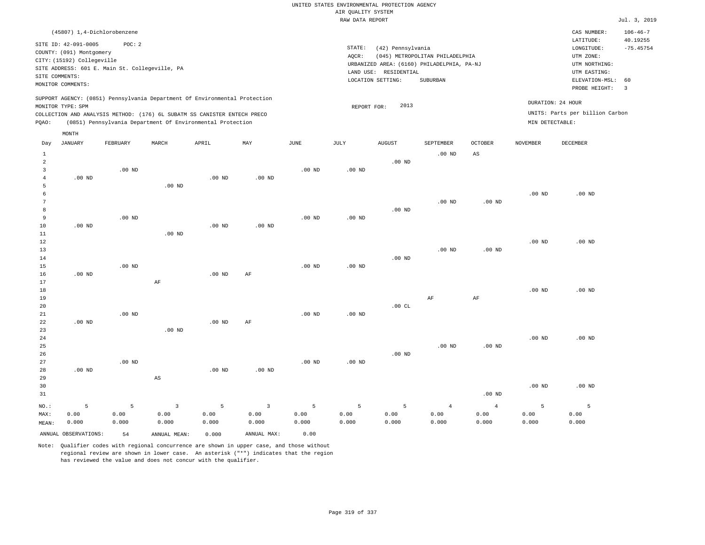## UNITED STATES ENVIRONMENTAL PROTECTION AGENCY AIR QUALITY SYSTEM

| (45807) 1,4-Dichlorobenzene<br>CAS NUMBER:<br>LATITUDE:<br>SITE ID: 42-091-0005<br>POC: 2<br>STATE:<br>(42) Pennsylvania<br>LONGITUDE:<br>COUNTY: (091) Montgomery<br>AQCR:<br>(045) METROPOLITAN PHILADELPHIA<br>UTM ZONE:<br>CITY: (15192) Collegeville | $106 - 46 - 7$<br>40.19255<br>$-75.45754$<br>60<br>$\overline{\mathbf{3}}$ |
|-----------------------------------------------------------------------------------------------------------------------------------------------------------------------------------------------------------------------------------------------------------|----------------------------------------------------------------------------|
|                                                                                                                                                                                                                                                           |                                                                            |
|                                                                                                                                                                                                                                                           |                                                                            |
|                                                                                                                                                                                                                                                           |                                                                            |
| URBANIZED AREA: (6160) PHILADELPHIA, PA-NJ<br>UTM NORTHING:                                                                                                                                                                                               |                                                                            |
| SITE ADDRESS: 601 E. Main St. Collegeville, PA<br>LAND USE: RESIDENTIAL<br>UTM EASTING:                                                                                                                                                                   |                                                                            |
| SITE COMMENTS:<br>SUBURBAN<br>LOCATION SETTING:<br>ELEVATION-MSL:<br>MONITOR COMMENTS:                                                                                                                                                                    |                                                                            |
| PROBE HEIGHT:                                                                                                                                                                                                                                             |                                                                            |
| SUPPORT AGENCY: (0851) Pennsylvania Department Of Environmental Protection<br>DURATION: 24 HOUR<br>2013                                                                                                                                                   |                                                                            |
| MONITOR TYPE: SPM<br>REPORT FOR:<br>UNITS: Parts per billion Carbon<br>COLLECTION AND ANALYSIS METHOD: (176) 6L SUBATM SS CANISTER ENTECH PRECO                                                                                                           |                                                                            |
| MIN DETECTABLE:<br>PQAO:<br>(0851) Pennsylvania Department Of Environmental Protection                                                                                                                                                                    |                                                                            |
| MONTH                                                                                                                                                                                                                                                     |                                                                            |
| FEBRUARY<br>APRIL<br>MAY<br>JUNE<br>JULY<br><b>AUGUST</b><br><b>OCTOBER</b><br><b>DECEMBER</b><br>Day<br>JANUARY<br>MARCH<br>SEPTEMBER<br><b>NOVEMBER</b>                                                                                                 |                                                                            |
| $\mathbf{1}$<br>.00 <sub>ND</sub><br>$\mathbb{A}\mathbb{S}$                                                                                                                                                                                               |                                                                            |
| $\overline{a}$<br>$.00$ ND                                                                                                                                                                                                                                |                                                                            |
| $\overline{3}$<br>.00 <sub>ND</sub><br>$.00$ ND<br>$.00$ ND                                                                                                                                                                                               |                                                                            |
| $.00$ ND<br>$.00$ ND<br>$\overline{4}$<br>$.00$ ND                                                                                                                                                                                                        |                                                                            |
| $.00$ ND<br>5                                                                                                                                                                                                                                             |                                                                            |
| 6<br>.00 <sub>ND</sub><br>.00 <sub>ND</sub><br>7<br>$.00$ ND<br>.00 <sub>ND</sub>                                                                                                                                                                         |                                                                            |
| 8<br>$.00$ ND                                                                                                                                                                                                                                             |                                                                            |
| 9<br>$.00$ ND<br>$.00$ ND<br>$.00$ ND                                                                                                                                                                                                                     |                                                                            |
| 10<br>$.00$ ND<br>$.00$ ND<br>$.00$ ND                                                                                                                                                                                                                    |                                                                            |
| 11<br>$.00$ ND                                                                                                                                                                                                                                            |                                                                            |
| 12<br>.00 <sub>ND</sub><br>$.00$ ND                                                                                                                                                                                                                       |                                                                            |
| 13<br>$.00$ ND<br>.00 <sub>ND</sub>                                                                                                                                                                                                                       |                                                                            |
| $.00$ ND<br>14                                                                                                                                                                                                                                            |                                                                            |
| 15<br>$.00$ ND<br>.00 <sub>ND</sub><br>.00 <sub>ND</sub>                                                                                                                                                                                                  |                                                                            |
| $.00$ ND<br>$.00$ ND<br>$\rm AF$<br>16                                                                                                                                                                                                                    |                                                                            |
| 17<br>AF<br>18<br>.00 <sub>ND</sub><br>$.00$ ND                                                                                                                                                                                                           |                                                                            |
| $\rm{AF}$<br>$\rm AF$<br>19                                                                                                                                                                                                                               |                                                                            |
| 20<br>.00CL                                                                                                                                                                                                                                               |                                                                            |
| 21<br>.00 <sub>ND</sub><br>.00 <sub>ND</sub><br>$.00$ ND                                                                                                                                                                                                  |                                                                            |
| 22<br>$.00$ ND<br>$.00$ ND<br>AF                                                                                                                                                                                                                          |                                                                            |
| 23<br>$.00$ ND                                                                                                                                                                                                                                            |                                                                            |
| 24<br>.00 <sub>ND</sub><br>$.00$ ND                                                                                                                                                                                                                       |                                                                            |
| 25<br>$.00$ ND<br>.00 <sub>ND</sub>                                                                                                                                                                                                                       |                                                                            |
| 26<br>$.00$ ND                                                                                                                                                                                                                                            |                                                                            |
| 27<br>$.00$ ND<br>$.00$ ND<br>.00 <sub>ND</sub>                                                                                                                                                                                                           |                                                                            |
| 28<br>$.00$ ND<br>$.00$ ND<br>$.00$ ND<br>29<br>$_{\rm AS}$                                                                                                                                                                                               |                                                                            |
| 30<br>.00 <sub>ND</sub><br>$.00$ ND                                                                                                                                                                                                                       |                                                                            |
| 31<br>$.00$ ND                                                                                                                                                                                                                                            |                                                                            |

|         |                      |           |                     |       |             |       |       |       |       | ______   |       |       |
|---------|----------------------|-----------|---------------------|-------|-------------|-------|-------|-------|-------|----------|-------|-------|
| $NO.$ : |                      |           | 5 5 3 5 3 5 5 5 5 4 |       |             |       |       |       |       | $\sim$ 4 |       |       |
| MAX:    | 0.00                 | 0.00      | 0.00                | 0.00  | 0.00        | 0.00  | 0.00  | 0.00  | 0.00  | 0.00     | 0.00  | 0.00  |
| MEAN:   | 0.000                | 0.000     | 0.000               | 0.000 | 0.000       | 0.000 | 0.000 | 0.000 | 0.000 | 0.000    | 0.000 | 0.000 |
|         | ANNUAL OBSERVATIONS: | $-1$ $54$ | ANNUAL MEAN:        | 0.000 | ANNUAL MAX: | 0.00  |       |       |       |          |       |       |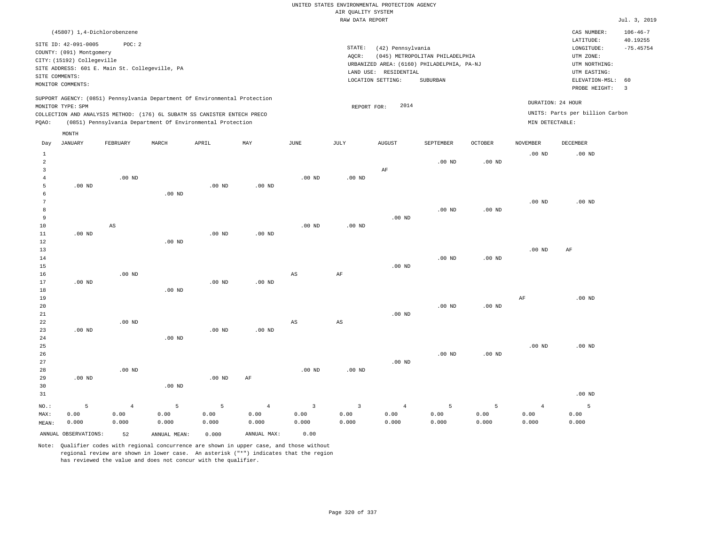| (45807) 1,4-Dichlorobenzene                                                                                                                                                                                                                                 |                                                                                                                                                                                 | CAS NUMBER:                                                                                                 | $106 - 46 - 7$          |
|-------------------------------------------------------------------------------------------------------------------------------------------------------------------------------------------------------------------------------------------------------------|---------------------------------------------------------------------------------------------------------------------------------------------------------------------------------|-------------------------------------------------------------------------------------------------------------|-------------------------|
| SITE ID: 42-091-0005<br>POC:2<br>COUNTY: (091) Montgomery<br>CITY: (15192) Collegeville<br>SITE ADDRESS: 601 E. Main St. Collegeville, PA<br>SITE COMMENTS:<br>MONITOR COMMENTS:                                                                            | STATE:<br>(42) Pennsylvania<br>(045) METROPOLITAN PHILADELPHIA<br>AOCR:<br>URBANIZED AREA: (6160) PHILADELPHIA, PA-NJ<br>LAND USE: RESIDENTIAL<br>LOCATION SETTING:<br>SUBURBAN | LATITUDE:<br>LONGITUDE:<br>UTM ZONE:<br>UTM NORTHING:<br>UTM EASTING:<br>ELEVATION-MSL: 60<br>PROBE HEIGHT: | 40.19255<br>$-75.45754$ |
| SUPPORT AGENCY: (0851) Pennsylvania Department Of Environmental Protection<br>MONITOR TYPE: SPM<br>COLLECTION AND ANALYSIS METHOD: (176) 6L SUBATM SS CANISTER ENTECH PRECO<br>(0851) Pennsylvania Department Of Environmental Protection<br>POAO:<br>MONTH | 2014<br>REPORT FOR:                                                                                                                                                             | DURATION: 24 HOUR<br>UNITS: Parts per billion Carbon<br>MIN DETECTABLE:                                     |                         |

| Day            | <b>JANUARY</b>       | FEBRUARY               | MARCH        | APRIL    | MAY            | JUNE                    | $\mathtt{JULY}$ | AUGUST         | SEPTEMBER | <b>OCTOBER</b>    | NOVEMBER       | <b>DECEMBER</b> |
|----------------|----------------------|------------------------|--------------|----------|----------------|-------------------------|-----------------|----------------|-----------|-------------------|----------------|-----------------|
| $\mathbf{1}$   |                      |                        |              |          |                |                         |                 |                |           |                   | $.00$ ND       | $.00$ ND        |
| $\overline{a}$ |                      |                        |              |          |                |                         |                 |                | $.00$ ND  | .00 <sub>ND</sub> |                |                 |
| 3              |                      |                        |              |          |                |                         |                 | $\rm AF$       |           |                   |                |                 |
| $\overline{4}$ |                      | .00 $ND$               |              |          |                | $.00$ ND                | $.00$ ND        |                |           |                   |                |                 |
| 5              | .00 $ND$             |                        |              | .00 $ND$ | $.00$ ND       |                         |                 |                |           |                   |                |                 |
| 6              |                      |                        | $.00$ ND     |          |                |                         |                 |                |           |                   |                |                 |
| 7              |                      |                        |              |          |                |                         |                 |                |           |                   | $.00$ ND       | $.00$ ND        |
| 8              |                      |                        |              |          |                |                         |                 |                | $.00$ ND  | $.00$ ND          |                |                 |
| 9              |                      |                        |              |          |                |                         |                 | $.00$ ND       |           |                   |                |                 |
| 10             |                      | $\mathbb{A}\mathbb{S}$ |              |          |                | $.00$ ND                | $.00$ ND        |                |           |                   |                |                 |
| 11             | $.00$ ND             |                        |              | $.00$ ND | $.00$ ND       |                         |                 |                |           |                   |                |                 |
| 12             |                      |                        | $.00$ ND     |          |                |                         |                 |                |           |                   |                |                 |
| 13             |                      |                        |              |          |                |                         |                 |                |           |                   | $.00$ ND       | $\rm AF$        |
| 14             |                      |                        |              |          |                |                         |                 |                | $.00$ ND  | $.00$ ND          |                |                 |
| 15<br>16       |                      | $.00$ ND               |              |          |                | AS                      | $\rm AF$        | $.00$ ND       |           |                   |                |                 |
| 17             | $.00$ ND             |                        |              | $.00$ ND | $.00$ ND       |                         |                 |                |           |                   |                |                 |
| 18             |                      |                        | $.00$ ND     |          |                |                         |                 |                |           |                   |                |                 |
| 19             |                      |                        |              |          |                |                         |                 |                |           |                   | $\rm{AF}$      | $.00$ ND        |
| 20             |                      |                        |              |          |                |                         |                 |                | $.00$ ND  | .00 <sub>ND</sub> |                |                 |
| 21             |                      |                        |              |          |                |                         |                 | $.00$ ND       |           |                   |                |                 |
| $2\sqrt{2}$    |                      | $.00$ ND               |              |          |                | AS                      | AS              |                |           |                   |                |                 |
| 23             | $.00$ ND             |                        |              | $.00$ ND | $.00$ ND       |                         |                 |                |           |                   |                |                 |
| 24             |                      |                        | $.00$ ND     |          |                |                         |                 |                |           |                   |                |                 |
| $_{\rm 25}$    |                      |                        |              |          |                |                         |                 |                |           |                   | $.00$ ND       | $.00$ ND        |
| $26\,$         |                      |                        |              |          |                |                         |                 |                | $.00$ ND  | .00 <sub>ND</sub> |                |                 |
| 27             |                      |                        |              |          |                |                         |                 | $.00$ ND       |           |                   |                |                 |
| 28             |                      | $.00$ ND               |              |          |                | $.00$ ND                | .00 $ND$        |                |           |                   |                |                 |
| 29             | $.00$ ND             |                        |              | .00 $ND$ | AF             |                         |                 |                |           |                   |                |                 |
| 30             |                      |                        | $.00$ ND     |          |                |                         |                 |                |           |                   |                |                 |
| 31             |                      |                        |              |          |                |                         |                 |                |           |                   |                | $.00$ ND        |
| $NO.$ :        | $\overline{5}$       | $\overline{4}$         | $\mathsf S$  | 5        | $\overline{4}$ | $\overline{\mathbf{3}}$ | $\overline{3}$  | $\overline{4}$ | 5         | 5                 | $\overline{4}$ | 5               |
| MAX:           | 0.00                 | 0.00                   | 0.00         | 0.00     | 0.00           | 0.00                    | 0.00            | 0.00           | 0.00      | 0.00              | 0.00           | 0.00            |
| MEAN:          | 0.000                | 0.000                  | 0.000        | 0.000    | 0.000          | 0.000                   | 0.000           | 0.000          | 0.000     | 0.000             | 0.000          | 0.000           |
|                | ANNUAL OBSERVATIONS: | 52                     | ANNUAL MEAN: | 0.000    | ANNUAL MAX:    | 0.00                    |                 |                |           |                   |                |                 |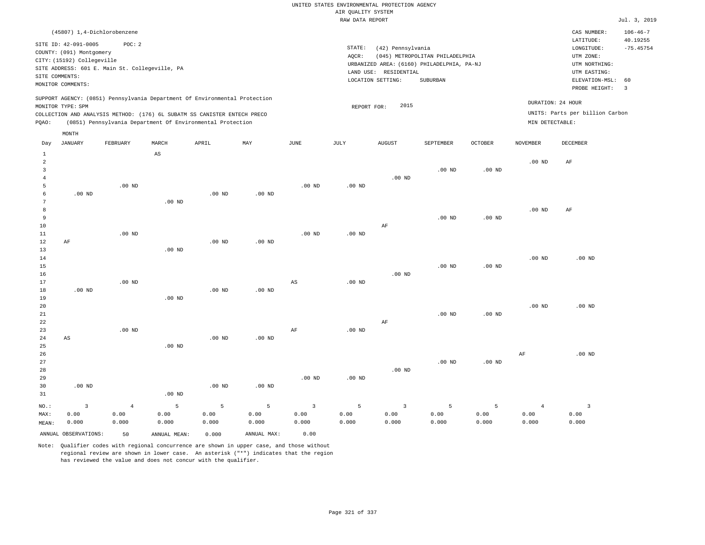| (45807) 1,4-Dichlorobenzene                                                                                                                                                                                                                        |                                                                                                                                                                                 | CAS NUMBER:                                                                                                 | $106 - 46 - 7$                                     |
|----------------------------------------------------------------------------------------------------------------------------------------------------------------------------------------------------------------------------------------------------|---------------------------------------------------------------------------------------------------------------------------------------------------------------------------------|-------------------------------------------------------------------------------------------------------------|----------------------------------------------------|
| SITE ID: 42-091-0005<br>POC:2<br>COUNTY: (091) Montgomery<br>CITY: (15192) Collegeville<br>SITE ADDRESS: 601 E. Main St. Collegeville, PA<br>SITE COMMENTS:<br>MONITOR COMMENTS:                                                                   | STATE:<br>(42) Pennsylvania<br>(045) METROPOLITAN PHILADELPHIA<br>AOCR:<br>URBANIZED AREA: (6160) PHILADELPHIA, PA-NJ<br>LAND USE: RESIDENTIAL<br>LOCATION SETTING:<br>SUBURBAN | LATITUDE:<br>LONGITUDE:<br>UTM ZONE:<br>UTM NORTHING:<br>UTM EASTING:<br>ELEVATION-MSL: 60<br>PROBE HEIGHT: | 40.19255<br>$-75.45754$<br>$\overline{\mathbf{3}}$ |
| SUPPORT AGENCY: (0851) Pennsylvania Department Of Environmental Protection<br>MONITOR TYPE: SPM<br>COLLECTION AND ANALYSIS METHOD: (176) 6L SUBATM SS CANISTER ENTECH PRECO<br>(0851) Pennsylvania Department Of Environmental Protection<br>POAO: | 2015<br>REPORT FOR:                                                                                                                                                             | DURATION: 24 HOUR<br>UNITS: Parts per billion Carbon<br>MIN DETECTABLE:                                     |                                                    |
| MONTH                                                                                                                                                                                                                                              |                                                                                                                                                                                 |                                                                                                             |                                                    |

| Day            | JANUARY                | FEBRUARY       | MARCH                  | APRIL    | MAY               | $_{\rm JUNE}$  | $\mathtt{JULY}$ | AUGUST                  | SEPTEMBER         | $\mathtt{OCTOBER}$ | $\,$ NOVEMBER     | $\tt DECEMBER$          |
|----------------|------------------------|----------------|------------------------|----------|-------------------|----------------|-----------------|-------------------------|-------------------|--------------------|-------------------|-------------------------|
| $\mathbf{1}$   |                        |                | $\mathbb{A}\mathbb{S}$ |          |                   |                |                 |                         |                   |                    |                   |                         |
| $\overline{a}$ |                        |                |                        |          |                   |                |                 |                         |                   |                    | $.00$ ND          | $\rm{AF}$               |
| 3              |                        |                |                        |          |                   |                |                 |                         | $.00$ ND          | $.00$ ND           |                   |                         |
| $\overline{4}$ |                        |                |                        |          |                   |                |                 | $.00$ ND                |                   |                    |                   |                         |
| 5              |                        | $.00$ ND       |                        |          |                   | $.00$ ND       | $.00$ ND        |                         |                   |                    |                   |                         |
| 6              | $.00$ ND               |                |                        | $.00$ ND | $.00$ ND          |                |                 |                         |                   |                    |                   |                         |
| 7              |                        |                | $.00$ ND               |          |                   |                |                 |                         |                   |                    |                   |                         |
| 8              |                        |                |                        |          |                   |                |                 |                         |                   |                    | $.00$ ND          | AF                      |
| 9              |                        |                |                        |          |                   |                |                 |                         | $.00$ ND          | $.00$ ND           |                   |                         |
| $10$           |                        |                |                        |          |                   |                |                 | $\rm AF$                |                   |                    |                   |                         |
| $11\,$         |                        | $.00$ ND       |                        |          |                   | $.00$ ND       | $.00$ ND        |                         |                   |                    |                   |                         |
| 12             | AF                     |                |                        | $.00$ ND | $.00$ ND          |                |                 |                         |                   |                    |                   |                         |
| 13             |                        |                | $.00$ ND               |          |                   |                |                 |                         |                   |                    |                   |                         |
| 14             |                        |                |                        |          |                   |                |                 |                         |                   |                    | .00 <sub>ND</sub> | $.00$ ND                |
| 15             |                        |                |                        |          |                   |                |                 |                         | $.00$ ND          | $.00$ ND           |                   |                         |
| 16             |                        |                |                        |          |                   |                |                 | $.00$ ND                |                   |                    |                   |                         |
| 17             |                        | $.00$ ND       |                        |          |                   | AS             | $.00$ ND        |                         |                   |                    |                   |                         |
| 18             | .00 $ND$               |                |                        | $.00$ ND | $.00$ ND          |                |                 |                         |                   |                    |                   |                         |
| 19             |                        |                | $.00$ ND               |          |                   |                |                 |                         |                   |                    |                   |                         |
| 20             |                        |                |                        |          |                   |                |                 |                         |                   |                    | $.00$ ND          | $.00$ ND                |
| 21             |                        |                |                        |          |                   |                |                 |                         | $.00$ ND          | $.00$ ND           |                   |                         |
| $2\sqrt{2}$    |                        |                |                        |          |                   |                |                 | $\rm AF$                |                   |                    |                   |                         |
| 23             |                        | $.00$ ND       |                        |          |                   | AF             | $.00$ ND        |                         |                   |                    |                   |                         |
| $2\,4$         | $\mathbb{A}\mathbb{S}$ |                |                        | $.00$ ND | $.00$ ND          |                |                 |                         |                   |                    |                   |                         |
| 25             |                        |                | $.00$ ND               |          |                   |                |                 |                         |                   |                    |                   |                         |
| 26             |                        |                |                        |          |                   |                |                 |                         |                   |                    | $\rm{AF}$         | $.00$ ND                |
| 27<br>28       |                        |                |                        |          |                   |                |                 | $.00$ ND                | .00 <sub>ND</sub> | $.00$ ND           |                   |                         |
| 29             |                        |                |                        |          |                   | $.00$ ND       | $.00$ ND        |                         |                   |                    |                   |                         |
| 30             | $.00$ ND               |                |                        | $.00$ ND | .00 <sub>ND</sub> |                |                 |                         |                   |                    |                   |                         |
| 31             |                        |                | $.00$ ND               |          |                   |                |                 |                         |                   |                    |                   |                         |
|                |                        |                |                        |          |                   |                |                 |                         |                   |                    |                   |                         |
| $_{\rm NO.}$ : | $\mathsf 3$            | $\overline{4}$ | $\mathsf S$            | 5        | 5                 | $\overline{3}$ | 5               | $\overline{\mathbf{3}}$ | 5                 | $\mathsf S$        | $\overline{4}$    | $\overline{\mathbf{3}}$ |
| MAX:           | 0.00                   | 0.00           | 0.00                   | 0.00     | 0.00              | 0.00           | 0.00            | 0.00                    | 0.00              | 0.00               | 0.00              | 0.00                    |
| MEAN:          | 0.000                  | 0.000          | 0.000                  | 0.000    | 0.000             | 0.000          | 0.000           | 0.000                   | 0.000             | 0.000              | 0.000             | 0.000                   |
|                | ANNUAL OBSERVATIONS:   | 50             | ANNUAL MEAN:           | 0.000    | ANNUAL MAX:       | 0.00           |                 |                         |                   |                    |                   |                         |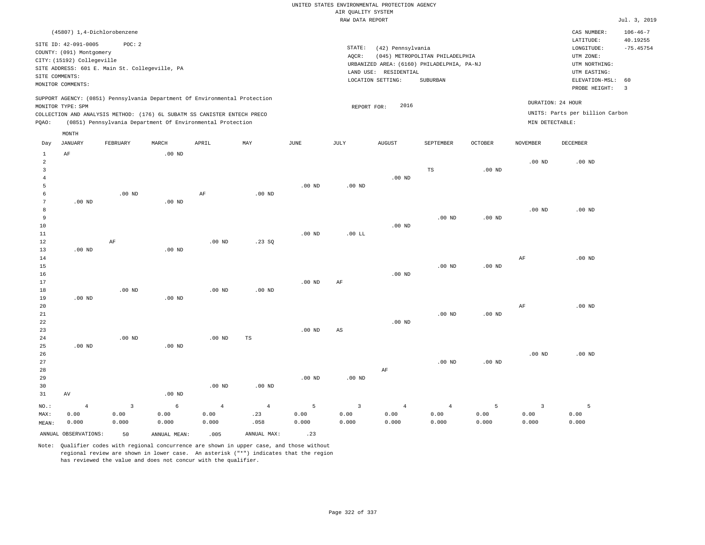|                                                                                                                                                                                                                                                    | (45807) 1,4-Dichlorobenzene                                                                                                                           |          |                   |       |     |      |                 |                                                                    |                                                                                           |                |                                                                                                          | CAS NUMBER:                                          | $106 - 46 - 7$ |
|----------------------------------------------------------------------------------------------------------------------------------------------------------------------------------------------------------------------------------------------------|-------------------------------------------------------------------------------------------------------------------------------------------------------|----------|-------------------|-------|-----|------|-----------------|--------------------------------------------------------------------|-------------------------------------------------------------------------------------------|----------------|----------------------------------------------------------------------------------------------------------|------------------------------------------------------|----------------|
| SITE COMMENTS:                                                                                                                                                                                                                                     | SITE ID: 42-091-0005<br>COUNTY: (091) Montgomery<br>CITY: (15192) Collegeville<br>SITE ADDRESS: 601 E. Main St. Collegeville, PA<br>MONITOR COMMENTS: | POC: 2   |                   |       |     |      | STATE:<br>AQCR: | (42) Pennsylvania<br>RESIDENTIAL<br>LAND USE:<br>LOCATION SETTING: | (045) METROPOLITAN PHILADELPHIA<br>URBANIZED AREA: (6160) PHILADELPHIA, PA-NJ<br>SUBURBAN |                | LATITUDE:<br>LONGITUDE:<br>UTM ZONE:<br>UTM NORTHING:<br>UTM EASTING:<br>ELEVATION-MSL:<br>PROBE HEIGHT: | 40.19255<br>$-75.45754$<br>- 60<br>-3                |                |
| SUPPORT AGENCY: (0851) Pennsylvania Department Of Environmental Protection<br>MONITOR TYPE: SPM<br>COLLECTION AND ANALYSIS METHOD: (176) 6L SUBATM SS CANISTER ENTECH PRECO<br>(0851) Pennsylvania Department Of Environmental Protection<br>POAO: |                                                                                                                                                       |          |                   |       |     |      |                 | 2016<br>REPORT FOR:                                                |                                                                                           |                | MIN DETECTABLE:                                                                                          | DURATION: 24 HOUR<br>UNITS: Parts per billion Carbon |                |
| Day<br>2                                                                                                                                                                                                                                           | MONTH<br>JANUARY<br>AF                                                                                                                                | FEBRUARY | MARCH<br>$.00$ ND | APRIL | MAY | JUNE | JULY            | <b>AUGUST</b>                                                      | SEPTEMBER                                                                                 | <b>OCTOBER</b> | <b>NOVEMBER</b><br>$.00$ ND                                                                              | DECEMBER<br>$.00$ ND                                 |                |

|                                           | ANNUAL OBSERVATIONS: | 50             | ANNUAL MEAN:    | .005           | ANNUAL MAX:           | .23           |                         |                |                |               |                |               |
|-------------------------------------------|----------------------|----------------|-----------------|----------------|-----------------------|---------------|-------------------------|----------------|----------------|---------------|----------------|---------------|
| MAX:<br>MEAN:                             | 0.00<br>0.000        | 0.00<br>0.000  | 0.00<br>0.000   | 0.00<br>0.000  | .058                  | 0.00<br>0.000 | 0.00<br>0.000           | 0.00<br>0.000  | 0.00<br>0.000  | 0.00<br>0.000 | 0.00<br>0.000  | 0.00<br>0.000 |
| $_{\rm NO.}$ :                            | $\overline{4}$       | $\overline{3}$ | $6\overline{6}$ | $\overline{4}$ | $\overline{4}$<br>.23 | 5             | $\overline{\mathbf{3}}$ | $\overline{4}$ | $\overline{4}$ | 5             | $\overline{3}$ | 5             |
|                                           |                      |                |                 |                |                       |               |                         |                |                |               |                |               |
| 31                                        | $\,\mathrm{AV}$      |                | $.00$ ND        |                |                       |               |                         |                |                |               |                |               |
| 29<br>30                                  |                      |                |                 | $.00$ ND       | $.00$ ND              | $.00$ ND      | $.00$ ND                |                |                |               |                |               |
| 28                                        |                      |                |                 |                |                       |               |                         | $\rm{AF}$      |                |               |                |               |
| $2\,7$                                    |                      |                |                 |                |                       |               |                         |                | $.00$ ND       | .00 $ND$      |                |               |
| 26                                        |                      |                |                 |                |                       |               |                         |                |                |               | $.00$ ND       | $.00$ ND      |
| 25                                        | .00 $ND$             |                | $.00$ ND        |                |                       |               |                         |                |                |               |                |               |
| 24                                        |                      | $.00$ ND       |                 | $.00$ ND       | TS                    |               |                         |                |                |               |                |               |
| 23                                        |                      |                |                 |                |                       | $.00$ ND      | $\mathbb{A}\mathbb{S}$  |                |                |               |                |               |
| $_{\rm 22}$                               |                      |                |                 |                |                       |               |                         | $.00$ ND       |                |               |                |               |
| 21                                        |                      |                |                 |                |                       |               |                         |                | $.00$ ND       | .00 $ND$      |                |               |
| 20                                        |                      |                |                 |                |                       |               |                         |                |                |               | $\rm{AF}$      | $.00$ ND      |
| 19                                        | $.00$ ND             |                | $.00$ ND        |                |                       |               |                         |                |                |               |                |               |
| 18                                        |                      | $.00$ ND       |                 | $.00$ ND       | $.00$ ND              |               |                         |                |                |               |                |               |
| 17                                        |                      |                |                 |                |                       | $.00$ ND      | $\rm{AF}$               |                |                |               |                |               |
| 16                                        |                      |                |                 |                |                       |               |                         | $.00$ ND       |                |               |                |               |
| 15                                        |                      |                |                 |                |                       |               |                         |                | $.00$ ND       | .00 $ND$      |                |               |
| 14                                        |                      |                |                 |                |                       |               |                         |                |                |               | $\rm{AF}$      | $.00$ ND      |
| 13                                        | $.00$ ND             |                | $.00$ ND        |                |                       |               |                         |                |                |               |                |               |
| 12                                        |                      | $\rm AF$       |                 | $.00$ ND       | .23SQ                 |               |                         |                |                |               |                |               |
| 11                                        |                      |                |                 |                |                       | $.00$ ND      | $.00$ LL                |                |                |               |                |               |
| 10                                        |                      |                |                 |                |                       |               |                         | $.00$ ND       |                |               |                |               |
| 9                                         |                      |                |                 |                |                       |               |                         |                | $.00$ ND       | $.00$ ND      |                |               |
| 8                                         |                      |                |                 |                |                       |               |                         |                |                |               | $.00$ ND       | $.00$ ND      |
| $7\phantom{.0}$                           | $.00$ ND             |                | $.00$ ND        |                |                       |               |                         |                |                |               |                |               |
| 6                                         |                      | $.00$ ND       |                 | $\rm AF$       | $.00$ ND              |               |                         |                |                |               |                |               |
| 5                                         |                      |                |                 |                |                       | $.00$ ND      | $.00$ ND                |                |                |               |                |               |
| $\overline{\mathbf{3}}$<br>$\overline{4}$ |                      |                |                 |                |                       |               |                         | $.00$ ND       | $_{\rm TS}$    | $.00$ ND      |                |               |
| $\mathbf{z}$                              |                      |                |                 |                |                       |               |                         |                |                |               | .00 ND         | .00 ND        |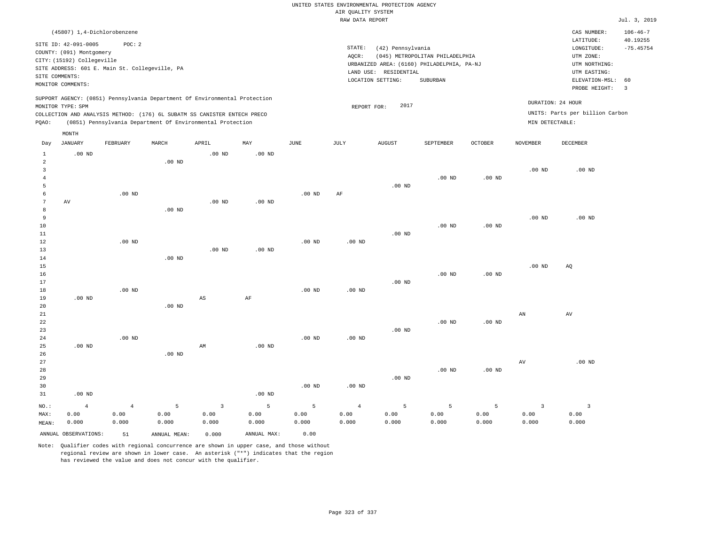|                                                                                                 |                   |                             |                   |                   |                                            |                                         |                    | UNITED STATES ENVIRONMENTAL PROTECTION AGENCY |               |                   |                                 |                                                                                                                                                                                                                                                                                                                                                                                                                                                      |                      |
|-------------------------------------------------------------------------------------------------|-------------------|-----------------------------|-------------------|-------------------|--------------------------------------------|-----------------------------------------|--------------------|-----------------------------------------------|---------------|-------------------|---------------------------------|------------------------------------------------------------------------------------------------------------------------------------------------------------------------------------------------------------------------------------------------------------------------------------------------------------------------------------------------------------------------------------------------------------------------------------------------------|----------------------|
|                                                                                                 |                   |                             |                   |                   |                                            |                                         | AIR OUALITY SYSTEM |                                               |               |                   |                                 |                                                                                                                                                                                                                                                                                                                                                                                                                                                      |                      |
|                                                                                                 |                   |                             |                   |                   |                                            |                                         | RAW DATA REPORT    |                                               |               |                   |                                 |                                                                                                                                                                                                                                                                                                                                                                                                                                                      | Jul. 3, 2019         |
|                                                                                                 |                   | (45807) 1,4-Dichlorobenzene |                   |                   |                                            |                                         |                    |                                               |               |                   |                                 | CAS NUMBER:                                                                                                                                                                                                                                                                                                                                                                                                                                          | $106 - 46 - 7$       |
| SITE ID: 42-091-0005<br>POC: 2                                                                  |                   |                             |                   |                   |                                            |                                         |                    |                                               |               |                   |                                 | LATITUDE:                                                                                                                                                                                                                                                                                                                                                                                                                                            | 40.19255             |
| COUNTY: (091) Montgomery                                                                        |                   |                             |                   |                   |                                            | $\texttt{STATE}$ :<br>(42) Pennsylvania |                    |                                               |               |                   |                                 | $\texttt{LONGITUDE}: \quad % \begin{align*} \left\lbrack \begin{array}{c} \Delta \end{array} \right\rbrack \quad \  \  \, \texttt{LONGITUDE:} \quad \  \  \, \texttt{LONGITUDE:} \quad \  \  \, \texttt{LONGITUDE:} \quad \  \  \, \texttt{LONGITUDE:} \quad \  \  \, \texttt{LONGI} \quad \  \, \texttt{LONGI} \quad \  \  \, \texttt{LONGI} \quad \  \  \, \texttt{LONGI} \quad \  \  \, \texttt{LONGI} \quad \  \  \, \texttt{LONGI} \quad \  \ $ | $-75.45754$          |
| CITY: (15192) Collegeville                                                                      |                   |                             |                   |                   | AQCR:<br>(045) METROPOLITAN PHILADELPHIA   |                                         |                    |                                               |               |                   | UTM ZONE:                       |                                                                                                                                                                                                                                                                                                                                                                                                                                                      |                      |
| SITE ADDRESS: 601 E. Main St. Collegeville, PA                                                  |                   |                             |                   |                   | URBANIZED AREA: (6160) PHILADELPHIA, PA-NJ |                                         |                    |                                               |               |                   | UTM NORTHING:                   |                                                                                                                                                                                                                                                                                                                                                                                                                                                      |                      |
| SITE COMMENTS:                                                                                  |                   |                             |                   |                   | LAND USE: RESIDENTIAL                      |                                         |                    |                                               |               |                   | UTM EASTING:                    |                                                                                                                                                                                                                                                                                                                                                                                                                                                      |                      |
| MONITOR COMMENTS:                                                                               |                   |                             |                   |                   |                                            | LOCATION SETTING:<br>SUBURBAN           |                    |                                               |               |                   |                                 | ELEVATION-MSL:<br>PROBE HEIGHT:                                                                                                                                                                                                                                                                                                                                                                                                                      | 60<br>$\overline{3}$ |
|                                                                                                 |                   |                             |                   |                   |                                            |                                         |                    |                                               |               |                   |                                 |                                                                                                                                                                                                                                                                                                                                                                                                                                                      |                      |
| SUPPORT AGENCY: (0851) Pennsylvania Department Of Environmental Protection<br>MONITOR TYPE: SPM |                   |                             |                   |                   | DURATION: 24 HOUR<br>2017<br>REPORT FOR:   |                                         |                    |                                               |               |                   |                                 |                                                                                                                                                                                                                                                                                                                                                                                                                                                      |                      |
| COLLECTION AND ANALYSIS METHOD: (176) 6L SUBATM SS CANISTER ENTECH PRECO                        |                   |                             |                   |                   |                                            |                                         |                    |                                               |               |                   | UNITS: Parts per billion Carbon |                                                                                                                                                                                                                                                                                                                                                                                                                                                      |                      |
| (0851) Pennsylvania Department Of Environmental Protection<br>PQAO:                             |                   |                             |                   |                   | MIN DETECTABLE:                            |                                         |                    |                                               |               |                   |                                 |                                                                                                                                                                                                                                                                                                                                                                                                                                                      |                      |
|                                                                                                 | $\texttt{MONTH}$  |                             |                   |                   |                                            |                                         |                    |                                               |               |                   |                                 |                                                                                                                                                                                                                                                                                                                                                                                                                                                      |                      |
| Day                                                                                             | <b>JANUARY</b>    | FEBRUARY                    | MARCH             | APRIL             | MAY                                        | JUNE                                    | JULY               | <b>AUGUST</b>                                 | SEPTEMBER     | OCTOBER           | NOVEMBER                        | DECEMBER                                                                                                                                                                                                                                                                                                                                                                                                                                             |                      |
| $\mathbf{1}$                                                                                    | $.00$ ND          |                             |                   | $.00$ ND          | .00 <sub>ND</sub>                          |                                         |                    |                                               |               |                   |                                 |                                                                                                                                                                                                                                                                                                                                                                                                                                                      |                      |
| $\overline{a}$                                                                                  |                   |                             | .00 <sub>ND</sub> |                   |                                            |                                         |                    |                                               |               |                   |                                 |                                                                                                                                                                                                                                                                                                                                                                                                                                                      |                      |
| 3                                                                                               |                   |                             |                   |                   |                                            |                                         |                    |                                               |               |                   | $.00$ ND                        | .00 <sub>ND</sub>                                                                                                                                                                                                                                                                                                                                                                                                                                    |                      |
| $\overline{4}$                                                                                  |                   |                             |                   |                   |                                            |                                         |                    |                                               | $.00$ ND      | .00 <sub>ND</sub> |                                 |                                                                                                                                                                                                                                                                                                                                                                                                                                                      |                      |
| 5                                                                                               |                   |                             |                   |                   |                                            |                                         |                    | $.00$ ND                                      |               |                   |                                 |                                                                                                                                                                                                                                                                                                                                                                                                                                                      |                      |
| 6                                                                                               |                   | $.00$ ND                    |                   |                   |                                            | .00 <sub>ND</sub>                       | AF                 |                                               |               |                   |                                 |                                                                                                                                                                                                                                                                                                                                                                                                                                                      |                      |
| 7<br>8                                                                                          | AV                |                             | .00 <sub>ND</sub> | $.00$ ND          | $.00$ ND                                   |                                         |                    |                                               |               |                   |                                 |                                                                                                                                                                                                                                                                                                                                                                                                                                                      |                      |
| 9                                                                                               |                   |                             |                   |                   |                                            |                                         |                    |                                               |               |                   | .00 <sub>ND</sub>               | $.00$ ND                                                                                                                                                                                                                                                                                                                                                                                                                                             |                      |
| 10                                                                                              |                   |                             |                   |                   |                                            |                                         |                    |                                               | $.00$ ND      | .00 <sub>ND</sub> |                                 |                                                                                                                                                                                                                                                                                                                                                                                                                                                      |                      |
| 11                                                                                              |                   |                             |                   |                   |                                            |                                         |                    | .00 <sub>ND</sub>                             |               |                   |                                 |                                                                                                                                                                                                                                                                                                                                                                                                                                                      |                      |
| 12                                                                                              |                   | $.00$ ND                    |                   |                   |                                            | $.00$ ND                                | $.00$ ND           |                                               |               |                   |                                 |                                                                                                                                                                                                                                                                                                                                                                                                                                                      |                      |
| 13                                                                                              |                   |                             |                   | .00 <sub>ND</sub> | .00 <sub>ND</sub>                          |                                         |                    |                                               |               |                   |                                 |                                                                                                                                                                                                                                                                                                                                                                                                                                                      |                      |
| 14                                                                                              |                   |                             | $.00$ ND          |                   |                                            |                                         |                    |                                               |               |                   |                                 |                                                                                                                                                                                                                                                                                                                                                                                                                                                      |                      |
| 15                                                                                              |                   |                             |                   |                   |                                            |                                         |                    |                                               |               |                   | .00 <sub>ND</sub>               | AO                                                                                                                                                                                                                                                                                                                                                                                                                                                   |                      |
| 16                                                                                              |                   |                             |                   |                   |                                            |                                         |                    |                                               | $.00$ ND      | $.00$ ND          |                                 |                                                                                                                                                                                                                                                                                                                                                                                                                                                      |                      |
| 17                                                                                              |                   |                             |                   |                   |                                            |                                         |                    | .00 <sub>ND</sub>                             |               |                   |                                 |                                                                                                                                                                                                                                                                                                                                                                                                                                                      |                      |
| 18<br>19                                                                                        | .00 <sub>ND</sub> | $.00$ ND                    |                   | AS                | AF                                         | .00 <sub>ND</sub>                       | .00 <sub>ND</sub>  |                                               |               |                   |                                 |                                                                                                                                                                                                                                                                                                                                                                                                                                                      |                      |
| 20                                                                                              |                   |                             | .00 <sub>ND</sub> |                   |                                            |                                         |                    |                                               |               |                   |                                 |                                                                                                                                                                                                                                                                                                                                                                                                                                                      |                      |
| 21                                                                                              |                   |                             |                   |                   |                                            |                                         |                    |                                               |               |                   | $\mathbf{A}\mathbf{N}$          | $\operatorname{AV}$                                                                                                                                                                                                                                                                                                                                                                                                                                  |                      |
| 22                                                                                              |                   |                             |                   |                   |                                            |                                         |                    |                                               | $.00$ ND      | $.00$ ND          |                                 |                                                                                                                                                                                                                                                                                                                                                                                                                                                      |                      |
| 23                                                                                              |                   |                             |                   |                   |                                            |                                         |                    | $.00$ ND                                      |               |                   |                                 |                                                                                                                                                                                                                                                                                                                                                                                                                                                      |                      |
| 24                                                                                              |                   | $.00$ ND                    |                   |                   |                                            | .00 <sub>ND</sub>                       | .00 <sub>ND</sub>  |                                               |               |                   |                                 |                                                                                                                                                                                                                                                                                                                                                                                                                                                      |                      |
| 25                                                                                              | $.00$ ND          |                             |                   | AM                | $.00$ ND                                   |                                         |                    |                                               |               |                   |                                 |                                                                                                                                                                                                                                                                                                                                                                                                                                                      |                      |
| 26                                                                                              |                   |                             | $.00$ ND          |                   |                                            |                                         |                    |                                               |               |                   |                                 |                                                                                                                                                                                                                                                                                                                                                                                                                                                      |                      |
| 27                                                                                              |                   |                             |                   |                   |                                            |                                         |                    |                                               |               |                   | $\operatorname{AV}$             | $.00$ ND                                                                                                                                                                                                                                                                                                                                                                                                                                             |                      |
| 28                                                                                              |                   |                             |                   |                   |                                            |                                         |                    |                                               | $.00$ ND      | $.00$ ND          |                                 |                                                                                                                                                                                                                                                                                                                                                                                                                                                      |                      |
| 29                                                                                              |                   |                             |                   |                   |                                            |                                         |                    | $.00$ ND                                      |               |                   |                                 |                                                                                                                                                                                                                                                                                                                                                                                                                                                      |                      |
| 30<br>31                                                                                        | $.00$ ND          |                             |                   |                   | $.00$ ND                                   | $.00$ ND                                | $.00$ ND           |                                               |               |                   |                                 |                                                                                                                                                                                                                                                                                                                                                                                                                                                      |                      |
|                                                                                                 |                   |                             |                   |                   |                                            |                                         |                    |                                               |               |                   |                                 |                                                                                                                                                                                                                                                                                                                                                                                                                                                      |                      |
| NO.:                                                                                            | $\overline{4}$    | $\overline{4}$              | 5                 | $\overline{3}$    | 5                                          | 5                                       | $\overline{4}$     | 5                                             | 5             | 5                 | $\overline{3}$                  | $\overline{3}$                                                                                                                                                                                                                                                                                                                                                                                                                                       |                      |
| MAX:                                                                                            | 0.00<br>0.000     | 0.00<br>0.000               | 0.00<br>0.000     | 0.00<br>0.000     | 0.00<br>0.000                              | 0.00<br>0.000                           | 0.00<br>0.000      | 0.00<br>0.000                                 | 0.00<br>0.000 | 0.00<br>0.000     | 0.00<br>0.000                   | 0.00<br>0.000                                                                                                                                                                                                                                                                                                                                                                                                                                        |                      |
| MEAN:                                                                                           |                   |                             |                   |                   |                                            |                                         |                    |                                               |               |                   |                                 |                                                                                                                                                                                                                                                                                                                                                                                                                                                      |                      |

ANNUAL OBSERVATIONS: 51 ANNUAL MEAN: 0.000 ANNUAL MAX: 0.00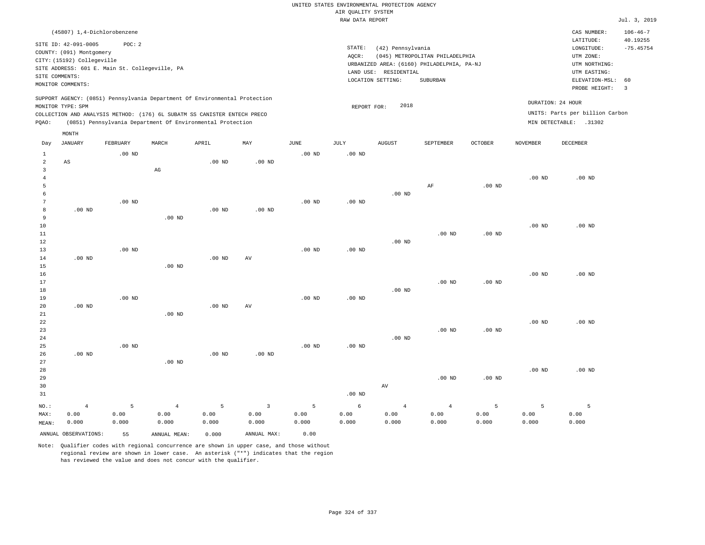|                |                                                  |                   |                                                                                                                                        |                   |                         |                   | UNITED STATES ENVIRONMENTAL PROTECTION AGENCY |                       |                                            |          |                   |                                 |                            |
|----------------|--------------------------------------------------|-------------------|----------------------------------------------------------------------------------------------------------------------------------------|-------------------|-------------------------|-------------------|-----------------------------------------------|-----------------------|--------------------------------------------|----------|-------------------|---------------------------------|----------------------------|
|                |                                                  |                   |                                                                                                                                        |                   |                         |                   | AIR OUALITY SYSTEM                            |                       |                                            |          |                   |                                 |                            |
|                |                                                  |                   |                                                                                                                                        |                   |                         |                   | RAW DATA REPORT                               |                       |                                            |          |                   |                                 | Jul. 3, 2019               |
|                | (45807) 1,4-Dichlorobenzene                      |                   |                                                                                                                                        |                   |                         |                   |                                               |                       |                                            |          |                   | CAS NUMBER:<br>LATITUDE:        | $106 - 46 - 7$<br>40.19255 |
|                | SITE ID: 42-091-0005<br>COUNTY: (091) Montgomery | POC: 2            |                                                                                                                                        |                   |                         |                   | STATE:                                        | (42) Pennsylvania     |                                            |          |                   | LONGITUDE:                      | $-75.45754$                |
|                | CITY: (15192) Collegeville                       |                   |                                                                                                                                        |                   |                         |                   | AOCR:                                         |                       | (045) METROPOLITAN PHILADELPHIA            |          |                   | UTM ZONE:                       |                            |
|                | SITE ADDRESS: 601 E. Main St. Collegeville, PA   |                   |                                                                                                                                        |                   |                         |                   |                                               |                       | URBANIZED AREA: (6160) PHILADELPHIA, PA-NJ |          |                   | UTM NORTHING:                   |                            |
|                | SITE COMMENTS:                                   |                   |                                                                                                                                        |                   |                         |                   |                                               | LAND USE: RESIDENTIAL |                                            |          |                   | UTM EASTING:                    |                            |
|                | MONITOR COMMENTS:                                |                   |                                                                                                                                        |                   |                         |                   |                                               | LOCATION SETTING:     | SUBURBAN                                   |          |                   | ELEVATION-MSL:<br>PROBE HEIGHT: | 60<br>$\overline{3}$       |
|                |                                                  |                   | SUPPORT AGENCY: (0851) Pennsylvania Department Of Environmental Protection                                                             |                   |                         |                   |                                               |                       |                                            |          | DURATION: 24 HOUR |                                 |                            |
|                | MONITOR TYPE: SPM                                |                   |                                                                                                                                        |                   |                         |                   | REPORT FOR:                                   | 2018                  |                                            |          |                   | UNITS: Parts per billion Carbon |                            |
| PQAO:          |                                                  |                   | COLLECTION AND ANALYSIS METHOD: (176) 6L SUBATM SS CANISTER ENTECH PRECO<br>(0851) Pennsylvania Department Of Environmental Protection |                   |                         |                   |                                               |                       |                                            |          |                   | MIN DETECTABLE: .31302          |                            |
|                | MONTH                                            |                   |                                                                                                                                        |                   |                         |                   |                                               |                       |                                            |          |                   |                                 |                            |
| Day            | <b>JANUARY</b>                                   | FEBRUARY          | MARCH                                                                                                                                  | APRIL             | MAY                     | JUNE              | JULY                                          | <b>AUGUST</b>         | SEPTEMBER                                  | OCTOBER  | NOVEMBER          | DECEMBER                        |                            |
| $\mathbf{1}$   |                                                  | $.00$ ND          |                                                                                                                                        |                   |                         | $.00$ ND          | $.00$ ND                                      |                       |                                            |          |                   |                                 |                            |
| $\overline{a}$ | $\mathbb{A}\mathbb{S}$                           |                   |                                                                                                                                        | $.00$ ND          | .00 <sub>ND</sub>       |                   |                                               |                       |                                            |          |                   |                                 |                            |
| $\overline{3}$ |                                                  |                   | $_{\rm AG}$                                                                                                                            |                   |                         |                   |                                               |                       |                                            |          |                   |                                 |                            |
| $\overline{4}$ |                                                  |                   |                                                                                                                                        |                   |                         |                   |                                               |                       |                                            |          | .00 <sub>ND</sub> | .00 <sub>ND</sub>               |                            |
| 5              |                                                  |                   |                                                                                                                                        |                   |                         |                   |                                               |                       | AF                                         | $.00$ ND |                   |                                 |                            |
| 6              |                                                  |                   |                                                                                                                                        |                   |                         |                   |                                               | $.00$ ND              |                                            |          |                   |                                 |                            |
| 7              |                                                  | $.00$ ND          |                                                                                                                                        |                   |                         | $.00$ ND          | $.00$ ND                                      |                       |                                            |          |                   |                                 |                            |
| 8              | $.00$ ND                                         |                   |                                                                                                                                        | $.00$ ND          | $.00$ ND                |                   |                                               |                       |                                            |          |                   |                                 |                            |
| 9<br>10        |                                                  |                   | $.00$ ND                                                                                                                               |                   |                         |                   |                                               |                       |                                            |          | .00 <sub>ND</sub> | $.00$ ND                        |                            |
| 11             |                                                  |                   |                                                                                                                                        |                   |                         |                   |                                               |                       | $.00$ ND                                   | $.00$ ND |                   |                                 |                            |
| 12             |                                                  |                   |                                                                                                                                        |                   |                         |                   |                                               | $.00$ ND              |                                            |          |                   |                                 |                            |
| 13             |                                                  | $.00$ ND          |                                                                                                                                        |                   |                         | $.00$ ND          | .00 <sub>ND</sub>                             |                       |                                            |          |                   |                                 |                            |
| 14             | $.00$ ND                                         |                   |                                                                                                                                        | $.00$ ND          | AV                      |                   |                                               |                       |                                            |          |                   |                                 |                            |
| 15             |                                                  |                   | $.00$ ND                                                                                                                               |                   |                         |                   |                                               |                       |                                            |          |                   |                                 |                            |
| 16             |                                                  |                   |                                                                                                                                        |                   |                         |                   |                                               |                       |                                            |          | .00 <sub>ND</sub> | .00 <sub>ND</sub>               |                            |
| 17             |                                                  |                   |                                                                                                                                        |                   |                         |                   |                                               |                       | .00 <sub>ND</sub>                          | $.00$ ND |                   |                                 |                            |
| 18             |                                                  |                   |                                                                                                                                        |                   |                         |                   |                                               | $.00$ ND              |                                            |          |                   |                                 |                            |
| 19             |                                                  | .00 <sub>ND</sub> |                                                                                                                                        |                   |                         | .00 <sub>ND</sub> | .00 <sub>ND</sub>                             |                       |                                            |          |                   |                                 |                            |
| 20             | $.00$ ND                                         |                   |                                                                                                                                        | .00 <sub>ND</sub> | AV                      |                   |                                               |                       |                                            |          |                   |                                 |                            |
| 21             |                                                  |                   | $.00$ ND                                                                                                                               |                   |                         |                   |                                               |                       |                                            |          |                   |                                 |                            |
| 22             |                                                  |                   |                                                                                                                                        |                   |                         |                   |                                               |                       |                                            |          | .00 <sub>ND</sub> | $.00$ ND                        |                            |
| 23<br>24       |                                                  |                   |                                                                                                                                        |                   |                         |                   |                                               | .00 <sub>ND</sub>     | $.00$ ND                                   | $.00$ ND |                   |                                 |                            |
| 25             |                                                  | $.00$ ND          |                                                                                                                                        |                   |                         | $.00$ ND          | $.00$ ND                                      |                       |                                            |          |                   |                                 |                            |
| 26             | $.00$ ND                                         |                   |                                                                                                                                        | $.00$ ND          | $.00$ ND                |                   |                                               |                       |                                            |          |                   |                                 |                            |
| 27             |                                                  |                   | $.00$ ND                                                                                                                               |                   |                         |                   |                                               |                       |                                            |          |                   |                                 |                            |
| 28             |                                                  |                   |                                                                                                                                        |                   |                         |                   |                                               |                       |                                            |          | .00 <sub>ND</sub> | $.00$ ND                        |                            |
| 29             |                                                  |                   |                                                                                                                                        |                   |                         |                   |                                               |                       | .00 <sub>ND</sub>                          | $.00$ ND |                   |                                 |                            |
| 30             |                                                  |                   |                                                                                                                                        |                   |                         |                   |                                               | AV                    |                                            |          |                   |                                 |                            |
| 31             |                                                  |                   |                                                                                                                                        |                   |                         |                   | .00 <sub>ND</sub>                             |                       |                                            |          |                   |                                 |                            |
| NO.:           | $\sqrt{4}$                                       | 5                 | $\sqrt{4}$                                                                                                                             | 5                 | $\overline{\mathbf{3}}$ | $\overline{5}$    | $\sqrt{6}$                                    | $\sqrt{4}$            | $\,4$                                      | 5        | 5                 | $\overline{5}$                  |                            |
| MAX:           | 0.00                                             | 0.00              | 0.00                                                                                                                                   | 0.00              | 0.00                    | 0.00              | 0.00                                          | 0.00                  | 0.00                                       | 0.00     | 0.00              | 0.00                            |                            |
| MEAN:          | 0.000                                            | 0.000             | 0.000                                                                                                                                  | 0.000             | 0.000                   | 0.000             | 0.000                                         | 0.000                 | 0.000                                      | 0.000    | 0.000             | 0.000                           |                            |
|                | ANNUAL OBSERVATIONS:                             | 55                | ANNUAL, MEAN:                                                                                                                          | 0.000             | ANNUAL MAX:             | 0.00              |                                               |                       |                                            |          |                   |                                 |                            |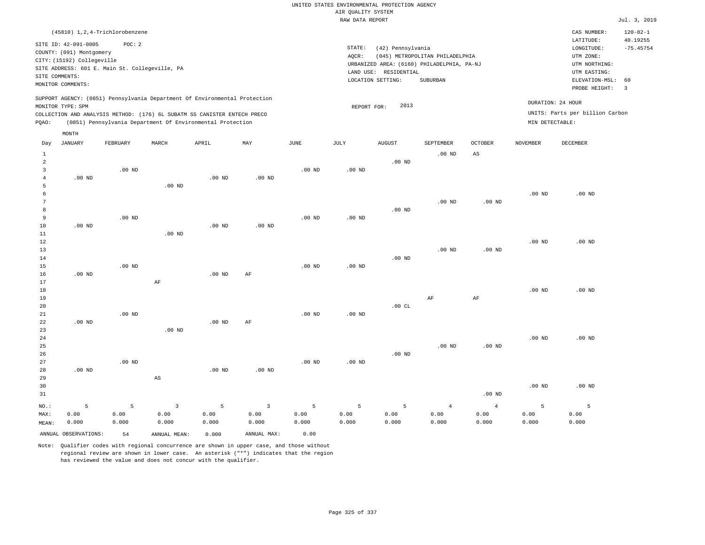# UNITED STATES ENVIRONMENTAL PROTECTION AGENCY AIR QUALITY SYSTEM

|                                       |                                                                                                                       |                                                          |                        |                                                                                                                                                        |          |                       | RAW DATA REPORT                                                                                                                                                                 |               |                   |                   |                   |                                                      | Jul. 3, 2019                                                                                        |
|---------------------------------------|-----------------------------------------------------------------------------------------------------------------------|----------------------------------------------------------|------------------------|--------------------------------------------------------------------------------------------------------------------------------------------------------|----------|-----------------------|---------------------------------------------------------------------------------------------------------------------------------------------------------------------------------|---------------|-------------------|-------------------|-------------------|------------------------------------------------------|-----------------------------------------------------------------------------------------------------|
|                                       |                                                                                                                       | (45810) 1, 2, 4-Trichlorobenzene                         |                        |                                                                                                                                                        |          |                       |                                                                                                                                                                                 |               |                   |                   |                   | CAS NUMBER:<br>LATITUDE:                             | $120 - 82 - 1$                                                                                      |
|                                       | SITE ID: 42-091-0005<br>COUNTY: (091) Montgomery<br>CITY: (15192) Collegeville<br>SITE COMMENTS:<br>MONITOR COMMENTS: | POC: 2<br>SITE ADDRESS: 601 E. Main St. Collegeville, PA |                        |                                                                                                                                                        |          |                       | STATE:<br>(42) Pennsylvania<br>AOCR:<br>(045) METROPOLITAN PHILADELPHIA<br>URBANIZED AREA: (6160) PHILADELPHIA, PA-NJ<br>LAND USE: RESIDENTIAL<br>LOCATION SETTING:<br>SUBURBAN |               |                   |                   |                   |                                                      | 40.19255<br>$-75.45754$<br>UTM NORTHING:<br>ELEVATION-MSL:<br>60<br>PROBE HEIGHT:<br>$\overline{3}$ |
|                                       | MONITOR TYPE: SPM                                                                                                     |                                                          |                        | SUPPORT AGENCY: (0851) Pennsylvania Department Of Environmental Protection<br>COLLECTION AND ANALYSIS METHOD: (176) 6L SUBATM SS CANISTER ENTECH PRECO |          |                       | REPORT FOR:                                                                                                                                                                     | 2013          |                   |                   |                   | DURATION: 24 HOUR<br>UNITS: Parts per billion Carbon |                                                                                                     |
| POAO:                                 |                                                                                                                       |                                                          |                        | (0851) Pennsylvania Department Of Environmental Protection                                                                                             |          |                       |                                                                                                                                                                                 |               |                   |                   | MIN DETECTABLE:   |                                                      |                                                                                                     |
| Day                                   | MONTH<br><b>JANUARY</b>                                                                                               | FEBRUARY                                                 | MARCH                  | APRIL                                                                                                                                                  | MAY      | $\operatorname{JUNE}$ | JULY                                                                                                                                                                            | <b>AUGUST</b> | SEPTEMBER         | <b>OCTOBER</b>    | <b>NOVEMBER</b>   | DECEMBER                                             |                                                                                                     |
| $\mathbf{1}$                          |                                                                                                                       |                                                          |                        |                                                                                                                                                        |          |                       |                                                                                                                                                                                 |               | $.00$ ND          | $_{\rm AS}$       |                   |                                                      |                                                                                                     |
| $\overline{a}$<br>3<br>$\overline{4}$ | $.00$ ND                                                                                                              | $.00$ ND                                                 |                        | .00 <sub>ND</sub>                                                                                                                                      | $.00$ ND | $.00$ ND              | .00 <sub>ND</sub>                                                                                                                                                               | $.00$ ND      |                   |                   |                   |                                                      |                                                                                                     |
| 5<br>6<br>7                           |                                                                                                                       |                                                          | .00 <sub>ND</sub>      |                                                                                                                                                        |          |                       |                                                                                                                                                                                 |               | .00 <sub>ND</sub> | .00 <sub>ND</sub> | .00 <sub>ND</sub> | $.00$ ND                                             |                                                                                                     |
| 8<br>9<br>10<br>11                    | $.00$ ND                                                                                                              | $.00$ ND                                                 | $.00$ ND               | $.00$ ND                                                                                                                                               | $.00$ ND | $.00$ ND              | $.00$ ND                                                                                                                                                                        | $.00$ ND      |                   |                   |                   |                                                      |                                                                                                     |
| 12<br>13<br>14                        |                                                                                                                       |                                                          |                        |                                                                                                                                                        |          |                       |                                                                                                                                                                                 | $.00$ ND      | $.00$ ND          | $.00$ ND          | .00 <sub>ND</sub> | $.00$ ND                                             |                                                                                                     |
| 15<br>16<br>17                        | $.00$ ND                                                                                                              | $.00$ ND                                                 | $\rm{AF}$              | .00 <sub>ND</sub>                                                                                                                                      | AF       | $.00$ ND              | .00 <sub>ND</sub>                                                                                                                                                               |               |                   |                   |                   |                                                      |                                                                                                     |
| 18<br>19<br>20                        |                                                                                                                       |                                                          |                        |                                                                                                                                                        |          |                       |                                                                                                                                                                                 | .00CL         | AF                | AF                | .00 <sub>ND</sub> | $.00$ ND                                             |                                                                                                     |
| 21<br>22<br>23                        | $.00$ ND                                                                                                              | $.00$ ND                                                 | .00 <sub>ND</sub>      | .00 <sub>ND</sub>                                                                                                                                      | AF       | $.00$ ND              | $.00$ ND                                                                                                                                                                        |               |                   |                   |                   |                                                      |                                                                                                     |
| 24<br>25<br>26<br>27                  |                                                                                                                       | $.00$ ND                                                 |                        |                                                                                                                                                        |          | .00 <sub>ND</sub>     | .00 <sub>ND</sub>                                                                                                                                                               | $.00$ ND      | $.00$ ND          | $.00$ ND          | .00 <sub>ND</sub> | $.00$ ND                                             |                                                                                                     |
| 28<br>29                              | $.00$ ND                                                                                                              |                                                          | $\mathbb{A}\mathbb{S}$ | $.00$ ND                                                                                                                                               | $.00$ ND |                       |                                                                                                                                                                                 |               |                   |                   |                   |                                                      |                                                                                                     |
| 30<br>31                              |                                                                                                                       |                                                          |                        |                                                                                                                                                        |          |                       |                                                                                                                                                                                 |               |                   | $.00$ ND          | .00 <sub>ND</sub> | $.00$ ND                                             |                                                                                                     |
| NO.:                                  | 5                                                                                                                     | 5                                                        | $\overline{3}$         | 5                                                                                                                                                      | 3        | 5                     | 5                                                                                                                                                                               | 5             | 4                 | $\overline{4}$    | 5                 | 5                                                    |                                                                                                     |

ANNUAL OBSERVATIONS: 54 ANNUAL MEAN: 0.000 ANNUAL MAX: 0.00

 0.00 0.000

MAX: MEAN:

 0.00 0.000  0.00 0.000

Note: Qualifier codes with regional concurrence are shown in upper case, and those without regional review are shown in lower case. An asterisk ("\*") indicates that the region has reviewed the value and does not concur with the qualifier.

 0.00 0.000  0.00 0.000  0.00 0.000  0.00 0.000  0.00 0.000  0.00 0.000  0.00 0.000  0.00 0.000  0.00 0.000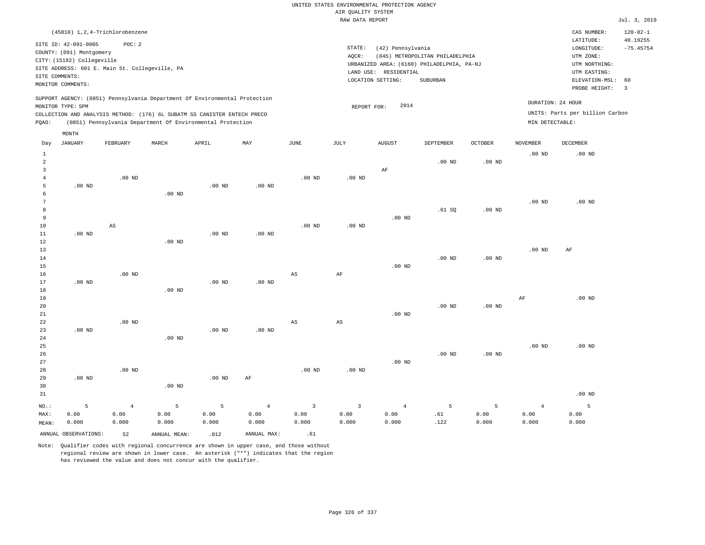| (45810) 1,2,4-Trichlorobenzene                                                                                                                                                                                                                              |                                                                                                                                                                                 | CAS NUMBER:                                                                                                 | $120 - 82 - 1$          |
|-------------------------------------------------------------------------------------------------------------------------------------------------------------------------------------------------------------------------------------------------------------|---------------------------------------------------------------------------------------------------------------------------------------------------------------------------------|-------------------------------------------------------------------------------------------------------------|-------------------------|
| SITE ID: 42-091-0005<br>POC:2<br>COUNTY: (091) Montgomery<br>CITY: (15192) Collegeville<br>SITE ADDRESS: 601 E. Main St. Collegeville, PA<br>SITE COMMENTS:<br>MONITOR COMMENTS:                                                                            | STATE:<br>(42) Pennsylvania<br>(045) METROPOLITAN PHILADELPHIA<br>AOCR:<br>URBANIZED AREA: (6160) PHILADELPHIA, PA-NJ<br>LAND USE: RESIDENTIAL<br>LOCATION SETTING:<br>SUBURBAN | LATITUDE:<br>LONGITUDE:<br>UTM ZONE:<br>UTM NORTHING:<br>UTM EASTING:<br>ELEVATION-MSL: 60<br>PROBE HEIGHT: | 40.19255<br>$-75.45754$ |
| SUPPORT AGENCY: (0851) Pennsylvania Department Of Environmental Protection<br>MONITOR TYPE: SPM<br>COLLECTION AND ANALYSIS METHOD: (176) 6L SUBATM SS CANISTER ENTECH PRECO<br>(0851) Pennsylvania Department Of Environmental Protection<br>POAO:<br>MONTH | 2014<br>REPORT FOR:<br>MIN DETECTABLE:                                                                                                                                          | DURATION: 24 HOUR<br>UNITS: Parts per billion Carbon                                                        |                         |

| Day            | JANUARY              | FEBRUARY               | MARCH          | APRIL             | MAY            | JUNE                   | JULY                   | AUGUST         | SEPTEMBER | OCTOBER  | NOVEMBER       | DECEMBER |
|----------------|----------------------|------------------------|----------------|-------------------|----------------|------------------------|------------------------|----------------|-----------|----------|----------------|----------|
| $\mathbf{1}$   |                      |                        |                |                   |                |                        |                        |                |           |          | $.00$ ND       | $.00$ ND |
| $\,2$          |                      |                        |                |                   |                |                        |                        |                | $.00$ ND  | $.00$ ND |                |          |
| 3              |                      |                        |                |                   |                |                        |                        | $\rm AF$       |           |          |                |          |
| $\overline{4}$ |                      | $.00$ ND               |                |                   |                | $.00$ ND               | .00 $ND$               |                |           |          |                |          |
| 5              | $.00$ ND             |                        |                | .00 <sub>ND</sub> | $.00$ ND       |                        |                        |                |           |          |                |          |
| 6              |                      |                        | $.00$ ND       |                   |                |                        |                        |                |           |          |                |          |
| 7              |                      |                        |                |                   |                |                        |                        |                |           |          | $.00$ ND       | $.00$ ND |
| 8              |                      |                        |                |                   |                |                        |                        |                | .61SQ     | $.00$ ND |                |          |
| 9              |                      |                        |                |                   |                |                        |                        | $.00$ ND       |           |          |                |          |
| 10             |                      | $\mathbb{A}\mathbb{S}$ |                |                   |                | .00 <sub>ND</sub>      | $.00$ ND               |                |           |          |                |          |
| 11             | $.00$ ND             |                        |                | $.00$ ND          | $.00$ ND       |                        |                        |                |           |          |                |          |
| 12             |                      |                        | $.00$ ND       |                   |                |                        |                        |                |           |          |                |          |
| 13             |                      |                        |                |                   |                |                        |                        |                |           |          | $.00$ ND       | AF       |
| 14             |                      |                        |                |                   |                |                        |                        |                | $.00$ ND  | .00 $ND$ |                |          |
| 15             |                      | $.00$ ND               |                |                   |                | $\mathbb{A}\mathbb{S}$ |                        | $.00$ ND       |           |          |                |          |
| 16<br>17       | $.00$ ND             |                        |                | $.00$ ND          | $.00$ ND       |                        | $\rm{AF}$              |                |           |          |                |          |
| 18             |                      |                        | $.00$ ND       |                   |                |                        |                        |                |           |          |                |          |
| 19             |                      |                        |                |                   |                |                        |                        |                |           |          | $\rm AF$       | $.00$ ND |
| 20             |                      |                        |                |                   |                |                        |                        |                | $.00$ ND  | $.00$ ND |                |          |
| $2\sqrt{1}$    |                      |                        |                |                   |                |                        |                        | $.00$ ND       |           |          |                |          |
| 22             |                      | $.00$ ND               |                |                   |                | $\mathbb{A}\mathbb{S}$ | $\mathbb{A}\mathbb{S}$ |                |           |          |                |          |
| 23             | $.00$ ND             |                        |                | .00 <sub>ND</sub> | $.00$ ND       |                        |                        |                |           |          |                |          |
| 24             |                      |                        | $.00$ ND       |                   |                |                        |                        |                |           |          |                |          |
| 25             |                      |                        |                |                   |                |                        |                        |                |           |          | $.00$ ND       | $.00$ ND |
| 26             |                      |                        |                |                   |                |                        |                        |                | $.00$ ND  | .00 $ND$ |                |          |
| 27             |                      |                        |                |                   |                |                        |                        | $.00$ ND       |           |          |                |          |
| 28             |                      | $.00$ ND               |                |                   |                | $.00$ ND               | $.00$ ND               |                |           |          |                |          |
| 29             | $.00$ ND             |                        |                | $.00$ ND          | $\rm AF$       |                        |                        |                |           |          |                |          |
| 30             |                      |                        | $.00$ ND       |                   |                |                        |                        |                |           |          |                |          |
| 31             |                      |                        |                |                   |                |                        |                        |                |           |          |                | $.00$ ND |
| $NO.$ :        | 5                    | $\,4$                  | $\overline{5}$ | $\overline{5}$    | $\overline{4}$ | 3                      | $\mathbf{3}$           | $\overline{4}$ | 5         | 5        | $\overline{4}$ | 5        |
| MAX:           | 0.00                 | 0.00                   | 0.00           | 0.00              | 0.00           | 0.00                   | 0.00                   | 0.00           | .61       | 0.00     | 0.00           | 0.00     |
| MEAN:          | 0.000                | 0.000                  | 0.000          | 0.000             | 0.000          | 0.000                  | 0.000                  | 0.000          | .122      | 0.000    | 0.000          | 0.000    |
|                | ANNUAL OBSERVATIONS: | 52                     | ANNUAL MEAN:   | .012              | ANNUAL MAX:    | .61                    |                        |                |           |          |                |          |

Note: Qualifier codes with regional concurrence are shown in upper case, and those without

regional review are shown in lower case. An asterisk ("\*") indicates that the region

has reviewed the value and does not concur with the qualifier.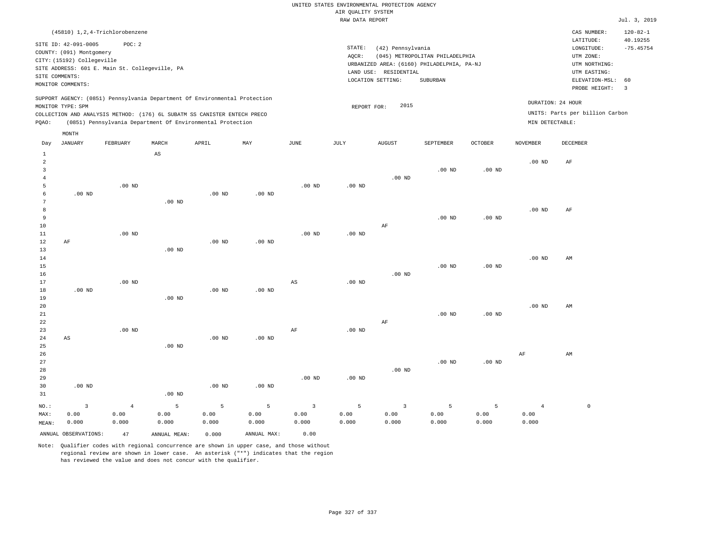| (45810) 1, 2, 4-Trichlorobenzene                                                                                                                                                                                                                   |                                                                                                                                                                                    | CAS NUMBER:                                                                                                 | $120 - 82 - 1$          |
|----------------------------------------------------------------------------------------------------------------------------------------------------------------------------------------------------------------------------------------------------|------------------------------------------------------------------------------------------------------------------------------------------------------------------------------------|-------------------------------------------------------------------------------------------------------------|-------------------------|
| SITE ID: 42-091-0005<br>POC:2<br>COUNTY: (091) Montgomery<br>CITY: (15192) Collegeville<br>SITE ADDRESS: 601 E. Main St. Collegeville, PA<br>SITE COMMENTS:<br>MONITOR COMMENTS:                                                                   | STATE:<br>(42) Pennsylvania<br>(045) METROPOLITAN PHILADELPHIA<br>AOCR:<br>URBANIZED AREA: (6160) PHILADELPHIA, PA-NJ<br>RESIDENTIAL<br>LAND USE:<br>LOCATION SETTING:<br>SUBURBAN | LATITUDE:<br>LONGITUDE:<br>UTM ZONE:<br>UTM NORTHING:<br>UTM EASTING:<br>ELEVATION-MSL: 60<br>PROBE HEIGHT: | 40.19255<br>$-75.45754$ |
| SUPPORT AGENCY: (0851) Pennsylvania Department Of Environmental Protection<br>MONITOR TYPE: SPM<br>COLLECTION AND ANALYSIS METHOD: (176) 6L SUBATM SS CANISTER ENTECH PRECO<br>(0851) Pennsylvania Department Of Environmental Protection<br>POAO: | 2015<br>REPORT FOR:                                                                                                                                                                | DURATION: 24 HOUR<br>UNITS: Parts per billion Carbon<br>MIN DETECTABLE:                                     |                         |

|                | MONTH                   |                |                        |                   |                   |                        |                   |                |           |          |                |             |
|----------------|-------------------------|----------------|------------------------|-------------------|-------------------|------------------------|-------------------|----------------|-----------|----------|----------------|-------------|
| Day            | <b>JANUARY</b>          | FEBRUARY       | MARCH                  | APRIL             | MAY               | JUNE                   | JULY              | <b>AUGUST</b>  | SEPTEMBER | OCTOBER  | NOVEMBER       | DECEMBER    |
| $\mathbf{1}$   |                         |                | $\mathbb{A}\mathbb{S}$ |                   |                   |                        |                   |                |           |          |                |             |
| $\overline{a}$ |                         |                |                        |                   |                   |                        |                   |                |           |          | $.00$ ND       | AF          |
| $\overline{3}$ |                         |                |                        |                   |                   |                        |                   |                | $.00$ ND  | $.00$ ND |                |             |
| $\overline{4}$ |                         |                |                        |                   |                   |                        |                   | $.00$ ND       |           |          |                |             |
| 5              |                         | .00 $ND$       |                        |                   |                   | $.00$ ND               | .00 <sub>ND</sub> |                |           |          |                |             |
| 6              | $.00$ ND                |                |                        | $.00$ ND          | $.00$ ND          |                        |                   |                |           |          |                |             |
| 7              |                         |                | $.00$ ND               |                   |                   |                        |                   |                |           |          |                |             |
| 8              |                         |                |                        |                   |                   |                        |                   |                |           |          | $.00$ ND       | AF          |
| 9              |                         |                |                        |                   |                   |                        |                   |                | $.00$ ND  | $.00$ ND |                |             |
| 10             |                         |                |                        |                   |                   |                        |                   | $\rm AF$       |           |          |                |             |
| 11             |                         | $.00$ ND       |                        |                   |                   | $.00$ ND               | $.00$ ND          |                |           |          |                |             |
| 12             | AF                      |                |                        | $.00$ ND          | .00 <sub>ND</sub> |                        |                   |                |           |          |                |             |
| 13             |                         |                | $.00$ ND               |                   |                   |                        |                   |                |           |          |                |             |
| 14             |                         |                |                        |                   |                   |                        |                   |                |           |          | $.00$ ND       | AM          |
| 15             |                         |                |                        |                   |                   |                        |                   |                | $.00$ ND  | $.00$ ND |                |             |
| 16             |                         |                |                        |                   |                   |                        |                   | $.00$ ND       |           |          |                |             |
| 17<br>18       |                         | $.00$ ND       |                        | .00 <sub>ND</sub> | $.00$ ND          | $\mathbb{A}\mathbb{S}$ | $.00$ ND          |                |           |          |                |             |
| 19             | $.00$ ND                |                | $.00$ ND               |                   |                   |                        |                   |                |           |          |                |             |
| 20             |                         |                |                        |                   |                   |                        |                   |                |           |          | $.00$ ND       | AM          |
| 21             |                         |                |                        |                   |                   |                        |                   |                | $.00$ ND  | $.00$ ND |                |             |
| 22             |                         |                |                        |                   |                   |                        |                   | $\rm AF$       |           |          |                |             |
| 23             |                         | $.00$ ND       |                        |                   |                   | AF                     | $.00$ ND          |                |           |          |                |             |
| 24             | $\mathbb{A}\mathbb{S}$  |                |                        | $.00$ ND          | $.00$ ND          |                        |                   |                |           |          |                |             |
| 25             |                         |                | $.00$ ND               |                   |                   |                        |                   |                |           |          |                |             |
| 26             |                         |                |                        |                   |                   |                        |                   |                |           |          | $\rm{AF}$      | AM          |
| 27             |                         |                |                        |                   |                   |                        |                   |                | $.00$ ND  | $.00$ ND |                |             |
| 28             |                         |                |                        |                   |                   |                        |                   | $.00$ ND       |           |          |                |             |
| 29             |                         |                |                        |                   |                   | $.00$ ND               | $.00$ ND          |                |           |          |                |             |
| 30             | $.00$ ND                |                |                        | .00 <sub>ND</sub> | $.00$ ND          |                        |                   |                |           |          |                |             |
| 31             |                         |                | $.00$ ND               |                   |                   |                        |                   |                |           |          |                |             |
| NO.:           | $\overline{\mathbf{3}}$ | $\overline{4}$ | 5                      | 5                 | 5                 | $\overline{3}$         | 5                 | $\overline{3}$ | 5         | 5        | $\overline{4}$ | $\mathbb O$ |
| MAX:           | 0.00                    | 0.00           | 0.00                   | 0.00              | 0.00              | 0.00                   | 0.00              | 0.00           | 0.00      | 0.00     | 0.00           |             |
| MEAN:          | 0.000                   | 0.000          | 0.000                  | 0.000             | 0.000             | 0.000                  | 0.000             | 0.000          | 0.000     | 0.000    | 0.000          |             |
|                | ANNUAL OBSERVATIONS:    | 47             | ANNUAL MEAN:           | 0.000             | ANNUAL MAX:       | 0.00                   |                   |                |           |          |                |             |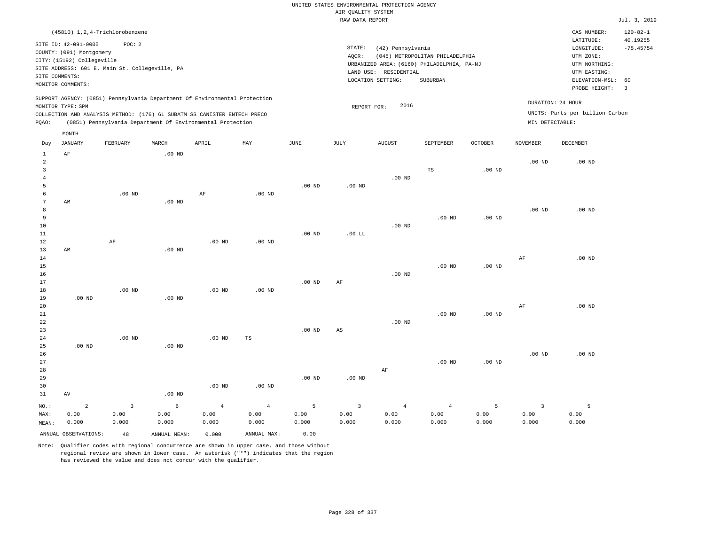| (45810) 1,2,4-Trichlorobenzene                                                                                                                                                                                                                              |                                                                                                                                                                                    | CAS NUMBER:                                                                                                 | $120 - 82 - 1$          |
|-------------------------------------------------------------------------------------------------------------------------------------------------------------------------------------------------------------------------------------------------------------|------------------------------------------------------------------------------------------------------------------------------------------------------------------------------------|-------------------------------------------------------------------------------------------------------------|-------------------------|
| SITE ID: 42-091-0005<br>POC:2<br>COUNTY: (091) Montgomery<br>CITY: (15192) Collegeville<br>SITE ADDRESS: 601 E. Main St. Collegeville, PA<br>SITE COMMENTS:<br>MONITOR COMMENTS:                                                                            | STATE:<br>(42) Pennsylvania<br>(045) METROPOLITAN PHILADELPHIA<br>AOCR:<br>URBANIZED AREA: (6160) PHILADELPHIA, PA-NJ<br>RESIDENTIAL<br>LAND USE:<br>LOCATION SETTING:<br>SUBURBAN | LATITUDE:<br>LONGITUDE:<br>UTM ZONE:<br>UTM NORTHING:<br>UTM EASTING:<br>ELEVATION-MSL: 60<br>PROBE HEIGHT: | 40.19255<br>$-75.45754$ |
| SUPPORT AGENCY: (0851) Pennsylvania Department Of Environmental Protection<br>MONITOR TYPE: SPM<br>COLLECTION AND ANALYSIS METHOD: (176) 6L SUBATM SS CANISTER ENTECH PRECO<br>(0851) Pennsylvania Department Of Environmental Protection<br>POAO:<br>MONTH | 2016<br>REPORT FOR:                                                                                                                                                                | DURATION: 24 HOUR<br>UNITS: Parts per billion Carbon<br>MIN DETECTABLE:                                     |                         |

| Day            | JANUARY                    | FEBRUARY                | MARCH        | APRIL          | MAY            | JUNE        | JULY                    | AUGUST         | SEPTEMBER      | OCTOBER           | NOVEMBER       | DECEMBER |
|----------------|----------------------------|-------------------------|--------------|----------------|----------------|-------------|-------------------------|----------------|----------------|-------------------|----------------|----------|
| $\mathbf{1}$   | $\rm AF$                   |                         | $.00$ ND     |                |                |             |                         |                |                |                   |                |          |
| $\overline{a}$ |                            |                         |              |                |                |             |                         |                |                |                   | $.00$ ND       | $.00$ ND |
| 3              |                            |                         |              |                |                |             |                         |                | $_{\rm TS}$    | $.00$ ND          |                |          |
| 4              |                            |                         |              |                |                |             |                         | $.00$ ND       |                |                   |                |          |
| 5              |                            |                         |              |                |                | $.00$ ND    | $.00$ ND                |                |                |                   |                |          |
| 6              |                            | $.00$ ND                |              | $\rm{AF}$      | $.00$ ND       |             |                         |                |                |                   |                |          |
| 7              | $\mathop{\rm AM}\nolimits$ |                         | $.00$ ND     |                |                |             |                         |                |                |                   |                |          |
| 8              |                            |                         |              |                |                |             |                         |                |                |                   | $.00$ ND       | $.00$ ND |
| 9              |                            |                         |              |                |                |             |                         |                | $.00$ ND       | $.00$ ND          |                |          |
| 10             |                            |                         |              |                |                |             |                         | $.00$ ND       |                |                   |                |          |
| 11             |                            |                         |              |                |                | $.00$ ND    | $.00$ LL                |                |                |                   |                |          |
| 12             |                            | $\rm AF$                |              | $.00$ ND       | $.00$ ND       |             |                         |                |                |                   |                |          |
| 13             | $\mathop{\rm AM}\nolimits$ |                         | $.00$ ND     |                |                |             |                         |                |                |                   |                |          |
| 14             |                            |                         |              |                |                |             |                         |                |                |                   | $\rm AF$       | $.00$ ND |
| $15\,$         |                            |                         |              |                |                |             |                         |                | $.00$ ND       | .00 <sub>ND</sub> |                |          |
| 16             |                            |                         |              |                |                |             |                         | $.00$ ND       |                |                   |                |          |
| 17             |                            |                         |              |                |                | $.00$ ND    | AF                      |                |                |                   |                |          |
| 18             |                            | $.00$ ND                |              | $.00$ ND       | $.00$ ND       |             |                         |                |                |                   |                |          |
| 19             | $.00$ ND                   |                         | $.00$ ND     |                |                |             |                         |                |                |                   |                |          |
| 20             |                            |                         |              |                |                |             |                         |                |                |                   | $\rm AF$       | $.00$ ND |
| ${\bf 21}$     |                            |                         |              |                |                |             |                         |                | $.00$ ND       | $.00$ ND          |                |          |
| ${\bf 22}$     |                            |                         |              |                |                |             |                         | $.00$ ND       |                |                   |                |          |
| 23             |                            |                         |              |                |                | $.00$ ND    | $\mathbb{A}\mathbb{S}$  |                |                |                   |                |          |
| 24             |                            | $.00$ ND                |              | $.00$ ND       | $\mathbb{TS}$  |             |                         |                |                |                   |                |          |
| 25             | $.00$ ND                   |                         | $.00$ ND     |                |                |             |                         |                |                |                   |                |          |
| 26             |                            |                         |              |                |                |             |                         |                |                |                   | $.00$ ND       | $.00$ ND |
| $2\,7$         |                            |                         |              |                |                |             |                         |                | $.00$ ND       | .00 <sub>ND</sub> |                |          |
| 28             |                            |                         |              |                |                |             |                         | $\rm AF$       |                |                   |                |          |
| 29             |                            |                         |              |                |                | $.00$ ND    | $.00$ ND                |                |                |                   |                |          |
| 30             |                            |                         |              | $.00$ ND       | $.00$ ND       |             |                         |                |                |                   |                |          |
| 31             | $\operatorname{AV}$        |                         | $.00$ ND     |                |                |             |                         |                |                |                   |                |          |
| $_{\rm NO.}$ : | $\overline{a}$             | $\overline{\mathbf{3}}$ | $\epsilon$   | $\overline{4}$ | $\overline{4}$ | $\mathsf S$ | $\overline{\mathbf{3}}$ | $\overline{4}$ | $\overline{4}$ | 5                 | $\overline{3}$ | 5        |
| MAX:           | 0.00                       | 0.00                    | 0.00         | 0.00           | 0.00           | 0.00        | 0.00                    | 0.00           | 0.00           | 0.00              | 0.00           | 0.00     |
| MEAN:          | 0.000                      | 0.000                   | 0.000        | 0.000          | 0.000          | 0.000       | 0.000                   | 0.000          | 0.000          | 0.000             | 0.000          | 0.000    |
|                | ANNUAL OBSERVATIONS:       | 48                      | ANNUAL MEAN: | 0.000          | ANNUAL MAX:    | 0.00        |                         |                |                |                   |                |          |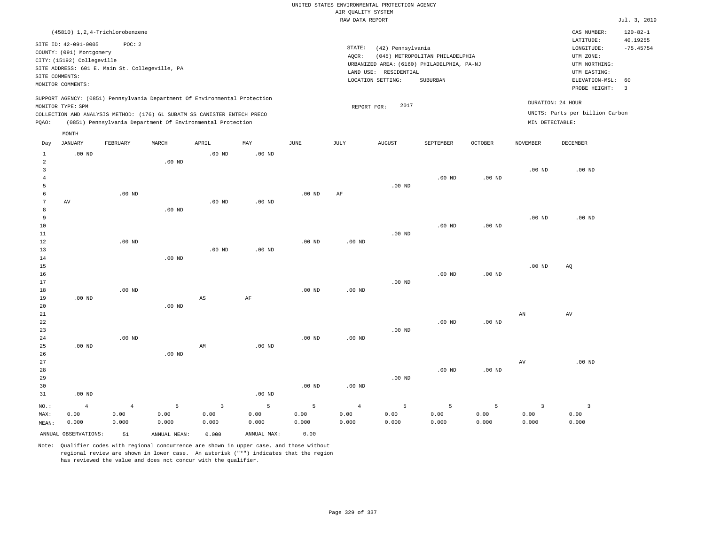|                |                            |                                                |                   |                                                                            |                   |                   | AIR QUALITY SYSTEM | UNITED STATES ENVIRONMENTAL PROTECTION AGENCY |                                            |                |                        |                                 |                            |
|----------------|----------------------------|------------------------------------------------|-------------------|----------------------------------------------------------------------------|-------------------|-------------------|--------------------|-----------------------------------------------|--------------------------------------------|----------------|------------------------|---------------------------------|----------------------------|
|                |                            |                                                |                   |                                                                            |                   |                   | RAW DATA REPORT    |                                               |                                            |                |                        |                                 | Jul. 3, 2019               |
|                |                            |                                                |                   |                                                                            |                   |                   |                    |                                               |                                            |                |                        |                                 |                            |
|                | SITE ID: 42-091-0005       | (45810) 1, 2, 4-Trichlorobenzene<br>POC: 2     |                   |                                                                            |                   |                   |                    |                                               |                                            |                |                        | CAS NUMBER:<br>LATITUDE:        | $120 - 82 - 1$<br>40.19255 |
|                | COUNTY: (091) Montgomery   |                                                |                   |                                                                            |                   |                   | STATE:             | (42) Pennsylvania                             |                                            |                |                        | LONGITUDE:                      | $-75.45754$                |
|                | CITY: (15192) Collegeville |                                                |                   |                                                                            |                   |                   | AOCR:              |                                               | (045) METROPOLITAN PHILADELPHIA            |                |                        | UTM ZONE:<br>UTM NORTHING:      |                            |
|                |                            | SITE ADDRESS: 601 E. Main St. Collegeville, PA |                   |                                                                            |                   |                   | LAND USE:          | RESIDENTIAL                                   | URBANIZED AREA: (6160) PHILADELPHIA, PA-NJ |                |                        | UTM EASTING:                    |                            |
|                | SITE COMMENTS:             |                                                |                   |                                                                            |                   |                   |                    | LOCATION SETTING:                             | SUBURBAN                                   |                |                        | ELEVATION-MSL:                  | 60                         |
|                | MONITOR COMMENTS:          |                                                |                   |                                                                            |                   |                   |                    |                                               |                                            |                |                        | PROBE HEIGHT:                   | $\overline{3}$             |
|                |                            |                                                |                   | SUPPORT AGENCY: (0851) Pennsylvania Department Of Environmental Protection |                   |                   |                    |                                               |                                            |                |                        |                                 |                            |
|                | MONITOR TYPE: SPM          |                                                |                   |                                                                            |                   |                   | REPORT FOR:        | 2017                                          |                                            |                |                        | DURATION: 24 HOUR               |                            |
|                |                            |                                                |                   | COLLECTION AND ANALYSIS METHOD: (176) 6L SUBATM SS CANISTER ENTECH PRECO   |                   |                   |                    |                                               |                                            |                |                        | UNITS: Parts per billion Carbon |                            |
| PQAO:          |                            |                                                |                   | (0851) Pennsylvania Department Of Environmental Protection                 |                   |                   |                    |                                               |                                            |                | MIN DETECTABLE:        |                                 |                            |
|                | MONTH                      |                                                |                   |                                                                            |                   |                   |                    |                                               |                                            |                |                        |                                 |                            |
| Day            | <b>JANUARY</b>             | FEBRUARY                                       | MARCH             | APRIL                                                                      | MAY               | <b>JUNE</b>       | JULY               | <b>AUGUST</b>                                 | SEPTEMBER                                  | <b>OCTOBER</b> | <b>NOVEMBER</b>        | DECEMBER                        |                            |
| $1\,$          | $.00$ ND                   |                                                |                   | .00 <sub>ND</sub>                                                          | .00 <sub>ND</sub> |                   |                    |                                               |                                            |                |                        |                                 |                            |
| 2              |                            |                                                | .00 <sub>ND</sub> |                                                                            |                   |                   |                    |                                               |                                            |                |                        |                                 |                            |
| $\overline{3}$ |                            |                                                |                   |                                                                            |                   |                   |                    |                                               |                                            |                | .00 <sub>ND</sub>      | $.00$ ND                        |                            |
| $\overline{4}$ |                            |                                                |                   |                                                                            |                   |                   |                    |                                               | $.00$ ND                                   | $.00$ ND       |                        |                                 |                            |
| 5              |                            |                                                |                   |                                                                            |                   |                   |                    | $.00$ ND                                      |                                            |                |                        |                                 |                            |
| 6              |                            | $.00$ ND                                       |                   |                                                                            |                   | $.00$ ND          | AF                 |                                               |                                            |                |                        |                                 |                            |
| 7              | AV                         |                                                |                   | $.00$ ND                                                                   | $.00$ ND          |                   |                    |                                               |                                            |                |                        |                                 |                            |
| 8<br>9         |                            |                                                | $.00$ ND          |                                                                            |                   |                   |                    |                                               |                                            |                | $.00$ ND               | $.00$ ND                        |                            |
| 10             |                            |                                                |                   |                                                                            |                   |                   |                    |                                               | .00 <sub>ND</sub>                          | $.00$ ND       |                        |                                 |                            |
| $1\,1$         |                            |                                                |                   |                                                                            |                   |                   |                    | $.00$ ND                                      |                                            |                |                        |                                 |                            |
| 12             |                            | $.00$ ND                                       |                   |                                                                            |                   | .00 <sub>ND</sub> | .00 <sub>ND</sub>  |                                               |                                            |                |                        |                                 |                            |
| 13             |                            |                                                |                   | .00 <sub>ND</sub>                                                          | $.00$ ND          |                   |                    |                                               |                                            |                |                        |                                 |                            |
| $14$           |                            |                                                | $.00$ ND          |                                                                            |                   |                   |                    |                                               |                                            |                |                        |                                 |                            |
| 15             |                            |                                                |                   |                                                                            |                   |                   |                    |                                               |                                            |                | .00 <sub>ND</sub>      | AQ                              |                            |
| 16             |                            |                                                |                   |                                                                            |                   |                   |                    |                                               | $.00$ ND                                   | $.00$ ND       |                        |                                 |                            |
| 17             |                            |                                                |                   |                                                                            |                   |                   |                    | $.00$ ND                                      |                                            |                |                        |                                 |                            |
| 18             |                            | $.00$ ND                                       |                   |                                                                            |                   | $.00$ ND          | $.00$ ND           |                                               |                                            |                |                        |                                 |                            |
| 19             | $.00$ ND                   |                                                |                   | $\mathbb{A}\mathbb{S}$                                                     | $\rm{AF}$         |                   |                    |                                               |                                            |                |                        |                                 |                            |
| 20<br>21       |                            |                                                | $.00$ ND          |                                                                            |                   |                   |                    |                                               |                                            |                | $\mathbf{A}\mathbf{N}$ | $\hbox{AV}$                     |                            |
| 22             |                            |                                                |                   |                                                                            |                   |                   |                    |                                               | $.00$ ND                                   | $.00$ ND       |                        |                                 |                            |
| 23             |                            |                                                |                   |                                                                            |                   |                   |                    | .00 <sub>ND</sub>                             |                                            |                |                        |                                 |                            |
| 24             |                            | $.00$ ND                                       |                   |                                                                            |                   | .00 <sub>ND</sub> | .00 <sub>ND</sub>  |                                               |                                            |                |                        |                                 |                            |
| 25             | $.00$ ND                   |                                                |                   | AM                                                                         | $.00$ ND          |                   |                    |                                               |                                            |                |                        |                                 |                            |
| 26             |                            |                                                | .00 <sub>ND</sub> |                                                                            |                   |                   |                    |                                               |                                            |                |                        |                                 |                            |
| 27             |                            |                                                |                   |                                                                            |                   |                   |                    |                                               |                                            |                | AV                     | .00 <sub>ND</sub>               |                            |
| 28             |                            |                                                |                   |                                                                            |                   |                   |                    |                                               | $.00$ ND                                   | $.00$ ND       |                        |                                 |                            |
| 29             |                            |                                                |                   |                                                                            |                   |                   |                    | $.00$ ND                                      |                                            |                |                        |                                 |                            |
| 30             |                            |                                                |                   |                                                                            |                   | $.00$ ND          | $.00$ ND           |                                               |                                            |                |                        |                                 |                            |
| 31             | $.00$ ND                   |                                                |                   |                                                                            | $.00$ ND          |                   |                    |                                               |                                            |                |                        |                                 |                            |
| NO.:           | $\overline{4}$             | $\overline{4}$                                 | 5                 | $\overline{3}$                                                             | 5                 | 5                 | $\overline{4}$     | 5                                             | 5                                          | 5              | $\overline{3}$         | $\overline{3}$                  |                            |
| MAX:           | 0.00                       | 0.00                                           | 0.00              | 0.00                                                                       | 0.00              | 0.00              | 0.00               | 0.00                                          | 0.00                                       | 0.00           | 0.00                   | 0.00                            |                            |
| MEAN:          | 0.000                      | 0.000                                          | 0.000             | 0.000                                                                      | 0.000             | 0.000             | 0.000              | 0.000                                         | 0.000                                      | 0.000          | 0.000                  | 0.000                           |                            |

ANNUAL OBSERVATIONS: 51 ANNUAL MEAN: 0.000 ANNUAL MAX: 0.00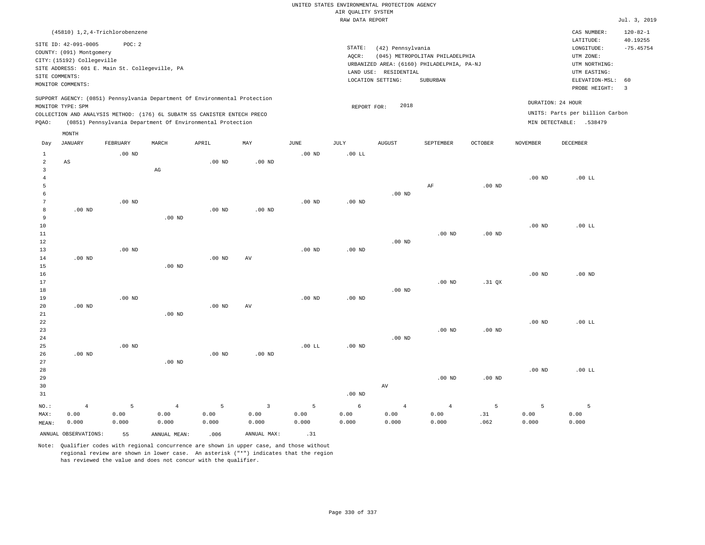|                     |                                                                                                                                  |           |                                                                            |           |                                 |                        | AIR OUALITY SYSTEM | UNITED STATES ENVIRONMENTAL PROTECTION AGENCY |                                                                               |                   |                   |                                                                       |                         |
|---------------------|----------------------------------------------------------------------------------------------------------------------------------|-----------|----------------------------------------------------------------------------|-----------|---------------------------------|------------------------|--------------------|-----------------------------------------------|-------------------------------------------------------------------------------|-------------------|-------------------|-----------------------------------------------------------------------|-------------------------|
|                     |                                                                                                                                  |           |                                                                            |           |                                 |                        | RAW DATA REPORT    |                                               |                                                                               |                   |                   |                                                                       | Jul. 3, 2019            |
|                     | (45810) 1,2,4-Trichlorobenzene                                                                                                   |           |                                                                            |           |                                 |                        |                    |                                               |                                                                               |                   |                   | CAS NUMBER:                                                           | $120 - 82 - 1$          |
|                     | SITE ID: 42-091-0005<br>COUNTY: (091) Montgomery<br>CITY: (15192) Collegeville<br>SITE ADDRESS: 601 E. Main St. Collegeville, PA | POC: 2    |                                                                            |           |                                 |                        | STATE:<br>AQCR:    | (42) Pennsylvania<br>LAND USE: RESIDENTIAL    | (045) METROPOLITAN PHILADELPHIA<br>URBANIZED AREA: (6160) PHILADELPHIA, PA-NJ |                   |                   | LATITUDE:<br>LONGITUDE:<br>UTM ZONE:<br>UTM NORTHING:<br>UTM EASTING: | 40.19255<br>$-75.45754$ |
|                     | SITE COMMENTS:<br>MONITOR COMMENTS:                                                                                              |           |                                                                            |           |                                 |                        |                    | LOCATION SETTING:                             | SUBURBAN                                                                      |                   |                   | ELEVATION-MSL:<br>PROBE HEIGHT:                                       | 60<br>$\overline{3}$    |
|                     | MONITOR TYPE: SPM                                                                                                                |           | SUPPORT AGENCY: (0851) Pennsylvania Department Of Environmental Protection |           |                                 |                        | REPORT FOR:        | 2018                                          |                                                                               |                   |                   | DURATION: 24 HOUR                                                     |                         |
|                     |                                                                                                                                  |           | COLLECTION AND ANALYSIS METHOD: (176) 6L SUBATM SS CANISTER ENTECH PRECO   |           |                                 |                        |                    |                                               |                                                                               |                   |                   | UNITS: Parts per billion Carbon                                       |                         |
| PQAO:               |                                                                                                                                  |           | (0851) Pennsylvania Department Of Environmental Protection                 |           |                                 |                        |                    |                                               |                                                                               |                   |                   | MIN DETECTABLE: .538479                                               |                         |
|                     | MONTH                                                                                                                            |           |                                                                            |           |                                 |                        |                    |                                               |                                                                               |                   |                   |                                                                       |                         |
| Day                 | <b>JANUARY</b>                                                                                                                   | FEBRUARY  | MARCH                                                                      | APRIL     | MAY                             | JUNE                   | JULY               | <b>AUGUST</b>                                 | SEPTEMBER                                                                     | <b>OCTOBER</b>    | <b>NOVEMBER</b>   | <b>DECEMBER</b>                                                       |                         |
| $\mathbf{1}$        |                                                                                                                                  | $.00$ ND  |                                                                            |           |                                 | .00 <sub>ND</sub>      | $.00$ LL           |                                               |                                                                               |                   |                   |                                                                       |                         |
| $\overline{a}$      | $\mathbb{A}\mathbb{S}$                                                                                                           |           |                                                                            | $.00$ ND  | .00 <sub>ND</sub>               |                        |                    |                                               |                                                                               |                   |                   |                                                                       |                         |
| 3<br>$\overline{4}$ |                                                                                                                                  |           | $_{\rm AG}$                                                                |           |                                 |                        |                    |                                               |                                                                               |                   | $.00$ ND          | .00 L                                                                 |                         |
| 5                   |                                                                                                                                  |           |                                                                            |           |                                 |                        |                    |                                               | AF                                                                            | .00 <sub>ND</sub> |                   |                                                                       |                         |
| 6                   |                                                                                                                                  |           |                                                                            |           |                                 |                        |                    | .00 <sub>ND</sub>                             |                                                                               |                   |                   |                                                                       |                         |
| 7                   |                                                                                                                                  | $.00$ ND  |                                                                            |           |                                 | $.00$ ND               | $.00$ ND           |                                               |                                                                               |                   |                   |                                                                       |                         |
| 8                   | $.00$ ND                                                                                                                         |           |                                                                            | $.00$ ND  | $.00$ ND                        |                        |                    |                                               |                                                                               |                   |                   |                                                                       |                         |
| 9                   |                                                                                                                                  |           | $.00$ ND                                                                   |           |                                 |                        |                    |                                               |                                                                               |                   |                   |                                                                       |                         |
| $10$                |                                                                                                                                  |           |                                                                            |           |                                 |                        |                    |                                               |                                                                               |                   | .00 <sub>ND</sub> | $.00$ LL                                                              |                         |
| 11                  |                                                                                                                                  |           |                                                                            |           |                                 |                        |                    |                                               | .00 <sub>ND</sub>                                                             | $.00$ ND          |                   |                                                                       |                         |
| 12                  |                                                                                                                                  |           |                                                                            |           |                                 |                        |                    | .00 <sub>ND</sub>                             |                                                                               |                   |                   |                                                                       |                         |
| 13                  |                                                                                                                                  | $.00$ ND  |                                                                            |           |                                 | $.00$ ND               | .00 <sub>ND</sub>  |                                               |                                                                               |                   |                   |                                                                       |                         |
| 14                  | $.00$ ND                                                                                                                         |           |                                                                            | $.00$ ND  | $\hbox{AV}$                     |                        |                    |                                               |                                                                               |                   |                   |                                                                       |                         |
| 15                  |                                                                                                                                  |           | $.00$ ND                                                                   |           |                                 |                        |                    |                                               |                                                                               |                   |                   |                                                                       |                         |
| 16                  |                                                                                                                                  |           |                                                                            |           |                                 |                        |                    |                                               |                                                                               |                   | .00 <sub>ND</sub> | $.00$ ND                                                              |                         |
| 17                  |                                                                                                                                  |           |                                                                            |           |                                 |                        |                    |                                               | .00 <sub>ND</sub>                                                             | .31 QX            |                   |                                                                       |                         |
| 18                  |                                                                                                                                  |           |                                                                            |           |                                 |                        |                    | .00 <sub>ND</sub>                             |                                                                               |                   |                   |                                                                       |                         |
| 19                  |                                                                                                                                  | $.00$ ND  |                                                                            |           |                                 | $.00$ ND               | $.00$ ND           |                                               |                                                                               |                   |                   |                                                                       |                         |
| 20                  | $.00$ ND                                                                                                                         |           |                                                                            | $.00$ ND  | AV                              |                        |                    |                                               |                                                                               |                   |                   |                                                                       |                         |
| 21                  |                                                                                                                                  |           | .00 <sub>ND</sub>                                                          |           |                                 |                        |                    |                                               |                                                                               |                   |                   |                                                                       |                         |
| ${\bf 22}$          |                                                                                                                                  |           |                                                                            |           |                                 |                        |                    |                                               |                                                                               |                   | .00 <sub>ND</sub> | .00 L                                                                 |                         |
| 23                  |                                                                                                                                  |           |                                                                            |           |                                 |                        |                    | $.00$ ND                                      | $.00$ ND                                                                      | $.00$ ND          |                   |                                                                       |                         |
| $2\,4$<br>25        |                                                                                                                                  | $.00$ ND  |                                                                            |           |                                 | $.00$ LL               | .00 <sub>ND</sub>  |                                               |                                                                               |                   |                   |                                                                       |                         |
| 26                  | $.00$ ND                                                                                                                         |           |                                                                            | $.00$ ND  | $.00$ ND                        |                        |                    |                                               |                                                                               |                   |                   |                                                                       |                         |
| 27                  |                                                                                                                                  |           | $.00$ ND                                                                   |           |                                 |                        |                    |                                               |                                                                               |                   |                   |                                                                       |                         |
| 28                  |                                                                                                                                  |           |                                                                            |           |                                 |                        |                    |                                               |                                                                               |                   | .00 <sub>ND</sub> | .00 L                                                                 |                         |
| 29                  |                                                                                                                                  |           |                                                                            |           |                                 |                        |                    |                                               | .00 <sub>ND</sub>                                                             | $.00$ ND          |                   |                                                                       |                         |
| 30                  |                                                                                                                                  |           |                                                                            |           |                                 |                        |                    | AV                                            |                                                                               |                   |                   |                                                                       |                         |
| 31                  |                                                                                                                                  |           |                                                                            |           |                                 |                        | .00 <sub>ND</sub>  |                                               |                                                                               |                   |                   |                                                                       |                         |
|                     |                                                                                                                                  |           |                                                                            |           |                                 |                        |                    |                                               |                                                                               |                   |                   |                                                                       |                         |
| NO.:<br>MAX:        | $\sqrt{4}$<br>0.00                                                                                                               | 5<br>0.00 | $\sqrt{4}$<br>0.00                                                         | 5<br>0.00 | $\overline{\mathbf{3}}$<br>0.00 | $\overline{5}$<br>0.00 | $\sqrt{6}$<br>0.00 | $\sqrt{4}$<br>0.00                            | $\overline{4}$<br>0.00                                                        | 5<br>.31          | 5<br>0.00         | $\overline{5}$<br>0.00                                                |                         |
|                     | 0.000                                                                                                                            | 0.000     | 0.000                                                                      | 0.000     | 0.000                           | 0.000                  | 0.000              | 0.000                                         | 0.000                                                                         | .062              | 0.000             | 0.000                                                                 |                         |
| MEAN:               |                                                                                                                                  |           |                                                                            |           |                                 |                        |                    |                                               |                                                                               |                   |                   |                                                                       |                         |
|                     | ANNUAL OBSERVATIONS:                                                                                                             | 55        | ANNUAL, MEAN:                                                              | .006      | ANNUAL MAX:                     | .31                    |                    |                                               |                                                                               |                   |                   |                                                                       |                         |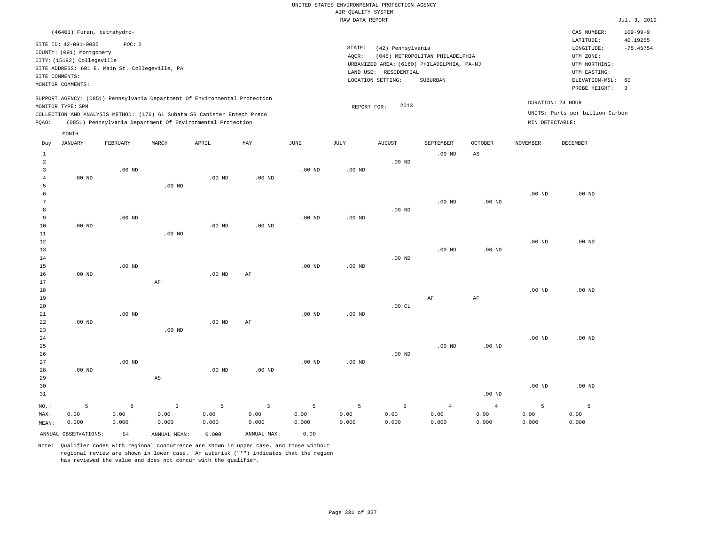# UNITED STATES ENVIRONMENTAL PROTECTION AGENCY AIR QUALITY SYSTEM

|                                                       |                                                                                                                                                                                                                                                                 |          |          |                                                                                                                                        |                   |                   | RAW DATA REPORT |                                                                 |                                                                                           |                   |                   |                                                                                                          | Jul. 3, 2019                                             |
|-------------------------------------------------------|-----------------------------------------------------------------------------------------------------------------------------------------------------------------------------------------------------------------------------------------------------------------|----------|----------|----------------------------------------------------------------------------------------------------------------------------------------|-------------------|-------------------|-----------------|-----------------------------------------------------------------|-------------------------------------------------------------------------------------------|-------------------|-------------------|----------------------------------------------------------------------------------------------------------|----------------------------------------------------------|
|                                                       | (46401) Furan, tetrahydro-                                                                                                                                                                                                                                      |          |          |                                                                                                                                        |                   |                   |                 |                                                                 |                                                                                           |                   |                   | CAS NUMBER:                                                                                              | $109 - 99 - 9$                                           |
|                                                       | SITE ID: 42-091-0005<br>POC: 2<br>COUNTY: (091) Montgomery<br>CITY: (15192) Collegeville<br>SITE ADDRESS: 601 E. Main St. Collegeville, PA<br>SITE COMMENTS:<br>MONITOR COMMENTS:<br>SUPPORT AGENCY: (0851) Pennsylvania Department Of Environmental Protection |          |          |                                                                                                                                        |                   |                   |                 | (42) Pennsylvania<br>LAND USE: RESIDENTIAL<br>LOCATION SETTING: | (045) METROPOLITAN PHILADELPHIA<br>URBANIZED AREA: (6160) PHILADELPHIA, PA-NJ<br>SUBURBAN |                   |                   | LATITUDE:<br>LONGITUDE:<br>UTM ZONE:<br>UTM NORTHING:<br>UTM EASTING:<br>ELEVATION-MSL:<br>PROBE HEIGHT: | 40.19255<br>$-75.45754$<br>60<br>$\overline{\mathbf{3}}$ |
| PQAO:                                                 | MONITOR TYPE: SPM                                                                                                                                                                                                                                               |          |          | COLLECTION AND ANALYSIS METHOD: (176) 6L Subatm SS Canister Entech Preco<br>(0851) Pennsylvania Department Of Environmental Protection |                   |                   | REPORT FOR:     | 2013                                                            |                                                                                           |                   | MIN DETECTABLE:   | DURATION: 24 HOUR<br>UNITS: Parts per billion Carbon                                                     |                                                          |
|                                                       | MONTH                                                                                                                                                                                                                                                           |          |          |                                                                                                                                        |                   |                   |                 |                                                                 |                                                                                           |                   |                   |                                                                                                          |                                                          |
| Day                                                   | JANUARY                                                                                                                                                                                                                                                         | FEBRUARY | MARCH    | APRIL                                                                                                                                  | MAY               | JUNE              | JULY            | AUGUST                                                          | SEPTEMBER                                                                                 | <b>OCTOBER</b>    | <b>NOVEMBER</b>   | DECEMBER                                                                                                 |                                                          |
| $\mathbf{1}$<br>$\overline{a}$<br>$\overline{3}$<br>4 | $.00$ ND                                                                                                                                                                                                                                                        | $.00$ ND |          | .00 <sub>ND</sub>                                                                                                                      | .00 <sub>ND</sub> | .00 <sub>ND</sub> | $.00$ ND        | $.00$ ND                                                        | $.00$ ND                                                                                  | AS                |                   |                                                                                                          |                                                          |
| 5<br>6<br>7                                           |                                                                                                                                                                                                                                                                 |          | $.00$ ND |                                                                                                                                        |                   |                   |                 |                                                                 | .00 <sub>ND</sub>                                                                         | .00 <sub>ND</sub> | $.00$ ND          | $.00$ ND                                                                                                 |                                                          |
| 8<br>9                                                |                                                                                                                                                                                                                                                                 | $.00$ ND |          |                                                                                                                                        |                   | .00 <sub>ND</sub> | $.00$ ND        | $.00$ ND                                                        |                                                                                           |                   |                   |                                                                                                          |                                                          |
| 10<br>11<br>12                                        | $.00$ ND                                                                                                                                                                                                                                                        |          | $.00$ ND | .00 <sub>ND</sub>                                                                                                                      | .00 <sub>ND</sub> |                   |                 |                                                                 |                                                                                           |                   | .00 <sub>ND</sub> | $.00$ ND                                                                                                 |                                                          |
| 13<br>14<br>15                                        |                                                                                                                                                                                                                                                                 | $.00$ ND |          |                                                                                                                                        |                   | .00 <sub>ND</sub> | $.00$ ND        | $.00$ ND                                                        | $.00$ ND                                                                                  | $.00$ ND          |                   |                                                                                                          |                                                          |
| 16<br>17<br>18                                        | $.00$ ND                                                                                                                                                                                                                                                        |          | AF       | $.00$ ND                                                                                                                               | AF                |                   |                 |                                                                 |                                                                                           |                   | .00 <sub>ND</sub> | $.00$ ND                                                                                                 |                                                          |
| 19<br>20<br>21                                        |                                                                                                                                                                                                                                                                 | $.00$ ND |          |                                                                                                                                        |                   | .00 <sub>ND</sub> | $.00$ ND        | .00CL                                                           | AF                                                                                        | AF                |                   |                                                                                                          |                                                          |
| 22<br>23<br>24                                        | $.00$ ND                                                                                                                                                                                                                                                        |          | $.00$ ND | $.00$ ND                                                                                                                               | AF                |                   |                 |                                                                 |                                                                                           |                   | $.00$ ND          | $.00$ ND                                                                                                 |                                                          |
| 25                                                    |                                                                                                                                                                                                                                                                 |          |          |                                                                                                                                        |                   |                   |                 |                                                                 | $.00$ ND                                                                                  | .00 <sub>ND</sub> |                   |                                                                                                          |                                                          |

Note: Qualifier codes with regional concurrence are shown in upper case, and those without regional review are shown in lower case. An asterisk ("\*") indicates that the region has reviewed the value and does not concur with the qualifier.

3 0.00 0.000

ANNUAL OBSERVATIONS: 54 ANNUAL MEAN: 0.000 ANNUAL MAX: 0.00

.00 ND

5 0.00 0.000

.00 ND

3 0.00 0.000

.00 ND

5 0.00 0.000

NO.: MAX: MEAN: .00 ND

.00 ND

5 0.00 0.000

AS

5 0.00 0.000

.00 ND

5 0.00 0.000

.00 ND

5 0.00 0.000

.00 ND

4 0.00 0.000

4 0.00 0.000

.00 ND

5 0.00 0.000

.00 ND

5 0.00 0.000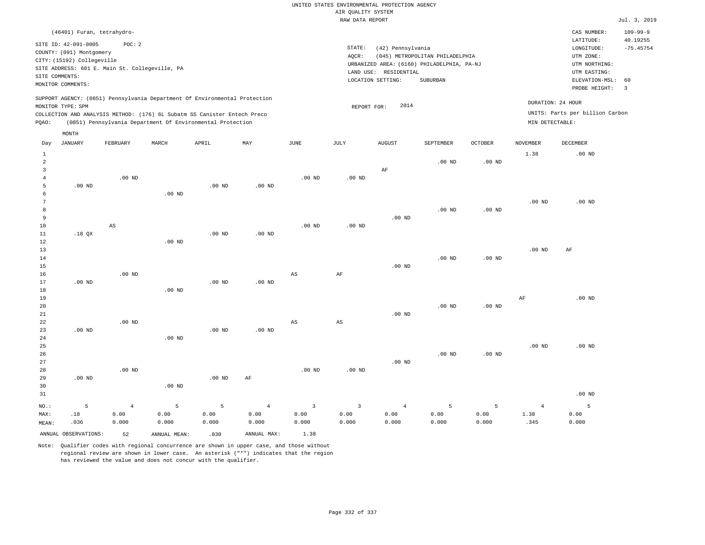| (46401) Furan, tetrahydro-                                                                                                                                                                                                                         |                                                                                                                                                                                    | CAS NUMBER:                                                                                                 | $109 - 99 - 9$          |
|----------------------------------------------------------------------------------------------------------------------------------------------------------------------------------------------------------------------------------------------------|------------------------------------------------------------------------------------------------------------------------------------------------------------------------------------|-------------------------------------------------------------------------------------------------------------|-------------------------|
| SITE ID: 42-091-0005<br>POC:2<br>COUNTY: (091) Montgomery<br>CITY: (15192) Collegeville<br>SITE ADDRESS: 601 E. Main St. Collegeville, PA<br>SITE COMMENTS:<br>MONITOR COMMENTS:                                                                   | STATE:<br>(42) Pennsylvania<br>(045) METROPOLITAN PHILADELPHIA<br>AOCR:<br>URBANIZED AREA: (6160) PHILADELPHIA, PA-NJ<br>RESIDENTIAL<br>LAND USE:<br>LOCATION SETTING:<br>SUBURBAN | LATITUDE:<br>LONGITUDE:<br>UTM ZONE:<br>UTM NORTHING:<br>UTM EASTING:<br>ELEVATION-MSL: 60<br>PROBE HEIGHT: | 40.19255<br>$-75.45754$ |
| SUPPORT AGENCY: (0851) Pennsylvania Department Of Environmental Protection<br>MONITOR TYPE: SPM<br>COLLECTION AND ANALYSIS METHOD: (176) 6L Subatm SS Canister Entech Preco<br>(0851) Pennsylvania Department Of Environmental Protection<br>POAO: | DURATION: 24 HOUR<br>2014<br>REPORT FOR:<br>MIN DETECTABLE:                                                                                                                        | UNITS: Parts per billion Carbon                                                                             |                         |

|                        | MONTH                |                        |               |                   |                |                         |                        |                |                  |                   |                |               |
|------------------------|----------------------|------------------------|---------------|-------------------|----------------|-------------------------|------------------------|----------------|------------------|-------------------|----------------|---------------|
| Day                    | <b>JANUARY</b>       | FEBRUARY               | MARCH         | APRIL             | MAY            | $\mathtt{JUNE}$         | JULY                   | <b>AUGUST</b>  | <b>SEPTEMBER</b> | OCTOBER           | NOVEMBER       | DECEMBER      |
| $\mathbf{1}$<br>2<br>3 |                      |                        |               |                   |                |                         |                        | $\rm AF$       | $.00$ ND         | $.00$ ND          | 1.38           | $.00$ ND      |
| $\overline{4}$<br>5    | $.00$ ND             | $.00$ ND               |               | $.00$ ND          | $.00$ ND       | $.00$ ND                | $.00$ ND               |                |                  |                   |                |               |
| 6                      |                      |                        | $.00$ ND      |                   |                |                         |                        |                |                  |                   |                |               |
| 7<br>8                 |                      |                        |               |                   |                |                         |                        |                | $.00$ ND         | $.00$ ND          | $.00$ ND       | $.00$ ND      |
| 9                      |                      |                        |               |                   |                |                         |                        | $.00$ ND       |                  |                   |                |               |
| 10                     |                      | $\mathbb{A}\mathbb{S}$ |               |                   |                | $.00$ ND                | $.00$ ND               |                |                  |                   |                |               |
| 11<br>12               | .18 $QX$             |                        | $.00$ ND      | .00 <sub>ND</sub> | $.00$ ND       |                         |                        |                |                  |                   |                |               |
| 13                     |                      |                        |               |                   |                |                         |                        |                |                  |                   | $.00$ ND       | AF            |
| 14<br>15               |                      |                        |               |                   |                |                         |                        | $.00$ ND       | $.00$ ND         | .00 <sub>ND</sub> |                |               |
| 16                     |                      | $.00$ ND               |               |                   |                | $\mathbb{A}\mathbb{S}$  | $\rm{AF}$              |                |                  |                   |                |               |
| 17                     | $.00$ ND             |                        |               | .00 <sub>ND</sub> | $.00$ ND       |                         |                        |                |                  |                   |                |               |
| 18<br>19               |                      |                        | $.00$ ND      |                   |                |                         |                        |                |                  |                   | $\rm{AF}$      | $.00$ ND      |
| 20                     |                      |                        |               |                   |                |                         |                        |                | $.00$ ND         | $.00$ ND          |                |               |
| 21                     |                      |                        |               |                   |                |                         |                        | $.00$ ND       |                  |                   |                |               |
| 22<br>23               | $.00$ ND             | $.00$ ND               |               | .00 <sub>ND</sub> | $.00$ ND       | $_{\rm AS}$             | $\mathbb{A}\mathbb{S}$ |                |                  |                   |                |               |
| 24                     |                      |                        | $.00$ ND      |                   |                |                         |                        |                |                  |                   |                |               |
| 25<br>26               |                      |                        |               |                   |                |                         |                        |                | $.00$ ND         | $.00$ ND          | $.00$ ND       | $.00$ ND      |
| 27                     |                      |                        |               |                   |                |                         |                        | $.00$ ND       |                  |                   |                |               |
| 28                     |                      | $.00$ ND               |               |                   |                | $.00$ ND                | $.00$ ND               |                |                  |                   |                |               |
| 29<br>30               | $.00$ ND             |                        | $.00$ ND      | $.00$ ND          | $\rm AF$       |                         |                        |                |                  |                   |                |               |
| 31                     |                      |                        |               |                   |                |                         |                        |                |                  |                   |                | $.00$ ND      |
| NO.:                   | 5                    | $\overline{4}$         | 5             | 5                 | $\overline{4}$ | $\overline{\mathbf{3}}$ | $\overline{3}$         | $\overline{4}$ | 5                | 5                 | $\overline{4}$ | 5             |
| MAX:                   | $.18\,$<br>.036      | 0.00<br>0.000          | 0.00<br>0.000 | 0.00<br>0.000     | 0.00<br>0.000  | 0.00<br>0.000           | 0.00<br>0.000          | 0.00<br>0.000  | 0.00<br>0.000    | 0.00<br>0.000     | 1.38<br>.345   | 0.00<br>0.000 |
| MEAN:                  | ANNUAL OBSERVATIONS: | 52                     | ANNUAL MEAN:  | .030              | ANNUAL MAX:    | 1.38                    |                        |                |                  |                   |                |               |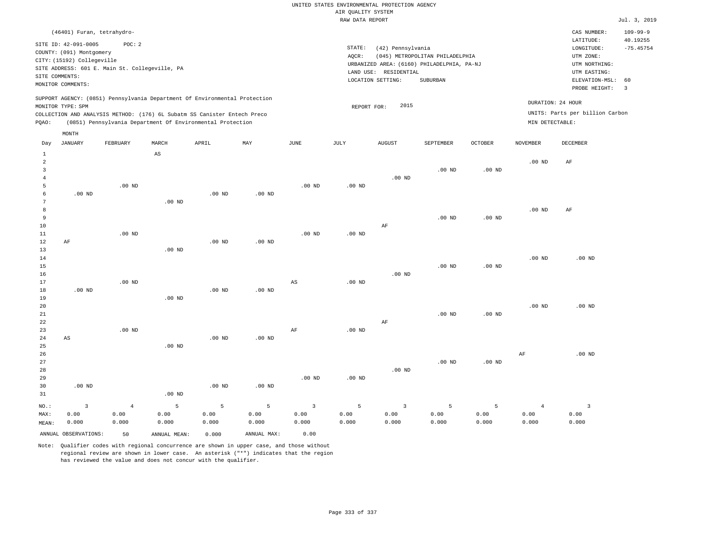| (46401) Furan, tetrahydro-                                                                                                                                                                                                                         |                                                                                                                                                                                 | $109 - 99 - 9$<br>CAS NUMBER:                                                                                                          |
|----------------------------------------------------------------------------------------------------------------------------------------------------------------------------------------------------------------------------------------------------|---------------------------------------------------------------------------------------------------------------------------------------------------------------------------------|----------------------------------------------------------------------------------------------------------------------------------------|
| SITE ID: 42-091-0005<br>POC: 2<br>COUNTY: (091) Montgomery<br>CITY: (15192) Collegeville<br>SITE ADDRESS: 601 E. Main St. Collegeville, PA<br>SITE COMMENTS:<br>MONITOR COMMENTS:                                                                  | STATE:<br>(42) Pennsylvania<br>(045) METROPOLITAN PHILADELPHIA<br>AOCR:<br>URBANIZED AREA: (6160) PHILADELPHIA, PA-NJ<br>LAND USE: RESIDENTIAL<br>LOCATION SETTING:<br>SUBURBAN | 40.19255<br>LATITUDE:<br>$-75.45754$<br>LONGITUDE:<br>UTM ZONE:<br>UTM NORTHING:<br>UTM EASTING:<br>ELEVATION-MSL: 60<br>PROBE HEIGHT: |
| SUPPORT AGENCY: (0851) Pennsylvania Department Of Environmental Protection<br>MONITOR TYPE: SPM<br>COLLECTION AND ANALYSIS METHOD: (176) 6L Subatm SS Canister Entech Preco<br>(0851) Pennsylvania Department Of Environmental Protection<br>POAO: | 2015<br>REPORT FOR:                                                                                                                                                             | DURATION: 24 HOUR<br>UNITS: Parts per billion Carbon<br>MIN DETECTABLE:                                                                |

|                         | $\texttt{MONTH}$       |            |                        |                   |             |                |                   |                         |           |                   |                 |                         |
|-------------------------|------------------------|------------|------------------------|-------------------|-------------|----------------|-------------------|-------------------------|-----------|-------------------|-----------------|-------------------------|
| Day                     | <b>JANUARY</b>         | FEBRUARY   | MARCH                  | APRIL             | MAY         | $_{\rm JUNE}$  | $\mathtt{JULY}$   | <b>AUGUST</b>           | SEPTEMBER | OCTOBER           | <b>NOVEMBER</b> | DECEMBER                |
| $\mathbf{1}$            |                        |            | $\mathbb{A}\mathbb{S}$ |                   |             |                |                   |                         |           |                   |                 |                         |
| $\overline{\mathbf{c}}$ |                        |            |                        |                   |             |                |                   |                         |           |                   | $.00$ ND        | AF                      |
| 3                       |                        |            |                        |                   |             |                |                   |                         | $.00$ ND  | .00 <sub>ND</sub> |                 |                         |
| $\overline{4}$          |                        |            |                        |                   |             |                |                   | $.00$ ND                |           |                   |                 |                         |
| 5                       |                        | $.00$ ND   |                        |                   |             | $.00$ ND       | $.00$ ND          |                         |           |                   |                 |                         |
| 6                       | $.00$ ND               |            |                        | .00 <sub>ND</sub> | $.00$ ND    |                |                   |                         |           |                   |                 |                         |
| 7                       |                        |            | $.00$ ND               |                   |             |                |                   |                         |           |                   |                 |                         |
| 8                       |                        |            |                        |                   |             |                |                   |                         |           |                   | $.00$ ND        | AF                      |
| 9                       |                        |            |                        |                   |             |                |                   |                         | $.00$ ND  | $.00$ ND          |                 |                         |
| 10                      |                        |            |                        |                   |             |                |                   | $\rm AF$                |           |                   |                 |                         |
| 11                      |                        | $.00$ ND   |                        |                   |             | $.00$ ND       | $.00$ ND          |                         |           |                   |                 |                         |
| 12                      | $\rm AF$               |            |                        | $.00$ ND          | $.00$ ND    |                |                   |                         |           |                   |                 |                         |
| 13<br>14                |                        |            | $.00$ ND               |                   |             |                |                   |                         |           |                   | $.00$ ND        | $.00$ ND                |
| 15                      |                        |            |                        |                   |             |                |                   |                         | $.00$ ND  | $.00$ ND          |                 |                         |
| 16                      |                        |            |                        |                   |             |                |                   | $.00$ ND                |           |                   |                 |                         |
| 17                      |                        | $.00$ ND   |                        |                   |             | AS             | $.00$ ND          |                         |           |                   |                 |                         |
| 18                      | $.00$ ND               |            |                        | .00 <sub>ND</sub> | $.00$ ND    |                |                   |                         |           |                   |                 |                         |
| 19                      |                        |            | $.00$ ND               |                   |             |                |                   |                         |           |                   |                 |                         |
| 20                      |                        |            |                        |                   |             |                |                   |                         |           |                   | $.00$ ND        | $.00$ ND                |
| 21                      |                        |            |                        |                   |             |                |                   |                         | $.00$ ND  | $.00$ ND          |                 |                         |
| $2\sqrt{2}$             |                        |            |                        |                   |             |                |                   | $\rm AF$                |           |                   |                 |                         |
| 23                      |                        | $.00$ ND   |                        |                   |             | AF             | .00 <sub>ND</sub> |                         |           |                   |                 |                         |
| $2\sqrt{4}$             | $\mathbb{A}\mathbb{S}$ |            |                        | $.00$ ND          | $.00$ ND    |                |                   |                         |           |                   |                 |                         |
| 25                      |                        |            | $.00$ ND               |                   |             |                |                   |                         |           |                   |                 |                         |
| 26                      |                        |            |                        |                   |             |                |                   |                         |           |                   | $\rm AF$        | $.00$ ND                |
| 27                      |                        |            |                        |                   |             |                |                   |                         | $.00$ ND  | .00 <sub>ND</sub> |                 |                         |
| 28                      |                        |            |                        |                   |             |                |                   | $.00$ ND                |           |                   |                 |                         |
| 29                      |                        |            |                        |                   |             | $.00$ ND       | $.00$ ND          |                         |           |                   |                 |                         |
| 30                      | $.00$ ND               |            |                        | .00 <sub>ND</sub> | $.00$ ND    |                |                   |                         |           |                   |                 |                         |
| 31                      |                        |            | $.00$ ND               |                   |             |                |                   |                         |           |                   |                 |                         |
| NO.:                    | $\overline{3}$         | $\sqrt{4}$ | $\mathsf S$            | 5                 | 5           | $\overline{3}$ | 5                 | $\overline{\mathbf{3}}$ | 5         | 5                 | $\overline{4}$  | $\overline{\mathbf{3}}$ |
| MAX:                    | 0.00                   | 0.00       | 0.00                   | 0.00              | 0.00        | 0.00           | 0.00              | 0.00                    | 0.00      | 0.00              | 0.00            | 0.00                    |
| MEAN:                   | 0.000                  | 0.000      | 0.000                  | 0.000             | 0.000       | 0.000          | 0.000             | 0.000                   | 0.000     | 0.000             | 0.000           | 0.000                   |
|                         | ANNUAL OBSERVATIONS:   | 50         | ANNUAL MEAN:           | 0.000             | ANNUAL MAX: | 0.00           |                   |                         |           |                   |                 |                         |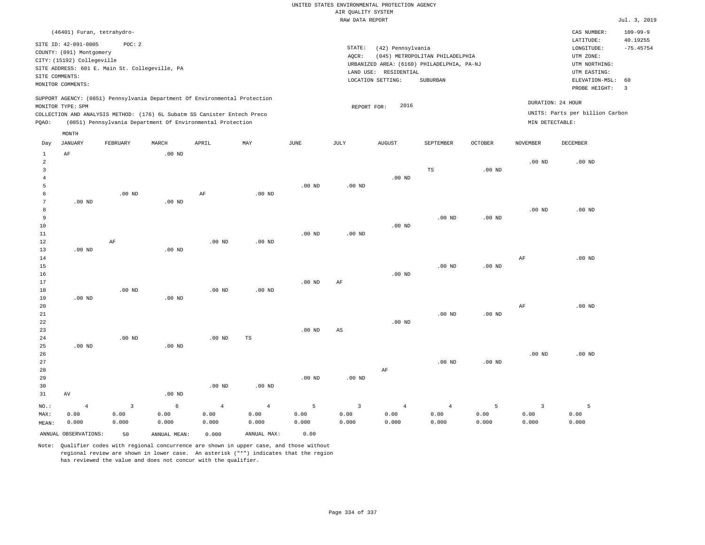| (46401) Furan, tetrahydro-                                                                                                                                                                                                                         |                                                                                                                                                                                 | $109 - 99 - 9$<br>CAS NUMBER:                                                                                                          |
|----------------------------------------------------------------------------------------------------------------------------------------------------------------------------------------------------------------------------------------------------|---------------------------------------------------------------------------------------------------------------------------------------------------------------------------------|----------------------------------------------------------------------------------------------------------------------------------------|
| SITE ID: 42-091-0005<br>POC: 2<br>COUNTY: (091) Montgomery<br>CITY: (15192) Collegeville<br>SITE ADDRESS: 601 E. Main St. Collegeville, PA<br>SITE COMMENTS:<br>MONITOR COMMENTS:                                                                  | STATE:<br>(42) Pennsylvania<br>(045) METROPOLITAN PHILADELPHIA<br>AOCR:<br>URBANIZED AREA: (6160) PHILADELPHIA, PA-NJ<br>LAND USE: RESIDENTIAL<br>LOCATION SETTING:<br>SUBURBAN | LATITUDE:<br>40.19255<br>$-75.45754$<br>LONGITUDE:<br>UTM ZONE:<br>UTM NORTHING:<br>UTM EASTING:<br>ELEVATION-MSL: 60<br>PROBE HEIGHT: |
| SUPPORT AGENCY: (0851) Pennsylvania Department Of Environmental Protection<br>MONITOR TYPE: SPM<br>COLLECTION AND ANALYSIS METHOD: (176) 6L Subatm SS Canister Entech Preco<br>(0851) Pennsylvania Department Of Environmental Protection<br>POAO: | 2016<br>REPORT FOR:<br>MIN DETECTABLE:                                                                                                                                          | DURATION: 24 HOUR<br>UNITS: Parts per billion Carbon                                                                                   |

| Day            | JANUARY              | FEBRUARY                | $\tt MARCH$  | APRIL          | MAY            | $_{\rm JUNE}$ | JULY                    | AUGUST         | SEPTEMBER      | OCTOBER           | <b>NOVEMBER</b>   | DECEMBER |
|----------------|----------------------|-------------------------|--------------|----------------|----------------|---------------|-------------------------|----------------|----------------|-------------------|-------------------|----------|
| 1              | $\rm AF$             |                         | $.00$ ND     |                |                |               |                         |                |                |                   |                   |          |
| $\overline{a}$ |                      |                         |              |                |                |               |                         |                |                |                   | .00 <sub>ND</sub> | $.00$ ND |
| 3              |                      |                         |              |                |                |               |                         |                | $_{\rm TS}$    | $.00$ ND          |                   |          |
| $\overline{4}$ |                      |                         |              |                |                |               |                         | $.00$ ND       |                |                   |                   |          |
| 5              |                      |                         |              |                |                | $.00$ ND      | $.00$ ND                |                |                |                   |                   |          |
| 6              |                      | $.00$ ND                |              | AF             | $.00$ ND       |               |                         |                |                |                   |                   |          |
| 7              | $.00$ ND             |                         | $.00$ ND     |                |                |               |                         |                |                |                   |                   |          |
| 8              |                      |                         |              |                |                |               |                         |                |                |                   | $.00$ ND          | $.00$ ND |
| 9              |                      |                         |              |                |                |               |                         |                | $.00$ ND       | .00 <sub>ND</sub> |                   |          |
| 10             |                      |                         |              |                |                |               |                         | $.00$ ND       |                |                   |                   |          |
| 11             |                      |                         |              |                |                | $.00$ ND      | $.00$ ND                |                |                |                   |                   |          |
| 12             |                      | $\rm AF$                |              | $.00$ ND       | $.00$ ND       |               |                         |                |                |                   |                   |          |
| 13             | $.00$ ND             |                         | $.00$ ND     |                |                |               |                         |                |                |                   |                   |          |
| 14             |                      |                         |              |                |                |               |                         |                |                |                   | AF                | $.00$ ND |
| 15             |                      |                         |              |                |                |               |                         |                | $.00$ ND       | .00 <sub>ND</sub> |                   |          |
| 16             |                      |                         |              |                |                |               |                         | $.00$ ND       |                |                   |                   |          |
| 17             |                      |                         |              |                |                | $.00$ ND      | AF                      |                |                |                   |                   |          |
| 18             |                      | $.00$ ND                |              | $.00$ ND       | $.00$ ND       |               |                         |                |                |                   |                   |          |
| 19             | $.00$ ND             |                         | $.00$ ND     |                |                |               |                         |                |                |                   |                   |          |
| 20             |                      |                         |              |                |                |               |                         |                |                |                   | AF                | $.00$ ND |
| 21             |                      |                         |              |                |                |               |                         |                | $.00$ ND       | .00 <sub>ND</sub> |                   |          |
| 22             |                      |                         |              |                |                |               |                         | $.00$ ND       |                |                   |                   |          |
| 23             |                      |                         |              |                |                | $.00$ ND      | AS                      |                |                |                   |                   |          |
| 24             |                      | $.00$ ND                |              | $.00$ ND       | TS             |               |                         |                |                |                   |                   |          |
| 25             | $.00$ ND             |                         | $.00$ ND     |                |                |               |                         |                |                |                   |                   |          |
| 26             |                      |                         |              |                |                |               |                         |                |                |                   | $.00$ ND          | $.00$ ND |
| 27             |                      |                         |              |                |                |               |                         |                | $.00$ ND       | $.00$ ND          |                   |          |
| 28             |                      |                         |              |                |                |               |                         | $\rm AF$       |                |                   |                   |          |
| 29             |                      |                         |              |                |                | $.00$ ND      | $.00$ ND                |                |                |                   |                   |          |
| 30             |                      |                         |              | $.00$ ND       | $.00$ ND       |               |                         |                |                |                   |                   |          |
| 31             | AV                   |                         | $.00$ ND     |                |                |               |                         |                |                |                   |                   |          |
| NO.:           | $\overline{4}$       | $\overline{\mathbf{3}}$ | $\epsilon$   | $\overline{4}$ | $\overline{4}$ | 5             | $\overline{\mathbf{3}}$ | $\overline{4}$ | $\overline{4}$ | 5                 | $\overline{3}$    | 5        |
| MAX:           | 0.00                 | 0.00                    | 0.00         | 0.00           | 0.00           | 0.00          | 0.00                    | 0.00           | 0.00           | 0.00              | 0.00              | 0.00     |
| MEAN:          | 0.000                | 0.000                   | 0.000        | 0.000          | 0.000          | 0.000         | 0.000                   | 0.000          | 0.000          | 0.000             | 0.000             | 0.000    |
|                | ANNUAL OBSERVATIONS: | 50                      | ANNUAL MEAN: | 0.000          | ANNUAL MAX:    | 0.00          |                         |                |                |                   |                   |          |

Note: Qualifier codes with regional concurrence are shown in upper case, and those without regional review are shown in lower case. An asterisk ("\*") indicates that the region has reviewed the value and does not concur with the qualifier.

MONTH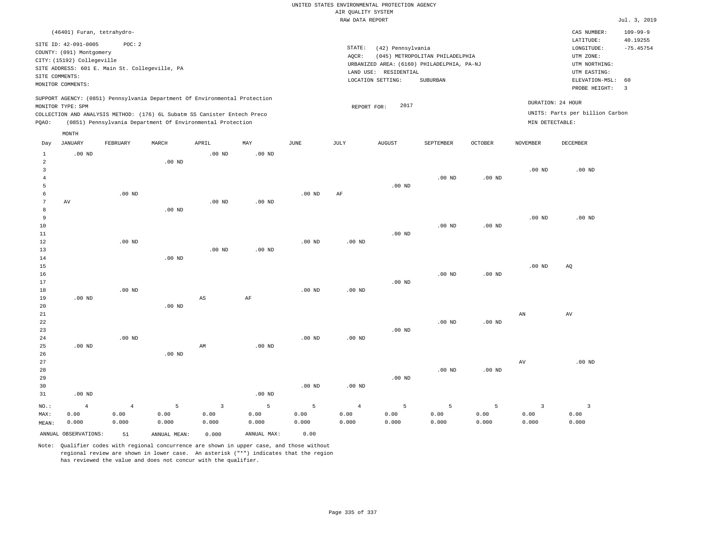|                     |                            |                                                |          |                                                                                                                                        |                   |                   |                    | UNITED STATES ENVIRONMENTAL PROTECTION AGENCY |                                            |                |                   |                                 |                         |
|---------------------|----------------------------|------------------------------------------------|----------|----------------------------------------------------------------------------------------------------------------------------------------|-------------------|-------------------|--------------------|-----------------------------------------------|--------------------------------------------|----------------|-------------------|---------------------------------|-------------------------|
|                     |                            |                                                |          |                                                                                                                                        |                   |                   | AIR QUALITY SYSTEM |                                               |                                            |                |                   |                                 |                         |
|                     |                            |                                                |          |                                                                                                                                        |                   |                   | RAW DATA REPORT    |                                               |                                            |                |                   |                                 | Jul. 3, 2019            |
|                     | (46401) Furan, tetrahydro- |                                                |          |                                                                                                                                        |                   |                   |                    |                                               |                                            |                |                   | CAS NUMBER:                     | $109 - 99 - 9$          |
|                     | SITE ID: 42-091-0005       | POC: 2                                         |          |                                                                                                                                        |                   |                   | STATE:             |                                               |                                            |                |                   | LATITUDE:                       | 40.19255<br>$-75.45754$ |
|                     | COUNTY: (091) Montgomery   |                                                |          |                                                                                                                                        |                   |                   | AQCR:              | (42) Pennsylvania                             | (045) METROPOLITAN PHILADELPHIA            |                |                   | LONGITUDE:<br>UTM ZONE:         |                         |
|                     | CITY: (15192) Collegeville |                                                |          |                                                                                                                                        |                   |                   |                    |                                               | URBANIZED AREA: (6160) PHILADELPHIA, PA-NJ |                |                   | UTM NORTHING:                   |                         |
|                     |                            | SITE ADDRESS: 601 E. Main St. Collegeville, PA |          |                                                                                                                                        |                   |                   |                    | LAND USE: RESIDENTIAL                         |                                            |                |                   | UTM EASTING:                    |                         |
| SITE COMMENTS:      |                            |                                                |          |                                                                                                                                        |                   |                   |                    | LOCATION SETTING:                             | <b>SUBURBAN</b>                            |                |                   | ELEVATION-MSL:                  | 60                      |
|                     | MONITOR COMMENTS:          |                                                |          |                                                                                                                                        |                   |                   |                    |                                               |                                            |                |                   | PROBE HEIGHT:                   | $\overline{3}$          |
|                     |                            |                                                |          | SUPPORT AGENCY: (0851) Pennsylvania Department Of Environmental Protection                                                             |                   |                   |                    |                                               |                                            |                |                   | DURATION: 24 HOUR               |                         |
|                     | MONITOR TYPE: SPM          |                                                |          |                                                                                                                                        |                   |                   | REPORT FOR:        | 2017                                          |                                            |                |                   |                                 |                         |
| PQAO:               |                            |                                                |          | COLLECTION AND ANALYSIS METHOD: (176) 6L Subatm SS Canister Entech Preco<br>(0851) Pennsylvania Department Of Environmental Protection |                   |                   |                    |                                               |                                            |                | MIN DETECTABLE:   | UNITS: Parts per billion Carbon |                         |
|                     | MONTH                      |                                                |          |                                                                                                                                        |                   |                   |                    |                                               |                                            |                |                   |                                 |                         |
| Day                 | <b>JANUARY</b>             | FEBRUARY                                       | MARCH    | APRIL                                                                                                                                  | MAY               | <b>JUNE</b>       | JULY               | <b>AUGUST</b>                                 | SEPTEMBER                                  | <b>OCTOBER</b> | <b>NOVEMBER</b>   | DECEMBER                        |                         |
| $\mathbf{1}$        | $.00$ ND                   |                                                |          | $.00$ ND                                                                                                                               | .00 <sub>ND</sub> |                   |                    |                                               |                                            |                |                   |                                 |                         |
| $\overline{a}$      |                            |                                                | $.00$ ND |                                                                                                                                        |                   |                   |                    |                                               |                                            |                |                   |                                 |                         |
| $\overline{3}$      |                            |                                                |          |                                                                                                                                        |                   |                   |                    |                                               |                                            |                | .00 <sub>ND</sub> | $.00$ ND                        |                         |
| $\overline{4}$      |                            |                                                |          |                                                                                                                                        |                   |                   |                    |                                               | $.00$ ND                                   | $.00$ ND       |                   |                                 |                         |
| 5                   |                            |                                                |          |                                                                                                                                        |                   |                   |                    | $.00$ ND                                      |                                            |                |                   |                                 |                         |
| 6<br>$\overline{7}$ |                            | $.00$ ND                                       |          |                                                                                                                                        |                   | .00 <sub>ND</sub> | AF                 |                                               |                                            |                |                   |                                 |                         |
| 8                   | AV                         |                                                | $.00$ ND | $.00$ ND                                                                                                                               | $.00$ ND          |                   |                    |                                               |                                            |                |                   |                                 |                         |
| 9                   |                            |                                                |          |                                                                                                                                        |                   |                   |                    |                                               |                                            |                | .00 <sub>ND</sub> | $.00$ ND                        |                         |
| 10                  |                            |                                                |          |                                                                                                                                        |                   |                   |                    |                                               | .00 <sub>ND</sub>                          | $.00$ ND       |                   |                                 |                         |
| 11                  |                            |                                                |          |                                                                                                                                        |                   |                   |                    | $.00$ ND                                      |                                            |                |                   |                                 |                         |
| 12                  |                            | $.00$ ND                                       |          |                                                                                                                                        |                   | .00 <sub>ND</sub> | .00 <sub>ND</sub>  |                                               |                                            |                |                   |                                 |                         |
| 13                  |                            |                                                |          | $.00$ ND                                                                                                                               | $.00$ ND          |                   |                    |                                               |                                            |                |                   |                                 |                         |
| 14                  |                            |                                                | $.00$ ND |                                                                                                                                        |                   |                   |                    |                                               |                                            |                |                   |                                 |                         |
| 15                  |                            |                                                |          |                                                                                                                                        |                   |                   |                    |                                               |                                            |                | .00 <sub>ND</sub> | AQ                              |                         |
| 16                  |                            |                                                |          |                                                                                                                                        |                   |                   |                    |                                               | .00 <sub>ND</sub>                          | $.00$ ND       |                   |                                 |                         |
| 17                  |                            |                                                |          |                                                                                                                                        |                   |                   |                    | $.00$ ND                                      |                                            |                |                   |                                 |                         |
| 18                  |                            | .00 <sub>ND</sub>                              |          |                                                                                                                                        |                   | .00 <sub>ND</sub> | .00 <sub>ND</sub>  |                                               |                                            |                |                   |                                 |                         |
| 19                  | $.00$ ND                   |                                                |          | $\mathbb{A}\mathbb{S}$                                                                                                                 | AF                |                   |                    |                                               |                                            |                |                   |                                 |                         |
| 20                  |                            |                                                | $.00$ ND |                                                                                                                                        |                   |                   |                    |                                               |                                            |                |                   |                                 |                         |
| 21<br>22            |                            |                                                |          |                                                                                                                                        |                   |                   |                    |                                               | .00 <sub>ND</sub>                          | $.00$ ND       | ${\tt AN}$        | AV                              |                         |
| 23                  |                            |                                                |          |                                                                                                                                        |                   |                   |                    | $.00$ ND                                      |                                            |                |                   |                                 |                         |
| 24                  |                            | $.00$ ND                                       |          |                                                                                                                                        |                   | $.00$ ND          | $.00$ ND           |                                               |                                            |                |                   |                                 |                         |
| 25                  | $.00$ ND                   |                                                |          | AM                                                                                                                                     | $.00$ ND          |                   |                    |                                               |                                            |                |                   |                                 |                         |
| 26                  |                            |                                                | $.00$ ND |                                                                                                                                        |                   |                   |                    |                                               |                                            |                |                   |                                 |                         |
| 27                  |                            |                                                |          |                                                                                                                                        |                   |                   |                    |                                               |                                            |                | $\hbox{AV}$       | $.00$ ND                        |                         |
| 28                  |                            |                                                |          |                                                                                                                                        |                   |                   |                    |                                               | .00 <sub>ND</sub>                          | $.00$ ND       |                   |                                 |                         |
| 29                  |                            |                                                |          |                                                                                                                                        |                   |                   |                    | $.00$ ND                                      |                                            |                |                   |                                 |                         |
| 30                  |                            |                                                |          |                                                                                                                                        |                   | .00 <sub>ND</sub> | .00 <sub>ND</sub>  |                                               |                                            |                |                   |                                 |                         |
| 31                  | $.00$ ND                   |                                                |          |                                                                                                                                        | .00 <sub>ND</sub> |                   |                    |                                               |                                            |                |                   |                                 |                         |
| NO.:                | $\overline{4}$             | $\overline{4}$                                 | 5        | $\overline{3}$                                                                                                                         | 5                 | 5                 | $\overline{4}$     | 5                                             | 5                                          | 5              | $\overline{3}$    | $\overline{3}$                  |                         |
| MAX:                | 0.00                       | 0.00                                           | 0.00     | 0.00                                                                                                                                   | 0.00              | 0.00              | 0.00               | 0.00                                          | 0.00                                       | 0.00           | 0.00              | 0.00                            |                         |
| MEAN:               | 0.000                      | 0.000                                          | 0.000    | 0.000                                                                                                                                  | 0.000             | 0.000             | 0.000              | 0.000                                         | 0.000                                      | 0.000          | 0.000             | 0.000                           |                         |

ANNUAL OBSERVATIONS: 51 ANNUAL MEAN: 0.000 ANNUAL MAX: 0.00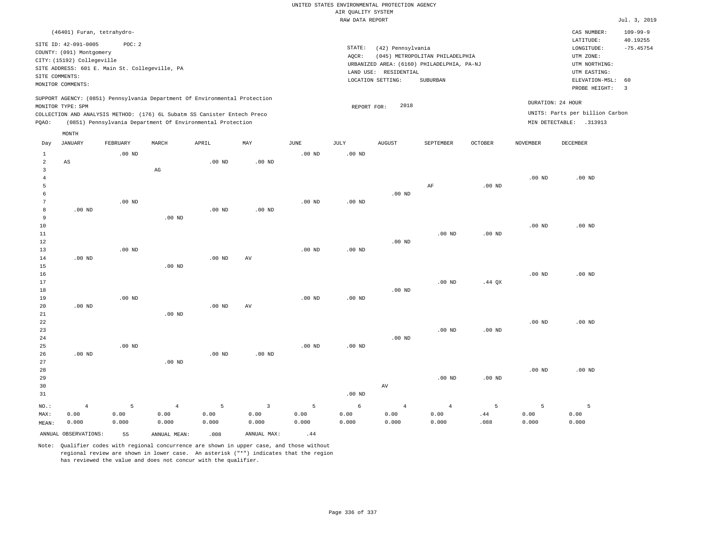|                                                    |                                                                                                                                   |                                                          |                                                                                                                                        |                   |                     |                   |                                       | UNITED STATES ENVIRONMENTAL PROTECTION AGENCY         |                                                                                           |                |                   |                                                                                                                         |                                                                   |
|----------------------------------------------------|-----------------------------------------------------------------------------------------------------------------------------------|----------------------------------------------------------|----------------------------------------------------------------------------------------------------------------------------------------|-------------------|---------------------|-------------------|---------------------------------------|-------------------------------------------------------|-------------------------------------------------------------------------------------------|----------------|-------------------|-------------------------------------------------------------------------------------------------------------------------|-------------------------------------------------------------------|
|                                                    |                                                                                                                                   |                                                          |                                                                                                                                        |                   |                     |                   | AIR QUALITY SYSTEM<br>RAW DATA REPORT |                                                       |                                                                                           |                |                   |                                                                                                                         | Jul. 3, 2019                                                      |
|                                                    |                                                                                                                                   |                                                          |                                                                                                                                        |                   |                     |                   |                                       |                                                       |                                                                                           |                |                   |                                                                                                                         |                                                                   |
| SITE COMMENTS:                                     | (46401) Furan, tetrahydro-<br>SITE ID: 42-091-0005<br>COUNTY: (091) Montgomery<br>CITY: (15192) Collegeville<br>MONITOR COMMENTS: | POC: 2<br>SITE ADDRESS: 601 E. Main St. Collegeville, PA |                                                                                                                                        |                   |                     |                   | STATE:<br>AQCR:<br>LAND USE:          | (42) Pennsylvania<br>RESIDENTIAL<br>LOCATION SETTING: | (045) METROPOLITAN PHILADELPHIA<br>URBANIZED AREA: (6160) PHILADELPHIA, PA-NJ<br>SUBURBAN |                |                   | CAS NUMBER:<br>LATITUDE:<br>LONGITUDE:<br>UTM ZONE:<br>UTM NORTHING:<br>UTM EASTING:<br>ELEVATION-MSL:<br>PROBE HEIGHT: | $109 - 99 - 9$<br>40.19255<br>$-75.45754$<br>60<br>$\overline{3}$ |
|                                                    |                                                                                                                                   |                                                          | SUPPORT AGENCY: (0851) Pennsylvania Department Of Environmental Protection                                                             |                   |                     |                   |                                       |                                                       |                                                                                           |                |                   |                                                                                                                         |                                                                   |
| PQAO:                                              | MONITOR TYPE: SPM                                                                                                                 |                                                          | COLLECTION AND ANALYSIS METHOD: (176) 6L Subatm SS Canister Entech Preco<br>(0851) Pennsylvania Department Of Environmental Protection |                   |                     |                   | REPORT FOR:                           | 2018                                                  |                                                                                           |                |                   | DURATION: 24 HOUR<br>UNITS: Parts per billion Carbon<br>MIN DETECTABLE: .313913                                         |                                                                   |
|                                                    | MONTH                                                                                                                             |                                                          |                                                                                                                                        |                   |                     |                   |                                       |                                                       |                                                                                           |                |                   |                                                                                                                         |                                                                   |
| Day                                                | <b>JANUARY</b>                                                                                                                    | FEBRUARY                                                 | MARCH                                                                                                                                  | APRIL             | MAY                 | $_{\rm JUNE}$     | <b>JULY</b>                           | <b>AUGUST</b>                                         | SEPTEMBER                                                                                 | <b>OCTOBER</b> | <b>NOVEMBER</b>   | DECEMBER                                                                                                                |                                                                   |
| $1\,$<br>$\overline{a}$<br>$\overline{\mathbf{3}}$ | $_{\rm AS}$                                                                                                                       | $.00$ ND                                                 | $\mathbb{A}\mathbb{G}$                                                                                                                 | $.00$ ND          | $.00$ ND            | .00 <sub>ND</sub> | $.00$ ND                              |                                                       |                                                                                           |                |                   |                                                                                                                         |                                                                   |
| $\overline{4}$<br>5                                |                                                                                                                                   |                                                          |                                                                                                                                        |                   |                     |                   |                                       |                                                       | AF                                                                                        | $.00$ ND       | .00 <sub>ND</sub> | $.00$ ND                                                                                                                |                                                                   |
| 6                                                  |                                                                                                                                   |                                                          |                                                                                                                                        |                   |                     |                   |                                       | $.00$ ND                                              |                                                                                           |                |                   |                                                                                                                         |                                                                   |
| $7\phantom{.0}$                                    |                                                                                                                                   | $.00$ ND                                                 |                                                                                                                                        |                   |                     | $.00$ ND          | $.00$ ND                              |                                                       |                                                                                           |                |                   |                                                                                                                         |                                                                   |
| 8<br>9                                             | $.00$ ND                                                                                                                          |                                                          | $.00$ ND                                                                                                                               | .00 <sub>ND</sub> | .00 <sub>ND</sub>   |                   |                                       |                                                       |                                                                                           |                |                   |                                                                                                                         |                                                                   |
| 10                                                 |                                                                                                                                   |                                                          |                                                                                                                                        |                   |                     |                   |                                       |                                                       |                                                                                           |                | .00 <sub>ND</sub> | $.00$ ND                                                                                                                |                                                                   |
| 11                                                 |                                                                                                                                   |                                                          |                                                                                                                                        |                   |                     |                   |                                       |                                                       | $.00$ ND                                                                                  | $.00$ ND       |                   |                                                                                                                         |                                                                   |
| 12                                                 |                                                                                                                                   |                                                          |                                                                                                                                        |                   |                     |                   |                                       | $.00$ ND                                              |                                                                                           |                |                   |                                                                                                                         |                                                                   |
| 13                                                 |                                                                                                                                   | $.00$ ND                                                 |                                                                                                                                        |                   |                     | $.00$ ND          | $.00$ ND                              |                                                       |                                                                                           |                |                   |                                                                                                                         |                                                                   |
| 14<br>15                                           | $.00$ ND                                                                                                                          |                                                          | $.00$ ND                                                                                                                               | .00 <sub>ND</sub> | AV                  |                   |                                       |                                                       |                                                                                           |                |                   |                                                                                                                         |                                                                   |
| 16                                                 |                                                                                                                                   |                                                          |                                                                                                                                        |                   |                     |                   |                                       |                                                       |                                                                                           |                | .00 <sub>ND</sub> | $.00$ ND                                                                                                                |                                                                   |
| 17                                                 |                                                                                                                                   |                                                          |                                                                                                                                        |                   |                     |                   |                                       |                                                       | $.00$ ND                                                                                  | $.44$ QX       |                   |                                                                                                                         |                                                                   |
| $1\,8$                                             |                                                                                                                                   |                                                          |                                                                                                                                        |                   |                     |                   |                                       | $.00$ ND                                              |                                                                                           |                |                   |                                                                                                                         |                                                                   |
| 19                                                 |                                                                                                                                   | $.00$ ND                                                 |                                                                                                                                        |                   |                     | $.00$ ND          | $.00$ ND                              |                                                       |                                                                                           |                |                   |                                                                                                                         |                                                                   |
| $20$<br>21                                         | $.00$ ND                                                                                                                          |                                                          | $.00$ ND                                                                                                                               | .00 <sub>ND</sub> | $\operatorname{AV}$ |                   |                                       |                                                       |                                                                                           |                |                   |                                                                                                                         |                                                                   |
| 22                                                 |                                                                                                                                   |                                                          |                                                                                                                                        |                   |                     |                   |                                       |                                                       |                                                                                           |                | $.00$ ND          | $.00$ ND                                                                                                                |                                                                   |
| 23                                                 |                                                                                                                                   |                                                          |                                                                                                                                        |                   |                     |                   |                                       |                                                       | $.00$ ND                                                                                  | $.00$ ND       |                   |                                                                                                                         |                                                                   |
| 24                                                 |                                                                                                                                   |                                                          |                                                                                                                                        |                   |                     |                   |                                       | $.00$ ND                                              |                                                                                           |                |                   |                                                                                                                         |                                                                   |
| 25                                                 |                                                                                                                                   | $.00$ ND                                                 |                                                                                                                                        |                   |                     | $.00$ ND          | $.00$ ND                              |                                                       |                                                                                           |                |                   |                                                                                                                         |                                                                   |
| 26<br>27                                           | $.00$ ND                                                                                                                          |                                                          | $.00$ ND                                                                                                                               | $.00$ ND          | $.00$ ND            |                   |                                       |                                                       |                                                                                           |                |                   |                                                                                                                         |                                                                   |
| 28                                                 |                                                                                                                                   |                                                          |                                                                                                                                        |                   |                     |                   |                                       |                                                       |                                                                                           |                | $.00$ ND          | $.00$ ND                                                                                                                |                                                                   |
| 29                                                 |                                                                                                                                   |                                                          |                                                                                                                                        |                   |                     |                   |                                       |                                                       | $.00$ ND                                                                                  | $.00$ ND       |                   |                                                                                                                         |                                                                   |
| 30                                                 |                                                                                                                                   |                                                          |                                                                                                                                        |                   |                     |                   |                                       | AV                                                    |                                                                                           |                |                   |                                                                                                                         |                                                                   |
| 31                                                 |                                                                                                                                   |                                                          |                                                                                                                                        |                   |                     |                   | $.00$ ND                              |                                                       |                                                                                           |                |                   |                                                                                                                         |                                                                   |
| NO.:                                               | $\overline{4}$                                                                                                                    | 5                                                        | $\overline{4}$                                                                                                                         | 5                 | $\overline{3}$      | 5                 | 6                                     | $\overline{4}$                                        | $\overline{4}$                                                                            | 5              | 5                 | $\overline{5}$                                                                                                          |                                                                   |
| MAX:                                               | 0.00                                                                                                                              | 0.00                                                     | 0.00                                                                                                                                   | 0.00              | 0.00                | 0.00              | 0.00                                  | 0.00                                                  | 0.00                                                                                      | .44            | 0.00              | 0.00                                                                                                                    |                                                                   |
| MEAN:                                              | 0.000                                                                                                                             | 0.000                                                    | 0.000                                                                                                                                  | 0.000             | 0.000               | 0.000             | 0.000                                 | 0.000                                                 | 0.000                                                                                     | .088           | 0.000             | 0.000                                                                                                                   |                                                                   |
|                                                    | ANNUAL OBSERVATIONS:                                                                                                              | 55                                                       | ANNUAL MEAN:                                                                                                                           | .008              | ANNUAL MAX:         | .44               |                                       |                                                       |                                                                                           |                |                   |                                                                                                                         |                                                                   |